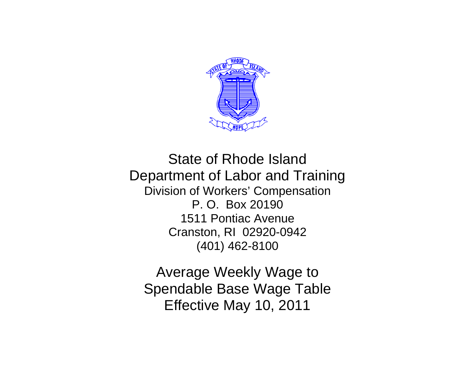

State of Rhode Island Department of Labor and Training Division of Workers' Compensation P. O. Box 20190 1511 Pontiac Avenue Cranston, RI 02920-0942 (401) 462-8100

Average Weekly Wage to Spendable Base Wage Table Effective May 10, 2011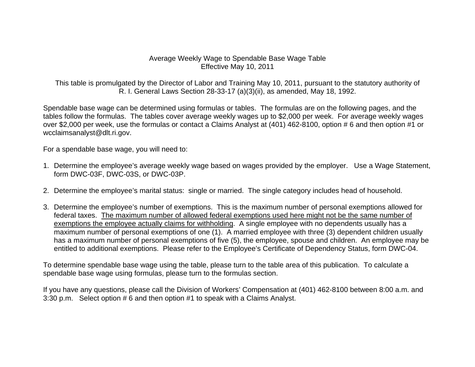## Average Weekly Wage to Spendable Base Wage Table Effective May 10, 2011

This table is promulgated by the Director of Labor and Training May 10, 2011, pursuant to the statutory authority of R. I. General Laws Section 28-33-17 (a)(3)(ii), as amended, May 18, 1992.

Spendable base wage can be determined using formulas or tables. The formulas are on the following pages, and the tables follow the formulas. The tables cover average weekly wages up to \$2,000 per week. For average weekly wages over \$2,000 per week, use the formulas or contact a Claims Analyst at (401) 462-8100, option # 6 and then option #1 or wcclaimsanalyst@dlt.ri.gov.

For a spendable base wage, you will need to:

- 1. Determine the employee's average weekly wage based on wages provided by the employer. Use a Wage Statement, form DWC-03F, DWC-03S, or DWC-03P.
- 2. Determine the employee's marital status: single or married. The single category includes head of household.
- 3. Determine the employee's number of exemptions. This is the maximum number of personal exemptions allowed for federal taxes. The maximum number of allowed federal exemptions used here might not be the same number of exemptions the employee actually claims for withholding. A single employee with no dependents usually has a maximum number of personal exemptions of one (1). A married employee with three (3) dependent children usually has a maximum number of personal exemptions of five (5), the employee, spouse and children. An employee may be entitled to additional exemptions. Please refer to the Employee's Certificate of Dependency Status, form DWC-04.

To determine spendable base wage using the table, please turn to the table area of this publication. To calculate a spendable base wage using formulas, please turn to the formulas section.

If you have any questions, please call the Division of Workers' Compensation at (401) 462-8100 between 8:00 a.m. and 3:30 p.m. Select option # 6 and then option #1 to speak with a Claims Analyst.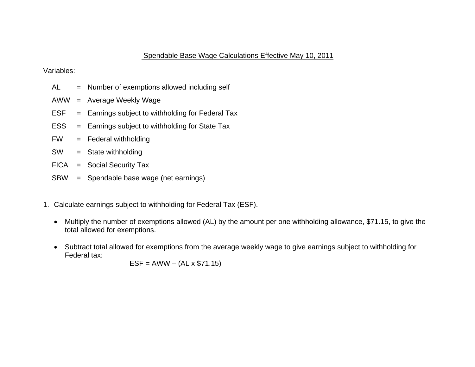## Spendable Base Wage Calculations Effective May 10, 2011

Variables:

- AL = Number of exemptions allowed including self
- AWW = Average Weekly Wage
- $ESF = Earnings subject to with holding for Federal Tax$
- ESS = Earnings subject to withholding for State Tax
- FW = Federal withholding
- SW = State withholding
- FICA = Social Security Tax
- SBW = Spendable base wage (net earnings)
- 1. Calculate earnings subject to withholding for Federal Tax (ESF).
	- Multiply the number of exemptions allowed (AL) by the amount per one withholding allowance, \$71.15, to give the total allowed for exemptions.
	- Subtract total allowed for exemptions from the average weekly wage to give earnings subject to withholding for Federal tax:

 $ESF = AWW - (AL \times $71.15)$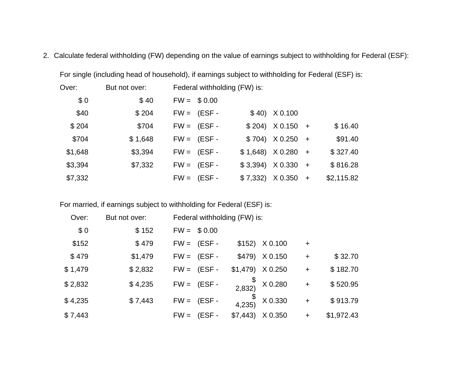2. Calculate federal withholding (FW) depending on the value of earnings subject to withholding for Federal (ESF):

| Over:   | But not over: | Federal withholding (FW) is: |            |                           |            |
|---------|---------------|------------------------------|------------|---------------------------|------------|
| \$0     | \$40          | $FW = $0.00$                 |            |                           |            |
| \$40    | \$204         | $FW = (ESF -$                |            | $$40)$ $X$ 0.100          |            |
| \$204   | \$704         | $FW = (ESF -$                |            | $$204)$ $X0.150 +$        | \$16.40    |
| \$704   | \$1,648       | $FW = (ESF -$                |            | $$704)$ $X0.250 +$        | \$91.40    |
| \$1,648 | \$3,394       | $FW = (ESF -$                |            | $$1,648$ $X0.280 +$       | \$327.40   |
| \$3,394 | \$7,332       | $FW = (ESF -$                | $$3,394$ ) | $X 0.330 +$               | \$816.28   |
| \$7,332 |               | $FW = (ESF -$                |            | $$7,332$ $\times$ 0.350 + | \$2,115.82 |

For single (including head of household), if earnings subject to withholding for Federal (ESF) is:

For married, if earnings subject to withholding for Federal (ESF) is:

| Over:   | But not over: | Federal withholding (FW) is: |                    |                    |           |            |
|---------|---------------|------------------------------|--------------------|--------------------|-----------|------------|
| \$0     | \$152         | $FW = $0.00$                 |                    |                    |           |            |
| \$152   | \$479         | $FW = (ESF -$                |                    | $$152$ ) $X$ 0.100 | $\ddot{}$ |            |
| \$479   | \$1,479       | $FW = (ESF -$                |                    | \$479) X 0.150     | $\ddot{}$ | \$32.70    |
| \$1,479 | \$2,832       | $FW = (ESF -$                | $$1,479$ $X$ 0.250 |                    | $\ddot{}$ | \$182.70   |
| \$2,832 | \$4,235       | $FW = (ESF -$                | 2,832)             | X 0.280            | $\ddot{}$ | \$520.95   |
| \$4,235 | \$7,443       | $FW = (ESF -$                | \$<br>4,235)       | X 0.330            | $\ddot{}$ | \$913.79   |
| \$7,443 |               | $FW =$<br>$(ESF -$           | \$7,443            | X 0.350            | $\ddot{}$ | \$1,972.43 |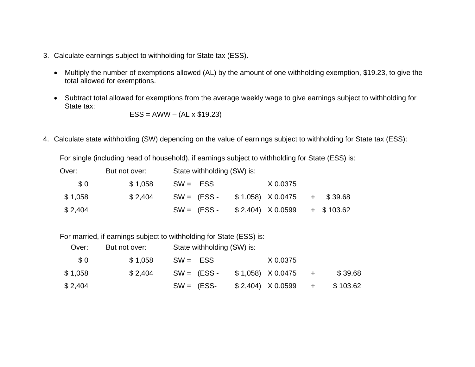- 3. Calculate earnings subject to withholding for State tax (ESS).
	- Multiply the number of exemptions allowed (AL) by the amount of one withholding exemption, \$19.23, to give the total allowed for exemptions.
	- Subtract total allowed for exemptions from the average weekly wage to give earnings subject to withholding for State tax:

 $ESS = AWW - (AL \times $19.23)$ 

4. Calculate state withholding (SW) depending on the value of earnings subject to withholding for State tax (ESS):

For single (including head of household), if earnings subject to withholding for State (ESS) is:

| Over:   | But not over: | State withholding (SW) is: |                                     |  |
|---------|---------------|----------------------------|-------------------------------------|--|
| \$0     | \$1,058       | $SW = ESS$                 | X 0.0375                            |  |
| \$1,058 | \$2.404       | $SW = (ESS -$              | $$1,058$ $\times$ 0.0475 + $$39.68$ |  |
| \$2,404 |               | $SW = (ESS -$              | $$2,404$ $\times$ 0.0599 + \$103.62 |  |

For married, if earnings subject to withholding for State (ESS) is:

| Over:   | But not over: |         |              | State withholding (SW) is: |                                     |         |
|---------|---------------|---------|--------------|----------------------------|-------------------------------------|---------|
|         | \$0           | \$1.058 | $SW = ESS$   |                            | X 0.0375                            |         |
| \$1,058 |               | \$2.404 |              | $SW = (ESS -$              | $$1,058$ $\times$ 0.0475 +          | \$39.68 |
| \$2,404 |               |         | $SW = (ESS-$ |                            | $$2,404$ $\times$ 0.0599 + \$103.62 |         |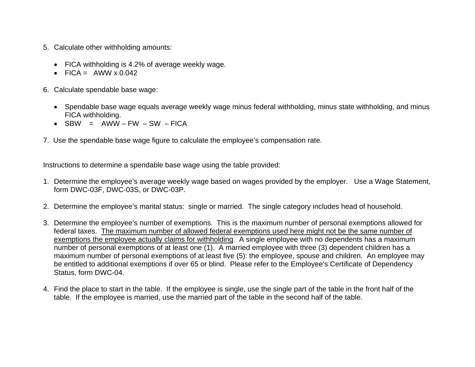- 5. Calculate other withholding amounts:
	- FICA withholding is 4.2% of average weekly wage.
	- FICA =  $AWW \times 0.042$
- 6. Calculate spendable base wage:
	- Spendable base wage equals average weekly wage minus federal withholding, minus state withholding, and minus FICA withholding.
	- $\bullet$  SBW = AWW-FW-SW-FICA
- 7. Use the spendable base wage figure to calculate the employee's compensation rate.

Instructions to determine a spendable base wage using the table provided:

- 1. Determine the employee's average weekly wage based on wages provided by the employer. Use a Wage Statement, form DWC-03F, DWC-03S, or DWC-03P.
- 2. Determine the employee's marital status: single or married. The single category includes head of household.
- 3. Determine the employee's number of exemptions. This is the maximum number of personal exemptions allowed for federal taxes. The maximum number of allowed federal exemptions used here might not be the same number of exemptions the employee actually claims for withholding. A single employee with no dependents has a maximum number of personal exemptions of at least one (1). A married employee with three (3) dependent children has a maximum number of personal exemptions of at least five (5): the employee, spouse and children. An employee may be entitled to additional exemptions if over 65 or blind. Please refer to the Employee's Certificate of Dependency Status, form DWC-04.
- 4. Find the place to start in the table. If the employee is single, use the single part of the table in the front half of the table. If the employee is married, use the married part of the table in the second half of the table.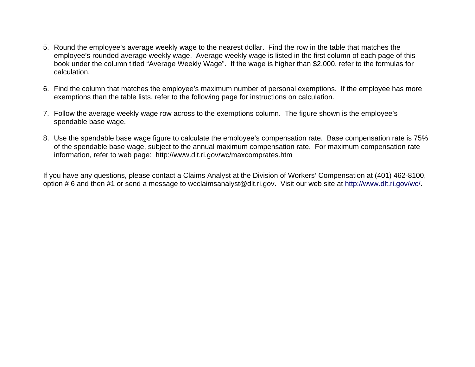- 5. Round the employee's average weekly wage to the nearest dollar. Find the row in the table that matches the employee's rounded average weekly wage. Average weekly wage is listed in the first column of each page of this book under the column titled "Average Weekly Wage". If the wage is higher than \$2,000, refer to the formulas for calculation.
- 6. Find the column that matches the employee's maximum number of personal exemptions. If the employee has more exemptions than the table lists, refer to the following page for instructions on calculation.
- 7. Follow the average weekly wage row across to the exemptions column. The figure shown is the employee's spendable base wage.
- 8. Use the spendable base wage figure to calculate the employee's compensation rate. Base compensation rate is 75% of the spendable base wage, subject to the annual maximum compensation rate. For maximum compensation rate information, refer to web page: http://www.dlt.ri.gov/wc/maxcomprates.htm

If you have any questions, please contact a Claims Analyst at the Division of Workers' Compensation at (401) 462-8100, option # 6 and then #1 or send a message to wcclaimsanalyst@dlt.ri.gov. Visit our web site at http://www.dlt.ri.gov/wc/.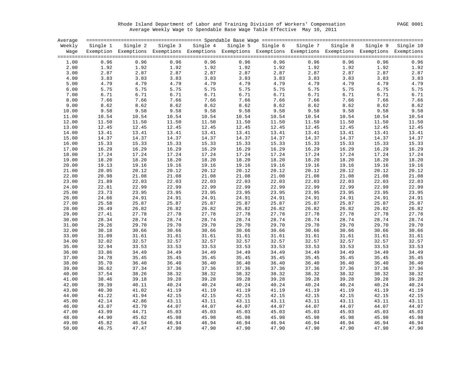Rhode Island Department of Labor and Training Division of Workers' Compensation PAGE 0001 Average Weekly Wage to Spendable Base Wage Table Effective May 10, 2011

| Average |          |                                                                                                              |       |                   |       |                   |       |                   |              |                  |
|---------|----------|--------------------------------------------------------------------------------------------------------------|-------|-------------------|-------|-------------------|-------|-------------------|--------------|------------------|
| Weekly  | Single 1 | Single 2                                                                                                     |       | Single 3 Single 4 |       | Single 5 Single 6 |       | Single 7 Single 8 | Single 9     | Single 10        |
| Wage    |          | Exemption Exemptions Exemptions Exemptions Exemptions Exemptions Exemptions Exemptions Exemptions Exemptions |       |                   |       |                   |       |                   |              |                  |
| 1.00    | 0.96     | 0.96                                                                                                         | 0.96  | 0.96              | 0.96  | 0.96              | 0.96  | 0.96              |              | 0.96             |
| 2.00    | 1.92     | 1.92                                                                                                         | 1.92  | 1.92              | 1.92  | 1.92              | 1.92  | 1.92              | 0.96<br>1.92 | 1.92             |
|         | 2.87     | 2.87                                                                                                         |       |                   |       | 2.87              |       | 2.87              |              |                  |
| 3.00    |          |                                                                                                              | 2.87  | 2.87              | 2.87  |                   | 2.87  |                   | 2.87         | 2.87             |
| 4.00    | 3.83     | 3.83                                                                                                         | 3.83  | 3.83              | 3.83  | 3.83              | 3.83  | 3.83              | 3.83         | 3.83             |
| 5.00    | 4.79     | 4.79                                                                                                         | 4.79  | 4.79              | 4.79  | 4.79              | 4.79  | 4.79              | 4.79         | 4.79             |
| 6.00    | 5.75     | 5.75                                                                                                         | 5.75  | 5.75              | 5.75  | 5.75              | 5.75  | 5.75              | 5.75         | 5.75             |
| 7.00    | 6.71     | 6.71                                                                                                         | 6.71  | 6.71              | 6.71  | 6.71              | 6.71  | 6.71              | 6.71         | 6.71             |
| 8.00    | 7.66     | 7.66                                                                                                         | 7.66  | 7.66              | 7.66  | 7.66              | 7.66  | 7.66              | 7.66         | 7.66             |
| 9.00    | 8.62     | 8.62                                                                                                         | 8.62  | 8.62              | 8.62  | 8.62              | 8.62  | 8.62              | 8.62         | $8.62$<br>$9.58$ |
| 10.00   | 9.58     | 9.58                                                                                                         | 9.58  | 9.58              | 9.58  | 9.58              | 9.58  | 9.58              | 9.58         |                  |
| 11.00   | 10.54    | 10.54                                                                                                        | 10.54 | 10.54             | 10.54 | 10.54             | 10.54 | 10.54             | 10.54        | 10.54            |
| 12.00   | 11.50    | 11.50                                                                                                        | 11.50 | 11.50             | 11.50 | 11.50             | 11.50 | 11.50             | 11.50        | 11.50            |
| 13.00   | 12.45    | 12.45                                                                                                        | 12.45 | 12.45             | 12.45 | 12.45             | 12.45 | 12.45             | 12.45        | 12.45            |
| 14.00   | 13.41    | 13.41                                                                                                        | 13.41 | 13.41             | 13.41 | 13.41             | 13.41 | 13.41             | 13.41        | 13.41            |
| 15.00   | 14.37    | 14.37                                                                                                        | 14.37 | 14.37             | 14.37 | 14.37             | 14.37 | 14.37             | 14.37        | 14.37            |
| 16.00   | 15.33    | 15.33                                                                                                        | 15.33 | 15.33             | 15.33 | 15.33             | 15.33 | 15.33             | 15.33        | 15.33            |
| 17.00   | 16.29    | 16.29                                                                                                        | 16.29 | 16.29             | 16.29 | 16.29             | 16.29 | 16.29             | 16.29        | 16.29            |
| 18.00   | 17.24    | 17.24                                                                                                        | 17.24 | 17.24             | 17.24 | 17.24             | 17.24 | 17.24             | 17.24        | 17.24            |
| 19.00   | 18.20    | 18.20                                                                                                        | 18.20 | 18.20             | 18.20 | 18.20             | 18.20 | 18.20             | 18.20        | 18.20            |
| 20.00   | 19.13    | 19.16                                                                                                        | 19.16 | 19.16             | 19.16 | 19.16             | 19.16 | 19.16             | 19.16        | 19.16            |
| 21.00   | 20.05    | 20.12                                                                                                        | 20.12 | 20.12             | 20.12 | 20.12             | 20.12 | 20.12             | 20.12        | 20.12            |
| 22.00   | 20.98    | 21.08                                                                                                        | 21.08 | 21.08             | 21.08 | 21.08             | 21.08 | 21.08             | 21.08        | 21.08            |
| 23.00   | 21.89    | 22.03                                                                                                        | 22.03 | 22.03             | 22.03 | 22.03             | 22.03 | 22.03             | 22.03        | 22.03            |
| 24.00   | 22.81    | 22.99                                                                                                        | 22.99 | 22.99             | 22.99 | 22.99             | 22.99 | 22.99             | 22.99        | 22.99            |
| 25.00   | 23.73    | 23.95                                                                                                        | 23.95 | 23.95             | 23.95 | 23.95             | 23.95 | 23.95             | 23.95        | 23.95            |
| 26.00   | 24.66    | 24.91                                                                                                        | 24.91 | 24.91             | 24.91 | 24.91             | 24.91 | 24.91             | 24.91        | 24.91            |
| 27.00   | 25.58    | 25.87                                                                                                        | 25.87 | 25.87             | 25.87 | 25.87             | 25.87 | 25.87             | 25.87        | 25.87            |
| 28.00   | 26.49    | 26.82                                                                                                        | 26.82 | 26.82             | 26.82 | 26.82             | 26.82 | 26.82             | 26.82        | 26.82            |
| 29.00   | 27.41    | 27.78                                                                                                        | 27.78 | 27.78             | 27.78 | 27.78             | 27.78 | 27.78             | 27.78        | 27.78            |
| 30.00   | 28.34    | 28.74                                                                                                        | 28.74 | 28.74             | 28.74 | 28.74             | 28.74 | 28.74             | 28.74        | 28.74            |
| 31.00   | 29.26    | 29.70                                                                                                        | 29.70 | 29.70             | 29.70 | 29.70             | 29.70 | 29.70             | 29.70        | 29.70            |
| 32.00   | 30.18    | 30.66                                                                                                        | 30.66 | 30.66             | 30.66 | 30.66             | 30.66 | 30.66             | 30.66        | 30.66            |
| 33.00   | 31.09    | 31.61                                                                                                        | 31.61 | 31.61             | 31.61 | 31.61             | 31.61 | 31.61             | 31.61        | 31.61            |
| 34.00   | 32.02    | 32.57                                                                                                        | 32.57 | 32.57             | 32.57 | 32.57             | 32.57 | 32.57             | 32.57        | 32.57            |
| 35.00   | 32.94    | 33.53                                                                                                        | 33.53 | 33.53             | 33.53 | 33.53             | 33.53 | 33.53             | 33.53        | 33.53            |
| 36.00   | 33.86    | 34.49                                                                                                        | 34.49 | 34.49             | 34.49 | 34.49             | 34.49 | 34.49             | 34.49        | 34.49            |
| 37.00   | 34.78    | 35.45                                                                                                        | 35.45 | 35.45             | 35.45 | 35.45             | 35.45 | 35.45             | 35.45        | 35.45            |
| 38.00   | 35.70    | 36.40                                                                                                        | 36.40 | 36.40             | 36.40 | 36.40             | 36.40 | 36.40             | 36.40        | 36.40            |
| 39.00   | 36.62    | 37.34                                                                                                        | 37.36 | 37.36             | 37.36 | 37.36             | 37.36 | 37.36             | 37.36        | 37.36            |
| 40.00   | 37.54    | 38.26                                                                                                        | 38.32 | 38.32             | 38.32 | 38.32             | 38.32 | 38.32             | 38.32        | 38.32            |
| 41.00   | 38.46    | 39.18                                                                                                        | 39.28 | 39.28             | 39.28 | 39.28             | 39.28 | 39.28             | 39.28        | 39.28            |
| 42.00   | 39.39    | 40.11                                                                                                        | 40.24 | 40.24             | 40.24 | 40.24             | 40.24 | 40.24             | 40.24        | 40.24            |
| 43.00   | 40.30    | 41.02                                                                                                        | 41.19 | 41.19             | 41.19 | 41.19             | 41.19 | 41.19             | 41.19        | 41.19            |
| 44.00   | 41.22    | 41.94                                                                                                        | 42.15 | 42.15             | 42.15 | 42.15             | 42.15 | 42.15             | 42.15        | 42.15            |
| 45.00   | 42.14    | 42.86                                                                                                        | 43.11 | 43.11             | 43.11 | 43.11             | 43.11 | 43.11             | 43.11        | 43.11            |
| 46.00   | 43.07    | 43.79                                                                                                        | 44.07 | 44.07             | 44.07 | 44.07             | 44.07 | 44.07             | 44.07        | 44.07            |
| 47.00   | 43.99    | 44.71                                                                                                        | 45.03 | 45.03             | 45.03 | 45.03             | 45.03 | 45.03             | 45.03        | 45.03            |
| 48.00   | 44.90    | 45.62                                                                                                        | 45.98 | 45.98             | 45.98 | 45.98             | 45.98 | 45.98             | 45.98        | 45.98            |
| 49.00   | 45.82    | 46.54                                                                                                        | 46.94 | 46.94             | 46.94 | 46.94             | 46.94 | 46.94             | 46.94        | 46.94            |
| 50.00   | 46.75    | 47.47                                                                                                        | 47.90 | 47.90             | 47.90 | 47.90             | 47.90 | 47.90             | 47.90        | 47.90            |
|         |          |                                                                                                              |       |                   |       |                   |       |                   |              |                  |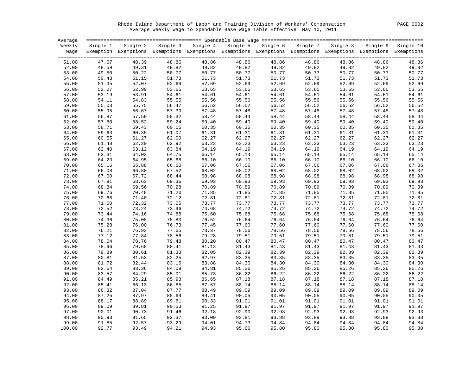Rhode Island Department of Labor and Training Division of Workers' Compensation PAGE 0002 Average Weekly Wage to Spendable Base Wage Table Effective May 10, 2011

| Average |          |                                                                                                                   |       |                                              |       |       |                |                   |          |           |
|---------|----------|-------------------------------------------------------------------------------------------------------------------|-------|----------------------------------------------|-------|-------|----------------|-------------------|----------|-----------|
| Weekly  | Single 1 |                                                                                                                   |       | Single 2 Single 3 Single 4 Single 5 Single 6 |       |       |                | Single 7 Single 8 | Single 9 | Single 10 |
|         |          | Wage Exemption Exemptions Exemptions Exemptions Exemptions Exemptions Exemptions Exemptions Exemptions Exemptions |       |                                              |       |       |                |                   |          |           |
|         |          |                                                                                                                   |       |                                              |       |       |                |                   |          |           |
| 51.00   | 47.67    | 48.39                                                                                                             | 48.86 | 48.86                                        | 48.86 | 48.86 | 48.86          | 48.86             | 48.86    | 48.86     |
| 52.00   | 48.59    | 49.31                                                                                                             | 49.82 | 49.82                                        | 49.82 | 49.82 | 49.82          | 49.82             | 49.82    | 49.82     |
| 53.00   | 49.50    | 50.22                                                                                                             | 50.77 | 50.77                                        | 50.77 | 50.77 | 50.77          | 50.77             | 50.77    | 50.77     |
| 54.00   | 50.43    | 51.15                                                                                                             | 51.73 | 51.73                                        | 51.73 | 51.73 | 51.73          | 51.73             | 51.73    | 51.73     |
| 55.00   | 51.35    | 52.07                                                                                                             | 52.69 | 52.69                                        | 52.69 | 52.69 | 52.69          | 52.69             | 52.69    | 52.69     |
| 56.00   | 52.27    | 52.99                                                                                                             | 53.65 | 53.65                                        | 53.65 | 53.65 | 53.65          | 53.65             | 53.65    | 53.65     |
| 57.00   | 53.19    | 53.91                                                                                                             | 54.61 | 54.61                                        | 54.61 | 54.61 | 54.61          | 54.61             | 54.61    | 54.61     |
| 58.00   | 54.11    | 54.83                                                                                                             | 55.55 | 55.56                                        | 55.56 | 55.56 | 55.56          | 55.56             | 55.56    | 55.56     |
| 59.00   | 55.03    | 55.75                                                                                                             | 56.47 | 56.52                                        | 56.52 | 56.52 | 56.52          | 56.52             | 56.52    | 56.52     |
| 60.00   | 55.95    | 56.67                                                                                                             | 57.39 | 57.48                                        | 57.48 | 57.48 | 57.48          | 57.48             | 57.48    | 57.48     |
| 61.00   | 56.87    | 57.59                                                                                                             | 58.32 | 58.44                                        | 58.44 | 58.44 | 58.44          | 58.44             | 58.44    | 58.44     |
| 62.00   | 57.80    | 58.52                                                                                                             | 59.24 | 59.40                                        | 59.40 | 59.40 | 59.40          | 59.40             | 59.40    | 59.40     |
| 63.00   | 58.71    | 59.43                                                                                                             | 60.15 | 60.35                                        | 60.35 | 60.35 | 60.35          | 60.35             | 60.35    | 60.35     |
| 64.00   | 59.63    | 60.35                                                                                                             | 61.07 | 61.31                                        | 61.31 | 61.31 | 61.31          | 61.31             | 61.31    | 61.31     |
| 65.00   | 60.55    | 61.27                                                                                                             | 62.00 | 62.27                                        | 62.27 | 62.27 | 62.27          | 62.27             | 62.27    | 62.27     |
| 66.00   | 61.48    | 62.20                                                                                                             | 62.92 | 63.23                                        | 63.23 | 63.23 | 63.23          | 63.23             | 63.23    | 63.23     |
| 67.00   | 62.40    | 63.12                                                                                                             | 63.84 | 64.19                                        | 64.19 | 64.19 | 64.19          | 64.19             | 64.19    | 64.19     |
| 68.00   | 63.31    | 64.03                                                                                                             | 64.75 | 65.14                                        | 65.14 | 65.14 | 65.14          | 65.14             | 65.14    | 65.14     |
| 69.00   | 64.23    | 64.95                                                                                                             | 65.68 | 66.10                                        | 66.10 | 66.10 | 66.10          | 66.10             | 66.10    | 66.10     |
| 70.00   | 65.16    | 65.88                                                                                                             | 66.60 | 67.06                                        | 67.06 | 67.06 | 67.06          | 67.06             | 67.06    | 67.06     |
| 71.00   | 66.08    | 66.80                                                                                                             | 67.52 | 68.02                                        | 68.02 | 68.02 | 68.02          | 68.02             | 68.02    | 68.02     |
| 72.00   | 67.00    | 67.72                                                                                                             | 68.44 | 68.98                                        | 68.98 | 68.98 | 68.98          | 68.98             | 68.98    | 68.98     |
| 73.00   | 67.91    | 68.63                                                                                                             | 69.36 | 69.93                                        | 69.93 | 69.93 | 69.93          | 69.93             | 69.93    | 69.93     |
| 74.00   | 68.84    | 69.56                                                                                                             | 70.28 | 70.89                                        | 70.89 | 70.89 | 70.89          | 70.89             | 70.89    | 70.89     |
| 75.00   | 69.76    | 70.48                                                                                                             | 71.20 | 71.85                                        | 71.85 | 71.85 | 71.85          | 71.85             | 71.85    | 71.85     |
| 76.00   | 70.68    | 71.40                                                                                                             | 72.12 | 72.81                                        | 72.81 | 72.81 | 72.81          | 72.81             | 72.81    | 72.81     |
| 77.00   | 71.60    | 72.32                                                                                                             | 73.05 | 73.77                                        | 73.77 | 73.77 | 73.77          | 73.77             | 73.77    | 73.77     |
| 78.00   | 72.52    | 73.24                                                                                                             | 73.96 | 74.68                                        | 74.72 | 74.72 | 74.72          | 74.72             | 74.72    | 74.72     |
| 79.00   | 73.44    | 74.16                                                                                                             | 74.88 | 75.60                                        | 75.68 | 75.68 | 75.68          | 75.68             | 75.68    | 75.68     |
| 80.00   | 74.36    | 75.08                                                                                                             | 75.80 | 76.52                                        | 76.64 | 76.64 | 76.64          | 76.64             | 76.64    | 76.64     |
| 81.00   | 75.28    | 76.00                                                                                                             | 76.73 | 77.45                                        | 77.60 | 77.60 | 77.60          | 77.60             | 77.60    | 77.60     |
| 82.00   | 76.21    | 76.93                                                                                                             | 77.65 | 78.37                                        | 78.56 | 78.56 | 78.56          | 78.56             | 78.56    | 78.56     |
| 83.00   | 77.12    | 77.84                                                                                                             | 78.56 | 79.28                                        | 79.51 | 79.51 | 79.51          | 79.51             | 79.51    | 79.51     |
| 84.00   | 78.04    | 78.76                                                                                                             | 79.48 | 80.20                                        | 80.47 | 80.47 | 80.47          | 80.47             | 80.47    | 80.47     |
| 85.00   | 78.96    | 79.68                                                                                                             | 80.41 | 81.13                                        | 81.43 | 81.43 | 81.43          | 81.43             | 81.43    | 81.43     |
| 86.00   | 79.89    | 80.61                                                                                                             | 81.33 | 82.05                                        | 82.39 | 82.39 | 82.39          | 82.39             | 82.39    | 82.39     |
| 87.00   | 80.81    | 81.53                                                                                                             | 82.25 | 82.97                                        | 83.35 | 83.35 | 83.35          | 83.35             | 83.35    | 83.35     |
| 88.00   | 81.72    | 82.44                                                                                                             | 83.16 | 83.88                                        | 84.30 | 84.30 | 84.30          | 84.30             | 84.30    | 84.30     |
| 89.00   | 82.64    | 83.36                                                                                                             | 84.09 | 84.81                                        | 85.26 | 85.26 | 85.26          | 85.26             | 85.26    | 85.26     |
| 90.00   | 83.57    | 84.29                                                                                                             | 85.01 | 85.73                                        | 86.22 | 86.22 | 86.22          | 86.22             | 86.22    | 86.22     |
| 91.00   | 84.49    | 85.21                                                                                                             | 85.93 | 86.65                                        | 87.18 | 87.18 | 87.18          | 87.18             | 87.18    | 87.18     |
| 92.00   | 85.41    | 86.13                                                                                                             | 86.85 | 87.57                                        | 88.14 | 88.14 | 88.14          | 88.14             | 88.14    | 88.14     |
| 93.00   | 86.32    | 87.04                                                                                                             | 87.77 | 88.49                                        | 89.09 | 89.09 | 89.09          | 89.09             | 89.09    | 89.09     |
| 94.00   | 87.25    | 87.97                                                                                                             | 88.69 | 89.41                                        | 90.05 | 90.05 | 90.05          | 90.05             | 90.05    | 90.05     |
| 95.00   | 88.17    | 88.89                                                                                                             | 89.61 | 90.33                                        | 91.01 | 91.01 | 91.01          | 91.01             | 91.01    | 91.01     |
| 96.00   | 89.09    | 89.81                                                                                                             | 90.53 | 91.25                                        | 91.97 | 91.97 | 91.97          | 91.97             | 91.97    | 91.97     |
| 97.00   | 90.01    | 90.73                                                                                                             | 91.46 | 92.18                                        | 92.90 | 92.93 | 92.93          | 92.93             | 92.93    | 92.93     |
| 98.00   | 90.93    | 91.65                                                                                                             | 92.37 | 93.09                                        | 93.81 | 93.88 | 93.88          | 93.88             | 93.88    | 93.88     |
| 99.00   | 91.85    | 92.57                                                                                                             | 93.29 | 94.01                                        | 94.73 | 94.84 | 94.84          | 94.84             | 94.84    | 94.84     |
| 100.00  |          | 93.49<br>92.77                                                                                                    | 94.21 | 94.93                                        | 95.66 |       | 95.80<br>95.80 | 95.80             | 95.80    | 95.80     |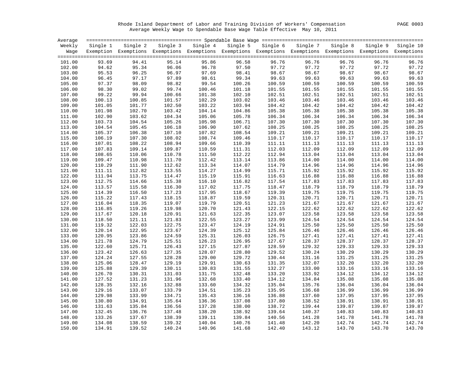Rhode Island Department of Labor and Training Division of Workers' Compensation PAGE 0003 Average Weekly Wage to Spendable Base Wage Table Effective May 10, 2011

| Average |          |                                                                                                                   |        |                                                                          |        |        |        |        |        |        |
|---------|----------|-------------------------------------------------------------------------------------------------------------------|--------|--------------------------------------------------------------------------|--------|--------|--------|--------|--------|--------|
| Weekly  | Single 1 | Single 2                                                                                                          |        | Single 3 Single 4 Single 5 Single 6 Single 7 Single 8 Single 9 Single 10 |        |        |        |        |        |        |
|         |          | Wage Exemption Exemptions Exemptions Exemptions Exemptions Exemptions Exemptions Exemptions Exemptions Exemptions |        |                                                                          |        |        |        |        |        |        |
| 101.00  | 93.69    | 94.41                                                                                                             | 95.14  | 95.86                                                                    | 96.58  | 96.76  | 96.76  | 96.76  | 96.76  | 96.76  |
| 102.00  | 94.62    | 95.34                                                                                                             | 96.06  | 96.78                                                                    | 97.50  | 97.72  | 97.72  | 97.72  | 97.72  | 97.72  |
| 103.00  | 95.53    | 96.25                                                                                                             | 96.97  | 97.69                                                                    | 98.41  | 98.67  | 98.67  | 98.67  | 98.67  | 98.67  |
| 104.00  | 96.45    | 97.17                                                                                                             | 97.89  | 98.61                                                                    | 99.34  | 99.63  | 99.63  | 99.63  | 99.63  | 99.63  |
| 105.00  | 97.37    | 98.09                                                                                                             | 98.82  | 99.54                                                                    | 100.26 | 100.59 | 100.59 | 100.59 | 100.59 | 100.59 |
| 106.00  | 98.30    | 99.02                                                                                                             | 99.74  | 100.46                                                                   | 101.18 | 101.55 | 101.55 | 101.55 | 101.55 | 101.55 |
| 107.00  | 99.22    | 99.94                                                                                                             | 100.66 | 101.38                                                                   | 102.10 | 102.51 | 102.51 | 102.51 | 102.51 | 102.51 |
| 108.00  | 100.13   | 100.85                                                                                                            | 101.57 | 102.29                                                                   | 103.02 | 103.46 | 103.46 | 103.46 | 103.46 | 103.46 |
| 109.00  | 101.05   | 101.77                                                                                                            | 102.50 | 103.22                                                                   | 103.94 | 104.42 | 104.42 | 104.42 | 104.42 | 104.42 |
| 110.00  | 101.98   | 102.70                                                                                                            | 103.42 | 104.14                                                                   | 104.86 | 105.38 | 105.38 | 105.38 | 105.38 | 105.38 |
| 111.00  | 102.90   | 103.62                                                                                                            | 104.34 | 105.06                                                                   | 105.78 | 106.34 | 106.34 | 106.34 | 106.34 | 106.34 |
| 112.00  | 103.73   | 104.54                                                                                                            | 105.26 | 105.98                                                                   | 106.71 | 107.30 | 107.30 | 107.30 | 107.30 | 107.30 |
| 113.00  | 104.54   | 105.45                                                                                                            | 106.18 | 106.90                                                                   | 107.62 | 108.25 | 108.25 | 108.25 | 108.25 | 108.25 |
| 114.00  | 105.37   | 106.38                                                                                                            | 107.10 | 107.82                                                                   | 108.54 | 109.21 | 109.21 | 109.21 | 109.21 | 109.21 |
| 115.00  | 106.19   | 107.30                                                                                                            | 108.02 | 108.74                                                                   | 109.46 | 110.17 | 110.17 | 110.17 | 110.17 | 110.17 |
| 116.00  | 107.01   | 108.22                                                                                                            | 108.94 | 109.66                                                                   | 110.39 | 111.11 | 111.13 | 111.13 | 111.13 | 111.13 |
| 117.00  | 107.83   | 109.14                                                                                                            | 109.87 | 110.59                                                                   | 111.31 | 112.03 | 112.09 | 112.09 | 112.09 | 112.09 |
| 118.00  | 108.65   | 110.06                                                                                                            | 110.78 | 111.50                                                                   | 112.22 | 112.94 | 113.04 | 113.04 | 113.04 | 113.04 |
| 119.00  | 109.47   | 110.98                                                                                                            | 111.70 | 112.42                                                                   | 113.14 | 113.86 | 114.00 | 114.00 | 114.00 | 114.00 |
| 120.00  | 110.29   | 111.90                                                                                                            | 112.62 | 113.34                                                                   | 114.07 | 114.79 | 114.96 | 114.96 | 114.96 | 114.96 |
| 121.00  | 111.11   | 112.82                                                                                                            | 113.55 | 114.27                                                                   | 114.99 | 115.71 | 115.92 | 115.92 | 115.92 | 115.92 |
| 122.00  | 111.94   | 113.75                                                                                                            | 114.47 | 115.19                                                                   | 115.91 | 116.63 | 116.88 | 116.88 | 116.88 | 116.88 |
| 123.00  | 112.75   | 114.66                                                                                                            | 115.38 | 116.10                                                                   | 116.82 | 117.54 | 117.83 | 117.83 | 117.83 | 117.83 |
| 124.00  | 113.57   | 115.58                                                                                                            | 116.30 | 117.02                                                                   | 117.75 | 118.47 | 118.79 | 118.79 | 118.79 | 118.79 |
| 125.00  | 114.39   | 116.50                                                                                                            | 117.23 | 117.95                                                                   | 118.67 | 119.39 | 119.75 | 119.75 | 119.75 | 119.75 |
| 126.00  | 115.22   | 117.43                                                                                                            | 118.15 | 118.87                                                                   | 119.59 | 120.31 | 120.71 | 120.71 | 120.71 | 120.71 |
| 127.00  | 116.04   | 118.35                                                                                                            | 119.07 | 119.79                                                                   | 120.51 | 121.23 | 121.67 | 121.67 | 121.67 | 121.67 |
| 128.00  | 116.85   | 119.26                                                                                                            | 119.98 | 120.70                                                                   | 121.43 | 122.15 | 122.62 | 122.62 | 122.62 | 122.62 |
| 129.00  | 117.67   | 120.18                                                                                                            | 120.91 | 121.63                                                                   | 122.35 | 123.07 | 123.58 | 123.58 | 123.58 | 123.58 |
| 130.00  | 118.50   | 121.11                                                                                                            | 121.83 | 122.55                                                                   | 123.27 | 123.99 | 124.54 | 124.54 | 124.54 | 124.54 |
| 131.00  | 119.32   | 122.03                                                                                                            | 122.75 | 123.47                                                                   | 124.19 | 124.91 | 125.50 | 125.50 | 125.50 | 125.50 |
| 132.00  | 120.14   | 122.95                                                                                                            | 123.67 | 124.39                                                                   | 125.12 | 125.84 | 126.46 | 126.46 | 126.46 | 126.46 |
| 133.00  | 120.95   | 123.86                                                                                                            | 124.59 | 125.31                                                                   | 126.03 | 126.75 | 127.41 | 127.41 | 127.41 | 127.41 |
| 134.00  | 121.78   | 124.79                                                                                                            | 125.51 | 126.23                                                                   | 126.95 | 127.67 | 128.37 | 128.37 | 128.37 | 128.37 |
| 135.00  | 122.60   | 125.71                                                                                                            | 126.43 | 127.15                                                                   | 127.87 | 128.59 | 129.32 | 129.33 | 129.33 | 129.33 |
| 136.00  | 123.42   | 126.63                                                                                                            | 127.35 | 128.07                                                                   | 128.80 | 129.52 | 130.24 | 130.29 | 130.29 | 130.29 |
| 137.00  | 124.24   | 127.55                                                                                                            | 128.28 | 129.00                                                                   | 129.72 | 130.44 | 131.16 | 131.25 | 131.25 | 131.25 |
| 138.00  | 125.06   | 128.47                                                                                                            | 129.19 | 129.91                                                                   | 130.63 | 131.35 | 132.07 | 132.20 | 132.20 | 132.20 |
| 139.00  | 125.88   | 129.39                                                                                                            | 130.11 | 130.83                                                                   | 131.55 | 132.27 | 133.00 | 133.16 | 133.16 | 133.16 |
| 140.00  | 126.70   | 130.31                                                                                                            | 131.03 | 131.75                                                                   | 132.48 | 133.20 | 133.92 | 134.12 | 134.12 | 134.12 |
| 141.00  | 127.52   | 131.23                                                                                                            | 131.96 | 132.68                                                                   | 133.40 | 134.12 | 134.84 | 135.08 | 135.08 | 135.08 |
| 142.00  | 128.35   | 132.16                                                                                                            | 132.88 | 133.60                                                                   | 134.32 | 135.04 | 135.76 | 136.04 | 136.04 | 136.04 |
| 143.00  | 129.16   | 133.07                                                                                                            | 133.79 | 134.51                                                                   | 135.23 | 135.95 | 136.68 | 136.99 | 136.99 | 136.99 |
| 144.00  | 129.98   | 133.99                                                                                                            | 134.71 | 135.43                                                                   | 136.16 | 136.88 | 137.60 | 137.95 | 137.95 | 137.95 |
| 145.00  | 130.80   | 134.91                                                                                                            | 135.64 | 136.36                                                                   | 137.08 | 137.80 | 138.52 | 138.91 | 138.91 | 138.91 |
| 146.00  | 131.63   | 135.84                                                                                                            | 136.56 | 137.28                                                                   | 138.00 | 138.72 | 139.44 | 139.87 | 139.87 | 139.87 |
| 147.00  | 132.45   | 136.76                                                                                                            | 137.48 | 138.20                                                                   | 138.92 | 139.64 | 140.37 | 140.83 | 140.83 | 140.83 |
| 148.00  | 133.26   | 137.67                                                                                                            | 138.39 | 139.11                                                                   | 139.84 | 140.56 | 141.28 | 141.78 | 141.78 | 141.78 |
| 149.00  | 134.08   | 138.59                                                                                                            | 139.32 | 140.04                                                                   | 140.76 | 141.48 | 142.20 | 142.74 | 142.74 | 142.74 |
| 150.00  | 134.91   | 139.52                                                                                                            | 140.24 | 140.96                                                                   | 141.68 | 142.40 | 143.12 | 143.70 | 143.70 | 143.70 |
|         |          |                                                                                                                   |        |                                                                          |        |        |        |        |        |        |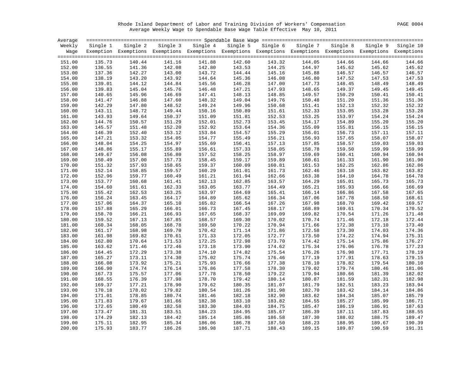Rhode Island Department of Labor and Training Division of Workers' Compensation PAGE 0004 Average Weekly Wage to Spendable Base Wage Table Effective May 10, 2011

| Single 3 Single 4<br>Single 5 Single 6<br>Single 8<br>Weekly<br>Single 2<br>Single 7<br>Single 9 Single 10<br>Single 1<br>Wage Exemption Exemptions Exemptions Exemptions Exemptions Exemptions Exemptions Exemptions Exemptions Exemptions<br>141.16<br>141.88<br>144.05<br>135.73<br>140.44<br>142.60<br>143.32<br>144.66<br>144.66<br>144.66<br>151.00<br>142.80<br>136.55<br>141.36<br>142.08<br>143.53<br>144.25<br>144.97<br>145.62<br>145.62<br>145.62<br>152.00<br>137.36<br>142.27<br>143.00<br>143.72<br>144.44<br>145.16<br>145.88<br>146.57<br>146.57<br>146.57<br>153.00<br>138.19<br>143.92<br>144.64<br>145.36<br>146.08<br>147.52<br>147.53<br>154.00<br>143.20<br>146.80<br>147.53<br>139.01<br>144.84<br>145.56<br>148.45<br>148.49<br>155.00<br>144.12<br>146.28<br>147.00<br>147.73<br>148.49<br>146.48<br>149.45<br>156.00<br>139.83<br>145.04<br>145.76<br>147.21<br>147.93<br>148.65<br>149.37<br>149.45<br>147.41<br>150.29<br>157.00<br>140.65<br>145.96<br>146.69<br>148.13<br>148.85<br>149.57<br>150.41<br>150.41<br>141.47<br>146.88<br>147.60<br>148.32<br>149.04<br>149.76<br>150.48<br>151.20<br>151.36<br>151.36<br>158.00<br>142.29<br>148.52<br>149.24<br>149.96<br>150.68<br>152.13<br>152.32<br>152.32<br>159.00<br>147.80<br>151.41<br>150.16<br>160.00<br>143.11<br>148.72<br>149.44<br>150.89<br>151.61<br>152.33<br>153.05<br>153.28<br>153.28<br>143.93<br>149.64<br>150.37<br>151.09<br>152.53<br>153.25<br>153.97<br>154.24<br>154.24<br>161.00<br>151.81<br>144.76<br>151.29<br>152.01<br>152.73<br>153.45<br>154.17<br>154.89<br>155.20<br>155.20<br>162.00<br>150.57<br>145.57<br>151.48<br>152.20<br>152.92<br>154.36<br>155.09<br>156.15<br>156.15<br>163.00<br>153.64<br>155.81<br>146.39<br>153.12<br>153.84<br>155.29<br>156.73<br>157.11<br>157.11<br>164.00<br>152.40<br>154.57<br>156.01<br>154.77<br>156.21<br>158.07<br>165.00<br>147.21<br>153.32<br>154.05<br>155.49<br>156.93<br>157.65<br>158.07<br>148.04<br>154.25<br>154.97<br>155.69<br>157.13<br>157.85<br>158.57<br>159.03<br>159.03<br>166.00<br>156.41<br>156.61<br>158.78<br>159.99<br>159.99<br>167.00<br>148.86<br>155.17<br>155.89<br>157.33<br>158.05<br>159.50<br>160.94<br>168.00<br>149.67<br>156.08<br>156.80<br>157.52<br>158.25<br>158.97<br>159.69<br>160.41<br>160.94<br>150.49<br>157.73<br>158.45<br>159.17<br>159.89<br>160.61<br>161.33<br>161.90<br>161.90<br>169.00<br>157.00<br>170.00<br>151.32<br>158.65<br>159.37<br>160.09<br>160.81<br>161.53<br>162.25<br>162.86<br>162.86<br>157.93<br>152.14<br>159.57<br>160.29<br>161.73<br>162.46<br>163.18<br>163.82<br>163.82<br>171.00<br>158.85<br>161.01<br>161.21<br>162.66<br>163.38<br>164.10<br>164.78<br>164.78<br>172.00<br>152.96<br>159.77<br>160.49<br>161.94<br>162.13<br>165.73<br>173.00<br>153.77<br>160.68<br>161.41<br>162.85<br>163.57<br>164.29<br>165.01<br>165.73<br>154.60<br>162.33<br>163.05<br>164.49<br>165.93<br>166.66<br>166.69<br>174.00<br>161.61<br>163.77<br>165.21<br>163.97<br>166.14<br>166.86<br>167.58<br>167.65<br>175.00<br>155.42<br>162.53<br>163.25<br>164.69<br>165.41<br>156.24<br>164.17<br>164.89<br>166.34<br>167.06<br>167.78<br>168.50<br>168.61<br>176.00<br>163.45<br>165.62<br>165.10<br>165.82<br>167.26<br>168.70<br>169.57<br>177.00<br>157.06<br>164.37<br>166.54<br>167.98<br>169.42<br>166.73<br>170.34<br>170.52<br>178.00<br>157.88<br>165.29<br>166.01<br>167.45<br>168.17<br>168.89<br>169.61<br>158.70<br>166.93<br>167.65<br>169.82<br>171.26<br>171.48<br>179.00<br>166.21<br>168.37<br>169.09<br>170.54<br>168.57<br>172.44<br>180.00<br>159.52<br>167.13<br>167.85<br>169.30<br>170.02<br>170.74<br>171.46<br>172.18<br>160.34<br>168.05<br>169.50<br>170.94<br>172.38<br>173.40<br>181.00<br>168.78<br>170.22<br>171.66<br>173.10<br>170.42<br>171.86<br>174.36<br>182.00<br>161.17<br>168.98<br>169.70<br>171.14<br>172.58<br>173.30<br>174.03<br>171.33<br>161.98<br>169.82<br>170.61<br>172.05<br>172.77<br>174.22<br>174.94<br>175.31<br>183.00<br>173.50<br>172.25<br>172.98<br>173.70<br>175.86<br>176.27<br>184.00<br>162.80<br>170.64<br>171.53<br>174.42<br>175.14<br>174.62<br>176.06<br>185.00<br>163.62<br>171.46<br>172.46<br>173.18<br>173.90<br>175.34<br>176.78<br>177.23<br>178.19<br>186.00<br>164.45<br>172.29<br>173.38<br>174.10<br>174.82<br>175.54<br>176.26<br>176.98<br>177.71<br>165.27<br>174.30<br>175.02<br>176.46<br>177.19<br>178.63<br>179.15<br>187.00<br>173.11<br>175.74<br>177.91<br>166.08<br>173.92<br>175.21<br>175.93<br>176.66<br>177.38<br>178.10<br>178.82<br>179.54<br>180.10<br>188.00<br>178.30<br>180.46<br>181.06<br>189.00<br>166.90<br>174.74<br>176.14<br>176.86<br>177.58<br>179.02<br>179.74<br>179.22<br>180.66<br>190.00<br>167.73<br>175.57<br>177.06<br>177.78<br>178.50<br>179.94<br>181.39<br>182.02<br>178.70<br>180.14<br>191.00<br>168.55<br>176.39<br>177.98<br>179.42<br>180.87<br>181.59<br>182.31<br>182.98<br>179.62<br>181.79<br>183.23<br>183.94<br>192.00<br>169.37<br>177.21<br>178.90<br>180.35<br>181.07<br>182.51<br>170.18<br>178.02<br>179.82<br>180.54<br>181.26<br>181.98<br>182.70<br>183.42<br>184.14<br>184.86<br>193.00<br>181.46<br>182.90<br>183.62<br>184.34<br>194.00<br>171.01<br>178.85<br>180.74<br>182.18<br>185.07<br>185.79<br>182.38<br>195.00<br>171.83<br>179.67<br>181.66<br>183.10<br>183.82<br>184.55<br>185.27<br>185.99<br>186.71<br>172.65<br>180.49<br>182.58<br>183.30<br>186.19<br>186.91<br>187.63<br>196.00<br>184.03<br>184.75<br>185.47<br>184.23<br>187.83<br>188.55<br>197.00<br>173.47<br>181.31<br>183.51<br>184.95<br>185.67<br>186.39<br>187.11<br>174.29<br>185.14<br>198.00<br>182.13<br>184.42<br>185.86<br>186.58<br>187.30<br>188.02<br>188.75<br>189.47<br>190.39<br>199.00<br>175.11<br>182.95<br>185.34<br>186.06<br>186.78<br>187.50<br>188.23<br>188.95<br>189.67<br>200.00<br>175.93<br>183.77<br>186.26<br>186.98<br>187.71<br>188.43<br>189.15<br>189.87<br>190.59<br>191.31 | Average |  |  |  |  |  |
|-------------------------------------------------------------------------------------------------------------------------------------------------------------------------------------------------------------------------------------------------------------------------------------------------------------------------------------------------------------------------------------------------------------------------------------------------------------------------------------------------------------------------------------------------------------------------------------------------------------------------------------------------------------------------------------------------------------------------------------------------------------------------------------------------------------------------------------------------------------------------------------------------------------------------------------------------------------------------------------------------------------------------------------------------------------------------------------------------------------------------------------------------------------------------------------------------------------------------------------------------------------------------------------------------------------------------------------------------------------------------------------------------------------------------------------------------------------------------------------------------------------------------------------------------------------------------------------------------------------------------------------------------------------------------------------------------------------------------------------------------------------------------------------------------------------------------------------------------------------------------------------------------------------------------------------------------------------------------------------------------------------------------------------------------------------------------------------------------------------------------------------------------------------------------------------------------------------------------------------------------------------------------------------------------------------------------------------------------------------------------------------------------------------------------------------------------------------------------------------------------------------------------------------------------------------------------------------------------------------------------------------------------------------------------------------------------------------------------------------------------------------------------------------------------------------------------------------------------------------------------------------------------------------------------------------------------------------------------------------------------------------------------------------------------------------------------------------------------------------------------------------------------------------------------------------------------------------------------------------------------------------------------------------------------------------------------------------------------------------------------------------------------------------------------------------------------------------------------------------------------------------------------------------------------------------------------------------------------------------------------------------------------------------------------------------------------------------------------------------------------------------------------------------------------------------------------------------------------------------------------------------------------------------------------------------------------------------------------------------------------------------------------------------------------------------------------------------------------------------------------------------------------------------------------------------------------------------------------------------------------------------------------------------------------------------------------------------------------------------------------------------------------------------------------------------------------------------------------------------------------------------------------------------------------------------------------------------------------------------------------------------------------------------------------------------------------------------------------------------------------------------------------------------------------------------------------------------------------------------------------------------------------------------------------------------------------------------------------------------------------------------------------------------------------------------------------------------------------------------------------------------------------------------------------------------------------------------------------------------------------------------------------------------------------------------------------------------------------------------------------------------------------------------------------------------------------------------------------------------------------------------------------------------------------------------------------------------------------------------------------------------------------------------------------------------------------------------------------------------------------------------------------------------------------------------------------------------------------------------------------------------------------------------------------------------------------------------------------|---------|--|--|--|--|--|
|                                                                                                                                                                                                                                                                                                                                                                                                                                                                                                                                                                                                                                                                                                                                                                                                                                                                                                                                                                                                                                                                                                                                                                                                                                                                                                                                                                                                                                                                                                                                                                                                                                                                                                                                                                                                                                                                                                                                                                                                                                                                                                                                                                                                                                                                                                                                                                                                                                                                                                                                                                                                                                                                                                                                                                                                                                                                                                                                                                                                                                                                                                                                                                                                                                                                                                                                                                                                                                                                                                                                                                                                                                                                                                                                                                                                                                                                                                                                                                                                                                                                                                                                                                                                                                                                                                                                                                                                                                                                                                                                                                                                                                                                                                                                                                                                                                                                                                                                                                                                                                                                                                                                                                                                                                                                                                                                                                                                                                                                                                                                                                                                                                                                                                                                                                                                                                                                                                                                                                         |         |  |  |  |  |  |
|                                                                                                                                                                                                                                                                                                                                                                                                                                                                                                                                                                                                                                                                                                                                                                                                                                                                                                                                                                                                                                                                                                                                                                                                                                                                                                                                                                                                                                                                                                                                                                                                                                                                                                                                                                                                                                                                                                                                                                                                                                                                                                                                                                                                                                                                                                                                                                                                                                                                                                                                                                                                                                                                                                                                                                                                                                                                                                                                                                                                                                                                                                                                                                                                                                                                                                                                                                                                                                                                                                                                                                                                                                                                                                                                                                                                                                                                                                                                                                                                                                                                                                                                                                                                                                                                                                                                                                                                                                                                                                                                                                                                                                                                                                                                                                                                                                                                                                                                                                                                                                                                                                                                                                                                                                                                                                                                                                                                                                                                                                                                                                                                                                                                                                                                                                                                                                                                                                                                                                         |         |  |  |  |  |  |
|                                                                                                                                                                                                                                                                                                                                                                                                                                                                                                                                                                                                                                                                                                                                                                                                                                                                                                                                                                                                                                                                                                                                                                                                                                                                                                                                                                                                                                                                                                                                                                                                                                                                                                                                                                                                                                                                                                                                                                                                                                                                                                                                                                                                                                                                                                                                                                                                                                                                                                                                                                                                                                                                                                                                                                                                                                                                                                                                                                                                                                                                                                                                                                                                                                                                                                                                                                                                                                                                                                                                                                                                                                                                                                                                                                                                                                                                                                                                                                                                                                                                                                                                                                                                                                                                                                                                                                                                                                                                                                                                                                                                                                                                                                                                                                                                                                                                                                                                                                                                                                                                                                                                                                                                                                                                                                                                                                                                                                                                                                                                                                                                                                                                                                                                                                                                                                                                                                                                                                         |         |  |  |  |  |  |
|                                                                                                                                                                                                                                                                                                                                                                                                                                                                                                                                                                                                                                                                                                                                                                                                                                                                                                                                                                                                                                                                                                                                                                                                                                                                                                                                                                                                                                                                                                                                                                                                                                                                                                                                                                                                                                                                                                                                                                                                                                                                                                                                                                                                                                                                                                                                                                                                                                                                                                                                                                                                                                                                                                                                                                                                                                                                                                                                                                                                                                                                                                                                                                                                                                                                                                                                                                                                                                                                                                                                                                                                                                                                                                                                                                                                                                                                                                                                                                                                                                                                                                                                                                                                                                                                                                                                                                                                                                                                                                                                                                                                                                                                                                                                                                                                                                                                                                                                                                                                                                                                                                                                                                                                                                                                                                                                                                                                                                                                                                                                                                                                                                                                                                                                                                                                                                                                                                                                                                         |         |  |  |  |  |  |
|                                                                                                                                                                                                                                                                                                                                                                                                                                                                                                                                                                                                                                                                                                                                                                                                                                                                                                                                                                                                                                                                                                                                                                                                                                                                                                                                                                                                                                                                                                                                                                                                                                                                                                                                                                                                                                                                                                                                                                                                                                                                                                                                                                                                                                                                                                                                                                                                                                                                                                                                                                                                                                                                                                                                                                                                                                                                                                                                                                                                                                                                                                                                                                                                                                                                                                                                                                                                                                                                                                                                                                                                                                                                                                                                                                                                                                                                                                                                                                                                                                                                                                                                                                                                                                                                                                                                                                                                                                                                                                                                                                                                                                                                                                                                                                                                                                                                                                                                                                                                                                                                                                                                                                                                                                                                                                                                                                                                                                                                                                                                                                                                                                                                                                                                                                                                                                                                                                                                                                         |         |  |  |  |  |  |
|                                                                                                                                                                                                                                                                                                                                                                                                                                                                                                                                                                                                                                                                                                                                                                                                                                                                                                                                                                                                                                                                                                                                                                                                                                                                                                                                                                                                                                                                                                                                                                                                                                                                                                                                                                                                                                                                                                                                                                                                                                                                                                                                                                                                                                                                                                                                                                                                                                                                                                                                                                                                                                                                                                                                                                                                                                                                                                                                                                                                                                                                                                                                                                                                                                                                                                                                                                                                                                                                                                                                                                                                                                                                                                                                                                                                                                                                                                                                                                                                                                                                                                                                                                                                                                                                                                                                                                                                                                                                                                                                                                                                                                                                                                                                                                                                                                                                                                                                                                                                                                                                                                                                                                                                                                                                                                                                                                                                                                                                                                                                                                                                                                                                                                                                                                                                                                                                                                                                                                         |         |  |  |  |  |  |
|                                                                                                                                                                                                                                                                                                                                                                                                                                                                                                                                                                                                                                                                                                                                                                                                                                                                                                                                                                                                                                                                                                                                                                                                                                                                                                                                                                                                                                                                                                                                                                                                                                                                                                                                                                                                                                                                                                                                                                                                                                                                                                                                                                                                                                                                                                                                                                                                                                                                                                                                                                                                                                                                                                                                                                                                                                                                                                                                                                                                                                                                                                                                                                                                                                                                                                                                                                                                                                                                                                                                                                                                                                                                                                                                                                                                                                                                                                                                                                                                                                                                                                                                                                                                                                                                                                                                                                                                                                                                                                                                                                                                                                                                                                                                                                                                                                                                                                                                                                                                                                                                                                                                                                                                                                                                                                                                                                                                                                                                                                                                                                                                                                                                                                                                                                                                                                                                                                                                                                         |         |  |  |  |  |  |
|                                                                                                                                                                                                                                                                                                                                                                                                                                                                                                                                                                                                                                                                                                                                                                                                                                                                                                                                                                                                                                                                                                                                                                                                                                                                                                                                                                                                                                                                                                                                                                                                                                                                                                                                                                                                                                                                                                                                                                                                                                                                                                                                                                                                                                                                                                                                                                                                                                                                                                                                                                                                                                                                                                                                                                                                                                                                                                                                                                                                                                                                                                                                                                                                                                                                                                                                                                                                                                                                                                                                                                                                                                                                                                                                                                                                                                                                                                                                                                                                                                                                                                                                                                                                                                                                                                                                                                                                                                                                                                                                                                                                                                                                                                                                                                                                                                                                                                                                                                                                                                                                                                                                                                                                                                                                                                                                                                                                                                                                                                                                                                                                                                                                                                                                                                                                                                                                                                                                                                         |         |  |  |  |  |  |
|                                                                                                                                                                                                                                                                                                                                                                                                                                                                                                                                                                                                                                                                                                                                                                                                                                                                                                                                                                                                                                                                                                                                                                                                                                                                                                                                                                                                                                                                                                                                                                                                                                                                                                                                                                                                                                                                                                                                                                                                                                                                                                                                                                                                                                                                                                                                                                                                                                                                                                                                                                                                                                                                                                                                                                                                                                                                                                                                                                                                                                                                                                                                                                                                                                                                                                                                                                                                                                                                                                                                                                                                                                                                                                                                                                                                                                                                                                                                                                                                                                                                                                                                                                                                                                                                                                                                                                                                                                                                                                                                                                                                                                                                                                                                                                                                                                                                                                                                                                                                                                                                                                                                                                                                                                                                                                                                                                                                                                                                                                                                                                                                                                                                                                                                                                                                                                                                                                                                                                         |         |  |  |  |  |  |
|                                                                                                                                                                                                                                                                                                                                                                                                                                                                                                                                                                                                                                                                                                                                                                                                                                                                                                                                                                                                                                                                                                                                                                                                                                                                                                                                                                                                                                                                                                                                                                                                                                                                                                                                                                                                                                                                                                                                                                                                                                                                                                                                                                                                                                                                                                                                                                                                                                                                                                                                                                                                                                                                                                                                                                                                                                                                                                                                                                                                                                                                                                                                                                                                                                                                                                                                                                                                                                                                                                                                                                                                                                                                                                                                                                                                                                                                                                                                                                                                                                                                                                                                                                                                                                                                                                                                                                                                                                                                                                                                                                                                                                                                                                                                                                                                                                                                                                                                                                                                                                                                                                                                                                                                                                                                                                                                                                                                                                                                                                                                                                                                                                                                                                                                                                                                                                                                                                                                                                         |         |  |  |  |  |  |
|                                                                                                                                                                                                                                                                                                                                                                                                                                                                                                                                                                                                                                                                                                                                                                                                                                                                                                                                                                                                                                                                                                                                                                                                                                                                                                                                                                                                                                                                                                                                                                                                                                                                                                                                                                                                                                                                                                                                                                                                                                                                                                                                                                                                                                                                                                                                                                                                                                                                                                                                                                                                                                                                                                                                                                                                                                                                                                                                                                                                                                                                                                                                                                                                                                                                                                                                                                                                                                                                                                                                                                                                                                                                                                                                                                                                                                                                                                                                                                                                                                                                                                                                                                                                                                                                                                                                                                                                                                                                                                                                                                                                                                                                                                                                                                                                                                                                                                                                                                                                                                                                                                                                                                                                                                                                                                                                                                                                                                                                                                                                                                                                                                                                                                                                                                                                                                                                                                                                                                         |         |  |  |  |  |  |
|                                                                                                                                                                                                                                                                                                                                                                                                                                                                                                                                                                                                                                                                                                                                                                                                                                                                                                                                                                                                                                                                                                                                                                                                                                                                                                                                                                                                                                                                                                                                                                                                                                                                                                                                                                                                                                                                                                                                                                                                                                                                                                                                                                                                                                                                                                                                                                                                                                                                                                                                                                                                                                                                                                                                                                                                                                                                                                                                                                                                                                                                                                                                                                                                                                                                                                                                                                                                                                                                                                                                                                                                                                                                                                                                                                                                                                                                                                                                                                                                                                                                                                                                                                                                                                                                                                                                                                                                                                                                                                                                                                                                                                                                                                                                                                                                                                                                                                                                                                                                                                                                                                                                                                                                                                                                                                                                                                                                                                                                                                                                                                                                                                                                                                                                                                                                                                                                                                                                                                         |         |  |  |  |  |  |
|                                                                                                                                                                                                                                                                                                                                                                                                                                                                                                                                                                                                                                                                                                                                                                                                                                                                                                                                                                                                                                                                                                                                                                                                                                                                                                                                                                                                                                                                                                                                                                                                                                                                                                                                                                                                                                                                                                                                                                                                                                                                                                                                                                                                                                                                                                                                                                                                                                                                                                                                                                                                                                                                                                                                                                                                                                                                                                                                                                                                                                                                                                                                                                                                                                                                                                                                                                                                                                                                                                                                                                                                                                                                                                                                                                                                                                                                                                                                                                                                                                                                                                                                                                                                                                                                                                                                                                                                                                                                                                                                                                                                                                                                                                                                                                                                                                                                                                                                                                                                                                                                                                                                                                                                                                                                                                                                                                                                                                                                                                                                                                                                                                                                                                                                                                                                                                                                                                                                                                         |         |  |  |  |  |  |
|                                                                                                                                                                                                                                                                                                                                                                                                                                                                                                                                                                                                                                                                                                                                                                                                                                                                                                                                                                                                                                                                                                                                                                                                                                                                                                                                                                                                                                                                                                                                                                                                                                                                                                                                                                                                                                                                                                                                                                                                                                                                                                                                                                                                                                                                                                                                                                                                                                                                                                                                                                                                                                                                                                                                                                                                                                                                                                                                                                                                                                                                                                                                                                                                                                                                                                                                                                                                                                                                                                                                                                                                                                                                                                                                                                                                                                                                                                                                                                                                                                                                                                                                                                                                                                                                                                                                                                                                                                                                                                                                                                                                                                                                                                                                                                                                                                                                                                                                                                                                                                                                                                                                                                                                                                                                                                                                                                                                                                                                                                                                                                                                                                                                                                                                                                                                                                                                                                                                                                         |         |  |  |  |  |  |
|                                                                                                                                                                                                                                                                                                                                                                                                                                                                                                                                                                                                                                                                                                                                                                                                                                                                                                                                                                                                                                                                                                                                                                                                                                                                                                                                                                                                                                                                                                                                                                                                                                                                                                                                                                                                                                                                                                                                                                                                                                                                                                                                                                                                                                                                                                                                                                                                                                                                                                                                                                                                                                                                                                                                                                                                                                                                                                                                                                                                                                                                                                                                                                                                                                                                                                                                                                                                                                                                                                                                                                                                                                                                                                                                                                                                                                                                                                                                                                                                                                                                                                                                                                                                                                                                                                                                                                                                                                                                                                                                                                                                                                                                                                                                                                                                                                                                                                                                                                                                                                                                                                                                                                                                                                                                                                                                                                                                                                                                                                                                                                                                                                                                                                                                                                                                                                                                                                                                                                         |         |  |  |  |  |  |
|                                                                                                                                                                                                                                                                                                                                                                                                                                                                                                                                                                                                                                                                                                                                                                                                                                                                                                                                                                                                                                                                                                                                                                                                                                                                                                                                                                                                                                                                                                                                                                                                                                                                                                                                                                                                                                                                                                                                                                                                                                                                                                                                                                                                                                                                                                                                                                                                                                                                                                                                                                                                                                                                                                                                                                                                                                                                                                                                                                                                                                                                                                                                                                                                                                                                                                                                                                                                                                                                                                                                                                                                                                                                                                                                                                                                                                                                                                                                                                                                                                                                                                                                                                                                                                                                                                                                                                                                                                                                                                                                                                                                                                                                                                                                                                                                                                                                                                                                                                                                                                                                                                                                                                                                                                                                                                                                                                                                                                                                                                                                                                                                                                                                                                                                                                                                                                                                                                                                                                         |         |  |  |  |  |  |
|                                                                                                                                                                                                                                                                                                                                                                                                                                                                                                                                                                                                                                                                                                                                                                                                                                                                                                                                                                                                                                                                                                                                                                                                                                                                                                                                                                                                                                                                                                                                                                                                                                                                                                                                                                                                                                                                                                                                                                                                                                                                                                                                                                                                                                                                                                                                                                                                                                                                                                                                                                                                                                                                                                                                                                                                                                                                                                                                                                                                                                                                                                                                                                                                                                                                                                                                                                                                                                                                                                                                                                                                                                                                                                                                                                                                                                                                                                                                                                                                                                                                                                                                                                                                                                                                                                                                                                                                                                                                                                                                                                                                                                                                                                                                                                                                                                                                                                                                                                                                                                                                                                                                                                                                                                                                                                                                                                                                                                                                                                                                                                                                                                                                                                                                                                                                                                                                                                                                                                         |         |  |  |  |  |  |
|                                                                                                                                                                                                                                                                                                                                                                                                                                                                                                                                                                                                                                                                                                                                                                                                                                                                                                                                                                                                                                                                                                                                                                                                                                                                                                                                                                                                                                                                                                                                                                                                                                                                                                                                                                                                                                                                                                                                                                                                                                                                                                                                                                                                                                                                                                                                                                                                                                                                                                                                                                                                                                                                                                                                                                                                                                                                                                                                                                                                                                                                                                                                                                                                                                                                                                                                                                                                                                                                                                                                                                                                                                                                                                                                                                                                                                                                                                                                                                                                                                                                                                                                                                                                                                                                                                                                                                                                                                                                                                                                                                                                                                                                                                                                                                                                                                                                                                                                                                                                                                                                                                                                                                                                                                                                                                                                                                                                                                                                                                                                                                                                                                                                                                                                                                                                                                                                                                                                                                         |         |  |  |  |  |  |
|                                                                                                                                                                                                                                                                                                                                                                                                                                                                                                                                                                                                                                                                                                                                                                                                                                                                                                                                                                                                                                                                                                                                                                                                                                                                                                                                                                                                                                                                                                                                                                                                                                                                                                                                                                                                                                                                                                                                                                                                                                                                                                                                                                                                                                                                                                                                                                                                                                                                                                                                                                                                                                                                                                                                                                                                                                                                                                                                                                                                                                                                                                                                                                                                                                                                                                                                                                                                                                                                                                                                                                                                                                                                                                                                                                                                                                                                                                                                                                                                                                                                                                                                                                                                                                                                                                                                                                                                                                                                                                                                                                                                                                                                                                                                                                                                                                                                                                                                                                                                                                                                                                                                                                                                                                                                                                                                                                                                                                                                                                                                                                                                                                                                                                                                                                                                                                                                                                                                                                         |         |  |  |  |  |  |
|                                                                                                                                                                                                                                                                                                                                                                                                                                                                                                                                                                                                                                                                                                                                                                                                                                                                                                                                                                                                                                                                                                                                                                                                                                                                                                                                                                                                                                                                                                                                                                                                                                                                                                                                                                                                                                                                                                                                                                                                                                                                                                                                                                                                                                                                                                                                                                                                                                                                                                                                                                                                                                                                                                                                                                                                                                                                                                                                                                                                                                                                                                                                                                                                                                                                                                                                                                                                                                                                                                                                                                                                                                                                                                                                                                                                                                                                                                                                                                                                                                                                                                                                                                                                                                                                                                                                                                                                                                                                                                                                                                                                                                                                                                                                                                                                                                                                                                                                                                                                                                                                                                                                                                                                                                                                                                                                                                                                                                                                                                                                                                                                                                                                                                                                                                                                                                                                                                                                                                         |         |  |  |  |  |  |
|                                                                                                                                                                                                                                                                                                                                                                                                                                                                                                                                                                                                                                                                                                                                                                                                                                                                                                                                                                                                                                                                                                                                                                                                                                                                                                                                                                                                                                                                                                                                                                                                                                                                                                                                                                                                                                                                                                                                                                                                                                                                                                                                                                                                                                                                                                                                                                                                                                                                                                                                                                                                                                                                                                                                                                                                                                                                                                                                                                                                                                                                                                                                                                                                                                                                                                                                                                                                                                                                                                                                                                                                                                                                                                                                                                                                                                                                                                                                                                                                                                                                                                                                                                                                                                                                                                                                                                                                                                                                                                                                                                                                                                                                                                                                                                                                                                                                                                                                                                                                                                                                                                                                                                                                                                                                                                                                                                                                                                                                                                                                                                                                                                                                                                                                                                                                                                                                                                                                                                         |         |  |  |  |  |  |
|                                                                                                                                                                                                                                                                                                                                                                                                                                                                                                                                                                                                                                                                                                                                                                                                                                                                                                                                                                                                                                                                                                                                                                                                                                                                                                                                                                                                                                                                                                                                                                                                                                                                                                                                                                                                                                                                                                                                                                                                                                                                                                                                                                                                                                                                                                                                                                                                                                                                                                                                                                                                                                                                                                                                                                                                                                                                                                                                                                                                                                                                                                                                                                                                                                                                                                                                                                                                                                                                                                                                                                                                                                                                                                                                                                                                                                                                                                                                                                                                                                                                                                                                                                                                                                                                                                                                                                                                                                                                                                                                                                                                                                                                                                                                                                                                                                                                                                                                                                                                                                                                                                                                                                                                                                                                                                                                                                                                                                                                                                                                                                                                                                                                                                                                                                                                                                                                                                                                                                         |         |  |  |  |  |  |
|                                                                                                                                                                                                                                                                                                                                                                                                                                                                                                                                                                                                                                                                                                                                                                                                                                                                                                                                                                                                                                                                                                                                                                                                                                                                                                                                                                                                                                                                                                                                                                                                                                                                                                                                                                                                                                                                                                                                                                                                                                                                                                                                                                                                                                                                                                                                                                                                                                                                                                                                                                                                                                                                                                                                                                                                                                                                                                                                                                                                                                                                                                                                                                                                                                                                                                                                                                                                                                                                                                                                                                                                                                                                                                                                                                                                                                                                                                                                                                                                                                                                                                                                                                                                                                                                                                                                                                                                                                                                                                                                                                                                                                                                                                                                                                                                                                                                                                                                                                                                                                                                                                                                                                                                                                                                                                                                                                                                                                                                                                                                                                                                                                                                                                                                                                                                                                                                                                                                                                         |         |  |  |  |  |  |
|                                                                                                                                                                                                                                                                                                                                                                                                                                                                                                                                                                                                                                                                                                                                                                                                                                                                                                                                                                                                                                                                                                                                                                                                                                                                                                                                                                                                                                                                                                                                                                                                                                                                                                                                                                                                                                                                                                                                                                                                                                                                                                                                                                                                                                                                                                                                                                                                                                                                                                                                                                                                                                                                                                                                                                                                                                                                                                                                                                                                                                                                                                                                                                                                                                                                                                                                                                                                                                                                                                                                                                                                                                                                                                                                                                                                                                                                                                                                                                                                                                                                                                                                                                                                                                                                                                                                                                                                                                                                                                                                                                                                                                                                                                                                                                                                                                                                                                                                                                                                                                                                                                                                                                                                                                                                                                                                                                                                                                                                                                                                                                                                                                                                                                                                                                                                                                                                                                                                                                         |         |  |  |  |  |  |
|                                                                                                                                                                                                                                                                                                                                                                                                                                                                                                                                                                                                                                                                                                                                                                                                                                                                                                                                                                                                                                                                                                                                                                                                                                                                                                                                                                                                                                                                                                                                                                                                                                                                                                                                                                                                                                                                                                                                                                                                                                                                                                                                                                                                                                                                                                                                                                                                                                                                                                                                                                                                                                                                                                                                                                                                                                                                                                                                                                                                                                                                                                                                                                                                                                                                                                                                                                                                                                                                                                                                                                                                                                                                                                                                                                                                                                                                                                                                                                                                                                                                                                                                                                                                                                                                                                                                                                                                                                                                                                                                                                                                                                                                                                                                                                                                                                                                                                                                                                                                                                                                                                                                                                                                                                                                                                                                                                                                                                                                                                                                                                                                                                                                                                                                                                                                                                                                                                                                                                         |         |  |  |  |  |  |
|                                                                                                                                                                                                                                                                                                                                                                                                                                                                                                                                                                                                                                                                                                                                                                                                                                                                                                                                                                                                                                                                                                                                                                                                                                                                                                                                                                                                                                                                                                                                                                                                                                                                                                                                                                                                                                                                                                                                                                                                                                                                                                                                                                                                                                                                                                                                                                                                                                                                                                                                                                                                                                                                                                                                                                                                                                                                                                                                                                                                                                                                                                                                                                                                                                                                                                                                                                                                                                                                                                                                                                                                                                                                                                                                                                                                                                                                                                                                                                                                                                                                                                                                                                                                                                                                                                                                                                                                                                                                                                                                                                                                                                                                                                                                                                                                                                                                                                                                                                                                                                                                                                                                                                                                                                                                                                                                                                                                                                                                                                                                                                                                                                                                                                                                                                                                                                                                                                                                                                         |         |  |  |  |  |  |
|                                                                                                                                                                                                                                                                                                                                                                                                                                                                                                                                                                                                                                                                                                                                                                                                                                                                                                                                                                                                                                                                                                                                                                                                                                                                                                                                                                                                                                                                                                                                                                                                                                                                                                                                                                                                                                                                                                                                                                                                                                                                                                                                                                                                                                                                                                                                                                                                                                                                                                                                                                                                                                                                                                                                                                                                                                                                                                                                                                                                                                                                                                                                                                                                                                                                                                                                                                                                                                                                                                                                                                                                                                                                                                                                                                                                                                                                                                                                                                                                                                                                                                                                                                                                                                                                                                                                                                                                                                                                                                                                                                                                                                                                                                                                                                                                                                                                                                                                                                                                                                                                                                                                                                                                                                                                                                                                                                                                                                                                                                                                                                                                                                                                                                                                                                                                                                                                                                                                                                         |         |  |  |  |  |  |
|                                                                                                                                                                                                                                                                                                                                                                                                                                                                                                                                                                                                                                                                                                                                                                                                                                                                                                                                                                                                                                                                                                                                                                                                                                                                                                                                                                                                                                                                                                                                                                                                                                                                                                                                                                                                                                                                                                                                                                                                                                                                                                                                                                                                                                                                                                                                                                                                                                                                                                                                                                                                                                                                                                                                                                                                                                                                                                                                                                                                                                                                                                                                                                                                                                                                                                                                                                                                                                                                                                                                                                                                                                                                                                                                                                                                                                                                                                                                                                                                                                                                                                                                                                                                                                                                                                                                                                                                                                                                                                                                                                                                                                                                                                                                                                                                                                                                                                                                                                                                                                                                                                                                                                                                                                                                                                                                                                                                                                                                                                                                                                                                                                                                                                                                                                                                                                                                                                                                                                         |         |  |  |  |  |  |
|                                                                                                                                                                                                                                                                                                                                                                                                                                                                                                                                                                                                                                                                                                                                                                                                                                                                                                                                                                                                                                                                                                                                                                                                                                                                                                                                                                                                                                                                                                                                                                                                                                                                                                                                                                                                                                                                                                                                                                                                                                                                                                                                                                                                                                                                                                                                                                                                                                                                                                                                                                                                                                                                                                                                                                                                                                                                                                                                                                                                                                                                                                                                                                                                                                                                                                                                                                                                                                                                                                                                                                                                                                                                                                                                                                                                                                                                                                                                                                                                                                                                                                                                                                                                                                                                                                                                                                                                                                                                                                                                                                                                                                                                                                                                                                                                                                                                                                                                                                                                                                                                                                                                                                                                                                                                                                                                                                                                                                                                                                                                                                                                                                                                                                                                                                                                                                                                                                                                                                         |         |  |  |  |  |  |
|                                                                                                                                                                                                                                                                                                                                                                                                                                                                                                                                                                                                                                                                                                                                                                                                                                                                                                                                                                                                                                                                                                                                                                                                                                                                                                                                                                                                                                                                                                                                                                                                                                                                                                                                                                                                                                                                                                                                                                                                                                                                                                                                                                                                                                                                                                                                                                                                                                                                                                                                                                                                                                                                                                                                                                                                                                                                                                                                                                                                                                                                                                                                                                                                                                                                                                                                                                                                                                                                                                                                                                                                                                                                                                                                                                                                                                                                                                                                                                                                                                                                                                                                                                                                                                                                                                                                                                                                                                                                                                                                                                                                                                                                                                                                                                                                                                                                                                                                                                                                                                                                                                                                                                                                                                                                                                                                                                                                                                                                                                                                                                                                                                                                                                                                                                                                                                                                                                                                                                         |         |  |  |  |  |  |
|                                                                                                                                                                                                                                                                                                                                                                                                                                                                                                                                                                                                                                                                                                                                                                                                                                                                                                                                                                                                                                                                                                                                                                                                                                                                                                                                                                                                                                                                                                                                                                                                                                                                                                                                                                                                                                                                                                                                                                                                                                                                                                                                                                                                                                                                                                                                                                                                                                                                                                                                                                                                                                                                                                                                                                                                                                                                                                                                                                                                                                                                                                                                                                                                                                                                                                                                                                                                                                                                                                                                                                                                                                                                                                                                                                                                                                                                                                                                                                                                                                                                                                                                                                                                                                                                                                                                                                                                                                                                                                                                                                                                                                                                                                                                                                                                                                                                                                                                                                                                                                                                                                                                                                                                                                                                                                                                                                                                                                                                                                                                                                                                                                                                                                                                                                                                                                                                                                                                                                         |         |  |  |  |  |  |
|                                                                                                                                                                                                                                                                                                                                                                                                                                                                                                                                                                                                                                                                                                                                                                                                                                                                                                                                                                                                                                                                                                                                                                                                                                                                                                                                                                                                                                                                                                                                                                                                                                                                                                                                                                                                                                                                                                                                                                                                                                                                                                                                                                                                                                                                                                                                                                                                                                                                                                                                                                                                                                                                                                                                                                                                                                                                                                                                                                                                                                                                                                                                                                                                                                                                                                                                                                                                                                                                                                                                                                                                                                                                                                                                                                                                                                                                                                                                                                                                                                                                                                                                                                                                                                                                                                                                                                                                                                                                                                                                                                                                                                                                                                                                                                                                                                                                                                                                                                                                                                                                                                                                                                                                                                                                                                                                                                                                                                                                                                                                                                                                                                                                                                                                                                                                                                                                                                                                                                         |         |  |  |  |  |  |
|                                                                                                                                                                                                                                                                                                                                                                                                                                                                                                                                                                                                                                                                                                                                                                                                                                                                                                                                                                                                                                                                                                                                                                                                                                                                                                                                                                                                                                                                                                                                                                                                                                                                                                                                                                                                                                                                                                                                                                                                                                                                                                                                                                                                                                                                                                                                                                                                                                                                                                                                                                                                                                                                                                                                                                                                                                                                                                                                                                                                                                                                                                                                                                                                                                                                                                                                                                                                                                                                                                                                                                                                                                                                                                                                                                                                                                                                                                                                                                                                                                                                                                                                                                                                                                                                                                                                                                                                                                                                                                                                                                                                                                                                                                                                                                                                                                                                                                                                                                                                                                                                                                                                                                                                                                                                                                                                                                                                                                                                                                                                                                                                                                                                                                                                                                                                                                                                                                                                                                         |         |  |  |  |  |  |
|                                                                                                                                                                                                                                                                                                                                                                                                                                                                                                                                                                                                                                                                                                                                                                                                                                                                                                                                                                                                                                                                                                                                                                                                                                                                                                                                                                                                                                                                                                                                                                                                                                                                                                                                                                                                                                                                                                                                                                                                                                                                                                                                                                                                                                                                                                                                                                                                                                                                                                                                                                                                                                                                                                                                                                                                                                                                                                                                                                                                                                                                                                                                                                                                                                                                                                                                                                                                                                                                                                                                                                                                                                                                                                                                                                                                                                                                                                                                                                                                                                                                                                                                                                                                                                                                                                                                                                                                                                                                                                                                                                                                                                                                                                                                                                                                                                                                                                                                                                                                                                                                                                                                                                                                                                                                                                                                                                                                                                                                                                                                                                                                                                                                                                                                                                                                                                                                                                                                                                         |         |  |  |  |  |  |
|                                                                                                                                                                                                                                                                                                                                                                                                                                                                                                                                                                                                                                                                                                                                                                                                                                                                                                                                                                                                                                                                                                                                                                                                                                                                                                                                                                                                                                                                                                                                                                                                                                                                                                                                                                                                                                                                                                                                                                                                                                                                                                                                                                                                                                                                                                                                                                                                                                                                                                                                                                                                                                                                                                                                                                                                                                                                                                                                                                                                                                                                                                                                                                                                                                                                                                                                                                                                                                                                                                                                                                                                                                                                                                                                                                                                                                                                                                                                                                                                                                                                                                                                                                                                                                                                                                                                                                                                                                                                                                                                                                                                                                                                                                                                                                                                                                                                                                                                                                                                                                                                                                                                                                                                                                                                                                                                                                                                                                                                                                                                                                                                                                                                                                                                                                                                                                                                                                                                                                         |         |  |  |  |  |  |
|                                                                                                                                                                                                                                                                                                                                                                                                                                                                                                                                                                                                                                                                                                                                                                                                                                                                                                                                                                                                                                                                                                                                                                                                                                                                                                                                                                                                                                                                                                                                                                                                                                                                                                                                                                                                                                                                                                                                                                                                                                                                                                                                                                                                                                                                                                                                                                                                                                                                                                                                                                                                                                                                                                                                                                                                                                                                                                                                                                                                                                                                                                                                                                                                                                                                                                                                                                                                                                                                                                                                                                                                                                                                                                                                                                                                                                                                                                                                                                                                                                                                                                                                                                                                                                                                                                                                                                                                                                                                                                                                                                                                                                                                                                                                                                                                                                                                                                                                                                                                                                                                                                                                                                                                                                                                                                                                                                                                                                                                                                                                                                                                                                                                                                                                                                                                                                                                                                                                                                         |         |  |  |  |  |  |
|                                                                                                                                                                                                                                                                                                                                                                                                                                                                                                                                                                                                                                                                                                                                                                                                                                                                                                                                                                                                                                                                                                                                                                                                                                                                                                                                                                                                                                                                                                                                                                                                                                                                                                                                                                                                                                                                                                                                                                                                                                                                                                                                                                                                                                                                                                                                                                                                                                                                                                                                                                                                                                                                                                                                                                                                                                                                                                                                                                                                                                                                                                                                                                                                                                                                                                                                                                                                                                                                                                                                                                                                                                                                                                                                                                                                                                                                                                                                                                                                                                                                                                                                                                                                                                                                                                                                                                                                                                                                                                                                                                                                                                                                                                                                                                                                                                                                                                                                                                                                                                                                                                                                                                                                                                                                                                                                                                                                                                                                                                                                                                                                                                                                                                                                                                                                                                                                                                                                                                         |         |  |  |  |  |  |
|                                                                                                                                                                                                                                                                                                                                                                                                                                                                                                                                                                                                                                                                                                                                                                                                                                                                                                                                                                                                                                                                                                                                                                                                                                                                                                                                                                                                                                                                                                                                                                                                                                                                                                                                                                                                                                                                                                                                                                                                                                                                                                                                                                                                                                                                                                                                                                                                                                                                                                                                                                                                                                                                                                                                                                                                                                                                                                                                                                                                                                                                                                                                                                                                                                                                                                                                                                                                                                                                                                                                                                                                                                                                                                                                                                                                                                                                                                                                                                                                                                                                                                                                                                                                                                                                                                                                                                                                                                                                                                                                                                                                                                                                                                                                                                                                                                                                                                                                                                                                                                                                                                                                                                                                                                                                                                                                                                                                                                                                                                                                                                                                                                                                                                                                                                                                                                                                                                                                                                         |         |  |  |  |  |  |
|                                                                                                                                                                                                                                                                                                                                                                                                                                                                                                                                                                                                                                                                                                                                                                                                                                                                                                                                                                                                                                                                                                                                                                                                                                                                                                                                                                                                                                                                                                                                                                                                                                                                                                                                                                                                                                                                                                                                                                                                                                                                                                                                                                                                                                                                                                                                                                                                                                                                                                                                                                                                                                                                                                                                                                                                                                                                                                                                                                                                                                                                                                                                                                                                                                                                                                                                                                                                                                                                                                                                                                                                                                                                                                                                                                                                                                                                                                                                                                                                                                                                                                                                                                                                                                                                                                                                                                                                                                                                                                                                                                                                                                                                                                                                                                                                                                                                                                                                                                                                                                                                                                                                                                                                                                                                                                                                                                                                                                                                                                                                                                                                                                                                                                                                                                                                                                                                                                                                                                         |         |  |  |  |  |  |
|                                                                                                                                                                                                                                                                                                                                                                                                                                                                                                                                                                                                                                                                                                                                                                                                                                                                                                                                                                                                                                                                                                                                                                                                                                                                                                                                                                                                                                                                                                                                                                                                                                                                                                                                                                                                                                                                                                                                                                                                                                                                                                                                                                                                                                                                                                                                                                                                                                                                                                                                                                                                                                                                                                                                                                                                                                                                                                                                                                                                                                                                                                                                                                                                                                                                                                                                                                                                                                                                                                                                                                                                                                                                                                                                                                                                                                                                                                                                                                                                                                                                                                                                                                                                                                                                                                                                                                                                                                                                                                                                                                                                                                                                                                                                                                                                                                                                                                                                                                                                                                                                                                                                                                                                                                                                                                                                                                                                                                                                                                                                                                                                                                                                                                                                                                                                                                                                                                                                                                         |         |  |  |  |  |  |
|                                                                                                                                                                                                                                                                                                                                                                                                                                                                                                                                                                                                                                                                                                                                                                                                                                                                                                                                                                                                                                                                                                                                                                                                                                                                                                                                                                                                                                                                                                                                                                                                                                                                                                                                                                                                                                                                                                                                                                                                                                                                                                                                                                                                                                                                                                                                                                                                                                                                                                                                                                                                                                                                                                                                                                                                                                                                                                                                                                                                                                                                                                                                                                                                                                                                                                                                                                                                                                                                                                                                                                                                                                                                                                                                                                                                                                                                                                                                                                                                                                                                                                                                                                                                                                                                                                                                                                                                                                                                                                                                                                                                                                                                                                                                                                                                                                                                                                                                                                                                                                                                                                                                                                                                                                                                                                                                                                                                                                                                                                                                                                                                                                                                                                                                                                                                                                                                                                                                                                         |         |  |  |  |  |  |
|                                                                                                                                                                                                                                                                                                                                                                                                                                                                                                                                                                                                                                                                                                                                                                                                                                                                                                                                                                                                                                                                                                                                                                                                                                                                                                                                                                                                                                                                                                                                                                                                                                                                                                                                                                                                                                                                                                                                                                                                                                                                                                                                                                                                                                                                                                                                                                                                                                                                                                                                                                                                                                                                                                                                                                                                                                                                                                                                                                                                                                                                                                                                                                                                                                                                                                                                                                                                                                                                                                                                                                                                                                                                                                                                                                                                                                                                                                                                                                                                                                                                                                                                                                                                                                                                                                                                                                                                                                                                                                                                                                                                                                                                                                                                                                                                                                                                                                                                                                                                                                                                                                                                                                                                                                                                                                                                                                                                                                                                                                                                                                                                                                                                                                                                                                                                                                                                                                                                                                         |         |  |  |  |  |  |
|                                                                                                                                                                                                                                                                                                                                                                                                                                                                                                                                                                                                                                                                                                                                                                                                                                                                                                                                                                                                                                                                                                                                                                                                                                                                                                                                                                                                                                                                                                                                                                                                                                                                                                                                                                                                                                                                                                                                                                                                                                                                                                                                                                                                                                                                                                                                                                                                                                                                                                                                                                                                                                                                                                                                                                                                                                                                                                                                                                                                                                                                                                                                                                                                                                                                                                                                                                                                                                                                                                                                                                                                                                                                                                                                                                                                                                                                                                                                                                                                                                                                                                                                                                                                                                                                                                                                                                                                                                                                                                                                                                                                                                                                                                                                                                                                                                                                                                                                                                                                                                                                                                                                                                                                                                                                                                                                                                                                                                                                                                                                                                                                                                                                                                                                                                                                                                                                                                                                                                         |         |  |  |  |  |  |
|                                                                                                                                                                                                                                                                                                                                                                                                                                                                                                                                                                                                                                                                                                                                                                                                                                                                                                                                                                                                                                                                                                                                                                                                                                                                                                                                                                                                                                                                                                                                                                                                                                                                                                                                                                                                                                                                                                                                                                                                                                                                                                                                                                                                                                                                                                                                                                                                                                                                                                                                                                                                                                                                                                                                                                                                                                                                                                                                                                                                                                                                                                                                                                                                                                                                                                                                                                                                                                                                                                                                                                                                                                                                                                                                                                                                                                                                                                                                                                                                                                                                                                                                                                                                                                                                                                                                                                                                                                                                                                                                                                                                                                                                                                                                                                                                                                                                                                                                                                                                                                                                                                                                                                                                                                                                                                                                                                                                                                                                                                                                                                                                                                                                                                                                                                                                                                                                                                                                                                         |         |  |  |  |  |  |
|                                                                                                                                                                                                                                                                                                                                                                                                                                                                                                                                                                                                                                                                                                                                                                                                                                                                                                                                                                                                                                                                                                                                                                                                                                                                                                                                                                                                                                                                                                                                                                                                                                                                                                                                                                                                                                                                                                                                                                                                                                                                                                                                                                                                                                                                                                                                                                                                                                                                                                                                                                                                                                                                                                                                                                                                                                                                                                                                                                                                                                                                                                                                                                                                                                                                                                                                                                                                                                                                                                                                                                                                                                                                                                                                                                                                                                                                                                                                                                                                                                                                                                                                                                                                                                                                                                                                                                                                                                                                                                                                                                                                                                                                                                                                                                                                                                                                                                                                                                                                                                                                                                                                                                                                                                                                                                                                                                                                                                                                                                                                                                                                                                                                                                                                                                                                                                                                                                                                                                         |         |  |  |  |  |  |
|                                                                                                                                                                                                                                                                                                                                                                                                                                                                                                                                                                                                                                                                                                                                                                                                                                                                                                                                                                                                                                                                                                                                                                                                                                                                                                                                                                                                                                                                                                                                                                                                                                                                                                                                                                                                                                                                                                                                                                                                                                                                                                                                                                                                                                                                                                                                                                                                                                                                                                                                                                                                                                                                                                                                                                                                                                                                                                                                                                                                                                                                                                                                                                                                                                                                                                                                                                                                                                                                                                                                                                                                                                                                                                                                                                                                                                                                                                                                                                                                                                                                                                                                                                                                                                                                                                                                                                                                                                                                                                                                                                                                                                                                                                                                                                                                                                                                                                                                                                                                                                                                                                                                                                                                                                                                                                                                                                                                                                                                                                                                                                                                                                                                                                                                                                                                                                                                                                                                                                         |         |  |  |  |  |  |
|                                                                                                                                                                                                                                                                                                                                                                                                                                                                                                                                                                                                                                                                                                                                                                                                                                                                                                                                                                                                                                                                                                                                                                                                                                                                                                                                                                                                                                                                                                                                                                                                                                                                                                                                                                                                                                                                                                                                                                                                                                                                                                                                                                                                                                                                                                                                                                                                                                                                                                                                                                                                                                                                                                                                                                                                                                                                                                                                                                                                                                                                                                                                                                                                                                                                                                                                                                                                                                                                                                                                                                                                                                                                                                                                                                                                                                                                                                                                                                                                                                                                                                                                                                                                                                                                                                                                                                                                                                                                                                                                                                                                                                                                                                                                                                                                                                                                                                                                                                                                                                                                                                                                                                                                                                                                                                                                                                                                                                                                                                                                                                                                                                                                                                                                                                                                                                                                                                                                                                         |         |  |  |  |  |  |
|                                                                                                                                                                                                                                                                                                                                                                                                                                                                                                                                                                                                                                                                                                                                                                                                                                                                                                                                                                                                                                                                                                                                                                                                                                                                                                                                                                                                                                                                                                                                                                                                                                                                                                                                                                                                                                                                                                                                                                                                                                                                                                                                                                                                                                                                                                                                                                                                                                                                                                                                                                                                                                                                                                                                                                                                                                                                                                                                                                                                                                                                                                                                                                                                                                                                                                                                                                                                                                                                                                                                                                                                                                                                                                                                                                                                                                                                                                                                                                                                                                                                                                                                                                                                                                                                                                                                                                                                                                                                                                                                                                                                                                                                                                                                                                                                                                                                                                                                                                                                                                                                                                                                                                                                                                                                                                                                                                                                                                                                                                                                                                                                                                                                                                                                                                                                                                                                                                                                                                         |         |  |  |  |  |  |
|                                                                                                                                                                                                                                                                                                                                                                                                                                                                                                                                                                                                                                                                                                                                                                                                                                                                                                                                                                                                                                                                                                                                                                                                                                                                                                                                                                                                                                                                                                                                                                                                                                                                                                                                                                                                                                                                                                                                                                                                                                                                                                                                                                                                                                                                                                                                                                                                                                                                                                                                                                                                                                                                                                                                                                                                                                                                                                                                                                                                                                                                                                                                                                                                                                                                                                                                                                                                                                                                                                                                                                                                                                                                                                                                                                                                                                                                                                                                                                                                                                                                                                                                                                                                                                                                                                                                                                                                                                                                                                                                                                                                                                                                                                                                                                                                                                                                                                                                                                                                                                                                                                                                                                                                                                                                                                                                                                                                                                                                                                                                                                                                                                                                                                                                                                                                                                                                                                                                                                         |         |  |  |  |  |  |
|                                                                                                                                                                                                                                                                                                                                                                                                                                                                                                                                                                                                                                                                                                                                                                                                                                                                                                                                                                                                                                                                                                                                                                                                                                                                                                                                                                                                                                                                                                                                                                                                                                                                                                                                                                                                                                                                                                                                                                                                                                                                                                                                                                                                                                                                                                                                                                                                                                                                                                                                                                                                                                                                                                                                                                                                                                                                                                                                                                                                                                                                                                                                                                                                                                                                                                                                                                                                                                                                                                                                                                                                                                                                                                                                                                                                                                                                                                                                                                                                                                                                                                                                                                                                                                                                                                                                                                                                                                                                                                                                                                                                                                                                                                                                                                                                                                                                                                                                                                                                                                                                                                                                                                                                                                                                                                                                                                                                                                                                                                                                                                                                                                                                                                                                                                                                                                                                                                                                                                         |         |  |  |  |  |  |
|                                                                                                                                                                                                                                                                                                                                                                                                                                                                                                                                                                                                                                                                                                                                                                                                                                                                                                                                                                                                                                                                                                                                                                                                                                                                                                                                                                                                                                                                                                                                                                                                                                                                                                                                                                                                                                                                                                                                                                                                                                                                                                                                                                                                                                                                                                                                                                                                                                                                                                                                                                                                                                                                                                                                                                                                                                                                                                                                                                                                                                                                                                                                                                                                                                                                                                                                                                                                                                                                                                                                                                                                                                                                                                                                                                                                                                                                                                                                                                                                                                                                                                                                                                                                                                                                                                                                                                                                                                                                                                                                                                                                                                                                                                                                                                                                                                                                                                                                                                                                                                                                                                                                                                                                                                                                                                                                                                                                                                                                                                                                                                                                                                                                                                                                                                                                                                                                                                                                                                         |         |  |  |  |  |  |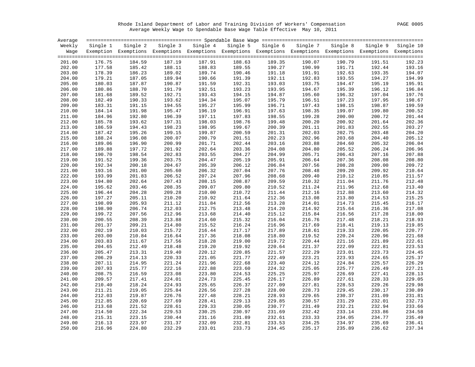Rhode Island Department of Labor and Training Division of Workers' Compensation PAGE 0005 Average Weekly Wage to Spendable Base Wage Table Effective May 10, 2011

| Average |          |                                                                                                              |          |          |        |                   |          |          |        |                    |
|---------|----------|--------------------------------------------------------------------------------------------------------------|----------|----------|--------|-------------------|----------|----------|--------|--------------------|
| Weekly  | Single 1 | Single 2                                                                                                     | Single 3 | Single 4 |        | Single 5 Single 6 | Single 7 | Single 8 |        | Single 9 Single 10 |
| Waqe    |          | Exemption Exemptions Exemptions Exemptions Exemptions Exemptions Exemptions Exemptions Exemptions Exemptions |          |          |        |                   |          |          |        |                    |
| 201.00  | 176.75   | 184.59                                                                                                       | 187.19   | 187.91   | 188.63 | 189.35            | 190.07   | 190.79   | 191.51 | 192.23             |
| 202.00  | 177.58   | 185.42                                                                                                       | 188.11   | 188.83   | 189.55 | 190.27            | 190.99   | 191.71   | 192.44 | 193.16             |
| 203.00  | 178.39   | 186.23                                                                                                       | 189.02   | 189.74   | 190.46 | 191.18            | 191.91   | 192.63   | 193.35 | 194.07             |
| 204.00  | 179.21   | 187.05                                                                                                       | 189.94   | 190.66   | 191.39 | 192.11            | 192.83   | 193.55   | 194.27 | 194.99             |
| 205.00  | 180.03   | 187.87                                                                                                       | 190.87   | 191.59   | 192.31 | 193.03            | 193.75   | 194.47   | 195.19 | 195.91             |
| 206.00  | 180.86   | 188.70                                                                                                       | 191.79   | 192.51   | 193.23 | 193.95            | 194.67   | 195.39   | 196.12 | 196.84             |
| 207.00  | 181.68   | 189.52                                                                                                       | 192.71   | 193.43   | 194.15 | 194.87            | 195.60   | 196.32   | 197.04 | 197.76             |
| 208.00  | 182.49   | 190.33                                                                                                       | 193.62   | 194.34   | 195.07 | 195.79            | 196.51   | 197.23   | 197.95 | 198.67             |
| 209.00  | 183.31   | 191.15                                                                                                       | 194.55   | 195.27   | 195.99 | 196.71            | 197.43   | 198.15   | 198.87 | 199.59             |
| 210.00  | 184.14   | 191.98                                                                                                       | 195.47   | 196.19   | 196.91 | 197.63            | 198.35   | 199.07   | 199.80 | 200.52             |
| 211.00  | 184.96   | 192.80                                                                                                       | 196.39   | 197.11   | 197.83 | 198.55            | 199.28   | 200.00   | 200.72 | 201.44             |
| 212.00  | 185.78   | 193.62                                                                                                       | 197.31   | 198.03   | 198.76 | 199.48            | 200.20   | 200.92   | 201.64 | 202.36             |
| 213.00  | 186.59   | 194.43                                                                                                       | 198.23   | 198.95   | 199.67 | 200.39            | 201.11   | 201.83   | 202.55 | 203.27             |
| 214.00  | 187.42   | 195.26                                                                                                       | 199.15   | 199.87   | 200.59 | 201.31            | 202.03   | 202.75   | 203.48 | 204.20             |
| 215.00  | 188.24   | 196.08                                                                                                       | 200.07   | 200.79   | 201.51 | 202.23            | 202.96   | 203.68   | 204.40 | 205.12             |
| 216.00  | 189.06   | 196.90                                                                                                       | 200.99   | 201.71   | 202.44 | 203.16            | 203.88   | 204.60   | 205.32 | 206.04             |
| 217.00  | 189.88   | 197.72                                                                                                       | 201.92   | 202.64   | 203.36 | 204.08            | 204.80   | 205.52   | 206.24 | 206.96             |
| 218.00  | 190.70   | 198.54                                                                                                       | 202.83   | 203.55   | 204.27 | 204.99            | 205.71   | 206.43   | 207.16 | 207.88             |
| 219.00  | 191.52   | 199.36                                                                                                       | 203.75   | 204.47   | 205.19 | 205.91            | 206.64   | 207.36   | 208.08 | 208.80             |
| 220.00  | 192.34   | 200.18                                                                                                       | 204.67   | 205.39   | 206.12 | 206.84            | 207.56   | 208.28   | 209.00 | 209.72             |
| 221.00  | 193.16   | 201.00                                                                                                       | 205.60   | 206.32   | 207.04 | 207.76            | 208.48   | 209.20   | 209.92 | 210.64             |
| 222.00  | 193.99   | 201.83                                                                                                       | 206.52   | 207.24   | 207.96 | 208.68            | 209.40   | 210.12   | 210.85 | 211.57             |
| 223.00  | 194.80   | 202.64                                                                                                       | 207.43   | 208.15   | 208.87 | 209.59            | 210.32   | 211.04   | 211.76 | 212.48             |
| 224.00  | 195.62   | 203.46                                                                                                       | 208.35   | 209.07   | 209.80 | 210.52            | 211.24   | 211.96   | 212.68 | 213.40             |
| 225.00  | 196.44   | 204.28                                                                                                       | 209.28   | 210.00   | 210.72 | 211.44            | 212.16   | 212.88   | 213.60 | 214.32             |
| 226.00  | 197.27   | 205.11                                                                                                       | 210.20   | 210.92   | 211.64 | 212.36            | 213.08   | 213.80   | 214.53 | 215.25             |
| 227.00  | 198.09   | 205.93                                                                                                       | 211.12   | 211.84   | 212.56 | 213.28            | 214.01   | 214.73   | 215.45 | 216.17             |
| 228.00  | 198.90   | 206.74                                                                                                       | 212.03   | 212.75   | 213.48 | 214.20            | 214.92   | 215.64   | 216.36 | 217.08             |
| 229.00  | 199.72   | 207.56                                                                                                       | 212.96   | 213.68   | 214.40 | 215.12            | 215.84   | 216.56   | 217.28 | 218.00             |
| 230.00  | 200.55   | 208.39                                                                                                       | 213.88   | 214.60   | 215.32 | 216.04            | 216.76   | 217.48   | 218.21 | 218.93             |
| 231.00  | 201.37   | 209.21                                                                                                       | 214.80   | 215.52   | 216.24 | 216.96            | 217.69   | 218.41   | 219.13 | 219.85             |
| 232.00  | 202.19   | 210.03                                                                                                       | 215.72   | 216.44   | 217.17 | 217.89            | 218.61   | 219.33   | 220.05 | 220.77             |
| 233.00  | 203.00   | 210.84                                                                                                       | 216.64   | 217.36   | 218.08 | 218.80            | 219.52   | 220.24   | 220.96 | 221.68             |
| 234.00  | 203.83   | 211.67                                                                                                       | 217.56   | 218.28   | 219.00 | 219.72            | 220.44   | 221.16   | 221.89 | 222.61             |
| 235.00  | 204.65   | 212.49                                                                                                       | 218.48   | 219.20   | 219.92 | 220.64            | 221.37   | 222.09   | 222.81 | 223.53             |
| 236.00  | 205.47   | 213.31                                                                                                       | 219.40   | 220.12   | 220.85 | 221.57            | 222.29   | 223.01   | 223.73 | 224.45             |
| 237.00  | 206.29   | 214.13                                                                                                       | 220.33   | 221.05   | 221.77 | 222.49            | 223.21   | 223.93   | 224.65 | 225.37             |
| 238.00  | 207.11   | 214.95                                                                                                       | 221.24   | 221.96   | 222.68 | 223.40            | 224.12   | 224.84   | 225.57 | 226.29             |
| 239.00  | 207.93   | 215.77                                                                                                       | 222.16   | 222.88   | 223.60 | 224.32            | 225.05   | 225.77   | 226.49 | 227.21             |
| 240.00  | 208.75   | 216.59                                                                                                       | 223.08   | 223.80   | 224.53 | 225.25            | 225.97   | 226.69   | 227.41 | 228.13             |
| 241.00  | 209.57   | 217.41                                                                                                       | 224.01   | 224.73   | 225.45 | 226.17            | 226.89   | 227.61   | 228.33 | 229.05             |
| 242.00  | 210.40   | 218.24                                                                                                       | 224.93   | 225.65   | 226.37 | 227.09            | 227.81   | 228.53   | 229.26 | 229.98             |
| 243.00  | 211.21   | 219.05                                                                                                       | 225.84   | 226.56   | 227.28 | 228.00            | 228.73   | 229.45   | 230.17 | 230.89             |
| 244.00  | 212.03   | 219.87                                                                                                       | 226.76   | 227.48   | 228.21 | 228.93            | 229.65   | 230.37   | 231.09 | 231.81             |
| 245.00  | 212.85   | 220.69                                                                                                       | 227.69   | 228.41   | 229.13 | 229.85            | 230.57   | 231.29   | 232.01 | 232.73             |
| 246.00  | 213.68   | 221.52                                                                                                       | 228.61   | 229.33   | 230.05 | 230.77            | 231.49   | 232.21   | 232.94 | 233.66             |
| 247.00  | 214.50   | 222.34                                                                                                       | 229.53   | 230.25   | 230.97 | 231.69            | 232.42   | 233.14   | 233.86 | 234.58             |
| 248.00  | 215.31   | 223.15                                                                                                       | 230.44   | 231.16   | 231.89 | 232.61            | 233.33   | 234.05   | 234.77 | 235.49             |
| 249.00  | 216.13   | 223.97                                                                                                       | 231.37   | 232.09   | 232.81 | 233.53            | 234.25   | 234.97   | 235.69 | 236.41             |
| 250.00  | 216.96   | 224.80                                                                                                       | 232.29   | 233.01   | 233.73 | 234.45            | 235.17   | 235.89   | 236.62 | 237.34             |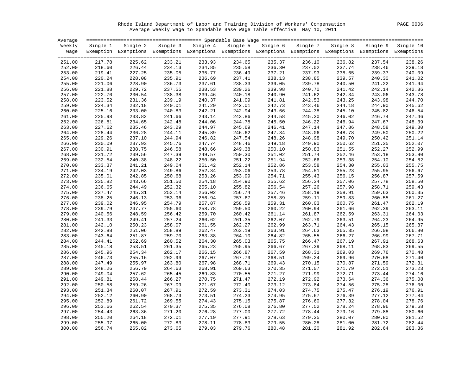Rhode Island Department of Labor and Training Division of Workers' Compensation PAGE 0006 Average Weekly Wage to Spendable Base Wage Table Effective May 10, 2011

| Average |          |                                                                                                              |        |                   |        |                   |          |          |        |                    |
|---------|----------|--------------------------------------------------------------------------------------------------------------|--------|-------------------|--------|-------------------|----------|----------|--------|--------------------|
| Weekly  | Single 1 | Single 2                                                                                                     |        | Single 3 Single 4 |        | Single 5 Single 6 | Single 7 | Single 8 |        | Single 9 Single 10 |
| Waqe    |          | Exemption Exemptions Exemptions Exemptions Exemptions Exemptions Exemptions Exemptions Exemptions Exemptions |        |                   |        |                   |          |          |        |                    |
|         |          |                                                                                                              |        |                   |        |                   |          |          |        |                    |
| 251.00  | 217.78   | 225.62                                                                                                       | 233.21 | 233.93            | 234.65 | 235.37            | 236.10   | 236.82   | 237.54 | 238.26             |
| 252.00  | 218.60   | 226.44                                                                                                       | 234.13 | 234.85            | 235.58 | 236.30            | 237.02   | 237.74   | 238.46 | 239.18             |
| 253.00  | 219.41   | 227.25                                                                                                       | 235.05 | 235.77            | 236.49 | 237.21            | 237.93   | 238.65   | 239.37 | 240.09             |
| 254.00  | 220.24   | 228.08                                                                                                       | 235.91 | 236.69            | 237.41 | 238.13            | 238.85   | 239.57   | 240.30 | 241.02             |
| 255.00  | 221.06   | 228.90                                                                                                       | 236.73 | 237.61            | 238.33 | 239.05            | 239.78   | 240.50   | 241.22 | 241.94             |
| 256.00  | 221.88   | 229.72                                                                                                       | 237.55 | 238.53            | 239.26 | 239.98            | 240.70   | 241.42   | 242.14 | 242.86             |
| 257.00  | 222.70   | 230.54                                                                                                       | 238.38 | 239.46            | 240.18 | 240.90            | 241.62   | 242.34   | 243.06 | 243.78             |
| 258.00  | 223.52   | 231.36                                                                                                       | 239.19 | 240.37            | 241.09 | 241.81            | 242.53   | 243.25   | 243.98 | 244.70             |
| 259.00  | 224.34   | 232.18                                                                                                       | 240.01 | 241.29            | 242.01 | 242.73            | 243.46   | 244.18   | 244.90 | 245.62             |
| 260.00  | 225.16   | 233.00                                                                                                       | 240.83 | 242.21            | 242.94 | 243.66            | 244.38   | 245.10   | 245.82 | 246.54             |
| 261.00  | 225.98   | 233.82                                                                                                       | 241.66 | 243.14            | 243.86 | 244.58            | 245.30   | 246.02   | 246.74 | 247.46             |
| 262.00  | 226.81   | 234.65                                                                                                       | 242.48 | 244.06            | 244.78 | 245.50            | 246.22   | 246.94   | 247.67 | 248.39             |
| 263.00  | 227.62   | 235.46                                                                                                       | 243.29 | 244.97            | 245.69 | 246.41            | 247.14   | 247.86   | 248.58 | 249.30             |
| 264.00  | 228.44   | 236.28                                                                                                       | 244.11 | 245.89            | 246.62 | 247.34            | 248.06   | 248.78   | 249.50 | 250.22             |
|         | 229.26   | 237.10                                                                                                       | 244.94 | 246.82            | 247.54 | 248.26            | 248.98   | 249.70   | 250.42 | 251.14             |
| 265.00  |          | 237.93                                                                                                       |        | 247.74            |        |                   |          |          |        | 252.07             |
| 266.00  | 230.09   |                                                                                                              | 245.76 |                   | 248.46 | 249.18            | 249.90   | 250.62   | 251.35 | 252.99             |
| 267.00  | 230.91   | 238.75                                                                                                       | 246.58 | 248.66            | 249.38 | 250.10            | 250.83   | 251.55   | 252.27 |                    |
| 268.00  | 231.72   | 239.56                                                                                                       | 247.39 | 249.57            | 250.30 | 251.02            | 251.74   | 252.46   | 253.18 | 253.90             |
| 269.00  | 232.54   | 240.38                                                                                                       | 248.22 | 250.50            | 251.22 | 251.94            | 252.66   | 253.38   | 254.10 | 254.82             |
| 270.00  | 233.37   | 241.21                                                                                                       | 249.04 | 251.42            | 252.14 | 252.86            | 253.58   | 254.30   | 255.03 | 255.75             |
| 271.00  | 234.19   | 242.03                                                                                                       | 249.86 | 252.34            | 253.06 | 253.78            | 254.51   | 255.23   | 255.95 | 256.67             |
| 272.00  | 235.01   | 242.85                                                                                                       | 250.68 | 253.26            | 253.99 | 254.71            | 255.43   | 256.15   | 256.87 | 257.59             |
| 273.00  | 235.82   | 243.66                                                                                                       | 251.50 | 254.18            | 254.90 | 255.62            | 256.34   | 257.06   | 257.78 | 258.50             |
| 274.00  | 236.65   | 244.49                                                                                                       | 252.32 | 255.10            | 255.82 | 256.54            | 257.26   | 257.98   | 258.71 | 259.43             |
| 275.00  | 237.47   | 245.31                                                                                                       | 253.14 | 256.02            | 256.74 | 257.46            | 258.19   | 258.91   | 259.63 | 260.35             |
| 276.00  | 238.25   | 246.13                                                                                                       | 253.96 | 256.94            | 257.67 | 258.39            | 259.11   | 259.83   | 260.55 | 261.27             |
| 277.00  | 239.02   | 246.95                                                                                                       | 254.79 | 257.87            | 258.59 | 259.31            | 260.03   | 260.75   | 261.47 | 262.19             |
| 278.00  | 239.79   | 247.77                                                                                                       | 255.60 | 258.78            | 259.50 | 260.22            | 260.94   | 261.66   | 262.39 | 263.11             |
| 279.00  | 240.56   | 248.59                                                                                                       | 256.42 | 259.70            | 260.42 | 261.14            | 261.87   | 262.59   | 263.31 | 264.03             |
| 280.00  | 241.33   | 249.41                                                                                                       | 257.24 | 260.62            | 261.35 | 262.07            | 262.79   | 263.51   | 264.23 | 264.95             |
| 281.00  | 242.10   | 250.23                                                                                                       | 258.07 | 261.55            | 262.27 | 262.99            | 263.71   | 264.43   | 265.15 | 265.87             |
| 282.00  | 242.88   | 251.06                                                                                                       | 258.89 | 262.47            | 263.19 | 263.91            | 264.63   | 265.35   | 266.08 | 266.80             |
| 283.00  | 243.64   | 251.87                                                                                                       | 259.70 | 263.38            | 264.10 | 264.82            | 265.55   | 266.27   | 266.99 | 267.71             |
| 284.00  | 244.41   | 252.69                                                                                                       | 260.52 | 264.30            | 265.03 | 265.75            | 266.47   | 267.19   | 267.91 | 268.63             |
| 285.00  | 245.18   | 253.51                                                                                                       | 261.35 | 265.23            | 265.95 | 266.67            | 267.39   | 268.11   | 268.83 | 269.55             |
| 286.00  | 245.96   | 254.34                                                                                                       | 262.17 | 266.15            | 266.87 | 267.59            | 268.31   | 269.03   | 269.76 | 270.48             |
| 287.00  | 246.73   | 255.16                                                                                                       | 262.99 | 267.07            | 267.79 | 268.51            | 269.24   | 269.96   | 270.68 | 271.40             |
| 288.00  | 247.49   | 255.97                                                                                                       | 263.80 | 267.98            | 268.71 | 269.43            | 270.15   | 270.87   | 271.59 | 272.31             |
| 289.00  | 248.26   | 256.79                                                                                                       | 264.63 | 268.91            | 269.63 | 270.35            | 271.07   | 271.79   | 272.51 | 273.23             |
| 290.00  | 249.04   | 257.62                                                                                                       | 265.45 | 269.83            | 270.55 | 271.27            | 271.99   | 272.71   | 273.44 | 274.16             |
| 291.00  | 249.81   | 258.44                                                                                                       | 266.27 | 270.75            | 271.47 | 272.19            | 272.92   | 273.64   | 274.36 | 275.08             |
| 292.00  | 250.58   | 259.26                                                                                                       | 267.09 | 271.67            | 272.40 | 273.12            | 273.84   | 274.56   | 275.28 | 276.00             |
| 293.00  | 251.34   | 260.07                                                                                                       | 267.91 | 272.59            | 273.31 | 274.03            | 274.75   | 275.47   | 276.19 | 276.91             |
| 294.00  | 252.12   | 260.90                                                                                                       | 268.73 | 273.51            | 274.23 | 274.95            | 275.67   | 276.39   | 277.12 | 277.84             |
| 295.00  | 252.89   | 261.72                                                                                                       | 269.55 | 274.43            | 275.15 | 275.87            | 276.60   | 277.32   | 278.04 | 278.76             |
| 296.00  | 253.66   | 262.54                                                                                                       | 270.37 | 275.35            | 276.08 | 276.80            | 277.52   | 278.24   | 278.96 | 279.68             |
| 297.00  | 254.43   | 263.36                                                                                                       | 271.20 | 276.28            | 277.00 | 277.72            | 278.44   | 279.16   | 279.88 | 280.60             |
| 298.00  | 255.20   | 264.18                                                                                                       | 272.01 | 277.19            | 277.91 | 278.63            | 279.35   | 280.07   | 280.80 | 281.52             |
| 299.00  | 255.97   | 265.00                                                                                                       | 272.83 | 278.11            | 278.83 | 279.55            | 280.28   | 281.00   | 281.72 | 282.44             |
| 300.00  | 256.74   | 265.82                                                                                                       | 273.65 | 279.03            | 279.76 | 280.48            | 281.20   | 281.92   | 282.64 | 283.36             |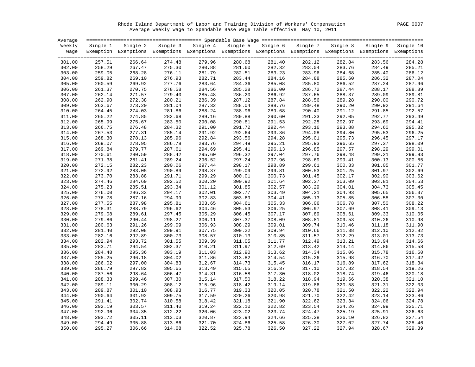Rhode Island Department of Labor and Training Division of Workers' Compensation PAGE 0007 Average Weekly Wage to Spendable Base Wage Table Effective May 10, 2011

| Average |          |                                                                                                              |        |                   |        |                   |          |          |        |                    |
|---------|----------|--------------------------------------------------------------------------------------------------------------|--------|-------------------|--------|-------------------|----------|----------|--------|--------------------|
| Weekly  | Single 1 | Single 2                                                                                                     |        | Single 3 Single 4 |        | Single 5 Single 6 | Single 7 | Single 8 |        | Single 9 Single 10 |
| Waqe    |          | Exemption Exemptions Exemptions Exemptions Exemptions Exemptions Exemptions Exemptions Exemptions Exemptions |        |                   |        |                   |          |          |        |                    |
| 301.00  | 257.51   | 266.64                                                                                                       | 274.48 | 279.96            | 280.68 | 281.40            | 282.12   | 282.84   | 283.56 | 284.28             |
| 302.00  | 258.29   | 267.47                                                                                                       | 275.30 | 280.88            | 281.60 | 282.32            | 283.04   | 283.76   | 284.49 | 285.21             |
| 303.00  | 259.05   | 268.28                                                                                                       | 276.11 | 281.79            | 282.51 | 283.23            | 283.96   | 284.68   | 285.40 | 286.12             |
| 304.00  | 259.82   | 269.10                                                                                                       | 276.93 | 282.71            | 283.44 | 284.16            | 284.88   | 285.60   | 286.32 | 287.04             |
| 305.00  | 260.59   | 269.92                                                                                                       | 277.76 | 283.64            | 284.36 | 285.08            | 285.80   | 286.52   | 287.24 | 287.96             |
| 306.00  | 261.37   | 270.75                                                                                                       | 278.58 | 284.56            | 285.28 | 286.00            | 286.72   | 287.44   | 288.17 | 288.89             |
| 307.00  | 262.14   | 271.57                                                                                                       | 279.40 | 285.48            | 286.20 | 286.92            | 287.65   | 288.37   | 289.09 | 289.81             |
| 308.00  | 262.90   | 272.38                                                                                                       | 280.21 | 286.39            | 287.12 | 287.84            | 288.56   | 289.28   | 290.00 | 290.72             |
| 309.00  | 263.67   | 273.20                                                                                                       | 281.04 | 287.32            | 288.04 | 288.76            | 289.48   | 290.20   | 290.92 | 291.64             |
| 310.00  | 264.45   | 274.03                                                                                                       | 281.86 | 288.24            | 288.96 | 289.68            | 290.40   | 291.12   | 291.85 | 292.57             |
| 311.00  | 265.22   | 274.85                                                                                                       | 282.68 | 289.16            | 289.88 | 290.60            | 291.33   | 292.05   | 292.77 | 293.49             |
| 312.00  | 265.99   | 275.67                                                                                                       | 283.50 | 290.08            | 290.81 | 291.53            | 292.25   | 292.97   | 293.69 | 294.41             |
| 313.00  | 266.75   | 276.48                                                                                                       | 284.32 | 291.00            | 291.72 | 292.44            | 293.16   | 293.88   | 294.60 | 295.32             |
| 314.00  | 267.53   | 277.31                                                                                                       | 285.14 | 291.92            | 292.64 | 293.36            | 294.08   | 294.80   | 295.53 | 296.25             |
| 315.00  | 268.30   | 278.13                                                                                                       | 285.96 | 292.84            | 293.56 | 294.28            | 295.01   | 295.73   | 296.45 | 297.17             |
| 316.00  | 269.07   | 278.95                                                                                                       | 286.78 | 293.76            | 294.49 | 295.21            | 295.93   | 296.65   | 297.37 | 298.09             |
| 317.00  | 269.84   | 279.77                                                                                                       | 287.61 | 294.69            | 295.41 | 296.13            | 296.85   | 297.57   | 298.29 | 299.01             |
| 318.00  | 270.61   | 280.59                                                                                                       | 288.42 | 295.60            | 296.32 | 297.04            | 297.76   | 298.48   | 299.21 | 299.93             |
| 319.00  | 271.38   | 281.41                                                                                                       | 289.24 | 296.52            | 297.24 | 297.96            | 298.69   | 299.41   | 300.13 | 300.85             |
| 320.00  | 272.15   | 282.23                                                                                                       | 290.06 | 297.44            | 298.17 | 298.89            | 299.61   | 300.33   | 301.05 | 301.77             |
| 321.00  | 272.92   | 283.05                                                                                                       | 290.89 | 298.37            | 299.09 | 299.81            | 300.53   | 301.25   | 301.97 | 302.69             |
| 322.00  | 273.70   | 283.88                                                                                                       | 291.71 | 299.29            | 300.01 | 300.73            | 301.45   | 302.17   | 302.90 | 303.62             |
| 323.00  | 274.46   | 284.69                                                                                                       | 292.52 | 300.20            | 300.92 | 301.64            | 302.37   | 303.09   | 303.81 | 304.53             |
| 324.00  | 275.23   | 285.51                                                                                                       | 293.34 | 301.12            | 301.85 | 302.57            | 303.29   | 304.01   | 304.73 | 305.45             |
| 325.00  | 276.00   | 286.33                                                                                                       | 294.17 | 302.01            | 302.77 | 303.49            | 304.21   | 304.93   | 305.65 | 306.37             |
| 326.00  | 276.78   | 287.16                                                                                                       | 294.99 | 302.83            | 303.69 | 304.41            | 305.13   | 305.85   | 306.58 | 307.30             |
| 327.00  | 277.55   | 287.98                                                                                                       | 295.81 | 303.65            | 304.61 | 305.33            | 306.06   | 306.78   | 307.50 | 308.22             |
| 328.00  | 278.31   | 288.79                                                                                                       | 296.62 | 304.46            | 305.53 | 306.25            | 306.97   | 307.69   | 308.41 | 309.13             |
| 329.00  | 279.08   | 289.61                                                                                                       | 297.45 | 305.29            | 306.45 | 307.17            | 307.89   | 308.61   | 309.33 | 310.05             |
| 330.00  | 279.86   | 290.44                                                                                                       | 298.27 | 306.11            | 307.37 | 308.09            | 308.81   | 309.53   | 310.26 | 310.98             |
| 331.00  | 280.63   | 291.26                                                                                                       | 299.09 | 306.93            | 308.29 | 309.01            | 309.74   | 310.46   | 311.18 | 311.90             |
| 332.00  | 281.40   | 292.08                                                                                                       | 299.91 | 307.75            | 309.22 | 309.94            | 310.66   | 311.38   | 312.10 | 312.82             |
| 333.00  | 282.16   | 292.89                                                                                                       | 300.73 | 308.57            | 310.13 | 310.85            | 311.57   | 312.29   | 313.01 | 313.73             |
| 334.00  | 282.94   | 293.72                                                                                                       | 301.55 | 309.39            | 311.05 | 311.77            | 312.49   | 313.21   | 313.94 | 314.66             |
| 335.00  | 283.71   | 294.54                                                                                                       | 302.37 | 310.21            | 311.97 | 312.69            | 313.42   | 314.14   | 314.86 | 315.58             |
| 336.00  | 284.48   | 295.36                                                                                                       | 303.19 | 311.03            | 312.90 | 313.62            | 314.34   | 315.06   | 315.78 | 316.50             |
| 337.00  | 285.25   | 296.18                                                                                                       | 304.02 | 311.86            | 313.82 | 314.54            | 315.26   | 315.98   | 316.70 | 317.42             |
| 338.00  | 286.02   | 297.00                                                                                                       | 304.83 | 312.67            | 314.73 | 315.45            | 316.17   | 316.89   | 317.62 | 318.34             |
| 339.00  | 286.79   | 297.82                                                                                                       | 305.65 | 313.49            | 315.65 | 316.37            | 317.10   | 317.82   | 318.54 | 319.26             |
| 340.00  | 287.56   | 298.64                                                                                                       | 306.47 | 314.31            | 316.58 | 317.30            | 318.02   | 318.74   | 319.46 | 320.18             |
| 341.00  | 288.33   | 299.46                                                                                                       | 307.30 | 315.14            | 317.50 | 318.22            | 318.94   | 319.66   | 320.38 | 321.10             |
| 342.00  | 289.11   | 300.29                                                                                                       | 308.12 | 315.96            | 318.42 | 319.14            | 319.86   | 320.58   | 321.31 | 322.03             |
| 343.00  | 289.87   | 301.10                                                                                                       | 308.93 | 316.77            | 319.33 | 320.05            | 320.78   | 321.50   | 322.22 | 322.94             |
| 344.00  | 290.64   | 301.92                                                                                                       | 309.75 | 317.59            | 320.26 | 320.98            | 321.70   | 322.42   | 323.14 | 323.86             |
| 345.00  | 291.41   | 302.74                                                                                                       | 310.58 | 318.42            | 321.18 | 321.90            | 322.62   | 323.34   | 324.06 | 324.78             |
| 346.00  | 292.19   | 303.57                                                                                                       | 311.40 | 319.24            | 322.10 | 322.82            | 323.54   | 324.26   | 324.99 | 325.71             |
| 347.00  | 292.96   | 304.35                                                                                                       | 312.22 | 320.06            | 323.02 | 323.74            | 324.47   | 325.19   | 325.91 | 326.63             |
| 348.00  | 293.72   | 305.11                                                                                                       | 313.03 | 320.87            | 323.94 | 324.66            | 325.38   | 326.10   | 326.82 | 327.54             |
| 349.00  | 294.49   | 305.88                                                                                                       | 313.86 | 321.70            | 324.86 | 325.58            | 326.30   | 327.02   | 327.74 | 328.46             |
| 350.00  | 295.27   | 306.66                                                                                                       | 314.68 | 322.52            | 325.78 | 326.50            | 327.22   | 327.94   | 328.67 | 329.39             |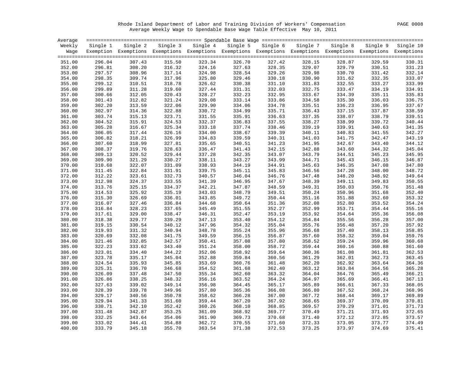Rhode Island Department of Labor and Training Division of Workers' Compensation PAGE 0008 Average Weekly Wage to Spendable Base Wage Table Effective May 10, 2011

| Average |          |                                                                                                              |        |                   |        |                   |          |          |        |                    |
|---------|----------|--------------------------------------------------------------------------------------------------------------|--------|-------------------|--------|-------------------|----------|----------|--------|--------------------|
| Weekly  | Single 1 | Single 2                                                                                                     |        | Single 3 Single 4 |        | Single 5 Single 6 | Single 7 | Single 8 |        | Single 9 Single 10 |
| Waqe    |          | Exemption Exemptions Exemptions Exemptions Exemptions Exemptions Exemptions Exemptions Exemptions Exemptions |        |                   |        |                   |          |          |        |                    |
| 351.00  | 296.04   | 307.43                                                                                                       | 315.50 | 323.34            | 326.70 | 327.42            | 328.15   | 328.87   | 329.59 | 330.31             |
| 352.00  | 296.81   | 308.20                                                                                                       | 316.32 | 324.16            | 327.63 | 328.35            | 329.07   | 329.79   | 330.51 | 331.23             |
| 353.00  | 297.57   | 308.96                                                                                                       | 317.14 | 324.98            | 328.54 | 329.26            | 329.98   | 330.70   | 331.42 | 332.14             |
| 354.00  | 298.35   | 309.74                                                                                                       | 317.96 | 325.80            | 329.46 | 330.18            | 330.90   | 331.62   | 332.35 | 333.07             |
| 355.00  | 299.12   | 310.51                                                                                                       | 318.78 | 326.62            | 330.38 | 331.10            | 331.83   | 332.55   | 333.27 | 333.99             |
| 356.00  | 299.89   | 311.28                                                                                                       | 319.60 | 327.44            | 331.31 | 332.03            | 332.75   | 333.47   | 334.19 | 334.91             |
| 357.00  | 300.66   | 312.05                                                                                                       | 320.43 | 328.27            | 332.23 | 332.95            | 333.67   | 334.39   | 335.11 | 335.83             |
| 358.00  | 301.43   | 312.82                                                                                                       | 321.24 | 329.08            | 333.14 | 333.86            | 334.58   | 335.30   | 336.03 | 336.75             |
| 359.00  | 302.20   | 313.59                                                                                                       | 322.06 | 329.90            | 334.06 | 334.78            | 335.51   | 336.23   | 336.95 | 337.67             |
| 360.00  | 302.97   | 314.36                                                                                                       | 322.88 | 330.72            | 334.99 | 335.71            | 336.43   | 337.15   | 337.87 | 338.59             |
| 361.00  | 303.74   | 315.13                                                                                                       | 323.71 | 331.55            | 335.91 | 336.63            | 337.35   | 338.07   | 338.79 | 339.51             |
| 362.00  | 304.52   | 315.91                                                                                                       | 324.53 | 332.37            | 336.83 | 337.55            | 338.27   | 338.99   | 339.72 | 340.44             |
| 363.00  | 305.28   | 316.67                                                                                                       | 325.34 | 333.18            | 337.74 | 338.46            | 339.19   | 339.91   | 340.63 | 341.35             |
| 364.00  | 306.05   | 317.44                                                                                                       | 326.16 | 334.00            | 338.67 | 339.39            | 340.11   | 340.83   | 341.55 | 342.27             |
| 365.00  | 306.82   | 318.21                                                                                                       | 326.99 | 334.83            | 339.59 | 340.31            | 341.03   | 341.75   | 342.47 | 343.19             |
| 366.00  | 307.60   | 318.99                                                                                                       | 327.81 | 335.65            | 340.51 | 341.23            | 341.95   | 342.67   | 343.40 | 344.12             |
| 367.00  | 308.37   | 319.76                                                                                                       | 328.63 | 336.47            | 341.43 | 342.15            | 342.88   | 343.60   | 344.32 | 345.04             |
| 368.00  | 309.13   | 320.52                                                                                                       | 329.44 | 337.28            | 342.35 | 343.07            | 343.79   | 344.51   | 345.23 | 345.95             |
| 369.00  | 309.90   | 321.29                                                                                                       | 330.27 | 338.11            | 343.27 | 343.99            | 344.71   | 345.43   | 346.15 | 346.87             |
| 370.00  | 310.68   | 322.07                                                                                                       | 331.09 | 338.93            | 344.19 | 344.91            | 345.63   | 346.35   | 347.08 | 347.80             |
| 371.00  | 311.45   | 322.84                                                                                                       | 331.91 | 339.75            | 345.11 | 345.83            | 346.56   | 347.28   | 348.00 | 348.72             |
| 372.00  | 312.22   | 323.61                                                                                                       | 332.73 | 340.57            | 346.04 | 346.76            | 347.48   | 348.20   | 348.92 | 349.64             |
| 373.00  | 312.98   | 324.37                                                                                                       | 333.55 | 341.39            | 346.95 | 347.67            | 348.39   | 349.11   | 349.83 | 350.55             |
| 374.00  | 313.76   | 325.15                                                                                                       | 334.37 | 342.21            | 347.87 | 348.59            | 349.31   | 350.03   | 350.76 | 351.48             |
| 375.00  | 314.53   | 325.92                                                                                                       | 335.19 | 343.03            | 348.79 | 349.51            | 350.24   | 350.96   | 351.68 | 352.40             |
| 376.00  | 315.30   | 326.69                                                                                                       | 336.01 | 343.85            | 349.72 | 350.44            | 351.16   | 351.88   | 352.60 | 353.32             |
| 377.00  | 316.07   | 327.46                                                                                                       | 336.84 | 344.68            | 350.64 | 351.36            | 352.08   | 352.80   | 353.52 | 354.24             |
| 378.00  | 316.84   | 328.23                                                                                                       | 337.65 | 345.49            | 351.55 | 352.27            | 352.99   | 353.71   | 354.44 | 355.16             |
| 379.00  | 317.61   | 329.00                                                                                                       | 338.47 | 346.31            | 352.47 | 353.19            | 353.92   | 354.64   | 355.36 | 356.08             |
| 380.00  | 318.38   | 329.77                                                                                                       | 339.29 | 347.13            | 353.40 | 354.12            | 354.84   | 355.56   | 356.28 | 357.00             |
| 381.00  | 319.15   | 330.54                                                                                                       | 340.12 | 347.96            | 354.32 | 355.04            | 355.76   | 356.48   | 357.20 | 357.92             |
| 382.00  | 319.93   | 331.32                                                                                                       | 340.94 | 348.78            | 355.24 | 355.96            | 356.68   | 357.40   | 358.13 | 358.85             |
| 383.00  | 320.69   | 332.08                                                                                                       | 341.75 | 349.59            | 356.15 | 356.87            | 357.60   | 358.32   | 359.04 | 359.76             |
| 384.00  | 321.46   | 332.85                                                                                                       | 342.57 | 350.41            | 357.08 | 357.80            | 358.52   | 359.24   | 359.96 | 360.68             |
| 385.00  | 322.23   | 333.62                                                                                                       | 343.40 | 351.24            | 358.00 | 358.72            | 359.44   | 360.16   | 360.88 | 361.60             |
| 386.00  | 323.01   | 334.40                                                                                                       | 344.22 | 352.06            | 358.92 | 359.64            | 360.36   | 361.08   | 361.81 | 362.53             |
| 387.00  | 323.78   | 335.17                                                                                                       | 345.04 | 352.88            | 359.84 | 360.56            | 361.29   | 362.01   | 362.73 | 363.45             |
| 388.00  | 324.54   | 335.93                                                                                                       | 345.85 | 353.69            | 360.76 | 361.48            | 362.20   | 362.92   | 363.64 | 364.36             |
| 389.00  | 325.31   | 336.70                                                                                                       | 346.68 | 354.52            | 361.68 | 362.40            | 363.12   | 363.84   | 364.56 | 365.28             |
| 390.00  | 326.09   | 337.48                                                                                                       | 347.50 | 355.34            | 362.60 | 363.32            | 364.04   | 364.76   | 365.49 | 366.21             |
| 391.00  | 326.86   | 338.25                                                                                                       | 348.32 | 356.16            | 363.52 | 364.24            | 364.97   | 365.69   | 366.41 | 367.13             |
| 392.00  | 327.63   | 339.02                                                                                                       | 349.14 | 356.98            | 364.45 | 365.17            | 365.89   | 366.61   | 367.33 | 368.05             |
| 393.00  | 328.39   | 339.78                                                                                                       | 349.96 | 357.80            | 365.36 | 366.08            | 366.80   | 367.52   | 368.24 | 368.96             |
| 394.00  | 329.17   | 340.56                                                                                                       | 350.78 | 358.62            | 366.28 | 367.00            | 367.72   | 368.44   | 369.17 | 369.89             |
| 395.00  | 329.94   | 341.33                                                                                                       | 351.60 | 359.44            | 367.20 | 367.92            | 368.65   | 369.37   | 370.09 | 370.81             |
| 396.00  | 330.71   | 342.10                                                                                                       | 352.42 | 360.26            | 368.10 | 368.85            | 369.57   | 370.29   | 371.01 | 371.73             |
| 397.00  | 331.48   | 342.87                                                                                                       | 353.25 | 361.09            | 368.92 | 369.77            | 370.49   | 371.21   | 371.93 | 372.65             |
| 398.00  | 332.25   | 343.64                                                                                                       | 354.06 | 361.90            | 369.73 | 370.68            | 371.40   | 372.12   | 372.85 | 373.57             |
| 399.00  | 333.02   | 344.41                                                                                                       | 354.88 | 362.72            | 370.55 | 371.60            | 372.33   | 373.05   | 373.77 | 374.49             |
| 400.00  | 333.79   | 345.18                                                                                                       | 355.70 | 363.54            | 371.38 | 372.53            | 373.25   | 373.97   | 374.69 | 375.41             |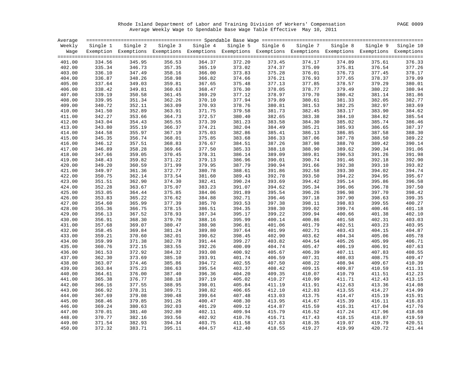Rhode Island Department of Labor and Training Division of Workers' Compensation PAGE 0009 Average Weekly Wage to Spendable Base Wage Table Effective May 10, 2011

| Average |          |                                                                                                                   |        |                   |        |                   |        |                   |        |                    |
|---------|----------|-------------------------------------------------------------------------------------------------------------------|--------|-------------------|--------|-------------------|--------|-------------------|--------|--------------------|
| Weekly  | Single 1 | Single 2                                                                                                          |        | Single 3 Single 4 |        | Single 5 Single 6 |        | Single 7 Single 8 |        | Single 9 Single 10 |
|         |          | Wage Exemption Exemptions Exemptions Exemptions Exemptions Exemptions Exemptions Exemptions Exemptions Exemptions |        |                   |        |                   |        |                   |        |                    |
| 401.00  | 334.56   | 345.95                                                                                                            | 356.53 | 364.37            | 372.20 | 373.45            | 374.17 | 374.89            | 375.61 | 376.33             |
| 402.00  | 335.34   | 346.73                                                                                                            | 357.35 | 365.19            | 373.02 | 374.37            | 375.09 | 375.81            | 376.54 | 377.26             |
| 403.00  | 336.10   | 347.49                                                                                                            | 358.16 | 366.00            | 373.83 | 375.28            | 376.01 | 376.73            | 377.45 | 378.17             |
| 404.00  | 336.87   | 348.26                                                                                                            | 358.98 | 366.82            | 374.66 | 376.21            | 376.93 | 377.65            | 378.37 | 379.09             |
| 405.00  | 337.64   | 349.03                                                                                                            | 359.81 | 367.65            | 375.48 | 377.13            | 377.85 | 378.57            | 379.29 | 380.01             |
| 406.00  | 338.42   | 349.81                                                                                                            | 360.63 | 368.47            | 376.30 | 378.05            | 378.77 | 379.49            | 380.22 | 380.94             |
| 407.00  | 339.19   | 350.58                                                                                                            | 361.45 | 369.29            | 377.12 | 378.97            | 379.70 | 380.42            | 381.14 | 381.86             |
| 408.00  | 339.95   | 351.34                                                                                                            | 362.26 | 370.10            | 377.94 | 379.89            | 380.61 | 381.33            | 382.05 | 382.77             |
| 409.00  | 340.72   | 352.11                                                                                                            | 363.09 | 370.93            | 378.76 | 380.81            | 381.53 | 382.25            | 382.97 | 383.69             |
| 410.00  | 341.50   | 352.89                                                                                                            | 363.91 | 371.75            | 379.58 | 381.73            | 382.45 | 383.17            | 383.90 | 384.62             |
| 411.00  | 342.27   | 353.66                                                                                                            | 364.73 | 372.57            | 380.40 | 382.65            | 383.38 | 384.10            | 384.82 | 385.54             |
| 412.00  | 343.04   | 354.43                                                                                                            | 365.55 | 373.39            | 381.23 | 383.58            | 384.30 | 385.02            | 385.74 | 386.46             |
| 413.00  | 343.80   | 355.19                                                                                                            | 366.37 | 374.21            | 382.04 | 384.49            | 385.21 | 385.93            | 386.65 | 387.37             |
| 414.00  | 344.58   | 355.97                                                                                                            | 367.19 | 375.03            | 382.86 | 385.41            | 386.13 | 386.85            | 387.58 | 388.30             |
| 415.00  | 345.35   | 356.74                                                                                                            | 368.01 | 375.85            | 383.68 | 386.33            | 387.06 | 387.78            | 388.50 | 389.22             |
| 416.00  | 346.12   | 357.51                                                                                                            | 368.83 | 376.67            | 384.51 | 387.26            | 387.98 | 388.70            | 389.42 | 390.14             |
| 417.00  | 346.89   | 358.28                                                                                                            | 369.66 | 377.50            | 385.33 | 388.18            | 388.90 | 389.62            | 390.34 | 391.06             |
| 418.00  | 347.66   | 359.05                                                                                                            | 370.45 | 378.31            | 386.14 | 389.09            | 389.81 | 390.53            | 391.26 | 391.98             |
| 419.00  | 348.43   | 359.82                                                                                                            | 371.22 | 379.13            | 386.96 | 390.01            | 390.74 | 391.46            | 392.18 | 392.90             |
| 420.00  | 349.20   | 360.59                                                                                                            | 371.99 | 379.95            | 387.79 | 390.94            | 391.66 | 392.38            | 393.10 | 393.82             |
| 421.00  | 349.97   | 361.36                                                                                                            | 372.77 | 380.78            | 388.61 | 391.86            | 392.58 | 393.30            | 394.02 | 394.74             |
| 422.00  | 350.75   | 362.14                                                                                                            | 373.54 | 381.60            | 389.43 | 392.78            | 393.50 | 394.22            | 394.95 | 395.67             |
| 423.00  | 351.51   | 362.90                                                                                                            | 374.30 | 382.41            | 390.24 | 393.69            | 394.42 | 395.14            | 395.86 | 396.58             |
| 424.00  | 352.28   | 363.67                                                                                                            | 375.07 | 383.23            | 391.07 | 394.62            | 395.34 | 396.06            | 396.78 | 397.50             |
| 425.00  | 353.05   | 364.44                                                                                                            | 375.85 | 384.06            | 391.89 | 395.54            | 396.26 | 396.98            | 397.70 | 398.42             |
| 426.00  | 353.83   | 365.22                                                                                                            | 376.62 | 384.88            | 392.71 | 396.46            | 397.18 | 397.90            | 398.63 | 399.35             |
| 427.00  | 354.60   | 365.99                                                                                                            | 377.39 | 385.70            | 393.53 | 397.38            | 398.11 | 398.83            | 399.55 | 400.27             |
| 428.00  | 355.36   | 366.75                                                                                                            | 378.15 | 386.51            | 394.35 | 398.30            | 399.02 | 399.74            | 400.46 | 401.18             |
| 429.00  | 356.13   | 367.52                                                                                                            | 378.93 | 387.34            | 395.17 | 399.22            | 399.94 | 400.66            | 401.38 | 402.10             |
| 430.00  | 356.91   | 368.30                                                                                                            | 379.70 | 388.16            | 395.99 | 400.14            | 400.86 | 401.58            | 402.31 | 403.03             |
| 431.00  | 357.68   | 369.07                                                                                                            | 380.47 | 388.98            | 396.81 | 401.06            | 401.79 | 402.51            | 403.23 | 403.95             |
| 432.00  | 358.45   | 369.84                                                                                                            | 381.24 | 389.80            | 397.64 | 401.99            | 402.71 | 403.43            | 404.15 | 404.87             |
| 433.00  | 359.21   | 370.60                                                                                                            | 382.01 | 390.62            | 398.45 | 402.90            | 403.62 | 404.34            | 405.06 | 405.78             |
| 434.00  | 359.99   | 371.38                                                                                                            | 382.78 | 391.44            | 399.27 | 403.82            | 404.54 | 405.26            | 405.99 | 406.71             |
| 435.00  | 360.76   | 372.15                                                                                                            | 383.55 | 392.26            | 400.09 | 404.74            | 405.47 | 406.19            | 406.91 | 407.63             |
| 436.00  | 361.53   | 372.92                                                                                                            | 384.32 | 393.08            | 400.92 | 405.67            | 406.39 | 407.11            | 407.83 | 408.55             |
| 437.00  | 362.30   | 373.69                                                                                                            | 385.10 | 393.91            | 401.74 | 406.59            | 407.31 | 408.03            | 408.75 | 409.47             |
| 438.00  | 363.07   | 374.46                                                                                                            | 385.86 | 394.72            | 402.55 | 407.50            | 408.22 | 408.94            | 409.67 | 410.39             |
| 439.00  | 363.84   | 375.23                                                                                                            | 386.63 | 395.54            | 403.37 | 408.42            | 409.15 | 409.87            | 410.59 | 411.31             |
| 440.00  | 364.61   | 376.00                                                                                                            | 387.40 | 396.36            | 404.20 | 409.35            | 410.07 | 410.79            | 411.51 | 412.23             |
| 441.00  | 365.38   | 376.77                                                                                                            | 388.18 | 397.19            | 405.02 | 410.27            | 410.99 | 411.71            | 412.43 | 413.15             |
| 442.00  | 366.16   | 377.55                                                                                                            | 388.95 | 398.01            | 405.84 | 411.19            | 411.91 | 412.63            | 413.36 | 414.08             |
| 443.00  | 366.92   | 378.31                                                                                                            | 389.71 | 398.82            | 406.65 | 412.10            | 412.83 | 413.55            | 414.27 | 414.99             |
| 444.00  | 367.69   | 379.08                                                                                                            | 390.48 | 399.64            | 407.48 | 413.03            | 413.75 | 414.47            | 415.19 | 415.91             |
| 445.00  | 368.46   | 379.85                                                                                                            | 391.26 | 400.47            | 408.30 | 413.95            | 414.67 | 415.39            | 416.11 | 416.83             |
| 446.00  | 369.24   | 380.63                                                                                                            | 392.03 | 401.29            | 409.12 | 414.87            | 415.59 | 416.31            | 417.04 | 417.76             |
| 447.00  | 370.01   | 381.40                                                                                                            | 392.80 | 402.11            | 409.94 | 415.79            | 416.52 | 417.24            | 417.96 | 418.68             |
| 448.00  | 370.77   | 382.16                                                                                                            | 393.56 | 402.92            | 410.76 | 416.71            | 417.43 | 418.15            | 418.87 | 419.59             |
| 449.00  | 371.54   | 382.93                                                                                                            | 394.34 | 403.75            | 411.58 | 417.63            | 418.35 | 419.07            | 419.79 | 420.51             |
| 450.00  | 372.32   | 383.71                                                                                                            | 395.11 | 404.57            | 412.40 | 418.55            | 419.27 | 419.99            | 420.72 | 421.44             |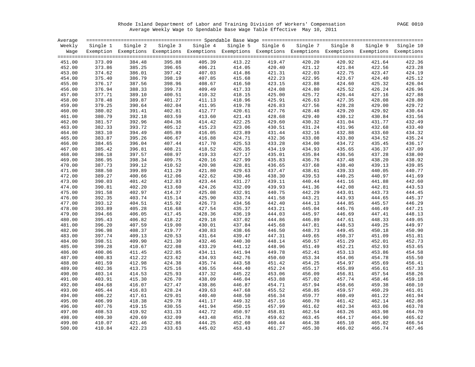Rhode Island Department of Labor and Training Division of Workers' Compensation PAGE 0010 Average Weekly Wage to Spendable Base Wage Table Effective May 10, 2011

| Average |                  |                                                                                                              |                   |                  |                  |                   |                  |                  |                  |           |
|---------|------------------|--------------------------------------------------------------------------------------------------------------|-------------------|------------------|------------------|-------------------|------------------|------------------|------------------|-----------|
| Weekly  | Single 1         | Single 2                                                                                                     | Single 3 Single 4 |                  |                  | Single 5 Single 6 | Single 7         | Single 8         | Single 9         | Single 10 |
| Waqe    |                  | Exemption Exemptions Exemptions Exemptions Exemptions Exemptions Exemptions Exemptions Exemptions Exemptions |                   |                  |                  |                   |                  |                  |                  |           |
|         |                  |                                                                                                              |                   |                  |                  |                   |                  |                  |                  |           |
| 451.00  | 373.09           | 384.48                                                                                                       | 395.88            | 405.39           | 413.22           | 419.47            | 420.20           | 420.92           | 421.64           | 422.36    |
| 452.00  | 373.86           | 385.25                                                                                                       | 396.65            | 406.21           | 414.05           | 420.40            | 421.12           | 421.84           | 422.56           | 423.28    |
| 453.00  | 374.62           | 386.01                                                                                                       | 397.42            | 407.03           | 414.86           | 421.31            | 422.03           | 422.75           | 423.47           | 424.19    |
| 454.00  | 375.40           | 386.79                                                                                                       | 398.19            | 407.85           | 415.68           | 422.23            | 422.95           | 423.67           | 424.40           | 425.12    |
| 455.00  | 376.17           | 387.56                                                                                                       | 398.96            | 408.67           | 416.50           | 423.15            | 423.88           | 424.60           | 425.32           | 426.04    |
| 456.00  | 376.94           | 388.33                                                                                                       | 399.73            | 409.49           | 417.33           | 424.08            | 424.80           | 425.52           | 426.24           | 426.96    |
| 457.00  | 377.71           | 389.10                                                                                                       | 400.51            | 410.32           | 418.15           | 425.00            | 425.72           | 426.44           | 427.16           | 427.88    |
| 458.00  | 378.48           | 389.87                                                                                                       | 401.27            | 411.13           | 418.96           | 425.91            | 426.63           | 427.35           | 428.08           | 428.80    |
| 459.00  | 379.25           | 390.64                                                                                                       | 402.04            | 411.95           | 419.78           | 426.83            | 427.56           | 428.28           | 429.00           | 429.72    |
| 460.00  | 380.02           | 391.41                                                                                                       | 402.81            | 412.77           | 420.61           | 427.76            | 428.48           | 429.20           | 429.92           | 430.64    |
| 461.00  | 380.79           | 392.18                                                                                                       | 403.59            | 413.60           | 421.43           | 428.68            | 429.40           | 430.12           | 430.84           | 431.56    |
| 462.00  | 381.57           | 392.96                                                                                                       | 404.36            | 414.42           | 422.25           | 429.60            | 430.32           | 431.04           | 431.77           | 432.49    |
| 463.00  | 382.33           | 393.72                                                                                                       | 405.12            | 415.23           | 423.06           | 430.51            | 431.24           | 431.96           | 432.68           | 433.40    |
| 464.00  | 383.10           | 394.49                                                                                                       | 405.89            | 416.05           | 423.89           | 431.44            | 432.16           | 432.88           | 433.60           | 434.32    |
| 465.00  | 383.87           | 395.26                                                                                                       | 406.67            | 416.88           | 424.71           | 432.36            | 433.08           | 433.80           | 434.52           | 435.24    |
| 466.00  | 384.65           | 396.04                                                                                                       | 407.44            | 417.70           | 425.53           | 433.28            | 434.00           | 434.72           | 435.45           | 436.17    |
| 467.00  | 385.42           | 396.81                                                                                                       | 408.21            | 418.52           | 426.35           | 434.19            | 434.93           | 435.65           | 436.37           | 437.09    |
| 468.00  | 386.18           | 397.57                                                                                                       | 408.97            | 419.33           | 427.17           | 435.01            | 435.84           | 436.56           | 437.28           | 438.00    |
| 469.00  | 386.95           | 398.34                                                                                                       | 409.75            | 420.16           | 427.99           | 435.83            | 436.76           | 437.48           | 438.20           | 438.92    |
| 470.00  | 387.73           | 399.12                                                                                                       | 410.52            | 420.98           | 428.81           | 436.65            | 437.68           | 438.40           | 439.13           | 439.85    |
| 471.00  | 388.50           | 399.89                                                                                                       | 411.29            | 421.80           | 429.63           | 437.47            | 438.61           | 439.33           | 440.05           | 440.77    |
| 472.00  | 389.27           | 400.66                                                                                                       | 412.06            | 422.62           | 430.46           | 438.30            | 439.53           | 440.25           | 440.97           | 441.69    |
| 473.00  | 390.03           | 401.42                                                                                                       | 412.83            | 423.44           | 431.27           | 439.11            | 440.44           | 441.16           | 441.88           | 442.60    |
| 474.00  | 390.81           | 402.20                                                                                                       | 413.60            | 424.26           | 432.09           | 439.93            | 441.36           | 442.08           | 442.81           | 443.53    |
| 475.00  | 391.58           | 402.97                                                                                                       | 414.37            | 425.08           | 432.91           | 440.75            | 442.29           | 443.01           | 443.73           | 444.45    |
| 476.00  | 392.35           | 403.74                                                                                                       | 415.14            | 425.90           | 433.74           | 441.58            | 443.21           | 443.93           | 444.65           | 445.37    |
| 477.00  | 393.12           | 404.51                                                                                                       | 415.92            | 426.73           | 434.56           | 442.40            | 444.13           | 444.85           | 445.57           | 446.29    |
| 478.00  | 393.89           | 405.28                                                                                                       | 416.68            | 427.54           | 435.37           | 443.21            | 445.04           | 445.76           | 446.49           | 447.21    |
| 479.00  | 394.66           | 406.05                                                                                                       | 417.45            | 428.36           | 436.19           | 444.03            | 445.97           | 446.69           | 447.41           | 448.13    |
| 480.00  | 395.43           | 406.82                                                                                                       | 418.22            | 429.18           | 437.02           | 444.86            | 446.89           | 447.61           | 448.33           | 449.05    |
| 481.00  | 396.20           | 407.59                                                                                                       | 419.00            | 430.01           | 437.84           | 445.68            | 447.81           | 448.53           | 449.25           | 449.97    |
|         |                  |                                                                                                              |                   | 430.83           |                  |                   |                  |                  |                  | 450.90    |
| 482.00  | 396.98<br>397.74 | 408.37<br>409.13                                                                                             | 419.77<br>420.53  | 431.64           | 438.66<br>439.47 | 446.50<br>447.31  | 448.73<br>449.65 | 449.45<br>450.37 | 450.18<br>451.09 | 451.81    |
| 483.00  |                  |                                                                                                              |                   |                  |                  |                   |                  |                  |                  | 452.73    |
| 484.00  | 398.51<br>399.28 | 409.90                                                                                                       | 421.30            | 432.46<br>433.29 | 440.30           | 448.14<br>448.96  | 450.57           | 451.29<br>452.21 | 452.01           | 453.65    |
| 485.00  |                  | 410.67                                                                                                       | 422.08            |                  | 441.12           |                   | 451.49           |                  | 452.93           | 454.58    |
| 486.00  | 400.06           | 411.45                                                                                                       | 422.85            | 434.11           | 441.94           | 449.78            | 452.41           | 453.13           | 453.86           |           |
| 487.00  | 400.83           | 412.22                                                                                                       | 423.62            | 434.93           | 442.76           | 450.60            | 453.34           | 454.06           | 454.78           | 455.50    |
| 488.00  | 401.59           | 412.98                                                                                                       | 424.38            | 435.74           | 443.58           | 451.42            | 454.25           | 454.97           | 455.69           | 456.41    |
| 489.00  | 402.36           | 413.75                                                                                                       | 425.16            | 436.55           | 444.40           | 452.24            | 455.17           | 455.89           | 456.61           | 457.33    |
| 490.00  | 403.14           | 414.53                                                                                                       | 425.93            | 437.32           | 445.22           | 453.06            | 456.09           | 456.81           | 457.54           | 458.26    |
| 491.00  | 403.91           | 415.30                                                                                                       | 426.70            | 438.09           | 446.04           | 453.88            | 457.02           | 457.74           | 458.46           | 459.18    |
| 492.00  | 404.68           | 416.07                                                                                                       | 427.47            | 438.86           | 446.87           | 454.71            | 457.94           | 458.66           | 459.38           | 460.10    |
| 493.00  | 405.44           | 416.83                                                                                                       | 428.24            | 439.63           | 447.68           | 455.52            | 458.85           | 459.57           | 460.29           | 461.01    |
| 494.00  | 406.22           | 417.61                                                                                                       | 429.01            | 440.40           | 448.50           | 456.34            | 459.77           | 460.49           | 461.22           | 461.94    |
| 495.00  | 406.99           | 418.38                                                                                                       | 429.78            | 441.17           | 449.32           | 457.16            | 460.70           | 461.42           | 462.14           | 462.86    |
| 496.00  | 407.76           | 419.15                                                                                                       | 430.55            | 441.94           | 450.15           | 457.99            | 461.62           | 462.34           | 463.06           | 463.78    |
| 497.00  | 408.53           | 419.92                                                                                                       | 431.33            | 442.72           | 450.97           | 458.81            | 462.54           | 463.26           | 463.98           | 464.70    |
| 498.00  | 409.30           | 420.69                                                                                                       | 432.09            | 443.48           | 451.78           | 459.62            | 463.45           | 464.17           | 464.90           | 465.62    |
| 499.00  | 410.07           | 421.46                                                                                                       | 432.86            | 444.25           | 452.60           | 460.44            | 464.38           | 465.10           | 465.82           | 466.54    |
| 500.00  | 410.84           | 422.23                                                                                                       | 433.63            | 445.02           | 453.43           | 461.27            | 465.30           | 466.02           | 466.74           | 467.46    |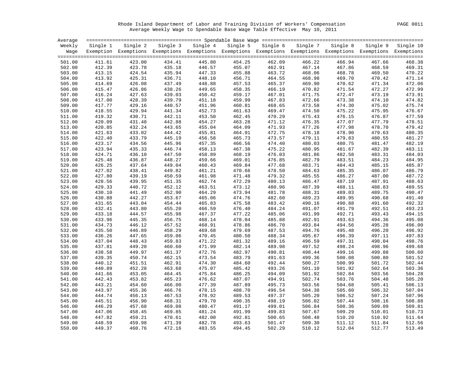Rhode Island Department of Labor and Training Division of Workers' Compensation PAGE 0011 Average Weekly Wage to Spendable Base Wage Table Effective May 10, 2011

| Average |          |                                                                                                                   |        |                                                                                   |        |        |        |        |               |        |
|---------|----------|-------------------------------------------------------------------------------------------------------------------|--------|-----------------------------------------------------------------------------------|--------|--------|--------|--------|---------------|--------|
| Weekly  | Single 1 |                                                                                                                   |        | Single 2 Single 3 Single 4 Single 5 Single 6 Single 7 Single 8 Single 9 Single 10 |        |        |        |        |               |        |
|         |          | Wage Exemption Exemptions Exemptions Exemptions Exemptions Exemptions Exemptions Exemptions Exemptions Exemptions |        |                                                                                   |        |        |        |        |               |        |
| 501.00  | 411.61   | 423.00                                                                                                            | 434.41 | 445.80                                                                            | 454.25 | 462.09 | 466.22 | 466.94 | 467.66        | 468.38 |
| 502.00  | 412.39   | 423.78                                                                                                            | 435.18 | 446.57                                                                            | 455.07 | 462.91 | 467.14 | 467.86 | 468.59        | 469.31 |
| 503.00  | 413.15   | 424.54                                                                                                            | 435.94 | 447.33                                                                            | 455.88 | 463.72 | 468.06 | 468.78 | 469.50        | 470.22 |
| 504.00  | 413.92   | 425.31                                                                                                            | 436.71 | 448.10                                                                            | 456.71 | 464.55 | 468.98 | 469.70 | 470.42        | 471.14 |
| 505.00  | 414.69   | 426.08                                                                                                            | 437.49 | 448.88                                                                            | 457.53 | 465.37 | 469.90 | 470.62 | 471.34        | 472.06 |
| 506.00  | 415.47   | 426.86                                                                                                            | 438.26 | 449.65                                                                            | 458.35 | 466.19 | 470.82 | 471.54 | 472.27        | 472.99 |
| 507.00  | 416.24   | 427.63                                                                                                            | 439.03 | 450.42                                                                            | 459.17 | 467.01 | 471.75 | 472.47 | 473.19        | 473.91 |
| 508.00  | 417.00   | 428.39                                                                                                            | 439.79 | 451.18                                                                            | 459.99 | 467.83 | 472.66 | 473.38 | 474.10        | 474.82 |
| 509.00  | 417.77   | 429.16                                                                                                            | 440.57 | 451.96                                                                            | 460.81 | 468.65 | 473.58 | 474.30 | 475.02        | 475.74 |
| 510.00  | 418.55   | 429.94                                                                                                            | 441.34 | 452.73                                                                            | 461.63 | 469.47 | 474.50 | 475.22 | 475.95        | 476.67 |
| 511.00  | 419.32   | 430.71                                                                                                            | 442.11 | 453.50                                                                            | 462.45 | 470.29 | 475.43 | 476.15 | 476.87        | 477.59 |
| 512.00  | 420.09   | 431.48                                                                                                            | 442.88 | 454.27                                                                            | 463.28 | 471.12 | 476.35 | 477.07 | 477.79        | 478.51 |
| 513.00  | 420.85   | 432.24                                                                                                            | 443.65 | 455.04                                                                            | 464.09 | 471.93 | 477.26 | 477.98 | 478.70        | 479.42 |
| 514.00  | 421.63   | 433.02                                                                                                            | 444.42 | 455.81                                                                            | 464.91 | 472.75 | 478.18 | 478.90 | 479.63        | 480.35 |
| 515.00  | 422.40   | 433.79                                                                                                            | 445.19 | 456.58                                                                            | 465.73 | 473.57 | 479.11 | 479.83 | 480.55        | 481.27 |
| 516.00  | 423.17   | 434.56                                                                                                            | 445.96 | 457.35                                                                            | 466.56 | 474.40 | 480.03 | 480.75 | 481.47        | 482.19 |
| 517.00  | 423.94   | 435.33                                                                                                            | 446.74 | 458.13                                                                            | 467.38 | 475.22 | 480.95 | 481.67 | 482.39        | 483.11 |
| 518.00  | 424.71   | 436.10                                                                                                            | 447.50 | 458.89                                                                            | 468.19 | 476.03 | 481.86 | 482.58 | 483.31        | 484.03 |
| 519.00  | 425.48   | 436.87                                                                                                            | 448.27 | 459.66                                                                            | 469.01 | 476.85 | 482.79 | 483.51 | 484.23        | 484.95 |
| 520.00  | 426.25   | 437.64                                                                                                            | 449.04 | 460.43                                                                            | 469.84 | 477.68 | 483.71 | 484.43 | 485.15        | 485.87 |
| 521.00  | 427.02   | 438.41                                                                                                            | 449.82 | 461.21                                                                            | 470.66 | 478.50 | 484.63 | 485.35 | 486.07        | 486.79 |
| 522.00  | 427.80   | 439.19                                                                                                            | 450.59 | 461.98                                                                            | 471.48 | 479.32 | 485.55 | 486.27 | 487.00        | 487.72 |
| 523.00  | 428.56   | 439.95                                                                                                            | 451.35 | 462.74                                                                            | 472.29 | 480.13 | 486.47 | 487.19 | 487.91        | 488.63 |
| 524.00  | 429.33   | 440.72                                                                                                            | 452.12 | 463.51                                                                            | 473.12 | 480.96 | 487.39 | 488.11 | 488.83        | 489.55 |
| 525.00  | 430.10   | 441.49                                                                                                            | 452.90 | 464.29                                                                            | 473.94 | 481.78 | 488.31 | 489.03 | 489.75        | 490.47 |
| 526.00  | 430.88   | 442.27                                                                                                            | 453.67 | 465.06                                                                            | 474.76 | 482.60 | 489.23 | 489.95 | 490.68        | 491.40 |
| 527.00  | 431.65   | 443.04                                                                                                            | 454.44 | 465.83                                                                            | 475.58 | 483.42 | 490.16 | 490.88 | 491.60        | 492.32 |
| 528.00  | 432.41   | 443.80                                                                                                            | 455.20 | 466.59                                                                            | 476.40 | 484.24 | 491.07 | 491.79 | 492.51        | 493.23 |
| 529.00  | 433.18   | 444.57                                                                                                            | 455.98 | 467.37                                                                            | 477.22 | 485.06 | 491.99 | 492.71 | 493.43        | 494.15 |
| 530.00  | 433.96   | 445.35                                                                                                            | 456.75 | 468.14                                                                            | 478.04 | 485.88 | 492.91 | 493.63 | 494.36        | 495.08 |
| 531.00  | 434.73   | 446.12                                                                                                            | 457.52 | 468.91                                                                            | 478.86 | 486.70 | 493.84 | 494.56 | 495.28        | 496.00 |
| 532.00  | 435.50   | 446.89                                                                                                            | 458.29 | 469.68                                                                            | 479.69 | 487.53 | 494.76 | 495.48 | 496.20        | 496.92 |
| 533.00  | 436.26   | 447.65                                                                                                            | 459.06 | 470.45                                                                            | 480.50 | 488.34 | 495.67 | 496.39 | 497.11        | 497.83 |
| 534.00  | 437.04   | 448.43                                                                                                            | 459.83 | 471.22                                                                            | 481.32 | 489.16 | 496.59 | 497.31 | 498.04        | 498.76 |
| 535.00  | 437.81   | 449.20                                                                                                            | 460.60 | 471.99                                                                            | 482.14 | 489.98 | 497.52 | 498.24 | 498.96        | 499.68 |
| 536.00  | 438.58   | 449.97                                                                                                            | 461.37 | 472.76                                                                            | 482.97 | 490.81 | 498.44 | 499.16 | 499.88        | 500.60 |
| 537.00  | 439.35   | 450.74                                                                                                            | 462.15 | 473.54                                                                            | 483.79 | 491.63 | 499.36 | 500.08 | 500.80        | 501.52 |
| 538.00  | 440.12   | 451.51                                                                                                            | 462.91 | 474.30                                                                            | 484.60 | 492.44 | 500.27 | 500.99 | 501.72        | 502.44 |
| 539.00  | 440.89   | 452.28                                                                                                            | 463.68 | 475.07                                                                            | 485.42 | 493.26 | 501.10 | 501.92 | 502.64        | 503.36 |
| 540.00  | 441.66   | 453.05                                                                                                            | 464.45 | 475.84                                                                            | 486.25 | 494.09 | 501.92 | 502.84 | 503.56        | 504.28 |
| 541.00  | 442.43   | 453.82                                                                                                            | 465.23 | 476.62                                                                            | 487.07 | 494.91 | 502.74 | 503.76 | 504.48        | 505.20 |
| 542.00  | 443.21   | 454.60                                                                                                            | 466.00 | 477.39                                                                            | 487.89 | 495.73 | 503.56 | 504.68 | 505.41        | 506.13 |
| 543.00  | 443.97   | 455.36                                                                                                            | 466.76 | 478.15                                                                            | 488.70 | 496.54 | 504.38 | 505.60 | 506.32        | 507.04 |
| 544.00  | 444.74   | 456.13                                                                                                            | 467.53 | 478.92                                                                            | 489.53 | 497.37 | 505.20 | 506.52 | 507.24        | 507.96 |
| 545.00  | 445.51   | 456.90                                                                                                            | 468.31 | 479.70                                                                            | 490.35 | 498.19 | 506.02 | 507.44 | 508.16        | 508.88 |
| 546.00  | 446.29   | 457.68                                                                                                            | 469.08 | 480.47                                                                            | 491.17 | 499.01 | 506.84 | 508.36 | 509.09        | 509.81 |
| 547.00  | 447.06   | 458.45                                                                                                            | 469.85 | 481.24                                                                            | 491.99 | 499.83 | 507.67 | 509.29 | 510.01        | 510.73 |
| 548.00  | 447.82   | 459.21                                                                                                            | 470.61 | 482.00                                                                            | 492.81 | 500.65 | 508.48 | 510.20 | 510.92        | 511.64 |
| 549.00  | 448.59   | 459.98                                                                                                            | 471.39 | 482.78                                                                            | 493.63 | 501.47 | 509.30 | 511.12 | 511.84        | 512.56 |
| 550.00  | 449.37   | 460.76                                                                                                            | 472.16 | 483.55                                                                            | 494.45 | 502.29 | 510.12 |        | 512.04 512.77 | 513.49 |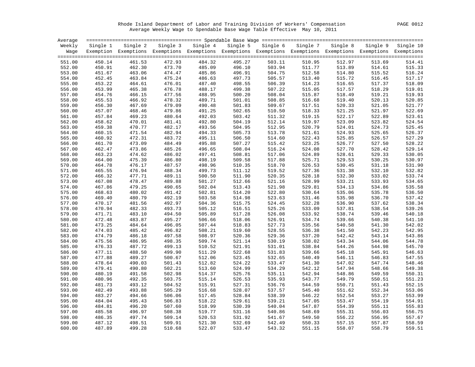Rhode Island Department of Labor and Training Division of Workers' Compensation PAGE 0012 Average Weekly Wage to Spendable Base Wage Table Effective May 10, 2011

| Average |          |                                                                                                              |        |                            |        |                   |        |                   |          |           |
|---------|----------|--------------------------------------------------------------------------------------------------------------|--------|----------------------------|--------|-------------------|--------|-------------------|----------|-----------|
| Weekly  | Single 1 |                                                                                                              |        | Single 2 Single 3 Single 4 |        | Single 5 Single 6 |        | Single 7 Single 8 | Single 9 | Single 10 |
| Waqe    |          | Exemption Exemptions Exemptions Exemptions Exemptions Exemptions Exemptions Exemptions Exemptions Exemptions |        |                            |        |                   |        |                   |          |           |
|         |          |                                                                                                              |        |                            |        |                   |        |                   |          |           |
| 551.00  | 450.14   | 461.53                                                                                                       | 472.93 | 484.32                     | 495.27 | 503.11            | 510.95 | 512.97            | 513.69   | 514.41    |
| 552.00  | 450.91   | 462.30                                                                                                       | 473.70 | 485.09                     | 496.10 | 503.94            | 511.77 | 513.89            | 514.61   | 515.33    |
| 553.00  | 451.67   | 463.06                                                                                                       | 474.47 | 485.86                     | 496.91 | 504.75            | 512.58 | 514.80            | 515.52   | 516.24    |
| 554.00  | 452.45   | 463.84                                                                                                       | 475.24 | 486.63                     | 497.73 | 505.57            | 513.40 | 515.72            | 516.45   | 517.17    |
| 555.00  | 453.22   | 464.61                                                                                                       | 476.01 | 487.40                     | 498.55 | 506.39            | 514.23 | 516.65            | 517.37   | 518.09    |
| 556.00  | 453.99   | 465.38                                                                                                       | 476.78 | 488.17                     | 499.38 | 507.22            | 515.05 | 517.57            | 518.29   | 519.01    |
| 557.00  | 454.76   | 466.15                                                                                                       | 477.56 | 488.95                     | 500.20 | 508.04            | 515.87 | 518.49            | 519.21   | 519.93    |
| 558.00  | 455.53   | 466.92                                                                                                       | 478.32 | 489.71                     | 501.01 | 508.85            | 516.68 | 519.40            | 520.13   | 520.85    |
| 559.00  | 456.30   | 467.69                                                                                                       | 479.09 | 490.48                     | 501.83 | 509.67            | 517.51 | 520.33            | 521.05   | 521.77    |
| 560.00  | 457.07   | 468.46                                                                                                       | 479.86 | 491.25                     | 502.65 | 510.50            | 518.33 | 521.25            | 521.97   | 522.69    |
| 561.00  | 457.84   | 469.23                                                                                                       | 480.64 | 492.03                     | 503.42 | 511.32            | 519.15 | 522.17            | 522.89   | 523.61    |
| 562.00  | 458.62   | 470.01                                                                                                       | 481.41 | 492.80                     | 504.19 | 512.14            | 519.97 | 523.09            | 523.82   | 524.54    |
| 563.00  | 459.38   | 470.77                                                                                                       | 482.17 | 493.56                     | 504.95 | 512.95            | 520.79 | 524.01            | 524.73   | 525.45    |
| 564.00  | 460.15   | 471.54                                                                                                       | 482.94 | 494.33                     | 505.73 | 513.78            | 521.61 | 524.93            | 525.65   | 526.37    |
| 565.00  | 460.92   | 472.31                                                                                                       | 483.72 | 495.11                     | 506.50 | 514.60            | 522.43 | 525.85            | 526.57   | 527.29    |
| 566.00  | 461.70   | 473.09                                                                                                       | 484.49 | 495.88                     | 507.27 | 515.42            | 523.25 | 526.77            | 527.50   | 528.22    |
| 567.00  | 462.47   | 473.86                                                                                                       | 485.26 | 496.65                     | 508.04 | 516.24            | 524.08 | 527.70            | 528.42   | 529.14    |
| 568.00  | 463.23   | 474.62                                                                                                       | 486.02 | 497.41                     | 508.81 | 517.06            | 524.89 | 528.61            | 529.33   | 530.05    |
| 569.00  | 464.00   | 475.39                                                                                                       | 486.80 | 498.19                     | 509.58 | 517.88            | 525.71 | 529.53            | 530.25   | 530.97    |
| 570.00  | 464.78   | 476.17                                                                                                       | 487.57 | 498.96                     | 510.35 | 518.70            | 526.53 | 530.45            | 531.18   | 531.90    |
| 571.00  | 465.55   | 476.94                                                                                                       | 488.34 | 499.73                     | 511.12 | 519.52            | 527.36 | 531.38            | 532.10   | 532.82    |
| 572.00  | 466.32   | 477.71                                                                                                       | 489.11 | 500.50                     | 511.90 | 520.35            | 528.18 | 532.30            | 533.02   | 533.74    |
| 573.00  | 467.08   | 478.47                                                                                                       | 489.88 | 501.27                     | 512.66 | 521.16            | 528.99 | 533.21            | 533.93   | 534.65    |
| 574.00  | 467.86   | 479.25                                                                                                       | 490.65 | 502.04                     | 513.43 | 521.98            | 529.81 | 534.13            | 534.86   | 535.58    |
| 575.00  | 468.63   | 480.02                                                                                                       | 491.42 | 502.81                     | 514.20 | 522.80            | 530.64 | 535.06            | 535.78   | 536.50    |
| 576.00  | 469.40   | 480.79                                                                                                       | 492.19 | 503.58                     | 514.98 | 523.63            | 531.46 | 535.98            | 536.70   | 537.42    |
| 577.00  | 470.17   | 481.56                                                                                                       | 492.97 | 504.36                     | 515.75 | 524.45            | 532.28 | 536.90            | 537.62   | 538.34    |
| 578.00  | 470.94   | 482.33                                                                                                       | 493.73 | 505.12                     | 516.51 | 525.26            | 533.09 | 537.81            | 538.54   | 539.26    |
| 579.00  | 471.71   | 483.10                                                                                                       | 494.50 | 505.89                     | 517.28 | 526.08            | 533.92 | 538.74            | 539.46   | 540.18    |
| 580.00  | 472.48   | 483.87                                                                                                       | 495.27 | 506.66                     | 518.06 | 526.91            | 534.74 | 539.66            | 540.38   | 541.10    |
| 581.00  | 473.25   | 484.64                                                                                                       | 496.05 | 507.44                     | 518.83 | 527.73            | 535.56 | 540.58            | 541.30   | 542.02    |
| 582.00  | 474.03   | 485.42                                                                                                       | 496.82 | 508.21                     | 519.60 | 528.55            | 536.38 | 541.50            | 542.23   | 542.95    |
| 583.00  | 474.79   | 486.18                                                                                                       | 497.58 | 508.97                     | 520.36 | 529.36            | 537.20 | 542.42            | 543.14   | 543.86    |
| 584.00  | 475.56   | 486.95                                                                                                       | 498.35 | 509.74                     | 521.14 | 530.19            | 538.02 | 543.34            | 544.06   | 544.78    |
| 585.00  | 476.33   | 487.72                                                                                                       | 499.13 | 510.52                     | 521.91 | 531.01            | 538.84 | 544.26            | 544.98   | 545.70    |
| 586.00  | 477.11   | 488.50                                                                                                       | 499.90 | 511.29                     | 522.68 | 531.83            | 539.66 | 545.18            | 545.91   | 546.63    |
| 587.00  | 477.88   | 489.27                                                                                                       | 500.67 | 512.06                     | 523.45 | 532.65            | 540.49 | 546.11            | 546.83   | 547.55    |
| 588.00  | 478.64   | 490.03                                                                                                       | 501.43 | 512.82                     | 524.22 | 533.47            | 541.30 | 547.02            | 547.74   | 548.46    |
| 589.00  | 479.41   | 490.80                                                                                                       | 502.21 | 513.60                     | 524.99 | 534.29            | 542.12 | 547.94            | 548.66   | 549.38    |
| 590.00  | 480.19   | 491.58                                                                                                       | 502.98 | 514.37                     | 525.76 | 535.11            | 542.94 | 548.86            | 549.59   | 550.31    |
| 591.00  | 480.96   | 492.35                                                                                                       | 503.75 | 515.14                     | 526.53 | 535.93            | 543.77 | 549.79            | 550.51   | 551.23    |
| 592.00  | 481.73   | 493.12                                                                                                       | 504.52 | 515.91                     | 527.31 | 536.76            | 544.59 | 550.71            | 551.43   | 552.15    |
| 593.00  | 482.49   | 493.88                                                                                                       | 505.29 | 516.68                     | 528.07 | 537.57            | 545.40 | 551.62            | 552.34   | 553.06    |
| 594.00  | 483.27   | 494.66                                                                                                       | 506.06 | 517.45                     | 528.84 | 538.39            | 546.22 | 552.54            | 553.27   | 553.99    |
| 595.00  | 484.04   | 495.43                                                                                                       | 506.83 | 518.22                     | 529.61 | 539.21            | 547.05 | 553.47            | 554.19   | 554.91    |
| 596.00  | 484.81   | 496.20                                                                                                       | 507.60 | 518.99                     | 530.39 | 540.04            | 547.87 | 554.39            | 555.11   | 555.83    |
| 597.00  | 485.58   | 496.97                                                                                                       | 508.38 | 519.77                     | 531.16 | 540.86            | 548.69 | 555.31            | 556.03   | 556.75    |
| 598.00  | 486.35   | 497.74                                                                                                       | 509.14 | 520.53                     | 531.92 | 541.67            | 549.50 | 556.22            | 556.95   | 557.67    |
| 599.00  | 487.12   | 498.51                                                                                                       | 509.91 | 521.30                     | 532.69 | 542.49            | 550.33 | 557.15            | 557.87   | 558.59    |
| 600.00  | 487.89   | 499.28                                                                                                       | 510.68 | 522.07                     | 533.47 | 543.32            | 551.15 | 558.07            | 558.79   | 559.51    |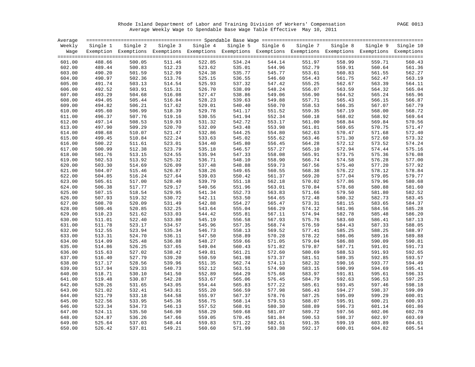Rhode Island Department of Labor and Training Division of Workers' Compensation PAGE 0013 Average Weekly Wage to Spendable Base Wage Table Effective May 10, 2011

| Average |          |                                                                                                              |        |                   |          |          |          |          |          |           |
|---------|----------|--------------------------------------------------------------------------------------------------------------|--------|-------------------|----------|----------|----------|----------|----------|-----------|
| Weekly  | Single 1 | Single 2                                                                                                     |        | Single 3 Single 4 | Single 5 | Single 6 | Single 7 | Single 8 | Single 9 | Single 10 |
| Waqe    |          | Exemption Exemptions Exemptions Exemptions Exemptions Exemptions Exemptions Exemptions Exemptions Exemptions |        |                   |          |          |          |          |          |           |
|         |          |                                                                                                              |        |                   |          |          |          |          |          |           |
| 601.00  | 488.66   | 500.05                                                                                                       | 511.46 | 522.85            | 534.24   | 544.14   | 551.97   | 558.99   | 559.71   | 560.43    |
| 602.00  | 489.44   | 500.83                                                                                                       | 512.23 | 523.62            | 535.01   | 544.96   | 552.79   | 559.91   | 560.64   | 561.36    |
| 603.00  | 490.20   | 501.59                                                                                                       | 512.99 | 524.38            | 535.77   | 545.77   | 553.61   | 560.83   | 561.55   | 562.27    |
| 604.00  | 490.97   | 502.36                                                                                                       | 513.76 | 525.15            | 536.55   | 546.60   | 554.43   | 561.75   | 562.47   | 563.19    |
| 605.00  | 491.74   | 503.13                                                                                                       | 514.54 | 525.93            | 537.32   | 547.42   | 555.25   | 562.67   | 563.39   | 564.11    |
| 606.00  | 492.52   | 503.91                                                                                                       | 515.31 | 526.70            | 538.09   | 548.24   | 556.07   | 563.59   | 564.32   | 565.04    |
| 607.00  | 493.29   | 504.68                                                                                                       | 516.08 | 527.47            | 538.86   | 549.06   | 556.90   | 564.52   | 565.24   | 565.96    |
| 608.00  | 494.05   | 505.44                                                                                                       | 516.84 | 528.23            | 539.63   | 549.88   | 557.71   | 565.43   | 566.15   | 566.87    |
| 609.00  | 494.82   | 506.21                                                                                                       | 517.62 | 529.01            | 540.40   | 550.70   | 558.53   | 566.35   | 567.07   | 567.79    |
| 610.00  | 495.60   | 506.99                                                                                                       | 518.39 | 529.78            | 541.17   | 551.52   | 559.35   | 567.19   | 568.00   | 568.72    |
| 611.00  | 496.37   | 507.76                                                                                                       | 519.16 | 530.55            | 541.94   | 552.34   | 560.18   | 568.02   | 568.92   | 569.64    |
| 612.00  | 497.14   | 508.53                                                                                                       | 519.93 | 531.32            | 542.72   | 553.17   | 561.00   | 568.84   | 569.84   | 570.56    |
| 613.00  | 497.90   | 509.29                                                                                                       | 520.70 | 532.09            | 543.48   | 553.98   | 561.81   | 569.65   | 570.75   | 571.47    |
| 614.00  | 498.68   | 510.07                                                                                                       | 521.47 | 532.86            | 544.25   | 554.80   | 562.63   | 570.47   | 571.68   | 572.40    |
| 615.00  | 499.45   | 510.84                                                                                                       | 522.24 | 533.63            | 545.02   | 555.62   | 563.46   | 571.30   | 572.60   | 573.32    |
| 616.00  | 500.22   | 511.61                                                                                                       | 523.01 | 534.40            | 545.80   | 556.45   | 564.28   | 572.12   | 573.52   | 574.24    |
| 617.00  | 500.99   | 512.38                                                                                                       | 523.79 | 535.18            | 546.57   | 557.27   | 565.10   | 572.94   | 574.44   | 575.16    |
| 618.00  | 501.76   | 513.15                                                                                                       | 524.55 | 535.94            | 547.33   | 558.08   | 565.91   | 573.75   | 575.36   | 576.08    |
| 619.00  | 502.53   | 513.92                                                                                                       | 525.32 | 536.71            | 548.10   | 558.90   | 566.74   | 574.58   | 576.28   | 577.00    |
| 620.00  | 503.30   | 514.69                                                                                                       | 526.09 | 537.48            | 548.88   | 559.73   | 567.56   | 575.40   | 577.20   | 577.92    |
| 621.00  | 504.07   | 515.46                                                                                                       | 526.87 | 538.26            | 549.65   | 560.55   | 568.38   | 576.22   | 578.12   | 578.84    |
| 622.00  | 504.85   | 516.24                                                                                                       | 527.64 | 539.03            | 550.42   | 561.37   | 569.20   | 577.04   | 579.05   | 579.77    |
| 623.00  | 505.61   | 517.00                                                                                                       | 528.40 | 539.79            | 551.18   | 562.18   | 570.02   | 577.86   | 579.96   | 580.68    |
| 624.00  | 506.38   | 517.77                                                                                                       | 529.17 | 540.56            | 551.96   | 563.01   | 570.84   | 578.68   | 580.88   | 581.60    |
| 625.00  | 507.15   | 518.54                                                                                                       | 529.95 | 541.34            | 552.73   | 563.83   | 571.66   | 579.50   | 581.80   | 582.52    |
| 626.00  | 507.93   | 519.32                                                                                                       | 530.72 | 542.11            | 553.50   | 564.65   | 572.48   | 580.32   | 582.73   | 583.45    |
| 627.00  | 508.70   | 520.09                                                                                                       | 531.49 | 542.88            | 554.27   | 565.47   | 573.31   | 581.15   | 583.65   | 584.37    |
| 628.00  | 509.46   | 520.85                                                                                                       | 532.25 | 543.64            | 555.04   | 566.29   | 574.12   | 581.96   | 584.56   | 585.28    |
| 629.00  | 510.23   | 521.62                                                                                                       | 533.03 | 544.42            | 555.81   | 567.11   | 574.94   | 582.78   | 585.48   | 586.20    |
| 630.00  | 511.01   | 522.40                                                                                                       | 533.80 | 545.19            | 556.58   | 567.93   | 575.76   | 583.60   | 586.41   | 587.13    |
| 631.00  | 511.78   | 523.17                                                                                                       | 534.57 | 545.96            | 557.35   | 568.74   | 576.59   | 584.43   | 587.33   | 588.05    |
| 632.00  | 512.55   | 523.94                                                                                                       | 535.34 | 546.73            | 558.13   | 569.52   | 577.41   | 585.25   | 588.25   | 588.97    |
| 633.00  | 513.31   | 524.70                                                                                                       | 536.11 | 547.50            | 558.89   | 570.28   | 578.22   | 586.06   | 589.16   | 589.88    |
| 634.00  | 514.09   | 525.48                                                                                                       | 536.88 | 548.27            | 559.66   | 571.05   | 579.04   | 586.88   | 590.09   | 590.81    |
| 635.00  | 514.86   | 526.25                                                                                                       | 537.65 | 549.04            | 560.43   | 571.82   | 579.87   | 587.71   | 591.01   | 591.73    |
| 636.00  | 515.63   | 527.02                                                                                                       | 538.42 | 549.81            | 561.21   | 572.60   | 580.69   | 588.53   | 591.93   | 592.65    |
| 637.00  | 516.40   | 527.79                                                                                                       | 539.20 | 550.59            | 561.98   | 573.37   | 581.51   | 589.35   | 592.85   | 593.57    |
| 638.00  | 517.17   | 528.56                                                                                                       | 539.96 | 551.35            | 562.74   | 574.13   | 582.32   | 590.16   | 593.77   | 594.49    |
| 639.00  | 517.94   | 529.33                                                                                                       | 540.73 | 552.12            | 563.51   | 574.90   | 583.15   | 590.99   | 594.69   | 595.41    |
| 640.00  | 518.71   | 530.10                                                                                                       | 541.50 | 552.89            | 564.29   | 575.68   | 583.97   | 591.81   | 595.61   | 596.33    |
| 641.00  | 519.48   | 530.87                                                                                                       | 542.28 | 553.67            | 565.06   | 576.45   | 584.79   | 592.63   | 596.53   | 597.25    |
| 642.00  | 520.26   | 531.65                                                                                                       | 543.05 | 554.44            | 565.83   | 577.22   | 585.61   | 593.45   | 597.46   | 598.18    |
| 643.00  | 521.02   | 532.41                                                                                                       | 543.81 | 555.20            | 566.59   | 577.98   | 586.43   | 594.27   | 598.37   | 599.09    |
| 644.00  | 521.79   | 533.18                                                                                                       | 544.58 | 555.97            | 567.37   | 578.76   | 587.25   | 595.09   | 599.29   | 600.01    |
| 645.00  | 522.56   | 533.95                                                                                                       | 545.36 | 556.75            | 568.14   | 579.53   | 588.07   | 595.91   | 600.21   | 600.93    |
| 646.00  | 523.34   | 534.73                                                                                                       | 546.13 | 557.52            | 568.91   | 580.30   | 588.89   | 596.73   | 601.14   | 601.86    |
| 647.00  | 524.11   | 535.50                                                                                                       | 546.90 | 558.29            | 569.68   | 581.07   | 589.72   | 597.56   | 602.06   | 602.78    |
| 648.00  | 524.87   | 536.26                                                                                                       | 547.66 | 559.05            | 570.45   | 581.84   | 590.53   | 598.37   | 602.97   | 603.69    |
| 649.00  | 525.64   | 537.03                                                                                                       | 548.44 | 559.83            | 571.22   | 582.61   | 591.35   | 599.19   | 603.89   | 604.61    |
| 650.00  | 526.42   | 537.81                                                                                                       | 549.21 | 560.60            | 571.99   | 583.38   | 592.17   | 600.01   | 604.82   | 605.54    |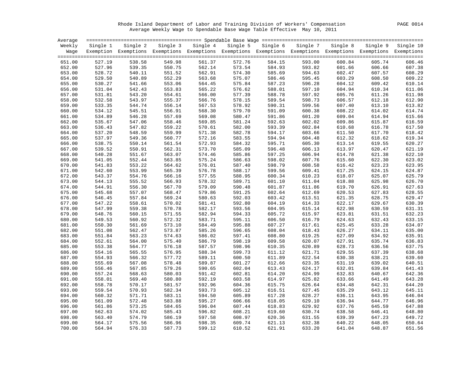Rhode Island Department of Labor and Training Division of Workers' Compensation PAGE 0014 Average Weekly Wage to Spendable Base Wage Table Effective May 10, 2011

| Average |          |                                                                                                                   |        |                                                                                   |               |        |        |        |        |        |
|---------|----------|-------------------------------------------------------------------------------------------------------------------|--------|-----------------------------------------------------------------------------------|---------------|--------|--------|--------|--------|--------|
| Weekly  | Single 1 |                                                                                                                   |        | Single 2 Single 3 Single 4 Single 5 Single 6 Single 7 Single 8 Single 9 Single 10 |               |        |        |        |        |        |
|         |          | Wage Exemption Exemptions Exemptions Exemptions Exemptions Exemptions Exemptions Exemptions Exemptions Exemptions |        |                                                                                   |               |        |        |        |        |        |
| 651.00  | 527.19   | 538.58                                                                                                            | 549.98 | 561.37                                                                            | 572.76        | 584.15 | 593.00 | 600.84 | 605.74 | 606.46 |
| 652.00  | 527.96   | 539.35                                                                                                            | 550.75 | 562.14                                                                            | 573.54        | 584.93 | 593.82 | 601.66 | 606.66 | 607.38 |
| 653.00  | 528.72   | 540.11                                                                                                            | 551.52 | 562.91                                                                            | 574.30        | 585.69 | 594.63 | 602.47 | 607.57 | 608.29 |
| 654.00  | 529.50   | 540.89                                                                                                            | 552.29 | 563.68                                                                            | 575.07        | 586.46 | 595.45 | 603.29 | 608.50 | 609.22 |
| 655.00  | 530.27   | 541.66                                                                                                            | 553.06 | 564.45                                                                            | 575.84        | 587.23 | 596.28 | 604.12 | 609.42 | 610.14 |
| 656.00  | 531.04   | 542.43                                                                                                            | 553.83 | 565.22                                                                            | 576.62        | 588.01 | 597.10 | 604.94 | 610.34 | 611.06 |
| 657.00  | 531.81   | 543.20                                                                                                            | 554.61 | 566.00                                                                            | 577.39        | 588.78 | 597.92 | 605.76 | 611.26 | 611.98 |
| 658.00  | 532.58   | 543.97                                                                                                            | 555.37 | 566.76                                                                            | 578.15        | 589.54 | 598.73 | 606.57 | 612.18 | 612.90 |
| 659.00  | 533.35   | 544.74                                                                                                            | 556.14 | 567.53                                                                            | 578.92        | 590.31 | 599.56 | 607.40 | 613.10 | 613.82 |
| 660.00  | 534.12   | 545.51                                                                                                            | 556.91 | 568.30                                                                            | 579.70        | 591.09 | 600.38 | 608.22 | 614.02 | 614.74 |
| 661.00  | 534.89   | 546.28                                                                                                            | 557.69 | 569.08                                                                            | 580.47        | 591.86 | 601.20 | 609.04 | 614.94 | 615.66 |
| 662.00  | 535.67   | 547.06                                                                                                            | 558.46 | 569.85                                                                            | 581.24        | 592.63 | 602.02 | 609.86 | 615.87 | 616.59 |
| 663.00  | 536.43   | 547.82                                                                                                            | 559.22 | 570.61                                                                            | 582.00        | 593.39 | 602.84 | 610.68 | 616.78 | 617.50 |
| 664.00  | 537.20   | 548.59                                                                                                            | 559.99 | 571.38                                                                            | 582.78        | 594.17 | 603.66 | 611.50 | 617.70 | 618.42 |
| 665.00  | 537.97   | 549.36                                                                                                            | 560.77 | 572.16                                                                            | 583.55        | 594.94 | 604.48 | 612.32 | 618.62 | 619.34 |
| 666.00  | 538.75   | 550.14                                                                                                            | 561.54 | 572.93                                                                            | 584.32        | 595.71 | 605.30 | 613.14 | 619.55 | 620.27 |
| 667.00  | 539.52   | 550.91                                                                                                            | 562.31 | 573.70                                                                            | 585.09        | 596.48 | 606.13 | 613.97 | 620.47 | 621.19 |
| 668.00  | 540.28   | 551.67                                                                                                            | 563.07 | 574.46                                                                            | 585.86        | 597.25 | 606.94 | 614.78 | 621.38 | 622.10 |
| 669.00  | 541.05   | 552.44                                                                                                            | 563.85 | 575.24                                                                            | 586.63        | 598.02 | 607.76 | 615.60 | 622.30 | 623.02 |
| 670.00  | 541.83   | 553.22                                                                                                            | 564.62 | 576.01                                                                            | 587.40        | 598.79 | 608.58 | 616.42 | 623.23 | 623.95 |
| 671.00  | 542.60   | 553.99                                                                                                            | 565.39 | 576.78                                                                            | 588.17        | 599.56 | 609.41 | 617.25 | 624.15 | 624.87 |
| 672.00  | 543.37   | 554.76                                                                                                            | 566.16 | 577.55                                                                            | 588.95        | 600.34 | 610.23 | 618.07 | 625.07 | 625.79 |
| 673.00  | 544.13   | 555.52                                                                                                            | 566.93 | 578.32                                                                            | 589.71        | 601.10 | 611.04 | 618.88 | 625.98 | 626.70 |
| 674.00  | 544.91   | 556.30                                                                                                            | 567.70 | 579.09                                                                            | 590.48        | 601.87 | 611.86 | 619.70 | 626.91 | 627.63 |
| 675.00  | 545.68   | 557.07                                                                                                            | 568.47 | 579.86                                                                            | 591.25        | 602.64 | 612.69 | 620.53 | 627.83 | 628.55 |
| 676.00  | 546.45   | 557.84                                                                                                            | 569.24 | 580.63                                                                            | 592.03        | 603.42 | 613.51 | 621.35 | 628.75 | 629.47 |
| 677.00  | 547.22   | 558.61                                                                                                            | 570.02 | 581.41                                                                            | 592.80        | 604.19 | 614.33 | 622.17 | 629.67 | 630.39 |
| 678.00  | 547.99   | 559.38                                                                                                            | 570.78 | 582.17                                                                            | 593.56        | 604.95 | 615.14 | 622.98 | 630.59 | 631.31 |
| 679.00  | 548.76   | 560.15                                                                                                            | 571.55 | 582.94                                                                            | 594.33        | 605.72 | 615.97 | 623.81 | 631.51 | 632.23 |
| 680.00  | 549.53   | 560.92                                                                                                            | 572.32 | 583.71                                                                            | 595.11        | 606.50 | 616.79 | 624.63 | 632.43 | 633.15 |
| 681.00  | 550.30   | 561.69                                                                                                            | 573.10 | 584.49                                                                            | 595.88        | 607.27 | 617.61 | 625.45 | 633.28 | 634.07 |
| 682.00  | 551.08   | 562.47                                                                                                            | 573.87 | 585.26                                                                            | 596.65        | 608.04 | 618.43 | 626.27 | 634.11 | 635.00 |
| 683.00  | 551.84   | 563.23                                                                                                            | 574.63 | 586.02                                                                            | 597.41        | 608.80 | 619.25 | 627.09 | 634.92 | 635.91 |
| 684.00  | 552.61   | 564.00                                                                                                            | 575.40 | 586.79                                                                            | 598.19        | 609.58 | 620.07 | 627.91 | 635.74 | 636.83 |
| 685.00  | 553.38   | 564.77                                                                                                            | 576.18 | 587.57                                                                            | 598.96        | 610.35 | 620.89 | 628.73 | 636.56 | 637.75 |
| 686.00  | 554.16   | 565.55                                                                                                            | 576.95 | 588.34                                                                            | 599.73        | 611.12 | 621.71 | 629.55 | 637.39 | 638.68 |
| 687.00  | 554.93   | 566.32                                                                                                            | 577.72 | 589.11                                                                            | 600.50        | 611.89 | 622.54 | 630.38 | 638.21 | 639.60 |
| 688.00  | 555.69   | 567.08                                                                                                            | 578.48 | 589.87                                                                            | 601.27        | 612.66 | 623.35 | 631.19 | 639.02 | 640.51 |
| 689.00  | 556.46   | 567.85                                                                                                            | 579.26 | 590.65                                                                            | 602.04        | 613.43 | 624.17 | 632.01 | 639.84 | 641.43 |
| 690.00  | 557.24   | 568.63                                                                                                            | 580.03 | 591.42                                                                            | 602.81        | 614.20 | 624.99 | 632.83 | 640.67 | 642.36 |
| 691.00  | 558.01   | 569.40                                                                                                            | 580.80 | 592.19                                                                            | 603.58        | 614.97 | 625.82 | 633.66 | 641.49 | 643.28 |
| 692.00  | 558.78   | 570.17                                                                                                            | 581.57 | 592.96                                                                            | 604.36        | 615.75 | 626.64 | 634.48 | 642.31 | 644.20 |
| 693.00  | 559.54   | 570.93                                                                                                            | 582.34 | 593.73                                                                            | 605.12        | 616.51 | 627.45 | 635.29 | 643.12 | 645.11 |
| 694.00  | 560.32   | 571.71                                                                                                            | 583.11 | 594.50                                                                            | 605.89        | 617.28 | 628.27 | 636.11 | 643.95 | 646.04 |
| 695.00  | 561.09   | 572.48                                                                                                            | 583.88 | 595.27                                                                            | 606.66        | 618.05 | 629.10 | 636.94 | 644.77 | 646.96 |
| 696.00  | 561.86   | 573.25                                                                                                            | 584.65 | 596.04                                                                            | 607.44        | 618.83 | 629.92 | 637.76 | 645.59 | 647.88 |
| 697.00  | 562.63   | 574.02                                                                                                            | 585.43 | 596.82                                                                            | 608.21        | 619.60 | 630.74 | 638.58 | 646.41 | 648.80 |
| 698.00  | 563.40   | 574.79                                                                                                            | 586.19 | 597.58                                                                            | 608.97        | 620.36 | 631.55 | 639.39 | 647.23 | 649.72 |
| 699.00  | 564.17   | 575.56                                                                                                            | 586.96 | 598.35                                                                            | 609.74        | 621.13 | 632.38 | 640.22 | 648.05 | 650.64 |
| 700.00  | 564.94   | 576.33                                                                                                            | 587.73 |                                                                                   | 599.12 610.52 | 621.91 | 633.20 | 641.04 | 648.87 | 651.56 |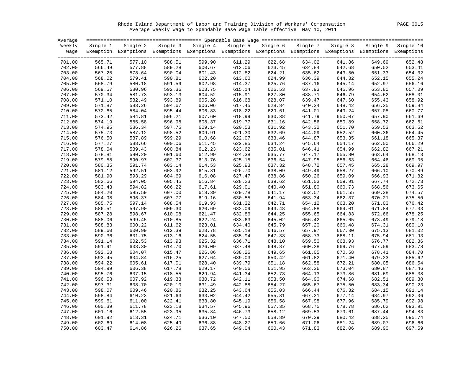Rhode Island Department of Labor and Training Division of Workers' Compensation PAGE 0015 Average Weekly Wage to Spendable Base Wage Table Effective May 10, 2011

| Average |          |                                                                                                              |        |                   |        |                   |        |                   |        |                    |
|---------|----------|--------------------------------------------------------------------------------------------------------------|--------|-------------------|--------|-------------------|--------|-------------------|--------|--------------------|
| Weekly  | Single 1 | Single 2                                                                                                     |        | Single 3 Single 4 |        | Single 5 Single 6 |        | Single 7 Single 8 |        | Single 9 Single 10 |
| Waqe    |          | Exemption Exemptions Exemptions Exemptions Exemptions Exemptions Exemptions Exemptions Exemptions Exemptions |        |                   |        |                   |        |                   |        |                    |
| 701.00  | 565.71   | 577.10                                                                                                       | 588.51 | 599.90            | 611.29 | 622.68            | 634.02 | 641.86            | 649.69 | 652.48             |
| 702.00  | 566.49   | 577.88                                                                                                       | 589.28 | 600.67            | 612.06 | 623.45            | 634.84 | 642.68            | 650.52 | 653.41             |
| 703.00  | 567.25   | 578.64                                                                                                       | 590.04 | 601.43            | 612.82 | 624.21            | 635.62 | 643.50            | 651.33 | 654.32             |
| 704.00  | 568.02   | 579.41                                                                                                       | 590.81 | 602.20            | 613.60 | 624.99            | 636.39 | 644.32            | 652.15 | 655.24             |
| 705.00  | 568.79   | 580.18                                                                                                       | 591.59 | 602.98            | 614.37 | 625.76            | 637.16 | 645.14            | 652.97 | 656.16             |
| 706.00  | 569.57   | 580.96                                                                                                       | 592.36 | 603.75            | 615.14 | 626.53            | 637.93 | 645.96            | 653.80 | 657.09             |
| 707.00  | 570.34   | 581.73                                                                                                       | 593.13 | 604.52            | 615.91 | 627.30            | 638.71 | 646.79            | 654.62 | 658.01             |
| 708.00  | 571.10   | 582.49                                                                                                       | 593.89 | 605.28            | 616.68 | 628.07            | 639.47 | 647.60            | 655.43 | 658.92             |
| 709.00  | 571.87   | 583.26                                                                                                       | 594.67 | 606.06            | 617.45 | 628.84            | 640.24 | 648.42            | 656.25 | 659.84             |
| 710.00  | 572.65   | 584.04                                                                                                       | 595.44 | 606.83            | 618.22 | 629.61            | 641.01 | 649.24            | 657.08 | 660.77             |
| 711.00  | 573.42   | 584.81                                                                                                       | 596.21 | 607.60            | 618.99 | 630.38            | 641.79 | 650.07            | 657.90 | 661.69             |
| 712.00  | 574.19   | 585.58                                                                                                       | 596.98 | 608.37            | 619.77 | 631.16            | 642.56 | 650.89            | 658.72 | 662.61             |
| 713.00  | 574.95   | 586.34                                                                                                       | 597.75 | 609.14            | 620.53 | 631.92            | 643.32 | 651.70            | 659.53 | 663.52             |
| 714.00  | 575.73   | 587.12                                                                                                       | 598.52 | 609.91            | 621.30 | 632.69            | 644.09 | 652.52            | 660.36 | 664.45             |
| 715.00  | 576.50   | 587.89                                                                                                       | 599.29 | 610.68            | 622.07 | 633.46            | 644.87 | 653.35            | 661.18 | 665.37             |
| 716.00  | 577.27   | 588.66                                                                                                       | 600.06 | 611.45            | 622.85 | 634.24            | 645.64 | 654.17            | 662.00 | 666.29             |
| 717.00  | 578.04   | 589.43                                                                                                       | 600.84 | 612.23            | 623.62 | 635.01            | 646.41 | 654.99            | 662.82 | 667.21             |
| 718.00  | 578.81   | 590.20                                                                                                       | 601.60 | 612.99            | 624.38 | 635.77            | 647.17 | 655.80            | 663.64 | 668.13             |
| 719.00  | 579.58   | 590.97                                                                                                       | 602.37 | 613.76            | 625.15 | 636.54            | 647.95 | 656.63            | 664.46 | 669.05             |
| 720.00  | 580.35   | 591.74                                                                                                       | 603.14 | 614.53            | 625.93 | 637.32            | 648.72 | 657.45            | 665.28 | 669.97             |
| 721.00  | 581.12   | 592.51                                                                                                       | 603.92 | 615.31            | 626.70 | 638.09            | 649.49 | 658.27            | 666.10 | 670.89             |
| 722.00  | 581.90   | 593.29                                                                                                       | 604.69 | 616.08            | 627.47 | 638.86            | 650.26 | 659.09            | 666.93 | 671.82             |
| 723.00  | 582.66   | 594.05                                                                                                       | 605.45 | 616.84            | 628.23 | 639.62            | 651.03 | 659.91            | 667.74 | 672.73             |
| 724.00  | 583.43   | 594.82                                                                                                       | 606.22 | 617.61            | 629.01 | 640.40            | 651.80 | 660.73            | 668.56 | 673.65             |
| 725.00  | 584.20   | 595.59                                                                                                       | 607.00 | 618.39            | 629.78 | 641.17            | 652.57 | 661.55            | 669.38 | 674.57             |
| 726.00  | 584.98   | 596.37                                                                                                       | 607.77 | 619.16            | 630.55 | 641.94            | 653.34 | 662.37            | 670.21 | 675.50             |
| 727.00  | 585.75   | 597.14                                                                                                       | 608.54 | 619.93            | 631.32 | 642.71            | 654.12 | 663.20            | 671.03 | 676.42             |
| 728.00  | 586.51   | 597.90                                                                                                       | 609.30 | 620.69            | 632.09 | 643.48            | 654.88 | 664.01            | 671.84 | 677.33             |
| 729.00  | 587.28   | 598.67                                                                                                       | 610.08 | 621.47            | 632.86 | 644.25            | 655.65 | 664.83            | 672.66 | 678.25             |
| 730.00  | 588.06   | 599.45                                                                                                       | 610.85 | 622.24            | 633.63 | 645.02            | 656.42 | 665.65            | 673.49 | 679.18             |
| 731.00  | 588.83   | 600.22                                                                                                       | 611.62 | 623.01            | 634.40 | 645.79            | 657.20 | 666.48            | 674.31 | 680.10             |
| 732.00  | 589.60   | 600.99                                                                                                       | 612.39 | 623.78            | 635.18 | 646.57            | 657.97 | 667.30            | 675.13 | 681.02             |
| 733.00  | 590.36   | 601.75                                                                                                       | 613.16 | 624.55            | 635.94 | 647.33            | 658.73 | 668.11            | 675.94 | 681.93             |
| 734.00  | 591.14   | 602.53                                                                                                       | 613.93 | 625.32            | 636.71 | 648.10            | 659.50 | 668.93            | 676.77 | 682.86             |
| 735.00  | 591.91   | 603.30                                                                                                       | 614.70 | 626.09            | 637.48 | 648.87            | 660.28 | 669.76            | 677.59 | 683.78             |
| 736.00  | 592.68   | 604.07                                                                                                       | 615.47 | 626.86            | 638.26 | 649.65            | 661.05 | 670.58            | 678.41 | 684.70             |
| 737.00  | 593.45   | 604.84                                                                                                       | 616.25 | 627.64            | 639.03 | 650.42            | 661.82 | 671.40            | 679.23 | 685.62             |
| 738.00  | 594.22   | 605.61                                                                                                       | 617.01 | 628.40            | 639.79 | 651.18            | 662.58 | 672.21            | 680.05 | 686.54             |
| 739.00  | 594.99   | 606.38                                                                                                       | 617.78 | 629.17            | 640.56 | 651.95            | 663.36 | 673.04            | 680.87 | 687.46             |
| 740.00  | 595.76   | 607.15                                                                                                       | 618.55 | 629.94            | 641.34 | 652.73            | 664.13 | 673.86            | 681.69 | 688.38             |
| 741.00  | 596.53   | 607.92                                                                                                       | 619.33 | 630.72            | 642.11 | 653.50            | 664.90 | 674.68            | 682.51 | 689.30             |
| 742.00  | 597.31   | 608.70                                                                                                       | 620.10 | 631.49            | 642.88 | 654.27            | 665.67 | 675.50            | 683.34 | 690.23             |
| 743.00  | 598.07   | 609.46                                                                                                       | 620.86 | 632.25            | 643.64 | 655.03            | 666.44 | 676.32            | 684.15 | 691.14             |
| 744.00  | 598.84   | 610.23                                                                                                       | 621.63 | 633.02            | 644.42 | 655.81            | 667.21 | 677.14            | 684.97 | 692.06             |
| 745.00  | 599.61   | 611.00                                                                                                       | 622.41 | 633.80            | 645.19 | 656.58            | 667.98 | 677.96            | 685.79 | 692.98             |
| 746.00  | 600.39   | 611.78                                                                                                       | 623.18 | 634.57            | 645.96 | 657.35            | 668.75 | 678.78            | 686.62 | 693.91             |
| 747.00  | 601.16   | 612.55                                                                                                       | 623.95 | 635.34            | 646.73 | 658.12            | 669.53 | 679.61            | 687.44 | 694.83             |
| 748.00  | 601.92   | 613.31                                                                                                       | 624.71 | 636.10            | 647.50 | 658.89            | 670.29 | 680.42            | 688.25 | 695.74             |
| 749.00  | 602.69   | 614.08                                                                                                       | 625.49 | 636.88            | 648.27 | 659.66            | 671.06 | 681.24            | 689.07 | 696.66             |
| 750.00  | 603.47   | 614.86                                                                                                       | 626.26 | 637.65            | 649.04 | 660.43            | 671.83 | 682.06            | 689.90 | 697.59             |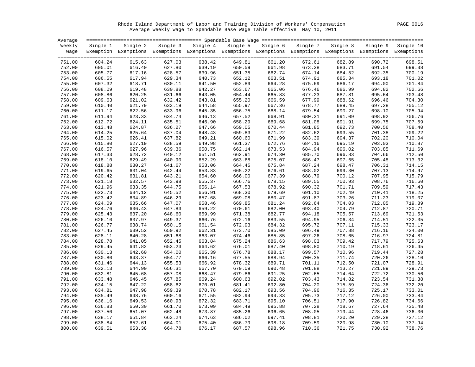Rhode Island Department of Labor and Training Division of Workers' Compensation PAGE 0016 Average Weekly Wage to Spendable Base Wage Table Effective May 10, 2011

| Average |          |                                                                                                              |          |          |        |                   |          |          |          |           |
|---------|----------|--------------------------------------------------------------------------------------------------------------|----------|----------|--------|-------------------|----------|----------|----------|-----------|
| Weekly  | Single 1 | Single 2                                                                                                     | Single 3 | Single 4 |        | Single 5 Single 6 | Single 7 | Single 8 | Single 9 | Single 10 |
| Waqe    |          | Exemption Exemptions Exemptions Exemptions Exemptions Exemptions Exemptions Exemptions Exemptions Exemptions |          |          |        |                   |          |          |          |           |
|         |          |                                                                                                              |          |          |        |                   |          |          |          |           |
| 751.00  | 604.24   | 615.63                                                                                                       | 627.03   | 638.42   | 649.81 | 661.20            | 672.61   | 682.89   | 690.72   | 698.51    |
| 752.00  | 605.01   | 616.40                                                                                                       | 627.80   | 639.19   | 650.59 | 661.98            | 673.38   | 683.71   | 691.54   | 699.38    |
| 753.00  | 605.77   | 617.16                                                                                                       | 628.57   | 639.96   | 651.35 | 662.74            | 674.14   | 684.52   | 692.35   | 700.19    |
| 754.00  | 606.55   | 617.94                                                                                                       | 629.34   | 640.73   | 652.12 | 663.51            | 674.91   | 685.34   | 693.18   | 701.02    |
| 755.00  | 607.32   | 618.71                                                                                                       | 630.11   | 641.50   | 652.89 | 664.28            | 675.69   | 686.17   | 694.00   | 701.84    |
| 756.00  | 608.09   | 619.48                                                                                                       | 630.88   | 642.27   | 653.67 | 665.06            | 676.46   | 686.99   | 694.82   | 702.66    |
| 757.00  | 608.86   | 620.25                                                                                                       | 631.66   | 643.05   | 654.44 | 665.83            | 677.23   | 687.81   | 695.64   | 703.48    |
| 758.00  | 609.63   | 621.02                                                                                                       | 632.42   | 643.81   | 655.20 | 666.59            | 677.99   | 688.62   | 696.46   | 704.30    |
| 759.00  | 610.40   | 621.79                                                                                                       | 633.19   | 644.58   | 655.97 | 667.36            | 678.77   | 689.45   | 697.28   | 705.12    |
| 760.00  | 611.17   | 622.56                                                                                                       | 633.96   | 645.35   | 656.75 | 668.14            | 679.54   | 690.27   | 698.10   | 705.94    |
| 761.00  | 611.94   | 623.33                                                                                                       | 634.74   | 646.13   | 657.52 | 668.91            | 680.31   | 691.09   | 698.92   | 706.76    |
| 762.00  | 612.72   | 624.11                                                                                                       | 635.51   | 646.90   | 658.29 | 669.68            | 681.08   | 691.91   | 699.75   | 707.59    |
| 763.00  | 613.48   | 624.87                                                                                                       | 636.27   | 647.66   | 659.05 | 670.44            | 681.85   | 692.73   | 700.56   | 708.40    |
| 764.00  | 614.25   | 625.64                                                                                                       | 637.04   | 648.43   | 659.83 | 671.22            | 682.62   | 693.55   | 701.38   | 709.22    |
| 765.00  | 615.02   | 626.41                                                                                                       | 637.82   | 649.21   | 660.60 | 671.99            | 683.39   | 694.37   | 702.20   | 710.04    |
| 766.00  | 615.80   | 627.19                                                                                                       | 638.59   | 649.98   | 661.37 | 672.76            | 684.16   | 695.19   | 703.03   | 710.87    |
| 767.00  | 616.57   | 627.96                                                                                                       | 639.36   | 650.75   | 662.14 | 673.53            | 684.94   | 696.02   | 703.85   | 711.69    |
| 768.00  | 617.33   | 628.72                                                                                                       | 640.12   | 651.51   | 662.91 | 674.30            | 685.70   | 696.83   | 704.66   | 712.50    |
| 769.00  | 618.10   | 629.49                                                                                                       | 640.90   | 652.29   | 663.68 | 675.07            | 686.47   | 697.65   | 705.48   | 713.32    |
| 770.00  | 618.88   | 630.27                                                                                                       | 641.67   | 653.06   | 664.45 | 675.84            | 687.24   | 698.47   | 706.31   | 714.15    |
| 771.00  | 619.65   | 631.04                                                                                                       | 642.44   | 653.83   | 665.22 | 676.61            | 688.02   | 699.30   | 707.13   | 714.97    |
| 772.00  | 620.42   | 631.81                                                                                                       | 643.21   | 654.60   | 666.00 | 677.39            | 688.79   | 700.12   | 707.95   | 715.79    |
| 773.00  | 621.18   | 632.57                                                                                                       | 643.98   | 655.37   | 666.76 | 678.15            | 689.55   | 700.93   | 708.76   | 716.60    |
| 774.00  | 621.96   | 633.35                                                                                                       | 644.75   | 656.14   | 667.53 | 678.92            | 690.32   | 701.71   | 709.59   | 717.43    |
| 775.00  | 622.73   | 634.12                                                                                                       | 645.52   | 656.91   | 668.30 | 679.69            | 691.10   | 702.49   | 710.41   | 718.25    |
| 776.00  | 623.42   | 634.89                                                                                                       | 646.29   | 657.68   | 669.08 | 680.47            | 691.87   | 703.26   | 711.23   | 719.07    |
| 777.00  | 624.09   | 635.66                                                                                                       | 647.07   | 658.46   | 669.85 | 681.24            | 692.64   | 704.03   | 712.05   | 719.89    |
| 778.00  | 624.76   | 636.43                                                                                                       | 647.83   | 659.22   | 670.61 | 682.00            | 693.40   | 704.79   | 712.87   | 720.71    |
| 779.00  | 625.43   | 637.20                                                                                                       | 648.60   | 659.99   | 671.38 | 682.77            | 694.18   | 705.57   | 713.69   | 721.53    |
| 780.00  | 626.10   | 637.97                                                                                                       | 649.37   | 660.76   | 672.16 | 683.55            | 694.95   | 706.34   | 714.51   | 722.35    |
| 781.00  | 626.77   | 638.74                                                                                                       | 650.15   | 661.54   | 672.93 | 684.32            | 695.72   | 707.11   | 715.33   | 723.17    |
| 782.00  | 627.45   | 639.52                                                                                                       | 650.92   | 662.31   | 673.70 | 685.09            | 696.49   | 707.88   | 716.16   | 724.00    |
| 783.00  | 628.11   | 640.28                                                                                                       | 651.68   | 663.07   | 674.46 | 685.85            | 697.26   | 708.65   | 716.97   | 724.81    |
| 784.00  | 628.78   | 641.05                                                                                                       | 652.45   | 663.84   | 675.24 | 686.63            | 698.03   | 709.42   | 717.79   | 725.63    |
| 785.00  | 629.45   | 641.82                                                                                                       | 653.23   | 664.62   | 676.01 | 687.40            | 698.80   | 710.19   | 718.61   | 726.45    |
| 786.00  | 630.13   | 642.60                                                                                                       | 654.00   | 665.39   | 676.78 | 688.17            | 699.57   | 710.96   | 719.44   | 727.28    |
| 787.00  | 630.80   | 643.37                                                                                                       | 654.77   | 666.16   | 677.55 | 688.94            | 700.35   | 711.74   | 720.26   | 728.10    |
| 788.00  | 631.46   | 644.13                                                                                                       | 655.53   | 666.92   | 678.32 | 689.71            | 701.11   | 712.50   | 721.07   | 728.91    |
| 789.00  | 632.13   | 644.90                                                                                                       | 656.31   | 667.70   | 679.09 | 690.48            | 701.88   | 713.27   | 721.89   | 729.73    |
| 790.00  | 632.81   | 645.68                                                                                                       | 657.08   | 668.47   | 679.86 | 691.25            | 702.65   | 714.04   | 722.72   | 730.56    |
| 791.00  | 633.48   | 646.45                                                                                                       | 657.85   | 669.24   | 680.63 | 692.02            | 703.43   | 714.82   | 723.54   | 731.38    |
| 792.00  | 634.15   | 647.22                                                                                                       | 658.62   | 670.01   | 681.41 | 692.80            | 704.20   | 715.59   | 724.36   | 732.20    |
| 793.00  | 634.81   | 647.98                                                                                                       | 659.39   | 670.78   | 682.17 | 693.56            | 704.96   | 716.35   | 725.17   | 733.01    |
| 794.00  | 635.49   | 648.76                                                                                                       | 660.16   | 671.55   | 682.94 | 694.33            | 705.73   | 717.12   | 726.00   | 733.84    |
| 795.00  | 636.16   | 649.53                                                                                                       | 660.93   | 672.32   | 683.71 | 695.10            | 706.51   | 717.90   | 726.82   | 734.66    |
| 796.00  | 636.83   | 650.30                                                                                                       | 661.70   | 673.09   | 684.49 | 695.88            | 707.28   | 718.67   | 727.64   | 735.48    |
| 797.00  | 637.50   | 651.07                                                                                                       | 662.48   | 673.87   | 685.26 | 696.65            | 708.05   | 719.44   | 728.46   | 736.30    |
| 798.00  | 638.17   | 651.84                                                                                                       | 663.24   | 674.63   | 686.02 | 697.41            | 708.81   | 720.20   | 729.28   | 737.12    |
| 799.00  | 638.84   | 652.61                                                                                                       | 664.01   | 675.40   | 686.79 | 698.18            | 709.59   | 720.98   | 730.10   | 737.94    |
| 800.00  | 639.51   | 653.38                                                                                                       | 664.78   | 676.17   | 687.57 | 698.96            | 710.36   | 721.75   | 730.92   | 738.76    |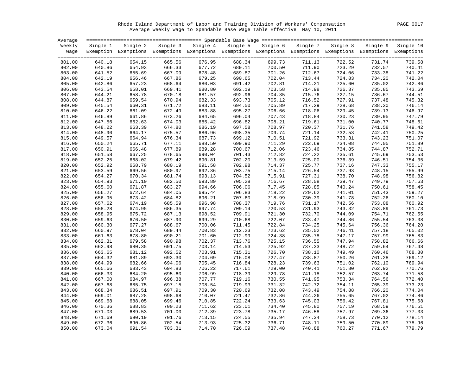Rhode Island Department of Labor and Training Division of Workers' Compensation PAGE 0017 Average Weekly Wage to Spendable Base Wage Table Effective May 10, 2011

| Average |          |                                                                                                              |        |                   |        |                   |          |          |          |           |
|---------|----------|--------------------------------------------------------------------------------------------------------------|--------|-------------------|--------|-------------------|----------|----------|----------|-----------|
| Weekly  | Single 1 | Single 2                                                                                                     |        | Single 3 Single 4 |        | Single 5 Single 6 | Single 7 | Single 8 | Single 9 | Single 10 |
| Waqe    |          | Exemption Exemptions Exemptions Exemptions Exemptions Exemptions Exemptions Exemptions Exemptions Exemptions |        |                   |        |                   |          |          |          |           |
|         |          |                                                                                                              |        |                   |        |                   |          |          |          |           |
| 801.00  | 640.18   | 654.15                                                                                                       | 665.56 | 676.95            | 688.34 | 699.73            | 711.13   | 722.52   | 731.74   | 739.58    |
| 802.00  | 640.86   | 654.93                                                                                                       | 666.33 | 677.72            | 689.11 | 700.50            | 711.90   | 723.29   | 732.57   | 740.41    |
| 803.00  | 641.52   | 655.69                                                                                                       | 667.09 | 678.48            | 689.87 | 701.26            | 712.67   | 724.06   | 733.38   | 741.22    |
| 804.00  | 642.19   | 656.46                                                                                                       | 667.86 | 679.25            | 690.65 | 702.04            | 713.44   | 724.83   | 734.20   | 742.04    |
| 805.00  | 642.86   | 657.23                                                                                                       | 668.64 | 680.03            | 691.42 | 702.81            | 714.21   | 725.60   | 735.02   | 742.86    |
| 806.00  | 643.54   | 658.01                                                                                                       | 669.41 | 680.80            | 692.19 | 703.58            | 714.98   | 726.37   | 735.85   | 743.69    |
| 807.00  | 644.21   | 658.78                                                                                                       | 670.18 | 681.57            | 692.96 | 704.35            | 715.76   | 727.15   | 736.67   | 744.51    |
| 808.00  | 644.87   | 659.54                                                                                                       | 670.94 | 682.33            | 693.73 | 705.12            | 716.52   | 727.91   | 737.48   | 745.32    |
| 809.00  | 645.54   | 660.31                                                                                                       | 671.72 | 683.11            | 694.50 | 705.89            | 717.29   | 728.68   | 738.30   | 746.14    |
| 810.00  | 646.22   | 661.09                                                                                                       | 672.49 | 683.88            | 695.27 | 706.66            | 718.06   | 729.45   | 739.13   | 746.97    |
| 811.00  | 646.89   | 661.86                                                                                                       | 673.26 | 684.65            | 696.04 | 707.43            | 718.84   | 730.23   | 739.95   | 747.79    |
| 812.00  | 647.56   | 662.63                                                                                                       | 674.03 | 685.42            | 696.82 | 708.21            | 719.61   | 731.00   | 740.77   | 748.61    |
| 813.00  | 648.22   | 663.39                                                                                                       | 674.80 | 686.19            | 697.58 | 708.97            | 720.37   | 731.76   | 741.58   | 749.42    |
| 814.00  | 648.90   | 664.17                                                                                                       | 675.57 | 686.96            | 698.35 | 709.74            | 721.14   | 732.53   | 742.41   | 750.25    |
| 815.00  | 649.57   | 664.94                                                                                                       | 676.34 | 687.73            | 699.12 | 710.51            | 721.92   | 733.31   | 743.23   | 751.07    |
| 816.00  | 650.24   | 665.71                                                                                                       | 677.11 | 688.50            | 699.90 | 711.29            | 722.69   | 734.08   | 744.05   | 751.89    |
| 817.00  | 650.91   | 666.48                                                                                                       | 677.89 | 689.28            | 700.67 | 712.06            | 723.46   | 734.85   | 744.87   | 752.71    |
| 818.00  | 651.58   | 667.25                                                                                                       | 678.65 | 690.04            | 701.43 | 712.82            | 724.22   | 735.61   | 745.69   | 753.53    |
| 819.00  | 652.25   | 668.02                                                                                                       | 679.42 | 690.81            | 702.20 | 713.59            | 725.00   | 736.39   | 746.51   | 754.35    |
| 820.00  | 652.92   | 668.79                                                                                                       | 680.19 | 691.58            | 702.98 | 714.37            | 725.77   | 737.16   | 747.33   | 755.17    |
| 821.00  | 653.59   | 669.56                                                                                                       | 680.97 | 692.36            | 703.75 | 715.14            | 726.54   | 737.93   | 748.15   | 755.99    |
| 822.00  | 654.27   | 670.34                                                                                                       | 681.74 | 693.13            | 704.52 | 715.91            | 727.31   | 738.70   | 748.98   | 756.82    |
| 823.00  | 654.93   | 671.10                                                                                                       | 682.50 | 693.89            | 705.28 | 716.67            | 728.08   | 739.47   | 749.79   | 757.63    |
| 824.00  | 655.60   | 671.87                                                                                                       | 683.27 | 694.66            | 706.06 | 717.45            | 728.85   | 740.24   | 750.61   | 758.45    |
| 825.00  | 656.27   | 672.64                                                                                                       | 684.05 | 695.44            | 706.83 | 718.22            | 729.62   | 741.01   | 751.43   | 759.27    |
| 826.00  | 656.95   | 673.42                                                                                                       | 684.82 | 696.21            | 707.60 | 718.99            | 730.39   | 741.78   | 752.26   | 760.10    |
| 827.00  | 657.62   | 674.19                                                                                                       | 685.59 | 696.98            | 708.37 | 719.76            | 731.17   | 742.56   | 753.08   | 760.92    |
| 828.00  | 658.28   | 674.95                                                                                                       | 686.35 | 697.74            | 709.14 | 720.53            | 731.93   | 743.32   | 753.89   | 761.73    |
| 829.00  | 658.95   | 675.72                                                                                                       | 687.13 | 698.52            | 709.91 | 721.30            | 732.70   | 744.09   | 754.71   | 762.55    |
| 830.00  | 659.63   | 676.50                                                                                                       | 687.90 | 699.29            | 710.68 | 722.07            | 733.47   | 744.86   | 755.54   | 763.38    |
| 831.00  | 660.30   | 677.27                                                                                                       | 688.67 | 700.06            | 711.45 | 722.84            | 734.25   | 745.64   | 756.36   | 764.20    |
| 832.00  | 660.97   | 678.04                                                                                                       | 689.44 | 700.83            | 712.23 | 723.62            | 735.02   | 746.41   | 757.18   | 765.02    |
| 833.00  | 661.63   | 678.80                                                                                                       | 690.21 | 701.60            | 712.99 | 724.38            | 735.78   | 747.17   | 757.99   | 765.83    |
| 834.00  | 662.31   | 679.58                                                                                                       | 690.98 | 702.37            | 713.76 | 725.15            | 736.55   | 747.94   | 758.82   | 766.66    |
| 835.00  | 662.98   | 680.35                                                                                                       | 691.75 | 703.14            | 714.53 | 725.92            | 737.33   | 748.72   | 759.64   | 767.48    |
| 836.00  | 663.65   | 681.12                                                                                                       | 692.52 | 703.91            | 715.31 | 726.70            | 738.10   | 749.49   | 760.46   | 768.30    |
| 837.00  | 664.32   | 681.89                                                                                                       | 693.30 | 704.69            | 716.08 | 727.47            | 738.87   | 750.26   | 761.28   | 769.12    |
| 838.00  | 664.99   | 682.66                                                                                                       | 694.06 | 705.45            | 716.84 | 728.23            | 739.63   | 751.02   | 762.10   | 769.94    |
| 839.00  | 665.66   | 683.43                                                                                                       | 694.83 | 706.22            | 717.61 | 729.00            | 740.41   | 751.80   | 762.92   | 770.76    |
| 840.00  | 666.33   | 684.20                                                                                                       | 695.60 | 706.99            | 718.39 | 729.78            | 741.18   | 752.57   | 763.74   | 771.58    |
| 841.00  | 667.00   | 684.97                                                                                                       | 696.38 | 707.77            | 719.16 | 730.55            | 741.95   | 753.34   | 764.56   | 772.40    |
| 842.00  | 667.68   | 685.75                                                                                                       | 697.15 | 708.54            | 719.93 | 731.32            | 742.72   | 754.11   | 765.39   | 773.23    |
| 843.00  | 668.34   | 686.51                                                                                                       | 697.91 | 709.30            | 720.69 | 732.08            | 743.49   | 754.88   | 766.20   | 774.04    |
| 844.00  | 669.01   | 687.28                                                                                                       | 698.68 | 710.07            | 721.47 | 732.86            | 744.26   | 755.65   | 767.02   | 774.86    |
| 845.00  | 669.68   | 688.05                                                                                                       | 699.46 | 710.85            | 722.24 | 733.63            | 745.03   | 756.42   | 767.81   | 775.68    |
| 846.00  | 670.36   | 688.83                                                                                                       | 700.23 | 711.62            | 723.01 | 734.40            | 745.80   | 757.19   | 768.59   | 776.51    |
| 847.00  | 671.03   | 689.53                                                                                                       | 701.00 | 712.39            | 723.78 | 735.17            | 746.58   | 757.97   | 769.36   | 777.33    |
| 848.00  | 671.69   | 690.19                                                                                                       | 701.76 | 713.15            | 724.55 | 735.94            | 747.34   | 758.73   | 770.12   | 778.14    |
| 849.00  | 672.36   | 690.86                                                                                                       | 702.54 | 713.93            | 725.32 | 736.71            | 748.11   | 759.50   | 770.89   | 778.96    |
| 850.00  | 673.04   | 691.54                                                                                                       | 703.31 | 714.70            | 726.09 | 737.48            | 748.88   | 760.27   | 771.67   | 779.79    |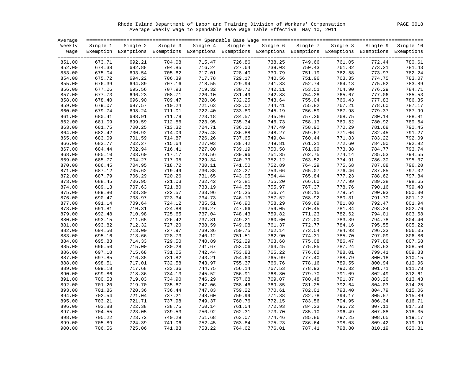Rhode Island Department of Labor and Training Division of Workers' Compensation PAGE 0018 Average Weekly Wage to Spendable Base Wage Table Effective May 10, 2011

| Average |          |                                                                                                              |          |          |          |          |          |          |          |           |
|---------|----------|--------------------------------------------------------------------------------------------------------------|----------|----------|----------|----------|----------|----------|----------|-----------|
| Weekly  | Single 1 | Single 2                                                                                                     | Single 3 | Single 4 | Single 5 | Single 6 | Single 7 | Single 8 | Single 9 | Single 10 |
| Waqe    |          | Exemption Exemptions Exemptions Exemptions Exemptions Exemptions Exemptions Exemptions Exemptions Exemptions |          |          |          |          |          |          |          |           |
|         |          |                                                                                                              |          |          |          |          |          |          |          |           |
| 851.00  | 673.71   | 692.21                                                                                                       | 704.08   | 715.47   | 726.86   | 738.25   | 749.66   | 761.05   | 772.44   | 780.61    |
| 852.00  | 674.38   | 692.88                                                                                                       | 704.85   | 716.24   | 727.64   | 739.03   | 750.43   | 761.82   | 773.21   | 781.43    |
| 853.00  | 675.04   | 693.54                                                                                                       | 705.62   | 717.01   | 728.40   | 739.79   | 751.19   | 762.58   | 773.97   | 782.24    |
| 854.00  | 675.72   | 694.22                                                                                                       | 706.39   | 717.78   | 729.17   | 740.56   | 751.96   | 763.35   | 774.75   | 783.07    |
| 855.00  | 676.39   | 694.89                                                                                                       | 707.16   | 718.55   | 729.94   | 741.33   | 752.74   | 764.13   | 775.52   | 783.89    |
| 856.00  | 677.06   | 695.56                                                                                                       | 707.93   | 719.32   | 730.72   | 742.11   | 753.51   | 764.90   | 776.29   | 784.71    |
| 857.00  | 677.73   | 696.23                                                                                                       | 708.71   | 720.10   | 731.49   | 742.88   | 754.28   | 765.67   | 777.06   | 785.53    |
| 858.00  | 678.40   | 696.90                                                                                                       | 709.47   | 720.86   | 732.25   | 743.64   | 755.04   | 766.43   | 777.83   | 786.35    |
| 859.00  | 679.07   | 697.57                                                                                                       | 710.24   | 721.63   | 733.02   | 744.41   | 755.82   | 767.21   | 778.60   | 787.17    |
| 860.00  | 679.74   | 698.24                                                                                                       | 711.01   | 722.40   | 733.80   | 745.19   | 756.59   | 767.98   | 779.37   | 787.99    |
| 861.00  | 680.41   | 698.91                                                                                                       | 711.79   | 723.18   | 734.57   | 745.96   | 757.36   | 768.75   | 780.14   | 788.81    |
| 862.00  | 681.09   | 699.59                                                                                                       | 712.56   | 723.95   | 735.34   | 746.73   | 758.13   | 769.52   | 780.92   | 789.64    |
|         |          |                                                                                                              |          |          |          |          |          |          |          |           |
| 863.00  | 681.75   | 700.25                                                                                                       | 713.32   | 724.71   | 736.10   | 747.49   | 758.90   | 770.29   | 781.68   | 790.45    |
| 864.00  | 682.42   | 700.92                                                                                                       | 714.09   | 725.48   | 736.88   | 748.27   | 759.67   | 771.06   | 782.45   | 791.27    |
| 865.00  | 683.09   | 701.59                                                                                                       | 714.87   | 726.26   | 737.65   | 749.04   | 760.44   | 771.83   | 783.22   | 792.09    |
| 866.00  | 683.77   | 702.27                                                                                                       | 715.64   | 727.03   | 738.42   | 749.81   | 761.21   | 772.60   | 784.00   | 792.92    |
| 867.00  | 684.44   | 702.94                                                                                                       | 716.41   | 727.80   | 739.19   | 750.58   | 761.99   | 773.38   | 784.77   | 793.74    |
| 868.00  | 685.10   | 703.60                                                                                                       | 717.17   | 728.56   | 739.96   | 751.35   | 762.75   | 774.14   | 785.53   | 794.55    |
| 869.00  | 685.77   | 704.27                                                                                                       | 717.95   | 729.34   | 740.73   | 752.12   | 763.52   | 774.91   | 786.30   | 795.37    |
| 870.00  | 686.45   | 704.95                                                                                                       | 718.72   | 730.11   | 741.50   | 752.89   | 764.29   | 775.68   | 787.08   | 796.20    |
| 871.00  | 687.12   | 705.62                                                                                                       | 719.49   | 730.88   | 742.27   | 753.66   | 765.07   | 776.46   | 787.85   | 797.02    |
| 872.00  | 687.79   | 706.29                                                                                                       | 720.26   | 731.65   | 743.05   | 754.44   | 765.84   | 777.23   | 788.62   | 797.84    |
| 873.00  | 688.45   | 706.95                                                                                                       | 721.03   | 732.42   | 743.81   | 755.20   | 766.60   | 777.99   | 789.38   | 798.65    |
| 874.00  | 689.13   | 707.63                                                                                                       | 721.80   | 733.19   | 744.58   | 755.97   | 767.37   | 778.76   | 790.16   | 799.48    |
| 875.00  | 689.80   | 708.30                                                                                                       | 722.57   | 733.96   | 745.35   | 756.74   | 768.15   | 779.54   | 790.93   | 800.30    |
| 876.00  | 690.47   | 708.97                                                                                                       | 723.34   | 734.73   | 746.13   | 757.52   | 768.92   | 780.31   | 791.70   | 801.12    |
| 877.00  | 691.14   | 709.64                                                                                                       | 724.12   | 735.51   | 746.90   | 758.29   | 769.69   | 781.08   | 792.47   | 801.94    |
| 878.00  | 691.81   | 710.31                                                                                                       | 724.88   | 736.27   | 747.66   | 759.05   | 770.45   | 781.84   | 793.24   | 802.76    |
| 879.00  | 692.48   | 710.98                                                                                                       | 725.65   | 737.04   | 748.43   | 759.82   | 771.23   | 782.62   | 794.01   | 803.58    |
| 880.00  | 693.15   | 711.65                                                                                                       | 726.42   | 737.81   | 749.21   | 760.60   | 772.00   | 783.39   | 794.78   | 804.40    |
| 881.00  | 693.82   | 712.32                                                                                                       | 727.20   | 738.59   | 749.98   | 761.37   | 772.77   | 784.16   | 795.55   | 805.22    |
| 882.00  | 694.50   | 713.00                                                                                                       | 727.97   | 739.36   | 750.75   | 762.14   | 773.54   | 784.93   | 796.33   | 806.05    |
| 883.00  | 695.16   | 713.66                                                                                                       | 728.73   | 740.12   | 751.51   | 762.90   | 774.31   | 785.70   | 797.09   | 806.86    |
| 884.00  | 695.83   | 714.33                                                                                                       | 729.50   | 740.89   | 752.29   | 763.68   | 775.08   | 786.47   | 797.86   | 807.68    |
| 885.00  | 696.50   | 715.00                                                                                                       | 730.28   | 741.67   | 753.06   | 764.45   | 775.85   | 787.24   | 798.63   | 808.50    |
| 886.00  | 697.18   | 715.68                                                                                                       | 731.05   | 742.44   | 753.83   | 765.22   | 776.62   | 788.01   | 799.41   | 809.33    |
| 887.00  |          | 716.35                                                                                                       | 731.82   | 743.21   | 754.60   | 765.99   | 777.40   | 788.79   | 800.18   | 810.15    |
|         | 697.85   |                                                                                                              |          | 743.97   |          |          |          | 789.55   |          |           |
| 888.00  | 698.51   | 717.01                                                                                                       | 732.58   |          | 755.37   | 766.76   | 778.16   |          | 800.94   | 810.96    |
| 889.00  | 699.18   | 717.68                                                                                                       | 733.36   | 744.75   | 756.14   | 767.53   | 778.93   | 790.32   | 801.71   | 811.78    |
| 890.00  | 699.86   | 718.36                                                                                                       | 734.13   | 745.52   | 756.91   | 768.30   | 779.70   | 791.09   | 802.49   | 812.61    |
| 891.00  | 700.53   | 719.03                                                                                                       | 734.90   | 746.29   | 757.68   | 769.07   | 780.48   | 791.87   | 803.26   | 813.43    |
| 892.00  | 701.20   | 719.70                                                                                                       | 735.67   | 747.06   | 758.46   | 769.85   | 781.25   | 792.64   | 804.03   | 814.25    |
| 893.00  | 701.86   | 720.36                                                                                                       | 736.44   | 747.83   | 759.22   | 770.61   | 782.01   | 793.40   | 804.79   | 815.06    |
| 894.00  | 702.54   | 721.04                                                                                                       | 737.21   | 748.60   | 759.99   | 771.38   | 782.78   | 794.17   | 805.57   | 815.89    |
| 895.00  | 703.21   | 721.71                                                                                                       | 737.98   | 749.37   | 760.76   | 772.15   | 783.56   | 794.95   | 806.34   | 816.71    |
| 896.00  | 703.88   | 722.38                                                                                                       | 738.75   | 750.14   | 761.54   | 772.93   | 784.33   | 795.72   | 807.11   | 817.53    |
| 897.00  | 704.55   | 723.05                                                                                                       | 739.53   | 750.92   | 762.31   | 773.70   | 785.10   | 796.49   | 807.88   | 818.35    |
| 898.00  | 705.22   | 723.72                                                                                                       | 740.29   | 751.68   | 763.07   | 774.46   | 785.86   | 797.25   | 808.65   | 819.17    |
| 899.00  | 705.89   | 724.39                                                                                                       | 741.06   | 752.45   | 763.84   | 775.23   | 786.64   | 798.03   | 809.42   | 819.99    |
| 900.00  | 706.56   | 725.06                                                                                                       | 741.83   | 753.22   | 764.62   | 776.01   | 787.41   | 798.80   | 810.19   | 820.81    |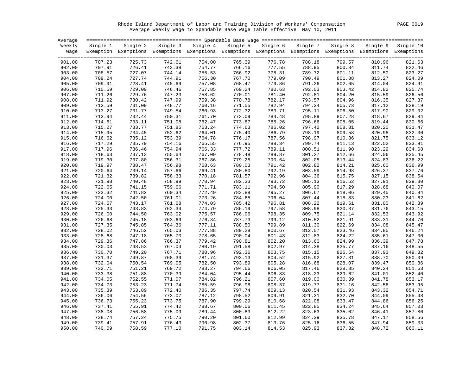Rhode Island Department of Labor and Training Division of Workers' Compensation PAGE 0019 Average Weekly Wage to Spendable Base Wage Table Effective May 10, 2011

| Average |          |                                                                                                              |          |          |          |          |          |                  |          |           |
|---------|----------|--------------------------------------------------------------------------------------------------------------|----------|----------|----------|----------|----------|------------------|----------|-----------|
| Weekly  | Single 1 | Single 2                                                                                                     | Single 3 | Single 4 | Single 5 | Single 6 | Single 7 | Single 8         | Single 9 | Single 10 |
| Waqe    |          | Exemption Exemptions Exemptions Exemptions Exemptions Exemptions Exemptions Exemptions Exemptions Exemptions |          |          |          |          |          |                  |          |           |
|         |          |                                                                                                              |          |          |          |          |          |                  |          |           |
| 901.00  | 707.23   | 725.73                                                                                                       | 742.61   | 754.00   | 765.39   | 776.78   | 788.18   | 799.57           | 810.96   | 821.63    |
| 902.00  | 707.91   | 726.41                                                                                                       | 743.38   | 754.77   | 766.16   | 777.55   | 788.95   | 800.34           | 811.74   | 822.46    |
| 903.00  | 708.57   | 727.07                                                                                                       | 744.14   | 755.53   | 766.92   | 778.31   | 789.72   | 801.11           | 812.50   | 823.27    |
| 904.00  | 709.24   | 727.74                                                                                                       | 744.91   | 756.30   | 767.70   | 779.09   | 790.49   | 801.88           | 813.27   | 824.09    |
| 905.00  | 709.91   | 728.41                                                                                                       | 745.69   | 757.08   | 768.47   | 779.86   | 791.26   | 802.65           | 814.04   | 824.91    |
| 906.00  | 710.59   | 729.09                                                                                                       | 746.46   | 757.85   | 769.24   | 780.63   | 792.03   | 803.42           | 814.82   | 825.74    |
| 907.00  | 711.26   | 729.76                                                                                                       | 747.23   | 758.62   | 770.01   | 781.40   | 792.81   | 804.20           | 815.59   | 826.56    |
| 908.00  | 711.92   | 730.42                                                                                                       | 747.99   | 759.38   | 770.78   | 782.17   | 793.57   | 804.96           | 816.35   | 827.37    |
| 909.00  | 712.59   | 731.09                                                                                                       | 748.77   | 760.16   | 771.55   | 782.94   | 794.34   | 805.73           | 817.12   | 828.19    |
| 910.00  | 713.27   | 731.77                                                                                                       | 749.54   | 760.93   | 772.32   | 783.71   | 795.11   | 806.50           | 817.90   | 829.02    |
| 911.00  | 713.94   | 732.44                                                                                                       | 750.31   | 761.70   | 773.09   | 784.48   | 795.89   | 807.28           | 818.67   | 829.84    |
| 912.00  | 714.61   | 733.11                                                                                                       | 751.08   | 762.47   | 773.87   | 785.26   | 796.66   | 808.05           | 819.44   | 830.66    |
| 913.00  | 715.27   | 733.77                                                                                                       | 751.85   | 763.24   | 774.63   | 786.02   | 797.42   | 808.81           | 820.20   | 831.47    |
| 914.00  | 715.95   | 734.45                                                                                                       | 752.62   | 764.01   | 775.40   | 786.79   | 798.19   | 809.58           | 820.98   | 832.30    |
| 915.00  | 716.62   | 735.12                                                                                                       | 753.39   | 764.78   | 776.17   | 787.56   | 798.97   | 810.36           | 821.75   | 833.12    |
| 916.00  | 717.29   | 735.79                                                                                                       | 754.16   | 765.55   | 776.95   | 788.34   | 799.74   | 811.13           | 822.52   | 833.91    |
| 917.00  | 717.96   | 736.46                                                                                                       | 754.94   | 766.33   | 777.72   | 789.11   | 800.51   | 811.90           | 823.29   | 834.68    |
| 918.00  | 718.63   | 737.13                                                                                                       | 755.64   | 767.09   | 778.48   | 789.87   | 801.27   | 812.66           | 824.06   | 835.45    |
| 919.00  | 719.30   | 737.80                                                                                                       | 756.31   | 767.86   | 779.25   | 790.64   | 802.05   | 813.44           | 824.83   | 836.22    |
| 920.00  | 719.97   | 738.47                                                                                                       | 756.98   | 768.63   | 780.03   | 791.42   | 802.82   | 814.21           | 825.60   | 836.99    |
| 921.00  | 720.64   | 739.14                                                                                                       | 757.66   | 769.41   | 780.80   | 792.19   | 803.59   | 814.98           | 826.37   | 837.76    |
| 922.00  | 721.32   | 739.82                                                                                                       | 758.33   | 770.18   | 781.57   | 792.96   | 804.36   | 815.75           | 827.15   | 838.54    |
| 923.00  | 721.98   | 740.48                                                                                                       | 758.99   | 770.94   | 782.33   | 793.72   | 805.13   | 816.52           | 827.91   | 839.30    |
| 924.00  |          | 741.15                                                                                                       |          | 771.71   |          |          | 805.90   |                  |          |           |
|         | 722.65   |                                                                                                              | 759.66   | 772.49   | 783.11   | 794.50   |          | 817.29<br>818.06 | 828.68   | 840.07    |
| 925.00  | 723.32   | 741.82                                                                                                       | 760.34   |          | 783.88   | 795.27   | 806.67   |                  | 829.45   | 840.84    |
| 926.00  | 724.00   | 742.50                                                                                                       | 761.01   | 773.26   | 784.65   | 796.04   | 807.44   | 818.83           | 830.23   | 841.62    |
| 927.00  | 724.67   | 743.17                                                                                                       | 761.68   | 774.03   | 785.42   | 796.81   | 808.22   | 819.61           | 831.00   | 842.39    |
| 928.00  | 725.33   | 743.83                                                                                                       | 762.34   | 774.79   | 786.19   | 797.58   | 808.98   | 820.37           | 831.76   | 843.15    |
| 929.00  | 726.00   | 744.50                                                                                                       | 763.02   | 775.57   | 786.96   | 798.35   | 809.75   | 821.14           | 832.53   | 843.92    |
| 930.00  | 726.68   | 745.18                                                                                                       | 763.69   | 776.34   | 787.73   | 799.12   | 810.52   | 821.91           | 833.31   | 844.70    |
| 931.00  | 727.35   | 745.85                                                                                                       | 764.36   | 777.11   | 788.50   | 799.89   | 811.30   | 822.69           | 834.08   | 845.47    |
| 932.00  | 728.02   | 746.52                                                                                                       | 765.03   | 777.88   | 789.28   | 800.67   | 812.07   | 823.46           | 834.85   | 846.24    |
| 933.00  | 728.68   | 747.18                                                                                                       | 765.70   | 778.65   | 790.04   | 801.43   | 812.83   | 824.22           | 835.61   | 847.00    |
| 934.00  | 729.36   | 747.86                                                                                                       | 766.37   | 779.42   | 790.81   | 802.20   | 813.60   | 824.99           | 836.39   | 847.78    |
| 935.00  | 730.03   | 748.53                                                                                                       | 767.04   | 780.19   | 791.58   | 802.97   | 814.38   | 825.77           | 837.16   | 848.55    |
| 936.00  | 730.70   | 749.20                                                                                                       | 767.71   | 780.96   | 792.36   | 803.75   | 815.15   | 826.54           | 837.93   | 849.32    |
| 937.00  | 731.37   | 749.87                                                                                                       | 768.39   | 781.74   | 793.13   | 804.52   | 815.92   | 827.31           | 838.70   | 850.09    |
| 938.00  | 732.04   | 750.54                                                                                                       | 769.05   | 782.50   | 793.89   | 805.28   | 816.68   | 828.07           | 839.47   | 850.86    |
| 939.00  | 732.71   | 751.21                                                                                                       | 769.72   | 783.27   | 794.66   | 806.05   | 817.46   | 828.85           | 840.24   | 851.63    |
| 940.00  | 733.38   | 751.88                                                                                                       | 770.39   | 784.04   | 795.44   | 806.83   | 818.23   | 829.62           | 841.01   | 852.40    |
| 941.00  | 734.05   | 752.55                                                                                                       | 771.07   | 784.82   | 796.21   | 807.60   | 819.00   | 830.39           | 841.78   | 853.17    |
| 942.00  | 734.73   | 753.23                                                                                                       | 771.74   | 785.59   | 796.98   | 808.37   | 819.77   | 831.16           | 842.56   | 853.95    |
| 943.00  | 735.39   | 753.89                                                                                                       | 772.40   | 786.35   | 797.74   | 809.13   | 820.54   | 831.93           | 843.32   | 854.71    |
| 944.00  | 736.06   | 754.56                                                                                                       | 773.07   | 787.12   | 798.52   | 809.91   | 821.31   | 832.70           | 844.09   | 855.48    |
| 945.00  | 736.73   | 755.23                                                                                                       | 773.75   | 787.90   | 799.29   | 810.68   | 822.08   | 833.47           | 844.86   | 856.25    |
| 946.00  | 737.41   | 755.91                                                                                                       | 774.42   | 788.67   | 800.06   | 811.45   | 822.85   | 834.24           | 845.64   | 857.03    |
| 947.00  | 738.08   | 756.58                                                                                                       | 775.09   | 789.44   | 800.83   | 812.22   | 823.63   | 835.02           | 846.41   | 857.80    |
| 948.00  | 738.74   | 757.24                                                                                                       | 775.75   | 790.20   | 801.60   | 812.99   | 824.39   | 835.78           | 847.17   | 858.56    |
| 949.00  | 739.41   | 757.91                                                                                                       | 776.43   | 790.98   | 802.37   | 813.76   | 825.16   | 836.55           | 847.94   | 859.33    |
| 950.00  | 740.09   | 758.59                                                                                                       | 777.10   | 791.75   | 803.14   | 814.53   | 825.93   | 837.32           | 848.72   | 860.11    |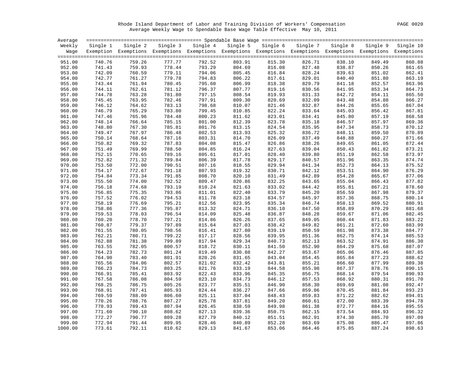Rhode Island Department of Labor and Training Division of Workers' Compensation PAGE 0020 Average Weekly Wage to Spendable Base Wage Table Effective May 10, 2011

| Average |          |                                                                                                              |          |          |          |          |          |          |          |           |
|---------|----------|--------------------------------------------------------------------------------------------------------------|----------|----------|----------|----------|----------|----------|----------|-----------|
| Weekly  | Single 1 | Single 2                                                                                                     | Single 3 | Single 4 | Single 5 | Single 6 | Single 7 | Single 8 | Single 9 | Single 10 |
| Waqe    |          | Exemption Exemptions Exemptions Exemptions Exemptions Exemptions Exemptions Exemptions Exemptions Exemptions |          |          |          |          |          |          |          |           |
|         |          |                                                                                                              |          |          |          |          |          |          |          |           |
| 951.00  | 740.76   | 759.26                                                                                                       | 777.77   | 792.52   | 803.91   | 815.30   | 826.71   | 838.10   | 849.49   | 860.88    |
| 952.00  | 741.43   | 759.93                                                                                                       | 778.44   | 793.29   | 804.69   | 816.08   | 827.48   | 838.87   | 850.26   | 861.65    |
| 953.00  | 742.09   | 760.59                                                                                                       | 779.11   | 794.06   | 805.45   | 816.84   | 828.24   | 839.63   | 851.02   | 862.41    |
| 954.00  | 742.77   | 761.27                                                                                                       | 779.78   | 794.83   | 806.22   | 817.61   | 829.01   | 840.40   | 851.80   | 863.19    |
| 955.00  | 743.44   | 761.94                                                                                                       | 780.45   | 795.60   | 806.99   | 818.38   | 829.79   | 841.18   | 852.57   | 863.96    |
| 956.00  | 744.11   | 762.61                                                                                                       | 781.12   | 796.37   | 807.77   | 819.16   | 830.56   | 841.95   | 853.34   | 864.73    |
| 957.00  | 744.78   | 763.28                                                                                                       | 781.80   | 797.15   | 808.54   | 819.93   | 831.33   | 842.72   | 854.11   | 865.50    |
| 958.00  | 745.45   | 763.95                                                                                                       | 782.46   | 797.91   | 809.30   | 820.69   | 832.09   | 843.48   | 854.88   | 866.27    |
| 959.00  | 746.12   | 764.62                                                                                                       | 783.13   | 798.68   | 810.07   | 821.46   | 832.87   | 844.26   | 855.65   | 867.04    |
| 960.00  | 746.79   | 765.29                                                                                                       | 783.80   | 799.45   | 810.85   | 822.24   | 833.64   | 845.03   | 856.42   | 867.81    |
| 961.00  | 747.46   | 765.96                                                                                                       | 784.48   | 800.23   | 811.62   | 823.01   | 834.41   | 845.80   | 857.19   | 868.58    |
| 962.00  | 748.14   | 766.64                                                                                                       | 785.15   | 801.00   | 812.39   | 823.78   | 835.18   | 846.57   | 857.97   | 869.36    |
| 963.00  | 748.80   | 767.30                                                                                                       | 785.81   | 801.76   | 813.15   | 824.54   | 835.95   | 847.34   | 858.73   | 870.12    |
| 964.00  | 749.47   | 767.97                                                                                                       | 786.48   | 802.53   | 813.93   | 825.32   | 836.72   | 848.11   | 859.50   | 870.89    |
| 965.00  | 750.14   | 768.64                                                                                                       | 787.16   | 803.31   | 814.70   | 826.09   | 837.49   | 848.88   | 860.27   | 871.66    |
| 966.00  | 750.82   | 769.32                                                                                                       | 787.83   | 804.08   | 815.47   | 826.86   | 838.26   | 849.65   | 861.05   | 872.44    |
| 967.00  | 751.49   | 769.99                                                                                                       | 788.50   | 804.85   | 816.24   | 827.63   | 839.04   | 850.43   | 861.82   | 873.21    |
| 968.00  | 752.15   | 770.65                                                                                                       | 789.16   | 805.61   | 817.01   | 828.40   | 839.80   | 851.19   | 862.58   | 873.97    |
| 969.00  | 752.82   | 771.32                                                                                                       | 789.84   | 806.39   | 817.78   | 829.17   | 840.57   | 851.96   | 863.35   | 874.74    |
| 970.00  | 753.50   | 772.00                                                                                                       | 790.51   | 807.16   | 818.55   | 829.94   | 841.34   | 852.73   | 864.13   | 875.52    |
| 971.00  | 754.17   | 772.67                                                                                                       | 791.18   | 807.93   | 819.32   | 830.71   | 842.12   | 853.51   | 864.90   | 876.29    |
| 972.00  | 754.84   | 773.34                                                                                                       | 791.85   | 808.70   | 820.10   | 831.49   | 842.89   | 854.28   | 865.67   | 877.06    |
| 973.00  | 755.50   | 774.00                                                                                                       | 792.52   | 809.47   | 820.86   | 832.25   | 843.65   | 855.04   | 866.43   | 877.82    |
| 974.00  | 756.18   | 774.68                                                                                                       | 793.19   | 810.24   | 821.63   | 833.02   | 844.42   | 855.81   | 867.21   | 878.60    |
| 975.00  | 756.85   | 775.35                                                                                                       | 793.86   | 811.01   | 822.40   | 833.79   | 845.20   | 856.59   | 867.98   | 879.37    |
| 976.00  | 757.52   | 776.02                                                                                                       | 794.53   | 811.78   | 823.18   | 834.57   | 845.97   | 857.36   | 868.75   | 880.14    |
| 977.00  | 758.19   | 776.69                                                                                                       | 795.21   | 812.56   | 823.95   | 835.34   | 846.74   | 858.13   | 869.52   | 880.91    |
| 978.00  | 758.86   | 777.36                                                                                                       | 795.87   | 813.32   | 824.71   | 836.10   | 847.50   | 858.89   | 870.29   | 881.68    |
| 979.00  | 759.53   | 778.03                                                                                                       | 796.54   | 814.09   | 825.48   | 836.87   | 848.28   | 859.67   | 871.06   | 882.45    |
| 980.00  | 760.20   | 778.70                                                                                                       | 797.21   | 814.86   | 826.26   | 837.65   | 849.05   | 860.44   | 871.83   | 883.22    |
| 981.00  | 760.87   | 779.37                                                                                                       | 797.89   | 815.64   | 827.03   | 838.42   | 849.82   | 861.21   | 872.60   | 883.99    |
| 982.00  | 761.55   | 780.05                                                                                                       | 798.56   | 816.41   | 827.80   | 839.19   | 850.59   | 861.98   | 873.38   | 884.77    |
| 983.00  | 762.21   | 780.71                                                                                                       | 799.22   | 817.17   | 828.56   | 839.95   | 851.36   | 862.75   | 874.14   | 885.53    |
| 984.00  | 762.88   | 781.38                                                                                                       | 799.89   | 817.94   | 829.34   | 840.73   | 852.13   | 863.52   | 874.91   | 886.30    |
| 985.00  | 763.55   | 782.05                                                                                                       | 800.57   | 818.72   | 830.11   | 841.50   | 852.90   | 864.29   | 875.68   | 887.07    |
| 986.00  | 764.23   | 782.73                                                                                                       | 801.24   | 819.49   | 830.88   | 842.27   | 853.67   | 865.06   | 876.46   | 887.85    |
| 987.00  | 764.90   | 783.40                                                                                                       | 801.91   | 820.26   | 831.65   | 843.04   | 854.45   | 865.84   | 877.23   | 888.62    |
| 988.00  | 765.56   | 784.06                                                                                                       | 802.57   | 821.02   | 832.42   | 843.81   | 855.21   | 866.60   | 877.99   | 889.38    |
| 989.00  | 766.23   | 784.73                                                                                                       | 803.25   | 821.76   | 833.19   | 844.58   | 855.98   | 867.37   | 878.76   | 890.15    |
| 990.00  | 766.91   | 785.41                                                                                                       | 803.92   | 822.43   | 833.96   | 845.35   | 856.75   | 868.14   | 879.54   | 890.93    |
| 991.00  | 767.58   | 786.08                                                                                                       | 804.59   | 823.10   | 834.73   | 846.12   | 857.53   | 868.92   | 880.31   | 891.70    |
| 992.00  | 768.25   | 786.75                                                                                                       | 805.26   | 823.77   | 835.51   | 846.90   | 858.30   | 869.69   | 881.08   | 892.47    |
| 993.00  | 768.91   | 787.41                                                                                                       | 805.93   | 824.44   | 836.27   | 847.66   | 859.06   | 870.45   | 881.84   | 893.23    |
| 994.00  | 769.59   | 788.09                                                                                                       | 806.60   | 825.11   | 837.04   | 848.43   | 859.83   | 871.22   | 882.62   | 894.01    |
| 995.00  | 770.26   | 788.76                                                                                                       | 807.27   | 825.78   | 837.81   | 849.20   | 860.61   | 872.00   | 883.39   | 894.78    |
| 996.00  | 770.93   | 789.43                                                                                                       | 807.94   | 826.45   | 838.59   | 849.98   | 861.38   | 872.77   | 884.16   | 895.55    |
| 997.00  | 771.60   | 790.10                                                                                                       | 808.62   | 827.13   | 839.36   | 850.75   | 862.15   | 873.54   | 884.93   | 896.32    |
| 998.00  | 772.27   | 790.77                                                                                                       | 809.28   | 827.79   | 840.12   | 851.51   | 862.91   | 874.30   | 885.70   | 897.09    |
| 999.00  | 772.94   | 791.44                                                                                                       | 809.95   | 828.46   | 840.89   | 852.28   | 863.69   | 875.08   | 886.47   | 897.86    |
| 1000.00 | 773.61   | 792.11                                                                                                       | 810.62   | 829.13   | 841.67   | 853.06   | 864.46   | 875.85   | 887.24   | 898.63    |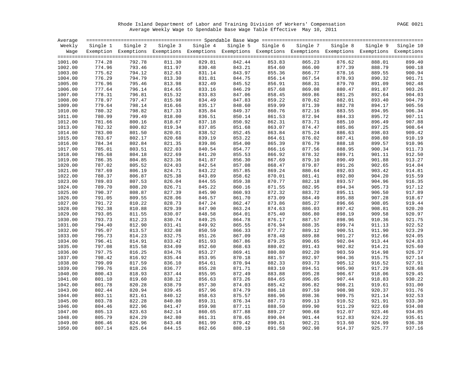Rhode Island Department of Labor and Training Division of Workers' Compensation PAGE 0021 Average Weekly Wage to Spendable Base Wage Table Effective May 10, 2011

| Average |          |                                                                                                                   |        |                            |        |        |        |                                                        |        |        |
|---------|----------|-------------------------------------------------------------------------------------------------------------------|--------|----------------------------|--------|--------|--------|--------------------------------------------------------|--------|--------|
| Weekly  | Single 1 |                                                                                                                   |        | Single 2 Single 3 Single 4 |        |        |        | Single 5 Single 6 Single 7 Single 8 Single 9 Single 10 |        |        |
|         |          | Wage Exemption Exemptions Exemptions Exemptions Exemptions Exemptions Exemptions Exemptions Exemptions Exemptions |        |                            |        |        |        |                                                        |        |        |
| 1001.00 | 774.28   | 792.78                                                                                                            | 811.30 | 829.81                     | 842.44 | 853.83 | 865.23 | 876.62                                                 | 888.01 | 899.40 |
| 1002.00 | 774.96   | 793.46                                                                                                            | 811.97 | 830.48                     | 843.21 | 854.60 | 866.00 | 877.39                                                 | 888.79 | 900.18 |
| 1003.00 | 775.62   | 794.12                                                                                                            | 812.63 | 831.14                     | 843.97 | 855.36 | 866.77 | 878.16                                                 | 889.55 | 900.94 |
| 1004.00 | 776.29   | 794.79                                                                                                            | 813.30 | 831.81                     | 844.75 | 856.14 | 867.54 | 878.93                                                 | 890.32 | 901.71 |
| 1005.00 | 776.96   | 795.46                                                                                                            | 813.98 | 832.49                     | 845.52 | 856.91 | 868.31 | 879.70                                                 | 891.09 | 902.48 |
| 1006.00 | 777.64   | 796.14                                                                                                            | 814.65 | 833.16                     | 846.29 | 857.68 | 869.08 | 880.47                                                 | 891.87 | 903.26 |
| 1007.00 | 778.31   | 796.81                                                                                                            | 815.32 | 833.83                     | 847.06 | 858.45 | 869.86 | 881.25                                                 | 892.64 | 904.03 |
| 1008.00 | 778.97   | 797.47                                                                                                            | 815.98 | 834.49                     | 847.83 | 859.22 | 870.62 | 882.01                                                 | 893.40 | 904.79 |
| 1009.00 | 779.64   | 798.14                                                                                                            | 816.66 | 835.17                     | 848.60 | 859.99 | 871.39 | 882.78                                                 | 894.17 | 905.56 |
| 1010.00 | 780.32   | 798.82                                                                                                            | 817.33 | 835.84                     | 849.37 | 860.76 | 872.16 | 883.55                                                 | 894.95 | 906.34 |
| 1011.00 | 780.99   | 799.49                                                                                                            | 818.00 | 836.51                     | 850.14 | 861.53 | 872.94 | 884.33                                                 | 895.72 | 907.11 |
| 1012.00 | 781.66   | 800.16                                                                                                            | 818.67 | 837.18                     | 850.92 | 862.31 | 873.71 | 885.10                                                 | 896.49 | 907.88 |
| 1013.00 | 782.32   | 800.82                                                                                                            | 819.34 | 837.85                     | 851.68 | 863.07 | 874.47 | 885.86                                                 | 897.25 | 908.64 |
| 1014.00 | 783.00   | 801.50                                                                                                            | 820.01 | 838.52                     | 852.45 | 863.84 | 875.24 | 886.63                                                 | 898.03 | 909.42 |
| 1015.00 | 783.67   | 802.17                                                                                                            | 820.68 | 839.19                     | 853.22 | 864.61 | 876.02 | 887.41                                                 | 898.80 | 910.19 |
| 1016.00 | 784.34   | 802.84                                                                                                            | 821.35 | 839.86                     | 854.00 | 865.39 | 876.79 | 888.18                                                 | 899.57 | 910.96 |
| 1017.00 | 785.01   | 803.51                                                                                                            | 822.03 | 840.54                     | 854.77 | 866.16 | 877.56 | 888.95                                                 | 900.34 | 911.73 |
| 1018.00 | 785.68   | 804.18                                                                                                            | 822.69 | 841.20                     | 855.53 | 866.92 | 878.32 | 889.71                                                 | 901.11 | 912.50 |
| 1019.00 | 786.35   | 804.85                                                                                                            | 823.36 | 841.87                     | 856.30 | 867.69 | 879.10 | 890.49                                                 | 901.88 | 913.27 |
| 1020.00 | 787.02   | 805.52                                                                                                            | 824.03 | 842.54                     | 857.08 | 868.47 | 879.87 | 891.26                                                 | 902.65 | 914.04 |
| 1021.00 | 787.69   | 806.19                                                                                                            | 824.71 | 843.22                     | 857.85 | 869.24 | 880.64 | 892.03                                                 | 903.42 | 914.81 |
| 1022.00 | 788.37   | 806.87                                                                                                            | 825.38 | 843.89                     | 858.62 | 870.01 | 881.41 | 892.80                                                 | 904.20 | 915.59 |
| 1023.00 | 789.03   | 807.53                                                                                                            | 826.04 | 844.55                     | 859.38 | 870.77 | 882.18 | 893.57                                                 | 904.96 | 916.35 |
| 1024.00 | 789.70   | 808.20                                                                                                            | 826.71 | 845.22                     | 860.16 | 871.55 | 882.95 | 894.34                                                 | 905.73 | 917.12 |
| 1025.00 | 790.37   | 808.87                                                                                                            | 827.39 | 845.90                     | 860.93 | 872.32 | 883.72 | 895.11                                                 | 906.50 | 917.89 |
| 1026.00 | 791.05   | 809.55                                                                                                            | 828.06 | 846.57                     | 861.70 | 873.09 | 884.49 | 895.88                                                 | 907.28 | 918.67 |
| 1027.00 | 791.72   | 810.22                                                                                                            | 828.73 | 847.24                     | 862.47 | 873.86 | 885.27 | 896.66                                                 | 908.05 | 919.44 |
| 1028.00 | 792.38   | 810.88                                                                                                            | 829.39 | 847.90                     | 863.24 | 874.63 | 886.03 | 897.42                                                 | 908.81 | 920.20 |
| 1029.00 | 793.05   | 811.55                                                                                                            | 830.07 | 848.58                     | 864.01 | 875.40 | 886.80 | 898.19                                                 | 909.58 | 920.97 |
| 1030.00 | 793.73   | 812.23                                                                                                            | 830.74 | 849.25                     | 864.78 | 876.17 | 887.57 | 898.96                                                 | 910.36 | 921.75 |
| 1031.00 | 794.40   | 812.90                                                                                                            | 831.41 | 849.92                     | 865.55 | 876.94 | 888.35 | 899.74                                                 | 911.13 | 922.52 |
| 1032.00 | 795.07   | 813.57                                                                                                            | 832.08 | 850.59                     | 866.33 | 877.72 | 889.12 | 900.51                                                 | 911.90 | 923.29 |
| 1033.00 | 795.73   | 814.23                                                                                                            | 832.75 | 851.26                     | 867.09 | 878.48 | 889.88 | 901.27                                                 | 912.66 | 924.05 |
| 1034.00 | 796.41   | 814.91                                                                                                            | 833.42 | 851.93                     | 867.86 | 879.25 | 890.65 | 902.04                                                 | 913.44 | 924.83 |
| 1035.00 | 797.08   | 815.58                                                                                                            | 834.09 | 852.60                     | 868.63 | 880.02 | 891.43 | 902.82                                                 | 914.21 | 925.60 |
| 1036.00 | 797.75   | 816.25                                                                                                            | 834.76 | 853.27                     | 869.41 | 880.80 | 892.20 | 903.59                                                 | 914.98 | 926.37 |
| 1037.00 | 798.42   | 816.92                                                                                                            | 835.44 | 853.95                     | 870.18 | 881.57 | 892.97 | 904.36                                                 | 915.75 | 927.14 |
| 1038.00 | 799.09   | 817.59                                                                                                            | 836.10 | 854.61                     | 870.94 | 882.33 | 893.73 | 905.12                                                 | 916.52 | 927.91 |
| 1039.00 | 799.76   | 818.26                                                                                                            | 836.77 | 855.28                     | 871.71 | 883.10 | 894.51 | 905.90                                                 | 917.29 | 928.68 |
| 1040.00 | 800.43   | 818.93                                                                                                            | 837.44 | 855.95                     | 872.49 | 883.88 | 895.28 | 906.67                                                 | 918.06 | 929.45 |
| 1041.00 | 801.10   | 819.60                                                                                                            | 838.12 | 856.63                     | 873.26 | 884.65 | 896.05 | 907.44                                                 | 918.83 | 930.22 |
| 1042.00 | 801.78   | 820.28                                                                                                            | 838.79 | 857.30                     | 874.03 | 885.42 | 896.82 | 908.21                                                 | 919.61 | 931.00 |
| 1043.00 | 802.44   | 820.94                                                                                                            | 839.45 | 857.96                     | 874.79 | 886.18 | 897.59 | 908.98                                                 | 920.37 | 931.76 |
| 1044.00 | 803.11   | 821.61                                                                                                            | 840.12 | 858.63                     | 875.57 | 886.96 | 898.36 | 909.75                                                 | 921.14 | 932.53 |
| 1045.00 | 803.78   | 822.28                                                                                                            | 840.80 | 859.31                     | 876.34 | 887.73 | 899.13 | 910.52                                                 | 921.91 | 933.30 |
| 1046.00 | 804.46   | 822.96                                                                                                            | 841.47 | 859.98                     | 877.11 | 888.50 | 899.90 | 911.29                                                 | 922.69 | 934.08 |
| 1047.00 | 805.13   | 823.63                                                                                                            | 842.14 | 860.65                     | 877.88 | 889.27 | 900.68 | 912.07                                                 | 923.46 | 934.85 |
| 1048.00 | 805.79   | 824.29                                                                                                            | 842.80 | 861.31                     | 878.65 | 890.04 | 901.44 | 912.83                                                 | 924.22 | 935.61 |
| 1049.00 | 806.46   | 824.96                                                                                                            | 843.48 | 861.99                     | 879.42 | 890.81 | 902.21 | 913.60                                                 | 924.99 | 936.38 |
| 1050.00 | 807.14   | 825.64                                                                                                            | 844.15 | 862.66                     | 880.19 | 891.58 | 902.98 | 914.37                                                 | 925.77 | 937.16 |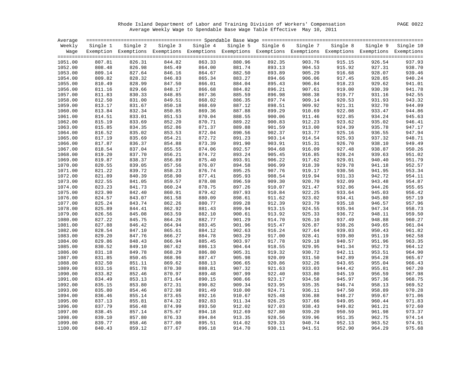Rhode Island Department of Labor and Training Division of Workers' Compensation PAGE 0022 Average Weekly Wage to Spendable Base Wage Table Effective May 10, 2011

| Average |          |                                                                                                                   |        |                                                                                   |        |        |        |        |        |        |
|---------|----------|-------------------------------------------------------------------------------------------------------------------|--------|-----------------------------------------------------------------------------------|--------|--------|--------|--------|--------|--------|
| Weekly  | Single 1 |                                                                                                                   |        | Single 2 Single 3 Single 4 Single 5 Single 6 Single 7 Single 8 Single 9 Single 10 |        |        |        |        |        |        |
|         |          | Wage Exemption Exemptions Exemptions Exemptions Exemptions Exemptions Exemptions Exemptions Exemptions Exemptions |        |                                                                                   |        |        |        |        |        |        |
| 1051.00 | 807.81   | 826.31                                                                                                            | 844.82 | 863.33                                                                            | 880.96 | 892.35 | 903.76 | 915.15 | 926.54 | 937.93 |
| 1052.00 | 808.48   | 826.98                                                                                                            | 845.49 | 864.00                                                                            | 881.74 | 893.13 | 904.53 | 915.92 | 927.31 | 938.70 |
| 1053.00 | 809.14   | 827.64                                                                                                            | 846.16 | 864.67                                                                            | 882.50 | 893.89 | 905.29 | 916.68 | 928.07 | 939.46 |
| 1054.00 | 809.82   | 828.32                                                                                                            | 846.83 | 865.34                                                                            | 883.27 | 894.66 | 906.06 | 917.45 | 928.85 | 940.24 |
| 1055.00 | 810.49   | 828.99                                                                                                            | 847.50 | 866.01                                                                            | 884.04 | 895.43 | 906.84 | 918.23 | 929.62 | 941.01 |
| 1056.00 | 811.16   | 829.66                                                                                                            | 848.17 | 866.68                                                                            | 884.82 | 896.21 | 907.61 | 919.00 | 930.39 | 941.78 |
| 1057.00 | 811.83   | 830.33                                                                                                            | 848.85 | 867.36                                                                            | 885.59 | 896.98 | 908.38 | 919.77 | 931.16 | 942.55 |
| 1058.00 | 812.50   | 831.00                                                                                                            | 849.51 | 868.02                                                                            | 886.35 | 897.74 | 909.14 | 920.53 | 931.93 | 943.32 |
| 1059.00 | 813.17   | 831.67                                                                                                            | 850.18 | 868.69                                                                            | 887.12 | 898.51 | 909.92 | 921.31 | 932.70 | 944.09 |
| 1060.00 | 813.84   | 832.34                                                                                                            | 850.85 | 869.36                                                                            | 887.88 | 899.29 | 910.69 | 922.08 | 933.47 | 944.86 |
| 1061.00 | 814.51   | 833.01                                                                                                            | 851.53 | 870.04                                                                            | 888.55 | 900.06 | 911.46 | 922.85 | 934.24 | 945.63 |
| 1062.00 | 815.19   | 833.69                                                                                                            | 852.20 | 870.71                                                                            | 889.22 | 900.83 | 912.23 | 923.62 | 935.02 | 946.41 |
| 1063.00 | 815.85   | 834.35                                                                                                            | 852.86 | 871.37                                                                            | 889.88 | 901.59 | 913.00 | 924.39 | 935.78 | 947.17 |
| 1064.00 | 816.52   | 835.02                                                                                                            | 853.53 | 872.04                                                                            | 890.56 | 902.37 | 913.77 | 925.16 | 936.55 | 947.94 |
| 1065.00 | 817.19   | 835.69                                                                                                            | 854.21 | 872.72                                                                            | 891.23 | 903.14 | 914.54 | 925.93 | 937.32 | 948.71 |
| 1066.00 | 817.87   | 836.37                                                                                                            | 854.88 | 873.39                                                                            | 891.90 | 903.91 | 915.31 | 926.70 | 938.10 | 949.49 |
| 1067.00 | 818.54   | 837.04                                                                                                            | 855.55 | 874.06                                                                            | 892.57 | 904.68 | 916.09 | 927.48 | 938.87 | 950.26 |
| 1068.00 | 819.20   | 837.70                                                                                                            | 856.21 | 874.72                                                                            | 893.24 | 905.45 | 916.85 | 928.24 | 939.63 | 951.02 |
| 1069.00 | 819.87   | 838.37                                                                                                            | 856.89 | 875.40                                                                            | 893.91 | 906.22 | 917.62 | 929.01 | 940.40 | 951.79 |
| 1070.00 | 820.55   | 839.05                                                                                                            | 857.56 | 876.07                                                                            | 894.58 | 906.99 | 918.39 | 929.78 | 941.18 | 952.57 |
| 1071.00 | 821.22   | 839.72                                                                                                            | 858.23 | 876.74                                                                            | 895.25 | 907.76 | 919.17 | 930.56 | 941.95 | 953.34 |
| 1072.00 | 821.89   | 840.39                                                                                                            | 858.90 | 877.41                                                                            | 895.93 | 908.54 | 919.94 | 931.33 | 942.72 | 954.11 |
| 1073.00 | 822.55   | 841.05                                                                                                            | 859.57 | 878.08                                                                            | 896.59 | 909.30 | 920.70 | 932.09 | 943.48 | 954.87 |
| 1074.00 | 823.23   | 841.73                                                                                                            | 860.24 | 878.75                                                                            | 897.26 | 910.07 | 921.47 | 932.86 | 944.26 | 955.65 |
| 1075.00 | 823.90   | 842.40                                                                                                            | 860.91 | 879.42                                                                            | 897.93 | 910.84 | 922.25 | 933.64 | 945.03 | 956.42 |
| 1076.00 | 824.57   | 843.07                                                                                                            | 861.58 | 880.09                                                                            | 898.61 | 911.62 | 923.02 | 934.41 | 945.80 | 957.19 |
| 1077.00 | 825.24   | 843.74                                                                                                            | 862.26 | 880.77                                                                            | 899.28 | 912.39 | 923.79 | 935.18 | 946.57 | 957.96 |
| 1078.00 | 825.89   | 844.41                                                                                                            | 862.92 | 881.43                                                                            | 899.94 | 913.15 | 924.55 | 935.94 | 947.34 | 958.73 |
| 1079.00 | 826.56   | 845.08                                                                                                            | 863.59 | 882.10                                                                            | 900.61 | 913.92 | 925.33 | 936.72 | 948.11 | 959.50 |
| 1080.00 | 827.22   | 845.75                                                                                                            | 864.26 | 882.77                                                                            | 901.29 | 914.70 | 926.10 | 937.49 | 948.88 | 960.27 |
| 1081.00 | 827.88   | 846.42                                                                                                            | 864.94 | 883.45                                                                            | 901.96 | 915.47 | 926.87 | 938.26 | 949.65 | 961.04 |
| 1082.00 | 828.54   | 847.10                                                                                                            | 865.61 | 884.12                                                                            | 902.63 | 916.24 | 927.64 | 939.03 | 950.43 | 961.82 |
| 1083.00 | 829.20   | 847.76                                                                                                            | 866.27 | 884.78                                                                            | 903.29 | 917.00 | 928.41 | 939.80 | 951.19 | 962.58 |
| 1084.00 | 829.86   | 848.43                                                                                                            | 866.94 | 885.45                                                                            | 903.97 | 917.78 | 929.18 | 940.57 | 951.96 | 963.35 |
| 1085.00 | 830.52   | 849.10                                                                                                            | 867.62 | 886.13                                                                            | 904.64 | 918.55 | 929.95 | 941.34 | 952.73 | 964.12 |
| 1086.00 | 831.18   | 849.78                                                                                                            | 868.29 | 886.80                                                                            | 905.31 | 919.32 | 930.72 | 942.11 | 953.51 | 964.90 |
| 1087.00 | 831.85   | 850.45                                                                                                            | 868.96 | 887.47                                                                            | 905.98 | 920.09 | 931.50 | 942.89 | 954.28 | 965.67 |
| 1088.00 | 832.50   | 851.11                                                                                                            | 869.62 | 888.13                                                                            | 906.65 | 920.86 | 932.26 | 943.65 | 955.04 | 966.43 |
| 1089.00 | 833.16   | 851.78                                                                                                            | 870.30 | 888.81                                                                            | 907.32 | 921.63 | 933.03 | 944.42 | 955.81 | 967.20 |
| 1090.00 | 833.82   | 852.46                                                                                                            | 870.97 | 889.48                                                                            | 907.99 | 922.40 | 933.80 | 945.19 | 956.59 | 967.98 |
| 1091.00 | 834.49   | 853.13                                                                                                            | 871.64 | 890.15                                                                            | 908.66 | 923.17 | 934.58 | 945.97 | 957.36 | 968.75 |
| 1092.00 | 835.15   | 853.80                                                                                                            | 872.31 | 890.82                                                                            | 909.34 | 923.95 | 935.35 | 946.74 | 958.13 | 969.52 |
| 1093.00 | 835.80   | 854.46                                                                                                            | 872.98 | 891.49                                                                            | 910.00 | 924.71 | 936.11 | 947.50 | 958.89 | 970.28 |
| 1094.00 | 836.46   | 855.14                                                                                                            | 873.65 | 892.16                                                                            | 910.67 | 925.48 | 936.88 | 948.27 | 959.67 | 971.06 |
| 1095.00 | 837.13   | 855.81                                                                                                            | 874.32 | 892.83                                                                            | 911.34 | 926.25 | 937.66 | 949.05 | 960.44 | 971.83 |
| 1096.00 | 837.79   | 856.48                                                                                                            | 874.99 | 893.50                                                                            | 912.02 | 927.03 | 938.43 | 949.82 | 961.21 | 972.60 |
| 1097.00 | 838.45   | 857.14                                                                                                            | 875.67 | 894.18                                                                            | 912.69 | 927.80 | 939.20 | 950.59 | 961.98 | 973.37 |
| 1098.00 | 839.10   | 857.80                                                                                                            | 876.33 | 894.84                                                                            | 913.35 | 928.56 | 939.96 | 951.35 | 962.75 | 974.14 |
| 1099.00 | 839.77   | 858.46                                                                                                            | 877.00 | 895.51                                                                            | 914.02 | 929.33 | 940.74 | 952.13 | 963.52 | 974.91 |
| 1100.00 | 840.43   | 859.12                                                                                                            | 877.67 | 896.18                                                                            | 914.70 | 930.11 | 941.51 | 952.90 | 964.29 | 975.68 |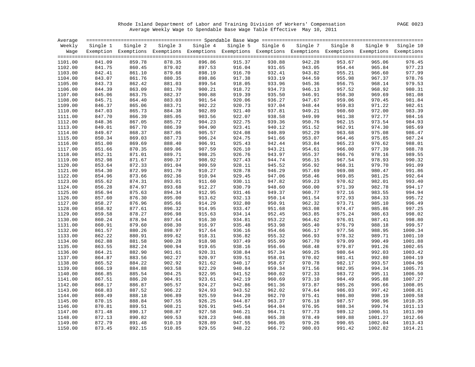Rhode Island Department of Labor and Training Division of Workers' Compensation PAGE 0023 Average Weekly Wage to Spendable Base Wage Table Effective May 10, 2011

| Average |          |                                                                                                                   |        |                            |        |        |        |                                                        |         |         |
|---------|----------|-------------------------------------------------------------------------------------------------------------------|--------|----------------------------|--------|--------|--------|--------------------------------------------------------|---------|---------|
| Weekly  | Single 1 |                                                                                                                   |        | Single 2 Single 3 Single 4 |        |        |        | Single 5 Single 6 Single 7 Single 8 Single 9 Single 10 |         |         |
|         |          | Wage Exemption Exemptions Exemptions Exemptions Exemptions Exemptions Exemptions Exemptions Exemptions Exemptions |        |                            |        |        |        |                                                        |         |         |
| 1101.00 | 841.09   | 859.78                                                                                                            | 878.35 | 896.86                     | 915.37 | 930.88 | 942.28 | 953.67                                                 | 965.06  | 976.45  |
| 1102.00 | 841.75   | 860.45                                                                                                            | 879.02 | 897.53                     | 916.04 | 931.65 | 943.05 | 954.44                                                 | 965.84  | 977.23  |
| 1103.00 | 842.41   | 861.10                                                                                                            | 879.68 | 898.19                     | 916.70 | 932.41 | 943.82 | 955.21                                                 | 966.60  | 977.99  |
| 1104.00 | 843.07   | 861.76                                                                                                            | 880.35 | 898.86                     | 917.38 | 933.19 | 944.59 | 955.98                                                 | 967.37  | 978.76  |
| 1105.00 | 843.73   | 862.42                                                                                                            | 881.03 | 899.54                     | 918.05 | 933.96 | 945.36 | 956.75                                                 | 968.14  | 979.53  |
| 1106.00 | 844.39   | 863.09                                                                                                            | 881.70 | 900.21                     | 918.72 | 934.73 | 946.13 | 957.52                                                 | 968.92  | 980.31  |
| 1107.00 | 845.06   | 863.75                                                                                                            | 882.37 | 900.88                     | 919.39 | 935.50 | 946.91 | 958.30                                                 | 969.69  | 981.08  |
| 1108.00 | 845.71   | 864.40                                                                                                            | 883.03 | 901.54                     | 920.06 | 936.27 | 947.67 | 959.06                                                 | 970.45  | 981.84  |
| 1109.00 | 846.37   | 865.06                                                                                                            | 883.71 | 902.22                     | 920.73 | 937.04 | 948.44 | 959.83                                                 | 971.22  | 982.61  |
| 1110.00 | 847.03   | 865.73                                                                                                            | 884.38 | 902.89                     | 921.40 | 937.81 | 949.21 | 960.60                                                 | 972.00  | 983.39  |
| 1111.00 | 847.70   | 866.39                                                                                                            | 885.05 | 903.56                     | 922.07 | 938.58 | 949.99 | 961.38                                                 | 972.77  | 984.16  |
| 1112.00 | 848.36   | 867.05                                                                                                            | 885.72 | 904.23                     | 922.75 | 939.36 | 950.76 | 962.15                                                 | 973.54  | 984.93  |
| 1113.00 | 849.01   | 867.70                                                                                                            | 886.39 | 904.90                     | 923.41 | 940.12 | 951.52 | 962.91                                                 | 974.30  | 985.69  |
| 1114.00 | 849.67   | 868.37                                                                                                            | 887.06 | 905.57                     | 924.08 | 940.89 | 952.29 | 963.68                                                 | 975.08  | 986.47  |
| 1115.00 | 850.34   | 869.03                                                                                                            | 887.73 | 906.24                     | 924.75 | 941.66 | 953.07 | 964.46                                                 | 975.85  | 987.24  |
| 1116.00 | 851.00   | 869.69                                                                                                            | 888.40 | 906.91                     | 925.43 | 942.44 | 953.84 | 965.23                                                 | 976.62  | 988.01  |
| 1117.00 | 851.66   | 870.35                                                                                                            | 889.06 | 907.59                     | 926.10 | 943.21 | 954.61 | 966.00                                                 | 977.39  | 988.78  |
| 1118.00 | 852.31   | 871.01                                                                                                            | 889.71 | 908.25                     | 926.76 | 943.97 | 955.37 | 966.76                                                 | 978.16  | 989.55  |
| 1119.00 | 852.98   | 871.67                                                                                                            | 890.37 | 908.92                     | 927.43 | 944.74 | 956.15 | 967.54                                                 | 978.93  | 990.32  |
| 1120.00 | 853.64   | 872.33                                                                                                            | 891.04 | 909.59                     | 928.11 | 945.52 | 956.92 | 968.31                                                 | 979.70  | 991.09  |
| 1121.00 | 854.30   | 872.99                                                                                                            | 891.70 | 910.27                     | 928.78 | 946.29 | 957.69 | 969.08                                                 | 980.47  | 991.86  |
| 1122.00 | 854.96   | 873.66                                                                                                            | 892.36 | 910.94                     | 929.45 | 947.06 | 958.46 | 969.85                                                 | 981.25  | 992.64  |
| 1123.00 | 855.62   | 874.31                                                                                                            | 893.01 | 911.60                     | 930.11 | 947.82 | 959.23 | 970.62                                                 | 982.01  | 993.40  |
| 1124.00 | 856.28   | 874.97                                                                                                            | 893.68 | 912.27                     | 930.79 | 948.60 | 960.00 | 971.39                                                 | 982.78  | 994.17  |
| 1125.00 | 856.94   | 875.63                                                                                                            | 894.34 | 912.95                     | 931.46 | 949.37 | 960.77 | 972.16                                                 | 983.55  | 994.94  |
| 1126.00 | 857.60   | 876.30                                                                                                            | 895.00 | 913.62                     | 932.13 | 950.14 | 961.54 | 972.93                                                 | 984.33  | 995.72  |
| 1127.00 | 858.27   | 876.96                                                                                                            | 895.66 | 914.29                     | 932.80 | 950.91 | 962.32 | 973.71                                                 | 985.10  | 996.49  |
| 1128.00 | 858.92   | 877.61                                                                                                            | 896.32 | 914.95                     | 933.47 | 951.68 | 963.08 | 974.47                                                 | 985.86  | 997.25  |
| 1129.00 | 859.58   | 878.27                                                                                                            | 896.98 | 915.63                     | 934.14 | 952.45 | 963.85 | 975.24                                                 | 986.63  | 998.02  |
| 1130.00 | 860.24   | 878.94                                                                                                            | 897.64 | 916.30                     | 934.81 | 953.22 | 964.62 | 976.01                                                 | 987.41  | 998.80  |
| 1131.00 | 860.91   | 879.60                                                                                                            | 898.30 | 916.97                     | 935.48 | 953.98 | 965.40 | 976.79                                                 | 988.18  | 999.57  |
| 1132.00 | 861.57   | 880.26                                                                                                            | 898.97 | 917.64                     | 936.16 | 954.66 | 966.17 | 977.56                                                 | 988.95  | 1000.34 |
| 1133.00 | 862.22   | 880.91                                                                                                            | 899.62 | 918.31                     | 936.82 | 955.32 | 966.93 | 978.32                                                 | 989.71  | 1001.10 |
| 1134.00 | 862.88   | 881.58                                                                                                            | 900.28 | 918.98                     | 937.49 | 955.99 | 967.70 | 979.09                                                 | 990.49  | 1001.88 |
| 1135.00 | 863.55   | 882.24                                                                                                            | 900.94 | 919.65                     | 938.16 | 956.66 | 968.48 | 979.87                                                 | 991.26  | 1002.65 |
| 1136.00 | 864.21   | 882.90                                                                                                            | 901.61 | 920.31                     | 938.84 | 957.34 | 969.25 | 980.64                                                 | 992.03  | 1003.42 |
| 1137.00 | 864.87   | 883.56                                                                                                            | 902.27 | 920.97                     | 939.51 | 958.01 | 970.02 | 981.41                                                 | 992.80  | 1004.19 |
| 1138.00 | 865.52   | 884.22                                                                                                            | 902.92 | 921.62                     | 940.17 | 958.67 | 970.78 | 982.17                                                 | 993.57  | 1004.96 |
| 1139.00 | 866.19   | 884.88                                                                                                            | 903.58 | 922.29                     | 940.84 | 959.34 | 971.56 | 982.95                                                 | 994.34  | 1005.73 |
| 1140.00 | 866.85   | 885.54                                                                                                            | 904.25 | 922.95                     | 941.52 | 960.02 | 972.33 | 983.72                                                 | 995.11  | 1006.50 |
| 1141.00 | 867.51   | 886.20                                                                                                            | 904.91 | 923.61                     | 942.19 | 960.69 | 973.10 | 984.49                                                 | 995.88  | 1007.27 |
| 1142.00 | 868.17   | 886.87                                                                                                            | 905.57 | 924.27                     | 942.86 | 961.36 | 973.87 | 985.26                                                 | 996.66  | 1008.05 |
| 1143.00 | 868.83   | 887.52                                                                                                            | 906.22 | 924.93                     | 943.52 | 962.02 | 974.64 | 986.03                                                 | 997.42  | 1008.81 |
| 1144.00 | 869.49   | 888.18                                                                                                            | 906.89 | 925.59                     | 944.20 | 962.70 | 975.41 | 986.80                                                 | 998.19  | 1009.58 |
| 1145.00 | 870.15   | 888.84                                                                                                            | 907.55 | 926.25                     | 944.87 | 963.37 | 976.18 | 987.57                                                 | 998.96  | 1010.35 |
| 1146.00 | 870.81   | 889.51                                                                                                            | 908.21 | 926.91                     | 945.54 | 964.04 | 976.95 | 988.34                                                 | 999.74  | 1011.13 |
| 1147.00 | 871.48   | 890.17                                                                                                            | 908.87 | 927.58                     | 946.21 | 964.71 | 977.73 | 989.12                                                 | 1000.51 | 1011.90 |
| 1148.00 | 872.13   | 890.82                                                                                                            | 909.53 | 928.23                     | 946.88 | 965.38 | 978.49 | 989.88                                                 | 1001.27 | 1012.66 |
| 1149.00 | 872.79   | 891.48                                                                                                            | 910.19 | 928.89                     | 947.55 | 966.05 | 979.26 | 990.65                                                 | 1002.04 | 1013.43 |
| 1150.00 | 873.45   | 892.15                                                                                                            | 910.85 | 929.55                     | 948.22 | 966.72 | 980.03 | 991.42                                                 | 1002.82 | 1014.21 |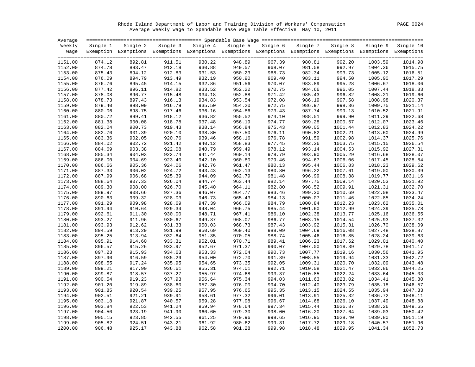Rhode Island Department of Labor and Training Division of Workers' Compensation PAGE 0024 Average Weekly Wage to Spendable Base Wage Table Effective May 10, 2011

| Average |          |                                                                                                                   |        |                   |        |                            |         |         |                             |         |
|---------|----------|-------------------------------------------------------------------------------------------------------------------|--------|-------------------|--------|----------------------------|---------|---------|-----------------------------|---------|
| Weekly  | Single 1 | Single 2                                                                                                          |        | Single 3 Single 4 |        | Single 5 Single 6 Single 7 |         |         | Single 8 Single 9 Single 10 |         |
|         |          | Wage Exemption Exemptions Exemptions Exemptions Exemptions Exemptions Exemptions Exemptions Exemptions Exemptions |        |                   |        |                            |         |         |                             |         |
| 1151.00 | 874.12   | 892.81                                                                                                            | 911.51 | 930.22            | 948.89 | 967.39                     | 980.81  | 992.20  | 1003.59                     | 1014.98 |
| 1152.00 | 874.78   | 893.47                                                                                                            | 912.18 | 930.88            | 949.57 | 968.07                     | 981.58  | 992.97  | 1004.36                     | 1015.75 |
| 1153.00 | 875.43   | 894.12                                                                                                            | 912.83 | 931.53            | 950.23 | 968.73                     | 982.34  | 993.73  | 1005.12                     | 1016.51 |
| 1154.00 | 876.09   | 894.79                                                                                                            | 913.49 | 932.19            | 950.90 | 969.40                     | 983.11  | 994.50  | 1005.90                     | 1017.29 |
| 1155.00 | 876.76   | 895.45                                                                                                            | 914.15 | 932.86            | 951.56 | 970.07                     | 983.89  | 995.28  | 1006.67                     | 1018.06 |
| 1156.00 | 877.42   | 896.11                                                                                                            | 914.82 | 933.52            | 952.22 | 970.75                     | 984.66  | 996.05  | 1007.44                     | 1018.83 |
| 1157.00 | 878.08   | 896.77                                                                                                            | 915.48 | 934.18            | 952.88 | 971.42                     | 985.43  | 996.82  | 1008.21                     | 1019.60 |
| 1158.00 | 878.73   | 897.43                                                                                                            | 916.13 | 934.83            | 953.54 | 972.08                     | 986.19  | 997.58  | 1008.98                     | 1020.37 |
| 1159.00 | 879.40   | 898.09                                                                                                            | 916.79 | 935.50            | 954.20 | 972.75                     | 986.97  | 998.36  | 1009.75                     | 1021.14 |
| 1160.00 | 880.06   | 898.75                                                                                                            | 917.46 | 936.16            | 954.86 | 973.43                     | 987.74  | 999.13  | 1010.52                     | 1021.91 |
| 1161.00 | 880.72   | 899.41                                                                                                            | 918.12 | 936.82            | 955.52 | 974.10                     | 988.51  | 999.90  | 1011.29                     | 1022.68 |
| 1162.00 | 881.38   | 900.08                                                                                                            | 918.78 | 937.48            | 956.19 | 974.77                     | 989.28  | 1000.67 | 1012.07                     | 1023.46 |
| 1163.00 | 882.04   | 900.73                                                                                                            | 919.43 | 938.14            | 956.84 | 975.43                     | 990.05  | 1001.44 | 1012.83                     | 1024.22 |
| 1164.00 | 882.70   | 901.39                                                                                                            | 920.10 | 938.80            | 957.50 | 976.11                     | 990.82  | 1002.21 | 1013.60                     | 1024.99 |
| 1165.00 | 883.36   | 902.05                                                                                                            | 920.76 | 939.46            | 958.16 | 976.78                     | 991.59  | 1002.98 | 1014.37                     | 1025.76 |
| 1166.00 | 884.02   | 902.72                                                                                                            | 921.42 | 940.12            | 958.83 | 977.45                     | 992.36  | 1003.75 | 1015.15                     | 1026.54 |
| 1167.00 | 884.69   | 903.38                                                                                                            | 922.08 | 940.79            | 959.49 | 978.12                     | 993.14  | 1004.53 | 1015.92                     | 1027.31 |
| 1168.00 | 885.34   | 904.03                                                                                                            | 922.74 | 941.44            | 960.14 | 978.79                     | 993.90  | 1005.29 | 1016.68                     | 1028.07 |
| 1169.00 | 886.00   | 904.69                                                                                                            | 923.40 | 942.10            | 960.80 | 979.46                     | 994.67  | 1006.06 | 1017.45                     | 1028.84 |
| 1170.00 | 886.66   | 905.36                                                                                                            | 924.06 | 942.76            | 961.47 | 980.13                     | 995.44  | 1006.83 | 1018.23                     | 1029.62 |
| 1171.00 | 887.33   | 906.02                                                                                                            | 924.72 | 943.43            | 962.13 | 980.80                     | 996.22  | 1007.61 | 1019.00                     | 1030.39 |
| 1172.00 | 887.99   | 906.68                                                                                                            | 925.39 | 944.09            | 962.79 | 981.48                     | 996.99  | 1008.38 | 1019.77                     | 1031.16 |
| 1173.00 | 888.64   | 907.33                                                                                                            | 926.04 | 944.74            | 963.44 | 982.14                     | 997.75  | 1009.14 | 1020.53                     | 1031.92 |
| 1174.00 | 889.30   | 908.00                                                                                                            | 926.70 | 945.40            | 964.11 | 982.80                     | 998.52  | 1009.91 | 1021.31                     | 1032.70 |
| 1175.00 | 889.97   | 908.66                                                                                                            | 927.36 | 946.07            | 964.77 | 983.46                     | 999.30  | 1010.69 | 1022.08                     | 1033.47 |
| 1176.00 | 890.63   | 909.32                                                                                                            | 928.03 | 946.73            | 965.43 | 984.13                     | 1000.07 | 1011.46 | 1022.85                     | 1034.24 |
| 1177.00 | 891.29   | 909.98                                                                                                            | 928.69 | 947.39            | 966.09 | 984.79                     | 1000.84 | 1012.23 | 1023.62                     | 1035.01 |
| 1178.00 | 891.94   | 910.64                                                                                                            | 929.34 | 948.04            | 966.75 | 985.44                     | 1001.60 | 1012.99 | 1024.39                     | 1035.78 |
| 1179.00 | 892.61   | 911.30                                                                                                            | 930.00 | 948.71            | 967.41 | 986.10                     | 1002.38 | 1013.77 | 1025.16                     | 1036.55 |
| 1180.00 | 893.27   | 911.96                                                                                                            | 930.67 | 949.37            | 968.07 | 986.77                     | 1003.15 | 1014.54 | 1025.93                     | 1037.32 |
| 1181.00 | 893.93   | 912.62                                                                                                            | 931.33 | 950.03            | 968.73 | 987.43                     | 1003.92 | 1015.31 | 1026.70                     | 1038.09 |
| 1182.00 | 894.59   | 913.29                                                                                                            | 931.99 | 950.69            | 969.40 | 988.09                     | 1004.69 | 1016.08 | 1027.48                     | 1038.87 |
| 1183.00 | 895.25   | 913.94                                                                                                            | 932.64 | 951.35            | 970.05 | 988.74                     | 1005.46 | 1016.85 | 1028.24                     | 1039.63 |
| 1184.00 | 895.91   | 914.60                                                                                                            | 933.31 | 952.01            | 970.71 | 989.41                     | 1006.23 | 1017.62 | 1029.01                     | 1040.40 |
| 1185.00 | 896.57   | 915.26                                                                                                            | 933.97 | 952.67            | 971.37 | 990.07                     | 1007.00 | 1018.39 | 1029.78                     | 1041.17 |
| 1186.00 | 897.23   | 915.93                                                                                                            | 934.63 | 953.33            | 972.04 | 990.73                     | 1007.77 | 1019.16 | 1030.56                     | 1041.95 |
| 1187.00 | 897.90   | 916.59                                                                                                            | 935.29 | 954.00            | 972.70 | 991.39                     | 1008.55 | 1019.94 | 1031.33                     | 1042.72 |
| 1188.00 | 898.55   | 917.24                                                                                                            | 935.95 | 954.65            | 973.35 | 992.05                     | 1009.31 | 1020.70 | 1032.09                     | 1043.48 |
| 1189.00 | 899.21   | 917.90                                                                                                            | 936.61 | 955.31            | 974.01 | 992.71                     | 1010.08 | 1021.47 | 1032.86                     | 1044.25 |
| 1190.00 | 899.87   | 918.57                                                                                                            | 937.27 | 955.97            | 974.68 | 993.37                     | 1010.85 | 1022.24 | 1033.64                     | 1045.03 |
| 1191.00 | 900.54   | 919.23                                                                                                            | 937.93 | 956.64            | 975.34 | 994.03                     | 1011.63 | 1023.02 | 1034.41                     | 1045.80 |
| 1192.00 | 901.20   | 919.89                                                                                                            | 938.60 | 957.30            | 976.00 | 994.70                     | 1012.40 | 1023.79 | 1035.18                     | 1046.57 |
| 1193.00 | 901.85   | 920.54                                                                                                            | 939.25 | 957.95            | 976.65 | 995.35                     | 1013.15 | 1024.55 | 1035.94                     | 1047.33 |
| 1194.00 | 902.51   | 921.21                                                                                                            | 939.91 | 958.61            | 977.32 | 996.01                     | 1013.91 | 1025.32 | 1036.72                     | 1048.11 |
| 1195.00 | 903.18   | 921.87                                                                                                            | 940.57 | 959.28            | 977.98 | 996.67                     | 1014.68 | 1026.10 | 1037.49                     | 1048.88 |
| 1196.00 | 903.84   | 922.53                                                                                                            | 941.24 | 959.94            | 978.64 | 997.34                     | 1015.44 | 1026.87 | 1038.26                     | 1049.65 |
| 1197.00 | 904.50   | 923.19                                                                                                            | 941.90 | 960.60            | 979.30 | 998.00                     | 1016.20 | 1027.64 | 1039.03                     | 1050.42 |
| 1198.00 | 905.15   | 923.85                                                                                                            | 942.55 | 961.25            | 979.96 | 998.65                     | 1016.95 | 1028.40 | 1039.80                     | 1051.19 |
| 1199.00 | 905.82   | 924.51                                                                                                            | 943.21 | 961.92            | 980.62 | 999.31                     | 1017.72 | 1029.18 | 1040.57                     | 1051.96 |
| 1200.00 | 906.48   | 925.17                                                                                                            | 943.88 | 962.58            | 981.28 | 999.98                     | 1018.48 | 1029.95 | 1041.34                     | 1052.73 |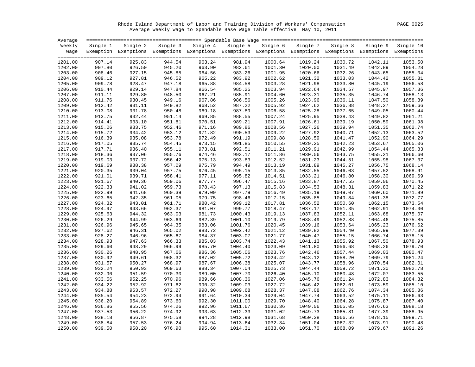Rhode Island Department of Labor and Training Division of Workers' Compensation PAGE 0025 Average Weekly Wage to Spendable Base Wage Table Effective May 10, 2011

| Single 5 Single 6 Single 7<br>Weekly<br>Single 3 Single 4<br>Single 8<br>Single 9 Single 10<br>Single 1<br>Single 2<br>Wage Exemption Exemptions Exemptions Exemptions Exemptions Exemptions Exemptions Exemptions Exemptions Exemptions<br>907.14<br>925.83<br>944.54<br>963.24<br>981.94<br>1000.64<br>1019.24<br>1030.72<br>1201.00<br>1042.11<br>907.80<br>945.20<br>963.90<br>982.61<br>1001.30<br>1020.00<br>1031.49<br>1042.89<br>1202.00<br>926.50<br>908.46<br>927.15<br>945.85<br>964.56<br>983.26<br>1001.95<br>1020.66<br>1032.26<br>1203.00<br>1043.65<br>909.12<br>946.52<br>965.22<br>983.92<br>1204.00<br>927.81<br>1002.62<br>1021.32<br>1033.03<br>1044.42<br>965.88<br>1056.58<br>1205.00<br>909.78<br>928.47<br>947.18<br>984.58<br>1003.28<br>1021.98<br>1033.80<br>1045.19<br>1206.00<br>910.44<br>929.14<br>947.84<br>966.54<br>985.25<br>1003.94<br>1022.64<br>1034.57<br>1045.97<br>911.11<br>929.80<br>948.50<br>967.21<br>985.91<br>1004.60<br>1023.31<br>1046.74<br>1207.00<br>1035.35<br>911.76<br>949.16<br>967.86<br>986.56<br>1023.96<br>1208.00<br>930.45<br>1005.26<br>1036.11<br>1047.50<br>912.42<br>968.52<br>1209.00<br>931.11<br>949.82<br>987.22<br>1005.92<br>1024.62<br>1036.88<br>1048.27<br>969.18<br>1060.44<br>1210.00<br>913.08<br>931.78<br>950.48<br>987.89<br>1006.58<br>1025.28<br>1037.65<br>1049.05<br>913.75<br>951.14<br>969.85<br>1025.95<br>1211.00<br>932.44<br>988.55<br>1007.24<br>1038.43<br>1049.82<br>970.51<br>1061.98<br>1212.00<br>914.41<br>933.10<br>951.81<br>989.21<br>1007.91<br>1026.61<br>1039.19<br>1050.59<br>915.06<br>952.46<br>1008.56<br>1027.26<br>1213.00<br>933.75<br>971.16<br>989.86<br>1039.94<br>1051.35<br>971.82<br>1214.00<br>915.72<br>934.42<br>953.12<br>990.53<br>1009.22<br>1027.92<br>1040.71<br>1052.13<br>972.49<br>1215.00<br>916.39<br>935.08<br>953.78<br>991.19<br>1009.88<br>1028.59<br>1041.47<br>1052.90<br>917.05<br>954.45<br>973.15<br>1029.25<br>1065.06<br>1216.00<br>935.74<br>991.85<br>1010.55<br>1042.23<br>1053.67<br>1217.00<br>917.71<br>936.40<br>955.11<br>973.81<br>992.51<br>1011.21<br>1029.91<br>1042.99<br>1054.44<br>1066.60<br>1218.00<br>918.36<br>937.06<br>955.76<br>974.46<br>993.17<br>1011.86<br>1030.56<br>1043.75<br>1055.21<br>919.03<br>1067.37<br>1219.00<br>937.72<br>956.42<br>975.13<br>993.83<br>1012.52<br>1031.23<br>1044.51<br>1055.98<br>1220.00<br>919.69<br>957.09<br>975.79<br>1013.19<br>1031.89<br>1056.75<br>1068.14<br>938.38<br>994.49<br>1045.27<br>957.75<br>1032.55<br>1068.91<br>1221.00<br>920.35<br>939.04<br>976.45<br>995.15<br>1013.85<br>1046.03<br>1057.52<br>958.41<br>1069.69<br>1222.00<br>921.01<br>939.71<br>977.11<br>995.82<br>1014.51<br>1033.21<br>1046.80<br>1058.30<br>1070.45<br>1223.00<br>921.67<br>940.36<br>959.06<br>977.77<br>996.47<br>1015.16<br>1033.87<br>1047.55<br>1059.06<br>922.33<br>1034.53<br>1224.00<br>941.02<br>959.73<br>978.43<br>997.13<br>1015.83<br>1048.31<br>1059.83<br>922.99<br>979.09<br>997.79<br>1035.19<br>1225.00<br>941.68<br>960.39<br>1016.49<br>1049.07<br>1060.60<br>961.05<br>979.75<br>1072.77<br>1226.00<br>923.65<br>942.35<br>998.46<br>1017.15<br>1035.85<br>1049.84<br>1061.38<br>980.42<br>1073.54<br>1227.00<br>924.32<br>943.01<br>961.71<br>999.12<br>1017.81<br>1036.52<br>1050.60<br>1062.15<br>924.97<br>1074.30<br>1228.00<br>943.66<br>962.37<br>981.07<br>999.77<br>1018.47<br>1037.17<br>1051.35<br>1062.91<br>925.63<br>981.73<br>1037.83<br>1075.07<br>1229.00<br>944.32<br>963.03<br>1000.43<br>1019.13<br>1052.11<br>1063.68<br>982.39<br>1230.00<br>926.29<br>944.99<br>963.69<br>1001.10<br>1019.79<br>1038.49<br>1052.88<br>1064.46<br>983.06<br>1001.76<br>1076.62<br>1231.00<br>926.96<br>945.65<br>964.35<br>1020.45<br>1039.16<br>1053.64<br>1065.23<br>983.72<br>1077.39<br>1232.00<br>927.62<br>946.31<br>965.02<br>1002.42<br>1021.12<br>1039.82<br>1054.40<br>1065.99<br>928.27<br>984.37<br>1003.07<br>1040.47<br>1078.15<br>1233.00<br>946.96<br>965.67<br>1021.77<br>1055.15<br>1066.74<br>1234.00<br>928.93<br>947.63<br>966.33<br>985.03<br>1003.74<br>1022.43<br>1041.13<br>1055.92<br>1067.50<br>966.99<br>1079.70<br>929.60<br>948.29<br>985.70<br>1004.40<br>1023.09<br>1041.80<br>1056.68<br>1068.26<br>1235.00<br>1080.47<br>1236.00<br>930.26<br>948.95<br>967.66<br>986.36<br>1005.06<br>1023.76<br>1042.46<br>1057.44<br>1069.03<br>930.92<br>1081.24<br>1237.00<br>949.61<br>968.32<br>987.02<br>1005.72<br>1024.42<br>1043.12<br>1058.20<br>1069.79<br>931.57<br>950.27<br>968.97<br>987.67<br>1006.38<br>1025.07<br>1043.77<br>1070.54<br>1082.01<br>1238.00<br>1058.96<br>932.24<br>988.34<br>1044.44<br>1082.78<br>1239.00<br>950.93<br>969.63<br>1007.04<br>1025.73<br>1059.72<br>1071.30<br>989.00<br>1083.55<br>1240.00<br>932.90<br>951.59<br>970.30<br>1007.70<br>1026.40<br>1045.10<br>1060.48<br>1072.07<br>1084.32<br>1241.00<br>933.56<br>952.25<br>970.96<br>989.66<br>1008.36<br>1027.06<br>1045.76<br>1061.24<br>1072.83<br>934.22<br>1085.10<br>1242.00<br>952.92<br>971.62<br>990.32<br>1009.03<br>1027.72<br>1046.42<br>1062.01<br>1073.59<br>934.88<br>953.57<br>972.27<br>990.98<br>1009.68<br>1047.08<br>1085.86<br>1243.00<br>1028.37<br>1062.76<br>1074.34<br>991.64<br>1244.00<br>935.54<br>954.23<br>972.94<br>1010.34<br>1029.04<br>1047.74<br>1063.52<br>1075.11<br>936.20<br>954.89<br>973.60<br>992.30<br>1011.00<br>1029.70<br>1048.40<br>1064.28<br>1075.87<br>1245.00<br>974.26<br>992.96<br>1088.18<br>1246.00<br>936.86<br>955.56<br>1011.67<br>1030.36<br>1049.06<br>1065.05<br>1076.63<br>1247.00<br>937.53<br>956.22<br>974.92<br>993.63<br>1012.33<br>1031.02<br>1049.73<br>1065.81<br>1077.39<br>938.18<br>956.87<br>975.58<br>994.28<br>1012.98<br>1031.68<br>1050.38<br>1066.56<br>1078.15<br>1248.00<br>994.94<br>1249.00<br>938.84<br>957.53<br>976.24<br>1013.64<br>1032.34<br>1051.04<br>1067.32<br>1078.91<br>1250.00<br>939.50<br>958.20<br>976.90<br>995.60<br>1014.31<br>1033.00<br>1051.70<br>1068.09<br>1079.67 | Average |  |  |  |  |         |
|-------------------------------------------------------------------------------------------------------------------------------------------------------------------------------------------------------------------------------------------------------------------------------------------------------------------------------------------------------------------------------------------------------------------------------------------------------------------------------------------------------------------------------------------------------------------------------------------------------------------------------------------------------------------------------------------------------------------------------------------------------------------------------------------------------------------------------------------------------------------------------------------------------------------------------------------------------------------------------------------------------------------------------------------------------------------------------------------------------------------------------------------------------------------------------------------------------------------------------------------------------------------------------------------------------------------------------------------------------------------------------------------------------------------------------------------------------------------------------------------------------------------------------------------------------------------------------------------------------------------------------------------------------------------------------------------------------------------------------------------------------------------------------------------------------------------------------------------------------------------------------------------------------------------------------------------------------------------------------------------------------------------------------------------------------------------------------------------------------------------------------------------------------------------------------------------------------------------------------------------------------------------------------------------------------------------------------------------------------------------------------------------------------------------------------------------------------------------------------------------------------------------------------------------------------------------------------------------------------------------------------------------------------------------------------------------------------------------------------------------------------------------------------------------------------------------------------------------------------------------------------------------------------------------------------------------------------------------------------------------------------------------------------------------------------------------------------------------------------------------------------------------------------------------------------------------------------------------------------------------------------------------------------------------------------------------------------------------------------------------------------------------------------------------------------------------------------------------------------------------------------------------------------------------------------------------------------------------------------------------------------------------------------------------------------------------------------------------------------------------------------------------------------------------------------------------------------------------------------------------------------------------------------------------------------------------------------------------------------------------------------------------------------------------------------------------------------------------------------------------------------------------------------------------------------------------------------------------------------------------------------------------------------------------------------------------------------------------------------------------------------------------------------------------------------------------------------------------------------------------------------------------------------------------------------------------------------------------------------------------------------------------------------------------------------------------------------------------------------------------------------------------------------------------------------------------------------------------------------------------------------------------------------------------------------------------------------------------------------------------------------------------------------------------------------------------------------------------------------------------------------------------------------------------------------------------------------------------------------------------------------------------------------------------------------------------------------------------------------------------------------------------------------------------------------------------------------------------------------------------------------------------------------------------------------------------------------------------------------------------------------------------------------------------------------------------------------------------------------------------------------------------------------------------------------------------------------------------------------------------------------------------------------------------------------------------------------------------------------------------------------------------------------------------|---------|--|--|--|--|---------|
|                                                                                                                                                                                                                                                                                                                                                                                                                                                                                                                                                                                                                                                                                                                                                                                                                                                                                                                                                                                                                                                                                                                                                                                                                                                                                                                                                                                                                                                                                                                                                                                                                                                                                                                                                                                                                                                                                                                                                                                                                                                                                                                                                                                                                                                                                                                                                                                                                                                                                                                                                                                                                                                                                                                                                                                                                                                                                                                                                                                                                                                                                                                                                                                                                                                                                                                                                                                                                                                                                                                                                                                                                                                                                                                                                                                                                                                                                                                                                                                                                                                                                                                                                                                                                                                                                                                                                                                                                                                                                                                                                                                                                                                                                                                                                                                                                                                                                                                                                                                                                                                                                                                                                                                                                                                                                                                                                                                                                                                                                                                                                                                                                                                                                                                                                                                                                                                                                                                                                                                                                                           |         |  |  |  |  |         |
|                                                                                                                                                                                                                                                                                                                                                                                                                                                                                                                                                                                                                                                                                                                                                                                                                                                                                                                                                                                                                                                                                                                                                                                                                                                                                                                                                                                                                                                                                                                                                                                                                                                                                                                                                                                                                                                                                                                                                                                                                                                                                                                                                                                                                                                                                                                                                                                                                                                                                                                                                                                                                                                                                                                                                                                                                                                                                                                                                                                                                                                                                                                                                                                                                                                                                                                                                                                                                                                                                                                                                                                                                                                                                                                                                                                                                                                                                                                                                                                                                                                                                                                                                                                                                                                                                                                                                                                                                                                                                                                                                                                                                                                                                                                                                                                                                                                                                                                                                                                                                                                                                                                                                                                                                                                                                                                                                                                                                                                                                                                                                                                                                                                                                                                                                                                                                                                                                                                                                                                                                                           |         |  |  |  |  |         |
|                                                                                                                                                                                                                                                                                                                                                                                                                                                                                                                                                                                                                                                                                                                                                                                                                                                                                                                                                                                                                                                                                                                                                                                                                                                                                                                                                                                                                                                                                                                                                                                                                                                                                                                                                                                                                                                                                                                                                                                                                                                                                                                                                                                                                                                                                                                                                                                                                                                                                                                                                                                                                                                                                                                                                                                                                                                                                                                                                                                                                                                                                                                                                                                                                                                                                                                                                                                                                                                                                                                                                                                                                                                                                                                                                                                                                                                                                                                                                                                                                                                                                                                                                                                                                                                                                                                                                                                                                                                                                                                                                                                                                                                                                                                                                                                                                                                                                                                                                                                                                                                                                                                                                                                                                                                                                                                                                                                                                                                                                                                                                                                                                                                                                                                                                                                                                                                                                                                                                                                                                                           |         |  |  |  |  | 1053.50 |
|                                                                                                                                                                                                                                                                                                                                                                                                                                                                                                                                                                                                                                                                                                                                                                                                                                                                                                                                                                                                                                                                                                                                                                                                                                                                                                                                                                                                                                                                                                                                                                                                                                                                                                                                                                                                                                                                                                                                                                                                                                                                                                                                                                                                                                                                                                                                                                                                                                                                                                                                                                                                                                                                                                                                                                                                                                                                                                                                                                                                                                                                                                                                                                                                                                                                                                                                                                                                                                                                                                                                                                                                                                                                                                                                                                                                                                                                                                                                                                                                                                                                                                                                                                                                                                                                                                                                                                                                                                                                                                                                                                                                                                                                                                                                                                                                                                                                                                                                                                                                                                                                                                                                                                                                                                                                                                                                                                                                                                                                                                                                                                                                                                                                                                                                                                                                                                                                                                                                                                                                                                           |         |  |  |  |  | 1054.28 |
|                                                                                                                                                                                                                                                                                                                                                                                                                                                                                                                                                                                                                                                                                                                                                                                                                                                                                                                                                                                                                                                                                                                                                                                                                                                                                                                                                                                                                                                                                                                                                                                                                                                                                                                                                                                                                                                                                                                                                                                                                                                                                                                                                                                                                                                                                                                                                                                                                                                                                                                                                                                                                                                                                                                                                                                                                                                                                                                                                                                                                                                                                                                                                                                                                                                                                                                                                                                                                                                                                                                                                                                                                                                                                                                                                                                                                                                                                                                                                                                                                                                                                                                                                                                                                                                                                                                                                                                                                                                                                                                                                                                                                                                                                                                                                                                                                                                                                                                                                                                                                                                                                                                                                                                                                                                                                                                                                                                                                                                                                                                                                                                                                                                                                                                                                                                                                                                                                                                                                                                                                                           |         |  |  |  |  | 1055.04 |
|                                                                                                                                                                                                                                                                                                                                                                                                                                                                                                                                                                                                                                                                                                                                                                                                                                                                                                                                                                                                                                                                                                                                                                                                                                                                                                                                                                                                                                                                                                                                                                                                                                                                                                                                                                                                                                                                                                                                                                                                                                                                                                                                                                                                                                                                                                                                                                                                                                                                                                                                                                                                                                                                                                                                                                                                                                                                                                                                                                                                                                                                                                                                                                                                                                                                                                                                                                                                                                                                                                                                                                                                                                                                                                                                                                                                                                                                                                                                                                                                                                                                                                                                                                                                                                                                                                                                                                                                                                                                                                                                                                                                                                                                                                                                                                                                                                                                                                                                                                                                                                                                                                                                                                                                                                                                                                                                                                                                                                                                                                                                                                                                                                                                                                                                                                                                                                                                                                                                                                                                                                           |         |  |  |  |  | 1055.81 |
|                                                                                                                                                                                                                                                                                                                                                                                                                                                                                                                                                                                                                                                                                                                                                                                                                                                                                                                                                                                                                                                                                                                                                                                                                                                                                                                                                                                                                                                                                                                                                                                                                                                                                                                                                                                                                                                                                                                                                                                                                                                                                                                                                                                                                                                                                                                                                                                                                                                                                                                                                                                                                                                                                                                                                                                                                                                                                                                                                                                                                                                                                                                                                                                                                                                                                                                                                                                                                                                                                                                                                                                                                                                                                                                                                                                                                                                                                                                                                                                                                                                                                                                                                                                                                                                                                                                                                                                                                                                                                                                                                                                                                                                                                                                                                                                                                                                                                                                                                                                                                                                                                                                                                                                                                                                                                                                                                                                                                                                                                                                                                                                                                                                                                                                                                                                                                                                                                                                                                                                                                                           |         |  |  |  |  |         |
|                                                                                                                                                                                                                                                                                                                                                                                                                                                                                                                                                                                                                                                                                                                                                                                                                                                                                                                                                                                                                                                                                                                                                                                                                                                                                                                                                                                                                                                                                                                                                                                                                                                                                                                                                                                                                                                                                                                                                                                                                                                                                                                                                                                                                                                                                                                                                                                                                                                                                                                                                                                                                                                                                                                                                                                                                                                                                                                                                                                                                                                                                                                                                                                                                                                                                                                                                                                                                                                                                                                                                                                                                                                                                                                                                                                                                                                                                                                                                                                                                                                                                                                                                                                                                                                                                                                                                                                                                                                                                                                                                                                                                                                                                                                                                                                                                                                                                                                                                                                                                                                                                                                                                                                                                                                                                                                                                                                                                                                                                                                                                                                                                                                                                                                                                                                                                                                                                                                                                                                                                                           |         |  |  |  |  | 1057.36 |
|                                                                                                                                                                                                                                                                                                                                                                                                                                                                                                                                                                                                                                                                                                                                                                                                                                                                                                                                                                                                                                                                                                                                                                                                                                                                                                                                                                                                                                                                                                                                                                                                                                                                                                                                                                                                                                                                                                                                                                                                                                                                                                                                                                                                                                                                                                                                                                                                                                                                                                                                                                                                                                                                                                                                                                                                                                                                                                                                                                                                                                                                                                                                                                                                                                                                                                                                                                                                                                                                                                                                                                                                                                                                                                                                                                                                                                                                                                                                                                                                                                                                                                                                                                                                                                                                                                                                                                                                                                                                                                                                                                                                                                                                                                                                                                                                                                                                                                                                                                                                                                                                                                                                                                                                                                                                                                                                                                                                                                                                                                                                                                                                                                                                                                                                                                                                                                                                                                                                                                                                                                           |         |  |  |  |  | 1058.13 |
|                                                                                                                                                                                                                                                                                                                                                                                                                                                                                                                                                                                                                                                                                                                                                                                                                                                                                                                                                                                                                                                                                                                                                                                                                                                                                                                                                                                                                                                                                                                                                                                                                                                                                                                                                                                                                                                                                                                                                                                                                                                                                                                                                                                                                                                                                                                                                                                                                                                                                                                                                                                                                                                                                                                                                                                                                                                                                                                                                                                                                                                                                                                                                                                                                                                                                                                                                                                                                                                                                                                                                                                                                                                                                                                                                                                                                                                                                                                                                                                                                                                                                                                                                                                                                                                                                                                                                                                                                                                                                                                                                                                                                                                                                                                                                                                                                                                                                                                                                                                                                                                                                                                                                                                                                                                                                                                                                                                                                                                                                                                                                                                                                                                                                                                                                                                                                                                                                                                                                                                                                                           |         |  |  |  |  | 1058.89 |
|                                                                                                                                                                                                                                                                                                                                                                                                                                                                                                                                                                                                                                                                                                                                                                                                                                                                                                                                                                                                                                                                                                                                                                                                                                                                                                                                                                                                                                                                                                                                                                                                                                                                                                                                                                                                                                                                                                                                                                                                                                                                                                                                                                                                                                                                                                                                                                                                                                                                                                                                                                                                                                                                                                                                                                                                                                                                                                                                                                                                                                                                                                                                                                                                                                                                                                                                                                                                                                                                                                                                                                                                                                                                                                                                                                                                                                                                                                                                                                                                                                                                                                                                                                                                                                                                                                                                                                                                                                                                                                                                                                                                                                                                                                                                                                                                                                                                                                                                                                                                                                                                                                                                                                                                                                                                                                                                                                                                                                                                                                                                                                                                                                                                                                                                                                                                                                                                                                                                                                                                                                           |         |  |  |  |  | 1059.66 |
|                                                                                                                                                                                                                                                                                                                                                                                                                                                                                                                                                                                                                                                                                                                                                                                                                                                                                                                                                                                                                                                                                                                                                                                                                                                                                                                                                                                                                                                                                                                                                                                                                                                                                                                                                                                                                                                                                                                                                                                                                                                                                                                                                                                                                                                                                                                                                                                                                                                                                                                                                                                                                                                                                                                                                                                                                                                                                                                                                                                                                                                                                                                                                                                                                                                                                                                                                                                                                                                                                                                                                                                                                                                                                                                                                                                                                                                                                                                                                                                                                                                                                                                                                                                                                                                                                                                                                                                                                                                                                                                                                                                                                                                                                                                                                                                                                                                                                                                                                                                                                                                                                                                                                                                                                                                                                                                                                                                                                                                                                                                                                                                                                                                                                                                                                                                                                                                                                                                                                                                                                                           |         |  |  |  |  |         |
|                                                                                                                                                                                                                                                                                                                                                                                                                                                                                                                                                                                                                                                                                                                                                                                                                                                                                                                                                                                                                                                                                                                                                                                                                                                                                                                                                                                                                                                                                                                                                                                                                                                                                                                                                                                                                                                                                                                                                                                                                                                                                                                                                                                                                                                                                                                                                                                                                                                                                                                                                                                                                                                                                                                                                                                                                                                                                                                                                                                                                                                                                                                                                                                                                                                                                                                                                                                                                                                                                                                                                                                                                                                                                                                                                                                                                                                                                                                                                                                                                                                                                                                                                                                                                                                                                                                                                                                                                                                                                                                                                                                                                                                                                                                                                                                                                                                                                                                                                                                                                                                                                                                                                                                                                                                                                                                                                                                                                                                                                                                                                                                                                                                                                                                                                                                                                                                                                                                                                                                                                                           |         |  |  |  |  | 1061.21 |
|                                                                                                                                                                                                                                                                                                                                                                                                                                                                                                                                                                                                                                                                                                                                                                                                                                                                                                                                                                                                                                                                                                                                                                                                                                                                                                                                                                                                                                                                                                                                                                                                                                                                                                                                                                                                                                                                                                                                                                                                                                                                                                                                                                                                                                                                                                                                                                                                                                                                                                                                                                                                                                                                                                                                                                                                                                                                                                                                                                                                                                                                                                                                                                                                                                                                                                                                                                                                                                                                                                                                                                                                                                                                                                                                                                                                                                                                                                                                                                                                                                                                                                                                                                                                                                                                                                                                                                                                                                                                                                                                                                                                                                                                                                                                                                                                                                                                                                                                                                                                                                                                                                                                                                                                                                                                                                                                                                                                                                                                                                                                                                                                                                                                                                                                                                                                                                                                                                                                                                                                                                           |         |  |  |  |  |         |
|                                                                                                                                                                                                                                                                                                                                                                                                                                                                                                                                                                                                                                                                                                                                                                                                                                                                                                                                                                                                                                                                                                                                                                                                                                                                                                                                                                                                                                                                                                                                                                                                                                                                                                                                                                                                                                                                                                                                                                                                                                                                                                                                                                                                                                                                                                                                                                                                                                                                                                                                                                                                                                                                                                                                                                                                                                                                                                                                                                                                                                                                                                                                                                                                                                                                                                                                                                                                                                                                                                                                                                                                                                                                                                                                                                                                                                                                                                                                                                                                                                                                                                                                                                                                                                                                                                                                                                                                                                                                                                                                                                                                                                                                                                                                                                                                                                                                                                                                                                                                                                                                                                                                                                                                                                                                                                                                                                                                                                                                                                                                                                                                                                                                                                                                                                                                                                                                                                                                                                                                                                           |         |  |  |  |  | 1062.74 |
|                                                                                                                                                                                                                                                                                                                                                                                                                                                                                                                                                                                                                                                                                                                                                                                                                                                                                                                                                                                                                                                                                                                                                                                                                                                                                                                                                                                                                                                                                                                                                                                                                                                                                                                                                                                                                                                                                                                                                                                                                                                                                                                                                                                                                                                                                                                                                                                                                                                                                                                                                                                                                                                                                                                                                                                                                                                                                                                                                                                                                                                                                                                                                                                                                                                                                                                                                                                                                                                                                                                                                                                                                                                                                                                                                                                                                                                                                                                                                                                                                                                                                                                                                                                                                                                                                                                                                                                                                                                                                                                                                                                                                                                                                                                                                                                                                                                                                                                                                                                                                                                                                                                                                                                                                                                                                                                                                                                                                                                                                                                                                                                                                                                                                                                                                                                                                                                                                                                                                                                                                                           |         |  |  |  |  | 1063.52 |
|                                                                                                                                                                                                                                                                                                                                                                                                                                                                                                                                                                                                                                                                                                                                                                                                                                                                                                                                                                                                                                                                                                                                                                                                                                                                                                                                                                                                                                                                                                                                                                                                                                                                                                                                                                                                                                                                                                                                                                                                                                                                                                                                                                                                                                                                                                                                                                                                                                                                                                                                                                                                                                                                                                                                                                                                                                                                                                                                                                                                                                                                                                                                                                                                                                                                                                                                                                                                                                                                                                                                                                                                                                                                                                                                                                                                                                                                                                                                                                                                                                                                                                                                                                                                                                                                                                                                                                                                                                                                                                                                                                                                                                                                                                                                                                                                                                                                                                                                                                                                                                                                                                                                                                                                                                                                                                                                                                                                                                                                                                                                                                                                                                                                                                                                                                                                                                                                                                                                                                                                                                           |         |  |  |  |  | 1064.29 |
|                                                                                                                                                                                                                                                                                                                                                                                                                                                                                                                                                                                                                                                                                                                                                                                                                                                                                                                                                                                                                                                                                                                                                                                                                                                                                                                                                                                                                                                                                                                                                                                                                                                                                                                                                                                                                                                                                                                                                                                                                                                                                                                                                                                                                                                                                                                                                                                                                                                                                                                                                                                                                                                                                                                                                                                                                                                                                                                                                                                                                                                                                                                                                                                                                                                                                                                                                                                                                                                                                                                                                                                                                                                                                                                                                                                                                                                                                                                                                                                                                                                                                                                                                                                                                                                                                                                                                                                                                                                                                                                                                                                                                                                                                                                                                                                                                                                                                                                                                                                                                                                                                                                                                                                                                                                                                                                                                                                                                                                                                                                                                                                                                                                                                                                                                                                                                                                                                                                                                                                                                                           |         |  |  |  |  |         |
|                                                                                                                                                                                                                                                                                                                                                                                                                                                                                                                                                                                                                                                                                                                                                                                                                                                                                                                                                                                                                                                                                                                                                                                                                                                                                                                                                                                                                                                                                                                                                                                                                                                                                                                                                                                                                                                                                                                                                                                                                                                                                                                                                                                                                                                                                                                                                                                                                                                                                                                                                                                                                                                                                                                                                                                                                                                                                                                                                                                                                                                                                                                                                                                                                                                                                                                                                                                                                                                                                                                                                                                                                                                                                                                                                                                                                                                                                                                                                                                                                                                                                                                                                                                                                                                                                                                                                                                                                                                                                                                                                                                                                                                                                                                                                                                                                                                                                                                                                                                                                                                                                                                                                                                                                                                                                                                                                                                                                                                                                                                                                                                                                                                                                                                                                                                                                                                                                                                                                                                                                                           |         |  |  |  |  | 1065.83 |
|                                                                                                                                                                                                                                                                                                                                                                                                                                                                                                                                                                                                                                                                                                                                                                                                                                                                                                                                                                                                                                                                                                                                                                                                                                                                                                                                                                                                                                                                                                                                                                                                                                                                                                                                                                                                                                                                                                                                                                                                                                                                                                                                                                                                                                                                                                                                                                                                                                                                                                                                                                                                                                                                                                                                                                                                                                                                                                                                                                                                                                                                                                                                                                                                                                                                                                                                                                                                                                                                                                                                                                                                                                                                                                                                                                                                                                                                                                                                                                                                                                                                                                                                                                                                                                                                                                                                                                                                                                                                                                                                                                                                                                                                                                                                                                                                                                                                                                                                                                                                                                                                                                                                                                                                                                                                                                                                                                                                                                                                                                                                                                                                                                                                                                                                                                                                                                                                                                                                                                                                                                           |         |  |  |  |  |         |
|                                                                                                                                                                                                                                                                                                                                                                                                                                                                                                                                                                                                                                                                                                                                                                                                                                                                                                                                                                                                                                                                                                                                                                                                                                                                                                                                                                                                                                                                                                                                                                                                                                                                                                                                                                                                                                                                                                                                                                                                                                                                                                                                                                                                                                                                                                                                                                                                                                                                                                                                                                                                                                                                                                                                                                                                                                                                                                                                                                                                                                                                                                                                                                                                                                                                                                                                                                                                                                                                                                                                                                                                                                                                                                                                                                                                                                                                                                                                                                                                                                                                                                                                                                                                                                                                                                                                                                                                                                                                                                                                                                                                                                                                                                                                                                                                                                                                                                                                                                                                                                                                                                                                                                                                                                                                                                                                                                                                                                                                                                                                                                                                                                                                                                                                                                                                                                                                                                                                                                                                                                           |         |  |  |  |  |         |
|                                                                                                                                                                                                                                                                                                                                                                                                                                                                                                                                                                                                                                                                                                                                                                                                                                                                                                                                                                                                                                                                                                                                                                                                                                                                                                                                                                                                                                                                                                                                                                                                                                                                                                                                                                                                                                                                                                                                                                                                                                                                                                                                                                                                                                                                                                                                                                                                                                                                                                                                                                                                                                                                                                                                                                                                                                                                                                                                                                                                                                                                                                                                                                                                                                                                                                                                                                                                                                                                                                                                                                                                                                                                                                                                                                                                                                                                                                                                                                                                                                                                                                                                                                                                                                                                                                                                                                                                                                                                                                                                                                                                                                                                                                                                                                                                                                                                                                                                                                                                                                                                                                                                                                                                                                                                                                                                                                                                                                                                                                                                                                                                                                                                                                                                                                                                                                                                                                                                                                                                                                           |         |  |  |  |  |         |
|                                                                                                                                                                                                                                                                                                                                                                                                                                                                                                                                                                                                                                                                                                                                                                                                                                                                                                                                                                                                                                                                                                                                                                                                                                                                                                                                                                                                                                                                                                                                                                                                                                                                                                                                                                                                                                                                                                                                                                                                                                                                                                                                                                                                                                                                                                                                                                                                                                                                                                                                                                                                                                                                                                                                                                                                                                                                                                                                                                                                                                                                                                                                                                                                                                                                                                                                                                                                                                                                                                                                                                                                                                                                                                                                                                                                                                                                                                                                                                                                                                                                                                                                                                                                                                                                                                                                                                                                                                                                                                                                                                                                                                                                                                                                                                                                                                                                                                                                                                                                                                                                                                                                                                                                                                                                                                                                                                                                                                                                                                                                                                                                                                                                                                                                                                                                                                                                                                                                                                                                                                           |         |  |  |  |  |         |
|                                                                                                                                                                                                                                                                                                                                                                                                                                                                                                                                                                                                                                                                                                                                                                                                                                                                                                                                                                                                                                                                                                                                                                                                                                                                                                                                                                                                                                                                                                                                                                                                                                                                                                                                                                                                                                                                                                                                                                                                                                                                                                                                                                                                                                                                                                                                                                                                                                                                                                                                                                                                                                                                                                                                                                                                                                                                                                                                                                                                                                                                                                                                                                                                                                                                                                                                                                                                                                                                                                                                                                                                                                                                                                                                                                                                                                                                                                                                                                                                                                                                                                                                                                                                                                                                                                                                                                                                                                                                                                                                                                                                                                                                                                                                                                                                                                                                                                                                                                                                                                                                                                                                                                                                                                                                                                                                                                                                                                                                                                                                                                                                                                                                                                                                                                                                                                                                                                                                                                                                                                           |         |  |  |  |  |         |
|                                                                                                                                                                                                                                                                                                                                                                                                                                                                                                                                                                                                                                                                                                                                                                                                                                                                                                                                                                                                                                                                                                                                                                                                                                                                                                                                                                                                                                                                                                                                                                                                                                                                                                                                                                                                                                                                                                                                                                                                                                                                                                                                                                                                                                                                                                                                                                                                                                                                                                                                                                                                                                                                                                                                                                                                                                                                                                                                                                                                                                                                                                                                                                                                                                                                                                                                                                                                                                                                                                                                                                                                                                                                                                                                                                                                                                                                                                                                                                                                                                                                                                                                                                                                                                                                                                                                                                                                                                                                                                                                                                                                                                                                                                                                                                                                                                                                                                                                                                                                                                                                                                                                                                                                                                                                                                                                                                                                                                                                                                                                                                                                                                                                                                                                                                                                                                                                                                                                                                                                                                           |         |  |  |  |  |         |
|                                                                                                                                                                                                                                                                                                                                                                                                                                                                                                                                                                                                                                                                                                                                                                                                                                                                                                                                                                                                                                                                                                                                                                                                                                                                                                                                                                                                                                                                                                                                                                                                                                                                                                                                                                                                                                                                                                                                                                                                                                                                                                                                                                                                                                                                                                                                                                                                                                                                                                                                                                                                                                                                                                                                                                                                                                                                                                                                                                                                                                                                                                                                                                                                                                                                                                                                                                                                                                                                                                                                                                                                                                                                                                                                                                                                                                                                                                                                                                                                                                                                                                                                                                                                                                                                                                                                                                                                                                                                                                                                                                                                                                                                                                                                                                                                                                                                                                                                                                                                                                                                                                                                                                                                                                                                                                                                                                                                                                                                                                                                                                                                                                                                                                                                                                                                                                                                                                                                                                                                                                           |         |  |  |  |  | 1071.22 |
|                                                                                                                                                                                                                                                                                                                                                                                                                                                                                                                                                                                                                                                                                                                                                                                                                                                                                                                                                                                                                                                                                                                                                                                                                                                                                                                                                                                                                                                                                                                                                                                                                                                                                                                                                                                                                                                                                                                                                                                                                                                                                                                                                                                                                                                                                                                                                                                                                                                                                                                                                                                                                                                                                                                                                                                                                                                                                                                                                                                                                                                                                                                                                                                                                                                                                                                                                                                                                                                                                                                                                                                                                                                                                                                                                                                                                                                                                                                                                                                                                                                                                                                                                                                                                                                                                                                                                                                                                                                                                                                                                                                                                                                                                                                                                                                                                                                                                                                                                                                                                                                                                                                                                                                                                                                                                                                                                                                                                                                                                                                                                                                                                                                                                                                                                                                                                                                                                                                                                                                                                                           |         |  |  |  |  | 1071.99 |
|                                                                                                                                                                                                                                                                                                                                                                                                                                                                                                                                                                                                                                                                                                                                                                                                                                                                                                                                                                                                                                                                                                                                                                                                                                                                                                                                                                                                                                                                                                                                                                                                                                                                                                                                                                                                                                                                                                                                                                                                                                                                                                                                                                                                                                                                                                                                                                                                                                                                                                                                                                                                                                                                                                                                                                                                                                                                                                                                                                                                                                                                                                                                                                                                                                                                                                                                                                                                                                                                                                                                                                                                                                                                                                                                                                                                                                                                                                                                                                                                                                                                                                                                                                                                                                                                                                                                                                                                                                                                                                                                                                                                                                                                                                                                                                                                                                                                                                                                                                                                                                                                                                                                                                                                                                                                                                                                                                                                                                                                                                                                                                                                                                                                                                                                                                                                                                                                                                                                                                                                                                           |         |  |  |  |  |         |
|                                                                                                                                                                                                                                                                                                                                                                                                                                                                                                                                                                                                                                                                                                                                                                                                                                                                                                                                                                                                                                                                                                                                                                                                                                                                                                                                                                                                                                                                                                                                                                                                                                                                                                                                                                                                                                                                                                                                                                                                                                                                                                                                                                                                                                                                                                                                                                                                                                                                                                                                                                                                                                                                                                                                                                                                                                                                                                                                                                                                                                                                                                                                                                                                                                                                                                                                                                                                                                                                                                                                                                                                                                                                                                                                                                                                                                                                                                                                                                                                                                                                                                                                                                                                                                                                                                                                                                                                                                                                                                                                                                                                                                                                                                                                                                                                                                                                                                                                                                                                                                                                                                                                                                                                                                                                                                                                                                                                                                                                                                                                                                                                                                                                                                                                                                                                                                                                                                                                                                                                                                           |         |  |  |  |  |         |
|                                                                                                                                                                                                                                                                                                                                                                                                                                                                                                                                                                                                                                                                                                                                                                                                                                                                                                                                                                                                                                                                                                                                                                                                                                                                                                                                                                                                                                                                                                                                                                                                                                                                                                                                                                                                                                                                                                                                                                                                                                                                                                                                                                                                                                                                                                                                                                                                                                                                                                                                                                                                                                                                                                                                                                                                                                                                                                                                                                                                                                                                                                                                                                                                                                                                                                                                                                                                                                                                                                                                                                                                                                                                                                                                                                                                                                                                                                                                                                                                                                                                                                                                                                                                                                                                                                                                                                                                                                                                                                                                                                                                                                                                                                                                                                                                                                                                                                                                                                                                                                                                                                                                                                                                                                                                                                                                                                                                                                                                                                                                                                                                                                                                                                                                                                                                                                                                                                                                                                                                                                           |         |  |  |  |  |         |
|                                                                                                                                                                                                                                                                                                                                                                                                                                                                                                                                                                                                                                                                                                                                                                                                                                                                                                                                                                                                                                                                                                                                                                                                                                                                                                                                                                                                                                                                                                                                                                                                                                                                                                                                                                                                                                                                                                                                                                                                                                                                                                                                                                                                                                                                                                                                                                                                                                                                                                                                                                                                                                                                                                                                                                                                                                                                                                                                                                                                                                                                                                                                                                                                                                                                                                                                                                                                                                                                                                                                                                                                                                                                                                                                                                                                                                                                                                                                                                                                                                                                                                                                                                                                                                                                                                                                                                                                                                                                                                                                                                                                                                                                                                                                                                                                                                                                                                                                                                                                                                                                                                                                                                                                                                                                                                                                                                                                                                                                                                                                                                                                                                                                                                                                                                                                                                                                                                                                                                                                                                           |         |  |  |  |  |         |
|                                                                                                                                                                                                                                                                                                                                                                                                                                                                                                                                                                                                                                                                                                                                                                                                                                                                                                                                                                                                                                                                                                                                                                                                                                                                                                                                                                                                                                                                                                                                                                                                                                                                                                                                                                                                                                                                                                                                                                                                                                                                                                                                                                                                                                                                                                                                                                                                                                                                                                                                                                                                                                                                                                                                                                                                                                                                                                                                                                                                                                                                                                                                                                                                                                                                                                                                                                                                                                                                                                                                                                                                                                                                                                                                                                                                                                                                                                                                                                                                                                                                                                                                                                                                                                                                                                                                                                                                                                                                                                                                                                                                                                                                                                                                                                                                                                                                                                                                                                                                                                                                                                                                                                                                                                                                                                                                                                                                                                                                                                                                                                                                                                                                                                                                                                                                                                                                                                                                                                                                                                           |         |  |  |  |  | 1075.85 |
|                                                                                                                                                                                                                                                                                                                                                                                                                                                                                                                                                                                                                                                                                                                                                                                                                                                                                                                                                                                                                                                                                                                                                                                                                                                                                                                                                                                                                                                                                                                                                                                                                                                                                                                                                                                                                                                                                                                                                                                                                                                                                                                                                                                                                                                                                                                                                                                                                                                                                                                                                                                                                                                                                                                                                                                                                                                                                                                                                                                                                                                                                                                                                                                                                                                                                                                                                                                                                                                                                                                                                                                                                                                                                                                                                                                                                                                                                                                                                                                                                                                                                                                                                                                                                                                                                                                                                                                                                                                                                                                                                                                                                                                                                                                                                                                                                                                                                                                                                                                                                                                                                                                                                                                                                                                                                                                                                                                                                                                                                                                                                                                                                                                                                                                                                                                                                                                                                                                                                                                                                                           |         |  |  |  |  |         |
|                                                                                                                                                                                                                                                                                                                                                                                                                                                                                                                                                                                                                                                                                                                                                                                                                                                                                                                                                                                                                                                                                                                                                                                                                                                                                                                                                                                                                                                                                                                                                                                                                                                                                                                                                                                                                                                                                                                                                                                                                                                                                                                                                                                                                                                                                                                                                                                                                                                                                                                                                                                                                                                                                                                                                                                                                                                                                                                                                                                                                                                                                                                                                                                                                                                                                                                                                                                                                                                                                                                                                                                                                                                                                                                                                                                                                                                                                                                                                                                                                                                                                                                                                                                                                                                                                                                                                                                                                                                                                                                                                                                                                                                                                                                                                                                                                                                                                                                                                                                                                                                                                                                                                                                                                                                                                                                                                                                                                                                                                                                                                                                                                                                                                                                                                                                                                                                                                                                                                                                                                                           |         |  |  |  |  |         |
|                                                                                                                                                                                                                                                                                                                                                                                                                                                                                                                                                                                                                                                                                                                                                                                                                                                                                                                                                                                                                                                                                                                                                                                                                                                                                                                                                                                                                                                                                                                                                                                                                                                                                                                                                                                                                                                                                                                                                                                                                                                                                                                                                                                                                                                                                                                                                                                                                                                                                                                                                                                                                                                                                                                                                                                                                                                                                                                                                                                                                                                                                                                                                                                                                                                                                                                                                                                                                                                                                                                                                                                                                                                                                                                                                                                                                                                                                                                                                                                                                                                                                                                                                                                                                                                                                                                                                                                                                                                                                                                                                                                                                                                                                                                                                                                                                                                                                                                                                                                                                                                                                                                                                                                                                                                                                                                                                                                                                                                                                                                                                                                                                                                                                                                                                                                                                                                                                                                                                                                                                                           |         |  |  |  |  |         |
|                                                                                                                                                                                                                                                                                                                                                                                                                                                                                                                                                                                                                                                                                                                                                                                                                                                                                                                                                                                                                                                                                                                                                                                                                                                                                                                                                                                                                                                                                                                                                                                                                                                                                                                                                                                                                                                                                                                                                                                                                                                                                                                                                                                                                                                                                                                                                                                                                                                                                                                                                                                                                                                                                                                                                                                                                                                                                                                                                                                                                                                                                                                                                                                                                                                                                                                                                                                                                                                                                                                                                                                                                                                                                                                                                                                                                                                                                                                                                                                                                                                                                                                                                                                                                                                                                                                                                                                                                                                                                                                                                                                                                                                                                                                                                                                                                                                                                                                                                                                                                                                                                                                                                                                                                                                                                                                                                                                                                                                                                                                                                                                                                                                                                                                                                                                                                                                                                                                                                                                                                                           |         |  |  |  |  | 1078.93 |
|                                                                                                                                                                                                                                                                                                                                                                                                                                                                                                                                                                                                                                                                                                                                                                                                                                                                                                                                                                                                                                                                                                                                                                                                                                                                                                                                                                                                                                                                                                                                                                                                                                                                                                                                                                                                                                                                                                                                                                                                                                                                                                                                                                                                                                                                                                                                                                                                                                                                                                                                                                                                                                                                                                                                                                                                                                                                                                                                                                                                                                                                                                                                                                                                                                                                                                                                                                                                                                                                                                                                                                                                                                                                                                                                                                                                                                                                                                                                                                                                                                                                                                                                                                                                                                                                                                                                                                                                                                                                                                                                                                                                                                                                                                                                                                                                                                                                                                                                                                                                                                                                                                                                                                                                                                                                                                                                                                                                                                                                                                                                                                                                                                                                                                                                                                                                                                                                                                                                                                                                                                           |         |  |  |  |  |         |
|                                                                                                                                                                                                                                                                                                                                                                                                                                                                                                                                                                                                                                                                                                                                                                                                                                                                                                                                                                                                                                                                                                                                                                                                                                                                                                                                                                                                                                                                                                                                                                                                                                                                                                                                                                                                                                                                                                                                                                                                                                                                                                                                                                                                                                                                                                                                                                                                                                                                                                                                                                                                                                                                                                                                                                                                                                                                                                                                                                                                                                                                                                                                                                                                                                                                                                                                                                                                                                                                                                                                                                                                                                                                                                                                                                                                                                                                                                                                                                                                                                                                                                                                                                                                                                                                                                                                                                                                                                                                                                                                                                                                                                                                                                                                                                                                                                                                                                                                                                                                                                                                                                                                                                                                                                                                                                                                                                                                                                                                                                                                                                                                                                                                                                                                                                                                                                                                                                                                                                                                                                           |         |  |  |  |  |         |
|                                                                                                                                                                                                                                                                                                                                                                                                                                                                                                                                                                                                                                                                                                                                                                                                                                                                                                                                                                                                                                                                                                                                                                                                                                                                                                                                                                                                                                                                                                                                                                                                                                                                                                                                                                                                                                                                                                                                                                                                                                                                                                                                                                                                                                                                                                                                                                                                                                                                                                                                                                                                                                                                                                                                                                                                                                                                                                                                                                                                                                                                                                                                                                                                                                                                                                                                                                                                                                                                                                                                                                                                                                                                                                                                                                                                                                                                                                                                                                                                                                                                                                                                                                                                                                                                                                                                                                                                                                                                                                                                                                                                                                                                                                                                                                                                                                                                                                                                                                                                                                                                                                                                                                                                                                                                                                                                                                                                                                                                                                                                                                                                                                                                                                                                                                                                                                                                                                                                                                                                                                           |         |  |  |  |  |         |
|                                                                                                                                                                                                                                                                                                                                                                                                                                                                                                                                                                                                                                                                                                                                                                                                                                                                                                                                                                                                                                                                                                                                                                                                                                                                                                                                                                                                                                                                                                                                                                                                                                                                                                                                                                                                                                                                                                                                                                                                                                                                                                                                                                                                                                                                                                                                                                                                                                                                                                                                                                                                                                                                                                                                                                                                                                                                                                                                                                                                                                                                                                                                                                                                                                                                                                                                                                                                                                                                                                                                                                                                                                                                                                                                                                                                                                                                                                                                                                                                                                                                                                                                                                                                                                                                                                                                                                                                                                                                                                                                                                                                                                                                                                                                                                                                                                                                                                                                                                                                                                                                                                                                                                                                                                                                                                                                                                                                                                                                                                                                                                                                                                                                                                                                                                                                                                                                                                                                                                                                                                           |         |  |  |  |  |         |
|                                                                                                                                                                                                                                                                                                                                                                                                                                                                                                                                                                                                                                                                                                                                                                                                                                                                                                                                                                                                                                                                                                                                                                                                                                                                                                                                                                                                                                                                                                                                                                                                                                                                                                                                                                                                                                                                                                                                                                                                                                                                                                                                                                                                                                                                                                                                                                                                                                                                                                                                                                                                                                                                                                                                                                                                                                                                                                                                                                                                                                                                                                                                                                                                                                                                                                                                                                                                                                                                                                                                                                                                                                                                                                                                                                                                                                                                                                                                                                                                                                                                                                                                                                                                                                                                                                                                                                                                                                                                                                                                                                                                                                                                                                                                                                                                                                                                                                                                                                                                                                                                                                                                                                                                                                                                                                                                                                                                                                                                                                                                                                                                                                                                                                                                                                                                                                                                                                                                                                                                                                           |         |  |  |  |  |         |
|                                                                                                                                                                                                                                                                                                                                                                                                                                                                                                                                                                                                                                                                                                                                                                                                                                                                                                                                                                                                                                                                                                                                                                                                                                                                                                                                                                                                                                                                                                                                                                                                                                                                                                                                                                                                                                                                                                                                                                                                                                                                                                                                                                                                                                                                                                                                                                                                                                                                                                                                                                                                                                                                                                                                                                                                                                                                                                                                                                                                                                                                                                                                                                                                                                                                                                                                                                                                                                                                                                                                                                                                                                                                                                                                                                                                                                                                                                                                                                                                                                                                                                                                                                                                                                                                                                                                                                                                                                                                                                                                                                                                                                                                                                                                                                                                                                                                                                                                                                                                                                                                                                                                                                                                                                                                                                                                                                                                                                                                                                                                                                                                                                                                                                                                                                                                                                                                                                                                                                                                                                           |         |  |  |  |  |         |
|                                                                                                                                                                                                                                                                                                                                                                                                                                                                                                                                                                                                                                                                                                                                                                                                                                                                                                                                                                                                                                                                                                                                                                                                                                                                                                                                                                                                                                                                                                                                                                                                                                                                                                                                                                                                                                                                                                                                                                                                                                                                                                                                                                                                                                                                                                                                                                                                                                                                                                                                                                                                                                                                                                                                                                                                                                                                                                                                                                                                                                                                                                                                                                                                                                                                                                                                                                                                                                                                                                                                                                                                                                                                                                                                                                                                                                                                                                                                                                                                                                                                                                                                                                                                                                                                                                                                                                                                                                                                                                                                                                                                                                                                                                                                                                                                                                                                                                                                                                                                                                                                                                                                                                                                                                                                                                                                                                                                                                                                                                                                                                                                                                                                                                                                                                                                                                                                                                                                                                                                                                           |         |  |  |  |  |         |
|                                                                                                                                                                                                                                                                                                                                                                                                                                                                                                                                                                                                                                                                                                                                                                                                                                                                                                                                                                                                                                                                                                                                                                                                                                                                                                                                                                                                                                                                                                                                                                                                                                                                                                                                                                                                                                                                                                                                                                                                                                                                                                                                                                                                                                                                                                                                                                                                                                                                                                                                                                                                                                                                                                                                                                                                                                                                                                                                                                                                                                                                                                                                                                                                                                                                                                                                                                                                                                                                                                                                                                                                                                                                                                                                                                                                                                                                                                                                                                                                                                                                                                                                                                                                                                                                                                                                                                                                                                                                                                                                                                                                                                                                                                                                                                                                                                                                                                                                                                                                                                                                                                                                                                                                                                                                                                                                                                                                                                                                                                                                                                                                                                                                                                                                                                                                                                                                                                                                                                                                                                           |         |  |  |  |  |         |
|                                                                                                                                                                                                                                                                                                                                                                                                                                                                                                                                                                                                                                                                                                                                                                                                                                                                                                                                                                                                                                                                                                                                                                                                                                                                                                                                                                                                                                                                                                                                                                                                                                                                                                                                                                                                                                                                                                                                                                                                                                                                                                                                                                                                                                                                                                                                                                                                                                                                                                                                                                                                                                                                                                                                                                                                                                                                                                                                                                                                                                                                                                                                                                                                                                                                                                                                                                                                                                                                                                                                                                                                                                                                                                                                                                                                                                                                                                                                                                                                                                                                                                                                                                                                                                                                                                                                                                                                                                                                                                                                                                                                                                                                                                                                                                                                                                                                                                                                                                                                                                                                                                                                                                                                                                                                                                                                                                                                                                                                                                                                                                                                                                                                                                                                                                                                                                                                                                                                                                                                                                           |         |  |  |  |  |         |
|                                                                                                                                                                                                                                                                                                                                                                                                                                                                                                                                                                                                                                                                                                                                                                                                                                                                                                                                                                                                                                                                                                                                                                                                                                                                                                                                                                                                                                                                                                                                                                                                                                                                                                                                                                                                                                                                                                                                                                                                                                                                                                                                                                                                                                                                                                                                                                                                                                                                                                                                                                                                                                                                                                                                                                                                                                                                                                                                                                                                                                                                                                                                                                                                                                                                                                                                                                                                                                                                                                                                                                                                                                                                                                                                                                                                                                                                                                                                                                                                                                                                                                                                                                                                                                                                                                                                                                                                                                                                                                                                                                                                                                                                                                                                                                                                                                                                                                                                                                                                                                                                                                                                                                                                                                                                                                                                                                                                                                                                                                                                                                                                                                                                                                                                                                                                                                                                                                                                                                                                                                           |         |  |  |  |  | 1086.63 |
|                                                                                                                                                                                                                                                                                                                                                                                                                                                                                                                                                                                                                                                                                                                                                                                                                                                                                                                                                                                                                                                                                                                                                                                                                                                                                                                                                                                                                                                                                                                                                                                                                                                                                                                                                                                                                                                                                                                                                                                                                                                                                                                                                                                                                                                                                                                                                                                                                                                                                                                                                                                                                                                                                                                                                                                                                                                                                                                                                                                                                                                                                                                                                                                                                                                                                                                                                                                                                                                                                                                                                                                                                                                                                                                                                                                                                                                                                                                                                                                                                                                                                                                                                                                                                                                                                                                                                                                                                                                                                                                                                                                                                                                                                                                                                                                                                                                                                                                                                                                                                                                                                                                                                                                                                                                                                                                                                                                                                                                                                                                                                                                                                                                                                                                                                                                                                                                                                                                                                                                                                                           |         |  |  |  |  | 1087.40 |
|                                                                                                                                                                                                                                                                                                                                                                                                                                                                                                                                                                                                                                                                                                                                                                                                                                                                                                                                                                                                                                                                                                                                                                                                                                                                                                                                                                                                                                                                                                                                                                                                                                                                                                                                                                                                                                                                                                                                                                                                                                                                                                                                                                                                                                                                                                                                                                                                                                                                                                                                                                                                                                                                                                                                                                                                                                                                                                                                                                                                                                                                                                                                                                                                                                                                                                                                                                                                                                                                                                                                                                                                                                                                                                                                                                                                                                                                                                                                                                                                                                                                                                                                                                                                                                                                                                                                                                                                                                                                                                                                                                                                                                                                                                                                                                                                                                                                                                                                                                                                                                                                                                                                                                                                                                                                                                                                                                                                                                                                                                                                                                                                                                                                                                                                                                                                                                                                                                                                                                                                                                           |         |  |  |  |  |         |
|                                                                                                                                                                                                                                                                                                                                                                                                                                                                                                                                                                                                                                                                                                                                                                                                                                                                                                                                                                                                                                                                                                                                                                                                                                                                                                                                                                                                                                                                                                                                                                                                                                                                                                                                                                                                                                                                                                                                                                                                                                                                                                                                                                                                                                                                                                                                                                                                                                                                                                                                                                                                                                                                                                                                                                                                                                                                                                                                                                                                                                                                                                                                                                                                                                                                                                                                                                                                                                                                                                                                                                                                                                                                                                                                                                                                                                                                                                                                                                                                                                                                                                                                                                                                                                                                                                                                                                                                                                                                                                                                                                                                                                                                                                                                                                                                                                                                                                                                                                                                                                                                                                                                                                                                                                                                                                                                                                                                                                                                                                                                                                                                                                                                                                                                                                                                                                                                                                                                                                                                                                           |         |  |  |  |  | 1088.95 |
|                                                                                                                                                                                                                                                                                                                                                                                                                                                                                                                                                                                                                                                                                                                                                                                                                                                                                                                                                                                                                                                                                                                                                                                                                                                                                                                                                                                                                                                                                                                                                                                                                                                                                                                                                                                                                                                                                                                                                                                                                                                                                                                                                                                                                                                                                                                                                                                                                                                                                                                                                                                                                                                                                                                                                                                                                                                                                                                                                                                                                                                                                                                                                                                                                                                                                                                                                                                                                                                                                                                                                                                                                                                                                                                                                                                                                                                                                                                                                                                                                                                                                                                                                                                                                                                                                                                                                                                                                                                                                                                                                                                                                                                                                                                                                                                                                                                                                                                                                                                                                                                                                                                                                                                                                                                                                                                                                                                                                                                                                                                                                                                                                                                                                                                                                                                                                                                                                                                                                                                                                                           |         |  |  |  |  | 1089.71 |
|                                                                                                                                                                                                                                                                                                                                                                                                                                                                                                                                                                                                                                                                                                                                                                                                                                                                                                                                                                                                                                                                                                                                                                                                                                                                                                                                                                                                                                                                                                                                                                                                                                                                                                                                                                                                                                                                                                                                                                                                                                                                                                                                                                                                                                                                                                                                                                                                                                                                                                                                                                                                                                                                                                                                                                                                                                                                                                                                                                                                                                                                                                                                                                                                                                                                                                                                                                                                                                                                                                                                                                                                                                                                                                                                                                                                                                                                                                                                                                                                                                                                                                                                                                                                                                                                                                                                                                                                                                                                                                                                                                                                                                                                                                                                                                                                                                                                                                                                                                                                                                                                                                                                                                                                                                                                                                                                                                                                                                                                                                                                                                                                                                                                                                                                                                                                                                                                                                                                                                                                                                           |         |  |  |  |  | 1090.48 |
|                                                                                                                                                                                                                                                                                                                                                                                                                                                                                                                                                                                                                                                                                                                                                                                                                                                                                                                                                                                                                                                                                                                                                                                                                                                                                                                                                                                                                                                                                                                                                                                                                                                                                                                                                                                                                                                                                                                                                                                                                                                                                                                                                                                                                                                                                                                                                                                                                                                                                                                                                                                                                                                                                                                                                                                                                                                                                                                                                                                                                                                                                                                                                                                                                                                                                                                                                                                                                                                                                                                                                                                                                                                                                                                                                                                                                                                                                                                                                                                                                                                                                                                                                                                                                                                                                                                                                                                                                                                                                                                                                                                                                                                                                                                                                                                                                                                                                                                                                                                                                                                                                                                                                                                                                                                                                                                                                                                                                                                                                                                                                                                                                                                                                                                                                                                                                                                                                                                                                                                                                                           |         |  |  |  |  | 1091.26 |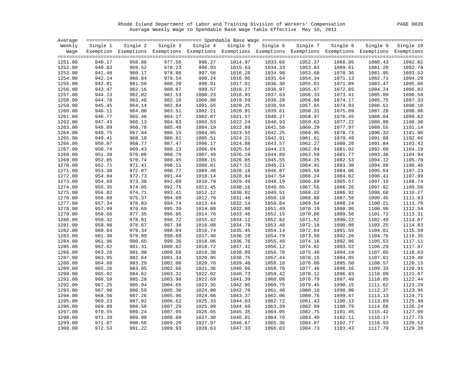Rhode Island Department of Labor and Training Division of Workers' Compensation PAGE 0026 Average Weekly Wage to Spendable Base Wage Table Effective May 10, 2011

| Average |          |        |         |                                                                                                                   |         |                   |          |          |          |           |
|---------|----------|--------|---------|-------------------------------------------------------------------------------------------------------------------|---------|-------------------|----------|----------|----------|-----------|
| Weekly  | Single 1 |        |         | Single 2 Single 3 Single 4                                                                                        |         | Single 5 Single 6 | Single 7 | Single 8 | Single 9 | Single 10 |
|         |          |        |         | Wage Exemption Exemptions Exemptions Exemptions Exemptions Exemptions Exemptions Exemptions Exemptions Exemptions |         |                   |          |          |          |           |
|         |          |        |         |                                                                                                                   |         |                   |          |          |          |           |
| 1251.00 | 940.17   | 958.86 | 977.56  | 996.27                                                                                                            | 1014.97 | 1033.66           | 1052.37  | 1068.85  | 1080.43  | 1092.02   |
| 1252.00 | 940.83   | 959.52 | 978.23  | 996.93                                                                                                            | 1015.63 | 1034.33           | 1053.03  | 1069.61  | 1081.20  | 1092.78   |
| 1253.00 | 941.48   | 960.17 | 978.88  | 997.58                                                                                                            | 1016.28 | 1034.98           | 1053.68  | 1070.36  | 1081.95  | 1093.53   |
| 1254.00 | 942.14   | 960.84 | 979.54  | 998.24                                                                                                            | 1016.95 | 1035.64           | 1054.34  | 1071.13  | 1082.71  | 1094.29   |
| 1255.00 | 942.81   | 961.50 | 980.20  | 998.91                                                                                                            | 1017.61 | 1036.30           | 1055.01  | 1071.89  | 1083.47  | 1095.06   |
| 1256.00 | 943.47   | 962.16 | 980.87  | 999.57                                                                                                            | 1018.27 | 1036.97           | 1055.67  | 1072.65  | 1084.24  | 1095.82   |
| 1257.00 | 944.13   | 962.82 | 981.53  | 1000.23                                                                                                           | 1018.93 | 1037.63           | 1056.33  | 1073.41  | 1085.00  | 1096.58   |
| 1258.00 | 944.78   | 963.48 | 982.18  | 1000.88                                                                                                           | 1019.59 | 1038.28           | 1056.98  | 1074.17  | 1085.75  | 1097.33   |
| 1259.00 | 945.45   | 964.14 | 982.84  | 1001.55                                                                                                           | 1020.25 | 1038.94           | 1057.65  | 1074.93  | 1086.51  | 1098.10   |
| 1260.00 | 946.11   | 964.80 | 983.51  | 1002.21                                                                                                           | 1020.91 | 1039.61           | 1058.31  | 1075.69  | 1087.28  | 1098.86   |
| 1261.00 | 946.77   | 965.46 | 984.17  | 1002.87                                                                                                           | 1021.57 | 1040.27           | 1058.97  | 1076.45  | 1088.04  | 1099.62   |
| 1262.00 | 947.43   | 966.13 | 984.83  | 1003.53                                                                                                           | 1022.24 | 1040.93           | 1059.63  | 1077.22  | 1088.80  | 1100.38   |
| 1263.00 | 948.09   | 966.78 | 985.48  | 1004.19                                                                                                           | 1022.89 | 1041.58           | 1060.29  | 1077.97  | 1089.55  | 1101.14   |
| 1264.00 | 948.75   | 967.44 | 986.15  | 1004.85                                                                                                           | 1023.55 | 1042.25           | 1060.95  | 1078.73  | 1090.32  | 1101.90   |
| 1265.00 | 949.41   | 968.10 | 986.81  | 1005.51                                                                                                           | 1024.21 | 1042.91           | 1061.61  | 1079.49  | 1091.08  | 1102.66   |
| 1266.00 | 950.07   | 968.77 | 987.47  | 1006.17                                                                                                           | 1024.88 | 1043.57           | 1062.27  | 1080.26  | 1091.84  | 1103.42   |
| 1267.00 | 950.74   | 969.43 | 988.13  | 1006.84                                                                                                           | 1025.54 | 1044.23           | 1062.94  | 1081.02  | 1092.60  | 1104.19   |
| 1268.00 | 951.39   | 970.08 | 988.79  | 1007.49                                                                                                           | 1026.19 | 1044.89           | 1063.59  | 1081.77  | 1093.36  | 1104.94   |
| 1269.00 | 952.05   | 970.74 | 989.45  | 1008.15                                                                                                           | 1026.85 | 1045.55           | 1064.25  | 1082.53  | 1094.12  | 1105.70   |
| 1270.00 | 952.71   | 971.41 | 990.11  | 1008.81                                                                                                           | 1027.52 | 1046.21           | 1064.91  | 1083.30  | 1094.88  | 1106.46   |
| 1271.00 | 953.38   | 972.07 | 990.77  | 1009.48                                                                                                           | 1028.18 | 1046.87           | 1065.58  | 1084.06  | 1095.64  | 1107.23   |
| 1272.00 | 954.04   | 972.73 | 991.44  | 1010.14                                                                                                           | 1028.84 | 1047.54           | 1066.24  | 1084.82  | 1096.41  | 1107.99   |
| 1273.00 | 954.69   | 973.38 | 992.09  | 1010.79                                                                                                           | 1029.49 | 1048.19           | 1066.89  | 1085.57  | 1097.16  | 1108.74   |
| 1274.00 | 955.35   | 974.05 | 992.75  | 1011.45                                                                                                           | 1030.16 | 1048.85           | 1067.55  | 1086.26  | 1097.92  | 1109.50   |
| 1275.00 | 956.02   | 974.71 | 993.41  | 1012.12                                                                                                           | 1030.82 | 1049.51           | 1068.22  | 1086.92  | 1098.68  | 1110.27   |
| 1276.00 | 956.68   | 975.37 | 994.08  | 1012.78                                                                                                           | 1031.48 | 1050.18           | 1068.88  | 1087.58  | 1099.45  | 1111.03   |
| 1277.00 | 957.34   | 976.03 | 994.74  | 1013.44                                                                                                           | 1032.14 | 1050.84           | 1069.54  | 1088.24  | 1100.21  | 1111.79   |
| 1278.00 | 957.99   | 976.69 | 995.39  | 1014.09                                                                                                           | 1032.80 | 1051.49           | 1070.19  | 1088.90  | 1100.96  | 1112.54   |
| 1279.00 | 958.66   | 977.35 | 996.05  | 1014.76                                                                                                           | 1033.46 | 1052.15           | 1070.86  | 1089.56  | 1101.72  | 1113.31   |
| 1280.00 | 959.32   | 978.01 | 996.72  | 1015.42                                                                                                           | 1034.12 | 1052.82           | 1071.52  | 1090.22  | 1102.49  | 1114.07   |
| 1281.00 | 959.98   | 978.67 | 997.38  | 1016.08                                                                                                           | 1034.78 | 1053.48           | 1072.18  | 1090.88  | 1103.25  | 1114.83   |
| 1282.00 | 960.64   | 979.34 | 998.04  | 1016.74                                                                                                           | 1035.45 | 1054.14           | 1072.84  | 1091.55  | 1104.01  | 1115.59   |
| 1283.00 | 961.30   | 979.99 | 998.69  | 1017.40                                                                                                           | 1036.10 | 1054.79           | 1073.50  | 1092.20  | 1104.76  | 1116.35   |
| 1284.00 | 961.96   | 980.65 | 999.36  | 1018.06                                                                                                           | 1036.76 | 1055.46           | 1074.16  | 1092.86  | 1105.53  | 1117.11   |
| 1285.00 | 962.62   | 981.31 | 1000.02 | 1018.72                                                                                                           | 1037.42 | 1056.12           | 1074.82  | 1093.52  | 1106.29  | 1117.87   |
| 1286.00 | 963.28   | 981.98 | 1000.68 | 1019.38                                                                                                           | 1038.09 | 1056.78           | 1075.48  | 1094.19  | 1107.05  | 1118.63   |
| 1287.00 | 963.95   | 982.64 | 1001.34 | 1020.05                                                                                                           | 1038.75 | 1057.44           | 1076.15  | 1094.85  | 1107.81  | 1119.40   |
| 1288.00 | 964.60   | 983.29 | 1002.00 | 1020.70                                                                                                           | 1039.40 | 1058.10           | 1076.80  | 1095.50  | 1108.57  | 1120.15   |
| 1289.00 | 965.26   | 983.95 | 1002.66 | 1021.36                                                                                                           | 1040.06 | 1058.76           | 1077.46  | 1096.16  | 1109.33  | 1120.91   |
| 1290.00 | 965.92   | 984.62 | 1003.32 | 1022.02                                                                                                           | 1040.73 | 1059.42           | 1078.12  | 1096.83  | 1110.09  | 1121.67   |
| 1291.00 | 966.59   | 985.28 | 1003.98 | 1022.69                                                                                                           | 1041.39 | 1060.08           | 1078.79  | 1097.49  | 1110.85  | 1122.44   |
| 1292.00 | 967.25   | 985.94 | 1004.65 | 1023.35                                                                                                           | 1042.05 | 1060.75           | 1079.45  | 1098.15  | 1111.62  | 1123.20   |
| 1293.00 | 967.90   | 986.59 | 1005.30 | 1024.00                                                                                                           | 1042.70 | 1061.40           | 1080.10  | 1098.80  | 1112.37  | 1123.95   |
| 1294.00 | 968.56   | 987.26 | 1005.96 | 1024.66                                                                                                           | 1043.37 | 1062.06           | 1080.76  | 1099.47  | 1113.13  | 1124.71   |
| 1295.00 | 969.23   | 987.92 | 1006.62 | 1025.33                                                                                                           | 1044.03 | 1062.72           | 1081.43  | 1100.13  | 1113.89  | 1125.48   |
| 1296.00 | 969.89   | 988.58 | 1007.29 | 1025.99                                                                                                           | 1044.69 | 1063.39           | 1082.09  | 1100.79  | 1114.66  | 1126.24   |
| 1297.00 | 970.55   | 989.24 | 1007.95 | 1026.65                                                                                                           | 1045.35 | 1064.05           | 1082.75  | 1101.45  | 1115.42  | 1127.00   |
| 1298.00 | 971.20   | 989.90 | 1008.60 | 1027.30                                                                                                           | 1046.01 | 1064.70           | 1083.40  | 1102.11  | 1116.17  | 1127.75   |
| 1299.00 | 971.87   | 990.56 | 1009.26 | 1027.97                                                                                                           | 1046.67 | 1065.36           | 1084.07  | 1102.77  | 1116.93  | 1128.52   |
| 1300.00 | 972.53   | 991.22 | 1009.93 | 1028.63                                                                                                           | 1047.33 | 1066.03           | 1084.73  | 1103.43  | 1117.70  | 1129.28   |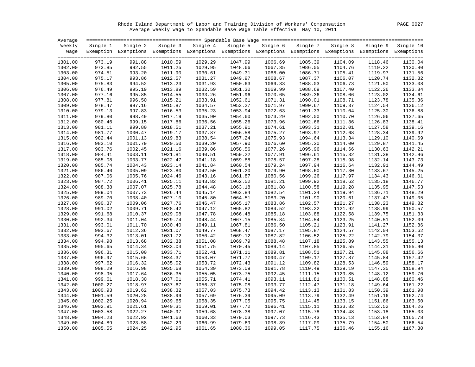Rhode Island Department of Labor and Training Division of Workers' Compensation PAGE 0027 Average Weekly Wage to Spendable Base Wage Table Effective May 10, 2011

| Average |          |          |         |                                                                                                                   |         |                   |          |          |          |           |
|---------|----------|----------|---------|-------------------------------------------------------------------------------------------------------------------|---------|-------------------|----------|----------|----------|-----------|
| Weekly  | Single 1 | Single 2 |         | Single 3 Single 4                                                                                                 |         | Single 5 Single 6 | Single 7 | Single 8 | Single 9 | Single 10 |
|         |          |          |         | Wage Exemption Exemptions Exemptions Exemptions Exemptions Exemptions Exemptions Exemptions Exemptions Exemptions |         |                   |          |          |          |           |
|         |          |          |         |                                                                                                                   |         |                   |          |          |          |           |
| 1301.00 | 973.19   | 991.88   | 1010.59 | 1029.29                                                                                                           | 1047.99 | 1066.69           | 1085.39  | 1104.09  | 1118.46  | 1130.04   |
| 1302.00 | 973.85   | 992.55   | 1011.25 | 1029.95                                                                                                           | 1048.66 | 1067.35           | 1086.05  | 1104.76  | 1119.22  | 1130.80   |
| 1303.00 | 974.51   | 993.20   | 1011.90 | 1030.61                                                                                                           | 1049.31 | 1068.00           | 1086.71  | 1105.41  | 1119.97  | 1131.56   |
| 1304.00 | 975.17   | 993.86   | 1012.57 | 1031.27                                                                                                           | 1049.97 | 1068.67           | 1087.37  | 1106.07  | 1120.74  | 1132.32   |
| 1305.00 | 975.83   | 994.52   | 1013.23 | 1031.93                                                                                                           | 1050.63 | 1069.33           | 1088.03  | 1106.73  | 1121.50  | 1133.08   |
| 1306.00 | 976.49   | 995.19   | 1013.89 | 1032.59                                                                                                           | 1051.30 | 1069.99           | 1088.69  | 1107.40  | 1122.26  | 1133.84   |
| 1307.00 | 977.16   | 995.85   | 1014.55 | 1033.26                                                                                                           | 1051.96 | 1070.65           | 1089.36  | 1108.06  | 1123.02  | 1134.61   |
| 1308.00 | 977.81   | 996.50   | 1015.21 | 1033.91                                                                                                           | 1052.61 | 1071.31           | 1090.01  | 1108.71  | 1123.78  | 1135.36   |
| 1309.00 | 978.47   | 997.16   | 1015.87 | 1034.57                                                                                                           | 1053.27 | 1071.97           | 1090.67  | 1109.37  | 1124.54  | 1136.12   |
| 1310.00 | 979.13   | 997.83   | 1016.53 | 1035.23                                                                                                           | 1053.94 | 1072.63           | 1091.33  | 1110.04  | 1125.30  | 1136.88   |
| 1311.00 | 979.80   | 998.49   | 1017.19 | 1035.90                                                                                                           | 1054.60 | 1073.29           | 1092.00  | 1110.70  | 1126.06  | 1137.65   |
| 1312.00 | 980.46   | 999.15   | 1017.86 | 1036.56                                                                                                           | 1055.26 | 1073.96           | 1092.66  | 1111.36  | 1126.83  | 1138.41   |
| 1313.00 | 981.11   | 999.80   | 1018.51 | 1037.21                                                                                                           | 1055.91 | 1074.61           | 1093.31  | 1112.01  | 1127.58  | 1139.16   |
| 1314.00 | 981.77   | 1000.47  | 1019.17 | 1037.87                                                                                                           | 1056.58 | 1075.27           | 1093.97  | 1112.68  | 1128.34  | 1139.92   |
| 1315.00 | 982.44   | 1001.13  | 1019.83 | 1038.54                                                                                                           | 1057.24 | 1075.93           | 1094.64  | 1113.34  | 1129.10  | 1140.69   |
| 1316.00 | 983.10   | 1001.79  | 1020.50 | 1039.20                                                                                                           | 1057.90 | 1076.60           | 1095.30  | 1114.00  | 1129.87  | 1141.45   |
| 1317.00 | 983.76   | 1002.45  | 1021.16 | 1039.86                                                                                                           | 1058.56 | 1077.26           | 1095.96  | 1114.66  | 1130.63  | 1142.21   |
| 1318.00 | 984.41   | 1003.11  | 1021.81 | 1040.51                                                                                                           | 1059.22 | 1077.91           | 1096.61  | 1115.32  | 1131.38  | 1142.96   |
| 1319.00 | 985.08   | 1003.77  | 1022.47 | 1041.18                                                                                                           | 1059.88 | 1078.57           | 1097.28  | 1115.98  | 1132.14  | 1143.73   |
| 1320.00 | 985.74   | 1004.43  | 1023.14 | 1041.84                                                                                                           | 1060.54 | 1079.24           | 1097.94  | 1116.64  | 1132.91  | 1144.49   |
| 1321.00 | 986.40   | 1005.09  | 1023.80 | 1042.50                                                                                                           | 1061.20 | 1079.90           | 1098.60  | 1117.30  | 1133.67  | 1145.25   |
| 1322.00 | 987.06   | 1005.76  | 1024.46 | 1043.16                                                                                                           | 1061.87 | 1080.56           | 1099.26  | 1117.97  | 1134.43  | 1146.01   |
| 1323.00 | 987.72   | 1006.41  | 1025.11 | 1043.82                                                                                                           | 1062.52 | 1081.21           | 1099.92  | 1118.62  | 1135.18  | 1146.77   |
| 1324.00 | 988.38   | 1007.07  | 1025.78 | 1044.48                                                                                                           | 1063.18 | 1081.88           | 1100.58  | 1119.28  | 1135.95  | 1147.53   |
| 1325.00 | 989.04   | 1007.73  | 1026.44 | 1045.14                                                                                                           | 1063.84 | 1082.54           | 1101.24  | 1119.94  | 1136.71  | 1148.29   |
| 1326.00 | 989.70   | 1008.40  | 1027.10 | 1045.80                                                                                                           | 1064.51 | 1083.20           | 1101.90  | 1120.61  | 1137.47  | 1149.05   |
| 1327.00 | 990.37   | 1009.06  | 1027.76 | 1046.47                                                                                                           | 1065.17 | 1083.86           | 1102.57  | 1121.27  | 1138.23  | 1149.82   |
| 1328.00 | 991.02   | 1009.71  | 1028.42 | 1047.12                                                                                                           | 1065.82 | 1084.52           | 1103.22  | 1121.92  | 1138.99  | 1150.57   |
| 1329.00 | 991.68   | 1010.37  | 1029.08 | 1047.78                                                                                                           | 1066.48 | 1085.18           | 1103.88  | 1122.58  | 1139.75  | 1151.33   |
| 1330.00 | 992.34   | 1011.04  | 1029.74 | 1048.44                                                                                                           | 1067.15 | 1085.84           | 1104.54  | 1123.25  | 1140.51  | 1152.09   |
| 1331.00 | 993.01   | 1011.70  | 1030.40 | 1049.11                                                                                                           | 1067.81 | 1086.50           | 1105.21  | 1123.91  | 1141.27  | 1152.86   |
| 1332.00 | 993.67   | 1012.36  | 1031.07 | 1049.77                                                                                                           | 1068.47 | 1087.17           | 1105.87  | 1124.57  | 1142.04  | 1153.62   |
| 1333.00 | 994.32   | 1013.01  | 1031.72 | 1050.42                                                                                                           | 1069.12 | 1087.82           | 1106.52  | 1125.22  | 1142.79  | 1154.37   |
| 1334.00 | 994.98   | 1013.68  | 1032.38 | 1051.08                                                                                                           | 1069.79 | 1088.48           | 1107.18  | 1125.89  | 1143.55  | 1155.13   |
| 1335.00 | 995.65   | 1014.34  | 1033.04 | 1051.75                                                                                                           | 1070.45 | 1089.14           | 1107.85  | 1126.55  | 1144.31  | 1155.90   |
| 1336.00 | 996.31   | 1015.00  | 1033.71 | 1052.41                                                                                                           | 1071.11 | 1089.81           | 1108.51  | 1127.21  | 1145.08  | 1156.66   |
| 1337.00 | 996.97   | 1015.66  | 1034.37 | 1053.07                                                                                                           | 1071.77 | 1090.47           | 1109.17  | 1127.87  | 1145.84  | 1157.42   |
| 1338.00 | 997.62   | 1016.32  | 1035.02 | 1053.72                                                                                                           | 1072.43 | 1091.12           | 1109.82  | 1128.53  | 1146.59  | 1158.17   |
| 1339.00 | 998.29   | 1016.98  | 1035.68 | 1054.39                                                                                                           | 1073.09 | 1091.78           | 1110.49  | 1129.19  | 1147.35  | 1158.94   |
| 1340.00 | 998.95   | 1017.64  | 1036.35 | 1055.05                                                                                                           | 1073.75 | 1092.45           | 1111.15  | 1129.85  | 1148.12  | 1159.70   |
| 1341.00 | 999.61   | 1018.30  | 1037.01 | 1055.71                                                                                                           | 1074.41 | 1093.11           | 1111.81  | 1130.51  | 1148.88  | 1160.46   |
| 1342.00 | 1000.27  | 1018.97  | 1037.67 | 1056.37                                                                                                           | 1075.08 | 1093.77           | 1112.47  | 1131.18  | 1149.64  | 1161.22   |
| 1343.00 | 1000.93  | 1019.62  | 1038.32 | 1057.03                                                                                                           | 1075.73 | 1094.42           | 1113.13  | 1131.83  | 1150.39  | 1161.98   |
| 1344.00 | 1001.59  | 1020.28  | 1038.99 | 1057.69                                                                                                           | 1076.39 | 1095.09           | 1113.79  | 1132.49  | 1151.16  | 1162.74   |
| 1345.00 | 1002.25  | 1020.94  | 1039.65 | 1058.35                                                                                                           | 1077.05 | 1095.75           | 1114.45  | 1133.15  | 1151.86  | 1163.50   |
| 1346.00 | 1002.91  | 1021.61  | 1040.31 | 1059.01                                                                                                           | 1077.72 | 1096.41           | 1115.11  | 1133.82  | 1152.52  | 1164.26   |
| 1347.00 | 1003.58  | 1022.27  | 1040.97 | 1059.68                                                                                                           | 1078.38 | 1097.07           | 1115.78  | 1134.48  | 1153.18  | 1165.03   |
| 1348.00 | 1004.23  | 1022.92  | 1041.63 | 1060.33                                                                                                           | 1079.03 | 1097.73           | 1116.43  | 1135.13  | 1153.84  | 1165.78   |
| 1349.00 | 1004.89  | 1023.58  | 1042.29 | 1060.99                                                                                                           | 1079.69 | 1098.39           | 1117.09  | 1135.79  | 1154.50  | 1166.54   |
| 1350.00 | 1005.55  | 1024.25  | 1042.95 | 1061.65                                                                                                           | 1080.36 | 1099.05           | 1117.75  | 1136.46  | 1155.16  | 1167.30   |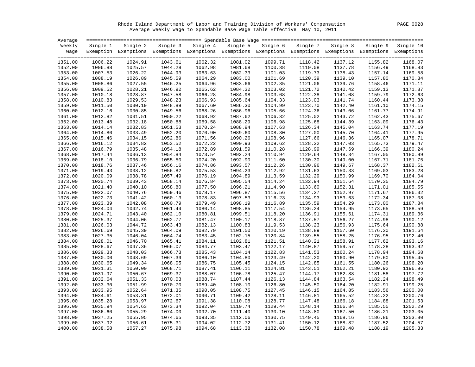Rhode Island Department of Labor and Training Division of Workers' Compensation PAGE 0028 Average Weekly Wage to Spendable Base Wage Table Effective May 10, 2011

| Average |          |                                                                                                                   |         |                    |         |                   |          |          |          |           |
|---------|----------|-------------------------------------------------------------------------------------------------------------------|---------|--------------------|---------|-------------------|----------|----------|----------|-----------|
| Weekly  | Single 1 | Single 2                                                                                                          |         | Single 3 Single 4  |         | Single 5 Single 6 | Single 7 | Single 8 | Single 9 | Single 10 |
|         |          | Wage Exemption Exemptions Exemptions Exemptions Exemptions Exemptions Exemptions Exemptions Exemptions Exemptions |         |                    |         |                   |          |          |          |           |
|         |          |                                                                                                                   |         |                    |         |                   |          |          |          |           |
| 1351.00 | 1006.22  | 1024.91                                                                                                           | 1043.61 | 1062.32            | 1081.02 | 1099.71           | 1118.42  | 1137.12  | 1155.82  | 1168.07   |
| 1352.00 | 1006.88  | 1025.57                                                                                                           | 1044.28 | 1062.98            | 1081.68 | 1100.38           | 1119.08  | 1137.78  | 1156.49  | 1168.83   |
| 1353.00 | 1007.53  | 1026.22                                                                                                           | 1044.93 | 1063.63            | 1082.33 | 1101.03           | 1119.73  | 1138.43  | 1157.14  | 1169.58   |
| 1354.00 | 1008.19  | 1026.89                                                                                                           | 1045.59 | 1064.29            | 1083.00 | 1101.69           | 1120.39  | 1139.10  | 1157.80  | 1170.34   |
| 1355.00 | 1008.86  | 1027.55                                                                                                           | 1046.25 | 1064.96            | 1083.66 | 1102.35           | 1121.06  | 1139.76  | 1158.46  | 1171.11   |
| 1356.00 | 1009.52  | 1028.21                                                                                                           | 1046.92 | 1065.62            | 1084.32 | 1103.02           | 1121.72  | 1140.42  | 1159.13  | 1171.87   |
| 1357.00 | 1010.18  | 1028.87                                                                                                           | 1047.58 | 1066.28            | 1084.98 | 1103.68           | 1122.38  | 1141.08  | 1159.79  | 1172.63   |
| 1358.00 | 1010.83  | 1029.53                                                                                                           | 1048.23 | 1066.93            | 1085.64 | 1104.33           | 1123.03  | 1141.74  | 1160.44  | 1173.38   |
| 1359.00 | 1011.50  | 1030.19                                                                                                           | 1048.89 | 1067.60            | 1086.30 | 1104.99           | 1123.70  | 1142.40  | 1161.10  | 1174.15   |
| 1360.00 | 1012.16  | 1030.85                                                                                                           | 1049.56 | 1068.26            | 1086.96 | 1105.66           | 1124.36  | 1143.06  | 1161.77  | 1174.91   |
| 1361.00 | 1012.82  | 1031.51                                                                                                           | 1050.22 | 1068.92            | 1087.62 | 1106.32           | 1125.02  | 1143.72  | 1162.43  | 1175.67   |
| 1362.00 | 1013.48  | 1032.18                                                                                                           | 1050.88 | 1069.58            | 1088.29 | 1106.98           | 1125.68  | 1144.39  | 1163.09  | 1176.43   |
| 1363.00 | 1014.14  | 1032.83                                                                                                           | 1051.53 | 1070.24            | 1088.94 | 1107.63           | 1126.34  | 1145.04  | 1163.74  | 1177.19   |
| 1364.00 | 1014.80  | 1033.49                                                                                                           | 1052.20 | 1070.90            | 1089.60 | 1108.30           | 1127.00  | 1145.70  | 1164.41  | 1177.95   |
| 1365.00 | 1015.46  | 1034.15                                                                                                           | 1052.86 | 1071.56            | 1090.26 | 1108.96           | 1127.66  | 1146.36  | 1165.07  | 1178.71   |
| 1366.00 | 1016.12  | 1034.82                                                                                                           | 1053.52 | 1072.22            | 1090.93 | 1109.62           | 1128.32  | 1147.03  | 1165.73  | 1179.47   |
| 1367.00 | 1016.79  | 1035.48                                                                                                           | 1054.18 | 1072.89            | 1091.59 | 1110.28           | 1128.99  | 1147.69  | 1166.39  | 1180.24   |
| 1368.00 | 1017.44  | 1036.13                                                                                                           | 1054.84 | 1073.54            | 1092.24 | 1110.94           | 1129.64  | 1148.34  | 1167.05  | 1180.99   |
| 1369.00 | 1018.10  | 1036.79                                                                                                           | 1055.50 | 1074.20            | 1092.90 | 1111.60           | 1130.30  | 1149.00  | 1167.71  | 1181.75   |
| 1370.00 | 1018.76  | 1037.46                                                                                                           | 1056.16 | 1074.86            | 1093.57 | 1112.26           | 1130.96  | 1149.67  | 1168.37  | 1182.51   |
| 1371.00 | 1019.43  | 1038.12                                                                                                           | 1056.82 | 1075.53            | 1094.23 | 1112.92           | 1131.63  | 1150.33  | 1169.03  | 1183.28   |
| 1372.00 | 1020.09  | 1038.78                                                                                                           | 1057.49 | 1076.19            | 1094.89 | 1113.59           | 1132.29  | 1150.99  | 1169.70  | 1184.04   |
| 1373.00 | 1020.74  | 1039.43                                                                                                           | 1058.14 | 1076.84            | 1095.54 | 1114.24           | 1132.94  | 1151.64  | 1170.35  | 1184.79   |
| 1374.00 | 1021.40  | 1040.10                                                                                                           | 1058.80 |                    | 1096.21 | 1114.90           | 1133.60  | 1152.31  | 1171.01  | 1185.55   |
| 1375.00 | 1022.07  | 1040.76                                                                                                           | 1059.46 | 1077.50<br>1078.17 | 1096.87 | 1115.56           | 1134.27  | 1152.97  | 1171.67  | 1186.32   |
|         |          |                                                                                                                   |         |                    |         |                   |          |          |          | 1187.08   |
| 1376.00 | 1022.73  | 1041.42                                                                                                           | 1060.13 | 1078.83            | 1097.53 | 1116.23           | 1134.93  | 1153.63  | 1172.34  |           |
| 1377.00 | 1023.39  | 1042.08                                                                                                           | 1060.79 | 1079.49            | 1098.19 | 1116.89           | 1135.59  | 1154.29  | 1173.00  | 1187.84   |
| 1378.00 | 1024.04  | 1042.74                                                                                                           | 1061.44 | 1080.14            | 1098.85 | 1117.54           | 1136.24  | 1154.95  | 1173.65  | 1188.59   |
| 1379.00 | 1024.71  | 1043.40                                                                                                           | 1062.10 | 1080.81            | 1099.51 | 1118.20           | 1136.91  | 1155.61  | 1174.31  | 1189.36   |
| 1380.00 | 1025.37  | 1044.06                                                                                                           | 1062.77 | 1081.47            | 1100.17 | 1118.87           | 1137.57  | 1156.27  | 1174.98  | 1190.12   |
| 1381.00 | 1026.03  | 1044.72                                                                                                           | 1063.43 | 1082.13            | 1100.83 | 1119.53           | 1138.23  | 1156.93  | 1175.64  | 1190.88   |
| 1382.00 | 1026.69  | 1045.39                                                                                                           | 1064.09 | 1082.79            | 1101.50 | 1120.19           | 1138.89  | 1157.60  | 1176.30  | 1191.64   |
| 1383.00 | 1027.35  | 1046.04                                                                                                           | 1064.74 | 1083.45            | 1102.15 | 1120.84           | 1139.55  | 1158.25  | 1176.95  | 1192.40   |
| 1384.00 | 1028.01  | 1046.70                                                                                                           | 1065.41 | 1084.11            | 1102.81 | 1121.51           | 1140.21  | 1158.91  | 1177.62  | 1193.16   |
| 1385.00 | 1028.67  | 1047.36                                                                                                           | 1066.07 | 1084.77            | 1103.47 | 1122.17           | 1140.87  | 1159.57  | 1178.28  | 1193.92   |
| 1386.00 | 1029.33  | 1048.03                                                                                                           | 1066.73 | 1085.43            | 1104.14 | 1122.83           | 1141.53  | 1160.24  | 1178.94  | 1194.68   |
| 1387.00 | 1030.00  | 1048.69                                                                                                           | 1067.39 | 1086.10            | 1104.80 | 1123.49           | 1142.20  | 1160.90  | 1179.60  | 1195.45   |
| 1388.00 | 1030.65  | 1049.34                                                                                                           | 1068.05 | 1086.75            | 1105.45 | 1124.15           | 1142.85  | 1161.55  | 1180.26  | 1196.20   |
| 1389.00 | 1031.31  | 1050.00                                                                                                           | 1068.71 | 1087.41            | 1106.11 | 1124.81           | 1143.51  | 1162.21  | 1180.92  | 1196.96   |
| 1390.00 | 1031.97  | 1050.67                                                                                                           | 1069.37 | 1088.07            | 1106.78 | 1125.47           | 1144.17  | 1162.88  | 1181.58  | 1197.72   |
| 1391.00 | 1032.64  | 1051.33                                                                                                           | 1070.03 | 1088.74            | 1107.44 | 1126.13           | 1144.84  | 1163.54  | 1182.24  | 1198.49   |
| 1392.00 | 1033.30  | 1051.99                                                                                                           | 1070.70 | 1089.40            | 1108.10 | 1126.80           | 1145.50  | 1164.20  | 1182.91  | 1199.25   |
| 1393.00 | 1033.95  | 1052.64                                                                                                           | 1071.35 | 1090.05            | 1108.75 | 1127.45           | 1146.15  | 1164.85  | 1183.56  | 1200.00   |
| 1394.00 | 1034.61  | 1053.31                                                                                                           | 1072.01 | 1090.71            | 1109.42 | 1128.11           | 1146.81  | 1165.52  | 1184.22  | 1200.76   |
| 1395.00 | 1035.28  | 1053.97                                                                                                           | 1072.67 | 1091.38            | 1110.08 | 1128.77           | 1147.48  | 1166.18  | 1184.88  | 1201.53   |
| 1396.00 | 1035.94  | 1054.63                                                                                                           | 1073.34 | 1092.04            | 1110.74 | 1129.44           | 1148.14  | 1166.84  | 1185.55  | 1202.29   |
| 1397.00 | 1036.60  | 1055.29                                                                                                           | 1074.00 | 1092.70            | 1111.40 | 1130.10           | 1148.80  | 1167.50  | 1186.21  | 1203.05   |
| 1398.00 | 1037.25  | 1055.95                                                                                                           | 1074.65 | 1093.35            | 1112.06 | 1130.75           | 1149.45  | 1168.16  | 1186.86  | 1203.80   |
| 1399.00 | 1037.92  | 1056.61                                                                                                           | 1075.31 | 1094.02            | 1112.72 | 1131.41           | 1150.12  | 1168.82  | 1187.52  | 1204.57   |
| 1400.00 | 1038.58  | 1057.27                                                                                                           | 1075.98 | 1094.68            | 1113.38 | 1132.08           | 1150.78  | 1169.48  | 1188.19  | 1205.33   |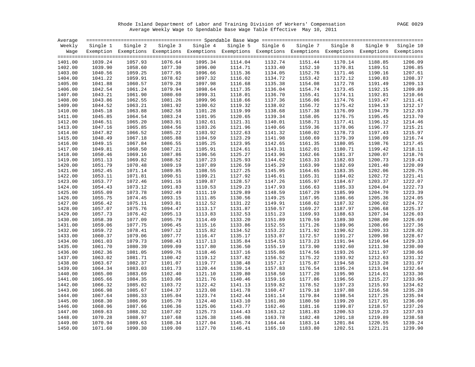Rhode Island Department of Labor and Training Division of Workers' Compensation PAGE 0029 Average Weekly Wage to Spendable Base Wage Table Effective May 10, 2011

| Average            |                    |                    |                    |                                                                                                                   |                    |                    |                    |                    |                    |                    |
|--------------------|--------------------|--------------------|--------------------|-------------------------------------------------------------------------------------------------------------------|--------------------|--------------------|--------------------|--------------------|--------------------|--------------------|
| Weekly             | Single 1           | Single 2           |                    | Single 3 Single 4                                                                                                 | Single 5           | Single 6           | Single 7           | Single 8           | Single 9           | Single 10          |
|                    |                    |                    |                    | Wage Exemption Exemptions Exemptions Exemptions Exemptions Exemptions Exemptions Exemptions Exemptions Exemptions |                    |                    |                    |                    |                    |                    |
|                    |                    |                    |                    |                                                                                                                   |                    |                    |                    |                    |                    |                    |
| 1401.00            | 1039.24            | 1057.93            | 1076.64            | 1095.34                                                                                                           | 1114.04            | 1132.74            | 1151.44            | 1170.14            | 1188.85            | 1206.09            |
| 1402.00            | 1039.90            | 1058.60            | 1077.30            | 1096.00                                                                                                           | 1114.71            | 1133.40            | 1152.10            | 1170.81            | 1189.51            | 1206.85            |
| 1403.00            | 1040.56            | 1059.25            | 1077.95            | 1096.66                                                                                                           | 1115.36            | 1134.05            | 1152.76            | 1171.46            | 1190.16            | 1207.61            |
| 1404.00            | 1041.22            | 1059.91            | 1078.62            | 1097.32                                                                                                           | 1116.02            | 1134.72            | 1153.42            | 1172.12            | 1190.83            | 1208.37            |
| 1405.00            | 1041.88            | 1060.57            | 1079.28            | 1097.98                                                                                                           | 1116.68            | 1135.38            | 1154.08            | 1172.78            | 1191.49            | 1209.13            |
| 1406.00            | 1042.54            | 1061.24            | 1079.94            | 1098.64                                                                                                           | 1117.35            | 1136.04            | 1154.74            | 1173.45            | 1192.15            | 1209.89            |
| 1407.00            | 1043.21            | 1061.90            | 1080.60            | 1099.31                                                                                                           | 1118.01            | 1136.70            | 1155.41            | 1174.11            | 1192.81            | 1210.66            |
| 1408.00            | 1043.86            | 1062.55            | 1081.26            | 1099.96                                                                                                           | 1118.66            | 1137.36            | 1156.06            | 1174.76            | 1193.47            | 1211.41            |
| 1409.00            | 1044.52            | 1063.21            | 1081.92            | 1100.62                                                                                                           | 1119.32            | 1138.02            | 1156.72            | 1175.42            | 1194.13            | 1212.17            |
| 1410.00            | 1045.18            | 1063.88            | 1082.58            | 1101.28                                                                                                           | 1119.99            | 1138.68            | 1157.38            | 1176.09            | 1194.79            | 1212.93            |
| 1411.00            | 1045.85            | 1064.54            | 1083.24            | 1101.95                                                                                                           | 1120.65            | 1139.34            | 1158.05            | 1176.75            | 1195.45            | 1213.70            |
| 1412.00            | 1046.51            | 1065.20            | 1083.91            | 1102.61                                                                                                           | 1121.31            | 1140.01            | 1158.71            | 1177.41            | 1196.12            | 1214.46            |
| 1413.00            | 1047.16            | 1065.85            | 1084.56            | 1103.26                                                                                                           | 1121.96            | 1140.66            | 1159.36            | 1178.06            | 1196.77            | 1215.21            |
| 1414.00            | 1047.82            | 1066.52            | 1085.22            | 1103.92                                                                                                           | 1122.63            | 1141.32            | 1160.02            | 1178.73            | 1197.43            | 1215.97            |
| 1415.00            | 1048.49            | 1067.18            | 1085.88            | 1104.59                                                                                                           | 1123.29            | 1141.98            | 1160.69            | 1179.39            | 1198.09            | 1216.74            |
| 1416.00            | 1049.15            | 1067.84            | 1086.55            | 1105.25                                                                                                           | 1123.95            | 1142.65            | 1161.35            | 1180.05            | 1198.76            | 1217.45            |
| 1417.00            | 1049.81            | 1068.50            | 1087.21            | 1105.91                                                                                                           | 1124.61            | 1143.31            | 1162.01            | 1180.71            | 1199.42            | 1218.11            |
| 1418.00            | 1050.46            | 1069.16            | 1087.86            | 1106.56                                                                                                           | 1125.27            | 1143.96            | 1162.66            | 1181.37            | 1200.07            | 1218.76            |
| 1419.00            | 1051.13            | 1069.82            | 1088.52            | 1107.23                                                                                                           | 1125.93            | 1144.62            | 1163.33            | 1182.03            | 1200.73            | 1219.43            |
| 1420.00            | 1051.79            | 1070.48            | 1089.19            | 1107.89                                                                                                           | 1126.59            | 1145.29            | 1163.99            | 1182.69            | 1201.40            | 1220.09<br>1220.75 |
| 1421.00            | 1052.45            | 1071.14            | 1089.85            | 1108.55                                                                                                           | 1127.25            | 1145.95            | 1164.65            | 1183.35            | 1202.06            |                    |
| 1422.00            | 1053.11            | 1071.81            | 1090.51            | 1109.21                                                                                                           | 1127.92            | 1146.61            | 1165.31            | 1184.02            | 1202.72            | 1221.41<br>1222.07 |
| 1423.00            | 1053.77            | 1072.46            | 1091.16            | 1109.87                                                                                                           | 1128.57            | 1147.26            | 1165.97            | 1184.67            | 1203.37            | 1222.73            |
| 1424.00            | 1054.43            | 1073.12            | 1091.83            | 1110.53                                                                                                           | 1129.23            | 1147.93            | 1166.63            | 1185.33            | 1204.04            | 1223.39            |
| 1425.00            | 1055.09            | 1073.78<br>1074.45 | 1092.49            | 1111.19                                                                                                           | 1129.89            | 1148.59            | 1167.29<br>1167.95 | 1185.99            | 1204.70            | 1224.05            |
| 1426.00            | 1055.75            |                    | 1093.15            | 1111.85                                                                                                           | 1130.56            | 1149.25            |                    | 1186.66            | 1205.36            | 1224.72            |
| 1427.00            | 1056.42            | 1075.11            | 1093.81            | 1112.52<br>1113.17                                                                                                | 1131.22            | 1149.91            | 1168.62            | 1187.32            | 1206.02            | 1225.37            |
| 1428.00            | 1057.07            | 1075.76            | 1094.47            | 1113.83                                                                                                           | 1131.87<br>1132.53 | 1150.57            | 1169.27<br>1169.93 | 1187.97            | 1206.68            | 1226.03            |
| 1429.00<br>1430.00 | 1057.73<br>1058.39 | 1076.42<br>1077.09 | 1095.13<br>1095.79 | 1114.49                                                                                                           | 1133.20            | 1151.23<br>1151.89 | 1170.59            | 1188.63<br>1189.30 | 1207.34            | 1226.69            |
|                    |                    | 1077.75            |                    |                                                                                                                   |                    |                    |                    |                    | 1208.00            | 1227.36            |
| 1431.00            | 1059.06<br>1059.72 | 1078.41            | 1096.45            | 1115.16<br>1115.82                                                                                                | 1133.86            | 1152.55            | 1171.26            | 1189.96            | 1208.66            | 1228.02            |
| 1432.00<br>1433.00 | 1060.37            | 1079.06            | 1097.12<br>1097.77 | 1116.47                                                                                                           | 1134.52<br>1135.17 | 1153.22<br>1153.87 | 1171.92<br>1172.57 | 1190.62<br>1191.27 | 1209.33            | 1228.67            |
| 1434.00            | 1061.03            | 1079.73            | 1098.43            | 1117.13                                                                                                           | 1135.84            | 1154.53            | 1173.23            | 1191.94            | 1209.98<br>1210.64 | 1229.33            |
| 1435.00            | 1061.70            | 1080.39            | 1099.09            | 1117.80                                                                                                           | 1136.50            | 1155.19            | 1173.90            | 1192.60            | 1211.30            | 1230.00            |
| 1436.00            | 1062.36            | 1081.05            | 1099.76            | 1118.46                                                                                                           | 1137.16            | 1155.86            | 1174.56            | 1193.26            | 1211.97            | 1230.66            |
| 1437.00            | 1063.02            | 1081.71            | 1100.42            | 1119.12                                                                                                           | 1137.82            | 1156.52            | 1175.22            | 1193.92            | 1212.63            | 1231.32            |
| 1438.00            | 1063.67            | 1082.37            | 1101.07            | 1119.77                                                                                                           | 1138.48            | 1157.17            | 1175.87            | 1194.58            | 1213.28            | 1231.97            |
| 1439.00            | 1064.34            | 1083.03            | 1101.73            | 1120.44                                                                                                           | 1139.14            | 1157.83            | 1176.54            | 1195.24            | 1213.94            | 1232.64            |
| 1440.00            | 1065.00            | 1083.69            | 1102.40            | 1121.10                                                                                                           | 1139.80            | 1158.50            | 1177.20            | 1195.90            | 1214.61            | 1233.30            |
| 1441.00            | 1065.66            | 1084.35            | 1103.06            | 1121.76                                                                                                           | 1140.46            | 1159.16            | 1177.86            | 1196.56            | 1215.27            | 1233.96            |
| 1442.00            | 1066.32            | 1085.02            | 1103.72            | 1122.42                                                                                                           | 1141.13            | 1159.82            | 1178.52            | 1197.23            | 1215.93            | 1234.62            |
| 1443.00            | 1066.98            | 1085.67            | 1104.37            | 1123.08                                                                                                           | 1141.78            | 1160.47            | 1179.18            | 1197.88            | 1216.58            | 1235.28            |
|                    | 1067.64            | 1086.33            | 1105.04            | 1123.74                                                                                                           | 1142.44            | 1161.14            | 1179.84            | 1198.54            |                    | 1235.94            |
| 1444.00<br>1445.00 | 1068.30            | 1086.99            | 1105.70            | 1124.40                                                                                                           | 1143.10            | 1161.80            | 1180.50            | 1199.20            | 1217.25<br>1217.91 | 1236.60            |
| 1446.00            | 1068.96            | 1087.66            | 1106.36            | 1125.06                                                                                                           | 1143.77            | 1162.46            | 1181.16            | 1199.87            | 1218.57            | 1237.26            |
| 1447.00            | 1069.63            | 1088.32            | 1107.02            | 1125.73                                                                                                           | 1144.43            | 1163.12            | 1181.83            | 1200.53            | 1219.23            | 1237.93            |
| 1448.00            | 1070.28            | 1088.97            | 1107.68            | 1126.38                                                                                                           | 1145.08            | 1163.78            | 1182.48            | 1201.18            | 1219.89            | 1238.58            |
| 1449.00            | 1070.94            | 1089.63            | 1108.34            | 1127.04                                                                                                           | 1145.74            | 1164.44            | 1183.14            | 1201.84            | 1220.55            | 1239.24            |
| 1450.00            | 1071.60            | 1090.30            | 1109.00            | 1127.70                                                                                                           | 1146.41            | 1165.10            | 1183.80            | 1202.51            | 1221.21            | 1239.90            |
|                    |                    |                    |                    |                                                                                                                   |                    |                    |                    |                    |                    |                    |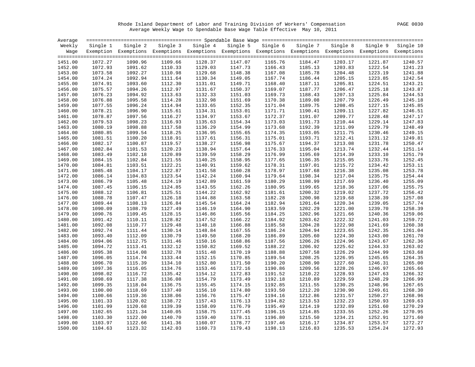Rhode Island Department of Labor and Training Division of Workers' Compensation PAGE 0030 Average Weekly Wage to Spendable Base Wage Table Effective May 10, 2011

| Average |          |          |         |                                                                                                                   |          |          |          |          |          |           |
|---------|----------|----------|---------|-------------------------------------------------------------------------------------------------------------------|----------|----------|----------|----------|----------|-----------|
| Weekly  | Single 1 | Single 2 |         | Single 3 Single 4                                                                                                 | Single 5 | Single 6 | Single 7 | Single 8 | Single 9 | Single 10 |
|         |          |          |         | Wage Exemption Exemptions Exemptions Exemptions Exemptions Exemptions Exemptions Exemptions Exemptions Exemptions |          |          |          |          |          |           |
|         |          |          |         |                                                                                                                   |          |          |          |          |          |           |
| 1451.00 | 1072.27  | 1090.96  | 1109.66 | 1128.37                                                                                                           | 1147.07  | 1165.76  | 1184.47  | 1203.17  | 1221.87  | 1240.57   |
| 1452.00 | 1072.93  | 1091.62  | 1110.33 | 1129.03                                                                                                           | 1147.73  | 1166.43  | 1185.13  | 1203.83  | 1222.54  | 1241.23   |
| 1453.00 | 1073.58  | 1092.27  | 1110.98 | 1129.68                                                                                                           | 1148.38  | 1167.08  | 1185.78  | 1204.48  | 1223.19  | 1241.88   |
| 1454.00 | 1074.24  | 1092.94  | 1111.64 | 1130.34                                                                                                           | 1149.05  | 1167.74  | 1186.44  | 1205.15  | 1223.85  | 1242.54   |
| 1455.00 | 1074.91  | 1093.60  | 1112.30 | 1131.01                                                                                                           | 1149.71  | 1168.40  | 1187.11  | 1205.81  | 1224.51  | 1243.21   |
| 1456.00 | 1075.57  | 1094.26  | 1112.97 | 1131.67                                                                                                           | 1150.37  | 1169.07  | 1187.77  | 1206.47  | 1225.18  | 1243.87   |
| 1457.00 | 1076.23  | 1094.92  | 1113.63 | 1132.33                                                                                                           | 1151.03  | 1169.73  | 1188.43  | 1207.13  | 1225.84  | 1244.53   |
| 1458.00 | 1076.88  | 1095.58  | 1114.28 | 1132.98                                                                                                           | 1151.69  | 1170.38  | 1189.08  | 1207.79  | 1226.49  | 1245.18   |
| 1459.00 | 1077.55  | 1096.24  | 1114.94 | 1133.65                                                                                                           | 1152.35  | 1171.04  | 1189.75  | 1208.45  | 1227.15  | 1245.85   |
| 1460.00 | 1078.21  | 1096.90  | 1115.61 | 1134.31                                                                                                           | 1153.01  | 1171.71  | 1190.41  | 1209.11  | 1227.82  | 1246.51   |
| 1461.00 | 1078.87  | 1097.56  | 1116.27 | 1134.97                                                                                                           | 1153.67  | 1172.37  | 1191.07  | 1209.77  | 1228.48  | 1247.17   |
| 1462.00 | 1079.53  | 1098.23  | 1116.93 | 1135.63                                                                                                           | 1154.34  | 1173.03  | 1191.73  | 1210.44  | 1229.14  | 1247.83   |
| 1463.00 | 1080.19  | 1098.88  | 1117.58 | 1136.29                                                                                                           | 1154.99  | 1173.68  | 1192.39  | 1211.09  | 1229.79  | 1248.49   |
| 1464.00 | 1080.85  | 1099.54  | 1118.25 | 1136.95                                                                                                           | 1155.65  | 1174.35  | 1193.05  | 1211.75  | 1230.46  | 1249.15   |
| 1465.00 | 1081.51  | 1100.20  | 1118.91 | 1137.61                                                                                                           | 1156.31  | 1175.01  | 1193.71  | 1212.41  | 1231.12  | 1249.81   |
| 1466.00 | 1082.17  | 1100.87  | 1119.57 | 1138.27                                                                                                           | 1156.98  | 1175.67  | 1194.37  | 1213.08  | 1231.78  | 1250.47   |
| 1467.00 | 1082.84  | 1101.53  | 1120.23 | 1138.94                                                                                                           | 1157.64  | 1176.33  | 1195.04  | 1213.74  | 1232.44  | 1251.14   |
| 1468.00 | 1083.49  | 1102.18  | 1120.89 | 1139.59                                                                                                           | 1158.29  | 1176.99  | 1195.69  | 1214.39  | 1233.10  | 1251.79   |
| 1469.00 | 1084.15  | 1102.84  | 1121.55 | 1140.25                                                                                                           | 1158.95  | 1177.65  | 1196.35  | 1215.05  | 1233.76  | 1252.45   |
| 1470.00 | 1084.81  | 1103.51  | 1122.21 | 1140.91                                                                                                           | 1159.62  | 1178.31  | 1197.01  | 1215.72  | 1234.42  | 1253.11   |
| 1471.00 | 1085.48  | 1104.17  | 1122.87 | 1141.58                                                                                                           | 1160.28  | 1178.97  | 1197.68  | 1216.38  | 1235.08  | 1253.78   |
| 1472.00 | 1086.14  | 1104.83  | 1123.54 | 1142.24                                                                                                           | 1160.94  | 1179.64  | 1198.34  | 1217.04  | 1235.75  | 1254.44   |
| 1473.00 | 1086.79  | 1105.48  | 1124.19 | 1142.89                                                                                                           | 1161.59  | 1180.29  | 1198.99  | 1217.69  | 1236.40  | 1255.09   |
| 1474.00 | 1087.45  | 1106.15  | 1124.85 | 1143.55                                                                                                           | 1162.26  | 1180.95  | 1199.65  | 1218.36  | 1237.06  | 1255.75   |
| 1475.00 | 1088.12  | 1106.81  | 1125.51 | 1144.22                                                                                                           | 1162.92  | 1181.61  | 1200.32  | 1219.02  | 1237.72  | 1256.42   |
| 1476.00 | 1088.78  | 1107.47  | 1126.18 | 1144.88                                                                                                           | 1163.58  | 1182.28  | 1200.98  | 1219.68  | 1238.39  | 1257.08   |
| 1477.00 | 1089.44  | 1108.13  | 1126.84 | 1145.54                                                                                                           | 1164.24  | 1182.94  | 1201.64  | 1220.34  | 1239.05  | 1257.74   |
| 1478.00 | 1090.09  | 1108.79  | 1127.49 | 1146.19                                                                                                           | 1164.90  | 1183.59  | 1202.29  | 1221.00  | 1239.70  | 1258.39   |
| 1479.00 | 1090.76  | 1109.45  | 1128.15 | 1146.86                                                                                                           | 1165.56  | 1184.25  | 1202.96  | 1221.66  | 1240.36  | 1259.06   |
| 1480.00 | 1091.42  | 1110.11  | 1128.82 | 1147.52                                                                                                           | 1166.22  | 1184.92  | 1203.62  | 1222.32  | 1241.03  | 1259.72   |
| 1481.00 | 1092.08  | 1110.77  | 1129.48 | 1148.18                                                                                                           | 1166.88  | 1185.58  | 1204.28  | 1222.98  | 1241.69  | 1260.38   |
| 1482.00 | 1092.74  | 1111.44  | 1130.14 | 1148.84                                                                                                           | 1167.55  | 1186.24  | 1204.94  | 1223.65  | 1242.35  | 1261.04   |
| 1483.00 | 1093.40  | 1112.09  | 1130.79 | 1149.50                                                                                                           | 1168.20  | 1186.89  | 1205.60  | 1224.30  | 1243.00  | 1261.70   |
| 1484.00 | 1094.06  | 1112.75  | 1131.46 | 1150.16                                                                                                           | 1168.86  | 1187.56  | 1206.26  | 1224.96  | 1243.67  | 1262.36   |
| 1485.00 | 1094.72  | 1113.41  | 1132.12 | 1150.82                                                                                                           | 1169.52  | 1188.22  | 1206.92  | 1225.62  | 1244.33  | 1263.02   |
| 1486.00 | 1095.38  | 1114.08  | 1132.78 | 1151.48                                                                                                           | 1170.19  | 1188.88  | 1207.58  | 1226.29  | 1244.99  | 1263.68   |
| 1487.00 | 1096.05  | 1114.74  | 1133.44 | 1152.15                                                                                                           | 1170.85  | 1189.54  | 1208.25  | 1226.95  | 1245.65  | 1264.35   |
| 1488.00 | 1096.70  | 1115.39  | 1134.10 | 1152.80                                                                                                           | 1171.50  | 1190.20  | 1208.90  | 1227.60  | 1246.31  | 1265.00   |
| 1489.00 | 1097.36  | 1116.05  | 1134.76 | 1153.46                                                                                                           | 1172.16  | 1190.86  | 1209.56  | 1228.26  | 1246.97  | 1265.66   |
| 1490.00 | 1098.02  | 1116.72  | 1135.42 | 1154.12                                                                                                           | 1172.83  | 1191.52  | 1210.22  | 1228.93  | 1247.63  | 1266.32   |
| 1491.00 | 1098.69  | 1117.38  | 1136.08 | 1154.79                                                                                                           | 1173.49  | 1192.18  | 1210.89  | 1229.59  | 1248.29  | 1266.99   |
| 1492.00 | 1099.35  | 1118.04  | 1136.75 | 1155.45                                                                                                           | 1174.15  | 1192.85  | 1211.55  | 1230.25  | 1248.96  | 1267.65   |
| 1493.00 | 1100.00  | 1118.69  | 1137.40 | 1156.10                                                                                                           | 1174.80  | 1193.50  | 1212.20  | 1230.90  | 1249.61  | 1268.30   |
| 1494.00 | 1100.66  | 1119.36  | 1138.06 | 1156.76                                                                                                           | 1175.47  | 1194.16  | 1212.86  | 1231.57  | 1250.27  | 1268.96   |
| 1495.00 | 1101.33  | 1120.02  | 1138.72 | 1157.43                                                                                                           | 1176.13  | 1194.82  | 1213.53  | 1232.23  | 1250.93  | 1269.63   |
| 1496.00 | 1101.99  | 1120.68  | 1139.39 | 1158.09                                                                                                           | 1176.79  | 1195.49  | 1214.19  | 1232.89  | 1251.60  | 1270.29   |
| 1497.00 | 1102.65  | 1121.34  | 1140.05 | 1158.75                                                                                                           | 1177.45  | 1196.15  | 1214.85  | 1233.55  | 1252.26  | 1270.95   |
| 1498.00 | 1103.30  | 1122.00  | 1140.70 | 1159.40                                                                                                           | 1178.11  | 1196.80  | 1215.50  | 1234.21  | 1252.91  | 1271.60   |
| 1499.00 | 1103.97  | 1122.66  | 1141.36 | 1160.07                                                                                                           | 1178.77  | 1197.46  | 1216.17  | 1234.87  | 1253.57  | 1272.27   |
| 1500.00 | 1104.63  | 1123.32  | 1142.03 | 1160.73                                                                                                           | 1179.43  | 1198.13  | 1216.83  | 1235.53  | 1254.24  | 1272.93   |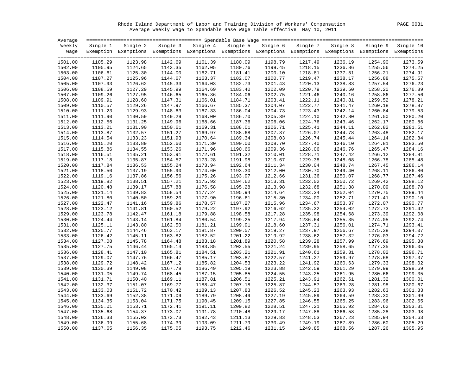Rhode Island Department of Labor and Training Division of Workers' Compensation PAGE 0031 Average Weekly Wage to Spendable Base Wage Table Effective May 10, 2011

| Average |          |                                                                                                                   |         |                   |         |                   |          |          |          |           |
|---------|----------|-------------------------------------------------------------------------------------------------------------------|---------|-------------------|---------|-------------------|----------|----------|----------|-----------|
| Weekly  | Single 1 | Single 2                                                                                                          |         | Single 3 Single 4 |         | Single 5 Single 6 | Single 7 | Single 8 | Single 9 | Single 10 |
|         |          | Wage Exemption Exemptions Exemptions Exemptions Exemptions Exemptions Exemptions Exemptions Exemptions Exemptions |         |                   |         |                   |          |          |          |           |
|         |          |                                                                                                                   |         |                   |         |                   |          |          |          |           |
| 1501.00 | 1105.29  | 1123.98                                                                                                           | 1142.69 | 1161.39           | 1180.09 | 1198.79           | 1217.49  | 1236.19  | 1254.90  | 1273.59   |
| 1502.00 | 1105.95  | 1124.65                                                                                                           | 1143.35 | 1162.05           | 1180.76 | 1199.45           | 1218.15  | 1236.86  | 1255.56  | 1274.25   |
| 1503.00 | 1106.61  | 1125.30                                                                                                           | 1144.00 | 1162.71           | 1181.41 | 1200.10           | 1218.81  | 1237.51  | 1256.21  | 1274.91   |
| 1504.00 | 1107.27  | 1125.96                                                                                                           | 1144.67 | 1163.37           | 1182.07 | 1200.77           | 1219.47  | 1238.17  | 1256.88  | 1275.57   |
| 1505.00 | 1107.93  | 1126.62                                                                                                           | 1145.33 | 1164.03           | 1182.73 | 1201.43           | 1220.13  | 1238.83  | 1257.54  | 1276.23   |
| 1506.00 | 1108.59  | 1127.29                                                                                                           | 1145.99 | 1164.69           | 1183.40 | 1202.09           | 1220.79  | 1239.50  | 1258.20  | 1276.89   |
| 1507.00 | 1109.26  | 1127.95                                                                                                           | 1146.65 | 1165.36           | 1184.06 | 1202.75           | 1221.46  | 1240.16  | 1258.86  | 1277.56   |
| 1508.00 | 1109.91  | 1128.60                                                                                                           | 1147.31 | 1166.01           | 1184.71 | 1203.41           | 1222.11  | 1240.81  | 1259.52  | 1278.21   |
| 1509.00 | 1110.57  | 1129.26                                                                                                           | 1147.97 | 1166.67           | 1185.37 | 1204.07           | 1222.77  | 1241.47  | 1260.18  | 1278.87   |
| 1510.00 | 1111.23  | 1129.93                                                                                                           | 1148.63 | 1167.33           | 1186.04 | 1204.73           | 1223.43  | 1242.14  | 1260.84  | 1279.53   |
| 1511.00 | 1111.90  | 1130.59                                                                                                           | 1149.29 | 1168.00           | 1186.70 | 1205.39           | 1224.10  | 1242.80  | 1261.50  | 1280.20   |
| 1512.00 | 1112.56  | 1131.25                                                                                                           | 1149.96 | 1168.66           | 1187.36 | 1206.06           | 1224.76  | 1243.46  | 1262.17  | 1280.86   |
| 1513.00 | 1113.21  | 1131.90                                                                                                           | 1150.61 | 1169.31           | 1188.01 | 1206.71           | 1225.41  | 1244.11  | 1262.82  | 1281.51   |
| 1514.00 | 1113.87  | 1132.57                                                                                                           | 1151.27 | 1169.97           | 1188.68 | 1207.37           | 1226.07  | 1244.78  | 1263.48  | 1282.17   |
| 1515.00 | 1114.54  | 1133.23                                                                                                           | 1151.93 | 1170.64           | 1189.34 | 1208.03           | 1226.74  | 1245.44  | 1264.14  | 1282.84   |
| 1516.00 | 1115.20  | 1133.89                                                                                                           | 1152.60 | 1171.30           | 1190.00 | 1208.70           | 1227.40  | 1246.10  | 1264.81  | 1283.50   |
| 1517.00 | 1115.86  | 1134.55                                                                                                           | 1153.26 | 1171.96           | 1190.66 | 1209.36           | 1228.06  | 1246.76  | 1265.47  | 1284.16   |
| 1518.00 | 1116.51  | 1135.21                                                                                                           | 1153.91 | 1172.61           | 1191.32 | 1210.01           | 1228.71  | 1247.42  | 1266.12  | 1284.81   |
| 1519.00 | 1117.18  | 1135.87                                                                                                           | 1154.57 | 1173.28           | 1191.98 | 1210.67           | 1229.38  | 1248.08  | 1266.78  | 1285.48   |
| 1520.00 | 1117.84  | 1136.53                                                                                                           | 1155.24 | 1173.94           | 1192.64 | 1211.34           | 1230.04  | 1248.74  | 1267.45  | 1286.14   |
| 1521.00 | 1118.50  | 1137.19                                                                                                           | 1155.90 | 1174.60           | 1193.30 | 1212.00           | 1230.70  | 1249.40  | 1268.11  | 1286.80   |
| 1522.00 | 1119.16  | 1137.86                                                                                                           | 1156.56 | 1175.26           | 1193.97 | 1212.66           | 1231.36  | 1250.07  | 1268.77  | 1287.46   |
| 1523.00 | 1119.82  | 1138.51                                                                                                           | 1157.21 | 1175.92           | 1194.62 | 1213.31           | 1232.02  | 1250.72  | 1269.42  | 1288.12   |
|         |          |                                                                                                                   |         |                   |         |                   | 1232.68  |          |          | 1288.78   |
| 1524.00 | 1120.48  | 1139.17                                                                                                           | 1157.88 | 1176.58           | 1195.28 | 1213.98           |          | 1251.38  | 1270.09  |           |
| 1525.00 | 1121.14  | 1139.83                                                                                                           | 1158.54 | 1177.24           | 1195.94 | 1214.64           | 1233.34  | 1252.04  | 1270.75  | 1289.44   |
| 1526.00 | 1121.80  | 1140.50                                                                                                           | 1159.20 | 1177.90           | 1196.61 | 1215.30           | 1234.00  | 1252.71  | 1271.41  | 1290.10   |
| 1527.00 | 1122.47  | 1141.16                                                                                                           | 1159.86 | 1178.57           | 1197.27 | 1215.96           | 1234.67  | 1253.37  | 1272.07  | 1290.77   |
| 1528.00 | 1123.12  | 1141.81                                                                                                           | 1160.52 | 1179.22           | 1197.92 | 1216.62           | 1235.32  | 1254.02  | 1272.73  | 1291.42   |
| 1529.00 | 1123.78  | 1142.47                                                                                                           | 1161.18 | 1179.88           | 1198.58 | 1217.28           | 1235.98  | 1254.68  | 1273.39  | 1292.08   |
| 1530.00 | 1124.44  | 1143.14                                                                                                           | 1161.84 | 1180.54           | 1199.25 | 1217.94           | 1236.64  | 1255.35  | 1274.05  | 1292.74   |
| 1531.00 | 1125.11  | 1143.80                                                                                                           | 1162.50 | 1181.21           | 1199.91 | 1218.60           | 1237.31  | 1256.01  | 1274.71  | 1293.41   |
| 1532.00 | 1125.77  | 1144.46                                                                                                           | 1163.17 | 1181.87           | 1200.57 | 1219.27           | 1237.97  | 1256.67  | 1275.38  | 1294.07   |
| 1533.00 | 1126.42  | 1145.11                                                                                                           | 1163.82 | 1182.52           | 1201.22 | 1219.92           | 1238.62  | 1257.32  | 1276.03  | 1294.72   |
| 1534.00 | 1127.08  | 1145.78                                                                                                           | 1164.48 | 1183.18           | 1201.89 | 1220.58           | 1239.28  | 1257.99  | 1276.69  | 1295.38   |
| 1535.00 | 1127.75  | 1146.44                                                                                                           | 1165.14 | 1183.85           | 1202.55 | 1221.24           | 1239.95  | 1258.65  | 1277.35  | 1296.05   |
| 1536.00 | 1128.41  | 1147.10                                                                                                           | 1165.81 | 1184.51           | 1203.21 | 1221.91           | 1240.61  | 1259.31  | 1278.02  | 1296.71   |
| 1537.00 | 1129.07  | 1147.76                                                                                                           | 1166.47 | 1185.17           | 1203.87 | 1222.57           | 1241.27  | 1259.97  | 1278.68  | 1297.37   |
| 1538.00 | 1129.72  | 1148.42                                                                                                           | 1167.12 | 1185.82           | 1204.53 | 1223.22           | 1241.92  | 1260.63  | 1279.33  | 1298.02   |
| 1539.00 | 1130.39  | 1149.08                                                                                                           | 1167.78 | 1186.49           | 1205.19 | 1223.88           | 1242.59  | 1261.29  | 1279.99  | 1298.69   |
| 1540.00 | 1131.05  | 1149.74                                                                                                           | 1168.45 | 1187.15           | 1205.85 | 1224.55           | 1243.25  | 1261.95  | 1280.66  | 1299.35   |
| 1541.00 | 1131.71  | 1150.40                                                                                                           | 1169.11 | 1187.81           | 1206.51 | 1225.21           | 1243.91  | 1262.61  | 1281.32  | 1300.01   |
| 1542.00 | 1132.37  | 1151.07                                                                                                           | 1169.77 | 1188.47           | 1207.18 | 1225.87           | 1244.57  | 1263.28  | 1281.98  | 1300.67   |
| 1543.00 | 1133.03  | 1151.72                                                                                                           | 1170.42 | 1189.13           | 1207.83 | 1226.52           | 1245.23  | 1263.93  | 1282.63  | 1301.33   |
| 1544.00 | 1133.69  | 1152.38                                                                                                           | 1171.09 | 1189.79           | 1208.49 | 1227.19           | 1245.89  | 1264.59  | 1283.30  | 1301.99   |
| 1545.00 | 1134.35  | 1153.04                                                                                                           | 1171.75 | 1190.45           | 1209.15 | 1227.85           | 1246.55  | 1265.25  | 1283.96  | 1302.65   |
| 1546.00 | 1135.01  | 1153.71                                                                                                           | 1172.41 | 1191.11           | 1209.82 | 1228.51           | 1247.21  | 1265.92  | 1284.62  | 1303.31   |
| 1547.00 | 1135.68  | 1154.37                                                                                                           | 1173.07 | 1191.78           | 1210.48 | 1229.17           | 1247.88  | 1266.58  | 1285.28  | 1303.98   |
| 1548.00 | 1136.33  | 1155.02                                                                                                           | 1173.73 | 1192.43           | 1211.13 | 1229.83           | 1248.53  | 1267.23  | 1285.94  | 1304.63   |
| 1549.00 | 1136.99  | 1155.68                                                                                                           | 1174.39 | 1193.09           | 1211.79 | 1230.49           | 1249.19  | 1267.89  | 1286.60  | 1305.29   |
| 1550.00 | 1137.65  | 1156.35                                                                                                           | 1175.05 | 1193.75           | 1212.46 | 1231.15           | 1249.85  | 1268.56  | 1287.26  | 1305.95   |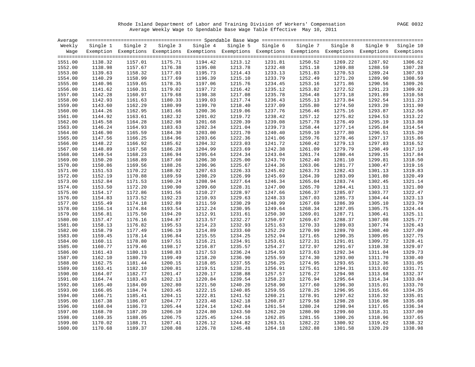Rhode Island Department of Labor and Training Division of Workers' Compensation PAGE 0032 Average Weekly Wage to Spendable Base Wage Table Effective May 10, 2011

| Average |          |          |         |                                                                                                                   |         |                   |          |          |          |           |
|---------|----------|----------|---------|-------------------------------------------------------------------------------------------------------------------|---------|-------------------|----------|----------|----------|-----------|
| Weekly  | Single 1 | Single 2 |         | Single 3 Single 4                                                                                                 |         | Single 5 Single 6 | Single 7 | Single 8 | Single 9 | Single 10 |
|         |          |          |         | Wage Exemption Exemptions Exemptions Exemptions Exemptions Exemptions Exemptions Exemptions Exemptions Exemptions |         |                   |          |          |          |           |
|         |          |          |         |                                                                                                                   |         |                   |          |          |          |           |
| 1551.00 | 1138.32  | 1157.01  | 1175.71 | 1194.42                                                                                                           | 1213.12 | 1231.81           | 1250.52  | 1269.22  | 1287.92  | 1306.62   |
| 1552.00 | 1138.98  | 1157.67  | 1176.38 | 1195.08                                                                                                           | 1213.78 | 1232.48           | 1251.18  | 1269.88  | 1288.59  | 1307.28   |
| 1553.00 | 1139.63  | 1158.32  | 1177.03 | 1195.73                                                                                                           | 1214.43 | 1233.13           | 1251.83  | 1270.53  | 1289.24  | 1307.93   |
| 1554.00 | 1140.29  | 1158.99  | 1177.69 | 1196.39                                                                                                           | 1215.10 | 1233.79           | 1252.49  | 1271.20  | 1289.90  | 1308.59   |
| 1555.00 | 1140.96  | 1159.65  | 1178.35 | 1197.06                                                                                                           | 1215.76 | 1234.45           | 1253.16  | 1271.86  | 1290.56  | 1309.26   |
| 1556.00 | 1141.62  | 1160.31  | 1179.02 | 1197.72                                                                                                           | 1216.42 | 1235.12           | 1253.82  | 1272.52  | 1291.23  | 1309.92   |
| 1557.00 | 1142.28  | 1160.97  | 1179.68 | 1198.38                                                                                                           | 1217.08 | 1235.78           | 1254.48  | 1273.18  | 1291.89  | 1310.58   |
| 1558.00 | 1142.93  | 1161.63  | 1180.33 | 1199.03                                                                                                           | 1217.74 | 1236.43           | 1255.13  | 1273.84  | 1292.54  | 1311.23   |
| 1559.00 | 1143.60  | 1162.29  | 1180.99 | 1199.70                                                                                                           | 1218.40 | 1237.09           | 1255.80  | 1274.50  | 1293.20  | 1311.90   |
| 1560.00 | 1144.26  | 1162.95  | 1181.66 | 1200.36                                                                                                           | 1219.06 | 1237.76           | 1256.46  | 1275.16  | 1293.87  | 1312.56   |
| 1561.00 | 1144.92  | 1163.61  | 1182.32 | 1201.02                                                                                                           | 1219.72 | 1238.42           | 1257.12  | 1275.82  | 1294.53  | 1313.22   |
| 1562.00 | 1145.58  | 1164.28  | 1182.98 | 1201.68                                                                                                           | 1220.39 | 1239.08           | 1257.78  | 1276.49  | 1295.19  | 1313.88   |
| 1563.00 | 1146.24  | 1164.93  | 1183.63 | 1202.34                                                                                                           | 1221.04 | 1239.73           | 1258.44  | 1277.14  | 1295.84  | 1314.54   |
| 1564.00 | 1146.90  | 1165.59  | 1184.30 | 1203.00                                                                                                           | 1221.70 | 1240.40           | 1259.10  | 1277.80  | 1296.51  | 1315.20   |
| 1565.00 | 1147.56  | 1166.25  | 1184.96 | 1203.66                                                                                                           | 1222.36 | 1241.06           | 1259.76  | 1278.46  | 1297.17  | 1315.86   |
| 1566.00 | 1148.22  | 1166.92  | 1185.62 | 1204.32                                                                                                           | 1223.03 | 1241.72           | 1260.42  | 1279.13  | 1297.83  | 1316.52   |
| 1567.00 | 1148.89  | 1167.58  | 1186.28 | 1204.99                                                                                                           | 1223.69 | 1242.38           | 1261.09  | 1279.79  | 1298.49  | 1317.19   |
| 1568.00 | 1149.54  | 1168.23  | 1186.94 | 1205.64                                                                                                           | 1224.34 | 1243.04           | 1261.74  | 1280.44  | 1299.15  | 1317.84   |
| 1569.00 | 1150.20  | 1168.89  | 1187.60 | 1206.30                                                                                                           | 1225.00 | 1243.70           | 1262.40  | 1281.10  | 1299.81  | 1318.50   |
| 1570.00 | 1150.86  | 1169.56  | 1188.26 | 1206.96                                                                                                           | 1225.67 | 1244.36           | 1263.06  | 1281.77  | 1300.47  | 1319.16   |
| 1571.00 | 1151.53  | 1170.22  | 1188.92 | 1207.63                                                                                                           | 1226.33 | 1245.02           | 1263.73  | 1282.43  | 1301.13  | 1319.83   |
| 1572.00 | 1152.19  | 1170.88  | 1189.59 | 1208.29                                                                                                           | 1226.99 | 1245.69           | 1264.39  | 1283.09  | 1301.80  | 1320.49   |
| 1573.00 | 1152.84  | 1171.53  | 1190.24 | 1208.94                                                                                                           | 1227.64 | 1246.34           | 1265.04  | 1283.74  | 1302.45  | 1321.14   |
| 1574.00 | 1153.50  | 1172.20  | 1190.90 | 1209.60                                                                                                           | 1228.31 | 1247.00           | 1265.70  | 1284.41  | 1303.11  | 1321.80   |
| 1575.00 | 1154.17  | 1172.86  | 1191.56 | 1210.27                                                                                                           | 1228.97 | 1247.66           | 1266.37  | 1285.07  | 1303.77  | 1322.47   |
| 1576.00 | 1154.83  | 1173.52  | 1192.23 | 1210.93                                                                                                           | 1229.63 | 1248.33           | 1267.03  | 1285.73  | 1304.44  | 1323.13   |
| 1577.00 | 1155.49  | 1174.18  | 1192.89 | 1211.59                                                                                                           | 1230.29 | 1248.99           | 1267.69  | 1286.39  | 1305.10  | 1323.79   |
| 1578.00 | 1156.14  | 1174.84  | 1193.54 | 1212.24                                                                                                           | 1230.95 | 1249.64           | 1268.34  | 1287.05  | 1305.75  | 1324.44   |
| 1579.00 | 1156.81  | 1175.50  | 1194.20 | 1212.91                                                                                                           | 1231.61 | 1250.30           | 1269.01  | 1287.71  | 1306.41  | 1325.11   |
| 1580.00 | 1157.47  | 1176.16  | 1194.87 | 1213.57                                                                                                           | 1232.27 | 1250.97           | 1269.67  | 1288.37  | 1307.08  | 1325.77   |
| 1581.00 | 1158.13  | 1176.82  | 1195.53 | 1214.23                                                                                                           | 1232.93 | 1251.63           | 1270.33  | 1289.03  | 1307.74  | 1326.43   |
| 1582.00 | 1158.79  | 1177.49  | 1196.19 | 1214.89                                                                                                           | 1233.60 | 1252.29           | 1270.99  | 1289.70  | 1308.40  | 1327.09   |
| 1583.00 | 1159.45  | 1178.14  | 1196.84 | 1215.55                                                                                                           | 1234.25 | 1252.94           | 1271.65  | 1290.35  | 1309.05  | 1327.75   |
| 1584.00 | 1160.11  | 1178.80  | 1197.51 | 1216.21                                                                                                           | 1234.91 | 1253.61           | 1272.31  | 1291.01  | 1309.72  | 1328.41   |
| 1585.00 | 1160.77  | 1179.46  | 1198.17 | 1216.87                                                                                                           | 1235.57 | 1254.27           | 1272.97  | 1291.67  | 1310.38  | 1329.07   |
| 1586.00 | 1161.43  | 1180.13  | 1198.83 | 1217.53                                                                                                           | 1236.24 | 1254.93           | 1273.63  | 1292.34  | 1311.04  | 1329.73   |
| 1587.00 | 1162.10  | 1180.79  | 1199.49 | 1218.20                                                                                                           | 1236.90 | 1255.59           | 1274.30  | 1293.00  | 1311.70  | 1330.40   |
| 1588.00 | 1162.75  | 1181.44  | 1200.15 | 1218.85                                                                                                           | 1237.55 | 1256.25           | 1274.95  | 1293.65  | 1312.36  | 1331.05   |
| 1589.00 | 1163.41  | 1182.10  | 1200.81 | 1219.51                                                                                                           | 1238.21 | 1256.91           | 1275.61  | 1294.31  | 1313.02  | 1331.71   |
| 1590.00 | 1164.07  | 1182.77  | 1201.47 | 1220.17                                                                                                           | 1238.88 | 1257.57           | 1276.27  | 1294.98  | 1313.68  | 1332.37   |
| 1591.00 | 1164.74  | 1183.43  | 1202.13 | 1220.84                                                                                                           | 1239.54 | 1258.23           | 1276.94  | 1295.64  | 1314.34  | 1333.04   |
| 1592.00 | 1165.40  | 1184.09  | 1202.80 | 1221.50                                                                                                           | 1240.20 | 1258.90           | 1277.60  | 1296.30  | 1315.01  | 1333.70   |
| 1593.00 | 1166.05  | 1184.74  | 1203.45 | 1222.15                                                                                                           | 1240.85 | 1259.55           | 1278.25  | 1296.95  | 1315.66  | 1334.35   |
| 1594.00 | 1166.71  | 1185.41  | 1204.11 | 1222.81                                                                                                           | 1241.52 | 1260.21           | 1278.91  | 1297.62  | 1316.32  | 1335.01   |
| 1595.00 | 1167.38  | 1186.07  | 1204.77 | 1223.48                                                                                                           | 1242.18 | 1260.87           | 1279.58  | 1298.28  | 1316.98  | 1335.68   |
| 1596.00 | 1168.04  | 1186.73  | 1205.44 | 1224.14                                                                                                           | 1242.84 | 1261.54           | 1280.24  | 1298.94  | 1317.65  | 1336.34   |
| 1597.00 | 1168.70  | 1187.39  | 1206.10 | 1224.80                                                                                                           | 1243.50 | 1262.20           | 1280.90  | 1299.60  | 1318.31  | 1337.00   |
| 1598.00 | 1169.35  | 1188.05  | 1206.75 | 1225.45                                                                                                           | 1244.16 | 1262.85           | 1281.55  | 1300.26  | 1318.96  | 1337.65   |
| 1599.00 | 1170.02  | 1188.71  | 1207.41 | 1226.12                                                                                                           | 1244.82 | 1263.51           | 1282.22  | 1300.92  | 1319.62  | 1338.32   |
| 1600.00 | 1170.68  | 1189.37  | 1208.08 | 1226.78                                                                                                           | 1245.48 | 1264.18           | 1282.88  | 1301.58  | 1320.29  | 1338.98   |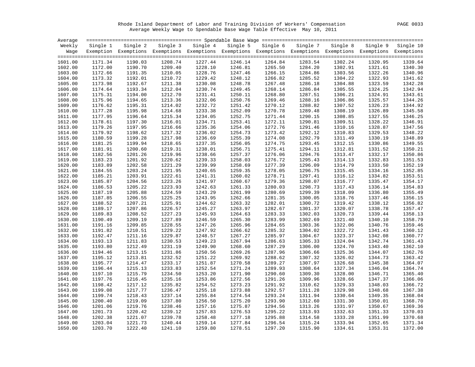Rhode Island Department of Labor and Training Division of Workers' Compensation PAGE 0033 Average Weekly Wage to Spendable Base Wage Table Effective May 10, 2011

| Average |          |                                                                                                                   |         |                   |         |                   |          |          |          |           |
|---------|----------|-------------------------------------------------------------------------------------------------------------------|---------|-------------------|---------|-------------------|----------|----------|----------|-----------|
| Weekly  | Single 1 | Single 2                                                                                                          |         | Single 3 Single 4 |         | Single 5 Single 6 | Single 7 | Single 8 | Single 9 | Single 10 |
|         |          | Wage Exemption Exemptions Exemptions Exemptions Exemptions Exemptions Exemptions Exemptions Exemptions Exemptions |         |                   |         |                   |          |          |          |           |
|         |          |                                                                                                                   |         |                   |         |                   |          |          |          |           |
| 1601.00 | 1171.34  | 1190.03                                                                                                           | 1208.74 | 1227.44           | 1246.14 | 1264.84           | 1283.54  | 1302.24  | 1320.95  | 1339.64   |
| 1602.00 | 1172.00  | 1190.70                                                                                                           | 1209.40 | 1228.10           | 1246.81 | 1265.50           | 1284.20  | 1302.91  | 1321.61  | 1340.30   |
| 1603.00 | 1172.66  | 1191.35                                                                                                           | 1210.05 | 1228.76           | 1247.46 | 1266.15           | 1284.86  | 1303.56  | 1322.26  | 1340.96   |
| 1604.00 | 1173.32  | 1192.01                                                                                                           | 1210.72 | 1229.42           | 1248.12 | 1266.82           | 1285.52  | 1304.22  | 1322.93  | 1341.62   |
| 1605.00 | 1173.98  | 1192.67                                                                                                           | 1211.38 | 1230.08           | 1248.78 | 1267.48           | 1286.18  | 1304.88  | 1323.59  | 1342.28   |
| 1606.00 | 1174.64  | 1193.34                                                                                                           | 1212.04 | 1230.74           | 1249.45 | 1268.14           | 1286.84  | 1305.55  | 1324.25  | 1342.94   |
| 1607.00 | 1175.31  | 1194.00                                                                                                           | 1212.70 | 1231.41           | 1250.11 | 1268.80           | 1287.51  | 1306.21  | 1324.91  | 1343.61   |
| 1608.00 | 1175.96  | 1194.65                                                                                                           | 1213.36 | 1232.06           | 1250.76 | 1269.46           | 1288.16  | 1306.86  | 1325.57  | 1344.26   |
| 1609.00 | 1176.62  | 1195.31                                                                                                           | 1214.02 | 1232.72           | 1251.42 | 1270.12           | 1288.82  | 1307.52  | 1326.23  | 1344.92   |
| 1610.00 | 1177.28  | 1195.98                                                                                                           | 1214.68 | 1233.38           | 1252.09 | 1270.78           | 1289.48  | 1308.19  | 1326.89  | 1345.58   |
| 1611.00 | 1177.95  | 1196.64                                                                                                           | 1215.34 | 1234.05           | 1252.75 | 1271.44           | 1290.15  | 1308.85  | 1327.55  | 1346.25   |
| 1612.00 | 1178.61  | 1197.30                                                                                                           | 1216.01 | 1234.71           | 1253.41 | 1272.11           | 1290.81  | 1309.51  | 1328.22  | 1346.91   |
| 1613.00 | 1179.26  | 1197.95                                                                                                           | 1216.66 | 1235.36           | 1254.06 | 1272.76           | 1291.46  | 1310.16  | 1328.87  | 1347.56   |
| 1614.00 | 1179.92  | 1198.62                                                                                                           | 1217.32 | 1236.02           | 1254.73 | 1273.42           | 1292.12  | 1310.83  | 1329.53  | 1348.22   |
| 1615.00 | 1180.59  | 1199.28                                                                                                           | 1217.98 | 1236.69           | 1255.39 | 1274.08           | 1292.79  | 1311.49  | 1330.19  | 1348.89   |
| 1616.00 | 1181.25  | 1199.94                                                                                                           | 1218.65 | 1237.35           | 1256.05 | 1274.75           | 1293.45  | 1312.15  | 1330.86  | 1349.55   |
| 1617.00 | 1181.91  | 1200.60                                                                                                           | 1219.31 | 1238.01           | 1256.71 | 1275.41           | 1294.11  | 1312.81  | 1331.52  | 1350.21   |
| 1618.00 | 1182.56  | 1201.26                                                                                                           | 1219.96 | 1238.66           | 1257.37 | 1276.06           | 1294.76  | 1313.47  | 1332.17  | 1350.86   |
| 1619.00 | 1183.23  | 1201.92                                                                                                           | 1220.62 | 1239.33           | 1258.03 | 1276.72           | 1295.43  | 1314.13  | 1332.83  | 1351.53   |
| 1620.00 | 1183.89  | 1202.58                                                                                                           | 1221.29 | 1239.99           | 1258.69 | 1277.39           | 1296.09  | 1314.79  | 1333.50  | 1352.19   |
| 1621.00 | 1184.55  | 1203.24                                                                                                           | 1221.95 | 1240.65           | 1259.35 | 1278.05           | 1296.75  | 1315.45  | 1334.16  | 1352.85   |
| 1622.00 | 1185.21  | 1203.91                                                                                                           | 1222.61 | 1241.31           | 1260.02 | 1278.71           | 1297.41  | 1316.12  | 1334.82  | 1353.51   |
|         | 1185.87  | 1204.56                                                                                                           | 1223.26 | 1241.97           | 1260.67 | 1279.36           | 1298.07  | 1316.77  |          | 1354.17   |
| 1623.00 |          |                                                                                                                   |         |                   |         |                   |          |          | 1335.47  |           |
| 1624.00 | 1186.53  | 1205.22                                                                                                           | 1223.93 | 1242.63           | 1261.33 | 1280.03           | 1298.73  | 1317.43  | 1336.14  | 1354.83   |
| 1625.00 | 1187.19  | 1205.88                                                                                                           | 1224.59 | 1243.29           | 1261.99 | 1280.69           | 1299.39  | 1318.09  | 1336.80  | 1355.49   |
| 1626.00 | 1187.85  | 1206.55                                                                                                           | 1225.25 | 1243.95           | 1262.66 | 1281.35           | 1300.05  | 1318.76  | 1337.46  | 1356.15   |
| 1627.00 | 1188.52  | 1207.21                                                                                                           | 1225.91 | 1244.62           | 1263.32 | 1282.01           | 1300.72  | 1319.42  | 1338.12  | 1356.82   |
| 1628.00 | 1189.17  | 1207.86                                                                                                           | 1226.57 | 1245.27           | 1263.97 | 1282.67           | 1301.37  | 1320.07  | 1338.78  | 1357.47   |
| 1629.00 | 1189.83  | 1208.52                                                                                                           | 1227.23 | 1245.93           | 1264.63 | 1283.33           | 1302.03  | 1320.73  | 1339.44  | 1358.13   |
| 1630.00 | 1190.49  | 1209.19                                                                                                           | 1227.89 | 1246.59           | 1265.30 | 1283.99           | 1302.69  | 1321.40  | 1340.10  | 1358.79   |
| 1631.00 | 1191.16  | 1209.85                                                                                                           | 1228.55 | 1247.26           | 1265.96 | 1284.65           | 1303.36  | 1322.06  | 1340.76  | 1359.46   |
| 1632.00 | 1191.82  | 1210.51                                                                                                           | 1229.22 | 1247.92           | 1266.62 | 1285.32           | 1304.02  | 1322.72  | 1341.43  | 1360.12   |
| 1633.00 | 1192.47  | 1211.16                                                                                                           | 1229.87 | 1248.57           | 1267.27 | 1285.97           | 1304.67  | 1323.37  | 1342.08  | 1360.77   |
| 1634.00 | 1193.13  | 1211.83                                                                                                           | 1230.53 | 1249.23           | 1267.94 | 1286.63           | 1305.33  | 1324.04  | 1342.74  | 1361.43   |
| 1635.00 | 1193.80  | 1212.49                                                                                                           | 1231.19 | 1249.90           | 1268.60 | 1287.29           | 1306.00  | 1324.70  | 1343.40  | 1362.10   |
| 1636.00 | 1194.46  | 1213.15                                                                                                           | 1231.86 | 1250.56           | 1269.26 | 1287.96           | 1306.66  | 1325.36  | 1344.07  | 1362.76   |
| 1637.00 | 1195.12  | 1213.81                                                                                                           | 1232.52 | 1251.22           | 1269.92 | 1288.62           | 1307.32  | 1326.02  | 1344.73  | 1363.42   |
| 1638.00 | 1195.77  | 1214.47                                                                                                           | 1233.17 | 1251.87           | 1270.58 | 1289.27           | 1307.97  | 1326.68  | 1345.38  | 1364.07   |
| 1639.00 | 1196.44  | 1215.13                                                                                                           | 1233.83 | 1252.54           | 1271.24 | 1289.93           | 1308.64  | 1327.34  | 1346.04  | 1364.74   |
| 1640.00 | 1197.10  | 1215.79                                                                                                           | 1234.50 | 1253.20           | 1271.90 | 1290.60           | 1309.30  | 1328.00  | 1346.71  | 1365.40   |
| 1641.00 | 1197.76  | 1216.45                                                                                                           | 1235.16 | 1253.86           | 1272.56 | 1291.26           | 1309.96  | 1328.66  | 1347.37  | 1366.06   |
| 1642.00 | 1198.42  | 1217.12                                                                                                           | 1235.82 | 1254.52           | 1273.23 | 1291.92           | 1310.62  | 1329.33  | 1348.03  | 1366.72   |
| 1643.00 | 1199.08  | 1217.77                                                                                                           | 1236.47 | 1255.18           | 1273.88 | 1292.57           | 1311.28  | 1329.98  | 1348.68  | 1367.38   |
| 1644.00 | 1199.74  | 1218.43                                                                                                           | 1237.14 | 1255.84           | 1274.54 | 1293.24           | 1311.94  | 1330.64  | 1349.35  | 1368.04   |
| 1645.00 | 1200.40  | 1219.09                                                                                                           | 1237.80 | 1256.50           | 1275.20 | 1293.90           | 1312.60  | 1331.30  | 1350.01  | 1368.70   |
| 1646.00 | 1201.06  | 1219.76                                                                                                           | 1238.46 | 1257.16           | 1275.87 | 1294.56           | 1313.26  | 1331.97  | 1350.67  | 1369.36   |
| 1647.00 | 1201.73  | 1220.42                                                                                                           | 1239.12 | 1257.83           | 1276.53 | 1295.22           | 1313.93  | 1332.63  | 1351.33  | 1370.03   |
| 1648.00 | 1202.38  | 1221.07                                                                                                           | 1239.78 | 1258.48           | 1277.18 | 1295.88           | 1314.58  | 1333.28  | 1351.99  | 1370.68   |
| 1649.00 | 1203.04  | 1221.73                                                                                                           | 1240.44 | 1259.14           | 1277.84 | 1296.54           | 1315.24  | 1333.94  | 1352.65  | 1371.34   |
| 1650.00 | 1203.70  | 1222.40                                                                                                           | 1241.10 | 1259.80           | 1278.51 | 1297.20           | 1315.90  | 1334.61  | 1353.31  | 1372.00   |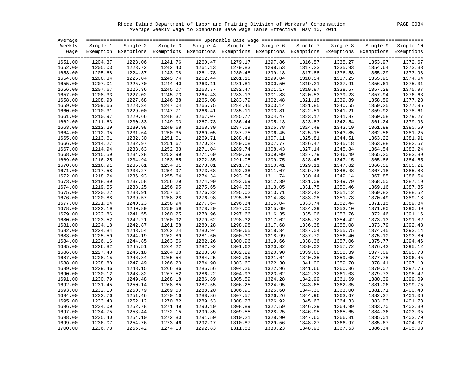Rhode Island Department of Labor and Training Division of Workers' Compensation PAGE 0034 Average Weekly Wage to Spendable Base Wage Table Effective May 10, 2011

| Average            |                    |                                                                                                              |                    |                    |                    |                    |                    |                    |                    |                    |
|--------------------|--------------------|--------------------------------------------------------------------------------------------------------------|--------------------|--------------------|--------------------|--------------------|--------------------|--------------------|--------------------|--------------------|
| Weekly             | Single 1           | Single 2                                                                                                     | Single 3           | Single 4           |                    | Single 5 Single 6  | Single 7           | Single 8           | Single 9           | Single 10          |
| Waqe               |                    | Exemption Exemptions Exemptions Exemptions Exemptions Exemptions Exemptions Exemptions Exemptions Exemptions |                    |                    |                    |                    |                    |                    |                    |                    |
|                    |                    |                                                                                                              |                    |                    |                    |                    |                    |                    |                    |                    |
| 1651.00            | 1204.37            | 1223.06                                                                                                      | 1241.76            | 1260.47            | 1279.17            | 1297.86            | 1316.57            | 1335.27            | 1353.97            | 1372.67            |
| 1652.00            | 1205.03            | 1223.72                                                                                                      | 1242.43            | 1261.13            | 1279.83            | 1298.53            | 1317.23            | 1335.93            | 1354.64            | 1373.33            |
| 1653.00            | 1205.68            | 1224.37                                                                                                      | 1243.08            | 1261.78            | 1280.48            | 1299.18            | 1317.88            | 1336.58            | 1355.29            | 1373.98            |
| 1654.00            | 1206.34            | 1225.04                                                                                                      | 1243.74            | 1262.44            | 1281.15            | 1299.84            | 1318.54            | 1337.25            | 1355.95            | 1374.64            |
| 1655.00            | 1207.01            | 1225.70                                                                                                      | 1244.40            | 1263.11            | 1281.81            | 1300.50            | 1319.21            | 1337.91            | 1356.61            | 1375.31            |
| 1656.00            | 1207.67            | 1226.36                                                                                                      | 1245.07            | 1263.77            | 1282.47            | 1301.17            | 1319.87            | 1338.57            | 1357.28            | 1375.97            |
| 1657.00            | 1208.33            | 1227.02                                                                                                      | 1245.73            | 1264.43            | 1283.13            | 1301.83            | 1320.53            | 1339.23            | 1357.94            | 1376.63            |
| 1658.00            | 1208.98            | 1227.68                                                                                                      | 1246.38            | 1265.08            | 1283.79            | 1302.48            | 1321.18            | 1339.89            | 1358.59            | 1377.28            |
| 1659.00            | 1209.65            | 1228.34                                                                                                      | 1247.04            | 1265.75            | 1284.45            | 1303.14            | 1321.85            | 1340.55            | 1359.25            | 1377.95            |
| 1660.00            | 1210.31            | 1229.00                                                                                                      | 1247.71            | 1266.41            | 1285.11            | 1303.81            | 1322.51            | 1341.21            | 1359.92            | 1378.61            |
| 1661.00            | 1210.97            | 1229.66                                                                                                      | 1248.37            | 1267.07            | 1285.77            | 1304.47            | 1323.17            | 1341.87            | 1360.58            | 1379.27            |
| 1662.00            | 1211.63            | 1230.33                                                                                                      | 1249.03            | 1267.73            | 1286.44            | 1305.13            | 1323.83            | 1342.54            | 1361.24            | 1379.93            |
| 1663.00            | 1212.29            | 1230.98                                                                                                      | 1249.68            | 1268.39            | 1287.09            | 1305.78            | 1324.49            | 1343.19            | 1361.89            | 1380.59            |
| 1664.00            | 1212.95            | 1231.64                                                                                                      | 1250.35            | 1269.05            | 1287.75            | 1306.45            | 1325.15            | 1343.85            | 1362.56            | 1381.25            |
| 1665.00            | 1213.61            | 1232.30                                                                                                      | 1251.01            | 1269.71            | 1288.41            | 1307.11            | 1325.81            | 1344.51            | 1363.22            | 1381.91            |
| 1666.00            | 1214.27            | 1232.97                                                                                                      | 1251.67            | 1270.37            | 1289.08            | 1307.77            | 1326.47            | 1345.18            | 1363.88            | 1382.57            |
| 1667.00            | 1214.94            | 1233.63                                                                                                      | 1252.33            | 1271.04            | 1289.74            | 1308.43            | 1327.14            | 1345.84            | 1364.54            | 1383.24            |
| 1668.00            | 1215.59            | 1234.28                                                                                                      | 1252.99            | 1271.69            | 1290.39            | 1309.09            | 1327.79            | 1346.49            | 1365.20            | 1383.89            |
| 1669.00            | 1216.25            | 1234.94                                                                                                      | 1253.65            | 1272.35            | 1291.05            | 1309.75            | 1328.45            | 1347.15            | 1365.86            | 1384.55            |
| 1670.00            | 1216.91            | 1235.61                                                                                                      | 1254.31            | 1273.01            | 1291.72            | 1310.41            | 1329.11            | 1347.82            | 1366.52            | 1385.21            |
| 1671.00            | 1217.58            | 1236.27                                                                                                      | 1254.97            | 1273.68            | 1292.38            | 1311.07            | 1329.78            | 1348.48            | 1367.18            | 1385.88            |
| 1672.00            | 1218.24            | 1236.93                                                                                                      | 1255.64            | 1274.34            | 1293.04            | 1311.74            | 1330.44            | 1349.14            | 1367.85            | 1386.54            |
| 1673.00            | 1218.89            | 1237.58                                                                                                      | 1256.29            | 1274.99            | 1293.69            | 1312.39            | 1331.09            | 1349.79            | 1368.50            | 1387.19            |
| 1674.00            | 1219.55            | 1238.25                                                                                                      | 1256.95            | 1275.65            | 1294.36            | 1313.05            | 1331.75            | 1350.46            | 1369.16            | 1387.85            |
| 1675.00            | 1220.22            | 1238.91                                                                                                      | 1257.61            | 1276.32            | 1295.02            | 1313.71            | 1332.42            | 1351.12            | 1369.82            | 1388.52            |
| 1676.00            | 1220.88            | 1239.57                                                                                                      | 1258.28            | 1276.98            | 1295.68            | 1314.38            | 1333.08            | 1351.78            | 1370.49            | 1389.18            |
| 1677.00            | 1221.54            | 1240.23                                                                                                      | 1258.94            | 1277.64            | 1296.34            | 1315.04            | 1333.74            | 1352.44            | 1371.15            | 1389.84            |
| 1678.00            | 1222.19            | 1240.89                                                                                                      | 1259.59            | 1278.29            | 1297.00            | 1315.69            | 1334.39            | 1353.10            | 1371.80            | 1390.49            |
| 1679.00            | 1222.86            | 1241.55                                                                                                      | 1260.25            | 1278.96            | 1297.66            | 1316.35            | 1335.06            | 1353.76            | 1372.46            | 1391.16            |
| 1680.00            | 1223.52            | 1242.21                                                                                                      | 1260.92            | 1279.62            | 1298.32            | 1317.02            | 1335.72            | 1354.42            | 1373.13            | 1391.82            |
| 1681.00            | 1224.18            | 1242.87                                                                                                      | 1261.58            | 1280.28            | 1298.98            | 1317.68            | 1336.38            | 1355.08            | 1373.79            | 1392.48            |
| 1682.00            | 1224.84            | 1243.54                                                                                                      | 1262.24            | 1280.94            | 1299.65            | 1318.34            | 1337.04            | 1355.75            | 1374.45            | 1393.14            |
| 1683.00            | 1225.50            | 1244.19                                                                                                      | 1262.89            | 1281.60            | 1300.30            | 1318.99            | 1337.70            | 1356.40            | 1375.10            | 1393.80            |
| 1684.00            | 1226.16            | 1244.85                                                                                                      | 1263.56            | 1282.26            | 1300.96            | 1319.66            | 1338.36            | 1357.06            | 1375.77            | 1394.46            |
| 1685.00            | 1226.82            | 1245.51                                                                                                      | 1264.22            | 1282.92            | 1301.62            | 1320.32            | 1339.02            | 1357.72            | 1376.43            | 1395.12            |
| 1686.00            | 1227.48            | 1246.18                                                                                                      | 1264.88            | 1283.58            | 1302.29            | 1320.98            | 1339.68            | 1358.39            | 1377.09            | 1395.78            |
| 1687.00            | 1228.15            | 1246.84                                                                                                      | 1265.54            | 1284.25            | 1302.95            | 1321.64            | 1340.35            | 1359.05            | 1377.75            | 1396.45            |
| 1688.00            | 1228.80            | 1247.49                                                                                                      | 1266.20            | 1284.90            | 1303.60            | 1322.30            | 1341.00            | 1359.70            | 1378.41            | 1397.10            |
| 1689.00            | 1229.46            | 1248.15                                                                                                      | 1266.86            | 1285.56            | 1304.26            | 1322.96            | 1341.66            | 1360.36            | 1379.07            | 1397.76            |
| 1690.00            | 1230.12            | 1248.82                                                                                                      | 1267.52            | 1286.22            | 1304.93            | 1323.62            | 1342.32            | 1361.03            | 1379.73            | 1398.42            |
| 1691.00            | 1230.79            | 1249.48                                                                                                      | 1268.18            | 1286.89            | 1305.59            | 1324.28            | 1342.99            | 1361.69            | 1380.39            | 1399.09            |
| 1692.00            | 1231.45            | 1250.14                                                                                                      | 1268.85            | 1287.55            | 1306.25            | 1324.95            | 1343.65            | 1362.35            | 1381.06            | 1399.75            |
|                    |                    |                                                                                                              |                    |                    |                    |                    |                    |                    |                    |                    |
| 1693.00            | 1232.10            | 1250.79                                                                                                      | 1269.50            | 1288.20            | 1306.90            | 1325.60            | 1344.30            | 1363.00            | 1381.71            | 1400.40<br>1401.06 |
| 1694.00            | 1232.76<br>1233.43 | 1251.46<br>1252.12                                                                                           | 1270.16<br>1270.82 | 1288.86<br>1289.53 | 1307.57<br>1308.23 | 1326.26<br>1326.92 | 1344.96            | 1363.67            | 1382.37            | 1401.73            |
| 1695.00            |                    | 1252.78                                                                                                      |                    | 1290.19            |                    |                    | 1345.63            | 1364.33            | 1383.03            | 1402.39            |
| 1696.00<br>1697.00 | 1234.09<br>1234.75 | 1253.44                                                                                                      | 1271.49<br>1272.15 | 1290.85            | 1308.89<br>1309.55 | 1327.59<br>1328.25 | 1346.29<br>1346.95 | 1364.99<br>1365.65 | 1383.70<br>1384.36 | 1403.05            |
|                    | 1235.40            | 1254.10                                                                                                      | 1272.80            | 1291.50            | 1310.21            | 1328.90            | 1347.60            | 1366.31            |                    | 1403.70            |
| 1698.00            |                    |                                                                                                              |                    |                    |                    |                    |                    |                    | 1385.01            | 1404.37            |
| 1699.00            | 1236.07            | 1254.76                                                                                                      | 1273.46            | 1292.17            | 1310.87            | 1329.56            | 1348.27            | 1366.97            | 1385.67            |                    |
| 1700.00            | 1236.73            | 1255.42                                                                                                      | 1274.13            | 1292.83            | 1311.53            | 1330.23            | 1348.93            | 1367.63            | 1386.34            | 1405.03            |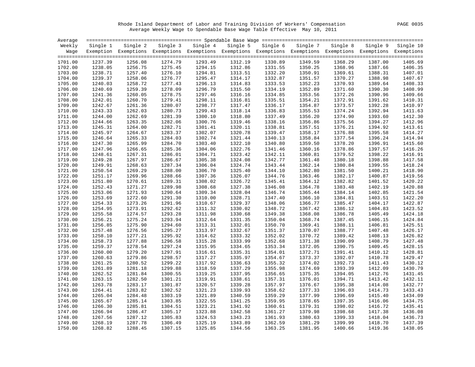Rhode Island Department of Labor and Training Division of Workers' Compensation PAGE 0035 Average Weekly Wage to Spendable Base Wage Table Effective May 10, 2011

| Average |          |                                                                                                                   |         |                   |         |                   |          |          |          |           |
|---------|----------|-------------------------------------------------------------------------------------------------------------------|---------|-------------------|---------|-------------------|----------|----------|----------|-----------|
| Weekly  | Single 1 | Single 2                                                                                                          |         | Single 3 Single 4 |         | Single 5 Single 6 | Single 7 | Single 8 | Single 9 | Single 10 |
|         |          | Wage Exemption Exemptions Exemptions Exemptions Exemptions Exemptions Exemptions Exemptions Exemptions Exemptions |         |                   |         |                   |          |          |          |           |
|         |          |                                                                                                                   |         |                   |         |                   |          |          |          |           |
| 1701.00 | 1237.39  | 1256.08                                                                                                           | 1274.79 | 1293.49           | 1312.19 | 1330.89           | 1349.59  | 1368.29  | 1387.00  | 1405.69   |
| 1702.00 | 1238.05  | 1256.75                                                                                                           | 1275.45 | 1294.15           | 1312.86 | 1331.55           | 1350.25  | 1368.96  | 1387.66  | 1406.35   |
| 1703.00 | 1238.71  | 1257.40                                                                                                           | 1276.10 | 1294.81           | 1313.51 | 1332.20           | 1350.91  | 1369.61  | 1388.31  | 1407.01   |
| 1704.00 | 1239.37  | 1258.06                                                                                                           | 1276.77 | 1295.47           | 1314.17 | 1332.87           | 1351.57  | 1370.27  | 1388.98  | 1407.67   |
| 1705.00 | 1240.03  | 1258.72                                                                                                           | 1277.43 | 1296.13           | 1314.83 | 1333.53           | 1352.23  | 1370.93  | 1389.64  | 1408.33   |
| 1706.00 | 1240.69  | 1259.39                                                                                                           | 1278.09 | 1296.79           | 1315.50 | 1334.19           | 1352.89  | 1371.60  | 1390.30  | 1408.99   |
| 1707.00 | 1241.36  | 1260.05                                                                                                           | 1278.75 | 1297.46           | 1316.16 | 1334.85           | 1353.56  | 1372.26  | 1390.96  | 1409.66   |
| 1708.00 | 1242.01  | 1260.70                                                                                                           | 1279.41 | 1298.11           | 1316.81 | 1335.51           | 1354.21  | 1372.91  | 1391.62  | 1410.31   |
| 1709.00 | 1242.67  | 1261.36                                                                                                           | 1280.07 | 1298.77           | 1317.47 | 1336.17           | 1354.87  | 1373.57  | 1392.28  | 1410.97   |
| 1710.00 | 1243.33  | 1262.03                                                                                                           | 1280.73 | 1299.43           | 1318.14 | 1336.83           | 1355.53  | 1374.24  | 1392.94  | 1411.63   |
| 1711.00 | 1244.00  | 1262.69                                                                                                           | 1281.39 | 1300.10           | 1318.80 | 1337.49           | 1356.20  | 1374.90  | 1393.60  | 1412.30   |
| 1712.00 | 1244.66  | 1263.35                                                                                                           | 1282.06 | 1300.76           | 1319.46 | 1338.16           | 1356.86  | 1375.56  | 1394.27  | 1412.96   |
| 1713.00 | 1245.31  | 1264.00                                                                                                           | 1282.71 | 1301.41           | 1320.11 | 1338.81           | 1357.51  | 1376.21  | 1394.92  | 1413.61   |
| 1714.00 | 1245.97  | 1264.67                                                                                                           | 1283.37 | 1302.07           | 1320.78 | 1339.47           | 1358.17  | 1376.88  | 1395.58  | 1414.27   |
| 1715.00 | 1246.64  | 1265.33                                                                                                           | 1284.03 | 1302.74           | 1321.44 | 1340.13           | 1358.84  | 1377.54  | 1396.24  | 1414.94   |
| 1716.00 | 1247.30  | 1265.99                                                                                                           | 1284.70 | 1303.40           | 1322.10 | 1340.80           | 1359.50  | 1378.20  | 1396.91  | 1415.60   |
| 1717.00 | 1247.96  | 1266.65                                                                                                           | 1285.36 | 1304.06           | 1322.76 | 1341.46           | 1360.16  | 1378.86  | 1397.57  | 1416.26   |
| 1718.00 | 1248.61  | 1267.31                                                                                                           | 1286.01 | 1304.71           | 1323.42 | 1342.11           | 1360.81  | 1379.52  | 1398.22  | 1416.91   |
| 1719.00 | 1249.28  | 1267.97                                                                                                           | 1286.67 | 1305.38           | 1324.08 | 1342.77           | 1361.48  | 1380.18  | 1398.88  | 1417.58   |
| 1720.00 | 1249.91  | 1268.63                                                                                                           | 1287.34 | 1306.04           | 1324.74 | 1343.44           | 1362.14  | 1380.84  | 1399.55  | 1418.24   |
| 1721.00 | 1250.54  | 1269.29                                                                                                           | 1288.00 | 1306.70           | 1325.40 | 1344.10           | 1362.80  | 1381.50  | 1400.21  | 1418.90   |
| 1722.00 | 1251.17  | 1269.96                                                                                                           | 1288.66 | 1307.36           | 1326.07 | 1344.76           | 1363.46  | 1382.17  | 1400.87  | 1419.56   |
| 1723.00 | 1251.80  | 1270.61                                                                                                           | 1289.31 | 1308.02           | 1326.72 | 1345.41           | 1364.12  | 1382.82  | 1401.52  | 1420.22   |
|         |          |                                                                                                                   |         |                   | 1327.38 |                   | 1364.78  |          |          | 1420.88   |
| 1724.00 | 1252.43  | 1271.27                                                                                                           | 1289.98 | 1308.68           |         | 1346.08           |          | 1383.48  | 1402.19  | 1421.54   |
| 1725.00 | 1253.06  | 1271.93                                                                                                           | 1290.64 | 1309.34           | 1328.04 | 1346.74           | 1365.44  | 1384.14  | 1402.85  |           |
| 1726.00 | 1253.69  | 1272.60                                                                                                           | 1291.30 | 1310.00           | 1328.71 | 1347.40           | 1366.10  | 1384.81  | 1403.51  | 1422.20   |
| 1727.00 | 1254.33  | 1273.26                                                                                                           | 1291.96 | 1310.67           | 1329.37 | 1348.06           | 1366.77  | 1385.47  | 1404.17  | 1422.87   |
| 1728.00 | 1254.95  | 1273.91                                                                                                           | 1292.62 | 1311.32           | 1330.02 | 1348.72           | 1367.42  | 1386.12  | 1404.83  | 1423.52   |
| 1729.00 | 1255.58  | 1274.57                                                                                                           | 1293.28 | 1311.98           | 1330.68 | 1349.38           | 1368.08  | 1386.78  | 1405.49  | 1424.18   |
| 1730.00 | 1256.21  | 1275.24                                                                                                           | 1293.94 | 1312.64           | 1331.35 | 1350.04           | 1368.74  | 1387.45  | 1406.15  | 1424.84   |
| 1731.00 | 1256.85  | 1275.90                                                                                                           | 1294.60 | 1313.31           | 1332.01 | 1350.70           | 1369.41  | 1388.11  | 1406.81  | 1425.51   |
| 1732.00 | 1257.48  | 1276.56                                                                                                           | 1295.27 | 1313.97           | 1332.67 | 1351.37           | 1370.07  | 1388.77  | 1407.48  | 1426.17   |
| 1733.00 | 1258.10  | 1277.21                                                                                                           | 1295.92 | 1314.62           | 1333.32 | 1352.02           | 1370.72  | 1389.42  | 1408.13  | 1426.82   |
| 1734.00 | 1258.73  | 1277.88                                                                                                           | 1296.58 | 1315.28           | 1333.99 | 1352.68           | 1371.38  | 1390.09  | 1408.79  | 1427.48   |
| 1735.00 | 1259.37  | 1278.54                                                                                                           | 1297.24 | 1315.95           | 1334.65 | 1353.34           | 1372.05  | 1390.75  | 1409.45  | 1428.15   |
| 1736.00 | 1260.00  | 1279.20                                                                                                           | 1297.91 | 1316.61           | 1335.31 | 1354.01           | 1372.71  | 1391.41  | 1410.12  | 1428.81   |
| 1737.00 | 1260.63  | 1279.86                                                                                                           | 1298.57 | 1317.27           | 1335.97 | 1354.67           | 1373.37  | 1392.07  | 1410.78  | 1429.47   |
| 1738.00 | 1261.25  | 1280.52                                                                                                           | 1299.22 | 1317.92           | 1336.63 | 1355.32           | 1374.02  | 1392.73  | 1411.43  | 1430.12   |
| 1739.00 | 1261.89  | 1281.18                                                                                                           | 1299.88 | 1318.59           | 1337.29 | 1355.98           | 1374.69  | 1393.39  | 1412.09  | 1430.79   |
| 1740.00 | 1262.52  | 1281.84                                                                                                           | 1300.55 | 1319.25           | 1337.95 | 1356.65           | 1375.35  | 1394.05  | 1412.76  | 1431.45   |
| 1741.00 | 1263.15  | 1282.50                                                                                                           | 1301.21 | 1319.91           | 1338.61 | 1357.31           | 1376.01  | 1394.71  | 1413.42  | 1432.11   |
| 1742.00 | 1263.78  | 1283.17                                                                                                           | 1301.87 | 1320.57           | 1339.28 | 1357.97           | 1376.67  | 1395.38  | 1414.08  | 1432.77   |
| 1743.00 | 1264.41  | 1283.82                                                                                                           | 1302.52 | 1321.23           | 1339.93 | 1358.62           | 1377.33  | 1396.03  | 1414.73  | 1433.43   |
| 1744.00 | 1265.04  | 1284.48                                                                                                           | 1303.19 | 1321.89           | 1340.59 | 1359.29           | 1377.99  | 1396.69  | 1415.40  | 1434.09   |
| 1745.00 | 1265.67  | 1285.14                                                                                                           | 1303.85 | 1322.55           | 1341.25 | 1359.95           | 1378.65  | 1397.35  | 1416.06  | 1434.75   |
| 1746.00 | 1266.30  | 1285.81                                                                                                           | 1304.51 | 1323.21           | 1341.92 | 1360.61           | 1379.31  | 1398.02  | 1416.72  | 1435.41   |
| 1747.00 | 1266.94  | 1286.47                                                                                                           | 1305.17 | 1323.88           | 1342.58 | 1361.27           | 1379.98  | 1398.68  | 1417.38  | 1436.08   |
| 1748.00 | 1267.56  | 1287.12                                                                                                           | 1305.83 | 1324.53           | 1343.23 | 1361.93           | 1380.63  | 1399.33  | 1418.04  | 1436.73   |
| 1749.00 | 1268.19  | 1287.78                                                                                                           | 1306.49 | 1325.19           | 1343.89 | 1362.59           | 1381.29  | 1399.99  | 1418.70  | 1437.39   |
| 1750.00 | 1268.82  | 1288.45                                                                                                           | 1307.15 | 1325.85           | 1344.56 | 1363.25           | 1381.95  | 1400.66  | 1419.36  | 1438.05   |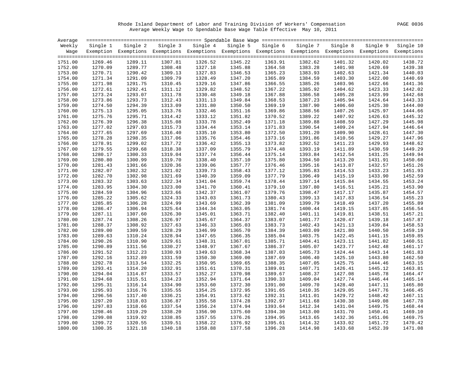Rhode Island Department of Labor and Training Division of Workers' Compensation PAGE 0036 Average Weekly Wage to Spendable Base Wage Table Effective May 10, 2011

| Average |          |                                                                                                              |          |          |         |                            |         |          |         |                    |
|---------|----------|--------------------------------------------------------------------------------------------------------------|----------|----------|---------|----------------------------|---------|----------|---------|--------------------|
| Weekly  | Single 1 | Single 2                                                                                                     | Single 3 | Single 4 |         | Single 5 Single 6 Single 7 |         | Single 8 |         | Single 9 Single 10 |
| Waqe    |          | Exemption Exemptions Exemptions Exemptions Exemptions Exemptions Exemptions Exemptions Exemptions Exemptions |          |          |         |                            |         |          |         |                    |
| 1751.00 | 1269.46  | 1289.11                                                                                                      | 1307.81  | 1326.52  | 1345.22 | 1363.91                    | 1382.62 | 1401.32  | 1420.02 | 1438.72            |
| 1752.00 | 1270.09  | 1289.77                                                                                                      | 1308.48  | 1327.18  | 1345.88 | 1364.58                    | 1383.28 | 1401.98  | 1420.69 | 1439.38            |
| 1753.00 | 1270.71  | 1290.42                                                                                                      | 1309.13  | 1327.83  | 1346.53 | 1365.23                    | 1383.93 | 1402.63  | 1421.34 | 1440.03            |
| 1754.00 | 1271.34  | 1291.09                                                                                                      | 1309.79  | 1328.49  | 1347.20 | 1365.89                    | 1384.59 | 1403.30  | 1422.00 | 1440.69            |
| 1755.00 | 1271.98  | 1291.75                                                                                                      | 1310.45  | 1329.16  | 1347.86 | 1366.55                    | 1385.26 | 1403.96  | 1422.66 | 1441.36            |
| 1756.00 | 1272.61  | 1292.41                                                                                                      | 1311.12  | 1329.82  | 1348.52 | 1367.22                    | 1385.92 | 1404.62  | 1423.33 | 1442.02            |
| 1757.00 | 1273.24  | 1293.07                                                                                                      | 1311.78  | 1330.48  | 1349.18 | 1367.88                    | 1386.58 | 1405.28  | 1423.99 | 1442.68            |
| 1758.00 | 1273.86  | 1293.73                                                                                                      | 1312.43  | 1331.13  | 1349.84 | 1368.53                    | 1387.23 | 1405.94  | 1424.64 | 1443.33            |
| 1759.00 | 1274.50  | 1294.39                                                                                                      | 1313.09  | 1331.80  | 1350.50 | 1369.19                    | 1387.90 | 1406.60  | 1425.30 | 1444.00            |
| 1760.00 | 1275.13  | 1295.05                                                                                                      | 1313.76  | 1332.46  | 1351.16 | 1369.86                    | 1388.56 | 1407.26  | 1425.97 | 1444.66            |
| 1761.00 | 1275.76  | 1295.71                                                                                                      | 1314.42  | 1333.12  | 1351.82 | 1370.52                    | 1389.22 | 1407.92  | 1426.63 | 1445.32            |
| 1762.00 | 1276.39  | 1296.38                                                                                                      | 1315.08  | 1333.78  | 1352.49 | 1371.18                    | 1389.88 | 1408.59  | 1427.29 | 1445.98            |
| 1763.00 | 1277.02  | 1297.03                                                                                                      | 1315.73  | 1334.44  | 1353.14 | 1371.83                    | 1390.54 | 1409.24  | 1427.94 | 1446.64            |
| 1764.00 | 1277.65  | 1297.69                                                                                                      | 1316.40  | 1335.10  | 1353.80 | 1372.50                    | 1391.20 | 1409.90  | 1428.61 | 1447.30            |
| 1765.00 | 1278.28  | 1298.35                                                                                                      | 1317.06  | 1335.76  | 1354.46 | 1373.16                    | 1391.86 | 1410.56  | 1429.27 | 1447.96            |
| 1766.00 | 1278.91  | 1299.02                                                                                                      | 1317.72  | 1336.42  | 1355.13 | 1373.82                    | 1392.52 | 1411.23  | 1429.93 | 1448.62            |
| 1767.00 | 1279.55  | 1299.68                                                                                                      | 1318.38  | 1337.09  | 1355.79 | 1374.48                    | 1393.19 | 1411.89  | 1430.59 | 1449.29            |
| 1768.00 | 1280.17  | 1300.33                                                                                                      | 1319.04  | 1337.74  | 1356.44 | 1375.14                    | 1393.84 | 1412.54  | 1431.25 | 1449.94            |
| 1769.00 | 1280.80  | 1300.99                                                                                                      | 1319.70  | 1338.40  | 1357.10 | 1375.80                    | 1394.50 | 1413.20  | 1431.91 | 1450.60            |
| 1770.00 | 1281.43  | 1301.66                                                                                                      | 1320.36  | 1339.06  | 1357.77 | 1376.46                    | 1395.16 | 1413.87  | 1432.57 | 1451.26            |
| 1771.00 | 1282.07  | 1302.32                                                                                                      | 1321.02  | 1339.73  | 1358.43 | 1377.12                    | 1395.83 | 1414.53  | 1433.23 | 1451.93            |
| 1772.00 | 1282.70  | 1302.98                                                                                                      | 1321.69  | 1340.39  | 1359.09 | 1377.79                    | 1396.49 | 1415.19  | 1433.90 | 1452.59            |
| 1773.00 | 1283.32  | 1303.63                                                                                                      | 1322.34  | 1341.04  | 1359.74 | 1378.44                    | 1397.14 | 1415.84  | 1434.55 | 1453.24            |
| 1774.00 | 1283.95  | 1304.30                                                                                                      | 1323.00  | 1341.70  | 1360.41 | 1379.10                    | 1397.80 | 1416.51  | 1435.21 | 1453.90            |
| 1775.00 | 1284.59  | 1304.96                                                                                                      | 1323.66  | 1342.37  | 1361.07 | 1379.76                    | 1398.47 | 1417.17  | 1435.87 | 1454.57            |
| 1776.00 | 1285.22  | 1305.62                                                                                                      | 1324.33  | 1343.03  | 1361.73 | 1380.43                    | 1399.13 | 1417.83  | 1436.54 | 1455.23            |
| 1777.00 | 1285.85  | 1306.28                                                                                                      | 1324.99  | 1343.69  | 1362.39 | 1381.09                    | 1399.79 | 1418.49  | 1437.20 | 1455.89            |
| 1778.00 | 1286.47  | 1306.94                                                                                                      | 1325.64  | 1344.34  | 1363.05 | 1381.74                    | 1400.44 | 1419.15  | 1437.85 | 1456.54            |
| 1779.00 | 1287.11  | 1307.60                                                                                                      | 1326.30  | 1345.01  | 1363.71 | 1382.40                    | 1401.11 | 1419.81  | 1438.51 | 1457.21            |
| 1780.00 | 1287.74  | 1308.26                                                                                                      | 1326.97  | 1345.67  | 1364.37 | 1383.07                    | 1401.77 | 1420.47  | 1439.18 | 1457.87            |
| 1781.00 | 1288.37  | 1308.92                                                                                                      | 1327.63  | 1346.33  | 1365.03 | 1383.73                    | 1402.43 | 1421.13  | 1439.84 | 1458.53            |
| 1782.00 | 1289.00  | 1309.59                                                                                                      | 1328.29  | 1346.99  | 1365.70 | 1384.39                    | 1403.09 | 1421.80  | 1440.50 | 1459.19            |
| 1783.00 | 1289.63  | 1310.24                                                                                                      | 1328.94  | 1347.65  | 1366.35 | 1385.04                    | 1403.75 | 1422.45  | 1441.15 | 1459.85            |
| 1784.00 | 1290.26  | 1310.90                                                                                                      | 1329.61  | 1348.31  | 1367.01 | 1385.71                    | 1404.41 | 1423.11  | 1441.82 | 1460.51            |
| 1785.00 | 1290.89  | 1311.56                                                                                                      | 1330.27  | 1348.97  | 1367.67 | 1386.37                    | 1405.07 | 1423.77  | 1442.48 | 1461.17            |
| 1786.00 | 1291.52  | 1312.23                                                                                                      | 1330.93  | 1349.63  | 1368.34 | 1387.03                    | 1405.73 | 1424.44  | 1443.14 | 1461.83            |
| 1787.00 | 1292.16  | 1312.89                                                                                                      | 1331.59  | 1350.30  | 1369.00 | 1387.69                    | 1406.40 | 1425.10  | 1443.80 | 1462.50            |
| 1788.00 | 1292.78  | 1313.54                                                                                                      | 1332.25  | 1350.95  | 1369.65 | 1388.35                    | 1407.05 | 1425.75  | 1444.46 | 1463.15            |
| 1789.00 | 1293.41  | 1314.20                                                                                                      | 1332.91  | 1351.61  | 1370.31 | 1389.01                    | 1407.71 | 1426.41  | 1445.12 | 1463.81            |
| 1790.00 | 1294.04  | 1314.87                                                                                                      | 1333.57  | 1352.27  | 1370.98 | 1389.67                    | 1408.37 | 1427.08  | 1445.78 | 1464.47            |
| 1791.00 | 1294.68  | 1315.51                                                                                                      | 1334.23  | 1352.94  | 1371.64 | 1390.33                    | 1409.04 | 1427.74  | 1446.44 | 1465.14            |
| 1792.00 | 1295.31  | 1316.14                                                                                                      | 1334.90  | 1353.60  | 1372.30 | 1391.00                    | 1409.70 | 1428.40  | 1447.11 | 1465.80            |
| 1793.00 | 1295.93  | 1316.76                                                                                                      | 1335.55  | 1354.25  | 1372.95 | 1391.65                    | 1410.35 | 1429.05  | 1447.76 | 1466.45            |
| 1794.00 | 1296.56  | 1317.40                                                                                                      | 1336.21  | 1354.91  | 1373.62 | 1392.31                    | 1411.01 | 1429.72  | 1448.42 | 1467.11            |
| 1795.00 | 1297.20  | 1318.03                                                                                                      | 1336.87  | 1355.58  | 1374.28 | 1392.97                    | 1411.68 | 1430.38  | 1449.08 | 1467.78            |
| 1796.00 | 1297.83  | 1318.66                                                                                                      | 1337.54  | 1356.24  | 1374.94 | 1393.64                    | 1412.34 | 1431.04  | 1449.75 | 1468.44            |
| 1797.00 | 1298.46  | 1319.29                                                                                                      | 1338.20  | 1356.90  | 1375.60 | 1394.30                    | 1413.00 | 1431.70  | 1450.41 | 1469.10            |
| 1798.00 | 1299.08  | 1319.92                                                                                                      | 1338.85  | 1357.55  | 1376.26 | 1394.95                    | 1413.65 | 1432.36  | 1451.06 | 1469.75            |
| 1799.00 | 1299.72  | 1320.55                                                                                                      | 1339.51  | 1358.22  | 1376.92 | 1395.61                    | 1414.32 | 1433.02  | 1451.72 | 1470.42            |
| 1800.00 | 1300.35  | 1321.18                                                                                                      | 1340.18  | 1358.88  | 1377.58 | 1396.28                    | 1414.98 | 1433.68  | 1452.39 | 1471.08            |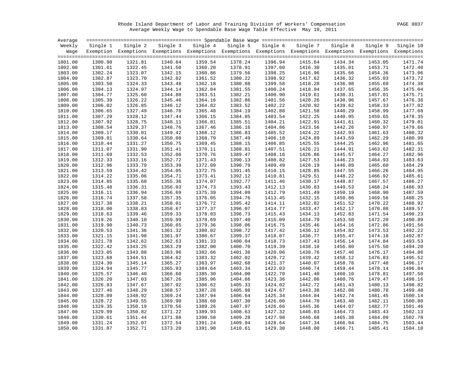Rhode Island Department of Labor and Training Division of Workers' Compensation PAGE 0037 Average Weekly Wage to Spendable Base Wage Table Effective May 10, 2011

| Average |          |          |         |                                                                                                                   |         |                   |          |          |          |           |
|---------|----------|----------|---------|-------------------------------------------------------------------------------------------------------------------|---------|-------------------|----------|----------|----------|-----------|
| Weekly  | Single 1 | Single 2 |         | Single 3 Single 4                                                                                                 |         | Single 5 Single 6 | Single 7 | Single 8 | Single 9 | Single 10 |
|         |          |          |         | Wage Exemption Exemptions Exemptions Exemptions Exemptions Exemptions Exemptions Exemptions Exemptions Exemptions |         |                   |          |          |          |           |
|         |          |          |         |                                                                                                                   |         |                   |          |          |          |           |
| 1801.00 | 1300.98  | 1321.81  | 1340.84 | 1359.54                                                                                                           | 1378.24 | 1396.94           | 1415.64  | 1434.34  | 1453.05  | 1471.74   |
| 1802.00 | 1301.61  | 1322.45  | 1341.50 | 1360.20                                                                                                           | 1378.91 | 1397.60           | 1416.30  | 1435.01  | 1453.71  | 1472.40   |
| 1803.00 | 1302.24  | 1323.07  | 1342.15 | 1360.86                                                                                                           | 1379.56 | 1398.25           | 1416.96  | 1435.66  | 1454.36  | 1473.06   |
| 1804.00 | 1302.87  | 1323.70  | 1342.82 | 1361.52                                                                                                           | 1380.22 | 1398.92           | 1417.62  | 1436.32  | 1455.03  | 1473.72   |
| 1805.00 | 1303.50  | 1324.33  | 1343.48 | 1362.18                                                                                                           | 1380.88 | 1399.58           | 1418.28  | 1436.98  | 1455.69  | 1474.38   |
| 1806.00 | 1304.13  | 1324.97  | 1344.14 | 1362.84                                                                                                           | 1381.55 | 1400.24           | 1418.94  | 1437.65  | 1456.35  | 1475.04   |
| 1807.00 | 1304.77  | 1325.60  | 1344.80 | 1363.51                                                                                                           | 1382.21 | 1400.90           | 1419.61  | 1438.31  | 1457.01  | 1475.71   |
| 1808.00 | 1305.39  | 1326.22  | 1345.46 | 1364.16                                                                                                           | 1382.86 | 1401.56           | 1420.26  | 1438.96  | 1457.67  | 1476.36   |
| 1809.00 | 1306.02  | 1326.85  | 1346.12 | 1364.82                                                                                                           | 1383.52 | 1402.22           | 1420.92  | 1439.62  | 1458.33  | 1477.02   |
| 1810.00 | 1306.65  | 1327.49  | 1346.78 | 1365.48                                                                                                           | 1384.19 | 1402.88           | 1421.58  | 1440.29  | 1458.99  | 1477.68   |
| 1811.00 | 1307.29  | 1328.12  | 1347.44 | 1366.15                                                                                                           | 1384.85 | 1403.54           | 1422.25  | 1440.95  | 1459.65  | 1478.35   |
| 1812.00 | 1307.92  | 1328.75  | 1348.11 | 1366.81                                                                                                           | 1385.51 | 1404.21           | 1422.91  | 1441.61  | 1460.32  | 1479.01   |
| 1813.00 | 1308.54  | 1329.37  | 1348.76 | 1367.46                                                                                                           | 1386.16 | 1404.86           | 1423.56  | 1442.26  | 1460.97  | 1479.66   |
| 1814.00 | 1309.17  | 1330.01  | 1349.42 | 1368.12                                                                                                           | 1386.83 | 1405.52           | 1424.22  | 1442.93  | 1461.63  | 1480.32   |
| 1815.00 | 1309.81  | 1330.64  | 1350.08 | 1368.79                                                                                                           | 1387.49 | 1406.18           | 1424.89  | 1443.59  | 1462.29  | 1480.99   |
| 1816.00 | 1310.44  | 1331.27  | 1350.75 | 1369.45                                                                                                           | 1388.15 | 1406.85           | 1425.55  | 1444.25  | 1462.96  | 1481.65   |
| 1817.00 | 1311.07  | 1331.90  | 1351.41 | 1370.11                                                                                                           | 1388.81 | 1407.51           | 1426.21  | 1444.91  | 1463.62  | 1482.31   |
| 1818.00 | 1311.69  | 1332.53  | 1352.06 | 1370.76                                                                                                           | 1389.47 | 1408.16           | 1426.86  | 1445.57  | 1464.27  | 1482.96   |
| 1819.00 | 1312.33  | 1333.16  | 1352.72 | 1371.43                                                                                                           | 1390.13 | 1408.82           | 1427.53  | 1446.23  | 1464.93  | 1483.63   |
| 1820.00 | 1312.96  | 1333.79  | 1353.39 | 1372.09                                                                                                           | 1390.79 | 1409.49           | 1428.19  | 1446.89  | 1465.60  | 1484.29   |
| 1821.00 | 1313.59  | 1334.42  | 1354.05 | 1372.75                                                                                                           | 1391.45 | 1410.15           | 1428.85  | 1447.55  | 1466.26  | 1484.95   |
| 1822.00 | 1314.22  | 1335.06  | 1354.71 | 1373.41                                                                                                           | 1392.12 | 1410.81           | 1429.51  | 1448.22  | 1466.92  | 1485.61   |
| 1823.00 | 1314.85  | 1335.68  | 1355.36 | 1374.07                                                                                                           | 1392.77 | 1411.46           | 1430.17  | 1448.87  | 1467.57  | 1486.27   |
| 1824.00 | 1315.48  | 1336.31  | 1356.03 | 1374.73                                                                                                           | 1393.43 | 1412.13           | 1430.83  | 1449.53  | 1468.24  | 1486.93   |
| 1825.00 | 1316.11  | 1336.94  | 1356.69 | 1375.39                                                                                                           | 1394.09 | 1412.79           | 1431.49  | 1450.19  | 1468.90  | 1487.59   |
| 1826.00 | 1316.74  | 1337.58  | 1357.35 | 1376.05                                                                                                           | 1394.76 | 1413.45           | 1432.15  | 1450.86  | 1469.56  | 1488.25   |
| 1827.00 | 1317.38  | 1338.21  | 1358.01 | 1376.72                                                                                                           | 1395.42 | 1414.11           | 1432.82  | 1451.52  | 1470.22  | 1488.92   |
| 1828.00 | 1318.00  | 1338.83  | 1358.67 | 1377.37                                                                                                           | 1396.07 | 1414.77           | 1433.47  | 1452.17  | 1470.88  | 1489.57   |
| 1829.00 | 1318.63  | 1339.46  | 1359.33 | 1378.03                                                                                                           | 1396.73 | 1415.43           | 1434.13  | 1452.83  | 1471.54  | 1490.23   |
| 1830.00 | 1319.26  | 1340.10  | 1359.99 | 1378.69                                                                                                           | 1397.40 | 1416.09           | 1434.79  | 1453.50  | 1472.20  | 1490.89   |
| 1831.00 | 1319.90  | 1340.73  | 1360.65 | 1379.36                                                                                                           | 1398.06 | 1416.75           | 1435.46  | 1454.16  | 1472.86  | 1491.56   |
| 1832.00 | 1320.53  | 1341.36  | 1361.32 | 1380.02                                                                                                           | 1398.72 | 1417.42           | 1436.12  | 1454.82  | 1473.53  | 1492.22   |
| 1833.00 | 1321.15  | 1341.98  | 1361.97 | 1380.67                                                                                                           | 1399.37 | 1418.07           | 1436.77  | 1455.47  | 1474.18  | 1492.87   |
| 1834.00 | 1321.78  | 1342.62  | 1362.63 | 1381.33                                                                                                           | 1400.04 | 1418.73           | 1437.43  | 1456.14  | 1474.84  | 1493.53   |
| 1835.00 | 1322.42  | 1343.25  | 1363.29 | 1382.00                                                                                                           | 1400.70 | 1419.39           | 1438.10  | 1456.80  | 1475.50  | 1494.20   |
| 1836.00 | 1323.05  | 1343.88  | 1363.96 | 1382.66                                                                                                           | 1401.36 | 1420.06           | 1438.76  | 1457.46  | 1476.17  | 1494.86   |
| 1837.00 | 1323.68  | 1344.51  | 1364.62 | 1383.32                                                                                                           | 1402.02 | 1420.72           | 1439.42  | 1458.12  | 1476.83  | 1495.52   |
| 1838.00 | 1324.30  | 1345.14  | 1365.27 | 1383.97                                                                                                           | 1402.68 | 1421.37           | 1440.07  | 1458.78  | 1477.48  | 1496.17   |
| 1839.00 | 1324.94  | 1345.77  | 1365.93 | 1384.64                                                                                                           | 1403.34 | 1422.03           | 1440.74  | 1459.44  | 1478.14  | 1496.84   |
| 1840.00 | 1325.57  | 1346.40  | 1366.60 | 1385.30                                                                                                           | 1404.00 | 1422.70           | 1441.40  | 1460.10  | 1478.81  | 1497.50   |
| 1841.00 | 1326.20  | 1347.03  | 1367.26 | 1385.96                                                                                                           | 1404.66 | 1423.36           | 1442.06  | 1460.76  | 1479.47  | 1498.16   |
| 1842.00 | 1326.83  | 1347.67  | 1367.92 | 1386.62                                                                                                           | 1405.33 | 1424.02           | 1442.72  | 1461.43  | 1480.13  | 1498.82   |
| 1843.00 | 1327.46  | 1348.29  | 1368.57 | 1387.28                                                                                                           | 1405.98 | 1424.67           | 1443.38  | 1462.08  | 1480.78  | 1499.48   |
| 1844.00 | 1328.09  | 1348.92  | 1369.24 | 1387.94                                                                                                           | 1406.64 | 1425.34           | 1444.04  | 1462.74  | 1481.45  | 1500.14   |
| 1845.00 | 1328.72  | 1349.55  | 1369.90 | 1388.60                                                                                                           | 1407.30 | 1426.00           | 1444.70  | 1463.40  | 1482.11  | 1500.80   |
| 1846.00 | 1329.35  | 1350.19  | 1370.56 | 1389.26                                                                                                           | 1407.97 | 1426.66           | 1445.36  | 1464.07  | 1482.77  | 1501.46   |
| 1847.00 | 1329.99  | 1350.82  | 1371.22 | 1389.93                                                                                                           | 1408.63 | 1427.32           | 1446.03  | 1464.73  | 1483.43  | 1502.13   |
| 1848.00 | 1330.61  | 1351.44  | 1371.88 | 1390.58                                                                                                           | 1409.28 | 1427.98           | 1446.68  | 1465.38  | 1484.09  | 1502.78   |
| 1849.00 | 1331.24  | 1352.07  | 1372.54 | 1391.24                                                                                                           | 1409.94 | 1428.64           | 1447.34  | 1466.04  | 1484.75  | 1503.44   |
| 1850.00 | 1331.87  | 1352.71  | 1373.20 | 1391.90                                                                                                           | 1410.61 | 1429.30           | 1448.00  | 1466.71  | 1485.41  | 1504.10   |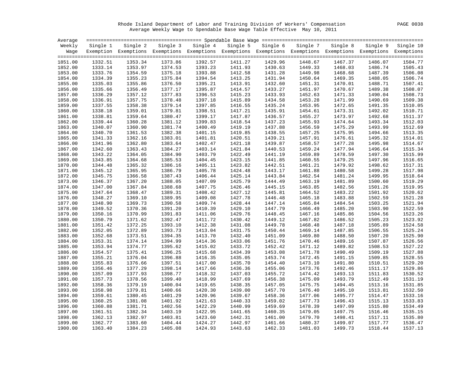Rhode Island Department of Labor and Training Division of Workers' Compensation PAGE 0038 Average Weekly Wage to Spendable Base Wage Table Effective May 10, 2011

| Average |          |         |         |                                                                                                                   |         |                   |          |          |          |           |
|---------|----------|---------|---------|-------------------------------------------------------------------------------------------------------------------|---------|-------------------|----------|----------|----------|-----------|
| Weekly  | Single 1 |         |         | Single 2 Single 3 Single 4                                                                                        |         | Single 5 Single 6 | Single 7 | Single 8 | Single 9 | Single 10 |
|         |          |         |         | Wage Exemption Exemptions Exemptions Exemptions Exemptions Exemptions Exemptions Exemptions Exemptions Exemptions |         |                   |          |          |          |           |
|         |          |         |         |                                                                                                                   |         |                   |          |          |          |           |
| 1851.00 | 1332.51  | 1353.34 | 1373.86 | 1392.57                                                                                                           | 1411.27 | 1429.96           | 1448.67  | 1467.37  | 1486.07  | 1504.77   |
| 1852.00 | 1333.14  | 1353.97 | 1374.53 | 1393.23                                                                                                           | 1411.93 | 1430.63           | 1449.33  | 1468.03  | 1486.74  | 1505.43   |
| 1853.00 | 1333.76  | 1354.59 | 1375.18 | 1393.88                                                                                                           | 1412.58 | 1431.28           | 1449.98  | 1468.68  | 1487.39  | 1506.08   |
| 1854.00 | 1334.39  | 1355.23 | 1375.84 | 1394.54                                                                                                           | 1413.25 | 1431.94           | 1450.64  | 1469.35  | 1488.05  | 1506.74   |
| 1855.00 | 1335.03  | 1355.86 | 1376.50 | 1395.21                                                                                                           | 1413.91 | 1432.60           | 1451.31  | 1470.01  | 1488.71  | 1507.41   |
| 1856.00 | 1335.66  | 1356.49 | 1377.17 | 1395.87                                                                                                           | 1414.57 | 1433.27           | 1451.97  | 1470.67  | 1489.38  | 1508.07   |
| 1857.00 | 1336.29  | 1357.12 | 1377.83 | 1396.53                                                                                                           | 1415.23 | 1433.93           | 1452.63  | 1471.33  | 1490.04  | 1508.73   |
| 1858.00 | 1336.91  | 1357.75 | 1378.48 | 1397.18                                                                                                           | 1415.89 | 1434.58           | 1453.28  | 1471.99  | 1490.69  | 1509.38   |
| 1859.00 | 1337.55  | 1358.38 | 1379.14 | 1397.85                                                                                                           | 1416.55 | 1435.24           | 1453.95  | 1472.65  | 1491.35  | 1510.05   |
| 1860.00 | 1338.18  | 1359.01 | 1379.81 | 1398.51                                                                                                           | 1417.21 | 1435.91           | 1454.61  | 1473.31  | 1492.02  | 1510.71   |
| 1861.00 | 1338.81  | 1359.64 | 1380.47 | 1399.17                                                                                                           | 1417.87 | 1436.57           | 1455.27  | 1473.97  | 1492.68  | 1511.37   |
| 1862.00 | 1339.44  | 1360.28 | 1381.12 | 1399.83                                                                                                           | 1418.54 | 1437.23           | 1455.93  | 1474.64  | 1493.34  | 1512.03   |
| 1863.00 | 1340.07  | 1360.90 | 1381.74 | 1400.49                                                                                                           | 1419.19 | 1437.88           | 1456.59  | 1475.29  | 1493.99  | 1512.69   |
| 1864.00 | 1340.70  | 1361.53 | 1382.38 | 1401.15                                                                                                           | 1419.85 | 1438.55           | 1457.25  | 1475.95  | 1494.66  | 1513.35   |
| 1865.00 | 1341.33  | 1362.16 | 1383.01 | 1401.81                                                                                                           | 1420.51 | 1439.21           | 1457.91  | 1476.61  | 1495.32  | 1514.01   |
| 1866.00 | 1341.96  | 1362.80 | 1383.64 | 1402.47                                                                                                           | 1421.18 | 1439.87           | 1458.57  | 1477.28  | 1495.98  | 1514.67   |
| 1867.00 | 1342.60  | 1363.43 | 1384.27 | 1403.14                                                                                                           | 1421.84 | 1440.53           | 1459.24  | 1477.94  | 1496.64  | 1515.34   |
| 1868.00 | 1343.22  | 1364.05 | 1384.90 | 1403.79                                                                                                           | 1422.49 | 1441.19           | 1459.89  | 1478.59  | 1497.30  | 1515.99   |
| 1869.00 | 1343.85  | 1364.68 | 1385.53 | 1404.45                                                                                                           | 1423.15 | 1441.85           | 1460.55  | 1479.25  | 1497.96  | 1516.65   |
| 1870.00 | 1344.48  | 1365.32 | 1386.16 | 1405.11                                                                                                           | 1423.82 | 1442.51           | 1461.21  | 1479.92  | 1498.62  | 1517.31   |
| 1871.00 | 1345.12  | 1365.95 | 1386.79 | 1405.78                                                                                                           | 1424.48 | 1443.17           | 1461.88  | 1480.58  | 1499.28  | 1517.98   |
| 1872.00 | 1345.75  | 1366.58 | 1387.43 | 1406.44                                                                                                           | 1425.14 | 1443.84           | 1462.54  | 1481.24  | 1499.95  | 1518.64   |
| 1873.00 | 1346.37  | 1367.20 | 1388.05 | 1407.09                                                                                                           | 1425.79 | 1444.49           | 1463.19  | 1481.89  | 1500.60  | 1519.29   |
| 1874.00 | 1347.00  | 1367.84 | 1388.68 | 1407.75                                                                                                           | 1426.46 | 1445.15           | 1463.85  | 1482.56  | 1501.26  | 1519.95   |
| 1875.00 | 1347.64  | 1368.47 | 1389.31 | 1408.42                                                                                                           | 1427.12 | 1445.81           | 1464.52  | 1483.22  | 1501.92  | 1520.62   |
| 1876.00 | 1348.27  | 1369.10 | 1389.95 | 1409.08                                                                                                           | 1427.78 | 1446.48           | 1465.18  | 1483.88  | 1502.59  | 1521.28   |
| 1877.00 | 1348.90  | 1369.73 | 1390.58 | 1409.74                                                                                                           | 1428.44 | 1447.14           | 1465.84  | 1484.54  | 1503.25  | 1521.94   |
| 1878.00 | 1349.52  | 1370.36 | 1391.20 | 1410.39                                                                                                           | 1429.10 | 1447.79           | 1466.49  | 1485.20  | 1503.90  | 1522.59   |
| 1879.00 | 1350.16  | 1370.99 | 1391.83 | 1411.06                                                                                                           | 1429.76 | 1448.45           | 1467.16  | 1485.86  | 1504.56  | 1523.26   |
| 1880.00 | 1350.79  | 1371.62 | 1392.47 | 1411.72                                                                                                           | 1430.42 | 1449.12           | 1467.82  | 1486.52  | 1505.23  | 1523.92   |
| 1881.00 | 1351.42  | 1372.25 | 1393.10 | 1412.38                                                                                                           | 1431.08 | 1449.78           | 1468.48  | 1487.18  | 1505.89  | 1524.58   |
| 1882.00 | 1352.05  | 1372.89 | 1393.73 | 1413.04                                                                                                           | 1431.75 | 1450.44           | 1469.14  | 1487.85  | 1506.55  | 1525.24   |
| 1883.00 | 1352.68  | 1373.51 | 1394.35 | 1413.70                                                                                                           | 1432.40 | 1451.09           | 1469.80  | 1488.50  | 1507.20  | 1525.90   |
| 1884.00 | 1353.31  | 1374.14 | 1394.99 | 1414.36                                                                                                           | 1433.06 | 1451.76           | 1470.46  | 1489.16  | 1507.87  | 1526.56   |
| 1885.00 | 1353.94  | 1374.77 | 1395.62 | 1415.02                                                                                                           | 1433.72 | 1452.42           | 1471.12  | 1489.82  | 1508.53  | 1527.22   |
| 1886.00 | 1354.57  | 1375.41 | 1396.25 | 1415.68                                                                                                           | 1434.39 | 1453.08           | 1471.78  | 1490.49  | 1509.19  | 1527.88   |
| 1887.00 | 1355.21  | 1376.04 | 1396.88 | 1416.35                                                                                                           | 1435.05 | 1453.74           | 1472.45  | 1491.15  | 1509.85  | 1528.55   |
| 1888.00 | 1355.83  | 1376.66 | 1397.51 | 1417.00                                                                                                           | 1435.70 | 1454.40           | 1473.10  | 1491.80  | 1510.51  | 1529.20   |
| 1889.00 | 1356.46  | 1377.29 | 1398.14 | 1417.66                                                                                                           | 1436.36 | 1455.06           | 1473.76  | 1492.46  | 1511.17  | 1529.86   |
| 1890.00 | 1357.09  | 1377.93 | 1398.77 | 1418.32                                                                                                           | 1437.03 | 1455.72           | 1474.42  | 1493.13  | 1511.83  | 1530.52   |
| 1891.00 | 1357.73  | 1378.56 | 1399.40 | 1418.99                                                                                                           | 1437.69 | 1456.38           | 1475.09  | 1493.79  | 1512.49  | 1531.19   |
| 1892.00 | 1358.36  | 1379.19 | 1400.04 | 1419.65                                                                                                           | 1438.35 | 1457.05           | 1475.75  | 1494.45  | 1513.16  | 1531.85   |
| 1893.00 | 1358.98  | 1379.81 | 1400.66 | 1420.30                                                                                                           | 1439.00 | 1457.70           | 1476.40  | 1495.10  | 1513.81  | 1532.50   |
| 1894.00 | 1359.61  | 1380.45 | 1401.29 | 1420.96                                                                                                           | 1439.67 | 1458.36           | 1477.06  | 1495.77  | 1514.47  | 1533.16   |
| 1895.00 | 1360.25  | 1381.08 | 1401.92 | 1421.63                                                                                                           | 1440.33 | 1459.02           | 1477.73  | 1496.43  | 1515.13  | 1533.83   |
| 1896.00 | 1360.88  | 1381.71 | 1402.56 | 1422.29                                                                                                           | 1440.99 | 1459.69           | 1478.39  | 1497.09  | 1515.80  | 1534.49   |
| 1897.00 | 1361.51  | 1382.34 | 1403.19 | 1422.95                                                                                                           | 1441.65 | 1460.35           | 1479.05  | 1497.75  | 1516.46  | 1535.15   |
| 1898.00 | 1362.13  | 1382.97 | 1403.81 | 1423.60                                                                                                           | 1442.31 | 1461.00           | 1479.70  | 1498.41  | 1517.11  | 1535.80   |
| 1899.00 | 1362.77  | 1383.60 | 1404.44 | 1424.27                                                                                                           | 1442.97 | 1461.66           | 1480.37  | 1499.07  | 1517.77  | 1536.47   |
| 1900.00 | 1363.40  | 1384.23 | 1405.08 | 1424.93                                                                                                           | 1443.63 | 1462.33           | 1481.03  | 1499.73  | 1518.44  | 1537.13   |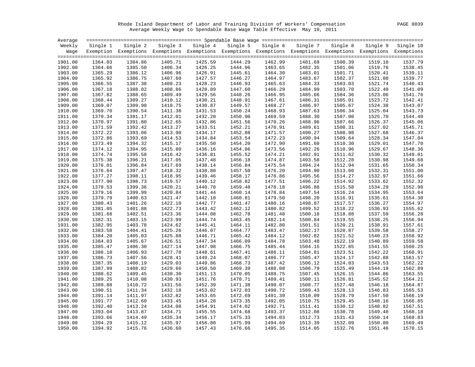Rhode Island Department of Labor and Training Division of Workers' Compensation PAGE 0039 Average Weekly Wage to Spendable Base Wage Table Effective May 10, 2011

| Average |          |                                                                                                                   |         |                   |         |                   |          |          |          |                    |
|---------|----------|-------------------------------------------------------------------------------------------------------------------|---------|-------------------|---------|-------------------|----------|----------|----------|--------------------|
| Weekly  | Single 1 | Single 2                                                                                                          |         | Single 3 Single 4 |         | Single 5 Single 6 | Single 7 | Single 8 | Single 9 | Single 10          |
|         |          | Wage Exemption Exemptions Exemptions Exemptions Exemptions Exemptions Exemptions Exemptions Exemptions Exemptions |         |                   |         |                   |          |          |          |                    |
|         |          |                                                                                                                   |         |                   |         |                   |          |          |          |                    |
| 1901.00 | 1364.03  | 1384.86                                                                                                           | 1405.71 | 1425.59           | 1444.29 | 1462.99           | 1481.69  | 1500.39  | 1519.10  | 1537.79            |
| 1902.00 | 1364.66  | 1385.50                                                                                                           | 1406.34 | 1426.25           | 1444.96 | 1463.65           | 1482.35  | 1501.06  | 1519.76  | 1538.45            |
| 1903.00 | 1365.29  | 1386.12                                                                                                           | 1406.96 | 1426.91           | 1445.61 | 1464.30           | 1483.01  | 1501.71  | 1520.41  | 1539.11            |
| 1904.00 | 1365.92  | 1386.75                                                                                                           | 1407.60 | 1427.57           | 1446.27 | 1464.97           | 1483.67  | 1502.37  | 1521.08  | 1539.77            |
| 1905.00 | 1366.55  | 1387.38                                                                                                           | 1408.23 | 1428.23           | 1446.93 | 1465.63           | 1484.33  | 1503.03  | 1521.74  | 1540.43            |
| 1906.00 | 1367.18  | 1388.02                                                                                                           | 1408.86 | 1428.89           | 1447.60 | 1466.29           | 1484.99  | 1503.70  | 1522.40  | 1541.09            |
| 1907.00 | 1367.82  | 1388.65                                                                                                           | 1409.49 | 1429.56           | 1448.26 | 1466.95           | 1485.66  | 1504.36  | 1523.06  | 1541.76            |
| 1908.00 | 1368.44  | 1389.27                                                                                                           | 1410.12 | 1430.21           | 1448.91 | 1467.61           | 1486.31  | 1505.01  | 1523.72  | 1542.41            |
| 1909.00 | 1369.07  | 1389.90                                                                                                           | 1410.75 | 1430.87           | 1449.57 | 1468.27           | 1486.97  | 1505.67  | 1524.38  | 1543.07            |
| 1910.00 | 1369.70  | 1390.54                                                                                                           | 1411.38 | 1431.53           | 1450.24 | 1468.93           | 1487.63  | 1506.34  | 1525.04  | 1543.73            |
| 1911.00 | 1370.34  | 1391.17                                                                                                           | 1412.01 | 1432.20           | 1450.90 | 1469.59           | 1488.30  | 1507.00  | 1525.70  | 1544.40            |
| 1912.00 | 1370.97  | 1391.80                                                                                                           | 1412.65 | 1432.86           | 1451.56 | 1470.26           | 1488.96  | 1507.66  | 1526.37  | 1545.06            |
| 1913.00 | 1371.59  | 1392.42                                                                                                           | 1413.27 | 1433.51           | 1452.21 | 1470.91           | 1489.61  | 1508.31  | 1527.02  | 1545.71            |
| 1914.00 | 1372.22  | 1393.06                                                                                                           | 1413.90 | 1434.17           | 1452.88 | 1471.57           | 1490.27  | 1508.98  | 1527.68  | 1546.37            |
| 1915.00 | 1372.86  | 1393.69                                                                                                           | 1414.53 | 1434.84           | 1453.54 | 1472.23           | 1490.94  | 1509.64  | 1528.34  | 1547.04            |
| 1916.00 | 1373.49  | 1394.32                                                                                                           | 1415.17 | 1435.50           | 1454.20 | 1472.90           | 1491.60  | 1510.30  | 1529.01  | 1547.70            |
| 1917.00 | 1374.12  | 1394.95                                                                                                           | 1415.80 | 1436.16           | 1454.86 | 1473.56           | 1492.26  | 1510.96  | 1529.67  | 1548.36            |
| 1918.00 | 1374.74  | 1395.58                                                                                                           | 1416.42 | 1436.81           | 1455.52 | 1474.21           | 1492.91  | 1511.62  | 1530.32  | 1549.01            |
| 1919.00 | 1375.38  | 1396.21                                                                                                           | 1417.05 | 1437.48           | 1456.18 | 1474.87           | 1493.58  | 1512.28  | 1530.98  | 1549.68            |
| 1920.00 | 1376.01  | 1396.84                                                                                                           | 1417.69 | 1438.14           | 1456.84 | 1475.54           | 1494.24  | 1512.94  | 1531.65  | 1550.34            |
| 1921.00 | 1376.64  | 1397.47                                                                                                           | 1418.32 | 1438.80           | 1457.50 | 1476.20           | 1494.90  | 1513.60  | 1532.31  | 1551.00            |
| 1922.00 | 1377.27  | 1398.11                                                                                                           | 1418.95 | 1439.46           | 1458.17 | 1476.86           | 1495.56  | 1514.27  | 1532.97  | 1551.66            |
|         | 1377.90  | 1398.73                                                                                                           | 1419.57 | 1440.12           | 1458.82 | 1477.51           | 1496.22  | 1514.92  | 1533.62  | 1552.32            |
| 1923.00 |          |                                                                                                                   |         |                   |         |                   |          |          |          |                    |
| 1924.00 | 1378.53  | 1399.36                                                                                                           | 1420.21 | 1440.78           | 1459.48 | 1478.18           | 1496.88  | 1515.58  | 1534.29  | 1552.98<br>1553.64 |
| 1925.00 | 1379.16  | 1399.99                                                                                                           | 1420.84 | 1441.44           | 1460.14 | 1478.84           | 1497.54  | 1516.24  | 1534.95  |                    |
| 1926.00 | 1379.79  | 1400.63                                                                                                           | 1421.47 | 1442.10           | 1460.81 | 1479.50           | 1498.20  | 1516.91  | 1535.61  | 1554.30            |
| 1927.00 | 1380.43  | 1401.26                                                                                                           | 1422.10 | 1442.77           | 1461.47 | 1480.16           | 1498.87  | 1517.57  | 1536.27  | 1554.97            |
| 1928.00 | 1381.05  | 1401.88                                                                                                           | 1422.73 | 1443.42           | 1462.12 | 1480.82           | 1499.52  | 1518.22  | 1536.93  | 1555.62            |
| 1929.00 | 1381.68  | 1402.51                                                                                                           | 1423.36 | 1444.08           | 1462.78 | 1481.48           | 1500.18  | 1518.88  | 1537.59  | 1556.28            |
| 1930.00 | 1382.31  | 1403.15                                                                                                           | 1423.99 | 1444.74           | 1463.45 | 1482.14           | 1500.84  | 1519.55  | 1538.25  | 1556.94            |
| 1931.00 | 1382.95  | 1403.78                                                                                                           | 1424.62 | 1445.41           | 1464.11 | 1482.80           | 1501.51  | 1520.21  | 1538.91  | 1557.61            |
| 1932.00 | 1383.58  | 1404.41                                                                                                           | 1425.26 | 1446.07           | 1464.77 | 1483.47           | 1502.17  | 1520.87  | 1539.58  | 1558.27            |
| 1933.00 | 1384.20  | 1405.03                                                                                                           | 1425.88 | 1446.71           | 1465.42 | 1484.12           | 1502.82  | 1521.52  | 1540.23  | 1558.92            |
| 1934.00 | 1384.83  | 1405.67                                                                                                           | 1426.51 | 1447.34           | 1466.09 | 1484.78           | 1503.48  | 1522.19  | 1540.89  | 1559.58            |
| 1935.00 | 1385.47  | 1406.30                                                                                                           | 1427.14 | 1447.98           | 1466.75 | 1485.44           | 1504.15  | 1522.85  | 1541.55  | 1560.25            |
| 1936.00 | 1386.10  | 1406.93                                                                                                           | 1427.78 | 1448.61           | 1467.41 | 1486.11           | 1504.81  | 1523.51  | 1542.22  | 1560.91            |
| 1937.00 | 1386.73  | 1407.56                                                                                                           | 1428.41 | 1449.24           | 1468.07 | 1486.77           | 1505.47  | 1524.17  | 1542.88  | 1561.57            |
| 1938.00 | 1387.35  | 1408.19                                                                                                           | 1429.03 | 1449.86           | 1468.73 | 1487.42           | 1506.12  | 1524.83  | 1543.53  | 1562.22            |
| 1939.00 | 1387.99  | 1408.82                                                                                                           | 1429.66 | 1450.50           | 1469.39 | 1488.08           | 1506.79  | 1525.49  | 1544.19  | 1562.89            |
| 1940.00 | 1388.62  | 1409.45                                                                                                           | 1430.30 | 1451.13           | 1470.05 | 1488.75           | 1507.45  | 1526.15  | 1544.86  | 1563.55            |
| 1941.00 | 1389.25  | 1410.08                                                                                                           | 1430.93 | 1451.76           | 1470.71 | 1489.41           | 1508.11  | 1526.81  | 1545.52  | 1564.21            |
| 1942.00 | 1389.88  | 1410.72                                                                                                           | 1431.56 | 1452.39           | 1471.38 | 1490.07           | 1508.77  | 1527.48  | 1546.18  | 1564.87            |
| 1943.00 | 1390.51  | 1411.34                                                                                                           | 1432.18 | 1453.02           | 1472.03 | 1490.72           | 1509.43  | 1528.13  | 1546.83  | 1565.53            |
| 1944.00 | 1391.14  | 1411.97                                                                                                           | 1432.82 | 1453.65           | 1472.69 | 1491.39           | 1510.09  | 1528.79  | 1547.50  | 1566.19            |
| 1945.00 | 1391.77  | 1412.60                                                                                                           | 1433.45 | 1454.28           | 1473.35 | 1492.05           | 1510.75  | 1529.45  | 1548.16  | 1566.85            |
| 1946.00 | 1392.40  | 1413.24                                                                                                           | 1434.08 | 1454.91           | 1474.02 | 1492.71           | 1511.41  | 1530.12  | 1548.82  | 1567.51            |
| 1947.00 | 1393.04  | 1413.87                                                                                                           | 1434.71 | 1455.55           | 1474.68 | 1493.37           | 1512.08  | 1530.78  | 1549.48  | 1568.18            |
| 1948.00 | 1393.66  | 1414.49                                                                                                           | 1435.34 | 1456.17           | 1475.33 | 1494.03           | 1512.73  | 1531.43  | 1550.14  | 1568.83            |
| 1949.00 | 1394.29  | 1415.12                                                                                                           | 1435.97 | 1456.80           | 1475.99 | 1494.69           | 1513.39  | 1532.09  | 1550.80  | 1569.49            |
| 1950.00 | 1394.92  | 1415.76                                                                                                           | 1436.60 | 1457.43           | 1476.66 | 1495.35           | 1514.05  | 1532.76  | 1551.46  | 1570.15            |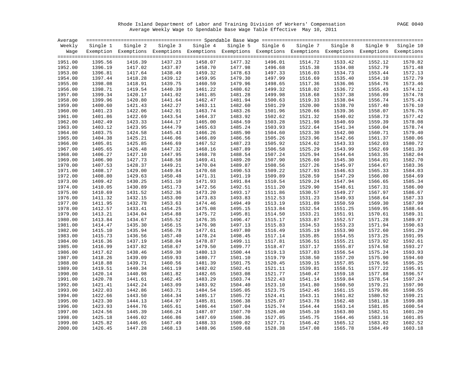Rhode Island Department of Labor and Training Division of Workers' Compensation PAGE 0040 Average Weekly Wage to Spendable Base Wage Table Effective May 10, 2011

| Average |          |                                                                                                              |                    |                   |         |                   |          |         |                             |         |
|---------|----------|--------------------------------------------------------------------------------------------------------------|--------------------|-------------------|---------|-------------------|----------|---------|-----------------------------|---------|
| Weekly  | Single 1 | Single 2                                                                                                     |                    | Single 3 Single 4 |         | Single 5 Single 6 | Single 7 |         | Single 8 Single 9 Single 10 |         |
| Waqe    |          | Exemption Exemptions Exemptions Exemptions Exemptions Exemptions Exemptions Exemptions Exemptions Exemptions |                    |                   |         |                   |          |         |                             |         |
|         |          |                                                                                                              |                    |                   |         |                   |          |         |                             |         |
| 1951.00 | 1395.56  | 1416.39                                                                                                      | 1437.23            | 1458.07           | 1477.32 | 1496.01           | 1514.72  | 1533.42 | 1552.12                     | 1570.82 |
| 1952.00 | 1396.19  | 1417.02                                                                                                      | 1437.87            | 1458.70           | 1477.98 | 1496.68           | 1515.38  | 1534.08 | 1552.79                     | 1571.48 |
| 1953.00 | 1396.81  | 1417.64                                                                                                      | 1438.49            | 1459.32           | 1478.63 | 1497.33           | 1516.03  | 1534.73 | 1553.44                     | 1572.13 |
| 1954.00 | 1397.44  | 1418.28                                                                                                      | 1439.12            | 1459.95           | 1479.30 | 1497.99           | 1516.69  | 1535.40 | 1554.10                     | 1572.79 |
| 1955.00 | 1398.08  | 1418.91                                                                                                      | 1439.75            | 1460.59           | 1479.96 | 1498.65           | 1517.36  | 1536.06 | 1554.76                     | 1573.46 |
| 1956.00 | 1398.71  | 1419.54                                                                                                      | 1440.39            | 1461.22           | 1480.62 | 1499.32           | 1518.02  | 1536.72 | 1555.43                     | 1574.12 |
| 1957.00 | 1399.34  | 1420.17                                                                                                      | 1441.02            | 1461.85           | 1481.28 | 1499.98           | 1518.68  | 1537.38 | 1556.09                     | 1574.78 |
| 1958.00 | 1399.96  | 1420.80                                                                                                      | 1441.64            | 1462.47           | 1481.94 | 1500.63           | 1519.33  | 1538.04 | 1556.74                     | 1575.43 |
| 1959.00 | 1400.60  | 1421.43                                                                                                      | 1442.27            | 1463.11           | 1482.60 | 1501.29           | 1520.00  | 1538.70 | 1557.40                     | 1576.10 |
| 1960.00 | 1401.23  | 1422.06                                                                                                      | 1442.91            | 1463.74           | 1483.26 | 1501.96           | 1520.66  | 1539.36 | 1558.07                     | 1576.76 |
| 1961.00 | 1401.86  | 1422.69                                                                                                      | 1443.54            | 1464.37           | 1483.92 | 1502.62           | 1521.32  | 1540.02 | 1558.73                     | 1577.42 |
| 1962.00 | 1402.49  | 1423.33                                                                                                      | 1444.17            | 1465.00           | 1484.59 | 1503.28           | 1521.98  | 1540.69 | 1559.39                     | 1578.08 |
| 1963.00 | 1403.12  | 1423.95                                                                                                      | 1444.79            | 1465.63           | 1485.24 | 1503.93           | 1522.64  | 1541.34 | 1560.04                     | 1578.74 |
| 1964.00 | 1403.75  | 1424.58                                                                                                      | 1445.43            | 1466.26           | 1485.90 | 1504.60           | 1523.30  | 1542.00 | 1560.71                     | 1579.40 |
|         | 1404.38  | 1425.21                                                                                                      |                    | 1466.89           | 1486.56 | 1505.26           | 1523.96  |         | 1561.37                     | 1580.06 |
| 1965.00 |          |                                                                                                              | 1446.06<br>1446.69 |                   |         |                   |          | 1542.66 |                             | 1580.72 |
| 1966.00 | 1405.01  | 1425.85                                                                                                      |                    | 1467.52           | 1487.23 | 1505.92           | 1524.62  | 1543.33 | 1562.03                     | 1581.39 |
| 1967.00 | 1405.65  | 1426.48                                                                                                      | 1447.32            | 1468.16           | 1487.89 | 1506.58           | 1525.29  | 1543.99 | 1562.69                     |         |
| 1968.00 | 1406.27  | 1427.10                                                                                                      | 1447.95            | 1468.78           | 1488.54 | 1507.24           | 1525.94  | 1544.64 | 1563.35                     | 1582.04 |
| 1969.00 | 1406.90  | 1427.73                                                                                                      | 1448.58            | 1469.41           | 1489.20 | 1507.90           | 1526.60  | 1545.30 | 1564.01                     | 1582.70 |
| 1970.00 | 1407.53  | 1428.37                                                                                                      | 1449.21            | 1470.04           | 1489.87 | 1508.56           | 1527.26  | 1545.97 | 1564.67                     | 1583.36 |
| 1971.00 | 1408.17  | 1429.00                                                                                                      | 1449.84            | 1470.68           | 1490.53 | 1509.22           | 1527.93  | 1546.63 | 1565.33                     | 1584.03 |
| 1972.00 | 1408.80  | 1429.63                                                                                                      | 1450.48            | 1471.31           | 1491.19 | 1509.89           | 1528.59  | 1547.29 | 1566.00                     | 1584.69 |
| 1973.00 | 1409.42  | 1430.25                                                                                                      | 1451.10            | 1471.93           | 1491.84 | 1510.54           | 1529.24  | 1547.94 | 1566.65                     | 1585.34 |
| 1974.00 | 1410.05  | 1430.89                                                                                                      | 1451.73            | 1472.56           | 1492.51 | 1511.20           | 1529.90  | 1548.61 | 1567.31                     | 1586.00 |
| 1975.00 | 1410.69  | 1431.52                                                                                                      | 1452.36            | 1473.20           | 1493.17 | 1511.86           | 1530.57  | 1549.27 | 1567.97                     | 1586.67 |
| 1976.00 | 1411.32  | 1432.15                                                                                                      | 1453.00            | 1473.83           | 1493.83 | 1512.53           | 1531.23  | 1549.93 | 1568.64                     | 1587.33 |
| 1977.00 | 1411.95  | 1432.78                                                                                                      | 1453.63            | 1474.46           | 1494.49 | 1513.19           | 1531.89  | 1550.59 | 1569.30                     | 1587.99 |
| 1978.00 | 1412.57  | 1433.41                                                                                                      | 1454.25            | 1475.08           | 1495.15 | 1513.84           | 1532.54  | 1551.25 | 1569.95                     | 1588.64 |
| 1979.00 | 1413.21  | 1434.04                                                                                                      | 1454.88            | 1475.72           | 1495.81 | 1514.50           | 1533.21  | 1551.91 | 1570.61                     | 1589.31 |
| 1980.00 | 1413.84  | 1434.67                                                                                                      | 1455.52            | 1476.35           | 1496.47 | 1515.17           | 1533.87  | 1552.57 | 1571.28                     | 1589.97 |
| 1981.00 | 1414.47  | 1435.30                                                                                                      | 1456.15            | 1476.98           | 1497.13 | 1515.83           | 1534.53  | 1553.23 | 1571.94                     | 1590.63 |
| 1982.00 | 1415.10  | 1435.94                                                                                                      | 1456.78            | 1477.61           | 1497.80 | 1516.49           | 1535.19  | 1553.90 | 1572.60                     | 1591.29 |
| 1983.00 | 1415.73  | 1436.56                                                                                                      | 1457.40            | 1478.24           | 1498.45 | 1517.14           | 1535.85  | 1554.55 | 1573.25                     | 1591.95 |
| 1984.00 | 1416.36  | 1437.19                                                                                                      | 1458.04            | 1478.87           | 1499.11 | 1517.81           | 1536.51  | 1555.21 | 1573.92                     | 1592.61 |
| 1985.00 | 1416.99  | 1437.82                                                                                                      | 1458.67            | 1479.50           | 1499.77 | 1518.47           | 1537.17  | 1555.87 | 1574.58                     | 1593.27 |
| 1986.00 | 1417.62  | 1438.46                                                                                                      | 1459.30            | 1480.13           | 1500.44 | 1519.13           | 1537.83  | 1556.54 | 1575.24                     | 1593.93 |
| 1987.00 | 1418.26  | 1439.09                                                                                                      | 1459.93            | 1480.77           | 1501.10 | 1519.79           | 1538.50  | 1557.20 | 1575.90                     | 1594.60 |
| 1988.00 | 1418.88  | 1439.71                                                                                                      | 1460.56            | 1481.39           | 1501.75 | 1520.45           | 1539.15  | 1557.85 | 1576.56                     | 1595.25 |
| 1989.00 | 1419.51  | 1440.34                                                                                                      | 1461.19            | 1482.02           | 1502.41 | 1521.11           | 1539.81  | 1558.51 | 1577.22                     | 1595.91 |
| 1990.00 | 1420.14  | 1440.98                                                                                                      | 1461.82            | 1482.65           | 1503.08 | 1521.77           | 1540.47  | 1559.18 | 1577.88                     | 1596.57 |
| 1991.00 | 1420.78  | 1441.61                                                                                                      | 1462.45            | 1483.29           | 1503.74 | 1522.43           | 1541.14  | 1559.84 | 1578.54                     | 1597.24 |
| 1992.00 | 1421.41  | 1442.24                                                                                                      | 1463.09            | 1483.92           | 1504.40 | 1523.10           | 1541.80  | 1560.50 | 1579.21                     | 1597.90 |
| 1993.00 | 1422.03  | 1442.86                                                                                                      | 1463.71            | 1484.54           | 1505.05 | 1523.75           | 1542.45  | 1561.15 | 1579.86                     | 1598.55 |
| 1994.00 | 1422.66  | 1443.50                                                                                                      | 1464.34            | 1485.17           | 1505.72 | 1524.41           | 1543.11  | 1561.82 | 1580.52                     | 1599.21 |
| 1995.00 | 1423.30  | 1444.13                                                                                                      | 1464.97            | 1485.81           | 1506.38 | 1525.07           | 1543.78  | 1562.48 | 1581.18                     | 1599.88 |
| 1996.00 | 1423.93  | 1444.76                                                                                                      | 1465.61            | 1486.44           | 1507.04 | 1525.74           | 1544.44  | 1563.14 | 1581.85                     | 1600.54 |
| 1997.00 | 1424.56  | 1445.39                                                                                                      | 1466.24            | 1487.07           | 1507.70 | 1526.40           | 1545.10  | 1563.80 | 1582.51                     | 1601.20 |
| 1998.00 | 1425.18  | 1446.02                                                                                                      | 1466.86            | 1487.69           | 1508.36 | 1527.05           | 1545.75  | 1564.46 | 1583.16                     | 1601.85 |
| 1999.00 | 1425.82  | 1446.65                                                                                                      | 1467.49            | 1488.33           | 1509.02 | 1527.71           | 1546.42  | 1565.12 | 1583.82                     | 1602.52 |
| 2000.00 | 1426.45  | 1447.28                                                                                                      | 1468.13            | 1488.96           | 1509.68 | 1528.38           | 1547.08  | 1565.78 | 1584.49                     | 1603.18 |
|         |          |                                                                                                              |                    |                   |         |                   |          |         |                             |         |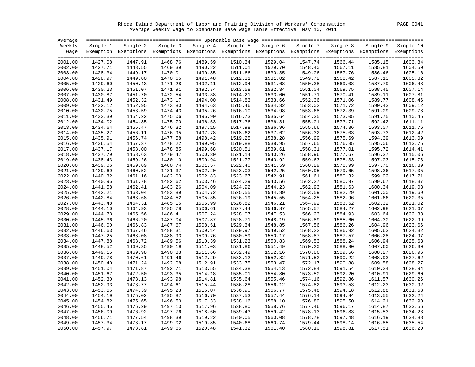Rhode Island Department of Labor and Training Division of Workers' Compensation PAGE 0041 Average Weekly Wage to Spendable Base Wage Table Effective May 10, 2011

| Average |          |                                                                                                              |         |                   |         |                   |          |          |          |           |
|---------|----------|--------------------------------------------------------------------------------------------------------------|---------|-------------------|---------|-------------------|----------|----------|----------|-----------|
| Weekly  | Single 1 | Single 2                                                                                                     |         | Single 3 Single 4 |         | Single 5 Single 6 | Single 7 | Single 8 | Single 9 | Single 10 |
| Waqe    |          | Exemption Exemptions Exemptions Exemptions Exemptions Exemptions Exemptions Exemptions Exemptions Exemptions |         |                   |         |                   |          |          |          |           |
|         |          |                                                                                                              |         |                   |         |                   |          |          |          |           |
| 2001.00 | 1427.08  | 1447.91                                                                                                      | 1468.76 | 1489.59           | 1510.34 | 1529.04           | 1547.74  | 1566.44  | 1585.15  | 1603.84   |
| 2002.00 | 1427.71  | 1448.55                                                                                                      | 1469.39 | 1490.22           | 1511.01 | 1529.70           | 1548.40  | 1567.11  | 1585.81  | 1604.50   |
| 2003.00 | 1428.34  | 1449.17                                                                                                      | 1470.01 | 1490.85           | 1511.66 | 1530.35           | 1549.06  | 1567.76  | 1586.46  | 1605.16   |
| 2004.00 | 1428.97  | 1449.80                                                                                                      | 1470.65 | 1491.48           | 1512.31 | 1531.02           | 1549.72  | 1568.42  | 1587.13  | 1605.82   |
| 2005.00 | 1429.60  | 1450.43                                                                                                      | 1471.28 | 1492.11           | 1512.94 | 1531.68           | 1550.38  | 1569.08  | 1587.79  | 1606.48   |
| 2006.00 | 1430.23  | 1451.07                                                                                                      | 1471.91 | 1492.74           | 1513.58 | 1532.34           | 1551.04  | 1569.75  | 1588.45  | 1607.14   |
| 2007.00 | 1430.87  | 1451.70                                                                                                      | 1472.54 | 1493.38           | 1514.21 | 1533.00           | 1551.71  | 1570.41  | 1589.11  | 1607.81   |
| 2008.00 | 1431.49  | 1452.32                                                                                                      | 1473.17 | 1494.00           | 1514.83 | 1533.66           | 1552.36  | 1571.06  | 1589.77  | 1608.46   |
| 2009.00 | 1432.12  | 1452.95                                                                                                      | 1473.80 | 1494.63           | 1515.46 | 1534.32           | 1553.02  | 1571.72  | 1590.43  | 1609.12   |
| 2010.00 | 1432.75  | 1453.59                                                                                                      | 1474.43 | 1495.26           | 1516.10 | 1534.98           | 1553.68  | 1572.39  | 1591.09  | 1609.78   |
| 2011.00 | 1433.39  | 1454.22                                                                                                      | 1475.06 | 1495.90           | 1516.73 | 1535.64           | 1554.35  | 1573.05  | 1591.75  | 1610.45   |
| 2012.00 | 1434.02  | 1454.85                                                                                                      | 1475.70 | 1496.53           | 1517.36 | 1536.31           | 1555.01  | 1573.71  | 1592.42  | 1611.11   |
| 2013.00 | 1434.64  | 1455.47                                                                                                      | 1476.32 | 1497.15           | 1517.98 | 1536.96           | 1555.66  | 1574.36  | 1593.07  | 1611.76   |
| 2014.00 | 1435.27  | 1456.11                                                                                                      | 1476.95 | 1497.78           | 1518.62 | 1537.62           | 1556.32  | 1575.03  | 1593.73  | 1612.42   |
| 2015.00 | 1435.91  | 1456.74                                                                                                      | 1477.58 | 1498.42           | 1519.25 | 1538.28           | 1556.99  | 1575.69  | 1594.39  | 1613.09   |
| 2016.00 | 1436.54  | 1457.37                                                                                                      | 1478.22 | 1499.05           | 1519.88 | 1538.95           | 1557.65  | 1576.35  | 1595.06  | 1613.75   |
| 2017.00 | 1437.17  | 1458.00                                                                                                      | 1478.85 | 1499.68           | 1520.51 | 1539.61           | 1558.31  | 1577.01  | 1595.72  | 1614.41   |
| 2018.00 | 1437.79  | 1458.63                                                                                                      | 1479.47 | 1500.30           | 1521.14 | 1540.26           | 1558.96  | 1577.67  | 1596.37  | 1615.06   |
| 2019.00 | 1438.43  | 1459.26                                                                                                      | 1480.10 | 1500.94           | 1521.77 | 1540.92           | 1559.63  | 1578.33  | 1597.03  | 1615.73   |
| 2020.00 | 1439.06  | 1459.89                                                                                                      | 1480.74 | 1501.57           | 1522.40 | 1541.59           | 1560.29  | 1578.99  | 1597.70  | 1616.39   |
| 2021.00 | 1439.69  | 1460.52                                                                                                      | 1481.37 | 1502.20           | 1523.03 | 1542.25           | 1560.95  | 1579.65  | 1598.36  | 1617.05   |
| 2022.00 | 1440.32  | 1461.16                                                                                                      | 1482.00 | 1502.83           | 1523.67 | 1542.91           | 1561.61  | 1580.32  | 1599.02  | 1617.71   |
| 2023.00 | 1440.95  | 1461.78                                                                                                      | 1482.62 | 1503.46           | 1524.29 | 1543.56           | 1562.27  | 1580.97  | 1599.67  | 1618.37   |
| 2024.00 | 1441.58  | 1462.41                                                                                                      | 1483.26 | 1504.09           | 1524.92 | 1544.23           | 1562.93  | 1581.63  | 1600.34  | 1619.03   |
| 2025.00 | 1442.21  | 1463.04                                                                                                      | 1483.89 | 1504.72           | 1525.55 | 1544.89           | 1563.59  | 1582.29  | 1601.00  | 1619.69   |
| 2026.00 | 1442.84  | 1463.68                                                                                                      | 1484.52 | 1505.35           | 1526.19 | 1545.55           | 1564.25  | 1582.96  | 1601.66  | 1620.35   |
| 2027.00 | 1443.48  | 1464.31                                                                                                      | 1485.15 | 1505.99           | 1526.82 | 1546.21           | 1564.92  | 1583.62  | 1602.32  | 1621.02   |
| 2028.00 | 1444.10  | 1464.93                                                                                                      | 1485.78 | 1506.61           | 1527.44 | 1546.87           | 1565.57  | 1584.27  | 1602.98  | 1621.67   |
| 2029.00 | 1444.73  | 1465.56                                                                                                      | 1486.41 | 1507.24           | 1528.07 | 1547.53           | 1566.23  | 1584.93  | 1603.64  | 1622.33   |
| 2030.00 | 1445.36  | 1466.20                                                                                                      | 1487.04 | 1507.87           | 1528.71 | 1548.19           | 1566.89  | 1585.60  | 1604.30  | 1622.99   |
| 2031.00 | 1446.00  | 1466.83                                                                                                      | 1487.67 | 1508.51           | 1529.34 | 1548.85           | 1567.56  | 1586.26  | 1604.96  | 1623.66   |
| 2032.00 | 1446.63  | 1467.46                                                                                                      | 1488.31 | 1509.14           | 1529.97 | 1549.52           | 1568.22  | 1586.92  | 1605.63  | 1624.32   |
| 2033.00 | 1447.25  | 1468.08                                                                                                      | 1488.93 | 1509.76           | 1530.59 | 1550.17           | 1568.87  | 1587.57  | 1606.28  | 1624.97   |
| 2034.00 | 1447.88  | 1468.72                                                                                                      | 1489.56 | 1510.39           | 1531.23 | 1550.83           | 1569.53  | 1588.24  | 1606.94  | 1625.63   |
| 2035.00 | 1448.52  | 1469.35                                                                                                      | 1490.19 | 1511.03           | 1531.86 | 1551.49           | 1570.20  | 1588.90  | 1607.60  | 1626.30   |
| 2036.00 | 1449.15  | 1469.98                                                                                                      | 1490.83 | 1511.66           | 1532.49 | 1552.16           | 1570.86  | 1589.56  | 1608.27  | 1626.96   |
| 2037.00 | 1449.78  | 1470.61                                                                                                      | 1491.46 | 1512.29           | 1533.12 | 1552.82           | 1571.52  | 1590.22  | 1608.93  | 1627.62   |
| 2038.00 | 1450.40  | 1471.24                                                                                                      | 1492.08 | 1512.91           | 1533.75 | 1553.47           | 1572.17  | 1590.88  | 1609.58  | 1628.27   |
| 2039.00 | 1451.04  | 1471.87                                                                                                      | 1492.71 | 1513.55           | 1534.38 | 1554.13           | 1572.84  | 1591.54  | 1610.24  | 1628.94   |
| 2040.00 | 1451.67  | 1472.50                                                                                                      | 1493.35 | 1514.18           | 1535.01 | 1554.80           | 1573.50  | 1592.20  | 1610.91  | 1629.60   |
| 2041.00 | 1452.30  | 1473.13                                                                                                      | 1493.98 | 1514.81           | 1535.64 | 1555.46           | 1574.16  | 1592.86  | 1611.57  | 1630.26   |
| 2042.00 | 1452.93  | 1473.77                                                                                                      | 1494.61 | 1515.44           | 1536.28 | 1556.12           | 1574.82  | 1593.53  | 1612.23  | 1630.92   |
| 2043.00 | 1453.56  | 1474.39                                                                                                      | 1495.23 | 1516.07           | 1536.90 | 1556.77           | 1575.48  | 1594.18  | 1612.88  | 1631.58   |
| 2044.00 | 1454.19  | 1475.02                                                                                                      | 1495.87 | 1516.70           | 1537.53 | 1557.44           | 1576.14  | 1594.84  | 1613.55  | 1632.24   |
| 2045.00 | 1454.82  | 1475.65                                                                                                      | 1496.50 | 1517.33           | 1538.16 | 1558.10           | 1576.80  | 1595.50  | 1614.21  | 1632.90   |
| 2046.00 | 1455.45  | 1476.29                                                                                                      | 1497.13 | 1517.96           | 1538.80 | 1558.76           | 1577.46  | 1596.17  | 1614.87  | 1633.56   |
| 2047.00 | 1456.09  | 1476.92                                                                                                      | 1497.76 | 1518.60           | 1539.43 | 1559.42           | 1578.13  | 1596.83  | 1615.53  | 1634.23   |
| 2048.00 | 1456.71  | 1477.54                                                                                                      | 1498.39 | 1519.22           | 1540.05 | 1560.08           | 1578.78  | 1597.48  | 1616.19  | 1634.88   |
| 2049.00 | 1457.34  | 1478.17                                                                                                      | 1499.02 | 1519.85           | 1540.68 | 1560.74           | 1579.44  | 1598.14  | 1616.85  | 1635.54   |
| 2050.00 | 1457.97  | 1478.81                                                                                                      | 1499.65 | 1520.48           | 1541.32 | 1561.40           | 1580.10  | 1598.81  | 1617.51  | 1636.20   |
|         |          |                                                                                                              |         |                   |         |                   |          |          |          |           |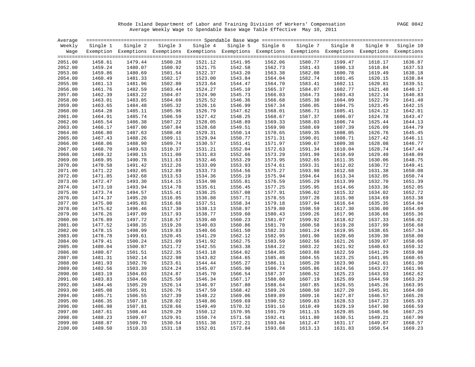Rhode Island Department of Labor and Training Division of Workers' Compensation PAGE 0042 Average Weekly Wage to Spendable Base Wage Table Effective May 10, 2011

| Average |          |                                                                                                              |         |                   |         |                   |          |          |          |           |
|---------|----------|--------------------------------------------------------------------------------------------------------------|---------|-------------------|---------|-------------------|----------|----------|----------|-----------|
| Weekly  | Single 1 | Single 2                                                                                                     |         | Single 3 Single 4 |         | Single 5 Single 6 | Single 7 | Single 8 | Single 9 | Single 10 |
| Waqe    |          | Exemption Exemptions Exemptions Exemptions Exemptions Exemptions Exemptions Exemptions Exemptions Exemptions |         |                   |         |                   |          |          |          |           |
|         |          |                                                                                                              |         |                   |         |                   |          |          |          |           |
| 2051.00 | 1458.61  | 1479.44                                                                                                      | 1500.28 | 1521.12           | 1541.95 | 1562.06           | 1580.77  | 1599.47  | 1618.17  | 1636.87   |
| 2052.00 | 1459.24  | 1480.07                                                                                                      | 1500.92 | 1521.75           | 1542.58 | 1562.73           | 1581.43  | 1600.13  | 1618.84  | 1637.53   |
| 2053.00 | 1459.86  | 1480.69                                                                                                      | 1501.54 | 1522.37           | 1543.20 | 1563.38           | 1582.08  | 1600.78  | 1619.49  | 1638.18   |
| 2054.00 | 1460.49  | 1481.33                                                                                                      | 1502.17 | 1523.00           | 1543.84 | 1564.04           | 1582.74  | 1601.45  | 1620.15  | 1638.84   |
| 2055.00 | 1461.13  | 1481.96                                                                                                      | 1502.80 | 1523.64           | 1544.47 | 1564.70           | 1583.41  | 1602.11  | 1620.81  | 1639.51   |
| 2056.00 | 1461.76  | 1482.59                                                                                                      | 1503.44 | 1524.27           | 1545.10 | 1565.37           | 1584.07  | 1602.77  | 1621.48  | 1640.17   |
| 2057.00 | 1462.39  | 1483.22                                                                                                      | 1504.07 | 1524.90           | 1545.73 | 1566.03           | 1584.73  | 1603.43  | 1622.14  | 1640.83   |
| 2058.00 | 1463.01  | 1483.85                                                                                                      | 1504.69 | 1525.52           | 1546.36 | 1566.68           | 1585.38  | 1604.09  | 1622.79  | 1641.48   |
| 2059.00 | 1463.65  | 1484.48                                                                                                      | 1505.32 | 1526.16           | 1546.99 | 1567.34           | 1586.05  | 1604.75  | 1623.45  | 1642.15   |
| 2060.00 | 1464.28  | 1485.11                                                                                                      | 1505.96 | 1526.79           | 1547.62 | 1568.01           | 1586.71  | 1605.41  | 1624.12  | 1642.81   |
| 2061.00 | 1464.91  | 1485.74                                                                                                      | 1506.59 | 1527.42           | 1548.25 | 1568.67           | 1587.37  | 1606.07  | 1624.78  | 1643.47   |
| 2062.00 | 1465.54  | 1486.38                                                                                                      | 1507.22 | 1528.05           | 1548.89 | 1569.33           | 1588.03  | 1606.74  | 1625.44  | 1644.13   |
| 2063.00 | 1466.17  | 1487.00                                                                                                      | 1507.84 | 1528.68           | 1549.51 | 1569.98           | 1588.69  | 1607.39  | 1626.09  | 1644.79   |
| 2064.00 | 1466.80  | 1487.63                                                                                                      | 1508.48 | 1529.31           | 1550.14 | 1570.65           | 1589.35  | 1608.05  | 1626.76  | 1645.45   |
| 2065.00 | 1467.43  | 1488.26                                                                                                      | 1509.11 | 1529.94           | 1550.77 | 1571.31           | 1590.01  | 1608.71  | 1627.42  | 1646.11   |
| 2066.00 | 1468.06  | 1488.90                                                                                                      | 1509.74 | 1530.57           | 1551.41 | 1571.97           | 1590.67  | 1609.38  | 1628.08  | 1646.77   |
| 2067.00 | 1468.70  | 1489.53                                                                                                      | 1510.37 | 1531.21           | 1552.04 | 1572.63           | 1591.34  | 1610.04  | 1628.74  | 1647.44   |
| 2068.00 | 1469.32  | 1490.15                                                                                                      | 1511.00 | 1531.83           | 1552.66 | 1573.29           | 1591.99  | 1610.69  | 1629.40  | 1648.09   |
| 2069.00 | 1469.95  | 1490.78                                                                                                      | 1511.63 | 1532.46           | 1553.29 | 1573.95           | 1592.65  | 1611.35  | 1630.06  | 1648.75   |
| 2070.00 | 1470.58  | 1491.42                                                                                                      | 1512.26 | 1533.09           | 1553.93 | 1574.61           | 1593.31  | 1612.02  | 1630.72  | 1649.41   |
| 2071.00 | 1471.22  | 1492.05                                                                                                      | 1512.89 | 1533.73           | 1554.56 | 1575.27           | 1593.98  | 1612.68  | 1631.38  | 1650.08   |
| 2072.00 | 1471.85  | 1492.68                                                                                                      | 1513.53 | 1534.36           | 1555.19 | 1575.94           | 1594.64  | 1613.34  | 1632.05  | 1650.74   |
| 2073.00 | 1472.47  | 1493.30                                                                                                      | 1514.15 | 1534.98           | 1555.81 | 1576.59           | 1595.29  | 1613.99  | 1632.70  | 1651.39   |
| 2074.00 | 1473.10  | 1493.94                                                                                                      | 1514.78 | 1535.61           | 1556.45 | 1577.25           | 1595.95  | 1614.66  | 1633.36  | 1652.05   |
| 2075.00 | 1473.74  | 1494.57                                                                                                      | 1515.41 | 1536.25           | 1557.08 | 1577.91           | 1596.62  | 1615.32  | 1634.02  | 1652.72   |
| 2076.00 | 1474.37  | 1495.20                                                                                                      | 1516.05 | 1536.88           | 1557.71 | 1578.55           | 1597.28  | 1615.98  | 1634.69  | 1653.38   |
| 2077.00 | 1475.00  | 1495.83                                                                                                      | 1516.68 | 1537.51           | 1558.34 | 1579.18           | 1597.94  | 1616.64  | 1635.35  | 1654.04   |
| 2078.00 | 1475.62  | 1496.46                                                                                                      | 1517.30 | 1538.13           | 1558.97 | 1579.80           | 1598.59  | 1617.30  | 1636.00  | 1654.69   |
| 2079.00 | 1476.26  | 1497.09                                                                                                      | 1517.93 | 1538.77           | 1559.60 | 1580.43           | 1599.26  | 1617.96  | 1636.66  | 1655.36   |
| 2080.00 | 1476.89  | 1497.72                                                                                                      | 1518.57 | 1539.40           | 1560.23 | 1581.07           | 1599.92  | 1618.62  | 1637.33  | 1656.02   |
| 2081.00 | 1477.52  | 1498.35                                                                                                      | 1519.20 | 1540.03           | 1560.86 | 1581.70           | 1600.58  | 1619.28  | 1637.99  | 1656.68   |
| 2082.00 | 1478.15  | 1498.99                                                                                                      | 1519.83 | 1540.66           | 1561.50 | 1582.33           | 1601.24  | 1619.95  | 1638.65  | 1657.34   |
| 2083.00 | 1478.78  | 1499.61                                                                                                      | 1520.45 | 1541.29           | 1562.12 | 1582.95           | 1601.90  | 1620.60  | 1639.30  | 1658.00   |
| 2084.00 | 1479.41  | 1500.24                                                                                                      | 1521.09 | 1541.92           | 1562.75 | 1583.59           | 1602.56  | 1621.26  | 1639.97  | 1658.66   |
| 2085.00 | 1480.04  | 1500.87                                                                                                      | 1521.72 | 1542.55           | 1563.38 | 1584.22           | 1603.22  | 1621.92  | 1640.63  | 1659.32   |
| 2086.00 | 1480.67  | 1501.51                                                                                                      | 1522.35 | 1543.18           | 1564.02 | 1584.85           | 1603.88  | 1622.59  | 1641.29  | 1659.98   |
| 2087.00 | 1481.31  | 1502.14                                                                                                      | 1522.98 | 1543.82           | 1564.65 | 1585.48           | 1604.55  | 1623.25  | 1641.95  | 1660.65   |
| 2088.00 | 1481.93  | 1502.76                                                                                                      | 1523.61 | 1544.44           | 1565.27 | 1586.11           | 1605.20  | 1623.90  | 1642.61  | 1661.30   |
| 2089.00 | 1482.56  | 1503.39                                                                                                      | 1524.24 | 1545.07           | 1565.90 | 1586.74           | 1605.86  | 1624.56  | 1643.27  | 1661.96   |
| 2090.00 | 1483.19  | 1504.03                                                                                                      | 1524.87 | 1545.70           | 1566.54 | 1587.37           | 1606.52  | 1625.23  | 1643.93  | 1662.62   |
| 2091.00 | 1483.83  | 1504.66                                                                                                      | 1525.50 | 1546.34           | 1567.17 | 1588.00           | 1607.19  | 1625.89  | 1644.59  | 1663.29   |
| 2092.00 | 1484.46  | 1505.29                                                                                                      | 1526.14 | 1546.97           | 1567.80 | 1588.64           | 1607.85  | 1626.55  | 1645.26  | 1663.95   |
| 2093.00 | 1485.08  | 1505.91                                                                                                      | 1526.76 | 1547.59           | 1568.42 | 1589.26           | 1608.50  | 1627.20  | 1645.91  | 1664.60   |
| 2094.00 | 1485.71  | 1506.55                                                                                                      | 1527.39 | 1548.22           | 1569.06 | 1589.89           | 1609.16  | 1627.87  | 1646.57  | 1665.26   |
| 2095.00 | 1486.35  | 1507.18                                                                                                      | 1528.02 | 1548.86           | 1569.69 | 1590.52           | 1609.83  | 1628.53  | 1647.23  | 1665.93   |
| 2096.00 | 1486.98  | 1507.81                                                                                                      | 1528.66 | 1549.49           | 1570.32 | 1591.16           | 1610.49  | 1629.19  | 1647.90  | 1666.59   |
| 2097.00 | 1487.61  | 1508.44                                                                                                      | 1529.29 | 1550.12           | 1570.95 | 1591.79           | 1611.15  | 1629.85  | 1648.56  | 1667.25   |
| 2098.00 | 1488.23  | 1509.07                                                                                                      | 1529.91 | 1550.74           | 1571.58 | 1592.41           | 1611.80  | 1630.51  | 1649.21  | 1667.90   |
| 2099.00 | 1488.87  | 1509.70                                                                                                      | 1530.54 | 1551.38           | 1572.21 | 1593.04           | 1612.47  | 1631.17  | 1649.87  | 1668.57   |
| 2100.00 | 1489.50  | 1510.33                                                                                                      | 1531.18 | 1552.01           | 1572.84 | 1593.68           | 1613.13  | 1631.83  | 1650.54  | 1669.23   |
|         |          |                                                                                                              |         |                   |         |                   |          |          |          |           |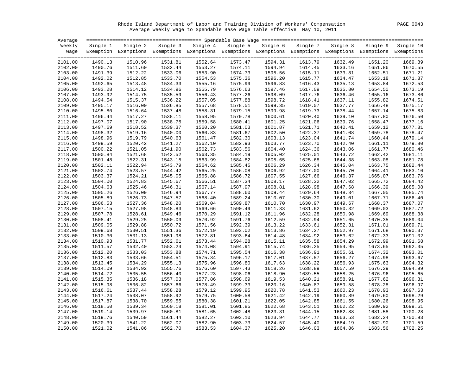Rhode Island Department of Labor and Training Division of Workers' Compensation PAGE 0043 Average Weekly Wage to Spendable Base Wage Table Effective May 10, 2011

| Average            |                    |                    |                    |                                                                                                              |                    |                    |                    |                    |                    |                    |
|--------------------|--------------------|--------------------|--------------------|--------------------------------------------------------------------------------------------------------------|--------------------|--------------------|--------------------|--------------------|--------------------|--------------------|
| Weekly             | Single 1           | Single 2           |                    | Single 3 Single 4                                                                                            | Single 5           | Single 6           | Single 7           | Single 8           | Single 9           | Single 10          |
| Waqe               |                    |                    |                    | Exemption Exemptions Exemptions Exemptions Exemptions Exemptions Exemptions Exemptions Exemptions Exemptions |                    |                    |                    |                    |                    |                    |
|                    |                    |                    |                    |                                                                                                              |                    |                    |                    |                    |                    |                    |
| 2101.00            | 1490.13            | 1510.96            | 1531.81            | 1552.64                                                                                                      | 1573.47            | 1594.31            | 1613.79            | 1632.49            | 1651.20            | 1669.89            |
| 2102.00            | 1490.76            | 1511.60            | 1532.44            | 1553.27                                                                                                      | 1574.11            | 1594.94            | 1614.45            | 1633.16            | 1651.86            | 1670.55            |
| 2103.00            | 1491.39            | 1512.22            | 1533.06            | 1553.90                                                                                                      | 1574.73            | 1595.56            | 1615.11            | 1633.81            | 1652.51            | 1671.21            |
| 2104.00            | 1492.02            | 1512.85            | 1533.70            | 1554.53                                                                                                      | 1575.36            | 1596.20            | 1615.77            | 1634.47            | 1653.18            | 1671.87            |
| 2105.00            | 1492.65            | 1513.48            | 1534.33            | 1555.16                                                                                                      | 1575.99            | 1596.83            | 1616.43            | 1635.13            | 1653.84            | 1672.53            |
| 2106.00            | 1493.28            | 1514.12            | 1534.96            | 1555.79                                                                                                      | 1576.63            | 1597.46            | 1617.09            | 1635.80            | 1654.50            | 1673.19<br>1673.86 |
| 2107.00            | 1493.92            | 1514.75            | 1535.59            | 1556.43                                                                                                      | 1577.26            | 1598.09            | 1617.76            | 1636.46            | 1655.16            |                    |
| 2108.00            | 1494.54<br>1495.17 | 1515.37<br>1516.00 | 1536.22<br>1536.85 | 1557.05<br>1557.68                                                                                           | 1577.88<br>1578.51 | 1598.72<br>1599.35 | 1618.41<br>1619.07 | 1637.11<br>1637.77 | 1655.82            | 1674.51<br>1675.17 |
| 2109.00            | 1495.80            | 1516.64            |                    | 1558.31                                                                                                      |                    |                    | 1619.73            | 1638.44            | 1656.48            | 1675.83            |
| 2110.00            | 1496.44            |                    | 1537.48<br>1538.11 | 1558.95                                                                                                      | 1579.15<br>1579.78 | 1599.98            | 1620.40            |                    | 1657.14            | 1676.50            |
| 2111.00<br>2112.00 | 1497.07            | 1517.27<br>1517.90 | 1538.75            | 1559.58                                                                                                      | 1580.41            | 1600.61<br>1601.25 | 1621.06            | 1639.10<br>1639.76 | 1657.80<br>1658.47 | 1677.16            |
| 2113.00            | 1497.69            | 1518.52            | 1539.37            | 1560.20                                                                                                      | 1581.03            | 1601.87            | 1621.71            | 1640.41            | 1659.12            | 1677.81            |
|                    | 1498.32            | 1519.16            | 1540.00            | 1560.83                                                                                                      | 1581.67            | 1602.50            | 1622.37            |                    |                    | 1678.47            |
| 2114.00            | 1498.96            | 1519.79            |                    |                                                                                                              | 1582.30            |                    | 1623.04            | 1641.08            | 1659.78            | 1679.14            |
| 2115.00            | 1499.59            | 1520.42            | 1540.63            | 1561.47<br>1562.10                                                                                           | 1582.93            | 1603.13<br>1603.77 | 1623.70            | 1641.74            | 1660.44<br>1661.11 | 1679.80            |
| 2116.00<br>2117.00 | 1500.22            | 1521.05            | 1541.27<br>1541.90 | 1562.73                                                                                                      | 1583.56            | 1604.40            | 1624.36            | 1642.40<br>1643.06 | 1661.77            | 1680.46            |
| 2118.00            | 1500.84            | 1521.68            | 1542.52            | 1563.35                                                                                                      | 1584.19            | 1605.02            | 1625.01            | 1643.72            | 1662.42            | 1681.11            |
| 2119.00            | 1501.48            | 1522.31            | 1543.15            | 1563.99                                                                                                      | 1584.82            | 1605.65            | 1625.68            | 1644.38            | 1663.08            | 1681.78            |
| 2120.00            | 1502.11            | 1522.94            | 1543.79            | 1564.62                                                                                                      | 1585.45            | 1606.29            | 1626.34            | 1645.04            | 1663.75            | 1682.44            |
| 2121.00            | 1502.74            | 1523.57            | 1544.42            | 1565.25                                                                                                      | 1586.08            | 1606.92            | 1627.00            | 1645.70            | 1664.41            | 1683.10            |
| 2122.00            | 1503.37            | 1524.21            | 1545.05            | 1565.88                                                                                                      | 1586.72            | 1607.55            | 1627.66            | 1646.37            | 1665.07            | 1683.76            |
| 2123.00            | 1504.00            | 1524.83            | 1545.67            | 1566.51                                                                                                      | 1587.34            | 1608.17            | 1628.32            | 1647.02            | 1665.72            | 1684.42            |
| 2124.00            | 1504.63            | 1525.46            | 1546.31            | 1567.14                                                                                                      | 1587.97            | 1608.81            | 1628.98            | 1647.68            | 1666.39            | 1685.08            |
| 2125.00            | 1505.26            | 1526.09            | 1546.94            | 1567.77                                                                                                      | 1588.60            | 1609.44            | 1629.64            | 1648.34            | 1667.05            | 1685.74            |
| 2126.00            | 1505.89            | 1526.73            | 1547.57            | 1568.40                                                                                                      | 1589.24            | 1610.07            | 1630.30            | 1649.01            | 1667.71            | 1686.40            |
| 2127.00            | 1506.53            | 1527.36            | 1548.20            | 1569.04                                                                                                      | 1589.87            | 1610.70            | 1630.97            | 1649.67            | 1668.37            | 1687.07            |
| 2128.00            | 1507.15            | 1527.98            | 1548.83            | 1569.66                                                                                                      | 1590.49            | 1611.33            | 1631.62            | 1650.32            | 1669.03            | 1687.72            |
| 2129.00            | 1507.78            | 1528.61            | 1549.46            | 1570.29                                                                                                      | 1591.12            | 1611.96            | 1632.28            | 1650.98            | 1669.69            | 1688.38            |
| 2130.00            | 1508.41            | 1529.25            | 1550.09            | 1570.92                                                                                                      | 1591.76            | 1612.59            | 1632.94            | 1651.65            | 1670.35            | 1689.04            |
| 2131.00            | 1509.05            | 1529.88            | 1550.72            | 1571.56                                                                                                      | 1592.39            | 1613.22            | 1633.61            | 1652.31            | 1671.01            | 1689.71            |
| 2132.00            | 1509.68            | 1530.51            | 1551.36            | 1572.19                                                                                                      | 1593.02            | 1613.86            | 1634.27            | 1652.97            | 1671.68            | 1690.37            |
| 2133.00            | 1510.30            | 1531.13            | 1551.98            | 1572.81                                                                                                      | 1593.64            | 1614.48            | 1634.92            | 1653.62            | 1672.33            | 1691.02            |
| 2134.00            | 1510.93            | 1531.77            | 1552.61            | 1573.44                                                                                                      | 1594.28            | 1615.11            | 1635.58            | 1654.29            | 1672.99            | 1691.68            |
| 2135.00            | 1511.57            | 1532.40            | 1553.24            | 1574.08                                                                                                      | 1594.91            | 1615.74            | 1636.25            | 1654.95            | 1673.65            | 1692.35            |
| 2136.00            | 1512.20            | 1533.03            | 1553.88            | 1574.71                                                                                                      | 1595.54            | 1616.38            | 1636.91            | 1655.61            | 1674.32            | 1693.01            |
| 2137.00            | 1512.83            | 1533.66            | 1554.51            | 1575.34                                                                                                      | 1596.17            | 1617.01            | 1637.57            | 1656.27            | 1674.98            | 1693.67            |
| 2138.00            | 1513.45            | 1534.29            | 1555.13            | 1575.96                                                                                                      | 1596.80            | 1617.63            | 1638.22            | 1656.93            | 1675.63            | 1694.32            |
| 2139.00            | 1514.09            | 1534.92            | 1555.76            | 1576.60                                                                                                      | 1597.43            | 1618.26            | 1638.89            | 1657.59            | 1676.29            | 1694.99            |
| 2140.00            | 1514.72            | 1535.55            | 1556.40            | 1577.23                                                                                                      | 1598.06            | 1618.90            | 1639.55            | 1658.25            | 1676.96            | 1695.65            |
| 2141.00            | 1515.35            | 1536.18            | 1557.03            | 1577.86                                                                                                      | 1598.69            | 1619.53            | 1640.21            | 1658.91            | 1677.62            | 1696.31            |
| 2142.00            | 1515.98            | 1536.82            | 1557.66            | 1578.49                                                                                                      | 1599.33            | 1620.16            | 1640.87            | 1659.58            | 1678.28            | 1696.97            |
| 2143.00            | 1516.61            | 1537.44            | 1558.28            | 1579.12                                                                                                      | 1599.95            | 1620.78            | 1641.53            | 1660.23            | 1678.93            | 1697.63            |
| 2144.00            | 1517.24            | 1538.07            | 1558.92            | 1579.75                                                                                                      | 1600.58            | 1621.42            | 1642.19            | 1660.89            | 1679.60            | 1698.29            |
| 2145.00            | 1517.87            | 1538.70            | 1559.55            | 1580.38                                                                                                      | 1601.21            | 1622.05            | 1642.85            | 1661.55            | 1680.26            | 1698.95            |
| 2146.00            | 1518.50            | 1539.34            | 1560.18            | 1581.01                                                                                                      | 1601.85            | 1622.68            | 1643.51            | 1662.22            | 1680.92            | 1699.61            |
| 2147.00            | 1519.14            | 1539.97            | 1560.81            | 1581.65                                                                                                      | 1602.48            | 1623.31            | 1644.15            | 1662.88            | 1681.58            | 1700.28            |
| 2148.00            | 1519.76            | 1540.59            | 1561.44            | 1582.27                                                                                                      | 1603.10            | 1623.94            | 1644.77            | 1663.53            | 1682.24            | 1700.93            |
| 2149.00            | 1520.39            | 1541.22            | 1562.07            | 1582.90                                                                                                      | 1603.73            | 1624.57            | 1645.40            | 1664.19            | 1682.90            | 1701.59            |
| 2150.00            | 1521.02            | 1541.86            | 1562.70            | 1583.53                                                                                                      | 1604.37            | 1625.20            | 1646.03            | 1664.86            | 1683.56            | 1702.25            |
|                    |                    |                    |                    |                                                                                                              |                    |                    |                    |                    |                    |                    |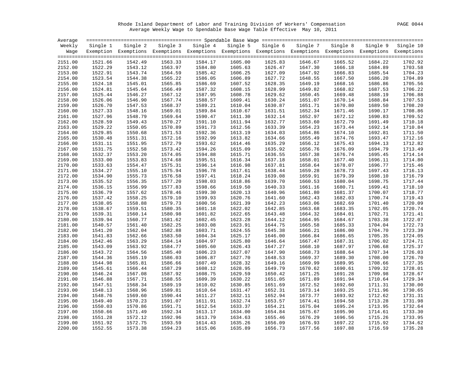Rhode Island Department of Labor and Training Division of Workers' Compensation PAGE 0044 Average Weekly Wage to Spendable Base Wage Table Effective May 10, 2011

| Average |          |                                                                                                              |          |          |          |          |          |          |          |           |
|---------|----------|--------------------------------------------------------------------------------------------------------------|----------|----------|----------|----------|----------|----------|----------|-----------|
| Weekly  | Single 1 | Single 2                                                                                                     | Single 3 | Single 4 | Single 5 | Single 6 | Single 7 | Single 8 | Single 9 | Single 10 |
| Waqe    |          | Exemption Exemptions Exemptions Exemptions Exemptions Exemptions Exemptions Exemptions Exemptions Exemptions |          |          |          |          |          |          |          |           |
|         |          |                                                                                                              |          |          |          |          |          |          |          |           |
| 2151.00 | 1521.66  | 1542.49                                                                                                      | 1563.33  | 1584.17  | 1605.00  | 1625.83  | 1646.67  | 1665.52  | 1684.22  | 1702.92   |
| 2152.00 | 1522.29  | 1543.12                                                                                                      | 1563.97  | 1584.80  | 1605.63  | 1626.47  | 1647.30  | 1666.18  | 1684.89  | 1703.58   |
| 2153.00 | 1522.91  | 1543.74                                                                                                      | 1564.59  | 1585.42  | 1606.25  | 1627.09  | 1647.92  | 1666.83  | 1685.54  | 1704.23   |
| 2154.00 | 1523.54  | 1544.38                                                                                                      | 1565.22  | 1586.05  | 1606.89  | 1627.72  | 1648.55  | 1667.50  | 1686.20  | 1704.89   |
| 2155.00 | 1524.18  | 1545.01                                                                                                      | 1565.85  | 1586.69  | 1607.52  | 1628.35  | 1649.19  | 1668.16  | 1686.86  | 1705.56   |
| 2156.00 | 1524.81  | 1545.64                                                                                                      | 1566.49  | 1587.32  | 1608.15  | 1628.99  | 1649.82  | 1668.82  | 1687.53  | 1706.22   |
| 2157.00 | 1525.44  | 1546.27                                                                                                      | 1567.12  | 1587.95  | 1608.78  | 1629.62  | 1650.45  | 1669.48  | 1688.19  | 1706.88   |
| 2158.00 | 1526.06  | 1546.90                                                                                                      | 1567.74  | 1588.57  | 1609.41  | 1630.24  | 1651.07  | 1670.14  | 1688.84  | 1707.53   |
| 2159.00 | 1526.70  | 1547.53                                                                                                      | 1568.37  | 1589.21  | 1610.04  | 1630.87  | 1651.71  | 1670.80  | 1689.50  | 1708.20   |
| 2160.00 | 1527.33  | 1548.16                                                                                                      | 1569.01  | 1589.84  | 1610.67  | 1631.51  | 1652.34  | 1671.46  | 1690.17  | 1708.86   |
| 2161.00 | 1527.96  | 1548.79                                                                                                      | 1569.64  | 1590.47  | 1611.30  | 1632.14  | 1652.97  | 1672.12  | 1690.83  | 1709.52   |
| 2162.00 | 1528.59  | 1549.43                                                                                                      | 1570.27  | 1591.10  | 1611.94  | 1632.77  | 1653.60  | 1672.79  | 1691.49  | 1710.18   |
| 2163.00 | 1529.22  | 1550.05                                                                                                      | 1570.89  | 1591.73  | 1612.56  | 1633.39  | 1654.23  | 1673.44  | 1692.14  | 1710.84   |
| 2164.00 | 1529.85  | 1550.68                                                                                                      | 1571.53  | 1592.36  | 1613.19  | 1634.03  | 1654.86  | 1674.10  | 1692.81  | 1711.50   |
| 2165.00 | 1530.48  | 1551.31                                                                                                      | 1572.16  | 1592.99  | 1613.82  | 1634.66  | 1655.49  | 1674.76  | 1693.47  | 1712.16   |
| 2166.00 | 1531.11  | 1551.95                                                                                                      | 1572.79  | 1593.62  | 1614.46  | 1635.29  | 1656.12  | 1675.43  | 1694.13  | 1712.82   |
| 2167.00 | 1531.75  | 1552.58                                                                                                      | 1573.42  | 1594.26  | 1615.09  | 1635.92  | 1656.76  | 1676.09  | 1694.79  | 1713.49   |
| 2168.00 | 1532.37  | 1553.20                                                                                                      | 1574.05  | 1594.88  | 1615.71  | 1636.55  | 1657.38  | 1676.74  | 1695.45  | 1714.14   |
| 2169.00 | 1533.00  | 1553.83                                                                                                      | 1574.68  | 1595.51  | 1616.34  | 1637.18  | 1658.01  | 1677.40  | 1696.11  | 1714.80   |
| 2170.00 | 1533.63  | 1554.47                                                                                                      | 1575.31  | 1596.14  | 1616.98  | 1637.81  | 1658.64  | 1678.07  | 1696.77  | 1715.46   |
| 2171.00 | 1534.27  | 1555.10                                                                                                      | 1575.94  | 1596.78  | 1617.61  | 1638.44  | 1659.28  | 1678.73  | 1697.43  | 1716.13   |
| 2172.00 | 1534.90  | 1555.73                                                                                                      | 1576.58  | 1597.41  | 1618.24  | 1639.08  | 1659.91  | 1679.39  | 1698.10  | 1716.79   |
| 2173.00 | 1535.52  | 1556.35                                                                                                      | 1577.20  | 1598.03  | 1618.86  | 1639.70  | 1660.53  | 1680.04  | 1698.75  | 1717.44   |
|         | 1536.15  | 1556.99                                                                                                      | 1577.83  | 1598.66  |          |          |          |          |          | 1718.10   |
| 2174.00 |          |                                                                                                              |          |          | 1619.50  | 1640.33  | 1661.16  | 1680.71  | 1699.41  |           |
| 2175.00 | 1536.79  | 1557.62                                                                                                      | 1578.46  | 1599.30  | 1620.13  | 1640.96  | 1661.80  | 1681.37  | 1700.07  | 1718.77   |
| 2176.00 | 1537.42  | 1558.25                                                                                                      | 1579.10  | 1599.93  | 1620.76  | 1641.60  | 1662.43  | 1682.03  | 1700.74  | 1719.43   |
| 2177.00 | 1538.05  | 1558.88                                                                                                      | 1579.73  | 1600.56  | 1621.39  | 1642.23  | 1663.06  | 1682.69  | 1701.40  | 1720.09   |
| 2178.00 | 1538.67  | 1559.51                                                                                                      | 1580.35  | 1601.18  | 1622.02  | 1642.85  | 1663.68  | 1683.35  | 1702.05  | 1720.74   |
| 2179.00 | 1539.31  | 1560.14                                                                                                      | 1580.98  | 1601.82  | 1622.65  | 1643.48  | 1664.32  | 1684.01  | 1702.71  | 1721.41   |
| 2180.00 | 1539.94  | 1560.77                                                                                                      | 1581.62  | 1602.45  | 1623.28  | 1644.12  | 1664.95  | 1684.67  | 1703.38  | 1722.07   |
| 2181.00 | 1540.57  | 1561.40                                                                                                      | 1582.25  | 1603.08  | 1623.91  | 1644.75  | 1665.58  | 1685.33  | 1704.04  | 1722.73   |
| 2182.00 | 1541.20  | 1562.04                                                                                                      | 1582.88  | 1603.71  | 1624.55  | 1645.38  | 1666.21  | 1686.00  | 1704.70  | 1723.39   |
| 2183.00 | 1541.83  | 1562.66                                                                                                      | 1583.50  | 1604.34  | 1625.17  | 1646.00  | 1666.84  | 1686.65  | 1705.35  | 1724.05   |
| 2184.00 | 1542.46  | 1563.29                                                                                                      | 1584.14  | 1604.97  | 1625.80  | 1646.64  | 1667.47  | 1687.31  | 1706.02  | 1724.71   |
| 2185.00 | 1543.09  | 1563.92                                                                                                      | 1584.77  | 1605.60  | 1626.43  | 1647.27  | 1668.10  | 1687.97  | 1706.68  | 1725.37   |
| 2186.00 | 1543.72  | 1564.56                                                                                                      | 1585.40  | 1606.23  | 1627.07  | 1647.90  | 1668.73  | 1688.64  | 1707.34  | 1726.03   |
| 2187.00 | 1544.36  | 1565.19                                                                                                      | 1586.03  | 1606.87  | 1627.70  | 1648.53  | 1669.37  | 1689.30  | 1708.00  | 1726.70   |
| 2188.00 | 1544.98  | 1565.81                                                                                                      | 1586.66  | 1607.49  | 1628.32  | 1649.16  | 1669.99  | 1689.95  | 1708.66  | 1727.35   |
| 2189.00 | 1545.61  | 1566.44                                                                                                      | 1587.29  | 1608.12  | 1628.95  | 1649.79  | 1670.62  | 1690.61  | 1709.32  | 1728.01   |
| 2190.00 | 1546.24  | 1567.08                                                                                                      | 1587.92  | 1608.75  | 1629.59  | 1650.42  | 1671.25  | 1691.28  | 1709.98  | 1728.67   |
| 2191.00 | 1546.88  | 1567.71                                                                                                      | 1588.55  | 1609.39  | 1630.22  | 1651.05  | 1671.89  | 1691.94  | 1710.64  | 1729.34   |
| 2192.00 | 1547.51  | 1568.34                                                                                                      | 1589.19  | 1610.02  | 1630.85  | 1651.69  | 1672.52  | 1692.60  | 1711.31  | 1730.00   |
| 2193.00 | 1548.13  | 1568.96                                                                                                      | 1589.81  | 1610.64  | 1631.47  | 1652.31  | 1673.14  | 1693.25  | 1711.96  | 1730.65   |
| 2194.00 | 1548.76  | 1569.60                                                                                                      | 1590.44  | 1611.27  | 1632.11  | 1652.94  | 1673.77  | 1693.92  | 1712.62  | 1731.31   |
| 2195.00 | 1549.40  | 1570.23                                                                                                      | 1591.07  | 1611.91  | 1632.74  | 1653.57  | 1674.41  | 1694.58  | 1713.28  | 1731.98   |
| 2196.00 | 1550.03  | 1570.86                                                                                                      | 1591.71  | 1612.54  | 1633.37  | 1654.21  | 1675.04  | 1695.24  | 1713.95  | 1732.64   |
| 2197.00 | 1550.66  | 1571.49                                                                                                      | 1592.34  | 1613.17  | 1634.00  | 1654.84  | 1675.67  | 1695.90  | 1714.61  | 1733.30   |
| 2198.00 | 1551.28  | 1572.12                                                                                                      | 1592.96  | 1613.79  | 1634.63  | 1655.46  | 1676.29  | 1696.56  | 1715.26  | 1733.95   |
| 2199.00 | 1551.92  | 1572.75                                                                                                      | 1593.59  | 1614.43  | 1635.26  | 1656.09  | 1676.93  | 1697.22  | 1715.92  | 1734.62   |
| 2200.00 | 1552.55  | 1573.38                                                                                                      | 1594.23  | 1615.06  | 1635.89  | 1656.73  | 1677.56  | 1697.88  | 1716.59  | 1735.28   |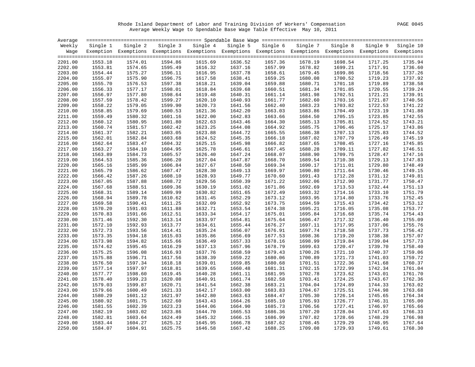Rhode Island Department of Labor and Training Division of Workers' Compensation PAGE 0045 Average Weekly Wage to Spendable Base Wage Table Effective May 10, 2011

| Average |          |                                                                                                              |          |          |          |          |          |          |         |                    |
|---------|----------|--------------------------------------------------------------------------------------------------------------|----------|----------|----------|----------|----------|----------|---------|--------------------|
| Weekly  | Single 1 | Single 2                                                                                                     | Single 3 | Single 4 | Single 5 | Single 6 | Single 7 | Single 8 |         | Single 9 Single 10 |
| Waqe    |          | Exemption Exemptions Exemptions Exemptions Exemptions Exemptions Exemptions Exemptions Exemptions Exemptions |          |          |          |          |          |          |         |                    |
| 2201.00 | 1553.18  | 1574.01                                                                                                      | 1594.86  | 1615.69  | 1636.52  | 1657.36  | 1678.19  | 1698.54  | 1717.25 | 1735.94            |
| 2202.00 | 1553.81  | 1574.65                                                                                                      | 1595.49  | 1616.32  | 1637.16  | 1657.99  | 1678.82  | 1699.21  | 1717.91 | 1736.60            |
| 2203.00 | 1554.44  | 1575.27                                                                                                      | 1596.11  | 1616.95  | 1637.78  | 1658.61  | 1679.45  | 1699.86  | 1718.56 | 1737.26            |
| 2204.00 | 1555.07  | 1575.90                                                                                                      | 1596.75  | 1617.58  | 1638.41  | 1659.25  | 1680.08  | 1700.52  | 1719.23 | 1737.92            |
| 2205.00 | 1555.70  | 1576.53                                                                                                      | 1597.38  | 1618.21  | 1639.04  | 1659.88  | 1680.71  | 1701.18  | 1719.89 | 1738.58            |
| 2206.00 | 1556.33  | 1577.17                                                                                                      | 1598.01  | 1618.84  | 1639.68  | 1660.51  | 1681.34  | 1701.85  | 1720.55 | 1739.24            |
| 2207.00 | 1556.97  | 1577.80                                                                                                      | 1598.64  | 1619.48  | 1640.31  | 1661.14  | 1681.98  | 1702.51  | 1721.21 | 1739.91            |
| 2208.00 | 1557.59  | 1578.42                                                                                                      | 1599.27  | 1620.10  | 1640.93  | 1661.77  | 1682.60  | 1703.16  | 1721.87 | 1740.56            |
| 2209.00 | 1558.22  | 1579.05                                                                                                      | 1599.90  | 1620.73  | 1641.56  | 1662.40  | 1683.23  | 1703.82  | 1722.53 | 1741.22            |
| 2210.00 | 1558.85  | 1579.69                                                                                                      | 1600.53  | 1621.36  | 1642.20  | 1663.03  | 1683.86  | 1704.49  | 1723.19 | 1741.88            |
| 2211.00 | 1559.49  | 1580.32                                                                                                      | 1601.16  | 1622.00  | 1642.83  | 1663.66  | 1684.50  | 1705.15  | 1723.85 | 1742.55            |
| 2212.00 | 1560.12  | 1580.95                                                                                                      | 1601.80  | 1622.63  | 1643.46  | 1664.30  | 1685.13  | 1705.81  | 1724.52 | 1743.21            |
| 2213.00 | 1560.74  | 1581.57                                                                                                      | 1602.42  | 1623.25  | 1644.08  | 1664.92  | 1685.75  | 1706.46  | 1725.17 | 1743.86            |
| 2214.00 | 1561.37  | 1582.21                                                                                                      | 1603.05  | 1623.88  | 1644.72  | 1665.55  | 1686.38  | 1707.13  | 1725.83 | 1744.52            |
| 2215.00 | 1562.01  | 1582.84                                                                                                      | 1603.68  | 1624.52  | 1645.35  | 1666.18  | 1687.02  | 1707.79  | 1726.49 | 1745.19            |
| 2216.00 | 1562.64  | 1583.47                                                                                                      | 1604.32  | 1625.15  | 1645.98  | 1666.82  | 1687.65  | 1708.45  | 1727.16 | 1745.85            |
| 2217.00 | 1563.27  | 1584.10                                                                                                      | 1604.95  | 1625.78  | 1646.61  | 1667.45  | 1688.28  | 1709.11  | 1727.82 | 1746.51            |
| 2218.00 | 1563.89  | 1584.73                                                                                                      | 1605.57  | 1626.40  | 1647.24  | 1668.07  | 1688.90  | 1709.75  | 1728.47 | 1747.16            |
| 2219.00 | 1564.53  | 1585.36                                                                                                      | 1606.20  | 1627.04  | 1647.87  | 1668.70  | 1689.54  | 1710.38  | 1729.13 | 1747.83            |
| 2220.00 | 1565.16  | 1585.99                                                                                                      | 1606.84  | 1627.67  | 1648.50  | 1669.34  | 1690.17  | 1711.01  | 1729.80 | 1748.49            |
| 2221.00 | 1565.79  | 1586.62                                                                                                      | 1607.47  | 1628.30  | 1649.13  | 1669.97  | 1690.80  | 1711.64  | 1730.46 | 1749.15            |
| 2222.00 | 1566.42  | 1587.26                                                                                                      | 1608.10  | 1628.93  | 1649.77  | 1670.60  | 1691.43  | 1712.28  | 1731.12 | 1749.81            |
| 2223.00 | 1567.05  | 1587.88                                                                                                      | 1608.72  | 1629.56  | 1650.39  | 1671.22  | 1692.06  | 1712.90  | 1731.77 | 1750.47            |
| 2224.00 | 1567.68  | 1588.51                                                                                                      | 1609.36  | 1630.19  | 1651.02  | 1671.86  | 1692.69  | 1713.53  | 1732.44 | 1751.13            |
| 2225.00 | 1568.31  | 1589.14                                                                                                      | 1609.99  | 1630.82  | 1651.65  | 1672.49  | 1693.32  | 1714.16  | 1733.10 | 1751.79            |
| 2226.00 | 1568.94  | 1589.78                                                                                                      | 1610.62  | 1631.45  | 1652.29  | 1673.12  | 1693.95  | 1714.80  | 1733.76 | 1752.45            |
| 2227.00 | 1569.58  | 1590.41                                                                                                      | 1611.25  | 1632.09  | 1652.92  | 1673.75  | 1694.59  | 1715.43  | 1734.42 | 1753.12            |
| 2228.00 | 1570.20  | 1591.03                                                                                                      | 1611.88  | 1632.71  | 1653.54  | 1674.38  | 1695.21  | 1716.05  | 1735.08 | 1753.77            |
| 2229.00 | 1570.83  | 1591.66                                                                                                      | 1612.51  | 1633.34  | 1654.17  | 1675.01  | 1695.84  | 1716.68  | 1735.74 | 1754.43            |
| 2230.00 | 1571.46  | 1592.30                                                                                                      | 1613.14  | 1633.97  | 1654.81  | 1675.64  | 1696.47  | 1717.32  | 1736.40 | 1755.09            |
| 2231.00 | 1572.10  | 1592.93                                                                                                      | 1613.77  | 1634.61  | 1655.44  | 1676.27  | 1697.11  | 1717.95  | 1737.06 | 1755.76            |
| 2232.00 | 1572.73  | 1593.56                                                                                                      | 1614.41  | 1635.24  | 1656.07  | 1676.91  | 1697.74  | 1718.58  | 1737.73 | 1756.42            |
| 2233.00 | 1573.35  | 1594.18                                                                                                      | 1615.03  | 1635.86  | 1656.69  | 1677.53  | 1698.36  | 1719.20  | 1738.38 | 1757.07            |
| 2234.00 | 1573.98  | 1594.82                                                                                                      | 1615.66  | 1636.49  | 1657.33  | 1678.16  | 1698.99  | 1719.84  | 1739.04 | 1757.73            |
| 2235.00 | 1574.62  | 1595.45                                                                                                      | 1616.29  | 1637.13  | 1657.96  | 1678.79  | 1699.63  | 1720.47  | 1739.70 | 1758.40            |
| 2236.00 | 1575.25  | 1596.08                                                                                                      | 1616.93  | 1637.76  | 1658.59  | 1679.43  | 1700.26  | 1721.10  | 1740.37 | 1759.06            |
| 2237.00 | 1575.88  | 1596.71                                                                                                      | 1617.56  | 1638.39  | 1659.22  | 1680.06  | 1700.89  | 1721.73  | 1741.03 | 1759.72            |
| 2238.00 | 1576.50  | 1597.34                                                                                                      | 1618.18  | 1639.01  | 1659.85  | 1680.68  | 1701.51  | 1722.36  | 1741.68 | 1760.37            |
| 2239.00 | 1577.14  | 1597.97                                                                                                      | 1618.81  | 1639.65  | 1660.48  | 1681.31  | 1702.15  | 1722.99  | 1742.34 | 1761.04            |
| 2240.00 | 1577.77  | 1598.60                                                                                                      | 1619.45  | 1640.28  | 1661.11  | 1681.95  | 1702.78  | 1723.62  | 1743.01 | 1761.70            |
| 2241.00 | 1578.40  | 1599.23                                                                                                      | 1620.08  | 1640.91  | 1661.74  | 1682.58  | 1703.41  | 1724.25  | 1743.67 | 1762.36            |
| 2242.00 | 1579.03  | 1599.87                                                                                                      | 1620.71  | 1641.54  | 1662.38  | 1683.21  | 1704.04  | 1724.89  | 1744.33 | 1763.02            |
| 2243.00 | 1579.66  | 1600.49                                                                                                      | 1621.33  | 1642.17  | 1663.00  | 1683.83  | 1704.67  | 1725.51  | 1744.98 | 1763.68            |
| 2244.00 | 1580.29  | 1601.12                                                                                                      | 1621.97  | 1642.80  | 1663.63  | 1684.47  | 1705.30  | 1726.14  | 1745.65 | 1764.34            |
| 2245.00 | 1580.92  | 1601.75                                                                                                      | 1622.60  | 1643.43  | 1664.26  | 1685.10  | 1705.93  | 1726.77  | 1746.31 | 1765.00            |
| 2246.00 | 1581.55  | 1602.39                                                                                                      | 1623.23  | 1644.06  | 1664.90  | 1685.73  | 1706.56  | 1727.41  | 1746.97 | 1765.66            |
| 2247.00 | 1582.19  | 1603.02                                                                                                      | 1623.86  | 1644.70  | 1665.53  | 1686.36  | 1707.20  | 1728.04  | 1747.63 | 1766.33            |
| 2248.00 | 1582.81  | 1603.64                                                                                                      | 1624.49  | 1645.32  | 1666.15  | 1686.99  | 1707.82  | 1728.66  | 1748.29 | 1766.98            |
| 2249.00 | 1583.44  | 1604.27                                                                                                      | 1625.12  | 1645.95  | 1666.78  | 1687.62  | 1708.45  | 1729.29  | 1748.95 | 1767.64            |
| 2250.00 | 1584.07  | 1604.91                                                                                                      | 1625.75  | 1646.58  | 1667.42  | 1688.25  | 1709.08  | 1729.93  | 1749.61 | 1768.30            |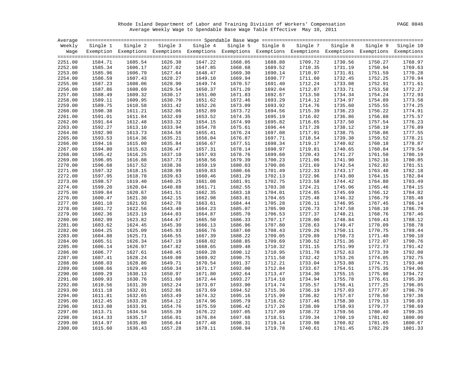Rhode Island Department of Labor and Training Division of Workers' Compensation PAGE 0046 Average Weekly Wage to Spendable Base Wage Table Effective May 10, 2011

| Average            |                    |                                                                                                              |                    |                    |                    |                    |                    |                    |                    |           |
|--------------------|--------------------|--------------------------------------------------------------------------------------------------------------|--------------------|--------------------|--------------------|--------------------|--------------------|--------------------|--------------------|-----------|
| Weekly             | Single 1           | Single 2                                                                                                     | Single 3           | Single 4           | Single 5           | Single 6           | Single 7           | Single 8           | Single 9           | Single 10 |
| Waqe               |                    | Exemption Exemptions Exemptions Exemptions Exemptions Exemptions Exemptions Exemptions Exemptions Exemptions |                    |                    |                    |                    |                    |                    |                    |           |
|                    |                    |                                                                                                              |                    |                    |                    |                    |                    |                    |                    |           |
| 2251.00            | 1584.71            | 1605.54                                                                                                      | 1626.38            | 1647.22            | 1668.05            | 1688.88            | 1709.72            | 1730.56            | 1750.27            | 1768.97   |
| 2252.00            | 1585.34            | 1606.17                                                                                                      | 1627.02            | 1647.85            | 1668.68            | 1689.52            | 1710.35            | 1731.19            | 1750.94            | 1769.63   |
| 2253.00            | 1585.96            | 1606.79                                                                                                      | 1627.64            | 1648.47            | 1669.30            | 1690.14            | 1710.97            | 1731.81            | 1751.59            | 1770.28   |
| 2254.00            | 1586.59            | 1607.43                                                                                                      | 1628.27            | 1649.10            | 1669.94            | 1690.77            | 1711.60            | 1732.45            | 1752.25            | 1770.94   |
| 2255.00            | 1587.23            | 1608.06                                                                                                      | 1628.90            | 1649.74            | 1670.57            | 1691.40            | 1712.24            | 1733.08            | 1752.91            | 1771.61   |
| 2256.00            | 1587.86            | 1608.69                                                                                                      | 1629.54            | 1650.37            | 1671.20            | 1692.04            | 1712.87            | 1733.71            | 1753.58            | 1772.27   |
| 2257.00            | 1588.49            | 1609.32                                                                                                      | 1630.17            | 1651.00            | 1671.83            | 1692.67            | 1713.50            | 1734.34            | 1754.24            | 1772.93   |
| 2258.00            | 1589.11            | 1609.95                                                                                                      | 1630.79            | 1651.62            | 1672.46            | 1693.29            | 1714.12            | 1734.97            | 1754.89            | 1773.58   |
| 2259.00            | 1589.75            | 1610.58                                                                                                      | 1631.42            | 1652.26            | 1673.09            | 1693.92            | 1714.76            | 1735.60            | 1755.55            | 1774.25   |
| 2260.00            | 1590.38            | 1611.21                                                                                                      | 1632.06            | 1652.89            | 1673.72            | 1694.56            | 1715.39            | 1736.23            | 1756.22            | 1774.91   |
| 2261.00            | 1591.01            | 1611.84                                                                                                      | 1632.69            | 1653.52            | 1674.35            | 1695.19            | 1716.02            | 1736.86            | 1756.88            | 1775.57   |
| 2262.00            | 1591.64            | 1612.48                                                                                                      | 1633.32            | 1654.15            | 1674.99            | 1695.82            | 1716.65            | 1737.50            | 1757.54            | 1776.23   |
| 2263.00            | 1592.27            | 1613.10                                                                                                      | 1633.94            | 1654.78            | 1675.61            | 1696.44            | 1717.28            | 1738.12            | 1758.19            | 1776.89   |
| 2264.00            | 1592.90            | 1613.73                                                                                                      | 1634.58            | 1655.41            | 1676.24            | 1697.08            | 1717.91            | 1738.75            | 1758.86            | 1777.55   |
| 2265.00            | 1593.53            | 1614.36                                                                                                      | 1635.21            | 1656.04            | 1676.87            | 1697.71            | 1718.54            | 1739.38            | 1759.52            | 1778.21   |
| 2266.00            | 1594.16            | 1615.00                                                                                                      | 1635.84            | 1656.67            | 1677.51            | 1698.34            | 1719.17            | 1740.02            | 1760.18            | 1778.87   |
| 2267.00            | 1594.80            | 1615.63                                                                                                      | 1636.47            | 1657.31            | 1678.14            | 1698.97            | 1719.81            | 1740.65            | 1760.84            | 1779.54   |
| 2268.00            | 1595.42            | 1616.25                                                                                                      | 1637.10            | 1657.93            | 1678.76            | 1699.60            | 1720.43            | 1741.27            | 1761.50            | 1780.19   |
| 2269.00            | 1596.05            | 1616.88                                                                                                      | 1637.73            | 1658.56            | 1679.39            | 1700.23            | 1721.06            | 1741.90            | 1762.16            | 1780.85   |
| 2270.00            | 1596.68            | 1617.52                                                                                                      | 1638.36            | 1659.19            | 1680.03            | 1700.86            | 1721.69            | 1742.54            | 1762.82            | 1781.51   |
| 2271.00            | 1597.32            | 1618.15                                                                                                      | 1638.99            | 1659.83            | 1680.66            | 1701.49            | 1722.33            | 1743.17            | 1763.48            | 1782.18   |
| 2272.00            | 1597.95            | 1618.78                                                                                                      | 1639.63            | 1660.46            | 1681.29            | 1702.13            | 1722.96            | 1743.80            | 1764.15            | 1782.84   |
| 2273.00            | 1598.57            | 1619.40                                                                                                      | 1640.25            | 1661.08            | 1681.91            | 1702.75            | 1723.58            | 1744.42            | 1764.80            | 1783.49   |
| 2274.00            | 1599.20            | 1620.04                                                                                                      | 1640.88            | 1661.71            | 1682.55            | 1703.38            | 1724.21            | 1745.06            | 1765.46            | 1784.15   |
| 2275.00            | 1599.84            | 1620.67                                                                                                      | 1641.51            | 1662.35            | 1683.18            | 1704.01            | 1724.85            | 1745.69            | 1766.12            | 1784.82   |
| 2276.00            | 1600.47            | 1621.30                                                                                                      | 1642.15            | 1662.98            | 1683.81            | 1704.65            | 1725.48            | 1746.32            | 1766.79            | 1785.48   |
| 2277.00            | 1601.10            | 1621.93                                                                                                      | 1642.78            | 1663.61            | 1684.44            | 1705.28            | 1726.11            | 1746.95            | 1767.45            | 1786.14   |
|                    |                    |                                                                                                              |                    |                    |                    |                    |                    |                    |                    | 1786.79   |
| 2278.00<br>2279.00 | 1601.72<br>1602.36 | 1622.56<br>1623.19                                                                                           | 1643.40<br>1644.03 | 1664.23<br>1664.87 | 1685.07<br>1685.70 | 1705.90<br>1706.53 | 1726.73<br>1727.37 | 1747.58<br>1748.21 | 1768.10<br>1768.76 | 1787.46   |
| 2280.00            | 1602.99            | 1623.82                                                                                                      | 1644.67            | 1665.50            | 1686.33            | 1707.17            | 1728.00            | 1748.84            | 1769.43            | 1788.12   |
|                    |                    | 1624.45                                                                                                      | 1645.30            | 1666.13            | 1686.96            | 1707.80            | 1728.63            | 1749.47            | 1770.09            | 1788.78   |
| 2281.00            | 1603.62            |                                                                                                              |                    |                    |                    |                    |                    |                    |                    |           |
| 2282.00            | 1604.25            | 1625.09                                                                                                      | 1645.93            | 1666.76            | 1687.60            | 1708.43            | 1729.26            | 1750.11            | 1770.75            | 1789.44   |
| 2283.00            | 1604.88            | 1625.71                                                                                                      | 1646.55            | 1667.39            | 1688.22            | 1709.05            | 1729.89            | 1750.73            | 1771.40            | 1790.10   |
| 2284.00            | 1605.51            | 1626.34                                                                                                      | 1647.19            | 1668.02            | 1688.85            | 1709.69            | 1730.52            | 1751.36            | 1772.07            | 1790.76   |
| 2285.00            | 1606.14            | 1626.97                                                                                                      | 1647.82            | 1668.65            | 1689.48            | 1710.32            | 1731.15            | 1751.99            | 1772.73            | 1791.42   |
| 2286.00            | 1606.77            | 1627.61                                                                                                      | 1648.45            | 1669.28            | 1690.12            | 1710.95            | 1731.78            | 1752.63            | 1773.39            | 1792.08   |
| 2287.00            | 1607.41            | 1628.24                                                                                                      | 1649.08            | 1669.92            | 1690.75            | 1711.58            | 1732.42            | 1753.26            | 1774.05            | 1792.75   |
| 2288.00            | 1608.03            | 1628.86                                                                                                      | 1649.71            | 1670.54            | 1691.37            | 1712.21            | 1733.04            | 1753.88            | 1774.71            | 1793.40   |
| 2289.00            | 1608.66            | 1629.49                                                                                                      | 1650.34            | 1671.17            | 1692.00            | 1712.84            | 1733.67            | 1754.51            | 1775.35            | 1794.06   |
| 2290.00            | 1609.29            | 1630.13                                                                                                      | 1650.97            | 1671.80            | 1692.64            | 1713.47            | 1734.30            | 1755.15            | 1775.98            | 1794.72   |
| 2291.00            | 1609.93            | 1630.76                                                                                                      | 1651.60            | 1672.44            | 1693.27            | 1714.10            | 1734.94            | 1755.78            | 1776.61            | 1795.39   |
| 2292.00            | 1610.56            | 1631.39                                                                                                      | 1652.24            | 1673.07            | 1693.90            | 1714.74            | 1735.57            | 1756.41            | 1777.25            | 1796.05   |
| 2293.00            | 1611.18            | 1632.01                                                                                                      | 1652.86            | 1673.69            | 1694.52            | 1715.36            | 1736.19            | 1757.03            | 1777.87            | 1796.70   |
| 2294.00            | 1611.81            | 1632.65                                                                                                      | 1653.49            | 1674.32            | 1695.16            | 1715.99            | 1736.82            | 1757.67            | 1778.50            | 1797.36   |
| 2295.00            | 1612.45            | 1633.28                                                                                                      | 1654.12            | 1674.96            | 1695.79            | 1716.62            | 1737.46            | 1758.30            | 1779.13            | 1798.03   |
| 2296.00            | 1613.08            | 1633.91                                                                                                      | 1654.76            | 1675.59            | 1696.42            | 1717.26            | 1738.09            | 1758.93            | 1779.77            | 1798.69   |
| 2297.00            | 1613.71            | 1634.54                                                                                                      | 1655.39            | 1676.22            | 1697.05            | 1717.89            | 1738.72            | 1759.56            | 1780.40            | 1799.35   |
| 2298.00            | 1614.33            | 1635.17                                                                                                      | 1656.01            | 1676.84            | 1697.68            | 1718.51            | 1739.34            | 1760.19            | 1781.02            | 1800.00   |
| 2299.00            | 1614.97            | 1635.80                                                                                                      | 1656.64            | 1677.48            | 1698.31            | 1719.14            | 1739.98            | 1760.82            | 1781.65            | 1800.67   |
| 2300.00            | 1615.60            | 1636.43                                                                                                      | 1657.28            | 1678.11            | 1698.94            | 1719.78            | 1740.61            | 1761.45            | 1782.29            | 1801.33   |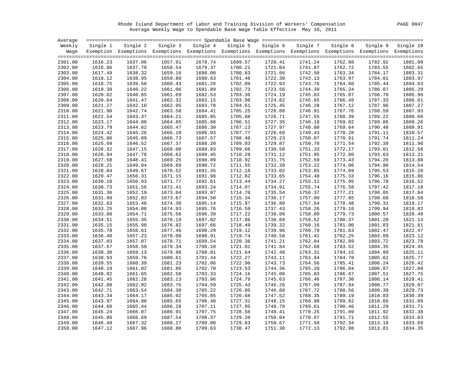Rhode Island Department of Labor and Training Division of Workers' Compensation PAGE 0047 Average Weekly Wage to Spendable Base Wage Table Effective May 10, 2011

| Average            |                    |          |                    |                                                                                                              |                    |                    |          |                    |                    |           |
|--------------------|--------------------|----------|--------------------|--------------------------------------------------------------------------------------------------------------|--------------------|--------------------|----------|--------------------|--------------------|-----------|
| Weekly             | Single 1           | Single 2 |                    | Single 3 Single 4                                                                                            | Single 5           | Single 6           | Single 7 | Single 8           | Single 9           | Single 10 |
| Waqe               |                    |          |                    | Exemption Exemptions Exemptions Exemptions Exemptions Exemptions Exemptions Exemptions Exemptions Exemptions |                    |                    |          |                    |                    |           |
| 2301.00            | 1616.23            | 1637.06  | 1657.91            | 1678.74                                                                                                      | 1699.57            | 1720.41            | 1741.24  | 1762.08            | 1782.92            | 1801.99   |
| 2302.00            | 1616.86            | 1637.70  | 1658.54            | 1679.37                                                                                                      | 1700.21            | 1721.04            | 1741.87  | 1762.72            | 1783.55            | 1802.65   |
| 2303.00            | 1617.49            | 1638.32  | 1659.16            | 1680.00                                                                                                      | 1700.83            | 1721.66            | 1742.50  | 1763.34            | 1784.17            | 1803.31   |
|                    |                    | 1638.95  |                    | 1680.63                                                                                                      |                    |                    | 1743.13  |                    |                    | 1803.97   |
| 2304.00<br>2305.00 | 1618.12<br>1618.75 | 1639.58  | 1659.80<br>1660.43 | 1681.26                                                                                                      | 1701.46<br>1702.09 | 1722.30<br>1722.93 | 1743.76  | 1763.97<br>1764.60 | 1784.81<br>1785.44 | 1804.63   |
|                    |                    |          |                    |                                                                                                              |                    |                    |          |                    |                    |           |
| 2306.00            | 1619.38            | 1640.22  | 1661.06            | 1681.89                                                                                                      | 1702.73            | 1723.56            | 1744.39  | 1765.24            | 1786.07            | 1805.29   |
| 2307.00            | 1620.02            | 1640.85  | 1661.69            | 1682.53                                                                                                      | 1703.36            | 1724.19            | 1745.03  | 1765.87            | 1786.70            | 1805.96   |
| 2308.00            | 1620.64            | 1641.47  | 1662.32            | 1683.15                                                                                                      | 1703.98            | 1724.82            | 1745.65  | 1766.49            | 1787.33            | 1806.61   |
| 2309.00            | 1621.27            | 1642.10  | 1662.95            | 1683.78                                                                                                      | 1704.61            | 1725.45            | 1746.28  | 1767.12            | 1787.96            | 1807.27   |
| 2310.00            | 1621.90            | 1642.74  | 1663.58            | 1684.41                                                                                                      | 1705.25            | 1726.08            | 1746.91  | 1767.76            | 1788.59            | 1807.93   |
| 2311.00            | 1622.54            | 1643.37  | 1664.21            | 1685.05                                                                                                      | 1705.88            | 1726.71            | 1747.55  | 1768.39            | 1789.22            | 1808.60   |
| 2312.00            | 1623.17            | 1644.00  | 1664.85            | 1685.68                                                                                                      | 1706.51            | 1727.35            | 1748.18  | 1769.02            | 1789.86            | 1809.26   |
| 2313.00            | 1623.79            | 1644.62  | 1665.47            | 1686.30                                                                                                      | 1707.13            | 1727.97            | 1748.80  | 1769.64            | 1790.48            | 1809.91   |
| 2314.00            | 1624.42            | 1645.26  | 1666.10            | 1686.93                                                                                                      | 1707.77            | 1728.60            | 1749.43  | 1770.28            | 1791.11            | 1810.57   |
| 2315.00            | 1625.06            | 1645.89  | 1666.73            | 1687.57                                                                                                      | 1708.40            | 1729.23            | 1750.07  | 1770.91            | 1791.74            | 1811.24   |
| 2316.00            | 1625.69            | 1646.52  | 1667.37            | 1688.20                                                                                                      | 1709.03            | 1729.87            | 1750.70  | 1771.54            | 1792.38            | 1811.90   |
| 2317.00            | 1626.32            | 1647.15  | 1668.00            | 1688.83                                                                                                      | 1709.66            | 1730.50            | 1751.33  | 1772.17            | 1793.01            | 1812.56   |
| 2318.00            | 1626.94            | 1647.78  | 1668.62            | 1689.45                                                                                                      | 1710.29            | 1731.12            | 1751.95  | 1772.80            | 1793.63            | 1813.21   |
| 2319.00            | 1627.58            | 1648.41  | 1669.25            | 1690.09                                                                                                      | 1710.92            | 1731.75            | 1752.59  | 1773.43            | 1794.26            | 1813.88   |
| 2320.00            | 1628.21            | 1649.04  | 1669.89            | 1690.72                                                                                                      | 1711.55            | 1732.39            | 1753.22  | 1774.06            | 1794.90            | 1814.54   |
| 2321.00            | 1628.84            | 1649.67  | 1670.52            | 1691.35                                                                                                      | 1712.18            | 1733.02            | 1753.85  | 1774.69            | 1795.53            | 1815.20   |
| 2322.00            | 1629.47            | 1650.31  | 1671.15            | 1691.98                                                                                                      | 1712.82            | 1733.65            | 1754.48  | 1775.33            | 1796.16            | 1815.86   |
| 2323.00            | 1630.10            | 1650.93  | 1671.77            | 1692.61                                                                                                      | 1713.44            | 1734.27            | 1755.11  | 1775.95            | 1796.78            | 1816.52   |
| 2324.00            | 1630.73            | 1651.56  | 1672.41            | 1693.24                                                                                                      | 1714.07            | 1734.91            | 1755.74  | 1776.58            | 1797.42            | 1817.18   |
| 2325.00            | 1631.36            | 1652.19  | 1673.04            | 1693.87                                                                                                      | 1714.70            | 1735.54            | 1756.37  | 1777.21            | 1798.05            | 1817.84   |
| 2326.00            | 1631.99            | 1652.83  | 1673.67            | 1694.50                                                                                                      | 1715.34            | 1736.17            | 1757.00  | 1777.85            | 1798.68            | 1818.50   |
| 2327.00            | 1632.63            | 1653.46  | 1674.30            | 1695.14                                                                                                      | 1715.97            | 1736.80            | 1757.64  | 1778.48            | 1799.31            | 1819.17   |
| 2328.00            | 1633.25            | 1654.08  | 1674.93            | 1695.76                                                                                                      | 1716.59            | 1737.43            | 1758.26  | 1779.10            | 1799.94            | 1819.82   |
| 2329.00            | 1633.88            | 1654.71  | 1675.56            | 1696.39                                                                                                      | 1717.22            | 1738.06            | 1758.89  | 1779.73            | 1800.57            | 1820.48   |
| 2330.00            | 1634.51            | 1655.35  | 1676.19            | 1697.02                                                                                                      | 1717.86            | 1738.69            | 1759.52  | 1780.37            | 1801.20            | 1821.14   |
| 2331.00            | 1635.15            | 1655.98  | 1676.82            | 1697.66                                                                                                      | 1718.49            | 1739.32            | 1760.16  | 1781.00            | 1801.83            | 1821.81   |
| 2332.00            | 1635.78            | 1656.61  | 1677.46            | 1698.29                                                                                                      | 1719.12            | 1739.96            | 1760.79  | 1781.63            | 1802.47            | 1822.47   |
| 2333.00            | 1636.40            | 1657.23  | 1678.08            | 1698.91                                                                                                      | 1719.74            | 1740.58            | 1761.41  | 1782.25            | 1803.09            | 1823.12   |
| 2334.00            | 1637.03            | 1657.87  | 1678.71            | 1699.54                                                                                                      | 1720.38            | 1741.21            | 1762.04  | 1782.89            | 1803.72            | 1823.78   |
| 2335.00            | 1637.67            | 1658.50  | 1679.34            | 1700.18                                                                                                      | 1721.01            | 1741.84            | 1762.68  | 1783.52            | 1804.35            | 1824.45   |
| 2336.00            | 1638.30            | 1659.13  | 1679.98            | 1700.81                                                                                                      | 1721.64            | 1742.48            | 1763.31  | 1784.15            | 1804.99            | 1825.11   |
| 2337.00            | 1638.93            | 1659.76  | 1680.61            | 1701.44                                                                                                      | 1722.27            | 1743.11            | 1763.94  | 1784.78            | 1805.62            | 1825.77   |
| 2338.00            | 1639.55            | 1660.39  | 1681.23            | 1702.06                                                                                                      | 1722.90            | 1743.73            | 1764.56  | 1785.41            | 1806.24            | 1826.42   |
| 2339.00            | 1640.19            | 1661.02  | 1681.86            | 1702.70                                                                                                      | 1723.53            | 1744.36            | 1765.20  | 1786.04            | 1806.87            | 1827.09   |
| 2340.00            | 1640.82            | 1661.65  | 1682.50            | 1703.33                                                                                                      | 1724.16            | 1745.00            | 1765.83  | 1786.67            | 1807.51            | 1827.75   |
| 2341.00            | 1641.45            | 1662.28  | 1683.13            | 1703.96                                                                                                      | 1724.79            | 1745.63            | 1766.46  | 1787.30            | 1808.14            | 1828.41   |
| 2342.00            | 1642.08            | 1662.92  | 1683.76            | 1704.59                                                                                                      | 1725.43            | 1746.26            | 1767.09  | 1787.94            | 1808.77            | 1829.07   |
| 2343.00            | 1642.71            | 1663.54  | 1684.38            | 1705.22                                                                                                      | 1726.05            | 1746.88            | 1767.72  | 1788.56            | 1809.39            | 1829.73   |
| 2344.00            | 1643.34            | 1664.17  | 1685.02            | 1705.85                                                                                                      | 1726.68            | 1747.52            | 1768.35  | 1789.19            | 1810.03            | 1830.39   |
| 2345.00            | 1643.97            | 1664.80  | 1685.65            | 1706.48                                                                                                      | 1727.31            | 1748.15            | 1768.98  | 1789.82            | 1810.66            | 1831.05   |
| 2346.00            | 1644.60            | 1665.44  | 1686.28            | 1707.11                                                                                                      | 1727.95            | 1748.78            | 1769.61  | 1790.46            | 1811.29            | 1831.71   |
| 2347.00            | 1645.24            | 1666.07  | 1686.91            | 1707.75                                                                                                      | 1728.58            | 1749.41            | 1770.25  | 1791.09            | 1811.92            | 1832.38   |
| 2348.00            | 1645.86            | 1666.69  | 1687.54            | 1708.37                                                                                                      | 1729.20            | 1750.04            | 1770.87  | 1791.71            | 1812.55            | 1833.03   |
| 2349.00            | 1646.49            | 1667.32  | 1688.17            | 1709.00                                                                                                      | 1729.83            | 1750.67            | 1771.50  | 1792.34            | 1813.18            | 1833.69   |
| 2350.00            | 1647.12            | 1667.96  | 1688.80            | 1709.63                                                                                                      | 1730.47            | 1751.30            | 1772.13  | 1792.98            | 1813.81            | 1834.35   |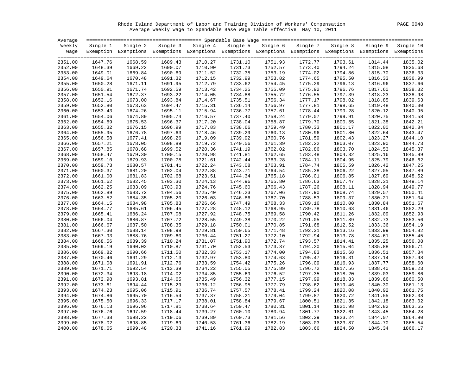Rhode Island Department of Labor and Training Division of Workers' Compensation PAGE 0048 Average Weekly Wage to Spendable Base Wage Table Effective May 10, 2011

| Average |          |          |         |                                                                                                              |          |          |          |          |          |           |
|---------|----------|----------|---------|--------------------------------------------------------------------------------------------------------------|----------|----------|----------|----------|----------|-----------|
| Weekly  | Single 1 | Single 2 |         | Single 3 Single 4                                                                                            | Single 5 | Single 6 | Single 7 | Single 8 | Single 9 | Single 10 |
| Waqe    |          |          |         | Exemption Exemptions Exemptions Exemptions Exemptions Exemptions Exemptions Exemptions Exemptions Exemptions |          |          |          |          |          |           |
|         |          |          |         |                                                                                                              |          |          |          |          |          |           |
| 2351.00 | 1647.76  | 1668.59  | 1689.43 | 1710.27                                                                                                      | 1731.10  | 1751.93  | 1772.77  | 1793.61  | 1814.44  | 1835.02   |
| 2352.00 | 1648.39  | 1669.22  | 1690.07 | 1710.90                                                                                                      | 1731.73  | 1752.57  | 1773.40  | 1794.24  | 1815.08  | 1835.68   |
| 2353.00 | 1649.01  | 1669.84  | 1690.69 | 1711.52                                                                                                      | 1732.35  | 1753.19  | 1774.02  | 1794.86  | 1815.70  | 1836.33   |
| 2354.00 | 1649.64  | 1670.48  | 1691.32 | 1712.15                                                                                                      | 1732.99  | 1753.82  | 1774.65  | 1795.50  | 1816.33  | 1836.99   |
| 2355.00 | 1650.28  | 1671.11  | 1691.95 | 1712.79                                                                                                      | 1733.62  | 1754.45  | 1775.29  | 1796.13  | 1816.96  | 1837.66   |
| 2356.00 | 1650.91  | 1671.74  | 1692.59 | 1713.42                                                                                                      | 1734.25  | 1755.09  | 1775.92  | 1796.76  | 1817.60  | 1838.32   |
| 2357.00 | 1651.54  | 1672.37  | 1693.22 | 1714.05                                                                                                      | 1734.88  | 1755.72  | 1776.55  | 1797.39  | 1818.23  | 1838.98   |
| 2358.00 | 1652.16  | 1673.00  | 1693.84 | 1714.67                                                                                                      | 1735.51  | 1756.34  | 1777.17  | 1798.02  | 1818.85  | 1839.63   |
| 2359.00 | 1652.80  | 1673.63  | 1694.47 | 1715.31                                                                                                      | 1736.14  | 1756.97  | 1777.81  | 1798.65  | 1819.48  | 1840.30   |
| 2360.00 | 1653.43  | 1674.26  | 1695.11 | 1715.94                                                                                                      | 1736.77  | 1757.61  | 1778.44  | 1799.28  | 1820.12  | 1840.95   |
| 2361.00 | 1654.06  | 1674.89  | 1695.74 | 1716.57                                                                                                      | 1737.40  | 1758.24  | 1779.07  | 1799.91  | 1820.75  | 1841.58   |
| 2362.00 | 1654.69  | 1675.53  | 1696.37 | 1717.20                                                                                                      | 1738.04  | 1758.87  | 1779.70  | 1800.55  | 1821.38  | 1842.21   |
| 2363.00 | 1655.32  | 1676.15  | 1696.99 | 1717.83                                                                                                      | 1738.66  | 1759.49  | 1780.33  | 1801.17  | 1822.00  | 1842.84   |
| 2364.00 | 1655.95  | 1676.78  | 1697.63 | 1718.46                                                                                                      | 1739.29  | 1760.13  | 1780.96  | 1801.80  | 1822.64  | 1843.47   |
| 2365.00 | 1656.58  | 1677.41  | 1698.26 | 1719.09                                                                                                      | 1739.92  | 1760.76  | 1781.59  | 1802.43  | 1823.27  | 1844.10   |
| 2366.00 | 1657.21  | 1678.05  | 1698.89 | 1719.72                                                                                                      | 1740.56  | 1761.39  | 1782.22  | 1803.07  | 1823.90  | 1844.73   |
| 2367.00 | 1657.85  | 1678.68  | 1699.52 | 1720.36                                                                                                      | 1741.19  | 1762.02  | 1782.86  | 1803.70  | 1824.53  | 1845.37   |
| 2368.00 | 1658.47  | 1679.30  | 1700.15 | 1720.98                                                                                                      | 1741.81  | 1762.65  | 1783.48  | 1804.32  | 1825.16  | 1845.99   |
| 2369.00 | 1659.10  | 1679.93  | 1700.78 | 1721.61                                                                                                      | 1742.44  | 1763.28  | 1784.11  | 1804.95  | 1825.79  | 1846.62   |
| 2370.00 | 1659.73  | 1680.57  | 1701.41 | 1722.24                                                                                                      | 1743.08  | 1763.91  | 1784.74  | 1805.59  | 1826.42  | 1847.25   |
| 2371.00 | 1660.37  | 1681.20  | 1702.04 | 1722.88                                                                                                      | 1743.71  | 1764.54  | 1785.38  | 1806.22  | 1827.05  | 1847.89   |
| 2372.00 | 1661.00  | 1681.83  | 1702.68 | 1723.51                                                                                                      | 1744.34  | 1765.18  | 1786.01  | 1806.85  | 1827.69  | 1848.52   |
| 2373.00 | 1661.62  | 1682.45  | 1703.30 | 1724.13                                                                                                      | 1744.96  | 1765.80  | 1786.63  | 1807.47  | 1828.31  | 1849.14   |
| 2374.00 | 1662.25  | 1683.09  | 1703.93 | 1724.76                                                                                                      | 1745.60  | 1766.43  | 1787.26  | 1808.11  | 1828.94  | 1849.77   |
| 2375.00 | 1662.89  | 1683.72  | 1704.56 | 1725.40                                                                                                      | 1746.23  | 1767.06  | 1787.90  | 1808.74  | 1829.57  | 1850.41   |
| 2376.00 | 1663.52  | 1684.35  | 1705.20 | 1726.03                                                                                                      | 1746.86  | 1767.70  | 1788.53  | 1809.37  | 1830.21  | 1851.04   |
| 2377.00 | 1664.15  | 1684.98  | 1705.83 | 1726.66                                                                                                      | 1747.49  | 1768.33  | 1789.16  | 1810.00  | 1830.84  | 1851.67   |
| 2378.00 | 1664.77  | 1685.61  | 1706.45 | 1727.28                                                                                                      | 1748.12  | 1768.95  | 1789.78  | 1810.63  | 1831.46  | 1852.29   |
| 2379.00 | 1665.41  | 1686.24  | 1707.08 | 1727.92                                                                                                      | 1748.75  | 1769.58  | 1790.42  | 1811.26  | 1832.09  | 1852.93   |
| 2380.00 | 1666.04  | 1686.87  | 1707.72 | 1728.55                                                                                                      | 1749.38  | 1770.22  | 1791.05  | 1811.89  | 1832.73  | 1853.56   |
| 2381.00 | 1666.67  | 1687.50  | 1708.35 | 1729.18                                                                                                      | 1750.01  | 1770.85  | 1791.68  | 1812.52  | 1833.36  | 1854.19   |
| 2382.00 | 1667.30  | 1688.14  | 1708.98 | 1729.81                                                                                                      | 1750.65  | 1771.48  | 1792.31  | 1813.16  | 1833.99  | 1854.82   |
| 2383.00 | 1667.93  | 1688.76  | 1709.60 | 1730.44                                                                                                      | 1751.27  | 1772.10  | 1792.94  | 1813.78  | 1834.61  | 1855.45   |
| 2384.00 | 1668.56  | 1689.39  | 1710.24 | 1731.07                                                                                                      | 1751.90  | 1772.74  | 1793.57  | 1814.41  | 1835.25  | 1856.08   |
| 2385.00 | 1669.19  | 1690.02  | 1710.87 | 1731.70                                                                                                      | 1752.53  | 1773.37  | 1794.20  | 1815.04  | 1835.88  | 1856.71   |
| 2386.00 | 1669.82  | 1690.66  | 1711.50 | 1732.33                                                                                                      | 1753.17  | 1774.00  | 1794.83  | 1815.68  | 1836.51  | 1857.34   |
| 2387.00 | 1670.46  | 1691.29  | 1712.13 | 1732.97                                                                                                      | 1753.80  | 1774.63  | 1795.47  | 1816.31  | 1837.14  | 1857.98   |
| 2388.00 | 1671.08  | 1691.91  | 1712.76 | 1733.59                                                                                                      | 1754.42  | 1775.26  | 1796.09  | 1816.93  | 1837.77  | 1858.60   |
| 2389.00 | 1671.71  | 1692.54  | 1713.39 | 1734.22                                                                                                      | 1755.05  | 1775.89  | 1796.72  | 1817.56  | 1838.40  | 1859.23   |
| 2390.00 | 1672.34  | 1693.18  | 1714.02 | 1734.85                                                                                                      | 1755.69  | 1776.52  | 1797.35  | 1818.20  | 1839.03  | 1859.86   |
| 2391.00 | 1672.98  | 1693.81  | 1714.65 | 1735.49                                                                                                      | 1756.32  | 1777.15  | 1797.99  | 1818.83  | 1839.66  | 1860.50   |
| 2392.00 | 1673.61  | 1694.44  | 1715.29 | 1736.12                                                                                                      | 1756.95  | 1777.79  | 1798.62  | 1819.46  | 1840.30  | 1861.13   |
| 2393.00 | 1674.23  | 1695.06  | 1715.91 | 1736.74                                                                                                      | 1757.57  | 1778.41  | 1799.24  | 1820.08  | 1840.92  | 1861.75   |
| 2394.00 | 1674.86  | 1695.70  | 1716.54 | 1737.37                                                                                                      | 1758.21  | 1779.04  | 1799.87  | 1820.72  | 1841.55  | 1862.38   |
| 2395.00 | 1675.50  | 1696.33  | 1717.17 | 1738.01                                                                                                      | 1758.84  | 1779.67  | 1800.51  | 1821.35  | 1842.18  | 1863.02   |
| 2396.00 | 1676.13  | 1696.96  | 1717.81 | 1738.64                                                                                                      | 1759.47  | 1780.31  | 1801.14  | 1821.98  | 1842.82  | 1863.65   |
| 2397.00 | 1676.76  | 1697.59  | 1718.44 | 1739.27                                                                                                      | 1760.10  | 1780.94  | 1801.77  | 1822.61  | 1843.45  | 1864.28   |
| 2398.00 | 1677.38  | 1698.22  | 1719.06 | 1739.89                                                                                                      | 1760.73  | 1781.56  | 1802.39  | 1823.24  | 1844.07  | 1864.90   |
| 2399.00 | 1678.02  | 1698.85  | 1719.69 | 1740.53                                                                                                      | 1761.36  | 1782.19  | 1803.03  | 1823.87  | 1844.70  | 1865.54   |
| 2400.00 | 1678.65  | 1699.48  | 1720.33 | 1741.16                                                                                                      | 1761.99  | 1782.83  | 1803.66  | 1824.50  | 1845.34  | 1866.17   |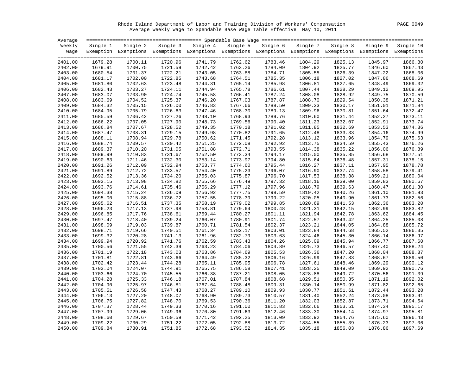Rhode Island Department of Labor and Training Division of Workers' Compensation PAGE 0049 Average Weekly Wage to Spendable Base Wage Table Effective May 10, 2011

| Average |          |                    |         |                                                                                                                   |         |                   |          |          |          |                    |
|---------|----------|--------------------|---------|-------------------------------------------------------------------------------------------------------------------|---------|-------------------|----------|----------|----------|--------------------|
| Weekly  | Single 1 | Single 2           |         | Single 3 Single 4                                                                                                 |         | Single 5 Single 6 | Single 7 | Single 8 | Single 9 | Single 10          |
|         |          |                    |         | Wage Exemption Exemptions Exemptions Exemptions Exemptions Exemptions Exemptions Exemptions Exemptions Exemptions |         |                   |          |          |          |                    |
| 2401.00 | 1679.28  | 1700.11            | 1720.96 | 1741.79                                                                                                           | 1762.62 | 1783.46           | 1804.29  | 1825.13  | 1845.97  | 1866.80            |
| 2402.00 | 1679.91  | 1700.75            | 1721.59 | 1742.42                                                                                                           | 1763.26 | 1784.09           | 1804.92  | 1825.77  | 1846.60  | 1867.43            |
| 2403.00 | 1680.54  | 1701.37            | 1722.21 | 1743.05                                                                                                           | 1763.88 | 1784.71           | 1805.55  | 1826.39  | 1847.22  | 1868.06            |
| 2404.00 | 1681.17  | 1702.00            | 1722.85 | 1743.68                                                                                                           | 1764.51 | 1785.35           | 1806.18  | 1827.02  | 1847.86  | 1868.69            |
| 2405.00 | 1681.80  | 1702.63            | 1723.48 | 1744.31                                                                                                           | 1765.14 | 1785.98           | 1806.81  | 1827.65  | 1848.49  | 1869.32            |
|         |          |                    |         |                                                                                                                   |         |                   |          | 1828.29  |          |                    |
| 2406.00 | 1682.43  | 1703.27<br>1703.90 | 1724.11 | 1744.94                                                                                                           | 1765.78 | 1786.61           | 1807.44  |          | 1849.12  | 1869.95<br>1870.59 |
| 2407.00 | 1683.07  |                    | 1724.74 | 1745.58                                                                                                           | 1766.41 | 1787.24           | 1808.08  | 1828.92  | 1849.75  | 1871.21            |
| 2408.00 | 1683.69  | 1704.52            | 1725.37 | 1746.20                                                                                                           | 1767.03 | 1787.87           | 1808.70  | 1829.54  | 1850.38  | 1871.84            |
| 2409.00 | 1684.32  | 1705.15            | 1726.00 | 1746.83                                                                                                           | 1767.66 | 1788.50           | 1809.33  | 1830.17  | 1851.01  | 1872.47            |
| 2410.00 | 1684.95  | 1705.79            | 1726.63 | 1747.46                                                                                                           | 1768.30 | 1789.13           | 1809.96  | 1830.81  | 1851.64  |                    |
| 2411.00 | 1685.59  | 1706.42            | 1727.26 | 1748.10                                                                                                           | 1768.93 | 1789.76           | 1810.60  | 1831.44  | 1852.27  | 1873.11            |
| 2412.00 | 1686.22  | 1707.05            | 1727.90 | 1748.73                                                                                                           | 1769.56 | 1790.40           | 1811.23  | 1832.07  | 1852.91  | 1873.74            |
| 2413.00 | 1686.84  | 1707.67            | 1728.52 | 1749.35                                                                                                           | 1770.18 | 1791.02           | 1811.85  | 1832.69  | 1853.53  | 1874.36            |
| 2414.00 | 1687.47  | 1708.31            | 1729.15 | 1749.98                                                                                                           | 1770.82 | 1791.65           | 1812.48  | 1833.33  | 1854.16  | 1874.99            |
| 2415.00 | 1688.11  | 1708.94            | 1729.78 | 1750.62                                                                                                           | 1771.45 | 1792.28           | 1813.12  | 1833.96  | 1854.79  | 1875.63            |
| 2416.00 | 1688.74  | 1709.57            | 1730.42 | 1751.25                                                                                                           | 1772.08 | 1792.92           | 1813.75  | 1834.59  | 1855.43  | 1876.26            |
| 2417.00 | 1689.37  | 1710.20            | 1731.05 | 1751.88                                                                                                           | 1772.71 | 1793.55           | 1814.38  | 1835.22  | 1856.06  | 1876.89            |
| 2418.00 | 1689.99  | 1710.83            | 1731.67 | 1752.50                                                                                                           | 1773.34 | 1794.17           | 1815.00  | 1835.85  | 1856.68  | 1877.51            |
| 2419.00 | 1690.63  | 1711.46            | 1732.30 | 1753.14                                                                                                           | 1773.97 | 1794.80           | 1815.64  | 1836.48  | 1857.31  | 1878.15            |
| 2420.00 | 1691.26  | 1712.09            | 1732.94 | 1753.77                                                                                                           | 1774.60 | 1795.44           | 1816.27  | 1837.11  | 1857.95  | 1878.78            |
| 2421.00 | 1691.89  | 1712.72            | 1733.57 | 1754.40                                                                                                           | 1775.23 | 1796.07           | 1816.90  | 1837.74  | 1858.58  | 1879.41            |
| 2422.00 | 1692.52  | 1713.36            | 1734.20 | 1755.03                                                                                                           | 1775.87 | 1796.70           | 1817.53  | 1838.38  | 1859.21  | 1880.04            |
| 2423.00 | 1693.15  | 1713.98            | 1734.82 | 1755.66                                                                                                           | 1776.49 | 1797.32           | 1818.16  | 1839.00  | 1859.83  | 1880.67            |
| 2424.00 | 1693.76  | 1714.61            | 1735.46 | 1756.29                                                                                                           | 1777.12 | 1797.96           | 1818.79  | 1839.63  | 1860.47  | 1881.30            |
| 2425.00 | 1694.38  | 1715.24            | 1736.09 | 1756.92                                                                                                           | 1777.75 | 1798.59           | 1819.42  | 1840.26  | 1861.10  | 1881.93            |
| 2426.00 | 1695.00  | 1715.88            | 1736.72 | 1757.55                                                                                                           | 1778.39 | 1799.22           | 1820.05  | 1840.90  | 1861.73  | 1882.56            |
| 2427.00 | 1695.62  | 1716.51            | 1737.35 | 1758.19                                                                                                           | 1779.02 | 1799.85           | 1820.69  | 1841.53  | 1862.36  | 1883.20            |
| 2428.00 | 1696.23  | 1717.13            | 1737.98 | 1758.81                                                                                                           | 1779.64 | 1800.48           | 1821.31  | 1842.15  | 1862.99  | 1883.82            |
| 2429.00 | 1696.85  | 1717.76            | 1738.61 | 1759.44                                                                                                           | 1780.27 | 1801.11           | 1821.94  | 1842.78  | 1863.62  | 1884.45            |
| 2430.00 | 1697.47  | 1718.40            | 1739.24 | 1760.07                                                                                                           | 1780.91 | 1801.74           | 1822.57  | 1843.42  | 1864.25  | 1885.08            |
| 2431.00 | 1698.09  | 1719.03            | 1739.87 | 1760.71                                                                                                           | 1781.54 | 1802.37           | 1823.21  | 1844.05  | 1864.88  | 1885.72            |
| 2432.00 | 1698.71  | 1719.66            | 1740.51 | 1761.34                                                                                                           | 1782.17 | 1803.01           | 1823.84  | 1844.68  | 1865.52  | 1886.35            |
| 2433.00 | 1699.32  | 1720.28            | 1741.13 | 1761.96                                                                                                           | 1782.79 | 1803.63           | 1824.46  | 1845.30  | 1866.14  | 1886.97            |
| 2434.00 | 1699.94  | 1720.92            | 1741.76 | 1762.59                                                                                                           | 1783.43 | 1804.26           | 1825.09  | 1845.94  | 1866.77  | 1887.60            |
| 2435.00 | 1700.56  | 1721.55            | 1742.39 | 1763.23                                                                                                           | 1784.06 | 1804.89           | 1825.73  | 1846.57  | 1867.40  | 1888.24            |
| 2436.00 | 1701.19  | 1722.18            | 1743.03 | 1763.86                                                                                                           | 1784.69 | 1805.53           | 1826.36  | 1847.20  | 1868.04  | 1888.87            |
| 2437.00 | 1701.81  | 1722.81            | 1743.66 | 1764.49                                                                                                           | 1785.32 | 1806.16           | 1826.99  | 1847.83  | 1868.67  | 1889.50            |
| 2438.00 | 1702.42  | 1723.44            | 1744.28 | 1765.11                                                                                                           | 1785.95 | 1806.78           | 1827.61  | 1848.46  | 1869.29  | 1890.12            |
| 2439.00 | 1703.04  | 1724.07            | 1744.91 | 1765.75                                                                                                           | 1786.58 | 1807.41           | 1828.25  | 1849.09  | 1869.92  | 1890.76            |
| 2440.00 | 1703.66  | 1724.70            | 1745.55 | 1766.38                                                                                                           | 1787.21 | 1808.05           | 1828.88  | 1849.72  | 1870.56  | 1891.39            |
| 2441.00 | 1704.28  | 1725.33            | 1746.18 | 1767.01                                                                                                           | 1787.84 | 1808.68           | 1829.51  | 1850.35  | 1871.19  | 1892.02            |
| 2442.00 | 1704.90  | 1725.97            | 1746.81 | 1767.64                                                                                                           | 1788.48 | 1809.31           | 1830.14  | 1850.99  | 1871.82  | 1892.65            |
| 2443.00 | 1705.51  | 1726.58            | 1747.43 | 1768.27                                                                                                           | 1789.10 | 1809.93           | 1830.77  | 1851.61  | 1872.44  | 1893.28            |
| 2444.00 | 1706.13  | 1727.20            | 1748.07 | 1768.90                                                                                                           | 1789.73 | 1810.57           | 1831.40  | 1852.24  | 1873.08  | 1893.91            |
| 2445.00 | 1706.75  | 1727.82            | 1748.70 | 1769.53                                                                                                           | 1790.36 | 1811.20           | 1832.03  | 1852.87  | 1873.71  | 1894.54            |
| 2446.00 | 1707.37  | 1728.44            | 1749.33 | 1770.16                                                                                                           | 1791.00 | 1811.83           | 1832.66  | 1853.51  | 1874.34  | 1895.17            |
| 2447.00 | 1707.99  | 1729.06            | 1749.96 | 1770.80                                                                                                           | 1791.63 | 1812.46           | 1833.30  | 1854.14  | 1874.97  | 1895.81            |
| 2448.00 | 1708.60  | 1729.67            | 1750.59 | 1771.42                                                                                                           | 1792.25 | 1813.09           | 1833.92  | 1854.76  | 1875.60  | 1896.43            |
| 2449.00 | 1709.22  | 1730.29            | 1751.22 | 1772.05                                                                                                           | 1792.88 | 1813.72           | 1834.55  | 1855.39  | 1876.23  | 1897.06            |
| 2450.00 | 1709.84  | 1730.91            | 1751.85 | 1772.68                                                                                                           | 1793.52 | 1814.35           | 1835.18  | 1856.03  | 1876.86  | 1897.69            |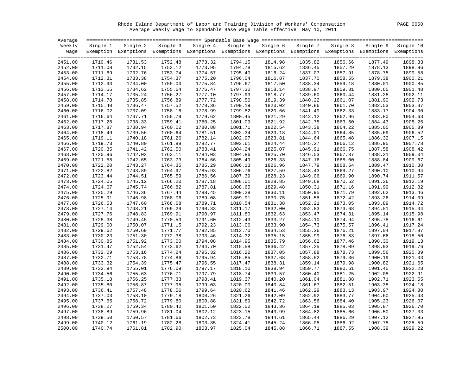Rhode Island Department of Labor and Training Division of Workers' Compensation PAGE 0050 Average Weekly Wage to Spendable Base Wage Table Effective May 10, 2011

| Average |          |                                                                                                              |          |          |          |          |          |          |          |           |
|---------|----------|--------------------------------------------------------------------------------------------------------------|----------|----------|----------|----------|----------|----------|----------|-----------|
| Weekly  | Single 1 | Single 2                                                                                                     | Single 3 | Single 4 | Single 5 | Single 6 | Single 7 | Single 8 | Single 9 | Single 10 |
| Waqe    |          | Exemption Exemptions Exemptions Exemptions Exemptions Exemptions Exemptions Exemptions Exemptions Exemptions |          |          |          |          |          |          |          |           |
| 2451.00 | 1710.46  | 1731.53                                                                                                      | 1752.48  | 1773.32  | 1794.15  | 1814.98  | 1835.82  | 1856.66  | 1877.49  | 1898.33   |
| 2452.00 | 1711.08  | 1732.15                                                                                                      | 1753.12  | 1773.95  | 1794.78  | 1815.62  | 1836.45  | 1857.29  | 1878.13  | 1898.96   |
| 2453.00 | 1711.69  | 1732.76                                                                                                      | 1753.74  | 1774.57  | 1795.40  | 1816.24  | 1837.07  | 1857.91  | 1878.75  | 1899.58   |
| 2454.00 | 1712.31  | 1733.38                                                                                                      | 1754.37  | 1775.20  | 1796.04  | 1816.87  | 1837.70  | 1858.55  | 1879.38  | 1900.21   |
| 2455.00 | 1712.93  | 1734.00                                                                                                      | 1755.00  | 1775.84  | 1796.67  | 1817.50  | 1838.34  | 1859.18  | 1880.01  | 1900.85   |
| 2456.00 | 1713.55  | 1734.62                                                                                                      | 1755.64  | 1776.47  | 1797.30  | 1818.14  | 1838.97  | 1859.81  | 1880.65  | 1901.48   |
| 2457.00 | 1714.17  | 1735.24                                                                                                      | 1756.27  | 1777.10  | 1797.93  | 1818.77  | 1839.60  | 1860.44  | 1881.28  | 1902.11   |
| 2458.00 | 1714.78  | 1735.85                                                                                                      | 1756.89  | 1777.72  | 1798.56  | 1819.39  | 1840.22  | 1861.07  | 1881.90  | 1902.73   |
| 2459.00 | 1715.40  | 1736.47                                                                                                      | 1757.52  | 1778.36  | 1799.19  | 1820.02  | 1840.86  | 1861.70  | 1882.53  | 1903.37   |
| 2460.00 | 1716.02  | 1737.09                                                                                                      | 1758.16  | 1778.99  | 1799.82  | 1820.66  | 1841.49  | 1862.33  | 1883.17  | 1904.00   |
| 2461.00 | 1716.64  | 1737.71                                                                                                      | 1758.79  | 1779.62  | 1800.45  | 1821.29  | 1842.12  | 1862.96  | 1883.80  | 1904.63   |
| 2462.00 | 1717.26  | 1738.33                                                                                                      | 1759.41  | 1780.25  | 1801.09  | 1821.92  | 1842.75  | 1863.60  | 1884.43  | 1905.26   |
| 2463.00 | 1717.87  | 1738.94                                                                                                      | 1760.02  | 1780.88  | 1801.71  | 1822.54  | 1843.38  | 1864.22  | 1885.05  | 1905.89   |
| 2464.00 | 1718.49  | 1739.56                                                                                                      | 1760.64  | 1781.51  | 1802.34  | 1823.18  | 1844.01  | 1864.85  | 1885.69  | 1906.52   |
| 2465.00 | 1719.11  | 1740.18                                                                                                      | 1761.26  | 1782.14  | 1802.97  | 1823.81  | 1844.64  | 1865.48  | 1886.32  | 1907.15   |
| 2466.00 | 1719.73  | 1740.80                                                                                                      | 1761.88  | 1782.77  | 1803.61  | 1824.44  | 1845.27  | 1866.12  | 1886.95  | 1907.78   |
| 2467.00 | 1720.35  | 1741.42                                                                                                      | 1762.50  | 1783.41  | 1804.24  | 1825.07  | 1845.91  | 1866.75  | 1887.58  | 1908.42   |
| 2468.00 | 1720.96  | 1742.03                                                                                                      | 1763.11  | 1784.03  | 1804.86  | 1825.70  | 1846.53  | 1867.37  | 1888.21  | 1909.04   |
| 2469.00 | 1721.58  | 1742.65                                                                                                      | 1763.73  | 1784.66  | 1805.49  | 1826.33  | 1847.16  | 1868.00  | 1888.84  | 1909.67   |
| 2470.00 | 1722.20  | 1743.27                                                                                                      | 1764.35  | 1785.29  | 1806.13  | 1826.96  | 1847.79  | 1868.64  | 1889.47  | 1910.30   |
| 2471.00 | 1722.82  | 1743.89                                                                                                      | 1764.97  | 1785.93  | 1806.76  | 1827.59  | 1848.43  | 1869.27  | 1890.10  | 1910.94   |
| 2472.00 | 1723.44  | 1744.51                                                                                                      | 1765.59  | 1786.56  | 1807.39  | 1828.23  | 1849.06  | 1869.90  | 1890.74  | 1911.57   |
| 2473.00 | 1724.05  | 1745.12                                                                                                      | 1766.20  | 1787.18  | 1808.01  | 1828.85  | 1849.68  | 1870.52  | 1891.36  | 1912.19   |
| 2474.00 | 1724.67  | 1745.74                                                                                                      | 1766.82  | 1787.81  | 1808.65  | 1829.48  | 1850.31  | 1871.16  | 1891.99  | 1912.82   |
| 2475.00 | 1725.29  | 1746.36                                                                                                      | 1767.44  | 1788.45  | 1809.28  | 1830.11  | 1850.95  | 1871.79  | 1892.62  | 1913.46   |
| 2476.00 | 1725.91  | 1746.98                                                                                                      | 1768.06  | 1789.08  | 1809.91  | 1830.75  | 1851.58  | 1872.42  | 1893.26  | 1914.09   |
| 2477.00 | 1726.53  | 1747.60                                                                                                      | 1768.68  | 1789.71  | 1810.54  | 1831.38  | 1852.21  | 1873.05  | 1893.89  | 1914.72   |
| 2478.00 | 1727.14  | 1748.21                                                                                                      | 1769.29  | 1790.33  | 1811.17  | 1832.00  | 1852.83  | 1873.68  | 1894.51  | 1915.34   |
| 2479.00 | 1727.76  | 1748.83                                                                                                      | 1769.91  | 1790.97  | 1811.80  | 1832.63  | 1853.47  | 1874.31  | 1895.14  | 1915.98   |
| 2480.00 | 1728.38  | 1749.45                                                                                                      | 1770.53  | 1791.60  | 1812.43  | 1833.27  | 1854.10  | 1874.94  | 1895.78  | 1916.61   |
| 2481.00 | 1729.00  | 1750.07                                                                                                      | 1771.15  | 1792.23  | 1813.06  | 1833.90  | 1854.73  | 1875.57  | 1896.41  | 1917.24   |
| 2482.00 | 1729.62  | 1750.69                                                                                                      | 1771.77  | 1792.85  | 1813.70  | 1834.53  | 1855.36  | 1876.21  | 1897.04  | 1917.87   |
| 2483.00 | 1730.23  | 1751.30                                                                                                      | 1772.38  | 1793.46  | 1814.32  | 1835.15  | 1855.99  | 1876.83  | 1897.66  | 1918.50   |
| 2484.00 | 1730.85  | 1751.92                                                                                                      | 1773.00  | 1794.08  | 1814.95  | 1835.79  | 1856.62  | 1877.46  | 1898.30  | 1919.13   |
| 2485.00 | 1731.47  | 1752.54                                                                                                      | 1773.62  | 1794.70  | 1815.58  | 1836.42  | 1857.25  | 1878.09  | 1898.93  | 1919.76   |
| 2486.00 | 1732.09  | 1753.16                                                                                                      | 1774.24  | 1795.32  | 1816.22  | 1837.05  | 1857.88  | 1878.73  | 1899.56  | 1920.39   |
| 2487.00 | 1732.71  | 1753.78                                                                                                      | 1774.86  | 1795.94  | 1816.85  | 1837.68  | 1858.52  | 1879.36  | 1900.19  | 1921.03   |
| 2488.00 | 1733.32  | 1754.39                                                                                                      | 1775.47  | 1796.55  | 1817.47  | 1838.31  | 1859.14  | 1879.98  | 1900.82  | 1921.65   |
| 2489.00 | 1733.94  | 1755.01                                                                                                      | 1776.09  | 1797.17  | 1818.10  | 1838.94  | 1859.77  | 1880.61  | 1901.45  | 1922.28   |
| 2490.00 | 1734.56  | 1755.63                                                                                                      | 1776.71  | 1797.79  | 1818.74  | 1839.57  | 1860.40  | 1881.25  | 1902.08  | 1922.91   |
| 2491.00 | 1735.18  | 1756.25                                                                                                      | 1777.33  | 1798.41  | 1819.37  | 1840.20  | 1861.04  | 1881.88  | 1902.71  | 1923.55   |
| 2492.00 | 1735.80  | 1756.87                                                                                                      | 1777.95  | 1799.03  | 1820.00  | 1840.84  | 1861.67  | 1882.51  | 1903.35  | 1924.18   |
| 2493.00 | 1736.41  | 1757.48                                                                                                      | 1778.56  | 1799.64  | 1820.62  | 1841.46  | 1862.29  | 1883.13  | 1903.97  | 1924.80   |
| 2494.00 | 1737.03  | 1758.10                                                                                                      | 1779.18  | 1800.26  | 1821.26  | 1842.09  | 1862.92  | 1883.77  | 1904.60  | 1925.43   |
| 2495.00 | 1737.65  | 1758.72                                                                                                      | 1779.80  | 1800.88  | 1821.89  | 1842.72  | 1863.56  | 1884.40  | 1905.23  | 1926.07   |
| 2496.00 | 1738.27  | 1759.34                                                                                                      | 1780.42  | 1801.50  | 1822.52  | 1843.36  | 1864.19  | 1885.03  | 1905.87  | 1926.70   |
| 2497.00 | 1738.89  | 1759.96                                                                                                      | 1781.04  | 1802.12  | 1823.15  | 1843.99  | 1864.82  | 1885.66  | 1906.50  | 1927.33   |
| 2498.00 | 1739.50  | 1760.57                                                                                                      | 1781.66  | 1802.73  | 1823.78  | 1844.61  | 1865.44  | 1886.29  | 1907.12  | 1927.95   |
| 2499.00 | 1740.12  | 1761.19                                                                                                      | 1782.28  | 1803.35  | 1824.41  | 1845.24  | 1866.08  | 1886.92  | 1907.75  | 1928.59   |
| 2500.00 | 1740.74  | 1761.81                                                                                                      | 1782.90  | 1803.97  | 1825.04  | 1845.88  | 1866.71  | 1887.55  | 1908.39  | 1929.22   |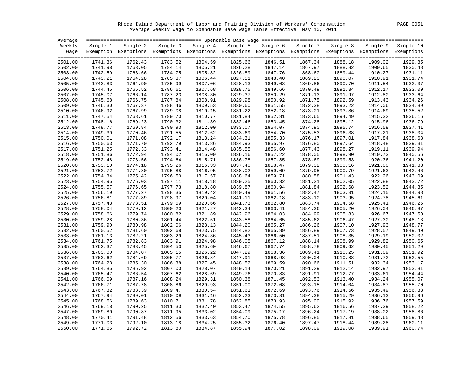Rhode Island Department of Labor and Training Division of Workers' Compensation PAGE 0051 Average Weekly Wage to Spendable Base Wage Table Effective May 10, 2011

| Average |          |          |         |                                                                                                              |          |          |          |          |          |           |
|---------|----------|----------|---------|--------------------------------------------------------------------------------------------------------------|----------|----------|----------|----------|----------|-----------|
| Weekly  | Single 1 | Single 2 |         | Single 3 Single 4                                                                                            | Single 5 | Single 6 | Single 7 | Single 8 | Single 9 | Single 10 |
| Waqe    |          |          |         | Exemption Exemptions Exemptions Exemptions Exemptions Exemptions Exemptions Exemptions Exemptions Exemptions |          |          |          |          |          |           |
|         |          |          |         |                                                                                                              |          |          |          |          |          |           |
| 2501.00 | 1741.36  | 1762.43  | 1783.52 | 1804.59                                                                                                      | 1825.66  | 1846.51  | 1867.34  | 1888.18  | 1909.02  | 1929.85   |
| 2502.00 | 1741.98  | 1763.05  | 1784.14 | 1805.21                                                                                                      | 1826.28  | 1847.14  | 1867.97  | 1888.82  | 1909.65  | 1930.48   |
| 2503.00 | 1742.59  | 1763.66  | 1784.75 | 1805.82                                                                                                      | 1826.89  | 1847.76  | 1868.60  | 1889.44  | 1910.27  | 1931.11   |
| 2504.00 | 1743.21  | 1764.28  | 1785.37 | 1806.44                                                                                                      | 1827.51  | 1848.40  | 1869.23  | 1890.07  | 1910.91  | 1931.74   |
| 2505.00 | 1743.83  | 1764.90  | 1785.99 | 1807.06                                                                                                      | 1828.13  | 1849.03  | 1869.86  | 1890.70  | 1911.54  | 1932.37   |
| 2506.00 | 1744.45  | 1765.52  | 1786.61 | 1807.68                                                                                                      | 1828.75  | 1849.66  | 1870.49  | 1891.34  | 1912.17  | 1933.00   |
| 2507.00 | 1745.07  | 1766.14  | 1787.23 | 1808.30                                                                                                      | 1829.37  | 1850.29  | 1871.13  | 1891.97  | 1912.80  | 1933.64   |
| 2508.00 | 1745.68  | 1766.75  | 1787.84 | 1808.91                                                                                                      | 1829.98  | 1850.92  | 1871.75  | 1892.59  | 1913.43  | 1934.26   |
| 2509.00 | 1746.30  | 1767.37  | 1788.46 | 1809.53                                                                                                      | 1830.60  | 1851.55  | 1872.38  | 1893.22  | 1914.06  | 1934.89   |
| 2510.00 | 1746.92  | 1767.99  | 1789.08 | 1810.15                                                                                                      | 1831.22  | 1852.18  | 1873.01  | 1893.86  | 1914.69  | 1935.52   |
| 2511.00 | 1747.54  | 1768.61  | 1789.70 | 1810.77                                                                                                      | 1831.84  | 1852.81  | 1873.65  | 1894.49  | 1915.32  | 1936.16   |
| 2512.00 | 1748.16  | 1769.23  | 1790.32 | 1811.39                                                                                                      | 1832.46  | 1853.45  | 1874.28  | 1895.12  | 1915.96  | 1936.79   |
| 2513.00 | 1748.77  | 1769.84  | 1790.93 | 1812.00                                                                                                      | 1833.07  | 1854.07  | 1874.90  | 1895.74  | 1916.58  | 1937.41   |
| 2514.00 | 1749.39  | 1770.46  | 1791.55 | 1812.62                                                                                                      | 1833.69  | 1854.70  | 1875.53  | 1896.38  | 1917.21  | 1938.04   |
| 2515.00 | 1750.01  | 1771.08  | 1792.17 | 1813.24                                                                                                      | 1834.31  | 1855.33  | 1876.17  | 1897.01  | 1917.84  | 1938.68   |
| 2516.00 | 1750.63  | 1771.70  | 1792.79 | 1813.86                                                                                                      | 1834.93  | 1855.97  | 1876.80  | 1897.64  | 1918.48  | 1939.31   |
| 2517.00 | 1751.25  | 1772.33  | 1793.41 | 1814.48                                                                                                      | 1835.55  | 1856.60  | 1877.43  | 1898.27  | 1919.11  | 1939.94   |
| 2518.00 | 1751.86  | 1772.94  | 1794.02 | 1815.09                                                                                                      | 1836.16  | 1857.22  | 1878.05  | 1898.90  | 1919.73  | 1940.56   |
| 2519.00 | 1752.48  | 1773.56  | 1794.64 | 1815.71                                                                                                      | 1836.78  | 1857.85  | 1878.69  | 1899.53  | 1920.36  | 1941.20   |
| 2520.00 | 1753.10  | 1774.18  | 1795.26 | 1816.33                                                                                                      | 1837.40  | 1858.47  | 1879.32  | 1900.16  | 1921.00  | 1941.83   |
| 2521.00 | 1753.72  | 1774.80  | 1795.88 | 1816.95                                                                                                      | 1838.02  | 1859.09  | 1879.95  | 1900.79  | 1921.63  | 1942.46   |
| 2522.00 | 1754.34  | 1775.42  | 1796.50 | 1817.57                                                                                                      | 1838.64  | 1859.71  | 1880.58  | 1901.43  | 1922.26  | 1943.09   |
| 2523.00 | 1754.95  | 1776.03  | 1797.11 | 1818.18                                                                                                      | 1839.25  | 1860.32  | 1881.21  | 1902.05  | 1922.88  | 1943.72   |
| 2524.00 | 1755.57  | 1776.65  | 1797.73 | 1818.80                                                                                                      | 1839.87  | 1860.94  | 1881.84  | 1902.68  | 1923.52  | 1944.35   |
| 2525.00 | 1756.19  | 1777.27  | 1798.35 | 1819.42                                                                                                      | 1840.49  | 1861.56  | 1882.47  | 1903.31  | 1924.15  | 1944.98   |
| 2526.00 | 1756.81  | 1777.89  | 1798.97 | 1820.04                                                                                                      | 1841.11  | 1862.18  | 1883.10  | 1903.95  | 1924.78  | 1945.61   |
| 2527.00 | 1757.43  | 1778.51  | 1799.59 | 1820.66                                                                                                      | 1841.73  | 1862.80  | 1883.74  | 1904.58  | 1925.41  | 1946.25   |
| 2528.00 | 1758.04  | 1779.12  | 1800.20 | 1821.27                                                                                                      | 1842.34  | 1863.41  | 1884.36  | 1905.20  | 1926.04  | 1946.87   |
| 2529.00 | 1758.66  | 1779.74  | 1800.82 | 1821.89                                                                                                      | 1842.96  | 1864.03  | 1884.99  | 1905.83  | 1926.67  | 1947.50   |
| 2530.00 | 1759.28  | 1780.36  | 1801.44 | 1822.51                                                                                                      | 1843.58  | 1864.65  | 1885.62  | 1906.47  | 1927.30  | 1948.13   |
| 2531.00 | 1759.90  | 1780.98  | 1802.06 | 1823.13                                                                                                      | 1844.20  | 1865.27  | 1886.26  | 1907.10  | 1927.93  | 1948.77   |
| 2532.00 | 1760.52  | 1781.60  | 1802.68 | 1823.75                                                                                                      | 1844.82  | 1865.89  | 1886.89  | 1907.73  | 1928.57  | 1949.40   |
| 2533.00 | 1761.13  | 1782.21  | 1803.29 | 1824.36                                                                                                      | 1845.43  | 1866.50  | 1887.51  | 1908.35  | 1929.19  | 1950.02   |
| 2534.00 | 1761.75  | 1782.83  | 1803.91 | 1824.98                                                                                                      | 1846.05  | 1867.12  | 1888.14  | 1908.99  | 1929.82  | 1950.65   |
| 2535.00 | 1762.37  | 1783.45  | 1804.53 | 1825.60                                                                                                      | 1846.67  | 1867.74  | 1888.78  | 1909.62  | 1930.45  | 1951.29   |
| 2536.00 | 1763.00  | 1784.07  | 1805.15 | 1826.22                                                                                                      | 1847.29  | 1868.36  | 1889.41  | 1910.25  | 1931.09  | 1951.92   |
| 2537.00 | 1763.62  | 1784.69  | 1805.77 | 1826.84                                                                                                      | 1847.91  | 1868.98  | 1890.04  | 1910.88  | 1931.72  | 1952.55   |
| 2538.00 | 1764.23  | 1785.30  | 1806.38 | 1827.45                                                                                                      | 1848.52  | 1869.59  | 1890.66  | 1911.51  | 1932.34  | 1953.17   |
| 2539.00 | 1764.85  | 1785.92  | 1807.00 | 1828.07                                                                                                      | 1849.14  | 1870.21  | 1891.29  | 1912.14  | 1932.97  | 1953.81   |
| 2540.00 | 1765.47  | 1786.54  | 1807.62 | 1828.69                                                                                                      | 1849.76  | 1870.83  | 1891.91  | 1912.77  | 1933.61  | 1954.44   |
| 2541.00 | 1766.09  | 1787.16  | 1808.24 | 1829.31                                                                                                      | 1850.38  | 1871.45  | 1892.53  | 1913.40  | 1934.24  | 1955.07   |
| 2542.00 | 1766.71  | 1787.78  | 1808.86 | 1829.93                                                                                                      | 1851.00  | 1872.08  | 1893.15  | 1914.04  | 1934.87  | 1955.70   |
| 2543.00 | 1767.32  | 1788.39  | 1809.47 | 1830.54                                                                                                      | 1851.61  | 1872.69  | 1893.76  | 1914.66  | 1935.49  | 1956.33   |
| 2544.00 | 1767.94  | 1789.01  | 1810.09 | 1831.16                                                                                                      | 1852.23  | 1873.31  | 1894.38  | 1915.29  | 1936.13  | 1956.96   |
| 2545.00 | 1768.56  | 1789.63  | 1810.71 | 1831.78                                                                                                      | 1852.85  | 1873.93  | 1895.00  | 1915.92  | 1936.76  | 1957.59   |
| 2546.00 | 1769.18  | 1790.25  | 1811.33 | 1832.40                                                                                                      | 1853.47  | 1874.55  | 1895.62  | 1916.56  | 1937.39  | 1958.22   |
| 2547.00 | 1769.80  | 1790.87  | 1811.95 | 1833.02                                                                                                      | 1854.09  | 1875.17  | 1896.24  | 1917.19  | 1938.02  | 1958.86   |
| 2548.00 | 1770.41  | 1791.48  | 1812.56 | 1833.63                                                                                                      | 1854.70  | 1875.78  | 1896.85  | 1917.81  | 1938.65  | 1959.48   |
| 2549.00 | 1771.03  | 1792.10  | 1813.18 | 1834.25                                                                                                      | 1855.32  | 1876.40  | 1897.47  | 1918.44  | 1939.28  | 1960.11   |
| 2550.00 | 1771.65  | 1792.72  | 1813.80 | 1834.87                                                                                                      | 1855.94  | 1877.02  | 1898.09  | 1919.08  | 1939.91  | 1960.74   |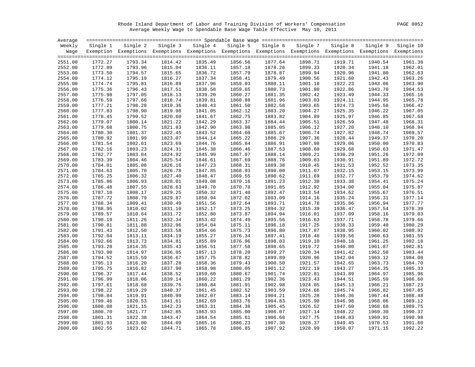Rhode Island Department of Labor and Training Division of Workers' Compensation PAGE 0052 Average Weekly Wage to Spendable Base Wage Table Effective May 10, 2011

| Average |          |                                                                                                              |          |          |          |          |          |          |          |           |
|---------|----------|--------------------------------------------------------------------------------------------------------------|----------|----------|----------|----------|----------|----------|----------|-----------|
| Weekly  | Single 1 | Single 2                                                                                                     | Single 3 | Single 4 | Single 5 | Single 6 | Single 7 | Single 8 | Single 9 | Single 10 |
| Waqe    |          | Exemption Exemptions Exemptions Exemptions Exemptions Exemptions Exemptions Exemptions Exemptions Exemptions |          |          |          |          |          |          |          |           |
|         |          |                                                                                                              |          |          |          |          |          |          |          |           |
| 2551.00 | 1772.27  | 1793.34                                                                                                      | 1814.42  | 1835.49  | 1856.56  | 1877.64  | 1898.71  | 1919.71  | 1940.54  | 1961.38   |
| 2552.00 | 1772.89  | 1793.96                                                                                                      | 1815.04  | 1836.11  | 1857.18  | 1878.26  | 1899.33  | 1920.34  | 1941.18  | 1962.01   |
| 2553.00 | 1773.50  | 1794.57                                                                                                      | 1815.65  | 1836.72  | 1857.79  | 1878.87  | 1899.94  | 1920.96  | 1941.80  | 1962.63   |
| 2554.00 | 1774.12  | 1795.19                                                                                                      | 1816.27  | 1837.34  | 1858.41  | 1879.49  | 1900.56  | 1921.60  | 1942.43  | 1963.26   |
| 2555.00 | 1774.74  | 1795.81                                                                                                      | 1816.89  | 1837.96  | 1859.03  | 1880.11  | 1901.18  | 1922.23  | 1943.06  | 1963.90   |
| 2556.00 | 1775.36  | 1796.43                                                                                                      | 1817.51  | 1838.58  | 1859.65  | 1880.73  | 1901.80  | 1922.86  | 1943.70  | 1964.53   |
| 2557.00 | 1775.98  | 1797.05                                                                                                      | 1818.13  | 1839.20  | 1860.27  | 1881.35  | 1902.42  | 1923.49  | 1944.33  | 1965.16   |
| 2558.00 | 1776.59  | 1797.66                                                                                                      | 1818.74  | 1839.81  | 1860.88  | 1881.96  | 1903.03  | 1924.11  | 1944.95  | 1965.78   |
| 2559.00 | 1777.21  | 1798.28                                                                                                      | 1819.36  | 1840.43  | 1861.50  | 1882.58  | 1903.65  | 1924.73  | 1945.58  | 1966.42   |
| 2560.00 | 1777.83  | 1798.90                                                                                                      | 1819.98  | 1841.05  | 1862.12  | 1883.20  | 1904.27  | 1925.35  | 1946.22  | 1967.05   |
| 2561.00 | 1778.45  | 1799.52                                                                                                      | 1820.60  | 1841.67  | 1862.75  | 1883.82  | 1904.89  | 1925.97  | 1946.85  | 1967.68   |
| 2562.00 | 1779.07  | 1800.14                                                                                                      | 1821.22  | 1842.29  | 1863.37  | 1884.44  | 1905.51  | 1926.59  | 1947.48  | 1968.31   |
| 2563.00 | 1779.68  | 1800.75                                                                                                      | 1821.83  | 1842.90  | 1863.98  | 1885.05  | 1906.12  | 1927.20  | 1948.10  | 1968.94   |
| 2564.00 | 1780.30  | 1801.37                                                                                                      | 1822.45  | 1843.52  | 1864.60  | 1885.67  | 1906.74  | 1927.82  | 1948.74  | 1969.57   |
| 2565.00 | 1780.92  | 1801.99                                                                                                      | 1823.07  | 1844.14  | 1865.22  | 1886.29  | 1907.36  | 1928.44  | 1949.37  | 1970.20   |
| 2566.00 | 1781.54  | 1802.61                                                                                                      | 1823.69  | 1844.76  | 1865.84  | 1886.91  | 1907.98  | 1929.06  | 1950.00  | 1970.83   |
| 2567.00 | 1782.16  | 1803.23                                                                                                      | 1824.31  | 1845.38  | 1866.46  | 1887.53  | 1908.60  | 1929.68  | 1950.63  | 1971.47   |
| 2568.00 | 1782.77  | 1803.84                                                                                                      | 1824.92  | 1845.99  | 1867.07  | 1888.14  | 1909.21  | 1930.29  | 1951.26  | 1972.09   |
| 2569.00 | 1783.39  | 1804.46                                                                                                      | 1825.54  | 1846.61  | 1867.69  | 1888.76  | 1909.83  | 1930.91  | 1951.89  | 1972.72   |
| 2570.00 | 1784.01  | 1805.08                                                                                                      | 1826.16  | 1847.23  | 1868.31  | 1889.38  | 1910.45  | 1931.53  | 1952.52  | 1973.35   |
| 2571.00 | 1784.63  | 1805.70                                                                                                      | 1826.78  | 1847.85  | 1868.93  | 1890.00  | 1911.07  | 1932.15  | 1953.15  | 1973.99   |
| 2572.00 | 1785.25  | 1806.32                                                                                                      | 1827.40  | 1848.47  | 1869.55  | 1890.62  | 1911.69  | 1932.77  | 1953.79  | 1974.62   |
| 2573.00 | 1785.86  | 1806.93                                                                                                      | 1828.01  | 1849.08  | 1870.16  | 1891.23  | 1912.30  | 1933.38  | 1954.41  | 1975.24   |
| 2574.00 | 1786.48  | 1807.55                                                                                                      | 1828.63  | 1849.70  | 1870.78  | 1891.85  | 1912.92  | 1934.00  | 1955.04  | 1975.87   |
| 2575.00 | 1787.10  | 1808.17                                                                                                      | 1829.25  | 1850.32  | 1871.40  | 1892.47  | 1913.54  | 1934.62  | 1955.67  | 1976.51   |
| 2576.00 | 1787.72  | 1808.79                                                                                                      | 1829.87  | 1850.94  | 1872.02  | 1893.09  | 1914.16  | 1935.24  | 1956.31  | 1977.14   |
| 2577.00 | 1788.34  | 1809.41                                                                                                      | 1830.49  | 1851.56  | 1872.64  | 1893.71  | 1914.78  | 1935.86  | 1956.94  | 1977.77   |
| 2578.00 | 1788.95  | 1810.02                                                                                                      | 1831.10  | 1852.17  | 1873.25  | 1894.32  | 1915.39  | 1936.47  | 1957.54  | 1978.39   |
| 2579.00 | 1789.57  | 1810.64                                                                                                      | 1831.72  | 1852.80  | 1873.87  | 1894.94  | 1916.01  | 1937.09  | 1958.16  | 1979.03   |
| 2580.00 | 1790.19  | 1811.26                                                                                                      | 1832.34  | 1853.42  | 1874.49  | 1895.56  | 1916.63  | 1937.71  | 1958.78  | 1979.66   |
| 2581.00 | 1790.81  | 1811.88                                                                                                      | 1832.96  | 1854.04  | 1875.11  | 1896.18  | 1917.25  | 1938.33  | 1959.40  | 1980.29   |
| 2582.00 | 1791.43  | 1812.50                                                                                                      | 1833.58  | 1854.66  | 1875.73  | 1896.80  | 1917.87  | 1938.95  | 1960.02  | 1980.92   |
| 2583.00 | 1792.04  | 1813.11                                                                                                      | 1834.19  | 1855.27  | 1876.34  | 1897.41  | 1918.48  | 1939.56  | 1960.63  | 1981.55   |
| 2584.00 | 1792.66  | 1813.73                                                                                                      | 1834.81  | 1855.89  | 1876.96  | 1898.03  | 1919.10  | 1940.18  | 1961.25  | 1982.18   |
| 2585.00 | 1793.28  | 1814.35                                                                                                      | 1835.43  | 1856.51  | 1877.58  | 1898.65  | 1919.72  | 1940.80  | 1961.87  | 1982.81   |
| 2586.00 | 1793.90  | 1814.97                                                                                                      | 1836.05  | 1857.13  | 1878.20  | 1899.27  | 1920.34  | 1941.42  | 1962.50  | 1983.44   |
| 2587.00 | 1794.52  | 1815.59                                                                                                      | 1836.67  | 1857.75  | 1878.82  | 1899.89  | 1920.96  | 1942.04  | 1963.12  | 1984.08   |
| 2588.00 | 1795.13  | 1816.20                                                                                                      | 1837.28  | 1858.36  | 1879.43  | 1900.50  | 1921.57  | 1942.65  | 1963.73  | 1984.70   |
| 2589.00 | 1795.75  | 1816.82                                                                                                      | 1837.90  | 1858.98  | 1880.05  | 1901.12  | 1922.19  | 1943.27  | 1964.35  | 1985.33   |
| 2590.00 | 1796.37  | 1817.44                                                                                                      | 1838.52  | 1859.60  | 1880.67  | 1901.74  | 1922.81  | 1943.89  | 1964.97  | 1985.96   |
| 2591.00 | 1796.99  | 1818.06                                                                                                      | 1839.14  | 1860.22  | 1881.29  | 1902.36  | 1923.43  | 1944.51  | 1965.59  | 1986.60   |
| 2592.00 | 1797.61  | 1818.68                                                                                                      | 1839.76  | 1860.84  | 1881.91  | 1902.98  | 1924.05  | 1945.13  | 1966.21  | 1987.23   |
| 2593.00 | 1798.22  | 1819.29                                                                                                      | 1840.37  | 1861.45  | 1882.52  | 1903.59  | 1924.66  | 1945.74  | 1966.82  | 1987.85   |
| 2594.00 | 1798.84  | 1819.91                                                                                                      | 1840.99  | 1862.07  | 1883.14  | 1904.21  | 1925.28  | 1946.36  | 1967.44  | 1988.48   |
| 2595.00 | 1799.46  | 1820.53                                                                                                      | 1841.61  | 1862.69  | 1883.76  | 1904.83  | 1925.90  | 1946.98  | 1968.06  | 1989.12   |
| 2596.00 | 1800.08  | 1821.15                                                                                                      | 1842.23  | 1863.31  | 1884.38  | 1905.45  | 1926.52  | 1947.60  | 1968.68  | 1989.75   |
| 2597.00 | 1800.70  | 1821.77                                                                                                      | 1842.85  | 1863.93  | 1885.00  | 1906.07  | 1927.14  | 1948.22  | 1969.30  | 1990.37   |
| 2598.00 | 1801.31  | 1822.38                                                                                                      | 1843.47  | 1864.54  | 1885.61  | 1906.68  | 1927.75  | 1948.83  | 1969.91  | 1990.98   |
| 2599.00 | 1801.93  | 1823.00                                                                                                      | 1844.09  | 1865.16  | 1886.23  | 1907.30  | 1928.37  | 1949.45  | 1970.53  | 1991.60   |
| 2600.00 | 1802.55  | 1823.62                                                                                                      | 1844.71  | 1865.78  | 1886.85  | 1907.92  | 1928.99  | 1950.07  | 1971.15  | 1992.22   |
|         |          |                                                                                                              |          |          |          |          |          |          |          |           |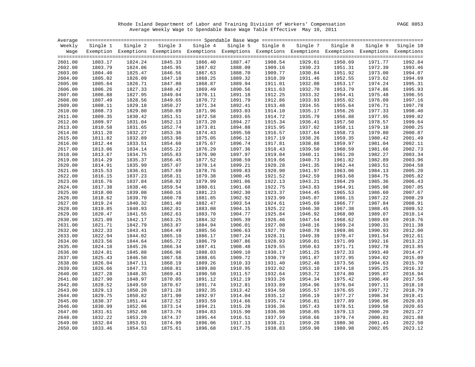Rhode Island Department of Labor and Training Division of Workers' Compensation PAGE 0053 Average Weekly Wage to Spendable Base Wage Table Effective May 10, 2011

| Average |          |          |          |                                                                                                              |          |          |          |          |          |           |
|---------|----------|----------|----------|--------------------------------------------------------------------------------------------------------------|----------|----------|----------|----------|----------|-----------|
| Weekly  | Single 1 | Single 2 | Single 3 | Single 4                                                                                                     | Single 5 | Single 6 | Single 7 | Single 8 | Single 9 | Single 10 |
| Waqe    |          |          |          | Exemption Exemptions Exemptions Exemptions Exemptions Exemptions Exemptions Exemptions Exemptions Exemptions |          |          |          |          |          |           |
|         |          |          |          |                                                                                                              |          |          |          |          |          |           |
| 2601.00 | 1803.17  | 1824.24  | 1845.33  | 1866.40                                                                                                      | 1887.47  | 1908.54  | 1929.61  | 1950.69  | 1971.77  | 1992.84   |
| 2602.00 | 1803.79  | 1824.86  | 1845.95  | 1867.02                                                                                                      | 1888.09  | 1909.16  | 1930.23  | 1951.31  | 1972.39  | 1993.46   |
| 2603.00 | 1804.40  | 1825.47  | 1846.56  | 1867.63                                                                                                      | 1888.70  | 1909.77  | 1930.84  | 1951.92  | 1973.00  | 1994.07   |
| 2604.00 | 1805.02  | 1826.09  | 1847.18  | 1868.25                                                                                                      | 1889.32  | 1910.39  | 1931.46  | 1952.55  | 1973.62  | 1994.69   |
| 2605.00 | 1805.64  | 1826.71  | 1847.80  | 1868.87                                                                                                      | 1889.94  | 1911.01  | 1932.08  | 1953.17  | 1974.24  | 1995.31   |
| 2606.00 | 1806.26  | 1827.33  | 1848.42  | 1869.49                                                                                                      | 1890.56  | 1911.63  | 1932.70  | 1953.79  | 1974.86  | 1995.93   |
| 2607.00 | 1806.88  | 1827.95  | 1849.04  | 1870.11                                                                                                      | 1891.18  | 1912.25  | 1933.32  | 1954.41  | 1975.48  | 1996.55   |
| 2608.00 | 1807.49  | 1828.56  | 1849.65  | 1870.72                                                                                                      | 1891.79  | 1912.86  | 1933.93  | 1955.02  | 1976.09  | 1997.16   |
| 2609.00 | 1808.11  | 1829.18  | 1850.27  | 1871.34                                                                                                      | 1892.41  | 1913.48  | 1934.55  | 1955.64  | 1976.71  | 1997.78   |
| 2610.00 | 1808.73  | 1829.80  | 1850.89  | 1871.96                                                                                                      | 1893.03  | 1914.10  | 1935.17  | 1956.26  | 1977.33  | 1998.40   |
| 2611.00 | 1809.35  | 1830.42  | 1851.51  | 1872.58                                                                                                      | 1893.65  | 1914.72  | 1935.79  | 1956.88  | 1977.95  | 1999.02   |
| 2612.00 | 1809.97  | 1831.04  | 1852.13  | 1873.20                                                                                                      | 1894.27  | 1915.34  | 1936.41  | 1957.50  | 1978.57  | 1999.64   |
| 2613.00 | 1810.58  | 1831.65  | 1852.74  | 1873.81                                                                                                      | 1894.88  | 1915.95  | 1937.02  | 1958.11  | 1979.18  | 2000.25   |
| 2614.00 | 1811.20  | 1832.27  | 1853.36  | 1874.43                                                                                                      | 1895.50  | 1916.57  | 1937.64  | 1958.73  | 1979.80  | 2000.87   |
| 2615.00 | 1811.82  | 1832.89  | 1853.98  | 1875.05                                                                                                      | 1896.12  | 1917.19  | 1938.26  | 1959.35  | 1980.42  | 2001.49   |
| 2616.00 | 1812.44  | 1833.51  | 1854.60  | 1875.67                                                                                                      | 1896.74  | 1917.81  | 1938.88  | 1959.97  | 1981.04  | 2002.11   |
| 2617.00 | 1813.06  | 1834.14  | 1855.22  | 1876.29                                                                                                      | 1897.36  | 1918.43  | 1939.50  | 1960.59  | 1981.66  | 2002.73   |
| 2618.00 | 1813.67  | 1834.75  | 1855.83  | 1876.90                                                                                                      | 1897.97  | 1919.04  | 1940.11  | 1961.20  | 1982.27  | 2003.34   |
| 2619.00 | 1814.29  | 1835.37  | 1856.45  | 1877.52                                                                                                      | 1898.59  | 1919.66  | 1940.73  | 1961.82  | 1982.89  | 2003.96   |
| 2620.00 | 1814.91  | 1835.99  | 1857.07  | 1878.14                                                                                                      | 1899.21  | 1920.28  | 1941.35  | 1962.44  | 1983.51  | 2004.58   |
| 2621.00 | 1815.53  | 1836.61  | 1857.69  | 1878.76                                                                                                      | 1899.83  | 1920.90  | 1941.97  | 1963.06  | 1984.13  | 2005.20   |
| 2622.00 | 1816.15  | 1837.23  | 1858.31  | 1879.38                                                                                                      | 1900.45  | 1921.52  | 1942.59  | 1963.68  | 1984.75  | 2005.82   |
| 2623.00 | 1816.76  | 1837.84  | 1858.92  | 1879.99                                                                                                      | 1901.06  | 1922.13  | 1943.21  | 1964.29  | 1985.36  | 2006.43   |
|         |          | 1838.46  |          | 1880.61                                                                                                      | 1901.68  | 1922.75  | 1943.83  |          |          | 2007.05   |
| 2624.00 | 1817.38  |          | 1859.54  |                                                                                                              |          |          |          | 1964.91  | 1985.98  | 2007.67   |
| 2625.00 | 1818.00  | 1839.08  | 1860.16  | 1881.23                                                                                                      | 1902.30  | 1923.37  | 1944.45  | 1965.53  | 1986.60  |           |
| 2626.00 | 1818.62  | 1839.70  | 1860.78  | 1881.85                                                                                                      | 1902.92  | 1923.99  | 1945.07  | 1966.15  | 1987.22  | 2008.29   |
| 2627.00 | 1819.24  | 1840.32  | 1861.40  | 1882.47                                                                                                      | 1903.54  | 1924.61  | 1945.69  | 1966.77  | 1987.84  | 2008.91   |
| 2628.00 | 1819.85  | 1840.93  | 1862.01  | 1883.08                                                                                                      | 1904.15  | 1925.22  | 1946.30  | 1967.38  | 1988.45  | 2009.52   |
| 2629.00 | 1820.47  | 1841.55  | 1862.63  | 1883.70                                                                                                      | 1904.77  | 1925.84  | 1946.92  | 1968.00  | 1989.07  | 2010.14   |
| 2630.00 | 1821.09  | 1842.17  | 1863.25  | 1884.32                                                                                                      | 1905.39  | 1926.46  | 1947.54  | 1968.62  | 1989.69  | 2010.76   |
| 2631.00 | 1821.71  | 1842.79  | 1863.87  | 1884.94                                                                                                      | 1906.01  | 1927.08  | 1948.16  | 1969.24  | 1990.31  | 2011.38   |
| 2632.00 | 1822.33  | 1843.41  | 1864.49  | 1885.56                                                                                                      | 1906.63  | 1927.70  | 1948.78  | 1969.86  | 1990.93  | 2012.00   |
| 2633.00 | 1822.94  | 1844.02  | 1865.10  | 1886.17                                                                                                      | 1907.24  | 1928.31  | 1949.39  | 1970.47  | 1991.54  | 2012.61   |
| 2634.00 | 1823.56  | 1844.64  | 1865.72  | 1886.79                                                                                                      | 1907.86  | 1928.93  | 1950.01  | 1971.09  | 1992.16  | 2013.23   |
| 2635.00 | 1824.18  | 1845.26  | 1866.34  | 1887.41                                                                                                      | 1908.48  | 1929.55  | 1950.63  | 1971.71  | 1992.78  | 2013.85   |
| 2636.00 | 1824.81  | 1845.88  | 1866.96  | 1888.03                                                                                                      | 1909.10  | 1930.17  | 1951.25  | 1972.33  | 1993.40  | 2014.47   |
| 2637.00 | 1825.43  | 1846.50  | 1867.58  | 1888.65                                                                                                      | 1909.72  | 1930.79  | 1951.87  | 1972.95  | 1994.02  | 2015.09   |
| 2638.00 | 1826.04  | 1847.11  | 1868.19  | 1889.26                                                                                                      | 1910.33  | 1931.40  | 1952.48  | 1973.56  | 1994.63  | 2015.70   |
| 2639.00 | 1826.66  | 1847.73  | 1868.81  | 1889.88                                                                                                      | 1910.95  | 1932.02  | 1953.10  | 1974.18  | 1995.25  | 2016.32   |
| 2640.00 | 1827.28  | 1848.35  | 1869.43  | 1890.50                                                                                                      | 1911.57  | 1932.64  | 1953.72  | 1974.80  | 1995.87  | 2016.94   |
| 2641.00 | 1827.90  | 1848.97  | 1870.05  | 1891.12                                                                                                      | 1912.19  | 1933.26  | 1954.34  | 1975.42  | 1996.49  | 2017.56   |
| 2642.00 | 1828.52  | 1849.59  | 1870.67  | 1891.74                                                                                                      | 1912.81  | 1933.89  | 1954.96  | 1976.04  | 1997.11  | 2018.18   |
| 2643.00 | 1829.13  | 1850.20  | 1871.28  | 1892.35                                                                                                      | 1913.42  | 1934.50  | 1955.57  | 1976.65  | 1997.72  | 2018.79   |
| 2644.00 | 1829.75  | 1850.82  | 1871.90  | 1892.97                                                                                                      | 1914.04  | 1935.12  | 1956.19  | 1977.27  | 1998.34  | 2019.41   |
| 2645.00 | 1830.37  | 1851.44  | 1872.52  | 1893.59                                                                                                      | 1914.66  | 1935.74  | 1956.81  | 1977.89  | 1998.96  | 2020.03   |
| 2646.00 | 1830.99  | 1852.06  | 1873.14  | 1894.21                                                                                                      | 1915.28  | 1936.36  | 1957.43  | 1978.51  | 1999.58  | 2020.65   |
| 2647.00 | 1831.61  | 1852.68  | 1873.76  | 1894.83                                                                                                      | 1915.90  | 1936.98  | 1958.05  | 1979.13  | 2000.20  | 2021.27   |
| 2648.00 | 1832.22  | 1853.29  | 1874.37  | 1895.44                                                                                                      | 1916.51  | 1937.59  | 1958.66  | 1979.74  | 2000.81  | 2021.88   |
| 2649.00 | 1832.84  | 1853.91  | 1874.99  | 1896.06                                                                                                      | 1917.13  | 1938.21  | 1959.28  | 1980.36  | 2001.43  | 2022.50   |
| 2650.00 | 1833.46  | 1854.53  | 1875.61  | 1896.68                                                                                                      | 1917.75  | 1938.83  | 1959.90  | 1980.98  | 2002.05  | 2023.12   |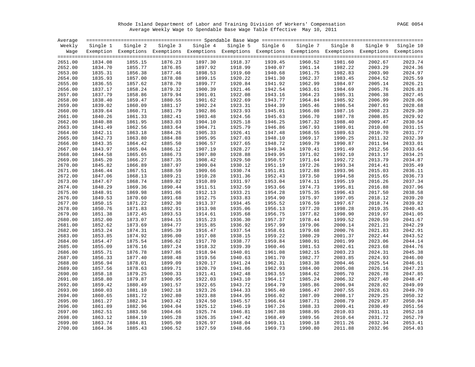Rhode Island Department of Labor and Training Division of Workers' Compensation PAGE 0054 Average Weekly Wage to Spendable Base Wage Table Effective May 10, 2011

| Average |          |                    |         |                                                                                                              |          |          |                    |          |          |                    |
|---------|----------|--------------------|---------|--------------------------------------------------------------------------------------------------------------|----------|----------|--------------------|----------|----------|--------------------|
| Weekly  | Single 1 | Single 2           |         | Single 3 Single 4                                                                                            | Single 5 | Single 6 | Single 7           | Single 8 | Single 9 | Single 10          |
| Waqe    |          |                    |         | Exemption Exemptions Exemptions Exemptions Exemptions Exemptions Exemptions Exemptions Exemptions Exemptions |          |          |                    |          |          |                    |
|         |          |                    |         |                                                                                                              |          |          |                    |          |          |                    |
| 2651.00 | 1834.08  | 1855.15            | 1876.23 | 1897.30                                                                                                      | 1918.37  | 1939.45  | 1960.52            | 1981.60  | 2002.67  | 2023.74            |
| 2652.00 | 1834.70  | 1855.77            | 1876.85 | 1897.92                                                                                                      | 1918.99  | 1940.07  | 1961.14            | 1982.22  | 2003.29  | 2024.36            |
| 2653.00 | 1835.31  | 1856.38            | 1877.46 | 1898.53                                                                                                      | 1919.60  | 1940.68  | 1961.75            | 1982.83  | 2003.90  | 2024.97            |
| 2654.00 | 1835.93  | 1857.00            | 1878.08 | 1899.15                                                                                                      | 1920.22  | 1941.30  | 1962.37            | 1983.45  | 2004.52  | 2025.59            |
| 2655.00 | 1836.55  | 1857.62            | 1878.70 | 1899.77                                                                                                      | 1920.84  | 1941.92  | 1962.99            | 1984.07  | 2005.14  | 2026.21            |
| 2656.00 | 1837.17  | 1858.24            | 1879.32 | 1900.39                                                                                                      | 1921.46  | 1942.54  | 1963.61            | 1984.69  | 2005.76  | 2026.83            |
| 2657.00 | 1837.79  | 1858.86            | 1879.94 | 1901.01                                                                                                      | 1922.08  | 1943.16  | 1964.23            | 1985.31  | 2006.38  | 2027.45            |
| 2658.00 | 1838.40  | 1859.47            | 1880.55 | 1901.62                                                                                                      | 1922.69  | 1943.77  | 1964.84            | 1985.92  | 2006.99  | 2028.06            |
| 2659.00 | 1839.02  | 1860.09            | 1881.17 | 1902.24                                                                                                      | 1923.31  | 1944.39  | 1965.46            | 1986.54  | 2007.61  | 2028.68            |
| 2660.00 | 1839.64  | 1860.71            | 1881.79 | 1902.86                                                                                                      | 1923.93  | 1945.01  | 1966.08            | 1987.16  | 2008.23  | 2029.30            |
| 2661.00 | 1840.26  | 1861.33            | 1882.41 | 1903.48                                                                                                      | 1924.56  | 1945.63  | 1966.70            | 1987.78  | 2008.85  | 2029.92<br>2030.54 |
| 2662.00 | 1840.88  | 1861.95            | 1883.03 | 1904.10                                                                                                      | 1925.18  | 1946.25  | 1967.32            | 1988.40  | 2009.47  |                    |
| 2663.00 | 1841.49  | 1862.56            | 1883.64 | 1904.71                                                                                                      | 1925.79  | 1946.86  | 1967.93            | 1989.01  | 2010.08  | 2031.15            |
| 2664.00 | 1842.11  | 1863.18            | 1884.26 | 1905.33                                                                                                      | 1926.41  | 1947.48  | 1968.55            | 1989.63  | 2010.70  | 2031.77            |
| 2665.00 | 1842.73  | 1863.80            | 1884.88 | 1905.95                                                                                                      | 1927.03  | 1948.10  | 1969.17            | 1990.25  | 2011.32  | 2032.39            |
| 2666.00 | 1843.35  | 1864.42            | 1885.50 | 1906.57                                                                                                      | 1927.65  | 1948.72  | 1969.79            | 1990.87  | 2011.94  | 2033.01            |
| 2667.00 | 1843.97  | 1865.04            | 1886.12 | 1907.19                                                                                                      | 1928.27  | 1949.34  | 1970.41            | 1991.49  | 2012.56  | 2033.64            |
| 2668.00 | 1844.58  | 1865.65            | 1886.73 | 1907.80                                                                                                      | 1928.88  | 1949.95  | 1971.02            | 1992.10  | 2013.17  | 2034.25            |
| 2669.00 | 1845.20  | 1866.27            | 1887.35 | 1908.42                                                                                                      | 1929.50  | 1950.57  | 1971.64            | 1992.72  | 2013.79  | 2034.87            |
| 2670.00 | 1845.82  | 1866.89            | 1887.97 | 1909.04                                                                                                      | 1930.12  | 1951.19  | 1972.26            | 1993.34  | 2014.41  | 2035.49            |
| 2671.00 | 1846.44  | 1867.51            | 1888.59 | 1909.66                                                                                                      | 1930.74  | 1951.81  | 1972.88            | 1993.96  | 2015.03  | 2036.11            |
| 2672.00 | 1847.06  | 1868.13            | 1889.21 | 1910.28                                                                                                      | 1931.36  | 1952.43  | 1973.50            | 1994.58  | 2015.65  | 2036.73            |
| 2673.00 | 1847.67  | 1868.74            | 1889.82 | 1910.89                                                                                                      | 1931.97  | 1953.04  | 1974.11            | 1995.19  | 2016.26  | 2037.34            |
| 2674.00 | 1848.29  | 1869.36            | 1890.44 | 1911.51                                                                                                      | 1932.59  | 1953.66  | 1974.73            | 1995.81  | 2016.88  | 2037.96            |
| 2675.00 | 1848.91  | 1869.98            | 1891.06 | 1912.13                                                                                                      | 1933.21  | 1954.28  | 1975.35            | 1996.43  | 2017.50  | 2038.58            |
| 2676.00 | 1849.53  | 1870.60            | 1891.68 | 1912.75                                                                                                      | 1933.83  | 1954.90  | 1975.97            | 1997.05  | 2018.12  | 2039.20            |
| 2677.00 | 1850.15  | 1871.22            | 1892.30 | 1913.37                                                                                                      | 1934.45  | 1955.52  | 1976.59            | 1997.67  | 2018.74  | 2039.82            |
| 2678.00 | 1850.76  | 1871.83            | 1892.91 | 1913.98                                                                                                      | 1935.06  | 1956.13  | 1977.20            | 1998.28  | 2019.35  | 2040.43            |
| 2679.00 | 1851.38  | 1872.45<br>1873.07 | 1893.53 | 1914.61<br>1915.23                                                                                           | 1935.68  | 1956.75  | 1977.82<br>1978.44 | 1998.90  | 2019.97  | 2041.05<br>2041.67 |
| 2680.00 | 1852.00  |                    | 1894.15 |                                                                                                              | 1936.30  | 1957.37  |                    | 1999.52  | 2020.59  |                    |
| 2681.00 | 1852.62  | 1873.69            | 1894.77 | 1915.85                                                                                                      | 1936.92  | 1957.99  | 1979.06            | 2000.14  | 2021.21  | 2042.29            |
| 2682.00 | 1853.24  | 1874.31            | 1895.39 | 1916.47                                                                                                      | 1937.54  | 1958.61  | 1979.68            | 2000.76  | 2021.83  | 2042.91            |
| 2683.00 | 1853.85  | 1874.92            | 1896.00 | 1917.08                                                                                                      | 1938.15  | 1959.22  | 1980.29            | 2001.37  | 2022.44  | 2043.52            |
| 2684.00 | 1854.47  | 1875.54            | 1896.62 | 1917.70                                                                                                      | 1938.77  | 1959.84  | 1980.91            | 2001.99  | 2023.06  | 2044.14            |
| 2685.00 | 1855.09  | 1876.16            | 1897.24 | 1918.32                                                                                                      | 1939.39  | 1960.46  | 1981.53            | 2002.61  | 2023.68  | 2044.76            |
| 2686.00 | 1855.71  | 1876.78            | 1897.86 | 1918.94                                                                                                      | 1940.01  | 1961.08  | 1982.15            | 2003.23  | 2024.31  | 2045.38            |
| 2687.00 | 1856.33  | 1877.40            | 1898.48 | 1919.56                                                                                                      | 1940.63  | 1961.70  | 1982.77            | 2003.85  | 2024.93  | 2046.00            |
| 2688.00 | 1856.94  | 1878.01            | 1899.09 | 1920.17                                                                                                      | 1941.24  | 1962.31  | 1983.38            | 2004.46  | 2025.54  | 2046.61            |
| 2689.00 | 1857.56  | 1878.63            | 1899.71 | 1920.79                                                                                                      | 1941.86  | 1962.93  | 1984.00            | 2005.08  | 2026.16  | 2047.23            |
| 2690.00 | 1858.18  | 1879.25            | 1900.33 | 1921.41                                                                                                      | 1942.48  | 1963.55  | 1984.62            | 2005.70  | 2026.78  | 2047.85            |
| 2691.00 | 1858.80  | 1879.87            | 1900.95 | 1922.03                                                                                                      | 1943.10  | 1964.17  | 1985.24            | 2006.32  | 2027.40  | 2048.47            |
| 2692.00 | 1859.42  | 1880.49            | 1901.57 | 1922.65                                                                                                      | 1943.72  | 1964.79  | 1985.86            | 2006.94  | 2028.02  | 2049.09            |
| 2693.00 | 1860.03  | 1881.10            | 1902.18 | 1923.26                                                                                                      | 1944.33  | 1965.40  | 1986.47            | 2007.55  | 2028.63  | 2049.70            |
| 2694.00 | 1860.65  | 1881.72            | 1902.80 | 1923.88                                                                                                      | 1944.95  | 1966.02  | 1987.09            | 2008.17  | 2029.25  | 2050.32            |
| 2695.00 | 1861.27  | 1882.34            | 1903.42 | 1924.50                                                                                                      | 1945.57  | 1966.64  | 1987.71            | 2008.79  | 2029.87  | 2050.94            |
| 2696.00 | 1861.89  | 1882.96            | 1904.04 | 1925.12                                                                                                      | 1946.19  | 1967.26  | 1988.33            | 2009.41  | 2030.49  | 2051.56            |
| 2697.00 | 1862.51  | 1883.58            | 1904.66 | 1925.74                                                                                                      | 1946.81  | 1967.88  | 1988.95            | 2010.03  | 2031.11  | 2052.18            |
| 2698.00 | 1863.12  | 1884.19            | 1905.28 | 1926.35                                                                                                      | 1947.42  | 1968.49  | 1989.56            | 2010.64  | 2031.72  | 2052.79            |
| 2699.00 | 1863.74  | 1884.81            | 1905.90 | 1926.97                                                                                                      | 1948.04  | 1969.11  | 1990.18            | 2011.26  | 2032.34  | 2053.41            |
| 2700.00 | 1864.36  | 1885.43            | 1906.52 | 1927.59                                                                                                      | 1948.66  | 1969.73  | 1990.80            | 2011.88  | 2032.96  | 2054.03            |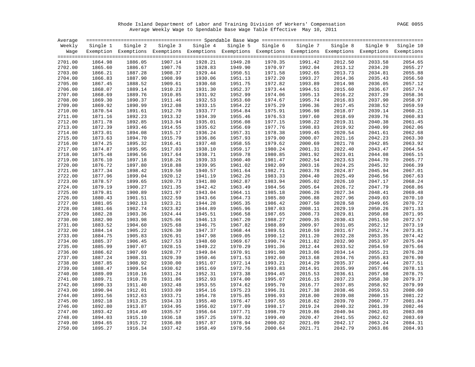Rhode Island Department of Labor and Training Division of Workers' Compensation PAGE 0055 Average Weekly Wage to Spendable Base Wage Table Effective May 10, 2011

| Single 4<br>Single 7<br>Single 8<br>Weekly<br>Single 2<br>Single 3<br>Single 5<br>Single 6<br>Single 9<br>Single 1<br>Exemption Exemptions Exemptions Exemptions Exemptions Exemptions Exemptions Exemptions Exemptions Exemptions<br>Waqe<br>1886.05<br>1949.28<br>1991.42<br>2701.00<br>1864.98<br>1907.14<br>1928.21<br>1970.35<br>2012.50<br>2033.58<br>1949.90<br>1992.04<br>2702.00<br>1865.60<br>1886.67<br>1907.76<br>1928.83<br>1970.97<br>2013.12<br>2034.20<br>1908.37<br>1929.44<br>2703.00<br>1866.21<br>1887.28<br>1950.51<br>1971.58<br>1992.65<br>2013.73<br>2034.81<br>1887.90<br>2704.00<br>1866.83<br>1908.99<br>1930.06<br>1951.13<br>1972.20<br>1993.27<br>2014.36<br>2035.43<br>1867.45<br>1888.52<br>1930.68<br>1951.75<br>1972.82<br>1993.89<br>2705.00<br>1909.61<br>2014.98<br>2036.05<br>1931.30<br>1952.37<br>1973.44<br>2706.00<br>1868.07<br>1889.14<br>1910.23<br>1994.51<br>2015.60<br>2036.67<br>2707.00<br>1868.69<br>1889.76<br>1910.85<br>1931.92<br>1952.99<br>1974.06<br>1995.13<br>2016.22<br>2037.29<br>2708.00<br>1869.30<br>1890.37<br>1911.46<br>1932.53<br>1953.60<br>1974.67<br>1995.74<br>2016.83<br>2037.90<br>1869.92<br>1890.99<br>1912.08<br>1933.15<br>1954.22<br>1975.29<br>1996.36<br>2017.45<br>2038.52<br>2709.00<br>1870.54<br>1891.61<br>1954.84<br>1996.98<br>2710.00<br>1912.70<br>1933.77<br>1975.91<br>2018.07<br>2039.14<br>1892.23<br>1955.46<br>2711.00<br>1871.16<br>1913.32<br>1934.39<br>1976.53<br>1997.60<br>2018.69<br>2039.76<br>1892.85<br>1935.01<br>2040.38<br>2712.00<br>1871.78<br>1913.94<br>1956.08<br>1977.15<br>1998.22<br>2019.31<br>1872.39<br>1893.46<br>1914.55<br>1935.62<br>1956.69<br>1977.76<br>1998.83<br>2019.92<br>2040.99<br>2713.00<br>1873.01<br>1894.08<br>1978.38<br>1999.45<br>2714.00<br>1915.17<br>1936.24<br>1957.31<br>2020.54<br>2041.61<br>2715.00<br>1873.63<br>1894.70<br>1915.79<br>1936.86<br>1957.93<br>1979.00<br>2000.07<br>2021.16<br>2042.23<br>2716.00<br>1874.25<br>1895.32<br>1916.41<br>1937.48<br>1958.55<br>1979.62<br>2000.69<br>2021.78<br>2042.85<br>1895.95<br>1938.10<br>2001.31<br>2717.00<br>1874.87<br>1917.03<br>1959.17<br>1980.24<br>2022.40<br>2043.47<br>2718.00<br>1875.48<br>1896.56<br>1917.64<br>1938.71<br>1959.78<br>1980.85<br>2001.92<br>2023.01<br>2044.08<br>2719.00<br>1876.10<br>1897.18<br>1918.26<br>1939.33<br>1960.40<br>1981.47<br>2002.54<br>2023.63<br>2044.70<br>2720.00<br>1876.72<br>1897.80<br>1918.88<br>1939.95<br>1961.02<br>1982.09<br>2003.16<br>2024.25<br>2045.32<br>1940.57<br>2721.00<br>1877.34<br>1898.42<br>1919.50<br>1961.64<br>1982.71<br>2003.78<br>2024.87<br>2045.94<br>2722.00<br>1877.96<br>1899.04<br>1920.12<br>1941.19<br>1962.26<br>1983.33<br>2004.40<br>2025.49<br>2046.56<br>1878.57<br>1899.65<br>1920.73<br>1941.80<br>1962.87<br>1983.94<br>2005.02<br>2026.10<br>2723.00<br>2047.17<br>1879.19<br>1900.27<br>1921.35<br>1942.42<br>2005.64<br>2047.79<br>2724.00<br>1963.49<br>1984.56<br>2026.72<br>1879.81<br>1900.89<br>1921.97<br>1943.04<br>1985.18<br>2006.26<br>2725.00<br>1964.11<br>2027.34<br>2048.41<br>2726.00<br>1880.43<br>1901.51<br>1922.59<br>1943.66<br>1964.73<br>1985.80<br>2006.88<br>2027.96<br>2049.03<br>2727.00<br>1881.05<br>1902.13<br>1923.21<br>1944.28<br>1965.35<br>1986.42<br>2007.50<br>2028.58<br>2049.65<br>1881.66<br>1902.74<br>1944.89<br>1965.96<br>2728.00<br>1923.82<br>1987.03<br>2008.11<br>2029.19<br>2050.26<br>1903.36<br>1945.51<br>2008.73<br>2729.00<br>1882.28<br>1924.44<br>1966.58<br>1987.65<br>2029.81<br>2050.88<br>1882.90<br>1903.98<br>1946.13<br>1988.27<br>2009.35<br>2051.50<br>2730.00<br>1925.06<br>1967.20<br>2030.43<br>1904.60<br>1925.68<br>1946.75<br>1967.82<br>1988.89<br>2009.97<br>2031.05<br>2052.12<br>2731.00<br>1883.52<br>1905.22<br>2010.59<br>2052.74<br>2732.00<br>1884.14<br>1926.30<br>1947.37<br>1968.44<br>1989.51<br>2031.67<br>1884.75<br>1905.83<br>1926.91<br>1947.98<br>1969.05<br>1990.12<br>2011.20<br>2032.28<br>2053.35<br>2733.00<br>2734.00<br>1885.37<br>1906.45<br>1927.53<br>1948.60<br>1969.67<br>1990.74<br>2011.82<br>2032.90<br>2053.97<br>1949.22<br>2012.44<br>2735.00<br>1885.99<br>1907.07<br>1928.15<br>1970.29<br>1991.36<br>2033.52<br>2054.59<br>2736.00<br>1886.62<br>1907.69<br>1928.77<br>1949.84<br>1970.91<br>1991.98<br>2013.06<br>2034.14<br>2055.21<br>2737.00<br>1887.24<br>1908.31<br>1929.39<br>1950.46<br>1971.53<br>1992.60<br>2013.68<br>2034.76<br>2055.83<br>2738.00<br>1887.85<br>1908.92<br>1930.00<br>1951.07<br>1972.14<br>1993.21<br>2014.29<br>2035.37<br>2056.44<br>2739.00<br>1888.47<br>1909.54<br>1930.62<br>1951.69<br>1972.76<br>1993.83<br>2014.91<br>2035.99<br>2057.06<br>2740.00<br>1889.09<br>1910.16<br>1931.24<br>1952.31<br>1973.38<br>1994.45<br>2015.53<br>2036.61<br>2057.68<br>1910.78<br>1931.86<br>1952.93<br>1974.00<br>1995.07<br>2741.00<br>1889.71<br>2016.15<br>2037.23<br>2058.30<br>1911.40<br>1953.55<br>1995.70<br>2016.77<br>2742.00<br>1890.33<br>1932.48<br>1974.62<br>2037.85<br>2058.92<br>1912.01<br>2743.00<br>1890.94<br>1933.09<br>1954.16<br>1975.23<br>1996.31<br>2017.38<br>2038.46<br>2059.53<br>1891.56<br>1912.63<br>1933.71<br>1954.78<br>1975.85<br>1996.93<br>2018.00<br>2039.08<br>2060.15<br>2744.00<br>1892.18<br>1913.25<br>1934.33<br>1955.40<br>1976.47<br>1997.55<br>2018.62<br>2039.70<br>2060.77<br>2745.00<br>1892.80<br>1913.87<br>1934.95<br>2019.24<br>2746.00<br>1956.02<br>1977.09<br>1998.17<br>2040.32<br>2061.39<br>2747.00<br>1893.42<br>1914.49<br>1935.57<br>1956.64<br>1977.71<br>1998.79<br>2019.86<br>2040.94<br>2062.01<br>1894.03<br>1915.10<br>1957.25<br>1978.32<br>1999.40<br>2020.47<br>2748.00<br>1936.18<br>2041.55<br>2062.62<br>1915.72<br>1957.87<br>1978.94<br>2021.09<br>2042.17<br>2749.00<br>1894.65<br>1936.80<br>2000.02<br>2063.24 | Average |         |         |         |         |         |         |         |         |         |           |
|----------------------------------------------------------------------------------------------------------------------------------------------------------------------------------------------------------------------------------------------------------------------------------------------------------------------------------------------------------------------------------------------------------------------------------------------------------------------------------------------------------------------------------------------------------------------------------------------------------------------------------------------------------------------------------------------------------------------------------------------------------------------------------------------------------------------------------------------------------------------------------------------------------------------------------------------------------------------------------------------------------------------------------------------------------------------------------------------------------------------------------------------------------------------------------------------------------------------------------------------------------------------------------------------------------------------------------------------------------------------------------------------------------------------------------------------------------------------------------------------------------------------------------------------------------------------------------------------------------------------------------------------------------------------------------------------------------------------------------------------------------------------------------------------------------------------------------------------------------------------------------------------------------------------------------------------------------------------------------------------------------------------------------------------------------------------------------------------------------------------------------------------------------------------------------------------------------------------------------------------------------------------------------------------------------------------------------------------------------------------------------------------------------------------------------------------------------------------------------------------------------------------------------------------------------------------------------------------------------------------------------------------------------------------------------------------------------------------------------------------------------------------------------------------------------------------------------------------------------------------------------------------------------------------------------------------------------------------------------------------------------------------------------------------------------------------------------------------------------------------------------------------------------------------------------------------------------------------------------------------------------------------------------------------------------------------------------------------------------------------------------------------------------------------------------------------------------------------------------------------------------------------------------------------------------------------------------------------------------------------------------------------------------------------------------------------------------------------------------------------------------------------------------------------------------------------------------------------------------------------------------------------------------------------------------------------------------------------------------------------------------------------------------------------------------------------------------------------------------------------------------------------------------------------------------------------------------------------------------------------------------------------------------------------------------------------------------------------------------------------------------------------------------------------------------------------------------------------------------------------------------------------------------------------------------------------------------------------------------------------------------------------------------------------------------------------------------------------------------------------------------------------------------------------------------------------------------------------------------------------------------------------------------------------------------------------------------------------------------------------------------------------------------------------------------------------------------------------------------------------------------------------------------------------------------------------------------------------------------------------------------------------------------------------------------------------------------------------------------------------------------------------------------------------------------------------------------------------------------------------------------------------------------------------------------------------------------------------------------------------------------------------------------------------------------------------------------------------------------------------------------------------------------------------------------------------------------------------------------|---------|---------|---------|---------|---------|---------|---------|---------|---------|---------|-----------|
|                                                                                                                                                                                                                                                                                                                                                                                                                                                                                                                                                                                                                                                                                                                                                                                                                                                                                                                                                                                                                                                                                                                                                                                                                                                                                                                                                                                                                                                                                                                                                                                                                                                                                                                                                                                                                                                                                                                                                                                                                                                                                                                                                                                                                                                                                                                                                                                                                                                                                                                                                                                                                                                                                                                                                                                                                                                                                                                                                                                                                                                                                                                                                                                                                                                                                                                                                                                                                                                                                                                                                                                                                                                                                                                                                                                                                                                                                                                                                                                                                                                                                                                                                                                                                                                                                                                                                                                                                                                                                                                                                                                                                                                                                                                                                                                                                                                                                                                                                                                                                                                                                                                                                                                                                                                                                                                                                                                                                                                                                                                                                                                                                                                                                                                                                                                                                                                          |         |         |         |         |         |         |         |         |         |         | Single 10 |
|                                                                                                                                                                                                                                                                                                                                                                                                                                                                                                                                                                                                                                                                                                                                                                                                                                                                                                                                                                                                                                                                                                                                                                                                                                                                                                                                                                                                                                                                                                                                                                                                                                                                                                                                                                                                                                                                                                                                                                                                                                                                                                                                                                                                                                                                                                                                                                                                                                                                                                                                                                                                                                                                                                                                                                                                                                                                                                                                                                                                                                                                                                                                                                                                                                                                                                                                                                                                                                                                                                                                                                                                                                                                                                                                                                                                                                                                                                                                                                                                                                                                                                                                                                                                                                                                                                                                                                                                                                                                                                                                                                                                                                                                                                                                                                                                                                                                                                                                                                                                                                                                                                                                                                                                                                                                                                                                                                                                                                                                                                                                                                                                                                                                                                                                                                                                                                                          |         |         |         |         |         |         |         |         |         |         |           |
|                                                                                                                                                                                                                                                                                                                                                                                                                                                                                                                                                                                                                                                                                                                                                                                                                                                                                                                                                                                                                                                                                                                                                                                                                                                                                                                                                                                                                                                                                                                                                                                                                                                                                                                                                                                                                                                                                                                                                                                                                                                                                                                                                                                                                                                                                                                                                                                                                                                                                                                                                                                                                                                                                                                                                                                                                                                                                                                                                                                                                                                                                                                                                                                                                                                                                                                                                                                                                                                                                                                                                                                                                                                                                                                                                                                                                                                                                                                                                                                                                                                                                                                                                                                                                                                                                                                                                                                                                                                                                                                                                                                                                                                                                                                                                                                                                                                                                                                                                                                                                                                                                                                                                                                                                                                                                                                                                                                                                                                                                                                                                                                                                                                                                                                                                                                                                                                          |         |         |         |         |         |         |         |         |         |         |           |
|                                                                                                                                                                                                                                                                                                                                                                                                                                                                                                                                                                                                                                                                                                                                                                                                                                                                                                                                                                                                                                                                                                                                                                                                                                                                                                                                                                                                                                                                                                                                                                                                                                                                                                                                                                                                                                                                                                                                                                                                                                                                                                                                                                                                                                                                                                                                                                                                                                                                                                                                                                                                                                                                                                                                                                                                                                                                                                                                                                                                                                                                                                                                                                                                                                                                                                                                                                                                                                                                                                                                                                                                                                                                                                                                                                                                                                                                                                                                                                                                                                                                                                                                                                                                                                                                                                                                                                                                                                                                                                                                                                                                                                                                                                                                                                                                                                                                                                                                                                                                                                                                                                                                                                                                                                                                                                                                                                                                                                                                                                                                                                                                                                                                                                                                                                                                                                                          |         |         |         |         |         |         |         |         |         |         | 2054.65   |
|                                                                                                                                                                                                                                                                                                                                                                                                                                                                                                                                                                                                                                                                                                                                                                                                                                                                                                                                                                                                                                                                                                                                                                                                                                                                                                                                                                                                                                                                                                                                                                                                                                                                                                                                                                                                                                                                                                                                                                                                                                                                                                                                                                                                                                                                                                                                                                                                                                                                                                                                                                                                                                                                                                                                                                                                                                                                                                                                                                                                                                                                                                                                                                                                                                                                                                                                                                                                                                                                                                                                                                                                                                                                                                                                                                                                                                                                                                                                                                                                                                                                                                                                                                                                                                                                                                                                                                                                                                                                                                                                                                                                                                                                                                                                                                                                                                                                                                                                                                                                                                                                                                                                                                                                                                                                                                                                                                                                                                                                                                                                                                                                                                                                                                                                                                                                                                                          |         |         |         |         |         |         |         |         |         |         | 2055.27   |
|                                                                                                                                                                                                                                                                                                                                                                                                                                                                                                                                                                                                                                                                                                                                                                                                                                                                                                                                                                                                                                                                                                                                                                                                                                                                                                                                                                                                                                                                                                                                                                                                                                                                                                                                                                                                                                                                                                                                                                                                                                                                                                                                                                                                                                                                                                                                                                                                                                                                                                                                                                                                                                                                                                                                                                                                                                                                                                                                                                                                                                                                                                                                                                                                                                                                                                                                                                                                                                                                                                                                                                                                                                                                                                                                                                                                                                                                                                                                                                                                                                                                                                                                                                                                                                                                                                                                                                                                                                                                                                                                                                                                                                                                                                                                                                                                                                                                                                                                                                                                                                                                                                                                                                                                                                                                                                                                                                                                                                                                                                                                                                                                                                                                                                                                                                                                                                                          |         |         |         |         |         |         |         |         |         |         | 2055.88   |
|                                                                                                                                                                                                                                                                                                                                                                                                                                                                                                                                                                                                                                                                                                                                                                                                                                                                                                                                                                                                                                                                                                                                                                                                                                                                                                                                                                                                                                                                                                                                                                                                                                                                                                                                                                                                                                                                                                                                                                                                                                                                                                                                                                                                                                                                                                                                                                                                                                                                                                                                                                                                                                                                                                                                                                                                                                                                                                                                                                                                                                                                                                                                                                                                                                                                                                                                                                                                                                                                                                                                                                                                                                                                                                                                                                                                                                                                                                                                                                                                                                                                                                                                                                                                                                                                                                                                                                                                                                                                                                                                                                                                                                                                                                                                                                                                                                                                                                                                                                                                                                                                                                                                                                                                                                                                                                                                                                                                                                                                                                                                                                                                                                                                                                                                                                                                                                                          |         |         |         |         |         |         |         |         |         |         | 2056.50   |
|                                                                                                                                                                                                                                                                                                                                                                                                                                                                                                                                                                                                                                                                                                                                                                                                                                                                                                                                                                                                                                                                                                                                                                                                                                                                                                                                                                                                                                                                                                                                                                                                                                                                                                                                                                                                                                                                                                                                                                                                                                                                                                                                                                                                                                                                                                                                                                                                                                                                                                                                                                                                                                                                                                                                                                                                                                                                                                                                                                                                                                                                                                                                                                                                                                                                                                                                                                                                                                                                                                                                                                                                                                                                                                                                                                                                                                                                                                                                                                                                                                                                                                                                                                                                                                                                                                                                                                                                                                                                                                                                                                                                                                                                                                                                                                                                                                                                                                                                                                                                                                                                                                                                                                                                                                                                                                                                                                                                                                                                                                                                                                                                                                                                                                                                                                                                                                                          |         |         |         |         |         |         |         |         |         |         | 2057.12   |
|                                                                                                                                                                                                                                                                                                                                                                                                                                                                                                                                                                                                                                                                                                                                                                                                                                                                                                                                                                                                                                                                                                                                                                                                                                                                                                                                                                                                                                                                                                                                                                                                                                                                                                                                                                                                                                                                                                                                                                                                                                                                                                                                                                                                                                                                                                                                                                                                                                                                                                                                                                                                                                                                                                                                                                                                                                                                                                                                                                                                                                                                                                                                                                                                                                                                                                                                                                                                                                                                                                                                                                                                                                                                                                                                                                                                                                                                                                                                                                                                                                                                                                                                                                                                                                                                                                                                                                                                                                                                                                                                                                                                                                                                                                                                                                                                                                                                                                                                                                                                                                                                                                                                                                                                                                                                                                                                                                                                                                                                                                                                                                                                                                                                                                                                                                                                                                                          |         |         |         |         |         |         |         |         |         |         | 2057.74   |
|                                                                                                                                                                                                                                                                                                                                                                                                                                                                                                                                                                                                                                                                                                                                                                                                                                                                                                                                                                                                                                                                                                                                                                                                                                                                                                                                                                                                                                                                                                                                                                                                                                                                                                                                                                                                                                                                                                                                                                                                                                                                                                                                                                                                                                                                                                                                                                                                                                                                                                                                                                                                                                                                                                                                                                                                                                                                                                                                                                                                                                                                                                                                                                                                                                                                                                                                                                                                                                                                                                                                                                                                                                                                                                                                                                                                                                                                                                                                                                                                                                                                                                                                                                                                                                                                                                                                                                                                                                                                                                                                                                                                                                                                                                                                                                                                                                                                                                                                                                                                                                                                                                                                                                                                                                                                                                                                                                                                                                                                                                                                                                                                                                                                                                                                                                                                                                                          |         |         |         |         |         |         |         |         |         |         | 2058.36   |
|                                                                                                                                                                                                                                                                                                                                                                                                                                                                                                                                                                                                                                                                                                                                                                                                                                                                                                                                                                                                                                                                                                                                                                                                                                                                                                                                                                                                                                                                                                                                                                                                                                                                                                                                                                                                                                                                                                                                                                                                                                                                                                                                                                                                                                                                                                                                                                                                                                                                                                                                                                                                                                                                                                                                                                                                                                                                                                                                                                                                                                                                                                                                                                                                                                                                                                                                                                                                                                                                                                                                                                                                                                                                                                                                                                                                                                                                                                                                                                                                                                                                                                                                                                                                                                                                                                                                                                                                                                                                                                                                                                                                                                                                                                                                                                                                                                                                                                                                                                                                                                                                                                                                                                                                                                                                                                                                                                                                                                                                                                                                                                                                                                                                                                                                                                                                                                                          |         |         |         |         |         |         |         |         |         |         | 2058.97   |
|                                                                                                                                                                                                                                                                                                                                                                                                                                                                                                                                                                                                                                                                                                                                                                                                                                                                                                                                                                                                                                                                                                                                                                                                                                                                                                                                                                                                                                                                                                                                                                                                                                                                                                                                                                                                                                                                                                                                                                                                                                                                                                                                                                                                                                                                                                                                                                                                                                                                                                                                                                                                                                                                                                                                                                                                                                                                                                                                                                                                                                                                                                                                                                                                                                                                                                                                                                                                                                                                                                                                                                                                                                                                                                                                                                                                                                                                                                                                                                                                                                                                                                                                                                                                                                                                                                                                                                                                                                                                                                                                                                                                                                                                                                                                                                                                                                                                                                                                                                                                                                                                                                                                                                                                                                                                                                                                                                                                                                                                                                                                                                                                                                                                                                                                                                                                                                                          |         |         |         |         |         |         |         |         |         |         | 2059.59   |
|                                                                                                                                                                                                                                                                                                                                                                                                                                                                                                                                                                                                                                                                                                                                                                                                                                                                                                                                                                                                                                                                                                                                                                                                                                                                                                                                                                                                                                                                                                                                                                                                                                                                                                                                                                                                                                                                                                                                                                                                                                                                                                                                                                                                                                                                                                                                                                                                                                                                                                                                                                                                                                                                                                                                                                                                                                                                                                                                                                                                                                                                                                                                                                                                                                                                                                                                                                                                                                                                                                                                                                                                                                                                                                                                                                                                                                                                                                                                                                                                                                                                                                                                                                                                                                                                                                                                                                                                                                                                                                                                                                                                                                                                                                                                                                                                                                                                                                                                                                                                                                                                                                                                                                                                                                                                                                                                                                                                                                                                                                                                                                                                                                                                                                                                                                                                                                                          |         |         |         |         |         |         |         |         |         |         | 2060.21   |
|                                                                                                                                                                                                                                                                                                                                                                                                                                                                                                                                                                                                                                                                                                                                                                                                                                                                                                                                                                                                                                                                                                                                                                                                                                                                                                                                                                                                                                                                                                                                                                                                                                                                                                                                                                                                                                                                                                                                                                                                                                                                                                                                                                                                                                                                                                                                                                                                                                                                                                                                                                                                                                                                                                                                                                                                                                                                                                                                                                                                                                                                                                                                                                                                                                                                                                                                                                                                                                                                                                                                                                                                                                                                                                                                                                                                                                                                                                                                                                                                                                                                                                                                                                                                                                                                                                                                                                                                                                                                                                                                                                                                                                                                                                                                                                                                                                                                                                                                                                                                                                                                                                                                                                                                                                                                                                                                                                                                                                                                                                                                                                                                                                                                                                                                                                                                                                                          |         |         |         |         |         |         |         |         |         |         | 2060.83   |
|                                                                                                                                                                                                                                                                                                                                                                                                                                                                                                                                                                                                                                                                                                                                                                                                                                                                                                                                                                                                                                                                                                                                                                                                                                                                                                                                                                                                                                                                                                                                                                                                                                                                                                                                                                                                                                                                                                                                                                                                                                                                                                                                                                                                                                                                                                                                                                                                                                                                                                                                                                                                                                                                                                                                                                                                                                                                                                                                                                                                                                                                                                                                                                                                                                                                                                                                                                                                                                                                                                                                                                                                                                                                                                                                                                                                                                                                                                                                                                                                                                                                                                                                                                                                                                                                                                                                                                                                                                                                                                                                                                                                                                                                                                                                                                                                                                                                                                                                                                                                                                                                                                                                                                                                                                                                                                                                                                                                                                                                                                                                                                                                                                                                                                                                                                                                                                                          |         |         |         |         |         |         |         |         |         |         | 2061.45   |
|                                                                                                                                                                                                                                                                                                                                                                                                                                                                                                                                                                                                                                                                                                                                                                                                                                                                                                                                                                                                                                                                                                                                                                                                                                                                                                                                                                                                                                                                                                                                                                                                                                                                                                                                                                                                                                                                                                                                                                                                                                                                                                                                                                                                                                                                                                                                                                                                                                                                                                                                                                                                                                                                                                                                                                                                                                                                                                                                                                                                                                                                                                                                                                                                                                                                                                                                                                                                                                                                                                                                                                                                                                                                                                                                                                                                                                                                                                                                                                                                                                                                                                                                                                                                                                                                                                                                                                                                                                                                                                                                                                                                                                                                                                                                                                                                                                                                                                                                                                                                                                                                                                                                                                                                                                                                                                                                                                                                                                                                                                                                                                                                                                                                                                                                                                                                                                                          |         |         |         |         |         |         |         |         |         |         | 2062.06   |
|                                                                                                                                                                                                                                                                                                                                                                                                                                                                                                                                                                                                                                                                                                                                                                                                                                                                                                                                                                                                                                                                                                                                                                                                                                                                                                                                                                                                                                                                                                                                                                                                                                                                                                                                                                                                                                                                                                                                                                                                                                                                                                                                                                                                                                                                                                                                                                                                                                                                                                                                                                                                                                                                                                                                                                                                                                                                                                                                                                                                                                                                                                                                                                                                                                                                                                                                                                                                                                                                                                                                                                                                                                                                                                                                                                                                                                                                                                                                                                                                                                                                                                                                                                                                                                                                                                                                                                                                                                                                                                                                                                                                                                                                                                                                                                                                                                                                                                                                                                                                                                                                                                                                                                                                                                                                                                                                                                                                                                                                                                                                                                                                                                                                                                                                                                                                                                                          |         |         |         |         |         |         |         |         |         |         | 2062.68   |
|                                                                                                                                                                                                                                                                                                                                                                                                                                                                                                                                                                                                                                                                                                                                                                                                                                                                                                                                                                                                                                                                                                                                                                                                                                                                                                                                                                                                                                                                                                                                                                                                                                                                                                                                                                                                                                                                                                                                                                                                                                                                                                                                                                                                                                                                                                                                                                                                                                                                                                                                                                                                                                                                                                                                                                                                                                                                                                                                                                                                                                                                                                                                                                                                                                                                                                                                                                                                                                                                                                                                                                                                                                                                                                                                                                                                                                                                                                                                                                                                                                                                                                                                                                                                                                                                                                                                                                                                                                                                                                                                                                                                                                                                                                                                                                                                                                                                                                                                                                                                                                                                                                                                                                                                                                                                                                                                                                                                                                                                                                                                                                                                                                                                                                                                                                                                                                                          |         |         |         |         |         |         |         |         |         |         | 2063.30   |
|                                                                                                                                                                                                                                                                                                                                                                                                                                                                                                                                                                                                                                                                                                                                                                                                                                                                                                                                                                                                                                                                                                                                                                                                                                                                                                                                                                                                                                                                                                                                                                                                                                                                                                                                                                                                                                                                                                                                                                                                                                                                                                                                                                                                                                                                                                                                                                                                                                                                                                                                                                                                                                                                                                                                                                                                                                                                                                                                                                                                                                                                                                                                                                                                                                                                                                                                                                                                                                                                                                                                                                                                                                                                                                                                                                                                                                                                                                                                                                                                                                                                                                                                                                                                                                                                                                                                                                                                                                                                                                                                                                                                                                                                                                                                                                                                                                                                                                                                                                                                                                                                                                                                                                                                                                                                                                                                                                                                                                                                                                                                                                                                                                                                                                                                                                                                                                                          |         |         |         |         |         |         |         |         |         |         | 2063.92   |
|                                                                                                                                                                                                                                                                                                                                                                                                                                                                                                                                                                                                                                                                                                                                                                                                                                                                                                                                                                                                                                                                                                                                                                                                                                                                                                                                                                                                                                                                                                                                                                                                                                                                                                                                                                                                                                                                                                                                                                                                                                                                                                                                                                                                                                                                                                                                                                                                                                                                                                                                                                                                                                                                                                                                                                                                                                                                                                                                                                                                                                                                                                                                                                                                                                                                                                                                                                                                                                                                                                                                                                                                                                                                                                                                                                                                                                                                                                                                                                                                                                                                                                                                                                                                                                                                                                                                                                                                                                                                                                                                                                                                                                                                                                                                                                                                                                                                                                                                                                                                                                                                                                                                                                                                                                                                                                                                                                                                                                                                                                                                                                                                                                                                                                                                                                                                                                                          |         |         |         |         |         |         |         |         |         |         | 2064.54   |
|                                                                                                                                                                                                                                                                                                                                                                                                                                                                                                                                                                                                                                                                                                                                                                                                                                                                                                                                                                                                                                                                                                                                                                                                                                                                                                                                                                                                                                                                                                                                                                                                                                                                                                                                                                                                                                                                                                                                                                                                                                                                                                                                                                                                                                                                                                                                                                                                                                                                                                                                                                                                                                                                                                                                                                                                                                                                                                                                                                                                                                                                                                                                                                                                                                                                                                                                                                                                                                                                                                                                                                                                                                                                                                                                                                                                                                                                                                                                                                                                                                                                                                                                                                                                                                                                                                                                                                                                                                                                                                                                                                                                                                                                                                                                                                                                                                                                                                                                                                                                                                                                                                                                                                                                                                                                                                                                                                                                                                                                                                                                                                                                                                                                                                                                                                                                                                                          |         |         |         |         |         |         |         |         |         |         | 2065.15   |
|                                                                                                                                                                                                                                                                                                                                                                                                                                                                                                                                                                                                                                                                                                                                                                                                                                                                                                                                                                                                                                                                                                                                                                                                                                                                                                                                                                                                                                                                                                                                                                                                                                                                                                                                                                                                                                                                                                                                                                                                                                                                                                                                                                                                                                                                                                                                                                                                                                                                                                                                                                                                                                                                                                                                                                                                                                                                                                                                                                                                                                                                                                                                                                                                                                                                                                                                                                                                                                                                                                                                                                                                                                                                                                                                                                                                                                                                                                                                                                                                                                                                                                                                                                                                                                                                                                                                                                                                                                                                                                                                                                                                                                                                                                                                                                                                                                                                                                                                                                                                                                                                                                                                                                                                                                                                                                                                                                                                                                                                                                                                                                                                                                                                                                                                                                                                                                                          |         |         |         |         |         |         |         |         |         |         | 2065.77   |
|                                                                                                                                                                                                                                                                                                                                                                                                                                                                                                                                                                                                                                                                                                                                                                                                                                                                                                                                                                                                                                                                                                                                                                                                                                                                                                                                                                                                                                                                                                                                                                                                                                                                                                                                                                                                                                                                                                                                                                                                                                                                                                                                                                                                                                                                                                                                                                                                                                                                                                                                                                                                                                                                                                                                                                                                                                                                                                                                                                                                                                                                                                                                                                                                                                                                                                                                                                                                                                                                                                                                                                                                                                                                                                                                                                                                                                                                                                                                                                                                                                                                                                                                                                                                                                                                                                                                                                                                                                                                                                                                                                                                                                                                                                                                                                                                                                                                                                                                                                                                                                                                                                                                                                                                                                                                                                                                                                                                                                                                                                                                                                                                                                                                                                                                                                                                                                                          |         |         |         |         |         |         |         |         |         |         | 2066.39   |
|                                                                                                                                                                                                                                                                                                                                                                                                                                                                                                                                                                                                                                                                                                                                                                                                                                                                                                                                                                                                                                                                                                                                                                                                                                                                                                                                                                                                                                                                                                                                                                                                                                                                                                                                                                                                                                                                                                                                                                                                                                                                                                                                                                                                                                                                                                                                                                                                                                                                                                                                                                                                                                                                                                                                                                                                                                                                                                                                                                                                                                                                                                                                                                                                                                                                                                                                                                                                                                                                                                                                                                                                                                                                                                                                                                                                                                                                                                                                                                                                                                                                                                                                                                                                                                                                                                                                                                                                                                                                                                                                                                                                                                                                                                                                                                                                                                                                                                                                                                                                                                                                                                                                                                                                                                                                                                                                                                                                                                                                                                                                                                                                                                                                                                                                                                                                                                                          |         |         |         |         |         |         |         |         |         |         | 2067.01   |
|                                                                                                                                                                                                                                                                                                                                                                                                                                                                                                                                                                                                                                                                                                                                                                                                                                                                                                                                                                                                                                                                                                                                                                                                                                                                                                                                                                                                                                                                                                                                                                                                                                                                                                                                                                                                                                                                                                                                                                                                                                                                                                                                                                                                                                                                                                                                                                                                                                                                                                                                                                                                                                                                                                                                                                                                                                                                                                                                                                                                                                                                                                                                                                                                                                                                                                                                                                                                                                                                                                                                                                                                                                                                                                                                                                                                                                                                                                                                                                                                                                                                                                                                                                                                                                                                                                                                                                                                                                                                                                                                                                                                                                                                                                                                                                                                                                                                                                                                                                                                                                                                                                                                                                                                                                                                                                                                                                                                                                                                                                                                                                                                                                                                                                                                                                                                                                                          |         |         |         |         |         |         |         |         |         |         | 2067.63   |
|                                                                                                                                                                                                                                                                                                                                                                                                                                                                                                                                                                                                                                                                                                                                                                                                                                                                                                                                                                                                                                                                                                                                                                                                                                                                                                                                                                                                                                                                                                                                                                                                                                                                                                                                                                                                                                                                                                                                                                                                                                                                                                                                                                                                                                                                                                                                                                                                                                                                                                                                                                                                                                                                                                                                                                                                                                                                                                                                                                                                                                                                                                                                                                                                                                                                                                                                                                                                                                                                                                                                                                                                                                                                                                                                                                                                                                                                                                                                                                                                                                                                                                                                                                                                                                                                                                                                                                                                                                                                                                                                                                                                                                                                                                                                                                                                                                                                                                                                                                                                                                                                                                                                                                                                                                                                                                                                                                                                                                                                                                                                                                                                                                                                                                                                                                                                                                                          |         |         |         |         |         |         |         |         |         |         | 2068.24   |
|                                                                                                                                                                                                                                                                                                                                                                                                                                                                                                                                                                                                                                                                                                                                                                                                                                                                                                                                                                                                                                                                                                                                                                                                                                                                                                                                                                                                                                                                                                                                                                                                                                                                                                                                                                                                                                                                                                                                                                                                                                                                                                                                                                                                                                                                                                                                                                                                                                                                                                                                                                                                                                                                                                                                                                                                                                                                                                                                                                                                                                                                                                                                                                                                                                                                                                                                                                                                                                                                                                                                                                                                                                                                                                                                                                                                                                                                                                                                                                                                                                                                                                                                                                                                                                                                                                                                                                                                                                                                                                                                                                                                                                                                                                                                                                                                                                                                                                                                                                                                                                                                                                                                                                                                                                                                                                                                                                                                                                                                                                                                                                                                                                                                                                                                                                                                                                                          |         |         |         |         |         |         |         |         |         |         | 2068.86   |
|                                                                                                                                                                                                                                                                                                                                                                                                                                                                                                                                                                                                                                                                                                                                                                                                                                                                                                                                                                                                                                                                                                                                                                                                                                                                                                                                                                                                                                                                                                                                                                                                                                                                                                                                                                                                                                                                                                                                                                                                                                                                                                                                                                                                                                                                                                                                                                                                                                                                                                                                                                                                                                                                                                                                                                                                                                                                                                                                                                                                                                                                                                                                                                                                                                                                                                                                                                                                                                                                                                                                                                                                                                                                                                                                                                                                                                                                                                                                                                                                                                                                                                                                                                                                                                                                                                                                                                                                                                                                                                                                                                                                                                                                                                                                                                                                                                                                                                                                                                                                                                                                                                                                                                                                                                                                                                                                                                                                                                                                                                                                                                                                                                                                                                                                                                                                                                                          |         |         |         |         |         |         |         |         |         |         | 2069.48   |
|                                                                                                                                                                                                                                                                                                                                                                                                                                                                                                                                                                                                                                                                                                                                                                                                                                                                                                                                                                                                                                                                                                                                                                                                                                                                                                                                                                                                                                                                                                                                                                                                                                                                                                                                                                                                                                                                                                                                                                                                                                                                                                                                                                                                                                                                                                                                                                                                                                                                                                                                                                                                                                                                                                                                                                                                                                                                                                                                                                                                                                                                                                                                                                                                                                                                                                                                                                                                                                                                                                                                                                                                                                                                                                                                                                                                                                                                                                                                                                                                                                                                                                                                                                                                                                                                                                                                                                                                                                                                                                                                                                                                                                                                                                                                                                                                                                                                                                                                                                                                                                                                                                                                                                                                                                                                                                                                                                                                                                                                                                                                                                                                                                                                                                                                                                                                                                                          |         |         |         |         |         |         |         |         |         |         | 2070.10   |
|                                                                                                                                                                                                                                                                                                                                                                                                                                                                                                                                                                                                                                                                                                                                                                                                                                                                                                                                                                                                                                                                                                                                                                                                                                                                                                                                                                                                                                                                                                                                                                                                                                                                                                                                                                                                                                                                                                                                                                                                                                                                                                                                                                                                                                                                                                                                                                                                                                                                                                                                                                                                                                                                                                                                                                                                                                                                                                                                                                                                                                                                                                                                                                                                                                                                                                                                                                                                                                                                                                                                                                                                                                                                                                                                                                                                                                                                                                                                                                                                                                                                                                                                                                                                                                                                                                                                                                                                                                                                                                                                                                                                                                                                                                                                                                                                                                                                                                                                                                                                                                                                                                                                                                                                                                                                                                                                                                                                                                                                                                                                                                                                                                                                                                                                                                                                                                                          |         |         |         |         |         |         |         |         |         |         | 2070.72   |
|                                                                                                                                                                                                                                                                                                                                                                                                                                                                                                                                                                                                                                                                                                                                                                                                                                                                                                                                                                                                                                                                                                                                                                                                                                                                                                                                                                                                                                                                                                                                                                                                                                                                                                                                                                                                                                                                                                                                                                                                                                                                                                                                                                                                                                                                                                                                                                                                                                                                                                                                                                                                                                                                                                                                                                                                                                                                                                                                                                                                                                                                                                                                                                                                                                                                                                                                                                                                                                                                                                                                                                                                                                                                                                                                                                                                                                                                                                                                                                                                                                                                                                                                                                                                                                                                                                                                                                                                                                                                                                                                                                                                                                                                                                                                                                                                                                                                                                                                                                                                                                                                                                                                                                                                                                                                                                                                                                                                                                                                                                                                                                                                                                                                                                                                                                                                                                                          |         |         |         |         |         |         |         |         |         |         | 2071.33   |
|                                                                                                                                                                                                                                                                                                                                                                                                                                                                                                                                                                                                                                                                                                                                                                                                                                                                                                                                                                                                                                                                                                                                                                                                                                                                                                                                                                                                                                                                                                                                                                                                                                                                                                                                                                                                                                                                                                                                                                                                                                                                                                                                                                                                                                                                                                                                                                                                                                                                                                                                                                                                                                                                                                                                                                                                                                                                                                                                                                                                                                                                                                                                                                                                                                                                                                                                                                                                                                                                                                                                                                                                                                                                                                                                                                                                                                                                                                                                                                                                                                                                                                                                                                                                                                                                                                                                                                                                                                                                                                                                                                                                                                                                                                                                                                                                                                                                                                                                                                                                                                                                                                                                                                                                                                                                                                                                                                                                                                                                                                                                                                                                                                                                                                                                                                                                                                                          |         |         |         |         |         |         |         |         |         |         | 2071.95   |
|                                                                                                                                                                                                                                                                                                                                                                                                                                                                                                                                                                                                                                                                                                                                                                                                                                                                                                                                                                                                                                                                                                                                                                                                                                                                                                                                                                                                                                                                                                                                                                                                                                                                                                                                                                                                                                                                                                                                                                                                                                                                                                                                                                                                                                                                                                                                                                                                                                                                                                                                                                                                                                                                                                                                                                                                                                                                                                                                                                                                                                                                                                                                                                                                                                                                                                                                                                                                                                                                                                                                                                                                                                                                                                                                                                                                                                                                                                                                                                                                                                                                                                                                                                                                                                                                                                                                                                                                                                                                                                                                                                                                                                                                                                                                                                                                                                                                                                                                                                                                                                                                                                                                                                                                                                                                                                                                                                                                                                                                                                                                                                                                                                                                                                                                                                                                                                                          |         |         |         |         |         |         |         |         |         |         | 2072.57   |
|                                                                                                                                                                                                                                                                                                                                                                                                                                                                                                                                                                                                                                                                                                                                                                                                                                                                                                                                                                                                                                                                                                                                                                                                                                                                                                                                                                                                                                                                                                                                                                                                                                                                                                                                                                                                                                                                                                                                                                                                                                                                                                                                                                                                                                                                                                                                                                                                                                                                                                                                                                                                                                                                                                                                                                                                                                                                                                                                                                                                                                                                                                                                                                                                                                                                                                                                                                                                                                                                                                                                                                                                                                                                                                                                                                                                                                                                                                                                                                                                                                                                                                                                                                                                                                                                                                                                                                                                                                                                                                                                                                                                                                                                                                                                                                                                                                                                                                                                                                                                                                                                                                                                                                                                                                                                                                                                                                                                                                                                                                                                                                                                                                                                                                                                                                                                                                                          |         |         |         |         |         |         |         |         |         |         | 2073.19   |
|                                                                                                                                                                                                                                                                                                                                                                                                                                                                                                                                                                                                                                                                                                                                                                                                                                                                                                                                                                                                                                                                                                                                                                                                                                                                                                                                                                                                                                                                                                                                                                                                                                                                                                                                                                                                                                                                                                                                                                                                                                                                                                                                                                                                                                                                                                                                                                                                                                                                                                                                                                                                                                                                                                                                                                                                                                                                                                                                                                                                                                                                                                                                                                                                                                                                                                                                                                                                                                                                                                                                                                                                                                                                                                                                                                                                                                                                                                                                                                                                                                                                                                                                                                                                                                                                                                                                                                                                                                                                                                                                                                                                                                                                                                                                                                                                                                                                                                                                                                                                                                                                                                                                                                                                                                                                                                                                                                                                                                                                                                                                                                                                                                                                                                                                                                                                                                                          |         |         |         |         |         |         |         |         |         |         | 2073.81   |
|                                                                                                                                                                                                                                                                                                                                                                                                                                                                                                                                                                                                                                                                                                                                                                                                                                                                                                                                                                                                                                                                                                                                                                                                                                                                                                                                                                                                                                                                                                                                                                                                                                                                                                                                                                                                                                                                                                                                                                                                                                                                                                                                                                                                                                                                                                                                                                                                                                                                                                                                                                                                                                                                                                                                                                                                                                                                                                                                                                                                                                                                                                                                                                                                                                                                                                                                                                                                                                                                                                                                                                                                                                                                                                                                                                                                                                                                                                                                                                                                                                                                                                                                                                                                                                                                                                                                                                                                                                                                                                                                                                                                                                                                                                                                                                                                                                                                                                                                                                                                                                                                                                                                                                                                                                                                                                                                                                                                                                                                                                                                                                                                                                                                                                                                                                                                                                                          |         |         |         |         |         |         |         |         |         |         | 2074.42   |
|                                                                                                                                                                                                                                                                                                                                                                                                                                                                                                                                                                                                                                                                                                                                                                                                                                                                                                                                                                                                                                                                                                                                                                                                                                                                                                                                                                                                                                                                                                                                                                                                                                                                                                                                                                                                                                                                                                                                                                                                                                                                                                                                                                                                                                                                                                                                                                                                                                                                                                                                                                                                                                                                                                                                                                                                                                                                                                                                                                                                                                                                                                                                                                                                                                                                                                                                                                                                                                                                                                                                                                                                                                                                                                                                                                                                                                                                                                                                                                                                                                                                                                                                                                                                                                                                                                                                                                                                                                                                                                                                                                                                                                                                                                                                                                                                                                                                                                                                                                                                                                                                                                                                                                                                                                                                                                                                                                                                                                                                                                                                                                                                                                                                                                                                                                                                                                                          |         |         |         |         |         |         |         |         |         |         | 2075.04   |
|                                                                                                                                                                                                                                                                                                                                                                                                                                                                                                                                                                                                                                                                                                                                                                                                                                                                                                                                                                                                                                                                                                                                                                                                                                                                                                                                                                                                                                                                                                                                                                                                                                                                                                                                                                                                                                                                                                                                                                                                                                                                                                                                                                                                                                                                                                                                                                                                                                                                                                                                                                                                                                                                                                                                                                                                                                                                                                                                                                                                                                                                                                                                                                                                                                                                                                                                                                                                                                                                                                                                                                                                                                                                                                                                                                                                                                                                                                                                                                                                                                                                                                                                                                                                                                                                                                                                                                                                                                                                                                                                                                                                                                                                                                                                                                                                                                                                                                                                                                                                                                                                                                                                                                                                                                                                                                                                                                                                                                                                                                                                                                                                                                                                                                                                                                                                                                                          |         |         |         |         |         |         |         |         |         |         | 2075.66   |
|                                                                                                                                                                                                                                                                                                                                                                                                                                                                                                                                                                                                                                                                                                                                                                                                                                                                                                                                                                                                                                                                                                                                                                                                                                                                                                                                                                                                                                                                                                                                                                                                                                                                                                                                                                                                                                                                                                                                                                                                                                                                                                                                                                                                                                                                                                                                                                                                                                                                                                                                                                                                                                                                                                                                                                                                                                                                                                                                                                                                                                                                                                                                                                                                                                                                                                                                                                                                                                                                                                                                                                                                                                                                                                                                                                                                                                                                                                                                                                                                                                                                                                                                                                                                                                                                                                                                                                                                                                                                                                                                                                                                                                                                                                                                                                                                                                                                                                                                                                                                                                                                                                                                                                                                                                                                                                                                                                                                                                                                                                                                                                                                                                                                                                                                                                                                                                                          |         |         |         |         |         |         |         |         |         |         | 2076.28   |
|                                                                                                                                                                                                                                                                                                                                                                                                                                                                                                                                                                                                                                                                                                                                                                                                                                                                                                                                                                                                                                                                                                                                                                                                                                                                                                                                                                                                                                                                                                                                                                                                                                                                                                                                                                                                                                                                                                                                                                                                                                                                                                                                                                                                                                                                                                                                                                                                                                                                                                                                                                                                                                                                                                                                                                                                                                                                                                                                                                                                                                                                                                                                                                                                                                                                                                                                                                                                                                                                                                                                                                                                                                                                                                                                                                                                                                                                                                                                                                                                                                                                                                                                                                                                                                                                                                                                                                                                                                                                                                                                                                                                                                                                                                                                                                                                                                                                                                                                                                                                                                                                                                                                                                                                                                                                                                                                                                                                                                                                                                                                                                                                                                                                                                                                                                                                                                                          |         |         |         |         |         |         |         |         |         |         | 2076.90   |
|                                                                                                                                                                                                                                                                                                                                                                                                                                                                                                                                                                                                                                                                                                                                                                                                                                                                                                                                                                                                                                                                                                                                                                                                                                                                                                                                                                                                                                                                                                                                                                                                                                                                                                                                                                                                                                                                                                                                                                                                                                                                                                                                                                                                                                                                                                                                                                                                                                                                                                                                                                                                                                                                                                                                                                                                                                                                                                                                                                                                                                                                                                                                                                                                                                                                                                                                                                                                                                                                                                                                                                                                                                                                                                                                                                                                                                                                                                                                                                                                                                                                                                                                                                                                                                                                                                                                                                                                                                                                                                                                                                                                                                                                                                                                                                                                                                                                                                                                                                                                                                                                                                                                                                                                                                                                                                                                                                                                                                                                                                                                                                                                                                                                                                                                                                                                                                                          |         |         |         |         |         |         |         |         |         |         | 2077.51   |
|                                                                                                                                                                                                                                                                                                                                                                                                                                                                                                                                                                                                                                                                                                                                                                                                                                                                                                                                                                                                                                                                                                                                                                                                                                                                                                                                                                                                                                                                                                                                                                                                                                                                                                                                                                                                                                                                                                                                                                                                                                                                                                                                                                                                                                                                                                                                                                                                                                                                                                                                                                                                                                                                                                                                                                                                                                                                                                                                                                                                                                                                                                                                                                                                                                                                                                                                                                                                                                                                                                                                                                                                                                                                                                                                                                                                                                                                                                                                                                                                                                                                                                                                                                                                                                                                                                                                                                                                                                                                                                                                                                                                                                                                                                                                                                                                                                                                                                                                                                                                                                                                                                                                                                                                                                                                                                                                                                                                                                                                                                                                                                                                                                                                                                                                                                                                                                                          |         |         |         |         |         |         |         |         |         |         | 2078.13   |
|                                                                                                                                                                                                                                                                                                                                                                                                                                                                                                                                                                                                                                                                                                                                                                                                                                                                                                                                                                                                                                                                                                                                                                                                                                                                                                                                                                                                                                                                                                                                                                                                                                                                                                                                                                                                                                                                                                                                                                                                                                                                                                                                                                                                                                                                                                                                                                                                                                                                                                                                                                                                                                                                                                                                                                                                                                                                                                                                                                                                                                                                                                                                                                                                                                                                                                                                                                                                                                                                                                                                                                                                                                                                                                                                                                                                                                                                                                                                                                                                                                                                                                                                                                                                                                                                                                                                                                                                                                                                                                                                                                                                                                                                                                                                                                                                                                                                                                                                                                                                                                                                                                                                                                                                                                                                                                                                                                                                                                                                                                                                                                                                                                                                                                                                                                                                                                                          |         |         |         |         |         |         |         |         |         |         | 2078.75   |
|                                                                                                                                                                                                                                                                                                                                                                                                                                                                                                                                                                                                                                                                                                                                                                                                                                                                                                                                                                                                                                                                                                                                                                                                                                                                                                                                                                                                                                                                                                                                                                                                                                                                                                                                                                                                                                                                                                                                                                                                                                                                                                                                                                                                                                                                                                                                                                                                                                                                                                                                                                                                                                                                                                                                                                                                                                                                                                                                                                                                                                                                                                                                                                                                                                                                                                                                                                                                                                                                                                                                                                                                                                                                                                                                                                                                                                                                                                                                                                                                                                                                                                                                                                                                                                                                                                                                                                                                                                                                                                                                                                                                                                                                                                                                                                                                                                                                                                                                                                                                                                                                                                                                                                                                                                                                                                                                                                                                                                                                                                                                                                                                                                                                                                                                                                                                                                                          |         |         |         |         |         |         |         |         |         |         | 2079.37   |
|                                                                                                                                                                                                                                                                                                                                                                                                                                                                                                                                                                                                                                                                                                                                                                                                                                                                                                                                                                                                                                                                                                                                                                                                                                                                                                                                                                                                                                                                                                                                                                                                                                                                                                                                                                                                                                                                                                                                                                                                                                                                                                                                                                                                                                                                                                                                                                                                                                                                                                                                                                                                                                                                                                                                                                                                                                                                                                                                                                                                                                                                                                                                                                                                                                                                                                                                                                                                                                                                                                                                                                                                                                                                                                                                                                                                                                                                                                                                                                                                                                                                                                                                                                                                                                                                                                                                                                                                                                                                                                                                                                                                                                                                                                                                                                                                                                                                                                                                                                                                                                                                                                                                                                                                                                                                                                                                                                                                                                                                                                                                                                                                                                                                                                                                                                                                                                                          |         |         |         |         |         |         |         |         |         |         | 2079.99   |
|                                                                                                                                                                                                                                                                                                                                                                                                                                                                                                                                                                                                                                                                                                                                                                                                                                                                                                                                                                                                                                                                                                                                                                                                                                                                                                                                                                                                                                                                                                                                                                                                                                                                                                                                                                                                                                                                                                                                                                                                                                                                                                                                                                                                                                                                                                                                                                                                                                                                                                                                                                                                                                                                                                                                                                                                                                                                                                                                                                                                                                                                                                                                                                                                                                                                                                                                                                                                                                                                                                                                                                                                                                                                                                                                                                                                                                                                                                                                                                                                                                                                                                                                                                                                                                                                                                                                                                                                                                                                                                                                                                                                                                                                                                                                                                                                                                                                                                                                                                                                                                                                                                                                                                                                                                                                                                                                                                                                                                                                                                                                                                                                                                                                                                                                                                                                                                                          |         |         |         |         |         |         |         |         |         |         | 2080.60   |
|                                                                                                                                                                                                                                                                                                                                                                                                                                                                                                                                                                                                                                                                                                                                                                                                                                                                                                                                                                                                                                                                                                                                                                                                                                                                                                                                                                                                                                                                                                                                                                                                                                                                                                                                                                                                                                                                                                                                                                                                                                                                                                                                                                                                                                                                                                                                                                                                                                                                                                                                                                                                                                                                                                                                                                                                                                                                                                                                                                                                                                                                                                                                                                                                                                                                                                                                                                                                                                                                                                                                                                                                                                                                                                                                                                                                                                                                                                                                                                                                                                                                                                                                                                                                                                                                                                                                                                                                                                                                                                                                                                                                                                                                                                                                                                                                                                                                                                                                                                                                                                                                                                                                                                                                                                                                                                                                                                                                                                                                                                                                                                                                                                                                                                                                                                                                                                                          |         |         |         |         |         |         |         |         |         |         | 2081.22   |
|                                                                                                                                                                                                                                                                                                                                                                                                                                                                                                                                                                                                                                                                                                                                                                                                                                                                                                                                                                                                                                                                                                                                                                                                                                                                                                                                                                                                                                                                                                                                                                                                                                                                                                                                                                                                                                                                                                                                                                                                                                                                                                                                                                                                                                                                                                                                                                                                                                                                                                                                                                                                                                                                                                                                                                                                                                                                                                                                                                                                                                                                                                                                                                                                                                                                                                                                                                                                                                                                                                                                                                                                                                                                                                                                                                                                                                                                                                                                                                                                                                                                                                                                                                                                                                                                                                                                                                                                                                                                                                                                                                                                                                                                                                                                                                                                                                                                                                                                                                                                                                                                                                                                                                                                                                                                                                                                                                                                                                                                                                                                                                                                                                                                                                                                                                                                                                                          |         |         |         |         |         |         |         |         |         |         | 2081.84   |
|                                                                                                                                                                                                                                                                                                                                                                                                                                                                                                                                                                                                                                                                                                                                                                                                                                                                                                                                                                                                                                                                                                                                                                                                                                                                                                                                                                                                                                                                                                                                                                                                                                                                                                                                                                                                                                                                                                                                                                                                                                                                                                                                                                                                                                                                                                                                                                                                                                                                                                                                                                                                                                                                                                                                                                                                                                                                                                                                                                                                                                                                                                                                                                                                                                                                                                                                                                                                                                                                                                                                                                                                                                                                                                                                                                                                                                                                                                                                                                                                                                                                                                                                                                                                                                                                                                                                                                                                                                                                                                                                                                                                                                                                                                                                                                                                                                                                                                                                                                                                                                                                                                                                                                                                                                                                                                                                                                                                                                                                                                                                                                                                                                                                                                                                                                                                                                                          |         |         |         |         |         |         |         |         |         |         | 2082.46   |
|                                                                                                                                                                                                                                                                                                                                                                                                                                                                                                                                                                                                                                                                                                                                                                                                                                                                                                                                                                                                                                                                                                                                                                                                                                                                                                                                                                                                                                                                                                                                                                                                                                                                                                                                                                                                                                                                                                                                                                                                                                                                                                                                                                                                                                                                                                                                                                                                                                                                                                                                                                                                                                                                                                                                                                                                                                                                                                                                                                                                                                                                                                                                                                                                                                                                                                                                                                                                                                                                                                                                                                                                                                                                                                                                                                                                                                                                                                                                                                                                                                                                                                                                                                                                                                                                                                                                                                                                                                                                                                                                                                                                                                                                                                                                                                                                                                                                                                                                                                                                                                                                                                                                                                                                                                                                                                                                                                                                                                                                                                                                                                                                                                                                                                                                                                                                                                                          |         |         |         |         |         |         |         |         |         |         | 2083.08   |
|                                                                                                                                                                                                                                                                                                                                                                                                                                                                                                                                                                                                                                                                                                                                                                                                                                                                                                                                                                                                                                                                                                                                                                                                                                                                                                                                                                                                                                                                                                                                                                                                                                                                                                                                                                                                                                                                                                                                                                                                                                                                                                                                                                                                                                                                                                                                                                                                                                                                                                                                                                                                                                                                                                                                                                                                                                                                                                                                                                                                                                                                                                                                                                                                                                                                                                                                                                                                                                                                                                                                                                                                                                                                                                                                                                                                                                                                                                                                                                                                                                                                                                                                                                                                                                                                                                                                                                                                                                                                                                                                                                                                                                                                                                                                                                                                                                                                                                                                                                                                                                                                                                                                                                                                                                                                                                                                                                                                                                                                                                                                                                                                                                                                                                                                                                                                                                                          |         |         |         |         |         |         |         |         |         |         | 2083.69   |
|                                                                                                                                                                                                                                                                                                                                                                                                                                                                                                                                                                                                                                                                                                                                                                                                                                                                                                                                                                                                                                                                                                                                                                                                                                                                                                                                                                                                                                                                                                                                                                                                                                                                                                                                                                                                                                                                                                                                                                                                                                                                                                                                                                                                                                                                                                                                                                                                                                                                                                                                                                                                                                                                                                                                                                                                                                                                                                                                                                                                                                                                                                                                                                                                                                                                                                                                                                                                                                                                                                                                                                                                                                                                                                                                                                                                                                                                                                                                                                                                                                                                                                                                                                                                                                                                                                                                                                                                                                                                                                                                                                                                                                                                                                                                                                                                                                                                                                                                                                                                                                                                                                                                                                                                                                                                                                                                                                                                                                                                                                                                                                                                                                                                                                                                                                                                                                                          |         |         |         |         |         |         |         |         |         |         | 2084.31   |
|                                                                                                                                                                                                                                                                                                                                                                                                                                                                                                                                                                                                                                                                                                                                                                                                                                                                                                                                                                                                                                                                                                                                                                                                                                                                                                                                                                                                                                                                                                                                                                                                                                                                                                                                                                                                                                                                                                                                                                                                                                                                                                                                                                                                                                                                                                                                                                                                                                                                                                                                                                                                                                                                                                                                                                                                                                                                                                                                                                                                                                                                                                                                                                                                                                                                                                                                                                                                                                                                                                                                                                                                                                                                                                                                                                                                                                                                                                                                                                                                                                                                                                                                                                                                                                                                                                                                                                                                                                                                                                                                                                                                                                                                                                                                                                                                                                                                                                                                                                                                                                                                                                                                                                                                                                                                                                                                                                                                                                                                                                                                                                                                                                                                                                                                                                                                                                                          | 2750.00 | 1895.27 | 1916.34 | 1937.42 | 1958.49 | 1979.56 | 2000.64 | 2021.71 | 2042.79 | 2063.86 | 2084.93   |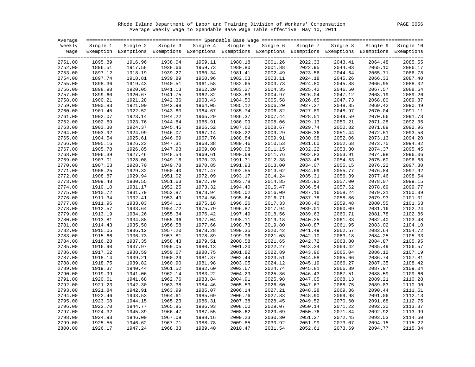Rhode Island Department of Labor and Training Division of Workers' Compensation PAGE 0056 Average Weekly Wage to Spendable Base Wage Table Effective May 10, 2011

| Average |          |          |         |                                                                                                              |          |          |          |          |          |           |
|---------|----------|----------|---------|--------------------------------------------------------------------------------------------------------------|----------|----------|----------|----------|----------|-----------|
| Weekly  | Single 1 | Single 2 |         | Single 3 Single 4                                                                                            | Single 5 | Single 6 | Single 7 | Single 8 | Single 9 | Single 10 |
| Waqe    |          |          |         | Exemption Exemptions Exemptions Exemptions Exemptions Exemptions Exemptions Exemptions Exemptions Exemptions |          |          |          |          |          |           |
|         |          |          |         |                                                                                                              |          |          |          |          |          |           |
| 2751.00 | 1895.89  | 1916.96  | 1938.04 | 1959.11                                                                                                      | 1980.18  | 2001.26  | 2022.33  | 2043.41  | 2064.48  | 2085.55   |
| 2752.00 | 1896.51  | 1917.58  | 1938.66 | 1959.73                                                                                                      | 1980.80  | 2001.88  | 2022.95  | 2044.03  | 2065.10  | 2086.17   |
| 2753.00 | 1897.12  | 1918.19  | 1939.27 | 1960.34                                                                                                      | 1981.41  | 2002.49  | 2023.56  | 2044.64  | 2065.71  | 2086.78   |
| 2754.00 | 1897.74  | 1918.81  | 1939.89 | 1960.96                                                                                                      | 1982.03  | 2003.11  | 2024.18  | 2045.26  | 2066.33  | 2087.40   |
| 2755.00 | 1898.36  | 1919.43  | 1940.51 | 1961.58                                                                                                      | 1982.65  | 2003.73  | 2024.80  | 2045.88  | 2066.95  | 2088.02   |
| 2756.00 | 1898.98  | 1920.05  | 1941.13 | 1962.20                                                                                                      | 1983.27  | 2004.35  | 2025.42  | 2046.50  | 2067.57  | 2088.64   |
| 2757.00 | 1899.60  | 1920.67  | 1941.75 | 1962.82                                                                                                      | 1983.89  | 2004.97  | 2026.04  | 2047.12  | 2068.19  | 2089.26   |
| 2758.00 | 1900.21  | 1921.28  | 1942.36 | 1963.43                                                                                                      | 1984.50  | 2005.58  | 2026.65  | 2047.73  | 2068.80  | 2089.87   |
| 2759.00 | 1900.83  | 1921.90  | 1942.98 | 1964.05                                                                                                      | 1985.12  | 2006.20  | 2027.27  | 2048.35  | 2069.42  | 2090.49   |
| 2760.00 | 1901.45  | 1922.52  | 1943.60 | 1964.67                                                                                                      | 1985.74  | 2006.82  | 2027.89  | 2048.97  | 2070.04  | 2091.11   |
| 2761.00 | 1902.07  | 1923.14  | 1944.22 | 1965.29                                                                                                      | 1986.37  | 2007.44  | 2028.51  | 2049.59  | 2070.66  | 2091.73   |
| 2762.00 | 1902.69  | 1923.76  | 1944.84 | 1965.91                                                                                                      | 1986.99  | 2008.06  | 2029.13  | 2050.21  | 2071.28  | 2092.35   |
| 2763.00 | 1903.30  | 1924.37  | 1945.45 | 1966.52                                                                                                      | 1987.60  | 2008.67  | 2029.74  | 2050.82  | 2071.89  | 2092.96   |
| 2764.00 | 1903.92  | 1924.99  | 1946.07 | 1967.14                                                                                                      | 1988.22  | 2009.29  | 2030.36  | 2051.44  | 2072.51  | 2093.58   |
| 2765.00 | 1904.54  | 1925.61  | 1946.69 | 1967.76                                                                                                      | 1988.84  | 2009.91  | 2030.98  | 2052.06  | 2073.13  | 2094.20   |
| 2766.00 | 1905.16  | 1926.23  | 1947.31 | 1968.38                                                                                                      | 1989.46  | 2010.53  | 2031.60  | 2052.68  | 2073.75  | 2094.82   |
| 2767.00 | 1905.78  | 1926.85  | 1947.93 | 1969.00                                                                                                      | 1990.08  | 2011.15  | 2032.22  | 2053.30  | 2074.37  | 2095.45   |
| 2768.00 | 1906.39  | 1927.46  | 1948.54 | 1969.61                                                                                                      | 1990.69  | 2011.76  | 2032.83  | 2053.91  | 2074.98  | 2096.06   |
| 2769.00 | 1907.01  | 1928.08  | 1949.16 | 1970.23                                                                                                      | 1991.31  | 2012.38  | 2033.45  | 2054.53  | 2075.60  | 2096.68   |
| 2770.00 | 1907.63  | 1928.70  | 1949.78 | 1970.85                                                                                                      | 1991.93  | 2013.00  | 2034.07  | 2055.15  | 2076.22  | 2097.30   |
| 2771.00 | 1908.25  | 1929.32  | 1950.40 | 1971.47                                                                                                      | 1992.55  | 2013.62  | 2034.69  | 2055.77  | 2076.84  | 2097.92   |
| 2772.00 | 1908.87  | 1929.94  | 1951.02 | 1972.09                                                                                                      | 1993.17  | 2014.24  | 2035.31  | 2056.39  | 2077.46  | 2098.54   |
| 2773.00 | 1909.48  | 1930.55  | 1951.63 | 1972.70                                                                                                      | 1993.78  | 2014.85  | 2035.92  | 2057.00  | 2078.07  | 2099.15   |
| 2774.00 | 1910.10  | 1931.17  | 1952.25 | 1973.32                                                                                                      | 1994.40  | 2015.47  | 2036.54  | 2057.62  | 2078.69  | 2099.77   |
| 2775.00 | 1910.72  | 1931.79  | 1952.87 | 1973.94                                                                                                      | 1995.02  | 2016.09  | 2037.16  | 2058.24  | 2079.31  | 2100.39   |
| 2776.00 | 1911.34  | 1932.41  | 1953.49 | 1974.56                                                                                                      | 1995.64  | 2016.71  | 2037.78  | 2058.86  | 2079.93  | 2101.01   |
| 2777.00 | 1911.96  | 1933.03  | 1954.11 | 1975.18                                                                                                      | 1996.26  | 2017.33  | 2038.40  | 2059.48  | 2080.55  | 2101.63   |
| 2778.00 | 1912.57  | 1933.64  | 1954.72 | 1975.79                                                                                                      | 1996.87  | 2017.94  | 2039.01  | 2060.09  | 2081.16  | 2102.24   |
| 2779.00 | 1913.19  | 1934.26  | 1955.34 | 1976.42                                                                                                      | 1997.49  | 2018.56  | 2039.63  | 2060.71  | 2081.78  | 2102.86   |
| 2780.00 | 1913.81  | 1934.88  | 1955.96 | 1977.04                                                                                                      | 1998.11  | 2019.18  | 2040.25  | 2061.33  | 2082.40  | 2103.48   |
| 2781.00 | 1914.43  | 1935.50  | 1956.58 | 1977.66                                                                                                      | 1998.73  | 2019.80  | 2040.87  | 2061.95  | 2083.02  | 2104.10   |
| 2782.00 | 1915.05  | 1936.12  | 1957.20 | 1978.28                                                                                                      | 1999.35  | 2020.42  | 2041.49  | 2062.57  | 2083.64  | 2104.72   |
| 2783.00 | 1915.66  | 1936.73  | 1957.81 | 1978.89                                                                                                      | 1999.96  | 2021.03  | 2042.10  | 2063.18  | 2084.25  | 2105.33   |
| 2784.00 | 1916.28  | 1937.35  | 1958.43 | 1979.51                                                                                                      | 2000.58  | 2021.65  | 2042.72  | 2063.80  | 2084.87  | 2105.95   |
| 2785.00 | 1916.90  | 1937.97  | 1959.05 | 1980.13                                                                                                      | 2001.20  | 2022.27  | 2043.34  | 2064.42  | 2085.49  | 2106.57   |
| 2786.00 | 1917.52  | 1938.59  | 1959.67 | 1980.75                                                                                                      | 2001.82  | 2022.89  | 2043.96  | 2065.04  | 2086.12  | 2107.19   |
| 2787.00 | 1918.14  | 1939.21  | 1960.29 | 1981.37                                                                                                      | 2002.44  | 2023.51  | 2044.58  | 2065.66  | 2086.74  | 2107.81   |
| 2788.00 | 1918.75  | 1939.82  | 1960.90 | 1981.98                                                                                                      | 2003.05  | 2024.12  | 2045.19  | 2066.27  | 2087.35  | 2108.42   |
| 2789.00 | 1919.37  | 1940.44  | 1961.52 | 1982.60                                                                                                      | 2003.67  | 2024.74  | 2045.81  | 2066.89  | 2087.97  | 2109.04   |
| 2790.00 | 1919.99  | 1941.06  | 1962.14 | 1983.22                                                                                                      | 2004.29  | 2025.36  | 2046.43  | 2067.51  | 2088.59  | 2109.66   |
| 2791.00 | 1920.61  | 1941.68  | 1962.76 | 1983.84                                                                                                      | 2004.91  | 2025.98  | 2047.05  | 2068.13  | 2089.21  | 2110.28   |
| 2792.00 | 1921.23  | 1942.30  | 1963.38 | 1984.46                                                                                                      | 2005.53  | 2026.60  | 2047.67  | 2068.75  | 2089.83  | 2110.90   |
| 2793.00 | 1921.84  | 1942.91  | 1963.99 | 1985.07                                                                                                      | 2006.14  | 2027.21  | 2048.28  | 2069.36  | 2090.44  | 2111.51   |
| 2794.00 | 1922.46  | 1943.53  | 1964.61 | 1985.69                                                                                                      | 2006.76  | 2027.83  | 2048.90  | 2069.98  | 2091.06  | 2112.13   |
| 2795.00 | 1923.08  | 1944.15  | 1965.23 | 1986.31                                                                                                      | 2007.38  | 2028.45  | 2049.52  | 2070.60  | 2091.68  | 2112.75   |
| 2796.00 | 1923.70  | 1944.77  | 1965.85 | 1986.93                                                                                                      | 2008.00  | 2029.07  | 2050.14  | 2071.22  | 2092.30  | 2113.37   |
| 2797.00 | 1924.32  | 1945.39  | 1966.47 | 1987.55                                                                                                      | 2008.62  | 2029.69  | 2050.76  | 2071.84  | 2092.92  | 2113.99   |
| 2798.00 | 1924.93  | 1946.00  | 1967.09 | 1988.16                                                                                                      | 2009.23  | 2030.30  | 2051.37  | 2072.45  | 2093.53  | 2114.60   |
| 2799.00 | 1925.55  | 1946.62  | 1967.71 | 1988.78                                                                                                      | 2009.85  | 2030.92  | 2051.99  | 2073.07  | 2094.15  | 2115.22   |
| 2800.00 | 1926.17  | 1947.24  | 1968.33 | 1989.40                                                                                                      | 2010.47  | 2031.54  | 2052.61  | 2073.69  | 2094.77  | 2115.84   |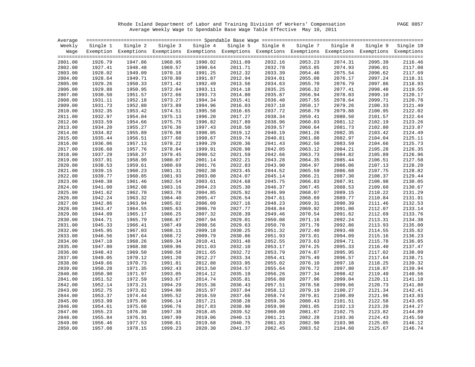Rhode Island Department of Labor and Training Division of Workers' Compensation PAGE 0057 Average Weekly Wage to Spendable Base Wage Table Effective May 10, 2011

| Average            |                    |                    |                    |                                                                                                              |                    |                    |                    |                    |                    |                    |
|--------------------|--------------------|--------------------|--------------------|--------------------------------------------------------------------------------------------------------------|--------------------|--------------------|--------------------|--------------------|--------------------|--------------------|
| Weekly             | Single 1           | Single 2           |                    | Single 3 Single 4                                                                                            | Single 5           | Single 6           | Single 7           | Single 8           | Single 9           | Single 10          |
| Wage               |                    |                    |                    | Exemption Exemptions Exemptions Exemptions Exemptions Exemptions Exemptions Exemptions Exemptions Exemptions |                    |                    |                    |                    |                    |                    |
|                    |                    |                    |                    |                                                                                                              |                    |                    |                    |                    |                    |                    |
| 2801.00            | 1926.79            | 1947.86            | 1968.95            | 1990.02                                                                                                      | 2011.09            | 2032.16            | 2053.23            | 2074.31            | 2095.39            | 2116.46            |
| 2802.00            | 1927.41            | 1948.48            | 1969.57            | 1990.64                                                                                                      | 2011.71            | 2032.78            | 2053.85            | 2074.93            | 2096.01            | 2117.08            |
| 2803.00            | 1928.02            | 1949.09            | 1970.18            | 1991.25                                                                                                      | 2012.32            | 2033.39            | 2054.46            | 2075.54            | 2096.62            | 2117.69            |
| 2804.00            | 1928.64            | 1949.71            | 1970.80            | 1991.87                                                                                                      | 2012.94            | 2034.01            | 2055.08            | 2076.17            | 2097.24            | 2118.31            |
| 2805.00            | 1929.26            | 1950.33            | 1971.42            | 1992.49                                                                                                      | 2013.56            | 2034.63            | 2055.70            | 2076.79            | 2097.86            | 2118.93            |
| 2806.00            | 1929.88            | 1950.95            | 1972.04            | 1993.11                                                                                                      | 2014.18            | 2035.25            | 2056.32            | 2077.41            | 2098.48            | 2119.55            |
| 2807.00            | 1930.50            | 1951.57            | 1972.66            | 1993.73                                                                                                      | 2014.80            | 2035.87            | 2056.94            | 2078.03            | 2099.10            | 2120.17            |
| 2808.00            | 1931.11            | 1952.18            | 1973.27            | 1994.34                                                                                                      | 2015.41            | 2036.48            | 2057.55            | 2078.64            | 2099.71            | 2120.78            |
| 2809.00            | 1931.73            | 1952.80            | 1973.89            | 1994.96                                                                                                      | 2016.03            | 2037.10            | 2058.17            | 2079.26            | 2100.33            | 2121.40            |
| 2810.00            | 1932.35            | 1953.42            | 1974.51            | 1995.58                                                                                                      | 2016.65            | 2037.72            | 2058.79            | 2079.88            | 2100.95            | 2122.02            |
| 2811.00            | 1932.97            | 1954.04            | 1975.13            | 1996.20                                                                                                      | 2017.27            | 2038.34            | 2059.41            | 2080.50            | 2101.57            | 2122.64            |
| 2812.00            | 1933.59            | 1954.66            | 1975.75            | 1996.82                                                                                                      | 2017.89            | 2038.96            | 2060.03            | 2081.12            | 2102.19            | 2123.26            |
| 2813.00            | 1934.20            | 1955.27            | 1976.36            | 1997.43                                                                                                      | 2018.50            | 2039.57            | 2060.64            | 2081.73            | 2102.80            | 2123.87            |
| 2814.00            | 1934.82            | 1955.89            | 1976.98            | 1998.05                                                                                                      | 2019.12            | 2040.19            | 2061.26            | 2082.35            | 2103.42            | 2124.49            |
| 2815.00            | 1935.44            | 1956.51            | 1977.60            | 1998.67                                                                                                      | 2019.74            | 2040.81            | 2061.88            | 2082.97            | 2104.04            | 2125.11            |
| 2816.00            | 1936.06            | 1957.13            | 1978.22            | 1999.29                                                                                                      | 2020.36            | 2041.43            | 2062.50            | 2083.59            | 2104.66            | 2125.73            |
| 2817.00            | 1936.68            | 1957.76            | 1978.84            | 1999.91                                                                                                      | 2020.98            | 2042.05            | 2063.12            | 2084.21            | 2105.28            | 2126.35            |
| 2818.00            | 1937.29            | 1958.37            | 1979.45            | 2000.52                                                                                                      | 2021.59            | 2042.66            | 2063.73            | 2084.82            | 2105.89            | 2126.96            |
| 2819.00            | 1937.91            | 1958.99            | 1980.07            | 2001.14                                                                                                      | 2022.21            | 2043.28            | 2064.35            | 2085.44            | 2106.51            | 2127.58            |
| 2820.00            | 1938.53            | 1959.61            | 1980.69            | 2001.76                                                                                                      | 2022.83            | 2043.90            | 2064.97            | 2086.06            | 2107.13            | 2128.20            |
| 2821.00            | 1939.15            | 1960.23            | 1981.31            | 2002.38                                                                                                      | 2023.45            | 2044.52            | 2065.59            | 2086.68            | 2107.75            | 2128.82            |
| 2822.00            | 1939.77            | 1960.85            | 1981.93            | 2003.00                                                                                                      | 2024.07            | 2045.14            | 2066.21            | 2087.30            | 2108.37            | 2129.44            |
| 2823.00            | 1940.38            | 1961.46            | 1982.54            | 2003.61                                                                                                      | 2024.68            | 2045.75            | 2066.83            | 2087.91            | 2108.98            | 2130.05            |
| 2824.00            | 1941.00            | 1962.08            | 1983.16            | 2004.23                                                                                                      | 2025.30            | 2046.37            | 2067.45            | 2088.53            | 2109.60            | 2130.67            |
| 2825.00            | 1941.62            | 1962.70            | 1983.78            | 2004.85                                                                                                      | 2025.92            | 2046.99            | 2068.07            | 2089.15            | 2110.22            | 2131.29            |
| 2826.00            | 1942.24            | 1963.32            | 1984.40            | 2005.47                                                                                                      | 2026.54            | 2047.61            | 2068.69            | 2089.77            | 2110.84            | 2131.91            |
| 2827.00            | 1942.86            | 1963.94            | 1985.02            | 2006.09                                                                                                      | 2027.16            | 2048.23            | 2069.31            | 2090.39            | 2111.46            | 2132.53            |
| 2828.00            | 1943.47            | 1964.55            | 1985.63            | 2006.70                                                                                                      | 2027.77            | 2048.84            | 2069.92            | 2091.00            | 2112.07            | 2133.14            |
| 2829.00            | 1944.09            | 1965.17            | 1986.25            | 2007.32                                                                                                      | 2028.39            | 2049.46            | 2070.54            | 2091.62            | 2112.69            | 2133.76            |
| 2830.00            | 1944.71            | 1965.79            | 1986.87            | 2007.94                                                                                                      | 2029.01            | 2050.08            | 2071.16            | 2092.24            | 2113.31            | 2134.38            |
| 2831.00            | 1945.33            | 1966.41            | 1987.49            | 2008.56                                                                                                      | 2029.63            | 2050.70            | 2071.78            | 2092.86            | 2113.93            | 2135.00            |
| 2832.00            | 1945.95            | 1967.03            | 1988.11            | 2009.18                                                                                                      | 2030.25            | 2051.32            | 2072.40            | 2093.48            | 2114.55            | 2135.62<br>2136.23 |
| 2833.00            | 1946.56            | 1967.64<br>1968.26 | 1988.72<br>1989.34 | 2009.79<br>2010.41                                                                                           | 2030.86<br>2031.48 | 2051.93            | 2073.01<br>2073.63 | 2094.09            | 2115.16            | 2136.85            |
| 2834.00            | 1947.18            | 1968.88            | 1989.96            | 2011.03                                                                                                      |                    | 2052.55            | 2074.25            | 2094.71            | 2115.78<br>2116.40 | 2137.47            |
| 2835.00            | 1947.80<br>1948.43 | 1969.50            | 1990.58            |                                                                                                              | 2032.10            | 2053.17<br>2053.79 | 2074.87            | 2095.33<br>2095.95 | 2117.02            | 2138.09            |
| 2836.00<br>2837.00 | 1949.05            | 1970.12            | 1991.20            | 2011.65                                                                                                      | 2032.72            |                    | 2075.49            | 2096.57            | 2117.64            | 2138.71            |
|                    |                    |                    |                    | 2012.27                                                                                                      | 2033.34            | 2054.41            |                    |                    |                    | 2139.32            |
| 2838.00            | 1949.66            | 1970.73            | 1991.81            | 2012.88                                                                                                      | 2033.95            | 2055.02            | 2076.10            | 2097.18            | 2118.25            | 2139.94            |
| 2839.00            | 1950.28            | 1971.35            | 1992.43            | 2013.50                                                                                                      | 2034.57            | 2055.64            | 2076.72            | 2097.80            | 2118.87            |                    |
| 2840.00            | 1950.90            | 1971.97<br>1972.59 | 1993.05            | 2014.12                                                                                                      | 2035.19            | 2056.26            | 2077.34            | 2098.42            | 2119.49            | 2140.56<br>2141.18 |
| 2841.00            | 1951.52            |                    | 1993.67            | 2014.74                                                                                                      | 2035.81            | 2056.88            | 2077.96            | 2099.04            | 2120.11            | 2141.80            |
| 2842.00            | 1952.14            | 1973.21            | 1994.29            | 2015.36                                                                                                      | 2036.43            | 2057.51            | 2078.58            | 2099.66            | 2120.73            | 2142.41            |
| 2843.00            | 1952.75            | 1973.82            | 1994.90            | 2015.97                                                                                                      | 2037.04            | 2058.12            | 2079.19            | 2100.27            | 2121.34            |                    |
| 2844.00            | 1953.37            | 1974.44            | 1995.52            | 2016.59                                                                                                      | 2037.66            | 2058.74            | 2079.81            | 2100.89            | 2121.96            | 2143.03<br>2143.65 |
| 2845.00            | 1953.99            | 1975.06<br>1975.68 | 1996.14<br>1996.76 | 2017.21<br>2017.83                                                                                           | 2038.28<br>2038.90 | 2059.36<br>2059.98 | 2080.43<br>2081.05 | 2101.51            | 2122.58<br>2123.20 | 2144.27            |
| 2846.00<br>2847.00 | 1954.61<br>1955.23 | 1976.30            | 1997.38            | 2018.45                                                                                                      | 2039.52            | 2060.60            | 2081.67            | 2102.13<br>2102.75 | 2123.82            | 2144.89            |
| 2848.00            | 1955.84            | 1976.91            | 1997.99            | 2019.06                                                                                                      | 2040.13            | 2061.21            | 2082.28            | 2103.36            | 2124.43            | 2145.50            |
| 2849.00            | 1956.46            | 1977.53            | 1998.61            | 2019.68                                                                                                      | 2040.75            | 2061.83            | 2082.90            | 2103.98            | 2125.05            | 2146.12            |
|                    |                    |                    | 1999.23            |                                                                                                              |                    |                    |                    | 2104.60            |                    |                    |
| 2850.00            | 1957.08            | 1978.15            |                    | 2020.30                                                                                                      | 2041.37            | 2062.45            | 2083.52            |                    | 2125.67            | 2146.74            |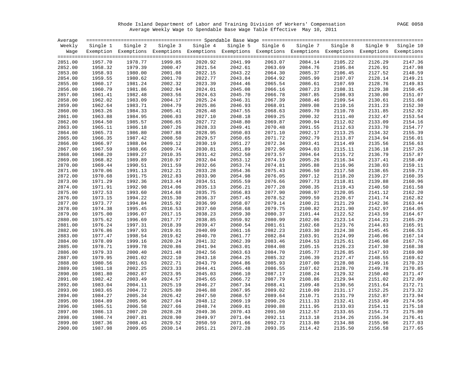Rhode Island Department of Labor and Training Division of Workers' Compensation PAGE 0058 Average Weekly Wage to Spendable Base Wage Table Effective May 10, 2011

| Average |          |          |          |                                                                                                              |          |          |          |          |          |           |
|---------|----------|----------|----------|--------------------------------------------------------------------------------------------------------------|----------|----------|----------|----------|----------|-----------|
| Weekly  | Single 1 | Single 2 | Single 3 | Single 4                                                                                                     | Single 5 | Single 6 | Single 7 | Single 8 | Single 9 | Single 10 |
| Wage    |          |          |          | Exemption Exemptions Exemptions Exemptions Exemptions Exemptions Exemptions Exemptions Exemptions Exemptions |          |          |          |          |          |           |
|         |          |          |          |                                                                                                              |          |          |          |          |          |           |
| 2851.00 | 1957.70  | 1978.77  | 1999.85  | 2020.92                                                                                                      | 2041.99  | 2063.07  | 2084.14  | 2105.22  | 2126.29  | 2147.36   |
| 2852.00 | 1958.32  | 1979.39  | 2000.47  | 2021.54                                                                                                      | 2042.61  | 2063.69  | 2084.76  | 2105.84  | 2126.91  | 2147.98   |
| 2853.00 | 1958.93  | 1980.00  | 2001.08  | 2022.15                                                                                                      | 2043.22  | 2064.30  | 2085.37  | 2106.45  | 2127.52  | 2148.59   |
| 2854.00 | 1959.55  | 1980.62  | 2001.70  | 2022.77                                                                                                      | 2043.84  | 2064.92  | 2085.99  | 2107.07  | 2128.14  | 2149.21   |
| 2855.00 | 1960.17  | 1981.24  | 2002.32  | 2023.39                                                                                                      | 2044.46  | 2065.54  | 2086.61  | 2107.69  | 2128.76  | 2149.83   |
| 2856.00 | 1960.79  | 1981.86  | 2002.94  | 2024.01                                                                                                      | 2045.08  | 2066.16  | 2087.23  | 2108.31  | 2129.38  | 2150.45   |
| 2857.00 | 1961.41  | 1982.48  | 2003.56  | 2024.63                                                                                                      | 2045.70  | 2066.78  | 2087.85  | 2108.93  | 2130.00  | 2151.07   |
| 2858.00 | 1962.02  | 1983.09  | 2004.17  | 2025.24                                                                                                      | 2046.31  | 2067.39  | 2088.46  | 2109.54  | 2130.61  | 2151.68   |
| 2859.00 | 1962.64  | 1983.71  | 2004.79  | 2025.86                                                                                                      | 2046.93  | 2068.01  | 2089.08  | 2110.16  | 2131.23  | 2152.30   |
| 2860.00 | 1963.26  | 1984.33  | 2005.41  | 2026.48                                                                                                      | 2047.55  | 2068.63  | 2089.70  | 2110.78  | 2131.85  | 2152.92   |
| 2861.00 | 1963.88  | 1984.95  | 2006.03  | 2027.10                                                                                                      | 2048.18  | 2069.25  | 2090.32  | 2111.40  | 2132.47  | 2153.54   |
| 2862.00 | 1964.50  | 1985.57  | 2006.65  | 2027.72                                                                                                      | 2048.80  | 2069.87  | 2090.94  | 2112.02  | 2133.09  | 2154.16   |
| 2863.00 | 1965.11  | 1986.18  | 2007.26  | 2028.33                                                                                                      | 2049.41  | 2070.48  | 2091.55  | 2112.63  | 2133.70  | 2154.77   |
| 2864.00 | 1965.73  | 1986.80  | 2007.88  | 2028.95                                                                                                      | 2050.03  | 2071.10  | 2092.17  | 2113.25  | 2134.32  | 2155.39   |
| 2865.00 | 1966.35  | 1987.42  | 2008.50  | 2029.57                                                                                                      | 2050.65  | 2071.72  | 2092.79  | 2113.87  | 2134.94  | 2156.01   |
| 2866.00 | 1966.97  | 1988.04  | 2009.12  | 2030.19                                                                                                      | 2051.27  | 2072.34  | 2093.41  | 2114.49  | 2135.56  | 2156.63   |
| 2867.00 | 1967.59  | 1988.66  | 2009.74  | 2030.81                                                                                                      | 2051.89  | 2072.96  | 2094.03  | 2115.11  | 2136.18  | 2157.26   |
| 2868.00 | 1968.20  | 1989.27  | 2010.35  | 2031.42                                                                                                      | 2052.50  | 2073.57  | 2094.64  | 2115.72  | 2136.79  | 2157.87   |
| 2869.00 | 1968.82  | 1989.89  | 2010.97  | 2032.04                                                                                                      | 2053.12  | 2074.19  | 2095.26  | 2116.34  | 2137.41  | 2158.49   |
| 2870.00 | 1969.44  | 1990.51  | 2011.59  | 2032.66                                                                                                      | 2053.74  | 2074.81  | 2095.88  | 2116.96  | 2138.03  | 2159.11   |
| 2871.00 | 1970.06  | 1991.13  | 2012.21  | 2033.28                                                                                                      | 2054.36  | 2075.43  | 2096.50  | 2117.58  | 2138.65  | 2159.73   |
| 2872.00 | 1970.68  | 1991.75  | 2012.83  | 2033.90                                                                                                      | 2054.98  | 2076.05  | 2097.12  | 2118.20  | 2139.27  | 2160.35   |
| 2873.00 | 1971.29  | 1992.36  | 2013.44  | 2034.51                                                                                                      | 2055.59  | 2076.66  | 2097.73  | 2118.81  | 2139.88  | 2160.96   |
| 2874.00 | 1971.91  | 1992.98  | 2014.06  | 2035.13                                                                                                      | 2056.21  | 2077.28  | 2098.35  | 2119.43  | 2140.50  | 2161.58   |
| 2875.00 | 1972.53  | 1993.60  | 2014.68  | 2035.75                                                                                                      | 2056.83  | 2077.90  | 2098.97  | 2120.05  | 2141.12  | 2162.20   |
| 2876.00 | 1973.15  | 1994.22  | 2015.30  | 2036.37                                                                                                      | 2057.45  | 2078.52  | 2099.59  | 2120.67  | 2141.74  | 2162.82   |
| 2877.00 | 1973.77  | 1994.84  | 2015.92  | 2036.99                                                                                                      | 2058.07  | 2079.14  | 2100.21  | 2121.29  | 2142.36  | 2163.44   |
| 2878.00 | 1974.38  | 1995.45  | 2016.53  | 2037.60                                                                                                      | 2058.68  | 2079.75  | 2100.82  | 2121.90  | 2142.97  | 2164.05   |
| 2879.00 | 1975.00  | 1996.07  | 2017.15  | 2038.23                                                                                                      | 2059.30  | 2080.37  | 2101.44  | 2122.52  | 2143.59  | 2164.67   |
| 2880.00 | 1975.62  | 1996.69  | 2017.77  | 2038.85                                                                                                      | 2059.92  | 2080.99  | 2102.06  | 2123.14  | 2144.21  | 2165.29   |
| 2881.00 | 1976.24  | 1997.31  | 2018.39  | 2039.47                                                                                                      | 2060.54  | 2081.61  | 2102.68  | 2123.76  | 2144.83  | 2165.91   |
| 2882.00 | 1976.86  | 1997.93  | 2019.01  | 2040.09                                                                                                      | 2061.16  | 2082.23  | 2103.30  | 2124.38  | 2145.45  | 2166.53   |
| 2883.00 | 1977.47  | 1998.54  | 2019.62  | 2040.70                                                                                                      | 2061.77  | 2082.84  | 2103.91  | 2124.99  | 2146.06  | 2167.14   |
| 2884.00 | 1978.09  | 1999.16  | 2020.24  | 2041.32                                                                                                      | 2062.39  | 2083.46  | 2104.53  | 2125.61  | 2146.68  | 2167.76   |
| 2885.00 | 1978.71  | 1999.78  | 2020.86  | 2041.94                                                                                                      | 2063.01  | 2084.08  | 2105.15  | 2126.23  | 2147.30  | 2168.38   |
| 2886.00 | 1979.33  | 2000.40  | 2021.48  | 2042.56                                                                                                      | 2063.63  | 2084.70  | 2105.77  | 2126.85  | 2147.93  | 2169.00   |
| 2887.00 | 1979.95  | 2001.02  | 2022.10  | 2043.18                                                                                                      | 2064.25  | 2085.32  | 2106.39  | 2127.47  | 2148.55  | 2169.62   |
| 2888.00 | 1980.56  | 2001.63  | 2022.71  | 2043.79                                                                                                      | 2064.86  | 2085.93  | 2107.00  | 2128.08  | 2149.16  | 2170.23   |
| 2889.00 | 1981.18  | 2002.25  | 2023.33  | 2044.41                                                                                                      | 2065.48  | 2086.55  | 2107.62  | 2128.70  | 2149.78  | 2170.85   |
| 2890.00 | 1981.80  | 2002.87  | 2023.95  | 2045.03                                                                                                      | 2066.10  | 2087.17  | 2108.24  | 2129.32  | 2150.40  | 2171.47   |
| 2891.00 | 1982.42  | 2003.49  | 2024.57  | 2045.65                                                                                                      | 2066.72  | 2087.79  | 2108.86  | 2129.94  | 2151.02  | 2172.09   |
| 2892.00 | 1983.04  | 2004.11  | 2025.19  | 2046.27                                                                                                      | 2067.34  | 2088.41  | 2109.48  | 2130.56  | 2151.64  | 2172.71   |
| 2893.00 | 1983.65  | 2004.72  | 2025.80  | 2046.88                                                                                                      | 2067.95  | 2089.02  | 2110.09  | 2131.17  | 2152.25  | 2173.32   |
| 2894.00 | 1984.27  | 2005.34  | 2026.42  | 2047.50                                                                                                      | 2068.57  | 2089.64  | 2110.71  | 2131.79  | 2152.87  | 2173.94   |
| 2895.00 | 1984.89  | 2005.96  | 2027.04  | 2048.12                                                                                                      | 2069.19  | 2090.26  | 2111.33  | 2132.41  | 2153.49  | 2174.56   |
| 2896.00 | 1985.51  | 2006.58  | 2027.66  | 2048.74                                                                                                      | 2069.81  | 2090.88  | 2111.95  | 2133.03  | 2154.11  | 2175.18   |
| 2897.00 | 1986.13  | 2007.20  | 2028.28  | 2049.36                                                                                                      | 2070.43  | 2091.50  | 2112.57  | 2133.65  | 2154.73  | 2175.80   |
| 2898.00 | 1986.74  | 2007.81  | 2028.90  | 2049.97                                                                                                      | 2071.04  | 2092.11  | 2113.18  | 2134.26  | 2155.34  | 2176.41   |
| 2899.00 | 1987.36  | 2008.43  | 2029.52  | 2050.59                                                                                                      | 2071.66  | 2092.73  | 2113.80  | 2134.88  | 2155.96  | 2177.03   |
| 2900.00 | 1987.98  | 2009.05  | 2030.14  | 2051.21                                                                                                      | 2072.28  | 2093.35  | 2114.42  | 2135.50  | 2156.58  | 2177.65   |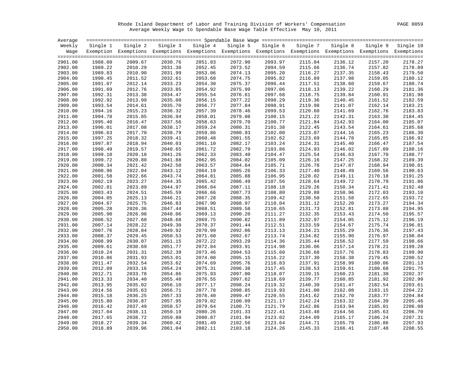Rhode Island Department of Labor and Training Division of Workers' Compensation PAGE 0059 Average Weekly Wage to Spendable Base Wage Table Effective May 10, 2011

| Average |          |                                                                                                              |          |          |          |          |          |          |          |           |
|---------|----------|--------------------------------------------------------------------------------------------------------------|----------|----------|----------|----------|----------|----------|----------|-----------|
| Weekly  | Single 1 | Single 2                                                                                                     | Single 3 | Single 4 | Single 5 | Single 6 | Single 7 | Single 8 | Single 9 | Single 10 |
| Wage    |          | Exemption Exemptions Exemptions Exemptions Exemptions Exemptions Exemptions Exemptions Exemptions Exemptions |          |          |          |          |          |          |          |           |
|         |          |                                                                                                              |          |          |          |          |          |          |          |           |
| 2901.00 | 1988.60  | 2009.67                                                                                                      | 2030.76  | 2051.83  | 2072.90  | 2093.97  | 2115.04  | 2136.12  | 2157.20  | 2178.27   |
| 2902.00 | 1989.22  | 2010.29                                                                                                      | 2031.38  | 2052.45  | 2073.52  | 2094.59  | 2115.66  | 2136.74  | 2157.82  | 2178.89   |
| 2903.00 | 1989.83  | 2010.90                                                                                                      | 2031.99  | 2053.06  | 2074.13  | 2095.20  | 2116.27  | 2137.35  | 2158.43  | 2179.50   |
| 2904.00 | 1990.45  | 2011.52                                                                                                      | 2032.61  | 2053.68  | 2074.75  | 2095.82  | 2116.89  | 2137.98  | 2159.05  | 2180.12   |
| 2905.00 | 1991.07  | 2012.14                                                                                                      | 2033.23  | 2054.30  | 2075.37  | 2096.44  | 2117.51  | 2138.60  | 2159.67  | 2180.74   |
| 2906.00 | 1991.69  | 2012.76                                                                                                      | 2033.85  | 2054.92  | 2075.99  | 2097.06  | 2118.13  | 2139.22  | 2160.29  | 2181.36   |
| 2907.00 | 1992.31  | 2013.38                                                                                                      | 2034.47  | 2055.54  | 2076.61  | 2097.68  | 2118.75  | 2139.84  | 2160.91  | 2181.98   |
| 2908.00 | 1992.92  | 2013.99                                                                                                      | 2035.08  | 2056.15  | 2077.22  | 2098.29  | 2119.36  | 2140.45  | 2161.52  | 2182.59   |
| 2909.00 | 1993.54  | 2014.61                                                                                                      | 2035.70  | 2056.77  | 2077.84  | 2098.91  | 2119.98  | 2141.07  | 2162.14  | 2183.21   |
| 2910.00 | 1994.16  | 2015.23                                                                                                      | 2036.32  | 2057.39  | 2078.46  | 2099.53  | 2120.60  | 2141.69  | 2162.76  | 2183.83   |
| 2911.00 | 1994.78  | 2015.85                                                                                                      | 2036.94  | 2058.01  | 2079.08  | 2100.15  | 2121.22  | 2142.31  | 2163.38  | 2184.45   |
| 2912.00 | 1995.40  | 2016.47                                                                                                      | 2037.56  | 2058.63  | 2079.70  | 2100.77  | 2121.84  | 2142.93  | 2164.00  | 2185.07   |
| 2913.00 | 1996.01  | 2017.08                                                                                                      | 2038.17  | 2059.24  | 2080.31  | 2101.38  | 2122.45  | 2143.54  | 2164.61  | 2185.68   |
| 2914.00 | 1996.63  | 2017.70                                                                                                      | 2038.79  | 2059.86  | 2080.93  | 2102.00  | 2123.07  | 2144.16  | 2165.23  | 2186.30   |
| 2915.00 | 1997.25  | 2018.32                                                                                                      | 2039.41  | 2060.48  | 2081.55  | 2102.62  | 2123.69  | 2144.78  | 2165.85  | 2186.92   |
| 2916.00 | 1997.87  | 2018.94                                                                                                      | 2040.03  | 2061.10  | 2082.17  | 2103.24  | 2124.31  | 2145.40  | 2166.47  | 2187.54   |
| 2917.00 | 1998.49  | 2019.57                                                                                                      | 2040.65  | 2061.72  | 2082.79  | 2103.86  | 2124.93  | 2146.02  | 2167.09  | 2188.16   |
| 2918.00 | 1999.10  | 2020.18                                                                                                      | 2041.26  | 2062.33  | 2083.40  | 2104.47  | 2125.54  | 2146.63  | 2167.70  | 2188.77   |
| 2919.00 | 1999.72  | 2020.80                                                                                                      | 2041.88  | 2062.95  | 2084.02  | 2105.09  | 2126.16  | 2147.25  | 2168.32  | 2189.39   |
| 2920.00 | 2000.34  | 2021.42                                                                                                      | 2042.50  | 2063.57  | 2084.64  | 2105.71  | 2126.78  | 2147.87  | 2168.94  | 2190.01   |
| 2921.00 | 2000.96  | 2022.04                                                                                                      | 2043.12  | 2064.19  | 2085.26  | 2106.33  | 2127.40  | 2148.49  | 2169.56  | 2190.63   |
| 2922.00 | 2001.58  | 2022.66                                                                                                      | 2043.74  | 2064.81  | 2085.88  | 2106.95  | 2128.02  | 2149.11  | 2170.18  | 2191.25   |
| 2923.00 | 2002.19  | 2023.27                                                                                                      | 2044.35  | 2065.42  | 2086.49  | 2107.56  | 2128.64  | 2149.72  | 2170.79  | 2191.86   |
| 2924.00 | 2002.81  | 2023.89                                                                                                      | 2044.97  | 2066.04  | 2087.11  | 2108.18  | 2129.26  | 2150.34  | 2171.41  | 2192.48   |
| 2925.00 | 2003.43  | 2024.51                                                                                                      | 2045.59  | 2066.66  | 2087.73  | 2108.80  | 2129.88  | 2150.96  | 2172.03  | 2193.10   |
| 2926.00 | 2004.05  | 2025.13                                                                                                      | 2046.21  | 2067.28  | 2088.35  | 2109.42  | 2130.50  | 2151.58  | 2172.65  | 2193.72   |
| 2927.00 | 2004.67  | 2025.75                                                                                                      | 2046.83  | 2067.90  | 2088.97  | 2110.04  | 2131.12  | 2152.20  | 2173.27  | 2194.34   |
| 2928.00 | 2005.28  | 2026.36                                                                                                      | 2047.44  | 2068.51  | 2089.58  | 2110.65  | 2131.73  | 2152.81  | 2173.88  | 2194.95   |
| 2929.00 | 2005.90  | 2026.98                                                                                                      | 2048.06  | 2069.13  | 2090.20  | 2111.27  | 2132.35  | 2153.43  | 2174.50  | 2195.57   |
| 2930.00 | 2006.52  | 2027.60                                                                                                      | 2048.68  | 2069.75  | 2090.82  | 2111.89  | 2132.97  | 2154.05  | 2175.12  | 2196.19   |
| 2931.00 | 2007.14  | 2028.22                                                                                                      | 2049.30  | 2070.37  | 2091.44  | 2112.51  | 2133.59  | 2154.67  | 2175.74  | 2196.81   |
| 2932.00 | 2007.76  | 2028.84                                                                                                      | 2049.92  | 2070.99  | 2092.06  | 2113.13  | 2134.21  | 2155.29  | 2176.36  | 2197.43   |
| 2933.00 | 2008.37  | 2029.45                                                                                                      | 2050.53  | 2071.60  | 2092.67  | 2113.74  | 2134.82  | 2155.90  | 2176.97  | 2198.04   |
| 2934.00 | 2008.99  | 2030.07                                                                                                      | 2051.15  | 2072.22  | 2093.29  | 2114.36  | 2135.44  | 2156.52  | 2177.59  | 2198.66   |
| 2935.00 | 2009.61  | 2030.69                                                                                                      | 2051.77  | 2072.84  | 2093.91  | 2114.98  | 2136.06  | 2157.14  | 2178.21  | 2199.28   |
| 2936.00 | 2010.24  | 2031.31                                                                                                      | 2052.39  | 2073.46  | 2094.53  | 2115.60  | 2136.68  | 2157.76  | 2178.83  | 2199.90   |
| 2937.00 | 2010.86  | 2031.93                                                                                                      | 2053.01  | 2074.08  | 2095.15  | 2116.22  | 2137.30  | 2158.38  | 2179.45  | 2200.52   |
| 2938.00 | 2011.47  | 2032.54                                                                                                      | 2053.62  | 2074.69  | 2095.76  | 2116.83  | 2137.91  | 2158.99  | 2180.06  | 2201.13   |
| 2939.00 | 2012.09  | 2033.16                                                                                                      | 2054.24  | 2075.31  | 2096.38  | 2117.45  | 2138.53  | 2159.61  | 2180.68  | 2201.75   |
| 2940.00 | 2012.71  | 2033.78                                                                                                      | 2054.86  | 2075.93  | 2097.00  | 2118.07  | 2139.15  | 2160.23  | 2181.30  | 2202.37   |
| 2941.00 | 2013.33  | 2034.40                                                                                                      | 2055.48  | 2076.55  | 2097.62  | 2118.69  | 2139.77  | 2160.85  | 2181.92  | 2202.99   |
| 2942.00 | 2013.95  | 2035.02                                                                                                      | 2056.10  | 2077.17  | 2098.24  | 2119.32  | 2140.39  | 2161.47  | 2182.54  | 2203.61   |
| 2943.00 | 2014.56  | 2035.63                                                                                                      | 2056.71  | 2077.78  | 2098.85  | 2119.93  | 2141.00  | 2162.08  | 2183.15  | 2204.22   |
| 2944.00 | 2015.18  | 2036.25                                                                                                      | 2057.33  | 2078.40  | 2099.47  | 2120.55  | 2141.62  | 2162.70  | 2183.77  | 2204.84   |
| 2945.00 | 2015.80  | 2036.87                                                                                                      | 2057.95  | 2079.02  | 2100.09  | 2121.17  | 2142.24  | 2163.32  | 2184.39  | 2205.46   |
| 2946.00 | 2016.42  | 2037.49                                                                                                      | 2058.57  | 2079.64  | 2100.71  | 2121.79  | 2142.86  | 2163.94  | 2185.01  | 2206.08   |
| 2947.00 | 2017.04  | 2038.11                                                                                                      | 2059.19  | 2080.26  | 2101.33  | 2122.41  | 2143.48  | 2164.56  | 2185.63  | 2206.70   |
| 2948.00 | 2017.65  | 2038.72                                                                                                      | 2059.80  | 2080.87  | 2101.94  | 2123.02  | 2144.09  | 2165.17  | 2186.24  | 2207.31   |
| 2949.00 | 2018.27  | 2039.34                                                                                                      | 2060.42  | 2081.49  | 2102.56  | 2123.64  | 2144.71  | 2165.79  | 2186.86  | 2207.93   |
| 2950.00 | 2018.89  | 2039.96                                                                                                      | 2061.04  | 2082.11  | 2103.18  | 2124.26  | 2145.33  | 2166.41  | 2187.48  | 2208.55   |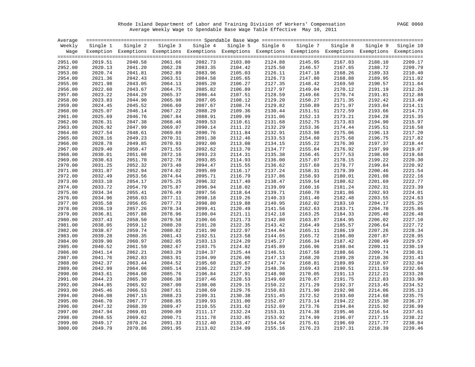Rhode Island Department of Labor and Training Division of Workers' Compensation PAGE 0060 Average Weekly Wage to Spendable Base Wage Table Effective May 10, 2011

| Average |          |          |         |                                                                                                              |          |          |          |          |          |           |
|---------|----------|----------|---------|--------------------------------------------------------------------------------------------------------------|----------|----------|----------|----------|----------|-----------|
| Weekly  | Single 1 | Single 2 |         | Single 3 Single 4                                                                                            | Single 5 | Single 6 | Single 7 | Single 8 | Single 9 | Single 10 |
| Waqe    |          |          |         | Exemption Exemptions Exemptions Exemptions Exemptions Exemptions Exemptions Exemptions Exemptions Exemptions |          |          |          |          |          |           |
|         |          |          |         |                                                                                                              |          |          |          |          |          |           |
| 2951.00 | 2019.51  | 2040.58  | 2061.66 | 2082.73                                                                                                      | 2103.80  | 2124.88  | 2145.95  | 2167.03  | 2188.10  | 2209.17   |
| 2952.00 | 2020.13  | 2041.20  | 2062.28 | 2083.35                                                                                                      | 2104.42  | 2125.50  | 2146.57  | 2167.65  | 2188.72  | 2209.79   |
| 2953.00 | 2020.74  | 2041.81  | 2062.89 | 2083.96                                                                                                      | 2105.03  | 2126.11  | 2147.18  | 2168.26  | 2189.33  | 2210.40   |
| 2954.00 | 2021.36  | 2042.43  | 2063.51 | 2084.58                                                                                                      | 2105.65  | 2126.73  | 2147.80  | 2168.88  | 2189.95  | 2211.02   |
| 2955.00 | 2021.98  | 2043.05  | 2064.13 | 2085.20                                                                                                      | 2106.27  | 2127.35  | 2148.42  | 2169.50  | 2190.57  | 2211.64   |
| 2956.00 | 2022.60  | 2043.67  | 2064.75 | 2085.82                                                                                                      | 2106.89  | 2127.97  | 2149.04  | 2170.12  | 2191.19  | 2212.26   |
| 2957.00 | 2023.22  | 2044.29  | 2065.37 | 2086.44                                                                                                      | 2107.51  | 2128.59  | 2149.66  | 2170.74  | 2191.81  | 2212.88   |
| 2958.00 | 2023.83  | 2044.90  | 2065.98 | 2087.05                                                                                                      | 2108.12  | 2129.20  | 2150.27  | 2171.35  | 2192.42  | 2213.49   |
| 2959.00 | 2024.45  | 2045.52  | 2066.60 | 2087.67                                                                                                      | 2108.74  | 2129.82  | 2150.89  | 2171.97  | 2193.04  | 2214.11   |
| 2960.00 | 2025.07  | 2046.14  | 2067.22 | 2088.29                                                                                                      | 2109.36  | 2130.44  | 2151.51  | 2172.59  | 2193.66  | 2214.73   |
| 2961.00 | 2025.69  | 2046.76  | 2067.84 | 2088.91                                                                                                      | 2109.99  | 2131.06  | 2152.13  | 2173.21  | 2194.28  | 2215.35   |
| 2962.00 | 2026.31  | 2047.38  | 2068.46 | 2089.53                                                                                                      | 2110.61  | 2131.68  | 2152.75  | 2173.83  | 2194.90  | 2215.97   |
| 2963.00 | 2026.92  | 2047.99  | 2069.07 | 2090.14                                                                                                      | 2111.22  | 2132.29  | 2153.36  | 2174.44  | 2195.51  | 2216.58   |
| 2964.00 | 2027.54  | 2048.61  | 2069.69 | 2090.76                                                                                                      | 2111.84  | 2132.91  | 2153.98  | 2175.06  | 2196.13  | 2217.20   |
| 2965.00 | 2028.16  | 2049.23  | 2070.31 | 2091.38                                                                                                      | 2112.46  | 2133.53  | 2154.60  | 2175.68  | 2196.75  | 2217.82   |
| 2966.00 | 2028.78  | 2049.85  | 2070.93 | 2092.00                                                                                                      | 2113.08  | 2134.15  | 2155.22  | 2176.30  | 2197.37  | 2218.44   |
| 2967.00 | 2029.40  | 2050.47  | 2071.55 | 2092.62                                                                                                      | 2113.70  | 2134.77  | 2155.84  | 2176.92  | 2197.99  | 2219.07   |
| 2968.00 | 2030.01  | 2051.08  | 2072.16 | 2093.23                                                                                                      | 2114.31  | 2135.38  | 2156.45  | 2177.53  | 2198.60  | 2219.68   |
| 2969.00 | 2030.63  | 2051.70  | 2072.78 | 2093.85                                                                                                      | 2114.93  | 2136.00  | 2157.07  | 2178.15  | 2199.22  | 2220.30   |
| 2970.00 | 2031.25  | 2052.32  | 2073.40 | 2094.47                                                                                                      | 2115.55  | 2136.62  | 2157.69  | 2178.77  | 2199.84  | 2220.92   |
| 2971.00 | 2031.87  | 2052.94  | 2074.02 | 2095.09                                                                                                      | 2116.17  | 2137.24  | 2158.31  | 2179.39  | 2200.46  | 2221.54   |
| 2972.00 | 2032.49  | 2053.56  | 2074.64 | 2095.71                                                                                                      | 2116.79  | 2137.86  | 2158.93  | 2180.01  | 2201.08  | 2222.16   |
| 2973.00 | 2033.10  | 2054.17  | 2075.25 | 2096.32                                                                                                      | 2117.40  | 2138.47  | 2159.54  | 2180.62  | 2201.69  | 2222.77   |
| 2974.00 | 2033.72  | 2054.79  | 2075.87 | 2096.94                                                                                                      | 2118.02  | 2139.09  | 2160.16  | 2181.24  | 2202.31  | 2223.39   |
| 2975.00 | 2034.34  | 2055.41  | 2076.49 | 2097.56                                                                                                      | 2118.64  | 2139.71  | 2160.78  | 2181.86  | 2202.93  | 2224.01   |
| 2976.00 | 2034.96  | 2056.03  | 2077.11 | 2098.18                                                                                                      | 2119.26  | 2140.33  | 2161.40  | 2182.48  | 2203.55  | 2224.63   |
| 2977.00 | 2035.58  | 2056.65  | 2077.73 | 2098.80                                                                                                      | 2119.88  | 2140.95  | 2162.02  | 2183.10  | 2204.17  | 2225.25   |
| 2978.00 | 2036.19  | 2057.26  | 2078.34 | 2099.41                                                                                                      | 2120.49  | 2141.56  | 2162.63  | 2183.71  | 2204.78  | 2225.86   |
| 2979.00 | 2036.81  | 2057.88  | 2078.96 | 2100.04                                                                                                      | 2121.11  | 2142.18  | 2163.25  | 2184.33  | 2205.40  | 2226.48   |
| 2980.00 | 2037.43  | 2058.50  | 2079.58 | 2100.66                                                                                                      | 2121.73  | 2142.80  | 2163.87  | 2184.95  | 2206.02  | 2227.10   |
| 2981.00 | 2038.05  | 2059.12  | 2080.20 | 2101.28                                                                                                      | 2122.35  | 2143.42  | 2164.49  | 2185.57  | 2206.64  | 2227.72   |
| 2982.00 | 2038.67  | 2059.74  | 2080.82 | 2101.90                                                                                                      | 2122.97  | 2144.04  | 2165.11  | 2186.19  | 2207.26  | 2228.34   |
| 2983.00 | 2039.28  | 2060.35  | 2081.43 | 2102.51                                                                                                      | 2123.58  | 2144.65  | 2165.72  | 2186.80  | 2207.87  | 2228.95   |
| 2984.00 | 2039.90  | 2060.97  | 2082.05 | 2103.13                                                                                                      | 2124.20  | 2145.27  | 2166.34  | 2187.42  | 2208.49  | 2229.57   |
| 2985.00 | 2040.52  | 2061.59  | 2082.67 | 2103.75                                                                                                      | 2124.82  | 2145.89  | 2166.96  | 2188.04  | 2209.11  | 2230.19   |
| 2986.00 | 2041.14  | 2062.21  | 2083.29 | 2104.37                                                                                                      | 2125.44  | 2146.51  | 2167.58  | 2188.66  | 2209.74  | 2230.81   |
| 2987.00 | 2041.76  | 2062.83  | 2083.91 | 2104.99                                                                                                      | 2126.06  | 2147.13  | 2168.20  | 2189.28  | 2210.36  | 2231.43   |
| 2988.00 | 2042.37  | 2063.44  | 2084.52 | 2105.60                                                                                                      | 2126.67  | 2147.74  | 2168.81  | 2189.89  | 2210.97  | 2232.04   |
| 2989.00 | 2042.99  | 2064.06  | 2085.14 | 2106.22                                                                                                      | 2127.29  | 2148.36  | 2169.43  | 2190.51  | 2211.59  | 2232.66   |
| 2990.00 | 2043.61  | 2064.68  | 2085.76 | 2106.84                                                                                                      | 2127.91  | 2148.98  | 2170.05  | 2191.13  | 2212.21  | 2233.28   |
| 2991.00 | 2044.23  | 2065.30  | 2086.38 | 2107.46                                                                                                      | 2128.53  | 2149.60  | 2170.67  | 2191.75  | 2212.83  | 2233.90   |
| 2992.00 | 2044.85  | 2065.92  | 2087.00 | 2108.08                                                                                                      | 2129.15  | 2150.22  | 2171.29  | 2192.37  | 2213.45  | 2234.52   |
| 2993.00 | 2045.46  | 2066.53  | 2087.61 | 2108.69                                                                                                      | 2129.76  | 2150.83  | 2171.90  | 2192.98  | 2214.06  | 2235.13   |
| 2994.00 | 2046.08  | 2067.15  | 2088.23 | 2109.31                                                                                                      | 2130.38  | 2151.45  | 2172.52  | 2193.60  | 2214.68  | 2235.75   |
| 2995.00 | 2046.70  | 2067.77  | 2088.85 | 2109.93                                                                                                      | 2131.00  | 2152.07  | 2173.14  | 2194.22  | 2215.30  | 2236.37   |
| 2996.00 | 2047.32  | 2068.39  | 2089.47 | 2110.55                                                                                                      | 2131.62  | 2152.69  | 2173.76  | 2194.84  | 2215.92  | 2236.99   |
| 2997.00 | 2047.94  | 2069.01  | 2090.09 | 2111.17                                                                                                      | 2132.24  | 2153.31  | 2174.38  | 2195.46  | 2216.54  | 2237.61   |
| 2998.00 | 2048.55  | 2069.62  | 2090.71 | 2111.78                                                                                                      | 2132.85  | 2153.92  | 2174.99  | 2196.07  | 2217.15  | 2238.22   |
| 2999.00 | 2049.17  | 2070.24  | 2091.33 | 2112.40                                                                                                      | 2133.47  | 2154.54  | 2175.61  | 2196.69  | 2217.77  | 2238.84   |
| 3000.00 | 2049.79  | 2070.86  | 2091.95 | 2113.02                                                                                                      | 2134.09  | 2155.16  | 2176.23  | 2197.31  | 2218.39  | 2239.46   |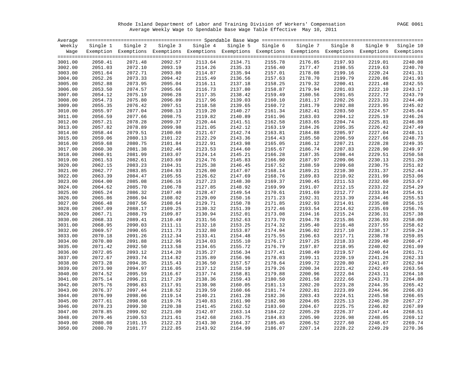Rhode Island Department of Labor and Training Division of Workers' Compensation PAGE 0061 Average Weekly Wage to Spendable Base Wage Table Effective May 10, 2011

| Average |          |                                                                                                              |          |          |          |          |          |          |          |           |
|---------|----------|--------------------------------------------------------------------------------------------------------------|----------|----------|----------|----------|----------|----------|----------|-----------|
| Weekly  | Single 1 | Single 2                                                                                                     | Single 3 | Single 4 | Single 5 | Single 6 | Single 7 | Single 8 | Single 9 | Single 10 |
| Wage    |          | Exemption Exemptions Exemptions Exemptions Exemptions Exemptions Exemptions Exemptions Exemptions Exemptions |          |          |          |          |          |          |          |           |
|         |          |                                                                                                              |          |          |          |          |          |          |          |           |
| 3001.00 | 2050.41  | 2071.48                                                                                                      | 2092.57  | 2113.64  | 2134.71  | 2155.78  | 2176.85  | 2197.93  | 2219.01  | 2240.08   |
| 3002.00 | 2051.03  | 2072.10                                                                                                      | 2093.19  | 2114.26  | 2135.33  | 2156.40  | 2177.47  | 2198.55  | 2219.63  | 2240.70   |
| 3003.00 | 2051.64  | 2072.71                                                                                                      | 2093.80  | 2114.87  | 2135.94  | 2157.01  | 2178.08  | 2199.16  | 2220.24  | 2241.31   |
| 3004.00 | 2052.26  | 2073.33                                                                                                      | 2094.42  | 2115.49  | 2136.56  | 2157.63  | 2178.70  | 2199.79  | 2220.86  | 2241.93   |
| 3005.00 | 2052.88  | 2073.95                                                                                                      | 2095.04  | 2116.11  | 2137.18  | 2158.25  | 2179.32  | 2200.41  | 2221.48  | 2242.55   |
| 3006.00 | 2053.50  | 2074.57                                                                                                      | 2095.66  | 2116.73  | 2137.80  | 2158.87  | 2179.94  | 2201.03  | 2222.10  | 2243.17   |
| 3007.00 | 2054.12  | 2075.19                                                                                                      | 2096.28  | 2117.35  | 2138.42  | 2159.49  | 2180.56  | 2201.65  | 2222.72  | 2243.79   |
| 3008.00 | 2054.73  | 2075.80                                                                                                      | 2096.89  | 2117.96  | 2139.03  | 2160.10  | 2181.17  | 2202.26  | 2223.33  | 2244.40   |
| 3009.00 | 2055.35  | 2076.42                                                                                                      | 2097.51  | 2118.58  | 2139.65  | 2160.72  | 2181.79  | 2202.88  | 2223.95  | 2245.02   |
| 3010.00 | 2055.97  | 2077.04                                                                                                      | 2098.13  | 2119.20  | 2140.27  | 2161.34  | 2182.41  | 2203.50  | 2224.57  | 2245.64   |
| 3011.00 | 2056.59  | 2077.66                                                                                                      | 2098.75  | 2119.82  | 2140.89  | 2161.96  | 2183.03  | 2204.12  | 2225.19  | 2246.26   |
| 3012.00 | 2057.21  | 2078.28                                                                                                      | 2099.37  | 2120.44  | 2141.51  | 2162.58  | 2183.65  | 2204.74  | 2225.81  | 2246.88   |
| 3013.00 | 2057.82  | 2078.89                                                                                                      | 2099.98  | 2121.05  | 2142.12  | 2163.19  | 2184.26  | 2205.35  | 2226.42  | 2247.49   |
| 3014.00 | 2058.44  | 2079.51                                                                                                      | 2100.60  | 2121.67  | 2142.74  | 2163.81  | 2184.88  | 2205.97  | 2227.04  | 2248.11   |
| 3015.00 | 2059.06  | 2080.13                                                                                                      | 2101.22  | 2122.29  | 2143.36  | 2164.43  | 2185.50  | 2206.59  | 2227.66  | 2248.73   |
| 3016.00 | 2059.68  | 2080.75                                                                                                      | 2101.84  | 2122.91  | 2143.98  | 2165.05  | 2186.12  | 2207.21  | 2228.28  | 2249.35   |
| 3017.00 | 2060.30  | 2081.38                                                                                                      | 2102.46  | 2123.53  | 2144.60  | 2165.67  | 2186.74  | 2207.83  | 2228.90  | 2249.97   |
| 3018.00 | 2060.91  | 2081.99                                                                                                      | 2103.07  | 2124.14  | 2145.21  | 2166.28  | 2187.35  | 2208.44  | 2229.51  | 2250.58   |
| 3019.00 | 2061.53  | 2082.61                                                                                                      | 2103.69  | 2124.76  | 2145.83  | 2166.90  | 2187.97  | 2209.06  | 2230.13  | 2251.20   |
| 3020.00 | 2062.15  | 2083.23                                                                                                      | 2104.31  | 2125.38  | 2146.45  | 2167.52  | 2188.59  | 2209.68  | 2230.75  | 2251.82   |
| 3021.00 | 2062.77  | 2083.85                                                                                                      | 2104.93  | 2126.00  | 2147.07  | 2168.14  | 2189.21  | 2210.30  | 2231.37  | 2252.44   |
| 3022.00 | 2063.39  | 2084.47                                                                                                      | 2105.55  | 2126.62  | 2147.69  | 2168.76  | 2189.83  | 2210.92  | 2231.99  | 2253.06   |
| 3023.00 | 2064.00  | 2085.08                                                                                                      | 2106.16  | 2127.23  | 2148.30  | 2169.37  | 2190.45  | 2211.53  | 2232.60  | 2253.67   |
| 3024.00 | 2064.62  | 2085.70                                                                                                      | 2106.78  | 2127.85  | 2148.92  | 2169.99  | 2191.07  | 2212.15  | 2233.22  | 2254.29   |
| 3025.00 | 2065.24  | 2086.32                                                                                                      | 2107.40  | 2128.47  | 2149.54  | 2170.61  | 2191.69  | 2212.77  | 2233.84  | 2254.91   |
| 3026.00 | 2065.86  | 2086.94                                                                                                      | 2108.02  | 2129.09  | 2150.16  | 2171.23  | 2192.31  | 2213.39  | 2234.46  | 2255.53   |
| 3027.00 | 2066.48  | 2087.56                                                                                                      | 2108.64  | 2129.71  | 2150.78  | 2171.85  | 2192.93  | 2214.01  | 2235.08  | 2256.15   |
| 3028.00 | 2067.09  | 2088.17                                                                                                      | 2109.25  | 2130.32  | 2151.39  | 2172.46  | 2193.54  | 2214.62  | 2235.69  | 2256.76   |
| 3029.00 | 2067.71  | 2088.79                                                                                                      | 2109.87  | 2130.94  | 2152.01  | 2173.08  | 2194.16  | 2215.24  | 2236.31  | 2257.38   |
| 3030.00 | 2068.33  | 2089.41                                                                                                      | 2110.49  | 2131.56  | 2152.63  | 2173.70  | 2194.78  | 2215.86  | 2236.93  | 2258.00   |
| 3031.00 | 2068.95  | 2090.03                                                                                                      | 2111.11  | 2132.18  | 2153.25  | 2174.32  | 2195.40  | 2216.48  | 2237.55  | 2258.62   |
| 3032.00 | 2069.57  | 2090.65                                                                                                      | 2111.73  | 2132.80  | 2153.87  | 2174.94  | 2196.02  | 2217.10  | 2238.17  | 2259.24   |
| 3033.00 | 2070.18  | 2091.26                                                                                                      | 2112.34  | 2133.41  | 2154.48  | 2175.55  | 2196.63  | 2217.71  | 2238.78  | 2259.85   |
| 3034.00 | 2070.80  | 2091.88                                                                                                      | 2112.96  | 2134.03  | 2155.10  | 2176.17  | 2197.25  | 2218.33  | 2239.40  | 2260.47   |
| 3035.00 | 2071.42  | 2092.50                                                                                                      | 2113.58  | 2134.65  | 2155.72  | 2176.79  | 2197.87  | 2218.95  | 2240.02  | 2261.09   |
| 3036.00 | 2072.05  | 2093.12                                                                                                      | 2114.20  | 2135.27  | 2156.34  | 2177.41  | 2198.49  | 2219.57  | 2240.64  | 2261.71   |
| 3037.00 | 2072.67  | 2093.74                                                                                                      | 2114.82  | 2135.89  | 2156.96  | 2178.03  | 2199.11  | 2220.19  | 2241.26  | 2262.33   |
| 3038.00 | 2073.28  | 2094.35                                                                                                      | 2115.43  | 2136.50  | 2157.57  | 2178.64  | 2199.72  | 2220.80  | 2241.87  | 2262.94   |
| 3039.00 | 2073.90  | 2094.97                                                                                                      | 2116.05  | 2137.12  | 2158.19  | 2179.26  | 2200.34  | 2221.42  | 2242.49  | 2263.56   |
| 3040.00 | 2074.52  | 2095.59                                                                                                      | 2116.67  | 2137.74  | 2158.81  | 2179.88  | 2200.96  | 2222.04  | 2243.11  | 2264.18   |
| 3041.00 | 2075.14  | 2096.21                                                                                                      | 2117.29  | 2138.36  | 2159.43  | 2180.50  | 2201.58  | 2222.66  | 2243.73  | 2264.80   |
| 3042.00 | 2075.76  | 2096.83                                                                                                      | 2117.91  | 2138.98  | 2160.05  | 2181.13  | 2202.20  | 2223.28  | 2244.35  | 2265.42   |
| 3043.00 | 2076.37  | 2097.44                                                                                                      | 2118.52  | 2139.59  | 2160.66  | 2181.74  | 2202.81  | 2223.89  | 2244.96  | 2266.03   |
| 3044.00 | 2076.99  | 2098.06                                                                                                      | 2119.14  | 2140.21  | 2161.28  | 2182.36  | 2203.43  | 2224.51  | 2245.58  | 2266.65   |
| 3045.00 | 2077.61  | 2098.68                                                                                                      | 2119.76  | 2140.83  | 2161.90  | 2182.98  | 2204.05  | 2225.13  | 2246.20  | 2267.27   |
| 3046.00 | 2078.23  | 2099.30                                                                                                      | 2120.38  | 2141.45  | 2162.52  | 2183.60  | 2204.67  | 2225.75  | 2246.82  | 2267.89   |
| 3047.00 | 2078.85  | 2099.92                                                                                                      | 2121.00  | 2142.07  | 2163.14  | 2184.22  | 2205.29  | 2226.37  | 2247.44  | 2268.51   |
| 3048.00 | 2079.46  | 2100.53                                                                                                      | 2121.61  | 2142.68  | 2163.75  | 2184.83  | 2205.90  | 2226.98  | 2248.05  | 2269.12   |
| 3049.00 | 2080.08  | 2101.15                                                                                                      | 2122.23  | 2143.30  | 2164.37  | 2185.45  | 2206.52  | 2227.60  | 2248.67  | 2269.74   |
| 3050.00 | 2080.70  | 2101.77                                                                                                      | 2122.85  | 2143.92  | 2164.99  | 2186.07  | 2207.14  | 2228.22  | 2249.29  | 2270.36   |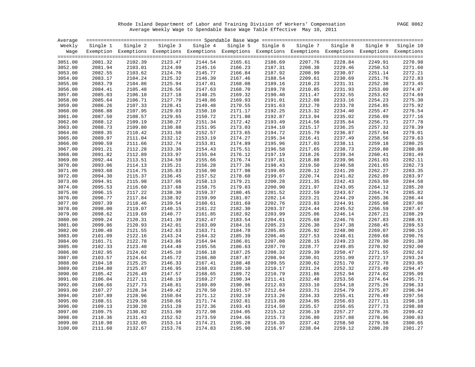Rhode Island Department of Labor and Training Division of Workers' Compensation PAGE 0062 Average Weekly Wage to Spendable Base Wage Table Effective May 10, 2011

| Average |          |          |         |                                                                                                              |          |          |          |          |          |           |
|---------|----------|----------|---------|--------------------------------------------------------------------------------------------------------------|----------|----------|----------|----------|----------|-----------|
| Weekly  | Single 1 | Single 2 |         | Single 3 Single 4                                                                                            | Single 5 | Single 6 | Single 7 | Single 8 | Single 9 | Single 10 |
| Wage    |          |          |         | Exemption Exemptions Exemptions Exemptions Exemptions Exemptions Exemptions Exemptions Exemptions Exemptions |          |          |          |          |          |           |
|         |          |          |         |                                                                                                              |          |          |          |          |          |           |
| 3051.00 | 2081.32  | 2102.39  | 2123.47 | 2144.54                                                                                                      | 2165.61  | 2186.69  | 2207.76  | 2228.84  | 2249.91  | 2270.98   |
| 3052.00 | 2081.94  | 2103.01  | 2124.09 | 2145.16                                                                                                      | 2166.23  | 2187.31  | 2208.38  | 2229.46  | 2250.53  | 2271.60   |
| 3053.00 | 2082.55  | 2103.62  | 2124.70 | 2145.77                                                                                                      | 2166.84  | 2187.92  | 2208.99  | 2230.07  | 2251.14  | 2272.21   |
| 3054.00 | 2083.17  | 2104.24  | 2125.32 | 2146.39                                                                                                      | 2167.46  | 2188.54  | 2209.61  | 2230.69  | 2251.76  | 2272.83   |
| 3055.00 | 2083.79  | 2104.86  | 2125.94 | 2147.01                                                                                                      | 2168.08  | 2189.16  | 2210.23  | 2231.31  | 2252.38  | 2273.45   |
| 3056.00 | 2084.41  | 2105.48  | 2126.56 | 2147.63                                                                                                      | 2168.70  | 2189.78  | 2210.85  | 2231.93  | 2253.00  | 2274.07   |
| 3057.00 | 2085.03  | 2106.10  | 2127.18 | 2148.25                                                                                                      | 2169.32  | 2190.40  | 2211.47  | 2232.55  | 2253.62  | 2274.69   |
| 3058.00 | 2085.64  | 2106.71  | 2127.79 | 2148.86                                                                                                      | 2169.93  | 2191.01  | 2212.08  | 2233.16  | 2254.23  | 2275.30   |
| 3059.00 | 2086.26  | 2107.33  | 2128.41 | 2149.48                                                                                                      | 2170.55  | 2191.63  | 2212.70  | 2233.78  | 2254.85  | 2275.92   |
| 3060.00 | 2086.88  | 2107.95  | 2129.03 | 2150.10                                                                                                      | 2171.17  | 2192.25  | 2213.32  | 2234.40  | 2255.47  | 2276.54   |
| 3061.00 | 2087.50  | 2108.57  | 2129.65 | 2150.72                                                                                                      | 2171.80  | 2192.87  | 2213.94  | 2235.02  | 2256.09  | 2277.16   |
| 3062.00 | 2088.12  | 2109.19  | 2130.27 | 2151.34                                                                                                      | 2172.42  | 2193.49  | 2214.56  | 2235.64  | 2256.71  | 2277.78   |
| 3063.00 | 2088.73  | 2109.80  | 2130.88 | 2151.95                                                                                                      | 2173.03  | 2194.10  | 2215.17  | 2236.25  | 2257.32  | 2278.39   |
| 3064.00 | 2089.35  | 2110.42  | 2131.50 | 2152.57                                                                                                      | 2173.65  | 2194.72  | 2215.79  | 2236.87  | 2257.94  | 2279.01   |
| 3065.00 | 2089.97  | 2111.04  | 2132.12 | 2153.19                                                                                                      | 2174.27  | 2195.34  | 2216.41  | 2237.49  | 2258.56  | 2279.63   |
| 3066.00 | 2090.59  | 2111.66  | 2132.74 | 2153.81                                                                                                      | 2174.89  | 2195.96  | 2217.03  | 2238.11  | 2259.18  | 2280.25   |
| 3067.00 | 2091.21  | 2112.28  | 2133.36 | 2154.43                                                                                                      | 2175.51  | 2196.58  | 2217.65  | 2238.73  | 2259.80  | 2280.88   |
| 3068.00 | 2091.82  | 2112.89  | 2133.97 | 2155.04                                                                                                      | 2176.12  | 2197.19  | 2218.26  | 2239.34  | 2260.41  | 2281.49   |
| 3069.00 | 2092.44  | 2113.51  | 2134.59 | 2155.66                                                                                                      | 2176.74  | 2197.81  | 2218.88  | 2239.96  | 2261.03  | 2282.11   |
| 3070.00 | 2093.06  | 2114.13  | 2135.21 | 2156.28                                                                                                      | 2177.36  | 2198.43  | 2219.50  | 2240.58  | 2261.65  | 2282.73   |
| 3071.00 | 2093.68  | 2114.75  | 2135.83 | 2156.90                                                                                                      | 2177.98  | 2199.05  | 2220.12  | 2241.20  | 2262.27  | 2283.35   |
| 3072.00 | 2094.30  | 2115.37  | 2136.45 | 2157.52                                                                                                      | 2178.60  | 2199.67  | 2220.74  | 2241.82  | 2262.89  | 2283.97   |
| 3073.00 | 2094.91  | 2115.98  | 2137.06 | 2158.13                                                                                                      | 2179.21  | 2200.28  | 2221.35  | 2242.43  | 2263.50  | 2284.58   |
| 3074.00 | 2095.53  | 2116.60  | 2137.68 | 2158.75                                                                                                      | 2179.83  | 2200.90  | 2221.97  | 2243.05  | 2264.12  | 2285.20   |
| 3075.00 | 2096.15  | 2117.22  | 2138.30 | 2159.37                                                                                                      | 2180.45  | 2201.52  | 2222.59  | 2243.67  | 2264.74  | 2285.82   |
| 3076.00 | 2096.77  | 2117.84  | 2138.92 | 2159.99                                                                                                      | 2181.07  | 2202.14  | 2223.21  | 2244.29  | 2265.36  | 2286.44   |
| 3077.00 | 2097.39  | 2118.46  | 2139.54 | 2160.61                                                                                                      | 2181.69  | 2202.76  | 2223.83  | 2244.91  | 2265.98  | 2287.06   |
| 3078.00 | 2098.00  | 2119.07  | 2140.15 | 2161.22                                                                                                      | 2182.30  | 2203.37  | 2224.44  | 2245.52  | 2266.59  | 2287.67   |
| 3079.00 | 2098.62  | 2119.69  | 2140.77 | 2161.85                                                                                                      | 2182.92  | 2203.99  | 2225.06  | 2246.14  | 2267.21  | 2288.29   |
| 3080.00 | 2099.24  | 2120.31  | 2141.39 | 2162.47                                                                                                      | 2183.54  | 2204.61  | 2225.68  | 2246.76  | 2267.83  | 2288.91   |
| 3081.00 | 2099.86  | 2120.93  | 2142.01 | 2163.09                                                                                                      | 2184.16  | 2205.23  | 2226.30  | 2247.38  | 2268.45  | 2289.53   |
| 3082.00 | 2100.48  | 2121.55  | 2142.63 | 2163.71                                                                                                      | 2184.78  | 2205.85  | 2226.92  | 2248.00  | 2269.07  | 2290.15   |
| 3083.00 | 2101.09  | 2122.16  | 2143.24 | 2164.32                                                                                                      | 2185.39  | 2206.46  | 2227.53  | 2248.61  | 2269.68  | 2290.76   |
| 3084.00 | 2101.71  | 2122.78  | 2143.86 | 2164.94                                                                                                      | 2186.01  | 2207.08  | 2228.15  | 2249.23  | 2270.30  | 2291.38   |
| 3085.00 | 2102.33  | 2123.40  | 2144.48 | 2165.56                                                                                                      | 2186.63  | 2207.70  | 2228.77  | 2249.85  | 2270.92  | 2292.00   |
| 3086.00 | 2102.95  | 2124.02  | 2145.10 | 2166.18                                                                                                      | 2187.25  | 2208.32  | 2229.39  | 2250.47  | 2271.55  | 2292.62   |
| 3087.00 | 2103.57  | 2124.64  | 2145.72 | 2166.80                                                                                                      | 2187.87  | 2208.94  | 2230.01  | 2251.09  | 2272.17  | 2293.24   |
| 3088.00 | 2104.18  | 2125.25  | 2146.33 | 2167.41                                                                                                      | 2188.48  | 2209.55  | 2230.62  | 2251.70  | 2272.78  | 2293.85   |
| 3089.00 | 2104.80  | 2125.87  | 2146.95 | 2168.03                                                                                                      | 2189.10  | 2210.17  | 2231.24  | 2252.32  | 2273.40  | 2294.47   |
| 3090.00 | 2105.42  | 2126.49  | 2147.57 | 2168.65                                                                                                      | 2189.72  | 2210.79  | 2231.86  | 2252.94  | 2274.02  | 2295.09   |
| 3091.00 | 2106.04  | 2127.11  | 2148.19 | 2169.27                                                                                                      | 2190.34  | 2211.41  | 2232.48  | 2253.56  | 2274.64  | 2295.71   |
| 3092.00 | 2106.66  | 2127.73  | 2148.81 | 2169.89                                                                                                      | 2190.96  | 2212.03  | 2233.10  | 2254.18  | 2275.26  | 2296.33   |
| 3093.00 | 2107.27  | 2128.34  | 2149.42 | 2170.50                                                                                                      | 2191.57  | 2212.64  | 2233.71  | 2254.79  | 2275.87  | 2296.94   |
| 3094.00 | 2107.89  | 2128.96  | 2150.04 | 2171.12                                                                                                      | 2192.19  | 2213.26  | 2234.33  | 2255.41  | 2276.49  | 2297.56   |
| 3095.00 | 2108.51  | 2129.58  | 2150.66 | 2171.74                                                                                                      | 2192.81  | 2213.88  | 2234.95  | 2256.03  | 2277.11  | 2298.18   |
| 3096.00 | 2109.13  | 2130.20  | 2151.28 | 2172.36                                                                                                      | 2193.43  | 2214.50  | 2235.57  | 2256.65  | 2277.73  | 2298.80   |
| 3097.00 | 2109.75  | 2130.82  | 2151.90 | 2172.98                                                                                                      | 2194.05  | 2215.12  | 2236.19  | 2257.27  | 2278.35  | 2299.42   |
| 3098.00 | 2110.36  | 2131.43  | 2152.52 | 2173.59                                                                                                      | 2194.66  | 2215.73  | 2236.80  | 2257.88  | 2278.96  | 2300.03   |
| 3099.00 | 2110.98  | 2132.05  | 2153.14 | 2174.21                                                                                                      | 2195.28  | 2216.35  | 2237.42  | 2258.50  | 2279.58  | 2300.65   |
| 3100.00 | 2111.60  | 2132.67  | 2153.76 | 2174.83                                                                                                      | 2195.90  | 2216.97  | 2238.04  | 2259.12  | 2280.20  | 2301.27   |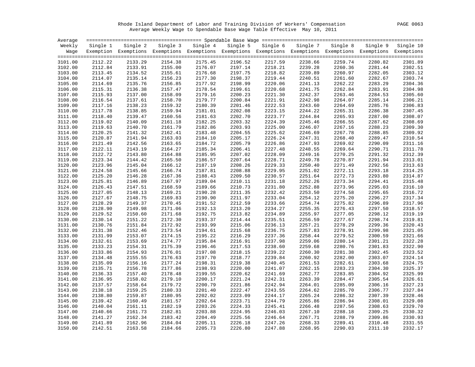Rhode Island Department of Labor and Training Division of Workers' Compensation PAGE 0063 Average Weekly Wage to Spendable Base Wage Table Effective May 10, 2011

| Average |          |                                                                                                              |          |          |          |          |          |          |          |           |
|---------|----------|--------------------------------------------------------------------------------------------------------------|----------|----------|----------|----------|----------|----------|----------|-----------|
| Weekly  | Single 1 | Single 2                                                                                                     | Single 3 | Single 4 | Single 5 | Single 6 | Single 7 | Single 8 | Single 9 | Single 10 |
| Waqe    |          | Exemption Exemptions Exemptions Exemptions Exemptions Exemptions Exemptions Exemptions Exemptions Exemptions |          |          |          |          |          |          |          |           |
|         |          |                                                                                                              |          |          |          |          |          |          |          |           |
| 3101.00 | 2112.22  | 2133.29                                                                                                      | 2154.38  | 2175.45  | 2196.52  | 2217.59  | 2238.66  | 2259.74  | 2280.82  | 2301.89   |
| 3102.00 | 2112.84  | 2133.91                                                                                                      | 2155.00  | 2176.07  | 2197.14  | 2218.21  | 2239.28  | 2260.36  | 2281.44  | 2302.51   |
| 3103.00 | 2113.45  | 2134.52                                                                                                      | 2155.61  | 2176.68  | 2197.75  | 2218.82  | 2239.89  | 2260.97  | 2282.05  | 2303.12   |
| 3104.00 | 2114.07  | 2135.14                                                                                                      | 2156.23  | 2177.30  | 2198.37  | 2219.44  | 2240.51  | 2261.60  | 2282.67  | 2303.74   |
| 3105.00 | 2114.69  | 2135.76                                                                                                      | 2156.85  | 2177.92  | 2198.99  | 2220.06  | 2241.13  | 2262.22  | 2283.29  | 2304.36   |
| 3106.00 | 2115.31  | 2136.38                                                                                                      | 2157.47  | 2178.54  | 2199.61  | 2220.68  | 2241.75  | 2262.84  | 2283.91  | 2304.98   |
| 3107.00 | 2115.93  | 2137.00                                                                                                      | 2158.09  | 2179.16  | 2200.23  | 2221.30  | 2242.37  | 2263.46  | 2284.53  | 2305.60   |
| 3108.00 | 2116.54  | 2137.61                                                                                                      | 2158.70  | 2179.77  | 2200.84  | 2221.91  | 2242.98  | 2264.07  | 2285.14  | 2306.21   |
| 3109.00 | 2117.16  | 2138.23                                                                                                      | 2159.32  | 2180.39  | 2201.46  | 2222.53  | 2243.60  | 2264.69  | 2285.76  | 2306.83   |
| 3110.00 | 2117.78  | 2138.85                                                                                                      | 2159.94  | 2181.01  | 2202.08  | 2223.15  | 2244.22  | 2265.31  | 2286.38  | 2307.45   |
| 3111.00 | 2118.40  | 2139.47                                                                                                      | 2160.56  | 2181.63  | 2202.70  | 2223.77  | 2244.84  | 2265.93  | 2287.00  | 2308.07   |
| 3112.00 | 2119.02  | 2140.09                                                                                                      | 2161.18  | 2182.25  | 2203.32  | 2224.39  | 2245.46  | 2266.55  | 2287.62  | 2308.69   |
| 3113.00 | 2119.63  | 2140.70                                                                                                      | 2161.79  | 2182.86  | 2203.93  | 2225.00  | 2246.07  | 2267.16  | 2288.23  | 2309.30   |
| 3114.00 | 2120.25  | 2141.32                                                                                                      | 2162.41  | 2183.48  | 2204.55  | 2225.62  | 2246.69  | 2267.78  | 2288.85  | 2309.92   |
| 3115.00 | 2120.87  | 2141.94                                                                                                      | 2163.03  | 2184.10  | 2205.17  | 2226.24  | 2247.31  | 2268.40  | 2289.47  | 2310.54   |
| 3116.00 | 2121.49  | 2142.56                                                                                                      | 2163.65  | 2184.72  | 2205.79  | 2226.86  | 2247.93  | 2269.02  | 2290.09  | 2311.16   |
| 3117.00 | 2122.11  | 2143.19                                                                                                      | 2164.27  | 2185.34  | 2206.41  | 2227.48  | 2248.55  | 2269.64  | 2290.71  | 2311.78   |
| 3118.00 | 2122.72  | 2143.80                                                                                                      | 2164.88  | 2185.95  | 2207.02  | 2228.09  | 2249.16  | 2270.25  | 2291.32  | 2312.39   |
| 3119.00 | 2123.34  | 2144.42                                                                                                      | 2165.50  | 2186.57  | 2207.64  | 2228.71  | 2249.78  | 2270.87  | 2291.94  | 2313.01   |
| 3120.00 | 2123.96  | 2145.04                                                                                                      | 2166.12  | 2187.19  | 2208.26  | 2229.33  | 2250.40  | 2271.49  | 2292.56  | 2313.63   |
| 3121.00 | 2124.58  | 2145.66                                                                                                      | 2166.74  | 2187.81  | 2208.88  | 2229.95  | 2251.02  | 2272.11  | 2293.18  | 2314.25   |
| 3122.00 | 2125.20  | 2146.28                                                                                                      | 2167.36  | 2188.43  | 2209.50  | 2230.57  | 2251.64  | 2272.73  | 2293.80  | 2314.87   |
| 3123.00 | 2125.81  | 2146.89                                                                                                      | 2167.97  | 2189.04  | 2210.11  | 2231.18  | 2252.26  | 2273.34  | 2294.41  | 2315.48   |
| 3124.00 | 2126.43  | 2147.51                                                                                                      | 2168.59  | 2189.66  | 2210.73  | 2231.80  | 2252.88  | 2273.96  | 2295.03  | 2316.10   |
| 3125.00 | 2127.05  | 2148.13                                                                                                      | 2169.21  | 2190.28  | 2211.35  | 2232.42  | 2253.50  | 2274.58  | 2295.65  | 2316.72   |
| 3126.00 | 2127.67  | 2148.75                                                                                                      | 2169.83  | 2190.90  | 2211.97  | 2233.04  | 2254.12  | 2275.20  | 2296.27  | 2317.34   |
| 3127.00 | 2128.29  | 2149.37                                                                                                      | 2170.45  | 2191.52  | 2212.59  | 2233.66  | 2254.74  | 2275.82  | 2296.89  | 2317.96   |
| 3128.00 | 2128.90  | 2149.98                                                                                                      | 2171.06  | 2192.13  | 2213.20  | 2234.27  | 2255.35  | 2276.43  | 2297.50  | 2318.57   |
| 3129.00 | 2129.52  | 2150.60                                                                                                      | 2171.68  | 2192.75  | 2213.82  | 2234.89  | 2255.97  | 2277.05  | 2298.12  | 2319.19   |
| 3130.00 | 2130.14  | 2151.22                                                                                                      | 2172.30  | 2193.37  | 2214.44  | 2235.51  | 2256.59  | 2277.67  | 2298.74  | 2319.81   |
| 3131.00 | 2130.76  | 2151.84                                                                                                      | 2172.92  | 2193.99  | 2215.06  | 2236.13  | 2257.21  | 2278.29  | 2299.36  | 2320.43   |
| 3132.00 | 2131.38  | 2152.46                                                                                                      | 2173.54  | 2194.61  | 2215.68  | 2236.75  | 2257.83  | 2278.91  | 2299.98  | 2321.05   |
| 3133.00 | 2131.99  | 2153.07                                                                                                      | 2174.15  | 2195.22  | 2216.29  | 2237.36  | 2258.44  | 2279.52  | 2300.59  | 2321.66   |
| 3134.00 | 2132.61  | 2153.69                                                                                                      | 2174.77  | 2195.84  | 2216.91  | 2237.98  | 2259.06  | 2280.14  | 2301.21  | 2322.28   |
| 3135.00 | 2133.23  | 2154.31                                                                                                      | 2175.39  | 2196.46  | 2217.53  | 2238.60  | 2259.68  | 2280.76  | 2301.83  | 2322.90   |
| 3136.00 | 2133.86  | 2154.93                                                                                                      | 2176.01  | 2197.08  | 2218.15  | 2239.22  | 2260.30  | 2281.38  | 2302.45  | 2323.52   |
| 3137.00 | 2134.48  | 2155.55                                                                                                      | 2176.63  | 2197.70  | 2218.77  | 2239.84  | 2260.92  | 2282.00  | 2303.07  | 2324.14   |
| 3138.00 | 2135.09  | 2156.16                                                                                                      | 2177.24  | 2198.31  | 2219.38  | 2240.45  | 2261.53  | 2282.61  | 2303.68  | 2324.75   |
| 3139.00 | 2135.71  | 2156.78                                                                                                      | 2177.86  | 2198.93  | 2220.00  | 2241.07  | 2262.15  | 2283.23  | 2304.30  | 2325.37   |
| 3140.00 | 2136.33  | 2157.40                                                                                                      | 2178.48  | 2199.55  | 2220.62  | 2241.69  | 2262.77  | 2283.85  | 2304.92  | 2325.99   |
| 3141.00 | 2136.95  | 2158.02                                                                                                      | 2179.10  | 2200.17  | 2221.24  | 2242.31  | 2263.39  | 2284.47  | 2305.54  | 2326.61   |
| 3142.00 | 2137.57  | 2158.64                                                                                                      | 2179.72  | 2200.79  | 2221.86  | 2242.94  | 2264.01  | 2285.09  | 2306.16  | 2327.23   |
| 3143.00 | 2138.18  | 2159.25                                                                                                      | 2180.33  | 2201.40  | 2222.47  | 2243.55  | 2264.62  | 2285.70  | 2306.77  | 2327.84   |
| 3144.00 | 2138.80  | 2159.87                                                                                                      | 2180.95  | 2202.02  | 2223.09  | 2244.17  | 2265.24  | 2286.32  | 2307.39  | 2328.46   |
| 3145.00 | 2139.42  | 2160.49                                                                                                      | 2181.57  | 2202.64  | 2223.71  | 2244.79  | 2265.86  | 2286.94  | 2308.01  | 2329.08   |
| 3146.00 | 2140.04  | 2161.11                                                                                                      | 2182.19  | 2203.26  | 2224.33  | 2245.41  | 2266.48  | 2287.56  | 2308.63  | 2329.70   |
| 3147.00 | 2140.66  | 2161.73                                                                                                      | 2182.81  | 2203.88  | 2224.95  | 2246.03  | 2267.10  | 2288.18  | 2309.25  | 2330.32   |
| 3148.00 | 2141.27  | 2162.34                                                                                                      | 2183.42  | 2204.49  | 2225.56  | 2246.64  | 2267.71  | 2288.79  | 2309.86  | 2330.93   |
| 3149.00 | 2141.89  | 2162.96                                                                                                      | 2184.04  | 2205.11  | 2226.18  | 2247.26  | 2268.33  | 2289.41  | 2310.48  | 2331.55   |
| 3150.00 | 2142.51  | 2163.58                                                                                                      | 2184.66  | 2205.73  | 2226.80  | 2247.88  | 2268.95  | 2290.03  | 2311.10  | 2332.17   |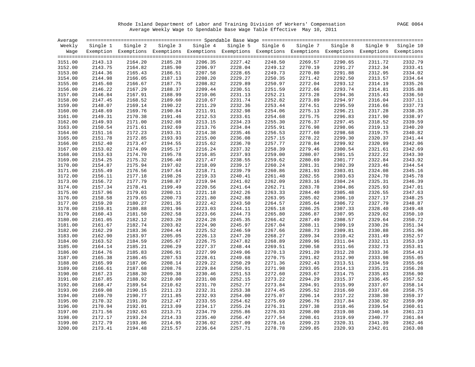Rhode Island Department of Labor and Training Division of Workers' Compensation PAGE 0064 Average Weekly Wage to Spendable Base Wage Table Effective May 10, 2011

| Average            |                    |                                                                                                              |                    |                    |                    |                    |                    |                    |                    |                    |
|--------------------|--------------------|--------------------------------------------------------------------------------------------------------------|--------------------|--------------------|--------------------|--------------------|--------------------|--------------------|--------------------|--------------------|
| Weekly             | Single 1           | Single 2                                                                                                     |                    | Single 3 Single 4  | Single 5           | Single 6           | Single 7           | Single 8           | Single 9           | Single 10          |
| Waqe               |                    | Exemption Exemptions Exemptions Exemptions Exemptions Exemptions Exemptions Exemptions Exemptions Exemptions |                    |                    |                    |                    |                    |                    |                    |                    |
|                    |                    |                                                                                                              |                    |                    |                    |                    |                    |                    |                    |                    |
| 3151.00            | 2143.13            | 2164.20                                                                                                      | 2185.28            | 2206.35            | 2227.42            | 2248.50            | 2269.57            | 2290.65            | 2311.72            | 2332.79            |
| 3152.00            | 2143.75            | 2164.82                                                                                                      | 2185.90            | 2206.97            | 2228.04            | 2249.12            | 2270.19            | 2291.27            | 2312.34            | 2333.41            |
| 3153.00            | 2144.36            | 2165.43                                                                                                      | 2186.51            | 2207.58            | 2228.65            | 2249.73            | 2270.80            | 2291.88            | 2312.95            | 2334.02            |
| 3154.00            | 2144.98            | 2166.05                                                                                                      | 2187.13            | 2208.20            | 2229.27            | 2250.35            | 2271.42            | 2292.50            | 2313.57            | 2334.64            |
| 3155.00            | 2145.60            | 2166.67                                                                                                      | 2187.75            | 2208.82            | 2229.89            | 2250.97            | 2272.04            | 2293.12            | 2314.19            | 2335.26            |
| 3156.00            | 2146.22            | 2167.29                                                                                                      | 2188.37            | 2209.44            | 2230.51            | 2251.59            | 2272.66            | 2293.74            | 2314.81            | 2335.88            |
| 3157.00            | 2146.84            | 2167.91                                                                                                      | 2188.99            | 2210.06            | 2231.13            | 2252.21            | 2273.28            | 2294.36            | 2315.43            | 2336.50            |
| 3158.00            | 2147.45            | 2168.52                                                                                                      | 2189.60            | 2210.67            | 2231.74            | 2252.82            | 2273.89            | 2294.97            | 2316.04            | 2337.11            |
| 3159.00            | 2148.07            | 2169.14                                                                                                      | 2190.22            | 2211.29            | 2232.36            | 2253.44            | 2274.51            | 2295.59            | 2316.66            | 2337.73            |
| 3160.00            | 2148.69            | 2169.76                                                                                                      | 2190.84            | 2211.91            | 2232.98            | 2254.06            | 2275.13            | 2296.21            | 2317.28            | 2338.35            |
| 3161.00            | 2149.31            | 2170.38                                                                                                      | 2191.46            | 2212.53            | 2233.61            | 2254.68            | 2275.75            | 2296.83            | 2317.90            | 2338.97            |
| 3162.00            | 2149.93            | 2171.00                                                                                                      | 2192.08            | 2213.15            | 2234.23            | 2255.30            | 2276.37            | 2297.45            | 2318.52            | 2339.59            |
| 3163.00            | 2150.54            | 2171.61                                                                                                      | 2192.69            | 2213.76            | 2234.84            | 2255.91            | 2276.98            | 2298.06            | 2319.13            | 2340.20            |
| 3164.00            | 2151.16            | 2172.23                                                                                                      | 2193.31            | 2214.38            | 2235.46            | 2256.53            | 2277.60            | 2298.68            | 2319.75            | 2340.82            |
| 3165.00            | 2151.78            | 2172.85                                                                                                      | 2193.93            | 2215.00            | 2236.08            | 2257.15            | 2278.22            | 2299.30            | 2320.37            | 2341.44            |
| 3166.00            | 2152.40            | 2173.47                                                                                                      | 2194.55            | 2215.62            | 2236.70            | 2257.77            | 2278.84            | 2299.92            | 2320.99            | 2342.06            |
| 3167.00            | 2153.02            | 2174.09                                                                                                      | 2195.17            | 2216.24            | 2237.32            | 2258.39            | 2279.46            | 2300.54            | 2321.61            | 2342.69            |
| 3168.00            | 2153.63            | 2174.70                                                                                                      | 2195.78            | 2216.85            | 2237.93            | 2259.00            | 2280.07            | 2301.15            | 2322.22            | 2343.30            |
| 3169.00            | 2154.25            | 2175.32                                                                                                      | 2196.40            | 2217.47            | 2238.55            | 2259.62            | 2280.69            | 2301.77            | 2322.84            | 2343.92            |
| 3170.00            | 2154.87            | 2175.94                                                                                                      | 2197.02            | 2218.09            | 2239.17            | 2260.24            | 2281.31            | 2302.39            | 2323.46            | 2344.54            |
| 3171.00            | 2155.49            | 2176.56                                                                                                      | 2197.64            | 2218.71            | 2239.79            | 2260.86            | 2281.93            | 2303.01            | 2324.08            | 2345.16            |
| 3172.00            | 2156.11            | 2177.18                                                                                                      | 2198.26            | 2219.33            | 2240.41            | 2261.48            | 2282.55            | 2303.63            | 2324.70            | 2345.78            |
| 3173.00            | 2156.72            | 2177.79                                                                                                      | 2198.87            | 2219.94            | 2241.02            | 2262.09            | 2283.16            | 2304.24            | 2325.31            | 2346.39            |
| 3174.00            | 2157.34            | 2178.41                                                                                                      | 2199.49            | 2220.56            | 2241.64            | 2262.71            | 2283.78            | 2304.86            | 2325.93            | 2347.01            |
| 3175.00            | 2157.96            | 2179.03                                                                                                      | 2200.11            | 2221.18            | 2242.26            | 2263.33            | 2284.40            | 2305.48            | 2326.55            | 2347.63            |
|                    | 2158.58            | 2179.65                                                                                                      | 2200.73            | 2221.80            | 2242.88            | 2263.95            | 2285.02            | 2306.10            | 2327.17            | 2348.25            |
| 3176.00<br>3177.00 | 2159.20            | 2180.27                                                                                                      | 2201.35            | 2222.42            | 2243.50            | 2264.57            | 2285.64            | 2306.72            | 2327.79            | 2348.87            |
|                    |                    |                                                                                                              |                    |                    |                    |                    |                    |                    |                    | 2349.48            |
| 3178.00<br>3179.00 | 2159.81<br>2160.43 | 2180.88<br>2181.50                                                                                           | 2201.96<br>2202.58 | 2223.03<br>2223.66 | 2244.11<br>2244.73 | 2265.18<br>2265.80 | 2286.25<br>2286.87 | 2307.33<br>2307.95 | 2328.40<br>2329.02 | 2350.10            |
| 3180.00            | 2161.05            | 2182.12                                                                                                      | 2203.20            | 2224.28            | 2245.35            | 2266.42            | 2287.49            | 2308.57            | 2329.64            | 2350.72            |
|                    |                    | 2182.74                                                                                                      | 2203.82            | 2224.90            | 2245.97            |                    | 2288.11            | 2309.19            |                    | 2351.34            |
| 3181.00            | 2161.67            |                                                                                                              |                    |                    |                    | 2267.04            |                    |                    | 2330.26            |                    |
| 3182.00            | 2162.29            | 2183.36                                                                                                      | 2204.44            | 2225.52            | 2246.59            | 2267.66            | 2288.73            | 2309.81            | 2330.88            | 2351.96            |
| 3183.00            | 2162.90            | 2183.97                                                                                                      | 2205.05            | 2226.13            | 2247.20            | 2268.27            | 2289.34            | 2310.42            | 2331.49            | 2352.57            |
| 3184.00            | 2163.52            | 2184.59<br>2185.21                                                                                           | 2205.67            | 2226.75<br>2227.37 | 2247.82            | 2268.89            | 2289.96            | 2311.04            | 2332.11            | 2353.19            |
| 3185.00            | 2164.14            |                                                                                                              | 2206.29            |                    | 2248.44            | 2269.51            | 2290.58            | 2311.66            | 2332.73            | 2353.81<br>2354.43 |
| 3186.00            | 2164.76            | 2185.83                                                                                                      | 2206.91            | 2227.99            | 2249.06            | 2270.13            | 2291.20            | 2312.28            | 2333.36            |                    |
| 3187.00            | 2165.38            | 2186.45                                                                                                      | 2207.53            | 2228.61            | 2249.68            | 2270.75            | 2291.82            | 2312.90            | 2333.98            | 2355.05            |
| 3188.00            | 2165.99            | 2187.06                                                                                                      | 2208.14            | 2229.22            | 2250.29            | 2271.36            | 2292.43            | 2313.51            | 2334.59            | 2355.66            |
| 3189.00            | 2166.61            | 2187.68                                                                                                      | 2208.76            | 2229.84            | 2250.91            | 2271.98            | 2293.05            | 2314.13            | 2335.21            | 2356.28            |
| 3190.00            | 2167.23            | 2188.30                                                                                                      | 2209.38            | 2230.46            | 2251.53            | 2272.60            | 2293.67            | 2314.75            | 2335.83            | 2356.90            |
| 3191.00            | 2167.85            | 2188.92                                                                                                      | 2210.00            | 2231.08            | 2252.15            | 2273.22            | 2294.29            | 2315.37            | 2336.45            | 2357.52            |
| 3192.00            | 2168.47            | 2189.54                                                                                                      | 2210.62            | 2231.70            | 2252.77            | 2273.84            | 2294.91            | 2315.99            | 2337.07            | 2358.14            |
| 3193.00            | 2169.08            | 2190.15                                                                                                      | 2211.23            | 2232.31            | 2253.38            | 2274.45            | 2295.52            | 2316.60            | 2337.68            | 2358.75            |
| 3194.00            | 2169.70            | 2190.77                                                                                                      | 2211.85            | 2232.93            | 2254.00            | 2275.07            | 2296.14            | 2317.22            | 2338.30            | 2359.37            |
| 3195.00            | 2170.32            | 2191.39                                                                                                      | 2212.47            | 2233.55            | 2254.62            | 2275.69            | 2296.76            | 2317.84            | 2338.92            | 2359.99            |
| 3196.00            | 2170.94            | 2192.01                                                                                                      | 2213.09            | 2234.17            | 2255.24            | 2276.31            | 2297.38            | 2318.46            | 2339.54            | 2360.61            |
| 3197.00            | 2171.56            | 2192.63                                                                                                      | 2213.71            | 2234.79            | 2255.86            | 2276.93            | 2298.00            | 2319.08            | 2340.16            | 2361.23            |
| 3198.00            | 2172.17            | 2193.24                                                                                                      | 2214.33            | 2235.40            | 2256.47            | 2277.54            | 2298.61            | 2319.69            | 2340.77            | 2361.84            |
| 3199.00            | 2172.79            | 2193.86                                                                                                      | 2214.95            | 2236.02            | 2257.09            | 2278.16            | 2299.23            | 2320.31            | 2341.39            | 2362.46            |
| 3200.00            | 2173.41            | 2194.48                                                                                                      | 2215.57            | 2236.64            | 2257.71            | 2278.78            | 2299.85            | 2320.93            | 2342.01            | 2363.08            |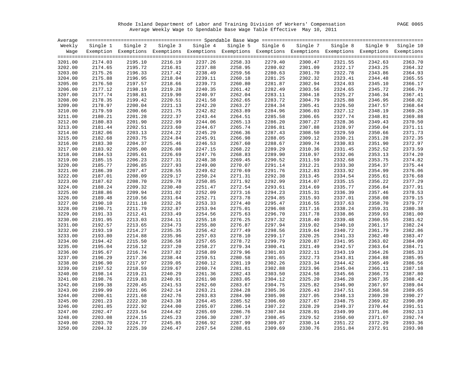Rhode Island Department of Labor and Training Division of Workers' Compensation PAGE 0065 Average Weekly Wage to Spendable Base Wage Table Effective May 10, 2011

| Average |          |                                                                                                              |          |          |          |          |          |          |          |           |
|---------|----------|--------------------------------------------------------------------------------------------------------------|----------|----------|----------|----------|----------|----------|----------|-----------|
| Weekly  | Single 1 | Single 2                                                                                                     | Single 3 | Single 4 | Single 5 | Single 6 | Single 7 | Single 8 | Single 9 | Single 10 |
| Waqe    |          | Exemption Exemptions Exemptions Exemptions Exemptions Exemptions Exemptions Exemptions Exemptions Exemptions |          |          |          |          |          |          |          |           |
|         |          |                                                                                                              |          |          |          |          |          |          |          |           |
| 3201.00 | 2174.03  | 2195.10                                                                                                      | 2216.19  | 2237.26  | 2258.33  | 2279.40  | 2300.47  | 2321.55  | 2342.63  | 2363.70   |
| 3202.00 | 2174.65  | 2195.72                                                                                                      | 2216.81  | 2237.88  | 2258.95  | 2280.02  | 2301.09  | 2322.17  | 2343.25  | 2364.32   |
| 3203.00 | 2175.26  | 2196.33                                                                                                      | 2217.42  | 2238.49  | 2259.56  | 2280.63  | 2301.70  | 2322.78  | 2343.86  | 2364.93   |
| 3204.00 | 2175.88  | 2196.95                                                                                                      | 2218.04  | 2239.11  | 2260.18  | 2281.25  | 2302.32  | 2323.41  | 2344.48  | 2365.55   |
| 3205.00 | 2176.50  | 2197.57                                                                                                      | 2218.66  | 2239.73  | 2260.80  | 2281.87  | 2302.94  | 2324.03  | 2345.10  | 2366.17   |
| 3206.00 | 2177.12  | 2198.19                                                                                                      | 2219.28  | 2240.35  | 2261.42  | 2282.49  | 2303.56  | 2324.65  | 2345.72  | 2366.79   |
| 3207.00 | 2177.74  | 2198.81                                                                                                      | 2219.90  | 2240.97  | 2262.04  | 2283.11  | 2304.18  | 2325.27  | 2346.34  | 2367.41   |
| 3208.00 | 2178.35  | 2199.42                                                                                                      | 2220.51  | 2241.58  | 2262.65  | 2283.72  | 2304.79  | 2325.88  | 2346.95  | 2368.02   |
| 3209.00 | 2178.97  | 2200.04                                                                                                      | 2221.13  | 2242.20  | 2263.27  | 2284.34  | 2305.41  | 2326.50  | 2347.57  | 2368.64   |
| 3210.00 | 2179.59  | 2200.66                                                                                                      | 2221.75  | 2242.82  | 2263.89  | 2284.96  | 2306.03  | 2327.12  | 2348.19  | 2369.26   |
| 3211.00 | 2180.21  | 2201.28                                                                                                      | 2222.37  | 2243.44  | 2264.51  | 2285.58  | 2306.65  | 2327.74  | 2348.81  | 2369.88   |
| 3212.00 | 2180.83  | 2201.90                                                                                                      | 2222.99  | 2244.06  | 2265.13  | 2286.20  | 2307.27  | 2328.36  | 2349.43  | 2370.50   |
| 3213.00 | 2181.44  | 2202.51                                                                                                      | 2223.60  | 2244.67  | 2265.74  | 2286.81  | 2307.88  | 2328.97  | 2350.04  | 2371.11   |
| 3214.00 | 2182.06  | 2203.13                                                                                                      | 2224.22  | 2245.29  | 2266.36  | 2287.43  | 2308.50  | 2329.59  | 2350.66  | 2371.73   |
| 3215.00 | 2182.68  | 2203.75                                                                                                      | 2224.84  | 2245.91  | 2266.98  | 2288.05  | 2309.12  | 2330.21  | 2351.28  | 2372.35   |
| 3216.00 | 2183.30  | 2204.37                                                                                                      | 2225.46  | 2246.53  | 2267.60  | 2288.67  | 2309.74  | 2330.83  | 2351.90  | 2372.97   |
| 3217.00 | 2183.92  | 2205.00                                                                                                      | 2226.08  | 2247.15  | 2268.22  | 2289.29  | 2310.36  | 2331.45  | 2352.52  | 2373.59   |
| 3218.00 | 2184.53  | 2205.61                                                                                                      | 2226.69  | 2247.76  | 2268.83  | 2289.90  | 2310.97  | 2332.06  | 2353.13  | 2374.20   |
| 3219.00 | 2185.15  | 2206.23                                                                                                      | 2227.31  | 2248.38  | 2269.45  | 2290.52  | 2311.59  | 2332.68  | 2353.75  | 2374.82   |
| 3220.00 | 2185.77  | 2206.85                                                                                                      | 2227.93  | 2249.00  | 2270.07  | 2291.14  | 2312.21  | 2333.30  | 2354.37  | 2375.44   |
| 3221.00 | 2186.39  | 2207.47                                                                                                      | 2228.55  | 2249.62  | 2270.69  | 2291.76  | 2312.83  | 2333.92  | 2354.99  | 2376.06   |
| 3222.00 | 2187.01  | 2208.09                                                                                                      | 2229.17  | 2250.24  | 2271.31  | 2292.38  | 2313.45  | 2334.54  | 2355.61  | 2376.68   |
| 3223.00 | 2187.62  | 2208.70                                                                                                      | 2229.78  | 2250.85  | 2271.92  | 2292.99  | 2314.07  | 2335.15  | 2356.22  | 2377.29   |
| 3224.00 | 2188.24  | 2209.32                                                                                                      | 2230.40  | 2251.47  | 2272.54  | 2293.61  | 2314.69  | 2335.77  | 2356.84  | 2377.91   |
| 3225.00 | 2188.86  | 2209.94                                                                                                      | 2231.02  | 2252.09  | 2273.16  | 2294.23  | 2315.31  | 2336.39  | 2357.46  | 2378.53   |
| 3226.00 | 2189.48  | 2210.56                                                                                                      | 2231.64  | 2252.71  | 2273.78  | 2294.85  | 2315.93  | 2337.01  | 2358.08  | 2379.15   |
| 3227.00 | 2190.10  | 2211.18                                                                                                      | 2232.26  | 2253.33  | 2274.40  | 2295.47  | 2316.55  | 2337.63  | 2358.70  | 2379.77   |
| 3228.00 | 2190.71  | 2211.79                                                                                                      | 2232.87  | 2253.94  | 2275.01  | 2296.08  | 2317.16  | 2338.24  | 2359.31  | 2380.38   |
| 3229.00 | 2191.33  | 2212.41                                                                                                      | 2233.49  | 2254.56  | 2275.63  | 2296.70  | 2317.78  | 2338.86  | 2359.93  | 2381.00   |
| 3230.00 | 2191.95  | 2213.03                                                                                                      | 2234.11  | 2255.18  | 2276.25  | 2297.32  | 2318.40  | 2339.48  | 2360.55  | 2381.62   |
| 3231.00 | 2192.57  | 2213.65                                                                                                      | 2234.73  | 2255.80  | 2276.87  | 2297.94  | 2319.02  | 2340.10  | 2361.17  | 2382.24   |
| 3232.00 | 2193.19  | 2214.27                                                                                                      | 2235.35  | 2256.42  | 2277.49  | 2298.56  | 2319.64  | 2340.72  | 2361.79  | 2382.86   |
| 3233.00 | 2193.80  | 2214.88                                                                                                      | 2235.96  | 2257.03  | 2278.10  | 2299.17  | 2320.25  | 2341.33  | 2362.40  | 2383.47   |
| 3234.00 | 2194.42  | 2215.50                                                                                                      | 2236.58  | 2257.65  | 2278.72  | 2299.79  | 2320.87  | 2341.95  | 2363.02  | 2384.09   |
| 3235.00 | 2195.04  | 2216.12                                                                                                      | 2237.20  | 2258.27  | 2279.34  | 2300.41  | 2321.49  | 2342.57  | 2363.64  | 2384.71   |
| 3236.00 | 2195.67  | 2216.74                                                                                                      | 2237.82  | 2258.89  | 2279.96  | 2301.03  | 2322.11  | 2343.19  | 2364.26  | 2385.33   |
| 3237.00 | 2196.29  | 2217.36                                                                                                      | 2238.44  | 2259.51  | 2280.58  | 2301.65  | 2322.73  | 2343.81  | 2364.88  | 2385.95   |
| 3238.00 | 2196.90  | 2217.97                                                                                                      | 2239.05  | 2260.12  | 2281.19  | 2302.26  | 2323.34  | 2344.42  | 2365.49  | 2386.56   |
| 3239.00 | 2197.52  | 2218.59                                                                                                      | 2239.67  | 2260.74  | 2281.81  | 2302.88  | 2323.96  | 2345.04  | 2366.11  | 2387.18   |
| 3240.00 | 2198.14  | 2219.21                                                                                                      | 2240.29  | 2261.36  | 2282.43  | 2303.50  | 2324.58  | 2345.66  | 2366.73  | 2387.80   |
| 3241.00 | 2198.76  | 2219.83                                                                                                      | 2240.91  | 2261.98  | 2283.05  | 2304.12  | 2325.20  | 2346.28  | 2367.35  | 2388.42   |
| 3242.00 | 2199.38  | 2220.45                                                                                                      | 2241.53  | 2262.60  | 2283.67  | 2304.75  | 2325.82  | 2346.90  | 2367.97  | 2389.04   |
| 3243.00 | 2199.99  | 2221.06                                                                                                      | 2242.14  | 2263.21  | 2284.28  | 2305.36  | 2326.43  | 2347.51  | 2368.58  | 2389.65   |
| 3244.00 | 2200.61  | 2221.68                                                                                                      | 2242.76  | 2263.83  | 2284.90  | 2305.98  | 2327.05  | 2348.13  | 2369.20  | 2390.27   |
| 3245.00 | 2201.23  | 2222.30                                                                                                      | 2243.38  | 2264.45  | 2285.52  | 2306.60  | 2327.67  | 2348.75  | 2369.82  | 2390.89   |
| 3246.00 | 2201.85  | 2222.92                                                                                                      | 2244.00  | 2265.07  | 2286.14  | 2307.22  | 2328.29  | 2349.37  | 2370.44  | 2391.51   |
| 3247.00 | 2202.47  | 2223.54                                                                                                      | 2244.62  | 2265.69  | 2286.76  | 2307.84  | 2328.91  | 2349.99  | 2371.06  | 2392.13   |
| 3248.00 | 2203.08  | 2224.15                                                                                                      | 2245.23  | 2266.30  | 2287.37  | 2308.45  | 2329.52  | 2350.60  | 2371.67  | 2392.74   |
| 3249.00 | 2203.70  | 2224.77                                                                                                      | 2245.85  | 2266.92  | 2287.99  | 2309.07  | 2330.14  | 2351.22  | 2372.29  | 2393.36   |
| 3250.00 | 2204.32  | 2225.39                                                                                                      | 2246.47  | 2267.54  | 2288.61  | 2309.69  | 2330.76  | 2351.84  | 2372.91  | 2393.98   |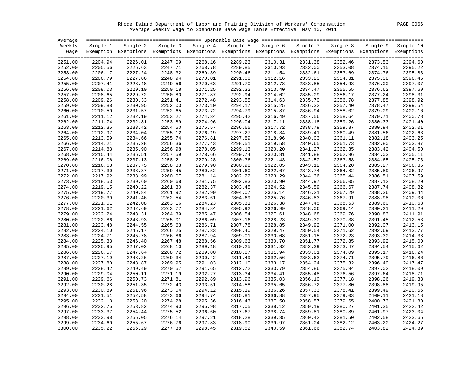Rhode Island Department of Labor and Training Division of Workers' Compensation PAGE 0066 Average Weekly Wage to Spendable Base Wage Table Effective May 10, 2011

| Weekly<br>Single 2<br>Single 3 Single 4<br>Single 5<br>Single 6<br>Single 7<br>Single 8<br>Single 9<br>Single 1<br>Exemption Exemptions Exemptions Exemptions Exemptions Exemptions Exemptions Exemptions Exemptions Exemptions<br>Waqe<br>2289.23<br>3251.00<br>2204.94<br>2226.01<br>2247.09<br>2268.16<br>2310.31<br>2331.38<br>2352.46<br>2373.53<br>2394.60<br>2289.85<br>2310.93<br>2332.00<br>2395.22<br>3252.00<br>2205.56<br>2226.63<br>2247.71<br>2268.78<br>2353.08<br>2374.15<br>2248.32<br>2269.39<br>2395.83<br>3253.00<br>2206.17<br>2227.24<br>2290.46<br>2311.54<br>2332.61<br>2353.69<br>2374.76<br>2206.79<br>2227.86<br>2248.94<br>2270.01<br>2291.08<br>2312.16<br>2333.23<br>2354.31<br>2375.38<br>2396.45<br>3254.00<br>2397.07<br>3255.00<br>2207.41<br>2228.48<br>2249.56<br>2270.63<br>2291.70<br>2312.78<br>2333.85<br>2354.93<br>2376.00<br>2397.69<br>3256.00<br>2208.03<br>2229.10<br>2250.18<br>2271.25<br>2292.32<br>2313.40<br>2334.47<br>2355.55<br>2376.62<br>2208.65<br>2229.72<br>2250.80<br>2271.87<br>2292.94<br>2314.02<br>2335.09<br>2356.17<br>2377.24<br>2398.31<br>3257.00<br>2209.26<br>2230.33<br>2251.41<br>2272.48<br>2314.63<br>2335.70<br>2356.78<br>2377.85<br>2398.92<br>3258.00<br>2293.55<br>2209.88<br>2230.95<br>2252.03<br>2273.10<br>2294.17<br>2315.25<br>2336.32<br>2378.47<br>2399.54<br>3259.00<br>2357.40<br>2336.94<br>2400.16<br>3260.00<br>2210.50<br>2231.57<br>2252.65<br>2273.72<br>2294.79<br>2315.87<br>2358.02<br>2379.09<br>2232.19<br>2274.34<br>2400.78<br>3261.00<br>2211.12<br>2253.27<br>2295.42<br>2316.49<br>2337.56<br>2358.64<br>2379.71<br>2211.74<br>2232.81<br>2253.89<br>2274.96<br>2296.04<br>2317.11<br>2338.18<br>2401.40<br>3262.00<br>2359.26<br>2380.33<br>2402.01<br>3263.00<br>2212.35<br>2233.42<br>2254.50<br>2275.57<br>2296.65<br>2317.72<br>2338.79<br>2359.87<br>2380.94<br>2212.97<br>2234.04<br>2255.12<br>2276.19<br>2318.34<br>2339.41<br>2360.49<br>2381.56<br>2402.63<br>3264.00<br>2297.27<br>2213.59<br>2234.66<br>2297.89<br>2318.96<br>2340.03<br>2403.25<br>3265.00<br>2255.74<br>2276.81<br>2361.11<br>2382.18<br>2214.21<br>2256.36<br>2277.43<br>2319.58<br>2340.65<br>2382.80<br>2403.87<br>3266.00<br>2235.28<br>2298.51<br>2361.73<br>2214.83<br>2235.90<br>2256.98<br>2278.05<br>2299.13<br>2320.20<br>2341.27<br>2362.35<br>2383.42<br>2404.50<br>3267.00<br>2405.11<br>3268.00<br>2215.44<br>2236.51<br>2257.59<br>2278.66<br>2299.74<br>2320.81<br>2341.88<br>2362.96<br>2384.03<br>2405.73<br>3269.00<br>2216.06<br>2237.13<br>2258.21<br>2279.28<br>2300.36<br>2321.43<br>2342.50<br>2363.58<br>2384.65<br>2216.68<br>2237.75<br>2258.83<br>2279.90<br>2300.98<br>2322.05<br>2343.12<br>2364.20<br>2385.27<br>3270.00<br>3271.00<br>2217.30<br>2238.37<br>2259.45<br>2280.52<br>2301.60<br>2322.67<br>2343.74<br>2364.82<br>2385.89<br>2407.59<br>3272.00<br>2217.92<br>2238.99<br>2260.07<br>2281.14<br>2302.22<br>2323.29<br>2344.36<br>2365.44<br>2386.51<br>2408.20<br>2239.60<br>2260.68<br>2281.75<br>2302.83<br>2323.90<br>2344.97<br>3273.00<br>2218.53<br>2366.05<br>2387.12<br>2219.15<br>2240.22<br>2282.37<br>2303.45<br>2324.52<br>2345.59<br>2387.74<br>3274.00<br>2261.30<br>2366.67<br>2240.84<br>2282.99<br>2409.44<br>3275.00<br>2219.77<br>2261.92<br>2304.07<br>2325.14<br>2346.21<br>2367.29<br>2388.36<br>3276.00<br>2220.39<br>2241.46<br>2262.54<br>2283.61<br>2304.69<br>2325.76<br>2346.83<br>2367.91<br>2388.98<br>2221.01<br>2242.08<br>2263.16<br>2284.23<br>2305.31<br>2326.38<br>2347.45<br>2368.53<br>2389.60<br>3277.00<br>2221.62<br>2242.69<br>2263.77<br>2284.84<br>2305.92<br>2326.99<br>2348.06<br>2369.14<br>2390.21<br>3278.00<br>2222.24<br>2411.91<br>3279.00<br>2243.31<br>2264.39<br>2285.47<br>2306.54<br>2327.61<br>2348.68<br>2369.76<br>2390.83<br>2412.53<br>3280.00<br>2222.86<br>2243.93<br>2265.01<br>2286.09<br>2307.16<br>2328.23<br>2349.30<br>2370.38<br>2391.45<br>3281.00<br>2223.48<br>2244.55<br>2265.63<br>2286.71<br>2307.78<br>2328.85<br>2349.92<br>2371.00<br>2392.07<br>2413.77<br>3282.00<br>2224.10<br>2245.17<br>2266.25<br>2287.33<br>2308.40<br>2329.47<br>2350.54<br>2371.62<br>2392.69<br>2245.78<br>2287.94<br>2351.15<br>3283.00<br>2224.71<br>2266.86<br>2309.01<br>2330.08<br>2372.23<br>2393.30<br>3284.00<br>2225.33<br>2246.40<br>2267.48<br>2288.56<br>2309.63<br>2330.70<br>2351.77<br>2372.85<br>2393.92<br>2352.39<br>2415.62<br>3285.00<br>2225.95<br>2247.02<br>2268.10<br>2289.18<br>2310.25<br>2331.32<br>2373.47<br>2394.54<br>2226.57<br>2247.64<br>2268.72<br>2289.80<br>2310.87<br>2331.94<br>2353.01<br>2374.09<br>2395.17<br>3286.00<br>2248.26<br>2269.34<br>2290.42<br>2332.56<br>2353.63<br>3287.00<br>2227.19<br>2311.49<br>2374.71<br>2395.79<br>2227.80<br>2248.87<br>2269.95<br>2291.03<br>2312.10<br>2333.17<br>2354.24<br>2396.40<br>3288.00<br>2375.32<br>2228.42<br>2249.49<br>2291.65<br>2312.72<br>2333.79<br>2354.86<br>2397.02<br>3289.00<br>2270.57<br>2375.94<br>3290.00<br>2229.04<br>2250.11<br>2271.19<br>2292.27<br>2313.34<br>2334.41<br>2355.48<br>2376.56<br>2397.64<br>2250.73<br>2292.89<br>2335.03<br>3291.00<br>2229.66<br>2271.81<br>2313.96<br>2356.10<br>2377.18<br>2398.26<br>2251.35<br>2356.72<br>3292.00<br>2230.28<br>2272.43<br>2293.51<br>2314.58<br>2335.65<br>2377.80<br>2398.88<br>3293.00<br>2230.89<br>2251.96<br>2273.04<br>2294.12<br>2315.19<br>2336.26<br>2357.33<br>2378.41<br>2399.49<br>2252.58<br>2294.74<br>3294.00<br>2231.51<br>2273.66<br>2315.81<br>2336.88<br>2357.95<br>2379.03<br>2400.11<br>2295.36<br>3295.00<br>2232.13<br>2253.20<br>2274.28<br>2316.43<br>2337.50<br>2358.57<br>2379.65<br>2400.73<br>2253.82<br>2295.98<br>2317.05<br>2359.19<br>2401.35<br>3296.00<br>2232.75<br>2274.90<br>2338.12<br>2380.27<br>2233.37<br>2275.52<br>2296.60<br>2338.74<br>2359.81<br>2380.89<br>2401.97<br>3297.00<br>2254.44<br>2317.67<br>2233.98<br>2360.42<br>3298.00<br>2255.05<br>2276.14<br>2297.21<br>2318.28<br>2339.35<br>2381.50<br>2402.58<br>2297.83<br>2361.04<br>2382.12<br>3299.00<br>2234.60<br>2255.67<br>2276.76<br>2318.90<br>2339.97<br>2403.20<br>2235.22<br>2256.29<br>2277.38<br>2319.52<br>2340.59<br>2361.66<br>2403.82<br>3300.00<br>2298.45<br>2382.74 | Average |  |  |  |  |           |
|-------------------------------------------------------------------------------------------------------------------------------------------------------------------------------------------------------------------------------------------------------------------------------------------------------------------------------------------------------------------------------------------------------------------------------------------------------------------------------------------------------------------------------------------------------------------------------------------------------------------------------------------------------------------------------------------------------------------------------------------------------------------------------------------------------------------------------------------------------------------------------------------------------------------------------------------------------------------------------------------------------------------------------------------------------------------------------------------------------------------------------------------------------------------------------------------------------------------------------------------------------------------------------------------------------------------------------------------------------------------------------------------------------------------------------------------------------------------------------------------------------------------------------------------------------------------------------------------------------------------------------------------------------------------------------------------------------------------------------------------------------------------------------------------------------------------------------------------------------------------------------------------------------------------------------------------------------------------------------------------------------------------------------------------------------------------------------------------------------------------------------------------------------------------------------------------------------------------------------------------------------------------------------------------------------------------------------------------------------------------------------------------------------------------------------------------------------------------------------------------------------------------------------------------------------------------------------------------------------------------------------------------------------------------------------------------------------------------------------------------------------------------------------------------------------------------------------------------------------------------------------------------------------------------------------------------------------------------------------------------------------------------------------------------------------------------------------------------------------------------------------------------------------------------------------------------------------------------------------------------------------------------------------------------------------------------------------------------------------------------------------------------------------------------------------------------------------------------------------------------------------------------------------------------------------------------------------------------------------------------------------------------------------------------------------------------------------------------------------------------------------------------------------------------------------------------------------------------------------------------------------------------------------------------------------------------------------------------------------------------------------------------------------------------------------------------------------------------------------------------------------------------------------------------------------------------------------------------------------------------------------------------------------------------------------------------------------------------------------------------------------------------------------------------------------------------------------------------------------------------------------------------------------------------------------------------------------------------------------------------------------------------------------------------------------------------------------------------------------------------------------------------------------------------------------------------------------------------------------------------------------------------------------------------------------------------------------------------------------------------------------------------------------------------------------------------------------------------------------------------------------------------------------------------------------------------------------------------------------------------------------------------------------------------------------------------------------------------------------------------------------------------------------------------------------------------------------------------------------------------------------------------------------------------------------------------------------------------------------------------------------------------------------------------------------------------------------------------------------------------------------------------------------------------------------------------------------------------------------------------------------------------------------------------------------------------------------------------------------------------------------------------------------------------------------------------------------------------------------------------------------------------------------------------------------------------------------------------------------------------------------------------|---------|--|--|--|--|-----------|
|                                                                                                                                                                                                                                                                                                                                                                                                                                                                                                                                                                                                                                                                                                                                                                                                                                                                                                                                                                                                                                                                                                                                                                                                                                                                                                                                                                                                                                                                                                                                                                                                                                                                                                                                                                                                                                                                                                                                                                                                                                                                                                                                                                                                                                                                                                                                                                                                                                                                                                                                                                                                                                                                                                                                                                                                                                                                                                                                                                                                                                                                                                                                                                                                                                                                                                                                                                                                                                                                                                                                                                                                                                                                                                                                                                                                                                                                                                                                                                                                                                                                                                                                                                                                                                                                                                                                                                                                                                                                                                                                                                                                                                                                                                                                                                                                                                                                                                                                                                                                                                                                                                                                                                                                                                                                                                                                                                                                                                                                                                                                                                                                                                                                                                                                                                                                                                                                                                                                                                                                                                                                                                                                                                                                                                                                   |         |  |  |  |  | Single 10 |
|                                                                                                                                                                                                                                                                                                                                                                                                                                                                                                                                                                                                                                                                                                                                                                                                                                                                                                                                                                                                                                                                                                                                                                                                                                                                                                                                                                                                                                                                                                                                                                                                                                                                                                                                                                                                                                                                                                                                                                                                                                                                                                                                                                                                                                                                                                                                                                                                                                                                                                                                                                                                                                                                                                                                                                                                                                                                                                                                                                                                                                                                                                                                                                                                                                                                                                                                                                                                                                                                                                                                                                                                                                                                                                                                                                                                                                                                                                                                                                                                                                                                                                                                                                                                                                                                                                                                                                                                                                                                                                                                                                                                                                                                                                                                                                                                                                                                                                                                                                                                                                                                                                                                                                                                                                                                                                                                                                                                                                                                                                                                                                                                                                                                                                                                                                                                                                                                                                                                                                                                                                                                                                                                                                                                                                                                   |         |  |  |  |  |           |
|                                                                                                                                                                                                                                                                                                                                                                                                                                                                                                                                                                                                                                                                                                                                                                                                                                                                                                                                                                                                                                                                                                                                                                                                                                                                                                                                                                                                                                                                                                                                                                                                                                                                                                                                                                                                                                                                                                                                                                                                                                                                                                                                                                                                                                                                                                                                                                                                                                                                                                                                                                                                                                                                                                                                                                                                                                                                                                                                                                                                                                                                                                                                                                                                                                                                                                                                                                                                                                                                                                                                                                                                                                                                                                                                                                                                                                                                                                                                                                                                                                                                                                                                                                                                                                                                                                                                                                                                                                                                                                                                                                                                                                                                                                                                                                                                                                                                                                                                                                                                                                                                                                                                                                                                                                                                                                                                                                                                                                                                                                                                                                                                                                                                                                                                                                                                                                                                                                                                                                                                                                                                                                                                                                                                                                                                   |         |  |  |  |  |           |
|                                                                                                                                                                                                                                                                                                                                                                                                                                                                                                                                                                                                                                                                                                                                                                                                                                                                                                                                                                                                                                                                                                                                                                                                                                                                                                                                                                                                                                                                                                                                                                                                                                                                                                                                                                                                                                                                                                                                                                                                                                                                                                                                                                                                                                                                                                                                                                                                                                                                                                                                                                                                                                                                                                                                                                                                                                                                                                                                                                                                                                                                                                                                                                                                                                                                                                                                                                                                                                                                                                                                                                                                                                                                                                                                                                                                                                                                                                                                                                                                                                                                                                                                                                                                                                                                                                                                                                                                                                                                                                                                                                                                                                                                                                                                                                                                                                                                                                                                                                                                                                                                                                                                                                                                                                                                                                                                                                                                                                                                                                                                                                                                                                                                                                                                                                                                                                                                                                                                                                                                                                                                                                                                                                                                                                                                   |         |  |  |  |  |           |
|                                                                                                                                                                                                                                                                                                                                                                                                                                                                                                                                                                                                                                                                                                                                                                                                                                                                                                                                                                                                                                                                                                                                                                                                                                                                                                                                                                                                                                                                                                                                                                                                                                                                                                                                                                                                                                                                                                                                                                                                                                                                                                                                                                                                                                                                                                                                                                                                                                                                                                                                                                                                                                                                                                                                                                                                                                                                                                                                                                                                                                                                                                                                                                                                                                                                                                                                                                                                                                                                                                                                                                                                                                                                                                                                                                                                                                                                                                                                                                                                                                                                                                                                                                                                                                                                                                                                                                                                                                                                                                                                                                                                                                                                                                                                                                                                                                                                                                                                                                                                                                                                                                                                                                                                                                                                                                                                                                                                                                                                                                                                                                                                                                                                                                                                                                                                                                                                                                                                                                                                                                                                                                                                                                                                                                                                   |         |  |  |  |  |           |
|                                                                                                                                                                                                                                                                                                                                                                                                                                                                                                                                                                                                                                                                                                                                                                                                                                                                                                                                                                                                                                                                                                                                                                                                                                                                                                                                                                                                                                                                                                                                                                                                                                                                                                                                                                                                                                                                                                                                                                                                                                                                                                                                                                                                                                                                                                                                                                                                                                                                                                                                                                                                                                                                                                                                                                                                                                                                                                                                                                                                                                                                                                                                                                                                                                                                                                                                                                                                                                                                                                                                                                                                                                                                                                                                                                                                                                                                                                                                                                                                                                                                                                                                                                                                                                                                                                                                                                                                                                                                                                                                                                                                                                                                                                                                                                                                                                                                                                                                                                                                                                                                                                                                                                                                                                                                                                                                                                                                                                                                                                                                                                                                                                                                                                                                                                                                                                                                                                                                                                                                                                                                                                                                                                                                                                                                   |         |  |  |  |  |           |
|                                                                                                                                                                                                                                                                                                                                                                                                                                                                                                                                                                                                                                                                                                                                                                                                                                                                                                                                                                                                                                                                                                                                                                                                                                                                                                                                                                                                                                                                                                                                                                                                                                                                                                                                                                                                                                                                                                                                                                                                                                                                                                                                                                                                                                                                                                                                                                                                                                                                                                                                                                                                                                                                                                                                                                                                                                                                                                                                                                                                                                                                                                                                                                                                                                                                                                                                                                                                                                                                                                                                                                                                                                                                                                                                                                                                                                                                                                                                                                                                                                                                                                                                                                                                                                                                                                                                                                                                                                                                                                                                                                                                                                                                                                                                                                                                                                                                                                                                                                                                                                                                                                                                                                                                                                                                                                                                                                                                                                                                                                                                                                                                                                                                                                                                                                                                                                                                                                                                                                                                                                                                                                                                                                                                                                                                   |         |  |  |  |  |           |
|                                                                                                                                                                                                                                                                                                                                                                                                                                                                                                                                                                                                                                                                                                                                                                                                                                                                                                                                                                                                                                                                                                                                                                                                                                                                                                                                                                                                                                                                                                                                                                                                                                                                                                                                                                                                                                                                                                                                                                                                                                                                                                                                                                                                                                                                                                                                                                                                                                                                                                                                                                                                                                                                                                                                                                                                                                                                                                                                                                                                                                                                                                                                                                                                                                                                                                                                                                                                                                                                                                                                                                                                                                                                                                                                                                                                                                                                                                                                                                                                                                                                                                                                                                                                                                                                                                                                                                                                                                                                                                                                                                                                                                                                                                                                                                                                                                                                                                                                                                                                                                                                                                                                                                                                                                                                                                                                                                                                                                                                                                                                                                                                                                                                                                                                                                                                                                                                                                                                                                                                                                                                                                                                                                                                                                                                   |         |  |  |  |  |           |
|                                                                                                                                                                                                                                                                                                                                                                                                                                                                                                                                                                                                                                                                                                                                                                                                                                                                                                                                                                                                                                                                                                                                                                                                                                                                                                                                                                                                                                                                                                                                                                                                                                                                                                                                                                                                                                                                                                                                                                                                                                                                                                                                                                                                                                                                                                                                                                                                                                                                                                                                                                                                                                                                                                                                                                                                                                                                                                                                                                                                                                                                                                                                                                                                                                                                                                                                                                                                                                                                                                                                                                                                                                                                                                                                                                                                                                                                                                                                                                                                                                                                                                                                                                                                                                                                                                                                                                                                                                                                                                                                                                                                                                                                                                                                                                                                                                                                                                                                                                                                                                                                                                                                                                                                                                                                                                                                                                                                                                                                                                                                                                                                                                                                                                                                                                                                                                                                                                                                                                                                                                                                                                                                                                                                                                                                   |         |  |  |  |  |           |
|                                                                                                                                                                                                                                                                                                                                                                                                                                                                                                                                                                                                                                                                                                                                                                                                                                                                                                                                                                                                                                                                                                                                                                                                                                                                                                                                                                                                                                                                                                                                                                                                                                                                                                                                                                                                                                                                                                                                                                                                                                                                                                                                                                                                                                                                                                                                                                                                                                                                                                                                                                                                                                                                                                                                                                                                                                                                                                                                                                                                                                                                                                                                                                                                                                                                                                                                                                                                                                                                                                                                                                                                                                                                                                                                                                                                                                                                                                                                                                                                                                                                                                                                                                                                                                                                                                                                                                                                                                                                                                                                                                                                                                                                                                                                                                                                                                                                                                                                                                                                                                                                                                                                                                                                                                                                                                                                                                                                                                                                                                                                                                                                                                                                                                                                                                                                                                                                                                                                                                                                                                                                                                                                                                                                                                                                   |         |  |  |  |  |           |
|                                                                                                                                                                                                                                                                                                                                                                                                                                                                                                                                                                                                                                                                                                                                                                                                                                                                                                                                                                                                                                                                                                                                                                                                                                                                                                                                                                                                                                                                                                                                                                                                                                                                                                                                                                                                                                                                                                                                                                                                                                                                                                                                                                                                                                                                                                                                                                                                                                                                                                                                                                                                                                                                                                                                                                                                                                                                                                                                                                                                                                                                                                                                                                                                                                                                                                                                                                                                                                                                                                                                                                                                                                                                                                                                                                                                                                                                                                                                                                                                                                                                                                                                                                                                                                                                                                                                                                                                                                                                                                                                                                                                                                                                                                                                                                                                                                                                                                                                                                                                                                                                                                                                                                                                                                                                                                                                                                                                                                                                                                                                                                                                                                                                                                                                                                                                                                                                                                                                                                                                                                                                                                                                                                                                                                                                   |         |  |  |  |  |           |
|                                                                                                                                                                                                                                                                                                                                                                                                                                                                                                                                                                                                                                                                                                                                                                                                                                                                                                                                                                                                                                                                                                                                                                                                                                                                                                                                                                                                                                                                                                                                                                                                                                                                                                                                                                                                                                                                                                                                                                                                                                                                                                                                                                                                                                                                                                                                                                                                                                                                                                                                                                                                                                                                                                                                                                                                                                                                                                                                                                                                                                                                                                                                                                                                                                                                                                                                                                                                                                                                                                                                                                                                                                                                                                                                                                                                                                                                                                                                                                                                                                                                                                                                                                                                                                                                                                                                                                                                                                                                                                                                                                                                                                                                                                                                                                                                                                                                                                                                                                                                                                                                                                                                                                                                                                                                                                                                                                                                                                                                                                                                                                                                                                                                                                                                                                                                                                                                                                                                                                                                                                                                                                                                                                                                                                                                   |         |  |  |  |  |           |
|                                                                                                                                                                                                                                                                                                                                                                                                                                                                                                                                                                                                                                                                                                                                                                                                                                                                                                                                                                                                                                                                                                                                                                                                                                                                                                                                                                                                                                                                                                                                                                                                                                                                                                                                                                                                                                                                                                                                                                                                                                                                                                                                                                                                                                                                                                                                                                                                                                                                                                                                                                                                                                                                                                                                                                                                                                                                                                                                                                                                                                                                                                                                                                                                                                                                                                                                                                                                                                                                                                                                                                                                                                                                                                                                                                                                                                                                                                                                                                                                                                                                                                                                                                                                                                                                                                                                                                                                                                                                                                                                                                                                                                                                                                                                                                                                                                                                                                                                                                                                                                                                                                                                                                                                                                                                                                                                                                                                                                                                                                                                                                                                                                                                                                                                                                                                                                                                                                                                                                                                                                                                                                                                                                                                                                                                   |         |  |  |  |  |           |
|                                                                                                                                                                                                                                                                                                                                                                                                                                                                                                                                                                                                                                                                                                                                                                                                                                                                                                                                                                                                                                                                                                                                                                                                                                                                                                                                                                                                                                                                                                                                                                                                                                                                                                                                                                                                                                                                                                                                                                                                                                                                                                                                                                                                                                                                                                                                                                                                                                                                                                                                                                                                                                                                                                                                                                                                                                                                                                                                                                                                                                                                                                                                                                                                                                                                                                                                                                                                                                                                                                                                                                                                                                                                                                                                                                                                                                                                                                                                                                                                                                                                                                                                                                                                                                                                                                                                                                                                                                                                                                                                                                                                                                                                                                                                                                                                                                                                                                                                                                                                                                                                                                                                                                                                                                                                                                                                                                                                                                                                                                                                                                                                                                                                                                                                                                                                                                                                                                                                                                                                                                                                                                                                                                                                                                                                   |         |  |  |  |  |           |
|                                                                                                                                                                                                                                                                                                                                                                                                                                                                                                                                                                                                                                                                                                                                                                                                                                                                                                                                                                                                                                                                                                                                                                                                                                                                                                                                                                                                                                                                                                                                                                                                                                                                                                                                                                                                                                                                                                                                                                                                                                                                                                                                                                                                                                                                                                                                                                                                                                                                                                                                                                                                                                                                                                                                                                                                                                                                                                                                                                                                                                                                                                                                                                                                                                                                                                                                                                                                                                                                                                                                                                                                                                                                                                                                                                                                                                                                                                                                                                                                                                                                                                                                                                                                                                                                                                                                                                                                                                                                                                                                                                                                                                                                                                                                                                                                                                                                                                                                                                                                                                                                                                                                                                                                                                                                                                                                                                                                                                                                                                                                                                                                                                                                                                                                                                                                                                                                                                                                                                                                                                                                                                                                                                                                                                                                   |         |  |  |  |  |           |
|                                                                                                                                                                                                                                                                                                                                                                                                                                                                                                                                                                                                                                                                                                                                                                                                                                                                                                                                                                                                                                                                                                                                                                                                                                                                                                                                                                                                                                                                                                                                                                                                                                                                                                                                                                                                                                                                                                                                                                                                                                                                                                                                                                                                                                                                                                                                                                                                                                                                                                                                                                                                                                                                                                                                                                                                                                                                                                                                                                                                                                                                                                                                                                                                                                                                                                                                                                                                                                                                                                                                                                                                                                                                                                                                                                                                                                                                                                                                                                                                                                                                                                                                                                                                                                                                                                                                                                                                                                                                                                                                                                                                                                                                                                                                                                                                                                                                                                                                                                                                                                                                                                                                                                                                                                                                                                                                                                                                                                                                                                                                                                                                                                                                                                                                                                                                                                                                                                                                                                                                                                                                                                                                                                                                                                                                   |         |  |  |  |  |           |
|                                                                                                                                                                                                                                                                                                                                                                                                                                                                                                                                                                                                                                                                                                                                                                                                                                                                                                                                                                                                                                                                                                                                                                                                                                                                                                                                                                                                                                                                                                                                                                                                                                                                                                                                                                                                                                                                                                                                                                                                                                                                                                                                                                                                                                                                                                                                                                                                                                                                                                                                                                                                                                                                                                                                                                                                                                                                                                                                                                                                                                                                                                                                                                                                                                                                                                                                                                                                                                                                                                                                                                                                                                                                                                                                                                                                                                                                                                                                                                                                                                                                                                                                                                                                                                                                                                                                                                                                                                                                                                                                                                                                                                                                                                                                                                                                                                                                                                                                                                                                                                                                                                                                                                                                                                                                                                                                                                                                                                                                                                                                                                                                                                                                                                                                                                                                                                                                                                                                                                                                                                                                                                                                                                                                                                                                   |         |  |  |  |  |           |
|                                                                                                                                                                                                                                                                                                                                                                                                                                                                                                                                                                                                                                                                                                                                                                                                                                                                                                                                                                                                                                                                                                                                                                                                                                                                                                                                                                                                                                                                                                                                                                                                                                                                                                                                                                                                                                                                                                                                                                                                                                                                                                                                                                                                                                                                                                                                                                                                                                                                                                                                                                                                                                                                                                                                                                                                                                                                                                                                                                                                                                                                                                                                                                                                                                                                                                                                                                                                                                                                                                                                                                                                                                                                                                                                                                                                                                                                                                                                                                                                                                                                                                                                                                                                                                                                                                                                                                                                                                                                                                                                                                                                                                                                                                                                                                                                                                                                                                                                                                                                                                                                                                                                                                                                                                                                                                                                                                                                                                                                                                                                                                                                                                                                                                                                                                                                                                                                                                                                                                                                                                                                                                                                                                                                                                                                   |         |  |  |  |  |           |
|                                                                                                                                                                                                                                                                                                                                                                                                                                                                                                                                                                                                                                                                                                                                                                                                                                                                                                                                                                                                                                                                                                                                                                                                                                                                                                                                                                                                                                                                                                                                                                                                                                                                                                                                                                                                                                                                                                                                                                                                                                                                                                                                                                                                                                                                                                                                                                                                                                                                                                                                                                                                                                                                                                                                                                                                                                                                                                                                                                                                                                                                                                                                                                                                                                                                                                                                                                                                                                                                                                                                                                                                                                                                                                                                                                                                                                                                                                                                                                                                                                                                                                                                                                                                                                                                                                                                                                                                                                                                                                                                                                                                                                                                                                                                                                                                                                                                                                                                                                                                                                                                                                                                                                                                                                                                                                                                                                                                                                                                                                                                                                                                                                                                                                                                                                                                                                                                                                                                                                                                                                                                                                                                                                                                                                                                   |         |  |  |  |  |           |
|                                                                                                                                                                                                                                                                                                                                                                                                                                                                                                                                                                                                                                                                                                                                                                                                                                                                                                                                                                                                                                                                                                                                                                                                                                                                                                                                                                                                                                                                                                                                                                                                                                                                                                                                                                                                                                                                                                                                                                                                                                                                                                                                                                                                                                                                                                                                                                                                                                                                                                                                                                                                                                                                                                                                                                                                                                                                                                                                                                                                                                                                                                                                                                                                                                                                                                                                                                                                                                                                                                                                                                                                                                                                                                                                                                                                                                                                                                                                                                                                                                                                                                                                                                                                                                                                                                                                                                                                                                                                                                                                                                                                                                                                                                                                                                                                                                                                                                                                                                                                                                                                                                                                                                                                                                                                                                                                                                                                                                                                                                                                                                                                                                                                                                                                                                                                                                                                                                                                                                                                                                                                                                                                                                                                                                                                   |         |  |  |  |  |           |
|                                                                                                                                                                                                                                                                                                                                                                                                                                                                                                                                                                                                                                                                                                                                                                                                                                                                                                                                                                                                                                                                                                                                                                                                                                                                                                                                                                                                                                                                                                                                                                                                                                                                                                                                                                                                                                                                                                                                                                                                                                                                                                                                                                                                                                                                                                                                                                                                                                                                                                                                                                                                                                                                                                                                                                                                                                                                                                                                                                                                                                                                                                                                                                                                                                                                                                                                                                                                                                                                                                                                                                                                                                                                                                                                                                                                                                                                                                                                                                                                                                                                                                                                                                                                                                                                                                                                                                                                                                                                                                                                                                                                                                                                                                                                                                                                                                                                                                                                                                                                                                                                                                                                                                                                                                                                                                                                                                                                                                                                                                                                                                                                                                                                                                                                                                                                                                                                                                                                                                                                                                                                                                                                                                                                                                                                   |         |  |  |  |  |           |
|                                                                                                                                                                                                                                                                                                                                                                                                                                                                                                                                                                                                                                                                                                                                                                                                                                                                                                                                                                                                                                                                                                                                                                                                                                                                                                                                                                                                                                                                                                                                                                                                                                                                                                                                                                                                                                                                                                                                                                                                                                                                                                                                                                                                                                                                                                                                                                                                                                                                                                                                                                                                                                                                                                                                                                                                                                                                                                                                                                                                                                                                                                                                                                                                                                                                                                                                                                                                                                                                                                                                                                                                                                                                                                                                                                                                                                                                                                                                                                                                                                                                                                                                                                                                                                                                                                                                                                                                                                                                                                                                                                                                                                                                                                                                                                                                                                                                                                                                                                                                                                                                                                                                                                                                                                                                                                                                                                                                                                                                                                                                                                                                                                                                                                                                                                                                                                                                                                                                                                                                                                                                                                                                                                                                                                                                   |         |  |  |  |  |           |
|                                                                                                                                                                                                                                                                                                                                                                                                                                                                                                                                                                                                                                                                                                                                                                                                                                                                                                                                                                                                                                                                                                                                                                                                                                                                                                                                                                                                                                                                                                                                                                                                                                                                                                                                                                                                                                                                                                                                                                                                                                                                                                                                                                                                                                                                                                                                                                                                                                                                                                                                                                                                                                                                                                                                                                                                                                                                                                                                                                                                                                                                                                                                                                                                                                                                                                                                                                                                                                                                                                                                                                                                                                                                                                                                                                                                                                                                                                                                                                                                                                                                                                                                                                                                                                                                                                                                                                                                                                                                                                                                                                                                                                                                                                                                                                                                                                                                                                                                                                                                                                                                                                                                                                                                                                                                                                                                                                                                                                                                                                                                                                                                                                                                                                                                                                                                                                                                                                                                                                                                                                                                                                                                                                                                                                                                   |         |  |  |  |  | 2406.35   |
|                                                                                                                                                                                                                                                                                                                                                                                                                                                                                                                                                                                                                                                                                                                                                                                                                                                                                                                                                                                                                                                                                                                                                                                                                                                                                                                                                                                                                                                                                                                                                                                                                                                                                                                                                                                                                                                                                                                                                                                                                                                                                                                                                                                                                                                                                                                                                                                                                                                                                                                                                                                                                                                                                                                                                                                                                                                                                                                                                                                                                                                                                                                                                                                                                                                                                                                                                                                                                                                                                                                                                                                                                                                                                                                                                                                                                                                                                                                                                                                                                                                                                                                                                                                                                                                                                                                                                                                                                                                                                                                                                                                                                                                                                                                                                                                                                                                                                                                                                                                                                                                                                                                                                                                                                                                                                                                                                                                                                                                                                                                                                                                                                                                                                                                                                                                                                                                                                                                                                                                                                                                                                                                                                                                                                                                                   |         |  |  |  |  | 2406.97   |
|                                                                                                                                                                                                                                                                                                                                                                                                                                                                                                                                                                                                                                                                                                                                                                                                                                                                                                                                                                                                                                                                                                                                                                                                                                                                                                                                                                                                                                                                                                                                                                                                                                                                                                                                                                                                                                                                                                                                                                                                                                                                                                                                                                                                                                                                                                                                                                                                                                                                                                                                                                                                                                                                                                                                                                                                                                                                                                                                                                                                                                                                                                                                                                                                                                                                                                                                                                                                                                                                                                                                                                                                                                                                                                                                                                                                                                                                                                                                                                                                                                                                                                                                                                                                                                                                                                                                                                                                                                                                                                                                                                                                                                                                                                                                                                                                                                                                                                                                                                                                                                                                                                                                                                                                                                                                                                                                                                                                                                                                                                                                                                                                                                                                                                                                                                                                                                                                                                                                                                                                                                                                                                                                                                                                                                                                   |         |  |  |  |  |           |
|                                                                                                                                                                                                                                                                                                                                                                                                                                                                                                                                                                                                                                                                                                                                                                                                                                                                                                                                                                                                                                                                                                                                                                                                                                                                                                                                                                                                                                                                                                                                                                                                                                                                                                                                                                                                                                                                                                                                                                                                                                                                                                                                                                                                                                                                                                                                                                                                                                                                                                                                                                                                                                                                                                                                                                                                                                                                                                                                                                                                                                                                                                                                                                                                                                                                                                                                                                                                                                                                                                                                                                                                                                                                                                                                                                                                                                                                                                                                                                                                                                                                                                                                                                                                                                                                                                                                                                                                                                                                                                                                                                                                                                                                                                                                                                                                                                                                                                                                                                                                                                                                                                                                                                                                                                                                                                                                                                                                                                                                                                                                                                                                                                                                                                                                                                                                                                                                                                                                                                                                                                                                                                                                                                                                                                                                   |         |  |  |  |  |           |
|                                                                                                                                                                                                                                                                                                                                                                                                                                                                                                                                                                                                                                                                                                                                                                                                                                                                                                                                                                                                                                                                                                                                                                                                                                                                                                                                                                                                                                                                                                                                                                                                                                                                                                                                                                                                                                                                                                                                                                                                                                                                                                                                                                                                                                                                                                                                                                                                                                                                                                                                                                                                                                                                                                                                                                                                                                                                                                                                                                                                                                                                                                                                                                                                                                                                                                                                                                                                                                                                                                                                                                                                                                                                                                                                                                                                                                                                                                                                                                                                                                                                                                                                                                                                                                                                                                                                                                                                                                                                                                                                                                                                                                                                                                                                                                                                                                                                                                                                                                                                                                                                                                                                                                                                                                                                                                                                                                                                                                                                                                                                                                                                                                                                                                                                                                                                                                                                                                                                                                                                                                                                                                                                                                                                                                                                   |         |  |  |  |  | 2408.82   |
|                                                                                                                                                                                                                                                                                                                                                                                                                                                                                                                                                                                                                                                                                                                                                                                                                                                                                                                                                                                                                                                                                                                                                                                                                                                                                                                                                                                                                                                                                                                                                                                                                                                                                                                                                                                                                                                                                                                                                                                                                                                                                                                                                                                                                                                                                                                                                                                                                                                                                                                                                                                                                                                                                                                                                                                                                                                                                                                                                                                                                                                                                                                                                                                                                                                                                                                                                                                                                                                                                                                                                                                                                                                                                                                                                                                                                                                                                                                                                                                                                                                                                                                                                                                                                                                                                                                                                                                                                                                                                                                                                                                                                                                                                                                                                                                                                                                                                                                                                                                                                                                                                                                                                                                                                                                                                                                                                                                                                                                                                                                                                                                                                                                                                                                                                                                                                                                                                                                                                                                                                                                                                                                                                                                                                                                                   |         |  |  |  |  |           |
|                                                                                                                                                                                                                                                                                                                                                                                                                                                                                                                                                                                                                                                                                                                                                                                                                                                                                                                                                                                                                                                                                                                                                                                                                                                                                                                                                                                                                                                                                                                                                                                                                                                                                                                                                                                                                                                                                                                                                                                                                                                                                                                                                                                                                                                                                                                                                                                                                                                                                                                                                                                                                                                                                                                                                                                                                                                                                                                                                                                                                                                                                                                                                                                                                                                                                                                                                                                                                                                                                                                                                                                                                                                                                                                                                                                                                                                                                                                                                                                                                                                                                                                                                                                                                                                                                                                                                                                                                                                                                                                                                                                                                                                                                                                                                                                                                                                                                                                                                                                                                                                                                                                                                                                                                                                                                                                                                                                                                                                                                                                                                                                                                                                                                                                                                                                                                                                                                                                                                                                                                                                                                                                                                                                                                                                                   |         |  |  |  |  | 2410.06   |
|                                                                                                                                                                                                                                                                                                                                                                                                                                                                                                                                                                                                                                                                                                                                                                                                                                                                                                                                                                                                                                                                                                                                                                                                                                                                                                                                                                                                                                                                                                                                                                                                                                                                                                                                                                                                                                                                                                                                                                                                                                                                                                                                                                                                                                                                                                                                                                                                                                                                                                                                                                                                                                                                                                                                                                                                                                                                                                                                                                                                                                                                                                                                                                                                                                                                                                                                                                                                                                                                                                                                                                                                                                                                                                                                                                                                                                                                                                                                                                                                                                                                                                                                                                                                                                                                                                                                                                                                                                                                                                                                                                                                                                                                                                                                                                                                                                                                                                                                                                                                                                                                                                                                                                                                                                                                                                                                                                                                                                                                                                                                                                                                                                                                                                                                                                                                                                                                                                                                                                                                                                                                                                                                                                                                                                                                   |         |  |  |  |  | 2410.68   |
|                                                                                                                                                                                                                                                                                                                                                                                                                                                                                                                                                                                                                                                                                                                                                                                                                                                                                                                                                                                                                                                                                                                                                                                                                                                                                                                                                                                                                                                                                                                                                                                                                                                                                                                                                                                                                                                                                                                                                                                                                                                                                                                                                                                                                                                                                                                                                                                                                                                                                                                                                                                                                                                                                                                                                                                                                                                                                                                                                                                                                                                                                                                                                                                                                                                                                                                                                                                                                                                                                                                                                                                                                                                                                                                                                                                                                                                                                                                                                                                                                                                                                                                                                                                                                                                                                                                                                                                                                                                                                                                                                                                                                                                                                                                                                                                                                                                                                                                                                                                                                                                                                                                                                                                                                                                                                                                                                                                                                                                                                                                                                                                                                                                                                                                                                                                                                                                                                                                                                                                                                                                                                                                                                                                                                                                                   |         |  |  |  |  | 2411.29   |
|                                                                                                                                                                                                                                                                                                                                                                                                                                                                                                                                                                                                                                                                                                                                                                                                                                                                                                                                                                                                                                                                                                                                                                                                                                                                                                                                                                                                                                                                                                                                                                                                                                                                                                                                                                                                                                                                                                                                                                                                                                                                                                                                                                                                                                                                                                                                                                                                                                                                                                                                                                                                                                                                                                                                                                                                                                                                                                                                                                                                                                                                                                                                                                                                                                                                                                                                                                                                                                                                                                                                                                                                                                                                                                                                                                                                                                                                                                                                                                                                                                                                                                                                                                                                                                                                                                                                                                                                                                                                                                                                                                                                                                                                                                                                                                                                                                                                                                                                                                                                                                                                                                                                                                                                                                                                                                                                                                                                                                                                                                                                                                                                                                                                                                                                                                                                                                                                                                                                                                                                                                                                                                                                                                                                                                                                   |         |  |  |  |  |           |
|                                                                                                                                                                                                                                                                                                                                                                                                                                                                                                                                                                                                                                                                                                                                                                                                                                                                                                                                                                                                                                                                                                                                                                                                                                                                                                                                                                                                                                                                                                                                                                                                                                                                                                                                                                                                                                                                                                                                                                                                                                                                                                                                                                                                                                                                                                                                                                                                                                                                                                                                                                                                                                                                                                                                                                                                                                                                                                                                                                                                                                                                                                                                                                                                                                                                                                                                                                                                                                                                                                                                                                                                                                                                                                                                                                                                                                                                                                                                                                                                                                                                                                                                                                                                                                                                                                                                                                                                                                                                                                                                                                                                                                                                                                                                                                                                                                                                                                                                                                                                                                                                                                                                                                                                                                                                                                                                                                                                                                                                                                                                                                                                                                                                                                                                                                                                                                                                                                                                                                                                                                                                                                                                                                                                                                                                   |         |  |  |  |  |           |
|                                                                                                                                                                                                                                                                                                                                                                                                                                                                                                                                                                                                                                                                                                                                                                                                                                                                                                                                                                                                                                                                                                                                                                                                                                                                                                                                                                                                                                                                                                                                                                                                                                                                                                                                                                                                                                                                                                                                                                                                                                                                                                                                                                                                                                                                                                                                                                                                                                                                                                                                                                                                                                                                                                                                                                                                                                                                                                                                                                                                                                                                                                                                                                                                                                                                                                                                                                                                                                                                                                                                                                                                                                                                                                                                                                                                                                                                                                                                                                                                                                                                                                                                                                                                                                                                                                                                                                                                                                                                                                                                                                                                                                                                                                                                                                                                                                                                                                                                                                                                                                                                                                                                                                                                                                                                                                                                                                                                                                                                                                                                                                                                                                                                                                                                                                                                                                                                                                                                                                                                                                                                                                                                                                                                                                                                   |         |  |  |  |  | 2413.15   |
|                                                                                                                                                                                                                                                                                                                                                                                                                                                                                                                                                                                                                                                                                                                                                                                                                                                                                                                                                                                                                                                                                                                                                                                                                                                                                                                                                                                                                                                                                                                                                                                                                                                                                                                                                                                                                                                                                                                                                                                                                                                                                                                                                                                                                                                                                                                                                                                                                                                                                                                                                                                                                                                                                                                                                                                                                                                                                                                                                                                                                                                                                                                                                                                                                                                                                                                                                                                                                                                                                                                                                                                                                                                                                                                                                                                                                                                                                                                                                                                                                                                                                                                                                                                                                                                                                                                                                                                                                                                                                                                                                                                                                                                                                                                                                                                                                                                                                                                                                                                                                                                                                                                                                                                                                                                                                                                                                                                                                                                                                                                                                                                                                                                                                                                                                                                                                                                                                                                                                                                                                                                                                                                                                                                                                                                                   |         |  |  |  |  |           |
|                                                                                                                                                                                                                                                                                                                                                                                                                                                                                                                                                                                                                                                                                                                                                                                                                                                                                                                                                                                                                                                                                                                                                                                                                                                                                                                                                                                                                                                                                                                                                                                                                                                                                                                                                                                                                                                                                                                                                                                                                                                                                                                                                                                                                                                                                                                                                                                                                                                                                                                                                                                                                                                                                                                                                                                                                                                                                                                                                                                                                                                                                                                                                                                                                                                                                                                                                                                                                                                                                                                                                                                                                                                                                                                                                                                                                                                                                                                                                                                                                                                                                                                                                                                                                                                                                                                                                                                                                                                                                                                                                                                                                                                                                                                                                                                                                                                                                                                                                                                                                                                                                                                                                                                                                                                                                                                                                                                                                                                                                                                                                                                                                                                                                                                                                                                                                                                                                                                                                                                                                                                                                                                                                                                                                                                                   |         |  |  |  |  | 2414.38   |
|                                                                                                                                                                                                                                                                                                                                                                                                                                                                                                                                                                                                                                                                                                                                                                                                                                                                                                                                                                                                                                                                                                                                                                                                                                                                                                                                                                                                                                                                                                                                                                                                                                                                                                                                                                                                                                                                                                                                                                                                                                                                                                                                                                                                                                                                                                                                                                                                                                                                                                                                                                                                                                                                                                                                                                                                                                                                                                                                                                                                                                                                                                                                                                                                                                                                                                                                                                                                                                                                                                                                                                                                                                                                                                                                                                                                                                                                                                                                                                                                                                                                                                                                                                                                                                                                                                                                                                                                                                                                                                                                                                                                                                                                                                                                                                                                                                                                                                                                                                                                                                                                                                                                                                                                                                                                                                                                                                                                                                                                                                                                                                                                                                                                                                                                                                                                                                                                                                                                                                                                                                                                                                                                                                                                                                                                   |         |  |  |  |  | 2415.00   |
|                                                                                                                                                                                                                                                                                                                                                                                                                                                                                                                                                                                                                                                                                                                                                                                                                                                                                                                                                                                                                                                                                                                                                                                                                                                                                                                                                                                                                                                                                                                                                                                                                                                                                                                                                                                                                                                                                                                                                                                                                                                                                                                                                                                                                                                                                                                                                                                                                                                                                                                                                                                                                                                                                                                                                                                                                                                                                                                                                                                                                                                                                                                                                                                                                                                                                                                                                                                                                                                                                                                                                                                                                                                                                                                                                                                                                                                                                                                                                                                                                                                                                                                                                                                                                                                                                                                                                                                                                                                                                                                                                                                                                                                                                                                                                                                                                                                                                                                                                                                                                                                                                                                                                                                                                                                                                                                                                                                                                                                                                                                                                                                                                                                                                                                                                                                                                                                                                                                                                                                                                                                                                                                                                                                                                                                                   |         |  |  |  |  |           |
|                                                                                                                                                                                                                                                                                                                                                                                                                                                                                                                                                                                                                                                                                                                                                                                                                                                                                                                                                                                                                                                                                                                                                                                                                                                                                                                                                                                                                                                                                                                                                                                                                                                                                                                                                                                                                                                                                                                                                                                                                                                                                                                                                                                                                                                                                                                                                                                                                                                                                                                                                                                                                                                                                                                                                                                                                                                                                                                                                                                                                                                                                                                                                                                                                                                                                                                                                                                                                                                                                                                                                                                                                                                                                                                                                                                                                                                                                                                                                                                                                                                                                                                                                                                                                                                                                                                                                                                                                                                                                                                                                                                                                                                                                                                                                                                                                                                                                                                                                                                                                                                                                                                                                                                                                                                                                                                                                                                                                                                                                                                                                                                                                                                                                                                                                                                                                                                                                                                                                                                                                                                                                                                                                                                                                                                                   |         |  |  |  |  | 2416.24   |
|                                                                                                                                                                                                                                                                                                                                                                                                                                                                                                                                                                                                                                                                                                                                                                                                                                                                                                                                                                                                                                                                                                                                                                                                                                                                                                                                                                                                                                                                                                                                                                                                                                                                                                                                                                                                                                                                                                                                                                                                                                                                                                                                                                                                                                                                                                                                                                                                                                                                                                                                                                                                                                                                                                                                                                                                                                                                                                                                                                                                                                                                                                                                                                                                                                                                                                                                                                                                                                                                                                                                                                                                                                                                                                                                                                                                                                                                                                                                                                                                                                                                                                                                                                                                                                                                                                                                                                                                                                                                                                                                                                                                                                                                                                                                                                                                                                                                                                                                                                                                                                                                                                                                                                                                                                                                                                                                                                                                                                                                                                                                                                                                                                                                                                                                                                                                                                                                                                                                                                                                                                                                                                                                                                                                                                                                   |         |  |  |  |  | 2416.86   |
|                                                                                                                                                                                                                                                                                                                                                                                                                                                                                                                                                                                                                                                                                                                                                                                                                                                                                                                                                                                                                                                                                                                                                                                                                                                                                                                                                                                                                                                                                                                                                                                                                                                                                                                                                                                                                                                                                                                                                                                                                                                                                                                                                                                                                                                                                                                                                                                                                                                                                                                                                                                                                                                                                                                                                                                                                                                                                                                                                                                                                                                                                                                                                                                                                                                                                                                                                                                                                                                                                                                                                                                                                                                                                                                                                                                                                                                                                                                                                                                                                                                                                                                                                                                                                                                                                                                                                                                                                                                                                                                                                                                                                                                                                                                                                                                                                                                                                                                                                                                                                                                                                                                                                                                                                                                                                                                                                                                                                                                                                                                                                                                                                                                                                                                                                                                                                                                                                                                                                                                                                                                                                                                                                                                                                                                                   |         |  |  |  |  | 2417.47   |
|                                                                                                                                                                                                                                                                                                                                                                                                                                                                                                                                                                                                                                                                                                                                                                                                                                                                                                                                                                                                                                                                                                                                                                                                                                                                                                                                                                                                                                                                                                                                                                                                                                                                                                                                                                                                                                                                                                                                                                                                                                                                                                                                                                                                                                                                                                                                                                                                                                                                                                                                                                                                                                                                                                                                                                                                                                                                                                                                                                                                                                                                                                                                                                                                                                                                                                                                                                                                                                                                                                                                                                                                                                                                                                                                                                                                                                                                                                                                                                                                                                                                                                                                                                                                                                                                                                                                                                                                                                                                                                                                                                                                                                                                                                                                                                                                                                                                                                                                                                                                                                                                                                                                                                                                                                                                                                                                                                                                                                                                                                                                                                                                                                                                                                                                                                                                                                                                                                                                                                                                                                                                                                                                                                                                                                                                   |         |  |  |  |  | 2418.09   |
|                                                                                                                                                                                                                                                                                                                                                                                                                                                                                                                                                                                                                                                                                                                                                                                                                                                                                                                                                                                                                                                                                                                                                                                                                                                                                                                                                                                                                                                                                                                                                                                                                                                                                                                                                                                                                                                                                                                                                                                                                                                                                                                                                                                                                                                                                                                                                                                                                                                                                                                                                                                                                                                                                                                                                                                                                                                                                                                                                                                                                                                                                                                                                                                                                                                                                                                                                                                                                                                                                                                                                                                                                                                                                                                                                                                                                                                                                                                                                                                                                                                                                                                                                                                                                                                                                                                                                                                                                                                                                                                                                                                                                                                                                                                                                                                                                                                                                                                                                                                                                                                                                                                                                                                                                                                                                                                                                                                                                                                                                                                                                                                                                                                                                                                                                                                                                                                                                                                                                                                                                                                                                                                                                                                                                                                                   |         |  |  |  |  | 2418.71   |
|                                                                                                                                                                                                                                                                                                                                                                                                                                                                                                                                                                                                                                                                                                                                                                                                                                                                                                                                                                                                                                                                                                                                                                                                                                                                                                                                                                                                                                                                                                                                                                                                                                                                                                                                                                                                                                                                                                                                                                                                                                                                                                                                                                                                                                                                                                                                                                                                                                                                                                                                                                                                                                                                                                                                                                                                                                                                                                                                                                                                                                                                                                                                                                                                                                                                                                                                                                                                                                                                                                                                                                                                                                                                                                                                                                                                                                                                                                                                                                                                                                                                                                                                                                                                                                                                                                                                                                                                                                                                                                                                                                                                                                                                                                                                                                                                                                                                                                                                                                                                                                                                                                                                                                                                                                                                                                                                                                                                                                                                                                                                                                                                                                                                                                                                                                                                                                                                                                                                                                                                                                                                                                                                                                                                                                                                   |         |  |  |  |  | 2419.33   |
|                                                                                                                                                                                                                                                                                                                                                                                                                                                                                                                                                                                                                                                                                                                                                                                                                                                                                                                                                                                                                                                                                                                                                                                                                                                                                                                                                                                                                                                                                                                                                                                                                                                                                                                                                                                                                                                                                                                                                                                                                                                                                                                                                                                                                                                                                                                                                                                                                                                                                                                                                                                                                                                                                                                                                                                                                                                                                                                                                                                                                                                                                                                                                                                                                                                                                                                                                                                                                                                                                                                                                                                                                                                                                                                                                                                                                                                                                                                                                                                                                                                                                                                                                                                                                                                                                                                                                                                                                                                                                                                                                                                                                                                                                                                                                                                                                                                                                                                                                                                                                                                                                                                                                                                                                                                                                                                                                                                                                                                                                                                                                                                                                                                                                                                                                                                                                                                                                                                                                                                                                                                                                                                                                                                                                                                                   |         |  |  |  |  | 2419.95   |
|                                                                                                                                                                                                                                                                                                                                                                                                                                                                                                                                                                                                                                                                                                                                                                                                                                                                                                                                                                                                                                                                                                                                                                                                                                                                                                                                                                                                                                                                                                                                                                                                                                                                                                                                                                                                                                                                                                                                                                                                                                                                                                                                                                                                                                                                                                                                                                                                                                                                                                                                                                                                                                                                                                                                                                                                                                                                                                                                                                                                                                                                                                                                                                                                                                                                                                                                                                                                                                                                                                                                                                                                                                                                                                                                                                                                                                                                                                                                                                                                                                                                                                                                                                                                                                                                                                                                                                                                                                                                                                                                                                                                                                                                                                                                                                                                                                                                                                                                                                                                                                                                                                                                                                                                                                                                                                                                                                                                                                                                                                                                                                                                                                                                                                                                                                                                                                                                                                                                                                                                                                                                                                                                                                                                                                                                   |         |  |  |  |  | 2420.56   |
|                                                                                                                                                                                                                                                                                                                                                                                                                                                                                                                                                                                                                                                                                                                                                                                                                                                                                                                                                                                                                                                                                                                                                                                                                                                                                                                                                                                                                                                                                                                                                                                                                                                                                                                                                                                                                                                                                                                                                                                                                                                                                                                                                                                                                                                                                                                                                                                                                                                                                                                                                                                                                                                                                                                                                                                                                                                                                                                                                                                                                                                                                                                                                                                                                                                                                                                                                                                                                                                                                                                                                                                                                                                                                                                                                                                                                                                                                                                                                                                                                                                                                                                                                                                                                                                                                                                                                                                                                                                                                                                                                                                                                                                                                                                                                                                                                                                                                                                                                                                                                                                                                                                                                                                                                                                                                                                                                                                                                                                                                                                                                                                                                                                                                                                                                                                                                                                                                                                                                                                                                                                                                                                                                                                                                                                                   |         |  |  |  |  | 2421.18   |
|                                                                                                                                                                                                                                                                                                                                                                                                                                                                                                                                                                                                                                                                                                                                                                                                                                                                                                                                                                                                                                                                                                                                                                                                                                                                                                                                                                                                                                                                                                                                                                                                                                                                                                                                                                                                                                                                                                                                                                                                                                                                                                                                                                                                                                                                                                                                                                                                                                                                                                                                                                                                                                                                                                                                                                                                                                                                                                                                                                                                                                                                                                                                                                                                                                                                                                                                                                                                                                                                                                                                                                                                                                                                                                                                                                                                                                                                                                                                                                                                                                                                                                                                                                                                                                                                                                                                                                                                                                                                                                                                                                                                                                                                                                                                                                                                                                                                                                                                                                                                                                                                                                                                                                                                                                                                                                                                                                                                                                                                                                                                                                                                                                                                                                                                                                                                                                                                                                                                                                                                                                                                                                                                                                                                                                                                   |         |  |  |  |  | 2421.80   |
|                                                                                                                                                                                                                                                                                                                                                                                                                                                                                                                                                                                                                                                                                                                                                                                                                                                                                                                                                                                                                                                                                                                                                                                                                                                                                                                                                                                                                                                                                                                                                                                                                                                                                                                                                                                                                                                                                                                                                                                                                                                                                                                                                                                                                                                                                                                                                                                                                                                                                                                                                                                                                                                                                                                                                                                                                                                                                                                                                                                                                                                                                                                                                                                                                                                                                                                                                                                                                                                                                                                                                                                                                                                                                                                                                                                                                                                                                                                                                                                                                                                                                                                                                                                                                                                                                                                                                                                                                                                                                                                                                                                                                                                                                                                                                                                                                                                                                                                                                                                                                                                                                                                                                                                                                                                                                                                                                                                                                                                                                                                                                                                                                                                                                                                                                                                                                                                                                                                                                                                                                                                                                                                                                                                                                                                                   |         |  |  |  |  | 2422.42   |
|                                                                                                                                                                                                                                                                                                                                                                                                                                                                                                                                                                                                                                                                                                                                                                                                                                                                                                                                                                                                                                                                                                                                                                                                                                                                                                                                                                                                                                                                                                                                                                                                                                                                                                                                                                                                                                                                                                                                                                                                                                                                                                                                                                                                                                                                                                                                                                                                                                                                                                                                                                                                                                                                                                                                                                                                                                                                                                                                                                                                                                                                                                                                                                                                                                                                                                                                                                                                                                                                                                                                                                                                                                                                                                                                                                                                                                                                                                                                                                                                                                                                                                                                                                                                                                                                                                                                                                                                                                                                                                                                                                                                                                                                                                                                                                                                                                                                                                                                                                                                                                                                                                                                                                                                                                                                                                                                                                                                                                                                                                                                                                                                                                                                                                                                                                                                                                                                                                                                                                                                                                                                                                                                                                                                                                                                   |         |  |  |  |  | 2423.04   |
|                                                                                                                                                                                                                                                                                                                                                                                                                                                                                                                                                                                                                                                                                                                                                                                                                                                                                                                                                                                                                                                                                                                                                                                                                                                                                                                                                                                                                                                                                                                                                                                                                                                                                                                                                                                                                                                                                                                                                                                                                                                                                                                                                                                                                                                                                                                                                                                                                                                                                                                                                                                                                                                                                                                                                                                                                                                                                                                                                                                                                                                                                                                                                                                                                                                                                                                                                                                                                                                                                                                                                                                                                                                                                                                                                                                                                                                                                                                                                                                                                                                                                                                                                                                                                                                                                                                                                                                                                                                                                                                                                                                                                                                                                                                                                                                                                                                                                                                                                                                                                                                                                                                                                                                                                                                                                                                                                                                                                                                                                                                                                                                                                                                                                                                                                                                                                                                                                                                                                                                                                                                                                                                                                                                                                                                                   |         |  |  |  |  | 2423.65   |
|                                                                                                                                                                                                                                                                                                                                                                                                                                                                                                                                                                                                                                                                                                                                                                                                                                                                                                                                                                                                                                                                                                                                                                                                                                                                                                                                                                                                                                                                                                                                                                                                                                                                                                                                                                                                                                                                                                                                                                                                                                                                                                                                                                                                                                                                                                                                                                                                                                                                                                                                                                                                                                                                                                                                                                                                                                                                                                                                                                                                                                                                                                                                                                                                                                                                                                                                                                                                                                                                                                                                                                                                                                                                                                                                                                                                                                                                                                                                                                                                                                                                                                                                                                                                                                                                                                                                                                                                                                                                                                                                                                                                                                                                                                                                                                                                                                                                                                                                                                                                                                                                                                                                                                                                                                                                                                                                                                                                                                                                                                                                                                                                                                                                                                                                                                                                                                                                                                                                                                                                                                                                                                                                                                                                                                                                   |         |  |  |  |  | 2424.27   |
|                                                                                                                                                                                                                                                                                                                                                                                                                                                                                                                                                                                                                                                                                                                                                                                                                                                                                                                                                                                                                                                                                                                                                                                                                                                                                                                                                                                                                                                                                                                                                                                                                                                                                                                                                                                                                                                                                                                                                                                                                                                                                                                                                                                                                                                                                                                                                                                                                                                                                                                                                                                                                                                                                                                                                                                                                                                                                                                                                                                                                                                                                                                                                                                                                                                                                                                                                                                                                                                                                                                                                                                                                                                                                                                                                                                                                                                                                                                                                                                                                                                                                                                                                                                                                                                                                                                                                                                                                                                                                                                                                                                                                                                                                                                                                                                                                                                                                                                                                                                                                                                                                                                                                                                                                                                                                                                                                                                                                                                                                                                                                                                                                                                                                                                                                                                                                                                                                                                                                                                                                                                                                                                                                                                                                                                                   |         |  |  |  |  | 2424.89   |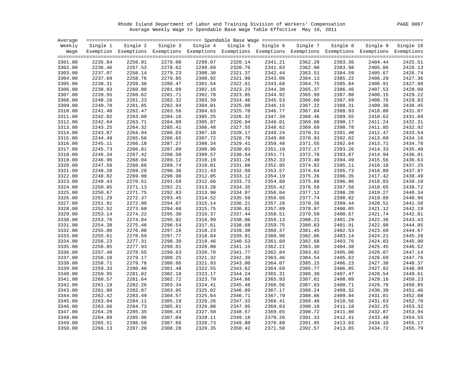Rhode Island Department of Labor and Training Division of Workers' Compensation PAGE 0067 Average Weekly Wage to Spendable Base Wage Table Effective May 10, 2011

| Average            |                    |                    |                    |                                                                                                              |                    |                    |                    |                    |                    |                    |
|--------------------|--------------------|--------------------|--------------------|--------------------------------------------------------------------------------------------------------------|--------------------|--------------------|--------------------|--------------------|--------------------|--------------------|
| Weekly             | Single 1           | Single 2           |                    | Single 3 Single 4                                                                                            | Single 5           | Single 6           | Single 7           | Single 8           | Single 9           | Single 10          |
| Waqe               |                    |                    |                    | Exemption Exemptions Exemptions Exemptions Exemptions Exemptions Exemptions Exemptions Exemptions Exemptions |                    |                    |                    |                    |                    |                    |
|                    |                    |                    |                    |                                                                                                              |                    |                    |                    |                    |                    |                    |
| 3301.00            | 2235.84            | 2256.91            | 2278.00            | 2299.07<br>2299.69                                                                                           | 2320.14<br>2320.76 | 2341.21            | 2362.28            | 2383.36            | 2404.44            | 2425.51<br>2426.13 |
| 3302.00<br>3303.00 | 2236.46<br>2237.07 | 2257.53<br>2258.14 | 2278.62<br>2279.23 | 2300.30                                                                                                      | 2321.37            | 2341.83<br>2342.44 | 2362.90<br>2363.51 | 2383.98<br>2384.59 | 2405.06<br>2405.67 | 2426.74            |
| 3304.00            | 2237.69            | 2258.76            | 2279.85            | 2300.92                                                                                                      | 2321.99            | 2343.06            | 2364.13            | 2385.22            | 2406.29            | 2427.36            |
| 3305.00            | 2238.31            | 2259.38            | 2280.47            | 2301.54                                                                                                      | 2322.61            | 2343.68            | 2364.75            | 2385.84            | 2406.91            | 2427.98            |
| 3306.00            | 2238.93            | 2260.00            | 2281.09            | 2302.16                                                                                                      | 2323.23            | 2344.30            | 2365.37            | 2386.46            | 2407.53            | 2428.60            |
| 3307.00            | 2239.55            | 2260.62            | 2281.71            | 2302.78                                                                                                      | 2323.85            | 2344.92            | 2365.99            | 2387.08            | 2408.15            | 2429.22            |
| 3308.00            | 2240.16            | 2261.23            | 2282.32            | 2303.39                                                                                                      | 2324.46            | 2345.53            | 2366.60            | 2387.69            | 2408.76            | 2429.83            |
| 3309.00            | 2240.78            | 2261.85            | 2282.94            | 2304.01                                                                                                      | 2325.08            | 2346.15            | 2367.22            | 2388.31            | 2409.38            | 2430.45            |
| 3310.00            | 2241.40            | 2262.47            | 2283.56            | 2304.63                                                                                                      | 2325.70            | 2346.77            | 2367.84            | 2388.93            | 2410.00            | 2431.07            |
| 3311.00            | 2242.02            | 2263.09            | 2284.18            | 2305.25                                                                                                      | 2326.32            | 2347.39            | 2368.46            | 2389.55            | 2410.62            | 2431.69            |
| 3312.00            | 2242.64            | 2263.71            | 2284.80            | 2305.87                                                                                                      | 2326.94            | 2348.01            | 2369.08            | 2390.17            | 2411.24            | 2432.31            |
| 3313.00            | 2243.25            | 2264.32            | 2285.41            | 2306.48                                                                                                      | 2327.55            | 2348.62            | 2369.69            | 2390.78            | 2411.85            | 2432.92            |
| 3314.00            | 2243.87            | 2264.94            | 2286.03            | 2307.10                                                                                                      | 2328.17            | 2349.24            | 2370.31            | 2391.40            | 2412.47            | 2433.54            |
| 3315.00            | 2244.49            | 2265.56            | 2286.65            | 2307.72                                                                                                      | 2328.79            | 2349.86            | 2370.93            | 2392.02            | 2413.09            | 2434.16            |
| 3316.00            | 2245.11            | 2266.18            | 2287.27            | 2308.34                                                                                                      | 2329.41            | 2350.48            | 2371.55            | 2392.64            | 2413.71            | 2434.78            |
| 3317.00            | 2245.73            | 2266.81            | 2287.89            | 2308.96                                                                                                      | 2330.03            | 2351.10            | 2372.17            | 2393.26            | 2414.33            | 2435.40            |
| 3318.00            | 2246.34            | 2267.42            | 2288.50            | 2309.57                                                                                                      | 2330.64            | 2351.71            | 2372.78            | 2393.87            | 2414.94            | 2436.01            |
| 3319.00            | 2246.96            | 2268.04            | 2289.12            | 2310.19                                                                                                      | 2331.26            | 2352.33            | 2373.40            | 2394.49            | 2415.56            | 2436.63            |
| 3320.00            | 2247.58            | 2268.66            | 2289.74            | 2310.81                                                                                                      | 2331.88            | 2352.95            | 2374.02            | 2395.11            | 2416.18            | 2437.25            |
| 3321.00            | 2248.20            | 2269.28            | 2290.36            | 2311.43                                                                                                      | 2332.50            | 2353.57            | 2374.64            | 2395.73            | 2416.80            | 2437.87            |
| 3322.00            | 2248.82            | 2269.90            | 2290.98            | 2312.05                                                                                                      | 2333.12            | 2354.19            | 2375.26            | 2396.35            | 2417.42            | 2438.49            |
| 3323.00            | 2249.43            | 2270.51            | 2291.59            | 2312.66                                                                                                      | 2333.73            | 2354.80            | 2375.88            | 2396.96            | 2418.03            | 2439.10            |
| 3324.00            | 2250.05            | 2271.13            | 2292.21            | 2313.28                                                                                                      | 2334.35            | 2355.42            | 2376.50            | 2397.58            | 2418.65            | 2439.72            |
| 3325.00            | 2250.67            | 2271.75            | 2292.83            | 2313.90                                                                                                      | 2334.97            | 2356.04            | 2377.12            | 2398.20            | 2419.27            | 2440.34            |
| 3326.00            | 2251.29            | 2272.37            | 2293.45            | 2314.52                                                                                                      | 2335.59            | 2356.66            | 2377.74            | 2398.82            | 2419.89            | 2440.96            |
| 3327.00            | 2251.91            | 2272.99            | 2294.07            | 2315.14                                                                                                      | 2336.21            | 2357.28            | 2378.36            | 2399.44            | 2420.51            | 2441.58            |
| 3328.00            | 2252.52            | 2273.60            | 2294.68            | 2315.75                                                                                                      | 2336.82            | 2357.89            | 2378.97            | 2400.05            | 2421.12            | 2442.19            |
| 3329.00            | 2253.14            | 2274.22            | 2295.30            | 2316.37                                                                                                      | 2337.44            | 2358.51            | 2379.59            | 2400.67            | 2421.74            | 2442.81            |
| 3330.00            | 2253.76            | 2274.84            | 2295.92            | 2316.99                                                                                                      | 2338.06            | 2359.13            | 2380.21            | 2401.29            | 2422.36            | 2443.43            |
| 3331.00            | 2254.38            | 2275.46            | 2296.54            | 2317.61                                                                                                      | 2338.68            | 2359.75            | 2380.83            | 2401.91            | 2422.98            | 2444.05            |
| 3332.00            | 2255.00            | 2276.08            | 2297.16            | 2318.23                                                                                                      | 2339.30            | 2360.37            | 2381.45            | 2402.53            | 2423.60            | 2444.67            |
| 3333.00            | 2255.61            | 2276.69            | 2297.77            | 2318.84                                                                                                      | 2339.91            | 2360.98            | 2382.06            | 2403.14            | 2424.21            | 2445.28            |
| 3334.00            | 2256.23            | 2277.31            | 2298.39            | 2319.46                                                                                                      | 2340.53            | 2361.60            | 2382.68            | 2403.76            | 2424.83            | 2445.90            |
| 3335.00            | 2256.85            | 2277.93            | 2299.01            | 2320.08                                                                                                      | 2341.15            | 2362.22            | 2383.30            | 2404.38            | 2425.45            | 2446.52            |
| 3336.00            | 2257.48            | 2278.55            | 2299.63            | 2320.70                                                                                                      | 2341.77            | 2362.84            | 2383.92            | 2405.00            | 2426.07            | 2447.14            |
| 3337.00            | 2258.10            | 2279.17            | 2300.25            | 2321.32                                                                                                      | 2342.39            | 2363.46            | 2384.54            | 2405.62            | 2426.69            | 2447.76            |
| 3338.00            | 2258.71            | 2279.78            | 2300.86            | 2321.93                                                                                                      | 2343.00            | 2364.07            | 2385.15            | 2406.23            | 2427.30            | 2448.37            |
| 3339.00            | 2259.33            | 2280.40            | 2301.48            | 2322.55                                                                                                      | 2343.62            | 2364.69            | 2385.77            | 2406.85            | 2427.92            | 2448.99            |
| 3340.00            | 2259.95            | 2281.02            | 2302.10            | 2323.17                                                                                                      | 2344.24            | 2365.31            | 2386.39            | 2407.47            | 2428.54            | 2449.61            |
| 3341.00            | 2260.57            | 2281.64            | 2302.72            | 2323.79                                                                                                      | 2344.86            | 2365.93            | 2387.01            | 2408.09            | 2429.16            | 2450.23            |
| 3342.00            | 2261.19            | 2282.26            | 2303.34            | 2324.41                                                                                                      | 2345.48            | 2366.56            | 2387.63            | 2408.71            | 2429.78            | 2450.85            |
| 3343.00            | 2261.80            | 2282.87            | 2303.95            | 2325.02                                                                                                      | 2346.09            | 2367.17            | 2388.24            | 2409.32            | 2430.39            | 2451.46            |
| 3344.00            | 2262.42            | 2283.49            | 2304.57            | 2325.64                                                                                                      | 2346.71            | 2367.79            | 2388.86            | 2409.94            | 2431.01            | 2452.08            |
| 3345.00            | 2263.04            | 2284.11            | 2305.19            | 2326.26                                                                                                      | 2347.33            | 2368.41            | 2389.48            | 2410.56            | 2431.63            | 2452.70            |
| 3346.00            | 2263.66            | 2284.73            | 2305.81            | 2326.88                                                                                                      | 2347.95            | 2369.03            | 2390.10            | 2411.18            | 2432.25            | 2453.32            |
| 3347.00            | 2264.28            | 2285.35            | 2306.43            | 2327.50                                                                                                      | 2348.57            | 2369.65            | 2390.72            | 2411.80            | 2432.87            | 2453.94            |
| 3348.00            | 2264.89            | 2285.96            | 2307.04            | 2328.11                                                                                                      | 2349.18            | 2370.26            | 2391.33            | 2412.41            | 2433.48            | 2454.55            |
| 3349.00            | 2265.51            | 2286.58            | 2307.66            | 2328.73                                                                                                      | 2349.80            | 2370.88            | 2391.95            | 2413.03            | 2434.10            | 2455.17            |
| 3350.00            | 2266.13            | 2287.20            | 2308.28            | 2329.35                                                                                                      | 2350.42            | 2371.50            | 2392.57            | 2413.65            | 2434.72            | 2455.79            |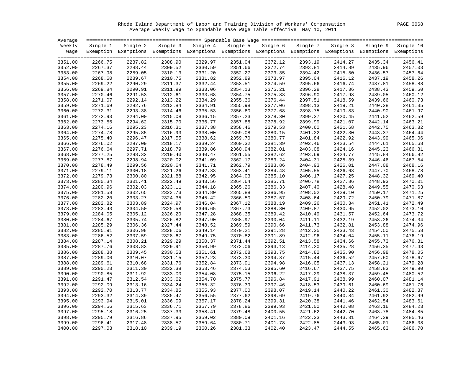Rhode Island Department of Labor and Training Division of Workers' Compensation PAGE 0068 Average Weekly Wage to Spendable Base Wage Table Effective May 10, 2011

| Average |          |                                                                                                                   |         |                   |         |                   |          |          |         |                    |
|---------|----------|-------------------------------------------------------------------------------------------------------------------|---------|-------------------|---------|-------------------|----------|----------|---------|--------------------|
| Weekly  | Single 1 | Single 2                                                                                                          |         | Single 3 Single 4 |         | Single 5 Single 6 | Single 7 | Single 8 |         | Single 9 Single 10 |
|         |          | Wage Exemption Exemptions Exemptions Exemptions Exemptions Exemptions Exemptions Exemptions Exemptions Exemptions |         |                   |         |                   |          |          |         |                    |
| 3351.00 | 2266.75  | 2287.82                                                                                                           | 2308.90 | 2329.97           | 2351.04 | 2372.12           | 2393.19  | 2414.27  | 2435.34 | 2456.41            |
| 3352.00 | 2267.37  | 2288.44                                                                                                           | 2309.52 | 2330.59           | 2351.66 | 2372.74           | 2393.81  | 2414.89  | 2435.96 | 2457.03            |
| 3353.00 | 2267.98  | 2289.05                                                                                                           | 2310.13 | 2331.20           | 2352.27 | 2373.35           | 2394.42  | 2415.50  | 2436.57 | 2457.64            |
| 3354.00 | 2268.60  | 2289.67                                                                                                           | 2310.75 | 2331.82           | 2352.89 | 2373.97           | 2395.04  | 2416.12  | 2437.19 | 2458.26            |
| 3355.00 | 2269.22  | 2290.29                                                                                                           | 2311.37 | 2332.44           | 2353.51 | 2374.59           | 2395.66  | 2416.74  | 2437.81 | 2458.88            |
| 3356.00 | 2269.84  | 2290.91                                                                                                           | 2311.99 | 2333.06           | 2354.13 | 2375.21           | 2396.28  | 2417.36  | 2438.43 | 2459.50            |
| 3357.00 | 2270.46  | 2291.53                                                                                                           | 2312.61 | 2333.68           | 2354.75 | 2375.83           | 2396.90  | 2417.98  | 2439.05 | 2460.12            |
| 3358.00 | 2271.07  | 2292.14                                                                                                           | 2313.22 | 2334.29           | 2355.36 | 2376.44           | 2397.51  | 2418.59  | 2439.66 | 2460.73            |
| 3359.00 | 2271.69  | 2292.76                                                                                                           | 2313.84 | 2334.91           | 2355.98 | 2377.06           | 2398.13  | 2419.21  | 2440.28 | 2461.35            |
| 3360.00 | 2272.31  | 2293.38                                                                                                           | 2314.46 | 2335.53           | 2356.60 | 2377.68           | 2398.75  | 2419.83  | 2440.90 | 2461.97            |
| 3361.00 | 2272.93  | 2294.00                                                                                                           | 2315.08 | 2336.15           | 2357.23 | 2378.30           | 2399.37  | 2420.45  | 2441.52 | 2462.59            |
| 3362.00 | 2273.55  | 2294.62                                                                                                           | 2315.70 | 2336.77           | 2357.85 | 2378.92           | 2399.99  | 2421.07  | 2442.14 | 2463.21            |
| 3363.00 | 2274.16  | 2295.23                                                                                                           | 2316.31 | 2337.38           | 2358.46 | 2379.53           | 2400.60  | 2421.68  | 2442.75 | 2463.82            |
| 3364.00 | 2274.78  | 2295.85                                                                                                           | 2316.93 | 2338.00           | 2359.08 | 2380.15           | 2401.22  | 2422.30  | 2443.37 | 2464.44            |
| 3365.00 | 2275.40  | 2296.47                                                                                                           | 2317.55 | 2338.62           | 2359.70 | 2380.77           | 2401.84  | 2422.92  | 2443.99 | 2465.06            |
| 3366.00 | 2276.02  | 2297.09                                                                                                           | 2318.17 | 2339.24           | 2360.32 | 2381.39           | 2402.46  | 2423.54  | 2444.61 | 2465.68            |
| 3367.00 | 2276.64  | 2297.71                                                                                                           | 2318.79 | 2339.86           | 2360.94 | 2382.01           | 2403.08  | 2424.16  | 2445.23 | 2466.31            |
| 3368.00 | 2277.25  | 2298.32                                                                                                           | 2319.40 | 2340.47           | 2361.55 | 2382.62           | 2403.69  | 2424.77  | 2445.84 | 2466.92            |
| 3369.00 | 2277.87  | 2298.94                                                                                                           | 2320.02 | 2341.09           | 2362.17 | 2383.24           | 2404.31  | 2425.39  | 2446.46 | 2467.54            |
| 3370.00 | 2278.49  | 2299.56                                                                                                           | 2320.64 | 2341.71           | 2362.79 | 2383.86           | 2404.93  | 2426.01  | 2447.08 | 2468.16            |
| 3371.00 | 2279.11  | 2300.18                                                                                                           | 2321.26 | 2342.33           | 2363.41 | 2384.48           | 2405.55  | 2426.63  | 2447.70 | 2468.78            |
| 3372.00 | 2279.73  | 2300.80                                                                                                           | 2321.88 | 2342.95           | 2364.03 | 2385.10           | 2406.17  | 2427.25  | 2448.32 | 2469.40            |
| 3373.00 | 2280.34  | 2301.41                                                                                                           | 2322.49 | 2343.56           | 2364.64 | 2385.71           | 2406.78  | 2427.86  | 2448.93 | 2470.01            |
| 3374.00 | 2280.96  | 2302.03                                                                                                           | 2323.11 | 2344.18           | 2365.26 | 2386.33           | 2407.40  | 2428.48  | 2449.55 | 2470.63            |
| 3375.00 | 2281.58  | 2302.65                                                                                                           | 2323.73 | 2344.80           | 2365.88 | 2386.95           | 2408.02  | 2429.10  | 2450.17 | 2471.25            |
| 3376.00 | 2282.20  | 2303.27                                                                                                           | 2324.35 | 2345.42           | 2366.50 | 2387.57           | 2408.64  | 2429.72  | 2450.79 | 2471.87            |
| 3377.00 | 2282.82  | 2303.89                                                                                                           | 2324.97 | 2346.04           | 2367.12 | 2388.19           | 2409.26  | 2430.34  | 2451.41 | 2472.49            |
| 3378.00 | 2283.43  | 2304.50                                                                                                           | 2325.58 | 2346.65           | 2367.73 | 2388.80           | 2409.87  | 2430.95  | 2452.02 | 2473.10            |
| 3379.00 | 2284.05  | 2305.12                                                                                                           | 2326.20 | 2347.28           | 2368.35 | 2389.42           | 2410.49  | 2431.57  | 2452.64 | 2473.72            |
| 3380.00 | 2284.67  | 2305.74                                                                                                           | 2326.82 | 2347.90           | 2368.97 | 2390.04           | 2411.11  | 2432.19  | 2453.26 | 2474.34            |
| 3381.00 | 2285.29  | 2306.36                                                                                                           | 2327.44 | 2348.52           | 2369.59 | 2390.66           | 2411.73  | 2432.81  | 2453.88 | 2474.96            |
| 3382.00 | 2285.91  | 2306.98                                                                                                           | 2328.06 | 2349.14           | 2370.21 | 2391.28           | 2412.35  | 2433.43  | 2454.50 | 2475.58            |
| 3383.00 | 2286.52  | 2307.59                                                                                                           | 2328.67 | 2349.75           | 2370.82 | 2391.89           | 2412.96  | 2434.04  | 2455.11 | 2476.19            |
| 3384.00 | 2287.14  | 2308.21                                                                                                           | 2329.29 | 2350.37           | 2371.44 | 2392.51           | 2413.58  | 2434.66  | 2455.73 | 2476.81            |
| 3385.00 | 2287.76  | 2308.83                                                                                                           | 2329.91 | 2350.99           | 2372.06 | 2393.13           | 2414.20  | 2435.28  | 2456.35 | 2477.43            |
| 3386.00 | 2288.38  | 2309.45                                                                                                           | 2330.53 | 2351.61           | 2372.68 | 2393.75           | 2414.82  | 2435.90  | 2456.98 | 2478.05            |
| 3387.00 | 2289.00  | 2310.07                                                                                                           | 2331.15 | 2352.23           | 2373.30 | 2394.37           | 2415.44  | 2436.52  | 2457.60 | 2478.67            |
| 3388.00 | 2289.61  | 2310.68                                                                                                           | 2331.76 | 2352.84           | 2373.91 | 2394.98           | 2416.05  | 2437.13  | 2458.21 | 2479.28            |
| 3389.00 | 2290.23  | 2311.30                                                                                                           | 2332.38 | 2353.46           | 2374.53 | 2395.60           | 2416.67  | 2437.75  | 2458.83 | 2479.90            |
| 3390.00 | 2290.85  | 2311.92                                                                                                           | 2333.00 | 2354.08           | 2375.15 | 2396.22           | 2417.29  | 2438.37  | 2459.45 | 2480.52            |
| 3391.00 | 2291.47  | 2312.54                                                                                                           | 2333.62 | 2354.70           | 2375.77 | 2396.84           | 2417.91  | 2438.99  | 2460.07 | 2481.14            |
| 3392.00 | 2292.09  | 2313.16                                                                                                           | 2334.24 | 2355.32           | 2376.39 | 2397.46           | 2418.53  | 2439.61  | 2460.69 | 2481.76            |
| 3393.00 | 2292.70  | 2313.77                                                                                                           | 2334.85 | 2355.93           | 2377.00 | 2398.07           | 2419.14  | 2440.22  | 2461.30 | 2482.37            |
| 3394.00 | 2293.32  | 2314.39                                                                                                           | 2335.47 | 2356.55           | 2377.62 | 2398.69           | 2419.76  | 2440.84  | 2461.92 | 2482.99            |
| 3395.00 | 2293.94  | 2315.01                                                                                                           | 2336.09 | 2357.17           | 2378.24 | 2399.31           | 2420.38  | 2441.46  | 2462.54 | 2483.61            |
| 3396.00 | 2294.56  | 2315.63                                                                                                           | 2336.71 | 2357.79           | 2378.86 | 2399.93           | 2421.00  | 2442.08  | 2463.16 | 2484.23            |
| 3397.00 | 2295.18  | 2316.25                                                                                                           | 2337.33 | 2358.41           | 2379.48 | 2400.55           | 2421.62  | 2442.70  | 2463.78 | 2484.85            |
| 3398.00 | 2295.79  | 2316.86                                                                                                           | 2337.95 | 2359.02           | 2380.09 | 2401.16           | 2422.23  | 2443.31  | 2464.39 | 2485.46            |
| 3399.00 | 2296.41  | 2317.48                                                                                                           | 2338.57 | 2359.64           | 2380.71 | 2401.78           | 2422.85  | 2443.93  | 2465.01 | 2486.08            |
| 3400.00 | 2297.03  | 2318.10                                                                                                           | 2339.19 | 2360.26           | 2381.33 | 2402.40           | 2423.47  | 2444.55  | 2465.63 | 2486.70            |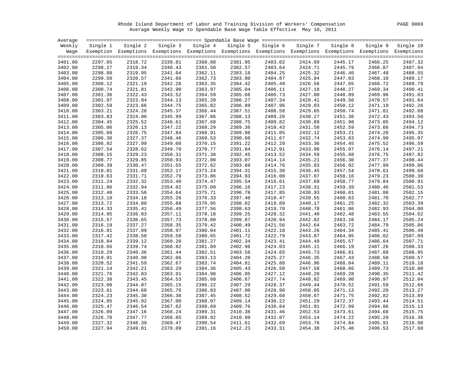Rhode Island Department of Labor and Training Division of Workers' Compensation PAGE 0069 Average Weekly Wage to Spendable Base Wage Table Effective May 10, 2011

| Average |          |                                                                                                              |         |                   |          |          |          |          |          |           |
|---------|----------|--------------------------------------------------------------------------------------------------------------|---------|-------------------|----------|----------|----------|----------|----------|-----------|
| Weekly  | Single 1 | Single 2                                                                                                     |         | Single 3 Single 4 | Single 5 | Single 6 | Single 7 | Single 8 | Single 9 | Single 10 |
| Wage    |          | Exemption Exemptions Exemptions Exemptions Exemptions Exemptions Exemptions Exemptions Exemptions Exemptions |         |                   |          |          |          |          |          |           |
|         |          |                                                                                                              |         |                   |          |          |          |          |          |           |
| 3401.00 | 2297.65  | 2318.72                                                                                                      | 2339.81 | 2360.88           | 2381.95  | 2403.02  | 2424.09  | 2445.17  | 2466.25  | 2487.32   |
| 3402.00 | 2298.27  | 2319.34                                                                                                      | 2340.43 | 2361.50           | 2382.57  | 2403.64  | 2424.71  | 2445.79  | 2466.87  | 2487.94   |
| 3403.00 | 2298.88  | 2319.95                                                                                                      | 2341.04 | 2362.11           | 2383.18  | 2404.25  | 2425.32  | 2446.40  | 2467.48  | 2488.55   |
| 3404.00 | 2299.50  | 2320.57                                                                                                      | 2341.66 | 2362.73           | 2383.80  | 2404.87  | 2425.94  | 2447.03  | 2468.10  | 2489.17   |
| 3405.00 | 2300.12  | 2321.19                                                                                                      | 2342.28 | 2363.35           | 2384.42  | 2405.49  | 2426.56  | 2447.65  | 2468.72  | 2489.79   |
| 3406.00 | 2300.74  | 2321.81                                                                                                      | 2342.90 | 2363.97           | 2385.04  | 2406.11  | 2427.18  | 2448.27  | 2469.34  | 2490.41   |
| 3407.00 | 2301.36  | 2322.43                                                                                                      | 2343.52 | 2364.59           | 2385.66  | 2406.73  | 2427.80  | 2448.89  | 2469.96  | 2491.03   |
| 3408.00 | 2301.97  | 2323.04                                                                                                      | 2344.13 | 2365.20           | 2386.27  | 2407.34  | 2428.41  | 2449.50  | 2470.57  | 2491.64   |
| 3409.00 | 2302.59  | 2323.66                                                                                                      | 2344.75 | 2365.82           | 2386.89  | 2407.96  | 2429.03  | 2450.12  | 2471.19  | 2492.26   |
| 3410.00 | 2303.21  | 2324.28                                                                                                      | 2345.37 | 2366.44           | 2387.51  | 2408.58  | 2429.65  | 2450.74  | 2471.81  | 2492.88   |
| 3411.00 | 2303.83  | 2324.90                                                                                                      | 2345.99 | 2367.06           | 2388.13  | 2409.20  | 2430.27  | 2451.36  | 2472.43  | 2493.50   |
| 3412.00 | 2304.45  | 2325.52                                                                                                      | 2346.61 | 2367.68           | 2388.75  | 2409.82  | 2430.89  | 2451.98  | 2473.05  | 2494.12   |
| 3413.00 | 2305.06  | 2326.13                                                                                                      | 2347.22 | 2368.29           | 2389.36  | 2410.43  | 2431.50  | 2452.59  | 2473.66  | 2494.73   |
| 3414.00 | 2305.68  | 2326.75                                                                                                      | 2347.84 | 2368.91           | 2389.98  | 2411.05  | 2432.12  | 2453.21  | 2474.28  | 2495.35   |
| 3415.00 | 2306.30  | 2327.37                                                                                                      | 2348.46 | 2369.53           | 2390.60  | 2411.67  | 2432.74  | 2453.83  | 2474.90  | 2495.97   |
| 3416.00 | 2306.92  | 2327.99                                                                                                      | 2349.08 | 2370.15           | 2391.22  | 2412.29  | 2433.36  | 2454.45  | 2475.52  | 2496.59   |
| 3417.00 | 2307.54  | 2328.62                                                                                                      | 2349.70 | 2370.77           | 2391.84  | 2412.91  | 2433.98  | 2455.07  | 2476.14  | 2497.21   |
| 3418.00 | 2308.15  | 2329.23                                                                                                      | 2350.31 | 2371.38           | 2392.45  | 2413.52  | 2434.59  | 2455.68  | 2476.75  | 2497.82   |
| 3419.00 | 2308.77  | 2329.85                                                                                                      | 2350.93 | 2372.00           | 2393.07  | 2414.14  | 2435.21  | 2456.30  | 2477.37  | 2498.44   |
| 3420.00 | 2309.39  | 2330.47                                                                                                      | 2351.55 | 2372.62           | 2393.69  | 2414.76  | 2435.83  | 2456.92  | 2477.99  | 2499.06   |
| 3421.00 | 2310.01  | 2331.09                                                                                                      | 2352.17 | 2373.24           | 2394.31  | 2415.38  | 2436.45  | 2457.54  | 2478.61  | 2499.68   |
| 3422.00 | 2310.63  | 2331.71                                                                                                      | 2352.79 | 2373.86           | 2394.93  | 2416.00  | 2437.07  | 2458.16  | 2479.23  | 2500.30   |
| 3423.00 | 2311.24  | 2332.32                                                                                                      | 2353.40 | 2374.47           | 2395.54  | 2416.61  | 2437.69  | 2458.77  | 2479.84  | 2500.91   |
| 3424.00 | 2311.86  | 2332.94                                                                                                      | 2354.02 | 2375.09           | 2396.16  | 2417.23  | 2438.31  | 2459.39  | 2480.46  | 2501.53   |
| 3425.00 | 2312.48  | 2333.56                                                                                                      | 2354.64 | 2375.71           | 2396.78  | 2417.85  | 2438.93  | 2460.01  | 2481.08  | 2502.15   |
| 3426.00 | 2313.10  | 2334.18                                                                                                      | 2355.26 | 2376.33           | 2397.40  | 2418.47  | 2439.55  | 2460.63  | 2481.70  | 2502.77   |
| 3427.00 | 2313.72  | 2334.80                                                                                                      | 2355.88 | 2376.95           | 2398.02  | 2419.09  | 2440.17  | 2461.25  | 2482.32  | 2503.39   |
| 3428.00 | 2314.33  | 2335.41                                                                                                      | 2356.49 | 2377.56           | 2398.63  | 2419.70  | 2440.78  | 2461.86  | 2482.93  | 2504.00   |
| 3429.00 | 2314.95  | 2336.03                                                                                                      | 2357.11 | 2378.18           | 2399.25  | 2420.32  | 2441.40  | 2462.48  | 2483.55  | 2504.62   |
| 3430.00 | 2315.57  | 2336.65                                                                                                      | 2357.73 | 2378.80           | 2399.87  | 2420.94  | 2442.02  | 2463.10  | 2484.17  | 2505.24   |
| 3431.00 | 2316.19  | 2337.27                                                                                                      | 2358.35 | 2379.42           | 2400.49  | 2421.56  | 2442.64  | 2463.72  | 2484.79  | 2505.86   |
| 3432.00 | 2316.81  | 2337.89                                                                                                      | 2358.97 | 2380.04           | 2401.11  | 2422.18  | 2443.26  | 2464.34  | 2485.41  | 2506.48   |
| 3433.00 | 2317.42  | 2338.50                                                                                                      | 2359.58 | 2380.65           | 2401.72  | 2422.79  | 2443.87  | 2464.95  | 2486.02  | 2507.09   |
| 3434.00 | 2318.04  | 2339.12                                                                                                      | 2360.20 | 2381.27           | 2402.34  | 2423.41  | 2444.49  | 2465.57  | 2486.64  | 2507.71   |
| 3435.00 | 2318.66  | 2339.74                                                                                                      | 2360.82 | 2381.89           | 2402.96  | 2424.03  | 2445.11  | 2466.19  | 2487.26  | 2508.33   |
| 3436.00 | 2319.29  | 2340.36                                                                                                      | 2361.44 | 2382.51           | 2403.58  | 2424.65  | 2445.73  | 2466.81  | 2487.88  | 2508.95   |
| 3437.00 | 2319.91  | 2340.98                                                                                                      | 2362.06 | 2383.13           | 2404.20  | 2425.27  | 2446.35  | 2467.43  | 2488.50  | 2509.57   |
| 3438.00 | 2320.52  | 2341.59                                                                                                      | 2362.67 | 2383.74           | 2404.81  | 2425.88  | 2446.96  | 2468.04  | 2489.11  | 2510.18   |
| 3439.00 | 2321.14  | 2342.21                                                                                                      | 2363.29 | 2384.36           | 2405.43  | 2426.50  | 2447.58  | 2468.66  | 2489.73  | 2510.80   |
| 3440.00 | 2321.76  | 2342.83                                                                                                      | 2363.91 | 2384.98           | 2406.05  | 2427.12  | 2448.20  | 2469.28  | 2490.35  | 2511.42   |
| 3441.00 | 2322.38  | 2343.45                                                                                                      | 2364.53 | 2385.60           | 2406.67  | 2427.74  | 2448.82  | 2469.90  | 2490.97  | 2512.04   |
| 3442.00 | 2323.00  | 2344.07                                                                                                      | 2365.15 | 2386.22           | 2407.29  | 2428.37  | 2449.44  | 2470.52  | 2491.59  | 2512.66   |
| 3443.00 | 2323.61  | 2344.68                                                                                                      | 2365.76 | 2386.83           | 2407.90  | 2428.98  | 2450.05  | 2471.13  | 2492.20  | 2513.27   |
| 3444.00 | 2324.23  | 2345.30                                                                                                      | 2366.38 | 2387.45           | 2408.52  | 2429.60  | 2450.67  | 2471.75  | 2492.82  | 2513.89   |
| 3445.00 | 2324.85  | 2345.92                                                                                                      | 2367.00 | 2388.07           | 2409.14  | 2430.22  | 2451.29  | 2472.37  | 2493.44  | 2514.51   |
| 3446.00 | 2325.47  | 2346.54                                                                                                      | 2367.62 | 2388.69           | 2409.76  | 2430.84  | 2451.91  | 2472.99  | 2494.06  | 2515.13   |
| 3447.00 | 2326.09  | 2347.16                                                                                                      | 2368.24 | 2389.31           | 2410.38  | 2431.46  | 2452.53  | 2473.61  | 2494.68  | 2515.75   |
| 3448.00 | 2326.70  | 2347.77                                                                                                      | 2368.85 | 2389.92           | 2410.99  | 2432.07  | 2453.14  | 2474.22  | 2495.29  | 2516.36   |
| 3449.00 | 2327.32  | 2348.39                                                                                                      | 2369.47 | 2390.54           | 2411.61  | 2432.69  | 2453.76  | 2474.84  | 2495.91  | 2516.98   |
| 3450.00 | 2327.94  | 2349.01                                                                                                      | 2370.09 | 2391.16           | 2412.23  | 2433.31  | 2454.38  | 2475.46  | 2496.53  | 2517.60   |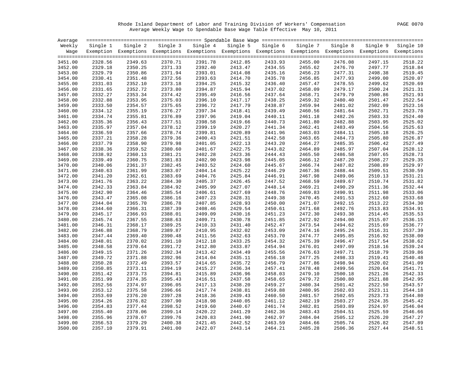Rhode Island Department of Labor and Training Division of Workers' Compensation PAGE 0070 Average Weekly Wage to Spendable Base Wage Table Effective May 10, 2011

| Average |          |                                                                                                                   |         |                   |          |          |          |          |          |           |
|---------|----------|-------------------------------------------------------------------------------------------------------------------|---------|-------------------|----------|----------|----------|----------|----------|-----------|
| Weekly  | Single 1 | Single 2                                                                                                          |         | Single 3 Single 4 | Single 5 | Single 6 | Single 7 | Single 8 | Single 9 | Single 10 |
|         |          | Wage Exemption Exemptions Exemptions Exemptions Exemptions Exemptions Exemptions Exemptions Exemptions Exemptions |         |                   |          |          |          |          |          |           |
|         |          |                                                                                                                   |         |                   |          |          |          |          |          |           |
| 3451.00 | 2328.56  | 2349.63                                                                                                           | 2370.71 | 2391.78           | 2412.85  | 2433.93  | 2455.00  | 2476.08  | 2497.15  | 2518.22   |
| 3452.00 | 2329.18  | 2350.25                                                                                                           | 2371.33 | 2392.40           | 2413.47  | 2434.55  | 2455.62  | 2476.70  | 2497.77  | 2518.84   |
| 3453.00 | 2329.79  | 2350.86                                                                                                           | 2371.94 | 2393.01           | 2414.08  | 2435.16  | 2456.23  | 2477.31  | 2498.38  | 2519.45   |
| 3454.00 | 2330.41  | 2351.48                                                                                                           | 2372.56 | 2393.63           | 2414.70  | 2435.78  | 2456.85  | 2477.93  | 2499.00  | 2520.07   |
| 3455.00 | 2331.03  | 2352.10                                                                                                           | 2373.18 | 2394.25           | 2415.32  | 2436.40  | 2457.47  | 2478.55  | 2499.62  | 2520.69   |
| 3456.00 | 2331.65  | 2352.72                                                                                                           | 2373.80 | 2394.87           | 2415.94  | 2437.02  | 2458.09  | 2479.17  | 2500.24  | 2521.31   |
| 3457.00 | 2332.27  | 2353.34                                                                                                           | 2374.42 | 2395.49           | 2416.56  | 2437.64  | 2458.71  | 2479.79  | 2500.86  | 2521.93   |
| 3458.00 | 2332.88  | 2353.95                                                                                                           | 2375.03 | 2396.10           | 2417.17  | 2438.25  | 2459.32  | 2480.40  | 2501.47  | 2522.54   |
| 3459.00 | 2333.50  | 2354.57                                                                                                           | 2375.65 | 2396.72           | 2417.79  | 2438.87  | 2459.94  | 2481.02  | 2502.09  | 2523.16   |
| 3460.00 | 2334.12  | 2355.19                                                                                                           | 2376.27 | 2397.34           | 2418.41  | 2439.49  | 2460.56  | 2481.64  | 2502.71  | 2523.78   |
| 3461.00 | 2334.74  | 2355.81                                                                                                           | 2376.89 | 2397.96           | 2419.04  | 2440.11  | 2461.18  | 2482.26  | 2503.33  | 2524.40   |
| 3462.00 | 2335.36  | 2356.43                                                                                                           | 2377.51 | 2398.58           | 2419.66  | 2440.73  | 2461.80  | 2482.88  | 2503.95  | 2525.02   |
| 3463.00 | 2335.97  | 2357.04                                                                                                           | 2378.12 | 2399.19           | 2420.27  | 2441.34  | 2462.41  | 2483.49  | 2504.56  | 2525.63   |
| 3464.00 | 2336.59  | 2357.66                                                                                                           | 2378.74 | 2399.81           | 2420.89  | 2441.96  | 2463.03  | 2484.11  | 2505.18  | 2526.25   |
| 3465.00 | 2337.21  | 2358.28                                                                                                           | 2379.36 | 2400.43           | 2421.51  | 2442.58  | 2463.65  | 2484.73  | 2505.80  | 2526.87   |
| 3466.00 | 2337.79  | 2358.90                                                                                                           | 2379.98 | 2401.05           | 2422.13  | 2443.20  | 2464.27  | 2485.35  | 2506.42  | 2527.49   |
| 3467.00 | 2338.36  | 2359.52                                                                                                           | 2380.60 | 2401.67           | 2422.75  | 2443.82  | 2464.89  | 2485.97  | 2507.04  | 2528.12   |
| 3468.00 | 2338.92  | 2360.13                                                                                                           | 2381.21 | 2402.28           | 2423.36  | 2444.43  | 2465.50  | 2486.58  | 2507.65  | 2528.73   |
| 3469.00 | 2339.49  | 2360.75                                                                                                           | 2381.83 | 2402.90           | 2423.98  | 2445.05  | 2466.12  | 2487.20  | 2508.27  | 2529.35   |
| 3470.00 | 2340.06  | 2361.37                                                                                                           | 2382.45 | 2403.52           | 2424.60  | 2445.67  | 2466.74  | 2487.82  | 2508.89  | 2529.97   |
| 3471.00 | 2340.63  | 2361.99                                                                                                           | 2383.07 | 2404.14           | 2425.22  | 2446.29  | 2467.36  | 2488.44  | 2509.51  | 2530.59   |
| 3472.00 | 2341.20  | 2362.61                                                                                                           | 2383.69 | 2404.76           | 2425.84  | 2446.91  | 2467.98  | 2489.06  | 2510.13  | 2531.21   |
| 3473.00 | 2341.76  | 2363.22                                                                                                           | 2384.30 | 2405.37           | 2426.45  | 2447.52  | 2468.59  | 2489.67  | 2510.74  | 2531.82   |
|         |          |                                                                                                                   |         | 2405.99           |          | 2448.14  |          |          |          | 2532.44   |
| 3474.00 | 2342.33  | 2363.84                                                                                                           | 2384.92 |                   | 2427.07  |          | 2469.21  | 2490.29  | 2511.36  | 2533.06   |
| 3475.00 | 2342.90  | 2364.46                                                                                                           | 2385.54 | 2406.61           | 2427.69  | 2448.76  | 2469.83  | 2490.91  | 2511.98  |           |
| 3476.00 | 2343.47  | 2365.08                                                                                                           | 2386.16 | 2407.23           | 2428.31  | 2449.38  | 2470.45  | 2491.53  | 2512.60  | 2533.68   |
| 3477.00 | 2344.04  | 2365.70                                                                                                           | 2386.78 | 2407.85           | 2428.93  | 2450.00  | 2471.07  | 2492.15  | 2513.22  | 2534.30   |
| 3478.00 | 2344.60  | 2366.31                                                                                                           | 2387.39 | 2408.46           | 2429.54  | 2450.61  | 2471.68  | 2492.76  | 2513.83  | 2534.91   |
| 3479.00 | 2345.17  | 2366.93                                                                                                           | 2388.01 | 2409.09           | 2430.16  | 2451.23  | 2472.30  | 2493.38  | 2514.45  | 2535.53   |
| 3480.00 | 2345.74  | 2367.55                                                                                                           | 2388.63 | 2409.71           | 2430.78  | 2451.85  | 2472.92  | 2494.00  | 2515.07  | 2536.15   |
| 3481.00 | 2346.31  | 2368.17                                                                                                           | 2389.25 | 2410.33           | 2431.40  | 2452.47  | 2473.54  | 2494.62  | 2515.69  | 2536.77   |
| 3482.00 | 2346.88  | 2368.79                                                                                                           | 2389.87 | 2410.95           | 2432.02  | 2453.09  | 2474.16  | 2495.24  | 2516.31  | 2537.39   |
| 3483.00 | 2347.44  | 2369.40                                                                                                           | 2390.48 | 2411.56           | 2432.63  | 2453.70  | 2474.77  | 2495.85  | 2516.92  | 2538.00   |
| 3484.00 | 2348.01  | 2370.02                                                                                                           | 2391.10 | 2412.18           | 2433.25  | 2454.32  | 2475.39  | 2496.47  | 2517.54  | 2538.62   |
| 3485.00 | 2348.58  | 2370.64                                                                                                           | 2391.72 | 2412.80           | 2433.87  | 2454.94  | 2476.01  | 2497.09  | 2518.16  | 2539.24   |
| 3486.00 | 2349.15  | 2371.26                                                                                                           | 2392.34 | 2413.42           | 2434.49  | 2455.56  | 2476.63  | 2497.71  | 2518.79  | 2539.86   |
| 3487.00 | 2349.72  | 2371.88                                                                                                           | 2392.96 | 2414.04           | 2435.11  | 2456.18  | 2477.25  | 2498.33  | 2519.41  | 2540.48   |
| 3488.00 | 2350.28  | 2372.49                                                                                                           | 2393.57 | 2414.65           | 2435.72  | 2456.79  | 2477.86  | 2498.94  | 2520.02  | 2541.09   |
| 3489.00 | 2350.85  | 2373.11                                                                                                           | 2394.19 | 2415.27           | 2436.34  | 2457.41  | 2478.48  | 2499.56  | 2520.64  | 2541.71   |
| 3490.00 | 2351.42  | 2373.73                                                                                                           | 2394.81 | 2415.89           | 2436.96  | 2458.03  | 2479.10  | 2500.18  | 2521.26  | 2542.33   |
| 3491.00 | 2351.99  | 2374.35                                                                                                           | 2395.43 | 2416.51           | 2437.58  | 2458.65  | 2479.72  | 2500.80  | 2521.88  | 2542.95   |
| 3492.00 | 2352.56  | 2374.97                                                                                                           | 2396.05 | 2417.13           | 2438.20  | 2459.27  | 2480.34  | 2501.42  | 2522.50  | 2543.57   |
| 3493.00 | 2353.12  | 2375.58                                                                                                           | 2396.66 | 2417.74           | 2438.81  | 2459.88  | 2480.95  | 2502.03  | 2523.11  | 2544.18   |
| 3494.00 | 2353.69  | 2376.20                                                                                                           | 2397.28 | 2418.36           | 2439.43  | 2460.50  | 2481.57  | 2502.65  | 2523.73  | 2544.80   |
| 3495.00 | 2354.26  | 2376.82                                                                                                           | 2397.90 | 2418.98           | 2440.05  | 2461.12  | 2482.19  | 2503.27  | 2524.35  | 2545.42   |
| 3496.00 | 2354.83  | 2377.44                                                                                                           | 2398.52 | 2419.60           | 2440.67  | 2461.74  | 2482.81  | 2503.89  | 2524.97  | 2546.04   |
| 3497.00 | 2355.40  | 2378.06                                                                                                           | 2399.14 | 2420.22           | 2441.29  | 2462.36  | 2483.43  | 2504.51  | 2525.59  | 2546.66   |
| 3498.00 | 2355.96  | 2378.67                                                                                                           | 2399.76 | 2420.83           | 2441.90  | 2462.97  | 2484.04  | 2505.12  | 2526.20  | 2547.27   |
| 3499.00 | 2356.53  | 2379.29                                                                                                           | 2400.38 | 2421.45           | 2442.52  | 2463.59  | 2484.66  | 2505.74  | 2526.82  | 2547.89   |
| 3500.00 | 2357.10  | 2379.91                                                                                                           | 2401.00 | 2422.07           | 2443.14  | 2464.21  | 2485.28  | 2506.36  | 2527.44  | 2548.51   |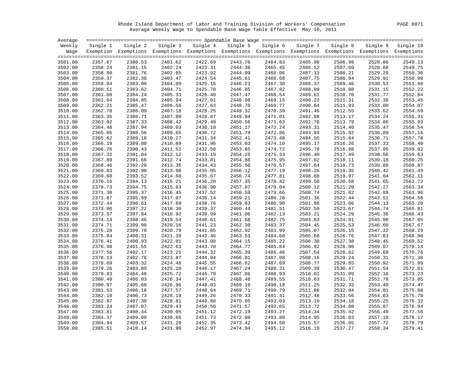Rhode Island Department of Labor and Training Division of Workers' Compensation PAGE 0071 Average Weekly Wage to Spendable Base Wage Table Effective May 10, 2011

| Average            |                    |                                                                                                                   |                    |                            |          |                    |          |                    |                    |                    |
|--------------------|--------------------|-------------------------------------------------------------------------------------------------------------------|--------------------|----------------------------|----------|--------------------|----------|--------------------|--------------------|--------------------|
| Weekly             | Single 1           |                                                                                                                   |                    | Single 2 Single 3 Single 4 | Single 5 | Single 6           | Single 7 | Single 8           | Single 9           | Single 10          |
|                    |                    | Wage Exemption Exemptions Exemptions Exemptions Exemptions Exemptions Exemptions Exemptions Exemptions Exemptions |                    |                            |          |                    |          |                    |                    |                    |
|                    |                    |                                                                                                                   |                    |                            |          |                    |          |                    |                    |                    |
| 3501.00            | 2357.67            | 2380.53                                                                                                           | 2401.62            | 2422.69                    | 2443.76  | 2464.83            | 2485.90  | 2506.98            | 2528.06            | 2549.13            |
| 3502.00            | 2358.24            | 2381.15                                                                                                           | 2402.24            | 2423.31                    | 2444.38  | 2465.45            | 2486.52  | 2507.60            | 2528.68            | 2549.75            |
| 3503.00            | 2358.80            | 2381.76                                                                                                           | 2402.85            | 2423.92                    | 2444.99  | 2466.06            | 2487.13  | 2508.21            | 2529.29            | 2550.36            |
| 3504.00            | 2359.37            | 2382.38                                                                                                           | 2403.47            | 2424.54                    | 2445.61  | 2466.68            | 2487.75  | 2508.84            | 2529.91            | 2550.98            |
| 3505.00            | 2359.94            | 2383.00                                                                                                           | 2404.09            | 2425.16                    | 2446.23  | 2467.30            | 2488.37  | 2509.46            | 2530.53            | 2551.60            |
| 3506.00            | 2360.51            | 2383.62                                                                                                           | 2404.71            | 2425.78                    | 2446.85  | 2467.92            | 2488.99  | 2510.08            | 2531.15            | 2552.22            |
| 3507.00            | 2361.08            | 2384.24                                                                                                           | 2405.33            | 2426.40                    | 2447.47  | 2468.54            | 2489.61  | 2510.70            | 2531.77            | 2552.84            |
| 3508.00            | 2361.64            | 2384.85                                                                                                           | 2405.94            | 2427.01                    | 2448.08  | 2469.15            | 2490.22  | 2511.31            | 2532.38            | 2553.45            |
| 3509.00            | 2362.21            | 2385.47                                                                                                           | 2406.56            | 2427.63                    | 2448.70  | 2469.77            | 2490.84  | 2511.93            | 2533.00            | 2554.07            |
| 3510.00            | 2362.78            | 2386.09                                                                                                           | 2407.18            | 2428.25                    | 2449.32  | 2470.39            | 2491.46  | 2512.55            | 2533.62            | 2554.69            |
| 3511.00            | 2363.35            | 2386.71                                                                                                           | 2407.80            | 2428.87                    | 2449.94  | 2471.01            | 2492.08  | 2513.17            | 2534.24            | 2555.31            |
| 3512.00            | 2363.92            | 2387.33                                                                                                           | 2408.42            | 2429.49                    | 2450.56  | 2471.63            | 2492.70  | 2513.79            | 2534.86            | 2555.93            |
| 3513.00            | 2364.48            | 2387.94                                                                                                           | 2409.03            | 2430.10                    | 2451.17  | 2472.24            | 2493.31  | 2514.40            | 2535.47            | 2556.54            |
| 3514.00            | 2365.05            | 2388.56                                                                                                           | 2409.65            | 2430.72                    | 2451.79  | 2472.86            | 2493.93  | 2515.02            | 2536.09            | 2557.16            |
| 3515.00            | 2365.62            | 2389.18                                                                                                           | 2410.27            | 2431.34                    | 2452.41  | 2473.48            | 2494.55  | 2515.64            | 2536.71            | 2557.78            |
| 3516.00            | 2366.19            | 2389.80                                                                                                           | 2410.89            | 2431.96                    | 2453.03  | 2474.10            | 2495.17  | 2516.26            | 2537.33            | 2558.40            |
| 3517.00            | 2366.76            | 2390.43                                                                                                           | 2411.51            | 2432.58                    | 2453.65  | 2474.72            | 2495.79  | 2516.88            | 2537.95            | 2559.02            |
| 3518.00            | 2367.32            | 2391.04                                                                                                           | 2412.12            | 2433.19                    | 2454.26  | 2475.33            | 2496.40  | 2517.49            | 2538.56            | 2559.63            |
| 3519.00            | 2367.89            | 2391.66                                                                                                           | 2412.74            | 2433.81                    | 2454.88  | 2475.95            | 2497.02  | 2518.11            | 2539.18            | 2560.25            |
| 3520.00            | 2368.46            | 2392.28                                                                                                           | 2413.36            | 2434.43                    | 2455.50  | 2476.57            | 2497.64  | 2518.73            | 2539.80            | 2560.87            |
| 3521.00            | 2369.03            | 2392.90                                                                                                           | 2413.98            | 2435.05                    | 2456.12  | 2477.19            | 2498.26  | 2519.35            | 2540.42            | 2561.49            |
| 3522.00            | 2369.60            | 2393.52                                                                                                           | 2414.60            | 2435.67                    | 2456.74  | 2477.81            | 2498.88  | 2519.97            | 2541.04            | 2562.11            |
| 3523.00            | 2370.16            | 2394.13                                                                                                           | 2415.21            | 2436.28                    | 2457.35  | 2478.42            | 2499.50  | 2520.58            | 2541.65            | 2562.72            |
| 3524.00            | 2370.73            | 2394.75                                                                                                           | 2415.83            | 2436.90                    | 2457.97  | 2479.04            | 2500.12  | 2521.20            | 2542.27            | 2563.34            |
| 3525.00            | 2371.30            | 2395.37                                                                                                           | 2416.45            | 2437.52                    | 2458.59  | 2479.66            | 2500.74  | 2521.82            | 2542.89            | 2563.96            |
| 3526.00            | 2371.87            | 2395.99                                                                                                           | 2417.07            | 2438.14                    | 2459.21  | 2480.28            | 2501.36  | 2522.44            |                    | 2564.58            |
| 3527.00            | 2372.44            | 2396.61                                                                                                           | 2417.69            | 2438.76                    | 2459.83  | 2480.90            | 2501.98  | 2523.06            | 2543.51<br>2544.13 | 2565.20            |
|                    |                    |                                                                                                                   |                    | 2439.37                    | 2460.44  |                    | 2502.59  |                    |                    | 2565.81            |
| 3528.00<br>3529.00 | 2373.00<br>2373.57 | 2397.22<br>2397.84                                                                                                | 2418.30<br>2418.92 | 2439.99                    | 2461.06  | 2481.51<br>2482.13 | 2503.21  | 2523.67<br>2524.29 | 2544.74<br>2545.36 | 2566.43            |
| 3530.00            | 2374.14            | 2398.46                                                                                                           | 2419.54            | 2440.61                    | 2461.68  | 2482.75            | 2503.83  | 2524.91            | 2545.98            | 2567.05            |
| 3531.00            | 2374.71            | 2399.08                                                                                                           | 2420.16            | 2441.23                    | 2462.30  | 2483.37            | 2504.45  | 2525.53            | 2546.60            | 2567.67            |
| 3532.00            | 2375.28            | 2399.70                                                                                                           | 2420.78            | 2441.85                    | 2462.92  | 2483.99            | 2505.07  | 2526.15            | 2547.22            | 2568.29            |
|                    |                    |                                                                                                                   |                    |                            |          |                    |          |                    |                    | 2568.90            |
| 3533.00            | 2375.84            | 2400.31                                                                                                           | 2421.39            | 2442.46                    | 2463.53  | 2484.60            | 2505.68  | 2526.76            | 2547.83            |                    |
| 3534.00            | 2376.41            | 2400.93<br>2401.55                                                                                                | 2422.01            | 2443.08<br>2443.70         | 2464.15  | 2485.22            | 2506.30  | 2527.38            | 2548.45            | 2569.52<br>2570.14 |
| 3535.00            | 2376.98            |                                                                                                                   | 2422.63            |                            | 2464.77  | 2485.84            | 2506.92  | 2528.00            | 2549.07            | 2570.76            |
| 3536.00            | 2377.56            | 2402.17                                                                                                           | 2423.25            | 2444.32                    | 2465.39  | 2486.46            | 2507.54  | 2528.62            | 2549.69            |                    |
| 3537.00            | 2378.13            | 2402.76                                                                                                           | 2423.87            | 2444.94                    | 2466.01  | 2487.08            | 2508.16  | 2529.24            | 2550.31            | 2571.38            |
| 3538.00            | 2378.69            | 2403.32                                                                                                           | 2424.48            | 2445.55                    | 2466.62  | 2487.69            | 2508.77  | 2529.85            | 2550.92            | 2571.99            |
| 3539.00            | 2379.26            | 2403.89                                                                                                           | 2425.10            | 2446.17                    | 2467.24  | 2488.31            | 2509.39  | 2530.47            | 2551.54            | 2572.61            |
| 3540.00            | 2379.83            | 2404.46                                                                                                           | 2425.72            | 2446.79                    | 2467.86  | 2488.93            | 2510.01  | 2531.09            | 2552.16            | 2573.23            |
| 3541.00            | 2380.40            | 2405.03                                                                                                           | 2426.34            | 2447.41                    | 2468.48  | 2489.55            | 2510.63  | 2531.71            | 2552.78            | 2573.85            |
| 3542.00            | 2380.97            | 2405.60                                                                                                           | 2426.96            | 2448.03                    | 2469.10  | 2490.18            | 2511.25  | 2532.33            | 2553.40            | 2574.47            |
| 3543.00            | 2381.53            | 2406.16                                                                                                           | 2427.57            | 2448.64                    | 2469.71  | 2490.79            | 2511.86  | 2532.94            | 2554.01            | 2575.08            |
| 3544.00            | 2382.10            | 2406.73                                                                                                           | 2428.19            | 2449.26                    | 2470.33  | 2491.41            | 2512.48  | 2533.56            | 2554.63            | 2575.70            |
| 3545.00            | 2382.67            | 2407.30                                                                                                           | 2428.81            | 2449.88                    | 2470.95  | 2492.03            | 2513.10  | 2534.18            | 2555.25            | 2576.32            |
| 3546.00            | 2383.24            | 2407.87                                                                                                           | 2429.43            | 2450.50                    | 2471.57  | 2492.65            | 2513.72  | 2534.80            | 2555.87            | 2576.94            |
| 3547.00            | 2383.81            | 2408.44                                                                                                           | 2430.05            | 2451.12                    | 2472.19  | 2493.27            | 2514.34  | 2535.42            | 2556.49            | 2577.56            |
| 3548.00            | 2384.37            | 2409.00                                                                                                           | 2430.66            | 2451.73                    | 2472.80  | 2493.88            | 2514.95  | 2536.03            | 2557.10            | 2578.17            |
| 3549.00            | 2384.94            | 2409.57                                                                                                           | 2431.28            | 2452.35                    | 2473.42  | 2494.50            | 2515.57  | 2536.65            | 2557.72            | 2578.79            |
| 3550.00            | 2385.51            | 2410.14                                                                                                           | 2431.90            | 2452.97                    | 2474.04  | 2495.12            | 2516.19  | 2537.27            | 2558.34            | 2579.41            |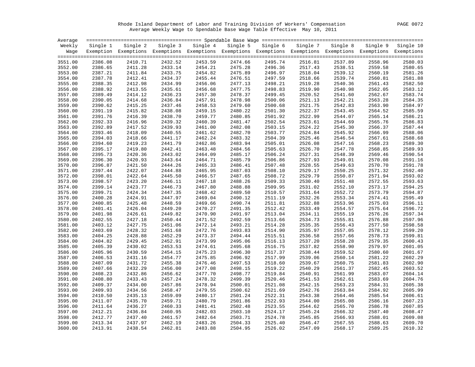Rhode Island Department of Labor and Training Division of Workers' Compensation PAGE 0072 Average Weekly Wage to Spendable Base Wage Table Effective May 10, 2011

| Average |          |                                                                                                              |         |                   |          |          |          |          |          |           |
|---------|----------|--------------------------------------------------------------------------------------------------------------|---------|-------------------|----------|----------|----------|----------|----------|-----------|
| Weekly  | Single 1 | Single 2                                                                                                     |         | Single 3 Single 4 | Single 5 | Single 6 | Single 7 | Single 8 | Single 9 | Single 10 |
| Wage    |          | Exemption Exemptions Exemptions Exemptions Exemptions Exemptions Exemptions Exemptions Exemptions Exemptions |         |                   |          |          |          |          |          |           |
|         |          |                                                                                                              |         |                   |          |          |          |          |          |           |
| 3551.00 | 2386.08  | 2410.71                                                                                                      | 2432.52 | 2453.59           | 2474.66  | 2495.74  | 2516.81  | 2537.89  | 2558.96  | 2580.03   |
| 3552.00 | 2386.65  | 2411.28                                                                                                      | 2433.14 | 2454.21           | 2475.28  | 2496.36  | 2517.43  | 2538.51  | 2559.58  | 2580.65   |
| 3553.00 | 2387.21  | 2411.84                                                                                                      | 2433.75 | 2454.82           | 2475.89  | 2496.97  | 2518.04  | 2539.12  | 2560.19  | 2581.26   |
| 3554.00 | 2387.78  | 2412.41                                                                                                      | 2434.37 | 2455.44           | 2476.51  | 2497.59  | 2518.66  | 2539.74  | 2560.81  | 2581.88   |
| 3555.00 | 2388.35  | 2412.98                                                                                                      | 2434.99 | 2456.06           | 2477.13  | 2498.21  | 2519.28  | 2540.36  | 2561.43  | 2582.50   |
| 3556.00 | 2388.92  | 2413.55                                                                                                      | 2435.61 | 2456.68           | 2477.75  | 2498.83  | 2519.90  | 2540.98  | 2562.05  | 2583.12   |
| 3557.00 | 2389.49  | 2414.12                                                                                                      | 2436.23 | 2457.30           | 2478.37  | 2499.45  | 2520.52  | 2541.60  | 2562.67  | 2583.74   |
| 3558.00 | 2390.05  | 2414.68                                                                                                      | 2436.84 | 2457.91           | 2478.98  | 2500.06  | 2521.13  | 2542.21  | 2563.28  | 2584.35   |
| 3559.00 | 2390.62  | 2415.25                                                                                                      | 2437.46 | 2458.53           | 2479.60  | 2500.68  | 2521.75  | 2542.83  | 2563.90  | 2584.97   |
| 3560.00 | 2391.19  | 2415.82                                                                                                      | 2438.08 | 2459.15           | 2480.22  | 2501.30  | 2522.37  | 2543.45  | 2564.52  | 2585.59   |
| 3561.00 | 2391.76  | 2416.39                                                                                                      | 2438.70 | 2459.77           | 2480.85  | 2501.92  | 2522.99  | 2544.07  | 2565.14  | 2586.21   |
| 3562.00 | 2392.33  | 2416.96                                                                                                      | 2439.32 | 2460.39           | 2481.47  | 2502.54  | 2523.61  | 2544.69  | 2565.76  | 2586.83   |
| 3563.00 | 2392.89  | 2417.52                                                                                                      | 2439.93 | 2461.00           | 2482.08  | 2503.15  | 2524.22  | 2545.30  | 2566.37  | 2587.44   |
| 3564.00 | 2393.46  | 2418.09                                                                                                      | 2440.55 | 2461.62           | 2482.70  | 2503.77  | 2524.84  | 2545.92  | 2566.99  | 2588.06   |
| 3565.00 | 2394.03  | 2418.66                                                                                                      | 2441.17 | 2462.24           | 2483.32  | 2504.39  | 2525.46  | 2546.54  | 2567.61  | 2588.68   |
| 3566.00 | 2394.60  | 2419.23                                                                                                      | 2441.79 | 2462.86           | 2483.94  | 2505.01  | 2526.08  | 2547.16  | 2568.23  | 2589.30   |
| 3567.00 | 2395.17  | 2419.80                                                                                                      | 2442.41 | 2463.48           | 2484.56  | 2505.63  | 2526.70  | 2547.78  | 2568.85  | 2589.93   |
| 3568.00 | 2395.73  | 2420.36                                                                                                      | 2443.02 | 2464.09           | 2485.17  | 2506.24  | 2527.31  | 2548.39  | 2569.46  | 2590.54   |
| 3569.00 | 2396.30  | 2420.93                                                                                                      | 2443.64 | 2464.71           | 2485.79  | 2506.86  | 2527.93  | 2549.01  | 2570.08  | 2591.16   |
| 3570.00 | 2396.87  | 2421.50                                                                                                      | 2444.26 | 2465.33           | 2486.41  | 2507.48  | 2528.55  | 2549.63  | 2570.70  | 2591.78   |
| 3571.00 | 2397.44  | 2422.07                                                                                                      | 2444.88 | 2465.95           | 2487.03  | 2508.10  | 2529.17  | 2550.25  | 2571.32  | 2592.40   |
| 3572.00 | 2398.01  | 2422.64                                                                                                      | 2445.50 | 2466.57           | 2487.65  | 2508.72  | 2529.79  | 2550.87  | 2571.94  | 2593.02   |
| 3573.00 | 2398.57  | 2423.20                                                                                                      | 2446.11 | 2467.18           | 2488.26  | 2509.33  | 2530.40  | 2551.48  | 2572.55  | 2593.63   |
| 3574.00 | 2399.14  | 2423.77                                                                                                      | 2446.73 | 2467.80           | 2488.88  | 2509.95  | 2531.02  | 2552.10  | 2573.17  | 2594.25   |
| 3575.00 | 2399.71  | 2424.34                                                                                                      | 2447.35 | 2468.42           | 2489.50  | 2510.57  | 2531.64  | 2552.72  | 2573.79  | 2594.87   |
| 3576.00 | 2400.28  | 2424.91                                                                                                      | 2447.97 | 2469.04           | 2490.12  | 2511.19  | 2532.26  | 2553.34  | 2574.41  | 2595.49   |
| 3577.00 | 2400.85  | 2425.48                                                                                                      | 2448.59 | 2469.66           | 2490.74  | 2511.81  | 2532.88  | 2553.96  | 2575.03  | 2596.11   |
| 3578.00 | 2401.41  | 2426.04                                                                                                      | 2449.20 | 2470.27           | 2491.35  | 2512.42  | 2533.49  | 2554.57  | 2575.64  | 2596.72   |
| 3579.00 | 2401.98  | 2426.61                                                                                                      | 2449.82 | 2470.90           | 2491.97  | 2513.04  | 2534.11  | 2555.19  | 2576.26  | 2597.34   |
| 3580.00 | 2402.55  | 2427.18                                                                                                      | 2450.44 | 2471.52           | 2492.59  | 2513.66  | 2534.73  | 2555.81  | 2576.88  | 2597.96   |
| 3581.00 | 2403.12  | 2427.75                                                                                                      | 2451.06 | 2472.14           | 2493.21  | 2514.28  | 2535.35  | 2556.43  | 2577.50  | 2598.58   |
| 3582.00 | 2403.69  | 2428.32                                                                                                      | 2451.68 | 2472.76           | 2493.83  | 2514.90  | 2535.97  | 2557.05  | 2578.12  | 2599.20   |
| 3583.00 | 2404.25  | 2428.88                                                                                                      | 2452.29 | 2473.37           | 2494.44  | 2515.51  | 2536.58  | 2557.66  | 2578.73  | 2599.81   |
| 3584.00 | 2404.82  | 2429.45                                                                                                      | 2452.91 | 2473.99           | 2495.06  | 2516.13  | 2537.20  | 2558.28  | 2579.35  | 2600.43   |
| 3585.00 | 2405.39  | 2430.02                                                                                                      | 2453.53 | 2474.61           | 2495.68  | 2516.75  | 2537.82  | 2558.90  | 2579.97  | 2601.05   |
| 3586.00 | 2405.96  | 2430.59                                                                                                      | 2454.15 | 2475.23           | 2496.30  | 2517.37  | 2538.44  | 2559.52  | 2580.60  | 2601.67   |
| 3587.00 | 2406.53  | 2431.16                                                                                                      | 2454.77 | 2475.85           | 2496.92  | 2517.99  | 2539.06  | 2560.14  | 2581.22  | 2602.29   |
| 3588.00 | 2407.09  | 2431.72                                                                                                      | 2455.38 | 2476.46           | 2497.53  | 2518.60  | 2539.67  | 2560.75  | 2581.83  | 2602.90   |
| 3589.00 | 2407.66  | 2432.29                                                                                                      | 2456.00 | 2477.08           | 2498.15  | 2519.22  | 2540.29  | 2561.37  | 2582.45  | 2603.52   |
| 3590.00 | 2408.23  | 2432.86                                                                                                      | 2456.62 | 2477.70           | 2498.77  | 2519.84  | 2540.91  | 2561.99  | 2583.07  | 2604.14   |
| 3591.00 | 2408.80  | 2433.43                                                                                                      | 2457.24 | 2478.32           | 2499.39  | 2520.46  | 2541.53  | 2562.61  | 2583.69  | 2604.76   |
| 3592.00 | 2409.37  | 2434.00                                                                                                      | 2457.86 | 2478.94           | 2500.01  | 2521.08  | 2542.15  | 2563.23  | 2584.31  | 2605.38   |
| 3593.00 | 2409.93  | 2434.56                                                                                                      | 2458.47 | 2479.55           | 2500.62  | 2521.69  | 2542.76  | 2563.84  | 2584.92  | 2605.99   |
| 3594.00 | 2410.50  | 2435.13                                                                                                      | 2459.09 | 2480.17           | 2501.24  | 2522.31  | 2543.38  | 2564.46  | 2585.54  | 2606.61   |
| 3595.00 | 2411.07  | 2435.70                                                                                                      | 2459.71 | 2480.79           | 2501.86  | 2522.93  | 2544.00  | 2565.08  | 2586.16  | 2607.23   |
| 3596.00 | 2411.64  | 2436.27                                                                                                      | 2460.33 | 2481.41           | 2502.48  | 2523.55  | 2544.62  | 2565.70  | 2586.78  | 2607.85   |
| 3597.00 | 2412.21  | 2436.84                                                                                                      | 2460.95 | 2482.03           | 2503.10  | 2524.17  | 2545.24  | 2566.32  | 2587.40  | 2608.47   |
| 3598.00 | 2412.77  | 2437.40                                                                                                      | 2461.57 | 2482.64           | 2503.71  | 2524.78  | 2545.85  | 2566.93  | 2588.01  | 2609.08   |
| 3599.00 | 2413.34  | 2437.97                                                                                                      | 2462.19 | 2483.26           | 2504.33  | 2525.40  | 2546.47  | 2567.55  | 2588.63  | 2609.70   |
| 3600.00 | 2413.91  | 2438.54                                                                                                      | 2462.81 | 2483.88           | 2504.95  | 2526.02  | 2547.09  | 2568.17  | 2589.25  | 2610.32   |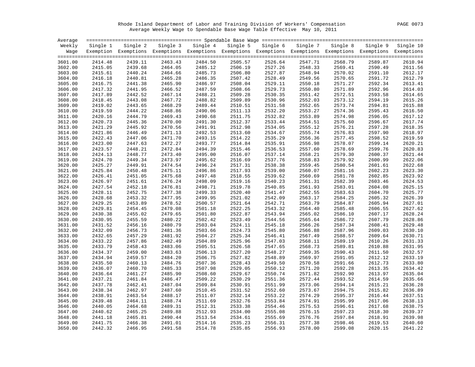Rhode Island Department of Labor and Training Division of Workers' Compensation PAGE 0073 Average Weekly Wage to Spendable Base Wage Table Effective May 10, 2011

| Weekly  | Single 1 | Single 2 | Single 3 Single 4 |                                                                                                              |          |          |          |          |          |           |
|---------|----------|----------|-------------------|--------------------------------------------------------------------------------------------------------------|----------|----------|----------|----------|----------|-----------|
|         |          |          |                   |                                                                                                              | Single 5 | Single 6 | Single 7 | Single 8 | Single 9 | Single 10 |
| Waqe    |          |          |                   | Exemption Exemptions Exemptions Exemptions Exemptions Exemptions Exemptions Exemptions Exemptions Exemptions |          |          |          |          |          |           |
| 3601.00 | 2414.48  | 2439.11  | 2463.43           | 2484.50                                                                                                      | 2505.57  | 2526.64  | 2547.71  | 2568.79  | 2589.87  | 2610.94   |
| 3602.00 | 2415.05  | 2439.68  | 2464.05           | 2485.12                                                                                                      | 2506.19  | 2527.26  | 2548.33  | 2569.41  | 2590.49  | 2611.56   |
| 3603.00 | 2415.61  | 2440.24  | 2464.66           | 2485.73                                                                                                      | 2506.80  | 2527.87  | 2548.94  | 2570.02  | 2591.10  | 2612.17   |
| 3604.00 | 2416.18  | 2440.81  | 2465.28           | 2486.35                                                                                                      | 2507.42  | 2528.49  | 2549.56  | 2570.65  | 2591.72  | 2612.79   |
| 3605.00 | 2416.75  | 2441.38  | 2465.90           | 2486.97                                                                                                      | 2508.04  | 2529.11  | 2550.18  | 2571.27  | 2592.34  | 2613.41   |
| 3606.00 | 2417.32  | 2441.95  | 2466.52           | 2487.59                                                                                                      | 2508.66  | 2529.73  | 2550.80  | 2571.89  | 2592.96  | 2614.03   |
| 3607.00 | 2417.89  | 2442.52  | 2467.14           | 2488.21                                                                                                      | 2509.28  | 2530.35  | 2551.42  | 2572.51  | 2593.58  | 2614.65   |
| 3608.00 | 2418.45  | 2443.08  | 2467.72           | 2488.82                                                                                                      | 2509.89  | 2530.96  | 2552.03  | 2573.12  | 2594.19  | 2615.26   |
| 3609.00 | 2419.02  | 2443.65  | 2468.29           | 2489.44                                                                                                      | 2510.51  | 2531.58  | 2552.65  | 2573.74  | 2594.81  | 2615.88   |
| 3610.00 | 2419.59  | 2444.22  | 2468.86           | 2490.06                                                                                                      | 2511.13  | 2532.20  | 2553.27  | 2574.36  | 2595.43  | 2616.50   |
| 3611.00 | 2420.16  | 2444.79  | 2469.43           | 2490.68                                                                                                      | 2511.75  | 2532.82  | 2553.89  | 2574.98  | 2596.05  | 2617.12   |
| 3612.00 | 2420.73  | 2445.36  | 2470.00           | 2491.30                                                                                                      | 2512.37  | 2533.44  | 2554.51  | 2575.60  | 2596.67  | 2617.74   |
| 3613.00 | 2421.29  | 2445.92  | 2470.56           | 2491.91                                                                                                      | 2512.98  | 2534.05  | 2555.12  | 2576.21  | 2597.28  | 2618.35   |
| 3614.00 | 2421.86  | 2446.49  | 2471.13           | 2492.53                                                                                                      | 2513.60  | 2534.67  | 2555.74  | 2576.83  | 2597.90  | 2618.97   |
| 3615.00 | 2422.43  | 2447.06  | 2471.70           | 2493.15                                                                                                      | 2514.22  | 2535.29  | 2556.36  | 2577.45  | 2598.52  | 2619.59   |
| 3616.00 | 2423.00  | 2447.63  | 2472.27           | 2493.77                                                                                                      | 2514.84  | 2535.91  | 2556.98  | 2578.07  | 2599.14  | 2620.21   |
| 3617.00 | 2423.57  | 2448.21  | 2472.84           | 2494.39                                                                                                      | 2515.46  | 2536.53  | 2557.60  | 2578.69  | 2599.76  | 2620.83   |
| 3618.00 | 2424.13  | 2448.77  | 2473.40           | 2495.00                                                                                                      | 2516.07  | 2537.14  | 2558.21  | 2579.30  | 2600.37  | 2621.44   |
| 3619.00 | 2424.70  | 2449.34  | 2473.97           | 2495.62                                                                                                      | 2516.69  | 2537.76  | 2558.83  | 2579.92  | 2600.99  | 2622.06   |
| 3620.00 | 2425.27  | 2449.91  | 2474.54           | 2496.24                                                                                                      | 2517.31  | 2538.38  | 2559.45  | 2580.54  | 2601.61  | 2622.68   |
| 3621.00 | 2425.84  | 2450.48  | 2475.11           | 2496.86                                                                                                      | 2517.93  | 2539.00  | 2560.07  | 2581.16  | 2602.23  | 2623.30   |
| 3622.00 | 2426.41  | 2451.05  | 2475.68           | 2497.48                                                                                                      | 2518.55  | 2539.62  | 2560.69  | 2581.78  | 2602.85  | 2623.92   |
| 3623.00 | 2426.97  | 2451.61  | 2476.24           | 2498.09                                                                                                      | 2519.16  | 2540.23  | 2561.31  | 2582.39  | 2603.46  | 2624.53   |
| 3624.00 | 2427.54  | 2452.18  | 2476.81           | 2498.71                                                                                                      | 2519.78  | 2540.85  | 2561.93  | 2583.01  | 2604.08  | 2625.15   |
| 3625.00 | 2428.11  | 2452.75  | 2477.38           | 2499.33                                                                                                      | 2520.40  | 2541.47  | 2562.55  | 2583.63  | 2604.70  | 2625.77   |
| 3626.00 | 2428.68  | 2453.32  | 2477.95           | 2499.95                                                                                                      | 2521.02  | 2542.09  | 2563.17  | 2584.25  | 2605.32  | 2626.39   |
| 3627.00 | 2429.25  | 2453.89  | 2478.52           | 2500.57                                                                                                      | 2521.64  | 2542.71  | 2563.79  | 2584.87  | 2605.94  | 2627.01   |
| 3628.00 | 2429.81  | 2454.45  | 2479.08           | 2501.18                                                                                                      | 2522.25  | 2543.32  | 2564.40  | 2585.48  | 2606.55  | 2627.62   |
| 3629.00 | 2430.38  | 2455.02  | 2479.65           | 2501.80                                                                                                      | 2522.87  | 2543.94  | 2565.02  | 2586.10  | 2607.17  | 2628.24   |
| 3630.00 | 2430.95  | 2455.59  | 2480.22           | 2502.42                                                                                                      | 2523.49  | 2544.56  | 2565.64  | 2586.72  | 2607.79  | 2628.86   |
| 3631.00 | 2431.52  | 2456.16  | 2480.79           | 2503.04                                                                                                      | 2524.11  | 2545.18  | 2566.26  | 2587.34  | 2608.41  | 2629.48   |
| 3632.00 | 2432.09  | 2456.73  | 2481.36           | 2503.66                                                                                                      | 2524.73  | 2545.80  | 2566.88  | 2587.96  | 2609.03  | 2630.10   |
| 3633.00 | 2432.65  | 2457.29  | 2481.92           | 2504.27                                                                                                      | 2525.34  | 2546.41  | 2567.49  | 2588.57  | 2609.64  | 2630.71   |
| 3634.00 | 2433.22  | 2457.86  | 2482.49           | 2504.89                                                                                                      | 2525.96  | 2547.03  | 2568.11  | 2589.19  | 2610.26  | 2631.33   |
| 3635.00 | 2433.79  | 2458.43  | 2483.06           | 2505.51                                                                                                      | 2526.58  | 2547.65  | 2568.73  | 2589.81  | 2610.88  | 2631.95   |
| 3636.00 | 2434.37  | 2459.00  | 2483.63           | 2506.13                                                                                                      | 2527.20  | 2548.27  | 2569.35  | 2590.43  | 2611.50  | 2632.57   |
| 3637.00 | 2434.94  | 2459.57  | 2484.20           | 2506.75                                                                                                      | 2527.82  | 2548.89  | 2569.97  | 2591.05  | 2612.12  | 2633.19   |
| 3638.00 | 2435.50  | 2460.13  | 2484.76           | 2507.36                                                                                                      | 2528.43  | 2549.50  | 2570.58  | 2591.66  | 2612.73  | 2633.80   |
| 3639.00 | 2436.07  | 2460.70  | 2485.33           | 2507.98                                                                                                      | 2529.05  | 2550.12  | 2571.20  | 2592.28  | 2613.35  | 2634.42   |
| 3640.00 | 2436.64  | 2461.27  | 2485.90           | 2508.60                                                                                                      | 2529.67  | 2550.74  | 2571.82  | 2592.90  | 2613.97  | 2635.04   |
| 3641.00 | 2437.21  | 2461.84  | 2486.47           | 2509.22                                                                                                      | 2530.29  | 2551.36  | 2572.44  | 2593.52  | 2614.59  | 2635.66   |
| 3642.00 | 2437.78  | 2462.41  | 2487.04           | 2509.84                                                                                                      | 2530.91  | 2551.99  | 2573.06  | 2594.14  | 2615.21  | 2636.28   |
| 3643.00 | 2438.34  | 2462.97  | 2487.60           | 2510.45                                                                                                      | 2531.52  | 2552.60  | 2573.67  | 2594.75  | 2615.82  | 2636.89   |
| 3644.00 | 2438.91  | 2463.54  | 2488.17           | 2511.07                                                                                                      | 2532.14  | 2553.22  | 2574.29  | 2595.37  | 2616.44  | 2637.51   |
| 3645.00 | 2439.48  | 2464.11  | 2488.74           | 2511.69                                                                                                      | 2532.76  | 2553.84  | 2574.91  | 2595.99  | 2617.06  | 2638.13   |
| 3646.00 | 2440.05  | 2464.68  | 2489.31           | 2512.31                                                                                                      | 2533.38  | 2554.46  | 2575.53  | 2596.61  | 2617.68  | 2638.75   |
| 3647.00 | 2440.62  | 2465.25  | 2489.88           | 2512.93                                                                                                      | 2534.00  | 2555.08  | 2576.15  | 2597.23  | 2618.30  | 2639.37   |
| 3648.00 | 2441.18  | 2465.81  | 2490.44           | 2513.54                                                                                                      | 2534.61  | 2555.69  | 2576.76  | 2597.84  | 2618.91  | 2639.98   |
| 3649.00 | 2441.75  | 2466.38  | 2491.01           | 2514.16                                                                                                      | 2535.23  | 2556.31  | 2577.38  | 2598.46  | 2619.53  | 2640.60   |
| 3650.00 | 2442.32  | 2466.95  | 2491.58           | 2514.78                                                                                                      | 2535.85  | 2556.93  | 2578.00  | 2599.08  | 2620.15  | 2641.22   |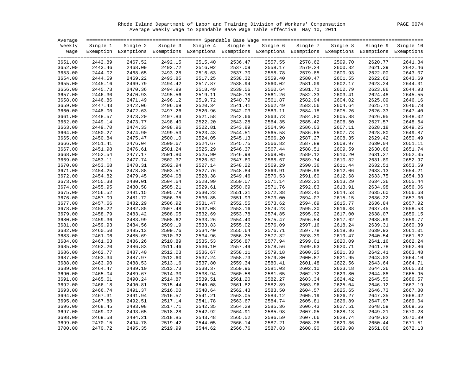Rhode Island Department of Labor and Training Division of Workers' Compensation PAGE 0074 Average Weekly Wage to Spendable Base Wage Table Effective May 10, 2011

| Average |          |                                                                                                                   |         |                   |         |                   |          |          |         |                    |
|---------|----------|-------------------------------------------------------------------------------------------------------------------|---------|-------------------|---------|-------------------|----------|----------|---------|--------------------|
| Weekly  | Single 1 | Single 2                                                                                                          |         | Single 3 Single 4 |         | Single 5 Single 6 | Single 7 | Single 8 |         | Single 9 Single 10 |
|         |          | Wage Exemption Exemptions Exemptions Exemptions Exemptions Exemptions Exemptions Exemptions Exemptions Exemptions |         |                   |         |                   |          |          |         |                    |
| 3651.00 | 2442.89  | 2467.52                                                                                                           | 2492.15 | 2515.40           | 2536.47 | 2557.55           | 2578.62  | 2599.70  | 2620.77 | 2641.84            |
| 3652.00 | 2443.46  | 2468.09                                                                                                           | 2492.72 | 2516.02           | 2537.09 | 2558.17           | 2579.24  | 2600.32  | 2621.39 | 2642.46            |
| 3653.00 | 2444.02  | 2468.65                                                                                                           | 2493.28 | 2516.63           | 2537.70 | 2558.78           | 2579.85  | 2600.93  | 2622.00 | 2643.07            |
| 3654.00 | 2444.59  | 2469.22                                                                                                           | 2493.85 | 2517.25           | 2538.32 | 2559.40           | 2580.47  | 2601.55  | 2622.62 | 2643.69            |
| 3655.00 | 2445.16  | 2469.79                                                                                                           | 2494.42 | 2517.87           | 2538.94 | 2560.02           | 2581.09  | 2602.17  | 2623.24 | 2644.31            |
| 3656.00 | 2445.73  | 2470.36                                                                                                           | 2494.99 | 2518.49           | 2539.56 | 2560.64           | 2581.71  | 2602.79  | 2623.86 | 2644.93            |
| 3657.00 | 2446.30  | 2470.93                                                                                                           | 2495.56 | 2519.11           | 2540.18 | 2561.26           | 2582.33  | 2603.41  | 2624.48 | 2645.55            |
| 3658.00 | 2446.86  | 2471.49                                                                                                           | 2496.12 | 2519.72           | 2540.79 | 2561.87           | 2582.94  | 2604.02  | 2625.09 | 2646.16            |
| 3659.00 | 2447.43  | 2472.06                                                                                                           | 2496.69 | 2520.34           | 2541.41 | 2562.49           | 2583.56  | 2604.64  | 2625.71 | 2646.78            |
| 3660.00 | 2448.00  | 2472.63                                                                                                           | 2497.26 | 2520.96           | 2542.03 | 2563.11           | 2584.18  | 2605.26  | 2626.33 | 2647.40            |
| 3661.00 | 2448.57  | 2473.20                                                                                                           | 2497.83 | 2521.58           | 2542.66 | 2563.73           | 2584.80  | 2605.88  | 2626.95 | 2648.02            |
| 3662.00 | 2449.14  | 2473.77                                                                                                           | 2498.40 | 2522.20           | 2543.28 | 2564.35           | 2585.42  | 2606.50  | 2627.57 | 2648.64            |
| 3663.00 | 2449.70  | 2474.33                                                                                                           | 2498.96 | 2522.81           | 2543.89 | 2564.96           | 2586.03  | 2607.11  | 2628.18 | 2649.25            |
| 3664.00 | 2450.27  | 2474.90                                                                                                           | 2499.53 | 2523.43           | 2544.51 | 2565.58           | 2586.65  | 2607.73  | 2628.80 | 2649.87            |
| 3665.00 | 2450.84  | 2475.47                                                                                                           | 2500.10 | 2524.05           | 2545.13 | 2566.20           | 2587.27  | 2608.35  | 2629.42 | 2650.49            |
| 3666.00 | 2451.41  | 2476.04                                                                                                           | 2500.67 | 2524.67           | 2545.75 | 2566.82           | 2587.89  | 2608.97  | 2630.04 | 2651.11            |
| 3667.00 | 2451.98  | 2476.61                                                                                                           | 2501.24 | 2525.29           | 2546.37 | 2567.44           | 2588.51  | 2609.59  | 2630.66 | 2651.74            |
| 3668.00 | 2452.54  | 2477.17                                                                                                           | 2501.80 | 2525.90           | 2546.98 | 2568.05           | 2589.12  | 2610.20  | 2631.27 | 2652.35            |
| 3669.00 | 2453.11  | 2477.74                                                                                                           | 2502.37 | 2526.52           | 2547.60 | 2568.67           | 2589.74  | 2610.82  | 2631.89 | 2652.97            |
| 3670.00 | 2453.68  | 2478.31                                                                                                           | 2502.94 | 2527.14           | 2548.22 | 2569.29           | 2590.36  | 2611.44  | 2632.51 | 2653.59            |
| 3671.00 | 2454.25  | 2478.88                                                                                                           | 2503.51 | 2527.76           | 2548.84 | 2569.91           | 2590.98  | 2612.06  | 2633.13 | 2654.21            |
| 3672.00 | 2454.82  | 2479.45                                                                                                           | 2504.08 | 2528.38           | 2549.46 | 2570.53           | 2591.60  | 2612.68  | 2633.75 | 2654.83            |
| 3673.00 | 2455.38  | 2480.01                                                                                                           | 2504.64 | 2528.99           | 2550.07 | 2571.14           | 2592.21  | 2613.29  | 2634.36 | 2655.44            |
| 3674.00 | 2455.95  | 2480.58                                                                                                           | 2505.21 | 2529.61           | 2550.69 | 2571.76           | 2592.83  | 2613.91  | 2634.98 | 2656.06            |
| 3675.00 | 2456.52  | 2481.15                                                                                                           | 2505.78 | 2530.23           | 2551.31 | 2572.38           | 2593.45  | 2614.53  | 2635.60 | 2656.68            |
| 3676.00 | 2457.09  | 2481.72                                                                                                           | 2506.35 | 2530.85           | 2551.93 | 2573.00           | 2594.07  | 2615.15  | 2636.22 | 2657.30            |
| 3677.00 | 2457.66  | 2482.29                                                                                                           | 2506.92 | 2531.47           | 2552.55 | 2573.62           | 2594.69  | 2615.77  | 2636.84 | 2657.92            |
| 3678.00 | 2458.22  | 2482.85                                                                                                           | 2507.48 | 2532.08           | 2553.16 | 2574.23           | 2595.30  | 2616.38  | 2637.45 | 2658.53            |
| 3679.00 | 2458.79  | 2483.42                                                                                                           | 2508.05 | 2532.69           | 2553.78 | 2574.85           | 2595.92  | 2617.00  | 2638.07 | 2659.15            |
| 3680.00 | 2459.36  | 2483.99                                                                                                           | 2508.62 | 2533.26           | 2554.40 | 2575.47           | 2596.54  | 2617.62  | 2638.69 | 2659.77            |
| 3681.00 | 2459.93  | 2484.56                                                                                                           | 2509.19 | 2533.83           | 2555.02 | 2576.09           | 2597.16  | 2618.24  | 2639.31 | 2660.39            |
| 3682.00 | 2460.50  | 2485.13                                                                                                           | 2509.76 | 2534.40           | 2555.64 | 2576.71           | 2597.78  | 2618.86  | 2639.93 | 2661.01            |
| 3683.00 | 2461.06  | 2485.69                                                                                                           | 2510.32 | 2534.96           | 2556.25 | 2577.32           | 2598.39  | 2619.47  | 2640.54 | 2661.62            |
| 3684.00 | 2461.63  | 2486.26                                                                                                           | 2510.89 | 2535.53           | 2556.87 | 2577.94           | 2599.01  | 2620.09  | 2641.16 | 2662.24            |
| 3685.00 | 2462.20  | 2486.83                                                                                                           | 2511.46 | 2536.10           | 2557.49 | 2578.56           | 2599.63  | 2620.71  | 2641.78 | 2662.86            |
| 3686.00 | 2462.77  | 2487.40                                                                                                           | 2512.03 | 2536.67           | 2558.11 | 2579.18           | 2600.25  | 2621.33  | 2642.41 | 2663.48            |
| 3687.00 | 2463.34  | 2487.97                                                                                                           | 2512.60 | 2537.24           | 2558.73 | 2579.80           | 2600.87  | 2621.95  | 2643.03 | 2664.10            |
| 3688.00 | 2463.90  | 2488.53                                                                                                           | 2513.16 | 2537.80           | 2559.34 | 2580.41           | 2601.48  | 2622.56  | 2643.64 | 2664.71            |
| 3689.00 | 2464.47  | 2489.10                                                                                                           | 2513.73 | 2538.37           | 2559.96 | 2581.03           | 2602.10  | 2623.18  | 2644.26 | 2665.33            |
| 3690.00 | 2465.04  | 2489.67                                                                                                           | 2514.30 | 2538.94           | 2560.58 | 2581.65           | 2602.72  | 2623.80  | 2644.88 | 2665.95            |
| 3691.00 | 2465.61  | 2490.24                                                                                                           | 2514.87 | 2539.51           | 2561.20 | 2582.27           | 2603.34  | 2624.42  | 2645.50 | 2666.57            |
| 3692.00 | 2466.18  | 2490.81                                                                                                           | 2515.44 | 2540.08           | 2561.82 | 2582.89           | 2603.96  | 2625.04  | 2646.12 | 2667.19            |
| 3693.00 | 2466.74  | 2491.37                                                                                                           | 2516.00 | 2540.64           | 2562.43 | 2583.50           | 2604.57  | 2625.65  | 2646.73 | 2667.80            |
| 3694.00 | 2467.31  | 2491.94                                                                                                           | 2516.57 | 2541.21           | 2563.05 | 2584.12           | 2605.19  | 2626.27  | 2647.35 | 2668.42            |
| 3695.00 | 2467.88  | 2492.51                                                                                                           | 2517.14 | 2541.78           | 2563.67 | 2584.74           | 2605.81  | 2626.89  | 2647.97 | 2669.04            |
| 3696.00 | 2468.45  | 2493.08                                                                                                           | 2517.71 | 2542.35           | 2564.29 | 2585.36           | 2606.43  | 2627.51  | 2648.59 | 2669.66            |
| 3697.00 | 2469.02  | 2493.65                                                                                                           | 2518.28 | 2542.92           | 2564.91 | 2585.98           | 2607.05  | 2628.13  | 2649.21 | 2670.28            |
| 3698.00 | 2469.58  | 2494.21                                                                                                           | 2518.85 | 2543.48           | 2565.52 | 2586.59           | 2607.66  | 2628.74  | 2649.82 | 2670.89            |
| 3699.00 | 2470.15  | 2494.78                                                                                                           | 2519.42 | 2544.05           | 2566.14 | 2587.21           | 2608.28  | 2629.36  | 2650.44 | 2671.51            |
| 3700.00 | 2470.72  | 2495.35                                                                                                           | 2519.99 | 2544.62           | 2566.76 | 2587.83           | 2608.90  | 2629.98  | 2651.06 | 2672.13            |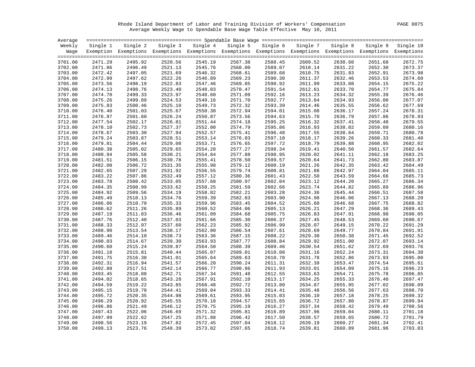Rhode Island Department of Labor and Training Division of Workers' Compensation PAGE 0075 Average Weekly Wage to Spendable Base Wage Table Effective May 10, 2011

| Average |                    |                                                                                                              |                    |                    |                    |                    |                    |                    |                    |                    |
|---------|--------------------|--------------------------------------------------------------------------------------------------------------|--------------------|--------------------|--------------------|--------------------|--------------------|--------------------|--------------------|--------------------|
| Weekly  | Single 1           | Single 2                                                                                                     | Single 3           | Single 4           | Single 5           | Single 6           | Single 7           | Single 8           | Single 9           | Single 10          |
| Waqe    |                    | Exemption Exemptions Exemptions Exemptions Exemptions Exemptions Exemptions Exemptions Exemptions Exemptions |                    |                    |                    |                    |                    |                    |                    |                    |
|         |                    |                                                                                                              |                    |                    |                    |                    |                    |                    |                    |                    |
| 3701.00 | 2471.29            | 2495.92                                                                                                      | 2520.56            | 2545.19            | 2567.38            | 2588.45            | 2609.52            | 2630.60            | 2651.68            | 2672.75            |
| 3702.00 | 2471.86            | 2496.49                                                                                                      | 2521.13            | 2545.76            | 2568.00            | 2589.07            | 2610.14            | 2631.22            | 2652.30            | 2673.37            |
| 3703.00 | 2472.42            | 2497.05                                                                                                      | 2521.69            | 2546.32            | 2568.61            | 2589.68            | 2610.75            | 2631.83            | 2652.91            | 2673.98            |
| 3704.00 | 2472.99            | 2497.62                                                                                                      | 2522.26            | 2546.89            | 2569.23            | 2590.30            | 2611.37            | 2632.46            | 2653.53            | 2674.60            |
| 3705.00 | 2473.56            | 2498.19                                                                                                      | 2522.83            | 2547.46            | 2569.85            | 2590.92            | 2611.99            | 2633.08            | 2654.15            | 2675.22            |
| 3706.00 | 2474.13            | 2498.76                                                                                                      | 2523.40            | 2548.03            | 2570.47            | 2591.54            | 2612.61            | 2633.70            | 2654.77            | 2675.84            |
| 3707.00 | 2474.70            | 2499.33                                                                                                      | 2523.97            | 2548.60            | 2571.09            | 2592.16            | 2613.23            | 2634.32            | 2655.39            | 2676.46            |
| 3708.00 | 2475.26            | 2499.89                                                                                                      | 2524.53            | 2549.16            | 2571.70            | 2592.77            | 2613.84            | 2634.93            | 2656.00            | 2677.07            |
| 3709.00 | 2475.83            | 2500.46                                                                                                      | 2525.10            | 2549.73            | 2572.32            | 2593.39            | 2614.46            | 2635.55            | 2656.62            | 2677.69            |
| 3710.00 | 2476.40            | 2501.03                                                                                                      | 2525.67            | 2550.30            | 2572.94            | 2594.01            | 2615.08            | 2636.17            | 2657.24            | 2678.31            |
| 3711.00 | 2476.97            | 2501.60                                                                                                      | 2526.24            | 2550.87            | 2573.56            | 2594.63            | 2615.70            | 2636.79            | 2657.86            | 2678.93            |
| 3712.00 | 2477.54            | 2502.17                                                                                                      | 2526.81            | 2551.44            | 2574.18            | 2595.25            | 2616.32            | 2637.41            | 2658.48            | 2679.55            |
| 3713.00 | 2478.10            | 2502.73                                                                                                      | 2527.37            | 2552.00            | 2574.79            | 2595.86            | 2616.93            | 2638.02            | 2659.09            | 2680.16            |
| 3714.00 | 2478.67            | 2503.30                                                                                                      | 2527.94            | 2552.57            | 2575.41            | 2596.48            | 2617.55            | 2638.64            | 2659.71            | 2680.78            |
| 3715.00 | 2479.24            | 2503.87                                                                                                      | 2528.51            | 2553.14            | 2576.03            | 2597.10            | 2618.17            | 2639.26            | 2660.33            | 2681.40            |
| 3716.00 | 2479.81            | 2504.44                                                                                                      | 2529.08            | 2553.71            | 2576.65            | 2597.72            | 2618.79            | 2639.88            | 2660.95            | 2682.02            |
| 3717.00 | 2480.38            | 2505.02                                                                                                      | 2529.65            | 2554.28            | 2577.27            | 2598.34            | 2619.41            | 2640.50            | 2661.57            | 2682.64            |
| 3718.00 | 2480.94            | 2505.58                                                                                                      | 2530.21            | 2554.84            | 2577.88            | 2598.95            | 2620.02            | 2641.11            | 2662.18            | 2683.25            |
| 3719.00 | 2481.51            | 2506.15                                                                                                      | 2530.78            | 2555.41            | 2578.50            | 2599.57            | 2620.64            | 2641.73            | 2662.80            | 2683.87            |
| 3720.00 | 2482.08            | 2506.72                                                                                                      | 2531.35            | 2555.98            | 2579.12            | 2600.19            | 2621.26            | 2642.35            | 2663.42            | 2684.49            |
| 3721.00 | 2482.65            | 2507.29                                                                                                      | 2531.92            | 2556.55            | 2579.74            | 2600.81            | 2621.88            | 2642.97            | 2664.04            | 2685.11            |
| 3722.00 | 2483.22            | 2507.86                                                                                                      | 2532.49            | 2557.12            | 2580.36            | 2601.43            | 2622.50            | 2643.59            | 2664.66            | 2685.73            |
| 3723.00 | 2483.78            | 2508.42                                                                                                      | 2533.05            | 2557.68            | 2580.97            | 2602.04            | 2623.12            | 2644.20            | 2665.27            | 2686.34            |
| 3724.00 | 2484.35            | 2508.99                                                                                                      | 2533.62            | 2558.25            | 2581.59            | 2602.66            | 2623.74            | 2644.82            | 2665.89            | 2686.96            |
| 3725.00 | 2484.92            | 2509.56                                                                                                      | 2534.19            | 2558.82            | 2582.21            | 2603.28            | 2624.36            | 2645.44            | 2666.51            | 2687.58            |
| 3726.00 | 2485.49            | 2510.13                                                                                                      | 2534.76            | 2559.39            | 2582.83            | 2603.90            | 2624.98            | 2646.06            | 2667.13            | 2688.20            |
| 3727.00 | 2486.06            | 2510.70                                                                                                      | 2535.33            | 2559.96            | 2583.45            | 2604.52            | 2625.60            | 2646.68            | 2667.75            | 2688.82            |
| 3728.00 | 2486.62            | 2511.26                                                                                                      | 2535.89            | 2560.52            | 2584.06            | 2605.13            | 2626.21            | 2647.29            | 2668.36            | 2689.43            |
| 3729.00 | 2487.19            | 2511.83                                                                                                      | 2536.46            | 2561.09            | 2584.68            | 2605.75            | 2626.83            | 2647.91            | 2668.98            | 2690.05            |
| 3730.00 | 2487.76            | 2512.40                                                                                                      | 2537.03            | 2561.66            | 2585.30            | 2606.37            | 2627.45            | 2648.53            | 2669.60            | 2690.67            |
| 3731.00 | 2488.33            | 2512.97                                                                                                      | 2537.60            | 2562.23            | 2585.92            | 2606.99            | 2628.07            | 2649.15            | 2670.22            | 2691.29            |
| 3732.00 | 2488.90            | 2513.54                                                                                                      | 2538.17            | 2562.80            | 2586.54            | 2607.61            | 2628.69            | 2649.77            | 2670.84            | 2691.91            |
| 3733.00 | 2489.46            | 2514.10                                                                                                      | 2538.73            | 2563.36            | 2587.15            | 2608.22            | 2629.30            | 2650.38            | 2671.45            | 2692.52            |
| 3734.00 | 2490.03            | 2514.67                                                                                                      | 2539.30            | 2563.93            | 2587.77            | 2608.84            | 2629.92            | 2651.00            | 2672.07            | 2693.14            |
| 3735.00 | 2490.60            | 2515.24                                                                                                      | 2539.87            | 2564.50            | 2588.39            | 2609.46            | 2630.54            | 2651.62            | 2672.69            | 2693.76            |
| 3736.00 | 2491.18            | 2515.81                                                                                                      | 2540.44            | 2565.07            | 2589.01            | 2610.08            | 2631.16            | 2652.24            | 2673.31            | 2694.38            |
| 3737.00 | 2491.75            | 2516.38                                                                                                      | 2541.01            | 2565.64            | 2589.63            | 2610.70            | 2631.78            | 2652.86            | 2673.93            | 2695.00            |
| 3738.00 | 2492.31            | 2516.94                                                                                                      | 2541.57            | 2566.20            | 2590.24            | 2611.31            | 2632.39            | 2653.47            | 2674.54            | 2695.61            |
| 3739.00 | 2492.88            | 2517.51                                                                                                      | 2542.14            | 2566.77            | 2590.86            | 2611.93            | 2633.01            | 2654.09            | 2675.16            | 2696.23            |
| 3740.00 | 2493.45            | 2518.08                                                                                                      | 2542.71            | 2567.34            | 2591.48            | 2612.55            | 2633.63            | 2654.71            | 2675.78            | 2696.85            |
| 3741.00 | 2494.02            | 2518.65                                                                                                      | 2543.28            | 2567.91            | 2592.10            | 2613.17            | 2634.25            | 2655.33            | 2676.40            | 2697.47            |
| 3742.00 | 2494.59            | 2519.22                                                                                                      | 2543.85            | 2568.48            | 2592.72            | 2613.80            | 2634.87            | 2655.95            | 2677.02            | 2698.09            |
|         |                    |                                                                                                              |                    |                    |                    |                    |                    |                    |                    |                    |
| 3743.00 | 2495.15            | 2519.78                                                                                                      | 2544.41            | 2569.04            | 2593.33            | 2614.41            | 2635.48            | 2656.56            | 2677.63            | 2698.70            |
| 3744.00 | 2495.72<br>2496.29 | 2520.35<br>2520.92                                                                                           | 2544.98            | 2569.61<br>2570.18 | 2593.95            | 2615.03<br>2615.65 | 2636.10<br>2636.72 | 2657.18            | 2678.25            | 2699.32<br>2699.94 |
| 3745.00 | 2496.86            | 2521.49                                                                                                      | 2545.55<br>2546.12 | 2570.75            | 2594.57            | 2616.27            |                    | 2657.80            | 2678.87            | 2700.56            |
| 3746.00 |                    | 2522.06                                                                                                      |                    | 2571.32            | 2595.19<br>2595.81 | 2616.89            | 2637.34<br>2637.96 | 2658.42<br>2659.04 | 2679.49<br>2680.11 | 2701.18            |
| 3747.00 | 2497.43<br>2497.99 |                                                                                                              | 2546.69<br>2547.25 | 2571.88            |                    |                    | 2638.57            | 2659.65            |                    | 2701.79            |
| 3748.00 |                    | 2522.62                                                                                                      |                    |                    | 2596.42            | 2617.50            |                    |                    | 2680.72            |                    |
| 3749.00 | 2498.56            | 2523.19                                                                                                      | 2547.82            | 2572.45            | 2597.04            | 2618.12            | 2639.19            | 2660.27            | 2681.34            | 2702.41            |
| 3750.00 | 2499.13            | 2523.76                                                                                                      | 2548.39            | 2573.02            | 2597.65            | 2618.74            | 2639.81            | 2660.89            | 2681.96            | 2703.03            |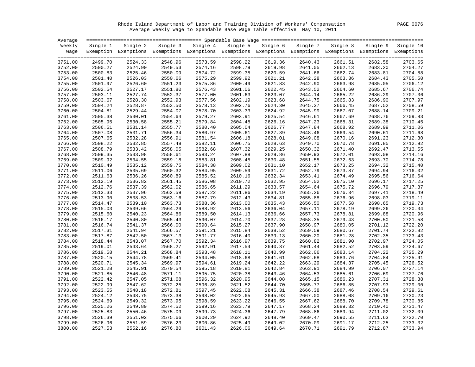Rhode Island Department of Labor and Training Division of Workers' Compensation PAGE 0076 Average Weekly Wage to Spendable Base Wage Table Effective May 10, 2011

| Average |          |          |         |                                                                                                              |          |          |          |          |          |           |
|---------|----------|----------|---------|--------------------------------------------------------------------------------------------------------------|----------|----------|----------|----------|----------|-----------|
| Weekly  | Single 1 | Single 2 |         | Single 3 Single 4                                                                                            | Single 5 | Single 6 | Single 7 | Single 8 | Single 9 | Single 10 |
| Waqe    |          |          |         | Exemption Exemptions Exemptions Exemptions Exemptions Exemptions Exemptions Exemptions Exemptions Exemptions |          |          |          |          |          |           |
|         |          |          |         |                                                                                                              |          |          |          |          |          |           |
| 3751.00 | 2499.70  | 2524.33  | 2548.96 | 2573.59                                                                                                      | 2598.22  | 2619.36  | 2640.43  | 2661.51  | 2682.58  | 2703.65   |
| 3752.00 | 2500.27  | 2524.90  | 2549.53 | 2574.16                                                                                                      | 2598.79  | 2619.98  | 2641.05  | 2662.13  | 2683.20  | 2704.27   |
| 3753.00 | 2500.83  | 2525.46  | 2550.09 | 2574.72                                                                                                      | 2599.35  | 2620.59  | 2641.66  | 2662.74  | 2683.81  | 2704.88   |
| 3754.00 | 2501.40  | 2526.03  | 2550.66 | 2575.29                                                                                                      | 2599.92  | 2621.21  | 2642.28  | 2663.36  | 2684.43  | 2705.50   |
| 3755.00 | 2501.97  | 2526.60  | 2551.23 | 2575.86                                                                                                      | 2600.49  | 2621.83  | 2642.90  | 2663.98  | 2685.05  | 2706.12   |
| 3756.00 | 2502.54  | 2527.17  | 2551.80 | 2576.43                                                                                                      | 2601.06  | 2622.45  | 2643.52  | 2664.60  | 2685.67  | 2706.74   |
| 3757.00 | 2503.11  | 2527.74  | 2552.37 | 2577.00                                                                                                      | 2601.63  | 2623.07  | 2644.14  | 2665.22  | 2686.29  | 2707.36   |
| 3758.00 | 2503.67  | 2528.30  | 2552.93 | 2577.56                                                                                                      | 2602.19  | 2623.68  | 2644.75  | 2665.83  | 2686.90  | 2707.97   |
| 3759.00 | 2504.24  | 2528.87  | 2553.50 | 2578.13                                                                                                      | 2602.76  | 2624.30  | 2645.37  | 2666.45  | 2687.52  | 2708.59   |
| 3760.00 | 2504.81  | 2529.44  | 2554.07 | 2578.70                                                                                                      | 2603.33  | 2624.92  | 2645.99  | 2667.07  | 2688.14  | 2709.21   |
| 3761.00 | 2505.38  | 2530.01  | 2554.64 | 2579.27                                                                                                      | 2603.91  | 2625.54  | 2646.61  | 2667.69  | 2688.76  | 2709.83   |
| 3762.00 | 2505.95  | 2530.58  | 2555.21 | 2579.84                                                                                                      | 2604.48  | 2626.16  | 2647.23  | 2668.31  | 2689.38  | 2710.45   |
| 3763.00 | 2506.51  | 2531.14  | 2555.77 | 2580.40                                                                                                      | 2605.04  | 2626.77  | 2647.84  | 2668.92  | 2689.99  | 2711.06   |
| 3764.00 | 2507.08  | 2531.71  | 2556.34 | 2580.97                                                                                                      | 2605.61  | 2627.39  | 2648.46  | 2669.54  | 2690.61  | 2711.68   |
| 3765.00 | 2507.65  | 2532.28  | 2556.91 | 2581.54                                                                                                      | 2606.18  | 2628.01  | 2649.08  | 2670.16  | 2691.23  | 2712.30   |
| 3766.00 | 2508.22  | 2532.85  | 2557.48 | 2582.11                                                                                                      | 2606.75  | 2628.63  | 2649.70  | 2670.78  | 2691.85  | 2712.92   |
| 3767.00 | 2508.79  | 2533.42  | 2558.05 | 2582.68                                                                                                      | 2607.32  | 2629.25  | 2650.32  | 2671.40  | 2692.47  | 2713.55   |
| 3768.00 | 2509.35  | 2533.98  | 2558.61 | 2583.24                                                                                                      | 2607.88  | 2629.86  | 2650.93  | 2672.01  | 2693.08  | 2714.16   |
| 3769.00 | 2509.92  | 2534.55  | 2559.18 | 2583.81                                                                                                      | 2608.45  | 2630.48  | 2651.55  | 2672.63  | 2693.70  | 2714.78   |
| 3770.00 | 2510.49  | 2535.12  | 2559.75 | 2584.38                                                                                                      | 2609.02  | 2631.10  | 2652.17  | 2673.25  | 2694.32  | 2715.40   |
| 3771.00 | 2511.06  | 2535.69  | 2560.32 | 2584.95                                                                                                      | 2609.59  | 2631.72  | 2652.79  | 2673.87  | 2694.94  | 2716.02   |
| 3772.00 | 2511.63  | 2536.26  | 2560.89 | 2585.52                                                                                                      | 2610.16  | 2632.34  | 2653.41  | 2674.49  | 2695.56  | 2716.64   |
| 3773.00 | 2512.19  | 2536.82  | 2561.45 | 2586.08                                                                                                      | 2610.72  | 2632.95  | 2654.02  | 2675.10  | 2696.17  | 2717.25   |
| 3774.00 | 2512.76  | 2537.39  | 2562.02 | 2586.65                                                                                                      | 2611.29  | 2633.57  | 2654.64  | 2675.72  | 2696.79  | 2717.87   |
| 3775.00 | 2513.33  | 2537.96  | 2562.59 | 2587.22                                                                                                      | 2611.86  | 2634.19  | 2655.26  | 2676.34  | 2697.41  | 2718.49   |
| 3776.00 | 2513.90  | 2538.53  | 2563.16 | 2587.79                                                                                                      | 2612.43  | 2634.81  | 2655.88  | 2676.96  | 2698.03  | 2719.11   |
| 3777.00 | 2514.47  | 2539.10  | 2563.73 | 2588.36                                                                                                      | 2613.00  | 2635.43  | 2656.50  | 2677.58  | 2698.65  | 2719.73   |
| 3778.00 | 2515.03  | 2539.66  | 2564.29 | 2588.92                                                                                                      | 2613.56  | 2636.04  | 2657.11  | 2678.19  | 2699.26  | 2720.34   |
| 3779.00 | 2515.60  | 2540.23  | 2564.86 | 2589.50                                                                                                      | 2614.13  | 2636.66  | 2657.73  | 2678.81  | 2699.88  | 2720.96   |
| 3780.00 | 2516.17  | 2540.80  | 2565.43 | 2590.07                                                                                                      | 2614.70  | 2637.28  | 2658.35  | 2679.43  | 2700.50  | 2721.58   |
| 3781.00 | 2516.74  | 2541.37  | 2566.00 | 2590.64                                                                                                      | 2615.27  | 2637.90  | 2658.97  | 2680.05  | 2701.12  | 2722.20   |
| 3782.00 | 2517.31  | 2541.94  | 2566.57 | 2591.21                                                                                                      | 2615.84  | 2638.52  | 2659.59  | 2680.67  | 2701.74  | 2722.82   |
| 3783.00 | 2517.87  | 2542.50  | 2567.13 | 2591.77                                                                                                      | 2616.40  | 2639.13  | 2660.20  | 2681.28  | 2702.35  | 2723.43   |
| 3784.00 | 2518.44  | 2543.07  | 2567.70 | 2592.34                                                                                                      | 2616.97  | 2639.75  | 2660.82  | 2681.90  | 2702.97  | 2724.05   |
| 3785.00 | 2519.01  | 2543.64  | 2568.27 | 2592.91                                                                                                      | 2617.54  | 2640.37  | 2661.44  | 2682.52  | 2703.59  | 2724.67   |
| 3786.00 | 2519.58  | 2544.21  | 2568.84 | 2593.48                                                                                                      | 2618.11  | 2640.99  | 2662.06  | 2683.14  | 2704.22  | 2725.29   |
| 3787.00 | 2520.15  | 2544.78  | 2569.41 | 2594.05                                                                                                      | 2618.68  | 2641.61  | 2662.68  | 2683.76  | 2704.84  | 2725.91   |
| 3788.00 | 2520.71  | 2545.34  | 2569.97 | 2594.61                                                                                                      | 2619.24  | 2642.22  | 2663.29  | 2684.37  | 2705.45  | 2726.52   |
| 3789.00 | 2521.28  | 2545.91  | 2570.54 | 2595.18                                                                                                      | 2619.81  | 2642.84  | 2663.91  | 2684.99  | 2706.07  | 2727.14   |
| 3790.00 | 2521.85  | 2546.48  | 2571.11 | 2595.75                                                                                                      | 2620.38  | 2643.46  | 2664.53  | 2685.61  | 2706.69  | 2727.76   |
| 3791.00 | 2522.42  | 2547.05  | 2571.68 | 2596.32                                                                                                      | 2620.95  | 2644.08  | 2665.15  | 2686.23  | 2707.31  | 2728.38   |
| 3792.00 | 2522.99  | 2547.62  | 2572.25 | 2596.89                                                                                                      | 2621.52  | 2644.70  | 2665.77  | 2686.85  | 2707.93  | 2729.00   |
| 3793.00 | 2523.55  | 2548.18  | 2572.81 | 2597.45                                                                                                      | 2622.08  | 2645.31  | 2666.38  | 2687.46  | 2708.54  | 2729.61   |
| 3794.00 | 2524.12  | 2548.75  | 2573.38 | 2598.02                                                                                                      | 2622.65  | 2645.93  | 2667.00  | 2688.08  | 2709.16  | 2730.23   |
| 3795.00 | 2524.69  | 2549.32  | 2573.95 | 2598.59                                                                                                      | 2623.22  | 2646.55  | 2667.62  | 2688.70  | 2709.78  | 2730.85   |
| 3796.00 | 2525.26  | 2549.89  | 2574.52 | 2599.16                                                                                                      | 2623.79  | 2647.17  | 2668.24  | 2689.32  | 2710.40  | 2731.47   |
| 3797.00 | 2525.83  | 2550.46  | 2575.09 | 2599.73                                                                                                      | 2624.36  | 2647.79  | 2668.86  | 2689.94  | 2711.02  | 2732.09   |
| 3798.00 | 2526.39  | 2551.02  | 2575.66 | 2600.29                                                                                                      | 2624.92  | 2648.40  | 2669.47  | 2690.55  | 2711.63  | 2732.70   |
| 3799.00 | 2526.96  | 2551.59  | 2576.23 | 2600.86                                                                                                      | 2625.49  | 2649.02  | 2670.09  | 2691.17  | 2712.25  | 2733.32   |
| 3800.00 | 2527.53  | 2552.16  | 2576.80 | 2601.43                                                                                                      | 2626.06  | 2649.64  | 2670.71  | 2691.79  | 2712.87  | 2733.94   |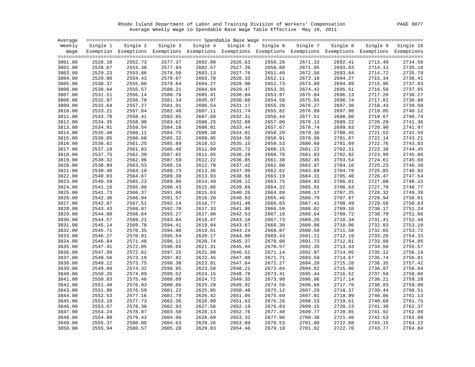Rhode Island Department of Labor and Training Division of Workers' Compensation PAGE 0077 Average Weekly Wage to Spendable Base Wage Table Effective May 10, 2011

| Single 8<br>Weekly<br>Single 2<br>Single 3<br>Single 4<br>Single 5<br>Single 6<br>Single 7<br>Single 9<br>Single 10<br>Single 1<br>Exemption Exemptions Exemptions Exemptions Exemptions Exemptions Exemptions Exemptions Exemptions Exemptions<br>Waqe<br>2577.37<br>2626.63<br>3801.00<br>2528.10<br>2552.73<br>2602.00<br>2650.26<br>2671.33<br>2692.41<br>2713.49<br>2734.56<br>2577.94<br>2627.20<br>2671.95<br>2735.18<br>3802.00<br>2528.67<br>2553.30<br>2602.57<br>2650.88<br>2693.03<br>2714.11<br>2529.23<br>2578.50<br>2603.13<br>2627.76<br>2672.56<br>2735.79<br>3803.00<br>2553.86<br>2651.49<br>2693.64<br>2714.72<br>2554.43<br>2579.07<br>2603.70<br>2628.33<br>2652.11<br>2673.18<br>2736.41<br>3804.00<br>2529.80<br>2694.27<br>2715.34<br>2737.03<br>2530.37<br>2555.00<br>2579.64<br>2604.27<br>2628.90<br>2652.73<br>2673.80<br>2694.89<br>2715.96<br>3805.00<br>2530.94<br>2555.57<br>2580.21<br>2604.84<br>2629.47<br>2653.35<br>2674.42<br>2695.51<br>2716.58<br>2737.65<br>3806.00<br>2531.51<br>2556.14<br>2580.78<br>2605.41<br>2630.04<br>2653.97<br>2675.04<br>2717.20<br>2738.27<br>3807.00<br>2696.13<br>2556.70<br>2605.97<br>2675.65<br>2717.81<br>2738.88<br>3808.00<br>2532.07<br>2581.34<br>2630.60<br>2654.58<br>2696.74<br>2557.27<br>2739.50<br>3809.00<br>2532.64<br>2581.91<br>2606.54<br>2631.17<br>2655.20<br>2676.27<br>2697.36<br>2718.43<br>2557.84<br>2740.12<br>3810.00<br>2533.21<br>2582.48<br>2607.11<br>2631.74<br>2655.82<br>2676.89<br>2697.98<br>2719.05<br>2740.74<br>3811.00<br>2533.78<br>2558.41<br>2583.05<br>2607.68<br>2632.31<br>2656.44<br>2677.51<br>2698.60<br>2719.67<br>2558.98<br>2608.25<br>2632.88<br>2657.06<br>2678.13<br>2741.36<br>3812.00<br>2534.35<br>2583.62<br>2699.22<br>2720.29<br>2534.91<br>2559.54<br>2584.18<br>2608.81<br>2633.44<br>2657.67<br>2678.74<br>2699.83<br>2720.90<br>2741.97<br>3813.00<br>2609.38<br>2658.29<br>2679.36<br>2742.59<br>3814.00<br>2535.48<br>2560.11<br>2584.75<br>2634.01<br>2700.45<br>2721.52<br>2560.68<br>2609.95<br>2658.91<br>2679.98<br>2743.21<br>3815.00<br>2536.05<br>2585.32<br>2634.58<br>2701.07<br>2722.14<br>2536.62<br>2561.25<br>2585.89<br>2610.52<br>2680.60<br>2722.76<br>2743.83<br>3816.00<br>2635.15<br>2659.53<br>2701.69<br>2537.19<br>2561.83<br>2611.09<br>2635.72<br>2660.15<br>2681.22<br>2723.38<br>2744.45<br>3817.00<br>2586.46<br>2702.31<br>2745.06<br>3818.00<br>2537.75<br>2562.39<br>2587.02<br>2611.65<br>2636.28<br>2660.76<br>2681.83<br>2702.92<br>2723.99<br>2538.32<br>2612.22<br>2745.68<br>3819.00<br>2562.96<br>2587.59<br>2636.85<br>2661.38<br>2682.45<br>2703.54<br>2724.61<br>2538.89<br>2563.53<br>2612.79<br>2662.00<br>2683.07<br>2704.16<br>2746.30<br>3820.00<br>2588.16<br>2637.42<br>2725.23<br>2564.10<br>2588.73<br>2613.36<br>2637.99<br>2683.69<br>2704.78<br>2725.85<br>2746.92<br>3821.00<br>2539.46<br>2662.62<br>2564.67<br>2613.93<br>2684.31<br>2747.54<br>3822.00<br>2540.03<br>2589.30<br>2638.56<br>2663.19<br>2705.40<br>2726.47<br>2614.49<br>2684.93<br>2748.15<br>3823.00<br>2540.59<br>2565.23<br>2589.86<br>2639.12<br>2663.75<br>2706.01<br>2727.08<br>2615.06<br>2748.77<br>3824.00<br>2541.16<br>2565.80<br>2590.43<br>2639.69<br>2664.32<br>2685.55<br>2706.63<br>2727.70<br>2541.73<br>2566.37<br>2591.00<br>2615.63<br>2640.26<br>2664.89<br>2686.17<br>2707.25<br>2728.32<br>2749.39<br>3825.00<br>2750.01<br>2542.30<br>2566.94<br>2591.57<br>2616.20<br>2640.83<br>2665.46<br>2686.79<br>2707.87<br>2728.94<br>3826.00<br>2592.14<br>2616.77<br>2687.41<br>2708.49<br>2750.63<br>3827.00<br>2542.87<br>2567.51<br>2641.40<br>2666.03<br>2729.56<br>2568.07<br>2592.70<br>2617.33<br>2641.96<br>2688.02<br>2709.10<br>2751.24<br>3828.00<br>2543.43<br>2666.59<br>2730.17<br>2751.86<br>2544.00<br>2568.64<br>2593.27<br>2617.90<br>2688.64<br>3829.00<br>2642.53<br>2667.16<br>2709.72<br>2730.79<br>2544.57<br>2569.21<br>2593.84<br>2618.47<br>2643.10<br>2667.73<br>2689.26<br>2752.48<br>3830.00<br>2710.34<br>2731.41<br>2569.78<br>2594.41<br>2619.04<br>2668.30<br>2689.88<br>2710.96<br>2753.10<br>3831.00<br>2545.14<br>2643.67<br>2732.03<br>2545.71<br>2570.35<br>2594.98<br>2619.61<br>2644.24<br>2668.87<br>2690.50<br>2711.58<br>2732.65<br>2753.72<br>3832.00<br>2754.33<br>2546.27<br>2570.91<br>2595.54<br>2620.17<br>2669.43<br>2691.11<br>2712.19<br>2733.26<br>3833.00<br>2644.80<br>2546.84<br>2571.48<br>2620.74<br>2645.37<br>2691.73<br>2712.81<br>2733.88<br>2754.95<br>3834.00<br>2596.11<br>2670.00<br>2755.57<br>2572.05<br>2692.35<br>3835.00<br>2547.41<br>2596.68<br>2621.31<br>2645.94<br>2670.57<br>2713.43<br>2734.50<br>2547.99<br>2572.62<br>2621.88<br>2692.97<br>2756.19<br>3836.00<br>2597.25<br>2646.51<br>2671.14<br>2714.05<br>2735.12<br>2548.56<br>2573.19<br>2597.82<br>2622.45<br>2671.71<br>2693.59<br>2714.67<br>2735.74<br>2756.81<br>3837.00<br>2647.08<br>2573.75<br>2757.42<br>3838.00<br>2549.12<br>2598.38<br>2623.01<br>2647.64<br>2672.27<br>2694.20<br>2715.28<br>2736.35<br>3839.00<br>2549.69<br>2574.32<br>2598.95<br>2623.58<br>2648.21<br>2672.84<br>2694.82<br>2715.90<br>2736.97<br>2758.04<br>2574.89<br>2599.52<br>2624.15<br>2695.44<br>2758.66<br>3840.00<br>2550.26<br>2648.78<br>2673.41<br>2716.52<br>2737.59<br>2575.46<br>2649.35<br>2673.98<br>2696.06<br>2759.28<br>3841.00<br>2550.83<br>2600.09<br>2624.72<br>2717.14<br>2738.21<br>2625.29<br>2717.76<br>2738.83<br>2759.90<br>3842.00<br>2551.40<br>2576.03<br>2600.66<br>2649.92<br>2674.56<br>2696.68<br>2760.51<br>3843.00<br>2551.96<br>2576.59<br>2601.22<br>2625.85<br>2650.48<br>2675.12<br>2697.29<br>2718.37<br>2739.44<br>2552.53<br>2577.16<br>2601.79<br>2626.42<br>2675.69<br>2697.91<br>2718.99<br>2740.06<br>2761.13<br>3844.00<br>2651.05<br>2553.10<br>2577.73<br>2626.99<br>2676.26<br>2698.53<br>2761.75<br>3845.00<br>2602.36<br>2651.62<br>2719.61<br>2740.68<br>2762.37<br>2553.67<br>2578.30<br>2602.93<br>2627.56<br>2652.19<br>2676.83<br>2699.15<br>2720.23<br>2741.30<br>3846.00<br>2554.24<br>2578.87<br>2603.50<br>2628.13<br>2652.76<br>2699.77<br>2720.85<br>2741.92<br>2762.99<br>3847.00<br>2677.40<br>2554.80<br>2579.43<br>2604.06<br>2628.69<br>2677.96<br>2700.38<br>2763.60<br>3848.00<br>2653.32<br>2721.46<br>2742.53<br>2555.37<br>2580.00<br>2629.26<br>2653.89<br>2678.53<br>2701.00<br>2722.08<br>2764.22<br>3849.00<br>2604.63<br>2743.15<br>2555.94<br>2580.57<br>2605.20<br>2629.83<br>2654.46<br>2679.10<br>2701.62<br>2722.70<br>2743.77<br>2764.84<br>3850.00 | Average |  |  |  |  |  |
|-----------------------------------------------------------------------------------------------------------------------------------------------------------------------------------------------------------------------------------------------------------------------------------------------------------------------------------------------------------------------------------------------------------------------------------------------------------------------------------------------------------------------------------------------------------------------------------------------------------------------------------------------------------------------------------------------------------------------------------------------------------------------------------------------------------------------------------------------------------------------------------------------------------------------------------------------------------------------------------------------------------------------------------------------------------------------------------------------------------------------------------------------------------------------------------------------------------------------------------------------------------------------------------------------------------------------------------------------------------------------------------------------------------------------------------------------------------------------------------------------------------------------------------------------------------------------------------------------------------------------------------------------------------------------------------------------------------------------------------------------------------------------------------------------------------------------------------------------------------------------------------------------------------------------------------------------------------------------------------------------------------------------------------------------------------------------------------------------------------------------------------------------------------------------------------------------------------------------------------------------------------------------------------------------------------------------------------------------------------------------------------------------------------------------------------------------------------------------------------------------------------------------------------------------------------------------------------------------------------------------------------------------------------------------------------------------------------------------------------------------------------------------------------------------------------------------------------------------------------------------------------------------------------------------------------------------------------------------------------------------------------------------------------------------------------------------------------------------------------------------------------------------------------------------------------------------------------------------------------------------------------------------------------------------------------------------------------------------------------------------------------------------------------------------------------------------------------------------------------------------------------------------------------------------------------------------------------------------------------------------------------------------------------------------------------------------------------------------------------------------------------------------------------------------------------------------------------------------------------------------------------------------------------------------------------------------------------------------------------------------------------------------------------------------------------------------------------------------------------------------------------------------------------------------------------------------------------------------------------------------------------------------------------------------------------------------------------------------------------------------------------------------------------------------------------------------------------------------------------------------------------------------------------------------------------------------------------------------------------------------------------------------------------------------------------------------------------------------------------------------------------------------------------------------------------------------------------------------------------------------------------------------------------------------------------------------------------------------------------------------------------------------------------------------------------------------------------------------------------------------------------------------------------------------------------------------------------------------------------------------------------------------------------------------------------------------------------------------------------------------------------------------------------------------------------------------------------------------------------------------------------------------------------------------------------------------------------------------------------------------------------------------------------------------------------------------------------------------------------------------------------------------------------------------------------------------------------------------------------------------------------------------------------------------------------------------------------------------------------------------------------------------------------------------------------------------------------------------------------------------------------------------------------------------------------------------------------------------------------------------------------------------------------------------------------------------------------------------------------------------------------------------------------------------------------------------------------------------------------------------------------------------------------------------------------|---------|--|--|--|--|--|
|                                                                                                                                                                                                                                                                                                                                                                                                                                                                                                                                                                                                                                                                                                                                                                                                                                                                                                                                                                                                                                                                                                                                                                                                                                                                                                                                                                                                                                                                                                                                                                                                                                                                                                                                                                                                                                                                                                                                                                                                                                                                                                                                                                                                                                                                                                                                                                                                                                                                                                                                                                                                                                                                                                                                                                                                                                                                                                                                                                                                                                                                                                                                                                                                                                                                                                                                                                                                                                                                                                                                                                                                                                                                                                                                                                                                                                                                                                                                                                                                                                                                                                                                                                                                                                                                                                                                                                                                                                                                                                                                                                                                                                                                                                                                                                                                                                                                                                                                                                                                                                                                                                                                                                                                                                                                                                                                                                                                                                                                                                                                                                                                                                                                                                                                                                                                                                                                                                                                                                                                                                                                                                                                                                                                                                                                                                                                                                                                                                                                                                                                                           |         |  |  |  |  |  |
|                                                                                                                                                                                                                                                                                                                                                                                                                                                                                                                                                                                                                                                                                                                                                                                                                                                                                                                                                                                                                                                                                                                                                                                                                                                                                                                                                                                                                                                                                                                                                                                                                                                                                                                                                                                                                                                                                                                                                                                                                                                                                                                                                                                                                                                                                                                                                                                                                                                                                                                                                                                                                                                                                                                                                                                                                                                                                                                                                                                                                                                                                                                                                                                                                                                                                                                                                                                                                                                                                                                                                                                                                                                                                                                                                                                                                                                                                                                                                                                                                                                                                                                                                                                                                                                                                                                                                                                                                                                                                                                                                                                                                                                                                                                                                                                                                                                                                                                                                                                                                                                                                                                                                                                                                                                                                                                                                                                                                                                                                                                                                                                                                                                                                                                                                                                                                                                                                                                                                                                                                                                                                                                                                                                                                                                                                                                                                                                                                                                                                                                                                           |         |  |  |  |  |  |
|                                                                                                                                                                                                                                                                                                                                                                                                                                                                                                                                                                                                                                                                                                                                                                                                                                                                                                                                                                                                                                                                                                                                                                                                                                                                                                                                                                                                                                                                                                                                                                                                                                                                                                                                                                                                                                                                                                                                                                                                                                                                                                                                                                                                                                                                                                                                                                                                                                                                                                                                                                                                                                                                                                                                                                                                                                                                                                                                                                                                                                                                                                                                                                                                                                                                                                                                                                                                                                                                                                                                                                                                                                                                                                                                                                                                                                                                                                                                                                                                                                                                                                                                                                                                                                                                                                                                                                                                                                                                                                                                                                                                                                                                                                                                                                                                                                                                                                                                                                                                                                                                                                                                                                                                                                                                                                                                                                                                                                                                                                                                                                                                                                                                                                                                                                                                                                                                                                                                                                                                                                                                                                                                                                                                                                                                                                                                                                                                                                                                                                                                                           |         |  |  |  |  |  |
|                                                                                                                                                                                                                                                                                                                                                                                                                                                                                                                                                                                                                                                                                                                                                                                                                                                                                                                                                                                                                                                                                                                                                                                                                                                                                                                                                                                                                                                                                                                                                                                                                                                                                                                                                                                                                                                                                                                                                                                                                                                                                                                                                                                                                                                                                                                                                                                                                                                                                                                                                                                                                                                                                                                                                                                                                                                                                                                                                                                                                                                                                                                                                                                                                                                                                                                                                                                                                                                                                                                                                                                                                                                                                                                                                                                                                                                                                                                                                                                                                                                                                                                                                                                                                                                                                                                                                                                                                                                                                                                                                                                                                                                                                                                                                                                                                                                                                                                                                                                                                                                                                                                                                                                                                                                                                                                                                                                                                                                                                                                                                                                                                                                                                                                                                                                                                                                                                                                                                                                                                                                                                                                                                                                                                                                                                                                                                                                                                                                                                                                                                           |         |  |  |  |  |  |
|                                                                                                                                                                                                                                                                                                                                                                                                                                                                                                                                                                                                                                                                                                                                                                                                                                                                                                                                                                                                                                                                                                                                                                                                                                                                                                                                                                                                                                                                                                                                                                                                                                                                                                                                                                                                                                                                                                                                                                                                                                                                                                                                                                                                                                                                                                                                                                                                                                                                                                                                                                                                                                                                                                                                                                                                                                                                                                                                                                                                                                                                                                                                                                                                                                                                                                                                                                                                                                                                                                                                                                                                                                                                                                                                                                                                                                                                                                                                                                                                                                                                                                                                                                                                                                                                                                                                                                                                                                                                                                                                                                                                                                                                                                                                                                                                                                                                                                                                                                                                                                                                                                                                                                                                                                                                                                                                                                                                                                                                                                                                                                                                                                                                                                                                                                                                                                                                                                                                                                                                                                                                                                                                                                                                                                                                                                                                                                                                                                                                                                                                                           |         |  |  |  |  |  |
|                                                                                                                                                                                                                                                                                                                                                                                                                                                                                                                                                                                                                                                                                                                                                                                                                                                                                                                                                                                                                                                                                                                                                                                                                                                                                                                                                                                                                                                                                                                                                                                                                                                                                                                                                                                                                                                                                                                                                                                                                                                                                                                                                                                                                                                                                                                                                                                                                                                                                                                                                                                                                                                                                                                                                                                                                                                                                                                                                                                                                                                                                                                                                                                                                                                                                                                                                                                                                                                                                                                                                                                                                                                                                                                                                                                                                                                                                                                                                                                                                                                                                                                                                                                                                                                                                                                                                                                                                                                                                                                                                                                                                                                                                                                                                                                                                                                                                                                                                                                                                                                                                                                                                                                                                                                                                                                                                                                                                                                                                                                                                                                                                                                                                                                                                                                                                                                                                                                                                                                                                                                                                                                                                                                                                                                                                                                                                                                                                                                                                                                                                           |         |  |  |  |  |  |
|                                                                                                                                                                                                                                                                                                                                                                                                                                                                                                                                                                                                                                                                                                                                                                                                                                                                                                                                                                                                                                                                                                                                                                                                                                                                                                                                                                                                                                                                                                                                                                                                                                                                                                                                                                                                                                                                                                                                                                                                                                                                                                                                                                                                                                                                                                                                                                                                                                                                                                                                                                                                                                                                                                                                                                                                                                                                                                                                                                                                                                                                                                                                                                                                                                                                                                                                                                                                                                                                                                                                                                                                                                                                                                                                                                                                                                                                                                                                                                                                                                                                                                                                                                                                                                                                                                                                                                                                                                                                                                                                                                                                                                                                                                                                                                                                                                                                                                                                                                                                                                                                                                                                                                                                                                                                                                                                                                                                                                                                                                                                                                                                                                                                                                                                                                                                                                                                                                                                                                                                                                                                                                                                                                                                                                                                                                                                                                                                                                                                                                                                                           |         |  |  |  |  |  |
|                                                                                                                                                                                                                                                                                                                                                                                                                                                                                                                                                                                                                                                                                                                                                                                                                                                                                                                                                                                                                                                                                                                                                                                                                                                                                                                                                                                                                                                                                                                                                                                                                                                                                                                                                                                                                                                                                                                                                                                                                                                                                                                                                                                                                                                                                                                                                                                                                                                                                                                                                                                                                                                                                                                                                                                                                                                                                                                                                                                                                                                                                                                                                                                                                                                                                                                                                                                                                                                                                                                                                                                                                                                                                                                                                                                                                                                                                                                                                                                                                                                                                                                                                                                                                                                                                                                                                                                                                                                                                                                                                                                                                                                                                                                                                                                                                                                                                                                                                                                                                                                                                                                                                                                                                                                                                                                                                                                                                                                                                                                                                                                                                                                                                                                                                                                                                                                                                                                                                                                                                                                                                                                                                                                                                                                                                                                                                                                                                                                                                                                                                           |         |  |  |  |  |  |
|                                                                                                                                                                                                                                                                                                                                                                                                                                                                                                                                                                                                                                                                                                                                                                                                                                                                                                                                                                                                                                                                                                                                                                                                                                                                                                                                                                                                                                                                                                                                                                                                                                                                                                                                                                                                                                                                                                                                                                                                                                                                                                                                                                                                                                                                                                                                                                                                                                                                                                                                                                                                                                                                                                                                                                                                                                                                                                                                                                                                                                                                                                                                                                                                                                                                                                                                                                                                                                                                                                                                                                                                                                                                                                                                                                                                                                                                                                                                                                                                                                                                                                                                                                                                                                                                                                                                                                                                                                                                                                                                                                                                                                                                                                                                                                                                                                                                                                                                                                                                                                                                                                                                                                                                                                                                                                                                                                                                                                                                                                                                                                                                                                                                                                                                                                                                                                                                                                                                                                                                                                                                                                                                                                                                                                                                                                                                                                                                                                                                                                                                                           |         |  |  |  |  |  |
|                                                                                                                                                                                                                                                                                                                                                                                                                                                                                                                                                                                                                                                                                                                                                                                                                                                                                                                                                                                                                                                                                                                                                                                                                                                                                                                                                                                                                                                                                                                                                                                                                                                                                                                                                                                                                                                                                                                                                                                                                                                                                                                                                                                                                                                                                                                                                                                                                                                                                                                                                                                                                                                                                                                                                                                                                                                                                                                                                                                                                                                                                                                                                                                                                                                                                                                                                                                                                                                                                                                                                                                                                                                                                                                                                                                                                                                                                                                                                                                                                                                                                                                                                                                                                                                                                                                                                                                                                                                                                                                                                                                                                                                                                                                                                                                                                                                                                                                                                                                                                                                                                                                                                                                                                                                                                                                                                                                                                                                                                                                                                                                                                                                                                                                                                                                                                                                                                                                                                                                                                                                                                                                                                                                                                                                                                                                                                                                                                                                                                                                                                           |         |  |  |  |  |  |
|                                                                                                                                                                                                                                                                                                                                                                                                                                                                                                                                                                                                                                                                                                                                                                                                                                                                                                                                                                                                                                                                                                                                                                                                                                                                                                                                                                                                                                                                                                                                                                                                                                                                                                                                                                                                                                                                                                                                                                                                                                                                                                                                                                                                                                                                                                                                                                                                                                                                                                                                                                                                                                                                                                                                                                                                                                                                                                                                                                                                                                                                                                                                                                                                                                                                                                                                                                                                                                                                                                                                                                                                                                                                                                                                                                                                                                                                                                                                                                                                                                                                                                                                                                                                                                                                                                                                                                                                                                                                                                                                                                                                                                                                                                                                                                                                                                                                                                                                                                                                                                                                                                                                                                                                                                                                                                                                                                                                                                                                                                                                                                                                                                                                                                                                                                                                                                                                                                                                                                                                                                                                                                                                                                                                                                                                                                                                                                                                                                                                                                                                                           |         |  |  |  |  |  |
|                                                                                                                                                                                                                                                                                                                                                                                                                                                                                                                                                                                                                                                                                                                                                                                                                                                                                                                                                                                                                                                                                                                                                                                                                                                                                                                                                                                                                                                                                                                                                                                                                                                                                                                                                                                                                                                                                                                                                                                                                                                                                                                                                                                                                                                                                                                                                                                                                                                                                                                                                                                                                                                                                                                                                                                                                                                                                                                                                                                                                                                                                                                                                                                                                                                                                                                                                                                                                                                                                                                                                                                                                                                                                                                                                                                                                                                                                                                                                                                                                                                                                                                                                                                                                                                                                                                                                                                                                                                                                                                                                                                                                                                                                                                                                                                                                                                                                                                                                                                                                                                                                                                                                                                                                                                                                                                                                                                                                                                                                                                                                                                                                                                                                                                                                                                                                                                                                                                                                                                                                                                                                                                                                                                                                                                                                                                                                                                                                                                                                                                                                           |         |  |  |  |  |  |
|                                                                                                                                                                                                                                                                                                                                                                                                                                                                                                                                                                                                                                                                                                                                                                                                                                                                                                                                                                                                                                                                                                                                                                                                                                                                                                                                                                                                                                                                                                                                                                                                                                                                                                                                                                                                                                                                                                                                                                                                                                                                                                                                                                                                                                                                                                                                                                                                                                                                                                                                                                                                                                                                                                                                                                                                                                                                                                                                                                                                                                                                                                                                                                                                                                                                                                                                                                                                                                                                                                                                                                                                                                                                                                                                                                                                                                                                                                                                                                                                                                                                                                                                                                                                                                                                                                                                                                                                                                                                                                                                                                                                                                                                                                                                                                                                                                                                                                                                                                                                                                                                                                                                                                                                                                                                                                                                                                                                                                                                                                                                                                                                                                                                                                                                                                                                                                                                                                                                                                                                                                                                                                                                                                                                                                                                                                                                                                                                                                                                                                                                                           |         |  |  |  |  |  |
|                                                                                                                                                                                                                                                                                                                                                                                                                                                                                                                                                                                                                                                                                                                                                                                                                                                                                                                                                                                                                                                                                                                                                                                                                                                                                                                                                                                                                                                                                                                                                                                                                                                                                                                                                                                                                                                                                                                                                                                                                                                                                                                                                                                                                                                                                                                                                                                                                                                                                                                                                                                                                                                                                                                                                                                                                                                                                                                                                                                                                                                                                                                                                                                                                                                                                                                                                                                                                                                                                                                                                                                                                                                                                                                                                                                                                                                                                                                                                                                                                                                                                                                                                                                                                                                                                                                                                                                                                                                                                                                                                                                                                                                                                                                                                                                                                                                                                                                                                                                                                                                                                                                                                                                                                                                                                                                                                                                                                                                                                                                                                                                                                                                                                                                                                                                                                                                                                                                                                                                                                                                                                                                                                                                                                                                                                                                                                                                                                                                                                                                                                           |         |  |  |  |  |  |
|                                                                                                                                                                                                                                                                                                                                                                                                                                                                                                                                                                                                                                                                                                                                                                                                                                                                                                                                                                                                                                                                                                                                                                                                                                                                                                                                                                                                                                                                                                                                                                                                                                                                                                                                                                                                                                                                                                                                                                                                                                                                                                                                                                                                                                                                                                                                                                                                                                                                                                                                                                                                                                                                                                                                                                                                                                                                                                                                                                                                                                                                                                                                                                                                                                                                                                                                                                                                                                                                                                                                                                                                                                                                                                                                                                                                                                                                                                                                                                                                                                                                                                                                                                                                                                                                                                                                                                                                                                                                                                                                                                                                                                                                                                                                                                                                                                                                                                                                                                                                                                                                                                                                                                                                                                                                                                                                                                                                                                                                                                                                                                                                                                                                                                                                                                                                                                                                                                                                                                                                                                                                                                                                                                                                                                                                                                                                                                                                                                                                                                                                                           |         |  |  |  |  |  |
|                                                                                                                                                                                                                                                                                                                                                                                                                                                                                                                                                                                                                                                                                                                                                                                                                                                                                                                                                                                                                                                                                                                                                                                                                                                                                                                                                                                                                                                                                                                                                                                                                                                                                                                                                                                                                                                                                                                                                                                                                                                                                                                                                                                                                                                                                                                                                                                                                                                                                                                                                                                                                                                                                                                                                                                                                                                                                                                                                                                                                                                                                                                                                                                                                                                                                                                                                                                                                                                                                                                                                                                                                                                                                                                                                                                                                                                                                                                                                                                                                                                                                                                                                                                                                                                                                                                                                                                                                                                                                                                                                                                                                                                                                                                                                                                                                                                                                                                                                                                                                                                                                                                                                                                                                                                                                                                                                                                                                                                                                                                                                                                                                                                                                                                                                                                                                                                                                                                                                                                                                                                                                                                                                                                                                                                                                                                                                                                                                                                                                                                                                           |         |  |  |  |  |  |
|                                                                                                                                                                                                                                                                                                                                                                                                                                                                                                                                                                                                                                                                                                                                                                                                                                                                                                                                                                                                                                                                                                                                                                                                                                                                                                                                                                                                                                                                                                                                                                                                                                                                                                                                                                                                                                                                                                                                                                                                                                                                                                                                                                                                                                                                                                                                                                                                                                                                                                                                                                                                                                                                                                                                                                                                                                                                                                                                                                                                                                                                                                                                                                                                                                                                                                                                                                                                                                                                                                                                                                                                                                                                                                                                                                                                                                                                                                                                                                                                                                                                                                                                                                                                                                                                                                                                                                                                                                                                                                                                                                                                                                                                                                                                                                                                                                                                                                                                                                                                                                                                                                                                                                                                                                                                                                                                                                                                                                                                                                                                                                                                                                                                                                                                                                                                                                                                                                                                                                                                                                                                                                                                                                                                                                                                                                                                                                                                                                                                                                                                                           |         |  |  |  |  |  |
|                                                                                                                                                                                                                                                                                                                                                                                                                                                                                                                                                                                                                                                                                                                                                                                                                                                                                                                                                                                                                                                                                                                                                                                                                                                                                                                                                                                                                                                                                                                                                                                                                                                                                                                                                                                                                                                                                                                                                                                                                                                                                                                                                                                                                                                                                                                                                                                                                                                                                                                                                                                                                                                                                                                                                                                                                                                                                                                                                                                                                                                                                                                                                                                                                                                                                                                                                                                                                                                                                                                                                                                                                                                                                                                                                                                                                                                                                                                                                                                                                                                                                                                                                                                                                                                                                                                                                                                                                                                                                                                                                                                                                                                                                                                                                                                                                                                                                                                                                                                                                                                                                                                                                                                                                                                                                                                                                                                                                                                                                                                                                                                                                                                                                                                                                                                                                                                                                                                                                                                                                                                                                                                                                                                                                                                                                                                                                                                                                                                                                                                                                           |         |  |  |  |  |  |
|                                                                                                                                                                                                                                                                                                                                                                                                                                                                                                                                                                                                                                                                                                                                                                                                                                                                                                                                                                                                                                                                                                                                                                                                                                                                                                                                                                                                                                                                                                                                                                                                                                                                                                                                                                                                                                                                                                                                                                                                                                                                                                                                                                                                                                                                                                                                                                                                                                                                                                                                                                                                                                                                                                                                                                                                                                                                                                                                                                                                                                                                                                                                                                                                                                                                                                                                                                                                                                                                                                                                                                                                                                                                                                                                                                                                                                                                                                                                                                                                                                                                                                                                                                                                                                                                                                                                                                                                                                                                                                                                                                                                                                                                                                                                                                                                                                                                                                                                                                                                                                                                                                                                                                                                                                                                                                                                                                                                                                                                                                                                                                                                                                                                                                                                                                                                                                                                                                                                                                                                                                                                                                                                                                                                                                                                                                                                                                                                                                                                                                                                                           |         |  |  |  |  |  |
|                                                                                                                                                                                                                                                                                                                                                                                                                                                                                                                                                                                                                                                                                                                                                                                                                                                                                                                                                                                                                                                                                                                                                                                                                                                                                                                                                                                                                                                                                                                                                                                                                                                                                                                                                                                                                                                                                                                                                                                                                                                                                                                                                                                                                                                                                                                                                                                                                                                                                                                                                                                                                                                                                                                                                                                                                                                                                                                                                                                                                                                                                                                                                                                                                                                                                                                                                                                                                                                                                                                                                                                                                                                                                                                                                                                                                                                                                                                                                                                                                                                                                                                                                                                                                                                                                                                                                                                                                                                                                                                                                                                                                                                                                                                                                                                                                                                                                                                                                                                                                                                                                                                                                                                                                                                                                                                                                                                                                                                                                                                                                                                                                                                                                                                                                                                                                                                                                                                                                                                                                                                                                                                                                                                                                                                                                                                                                                                                                                                                                                                                                           |         |  |  |  |  |  |
|                                                                                                                                                                                                                                                                                                                                                                                                                                                                                                                                                                                                                                                                                                                                                                                                                                                                                                                                                                                                                                                                                                                                                                                                                                                                                                                                                                                                                                                                                                                                                                                                                                                                                                                                                                                                                                                                                                                                                                                                                                                                                                                                                                                                                                                                                                                                                                                                                                                                                                                                                                                                                                                                                                                                                                                                                                                                                                                                                                                                                                                                                                                                                                                                                                                                                                                                                                                                                                                                                                                                                                                                                                                                                                                                                                                                                                                                                                                                                                                                                                                                                                                                                                                                                                                                                                                                                                                                                                                                                                                                                                                                                                                                                                                                                                                                                                                                                                                                                                                                                                                                                                                                                                                                                                                                                                                                                                                                                                                                                                                                                                                                                                                                                                                                                                                                                                                                                                                                                                                                                                                                                                                                                                                                                                                                                                                                                                                                                                                                                                                                                           |         |  |  |  |  |  |
|                                                                                                                                                                                                                                                                                                                                                                                                                                                                                                                                                                                                                                                                                                                                                                                                                                                                                                                                                                                                                                                                                                                                                                                                                                                                                                                                                                                                                                                                                                                                                                                                                                                                                                                                                                                                                                                                                                                                                                                                                                                                                                                                                                                                                                                                                                                                                                                                                                                                                                                                                                                                                                                                                                                                                                                                                                                                                                                                                                                                                                                                                                                                                                                                                                                                                                                                                                                                                                                                                                                                                                                                                                                                                                                                                                                                                                                                                                                                                                                                                                                                                                                                                                                                                                                                                                                                                                                                                                                                                                                                                                                                                                                                                                                                                                                                                                                                                                                                                                                                                                                                                                                                                                                                                                                                                                                                                                                                                                                                                                                                                                                                                                                                                                                                                                                                                                                                                                                                                                                                                                                                                                                                                                                                                                                                                                                                                                                                                                                                                                                                                           |         |  |  |  |  |  |
|                                                                                                                                                                                                                                                                                                                                                                                                                                                                                                                                                                                                                                                                                                                                                                                                                                                                                                                                                                                                                                                                                                                                                                                                                                                                                                                                                                                                                                                                                                                                                                                                                                                                                                                                                                                                                                                                                                                                                                                                                                                                                                                                                                                                                                                                                                                                                                                                                                                                                                                                                                                                                                                                                                                                                                                                                                                                                                                                                                                                                                                                                                                                                                                                                                                                                                                                                                                                                                                                                                                                                                                                                                                                                                                                                                                                                                                                                                                                                                                                                                                                                                                                                                                                                                                                                                                                                                                                                                                                                                                                                                                                                                                                                                                                                                                                                                                                                                                                                                                                                                                                                                                                                                                                                                                                                                                                                                                                                                                                                                                                                                                                                                                                                                                                                                                                                                                                                                                                                                                                                                                                                                                                                                                                                                                                                                                                                                                                                                                                                                                                                           |         |  |  |  |  |  |
|                                                                                                                                                                                                                                                                                                                                                                                                                                                                                                                                                                                                                                                                                                                                                                                                                                                                                                                                                                                                                                                                                                                                                                                                                                                                                                                                                                                                                                                                                                                                                                                                                                                                                                                                                                                                                                                                                                                                                                                                                                                                                                                                                                                                                                                                                                                                                                                                                                                                                                                                                                                                                                                                                                                                                                                                                                                                                                                                                                                                                                                                                                                                                                                                                                                                                                                                                                                                                                                                                                                                                                                                                                                                                                                                                                                                                                                                                                                                                                                                                                                                                                                                                                                                                                                                                                                                                                                                                                                                                                                                                                                                                                                                                                                                                                                                                                                                                                                                                                                                                                                                                                                                                                                                                                                                                                                                                                                                                                                                                                                                                                                                                                                                                                                                                                                                                                                                                                                                                                                                                                                                                                                                                                                                                                                                                                                                                                                                                                                                                                                                                           |         |  |  |  |  |  |
|                                                                                                                                                                                                                                                                                                                                                                                                                                                                                                                                                                                                                                                                                                                                                                                                                                                                                                                                                                                                                                                                                                                                                                                                                                                                                                                                                                                                                                                                                                                                                                                                                                                                                                                                                                                                                                                                                                                                                                                                                                                                                                                                                                                                                                                                                                                                                                                                                                                                                                                                                                                                                                                                                                                                                                                                                                                                                                                                                                                                                                                                                                                                                                                                                                                                                                                                                                                                                                                                                                                                                                                                                                                                                                                                                                                                                                                                                                                                                                                                                                                                                                                                                                                                                                                                                                                                                                                                                                                                                                                                                                                                                                                                                                                                                                                                                                                                                                                                                                                                                                                                                                                                                                                                                                                                                                                                                                                                                                                                                                                                                                                                                                                                                                                                                                                                                                                                                                                                                                                                                                                                                                                                                                                                                                                                                                                                                                                                                                                                                                                                                           |         |  |  |  |  |  |
|                                                                                                                                                                                                                                                                                                                                                                                                                                                                                                                                                                                                                                                                                                                                                                                                                                                                                                                                                                                                                                                                                                                                                                                                                                                                                                                                                                                                                                                                                                                                                                                                                                                                                                                                                                                                                                                                                                                                                                                                                                                                                                                                                                                                                                                                                                                                                                                                                                                                                                                                                                                                                                                                                                                                                                                                                                                                                                                                                                                                                                                                                                                                                                                                                                                                                                                                                                                                                                                                                                                                                                                                                                                                                                                                                                                                                                                                                                                                                                                                                                                                                                                                                                                                                                                                                                                                                                                                                                                                                                                                                                                                                                                                                                                                                                                                                                                                                                                                                                                                                                                                                                                                                                                                                                                                                                                                                                                                                                                                                                                                                                                                                                                                                                                                                                                                                                                                                                                                                                                                                                                                                                                                                                                                                                                                                                                                                                                                                                                                                                                                                           |         |  |  |  |  |  |
|                                                                                                                                                                                                                                                                                                                                                                                                                                                                                                                                                                                                                                                                                                                                                                                                                                                                                                                                                                                                                                                                                                                                                                                                                                                                                                                                                                                                                                                                                                                                                                                                                                                                                                                                                                                                                                                                                                                                                                                                                                                                                                                                                                                                                                                                                                                                                                                                                                                                                                                                                                                                                                                                                                                                                                                                                                                                                                                                                                                                                                                                                                                                                                                                                                                                                                                                                                                                                                                                                                                                                                                                                                                                                                                                                                                                                                                                                                                                                                                                                                                                                                                                                                                                                                                                                                                                                                                                                                                                                                                                                                                                                                                                                                                                                                                                                                                                                                                                                                                                                                                                                                                                                                                                                                                                                                                                                                                                                                                                                                                                                                                                                                                                                                                                                                                                                                                                                                                                                                                                                                                                                                                                                                                                                                                                                                                                                                                                                                                                                                                                                           |         |  |  |  |  |  |
|                                                                                                                                                                                                                                                                                                                                                                                                                                                                                                                                                                                                                                                                                                                                                                                                                                                                                                                                                                                                                                                                                                                                                                                                                                                                                                                                                                                                                                                                                                                                                                                                                                                                                                                                                                                                                                                                                                                                                                                                                                                                                                                                                                                                                                                                                                                                                                                                                                                                                                                                                                                                                                                                                                                                                                                                                                                                                                                                                                                                                                                                                                                                                                                                                                                                                                                                                                                                                                                                                                                                                                                                                                                                                                                                                                                                                                                                                                                                                                                                                                                                                                                                                                                                                                                                                                                                                                                                                                                                                                                                                                                                                                                                                                                                                                                                                                                                                                                                                                                                                                                                                                                                                                                                                                                                                                                                                                                                                                                                                                                                                                                                                                                                                                                                                                                                                                                                                                                                                                                                                                                                                                                                                                                                                                                                                                                                                                                                                                                                                                                                                           |         |  |  |  |  |  |
|                                                                                                                                                                                                                                                                                                                                                                                                                                                                                                                                                                                                                                                                                                                                                                                                                                                                                                                                                                                                                                                                                                                                                                                                                                                                                                                                                                                                                                                                                                                                                                                                                                                                                                                                                                                                                                                                                                                                                                                                                                                                                                                                                                                                                                                                                                                                                                                                                                                                                                                                                                                                                                                                                                                                                                                                                                                                                                                                                                                                                                                                                                                                                                                                                                                                                                                                                                                                                                                                                                                                                                                                                                                                                                                                                                                                                                                                                                                                                                                                                                                                                                                                                                                                                                                                                                                                                                                                                                                                                                                                                                                                                                                                                                                                                                                                                                                                                                                                                                                                                                                                                                                                                                                                                                                                                                                                                                                                                                                                                                                                                                                                                                                                                                                                                                                                                                                                                                                                                                                                                                                                                                                                                                                                                                                                                                                                                                                                                                                                                                                                                           |         |  |  |  |  |  |
|                                                                                                                                                                                                                                                                                                                                                                                                                                                                                                                                                                                                                                                                                                                                                                                                                                                                                                                                                                                                                                                                                                                                                                                                                                                                                                                                                                                                                                                                                                                                                                                                                                                                                                                                                                                                                                                                                                                                                                                                                                                                                                                                                                                                                                                                                                                                                                                                                                                                                                                                                                                                                                                                                                                                                                                                                                                                                                                                                                                                                                                                                                                                                                                                                                                                                                                                                                                                                                                                                                                                                                                                                                                                                                                                                                                                                                                                                                                                                                                                                                                                                                                                                                                                                                                                                                                                                                                                                                                                                                                                                                                                                                                                                                                                                                                                                                                                                                                                                                                                                                                                                                                                                                                                                                                                                                                                                                                                                                                                                                                                                                                                                                                                                                                                                                                                                                                                                                                                                                                                                                                                                                                                                                                                                                                                                                                                                                                                                                                                                                                                                           |         |  |  |  |  |  |
|                                                                                                                                                                                                                                                                                                                                                                                                                                                                                                                                                                                                                                                                                                                                                                                                                                                                                                                                                                                                                                                                                                                                                                                                                                                                                                                                                                                                                                                                                                                                                                                                                                                                                                                                                                                                                                                                                                                                                                                                                                                                                                                                                                                                                                                                                                                                                                                                                                                                                                                                                                                                                                                                                                                                                                                                                                                                                                                                                                                                                                                                                                                                                                                                                                                                                                                                                                                                                                                                                                                                                                                                                                                                                                                                                                                                                                                                                                                                                                                                                                                                                                                                                                                                                                                                                                                                                                                                                                                                                                                                                                                                                                                                                                                                                                                                                                                                                                                                                                                                                                                                                                                                                                                                                                                                                                                                                                                                                                                                                                                                                                                                                                                                                                                                                                                                                                                                                                                                                                                                                                                                                                                                                                                                                                                                                                                                                                                                                                                                                                                                                           |         |  |  |  |  |  |
|                                                                                                                                                                                                                                                                                                                                                                                                                                                                                                                                                                                                                                                                                                                                                                                                                                                                                                                                                                                                                                                                                                                                                                                                                                                                                                                                                                                                                                                                                                                                                                                                                                                                                                                                                                                                                                                                                                                                                                                                                                                                                                                                                                                                                                                                                                                                                                                                                                                                                                                                                                                                                                                                                                                                                                                                                                                                                                                                                                                                                                                                                                                                                                                                                                                                                                                                                                                                                                                                                                                                                                                                                                                                                                                                                                                                                                                                                                                                                                                                                                                                                                                                                                                                                                                                                                                                                                                                                                                                                                                                                                                                                                                                                                                                                                                                                                                                                                                                                                                                                                                                                                                                                                                                                                                                                                                                                                                                                                                                                                                                                                                                                                                                                                                                                                                                                                                                                                                                                                                                                                                                                                                                                                                                                                                                                                                                                                                                                                                                                                                                                           |         |  |  |  |  |  |
|                                                                                                                                                                                                                                                                                                                                                                                                                                                                                                                                                                                                                                                                                                                                                                                                                                                                                                                                                                                                                                                                                                                                                                                                                                                                                                                                                                                                                                                                                                                                                                                                                                                                                                                                                                                                                                                                                                                                                                                                                                                                                                                                                                                                                                                                                                                                                                                                                                                                                                                                                                                                                                                                                                                                                                                                                                                                                                                                                                                                                                                                                                                                                                                                                                                                                                                                                                                                                                                                                                                                                                                                                                                                                                                                                                                                                                                                                                                                                                                                                                                                                                                                                                                                                                                                                                                                                                                                                                                                                                                                                                                                                                                                                                                                                                                                                                                                                                                                                                                                                                                                                                                                                                                                                                                                                                                                                                                                                                                                                                                                                                                                                                                                                                                                                                                                                                                                                                                                                                                                                                                                                                                                                                                                                                                                                                                                                                                                                                                                                                                                                           |         |  |  |  |  |  |
|                                                                                                                                                                                                                                                                                                                                                                                                                                                                                                                                                                                                                                                                                                                                                                                                                                                                                                                                                                                                                                                                                                                                                                                                                                                                                                                                                                                                                                                                                                                                                                                                                                                                                                                                                                                                                                                                                                                                                                                                                                                                                                                                                                                                                                                                                                                                                                                                                                                                                                                                                                                                                                                                                                                                                                                                                                                                                                                                                                                                                                                                                                                                                                                                                                                                                                                                                                                                                                                                                                                                                                                                                                                                                                                                                                                                                                                                                                                                                                                                                                                                                                                                                                                                                                                                                                                                                                                                                                                                                                                                                                                                                                                                                                                                                                                                                                                                                                                                                                                                                                                                                                                                                                                                                                                                                                                                                                                                                                                                                                                                                                                                                                                                                                                                                                                                                                                                                                                                                                                                                                                                                                                                                                                                                                                                                                                                                                                                                                                                                                                                                           |         |  |  |  |  |  |
|                                                                                                                                                                                                                                                                                                                                                                                                                                                                                                                                                                                                                                                                                                                                                                                                                                                                                                                                                                                                                                                                                                                                                                                                                                                                                                                                                                                                                                                                                                                                                                                                                                                                                                                                                                                                                                                                                                                                                                                                                                                                                                                                                                                                                                                                                                                                                                                                                                                                                                                                                                                                                                                                                                                                                                                                                                                                                                                                                                                                                                                                                                                                                                                                                                                                                                                                                                                                                                                                                                                                                                                                                                                                                                                                                                                                                                                                                                                                                                                                                                                                                                                                                                                                                                                                                                                                                                                                                                                                                                                                                                                                                                                                                                                                                                                                                                                                                                                                                                                                                                                                                                                                                                                                                                                                                                                                                                                                                                                                                                                                                                                                                                                                                                                                                                                                                                                                                                                                                                                                                                                                                                                                                                                                                                                                                                                                                                                                                                                                                                                                                           |         |  |  |  |  |  |
|                                                                                                                                                                                                                                                                                                                                                                                                                                                                                                                                                                                                                                                                                                                                                                                                                                                                                                                                                                                                                                                                                                                                                                                                                                                                                                                                                                                                                                                                                                                                                                                                                                                                                                                                                                                                                                                                                                                                                                                                                                                                                                                                                                                                                                                                                                                                                                                                                                                                                                                                                                                                                                                                                                                                                                                                                                                                                                                                                                                                                                                                                                                                                                                                                                                                                                                                                                                                                                                                                                                                                                                                                                                                                                                                                                                                                                                                                                                                                                                                                                                                                                                                                                                                                                                                                                                                                                                                                                                                                                                                                                                                                                                                                                                                                                                                                                                                                                                                                                                                                                                                                                                                                                                                                                                                                                                                                                                                                                                                                                                                                                                                                                                                                                                                                                                                                                                                                                                                                                                                                                                                                                                                                                                                                                                                                                                                                                                                                                                                                                                                                           |         |  |  |  |  |  |
|                                                                                                                                                                                                                                                                                                                                                                                                                                                                                                                                                                                                                                                                                                                                                                                                                                                                                                                                                                                                                                                                                                                                                                                                                                                                                                                                                                                                                                                                                                                                                                                                                                                                                                                                                                                                                                                                                                                                                                                                                                                                                                                                                                                                                                                                                                                                                                                                                                                                                                                                                                                                                                                                                                                                                                                                                                                                                                                                                                                                                                                                                                                                                                                                                                                                                                                                                                                                                                                                                                                                                                                                                                                                                                                                                                                                                                                                                                                                                                                                                                                                                                                                                                                                                                                                                                                                                                                                                                                                                                                                                                                                                                                                                                                                                                                                                                                                                                                                                                                                                                                                                                                                                                                                                                                                                                                                                                                                                                                                                                                                                                                                                                                                                                                                                                                                                                                                                                                                                                                                                                                                                                                                                                                                                                                                                                                                                                                                                                                                                                                                                           |         |  |  |  |  |  |
|                                                                                                                                                                                                                                                                                                                                                                                                                                                                                                                                                                                                                                                                                                                                                                                                                                                                                                                                                                                                                                                                                                                                                                                                                                                                                                                                                                                                                                                                                                                                                                                                                                                                                                                                                                                                                                                                                                                                                                                                                                                                                                                                                                                                                                                                                                                                                                                                                                                                                                                                                                                                                                                                                                                                                                                                                                                                                                                                                                                                                                                                                                                                                                                                                                                                                                                                                                                                                                                                                                                                                                                                                                                                                                                                                                                                                                                                                                                                                                                                                                                                                                                                                                                                                                                                                                                                                                                                                                                                                                                                                                                                                                                                                                                                                                                                                                                                                                                                                                                                                                                                                                                                                                                                                                                                                                                                                                                                                                                                                                                                                                                                                                                                                                                                                                                                                                                                                                                                                                                                                                                                                                                                                                                                                                                                                                                                                                                                                                                                                                                                                           |         |  |  |  |  |  |
|                                                                                                                                                                                                                                                                                                                                                                                                                                                                                                                                                                                                                                                                                                                                                                                                                                                                                                                                                                                                                                                                                                                                                                                                                                                                                                                                                                                                                                                                                                                                                                                                                                                                                                                                                                                                                                                                                                                                                                                                                                                                                                                                                                                                                                                                                                                                                                                                                                                                                                                                                                                                                                                                                                                                                                                                                                                                                                                                                                                                                                                                                                                                                                                                                                                                                                                                                                                                                                                                                                                                                                                                                                                                                                                                                                                                                                                                                                                                                                                                                                                                                                                                                                                                                                                                                                                                                                                                                                                                                                                                                                                                                                                                                                                                                                                                                                                                                                                                                                                                                                                                                                                                                                                                                                                                                                                                                                                                                                                                                                                                                                                                                                                                                                                                                                                                                                                                                                                                                                                                                                                                                                                                                                                                                                                                                                                                                                                                                                                                                                                                                           |         |  |  |  |  |  |
|                                                                                                                                                                                                                                                                                                                                                                                                                                                                                                                                                                                                                                                                                                                                                                                                                                                                                                                                                                                                                                                                                                                                                                                                                                                                                                                                                                                                                                                                                                                                                                                                                                                                                                                                                                                                                                                                                                                                                                                                                                                                                                                                                                                                                                                                                                                                                                                                                                                                                                                                                                                                                                                                                                                                                                                                                                                                                                                                                                                                                                                                                                                                                                                                                                                                                                                                                                                                                                                                                                                                                                                                                                                                                                                                                                                                                                                                                                                                                                                                                                                                                                                                                                                                                                                                                                                                                                                                                                                                                                                                                                                                                                                                                                                                                                                                                                                                                                                                                                                                                                                                                                                                                                                                                                                                                                                                                                                                                                                                                                                                                                                                                                                                                                                                                                                                                                                                                                                                                                                                                                                                                                                                                                                                                                                                                                                                                                                                                                                                                                                                                           |         |  |  |  |  |  |
|                                                                                                                                                                                                                                                                                                                                                                                                                                                                                                                                                                                                                                                                                                                                                                                                                                                                                                                                                                                                                                                                                                                                                                                                                                                                                                                                                                                                                                                                                                                                                                                                                                                                                                                                                                                                                                                                                                                                                                                                                                                                                                                                                                                                                                                                                                                                                                                                                                                                                                                                                                                                                                                                                                                                                                                                                                                                                                                                                                                                                                                                                                                                                                                                                                                                                                                                                                                                                                                                                                                                                                                                                                                                                                                                                                                                                                                                                                                                                                                                                                                                                                                                                                                                                                                                                                                                                                                                                                                                                                                                                                                                                                                                                                                                                                                                                                                                                                                                                                                                                                                                                                                                                                                                                                                                                                                                                                                                                                                                                                                                                                                                                                                                                                                                                                                                                                                                                                                                                                                                                                                                                                                                                                                                                                                                                                                                                                                                                                                                                                                                                           |         |  |  |  |  |  |
|                                                                                                                                                                                                                                                                                                                                                                                                                                                                                                                                                                                                                                                                                                                                                                                                                                                                                                                                                                                                                                                                                                                                                                                                                                                                                                                                                                                                                                                                                                                                                                                                                                                                                                                                                                                                                                                                                                                                                                                                                                                                                                                                                                                                                                                                                                                                                                                                                                                                                                                                                                                                                                                                                                                                                                                                                                                                                                                                                                                                                                                                                                                                                                                                                                                                                                                                                                                                                                                                                                                                                                                                                                                                                                                                                                                                                                                                                                                                                                                                                                                                                                                                                                                                                                                                                                                                                                                                                                                                                                                                                                                                                                                                                                                                                                                                                                                                                                                                                                                                                                                                                                                                                                                                                                                                                                                                                                                                                                                                                                                                                                                                                                                                                                                                                                                                                                                                                                                                                                                                                                                                                                                                                                                                                                                                                                                                                                                                                                                                                                                                                           |         |  |  |  |  |  |
|                                                                                                                                                                                                                                                                                                                                                                                                                                                                                                                                                                                                                                                                                                                                                                                                                                                                                                                                                                                                                                                                                                                                                                                                                                                                                                                                                                                                                                                                                                                                                                                                                                                                                                                                                                                                                                                                                                                                                                                                                                                                                                                                                                                                                                                                                                                                                                                                                                                                                                                                                                                                                                                                                                                                                                                                                                                                                                                                                                                                                                                                                                                                                                                                                                                                                                                                                                                                                                                                                                                                                                                                                                                                                                                                                                                                                                                                                                                                                                                                                                                                                                                                                                                                                                                                                                                                                                                                                                                                                                                                                                                                                                                                                                                                                                                                                                                                                                                                                                                                                                                                                                                                                                                                                                                                                                                                                                                                                                                                                                                                                                                                                                                                                                                                                                                                                                                                                                                                                                                                                                                                                                                                                                                                                                                                                                                                                                                                                                                                                                                                                           |         |  |  |  |  |  |
|                                                                                                                                                                                                                                                                                                                                                                                                                                                                                                                                                                                                                                                                                                                                                                                                                                                                                                                                                                                                                                                                                                                                                                                                                                                                                                                                                                                                                                                                                                                                                                                                                                                                                                                                                                                                                                                                                                                                                                                                                                                                                                                                                                                                                                                                                                                                                                                                                                                                                                                                                                                                                                                                                                                                                                                                                                                                                                                                                                                                                                                                                                                                                                                                                                                                                                                                                                                                                                                                                                                                                                                                                                                                                                                                                                                                                                                                                                                                                                                                                                                                                                                                                                                                                                                                                                                                                                                                                                                                                                                                                                                                                                                                                                                                                                                                                                                                                                                                                                                                                                                                                                                                                                                                                                                                                                                                                                                                                                                                                                                                                                                                                                                                                                                                                                                                                                                                                                                                                                                                                                                                                                                                                                                                                                                                                                                                                                                                                                                                                                                                                           |         |  |  |  |  |  |
|                                                                                                                                                                                                                                                                                                                                                                                                                                                                                                                                                                                                                                                                                                                                                                                                                                                                                                                                                                                                                                                                                                                                                                                                                                                                                                                                                                                                                                                                                                                                                                                                                                                                                                                                                                                                                                                                                                                                                                                                                                                                                                                                                                                                                                                                                                                                                                                                                                                                                                                                                                                                                                                                                                                                                                                                                                                                                                                                                                                                                                                                                                                                                                                                                                                                                                                                                                                                                                                                                                                                                                                                                                                                                                                                                                                                                                                                                                                                                                                                                                                                                                                                                                                                                                                                                                                                                                                                                                                                                                                                                                                                                                                                                                                                                                                                                                                                                                                                                                                                                                                                                                                                                                                                                                                                                                                                                                                                                                                                                                                                                                                                                                                                                                                                                                                                                                                                                                                                                                                                                                                                                                                                                                                                                                                                                                                                                                                                                                                                                                                                                           |         |  |  |  |  |  |
|                                                                                                                                                                                                                                                                                                                                                                                                                                                                                                                                                                                                                                                                                                                                                                                                                                                                                                                                                                                                                                                                                                                                                                                                                                                                                                                                                                                                                                                                                                                                                                                                                                                                                                                                                                                                                                                                                                                                                                                                                                                                                                                                                                                                                                                                                                                                                                                                                                                                                                                                                                                                                                                                                                                                                                                                                                                                                                                                                                                                                                                                                                                                                                                                                                                                                                                                                                                                                                                                                                                                                                                                                                                                                                                                                                                                                                                                                                                                                                                                                                                                                                                                                                                                                                                                                                                                                                                                                                                                                                                                                                                                                                                                                                                                                                                                                                                                                                                                                                                                                                                                                                                                                                                                                                                                                                                                                                                                                                                                                                                                                                                                                                                                                                                                                                                                                                                                                                                                                                                                                                                                                                                                                                                                                                                                                                                                                                                                                                                                                                                                                           |         |  |  |  |  |  |
|                                                                                                                                                                                                                                                                                                                                                                                                                                                                                                                                                                                                                                                                                                                                                                                                                                                                                                                                                                                                                                                                                                                                                                                                                                                                                                                                                                                                                                                                                                                                                                                                                                                                                                                                                                                                                                                                                                                                                                                                                                                                                                                                                                                                                                                                                                                                                                                                                                                                                                                                                                                                                                                                                                                                                                                                                                                                                                                                                                                                                                                                                                                                                                                                                                                                                                                                                                                                                                                                                                                                                                                                                                                                                                                                                                                                                                                                                                                                                                                                                                                                                                                                                                                                                                                                                                                                                                                                                                                                                                                                                                                                                                                                                                                                                                                                                                                                                                                                                                                                                                                                                                                                                                                                                                                                                                                                                                                                                                                                                                                                                                                                                                                                                                                                                                                                                                                                                                                                                                                                                                                                                                                                                                                                                                                                                                                                                                                                                                                                                                                                                           |         |  |  |  |  |  |
|                                                                                                                                                                                                                                                                                                                                                                                                                                                                                                                                                                                                                                                                                                                                                                                                                                                                                                                                                                                                                                                                                                                                                                                                                                                                                                                                                                                                                                                                                                                                                                                                                                                                                                                                                                                                                                                                                                                                                                                                                                                                                                                                                                                                                                                                                                                                                                                                                                                                                                                                                                                                                                                                                                                                                                                                                                                                                                                                                                                                                                                                                                                                                                                                                                                                                                                                                                                                                                                                                                                                                                                                                                                                                                                                                                                                                                                                                                                                                                                                                                                                                                                                                                                                                                                                                                                                                                                                                                                                                                                                                                                                                                                                                                                                                                                                                                                                                                                                                                                                                                                                                                                                                                                                                                                                                                                                                                                                                                                                                                                                                                                                                                                                                                                                                                                                                                                                                                                                                                                                                                                                                                                                                                                                                                                                                                                                                                                                                                                                                                                                                           |         |  |  |  |  |  |
|                                                                                                                                                                                                                                                                                                                                                                                                                                                                                                                                                                                                                                                                                                                                                                                                                                                                                                                                                                                                                                                                                                                                                                                                                                                                                                                                                                                                                                                                                                                                                                                                                                                                                                                                                                                                                                                                                                                                                                                                                                                                                                                                                                                                                                                                                                                                                                                                                                                                                                                                                                                                                                                                                                                                                                                                                                                                                                                                                                                                                                                                                                                                                                                                                                                                                                                                                                                                                                                                                                                                                                                                                                                                                                                                                                                                                                                                                                                                                                                                                                                                                                                                                                                                                                                                                                                                                                                                                                                                                                                                                                                                                                                                                                                                                                                                                                                                                                                                                                                                                                                                                                                                                                                                                                                                                                                                                                                                                                                                                                                                                                                                                                                                                                                                                                                                                                                                                                                                                                                                                                                                                                                                                                                                                                                                                                                                                                                                                                                                                                                                                           |         |  |  |  |  |  |
|                                                                                                                                                                                                                                                                                                                                                                                                                                                                                                                                                                                                                                                                                                                                                                                                                                                                                                                                                                                                                                                                                                                                                                                                                                                                                                                                                                                                                                                                                                                                                                                                                                                                                                                                                                                                                                                                                                                                                                                                                                                                                                                                                                                                                                                                                                                                                                                                                                                                                                                                                                                                                                                                                                                                                                                                                                                                                                                                                                                                                                                                                                                                                                                                                                                                                                                                                                                                                                                                                                                                                                                                                                                                                                                                                                                                                                                                                                                                                                                                                                                                                                                                                                                                                                                                                                                                                                                                                                                                                                                                                                                                                                                                                                                                                                                                                                                                                                                                                                                                                                                                                                                                                                                                                                                                                                                                                                                                                                                                                                                                                                                                                                                                                                                                                                                                                                                                                                                                                                                                                                                                                                                                                                                                                                                                                                                                                                                                                                                                                                                                                           |         |  |  |  |  |  |
|                                                                                                                                                                                                                                                                                                                                                                                                                                                                                                                                                                                                                                                                                                                                                                                                                                                                                                                                                                                                                                                                                                                                                                                                                                                                                                                                                                                                                                                                                                                                                                                                                                                                                                                                                                                                                                                                                                                                                                                                                                                                                                                                                                                                                                                                                                                                                                                                                                                                                                                                                                                                                                                                                                                                                                                                                                                                                                                                                                                                                                                                                                                                                                                                                                                                                                                                                                                                                                                                                                                                                                                                                                                                                                                                                                                                                                                                                                                                                                                                                                                                                                                                                                                                                                                                                                                                                                                                                                                                                                                                                                                                                                                                                                                                                                                                                                                                                                                                                                                                                                                                                                                                                                                                                                                                                                                                                                                                                                                                                                                                                                                                                                                                                                                                                                                                                                                                                                                                                                                                                                                                                                                                                                                                                                                                                                                                                                                                                                                                                                                                                           |         |  |  |  |  |  |
|                                                                                                                                                                                                                                                                                                                                                                                                                                                                                                                                                                                                                                                                                                                                                                                                                                                                                                                                                                                                                                                                                                                                                                                                                                                                                                                                                                                                                                                                                                                                                                                                                                                                                                                                                                                                                                                                                                                                                                                                                                                                                                                                                                                                                                                                                                                                                                                                                                                                                                                                                                                                                                                                                                                                                                                                                                                                                                                                                                                                                                                                                                                                                                                                                                                                                                                                                                                                                                                                                                                                                                                                                                                                                                                                                                                                                                                                                                                                                                                                                                                                                                                                                                                                                                                                                                                                                                                                                                                                                                                                                                                                                                                                                                                                                                                                                                                                                                                                                                                                                                                                                                                                                                                                                                                                                                                                                                                                                                                                                                                                                                                                                                                                                                                                                                                                                                                                                                                                                                                                                                                                                                                                                                                                                                                                                                                                                                                                                                                                                                                                                           |         |  |  |  |  |  |
|                                                                                                                                                                                                                                                                                                                                                                                                                                                                                                                                                                                                                                                                                                                                                                                                                                                                                                                                                                                                                                                                                                                                                                                                                                                                                                                                                                                                                                                                                                                                                                                                                                                                                                                                                                                                                                                                                                                                                                                                                                                                                                                                                                                                                                                                                                                                                                                                                                                                                                                                                                                                                                                                                                                                                                                                                                                                                                                                                                                                                                                                                                                                                                                                                                                                                                                                                                                                                                                                                                                                                                                                                                                                                                                                                                                                                                                                                                                                                                                                                                                                                                                                                                                                                                                                                                                                                                                                                                                                                                                                                                                                                                                                                                                                                                                                                                                                                                                                                                                                                                                                                                                                                                                                                                                                                                                                                                                                                                                                                                                                                                                                                                                                                                                                                                                                                                                                                                                                                                                                                                                                                                                                                                                                                                                                                                                                                                                                                                                                                                                                                           |         |  |  |  |  |  |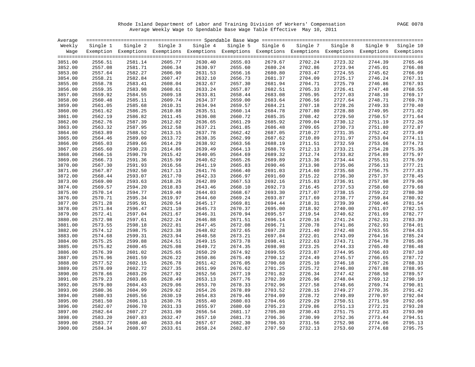Rhode Island Department of Labor and Training Division of Workers' Compensation PAGE 0078 Average Weekly Wage to Spendable Base Wage Table Effective May 10, 2011

| Average |          |                                                                                                              |          |          |          |          |          |          |          |           |
|---------|----------|--------------------------------------------------------------------------------------------------------------|----------|----------|----------|----------|----------|----------|----------|-----------|
| Weekly  | Single 1 | Single 2                                                                                                     | Single 3 | Single 4 | Single 5 | Single 6 | Single 7 | Single 8 | Single 9 | Single 10 |
| Waqe    |          | Exemption Exemptions Exemptions Exemptions Exemptions Exemptions Exemptions Exemptions Exemptions Exemptions |          |          |          |          |          |          |          |           |
|         |          |                                                                                                              |          |          |          |          |          |          |          |           |
| 3851.00 | 2556.51  | 2581.14                                                                                                      | 2605.77  | 2630.40  | 2655.03  | 2679.67  | 2702.24  | 2723.32  | 2744.39  | 2765.46   |
| 3852.00 | 2557.08  | 2581.71                                                                                                      | 2606.34  | 2630.97  | 2655.60  | 2680.24  | 2702.86  | 2723.94  | 2745.01  | 2766.08   |
| 3853.00 | 2557.64  | 2582.27                                                                                                      | 2606.90  | 2631.53  | 2656.16  | 2680.80  | 2703.47  | 2724.55  | 2745.62  | 2766.69   |
| 3854.00 | 2558.21  | 2582.84                                                                                                      | 2607.47  | 2632.10  | 2656.73  | 2681.37  | 2704.09  | 2725.17  | 2746.24  | 2767.31   |
| 3855.00 | 2558.78  | 2583.41                                                                                                      | 2608.04  | 2632.67  | 2657.30  | 2681.94  | 2704.71  | 2725.79  | 2746.86  | 2767.93   |
| 3856.00 | 2559.35  | 2583.98                                                                                                      | 2608.61  | 2633.24  | 2657.87  | 2682.51  | 2705.33  | 2726.41  | 2747.48  | 2768.55   |
| 3857.00 | 2559.92  | 2584.55                                                                                                      | 2609.18  | 2633.81  | 2658.44  | 2683.08  | 2705.95  | 2727.03  | 2748.10  | 2769.17   |
| 3858.00 | 2560.48  | 2585.11                                                                                                      | 2609.74  | 2634.37  | 2659.00  | 2683.64  | 2706.56  | 2727.64  | 2748.71  | 2769.78   |
| 3859.00 | 2561.05  | 2585.68                                                                                                      | 2610.31  | 2634.94  | 2659.57  | 2684.21  | 2707.18  | 2728.26  | 2749.33  | 2770.40   |
| 3860.00 | 2561.62  | 2586.25                                                                                                      | 2610.88  | 2635.51  | 2660.14  | 2684.78  | 2707.80  | 2728.88  | 2749.95  | 2771.02   |
| 3861.00 | 2562.19  | 2586.82                                                                                                      | 2611.45  | 2636.08  | 2660.72  | 2685.35  | 2708.42  | 2729.50  | 2750.57  | 2771.64   |
| 3862.00 | 2562.76  | 2587.39                                                                                                      | 2612.02  | 2636.65  | 2661.29  | 2685.92  | 2709.04  | 2730.12  | 2751.19  | 2772.26   |
| 3863.00 | 2563.32  | 2587.95                                                                                                      | 2612.58  | 2637.21  | 2661.85  | 2686.48  | 2709.65  | 2730.73  | 2751.80  | 2772.87   |
| 3864.00 | 2563.89  | 2588.52                                                                                                      | 2613.15  | 2637.78  | 2662.42  | 2687.05  | 2710.27  | 2731.35  | 2752.42  | 2773.49   |
| 3865.00 | 2564.46  | 2589.09                                                                                                      | 2613.72  | 2638.35  | 2662.99  | 2687.62  | 2710.89  | 2731.97  | 2753.04  | 2774.11   |
| 3866.00 | 2565.03  | 2589.66                                                                                                      | 2614.29  | 2638.92  | 2663.56  | 2688.19  | 2711.51  | 2732.59  | 2753.66  | 2774.73   |
| 3867.00 | 2565.60  | 2590.23                                                                                                      | 2614.86  | 2639.49  | 2664.13  | 2688.76  | 2712.13  | 2733.21  | 2754.28  | 2775.36   |
| 3868.00 | 2566.16  | 2590.79                                                                                                      | 2615.42  | 2640.05  | 2664.69  | 2689.32  | 2712.74  | 2733.82  | 2754.89  | 2775.97   |
| 3869.00 | 2566.73  | 2591.36                                                                                                      | 2615.99  | 2640.62  | 2665.26  | 2689.89  | 2713.36  | 2734.44  | 2755.51  | 2776.59   |
| 3870.00 | 2567.30  | 2591.93                                                                                                      | 2616.56  | 2641.19  | 2665.83  | 2690.46  | 2713.98  | 2735.06  | 2756.13  | 2777.21   |
| 3871.00 | 2567.87  | 2592.50                                                                                                      | 2617.13  | 2641.76  | 2666.40  | 2691.03  | 2714.60  | 2735.68  | 2756.75  | 2777.83   |
| 3872.00 | 2568.44  | 2593.07                                                                                                      | 2617.70  | 2642.33  | 2666.97  | 2691.60  | 2715.22  | 2736.30  | 2757.37  | 2778.45   |
| 3873.00 | 2569.00  | 2593.63                                                                                                      | 2618.26  | 2642.89  | 2667.53  | 2692.16  | 2715.83  | 2736.91  | 2757.98  | 2779.06   |
| 3874.00 | 2569.57  | 2594.20                                                                                                      | 2618.83  | 2643.46  | 2668.10  | 2692.73  | 2716.45  | 2737.53  | 2758.60  | 2779.68   |
| 3875.00 | 2570.14  | 2594.77                                                                                                      | 2619.40  | 2644.03  | 2668.67  | 2693.30  | 2717.07  | 2738.15  | 2759.22  | 2780.30   |
| 3876.00 | 2570.71  | 2595.34                                                                                                      | 2619.97  | 2644.60  | 2669.24  | 2693.87  | 2717.69  | 2738.77  | 2759.84  | 2780.92   |
| 3877.00 | 2571.28  | 2595.91                                                                                                      | 2620.54  | 2645.17  | 2669.81  | 2694.44  | 2718.31  | 2739.39  | 2760.46  | 2781.54   |
| 3878.00 | 2571.84  | 2596.47                                                                                                      | 2621.10  | 2645.73  | 2670.37  | 2695.00  | 2718.92  | 2740.00  | 2761.07  | 2782.15   |
| 3879.00 | 2572.41  | 2597.04                                                                                                      | 2621.67  | 2646.31  | 2670.94  | 2695.57  | 2719.54  | 2740.62  | 2761.69  | 2782.77   |
| 3880.00 | 2572.98  | 2597.61                                                                                                      | 2622.24  | 2646.88  | 2671.51  | 2696.14  | 2720.16  | 2741.24  | 2762.31  | 2783.39   |
| 3881.00 | 2573.55  | 2598.18                                                                                                      | 2622.81  | 2647.45  | 2672.08  | 2696.71  | 2720.78  | 2741.86  | 2762.93  | 2784.01   |
| 3882.00 | 2574.12  | 2598.75                                                                                                      | 2623.38  | 2648.02  | 2672.65  | 2697.28  | 2721.40  | 2742.48  | 2763.55  | 2784.63   |
| 3883.00 | 2574.68  | 2599.31                                                                                                      | 2623.94  | 2648.58  | 2673.21  | 2697.84  | 2722.01  | 2743.09  | 2764.16  | 2785.24   |
| 3884.00 | 2575.25  | 2599.88                                                                                                      | 2624.51  | 2649.15  | 2673.78  | 2698.41  | 2722.63  | 2743.71  | 2764.78  | 2785.86   |
| 3885.00 | 2575.82  | 2600.45                                                                                                      | 2625.08  | 2649.72  | 2674.35  | 2698.98  | 2723.25  | 2744.33  | 2765.40  | 2786.48   |
| 3886.00 | 2576.39  | 2601.02                                                                                                      | 2625.65  | 2650.29  | 2674.92  | 2699.55  | 2723.87  | 2744.95  | 2766.03  | 2787.10   |
| 3887.00 | 2576.96  | 2601.59                                                                                                      | 2626.22  | 2650.86  | 2675.49  | 2700.12  | 2724.49  | 2745.57  | 2766.65  | 2787.72   |
| 3888.00 | 2577.52  | 2602.15                                                                                                      | 2626.78  | 2651.42  | 2676.05  | 2700.68  | 2725.10  | 2746.18  | 2767.26  | 2788.33   |
| 3889.00 | 2578.09  | 2602.72                                                                                                      | 2627.35  | 2651.99  | 2676.62  | 2701.25  | 2725.72  | 2746.80  | 2767.88  | 2788.95   |
| 3890.00 | 2578.66  | 2603.29                                                                                                      | 2627.92  | 2652.56  | 2677.19  | 2701.82  | 2726.34  | 2747.42  | 2768.50  | 2789.57   |
| 3891.00 | 2579.23  | 2603.86                                                                                                      | 2628.49  | 2653.13  | 2677.76  | 2702.39  | 2726.96  | 2748.04  | 2769.12  | 2790.19   |
| 3892.00 | 2579.80  | 2604.43                                                                                                      | 2629.06  | 2653.70  | 2678.33  | 2702.96  | 2727.58  | 2748.66  | 2769.74  | 2790.81   |
| 3893.00 | 2580.36  | 2604.99                                                                                                      | 2629.62  | 2654.26  | 2678.89  | 2703.52  | 2728.15  | 2749.27  | 2770.35  | 2791.42   |
| 3894.00 | 2580.93  | 2605.56                                                                                                      | 2630.19  | 2654.83  | 2679.46  | 2704.09  | 2728.72  | 2749.89  | 2770.97  | 2792.04   |
| 3895.00 | 2581.50  | 2606.13                                                                                                      | 2630.76  | 2655.40  | 2680.03  | 2704.66  | 2729.29  | 2750.51  | 2771.59  | 2792.66   |
| 3896.00 | 2582.07  | 2606.70                                                                                                      | 2631.33  | 2655.97  | 2680.60  | 2705.23  | 2729.86  | 2751.13  | 2772.21  | 2793.28   |
| 3897.00 | 2582.64  | 2607.27                                                                                                      | 2631.90  | 2656.54  | 2681.17  | 2705.80  | 2730.43  | 2751.75  | 2772.83  | 2793.90   |
| 3898.00 | 2583.20  | 2607.83                                                                                                      | 2632.47  | 2657.10  | 2681.73  | 2706.36  | 2730.99  | 2752.36  | 2773.44  | 2794.51   |
| 3899.00 | 2583.77  | 2608.40                                                                                                      | 2633.04  | 2657.67  | 2682.30  | 2706.93  | 2731.56  | 2752.98  | 2774.06  | 2795.13   |
| 3900.00 | 2584.34  | 2608.97                                                                                                      | 2633.61  | 2658.24  | 2682.87  | 2707.50  | 2732.13  | 2753.60  | 2774.68  | 2795.75   |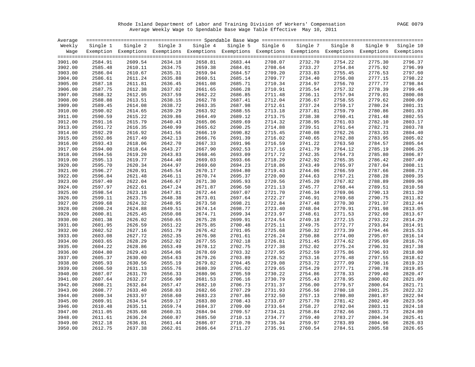Rhode Island Department of Labor and Training Division of Workers' Compensation PAGE 0079 Average Weekly Wage to Spendable Base Wage Table Effective May 10, 2011

| Average |          |          |          |                                                                                                              |          |          |          |          |          |           |
|---------|----------|----------|----------|--------------------------------------------------------------------------------------------------------------|----------|----------|----------|----------|----------|-----------|
| Weekly  | Single 1 | Single 2 | Single 3 | Single 4                                                                                                     | Single 5 | Single 6 | Single 7 | Single 8 | Single 9 | Single 10 |
| Wage    |          |          |          | Exemption Exemptions Exemptions Exemptions Exemptions Exemptions Exemptions Exemptions Exemptions Exemptions |          |          |          |          |          |           |
|         |          |          |          |                                                                                                              |          |          |          |          |          |           |
| 3901.00 | 2584.91  | 2609.54  | 2634.18  | 2658.81                                                                                                      | 2683.44  | 2708.07  | 2732.70  | 2754.22  | 2775.30  | 2796.37   |
| 3902.00 | 2585.48  | 2610.11  | 2634.75  | 2659.38                                                                                                      | 2684.01  | 2708.64  | 2733.27  | 2754.84  | 2775.92  | 2796.99   |
| 3903.00 | 2586.04  | 2610.67  | 2635.31  | 2659.94                                                                                                      | 2684.57  | 2709.20  | 2733.83  | 2755.45  | 2776.53  | 2797.60   |
| 3904.00 | 2586.61  | 2611.24  | 2635.88  | 2660.51                                                                                                      | 2685.14  | 2709.77  | 2734.40  | 2756.08  | 2777.15  | 2798.22   |
| 3905.00 | 2587.18  | 2611.81  | 2636.45  | 2661.08                                                                                                      | 2685.71  | 2710.34  | 2734.97  | 2756.70  | 2777.77  | 2798.84   |
| 3906.00 | 2587.75  | 2612.38  | 2637.02  | 2661.65                                                                                                      | 2686.28  | 2710.91  | 2735.54  | 2757.32  | 2778.39  | 2799.46   |
| 3907.00 | 2588.32  | 2612.95  | 2637.59  | 2662.22                                                                                                      | 2686.85  | 2711.48  | 2736.11  | 2757.94  | 2779.01  | 2800.08   |
| 3908.00 | 2588.88  | 2613.51  | 2638.15  | 2662.78                                                                                                      | 2687.41  | 2712.04  | 2736.67  | 2758.55  | 2779.62  | 2800.69   |
| 3909.00 | 2589.45  | 2614.08  | 2638.72  | 2663.35                                                                                                      | 2687.98  | 2712.61  | 2737.24  | 2759.17  | 2780.24  | 2801.31   |
| 3910.00 | 2590.02  | 2614.65  | 2639.29  | 2663.92                                                                                                      | 2688.55  | 2713.18  | 2737.81  | 2759.79  | 2780.86  | 2801.93   |
| 3911.00 | 2590.59  | 2615.22  | 2639.86  | 2664.49                                                                                                      | 2689.12  | 2713.75  | 2738.38  | 2760.41  | 2781.48  | 2802.55   |
| 3912.00 | 2591.16  | 2615.79  | 2640.43  | 2665.06                                                                                                      | 2689.69  | 2714.32  | 2738.95  | 2761.03  | 2782.10  | 2803.17   |
| 3913.00 | 2591.72  | 2616.35  | 2640.99  | 2665.62                                                                                                      | 2690.25  | 2714.88  | 2739.51  | 2761.64  | 2782.71  | 2803.78   |
| 3914.00 | 2592.29  | 2616.92  | 2641.56  | 2666.19                                                                                                      | 2690.82  | 2715.45  | 2740.08  | 2762.26  | 2783.33  | 2804.40   |
| 3915.00 | 2592.86  | 2617.49  | 2642.13  | 2666.76                                                                                                      | 2691.39  | 2716.02  | 2740.65  | 2762.88  | 2783.95  | 2805.02   |
| 3916.00 | 2593.43  | 2618.06  | 2642.70  | 2667.33                                                                                                      | 2691.96  | 2716.59  | 2741.22  | 2763.50  | 2784.57  | 2805.64   |
| 3917.00 | 2594.00  | 2618.64  | 2643.27  | 2667.90                                                                                                      | 2692.53  | 2717.16  | 2741.79  | 2764.12  | 2785.19  | 2806.26   |
| 3918.00 | 2594.56  | 2619.20  | 2643.83  | 2668.46                                                                                                      | 2693.09  | 2717.72  | 2742.35  | 2764.73  | 2785.80  | 2806.87   |
| 3919.00 | 2595.13  | 2619.77  | 2644.40  | 2669.03                                                                                                      | 2693.66  | 2718.29  | 2742.92  | 2765.35  | 2786.42  | 2807.49   |
| 3920.00 | 2595.70  | 2620.34  | 2644.97  | 2669.60                                                                                                      | 2694.23  | 2718.86  | 2743.49  | 2765.97  | 2787.04  | 2808.11   |
| 3921.00 | 2596.27  | 2620.91  | 2645.54  | 2670.17                                                                                                      | 2694.80  | 2719.43  | 2744.06  | 2766.59  | 2787.66  | 2808.73   |
| 3922.00 | 2596.84  | 2621.48  | 2646.11  | 2670.74                                                                                                      | 2695.37  | 2720.00  | 2744.63  | 2767.21  | 2788.28  | 2809.35   |
| 3923.00 | 2597.40  | 2622.04  | 2646.67  | 2671.30                                                                                                      | 2695.93  | 2720.56  | 2745.20  | 2767.82  | 2788.89  | 2809.96   |
| 3924.00 | 2597.97  | 2622.61  | 2647.24  | 2671.87                                                                                                      | 2696.50  | 2721.13  | 2745.77  | 2768.44  | 2789.51  | 2810.58   |
| 3925.00 | 2598.54  | 2623.18  | 2647.81  | 2672.44                                                                                                      | 2697.07  | 2721.70  | 2746.34  | 2769.06  | 2790.13  | 2811.20   |
| 3926.00 | 2599.11  | 2623.75  | 2648.38  | 2673.01                                                                                                      | 2697.64  | 2722.27  | 2746.91  | 2769.68  | 2790.75  | 2811.82   |
| 3927.00 | 2599.68  | 2624.32  | 2648.95  | 2673.58                                                                                                      | 2698.21  | 2722.84  | 2747.48  | 2770.30  | 2791.37  | 2812.44   |
| 3928.00 | 2600.24  | 2624.88  | 2649.51  | 2674.14                                                                                                      | 2698.77  | 2723.40  | 2748.04  | 2770.91  | 2791.98  | 2813.05   |
| 3929.00 | 2600.81  | 2625.45  | 2650.08  | 2674.71                                                                                                      | 2699.34  | 2723.97  | 2748.61  | 2771.53  | 2792.60  | 2813.67   |
| 3930.00 | 2601.38  | 2626.02  | 2650.65  | 2675.28                                                                                                      | 2699.91  | 2724.54  | 2749.18  | 2772.15  | 2793.22  | 2814.29   |
| 3931.00 | 2601.95  | 2626.59  | 2651.22  | 2675.85                                                                                                      | 2700.48  | 2725.11  | 2749.75  | 2772.77  | 2793.84  | 2814.91   |
| 3932.00 | 2602.52  | 2627.16  | 2651.79  | 2676.42                                                                                                      | 2701.05  | 2725.68  | 2750.32  | 2773.39  | 2794.46  | 2815.53   |
| 3933.00 | 2603.08  | 2627.72  | 2652.35  | 2676.98                                                                                                      | 2701.61  | 2726.24  | 2750.88  | 2774.00  | 2795.07  | 2816.14   |
| 3934.00 | 2603.65  | 2628.29  | 2652.92  | 2677.55                                                                                                      | 2702.18  | 2726.81  | 2751.45  | 2774.62  | 2795.69  | 2816.76   |
| 3935.00 | 2604.22  | 2628.86  | 2653.49  | 2678.12                                                                                                      | 2702.75  | 2727.38  | 2752.02  | 2775.24  | 2796.31  | 2817.38   |
| 3936.00 | 2604.80  | 2629.43  | 2654.06  | 2678.69                                                                                                      | 2703.32  | 2727.95  | 2752.59  | 2775.86  | 2796.93  | 2818.00   |
| 3937.00 | 2605.37  | 2630.00  | 2654.63  | 2679.26                                                                                                      | 2703.89  | 2728.52  | 2753.16  | 2776.48  | 2797.55  | 2818.62   |
| 3938.00 | 2605.93  | 2630.56  | 2655.19  | 2679.82                                                                                                      | 2704.45  | 2729.08  | 2753.72  | 2777.09  | 2798.16  | 2819.23   |
| 3939.00 | 2606.50  | 2631.13  | 2655.76  | 2680.39                                                                                                      | 2705.02  | 2729.65  | 2754.29  | 2777.71  | 2798.78  | 2819.85   |
| 3940.00 | 2607.07  | 2631.70  | 2656.33  | 2680.96                                                                                                      | 2705.59  | 2730.22  | 2754.86  | 2778.33  | 2799.40  | 2820.47   |
| 3941.00 | 2607.64  | 2632.27  | 2656.90  | 2681.53                                                                                                      | 2706.16  | 2730.79  | 2755.43  | 2778.95  | 2800.02  | 2821.09   |
| 3942.00 | 2608.21  | 2632.84  | 2657.47  | 2682.10                                                                                                      | 2706.73  | 2731.37  | 2756.00  | 2779.57  | 2800.64  | 2821.71   |
| 3943.00 | 2608.77  | 2633.40  | 2658.03  | 2682.66                                                                                                      | 2707.29  | 2731.93  | 2756.56  | 2780.18  | 2801.25  | 2822.32   |
| 3944.00 | 2609.34  | 2633.97  | 2658.60  | 2683.23                                                                                                      | 2707.86  | 2732.50  | 2757.13  | 2780.80  | 2801.87  | 2822.94   |
| 3945.00 | 2609.91  | 2634.54  | 2659.17  | 2683.80                                                                                                      | 2708.43  | 2733.07  | 2757.70  | 2781.42  | 2802.49  | 2823.56   |
| 3946.00 | 2610.48  | 2635.11  | 2659.74  | 2684.37                                                                                                      | 2709.00  | 2733.64  | 2758.27  | 2782.04  | 2803.11  | 2824.18   |
| 3947.00 | 2611.05  | 2635.68  | 2660.31  | 2684.94                                                                                                      | 2709.57  | 2734.21  | 2758.84  | 2782.66  | 2803.73  | 2824.80   |
| 3948.00 | 2611.61  | 2636.24  | 2660.87  | 2685.50                                                                                                      | 2710.13  | 2734.77  | 2759.40  | 2783.27  | 2804.34  | 2825.41   |
| 3949.00 | 2612.18  | 2636.81  | 2661.44  | 2686.07                                                                                                      | 2710.70  | 2735.34  | 2759.97  | 2783.89  | 2804.96  | 2826.03   |
| 3950.00 | 2612.75  | 2637.38  | 2662.01  | 2686.64                                                                                                      | 2711.27  | 2735.91  | 2760.54  | 2784.51  | 2805.58  | 2826.65   |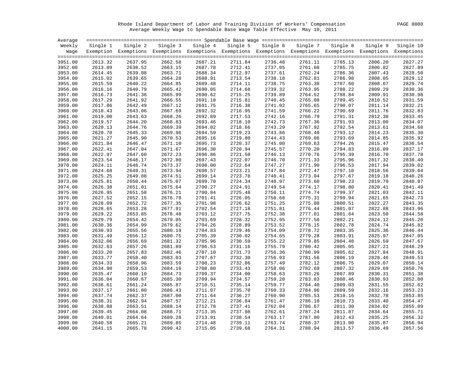Rhode Island Department of Labor and Training Division of Workers' Compensation PAGE 0080 Average Weekly Wage to Spendable Base Wage Table Effective May 10, 2011

| Average            |                    |                    |                    |                                                                                                              |                    |                    |                    |                    |                    |                    |
|--------------------|--------------------|--------------------|--------------------|--------------------------------------------------------------------------------------------------------------|--------------------|--------------------|--------------------|--------------------|--------------------|--------------------|
| Weekly             | Single 1           | Single 2           |                    | Single 3 Single 4                                                                                            | Single 5           | Single 6           | Single 7           | Single 8           | Single 9           | Single 10          |
| Waqe               |                    |                    |                    | Exemption Exemptions Exemptions Exemptions Exemptions Exemptions Exemptions Exemptions Exemptions Exemptions |                    |                    |                    |                    |                    |                    |
|                    |                    |                    |                    |                                                                                                              |                    |                    |                    |                    |                    |                    |
| 3951.00            | 2613.32            | 2637.95            | 2662.58            | 2687.21                                                                                                      | 2711.84            | 2736.48            | 2761.11            | 2785.13            | 2806.20            | 2827.27            |
| 3952.00            | 2613.89            | 2638.52            | 2663.15            | 2687.78                                                                                                      | 2712.41            | 2737.05            | 2761.68            | 2785.75            | 2806.82            | 2827.89            |
| 3953.00            | 2614.45            | 2639.08            | 2663.71            | 2688.34                                                                                                      | 2712.97            | 2737.61            | 2762.24            | 2786.36            | 2807.43            | 2828.50            |
| 3954.00            | 2615.02            | 2639.65            | 2664.28            | 2688.91                                                                                                      | 2713.54            | 2738.18            | 2762.81            | 2786.98            | 2808.05            | 2829.12            |
| 3955.00            | 2615.59            | 2640.22            | 2664.85            | 2689.48                                                                                                      | 2714.11            | 2738.75            | 2763.38            | 2787.60            | 2808.67            | 2829.74            |
| 3956.00            | 2616.16            | 2640.79            | 2665.42            | 2690.05                                                                                                      | 2714.68            | 2739.32            | 2763.95            | 2788.22            | 2809.29            | 2830.36            |
| 3957.00            | 2616.73            | 2641.36            | 2665.99            | 2690.62                                                                                                      | 2715.25            | 2739.89            | 2764.52            | 2788.84            | 2809.91            | 2830.98            |
| 3958.00            | 2617.29            | 2641.92            | 2666.55            | 2691.18                                                                                                      | 2715.81            | 2740.45            | 2765.08            | 2789.45            | 2810.52            | 2831.59            |
| 3959.00            | 2617.86            | 2642.49            | 2667.12            | 2691.75                                                                                                      | 2716.38            | 2741.02            | 2765.65            | 2790.07            | 2811.14            | 2832.21            |
| 3960.00            | 2618.43            | 2643.06            | 2667.69            | 2692.32                                                                                                      | 2716.95            | 2741.59            | 2766.22            | 2790.69            | 2811.76            | 2832.83            |
| 3961.00            | 2619.00            | 2643.63            | 2668.26            | 2692.89                                                                                                      | 2717.53            | 2742.16            | 2766.79            | 2791.31            | 2812.38            | 2833.45            |
| 3962.00            | 2619.57            | 2644.20            | 2668.83            | 2693.46                                                                                                      | 2718.10            | 2742.73            | 2767.36            | 2791.93            | 2813.00            | 2834.07            |
| 3963.00            | 2620.13            | 2644.76            | 2669.39            | 2694.02                                                                                                      | 2718.66            | 2743.29            | 2767.92            | 2792.54            | 2813.61            | 2834.68            |
| 3964.00            | 2620.70            | 2645.33            | 2669.96            | 2694.59                                                                                                      | 2719.23            | 2743.86            | 2768.49            | 2793.12            | 2814.23            | 2835.30            |
| 3965.00            | 2621.27            | 2645.90            | 2670.53            | 2695.16                                                                                                      | 2719.80            | 2744.43            | 2769.06            | 2793.69            | 2814.85            | 2835.92            |
| 3966.00            | 2621.84            | 2646.47            | 2671.10            | 2695.73                                                                                                      | 2720.37            | 2745.00            | 2769.63            | 2794.26            | 2815.47            | 2836.54            |
| 3967.00            | 2622.41            | 2647.04            | 2671.67            | 2696.30                                                                                                      | 2720.94            | 2745.57            | 2770.20            | 2794.83            | 2816.09            | 2837.17            |
| 3968.00            | 2622.97            | 2647.60            | 2672.23            | 2696.86                                                                                                      | 2721.50            | 2746.13            | 2770.76            | 2795.39            | 2816.70            | 2837.78            |
| 3969.00            | 2623.54            | 2648.17            | 2672.80            | 2697.43                                                                                                      | 2722.07            | 2746.70            | 2771.33            | 2795.96            | 2817.32            | 2838.40            |
| 3970.00            | 2624.11            | 2648.74            | 2673.37            | 2698.00                                                                                                      | 2722.64            | 2747.27            | 2771.90            | 2796.53            | 2817.94            | 2839.02            |
| 3971.00            | 2624.68            | 2649.31            | 2673.94            | 2698.57                                                                                                      | 2723.21            | 2747.84            | 2772.47            | 2797.10            | 2818.56            | 2839.64            |
| 3972.00            | 2625.25            | 2649.88            | 2674.51            | 2699.14                                                                                                      | 2723.78            | 2748.41            | 2773.04            | 2797.67            | 2819.18            | 2840.26<br>2840.87 |
| 3973.00            | 2625.81            | 2650.44            | 2675.07            | 2699.70                                                                                                      | 2724.34            | 2748.97            | 2773.60            | 2798.23            | 2819.79            |                    |
| 3974.00            | 2626.38            | 2651.01            | 2675.64<br>2676.21 | 2700.27<br>2700.84                                                                                           | 2724.91            | 2749.54            | 2774.17<br>2774.74 | 2798.80<br>2799.37 | 2820.41            | 2841.49<br>2842.11 |
| 3975.00            | 2626.95            | 2651.58            |                    |                                                                                                              | 2725.48            | 2750.11            | 2775.31            |                    | 2821.03            | 2842.73            |
| 3976.00<br>3977.00 | 2627.52<br>2628.09 | 2652.15<br>2652.72 | 2676.78<br>2677.35 | 2701.41<br>2701.98                                                                                           | 2726.05<br>2726.62 | 2750.68<br>2751.25 | 2775.88            | 2799.94<br>2800.51 | 2821.65            | 2843.35            |
|                    | 2628.65            | 2653.28            | 2677.91            | 2702.54                                                                                                      | 2727.18            | 2751.81            | 2776.44            | 2801.07            | 2822.27<br>2822.88 | 2843.96            |
| 3978.00<br>3979.00 | 2629.22            | 2653.85            | 2678.48            | 2703.12                                                                                                      | 2727.75            | 2752.38            | 2777.01            | 2801.64            |                    | 2844.58            |
| 3980.00            | 2629.79            | 2654.42            | 2679.05            | 2703.69                                                                                                      | 2728.32            | 2752.95            | 2777.58            | 2802.21            | 2823.50<br>2824.12 | 2845.20            |
| 3981.00            | 2630.36            | 2654.99            | 2679.62            | 2704.26                                                                                                      | 2728.89            | 2753.52            | 2778.15            | 2802.78            | 2824.74            | 2845.82            |
| 3982.00            | 2630.93            | 2655.56            | 2680.19            | 2704.83                                                                                                      | 2729.46            | 2754.09            | 2778.72            | 2803.35            | 2825.36            | 2846.44            |
| 3983.00            | 2631.49            | 2656.12            | 2680.75            | 2705.39                                                                                                      | 2730.02            | 2754.65            | 2779.28            | 2803.91            | 2825.97            | 2847.05            |
| 3984.00            | 2632.06            | 2656.69            | 2681.32            | 2705.96                                                                                                      | 2730.59            | 2755.22            | 2779.85            | 2804.48            | 2826.59            | 2847.67            |
| 3985.00            | 2632.63            | 2657.26            | 2681.89            | 2706.53                                                                                                      | 2731.16            | 2755.79            | 2780.42            | 2805.05            | 2827.21            | 2848.29            |
| 3986.00            | 2633.20            | 2657.83            | 2682.46            | 2707.10                                                                                                      | 2731.73            | 2756.36            | 2780.99            | 2805.62            | 2827.84            | 2848.91            |
| 3987.00            | 2633.77            | 2658.40            | 2683.03            | 2707.67                                                                                                      | 2732.30            | 2756.93            | 2781.56            | 2806.19            | 2828.46            | 2849.53            |
| 3988.00            | 2634.33            | 2658.96            | 2683.59            | 2708.23                                                                                                      | 2732.86            | 2757.49            | 2782.12            | 2806.75            | 2829.07            | 2850.14            |
| 3989.00            | 2634.90            | 2659.53            | 2684.16            | 2708.80                                                                                                      | 2733.43            | 2758.06            | 2782.69            | 2807.32            | 2829.69            | 2850.76            |
| 3990.00            | 2635.47            | 2660.10            | 2684.73            | 2709.37                                                                                                      | 2734.00            | 2758.63            | 2783.26            | 2807.89            | 2830.31            | 2851.38            |
| 3991.00            | 2636.04            | 2660.67            | 2685.30            | 2709.94                                                                                                      | 2734.57            | 2759.20            | 2783.83            | 2808.46            | 2830.93            | 2852.00            |
| 3992.00            | 2636.61            | 2661.24            | 2685.87            | 2710.51                                                                                                      | 2735.14            | 2759.77            | 2784.40            | 2809.03            | 2831.55            | 2852.62            |
| 3993.00            | 2637.17            | 2661.80            | 2686.43            | 2711.07                                                                                                      | 2735.70            | 2760.33            | 2784.96            | 2809.59            | 2832.16            | 2853.23            |
|                    |                    | 2662.37            |                    |                                                                                                              |                    | 2760.90            |                    |                    |                    | 2853.85            |
| 3994.00<br>3995.00 | 2637.74<br>2638.31 | 2662.94            | 2687.00<br>2687.57 | 2711.64<br>2712.21                                                                                           | 2736.27<br>2736.84 | 2761.47            | 2785.53<br>2786.10 | 2810.16<br>2810.73 | 2832.78<br>2833.40 | 2854.47            |
| 3996.00            | 2638.88            | 2663.51            | 2688.14            | 2712.78                                                                                                      | 2737.41            | 2762.04            | 2786.67            | 2811.30            | 2834.02            | 2855.09            |
| 3997.00            | 2639.45            | 2664.08            | 2688.71            | 2713.35                                                                                                      | 2737.98            | 2762.61            | 2787.24            | 2811.87            | 2834.64            | 2855.71            |
| 3998.00            | 2640.01            | 2664.64            | 2689.28            | 2713.91                                                                                                      | 2738.54            | 2763.17            | 2787.80            | 2812.43            | 2835.25            | 2856.32            |
| 3999.00            | 2640.58            | 2665.21            | 2689.85            | 2714.48                                                                                                      | 2739.11            | 2763.74            | 2788.37            | 2813.00            | 2835.87            | 2856.94            |
| 4000.00            | 2641.15            | 2665.78            | 2690.42            | 2715.05                                                                                                      | 2739.68            | 2764.31            | 2788.94            | 2813.57            | 2836.49            | 2857.56            |
|                    |                    |                    |                    |                                                                                                              |                    |                    |                    |                    |                    |                    |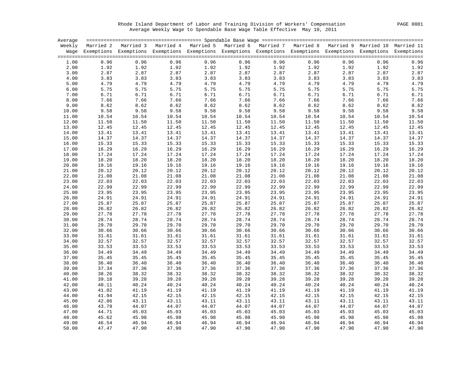Rhode Island Department of Labor and Training Division of Workers' Compensation PAGE 0081 Average Weekly Wage to Spendable Base Wage Table Effective May 10, 2011

| Average |       |                                                                                                                    |       |       |       |       |       |       |       |                  |
|---------|-------|--------------------------------------------------------------------------------------------------------------------|-------|-------|-------|-------|-------|-------|-------|------------------|
|         |       | Weekly Married 2 Married 3 Married 4 Married 5 Married 6 Married 7 Married 8 Married 9 Married 10 Married 11       |       |       |       |       |       |       |       |                  |
|         |       | Wage Exemptions Exemptions Exemptions Exemptions Exemptions Exemptions Exemptions Exemptions Exemptions Exemptions |       |       |       |       |       |       |       |                  |
|         |       |                                                                                                                    |       |       |       |       |       |       |       |                  |
| 1.00    | 0.96  | 0.96                                                                                                               | 0.96  | 0.96  | 0.96  | 0.96  | 0.96  | 0.96  | 0.96  | 0.96             |
| 2.00    | 1.92  | 1.92                                                                                                               | 1.92  | 1.92  | 1.92  | 1.92  | 1.92  | 1.92  | 1.92  | 1.92             |
| 3.00    | 2.87  | 2.87                                                                                                               | 2.87  | 2.87  | 2.87  | 2.87  | 2.87  | 2.87  | 2.87  | 2.87             |
| 4.00    | 3.83  | 3.83                                                                                                               | 3.83  | 3.83  | 3.83  | 3.83  | 3.83  | 3.83  | 3.83  |                  |
| 5.00    | 4.79  | 4.79                                                                                                               | 4.79  | 4.79  | 4.79  | 4.79  | 4.79  | 4.79  | 4.79  | $3.83$<br>$4.79$ |
| 6.00    | 5.75  | 5.75                                                                                                               | 5.75  | 5.75  | 5.75  | 5.75  | 5.75  | 5.75  | 5.75  | 5.75             |
| 7.00    | 6.71  | 6.71                                                                                                               | 6.71  | 6.71  | 6.71  | 6.71  | 6.71  | 6.71  | 6.71  | 6.71             |
| 8.00    | 7.66  | 7.66                                                                                                               | 7.66  | 7.66  | 7.66  | 7.66  | 7.66  | 7.66  | 7.66  | 7.66             |
| 9.00    | 8.62  | 8.62                                                                                                               | 8.62  | 8.62  | 8.62  | 8.62  | 8.62  | 8.62  | 8.62  | 8.62             |
| 10.00   | 9.58  | 8.62<br>9.58                                                                                                       | 9.58  | 9.58  | 9.58  | 9.58  | 9.58  | 9.58  | 9.58  | 9.58             |
| 11.00   | 10.54 | 10.54                                                                                                              | 10.54 | 10.54 | 10.54 | 10.54 | 10.54 | 10.54 | 10.54 | 10.54            |
| 12.00   | 11.50 | 11.50                                                                                                              | 11.50 | 11.50 | 11.50 | 11.50 | 11.50 | 11.50 | 11.50 | 11.50            |
| 13.00   | 12.45 | 12.45                                                                                                              | 12.45 | 12.45 | 12.45 | 12.45 | 12.45 | 12.45 | 12.45 | 12.45            |
| 14.00   | 13.41 | 13.41                                                                                                              | 13.41 | 13.41 | 13.41 | 13.41 | 13.41 | 13.41 | 13.41 | 13.41            |
| 15.00   | 14.37 | 14.37                                                                                                              | 14.37 | 14.37 | 14.37 | 14.37 | 14.37 | 14.37 | 14.37 | 14.37            |
| 16.00   | 15.33 | 15.33                                                                                                              | 15.33 | 15.33 | 15.33 | 15.33 | 15.33 | 15.33 | 15.33 | 15.33            |
| 17.00   |       | 16.29                                                                                                              | 16.29 | 16.29 |       | 16.29 | 16.29 | 16.29 | 16.29 |                  |
|         | 16.29 |                                                                                                                    |       |       | 16.29 |       |       |       |       | 16.29            |
| 18.00   | 17.24 | 17.24                                                                                                              | 17.24 | 17.24 | 17.24 | 17.24 | 17.24 | 17.24 | 17.24 | 17.24            |
| 19.00   | 18.20 | 18.20                                                                                                              | 18.20 | 18.20 | 18.20 | 18.20 | 18.20 | 18.20 | 18.20 | 18.20            |
| 20.00   | 19.16 | 19.16                                                                                                              | 19.16 | 19.16 | 19.16 | 19.16 | 19.16 | 19.16 | 19.16 | 19.16            |
| 21.00   | 20.12 | 20.12                                                                                                              | 20.12 | 20.12 | 20.12 | 20.12 | 20.12 | 20.12 | 20.12 | 20.12            |
| 22.00   | 21.08 | 21.08                                                                                                              | 21.08 | 21.08 | 21.08 | 21.08 | 21.08 | 21.08 | 21.08 | 21.08            |
| 23.00   | 22.03 | 22.03                                                                                                              | 22.03 | 22.03 | 22.03 | 22.03 | 22.03 | 22.03 | 22.03 | 22.03            |
| 24.00   | 22.99 | 22.99                                                                                                              | 22.99 | 22.99 | 22.99 | 22.99 | 22.99 | 22.99 | 22.99 | 22.99            |
| 25.00   | 23.95 | 23.95                                                                                                              | 23.95 | 23.95 | 23.95 | 23.95 | 23.95 | 23.95 | 23.95 | 23.95            |
| 26.00   | 24.91 | 24.91                                                                                                              | 24.91 | 24.91 | 24.91 | 24.91 | 24.91 | 24.91 | 24.91 | 24.91            |
| 27.00   | 25.87 | 25.87                                                                                                              | 25.87 | 25.87 | 25.87 | 25.87 | 25.87 | 25.87 | 25.87 | 25.87            |
| 28.00   | 26.82 | 26.82                                                                                                              | 26.82 | 26.82 | 26.82 | 26.82 | 26.82 | 26.82 | 26.82 | 26.82            |
| 29.00   | 27.78 | 27.78                                                                                                              | 27.78 | 27.78 | 27.78 | 27.78 | 27.78 | 27.78 | 27.78 | 27.78            |
| 30.00   | 28.74 | 28.74                                                                                                              | 28.74 | 28.74 | 28.74 | 28.74 | 28.74 | 28.74 | 28.74 | 28.74            |
| 31.00   | 29.70 | 29.70                                                                                                              | 29.70 | 29.70 | 29.70 | 29.70 | 29.70 | 29.70 | 29.70 | 29.70            |
| 32.00   | 30.66 | 30.66                                                                                                              | 30.66 | 30.66 | 30.66 | 30.66 | 30.66 | 30.66 | 30.66 | 30.66            |
| 33.00   | 31.61 | 31.61                                                                                                              | 31.61 | 31.61 | 31.61 | 31.61 | 31.61 | 31.61 | 31.61 | 31.61            |
| 34.00   | 32.57 | 32.57                                                                                                              | 32.57 | 32.57 | 32.57 | 32.57 | 32.57 | 32.57 | 32.57 | 32.57            |
| 35.00   | 33.53 | 33.53                                                                                                              | 33.53 | 33.53 | 33.53 | 33.53 | 33.53 | 33.53 | 33.53 | 33.53            |
| 36.00   | 34.49 | 34.49                                                                                                              | 34.49 | 34.49 | 34.49 | 34.49 | 34.49 | 34.49 | 34.49 | 34.49            |
| 37.00   | 35.45 | 35.45                                                                                                              | 35.45 | 35.45 | 35.45 | 35.45 | 35.45 | 35.45 | 35.45 | 35.45            |
| 38.00   | 36.40 | 36.40                                                                                                              | 36.40 | 36.40 | 36.40 | 36.40 | 36.40 | 36.40 | 36.40 | 36.40            |
| 39.00   | 37.34 | 37.36                                                                                                              | 37.36 | 37.36 | 37.36 | 37.36 | 37.36 | 37.36 | 37.36 | 37.36            |
| 40.00   | 38.26 | 38.32                                                                                                              | 38.32 | 38.32 | 38.32 | 38.32 | 38.32 | 38.32 | 38.32 | 38.32            |
| 41.00   | 39.18 | 39.28                                                                                                              | 39.28 | 39.28 | 39.28 | 39.28 | 39.28 | 39.28 | 39.28 | 39.28            |
| 42.00   | 40.11 | 40.24                                                                                                              | 40.24 | 40.24 | 40.24 | 40.24 | 40.24 | 40.24 | 40.24 | 40.24            |
| 43.00   | 41.02 | 41.19                                                                                                              | 41.19 | 41.19 | 41.19 | 41.19 | 41.19 | 41.19 | 41.19 | 41.19            |
| 44.00   | 41.94 | 42.15                                                                                                              | 42.15 | 42.15 | 42.15 | 42.15 | 42.15 | 42.15 | 42.15 | 42.15            |
| 45.00   | 42.86 | 43.11                                                                                                              | 43.11 | 43.11 | 43.11 | 43.11 | 43.11 | 43.11 | 43.11 | 43.11            |
| 46.00   | 43.79 | 44.07                                                                                                              | 44.07 | 44.07 | 44.07 | 44.07 | 44.07 | 44.07 | 44.07 | 44.07            |
| 47.00   | 44.71 | 45.03                                                                                                              | 45.03 | 45.03 | 45.03 | 45.03 | 45.03 | 45.03 | 45.03 | 45.03            |
| 48.00   | 45.62 | 45.98                                                                                                              | 45.98 | 45.98 | 45.98 | 45.98 | 45.98 | 45.98 | 45.98 | 45.98            |
|         | 46.54 |                                                                                                                    | 46.94 | 46.94 | 46.94 | 46.94 | 46.94 | 46.94 | 46.94 |                  |
| 49.00   |       | 46.94                                                                                                              |       |       |       |       |       |       |       | 46.94            |
| 50.00   | 47.47 | 47.90                                                                                                              | 47.90 | 47.90 | 47.90 | 47.90 | 47.90 | 47.90 | 47.90 | 47.90            |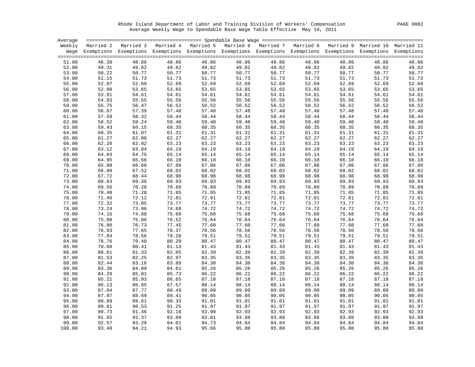Rhode Island Department of Labor and Training Division of Workers' Compensation PAGE 0082 Average Weekly Wage to Spendable Base Wage Table Effective May 10, 2011

|        |       | Weekly Married 2 Married 3 Married 4 Married 5 Married 6 Married 7 Married 8 Married 9 Married 10 Married 11       |       |       |       |                |       |       |       |       |
|--------|-------|--------------------------------------------------------------------------------------------------------------------|-------|-------|-------|----------------|-------|-------|-------|-------|
|        |       | Wage Exemptions Exemptions Exemptions Exemptions Exemptions Exemptions Exemptions Exemptions Exemptions Exemptions |       |       |       |                |       |       |       |       |
|        |       |                                                                                                                    |       |       |       |                |       |       |       |       |
| 51.00  | 48.39 | 48.86                                                                                                              | 48.86 | 48.86 | 48.86 | 48.86          | 48.86 | 48.86 | 48.86 | 48.86 |
| 52.00  | 49.31 | 49.82                                                                                                              | 49.82 | 49.82 | 49.82 | 49.82          | 49.82 | 49.82 | 49.82 | 49.82 |
| 53.00  | 50.22 | 50.77                                                                                                              | 50.77 | 50.77 | 50.77 | 50.77          | 50.77 | 50.77 | 50.77 | 50.77 |
| 54.00  | 51.15 | 51.73                                                                                                              | 51.73 | 51.73 | 51.73 | 51.73          | 51.73 | 51.73 | 51.73 | 51.73 |
| 55.00  | 52.07 | 52.69                                                                                                              | 52.69 | 52.69 | 52.69 | 52.69          | 52.69 | 52.69 | 52.69 | 52.69 |
| 56.00  | 52.99 | 53.65                                                                                                              | 53.65 | 53.65 | 53.65 | 53.65          | 53.65 | 53.65 | 53.65 | 53.65 |
| 57.00  | 53.91 | 54.61                                                                                                              | 54.61 | 54.61 | 54.61 | 54.61          | 54.61 | 54.61 | 54.61 | 54.61 |
| 58.00  | 54.83 | 55.55                                                                                                              | 55.56 | 55.56 | 55.56 | 55.56          | 55.56 | 55.56 | 55.56 | 55.56 |
| 59.00  | 55.75 | 56.47                                                                                                              | 56.52 | 56.52 | 56.52 | 56.52          | 56.52 | 56.52 | 56.52 | 56.52 |
| 60.00  | 56.67 | 57.39                                                                                                              | 57.48 | 57.48 | 57.48 | 57.48          | 57.48 | 57.48 | 57.48 | 57.48 |
| 61.00  | 57.59 | 58.32                                                                                                              | 58.44 | 58.44 | 58.44 | 58.44          | 58.44 | 58.44 | 58.44 | 58.44 |
| 62.00  | 58.52 | 59.24                                                                                                              | 59.40 | 59.40 | 59.40 | 59.40          | 59.40 | 59.40 | 59.40 | 59.40 |
| 63.00  | 59.43 | 60.15                                                                                                              | 60.35 | 60.35 | 60.35 | 60.35          | 60.35 | 60.35 | 60.35 | 60.35 |
| 64.00  | 60.35 | 61.07                                                                                                              | 61.31 | 61.31 | 61.31 | 61.31          | 61.31 | 61.31 | 61.31 | 61.31 |
| 65.00  | 61.27 | 62.00                                                                                                              | 62.27 | 62.27 | 62.27 | 62.27          | 62.27 | 62.27 | 62.27 | 62.27 |
| 66.00  | 62.20 | 62.92                                                                                                              | 63.23 | 63.23 | 63.23 | 63.23          | 63.23 | 63.23 | 63.23 | 63.23 |
| 67.00  | 63.12 | 63.84                                                                                                              | 64.19 | 64.19 | 64.19 | 64.19          | 64.19 | 64.19 | 64.19 | 64.19 |
| 68.00  | 64.03 | 64.75                                                                                                              | 65.14 | 65.14 | 65.14 | 65.14          | 65.14 | 65.14 | 65.14 | 65.14 |
| 69.00  | 64.95 | 65.68                                                                                                              | 66.10 | 66.10 | 66.10 | 66.10          | 66.10 | 66.10 | 66.10 | 66.10 |
| 70.00  | 65.88 | 66.60                                                                                                              | 67.06 | 67.06 | 67.06 | 67.06          | 67.06 | 67.06 | 67.06 | 67.06 |
| 71.00  | 66.80 | 67.52                                                                                                              | 68.02 | 68.02 | 68.02 | 68.02          | 68.02 | 68.02 | 68.02 | 68.02 |
| 72.00  | 67.72 | 68.44                                                                                                              | 68.98 | 68.98 | 68.98 | 68.98          | 68.98 | 68.98 | 68.98 | 68.98 |
| 73.00  | 68.63 | 69.36                                                                                                              | 69.93 | 69.93 | 69.93 | 69.93          | 69.93 | 69.93 | 69.93 | 69.93 |
| 74.00  | 69.56 | 70.28                                                                                                              | 70.89 | 70.89 | 70.89 | 70.89          | 70.89 | 70.89 | 70.89 | 70.89 |
| 75.00  | 70.48 | 71.20                                                                                                              | 71.85 | 71.85 | 71.85 | 71.85          | 71.85 | 71.85 | 71.85 | 71.85 |
| 76.00  | 71.40 | 72.12                                                                                                              | 72.81 | 72.81 | 72.81 | 72.81          | 72.81 | 72.81 | 72.81 | 72.81 |
| 77.00  | 72.32 | 73.05                                                                                                              | 73.77 | 73.77 | 73.77 | 73.77          | 73.77 | 73.77 | 73.77 | 73.77 |
| 78.00  | 73.24 | 73.96                                                                                                              | 74.68 | 74.72 | 74.72 | 74.72          | 74.72 | 74.72 | 74.72 | 74.72 |
| 79.00  | 74.16 | 74.88                                                                                                              | 75.60 | 75.68 | 75.68 | 75.68          | 75.68 | 75.68 | 75.68 | 75.68 |
| 80.00  | 75.08 | 75.80                                                                                                              | 76.52 | 76.64 | 76.64 | 76.64          | 76.64 | 76.64 | 76.64 | 76.64 |
| 81.00  | 76.00 | 76.73                                                                                                              | 77.45 | 77.60 | 77.60 | 77.60          | 77.60 | 77.60 | 77.60 | 77.60 |
| 82.00  | 76.93 | 77.65                                                                                                              | 78.37 | 78.56 | 78.56 | 78.56          | 78.56 | 78.56 | 78.56 | 78.56 |
| 83.00  | 77.84 | 78.56                                                                                                              | 79.28 | 79.51 | 79.51 | 79.51          | 79.51 | 79.51 | 79.51 | 79.51 |
| 84.00  | 78.76 | 79.48                                                                                                              | 80.20 | 80.47 | 80.47 | 80.47<br>81.43 | 80.47 | 80.47 | 80.47 | 80.47 |
| 85.00  | 79.68 | 80.41                                                                                                              | 81.13 | 81.43 | 81.43 | 82.39          | 81.43 | 81.43 | 81.43 | 81.43 |
| 86.00  | 80.61 | 81.33                                                                                                              | 82.05 | 82.39 | 82.39 |                | 82.39 | 82.39 | 82.39 | 82.39 |
| 87.00  | 81.53 | 82.25                                                                                                              | 82.97 | 83.35 | 83.35 | 83.35          | 83.35 | 83.35 | 83.35 | 83.35 |
| 88.00  | 82.44 | 83.16                                                                                                              | 83.88 | 84.30 | 84.30 | 84.30          | 84.30 | 84.30 | 84.30 | 84.30 |
| 89.00  | 83.36 | 84.09                                                                                                              | 84.81 | 85.26 | 85.26 | 85.26          | 85.26 | 85.26 | 85.26 | 85.26 |
| 90.00  | 84.29 | 85.01                                                                                                              | 85.73 | 86.22 | 86.22 | 86.22          | 86.22 | 86.22 | 86.22 | 86.22 |
| 91.00  | 85.21 | 85.93                                                                                                              | 86.65 | 87.18 | 87.18 | 87.18          | 87.18 | 87.18 | 87.18 | 87.18 |
| 92.00  | 86.13 | 86.85                                                                                                              | 87.57 | 88.14 | 88.14 | 88.14          | 88.14 | 88.14 | 88.14 | 88.14 |
| 93.00  | 87.04 | 87.77                                                                                                              | 88.49 | 89.09 | 89.09 | 89.09          | 89.09 | 89.09 | 89.09 | 89.09 |
| 94.00  | 87.97 | 88.69                                                                                                              | 89.41 | 90.05 | 90.05 | 90.05          | 90.05 | 90.05 | 90.05 | 90.05 |
| 95.00  | 88.89 | 89.61                                                                                                              | 90.33 | 91.01 | 91.01 | 91.01          | 91.01 | 91.01 | 91.01 | 91.01 |
| 96.00  | 89.81 | 90.53                                                                                                              | 91.25 | 91.97 | 91.97 | 91.97          | 91.97 | 91.97 | 91.97 | 91.97 |
| 97.00  | 90.73 | 91.46                                                                                                              | 92.18 | 92.90 | 92.93 | 92.93          | 92.93 | 92.93 | 92.93 | 92.93 |
| 98.00  | 91.65 | 92.37                                                                                                              | 93.09 | 93.81 | 93.88 | 93.88          | 93.88 | 93.88 | 93.88 | 93.88 |
| 99.00  | 92.57 | 93.29                                                                                                              | 94.01 | 94.73 | 94.84 | 94.84          | 94.84 | 94.84 | 94.84 | 94.84 |
| 100.00 | 93.49 | 94.21                                                                                                              | 94.93 | 95.66 | 95.80 | 95.80          | 95.80 | 95.80 | 95.80 | 95.80 |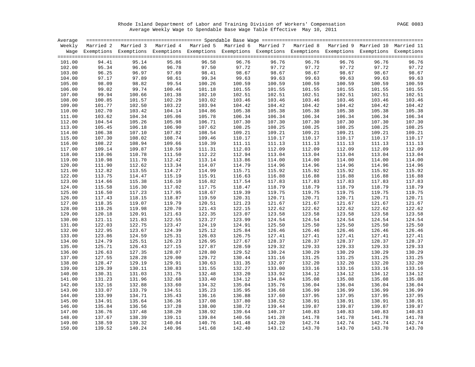Rhode Island Department of Labor and Training Division of Workers' Compensation PAGE 0083 Average Weekly Wage to Spendable Base Wage Table Effective May 10, 2011

| Average |        |                                                                                                                    |        |        |        |        |        |        |        |        |
|---------|--------|--------------------------------------------------------------------------------------------------------------------|--------|--------|--------|--------|--------|--------|--------|--------|
| Weekly  |        | Married 2 Married 3 Married 4 Married 5 Married 6 Married 7 Married 8 Married 9 Married 10 Married 11              |        |        |        |        |        |        |        |        |
|         |        | Wage Exemptions Exemptions Exemptions Exemptions Exemptions Exemptions Exemptions Exemptions Exemptions Exemptions |        |        |        |        |        |        |        |        |
|         |        |                                                                                                                    |        |        |        |        |        |        |        |        |
| 101.00  | 94.41  | 95.14                                                                                                              | 95.86  | 96.58  | 96.76  | 96.76  | 96.76  | 96.76  | 96.76  | 96.76  |
| 102.00  | 95.34  | 96.06                                                                                                              | 96.78  | 97.50  | 97.72  | 97.72  | 97.72  | 97.72  | 97.72  | 97.72  |
| 103.00  | 96.25  | 96.97                                                                                                              | 97.69  | 98.41  | 98.67  | 98.67  | 98.67  | 98.67  | 98.67  | 98.67  |
| 104.00  | 97.17  | 97.89                                                                                                              | 98.61  | 99.34  | 99.63  | 99.63  | 99.63  | 99.63  | 99.63  | 99.63  |
| 105.00  | 98.09  | 98.82                                                                                                              | 99.54  | 100.26 | 100.59 | 100.59 | 100.59 | 100.59 | 100.59 | 100.59 |
| 106.00  | 99.02  | 99.74                                                                                                              | 100.46 | 101.18 | 101.55 | 101.55 | 101.55 | 101.55 | 101.55 | 101.55 |
| 107.00  | 99.94  | 100.66                                                                                                             | 101.38 | 102.10 | 102.51 | 102.51 | 102.51 | 102.51 | 102.51 | 102.51 |
| 108.00  | 100.85 | 101.57                                                                                                             | 102.29 | 103.02 | 103.46 | 103.46 | 103.46 | 103.46 | 103.46 | 103.46 |
| 109.00  | 101.77 | 102.50                                                                                                             | 103.22 | 103.94 | 104.42 | 104.42 | 104.42 | 104.42 | 104.42 | 104.42 |
| 110.00  | 102.70 | 103.42                                                                                                             | 104.14 | 104.86 | 105.38 | 105.38 | 105.38 | 105.38 | 105.38 | 105.38 |
| 111.00  | 103.62 | 104.34                                                                                                             | 105.06 | 105.78 | 106.34 | 106.34 | 106.34 | 106.34 | 106.34 | 106.34 |
| 112.00  | 104.54 | 105.26                                                                                                             | 105.98 | 106.71 | 107.30 | 107.30 | 107.30 | 107.30 | 107.30 | 107.30 |
| 113.00  | 105.45 | 106.18                                                                                                             | 106.90 | 107.62 | 108.25 | 108.25 | 108.25 | 108.25 | 108.25 | 108.25 |
| 114.00  | 106.38 | 107.10                                                                                                             | 107.82 | 108.54 | 109.21 | 109.21 | 109.21 | 109.21 | 109.21 | 109.21 |
| 115.00  | 107.30 | 108.02                                                                                                             | 108.74 | 109.46 | 110.17 | 110.17 | 110.17 | 110.17 | 110.17 | 110.17 |
|         |        | 108.94                                                                                                             | 109.66 |        |        |        |        |        |        |        |
| 116.00  | 108.22 |                                                                                                                    |        | 110.39 | 111.11 | 111.13 | 111.13 | 111.13 | 111.13 | 111.13 |
| 117.00  | 109.14 | 109.87                                                                                                             | 110.59 | 111.31 | 112.03 | 112.09 | 112.09 | 112.09 | 112.09 | 112.09 |
| 118.00  | 110.06 | 110.78                                                                                                             | 111.50 | 112.22 | 112.94 | 113.04 | 113.04 | 113.04 | 113.04 | 113.04 |
| 119.00  | 110.98 | 111.70                                                                                                             | 112.42 | 113.14 | 113.86 | 114.00 | 114.00 | 114.00 | 114.00 | 114.00 |
| 120.00  | 111.90 | 112.62                                                                                                             | 113.34 | 114.07 | 114.79 | 114.96 | 114.96 | 114.96 | 114.96 | 114.96 |
| 121.00  | 112.82 | 113.55                                                                                                             | 114.27 | 114.99 | 115.71 | 115.92 | 115.92 | 115.92 | 115.92 | 115.92 |
| 122.00  | 113.75 | 114.47                                                                                                             | 115.19 | 115.91 | 116.63 | 116.88 | 116.88 | 116.88 | 116.88 | 116.88 |
| 123.00  | 114.66 | 115.38                                                                                                             | 116.10 | 116.82 | 117.54 | 117.83 | 117.83 | 117.83 | 117.83 | 117.83 |
| 124.00  | 115.58 | 116.30                                                                                                             | 117.02 | 117.75 | 118.47 | 118.79 | 118.79 | 118.79 | 118.79 | 118.79 |
| 125.00  | 116.50 | 117.23                                                                                                             | 117.95 | 118.67 | 119.39 | 119.75 | 119.75 | 119.75 | 119.75 | 119.75 |
| 126.00  | 117.43 | 118.15                                                                                                             | 118.87 | 119.59 | 120.31 | 120.71 | 120.71 | 120.71 | 120.71 | 120.71 |
| 127.00  | 118.35 | 119.07                                                                                                             | 119.79 | 120.51 | 121.23 | 121.67 | 121.67 | 121.67 | 121.67 | 121.67 |
| 128.00  | 119.26 | 119.98                                                                                                             | 120.70 | 121.43 | 122.15 | 122.62 | 122.62 | 122.62 | 122.62 | 122.62 |
| 129.00  | 120.18 | 120.91                                                                                                             | 121.63 | 122.35 | 123.07 | 123.58 | 123.58 | 123.58 | 123.58 | 123.58 |
| 130.00  | 121.11 | 121.83                                                                                                             | 122.55 | 123.27 | 123.99 | 124.54 | 124.54 | 124.54 | 124.54 | 124.54 |
| 131.00  | 122.03 | 122.75                                                                                                             | 123.47 | 124.19 | 124.91 | 125.50 | 125.50 | 125.50 | 125.50 | 125.50 |
| 132.00  | 122.95 | 123.67                                                                                                             | 124.39 | 125.12 | 125.84 | 126.46 | 126.46 | 126.46 | 126.46 | 126.46 |
| 133.00  | 123.86 | 124.59                                                                                                             | 125.31 | 126.03 | 126.75 | 127.41 | 127.41 | 127.41 | 127.41 | 127.41 |
| 134.00  | 124.79 | 125.51                                                                                                             | 126.23 | 126.95 | 127.67 | 128.37 | 128.37 | 128.37 | 128.37 | 128.37 |
| 135.00  | 125.71 | 126.43                                                                                                             | 127.15 | 127.87 | 128.59 | 129.32 | 129.33 | 129.33 | 129.33 | 129.33 |
| 136.00  | 126.63 | 127.35                                                                                                             | 128.07 | 128.80 | 129.52 | 130.24 | 130.29 | 130.29 | 130.29 | 130.29 |
| 137.00  | 127.55 | 128.28                                                                                                             | 129.00 | 129.72 | 130.44 | 131.16 | 131.25 | 131.25 | 131.25 | 131.25 |
| 138.00  | 128.47 | 129.19                                                                                                             | 129.91 | 130.63 | 131.35 | 132.07 | 132.20 | 132.20 | 132.20 | 132.20 |
| 139.00  | 129.39 | 130.11                                                                                                             | 130.83 | 131.55 | 132.27 | 133.00 | 133.16 | 133.16 | 133.16 | 133.16 |
| 140.00  | 130.31 | 131.03                                                                                                             | 131.75 | 132.48 | 133.20 | 133.92 | 134.12 | 134.12 | 134.12 | 134.12 |
| 141.00  | 131.23 | 131.96                                                                                                             | 132.68 | 133.40 | 134.12 | 134.84 | 135.08 | 135.08 | 135.08 | 135.08 |
| 142.00  | 132.16 | 132.88                                                                                                             | 133.60 | 134.32 | 135.04 | 135.76 | 136.04 | 136.04 | 136.04 | 136.04 |
| 143.00  | 133.07 | 133.79                                                                                                             | 134.51 | 135.23 | 135.95 | 136.68 | 136.99 | 136.99 | 136.99 | 136.99 |
| 144.00  | 133.99 | 134.71                                                                                                             | 135.43 | 136.16 | 136.88 | 137.60 | 137.95 | 137.95 | 137.95 | 137.95 |
| 145.00  | 134.91 | 135.64                                                                                                             | 136.36 | 137.08 | 137.80 | 138.52 | 138.91 | 138.91 | 138.91 | 138.91 |
| 146.00  | 135.84 | 136.56                                                                                                             | 137.28 | 138.00 | 138.72 | 139.44 | 139.87 | 139.87 | 139.87 | 139.87 |
| 147.00  | 136.76 | 137.48                                                                                                             | 138.20 | 138.92 | 139.64 | 140.37 | 140.83 | 140.83 | 140.83 | 140.83 |
| 148.00  | 137.67 | 138.39                                                                                                             | 139.11 | 139.84 | 140.56 | 141.28 | 141.78 | 141.78 | 141.78 | 141.78 |
| 149.00  | 138.59 | 139.32                                                                                                             | 140.04 | 140.76 | 141.48 | 142.20 | 142.74 | 142.74 | 142.74 | 142.74 |
| 150.00  | 139.52 | 140.24                                                                                                             | 140.96 | 141.68 | 142.40 | 143.12 | 143.70 | 143.70 | 143.70 | 143.70 |
|         |        |                                                                                                                    |        |        |        |        |        |        |        |        |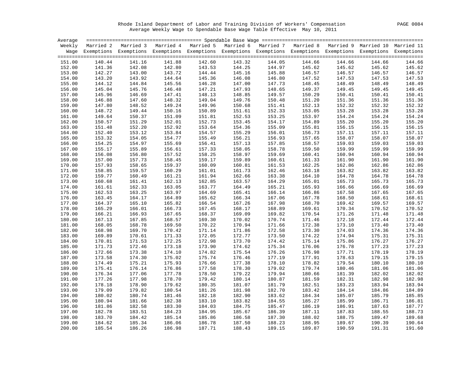Rhode Island Department of Labor and Training Division of Workers' Compensation PAGE 0084 Average Weekly Wage to Spendable Base Wage Table Effective May 10, 2011

| Average |        |                                                                                                                    |                  |        |        |        |        |        |        |        |
|---------|--------|--------------------------------------------------------------------------------------------------------------------|------------------|--------|--------|--------|--------|--------|--------|--------|
| Weekly  |        | Married 2 Married 3 Married 4 Married 5 Married 6 Married 7 Married 8 Married 9 Married 10 Married 11              |                  |        |        |        |        |        |        |        |
|         |        | Wage Exemptions Exemptions Exemptions Exemptions Exemptions Exemptions Exemptions Exemptions Exemptions Exemptions |                  |        |        |        |        |        |        |        |
|         |        |                                                                                                                    |                  |        |        |        |        |        |        |        |
| 151.00  | 140.44 | 141.16                                                                                                             | 141.88           | 142.60 | 143.32 | 144.05 | 144.66 | 144.66 | 144.66 | 144.66 |
| 152.00  | 141.36 | 142.08                                                                                                             | 142.80           | 143.53 | 144.25 | 144.97 | 145.62 | 145.62 | 145.62 | 145.62 |
| 153.00  | 142.27 | 143.00                                                                                                             | 143.72           | 144.44 | 145.16 | 145.88 | 146.57 | 146.57 | 146.57 | 146.57 |
| 154.00  | 143.20 | 143.92                                                                                                             | 144.64           | 145.36 | 146.08 | 146.80 | 147.52 | 147.53 | 147.53 | 147.53 |
| 155.00  | 144.12 | 144.84                                                                                                             | 145.56           | 146.28 | 147.00 | 147.73 | 148.45 | 148.49 | 148.49 | 148.49 |
| 156.00  | 145.04 | 145.76                                                                                                             | 146.48           | 147.21 | 147.93 | 148.65 | 149.37 | 149.45 | 149.45 | 149.45 |
| 157.00  | 145.96 | 146.69                                                                                                             | 147.41           | 148.13 | 148.85 | 149.57 | 150.29 | 150.41 | 150.41 | 150.41 |
| 158.00  | 146.88 | 147.60                                                                                                             | 148.32           | 149.04 | 149.76 | 150.48 | 151.20 | 151.36 | 151.36 | 151.36 |
| 159.00  | 147.80 | 148.52                                                                                                             | 149.24           | 149.96 | 150.68 | 151.41 | 152.13 | 152.32 | 152.32 | 152.32 |
| 160.00  | 148.72 | 149.44                                                                                                             | 150.16           | 150.89 | 151.61 | 152.33 | 153.05 | 153.28 | 153.28 | 153.28 |
| 161.00  | 149.64 | 150.37                                                                                                             | 151.09           | 151.81 | 152.53 | 153.25 | 153.97 | 154.24 | 154.24 | 154.24 |
| 162.00  | 150.57 | 151.29                                                                                                             |                  | 152.73 | 153.45 | 154.17 | 154.89 | 155.20 | 155.20 | 155.20 |
| 163.00  | 151.48 | 152.20                                                                                                             | 152.01<br>152.92 | 153.64 | 154.36 | 155.09 | 155.81 | 156.15 | 156.15 | 156.15 |
| 164.00  | 152.40 | 153.12                                                                                                             | 153.84           | 154.57 | 155.29 | 156.01 | 156.73 | 157.11 | 157.11 | 157.11 |
|         | 153.32 | 154.05                                                                                                             | 154.77           | 155.49 | 156.21 | 156.93 | 157.65 | 158.07 | 158.07 | 158.07 |
| 165.00  |        |                                                                                                                    |                  | 156.41 |        |        |        |        | 159.03 |        |
| 166.00  | 154.25 | 154.97                                                                                                             | 155.69           |        | 157.13 | 157.85 | 158.57 | 159.03 |        | 159.03 |
| 167.00  | 155.17 | 155.89                                                                                                             | 156.61           | 157.33 | 158.05 | 158.78 | 159.50 | 159.99 | 159.99 | 159.99 |
| 168.00  | 156.08 | 156.80                                                                                                             | 157.52           | 158.25 | 158.97 | 159.69 | 160.41 | 160.94 | 160.94 | 160.94 |
| 169.00  | 157.00 | 157.73                                                                                                             | 158.45           | 159.17 | 159.89 | 160.61 | 161.33 | 161.90 | 161.90 | 161.90 |
| 170.00  | 157.93 | 158.65                                                                                                             | 159.37<br>160.29 | 160.09 | 160.81 | 161.53 | 162.25 | 162.86 | 162.86 | 162.86 |
| 171.00  | 158.85 | 159.57                                                                                                             | 160.29           | 161.01 | 161.73 | 162.46 | 163.18 | 163.82 | 163.82 | 163.82 |
| 172.00  | 159.77 | 160.49                                                                                                             | 161.21           | 161.94 | 162.66 | 163.38 | 164.10 | 164.78 | 164.78 | 164.78 |
| 173.00  | 160.68 | 161.41                                                                                                             | 162.13           | 162.85 | 163.57 | 164.29 | 165.01 | 165.73 | 165.73 | 165.73 |
| 174.00  | 161.61 | 162.33                                                                                                             | 163.05           | 163.77 | 164.49 | 165.21 | 165.93 | 166.66 | 166.69 | 166.69 |
| 175.00  | 162.53 | 163.25                                                                                                             | 163.97           | 164.69 | 165.41 | 166.14 | 166.86 | 167.58 | 167.65 | 167.65 |
| 176.00  | 163.45 | 164.17                                                                                                             | 164.89           | 165.62 | 166.34 | 167.06 | 167.78 | 168.50 | 168.61 | 168.61 |
| 177.00  | 164.37 | 165.10                                                                                                             | 165.82           | 166.54 | 167.26 | 167.98 | 168.70 | 169.42 | 169.57 | 169.57 |
| 178.00  | 165.29 | 166.01                                                                                                             | 166.73           | 167.45 | 168.17 | 168.89 | 169.61 | 170.34 | 170.52 | 170.52 |
| 179.00  | 166.21 | 166.93                                                                                                             | 167.65           | 168.37 | 169.09 | 169.82 | 170.54 | 171.26 | 171.48 | 171.48 |
| 180.00  | 167.13 | 167.85                                                                                                             | 168.57           | 169.30 | 170.02 | 170.74 | 171.46 | 172.18 | 172.44 | 172.44 |
| 181.00  | 168.05 | 168.78                                                                                                             | 169.50           | 170.22 | 170.94 | 171.66 | 172.38 | 173.10 | 173.40 | 173.40 |
| 182.00  | 168.98 | 169.70                                                                                                             | 170.42           | 171.14 | 171.86 | 172.58 | 173.30 | 174.03 | 174.36 | 174.36 |
| 183.00  | 169.89 | 170.61                                                                                                             | 171.33           | 172.05 | 172.77 | 173.50 | 174.22 | 174.94 | 175.31 | 175.31 |
| 184.00  | 170.81 | 171.53                                                                                                             | 172.25           | 172.98 | 173.70 | 174.42 | 175.14 | 175.86 | 176.27 | 176.27 |
| 185.00  | 171.73 | 172.46                                                                                                             | 173.18           | 173.90 | 174.62 | 175.34 | 176.06 | 176.78 | 177.23 | 177.23 |
| 186.00  | 172.66 | 173.38                                                                                                             | 174.10           | 174.82 | 175.54 | 176.26 | 176.98 | 177.71 | 178.19 | 178.19 |
| 187.00  | 173.58 | 174.30                                                                                                             | 175.02           | 175.74 | 176.46 | 177.19 | 177.91 | 178.63 | 179.15 | 179.15 |
| 188.00  | 174.49 | 175.21                                                                                                             | 175.93           | 176.66 | 177.38 | 178.10 | 178.82 | 179.54 | 180.10 | 180.10 |
| 189.00  | 175.41 | 176.14                                                                                                             | 176.86           | 177.58 | 178.30 | 179.02 | 179.74 | 180.46 | 181.06 | 181.06 |
| 190.00  | 176.34 | 177.06                                                                                                             | 177.78           | 178.50 | 179.22 | 179.94 | 180.66 | 181.39 | 182.02 | 182.02 |
| 191.00  | 177.26 | 177.98                                                                                                             | 178.70           | 179.42 | 180.14 | 180.87 | 181.59 | 182.31 | 182.98 | 182.98 |
| 192.00  | 178.18 | 178.90                                                                                                             | 179.62           | 180.35 | 181.07 | 181.79 | 182.51 | 183.23 | 183.94 | 183.94 |
| 193.00  | 179.09 | 179.82                                                                                                             | 180.54           | 181.26 | 181.98 | 182.70 | 183.42 | 184.14 | 184.86 | 184.89 |
| 194.00  | 180.02 | 180.74                                                                                                             | 181.46           | 182.18 | 182.90 | 183.62 | 184.34 | 185.07 | 185.79 | 185.85 |
| 195.00  | 180.94 | 181.66                                                                                                             | 182.38           | 183.10 | 183.82 | 184.55 | 185.27 | 185.99 | 186.71 | 186.81 |
| 196.00  | 181.86 | 182.58                                                                                                             | 183.30           | 184.03 | 184.75 | 185.47 | 186.19 | 186.91 | 187.63 | 187.77 |
| 197.00  | 182.78 | 183.51                                                                                                             | 184.23           | 184.95 | 185.67 | 186.39 | 187.11 | 187.83 | 188.55 | 188.73 |
| 198.00  | 183.70 | 184.42                                                                                                             | 185.14           | 185.86 | 186.58 | 187.30 | 188.02 | 188.75 | 189.47 | 189.68 |
| 199.00  | 184.62 | 185.34                                                                                                             | 186.06           | 186.78 | 187.50 | 188.23 | 188.95 | 189.67 | 190.39 | 190.64 |
| 200.00  | 185.54 | 186.26                                                                                                             | 186.98           | 187.71 | 188.43 | 189.15 | 189.87 | 190.59 | 191.31 | 191.60 |
|         |        |                                                                                                                    |                  |        |        |        |        |        |        |        |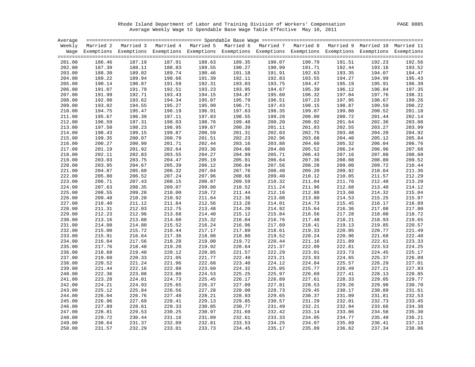Rhode Island Department of Labor and Training Division of Workers' Compensation PAGE 0085 Average Weekly Wage to Spendable Base Wage Table Effective May 10, 2011

| Weekly Married 2 Married 3 Married 4 Married 5 Married 6 Married 7 Married 8 Married 9 Married 10 Married 11<br>Wage Exemptions Exemptions Exemptions Exemptions Exemptions Exemptions Exemptions Exemptions Exemptions Exemptions<br>186.46<br>187.19<br>187.91<br>188.63<br>189.35<br>190.07<br>190.79<br>201.00<br>191.51<br>192.23<br>192.56<br>202.00<br>187.39<br>188.11<br>188.83<br>189.55<br>190.27<br>190.99<br>191.71<br>192.44<br>193.16<br>193.52<br>203.00<br>188.30<br>189.02<br>189.74<br>190.46<br>191.18<br>191.91<br>192.63<br>193.35<br>194.07<br>194.47<br>204.00<br>189.22<br>189.94<br>190.66<br>191.59<br>191.39<br>192.11<br>192.83<br>193.55<br>194.27<br>194.99<br>195.43<br>196.39<br>190.14<br>192.31<br>193.03<br>193.75<br>195.19<br>205.00<br>190.87<br>194.47<br>195.91<br>191.07<br>193.23<br>194.67<br>197.35<br>206.00<br>191.79<br>192.51<br>193.95<br>195.39<br>196.12<br>196.84<br>191.99<br>194.15<br>197.04<br>197.76<br>198.31<br>207.00<br>192.71<br>193.43<br>194.87<br>195.60<br>196.32<br>199.26<br>192.90<br>193.62<br>194.34<br>195.07<br>195.79<br>196.51<br>197.23<br>197.95<br>198.67<br>208.00<br>193.82<br>194.55<br>195.27<br>195.99<br>196.71<br>197.43<br>198.15<br>198.87<br>199.59<br>200.22<br>209.00<br>194.75<br>195.47<br>196.19<br>196.91<br>198.35<br>199.07<br>199.80<br>200.52<br>201.18<br>210.00<br>197.63<br>195.67<br>196.39<br>197.11<br>197.83<br>199.28<br>200.72<br>201.44<br>202.14<br>211.00<br>198.55<br>200.00<br>212.00<br>196.59<br>197.31<br>198.03<br>198.76<br>199.48<br>200.20<br>200.92<br>201.64<br>202.36<br>203.08<br>203.99<br>213.00<br>197.50<br>198.23<br>198.95<br>199.67<br>200.39<br>201.11<br>201.83<br>202.55<br>203.27<br>203.48<br>214.00<br>198.43<br>199.15<br>199.87<br>200.59<br>201.31<br>202.03<br>202.75<br>204.20<br>204.92<br>199.35<br>200.07<br>200.79<br>201.51<br>202.23<br>202.96<br>203.68<br>204.40<br>205.12<br>205.84<br>215.00<br>216.00<br>200.27<br>200.99<br>201.71<br>202.44<br>203.16<br>203.88<br>204.60<br>205.32<br>206.04<br>206.76<br>217.00<br>201.19<br>201.92<br>202.64<br>203.36<br>204.08<br>204.80<br>205.52<br>206.24<br>206.96<br>207.68<br>202.11<br>203.55<br>204.27<br>204.99<br>206.43<br>207.16<br>208.60<br>218.00<br>202.83<br>205.71<br>207.88<br>203.03<br>203.75<br>204.47<br>205.19<br>205.91<br>206.64<br>207.36<br>208.08<br>208.80<br>209.52<br>219.00<br>209.00<br>210.44<br>220.00<br>203.95<br>204.67<br>205.39<br>206.12<br>206.84<br>207.56<br>208.28<br>209.72<br>221.00<br>204.87<br>205.60<br>206.32<br>207.04<br>207.76<br>208.48<br>209.20<br>209.92<br>210.64<br>211.36<br>222.00<br>205.80<br>206.52<br>207.24<br>207.96<br>208.68<br>209.40<br>210.12<br>210.85<br>211.57<br>212.29<br>206.71<br>208.15<br>208.87<br>209.59<br>210.32<br>211.04<br>211.76<br>212.48<br>213.20<br>223.00<br>207.43<br>207.63<br>208.35<br>209.07<br>209.80<br>210.52<br>211.24<br>211.96<br>212.68<br>213.40<br>214.12<br>224.00<br>225.00<br>208.55<br>209.28<br>210.00<br>210.72<br>211.44<br>212.16<br>212.88<br>213.60<br>214.32<br>215.04<br>215.97<br>226.00<br>209.48<br>210.20<br>210.92<br>211.64<br>212.36<br>213.08<br>213.80<br>214.53<br>215.25<br>216.89<br>227.00<br>210.40<br>211.12<br>211.84<br>212.56<br>213.28<br>214.01<br>214.73<br>215.45<br>216.17<br>211.31<br>212.03<br>212.75<br>213.48<br>214.20<br>214.92<br>215.64<br>216.36<br>217.08<br>217.80<br>228.00<br>229.00<br>212.23<br>212.96<br>213.68<br>214.40<br>215.12<br>215.84<br>216.56<br>217.28<br>218.00<br>218.72<br>230.00<br>213.16<br>213.88<br>214.60<br>215.32<br>216.04<br>216.76<br>217.48<br>218.21<br>218.93<br>219.65<br>220.57<br>214.08<br>214.80<br>215.52<br>216.24<br>216.96<br>217.69<br>218.41<br>219.13<br>219.85<br>231.00<br>232.00<br>215.00<br>215.72<br>216.44<br>217.17<br>217.89<br>218.61<br>219.33<br>220.05<br>220.77<br>221.49<br>215.91<br>218.08<br>220.24<br>220.96<br>221.68<br>233.00<br>216.64<br>217.36<br>218.80<br>219.52<br>222.40<br>234.00<br>216.84<br>217.56<br>218.28<br>219.00<br>219.72<br>220.44<br>221.16<br>221.89<br>222.61<br>223.33<br>235.00<br>217.76<br>218.48<br>219.20<br>219.92<br>220.64<br>221.37<br>222.09<br>222.81<br>223.53<br>224.25<br>218.68<br>219.40<br>220.12<br>220.85<br>221.57<br>222.29<br>223.01<br>223.73<br>224.45<br>225.17<br>236.00<br>226.09<br>237.00<br>219.60<br>220.33<br>221.05<br>221.77<br>222.49<br>223.21<br>223.93<br>224.65<br>225.37<br>220.52<br>221.24<br>221.96<br>222.68<br>223.40<br>224.12<br>224.84<br>225.57<br>226.29<br>227.01<br>238.00<br>227.93<br>239.00<br>221.44<br>222.16<br>222.88<br>223.60<br>224.32<br>225.05<br>225.77<br>226.49<br>227.21<br>240.00<br>222.36<br>223.08<br>223.80<br>224.53<br>225.25<br>225.97<br>226.69<br>227.41<br>228.13<br>228.85<br>241.00<br>223.28<br>224.01<br>224.73<br>225.45<br>226.17<br>226.89<br>227.61<br>228.33<br>229.05<br>229.77<br>242.00<br>224.21<br>224.93<br>225.65<br>226.37<br>227.09<br>227.81<br>228.53<br>229.26<br>229.98<br>230.70<br>226.56<br>227.28<br>229.45<br>230.17<br>231.61<br>243.00<br>225.12<br>225.84<br>228.00<br>228.73<br>230.89<br>232.53<br>244.00<br>226.04<br>226.76<br>227.48<br>228.21<br>228.93<br>229.65<br>230.37<br>231.09<br>231.81<br>245.00<br>226.96<br>227.69<br>228.41<br>229.13<br>229.85<br>230.57<br>231.29<br>232.01<br>232.73<br>233.45<br>227.89<br>229.33<br>230.05<br>231.49<br>232.94<br>234.38<br>246.00<br>228.61<br>230.77<br>232.21<br>233.66<br>235.30<br>247.00<br>228.81<br>229.53<br>230.25<br>230.97<br>231.69<br>232.42<br>233.14<br>233.86<br>234.58<br>248.00<br>229.72<br>230.44<br>231.16<br>231.89<br>232.61<br>233.33<br>234.05<br>234.77<br>235.49<br>236.21<br>249.00<br>230.64<br>231.37<br>232.09<br>232.81<br>233.53<br>234.25<br>234.97<br>235.69<br>236.41<br>237.13<br>250.00<br>231.57<br>232.29<br>233.01<br>233.73<br>234.45<br>235.17<br>235.89<br>236.62<br>237.34<br>238.06 | Average |  |  |  |  |  |
|----------------------------------------------------------------------------------------------------------------------------------------------------------------------------------------------------------------------------------------------------------------------------------------------------------------------------------------------------------------------------------------------------------------------------------------------------------------------------------------------------------------------------------------------------------------------------------------------------------------------------------------------------------------------------------------------------------------------------------------------------------------------------------------------------------------------------------------------------------------------------------------------------------------------------------------------------------------------------------------------------------------------------------------------------------------------------------------------------------------------------------------------------------------------------------------------------------------------------------------------------------------------------------------------------------------------------------------------------------------------------------------------------------------------------------------------------------------------------------------------------------------------------------------------------------------------------------------------------------------------------------------------------------------------------------------------------------------------------------------------------------------------------------------------------------------------------------------------------------------------------------------------------------------------------------------------------------------------------------------------------------------------------------------------------------------------------------------------------------------------------------------------------------------------------------------------------------------------------------------------------------------------------------------------------------------------------------------------------------------------------------------------------------------------------------------------------------------------------------------------------------------------------------------------------------------------------------------------------------------------------------------------------------------------------------------------------------------------------------------------------------------------------------------------------------------------------------------------------------------------------------------------------------------------------------------------------------------------------------------------------------------------------------------------------------------------------------------------------------------------------------------------------------------------------------------------------------------------------------------------------------------------------------------------------------------------------------------------------------------------------------------------------------------------------------------------------------------------------------------------------------------------------------------------------------------------------------------------------------------------------------------------------------------------------------------------------------------------------------------------------------------------------------------------------------------------------------------------------------------------------------------------------------------------------------------------------------------------------------------------------------------------------------------------------------------------------------------------------------------------------------------------------------------------------------------------------------------------------------------------------------------------------------------------------------------------------------------------------------------------------------------------------------------------------------------------------------------------------------------------------------------------------------------------------------------------------------------------------------------------------------------------------------------------------------------------------------------------------------------------------------------------------------------------------------------------------------------------------------------------------------------------------------------------------------------------------------------------------------------------------------------------------------------------------------------------------------------------------------------------------------------------------------------------------------------------------------------------------------------------------------------------------------------------------------------------------------------------------------------------------------------------------------------------------------------------------------------------------------------------------------------------------------------------------------------------------------------------------------------------------------------------------------------------------------------------------------------------------------------------------------------------------------------------------------------------------------------------------------------------------------------------------------------------------------------------------------------|---------|--|--|--|--|--|
|                                                                                                                                                                                                                                                                                                                                                                                                                                                                                                                                                                                                                                                                                                                                                                                                                                                                                                                                                                                                                                                                                                                                                                                                                                                                                                                                                                                                                                                                                                                                                                                                                                                                                                                                                                                                                                                                                                                                                                                                                                                                                                                                                                                                                                                                                                                                                                                                                                                                                                                                                                                                                                                                                                                                                                                                                                                                                                                                                                                                                                                                                                                                                                                                                                                                                                                                                                                                                                                                                                                                                                                                                                                                                                                                                                                                                                                                                                                                                                                                                                                                                                                                                                                                                                                                                                                                                                                                                                                                                                                                                                                                                                                                                                                                                                                                                                                                                                                                                                                                                                                                                                                                                                                                                                                                                                                                                                                                                                                                                                                                                                                                                                                                                                                                                                                                                                                                                                                                                                |         |  |  |  |  |  |
|                                                                                                                                                                                                                                                                                                                                                                                                                                                                                                                                                                                                                                                                                                                                                                                                                                                                                                                                                                                                                                                                                                                                                                                                                                                                                                                                                                                                                                                                                                                                                                                                                                                                                                                                                                                                                                                                                                                                                                                                                                                                                                                                                                                                                                                                                                                                                                                                                                                                                                                                                                                                                                                                                                                                                                                                                                                                                                                                                                                                                                                                                                                                                                                                                                                                                                                                                                                                                                                                                                                                                                                                                                                                                                                                                                                                                                                                                                                                                                                                                                                                                                                                                                                                                                                                                                                                                                                                                                                                                                                                                                                                                                                                                                                                                                                                                                                                                                                                                                                                                                                                                                                                                                                                                                                                                                                                                                                                                                                                                                                                                                                                                                                                                                                                                                                                                                                                                                                                                                |         |  |  |  |  |  |
|                                                                                                                                                                                                                                                                                                                                                                                                                                                                                                                                                                                                                                                                                                                                                                                                                                                                                                                                                                                                                                                                                                                                                                                                                                                                                                                                                                                                                                                                                                                                                                                                                                                                                                                                                                                                                                                                                                                                                                                                                                                                                                                                                                                                                                                                                                                                                                                                                                                                                                                                                                                                                                                                                                                                                                                                                                                                                                                                                                                                                                                                                                                                                                                                                                                                                                                                                                                                                                                                                                                                                                                                                                                                                                                                                                                                                                                                                                                                                                                                                                                                                                                                                                                                                                                                                                                                                                                                                                                                                                                                                                                                                                                                                                                                                                                                                                                                                                                                                                                                                                                                                                                                                                                                                                                                                                                                                                                                                                                                                                                                                                                                                                                                                                                                                                                                                                                                                                                                                                |         |  |  |  |  |  |
|                                                                                                                                                                                                                                                                                                                                                                                                                                                                                                                                                                                                                                                                                                                                                                                                                                                                                                                                                                                                                                                                                                                                                                                                                                                                                                                                                                                                                                                                                                                                                                                                                                                                                                                                                                                                                                                                                                                                                                                                                                                                                                                                                                                                                                                                                                                                                                                                                                                                                                                                                                                                                                                                                                                                                                                                                                                                                                                                                                                                                                                                                                                                                                                                                                                                                                                                                                                                                                                                                                                                                                                                                                                                                                                                                                                                                                                                                                                                                                                                                                                                                                                                                                                                                                                                                                                                                                                                                                                                                                                                                                                                                                                                                                                                                                                                                                                                                                                                                                                                                                                                                                                                                                                                                                                                                                                                                                                                                                                                                                                                                                                                                                                                                                                                                                                                                                                                                                                                                                |         |  |  |  |  |  |
|                                                                                                                                                                                                                                                                                                                                                                                                                                                                                                                                                                                                                                                                                                                                                                                                                                                                                                                                                                                                                                                                                                                                                                                                                                                                                                                                                                                                                                                                                                                                                                                                                                                                                                                                                                                                                                                                                                                                                                                                                                                                                                                                                                                                                                                                                                                                                                                                                                                                                                                                                                                                                                                                                                                                                                                                                                                                                                                                                                                                                                                                                                                                                                                                                                                                                                                                                                                                                                                                                                                                                                                                                                                                                                                                                                                                                                                                                                                                                                                                                                                                                                                                                                                                                                                                                                                                                                                                                                                                                                                                                                                                                                                                                                                                                                                                                                                                                                                                                                                                                                                                                                                                                                                                                                                                                                                                                                                                                                                                                                                                                                                                                                                                                                                                                                                                                                                                                                                                                                |         |  |  |  |  |  |
|                                                                                                                                                                                                                                                                                                                                                                                                                                                                                                                                                                                                                                                                                                                                                                                                                                                                                                                                                                                                                                                                                                                                                                                                                                                                                                                                                                                                                                                                                                                                                                                                                                                                                                                                                                                                                                                                                                                                                                                                                                                                                                                                                                                                                                                                                                                                                                                                                                                                                                                                                                                                                                                                                                                                                                                                                                                                                                                                                                                                                                                                                                                                                                                                                                                                                                                                                                                                                                                                                                                                                                                                                                                                                                                                                                                                                                                                                                                                                                                                                                                                                                                                                                                                                                                                                                                                                                                                                                                                                                                                                                                                                                                                                                                                                                                                                                                                                                                                                                                                                                                                                                                                                                                                                                                                                                                                                                                                                                                                                                                                                                                                                                                                                                                                                                                                                                                                                                                                                                |         |  |  |  |  |  |
|                                                                                                                                                                                                                                                                                                                                                                                                                                                                                                                                                                                                                                                                                                                                                                                                                                                                                                                                                                                                                                                                                                                                                                                                                                                                                                                                                                                                                                                                                                                                                                                                                                                                                                                                                                                                                                                                                                                                                                                                                                                                                                                                                                                                                                                                                                                                                                                                                                                                                                                                                                                                                                                                                                                                                                                                                                                                                                                                                                                                                                                                                                                                                                                                                                                                                                                                                                                                                                                                                                                                                                                                                                                                                                                                                                                                                                                                                                                                                                                                                                                                                                                                                                                                                                                                                                                                                                                                                                                                                                                                                                                                                                                                                                                                                                                                                                                                                                                                                                                                                                                                                                                                                                                                                                                                                                                                                                                                                                                                                                                                                                                                                                                                                                                                                                                                                                                                                                                                                                |         |  |  |  |  |  |
|                                                                                                                                                                                                                                                                                                                                                                                                                                                                                                                                                                                                                                                                                                                                                                                                                                                                                                                                                                                                                                                                                                                                                                                                                                                                                                                                                                                                                                                                                                                                                                                                                                                                                                                                                                                                                                                                                                                                                                                                                                                                                                                                                                                                                                                                                                                                                                                                                                                                                                                                                                                                                                                                                                                                                                                                                                                                                                                                                                                                                                                                                                                                                                                                                                                                                                                                                                                                                                                                                                                                                                                                                                                                                                                                                                                                                                                                                                                                                                                                                                                                                                                                                                                                                                                                                                                                                                                                                                                                                                                                                                                                                                                                                                                                                                                                                                                                                                                                                                                                                                                                                                                                                                                                                                                                                                                                                                                                                                                                                                                                                                                                                                                                                                                                                                                                                                                                                                                                                                |         |  |  |  |  |  |
|                                                                                                                                                                                                                                                                                                                                                                                                                                                                                                                                                                                                                                                                                                                                                                                                                                                                                                                                                                                                                                                                                                                                                                                                                                                                                                                                                                                                                                                                                                                                                                                                                                                                                                                                                                                                                                                                                                                                                                                                                                                                                                                                                                                                                                                                                                                                                                                                                                                                                                                                                                                                                                                                                                                                                                                                                                                                                                                                                                                                                                                                                                                                                                                                                                                                                                                                                                                                                                                                                                                                                                                                                                                                                                                                                                                                                                                                                                                                                                                                                                                                                                                                                                                                                                                                                                                                                                                                                                                                                                                                                                                                                                                                                                                                                                                                                                                                                                                                                                                                                                                                                                                                                                                                                                                                                                                                                                                                                                                                                                                                                                                                                                                                                                                                                                                                                                                                                                                                                                |         |  |  |  |  |  |
|                                                                                                                                                                                                                                                                                                                                                                                                                                                                                                                                                                                                                                                                                                                                                                                                                                                                                                                                                                                                                                                                                                                                                                                                                                                                                                                                                                                                                                                                                                                                                                                                                                                                                                                                                                                                                                                                                                                                                                                                                                                                                                                                                                                                                                                                                                                                                                                                                                                                                                                                                                                                                                                                                                                                                                                                                                                                                                                                                                                                                                                                                                                                                                                                                                                                                                                                                                                                                                                                                                                                                                                                                                                                                                                                                                                                                                                                                                                                                                                                                                                                                                                                                                                                                                                                                                                                                                                                                                                                                                                                                                                                                                                                                                                                                                                                                                                                                                                                                                                                                                                                                                                                                                                                                                                                                                                                                                                                                                                                                                                                                                                                                                                                                                                                                                                                                                                                                                                                                                |         |  |  |  |  |  |
|                                                                                                                                                                                                                                                                                                                                                                                                                                                                                                                                                                                                                                                                                                                                                                                                                                                                                                                                                                                                                                                                                                                                                                                                                                                                                                                                                                                                                                                                                                                                                                                                                                                                                                                                                                                                                                                                                                                                                                                                                                                                                                                                                                                                                                                                                                                                                                                                                                                                                                                                                                                                                                                                                                                                                                                                                                                                                                                                                                                                                                                                                                                                                                                                                                                                                                                                                                                                                                                                                                                                                                                                                                                                                                                                                                                                                                                                                                                                                                                                                                                                                                                                                                                                                                                                                                                                                                                                                                                                                                                                                                                                                                                                                                                                                                                                                                                                                                                                                                                                                                                                                                                                                                                                                                                                                                                                                                                                                                                                                                                                                                                                                                                                                                                                                                                                                                                                                                                                                                |         |  |  |  |  |  |
|                                                                                                                                                                                                                                                                                                                                                                                                                                                                                                                                                                                                                                                                                                                                                                                                                                                                                                                                                                                                                                                                                                                                                                                                                                                                                                                                                                                                                                                                                                                                                                                                                                                                                                                                                                                                                                                                                                                                                                                                                                                                                                                                                                                                                                                                                                                                                                                                                                                                                                                                                                                                                                                                                                                                                                                                                                                                                                                                                                                                                                                                                                                                                                                                                                                                                                                                                                                                                                                                                                                                                                                                                                                                                                                                                                                                                                                                                                                                                                                                                                                                                                                                                                                                                                                                                                                                                                                                                                                                                                                                                                                                                                                                                                                                                                                                                                                                                                                                                                                                                                                                                                                                                                                                                                                                                                                                                                                                                                                                                                                                                                                                                                                                                                                                                                                                                                                                                                                                                                |         |  |  |  |  |  |
|                                                                                                                                                                                                                                                                                                                                                                                                                                                                                                                                                                                                                                                                                                                                                                                                                                                                                                                                                                                                                                                                                                                                                                                                                                                                                                                                                                                                                                                                                                                                                                                                                                                                                                                                                                                                                                                                                                                                                                                                                                                                                                                                                                                                                                                                                                                                                                                                                                                                                                                                                                                                                                                                                                                                                                                                                                                                                                                                                                                                                                                                                                                                                                                                                                                                                                                                                                                                                                                                                                                                                                                                                                                                                                                                                                                                                                                                                                                                                                                                                                                                                                                                                                                                                                                                                                                                                                                                                                                                                                                                                                                                                                                                                                                                                                                                                                                                                                                                                                                                                                                                                                                                                                                                                                                                                                                                                                                                                                                                                                                                                                                                                                                                                                                                                                                                                                                                                                                                                                |         |  |  |  |  |  |
|                                                                                                                                                                                                                                                                                                                                                                                                                                                                                                                                                                                                                                                                                                                                                                                                                                                                                                                                                                                                                                                                                                                                                                                                                                                                                                                                                                                                                                                                                                                                                                                                                                                                                                                                                                                                                                                                                                                                                                                                                                                                                                                                                                                                                                                                                                                                                                                                                                                                                                                                                                                                                                                                                                                                                                                                                                                                                                                                                                                                                                                                                                                                                                                                                                                                                                                                                                                                                                                                                                                                                                                                                                                                                                                                                                                                                                                                                                                                                                                                                                                                                                                                                                                                                                                                                                                                                                                                                                                                                                                                                                                                                                                                                                                                                                                                                                                                                                                                                                                                                                                                                                                                                                                                                                                                                                                                                                                                                                                                                                                                                                                                                                                                                                                                                                                                                                                                                                                                                                |         |  |  |  |  |  |
|                                                                                                                                                                                                                                                                                                                                                                                                                                                                                                                                                                                                                                                                                                                                                                                                                                                                                                                                                                                                                                                                                                                                                                                                                                                                                                                                                                                                                                                                                                                                                                                                                                                                                                                                                                                                                                                                                                                                                                                                                                                                                                                                                                                                                                                                                                                                                                                                                                                                                                                                                                                                                                                                                                                                                                                                                                                                                                                                                                                                                                                                                                                                                                                                                                                                                                                                                                                                                                                                                                                                                                                                                                                                                                                                                                                                                                                                                                                                                                                                                                                                                                                                                                                                                                                                                                                                                                                                                                                                                                                                                                                                                                                                                                                                                                                                                                                                                                                                                                                                                                                                                                                                                                                                                                                                                                                                                                                                                                                                                                                                                                                                                                                                                                                                                                                                                                                                                                                                                                |         |  |  |  |  |  |
|                                                                                                                                                                                                                                                                                                                                                                                                                                                                                                                                                                                                                                                                                                                                                                                                                                                                                                                                                                                                                                                                                                                                                                                                                                                                                                                                                                                                                                                                                                                                                                                                                                                                                                                                                                                                                                                                                                                                                                                                                                                                                                                                                                                                                                                                                                                                                                                                                                                                                                                                                                                                                                                                                                                                                                                                                                                                                                                                                                                                                                                                                                                                                                                                                                                                                                                                                                                                                                                                                                                                                                                                                                                                                                                                                                                                                                                                                                                                                                                                                                                                                                                                                                                                                                                                                                                                                                                                                                                                                                                                                                                                                                                                                                                                                                                                                                                                                                                                                                                                                                                                                                                                                                                                                                                                                                                                                                                                                                                                                                                                                                                                                                                                                                                                                                                                                                                                                                                                                                |         |  |  |  |  |  |
|                                                                                                                                                                                                                                                                                                                                                                                                                                                                                                                                                                                                                                                                                                                                                                                                                                                                                                                                                                                                                                                                                                                                                                                                                                                                                                                                                                                                                                                                                                                                                                                                                                                                                                                                                                                                                                                                                                                                                                                                                                                                                                                                                                                                                                                                                                                                                                                                                                                                                                                                                                                                                                                                                                                                                                                                                                                                                                                                                                                                                                                                                                                                                                                                                                                                                                                                                                                                                                                                                                                                                                                                                                                                                                                                                                                                                                                                                                                                                                                                                                                                                                                                                                                                                                                                                                                                                                                                                                                                                                                                                                                                                                                                                                                                                                                                                                                                                                                                                                                                                                                                                                                                                                                                                                                                                                                                                                                                                                                                                                                                                                                                                                                                                                                                                                                                                                                                                                                                                                |         |  |  |  |  |  |
|                                                                                                                                                                                                                                                                                                                                                                                                                                                                                                                                                                                                                                                                                                                                                                                                                                                                                                                                                                                                                                                                                                                                                                                                                                                                                                                                                                                                                                                                                                                                                                                                                                                                                                                                                                                                                                                                                                                                                                                                                                                                                                                                                                                                                                                                                                                                                                                                                                                                                                                                                                                                                                                                                                                                                                                                                                                                                                                                                                                                                                                                                                                                                                                                                                                                                                                                                                                                                                                                                                                                                                                                                                                                                                                                                                                                                                                                                                                                                                                                                                                                                                                                                                                                                                                                                                                                                                                                                                                                                                                                                                                                                                                                                                                                                                                                                                                                                                                                                                                                                                                                                                                                                                                                                                                                                                                                                                                                                                                                                                                                                                                                                                                                                                                                                                                                                                                                                                                                                                |         |  |  |  |  |  |
|                                                                                                                                                                                                                                                                                                                                                                                                                                                                                                                                                                                                                                                                                                                                                                                                                                                                                                                                                                                                                                                                                                                                                                                                                                                                                                                                                                                                                                                                                                                                                                                                                                                                                                                                                                                                                                                                                                                                                                                                                                                                                                                                                                                                                                                                                                                                                                                                                                                                                                                                                                                                                                                                                                                                                                                                                                                                                                                                                                                                                                                                                                                                                                                                                                                                                                                                                                                                                                                                                                                                                                                                                                                                                                                                                                                                                                                                                                                                                                                                                                                                                                                                                                                                                                                                                                                                                                                                                                                                                                                                                                                                                                                                                                                                                                                                                                                                                                                                                                                                                                                                                                                                                                                                                                                                                                                                                                                                                                                                                                                                                                                                                                                                                                                                                                                                                                                                                                                                                                |         |  |  |  |  |  |
|                                                                                                                                                                                                                                                                                                                                                                                                                                                                                                                                                                                                                                                                                                                                                                                                                                                                                                                                                                                                                                                                                                                                                                                                                                                                                                                                                                                                                                                                                                                                                                                                                                                                                                                                                                                                                                                                                                                                                                                                                                                                                                                                                                                                                                                                                                                                                                                                                                                                                                                                                                                                                                                                                                                                                                                                                                                                                                                                                                                                                                                                                                                                                                                                                                                                                                                                                                                                                                                                                                                                                                                                                                                                                                                                                                                                                                                                                                                                                                                                                                                                                                                                                                                                                                                                                                                                                                                                                                                                                                                                                                                                                                                                                                                                                                                                                                                                                                                                                                                                                                                                                                                                                                                                                                                                                                                                                                                                                                                                                                                                                                                                                                                                                                                                                                                                                                                                                                                                                                |         |  |  |  |  |  |
|                                                                                                                                                                                                                                                                                                                                                                                                                                                                                                                                                                                                                                                                                                                                                                                                                                                                                                                                                                                                                                                                                                                                                                                                                                                                                                                                                                                                                                                                                                                                                                                                                                                                                                                                                                                                                                                                                                                                                                                                                                                                                                                                                                                                                                                                                                                                                                                                                                                                                                                                                                                                                                                                                                                                                                                                                                                                                                                                                                                                                                                                                                                                                                                                                                                                                                                                                                                                                                                                                                                                                                                                                                                                                                                                                                                                                                                                                                                                                                                                                                                                                                                                                                                                                                                                                                                                                                                                                                                                                                                                                                                                                                                                                                                                                                                                                                                                                                                                                                                                                                                                                                                                                                                                                                                                                                                                                                                                                                                                                                                                                                                                                                                                                                                                                                                                                                                                                                                                                                |         |  |  |  |  |  |
|                                                                                                                                                                                                                                                                                                                                                                                                                                                                                                                                                                                                                                                                                                                                                                                                                                                                                                                                                                                                                                                                                                                                                                                                                                                                                                                                                                                                                                                                                                                                                                                                                                                                                                                                                                                                                                                                                                                                                                                                                                                                                                                                                                                                                                                                                                                                                                                                                                                                                                                                                                                                                                                                                                                                                                                                                                                                                                                                                                                                                                                                                                                                                                                                                                                                                                                                                                                                                                                                                                                                                                                                                                                                                                                                                                                                                                                                                                                                                                                                                                                                                                                                                                                                                                                                                                                                                                                                                                                                                                                                                                                                                                                                                                                                                                                                                                                                                                                                                                                                                                                                                                                                                                                                                                                                                                                                                                                                                                                                                                                                                                                                                                                                                                                                                                                                                                                                                                                                                                |         |  |  |  |  |  |
|                                                                                                                                                                                                                                                                                                                                                                                                                                                                                                                                                                                                                                                                                                                                                                                                                                                                                                                                                                                                                                                                                                                                                                                                                                                                                                                                                                                                                                                                                                                                                                                                                                                                                                                                                                                                                                                                                                                                                                                                                                                                                                                                                                                                                                                                                                                                                                                                                                                                                                                                                                                                                                                                                                                                                                                                                                                                                                                                                                                                                                                                                                                                                                                                                                                                                                                                                                                                                                                                                                                                                                                                                                                                                                                                                                                                                                                                                                                                                                                                                                                                                                                                                                                                                                                                                                                                                                                                                                                                                                                                                                                                                                                                                                                                                                                                                                                                                                                                                                                                                                                                                                                                                                                                                                                                                                                                                                                                                                                                                                                                                                                                                                                                                                                                                                                                                                                                                                                                                                |         |  |  |  |  |  |
|                                                                                                                                                                                                                                                                                                                                                                                                                                                                                                                                                                                                                                                                                                                                                                                                                                                                                                                                                                                                                                                                                                                                                                                                                                                                                                                                                                                                                                                                                                                                                                                                                                                                                                                                                                                                                                                                                                                                                                                                                                                                                                                                                                                                                                                                                                                                                                                                                                                                                                                                                                                                                                                                                                                                                                                                                                                                                                                                                                                                                                                                                                                                                                                                                                                                                                                                                                                                                                                                                                                                                                                                                                                                                                                                                                                                                                                                                                                                                                                                                                                                                                                                                                                                                                                                                                                                                                                                                                                                                                                                                                                                                                                                                                                                                                                                                                                                                                                                                                                                                                                                                                                                                                                                                                                                                                                                                                                                                                                                                                                                                                                                                                                                                                                                                                                                                                                                                                                                                                |         |  |  |  |  |  |
|                                                                                                                                                                                                                                                                                                                                                                                                                                                                                                                                                                                                                                                                                                                                                                                                                                                                                                                                                                                                                                                                                                                                                                                                                                                                                                                                                                                                                                                                                                                                                                                                                                                                                                                                                                                                                                                                                                                                                                                                                                                                                                                                                                                                                                                                                                                                                                                                                                                                                                                                                                                                                                                                                                                                                                                                                                                                                                                                                                                                                                                                                                                                                                                                                                                                                                                                                                                                                                                                                                                                                                                                                                                                                                                                                                                                                                                                                                                                                                                                                                                                                                                                                                                                                                                                                                                                                                                                                                                                                                                                                                                                                                                                                                                                                                                                                                                                                                                                                                                                                                                                                                                                                                                                                                                                                                                                                                                                                                                                                                                                                                                                                                                                                                                                                                                                                                                                                                                                                                |         |  |  |  |  |  |
|                                                                                                                                                                                                                                                                                                                                                                                                                                                                                                                                                                                                                                                                                                                                                                                                                                                                                                                                                                                                                                                                                                                                                                                                                                                                                                                                                                                                                                                                                                                                                                                                                                                                                                                                                                                                                                                                                                                                                                                                                                                                                                                                                                                                                                                                                                                                                                                                                                                                                                                                                                                                                                                                                                                                                                                                                                                                                                                                                                                                                                                                                                                                                                                                                                                                                                                                                                                                                                                                                                                                                                                                                                                                                                                                                                                                                                                                                                                                                                                                                                                                                                                                                                                                                                                                                                                                                                                                                                                                                                                                                                                                                                                                                                                                                                                                                                                                                                                                                                                                                                                                                                                                                                                                                                                                                                                                                                                                                                                                                                                                                                                                                                                                                                                                                                                                                                                                                                                                                                |         |  |  |  |  |  |
|                                                                                                                                                                                                                                                                                                                                                                                                                                                                                                                                                                                                                                                                                                                                                                                                                                                                                                                                                                                                                                                                                                                                                                                                                                                                                                                                                                                                                                                                                                                                                                                                                                                                                                                                                                                                                                                                                                                                                                                                                                                                                                                                                                                                                                                                                                                                                                                                                                                                                                                                                                                                                                                                                                                                                                                                                                                                                                                                                                                                                                                                                                                                                                                                                                                                                                                                                                                                                                                                                                                                                                                                                                                                                                                                                                                                                                                                                                                                                                                                                                                                                                                                                                                                                                                                                                                                                                                                                                                                                                                                                                                                                                                                                                                                                                                                                                                                                                                                                                                                                                                                                                                                                                                                                                                                                                                                                                                                                                                                                                                                                                                                                                                                                                                                                                                                                                                                                                                                                                |         |  |  |  |  |  |
|                                                                                                                                                                                                                                                                                                                                                                                                                                                                                                                                                                                                                                                                                                                                                                                                                                                                                                                                                                                                                                                                                                                                                                                                                                                                                                                                                                                                                                                                                                                                                                                                                                                                                                                                                                                                                                                                                                                                                                                                                                                                                                                                                                                                                                                                                                                                                                                                                                                                                                                                                                                                                                                                                                                                                                                                                                                                                                                                                                                                                                                                                                                                                                                                                                                                                                                                                                                                                                                                                                                                                                                                                                                                                                                                                                                                                                                                                                                                                                                                                                                                                                                                                                                                                                                                                                                                                                                                                                                                                                                                                                                                                                                                                                                                                                                                                                                                                                                                                                                                                                                                                                                                                                                                                                                                                                                                                                                                                                                                                                                                                                                                                                                                                                                                                                                                                                                                                                                                                                |         |  |  |  |  |  |
|                                                                                                                                                                                                                                                                                                                                                                                                                                                                                                                                                                                                                                                                                                                                                                                                                                                                                                                                                                                                                                                                                                                                                                                                                                                                                                                                                                                                                                                                                                                                                                                                                                                                                                                                                                                                                                                                                                                                                                                                                                                                                                                                                                                                                                                                                                                                                                                                                                                                                                                                                                                                                                                                                                                                                                                                                                                                                                                                                                                                                                                                                                                                                                                                                                                                                                                                                                                                                                                                                                                                                                                                                                                                                                                                                                                                                                                                                                                                                                                                                                                                                                                                                                                                                                                                                                                                                                                                                                                                                                                                                                                                                                                                                                                                                                                                                                                                                                                                                                                                                                                                                                                                                                                                                                                                                                                                                                                                                                                                                                                                                                                                                                                                                                                                                                                                                                                                                                                                                                |         |  |  |  |  |  |
|                                                                                                                                                                                                                                                                                                                                                                                                                                                                                                                                                                                                                                                                                                                                                                                                                                                                                                                                                                                                                                                                                                                                                                                                                                                                                                                                                                                                                                                                                                                                                                                                                                                                                                                                                                                                                                                                                                                                                                                                                                                                                                                                                                                                                                                                                                                                                                                                                                                                                                                                                                                                                                                                                                                                                                                                                                                                                                                                                                                                                                                                                                                                                                                                                                                                                                                                                                                                                                                                                                                                                                                                                                                                                                                                                                                                                                                                                                                                                                                                                                                                                                                                                                                                                                                                                                                                                                                                                                                                                                                                                                                                                                                                                                                                                                                                                                                                                                                                                                                                                                                                                                                                                                                                                                                                                                                                                                                                                                                                                                                                                                                                                                                                                                                                                                                                                                                                                                                                                                |         |  |  |  |  |  |
|                                                                                                                                                                                                                                                                                                                                                                                                                                                                                                                                                                                                                                                                                                                                                                                                                                                                                                                                                                                                                                                                                                                                                                                                                                                                                                                                                                                                                                                                                                                                                                                                                                                                                                                                                                                                                                                                                                                                                                                                                                                                                                                                                                                                                                                                                                                                                                                                                                                                                                                                                                                                                                                                                                                                                                                                                                                                                                                                                                                                                                                                                                                                                                                                                                                                                                                                                                                                                                                                                                                                                                                                                                                                                                                                                                                                                                                                                                                                                                                                                                                                                                                                                                                                                                                                                                                                                                                                                                                                                                                                                                                                                                                                                                                                                                                                                                                                                                                                                                                                                                                                                                                                                                                                                                                                                                                                                                                                                                                                                                                                                                                                                                                                                                                                                                                                                                                                                                                                                                |         |  |  |  |  |  |
|                                                                                                                                                                                                                                                                                                                                                                                                                                                                                                                                                                                                                                                                                                                                                                                                                                                                                                                                                                                                                                                                                                                                                                                                                                                                                                                                                                                                                                                                                                                                                                                                                                                                                                                                                                                                                                                                                                                                                                                                                                                                                                                                                                                                                                                                                                                                                                                                                                                                                                                                                                                                                                                                                                                                                                                                                                                                                                                                                                                                                                                                                                                                                                                                                                                                                                                                                                                                                                                                                                                                                                                                                                                                                                                                                                                                                                                                                                                                                                                                                                                                                                                                                                                                                                                                                                                                                                                                                                                                                                                                                                                                                                                                                                                                                                                                                                                                                                                                                                                                                                                                                                                                                                                                                                                                                                                                                                                                                                                                                                                                                                                                                                                                                                                                                                                                                                                                                                                                                                |         |  |  |  |  |  |
|                                                                                                                                                                                                                                                                                                                                                                                                                                                                                                                                                                                                                                                                                                                                                                                                                                                                                                                                                                                                                                                                                                                                                                                                                                                                                                                                                                                                                                                                                                                                                                                                                                                                                                                                                                                                                                                                                                                                                                                                                                                                                                                                                                                                                                                                                                                                                                                                                                                                                                                                                                                                                                                                                                                                                                                                                                                                                                                                                                                                                                                                                                                                                                                                                                                                                                                                                                                                                                                                                                                                                                                                                                                                                                                                                                                                                                                                                                                                                                                                                                                                                                                                                                                                                                                                                                                                                                                                                                                                                                                                                                                                                                                                                                                                                                                                                                                                                                                                                                                                                                                                                                                                                                                                                                                                                                                                                                                                                                                                                                                                                                                                                                                                                                                                                                                                                                                                                                                                                                |         |  |  |  |  |  |
|                                                                                                                                                                                                                                                                                                                                                                                                                                                                                                                                                                                                                                                                                                                                                                                                                                                                                                                                                                                                                                                                                                                                                                                                                                                                                                                                                                                                                                                                                                                                                                                                                                                                                                                                                                                                                                                                                                                                                                                                                                                                                                                                                                                                                                                                                                                                                                                                                                                                                                                                                                                                                                                                                                                                                                                                                                                                                                                                                                                                                                                                                                                                                                                                                                                                                                                                                                                                                                                                                                                                                                                                                                                                                                                                                                                                                                                                                                                                                                                                                                                                                                                                                                                                                                                                                                                                                                                                                                                                                                                                                                                                                                                                                                                                                                                                                                                                                                                                                                                                                                                                                                                                                                                                                                                                                                                                                                                                                                                                                                                                                                                                                                                                                                                                                                                                                                                                                                                                                                |         |  |  |  |  |  |
|                                                                                                                                                                                                                                                                                                                                                                                                                                                                                                                                                                                                                                                                                                                                                                                                                                                                                                                                                                                                                                                                                                                                                                                                                                                                                                                                                                                                                                                                                                                                                                                                                                                                                                                                                                                                                                                                                                                                                                                                                                                                                                                                                                                                                                                                                                                                                                                                                                                                                                                                                                                                                                                                                                                                                                                                                                                                                                                                                                                                                                                                                                                                                                                                                                                                                                                                                                                                                                                                                                                                                                                                                                                                                                                                                                                                                                                                                                                                                                                                                                                                                                                                                                                                                                                                                                                                                                                                                                                                                                                                                                                                                                                                                                                                                                                                                                                                                                                                                                                                                                                                                                                                                                                                                                                                                                                                                                                                                                                                                                                                                                                                                                                                                                                                                                                                                                                                                                                                                                |         |  |  |  |  |  |
|                                                                                                                                                                                                                                                                                                                                                                                                                                                                                                                                                                                                                                                                                                                                                                                                                                                                                                                                                                                                                                                                                                                                                                                                                                                                                                                                                                                                                                                                                                                                                                                                                                                                                                                                                                                                                                                                                                                                                                                                                                                                                                                                                                                                                                                                                                                                                                                                                                                                                                                                                                                                                                                                                                                                                                                                                                                                                                                                                                                                                                                                                                                                                                                                                                                                                                                                                                                                                                                                                                                                                                                                                                                                                                                                                                                                                                                                                                                                                                                                                                                                                                                                                                                                                                                                                                                                                                                                                                                                                                                                                                                                                                                                                                                                                                                                                                                                                                                                                                                                                                                                                                                                                                                                                                                                                                                                                                                                                                                                                                                                                                                                                                                                                                                                                                                                                                                                                                                                                                |         |  |  |  |  |  |
|                                                                                                                                                                                                                                                                                                                                                                                                                                                                                                                                                                                                                                                                                                                                                                                                                                                                                                                                                                                                                                                                                                                                                                                                                                                                                                                                                                                                                                                                                                                                                                                                                                                                                                                                                                                                                                                                                                                                                                                                                                                                                                                                                                                                                                                                                                                                                                                                                                                                                                                                                                                                                                                                                                                                                                                                                                                                                                                                                                                                                                                                                                                                                                                                                                                                                                                                                                                                                                                                                                                                                                                                                                                                                                                                                                                                                                                                                                                                                                                                                                                                                                                                                                                                                                                                                                                                                                                                                                                                                                                                                                                                                                                                                                                                                                                                                                                                                                                                                                                                                                                                                                                                                                                                                                                                                                                                                                                                                                                                                                                                                                                                                                                                                                                                                                                                                                                                                                                                                                |         |  |  |  |  |  |
|                                                                                                                                                                                                                                                                                                                                                                                                                                                                                                                                                                                                                                                                                                                                                                                                                                                                                                                                                                                                                                                                                                                                                                                                                                                                                                                                                                                                                                                                                                                                                                                                                                                                                                                                                                                                                                                                                                                                                                                                                                                                                                                                                                                                                                                                                                                                                                                                                                                                                                                                                                                                                                                                                                                                                                                                                                                                                                                                                                                                                                                                                                                                                                                                                                                                                                                                                                                                                                                                                                                                                                                                                                                                                                                                                                                                                                                                                                                                                                                                                                                                                                                                                                                                                                                                                                                                                                                                                                                                                                                                                                                                                                                                                                                                                                                                                                                                                                                                                                                                                                                                                                                                                                                                                                                                                                                                                                                                                                                                                                                                                                                                                                                                                                                                                                                                                                                                                                                                                                |         |  |  |  |  |  |
|                                                                                                                                                                                                                                                                                                                                                                                                                                                                                                                                                                                                                                                                                                                                                                                                                                                                                                                                                                                                                                                                                                                                                                                                                                                                                                                                                                                                                                                                                                                                                                                                                                                                                                                                                                                                                                                                                                                                                                                                                                                                                                                                                                                                                                                                                                                                                                                                                                                                                                                                                                                                                                                                                                                                                                                                                                                                                                                                                                                                                                                                                                                                                                                                                                                                                                                                                                                                                                                                                                                                                                                                                                                                                                                                                                                                                                                                                                                                                                                                                                                                                                                                                                                                                                                                                                                                                                                                                                                                                                                                                                                                                                                                                                                                                                                                                                                                                                                                                                                                                                                                                                                                                                                                                                                                                                                                                                                                                                                                                                                                                                                                                                                                                                                                                                                                                                                                                                                                                                |         |  |  |  |  |  |
|                                                                                                                                                                                                                                                                                                                                                                                                                                                                                                                                                                                                                                                                                                                                                                                                                                                                                                                                                                                                                                                                                                                                                                                                                                                                                                                                                                                                                                                                                                                                                                                                                                                                                                                                                                                                                                                                                                                                                                                                                                                                                                                                                                                                                                                                                                                                                                                                                                                                                                                                                                                                                                                                                                                                                                                                                                                                                                                                                                                                                                                                                                                                                                                                                                                                                                                                                                                                                                                                                                                                                                                                                                                                                                                                                                                                                                                                                                                                                                                                                                                                                                                                                                                                                                                                                                                                                                                                                                                                                                                                                                                                                                                                                                                                                                                                                                                                                                                                                                                                                                                                                                                                                                                                                                                                                                                                                                                                                                                                                                                                                                                                                                                                                                                                                                                                                                                                                                                                                                |         |  |  |  |  |  |
|                                                                                                                                                                                                                                                                                                                                                                                                                                                                                                                                                                                                                                                                                                                                                                                                                                                                                                                                                                                                                                                                                                                                                                                                                                                                                                                                                                                                                                                                                                                                                                                                                                                                                                                                                                                                                                                                                                                                                                                                                                                                                                                                                                                                                                                                                                                                                                                                                                                                                                                                                                                                                                                                                                                                                                                                                                                                                                                                                                                                                                                                                                                                                                                                                                                                                                                                                                                                                                                                                                                                                                                                                                                                                                                                                                                                                                                                                                                                                                                                                                                                                                                                                                                                                                                                                                                                                                                                                                                                                                                                                                                                                                                                                                                                                                                                                                                                                                                                                                                                                                                                                                                                                                                                                                                                                                                                                                                                                                                                                                                                                                                                                                                                                                                                                                                                                                                                                                                                                                |         |  |  |  |  |  |
|                                                                                                                                                                                                                                                                                                                                                                                                                                                                                                                                                                                                                                                                                                                                                                                                                                                                                                                                                                                                                                                                                                                                                                                                                                                                                                                                                                                                                                                                                                                                                                                                                                                                                                                                                                                                                                                                                                                                                                                                                                                                                                                                                                                                                                                                                                                                                                                                                                                                                                                                                                                                                                                                                                                                                                                                                                                                                                                                                                                                                                                                                                                                                                                                                                                                                                                                                                                                                                                                                                                                                                                                                                                                                                                                                                                                                                                                                                                                                                                                                                                                                                                                                                                                                                                                                                                                                                                                                                                                                                                                                                                                                                                                                                                                                                                                                                                                                                                                                                                                                                                                                                                                                                                                                                                                                                                                                                                                                                                                                                                                                                                                                                                                                                                                                                                                                                                                                                                                                                |         |  |  |  |  |  |
|                                                                                                                                                                                                                                                                                                                                                                                                                                                                                                                                                                                                                                                                                                                                                                                                                                                                                                                                                                                                                                                                                                                                                                                                                                                                                                                                                                                                                                                                                                                                                                                                                                                                                                                                                                                                                                                                                                                                                                                                                                                                                                                                                                                                                                                                                                                                                                                                                                                                                                                                                                                                                                                                                                                                                                                                                                                                                                                                                                                                                                                                                                                                                                                                                                                                                                                                                                                                                                                                                                                                                                                                                                                                                                                                                                                                                                                                                                                                                                                                                                                                                                                                                                                                                                                                                                                                                                                                                                                                                                                                                                                                                                                                                                                                                                                                                                                                                                                                                                                                                                                                                                                                                                                                                                                                                                                                                                                                                                                                                                                                                                                                                                                                                                                                                                                                                                                                                                                                                                |         |  |  |  |  |  |
|                                                                                                                                                                                                                                                                                                                                                                                                                                                                                                                                                                                                                                                                                                                                                                                                                                                                                                                                                                                                                                                                                                                                                                                                                                                                                                                                                                                                                                                                                                                                                                                                                                                                                                                                                                                                                                                                                                                                                                                                                                                                                                                                                                                                                                                                                                                                                                                                                                                                                                                                                                                                                                                                                                                                                                                                                                                                                                                                                                                                                                                                                                                                                                                                                                                                                                                                                                                                                                                                                                                                                                                                                                                                                                                                                                                                                                                                                                                                                                                                                                                                                                                                                                                                                                                                                                                                                                                                                                                                                                                                                                                                                                                                                                                                                                                                                                                                                                                                                                                                                                                                                                                                                                                                                                                                                                                                                                                                                                                                                                                                                                                                                                                                                                                                                                                                                                                                                                                                                                |         |  |  |  |  |  |
|                                                                                                                                                                                                                                                                                                                                                                                                                                                                                                                                                                                                                                                                                                                                                                                                                                                                                                                                                                                                                                                                                                                                                                                                                                                                                                                                                                                                                                                                                                                                                                                                                                                                                                                                                                                                                                                                                                                                                                                                                                                                                                                                                                                                                                                                                                                                                                                                                                                                                                                                                                                                                                                                                                                                                                                                                                                                                                                                                                                                                                                                                                                                                                                                                                                                                                                                                                                                                                                                                                                                                                                                                                                                                                                                                                                                                                                                                                                                                                                                                                                                                                                                                                                                                                                                                                                                                                                                                                                                                                                                                                                                                                                                                                                                                                                                                                                                                                                                                                                                                                                                                                                                                                                                                                                                                                                                                                                                                                                                                                                                                                                                                                                                                                                                                                                                                                                                                                                                                                |         |  |  |  |  |  |
|                                                                                                                                                                                                                                                                                                                                                                                                                                                                                                                                                                                                                                                                                                                                                                                                                                                                                                                                                                                                                                                                                                                                                                                                                                                                                                                                                                                                                                                                                                                                                                                                                                                                                                                                                                                                                                                                                                                                                                                                                                                                                                                                                                                                                                                                                                                                                                                                                                                                                                                                                                                                                                                                                                                                                                                                                                                                                                                                                                                                                                                                                                                                                                                                                                                                                                                                                                                                                                                                                                                                                                                                                                                                                                                                                                                                                                                                                                                                                                                                                                                                                                                                                                                                                                                                                                                                                                                                                                                                                                                                                                                                                                                                                                                                                                                                                                                                                                                                                                                                                                                                                                                                                                                                                                                                                                                                                                                                                                                                                                                                                                                                                                                                                                                                                                                                                                                                                                                                                                |         |  |  |  |  |  |
|                                                                                                                                                                                                                                                                                                                                                                                                                                                                                                                                                                                                                                                                                                                                                                                                                                                                                                                                                                                                                                                                                                                                                                                                                                                                                                                                                                                                                                                                                                                                                                                                                                                                                                                                                                                                                                                                                                                                                                                                                                                                                                                                                                                                                                                                                                                                                                                                                                                                                                                                                                                                                                                                                                                                                                                                                                                                                                                                                                                                                                                                                                                                                                                                                                                                                                                                                                                                                                                                                                                                                                                                                                                                                                                                                                                                                                                                                                                                                                                                                                                                                                                                                                                                                                                                                                                                                                                                                                                                                                                                                                                                                                                                                                                                                                                                                                                                                                                                                                                                                                                                                                                                                                                                                                                                                                                                                                                                                                                                                                                                                                                                                                                                                                                                                                                                                                                                                                                                                                |         |  |  |  |  |  |
|                                                                                                                                                                                                                                                                                                                                                                                                                                                                                                                                                                                                                                                                                                                                                                                                                                                                                                                                                                                                                                                                                                                                                                                                                                                                                                                                                                                                                                                                                                                                                                                                                                                                                                                                                                                                                                                                                                                                                                                                                                                                                                                                                                                                                                                                                                                                                                                                                                                                                                                                                                                                                                                                                                                                                                                                                                                                                                                                                                                                                                                                                                                                                                                                                                                                                                                                                                                                                                                                                                                                                                                                                                                                                                                                                                                                                                                                                                                                                                                                                                                                                                                                                                                                                                                                                                                                                                                                                                                                                                                                                                                                                                                                                                                                                                                                                                                                                                                                                                                                                                                                                                                                                                                                                                                                                                                                                                                                                                                                                                                                                                                                                                                                                                                                                                                                                                                                                                                                                                |         |  |  |  |  |  |
|                                                                                                                                                                                                                                                                                                                                                                                                                                                                                                                                                                                                                                                                                                                                                                                                                                                                                                                                                                                                                                                                                                                                                                                                                                                                                                                                                                                                                                                                                                                                                                                                                                                                                                                                                                                                                                                                                                                                                                                                                                                                                                                                                                                                                                                                                                                                                                                                                                                                                                                                                                                                                                                                                                                                                                                                                                                                                                                                                                                                                                                                                                                                                                                                                                                                                                                                                                                                                                                                                                                                                                                                                                                                                                                                                                                                                                                                                                                                                                                                                                                                                                                                                                                                                                                                                                                                                                                                                                                                                                                                                                                                                                                                                                                                                                                                                                                                                                                                                                                                                                                                                                                                                                                                                                                                                                                                                                                                                                                                                                                                                                                                                                                                                                                                                                                                                                                                                                                                                                |         |  |  |  |  |  |
|                                                                                                                                                                                                                                                                                                                                                                                                                                                                                                                                                                                                                                                                                                                                                                                                                                                                                                                                                                                                                                                                                                                                                                                                                                                                                                                                                                                                                                                                                                                                                                                                                                                                                                                                                                                                                                                                                                                                                                                                                                                                                                                                                                                                                                                                                                                                                                                                                                                                                                                                                                                                                                                                                                                                                                                                                                                                                                                                                                                                                                                                                                                                                                                                                                                                                                                                                                                                                                                                                                                                                                                                                                                                                                                                                                                                                                                                                                                                                                                                                                                                                                                                                                                                                                                                                                                                                                                                                                                                                                                                                                                                                                                                                                                                                                                                                                                                                                                                                                                                                                                                                                                                                                                                                                                                                                                                                                                                                                                                                                                                                                                                                                                                                                                                                                                                                                                                                                                                                                |         |  |  |  |  |  |
|                                                                                                                                                                                                                                                                                                                                                                                                                                                                                                                                                                                                                                                                                                                                                                                                                                                                                                                                                                                                                                                                                                                                                                                                                                                                                                                                                                                                                                                                                                                                                                                                                                                                                                                                                                                                                                                                                                                                                                                                                                                                                                                                                                                                                                                                                                                                                                                                                                                                                                                                                                                                                                                                                                                                                                                                                                                                                                                                                                                                                                                                                                                                                                                                                                                                                                                                                                                                                                                                                                                                                                                                                                                                                                                                                                                                                                                                                                                                                                                                                                                                                                                                                                                                                                                                                                                                                                                                                                                                                                                                                                                                                                                                                                                                                                                                                                                                                                                                                                                                                                                                                                                                                                                                                                                                                                                                                                                                                                                                                                                                                                                                                                                                                                                                                                                                                                                                                                                                                                |         |  |  |  |  |  |
|                                                                                                                                                                                                                                                                                                                                                                                                                                                                                                                                                                                                                                                                                                                                                                                                                                                                                                                                                                                                                                                                                                                                                                                                                                                                                                                                                                                                                                                                                                                                                                                                                                                                                                                                                                                                                                                                                                                                                                                                                                                                                                                                                                                                                                                                                                                                                                                                                                                                                                                                                                                                                                                                                                                                                                                                                                                                                                                                                                                                                                                                                                                                                                                                                                                                                                                                                                                                                                                                                                                                                                                                                                                                                                                                                                                                                                                                                                                                                                                                                                                                                                                                                                                                                                                                                                                                                                                                                                                                                                                                                                                                                                                                                                                                                                                                                                                                                                                                                                                                                                                                                                                                                                                                                                                                                                                                                                                                                                                                                                                                                                                                                                                                                                                                                                                                                                                                                                                                                                |         |  |  |  |  |  |
|                                                                                                                                                                                                                                                                                                                                                                                                                                                                                                                                                                                                                                                                                                                                                                                                                                                                                                                                                                                                                                                                                                                                                                                                                                                                                                                                                                                                                                                                                                                                                                                                                                                                                                                                                                                                                                                                                                                                                                                                                                                                                                                                                                                                                                                                                                                                                                                                                                                                                                                                                                                                                                                                                                                                                                                                                                                                                                                                                                                                                                                                                                                                                                                                                                                                                                                                                                                                                                                                                                                                                                                                                                                                                                                                                                                                                                                                                                                                                                                                                                                                                                                                                                                                                                                                                                                                                                                                                                                                                                                                                                                                                                                                                                                                                                                                                                                                                                                                                                                                                                                                                                                                                                                                                                                                                                                                                                                                                                                                                                                                                                                                                                                                                                                                                                                                                                                                                                                                                                |         |  |  |  |  |  |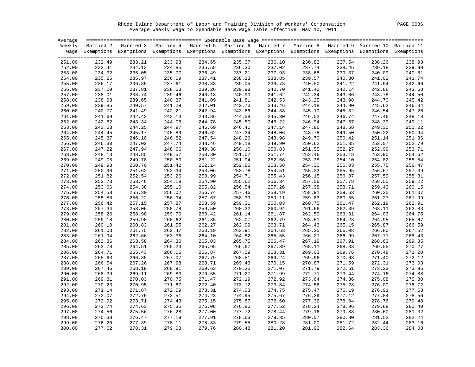Rhode Island Department of Labor and Training Division of Workers' Compensation PAGE 0086 Average Weekly Wage to Spendable Base Wage Table Effective May 10, 2011

| Average |        |                                                                                                                    |        |        |        |        |        |        |        |        |
|---------|--------|--------------------------------------------------------------------------------------------------------------------|--------|--------|--------|--------|--------|--------|--------|--------|
| Weekly  |        | Married 2 Married 3 Married 4 Married 5 Married 6 Married 7 Married 8 Married 9 Married 10 Married 11              |        |        |        |        |        |        |        |        |
|         |        | Wage Exemptions Exemptions Exemptions Exemptions Exemptions Exemptions Exemptions Exemptions Exemptions Exemptions |        |        |        |        |        |        |        |        |
|         |        |                                                                                                                    |        |        |        |        |        |        |        |        |
| 251.00  | 232.49 | 233.21                                                                                                             | 233.93 | 234.65 | 235.37 | 236.10 | 236.82 | 237.54 | 238.26 | 238.98 |
| 252.00  | 233.41 | 234.13                                                                                                             | 234.85 | 235.58 | 236.30 | 237.02 | 237.74 | 238.46 | 239.18 | 239.90 |
| 253.00  | 234.32 | 235.05                                                                                                             | 235.77 | 236.49 | 237.21 | 237.93 | 238.65 | 239.37 | 240.09 | 240.81 |
|         |        |                                                                                                                    |        |        |        |        |        |        |        |        |
| 254.00  | 235.25 | 235.97                                                                                                             | 236.69 | 237.41 | 238.13 | 238.85 | 239.57 | 240.30 | 241.02 | 241.74 |
| 255.00  | 236.17 | 236.89                                                                                                             | 237.61 | 238.33 | 239.05 | 239.78 | 240.50 | 241.22 | 241.94 | 242.66 |
| 256.00  | 237.09 | 237.81                                                                                                             | 238.53 | 239.26 | 239.98 | 240.70 | 241.42 | 242.14 | 242.86 | 243.58 |
| 257.00  | 238.01 | 238.74                                                                                                             | 239.46 | 240.18 | 240.90 | 241.62 | 242.34 | 243.06 | 243.78 | 244.50 |
| 258.00  | 238.93 | 239.65                                                                                                             | 240.37 | 241.09 | 241.81 | 242.53 | 243.25 | 243.98 | 244.70 | 245.42 |
| 259.00  | 239.85 | 240.57                                                                                                             | 241.29 | 242.01 | 242.73 | 243.46 | 244.18 | 244.90 | 245.62 | 246.34 |
| 260.00  | 240.77 | 241.49                                                                                                             | 242.21 | 242.94 | 243.66 | 244.38 | 245.10 | 245.82 | 246.54 | 247.26 |
| 261.00  | 241.69 | 242.42                                                                                                             | 243.14 | 243.86 | 244.58 | 245.30 | 246.02 | 246.74 | 247.46 | 248.18 |
| 262.00  | 242.62 | 243.34                                                                                                             | 244.06 | 244.78 | 245.50 | 246.22 | 246.94 | 247.67 | 248.39 | 249.11 |
| 263.00  | 243.53 | 244.25                                                                                                             | 244.97 | 245.69 | 246.41 | 247.14 | 247.86 | 248.58 | 249.30 | 250.02 |
| 264.00  | 244.45 | 245.17                                                                                                             | 245.89 | 246.62 | 247.34 | 248.06 | 248.78 | 249.50 | 250.22 | 250.94 |
| 265.00  | 245.37 | 246.10                                                                                                             | 246.82 | 247.54 | 248.26 | 248.98 | 249.70 | 250.42 | 251.14 | 251.86 |
| 266.00  | 246.30 | 247.02                                                                                                             | 247.74 | 248.46 | 249.18 | 249.90 | 250.62 | 251.35 | 252.07 | 252.79 |
| 267.00  | 247.22 | 247.94                                                                                                             | 248.66 | 249.38 | 250.10 | 250.83 | 251.55 | 252.27 | 252.99 | 253.71 |
| 268.00  | 248.13 | 248.85                                                                                                             | 249.57 | 250.30 | 251.02 | 251.74 | 252.46 | 253.18 | 253.90 | 254.62 |
|         |        |                                                                                                                    |        |        |        |        |        |        |        |        |
| 269.00  | 249.05 | 249.78                                                                                                             | 250.50 | 251.22 | 251.94 | 252.66 | 253.38 | 254.10 | 254.82 | 255.54 |
| 270.00  | 249.98 | 250.70                                                                                                             | 251.42 | 252.14 | 252.86 | 253.58 | 254.30 | 255.03 | 255.75 | 256.47 |
| 271.00  | 250.90 | 251.62                                                                                                             | 252.34 | 253.06 | 253.78 | 254.51 | 255.23 | 255.95 | 256.67 | 257.39 |
| 272.00  | 251.82 | 252.54                                                                                                             | 253.26 | 253.99 | 254.71 | 255.43 | 256.15 | 256.87 | 257.59 | 258.31 |
| 273.00  | 252.73 | 253.46                                                                                                             | 254.18 | 254.90 | 255.62 | 256.34 | 257.06 | 257.78 | 258.50 | 259.22 |
| 274.00  | 253.66 | 254.38                                                                                                             | 255.10 | 255.82 | 256.54 | 257.26 | 257.98 | 258.71 | 259.43 | 260.15 |
| 275.00  | 254.58 | 255.30                                                                                                             | 256.02 | 256.74 | 257.46 | 258.19 | 258.91 | 259.63 | 260.35 | 261.07 |
| 276.00  | 255.50 | 256.22                                                                                                             | 256.94 | 257.67 | 258.39 | 259.11 | 259.83 | 260.55 | 261.27 | 261.99 |
| 277.00  | 256.42 | 257.15                                                                                                             | 257.87 | 258.59 | 259.31 | 260.03 | 260.75 | 261.47 | 262.19 | 262.91 |
| 278.00  | 257.34 | 258.06                                                                                                             | 258.78 | 259.50 | 260.22 | 260.94 | 261.66 | 262.39 | 263.11 | 263.83 |
| 279.00  | 258.26 | 258.98                                                                                                             | 259.70 | 260.42 | 261.14 | 261.87 | 262.59 | 263.31 | 264.03 | 264.75 |
| 280.00  | 259.18 | 259.90                                                                                                             | 260.62 | 261.35 | 262.07 | 262.79 | 263.51 | 264.23 | 264.95 | 265.67 |
| 281.00  | 260.10 | 260.83                                                                                                             | 261.55 | 262.27 | 262.99 | 263.71 | 264.43 | 265.15 | 265.87 | 266.59 |
| 282.00  | 261.03 | 261.75                                                                                                             | 262.47 | 263.19 | 263.91 | 264.63 | 265.35 | 266.08 | 266.80 | 267.52 |
| 283.00  | 261.94 | 262.66                                                                                                             | 263.38 | 264.10 | 264.82 | 265.55 | 266.27 | 266.99 | 267.71 | 268.43 |
| 284.00  | 262.86 | 263.58                                                                                                             | 264.30 | 265.03 | 265.75 | 266.47 | 267.19 | 267.91 | 268.63 | 269.35 |
| 285.00  | 263.78 | 264.51                                                                                                             | 265.23 | 265.95 | 266.67 | 267.39 | 268.11 | 268.83 | 269.55 | 270.27 |
| 286.00  | 264.71 | 265.43                                                                                                             | 266.15 | 266.87 | 267.59 | 268.31 | 269.03 | 269.76 | 270.48 | 271.20 |
|         |        |                                                                                                                    | 267.07 | 267.79 |        |        |        |        |        |        |
| 287.00  | 265.63 | 266.35                                                                                                             |        |        | 268.51 | 269.24 | 269.96 | 270.68 | 271.40 | 272.12 |
| 288.00  | 266.54 | 267.26                                                                                                             | 267.98 | 268.71 | 269.43 | 270.15 | 270.87 | 271.59 | 272.31 | 273.03 |
| 289.00  | 267.46 | 268.19                                                                                                             | 268.91 | 269.63 | 270.35 | 271.07 | 271.79 | 272.51 | 273.23 | 273.95 |
| 290.00  | 268.39 | 269.11                                                                                                             | 269.83 | 270.55 | 271.27 | 271.99 | 272.71 | 273.44 | 274.16 | 274.88 |
| 291.00  | 269.31 | 270.03                                                                                                             | 270.75 | 271.47 | 272.19 | 272.92 | 273.64 | 274.36 | 275.08 | 275.80 |
| 292.00  | 270.23 | 270.95                                                                                                             | 271.67 | 272.40 | 273.12 | 273.84 | 274.56 | 275.28 | 276.00 | 276.72 |
| 293.00  | 271.14 | 271.87                                                                                                             | 272.59 | 273.31 | 274.03 | 274.75 | 275.47 | 276.19 | 276.91 | 277.63 |
| 294.00  | 272.07 | 272.79                                                                                                             | 273.51 | 274.23 | 274.95 | 275.67 | 276.39 | 277.12 | 277.84 | 278.56 |
| 295.00  | 272.92 | 273.71                                                                                                             | 274.43 | 275.15 | 275.87 | 276.60 | 277.32 | 278.04 | 278.76 | 279.48 |
| 296.00  | 273.74 | 274.63                                                                                                             | 275.35 | 276.08 | 276.80 | 277.52 | 278.24 | 278.96 | 279.68 | 280.40 |
| 297.00  | 274.56 | 275.56                                                                                                             | 276.28 | 277.00 | 277.72 | 278.44 | 279.16 | 279.88 | 280.60 | 281.32 |
| 298.00  | 275.38 | 276.47                                                                                                             | 277.19 | 277.91 | 278.63 | 279.35 | 280.07 | 280.80 | 281.52 | 282.24 |
| 299.00  | 276.20 | 277.39                                                                                                             | 278.11 | 278.83 | 279.55 | 280.28 | 281.00 | 281.72 | 282.44 | 283.16 |
| 300.00  | 277.02 | 278.31                                                                                                             | 279.03 | 279.76 | 280.48 | 281.20 | 281.92 | 282.64 | 283.36 | 284.08 |
|         |        |                                                                                                                    |        |        |        |        |        |        |        |        |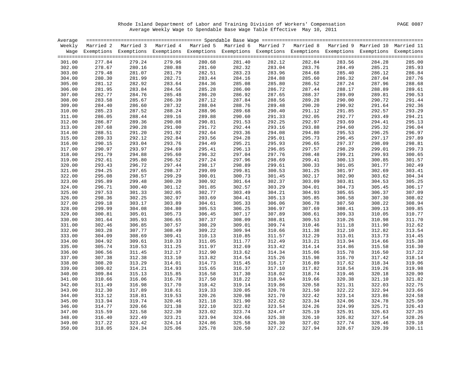Rhode Island Department of Labor and Training Division of Workers' Compensation PAGE 0087 Average Weekly Wage to Spendable Base Wage Table Effective May 10, 2011

| Average |        |                                                                                                                    |                  |        |        |                  |        |                  |                  |        |
|---------|--------|--------------------------------------------------------------------------------------------------------------------|------------------|--------|--------|------------------|--------|------------------|------------------|--------|
| Weekly  |        | Married 2 Married 3 Married 4 Married 5 Married 6 Married 7 Married 8 Married 9 Married 10 Married 11              |                  |        |        |                  |        |                  |                  |        |
|         |        | Wage Exemptions Exemptions Exemptions Exemptions Exemptions Exemptions Exemptions Exemptions Exemptions Exemptions |                  |        |        |                  |        |                  |                  |        |
|         |        |                                                                                                                    |                  |        |        |                  |        |                  |                  |        |
| 301.00  | 277.84 | 279.24                                                                                                             | 279.96           | 280.68 | 281.40 | 282.12           | 282.84 | 283.56           | 284.28           | 285.00 |
| 302.00  | 278.67 | 280.16                                                                                                             | 280.88           | 281.60 | 282.32 | 283.04           | 283.76 | 284.49           | 285.21           | 285.93 |
| 303.00  | 279.48 | 281.07                                                                                                             | 281.79           | 282.51 | 283.23 | 283.96           | 284.68 | 285.40           | 286.12           | 286.84 |
| 304.00  | 280.30 | 281.99                                                                                                             | 282.71           | 283.44 | 284.16 | 284.88           | 285.60 | 286.32           | 287.04           | 287.76 |
| 305.00  | 281.12 | 282.92                                                                                                             | 283.64           | 284.36 | 285.08 | 285.80           | 286.52 | 287.24           | 287.96           | 288.68 |
| 306.00  | 281.95 | 283.84                                                                                                             | 284.56           | 285.28 | 286.00 | 286.72           | 287.44 | 288.17           | 288.89           | 289.61 |
| 307.00  | 282.77 | 284.76                                                                                                             | 285.48           | 286.20 | 286.92 | 287.65           | 288.37 | 289.09           | 289.81           | 290.53 |
| 308.00  | 283.58 | 285.67                                                                                                             | 286.39           | 287.12 | 287.84 | 288.56           | 289.28 | 290.00           | 290.72           | 291.44 |
| 309.00  | 284.40 | 286.60                                                                                                             | 287.32           | 288.04 | 288.76 | 289.48           | 290.20 | 290.92           | 291.64           | 292.36 |
| 310.00  | 285.23 | 287.52                                                                                                             | 288.24           | 288.96 | 289.68 | 290.40           | 291.12 | 291.85           | 292.57           | 293.29 |
| 311.00  | 286.05 | 288.44                                                                                                             | 289.16           | 289.88 | 290.60 | 291.33           | 292.05 | 292.77           | 293.49           | 294.21 |
| 312.00  | 286.87 | 289.36                                                                                                             | 290.08           | 290.81 | 291.53 | 292.25           | 292.97 | 293.69           | 294.41           | 295.13 |
| 313.00  | 287.68 | 290.28                                                                                                             | 291.00           | 291.72 | 292.44 | 293.16           | 293.88 | 294.60           | 295.32           | 296.04 |
|         |        |                                                                                                                    |                  | 292.64 |        |                  |        |                  |                  |        |
| 314.00  | 288.51 | 291.20                                                                                                             | 291.92<br>292.84 | 293.56 | 293.36 | 294.08<br>295.01 | 294.80 | 295.53<br>296.45 | 296.25<br>297.17 | 296.97 |
| 315.00  | 289.33 | 292.12                                                                                                             |                  |        | 294.28 |                  | 295.73 |                  |                  | 297.89 |
| 316.00  | 290.15 | 293.04                                                                                                             | 293.76           | 294.49 | 295.21 | 295.93           | 296.65 | 297.37           | 298.09           | 298.81 |
| 317.00  | 290.97 | 293.97                                                                                                             | 294.69           | 295.41 | 296.13 | 296.85           | 297.57 | 298.29           | 299.01           | 299.73 |
| 318.00  | 291.79 | 294.88                                                                                                             | 295.60           | 296.32 | 297.04 | 297.76           | 298.48 | 299.21           | 299.93           | 300.65 |
| 319.00  | 292.61 | 295.80                                                                                                             | 296.52           | 297.24 | 297.96 | 298.69           | 299.41 | 300.13           | 300.85           | 301.57 |
| 320.00  | 293.43 | 296.72                                                                                                             | 297.44           | 298.17 | 298.89 | 299.61           | 300.33 | 301.05           | 301.77           | 302.49 |
| 321.00  | 294.25 | 297.65                                                                                                             | 298.37           | 299.09 | 299.81 | 300.53           | 301.25 | 301.97           | 302.69           | 303.41 |
| 322.00  | 295.08 | 298.57                                                                                                             | 299.29           | 300.01 | 300.73 | 301.45           | 302.17 | 302.90           | 303.62           | 304.34 |
| 323.00  | 295.89 | 299.48                                                                                                             | 300.20           | 300.92 | 301.64 | 302.37           | 303.09 | 303.81           | 304.53           | 305.25 |
| 324.00  | 296.71 | 300.40                                                                                                             | 301.12           | 301.85 | 302.57 | 303.29           | 304.01 | 304.73           | 305.45           | 306.17 |
| 325.00  | 297.53 | 301.33                                                                                                             | 302.05           | 302.77 | 303.49 | 304.21           | 304.93 | 305.65           | 306.37           | 307.09 |
| 326.00  | 298.36 | 302.25                                                                                                             | 302.97           | 303.69 | 304.41 | 305.13           | 305.85 | 306.58           | 307.30           | 308.02 |
| 327.00  | 299.18 | 303.17                                                                                                             | 303.89           | 304.61 | 305.33 | 306.06           | 306.78 | 307.50           | 308.22           | 308.94 |
| 328.00  | 299.99 | 304.08                                                                                                             | 304.80           | 305.53 | 306.25 | 306.97           | 307.69 | 308.41           | 309.13           | 309.85 |
| 329.00  | 300.81 | 305.01                                                                                                             | 305.73           | 306.45 | 307.17 | 307.89           | 308.61 | 309.33           | 310.05           | 310.77 |
| 330.00  | 301.64 | 305.93                                                                                                             | 306.65           | 307.37 | 308.09 | 308.81           | 309.53 | 310.26           | 310.98           | 311.70 |
| 331.00  | 302.46 | 306.85                                                                                                             | 307.57           | 308.29 | 309.01 | 309.74           | 310.46 | 311.18           | 311.90           | 312.62 |
| 332.00  | 303.28 | 307.77                                                                                                             | 308.49           | 309.22 | 309.94 | 310.66           | 311.38 | 312.10           | 312.82           | 313.54 |
| 333.00  | 304.09 | 308.69                                                                                                             | 309.41           | 310.13 | 310.85 | 311.57           | 312.29 | 313.01           | 313.73           | 314.45 |
| 334.00  | 304.92 | 309.61                                                                                                             | 310.33           | 311.05 | 311.77 | 312.49           | 313.21 | 313.94           | 314.66           | 315.38 |
| 335.00  | 305.74 | 310.53                                                                                                             | 311.25           | 311.97 | 312.69 | 313.42           | 314.14 | 314.86           | 315.58           | 316.30 |
| 336.00  | 306.56 | 311.45                                                                                                             | 312.17           | 312.90 | 313.62 | 314.34           | 315.06 | 315.78           | 316.50           | 317.22 |
| 337.00  | 307.38 | 312.38                                                                                                             | 313.10           | 313.82 | 314.54 | 315.26           | 315.98 | 316.70           | 317.42           | 318.14 |
| 338.00  | 308.20 | 313.29                                                                                                             | 314.01           | 314.73 | 315.45 | 316.17           | 316.89 | 317.62           | 318.34           | 319.06 |
| 339.00  | 309.02 | 314.21                                                                                                             | 314.93           | 315.65 | 316.37 | 317.10           | 317.82 | 318.54           | 319.26           | 319.98 |
| 340.00  | 309.84 | 315.13                                                                                                             | 315.85           | 316.58 | 317.30 | 318.02           | 318.74 | 319.46           | 320.18           | 320.90 |
| 341.00  | 310.66 | 316.06                                                                                                             | 316.78           | 317.50 | 318.22 | 318.94           | 319.66 | 320.38           | 321.10           | 321.82 |
| 342.00  | 311.49 | 316.98                                                                                                             | 317.70           | 318.42 | 319.14 | 319.86           | 320.58 | 321.31           | 322.03           | 322.75 |
| 343.00  | 312.30 | 317.89                                                                                                             | 318.61           | 319.33 | 320.05 | 320.78           | 321.50 | 322.22           | 322.94           | 323.66 |
| 344.00  | 313.12 | 318.81                                                                                                             | 319.53           | 320.26 | 320.98 | 321.70           | 322.42 | 323.14           | 323.86           | 324.58 |
| 345.00  | 313.94 | 319.74                                                                                                             | 320.46           | 321.18 | 321.90 | 322.62           | 323.34 | 324.06           | 324.78           | 325.50 |
| 346.00  | 314.77 | 320.66                                                                                                             | 321.38           | 322.10 | 322.82 | 323.54           | 324.26 | 324.99           | 325.71           | 326.43 |
| 347.00  | 315.59 | 321.58                                                                                                             | 322.30           | 323.02 | 323.74 | 324.47           | 325.19 | 325.91           | 326.63           | 327.35 |
| 348.00  | 316.40 | 322.49                                                                                                             | 323.21           | 323.94 | 324.66 | 325.38           | 326.10 | 326.82           | 327.54           | 328.26 |
| 349.00  | 317.22 | 323.42                                                                                                             | 324.14           | 324.86 | 325.58 | 326.30           | 327.02 | 327.74           | 328.46           | 329.18 |
| 350.00  | 318.05 | 324.34                                                                                                             | 325.06           | 325.78 | 326.50 | 327.22           | 327.94 | 328.67           | 329.39           | 330.11 |
|         |        |                                                                                                                    |                  |        |        |                  |        |                  |                  |        |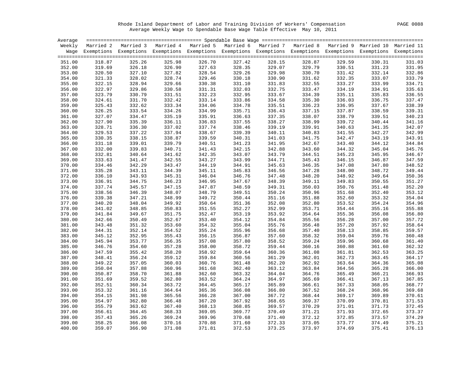Rhode Island Department of Labor and Training Division of Workers' Compensation PAGE 0088 Average Weekly Wage to Spendable Base Wage Table Effective May 10, 2011

| Average |                  |                                                                                                                    |                  |        |        |        |        |                  |                  |        |
|---------|------------------|--------------------------------------------------------------------------------------------------------------------|------------------|--------|--------|--------|--------|------------------|------------------|--------|
| Weekly  |                  | Married 2 Married 3 Married 4 Married 5 Married 6 Married 7 Married 8 Married 9 Married 10 Married 11              |                  |        |        |        |        |                  |                  |        |
|         |                  | Wage Exemptions Exemptions Exemptions Exemptions Exemptions Exemptions Exemptions Exemptions Exemptions Exemptions |                  |        |        |        |        |                  |                  |        |
|         |                  |                                                                                                                    |                  |        |        |        |        |                  |                  |        |
| 351.00  | 318.87           | 325.26                                                                                                             | 325.98           | 326.70 | 327.42 | 328.15 | 328.87 | 329.59           | 330.31           | 331.03 |
| 352.00  | 319.69           | 326.18                                                                                                             | 326.90           | 327.63 | 328.35 | 329.07 | 329.79 | 330.51           | 331.23           | 331.95 |
| 353.00  | 320.50           | 327.10                                                                                                             | 327.82           | 328.54 | 329.26 | 329.98 | 330.70 | 331.42           | 332.14           | 332.86 |
| 354.00  | 321.33           | 328.02                                                                                                             | 328.74           | 329.46 | 330.18 | 330.90 | 331.62 | 332.35           | 333.07           | 333.79 |
| 355.00  | 322.15           | 328.94                                                                                                             | 329.66           | 330.38 | 331.10 | 331.83 | 332.55 | 333.27           | 333.99           | 334.71 |
| 356.00  | 322.97           | 329.86                                                                                                             | 330.58           | 331.31 | 332.03 | 332.75 | 333.47 | 334.19           | 334.91           | 335.63 |
| 357.00  | 323.79           | 330.79                                                                                                             | 331.51           | 332.23 | 332.95 | 333.67 | 334.39 | 335.11           | 335.83           | 336.55 |
| 358.00  | 324.61           | 331.70                                                                                                             | 332.42           | 333.14 | 333.86 | 334.58 | 335.30 | 336.03           | 336.75           | 337.47 |
| 359.00  | 325.43           | 332.62                                                                                                             | 333.34           | 334.06 | 334.78 | 335.51 | 336.23 | 336.95           | 337.67           | 338.39 |
| 360.00  | 326.25           | 333.54                                                                                                             | 334.26           | 334.99 | 335.71 | 336.43 | 337.15 | 337.87           | 338.59           | 339.31 |
| 361.00  | 327.07           | 334.47                                                                                                             | 335.19           | 335.91 | 336.63 | 337.35 | 338.07 | 338.79           | 339.51           | 340.23 |
| 362.00  | 327.90           | 335.39                                                                                                             | 336.11           | 336.83 | 337.55 | 338.27 | 338.99 | 339.72           | 340.44           | 341.16 |
| 363.00  | 328.71           | 336.30                                                                                                             | 337.02           | 337.74 | 338.46 | 339.19 | 339.91 | 340.63           | 341.35           | 342.07 |
|         |                  | 337.22                                                                                                             |                  | 338.67 |        |        |        |                  |                  | 342.99 |
| 364.00  | 329.53<br>330.35 |                                                                                                                    | 337.94<br>338.87 | 339.59 | 339.39 | 340.11 | 340.83 | 341.55<br>342.47 | 342.27<br>343.19 |        |
| 365.00  |                  | 338.15                                                                                                             |                  |        | 340.31 | 341.03 | 341.75 |                  |                  | 343.91 |
| 366.00  | 331.18           | 339.01                                                                                                             | 339.79           | 340.51 | 341.23 | 341.95 | 342.67 | 343.40           | 344.12           | 344.84 |
| 367.00  | 332.00           | 339.83                                                                                                             | 340.71           | 341.43 | 342.15 | 342.88 | 343.60 | 344.32           | 345.04           | 345.76 |
| 368.00  | 332.81           | 340.64                                                                                                             | 341.62           | 342.35 | 343.07 | 343.79 | 344.51 | 345.23           | 345.95           | 346.67 |
| 369.00  | 333.63           | 341.47                                                                                                             | 342.55           | 343.27 | 343.99 | 344.71 | 345.43 | 346.15           | 346.87           | 347.59 |
| 370.00  | 334.46           | 342.29                                                                                                             | 343.47           | 344.19 | 344.91 | 345.63 | 346.35 | 347.08           | 347.80           | 348.52 |
| 371.00  | 335.28           | 343.11                                                                                                             | 344.39           | 345.11 | 345.83 | 346.56 | 347.28 | 348.00           | 348.72           | 349.44 |
| 372.00  | 336.10           | 343.93                                                                                                             | 345.31           | 346.04 | 346.76 | 347.48 | 348.20 | 348.92           | 349.64           | 350.36 |
| 373.00  | 336.91           | 344.75                                                                                                             | 346.23           | 346.95 | 347.67 | 348.39 | 349.11 | 349.83           | 350.55           | 351.27 |
| 374.00  | 337.74           | 345.57                                                                                                             | 347.15           | 347.87 | 348.59 | 349.31 | 350.03 | 350.76           | 351.48           | 352.20 |
| 375.00  | 338.56           | 346.39                                                                                                             | 348.07           | 348.79 | 349.51 | 350.24 | 350.96 | 351.68           | 352.40           | 353.12 |
| 376.00  | 339.38           | 347.21                                                                                                             | 348.99           | 349.72 | 350.44 | 351.16 | 351.88 | 352.60           | 353.32           | 354.04 |
| 377.00  | 340.20           | 348.04                                                                                                             | 349.92           | 350.64 | 351.36 | 352.08 | 352.80 | 353.52           | 354.24           | 354.96 |
| 378.00  | 341.02           | 348.85                                                                                                             | 350.83           | 351.55 | 352.27 | 352.99 | 353.71 | 354.44           | 355.16           | 355.88 |
| 379.00  | 341.84           | 349.67                                                                                                             | 351.75           | 352.47 | 353.19 | 353.92 | 354.64 | 355.36           | 356.08           | 356.80 |
| 380.00  | 342.66           | 350.49                                                                                                             | 352.67           | 353.40 | 354.12 | 354.84 | 355.56 | 356.28           | 357.00           | 357.72 |
| 381.00  | 343.48           | 351.32                                                                                                             | 353.60           | 354.32 | 355.04 | 355.76 | 356.48 | 357.20           | 357.92           | 358.64 |
| 382.00  | 344.31           | 352.14                                                                                                             | 354.52           | 355.24 | 355.96 | 356.68 | 357.40 | 358.13           | 358.85           | 359.57 |
| 383.00  | 345.12           | 352.95                                                                                                             | 355.43           | 356.15 | 356.87 | 357.60 | 358.32 | 359.04           | 359.76           | 360.48 |
| 384.00  | 345.94           | 353.77                                                                                                             | 356.35           | 357.08 | 357.80 | 358.52 | 359.24 | 359.96           | 360.68           | 361.40 |
| 385.00  | 346.76           | 354.60                                                                                                             | 357.28           | 358.00 | 358.72 | 359.44 | 360.16 | 360.88           | 361.60           | 362.32 |
| 386.00  | 347.59           | 355.42                                                                                                             | 358.20           | 358.92 | 359.64 | 360.36 | 361.08 | 361.81           | 362.53           | 363.25 |
| 387.00  | 348.41           | 356.24                                                                                                             | 359.12           | 359.84 | 360.56 | 361.29 | 362.01 | 362.73           | 363.45           | 364.17 |
| 388.00  | 349.22           | 357.05                                                                                                             | 360.03           | 360.76 | 361.48 | 362.20 | 362.92 | 363.64           | 364.36           | 365.08 |
| 389.00  | 350.04           | 357.88                                                                                                             | 360.96           | 361.68 | 362.40 | 363.12 | 363.84 | 364.56           | 365.28           | 366.00 |
| 390.00  | 350.87           | 358.70                                                                                                             | 361.88           | 362.60 | 363.32 | 364.04 | 364.76 | 365.49           | 366.21           | 366.93 |
| 391.00  | 351.69           | 359.52                                                                                                             | 362.80           | 363.52 | 364.24 | 364.97 | 365.69 | 366.41           | 367.13           | 367.85 |
| 392.00  | 352.51           | 360.34                                                                                                             | 363.72           | 364.45 | 365.17 | 365.89 | 366.61 | 367.33           | 368.05           | 368.77 |
| 393.00  | 353.32           | 361.16                                                                                                             | 364.64           | 365.36 | 366.08 | 366.80 | 367.52 | 368.24           | 368.96           | 369.68 |
| 394.00  | 354.15           | 361.98                                                                                                             | 365.56           | 366.28 | 367.00 | 367.72 | 368.44 | 369.17           | 369.89           | 370.61 |
| 395.00  | 354.97           | 362.80                                                                                                             | 366.48           | 367.20 | 367.92 | 368.65 | 369.37 | 370.09           | 370.81           | 371.53 |
| 396.00  | 355.79           | 363.62                                                                                                             | 367.40           | 368.13 | 368.85 | 369.57 | 370.29 | 371.01           | 371.73           | 372.45 |
| 397.00  | 356.61           | 364.45                                                                                                             | 368.33           | 369.05 | 369.77 | 370.49 | 371.21 | 371.93           | 372.65           | 373.37 |
| 398.00  | 357.43           | 365.26                                                                                                             | 369.24           | 369.96 | 370.68 | 371.40 | 372.12 | 372.85           | 373.57           | 374.29 |
| 399.00  | 358.25           | 366.08                                                                                                             | 370.16           | 370.88 | 371.60 | 372.33 | 373.05 | 373.77           | 374.49           | 375.21 |
| 400.00  | 359.07           | 366.90                                                                                                             | 371.08           | 371.81 | 372.53 | 373.25 | 373.97 |                  |                  |        |
|         |                  |                                                                                                                    |                  |        |        |        |        | 374.69           | 375.41           | 376.13 |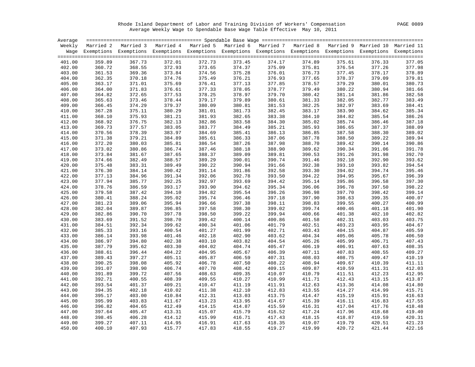Rhode Island Department of Labor and Training Division of Workers' Compensation PAGE 0089 Average Weekly Wage to Spendable Base Wage Table Effective May 10, 2011

| Average |        |                                                                                                                    |        |        |        |        |        |        |        |        |
|---------|--------|--------------------------------------------------------------------------------------------------------------------|--------|--------|--------|--------|--------|--------|--------|--------|
|         |        | Weekly Married 2 Married 3 Married 4 Married 5 Married 6 Married 7 Married 8 Married 9 Married 10 Married 11       |        |        |        |        |        |        |        |        |
|         |        | Wage Exemptions Exemptions Exemptions Exemptions Exemptions Exemptions Exemptions Exemptions Exemptions Exemptions |        |        |        |        |        |        |        |        |
|         |        |                                                                                                                    |        |        |        |        |        |        |        |        |
| 401.00  | 359.89 | 367.73                                                                                                             | 372.01 | 372.73 | 373.45 | 374.17 | 374.89 | 375.61 | 376.33 | 377.05 |
| 402.00  | 360.72 | 368.55                                                                                                             | 372.93 | 373.65 | 374.37 | 375.09 | 375.81 | 376.54 | 377.26 | 377.98 |
| 403.00  | 361.53 | 369.36                                                                                                             | 373.84 | 374.56 | 375.28 | 376.01 | 376.73 | 377.45 | 378.17 | 378.89 |
| 404.00  | 362.35 | 370.18                                                                                                             | 374.76 | 375.49 | 376.21 | 376.93 | 377.65 | 378.37 | 379.09 | 379.81 |
| 405.00  | 363.17 | 371.01                                                                                                             | 375.69 | 376.41 | 377.13 | 377.85 | 378.57 | 379.29 | 380.01 | 380.73 |
| 406.00  | 364.00 | 371.83                                                                                                             | 376.61 | 377.33 | 378.05 | 378.77 | 379.49 | 380.22 | 380.94 | 381.66 |
| 407.00  | 364.82 | 372.65                                                                                                             | 377.53 | 378.25 | 378.97 | 379.70 | 380.42 | 381.14 | 381.86 | 382.58 |
| 408.00  | 365.63 | 373.46                                                                                                             | 378.44 | 379.17 | 379.89 | 380.61 | 381.33 | 382.05 | 382.77 | 383.49 |
| 409.00  | 366.45 | 374.29                                                                                                             | 379.37 | 380.09 | 380.81 | 381.53 | 382.25 | 382.97 | 383.69 | 384.41 |
| 410.00  | 367.28 | 375.11                                                                                                             | 380.29 | 381.01 | 381.73 | 382.45 | 383.17 | 383.90 | 384.62 | 385.34 |
| 411.00  | 368.10 | 375.93                                                                                                             | 381.21 | 381.93 | 382.65 | 383.38 | 384.10 | 384.82 | 385.54 | 386.26 |
| 412.00  | 368.92 | 376.75                                                                                                             | 382.13 | 382.86 | 383.58 | 384.30 | 385.02 | 385.74 | 386.46 | 387.18 |
| 413.00  | 369.73 | 377.57                                                                                                             | 383.05 | 383.77 | 384.49 | 385.21 | 385.93 | 386.65 | 387.37 | 388.09 |
| 414.00  | 370.56 | 378.39                                                                                                             | 383.97 | 384.69 | 385.41 | 386.13 | 386.85 | 387.58 | 388.30 | 389.02 |
| 415.00  | 371.38 | 379.21                                                                                                             | 384.89 | 385.61 | 386.33 | 387.06 | 387.78 | 388.50 | 389.22 | 389.94 |
| 416.00  | 372.20 | 380.03                                                                                                             | 385.81 | 386.54 | 387.26 | 387.98 | 388.70 | 389.42 | 390.14 | 390.86 |
| 417.00  | 373.02 | 380.86                                                                                                             | 386.74 | 387.46 | 388.18 | 388.90 | 389.62 | 390.34 | 391.06 | 391.78 |
| 418.00  | 373.84 | 381.67                                                                                                             | 387.65 | 388.37 | 389.09 | 389.81 | 390.53 | 391.26 | 391.98 | 392.70 |
| 419.00  | 374.66 | 382.49                                                                                                             | 388.57 | 389.29 | 390.01 | 390.74 | 391.46 | 392.18 | 392.90 | 393.62 |
| 420.00  | 375.48 | 383.31                                                                                                             | 389.49 | 390.22 | 390.94 | 391.66 | 392.38 | 393.10 | 393.82 | 394.54 |
| 421.00  | 376.30 | 384.14                                                                                                             | 390.42 | 391.14 | 391.86 | 392.58 | 393.30 | 394.02 | 394.74 | 395.46 |
| 422.00  | 377.13 | 384.96                                                                                                             | 391.34 | 392.06 | 392.78 | 393.50 | 394.22 | 394.95 | 395.67 | 396.39 |
| 423.00  | 377.94 | 385.77                                                                                                             | 392.25 | 392.97 | 393.69 | 394.42 | 395.14 | 395.86 | 396.58 | 397.30 |
| 424.00  | 378.76 | 386.59                                                                                                             | 393.17 | 393.90 | 394.62 | 395.34 | 396.06 | 396.78 | 397.50 | 398.22 |
| 425.00  | 379.58 | 387.42                                                                                                             | 394.10 | 394.82 | 395.54 | 396.26 | 396.98 | 397.70 | 398.42 | 399.14 |
| 426.00  | 380.41 | 388.24                                                                                                             | 395.02 | 395.74 | 396.46 | 397.18 | 397.90 | 398.63 | 399.35 | 400.07 |
| 427.00  | 381.23 | 389.06                                                                                                             | 395.94 | 396.66 | 397.38 | 398.11 | 398.83 | 399.55 | 400.27 | 400.99 |
| 428.00  | 382.04 | 389.87                                                                                                             | 396.85 | 397.58 | 398.30 | 399.02 | 399.74 | 400.46 | 401.18 | 401.90 |
| 429.00  | 382.86 | 390.70                                                                                                             | 397.78 | 398.50 | 399.22 | 399.94 | 400.66 | 401.38 | 402.10 | 402.82 |
| 430.00  | 383.69 | 391.52                                                                                                             | 398.70 | 399.42 | 400.14 | 400.86 | 401.58 | 402.31 | 403.03 | 403.75 |
| 431.00  | 384.51 | 392.34                                                                                                             | 399.62 | 400.34 | 401.06 | 401.79 | 402.51 | 403.23 | 403.95 | 404.67 |
| 432.00  | 385.33 | 393.16                                                                                                             | 400.54 | 401.27 | 401.99 | 402.71 | 403.43 | 404.15 | 404.87 | 405.59 |
| 433.00  | 386.14 | 393.98                                                                                                             | 401.46 | 402.18 | 402.90 | 403.62 | 404.34 | 405.06 | 405.78 | 406.50 |
| 434.00  | 386.97 | 394.80                                                                                                             | 402.38 | 403.10 | 403.82 | 404.54 | 405.26 | 405.99 | 406.71 | 407.43 |
| 435.00  | 387.79 | 395.62                                                                                                             | 403.30 | 404.02 | 404.74 | 405.47 | 406.19 | 406.91 | 407.63 | 408.35 |
| 436.00  | 388.61 | 396.44                                                                                                             | 404.22 | 404.95 | 405.67 | 406.39 | 407.11 | 407.83 | 408.55 | 409.27 |
| 437.00  | 389.43 | 397.27                                                                                                             | 405.11 | 405.87 | 406.59 | 407.31 | 408.03 | 408.75 | 409.47 | 410.19 |
| 438.00  | 390.25 | 398.08                                                                                                             | 405.92 | 406.78 | 407.50 | 408.22 | 408.94 | 409.67 | 410.39 | 411.11 |
| 439.00  | 391.07 | 398.90                                                                                                             | 406.74 | 407.70 | 408.42 | 409.15 | 409.87 | 410.59 | 411.31 | 412.03 |
| 440.00  | 391.89 | 399.72                                                                                                             | 407.56 | 408.63 | 409.35 | 410.07 | 410.79 | 411.51 | 412.23 | 412.95 |
| 441.00  | 392.71 | 400.55                                                                                                             | 408.39 | 409.55 | 410.27 | 410.99 | 411.71 | 412.43 | 413.15 | 413.87 |
| 442.00  | 393.54 | 401.37                                                                                                             | 409.21 | 410.47 | 411.19 | 411.91 | 412.63 | 413.36 | 414.08 | 414.80 |
| 443.00  | 394.35 | 402.18                                                                                                             | 410.02 | 411.38 | 412.10 | 412.83 | 413.55 | 414.27 | 414.99 | 415.71 |
| 444.00  | 395.17 | 403.00                                                                                                             | 410.84 | 412.31 | 413.03 | 413.75 | 414.47 | 415.19 | 415.91 | 416.63 |
| 445.00  | 395.99 | 403.83                                                                                                             | 411.67 | 413.23 | 413.95 | 414.67 | 415.39 | 416.11 | 416.83 | 417.55 |
| 446.00  | 396.82 | 404.65                                                                                                             | 412.49 | 414.15 | 414.87 | 415.59 | 416.31 | 417.04 | 417.76 | 418.48 |
| 447.00  | 397.64 | 405.47                                                                                                             | 413.31 | 415.07 | 415.79 | 416.52 | 417.24 | 417.96 | 418.68 | 419.40 |
| 448.00  | 398.45 | 406.28                                                                                                             | 414.12 | 415.99 | 416.71 | 417.43 | 418.15 | 418.87 | 419.59 | 420.31 |
| 449.00  | 399.27 | 407.11                                                                                                             | 414.95 | 416.91 | 417.63 | 418.35 | 419.07 | 419.79 | 420.51 | 421.23 |
| 450.00  | 400.10 | 407.93                                                                                                             | 415.77 | 417.83 | 418.55 | 419.27 | 419.99 | 420.72 | 421.44 | 422.16 |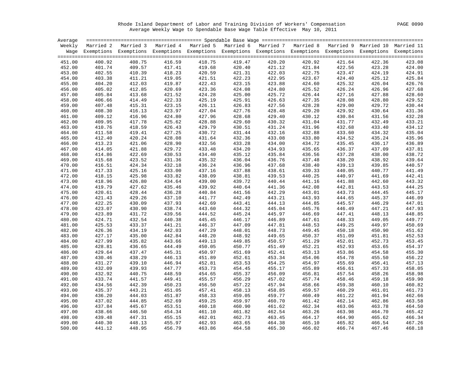Rhode Island Department of Labor and Training Division of Workers' Compensation PAGE 0090 Average Weekly Wage to Spendable Base Wage Table Effective May 10, 2011

| Married 2 Married 3 Married 4 Married 5 Married 6 Married 7 Married 8 Married 9 Married 10 Married 11<br>Weekly<br>Wage Exemptions Exemptions Exemptions Exemptions Exemptions Exemptions Exemptions Exemptions Exemptions Exemptions<br>416.59<br>418.75<br>420.92<br>400.92<br>408.75<br>419.47<br>420.20<br>421.64<br>422.36<br>423.08<br>451.00<br>401.74<br>419.68<br>452.00<br>409.57<br>417.41<br>420.40<br>421.12<br>421.84<br>422.56<br>423.28<br>424.00<br>418.23<br>453.00<br>402.55<br>410.39<br>420.59<br>421.31<br>422.03<br>422.75<br>423.47<br>424.19<br>424.91<br>403.38<br>419.05<br>421.51<br>422.23<br>422.95<br>423.67<br>424.40<br>425.12<br>425.84<br>454.00<br>411.21<br>404.20<br>412.03<br>419.87<br>422.43<br>423.88<br>424.60<br>425.32<br>426.04<br>426.76<br>455.00<br>423.15<br>405.02<br>420.69<br>423.36<br>424.80<br>426.24<br>426.96<br>427.68<br>456.00<br>412.85<br>424.08<br>425.52<br>405.84<br>421.52<br>424.28<br>425.00<br>426.44<br>427.16<br>427.88<br>428.60<br>457.00<br>413.68<br>425.72<br>406.66<br>414.49<br>422.33<br>425.19<br>425.91<br>426.63<br>427.35<br>428.08<br>428.80<br>429.52<br>458.00<br>459.00<br>407.48<br>415.31<br>423.15<br>426.11<br>426.83<br>427.56<br>428.28<br>429.00<br>429.72<br>430.44<br>408.30<br>416.13<br>423.97<br>427.04<br>427.76<br>428.48<br>429.20<br>429.92<br>430.64<br>431.36<br>460.00<br>409.12<br>427.96<br>461.00<br>416.96<br>424.80<br>428.68<br>429.40<br>430.12<br>430.84<br>431.56<br>432.28<br>409.95<br>417.78<br>425.62<br>428.88<br>429.60<br>430.32<br>431.04<br>431.77<br>432.49<br>433.21<br>462.00<br>418.59<br>429.79<br>431.24<br>434.12<br>463.00<br>410.76<br>426.43<br>430.51<br>431.96<br>432.68<br>433.40<br>464.00<br>411.58<br>419.41<br>427.25<br>430.72<br>431.44<br>432.16<br>432.88<br>433.60<br>434.32<br>435.04<br>412.40<br>420.24<br>431.64<br>433.08<br>435.24<br>435.96<br>428.08<br>432.36<br>433.80<br>434.52<br>465.00<br>466.00<br>413.23<br>421.06<br>428.90<br>432.56<br>433.28<br>434.00<br>434.72<br>435.45<br>436.17<br>436.89<br>437.81<br>414.05<br>421.88<br>429.72<br>433.48<br>434.20<br>434.93<br>435.65<br>436.37<br>437.09<br>467.00<br>414.86<br>422.69<br>430.53<br>434.40<br>435.12<br>435.84<br>436.56<br>437.28<br>438.00<br>438.72<br>468.00<br>415.68<br>431.36<br>435.32<br>436.76<br>438.20<br>438.92<br>439.64<br>469.00<br>423.52<br>436.04<br>437.48<br>416.51<br>424.34<br>432.18<br>436.24<br>436.96<br>437.68<br>438.40<br>439.13<br>439.85<br>440.57<br>470.00<br>441.49<br>471.00<br>417.33<br>425.16<br>433.00<br>437.16<br>437.88<br>438.61<br>439.33<br>440.05<br>440.77<br>438.09<br>439.53<br>441.69<br>442.41<br>472.00<br>418.15<br>425.98<br>433.82<br>438.81<br>440.25<br>440.97<br>418.96<br>439.00<br>440.44<br>443.32<br>473.00<br>426.80<br>434.64<br>439.72<br>441.16<br>441.88<br>442.60<br>419.79<br>439.92<br>441.36<br>444.25<br>474.00<br>427.62<br>435.46<br>440.64<br>442.08<br>442.81<br>443.53<br>$443.73$<br>$444.65$<br>$445.57$<br>$446.49$<br>440.84<br>445.17<br>475.00<br>420.61<br>428.44<br>436.28<br>441.56<br>442.29<br>443.01<br>444.45<br>446.09<br>421.43<br>429.26<br>437.10<br>441.77<br>442.49<br>443.21<br>443.93<br>445.37<br>476.00<br>422.25<br>442.69<br>444.13<br>444.85<br>446.29<br>447.01<br>477.00<br>430.09<br>437.93<br>443.41<br>423.07<br>430.90<br>438.74<br>443.60<br>444.32<br>445.04<br>445.76<br>447.21<br>447.93<br>478.00<br>423.89<br>439.56<br>444.52<br>445.97<br>448.13<br>448.85<br>479.00<br>431.72<br>445.24<br>446.69<br>447.41<br>424.71<br>445.45<br>446.89<br>447.61<br>448.33<br>449.05<br>449.77<br>480.00<br>432.54<br>440.38<br>446.17<br>425.53<br>433.37<br>441.21<br>446.37<br>447.09<br>447.81<br>448.53<br>449.25<br>449.97<br>450.69<br>481.00<br>426.36<br>442.03<br>447.29<br>448.73<br>451.62<br>482.00<br>434.19<br>448.01<br>449.45<br>450.90<br>$450.18$<br>$451.09$<br>$452.01$<br>$452.93$<br>$453.86$<br>448.20<br>483.00<br>427.17<br>435.00<br>442.84<br>448.92<br>449.65<br>450.37<br>451.81<br>452.53<br>427.99<br>449.13<br>450.57<br>451.29<br>452.73<br>453.45<br>484.00<br>435.82<br>443.66<br>449.85<br>428.81<br>444.49<br>450.05<br>451.49<br>452.21<br>453.65<br>454.37<br>485.00<br>436.65<br>450.77<br>429.64<br>445.31<br>450.97<br>451.69<br>452.41<br>454.58<br>455.30<br>486.00<br>437.47<br>453.13<br>430.46<br>451.89<br>438.29<br>446.13<br>452.61<br>453.34<br>454.06<br>454.78<br>455.50<br>456.22<br>487.00<br>431.27<br>439.10<br>446.94<br>452.81<br>453.53<br>454.25<br>454.97<br>455.69<br>456.41<br>457.13<br>488.00<br>458.05<br>432.09<br>439.93<br>447.77<br>453.73<br>454.45<br>455.17<br>455.89<br>456.61<br>457.33<br>489.00<br>432.92<br>440.75<br>448.59<br>454.65<br>456.09<br>457.54<br>458.26<br>458.98<br>490.00<br>455.37<br>456.81<br>459.18<br>491.00<br>433.74<br>441.57<br>449.41<br>455.57<br>456.29<br>457.02<br>457.74<br>458.46<br>459.90<br>434.56<br>442.39<br>450.23<br>456.50<br>457.22<br>457.94<br>458.66<br>459.38<br>460.10<br>460.82<br>492.00<br>458.85<br>461.73<br>493.00<br>435.37<br>443.21<br>451.05<br>457.41<br>458.13<br>459.57<br>460.29<br>461.01<br>494.00<br>436.20<br>444.03<br>451.87<br>458.33<br>459.05<br>459.77<br>460.49<br>461.22<br>461.94<br>462.66<br>459.25<br>437.02<br>444.85<br>452.69<br>459.97<br>460.70<br>461.42<br>462.14<br>462.86<br>463.58<br>495.00<br>460.18<br>463.78<br>496.00<br>437.84<br>445.67<br>453.51<br>460.90<br>461.62<br>462.34<br>463.06<br>464.50<br>465.42<br>438.66<br>446.50<br>454.34<br>461.10<br>461.82<br>462.54<br>463.26<br>463.98<br>464.70<br>497.00<br>439.48<br>455.15<br>462.01<br>462.73<br>463.45<br>464.17<br>464.90<br>465.62<br>466.34<br>498.00<br>447.31<br>440.30<br>467.26<br>499.00<br>448.13<br>455.97<br>462.93<br>463.65<br>464.38<br>465.10<br>465.82<br>466.54<br>441.12<br>456.79<br>463.86<br>466.74<br>500.00<br>448.95<br>464.58<br>465.30<br>466.02<br>467.46<br>468.18 | Average |  |  |  |  |  |
|-------------------------------------------------------------------------------------------------------------------------------------------------------------------------------------------------------------------------------------------------------------------------------------------------------------------------------------------------------------------------------------------------------------------------------------------------------------------------------------------------------------------------------------------------------------------------------------------------------------------------------------------------------------------------------------------------------------------------------------------------------------------------------------------------------------------------------------------------------------------------------------------------------------------------------------------------------------------------------------------------------------------------------------------------------------------------------------------------------------------------------------------------------------------------------------------------------------------------------------------------------------------------------------------------------------------------------------------------------------------------------------------------------------------------------------------------------------------------------------------------------------------------------------------------------------------------------------------------------------------------------------------------------------------------------------------------------------------------------------------------------------------------------------------------------------------------------------------------------------------------------------------------------------------------------------------------------------------------------------------------------------------------------------------------------------------------------------------------------------------------------------------------------------------------------------------------------------------------------------------------------------------------------------------------------------------------------------------------------------------------------------------------------------------------------------------------------------------------------------------------------------------------------------------------------------------------------------------------------------------------------------------------------------------------------------------------------------------------------------------------------------------------------------------------------------------------------------------------------------------------------------------------------------------------------------------------------------------------------------------------------------------------------------------------------------------------------------------------------------------------------------------------------------------------------------------------------------------------------------------------------------------------------------------------------------------------------------------------------------------------------------------------------------------------------------------------------------------------------------------------------------------------------------------------------------------------------------------------------------------------------------------------------------------------------------------------------------------------------------------------------------------------------------------------------------------------------------------------------------------------------------------------------------------------------------------------------------------------------------------------------------------------------------------------------------------------------------------------------------------------------------------------------------------------------------------------------------------------------------------------------------------------------------------------------------------------------------------------------------------------------------------------------------------------------------------------------------------------------------------------------------------------------------------------------------------------------------------------------------------------------------------------------------------------------------------------------------------------------------------------------------------------------------------------------------------------------------------------------------------------------------------------------------------------------------------------------------------------------------------------------------------------------------------------------------------------------------------------------------------------------------------------------------------------------------------------------------------------------------------------------------------------------------------------------------------------------------------------------------------------------------------------------------------------------------------------------------------------------------------------------------------------------------------------------------------------------------------------------------------------------------------------------------------------------------------------------------------------------------------------------------------------------------------------------------------------------------------------------------------------------------------------------------------------------------------------------------------------------------|---------|--|--|--|--|--|
|                                                                                                                                                                                                                                                                                                                                                                                                                                                                                                                                                                                                                                                                                                                                                                                                                                                                                                                                                                                                                                                                                                                                                                                                                                                                                                                                                                                                                                                                                                                                                                                                                                                                                                                                                                                                                                                                                                                                                                                                                                                                                                                                                                                                                                                                                                                                                                                                                                                                                                                                                                                                                                                                                                                                                                                                                                                                                                                                                                                                                                                                                                                                                                                                                                                                                                                                                                                                                                                                                                                                                                                                                                                                                                                                                                                                                                                                                                                                                                                                                                                                                                                                                                                                                                                                                                                                                                                                                                                                                                                                                                                                                                                                                                                                                                                                                                                                                                                                                                                                                                                                                                                                                                                                                                                                                                                                                                                                                                                                                                                                                                                                                                                                                                                                                                                                                                                                                                                                                                                     |         |  |  |  |  |  |
|                                                                                                                                                                                                                                                                                                                                                                                                                                                                                                                                                                                                                                                                                                                                                                                                                                                                                                                                                                                                                                                                                                                                                                                                                                                                                                                                                                                                                                                                                                                                                                                                                                                                                                                                                                                                                                                                                                                                                                                                                                                                                                                                                                                                                                                                                                                                                                                                                                                                                                                                                                                                                                                                                                                                                                                                                                                                                                                                                                                                                                                                                                                                                                                                                                                                                                                                                                                                                                                                                                                                                                                                                                                                                                                                                                                                                                                                                                                                                                                                                                                                                                                                                                                                                                                                                                                                                                                                                                                                                                                                                                                                                                                                                                                                                                                                                                                                                                                                                                                                                                                                                                                                                                                                                                                                                                                                                                                                                                                                                                                                                                                                                                                                                                                                                                                                                                                                                                                                                                                     |         |  |  |  |  |  |
|                                                                                                                                                                                                                                                                                                                                                                                                                                                                                                                                                                                                                                                                                                                                                                                                                                                                                                                                                                                                                                                                                                                                                                                                                                                                                                                                                                                                                                                                                                                                                                                                                                                                                                                                                                                                                                                                                                                                                                                                                                                                                                                                                                                                                                                                                                                                                                                                                                                                                                                                                                                                                                                                                                                                                                                                                                                                                                                                                                                                                                                                                                                                                                                                                                                                                                                                                                                                                                                                                                                                                                                                                                                                                                                                                                                                                                                                                                                                                                                                                                                                                                                                                                                                                                                                                                                                                                                                                                                                                                                                                                                                                                                                                                                                                                                                                                                                                                                                                                                                                                                                                                                                                                                                                                                                                                                                                                                                                                                                                                                                                                                                                                                                                                                                                                                                                                                                                                                                                                                     |         |  |  |  |  |  |
|                                                                                                                                                                                                                                                                                                                                                                                                                                                                                                                                                                                                                                                                                                                                                                                                                                                                                                                                                                                                                                                                                                                                                                                                                                                                                                                                                                                                                                                                                                                                                                                                                                                                                                                                                                                                                                                                                                                                                                                                                                                                                                                                                                                                                                                                                                                                                                                                                                                                                                                                                                                                                                                                                                                                                                                                                                                                                                                                                                                                                                                                                                                                                                                                                                                                                                                                                                                                                                                                                                                                                                                                                                                                                                                                                                                                                                                                                                                                                                                                                                                                                                                                                                                                                                                                                                                                                                                                                                                                                                                                                                                                                                                                                                                                                                                                                                                                                                                                                                                                                                                                                                                                                                                                                                                                                                                                                                                                                                                                                                                                                                                                                                                                                                                                                                                                                                                                                                                                                                                     |         |  |  |  |  |  |
|                                                                                                                                                                                                                                                                                                                                                                                                                                                                                                                                                                                                                                                                                                                                                                                                                                                                                                                                                                                                                                                                                                                                                                                                                                                                                                                                                                                                                                                                                                                                                                                                                                                                                                                                                                                                                                                                                                                                                                                                                                                                                                                                                                                                                                                                                                                                                                                                                                                                                                                                                                                                                                                                                                                                                                                                                                                                                                                                                                                                                                                                                                                                                                                                                                                                                                                                                                                                                                                                                                                                                                                                                                                                                                                                                                                                                                                                                                                                                                                                                                                                                                                                                                                                                                                                                                                                                                                                                                                                                                                                                                                                                                                                                                                                                                                                                                                                                                                                                                                                                                                                                                                                                                                                                                                                                                                                                                                                                                                                                                                                                                                                                                                                                                                                                                                                                                                                                                                                                                                     |         |  |  |  |  |  |
|                                                                                                                                                                                                                                                                                                                                                                                                                                                                                                                                                                                                                                                                                                                                                                                                                                                                                                                                                                                                                                                                                                                                                                                                                                                                                                                                                                                                                                                                                                                                                                                                                                                                                                                                                                                                                                                                                                                                                                                                                                                                                                                                                                                                                                                                                                                                                                                                                                                                                                                                                                                                                                                                                                                                                                                                                                                                                                                                                                                                                                                                                                                                                                                                                                                                                                                                                                                                                                                                                                                                                                                                                                                                                                                                                                                                                                                                                                                                                                                                                                                                                                                                                                                                                                                                                                                                                                                                                                                                                                                                                                                                                                                                                                                                                                                                                                                                                                                                                                                                                                                                                                                                                                                                                                                                                                                                                                                                                                                                                                                                                                                                                                                                                                                                                                                                                                                                                                                                                                                     |         |  |  |  |  |  |
|                                                                                                                                                                                                                                                                                                                                                                                                                                                                                                                                                                                                                                                                                                                                                                                                                                                                                                                                                                                                                                                                                                                                                                                                                                                                                                                                                                                                                                                                                                                                                                                                                                                                                                                                                                                                                                                                                                                                                                                                                                                                                                                                                                                                                                                                                                                                                                                                                                                                                                                                                                                                                                                                                                                                                                                                                                                                                                                                                                                                                                                                                                                                                                                                                                                                                                                                                                                                                                                                                                                                                                                                                                                                                                                                                                                                                                                                                                                                                                                                                                                                                                                                                                                                                                                                                                                                                                                                                                                                                                                                                                                                                                                                                                                                                                                                                                                                                                                                                                                                                                                                                                                                                                                                                                                                                                                                                                                                                                                                                                                                                                                                                                                                                                                                                                                                                                                                                                                                                                                     |         |  |  |  |  |  |
|                                                                                                                                                                                                                                                                                                                                                                                                                                                                                                                                                                                                                                                                                                                                                                                                                                                                                                                                                                                                                                                                                                                                                                                                                                                                                                                                                                                                                                                                                                                                                                                                                                                                                                                                                                                                                                                                                                                                                                                                                                                                                                                                                                                                                                                                                                                                                                                                                                                                                                                                                                                                                                                                                                                                                                                                                                                                                                                                                                                                                                                                                                                                                                                                                                                                                                                                                                                                                                                                                                                                                                                                                                                                                                                                                                                                                                                                                                                                                                                                                                                                                                                                                                                                                                                                                                                                                                                                                                                                                                                                                                                                                                                                                                                                                                                                                                                                                                                                                                                                                                                                                                                                                                                                                                                                                                                                                                                                                                                                                                                                                                                                                                                                                                                                                                                                                                                                                                                                                                                     |         |  |  |  |  |  |
|                                                                                                                                                                                                                                                                                                                                                                                                                                                                                                                                                                                                                                                                                                                                                                                                                                                                                                                                                                                                                                                                                                                                                                                                                                                                                                                                                                                                                                                                                                                                                                                                                                                                                                                                                                                                                                                                                                                                                                                                                                                                                                                                                                                                                                                                                                                                                                                                                                                                                                                                                                                                                                                                                                                                                                                                                                                                                                                                                                                                                                                                                                                                                                                                                                                                                                                                                                                                                                                                                                                                                                                                                                                                                                                                                                                                                                                                                                                                                                                                                                                                                                                                                                                                                                                                                                                                                                                                                                                                                                                                                                                                                                                                                                                                                                                                                                                                                                                                                                                                                                                                                                                                                                                                                                                                                                                                                                                                                                                                                                                                                                                                                                                                                                                                                                                                                                                                                                                                                                                     |         |  |  |  |  |  |
|                                                                                                                                                                                                                                                                                                                                                                                                                                                                                                                                                                                                                                                                                                                                                                                                                                                                                                                                                                                                                                                                                                                                                                                                                                                                                                                                                                                                                                                                                                                                                                                                                                                                                                                                                                                                                                                                                                                                                                                                                                                                                                                                                                                                                                                                                                                                                                                                                                                                                                                                                                                                                                                                                                                                                                                                                                                                                                                                                                                                                                                                                                                                                                                                                                                                                                                                                                                                                                                                                                                                                                                                                                                                                                                                                                                                                                                                                                                                                                                                                                                                                                                                                                                                                                                                                                                                                                                                                                                                                                                                                                                                                                                                                                                                                                                                                                                                                                                                                                                                                                                                                                                                                                                                                                                                                                                                                                                                                                                                                                                                                                                                                                                                                                                                                                                                                                                                                                                                                                                     |         |  |  |  |  |  |
|                                                                                                                                                                                                                                                                                                                                                                                                                                                                                                                                                                                                                                                                                                                                                                                                                                                                                                                                                                                                                                                                                                                                                                                                                                                                                                                                                                                                                                                                                                                                                                                                                                                                                                                                                                                                                                                                                                                                                                                                                                                                                                                                                                                                                                                                                                                                                                                                                                                                                                                                                                                                                                                                                                                                                                                                                                                                                                                                                                                                                                                                                                                                                                                                                                                                                                                                                                                                                                                                                                                                                                                                                                                                                                                                                                                                                                                                                                                                                                                                                                                                                                                                                                                                                                                                                                                                                                                                                                                                                                                                                                                                                                                                                                                                                                                                                                                                                                                                                                                                                                                                                                                                                                                                                                                                                                                                                                                                                                                                                                                                                                                                                                                                                                                                                                                                                                                                                                                                                                                     |         |  |  |  |  |  |
|                                                                                                                                                                                                                                                                                                                                                                                                                                                                                                                                                                                                                                                                                                                                                                                                                                                                                                                                                                                                                                                                                                                                                                                                                                                                                                                                                                                                                                                                                                                                                                                                                                                                                                                                                                                                                                                                                                                                                                                                                                                                                                                                                                                                                                                                                                                                                                                                                                                                                                                                                                                                                                                                                                                                                                                                                                                                                                                                                                                                                                                                                                                                                                                                                                                                                                                                                                                                                                                                                                                                                                                                                                                                                                                                                                                                                                                                                                                                                                                                                                                                                                                                                                                                                                                                                                                                                                                                                                                                                                                                                                                                                                                                                                                                                                                                                                                                                                                                                                                                                                                                                                                                                                                                                                                                                                                                                                                                                                                                                                                                                                                                                                                                                                                                                                                                                                                                                                                                                                                     |         |  |  |  |  |  |
|                                                                                                                                                                                                                                                                                                                                                                                                                                                                                                                                                                                                                                                                                                                                                                                                                                                                                                                                                                                                                                                                                                                                                                                                                                                                                                                                                                                                                                                                                                                                                                                                                                                                                                                                                                                                                                                                                                                                                                                                                                                                                                                                                                                                                                                                                                                                                                                                                                                                                                                                                                                                                                                                                                                                                                                                                                                                                                                                                                                                                                                                                                                                                                                                                                                                                                                                                                                                                                                                                                                                                                                                                                                                                                                                                                                                                                                                                                                                                                                                                                                                                                                                                                                                                                                                                                                                                                                                                                                                                                                                                                                                                                                                                                                                                                                                                                                                                                                                                                                                                                                                                                                                                                                                                                                                                                                                                                                                                                                                                                                                                                                                                                                                                                                                                                                                                                                                                                                                                                                     |         |  |  |  |  |  |
|                                                                                                                                                                                                                                                                                                                                                                                                                                                                                                                                                                                                                                                                                                                                                                                                                                                                                                                                                                                                                                                                                                                                                                                                                                                                                                                                                                                                                                                                                                                                                                                                                                                                                                                                                                                                                                                                                                                                                                                                                                                                                                                                                                                                                                                                                                                                                                                                                                                                                                                                                                                                                                                                                                                                                                                                                                                                                                                                                                                                                                                                                                                                                                                                                                                                                                                                                                                                                                                                                                                                                                                                                                                                                                                                                                                                                                                                                                                                                                                                                                                                                                                                                                                                                                                                                                                                                                                                                                                                                                                                                                                                                                                                                                                                                                                                                                                                                                                                                                                                                                                                                                                                                                                                                                                                                                                                                                                                                                                                                                                                                                                                                                                                                                                                                                                                                                                                                                                                                                                     |         |  |  |  |  |  |
|                                                                                                                                                                                                                                                                                                                                                                                                                                                                                                                                                                                                                                                                                                                                                                                                                                                                                                                                                                                                                                                                                                                                                                                                                                                                                                                                                                                                                                                                                                                                                                                                                                                                                                                                                                                                                                                                                                                                                                                                                                                                                                                                                                                                                                                                                                                                                                                                                                                                                                                                                                                                                                                                                                                                                                                                                                                                                                                                                                                                                                                                                                                                                                                                                                                                                                                                                                                                                                                                                                                                                                                                                                                                                                                                                                                                                                                                                                                                                                                                                                                                                                                                                                                                                                                                                                                                                                                                                                                                                                                                                                                                                                                                                                                                                                                                                                                                                                                                                                                                                                                                                                                                                                                                                                                                                                                                                                                                                                                                                                                                                                                                                                                                                                                                                                                                                                                                                                                                                                                     |         |  |  |  |  |  |
|                                                                                                                                                                                                                                                                                                                                                                                                                                                                                                                                                                                                                                                                                                                                                                                                                                                                                                                                                                                                                                                                                                                                                                                                                                                                                                                                                                                                                                                                                                                                                                                                                                                                                                                                                                                                                                                                                                                                                                                                                                                                                                                                                                                                                                                                                                                                                                                                                                                                                                                                                                                                                                                                                                                                                                                                                                                                                                                                                                                                                                                                                                                                                                                                                                                                                                                                                                                                                                                                                                                                                                                                                                                                                                                                                                                                                                                                                                                                                                                                                                                                                                                                                                                                                                                                                                                                                                                                                                                                                                                                                                                                                                                                                                                                                                                                                                                                                                                                                                                                                                                                                                                                                                                                                                                                                                                                                                                                                                                                                                                                                                                                                                                                                                                                                                                                                                                                                                                                                                                     |         |  |  |  |  |  |
|                                                                                                                                                                                                                                                                                                                                                                                                                                                                                                                                                                                                                                                                                                                                                                                                                                                                                                                                                                                                                                                                                                                                                                                                                                                                                                                                                                                                                                                                                                                                                                                                                                                                                                                                                                                                                                                                                                                                                                                                                                                                                                                                                                                                                                                                                                                                                                                                                                                                                                                                                                                                                                                                                                                                                                                                                                                                                                                                                                                                                                                                                                                                                                                                                                                                                                                                                                                                                                                                                                                                                                                                                                                                                                                                                                                                                                                                                                                                                                                                                                                                                                                                                                                                                                                                                                                                                                                                                                                                                                                                                                                                                                                                                                                                                                                                                                                                                                                                                                                                                                                                                                                                                                                                                                                                                                                                                                                                                                                                                                                                                                                                                                                                                                                                                                                                                                                                                                                                                                                     |         |  |  |  |  |  |
|                                                                                                                                                                                                                                                                                                                                                                                                                                                                                                                                                                                                                                                                                                                                                                                                                                                                                                                                                                                                                                                                                                                                                                                                                                                                                                                                                                                                                                                                                                                                                                                                                                                                                                                                                                                                                                                                                                                                                                                                                                                                                                                                                                                                                                                                                                                                                                                                                                                                                                                                                                                                                                                                                                                                                                                                                                                                                                                                                                                                                                                                                                                                                                                                                                                                                                                                                                                                                                                                                                                                                                                                                                                                                                                                                                                                                                                                                                                                                                                                                                                                                                                                                                                                                                                                                                                                                                                                                                                                                                                                                                                                                                                                                                                                                                                                                                                                                                                                                                                                                                                                                                                                                                                                                                                                                                                                                                                                                                                                                                                                                                                                                                                                                                                                                                                                                                                                                                                                                                                     |         |  |  |  |  |  |
|                                                                                                                                                                                                                                                                                                                                                                                                                                                                                                                                                                                                                                                                                                                                                                                                                                                                                                                                                                                                                                                                                                                                                                                                                                                                                                                                                                                                                                                                                                                                                                                                                                                                                                                                                                                                                                                                                                                                                                                                                                                                                                                                                                                                                                                                                                                                                                                                                                                                                                                                                                                                                                                                                                                                                                                                                                                                                                                                                                                                                                                                                                                                                                                                                                                                                                                                                                                                                                                                                                                                                                                                                                                                                                                                                                                                                                                                                                                                                                                                                                                                                                                                                                                                                                                                                                                                                                                                                                                                                                                                                                                                                                                                                                                                                                                                                                                                                                                                                                                                                                                                                                                                                                                                                                                                                                                                                                                                                                                                                                                                                                                                                                                                                                                                                                                                                                                                                                                                                                                     |         |  |  |  |  |  |
|                                                                                                                                                                                                                                                                                                                                                                                                                                                                                                                                                                                                                                                                                                                                                                                                                                                                                                                                                                                                                                                                                                                                                                                                                                                                                                                                                                                                                                                                                                                                                                                                                                                                                                                                                                                                                                                                                                                                                                                                                                                                                                                                                                                                                                                                                                                                                                                                                                                                                                                                                                                                                                                                                                                                                                                                                                                                                                                                                                                                                                                                                                                                                                                                                                                                                                                                                                                                                                                                                                                                                                                                                                                                                                                                                                                                                                                                                                                                                                                                                                                                                                                                                                                                                                                                                                                                                                                                                                                                                                                                                                                                                                                                                                                                                                                                                                                                                                                                                                                                                                                                                                                                                                                                                                                                                                                                                                                                                                                                                                                                                                                                                                                                                                                                                                                                                                                                                                                                                                                     |         |  |  |  |  |  |
|                                                                                                                                                                                                                                                                                                                                                                                                                                                                                                                                                                                                                                                                                                                                                                                                                                                                                                                                                                                                                                                                                                                                                                                                                                                                                                                                                                                                                                                                                                                                                                                                                                                                                                                                                                                                                                                                                                                                                                                                                                                                                                                                                                                                                                                                                                                                                                                                                                                                                                                                                                                                                                                                                                                                                                                                                                                                                                                                                                                                                                                                                                                                                                                                                                                                                                                                                                                                                                                                                                                                                                                                                                                                                                                                                                                                                                                                                                                                                                                                                                                                                                                                                                                                                                                                                                                                                                                                                                                                                                                                                                                                                                                                                                                                                                                                                                                                                                                                                                                                                                                                                                                                                                                                                                                                                                                                                                                                                                                                                                                                                                                                                                                                                                                                                                                                                                                                                                                                                                                     |         |  |  |  |  |  |
|                                                                                                                                                                                                                                                                                                                                                                                                                                                                                                                                                                                                                                                                                                                                                                                                                                                                                                                                                                                                                                                                                                                                                                                                                                                                                                                                                                                                                                                                                                                                                                                                                                                                                                                                                                                                                                                                                                                                                                                                                                                                                                                                                                                                                                                                                                                                                                                                                                                                                                                                                                                                                                                                                                                                                                                                                                                                                                                                                                                                                                                                                                                                                                                                                                                                                                                                                                                                                                                                                                                                                                                                                                                                                                                                                                                                                                                                                                                                                                                                                                                                                                                                                                                                                                                                                                                                                                                                                                                                                                                                                                                                                                                                                                                                                                                                                                                                                                                                                                                                                                                                                                                                                                                                                                                                                                                                                                                                                                                                                                                                                                                                                                                                                                                                                                                                                                                                                                                                                                                     |         |  |  |  |  |  |
|                                                                                                                                                                                                                                                                                                                                                                                                                                                                                                                                                                                                                                                                                                                                                                                                                                                                                                                                                                                                                                                                                                                                                                                                                                                                                                                                                                                                                                                                                                                                                                                                                                                                                                                                                                                                                                                                                                                                                                                                                                                                                                                                                                                                                                                                                                                                                                                                                                                                                                                                                                                                                                                                                                                                                                                                                                                                                                                                                                                                                                                                                                                                                                                                                                                                                                                                                                                                                                                                                                                                                                                                                                                                                                                                                                                                                                                                                                                                                                                                                                                                                                                                                                                                                                                                                                                                                                                                                                                                                                                                                                                                                                                                                                                                                                                                                                                                                                                                                                                                                                                                                                                                                                                                                                                                                                                                                                                                                                                                                                                                                                                                                                                                                                                                                                                                                                                                                                                                                                                     |         |  |  |  |  |  |
|                                                                                                                                                                                                                                                                                                                                                                                                                                                                                                                                                                                                                                                                                                                                                                                                                                                                                                                                                                                                                                                                                                                                                                                                                                                                                                                                                                                                                                                                                                                                                                                                                                                                                                                                                                                                                                                                                                                                                                                                                                                                                                                                                                                                                                                                                                                                                                                                                                                                                                                                                                                                                                                                                                                                                                                                                                                                                                                                                                                                                                                                                                                                                                                                                                                                                                                                                                                                                                                                                                                                                                                                                                                                                                                                                                                                                                                                                                                                                                                                                                                                                                                                                                                                                                                                                                                                                                                                                                                                                                                                                                                                                                                                                                                                                                                                                                                                                                                                                                                                                                                                                                                                                                                                                                                                                                                                                                                                                                                                                                                                                                                                                                                                                                                                                                                                                                                                                                                                                                                     |         |  |  |  |  |  |
|                                                                                                                                                                                                                                                                                                                                                                                                                                                                                                                                                                                                                                                                                                                                                                                                                                                                                                                                                                                                                                                                                                                                                                                                                                                                                                                                                                                                                                                                                                                                                                                                                                                                                                                                                                                                                                                                                                                                                                                                                                                                                                                                                                                                                                                                                                                                                                                                                                                                                                                                                                                                                                                                                                                                                                                                                                                                                                                                                                                                                                                                                                                                                                                                                                                                                                                                                                                                                                                                                                                                                                                                                                                                                                                                                                                                                                                                                                                                                                                                                                                                                                                                                                                                                                                                                                                                                                                                                                                                                                                                                                                                                                                                                                                                                                                                                                                                                                                                                                                                                                                                                                                                                                                                                                                                                                                                                                                                                                                                                                                                                                                                                                                                                                                                                                                                                                                                                                                                                                                     |         |  |  |  |  |  |
|                                                                                                                                                                                                                                                                                                                                                                                                                                                                                                                                                                                                                                                                                                                                                                                                                                                                                                                                                                                                                                                                                                                                                                                                                                                                                                                                                                                                                                                                                                                                                                                                                                                                                                                                                                                                                                                                                                                                                                                                                                                                                                                                                                                                                                                                                                                                                                                                                                                                                                                                                                                                                                                                                                                                                                                                                                                                                                                                                                                                                                                                                                                                                                                                                                                                                                                                                                                                                                                                                                                                                                                                                                                                                                                                                                                                                                                                                                                                                                                                                                                                                                                                                                                                                                                                                                                                                                                                                                                                                                                                                                                                                                                                                                                                                                                                                                                                                                                                                                                                                                                                                                                                                                                                                                                                                                                                                                                                                                                                                                                                                                                                                                                                                                                                                                                                                                                                                                                                                                                     |         |  |  |  |  |  |
|                                                                                                                                                                                                                                                                                                                                                                                                                                                                                                                                                                                                                                                                                                                                                                                                                                                                                                                                                                                                                                                                                                                                                                                                                                                                                                                                                                                                                                                                                                                                                                                                                                                                                                                                                                                                                                                                                                                                                                                                                                                                                                                                                                                                                                                                                                                                                                                                                                                                                                                                                                                                                                                                                                                                                                                                                                                                                                                                                                                                                                                                                                                                                                                                                                                                                                                                                                                                                                                                                                                                                                                                                                                                                                                                                                                                                                                                                                                                                                                                                                                                                                                                                                                                                                                                                                                                                                                                                                                                                                                                                                                                                                                                                                                                                                                                                                                                                                                                                                                                                                                                                                                                                                                                                                                                                                                                                                                                                                                                                                                                                                                                                                                                                                                                                                                                                                                                                                                                                                                     |         |  |  |  |  |  |
|                                                                                                                                                                                                                                                                                                                                                                                                                                                                                                                                                                                                                                                                                                                                                                                                                                                                                                                                                                                                                                                                                                                                                                                                                                                                                                                                                                                                                                                                                                                                                                                                                                                                                                                                                                                                                                                                                                                                                                                                                                                                                                                                                                                                                                                                                                                                                                                                                                                                                                                                                                                                                                                                                                                                                                                                                                                                                                                                                                                                                                                                                                                                                                                                                                                                                                                                                                                                                                                                                                                                                                                                                                                                                                                                                                                                                                                                                                                                                                                                                                                                                                                                                                                                                                                                                                                                                                                                                                                                                                                                                                                                                                                                                                                                                                                                                                                                                                                                                                                                                                                                                                                                                                                                                                                                                                                                                                                                                                                                                                                                                                                                                                                                                                                                                                                                                                                                                                                                                                                     |         |  |  |  |  |  |
|                                                                                                                                                                                                                                                                                                                                                                                                                                                                                                                                                                                                                                                                                                                                                                                                                                                                                                                                                                                                                                                                                                                                                                                                                                                                                                                                                                                                                                                                                                                                                                                                                                                                                                                                                                                                                                                                                                                                                                                                                                                                                                                                                                                                                                                                                                                                                                                                                                                                                                                                                                                                                                                                                                                                                                                                                                                                                                                                                                                                                                                                                                                                                                                                                                                                                                                                                                                                                                                                                                                                                                                                                                                                                                                                                                                                                                                                                                                                                                                                                                                                                                                                                                                                                                                                                                                                                                                                                                                                                                                                                                                                                                                                                                                                                                                                                                                                                                                                                                                                                                                                                                                                                                                                                                                                                                                                                                                                                                                                                                                                                                                                                                                                                                                                                                                                                                                                                                                                                                                     |         |  |  |  |  |  |
|                                                                                                                                                                                                                                                                                                                                                                                                                                                                                                                                                                                                                                                                                                                                                                                                                                                                                                                                                                                                                                                                                                                                                                                                                                                                                                                                                                                                                                                                                                                                                                                                                                                                                                                                                                                                                                                                                                                                                                                                                                                                                                                                                                                                                                                                                                                                                                                                                                                                                                                                                                                                                                                                                                                                                                                                                                                                                                                                                                                                                                                                                                                                                                                                                                                                                                                                                                                                                                                                                                                                                                                                                                                                                                                                                                                                                                                                                                                                                                                                                                                                                                                                                                                                                                                                                                                                                                                                                                                                                                                                                                                                                                                                                                                                                                                                                                                                                                                                                                                                                                                                                                                                                                                                                                                                                                                                                                                                                                                                                                                                                                                                                                                                                                                                                                                                                                                                                                                                                                                     |         |  |  |  |  |  |
|                                                                                                                                                                                                                                                                                                                                                                                                                                                                                                                                                                                                                                                                                                                                                                                                                                                                                                                                                                                                                                                                                                                                                                                                                                                                                                                                                                                                                                                                                                                                                                                                                                                                                                                                                                                                                                                                                                                                                                                                                                                                                                                                                                                                                                                                                                                                                                                                                                                                                                                                                                                                                                                                                                                                                                                                                                                                                                                                                                                                                                                                                                                                                                                                                                                                                                                                                                                                                                                                                                                                                                                                                                                                                                                                                                                                                                                                                                                                                                                                                                                                                                                                                                                                                                                                                                                                                                                                                                                                                                                                                                                                                                                                                                                                                                                                                                                                                                                                                                                                                                                                                                                                                                                                                                                                                                                                                                                                                                                                                                                                                                                                                                                                                                                                                                                                                                                                                                                                                                                     |         |  |  |  |  |  |
|                                                                                                                                                                                                                                                                                                                                                                                                                                                                                                                                                                                                                                                                                                                                                                                                                                                                                                                                                                                                                                                                                                                                                                                                                                                                                                                                                                                                                                                                                                                                                                                                                                                                                                                                                                                                                                                                                                                                                                                                                                                                                                                                                                                                                                                                                                                                                                                                                                                                                                                                                                                                                                                                                                                                                                                                                                                                                                                                                                                                                                                                                                                                                                                                                                                                                                                                                                                                                                                                                                                                                                                                                                                                                                                                                                                                                                                                                                                                                                                                                                                                                                                                                                                                                                                                                                                                                                                                                                                                                                                                                                                                                                                                                                                                                                                                                                                                                                                                                                                                                                                                                                                                                                                                                                                                                                                                                                                                                                                                                                                                                                                                                                                                                                                                                                                                                                                                                                                                                                                     |         |  |  |  |  |  |
|                                                                                                                                                                                                                                                                                                                                                                                                                                                                                                                                                                                                                                                                                                                                                                                                                                                                                                                                                                                                                                                                                                                                                                                                                                                                                                                                                                                                                                                                                                                                                                                                                                                                                                                                                                                                                                                                                                                                                                                                                                                                                                                                                                                                                                                                                                                                                                                                                                                                                                                                                                                                                                                                                                                                                                                                                                                                                                                                                                                                                                                                                                                                                                                                                                                                                                                                                                                                                                                                                                                                                                                                                                                                                                                                                                                                                                                                                                                                                                                                                                                                                                                                                                                                                                                                                                                                                                                                                                                                                                                                                                                                                                                                                                                                                                                                                                                                                                                                                                                                                                                                                                                                                                                                                                                                                                                                                                                                                                                                                                                                                                                                                                                                                                                                                                                                                                                                                                                                                                                     |         |  |  |  |  |  |
|                                                                                                                                                                                                                                                                                                                                                                                                                                                                                                                                                                                                                                                                                                                                                                                                                                                                                                                                                                                                                                                                                                                                                                                                                                                                                                                                                                                                                                                                                                                                                                                                                                                                                                                                                                                                                                                                                                                                                                                                                                                                                                                                                                                                                                                                                                                                                                                                                                                                                                                                                                                                                                                                                                                                                                                                                                                                                                                                                                                                                                                                                                                                                                                                                                                                                                                                                                                                                                                                                                                                                                                                                                                                                                                                                                                                                                                                                                                                                                                                                                                                                                                                                                                                                                                                                                                                                                                                                                                                                                                                                                                                                                                                                                                                                                                                                                                                                                                                                                                                                                                                                                                                                                                                                                                                                                                                                                                                                                                                                                                                                                                                                                                                                                                                                                                                                                                                                                                                                                                     |         |  |  |  |  |  |
|                                                                                                                                                                                                                                                                                                                                                                                                                                                                                                                                                                                                                                                                                                                                                                                                                                                                                                                                                                                                                                                                                                                                                                                                                                                                                                                                                                                                                                                                                                                                                                                                                                                                                                                                                                                                                                                                                                                                                                                                                                                                                                                                                                                                                                                                                                                                                                                                                                                                                                                                                                                                                                                                                                                                                                                                                                                                                                                                                                                                                                                                                                                                                                                                                                                                                                                                                                                                                                                                                                                                                                                                                                                                                                                                                                                                                                                                                                                                                                                                                                                                                                                                                                                                                                                                                                                                                                                                                                                                                                                                                                                                                                                                                                                                                                                                                                                                                                                                                                                                                                                                                                                                                                                                                                                                                                                                                                                                                                                                                                                                                                                                                                                                                                                                                                                                                                                                                                                                                                                     |         |  |  |  |  |  |
|                                                                                                                                                                                                                                                                                                                                                                                                                                                                                                                                                                                                                                                                                                                                                                                                                                                                                                                                                                                                                                                                                                                                                                                                                                                                                                                                                                                                                                                                                                                                                                                                                                                                                                                                                                                                                                                                                                                                                                                                                                                                                                                                                                                                                                                                                                                                                                                                                                                                                                                                                                                                                                                                                                                                                                                                                                                                                                                                                                                                                                                                                                                                                                                                                                                                                                                                                                                                                                                                                                                                                                                                                                                                                                                                                                                                                                                                                                                                                                                                                                                                                                                                                                                                                                                                                                                                                                                                                                                                                                                                                                                                                                                                                                                                                                                                                                                                                                                                                                                                                                                                                                                                                                                                                                                                                                                                                                                                                                                                                                                                                                                                                                                                                                                                                                                                                                                                                                                                                                                     |         |  |  |  |  |  |
|                                                                                                                                                                                                                                                                                                                                                                                                                                                                                                                                                                                                                                                                                                                                                                                                                                                                                                                                                                                                                                                                                                                                                                                                                                                                                                                                                                                                                                                                                                                                                                                                                                                                                                                                                                                                                                                                                                                                                                                                                                                                                                                                                                                                                                                                                                                                                                                                                                                                                                                                                                                                                                                                                                                                                                                                                                                                                                                                                                                                                                                                                                                                                                                                                                                                                                                                                                                                                                                                                                                                                                                                                                                                                                                                                                                                                                                                                                                                                                                                                                                                                                                                                                                                                                                                                                                                                                                                                                                                                                                                                                                                                                                                                                                                                                                                                                                                                                                                                                                                                                                                                                                                                                                                                                                                                                                                                                                                                                                                                                                                                                                                                                                                                                                                                                                                                                                                                                                                                                                     |         |  |  |  |  |  |
|                                                                                                                                                                                                                                                                                                                                                                                                                                                                                                                                                                                                                                                                                                                                                                                                                                                                                                                                                                                                                                                                                                                                                                                                                                                                                                                                                                                                                                                                                                                                                                                                                                                                                                                                                                                                                                                                                                                                                                                                                                                                                                                                                                                                                                                                                                                                                                                                                                                                                                                                                                                                                                                                                                                                                                                                                                                                                                                                                                                                                                                                                                                                                                                                                                                                                                                                                                                                                                                                                                                                                                                                                                                                                                                                                                                                                                                                                                                                                                                                                                                                                                                                                                                                                                                                                                                                                                                                                                                                                                                                                                                                                                                                                                                                                                                                                                                                                                                                                                                                                                                                                                                                                                                                                                                                                                                                                                                                                                                                                                                                                                                                                                                                                                                                                                                                                                                                                                                                                                                     |         |  |  |  |  |  |
|                                                                                                                                                                                                                                                                                                                                                                                                                                                                                                                                                                                                                                                                                                                                                                                                                                                                                                                                                                                                                                                                                                                                                                                                                                                                                                                                                                                                                                                                                                                                                                                                                                                                                                                                                                                                                                                                                                                                                                                                                                                                                                                                                                                                                                                                                                                                                                                                                                                                                                                                                                                                                                                                                                                                                                                                                                                                                                                                                                                                                                                                                                                                                                                                                                                                                                                                                                                                                                                                                                                                                                                                                                                                                                                                                                                                                                                                                                                                                                                                                                                                                                                                                                                                                                                                                                                                                                                                                                                                                                                                                                                                                                                                                                                                                                                                                                                                                                                                                                                                                                                                                                                                                                                                                                                                                                                                                                                                                                                                                                                                                                                                                                                                                                                                                                                                                                                                                                                                                                                     |         |  |  |  |  |  |
|                                                                                                                                                                                                                                                                                                                                                                                                                                                                                                                                                                                                                                                                                                                                                                                                                                                                                                                                                                                                                                                                                                                                                                                                                                                                                                                                                                                                                                                                                                                                                                                                                                                                                                                                                                                                                                                                                                                                                                                                                                                                                                                                                                                                                                                                                                                                                                                                                                                                                                                                                                                                                                                                                                                                                                                                                                                                                                                                                                                                                                                                                                                                                                                                                                                                                                                                                                                                                                                                                                                                                                                                                                                                                                                                                                                                                                                                                                                                                                                                                                                                                                                                                                                                                                                                                                                                                                                                                                                                                                                                                                                                                                                                                                                                                                                                                                                                                                                                                                                                                                                                                                                                                                                                                                                                                                                                                                                                                                                                                                                                                                                                                                                                                                                                                                                                                                                                                                                                                                                     |         |  |  |  |  |  |
|                                                                                                                                                                                                                                                                                                                                                                                                                                                                                                                                                                                                                                                                                                                                                                                                                                                                                                                                                                                                                                                                                                                                                                                                                                                                                                                                                                                                                                                                                                                                                                                                                                                                                                                                                                                                                                                                                                                                                                                                                                                                                                                                                                                                                                                                                                                                                                                                                                                                                                                                                                                                                                                                                                                                                                                                                                                                                                                                                                                                                                                                                                                                                                                                                                                                                                                                                                                                                                                                                                                                                                                                                                                                                                                                                                                                                                                                                                                                                                                                                                                                                                                                                                                                                                                                                                                                                                                                                                                                                                                                                                                                                                                                                                                                                                                                                                                                                                                                                                                                                                                                                                                                                                                                                                                                                                                                                                                                                                                                                                                                                                                                                                                                                                                                                                                                                                                                                                                                                                                     |         |  |  |  |  |  |
|                                                                                                                                                                                                                                                                                                                                                                                                                                                                                                                                                                                                                                                                                                                                                                                                                                                                                                                                                                                                                                                                                                                                                                                                                                                                                                                                                                                                                                                                                                                                                                                                                                                                                                                                                                                                                                                                                                                                                                                                                                                                                                                                                                                                                                                                                                                                                                                                                                                                                                                                                                                                                                                                                                                                                                                                                                                                                                                                                                                                                                                                                                                                                                                                                                                                                                                                                                                                                                                                                                                                                                                                                                                                                                                                                                                                                                                                                                                                                                                                                                                                                                                                                                                                                                                                                                                                                                                                                                                                                                                                                                                                                                                                                                                                                                                                                                                                                                                                                                                                                                                                                                                                                                                                                                                                                                                                                                                                                                                                                                                                                                                                                                                                                                                                                                                                                                                                                                                                                                                     |         |  |  |  |  |  |
|                                                                                                                                                                                                                                                                                                                                                                                                                                                                                                                                                                                                                                                                                                                                                                                                                                                                                                                                                                                                                                                                                                                                                                                                                                                                                                                                                                                                                                                                                                                                                                                                                                                                                                                                                                                                                                                                                                                                                                                                                                                                                                                                                                                                                                                                                                                                                                                                                                                                                                                                                                                                                                                                                                                                                                                                                                                                                                                                                                                                                                                                                                                                                                                                                                                                                                                                                                                                                                                                                                                                                                                                                                                                                                                                                                                                                                                                                                                                                                                                                                                                                                                                                                                                                                                                                                                                                                                                                                                                                                                                                                                                                                                                                                                                                                                                                                                                                                                                                                                                                                                                                                                                                                                                                                                                                                                                                                                                                                                                                                                                                                                                                                                                                                                                                                                                                                                                                                                                                                                     |         |  |  |  |  |  |
|                                                                                                                                                                                                                                                                                                                                                                                                                                                                                                                                                                                                                                                                                                                                                                                                                                                                                                                                                                                                                                                                                                                                                                                                                                                                                                                                                                                                                                                                                                                                                                                                                                                                                                                                                                                                                                                                                                                                                                                                                                                                                                                                                                                                                                                                                                                                                                                                                                                                                                                                                                                                                                                                                                                                                                                                                                                                                                                                                                                                                                                                                                                                                                                                                                                                                                                                                                                                                                                                                                                                                                                                                                                                                                                                                                                                                                                                                                                                                                                                                                                                                                                                                                                                                                                                                                                                                                                                                                                                                                                                                                                                                                                                                                                                                                                                                                                                                                                                                                                                                                                                                                                                                                                                                                                                                                                                                                                                                                                                                                                                                                                                                                                                                                                                                                                                                                                                                                                                                                                     |         |  |  |  |  |  |
|                                                                                                                                                                                                                                                                                                                                                                                                                                                                                                                                                                                                                                                                                                                                                                                                                                                                                                                                                                                                                                                                                                                                                                                                                                                                                                                                                                                                                                                                                                                                                                                                                                                                                                                                                                                                                                                                                                                                                                                                                                                                                                                                                                                                                                                                                                                                                                                                                                                                                                                                                                                                                                                                                                                                                                                                                                                                                                                                                                                                                                                                                                                                                                                                                                                                                                                                                                                                                                                                                                                                                                                                                                                                                                                                                                                                                                                                                                                                                                                                                                                                                                                                                                                                                                                                                                                                                                                                                                                                                                                                                                                                                                                                                                                                                                                                                                                                                                                                                                                                                                                                                                                                                                                                                                                                                                                                                                                                                                                                                                                                                                                                                                                                                                                                                                                                                                                                                                                                                                                     |         |  |  |  |  |  |
|                                                                                                                                                                                                                                                                                                                                                                                                                                                                                                                                                                                                                                                                                                                                                                                                                                                                                                                                                                                                                                                                                                                                                                                                                                                                                                                                                                                                                                                                                                                                                                                                                                                                                                                                                                                                                                                                                                                                                                                                                                                                                                                                                                                                                                                                                                                                                                                                                                                                                                                                                                                                                                                                                                                                                                                                                                                                                                                                                                                                                                                                                                                                                                                                                                                                                                                                                                                                                                                                                                                                                                                                                                                                                                                                                                                                                                                                                                                                                                                                                                                                                                                                                                                                                                                                                                                                                                                                                                                                                                                                                                                                                                                                                                                                                                                                                                                                                                                                                                                                                                                                                                                                                                                                                                                                                                                                                                                                                                                                                                                                                                                                                                                                                                                                                                                                                                                                                                                                                                                     |         |  |  |  |  |  |
|                                                                                                                                                                                                                                                                                                                                                                                                                                                                                                                                                                                                                                                                                                                                                                                                                                                                                                                                                                                                                                                                                                                                                                                                                                                                                                                                                                                                                                                                                                                                                                                                                                                                                                                                                                                                                                                                                                                                                                                                                                                                                                                                                                                                                                                                                                                                                                                                                                                                                                                                                                                                                                                                                                                                                                                                                                                                                                                                                                                                                                                                                                                                                                                                                                                                                                                                                                                                                                                                                                                                                                                                                                                                                                                                                                                                                                                                                                                                                                                                                                                                                                                                                                                                                                                                                                                                                                                                                                                                                                                                                                                                                                                                                                                                                                                                                                                                                                                                                                                                                                                                                                                                                                                                                                                                                                                                                                                                                                                                                                                                                                                                                                                                                                                                                                                                                                                                                                                                                                                     |         |  |  |  |  |  |
|                                                                                                                                                                                                                                                                                                                                                                                                                                                                                                                                                                                                                                                                                                                                                                                                                                                                                                                                                                                                                                                                                                                                                                                                                                                                                                                                                                                                                                                                                                                                                                                                                                                                                                                                                                                                                                                                                                                                                                                                                                                                                                                                                                                                                                                                                                                                                                                                                                                                                                                                                                                                                                                                                                                                                                                                                                                                                                                                                                                                                                                                                                                                                                                                                                                                                                                                                                                                                                                                                                                                                                                                                                                                                                                                                                                                                                                                                                                                                                                                                                                                                                                                                                                                                                                                                                                                                                                                                                                                                                                                                                                                                                                                                                                                                                                                                                                                                                                                                                                                                                                                                                                                                                                                                                                                                                                                                                                                                                                                                                                                                                                                                                                                                                                                                                                                                                                                                                                                                                                     |         |  |  |  |  |  |
|                                                                                                                                                                                                                                                                                                                                                                                                                                                                                                                                                                                                                                                                                                                                                                                                                                                                                                                                                                                                                                                                                                                                                                                                                                                                                                                                                                                                                                                                                                                                                                                                                                                                                                                                                                                                                                                                                                                                                                                                                                                                                                                                                                                                                                                                                                                                                                                                                                                                                                                                                                                                                                                                                                                                                                                                                                                                                                                                                                                                                                                                                                                                                                                                                                                                                                                                                                                                                                                                                                                                                                                                                                                                                                                                                                                                                                                                                                                                                                                                                                                                                                                                                                                                                                                                                                                                                                                                                                                                                                                                                                                                                                                                                                                                                                                                                                                                                                                                                                                                                                                                                                                                                                                                                                                                                                                                                                                                                                                                                                                                                                                                                                                                                                                                                                                                                                                                                                                                                                                     |         |  |  |  |  |  |
|                                                                                                                                                                                                                                                                                                                                                                                                                                                                                                                                                                                                                                                                                                                                                                                                                                                                                                                                                                                                                                                                                                                                                                                                                                                                                                                                                                                                                                                                                                                                                                                                                                                                                                                                                                                                                                                                                                                                                                                                                                                                                                                                                                                                                                                                                                                                                                                                                                                                                                                                                                                                                                                                                                                                                                                                                                                                                                                                                                                                                                                                                                                                                                                                                                                                                                                                                                                                                                                                                                                                                                                                                                                                                                                                                                                                                                                                                                                                                                                                                                                                                                                                                                                                                                                                                                                                                                                                                                                                                                                                                                                                                                                                                                                                                                                                                                                                                                                                                                                                                                                                                                                                                                                                                                                                                                                                                                                                                                                                                                                                                                                                                                                                                                                                                                                                                                                                                                                                                                                     |         |  |  |  |  |  |
|                                                                                                                                                                                                                                                                                                                                                                                                                                                                                                                                                                                                                                                                                                                                                                                                                                                                                                                                                                                                                                                                                                                                                                                                                                                                                                                                                                                                                                                                                                                                                                                                                                                                                                                                                                                                                                                                                                                                                                                                                                                                                                                                                                                                                                                                                                                                                                                                                                                                                                                                                                                                                                                                                                                                                                                                                                                                                                                                                                                                                                                                                                                                                                                                                                                                                                                                                                                                                                                                                                                                                                                                                                                                                                                                                                                                                                                                                                                                                                                                                                                                                                                                                                                                                                                                                                                                                                                                                                                                                                                                                                                                                                                                                                                                                                                                                                                                                                                                                                                                                                                                                                                                                                                                                                                                                                                                                                                                                                                                                                                                                                                                                                                                                                                                                                                                                                                                                                                                                                                     |         |  |  |  |  |  |
|                                                                                                                                                                                                                                                                                                                                                                                                                                                                                                                                                                                                                                                                                                                                                                                                                                                                                                                                                                                                                                                                                                                                                                                                                                                                                                                                                                                                                                                                                                                                                                                                                                                                                                                                                                                                                                                                                                                                                                                                                                                                                                                                                                                                                                                                                                                                                                                                                                                                                                                                                                                                                                                                                                                                                                                                                                                                                                                                                                                                                                                                                                                                                                                                                                                                                                                                                                                                                                                                                                                                                                                                                                                                                                                                                                                                                                                                                                                                                                                                                                                                                                                                                                                                                                                                                                                                                                                                                                                                                                                                                                                                                                                                                                                                                                                                                                                                                                                                                                                                                                                                                                                                                                                                                                                                                                                                                                                                                                                                                                                                                                                                                                                                                                                                                                                                                                                                                                                                                                                     |         |  |  |  |  |  |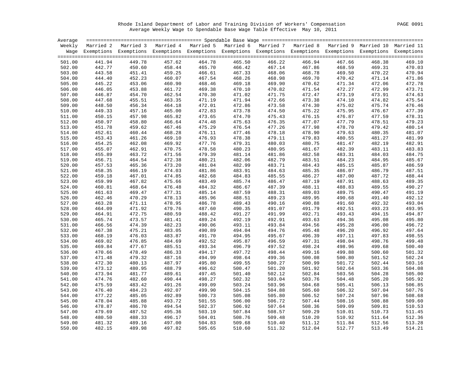Rhode Island Department of Labor and Training Division of Workers' Compensation PAGE 0091 Average Weekly Wage to Spendable Base Wage Table Effective May 10, 2011

| Average |        |        |        |                                                                                                                    |        |        |        |        |        |        |
|---------|--------|--------|--------|--------------------------------------------------------------------------------------------------------------------|--------|--------|--------|--------|--------|--------|
| Weekly  |        |        |        | Married 2 Married 3 Married 4 Married 5 Married 6 Married 7 Married 8 Married 9 Married 10 Married 11              |        |        |        |        |        |        |
|         |        |        |        | Wage Exemptions Exemptions Exemptions Exemptions Exemptions Exemptions Exemptions Exemptions Exemptions Exemptions |        |        |        |        |        |        |
| 501.00  | 441.94 | 449.78 | 457.62 | 464.78                                                                                                             | 465.50 | 466.22 | 466.94 | 467.66 | 468.38 | 469.10 |
| 502.00  | 442.77 | 450.60 | 458.44 | 465.70                                                                                                             | 466.42 | 467.14 | 467.86 | 468.59 | 469.31 | 470.03 |
| 503.00  | 443.58 | 451.41 | 459.25 | 466.61                                                                                                             | 467.33 | 468.06 | 468.78 | 469.50 | 470.22 | 470.94 |
| 504.00  | 444.40 | 452.23 | 460.07 | 467.54                                                                                                             | 468.26 | 468.98 | 469.70 | 470.42 | 471.14 | 471.86 |
| 505.00  | 445.22 | 453.06 | 460.90 | 468.46                                                                                                             | 469.18 | 469.90 | 470.62 | 471.34 | 472.06 | 472.78 |
| 506.00  | 446.05 | 453.88 | 461.72 | 469.38                                                                                                             | 470.10 | 470.82 | 471.54 | 472.27 | 472.99 | 473.71 |
| 507.00  | 446.87 | 454.70 | 462.54 | 470.30                                                                                                             | 471.02 | 471.75 | 472.47 | 473.19 | 473.91 | 474.63 |
| 508.00  | 447.68 | 455.51 | 463.35 | 471.19                                                                                                             | 471.94 | 472.66 | 473.38 | 474.10 | 474.82 | 475.54 |
| 509.00  | 448.50 | 456.34 | 464.18 | 472.01                                                                                                             | 472.86 | 473.58 | 474.30 | 475.02 | 475.74 | 476.46 |
| 510.00  | 449.33 | 457.16 | 465.00 | 472.83                                                                                                             | 473.78 | 474.50 | 475.22 | 475.95 | 476.67 | 477.39 |
| 511.00  | 450.15 | 457.98 | 465.82 | 473.65                                                                                                             | 474.70 | 475.43 | 476.15 | 476.87 | 477.59 | 478.31 |
| 512.00  | 450.97 | 458.80 | 466.64 | 474.48                                                                                                             | 475.63 | 476.35 | 477.07 | 477.79 | 478.51 | 479.23 |
| 513.00  | 451.78 | 459.62 | 467.46 | 475.29                                                                                                             | 476.54 | 477.26 | 477.98 | 478.70 | 479.42 | 480.14 |
| 514.00  | 452.61 | 460.44 | 468.28 | 476.11                                                                                                             | 477.46 | 478.18 | 478.90 | 479.63 | 480.35 | 481.07 |
| 515.00  | 453.43 | 461.26 | 469.10 | 476.93                                                                                                             | 478.38 | 479.11 | 479.83 | 480.55 | 481.27 | 481.99 |
| 516.00  | 454.25 | 462.08 | 469.92 | 477.76                                                                                                             | 479.31 | 480.03 | 480.75 | 481.47 | 482.19 | 482.91 |
| 517.00  | 455.07 | 462.91 | 470.75 | 478.58                                                                                                             | 480.23 | 480.95 | 481.67 | 482.39 | 483.11 | 483.83 |
| 518.00  | 455.89 | 463.72 | 471.56 | 479.39                                                                                                             | 481.14 | 481.86 | 482.58 | 483.31 | 484.03 | 484.75 |
| 519.00  | 456.71 | 464.54 | 472.38 | 480.21                                                                                                             | 482.06 | 482.79 | 483.51 | 484.23 | 484.95 | 485.67 |
| 520.00  | 457.53 | 465.36 | 473.20 | 481.04                                                                                                             | 482.99 | 483.71 | 484.43 | 485.15 | 485.87 | 486.59 |
| 521.00  | 458.35 | 466.19 | 474.03 | 481.86                                                                                                             | 483.91 | 484.63 | 485.35 | 486.07 | 486.79 | 487.51 |
| 522.00  | 459.18 | 467.01 | 474.85 | 482.68                                                                                                             | 484.83 | 485.55 | 486.27 | 487.00 | 487.72 | 488.44 |
| 523.00  | 459.99 | 467.82 | 475.66 | 483.49                                                                                                             | 485.74 | 486.47 | 487.19 | 487.91 | 488.63 | 489.35 |
| 524.00  | 460.81 | 468.64 | 476.48 | 484.32                                                                                                             | 486.67 | 487.39 | 488.11 | 488.83 | 489.55 | 490.27 |
| 525.00  | 461.63 | 469.47 | 477.31 | 485.14                                                                                                             | 487.59 | 488.31 | 489.03 | 489.75 | 490.47 | 491.19 |
| 526.00  | 462.46 | 470.29 | 478.13 | 485.96                                                                                                             | 488.51 | 489.23 | 489.95 | 490.68 | 491.40 | 492.12 |
| 527.00  | 463.28 | 471.11 | 478.95 | 486.78                                                                                                             | 489.43 | 490.16 | 490.88 | 491.60 | 492.32 | 493.04 |
| 528.00  | 464.09 | 471.92 | 479.76 | 487.60                                                                                                             | 490.35 | 491.07 | 491.79 | 492.51 | 493.23 | 493.95 |
| 529.00  | 464.91 | 472.75 | 480.59 | 488.42                                                                                                             | 491.27 | 491.99 | 492.71 | 493.43 | 494.15 | 494.87 |
| 530.00  | 465.74 | 473.57 | 481.41 | 489.24                                                                                                             | 492.19 | 492.91 | 493.63 | 494.36 | 495.08 | 495.80 |
| 531.00  | 466.56 | 474.39 | 482.23 | 490.06                                                                                                             | 493.11 | 493.84 | 494.56 | 495.28 | 496.00 | 496.72 |
| 532.00  | 467.38 | 475.21 | 483.05 | 490.89                                                                                                             | 494.04 | 494.76 | 495.48 | 496.20 | 496.92 | 497.64 |
| 533.00  | 468.19 | 476.03 | 483.87 | 491.70                                                                                                             | 494.95 | 495.67 | 496.39 | 497.11 | 497.83 | 498.55 |
| 534.00  | 469.02 | 476.85 | 484.69 | 492.52                                                                                                             | 495.87 | 496.59 | 497.31 | 498.04 | 498.76 | 499.48 |
| 535.00  | 469.84 | 477.67 | 485.51 | 493.34                                                                                                             | 496.79 | 497.52 | 498.24 | 498.96 | 499.68 | 500.40 |
| 536.00  | 470.66 | 478.49 | 486.33 | 494.17                                                                                                             | 497.72 | 498.44 | 499.16 | 499.88 | 500.60 | 501.32 |
| 537.00  | 471.48 | 479.32 | 487.16 | 494.99                                                                                                             | 498.64 | 499.36 | 500.08 | 500.80 | 501.52 | 502.24 |
| 538.00  | 472.30 | 480.13 | 487.97 | 495.80                                                                                                             | 499.55 | 500.27 | 500.99 | 501.72 | 502.44 | 503.16 |
| 539.00  | 473.12 | 480.95 | 488.79 | 496.62                                                                                                             | 500.47 | 501.20 | 501.92 | 502.64 | 503.36 | 504.08 |
| 540.00  | 473.94 | 481.77 | 489.61 | 497.45                                                                                                             | 501.40 | 502.12 | 502.84 | 503.56 | 504.28 | 505.00 |
| 541.00  | 474.76 | 482.60 | 490.44 | 498.27                                                                                                             | 502.32 | 503.04 | 503.76 | 504.48 | 505.20 | 505.92 |
| 542.00  | 475.59 | 483.42 | 491.26 | 499.09                                                                                                             | 503.24 | 503.96 | 504.68 | 505.41 | 506.13 | 506.85 |
| 543.00  | 476.40 | 484.23 | 492.07 | 499.90                                                                                                             | 504.15 | 504.88 | 505.60 | 506.32 | 507.04 | 507.76 |
| 544.00  | 477.22 | 485.05 | 492.89 | 500.73                                                                                                             | 505.08 | 505.80 | 506.52 | 507.24 | 507.96 | 508.68 |
| 545.00  | 478.04 | 485.88 | 493.72 | 501.55                                                                                                             | 506.00 | 506.72 | 507.44 | 508.16 | 508.88 | 509.60 |
| 546.00  | 478.87 | 486.70 | 494.54 | 502.37                                                                                                             | 506.92 | 507.64 | 508.36 | 509.09 | 509.81 | 510.53 |
| 547.00  | 479.69 | 487.52 | 495.36 | 503.19                                                                                                             | 507.84 | 508.57 | 509.29 | 510.01 | 510.73 | 511.45 |
| 548.00  | 480.50 | 488.33 | 496.17 | 504.01                                                                                                             | 508.76 | 509.48 | 510.20 | 510.92 | 511.64 | 512.36 |
| 549.00  | 481.32 | 489.16 | 497.00 | 504.83                                                                                                             | 509.68 | 510.40 | 511.12 | 511.84 | 512.56 | 513.28 |
| 550.00  | 482.15 | 489.98 | 497.82 | 505.65                                                                                                             | 510.60 | 511.32 | 512.04 | 512.77 | 513.49 | 514.21 |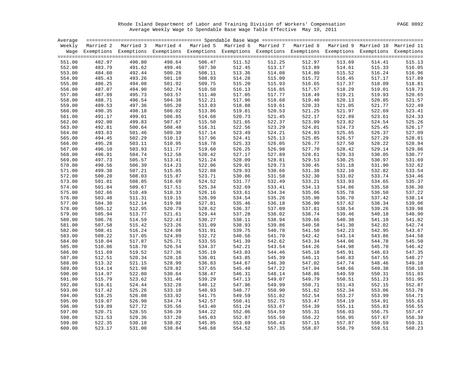Rhode Island Department of Labor and Training Division of Workers' Compensation PAGE 0092 Average Weekly Wage to Spendable Base Wage Table Effective May 10, 2011

| Average |        |                                                                                                                    |        |        |        |        |        |        |        |        |
|---------|--------|--------------------------------------------------------------------------------------------------------------------|--------|--------|--------|--------|--------|--------|--------|--------|
|         |        | Weekly Married 2 Married 3 Married 4 Married 5 Married 6 Married 7 Married 8 Married 9 Married 10 Married 11       |        |        |        |        |        |        |        |        |
|         |        | Wage Exemptions Exemptions Exemptions Exemptions Exemptions Exemptions Exemptions Exemptions Exemptions Exemptions |        |        |        |        |        |        |        |        |
|         |        |                                                                                                                    |        |        |        |        |        |        |        |        |
| 551.00  | 482.97 | 490.80                                                                                                             | 498.64 | 506.47 | 511.52 | 512.25 | 512.97 | 513.69 | 514.41 | 515.13 |
| 552.00  | 483.79 | 491.62                                                                                                             | 499.46 | 507.30 | 512.45 | 513.17 | 513.89 | 514.61 | 515.33 | 516.05 |
| 553.00  | 484.60 | 492.44                                                                                                             | 500.28 | 508.11 | 513.36 | 514.08 | 514.80 | 515.52 | 516.24 | 516.96 |
| 554.00  | 485.43 | 493.26                                                                                                             | 501.10 | 508.93 | 514.28 | 515.00 | 515.72 | 516.45 | 517.17 | 517.89 |
| 555.00  | 486.25 | 494.08                                                                                                             | 501.92 | 509.75 | 515.20 | 515.93 | 516.65 | 517.37 | 518.09 | 518.81 |
| 556.00  | 487.07 | 494.90                                                                                                             | 502.74 | 510.58 | 516.13 | 516.85 | 517.57 | 518.29 | 519.01 | 519.73 |
| 557.00  | 487.89 | 495.73                                                                                                             | 503.57 | 511.40 | 517.05 | 517.77 | 518.49 | 519.21 | 519.93 | 520.65 |
| 558.00  | 488.71 | 496.54                                                                                                             | 504.38 | 512.21 | 517.96 | 518.68 | 519.40 | 520.13 | 520.85 | 521.57 |
| 559.00  | 489.53 | 497.36                                                                                                             | 505.20 | 513.03 | 518.88 | 519.61 | 520.33 | 521.05 | 521.77 | 522.49 |
| 560.00  | 490.35 | 498.18                                                                                                             | 506.02 | 513.86 | 519.81 | 520.53 | 521.25 | 521.97 | 522.69 | 523.41 |
| 561.00  | 491.17 | 499.01                                                                                                             | 506.85 | 514.68 | 520.73 | 521.45 | 522.17 | 522.89 | 523.61 | 524.33 |
| 562.00  | 492.00 | 499.83                                                                                                             | 507.67 | 515.50 | 521.65 | 522.37 | 523.09 | 523.82 | 524.54 | 525.26 |
| 563.00  | 492.81 | 500.64                                                                                                             | 508.48 | 516.31 | 522.56 | 523.29 | 524.01 | 524.73 | 525.45 | 526.17 |
| 564.00  | 493.63 | 501.46                                                                                                             | 509.30 | 517.14 | 523.49 | 524.21 | 524.93 | 525.65 | 526.37 | 527.09 |
| 565.00  | 494.45 | 502.29                                                                                                             | 510.13 | 517.96 | 524.41 | 525.13 | 525.85 | 526.57 | 527.29 | 528.01 |
| 566.00  | 495.28 | 503.11                                                                                                             | 510.95 | 518.78 | 525.33 | 526.05 | 526.77 | 527.50 | 528.22 | 528.94 |
| 567.00  | 496.10 | 503.93                                                                                                             | 511.77 | 519.60 | 526.25 | 526.98 | 527.70 | 528.42 | 529.14 | 529.86 |
| 568.00  | 496.91 | 504.74                                                                                                             | 512.58 | 520.42 | 527.17 | 527.89 | 528.61 | 529.33 | 530.05 | 530.77 |
| 569.00  | 497.73 | 505.57                                                                                                             | 513.41 | 521.24 | 528.09 | 528.81 | 529.53 | 530.25 | 530.97 | 531.69 |
| 570.00  | 498.56 | 506.39                                                                                                             | 514.23 | 522.06 | 529.01 | 529.73 | 530.45 | 531.18 | 531.90 | 532.62 |
| 571.00  | 499.38 | 507.21                                                                                                             | 515.05 | 522.88 | 529.93 | 530.66 | 531.38 | 532.10 | 532.82 | 533.54 |
| 572.00  | 500.20 | 508.03                                                                                                             | 515.87 | 523.71 | 530.86 | 531.58 | 532.30 | 533.02 | 533.74 | 534.46 |
| 573.00  | 501.01 | 508.85                                                                                                             | 516.69 | 524.52 | 531.77 | 532.49 | 533.21 | 533.93 | 534.65 | 535.37 |
| 574.00  | 501.84 | 509.67                                                                                                             | 517.51 | 525.34 | 532.69 | 533.41 | 534.13 | 534.86 | 535.58 | 536.30 |
| 575.00  | 502.66 | 510.49                                                                                                             | 518.33 | 526.16 | 533.61 | 534.34 | 535.06 | 535.78 | 536.50 | 537.22 |
| 576.00  | 503.48 | 511.31                                                                                                             | 519.15 | 526.99 | 534.54 | 535.26 | 535.98 | 536.70 | 537.42 | 538.14 |
| 577.00  | 504.30 | 512.14                                                                                                             | 519.98 | 527.81 | 535.46 | 536.18 | 536.90 | 537.62 | 538.34 | 539.06 |
| 578.00  | 505.12 | 512.95                                                                                                             | 520.79 | 528.62 | 536.37 | 537.09 | 537.81 | 538.54 | 539.26 | 539.98 |
| 579.00  | 505.94 | 513.77                                                                                                             | 521.61 | 529.44 | 537.28 | 538.02 | 538.74 | 539.46 | 540.18 | 540.90 |
| 580.00  | 506.76 | 514.59                                                                                                             | 522.43 | 530.27 | 538.11 | 538.94 | 539.66 | 540.38 | 541.10 | 541.82 |
| 581.00  | 507.58 | 515.42                                                                                                             | 523.26 | 531.09 | 538.93 | 539.86 | 540.58 | 541.30 | 542.02 | 542.74 |
| 582.00  | 508.41 | 516.24                                                                                                             | 524.08 | 531.91 | 539.75 | 540.78 | 541.50 | 542.23 | 542.95 | 543.67 |
| 583.00  | 509.22 | 517.05                                                                                                             | 524.89 | 532.72 | 540.56 | 541.70 | 542.42 | 543.14 | 543.86 | 544.58 |
| 584.00  | 510.04 | 517.87                                                                                                             | 525.71 | 533.55 | 541.39 | 542.62 | 543.34 | 544.06 | 544.78 | 545.50 |
| 585.00  | 510.86 | 518.70                                                                                                             | 526.54 | 534.37 | 542.21 | 543.54 | 544.26 | 544.98 | 545.70 | 546.42 |
| 586.00  | 511.69 | 519.52                                                                                                             | 527.36 | 535.19 | 543.03 | 544.46 | 545.18 | 545.91 | 546.63 | 547.35 |
| 587.00  | 512.51 | 520.34                                                                                                             | 528.18 | 536.01 | 543.85 | 545.39 | 546.11 | 546.83 | 547.55 | 548.27 |
| 588.00  | 513.32 | 521.15                                                                                                             | 528.99 | 536.83 | 544.67 | 546.30 | 547.02 | 547.74 | 548.46 | 549.18 |
| 589.00  | 514.14 | 521.98                                                                                                             | 529.82 | 537.65 | 545.49 | 547.22 | 547.94 | 548.66 | 549.38 | 550.10 |
| 590.00  | 514.97 | 522.80                                                                                                             | 530.64 | 538.47 | 546.31 | 548.14 | 548.86 | 549.59 | 550.31 | 551.03 |
| 591.00  | 515.79 | 523.62                                                                                                             | 531.46 | 539.29 | 547.13 | 549.07 | 549.79 | 550.51 | 551.23 | 551.95 |
| 592.00  | 516.61 | 524.44                                                                                                             | 532.28 | 540.12 | 547.96 | 549.99 | 550.71 | 551.43 | 552.15 | 552.87 |
| 593.00  | 517.42 | 525.26                                                                                                             | 533.10 | 540.93 | 548.77 | 550.90 | 551.62 | 552.34 | 553.06 | 553.78 |
| 594.00  | 518.25 | 526.08                                                                                                             | 533.92 | 541.75 | 549.59 | 551.82 | 552.54 | 553.27 | 553.99 | 554.71 |
| 595.00  | 519.07 | 526.90                                                                                                             | 534.74 | 542.57 | 550.41 | 552.75 | 553.47 | 554.19 | 554.91 | 555.63 |
| 596.00  | 519.89 | 527.72                                                                                                             | 535.56 | 543.40 | 551.24 | 553.67 | 554.39 | 555.11 | 555.83 | 556.55 |
| 597.00  | 520.71 | 528.55                                                                                                             | 536.39 | 544.22 | 552.06 | 554.59 | 555.31 | 556.03 | 556.75 | 557.47 |
| 598.00  | 521.53 | 529.36                                                                                                             | 537.20 | 545.03 | 552.87 | 555.50 | 556.22 | 556.95 | 557.67 | 558.39 |
| 599.00  | 522.35 | 530.18                                                                                                             | 538.02 | 545.85 | 553.69 | 556.43 | 557.15 | 557.87 | 558.59 | 559.31 |
| 600.00  | 523.17 | 531.00                                                                                                             | 538.84 | 546.68 | 554.52 | 557.35 | 558.07 | 558.79 | 559.51 | 560.23 |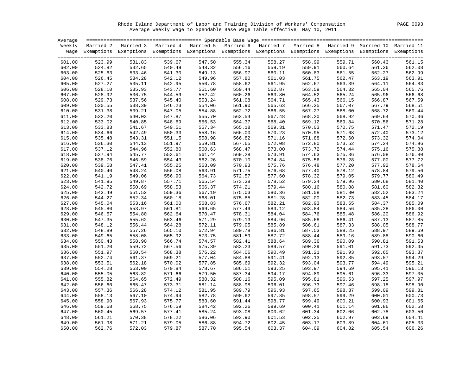Rhode Island Department of Labor and Training Division of Workers' Compensation PAGE 0093 Average Weekly Wage to Spendable Base Wage Table Effective May 10, 2011

|        | Average                                                                                                            |        |        |        |        |        |        |        |        |        |
|--------|--------------------------------------------------------------------------------------------------------------------|--------|--------|--------|--------|--------|--------|--------|--------|--------|
|        | Weekly Married 2 Married 3 Married 4 Married 5 Married 6 Married 7 Married 8 Married 9 Married 10 Married 11       |        |        |        |        |        |        |        |        |        |
|        | Wage Exemptions Exemptions Exemptions Exemptions Exemptions Exemptions Exemptions Exemptions Exemptions Exemptions |        |        |        |        |        |        |        |        |        |
|        |                                                                                                                    |        |        |        |        |        |        |        |        |        |
| 601.00 | 523.99                                                                                                             | 531.83 | 539.67 | 547.50 | 555.34 | 558.27 | 558.99 | 559.71 | 560.43 | 561.15 |
| 602.00 | 524.82                                                                                                             | 532.65 | 540.49 | 548.32 | 556.16 | 559.19 | 559.91 | 560.64 | 561.36 | 562.08 |
| 603.00 | 525.63                                                                                                             | 533.46 | 541.30 | 549.13 | 556.97 | 560.11 | 560.83 | 561.55 | 562.27 | 562.99 |
| 604.00 | 526.45                                                                                                             | 534.28 | 542.12 | 549.96 | 557.80 | 561.03 | 561.75 | 562.47 | 563.19 | 563.91 |
| 605.00 | 527.27                                                                                                             | 535.11 | 542.95 | 550.78 | 558.62 | 561.95 | 562.67 | 563.39 | 564.11 | 564.83 |
| 606.00 | 528.10                                                                                                             | 535.93 | 543.77 | 551.60 | 559.44 | 562.87 | 563.59 | 564.32 | 565.04 | 565.76 |
| 607.00 | 528.92                                                                                                             | 536.75 | 544.59 | 552.42 | 560.26 | 563.80 | 564.52 | 565.24 | 565.96 | 566.68 |
| 608.00 | 529.73                                                                                                             | 537.56 | 545.40 | 553.24 | 561.08 | 564.71 | 565.43 | 566.15 | 566.87 | 567.59 |
| 609.00 | 530.55                                                                                                             | 538.39 | 546.23 | 554.06 | 561.90 | 565.63 | 566.35 | 567.07 | 567.79 | 568.51 |
| 610.00 | 531.38                                                                                                             | 539.21 | 547.05 | 554.88 | 562.72 | 566.55 | 567.27 | 568.00 | 568.72 | 569.44 |
| 611.00 | 532.20                                                                                                             | 540.03 | 547.87 | 555.70 | 563.54 | 567.48 | 568.20 | 568.92 | 569.64 | 570.36 |
| 612.00 | 533.02                                                                                                             | 540.85 | 548.69 | 556.53 | 564.37 | 568.40 | 569.12 | 569.84 | 570.56 | 571.28 |
| 613.00 | 533.83                                                                                                             | 541.67 | 549.51 | 557.34 | 565.18 | 569.31 | 570.03 | 570.75 | 571.47 | 572.19 |
| 614.00 | 534.66                                                                                                             | 542.49 | 550.33 | 558.16 | 566.00 | 570.23 | 570.95 | 571.68 | 572.40 | 573.12 |
| 615.00 | 535.48                                                                                                             | 543.31 | 551.15 | 558.98 | 566.82 | 571.16 | 571.88 | 572.60 | 573.32 | 574.04 |
| 616.00 | 536.30                                                                                                             | 544.13 | 551.97 | 559.81 | 567.65 | 572.08 | 572.80 | 573.52 | 574.24 | 574.96 |
| 617.00 | 537.12                                                                                                             | 544.96 | 552.80 | 560.63 | 568.47 | 573.00 | 573.72 | 574.44 | 575.16 | 575.88 |
| 618.00 | 537.94                                                                                                             | 545.77 | 553.61 | 561.44 | 569.28 | 573.91 | 574.63 | 575.36 | 576.08 | 576.80 |
| 619.00 | 538.76                                                                                                             | 546.59 | 554.43 | 562.26 | 570.10 | 574.84 | 575.56 | 576.28 | 577.00 | 577.72 |
| 620.00 | 539.58                                                                                                             | 547.41 | 555.25 | 563.09 | 570.93 | 575.76 | 576.48 | 577.20 | 577.92 | 578.64 |
| 621.00 | 540.40                                                                                                             | 548.24 | 556.08 | 563.91 | 571.75 | 576.68 | 577.40 | 578.12 | 578.84 | 579.56 |
| 622.00 | 541.19                                                                                                             | 549.06 | 556.90 | 564.73 | 572.57 | 577.60 | 578.32 | 579.05 | 579.77 | 580.49 |
| 623.00 | 541.95                                                                                                             | 549.87 | 557.71 | 565.54 | 573.38 | 578.52 | 579.24 | 579.96 | 580.68 | 581.40 |
| 624.00 | 542.72                                                                                                             | 550.69 | 558.53 | 566.37 | 574.21 | 579.44 | 580.16 | 580.88 | 581.60 | 582.32 |
| 625.00 | 543.49                                                                                                             | 551.52 | 559.36 | 567.19 | 575.03 | 580.36 | 581.08 | 581.80 | 582.52 | 583.24 |
| 626.00 | 544.27                                                                                                             | 552.34 | 560.18 | 568.01 | 575.85 | 581.28 | 582.00 | 582.73 | 583.45 | 584.17 |
| 627.00 | 545.04                                                                                                             | 553.16 | 561.00 | 568.83 | 576.67 | 582.21 | 582.93 | 583.65 | 584.37 | 585.09 |
| 628.00 | 545.80                                                                                                             | 553.97 | 561.81 | 569.65 | 577.49 | 583.12 | 583.84 | 584.56 | 585.28 | 586.00 |
| 629.00 | 546.57                                                                                                             | 554.80 | 562.64 | 570.47 | 578.31 | 584.04 | 584.76 | 585.48 | 586.20 | 586.92 |
| 630.00 | 547.35                                                                                                             | 555.62 | 563.46 | 571.29 | 579.13 | 584.96 | 585.68 | 586.41 | 587.13 | 587.85 |
| 631.00 | 548.12                                                                                                             | 556.44 | 564.28 | 572.11 | 579.95 | 585.89 | 586.61 | 587.33 | 588.05 | 588.77 |
| 632.00 | 548.89                                                                                                             | 557.26 | 565.10 | 572.94 | 580.78 | 586.81 | 587.53 | 588.25 | 588.97 | 589.69 |
| 633.00 | 549.65                                                                                                             | 558.08 | 565.92 | 573.75 | 581.59 | 587.72 | 588.44 | 589.16 | 589.88 | 590.60 |
| 634.00 | 550.43                                                                                                             | 558.90 | 566.74 | 574.57 | 582.41 | 588.64 | 589.36 | 590.09 | 590.81 | 591.53 |
| 635.00 | 551.20                                                                                                             | 559.72 | 567.56 | 575.39 | 583.23 | 589.57 | 590.29 | 591.01 | 591.73 | 592.45 |
| 636.00 | 551.97                                                                                                             | 560.54 | 568.38 | 576.22 | 584.06 | 590.49 | 591.21 | 591.93 | 592.65 | 593.37 |
| 637.00 | 552.74                                                                                                             | 561.37 | 569.21 | 577.04 | 584.88 | 591.41 | 592.13 | 592.85 | 593.57 | 594.29 |
| 638.00 | 553.51                                                                                                             | 562.18 | 570.02 | 577.85 | 585.69 | 592.32 | 593.04 | 593.77 | 594.49 | 595.21 |
| 639.00 | 554.28                                                                                                             | 563.00 | 570.84 | 578.67 | 586.51 | 593.25 | 593.97 | 594.69 | 595.41 | 596.13 |
| 640.00 | 555.05                                                                                                             | 563.82 | 571.66 | 579.50 | 587.34 | 594.17 | 594.89 | 595.61 | 596.33 | 597.05 |
| 641.00 | 555.82                                                                                                             | 564.65 | 572.49 | 580.32 | 588.16 | 595.09 | 595.81 | 596.53 | 597.25 | 597.97 |
| 642.00 | 556.60                                                                                                             | 565.47 | 573.31 | 581.14 | 588.98 | 596.01 | 596.73 | 597.46 | 598.18 | 598.90 |
| 643.00 | 557.36                                                                                                             | 566.28 | 574.12 | 581.95 | 589.79 | 596.93 | 597.65 | 598.37 | 599.09 | 599.81 |
| 644.00 | 558.13                                                                                                             | 567.10 | 574.94 | 582.78 | 590.62 | 597.85 | 598.57 | 599.29 | 600.01 | 600.73 |
| 645.00 | 558.90                                                                                                             | 567.93 | 575.77 | 583.60 | 591.44 | 598.77 | 599.49 | 600.21 | 600.93 | 601.65 |
| 646.00 | 559.68                                                                                                             | 568.75 | 576.59 | 584.42 | 592.26 | 599.69 | 600.41 | 601.14 | 601.86 | 602.58 |
| 647.00 | 560.45                                                                                                             | 569.57 | 577.41 | 585.24 | 593.08 | 600.62 | 601.34 | 602.06 | 602.78 | 603.50 |
| 648.00 | 561.21                                                                                                             | 570.38 | 578.22 | 586.06 | 593.90 | 601.53 | 602.25 | 602.97 | 603.69 | 604.41 |
| 649.00 | 561.98                                                                                                             | 571.21 | 579.05 | 586.88 | 594.72 | 602.45 | 603.17 | 603.89 | 604.61 | 605.33 |
| 650.00 | 562.76                                                                                                             | 572.03 | 579.87 | 587.70 | 595.54 | 603.37 | 604.09 | 604.82 | 605.54 | 606.26 |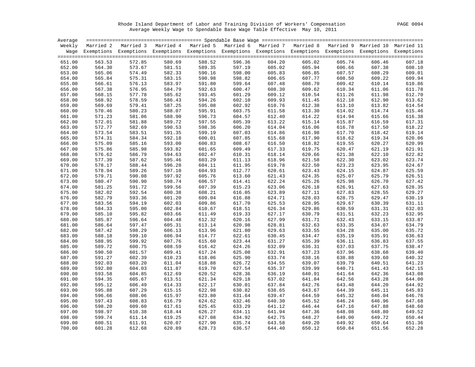Rhode Island Department of Labor and Training Division of Workers' Compensation PAGE 0094 Average Weekly Wage to Spendable Base Wage Table Effective May 10, 2011

| Average |        |                                                                                                                    |        |                                                                                   |        |        |        |        |        |        |
|---------|--------|--------------------------------------------------------------------------------------------------------------------|--------|-----------------------------------------------------------------------------------|--------|--------|--------|--------|--------|--------|
| Weekly  |        | Married 2 Married 3                                                                                                |        | Married 4 Married 5 Married 6 Married 7 Married 8 Married 9 Married 10 Married 11 |        |        |        |        |        |        |
|         |        | Wage Exemptions Exemptions Exemptions Exemptions Exemptions Exemptions Exemptions Exemptions Exemptions Exemptions |        |                                                                                   |        |        |        |        |        |        |
| 651.00  | 563.53 | 572.85                                                                                                             | 580.69 | 588.52                                                                            | 596.36 | 604.20 | 605.02 | 605.74 | 606.46 | 607.18 |
| 652.00  | 564.30 | 573.67                                                                                                             | 581.51 | 589.35                                                                            | 597.19 | 605.02 | 605.94 | 606.66 | 607.38 | 608.10 |
| 653.00  | 565.06 | 574.49                                                                                                             | 582.33 | 590.16                                                                            | 598.00 | 605.83 | 606.85 | 607.57 | 608.29 | 609.01 |
| 654.00  | 565.84 | 575.31                                                                                                             | 583.15 | 590.98                                                                            | 598.82 | 606.65 | 607.77 | 608.50 | 609.22 | 609.94 |
| 655.00  | 566.61 | 576.13                                                                                                             | 583.97 | 591.80                                                                            | 599.64 | 607.48 | 608.70 | 609.42 | 610.14 | 610.86 |
| 656.00  | 567.38 | 576.95                                                                                                             | 584.79 | 592.63                                                                            | 600.47 | 608.30 | 609.62 | 610.34 | 611.06 | 611.78 |
| 657.00  | 568.15 | 577.78                                                                                                             | 585.62 | 593.45                                                                            | 601.29 | 609.12 | 610.54 | 611.26 | 611.98 | 612.70 |
| 658.00  | 568.92 | 578.59                                                                                                             | 586.43 | 594.26                                                                            | 602.10 | 609.93 | 611.45 | 612.18 | 612.90 | 613.62 |
| 659.00  | 569.69 | 579.41                                                                                                             | 587.25 | 595.08                                                                            | 602.92 | 610.76 | 612.38 | 613.10 | 613.82 | 614.54 |
| 660.00  | 570.46 | 580.23                                                                                                             | 588.07 | 595.91                                                                            | 603.75 | 611.58 | 613.30 | 614.02 | 614.74 | 615.46 |
| 661.00  | 571.23 | 581.06                                                                                                             | 588.90 | 596.73                                                                            | 604.57 | 612.40 | 614.22 | 614.94 | 615.66 | 616.38 |
| 662.00  | 572.01 | 581.88                                                                                                             | 589.72 | 597.55                                                                            | 605.39 | 613.22 | 615.14 | 615.87 | 616.59 | 617.31 |
| 663.00  | 572.77 | 582.69                                                                                                             | 590.53 | 598.36                                                                            | 606.20 | 614.04 | 616.06 | 616.78 | 617.50 | 618.22 |
| 664.00  | 573.54 | 583.51                                                                                                             | 591.35 | 599.19                                                                            | 607.03 | 614.86 | 616.98 | 617.70 | 618.42 | 619.14 |
| 665.00  | 574.31 | 584.34                                                                                                             | 592.18 | 600.01                                                                            | 607.85 | 615.68 | 617.90 | 618.62 | 619.34 | 620.06 |
| 666.00  | 575.09 | 585.16                                                                                                             | 593.00 | 600.83                                                                            | 608.67 | 616.50 | 618.82 | 619.55 | 620.27 | 620.99 |
| 667.00  | 575.86 | 585.98                                                                                                             | 593.82 | 601.65                                                                            | 609.49 | 617.33 | 619.75 | 620.47 | 621.19 | 621.91 |
| 668.00  | 576.62 | 586.79                                                                                                             | 594.63 | 602.47                                                                            | 610.31 | 618.14 | 620.66 | 621.38 | 622.10 | 622.82 |
| 669.00  | 577.39 | 587.62                                                                                                             | 595.46 | 603.29                                                                            | 611.13 | 618.96 | 621.58 | 622.30 | 623.02 | 623.74 |
| 670.00  | 578.17 | 588.44                                                                                                             | 596.28 | 604.11                                                                            | 611.95 | 619.78 | 622.50 | 623.23 | 623.95 | 624.67 |
| 671.00  | 578.94 | 589.26                                                                                                             | 597.10 | 604.93                                                                            | 612.77 | 620.61 | 623.43 | 624.15 | 624.87 | 625.59 |
| 672.00  | 579.71 | 590.08                                                                                                             | 597.92 | 605.76                                                                            | 613.60 | 621.43 | 624.35 | 625.07 | 625.79 | 626.51 |
| 673.00  | 580.47 | 590.90                                                                                                             | 598.74 | 606.57                                                                            | 614.41 | 622.24 | 625.26 | 625.98 | 626.70 | 627.42 |
| 674.00  | 581.25 | 591.72                                                                                                             | 599.56 | 607.39                                                                            | 615.23 | 623.06 | 626.18 | 626.91 | 627.63 | 628.35 |
| 675.00  | 582.02 | 592.54                                                                                                             | 600.38 | 608.21                                                                            | 616.05 | 623.89 | 627.11 | 627.83 | 628.55 | 629.27 |
| 676.00  | 582.79 | 593.36                                                                                                             | 601.20 | 609.04                                                                            | 616.88 | 624.71 | 628.03 | 628.75 | 629.47 | 630.19 |
| 677.00  | 583.56 | 594.19                                                                                                             | 602.03 | 609.86                                                                            | 617.70 | 625.53 | 628.95 | 629.67 | 630.39 | 631.11 |
| 678.00  | 584.33 | 595.00                                                                                                             | 602.84 | 610.67                                                                            | 618.51 | 626.34 | 629.86 | 630.59 | 631.31 | 632.03 |
| 679.00  | 585.10 | 595.82                                                                                                             | 603.66 | 611.49                                                                            | 619.33 | 627.17 | 630.79 | 631.51 | 632.23 | 632.95 |
| 680.00  | 585.87 | 596.64                                                                                                             | 604.48 | 612.32                                                                            | 620.16 | 627.99 | 631.71 | 632.43 | 633.15 | 633.87 |
| 681.00  | 586.64 | 597.47                                                                                                             | 605.31 | 613.14                                                                            | 620.98 | 628.81 | 632.63 | 633.35 | 634.07 | 634.79 |
| 682.00  | 587.42 | 598.29                                                                                                             | 606.13 | 613.96                                                                            | 621.80 | 629.63 | 633.55 | 634.28 | 635.00 | 635.72 |
| 683.00  | 588.18 | 599.10                                                                                                             | 606.94 | 614.77                                                                            | 622.61 | 630.45 | 634.47 | 635.19 | 635.91 | 636.63 |
| 684.00  | 588.95 | 599.92                                                                                                             | 607.76 | 615.60                                                                            | 623.44 | 631.27 | 635.39 | 636.11 | 636.83 | 637.55 |
| 685.00  | 589.72 | 600.75                                                                                                             | 608.59 | 616.42                                                                            | 624.26 | 632.09 | 636.31 | 637.03 | 637.75 | 638.47 |
| 686.00  | 590.50 | 601.57                                                                                                             | 609.41 | 617.24                                                                            | 625.08 | 632.91 | 637.23 | 637.96 | 638.68 | 639.40 |
| 687.00  | 591.27 | 602.39                                                                                                             | 610.23 | 618.06                                                                            | 625.90 | 633.74 | 638.16 | 638.88 | 639.60 | 640.32 |
| 688.00  | 592.03 | 603.20                                                                                                             | 611.04 | 618.88                                                                            | 626.72 | 634.55 | 639.07 | 639.79 | 640.51 | 641.23 |
| 689.00  | 592.80 | 604.03                                                                                                             | 611.87 | 619.70                                                                            | 627.54 | 635.37 | 639.99 | 640.71 | 641.43 | 642.15 |
| 690.00  | 593.58 | 604.85                                                                                                             | 612.69 | 620.52                                                                            | 628.36 | 636.19 | 640.91 | 641.64 | 642.36 | 643.08 |
| 691.00  | 594.35 | 605.67                                                                                                             | 613.51 | 621.34                                                                            | 629.18 | 637.02 | 641.84 | 642.56 | 643.28 | 644.00 |
| 692.00  | 595.12 | 606.49                                                                                                             | 614.33 | 622.17                                                                            | 630.01 | 637.84 | 642.76 | 643.48 | 644.20 | 644.92 |
| 693.00  | 595.88 | 607.29                                                                                                             | 615.15 | 622.98                                                                            | 630.82 | 638.65 | 643.67 | 644.39 | 645.11 | 645.83 |
| 694.00  | 596.66 | 608.06                                                                                                             | 615.97 | 623.80                                                                            | 631.64 | 639.47 | 644.59 | 645.32 | 646.04 | 646.76 |
| 695.00  | 597.43 | 608.83                                                                                                             | 616.79 | 624.62                                                                            | 632.46 | 640.30 | 645.52 | 646.24 | 646.96 | 647.68 |
| 696.00  | 598.20 | 609.60                                                                                                             | 617.61 | 625.45                                                                            | 633.29 | 641.12 | 646.44 | 647.16 | 647.88 | 648.60 |
| 697.00  | 598.97 | 610.38                                                                                                             | 618.44 | 626.27                                                                            | 634.11 | 641.94 | 647.36 | 648.08 | 648.80 | 649.52 |
| 698.00  | 599.74 | 611.14                                                                                                             | 619.25 | 627.08                                                                            | 634.92 | 642.75 | 648.27 | 649.00 | 649.72 | 650.44 |
| 699.00  | 600.51 | 611.91                                                                                                             | 620.07 | 627.90                                                                            | 635.74 | 643.58 | 649.20 | 649.92 | 650.64 | 651.36 |
| 700.00  | 601.28 | 612.68                                                                                                             | 620.89 | 628.73                                                                            | 636.57 | 644.40 | 650.12 | 650.84 | 651.56 | 652.28 |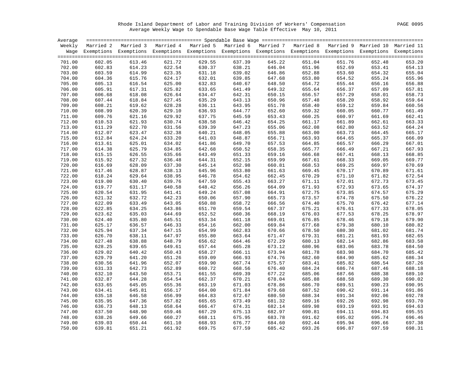Rhode Island Department of Labor and Training Division of Workers' Compensation PAGE 0095 Average Weekly Wage to Spendable Base Wage Table Effective May 10, 2011

| Average |        |                                                                                                                    |        |        |        |        |        |        |        |        |
|---------|--------|--------------------------------------------------------------------------------------------------------------------|--------|--------|--------|--------|--------|--------|--------|--------|
| Weekly  |        | Married 2 Married 3 Married 4 Married 5 Married 6 Married 7 Married 8 Married 9 Married 10 Married 11              |        |        |        |        |        |        |        |        |
|         |        | Wage Exemptions Exemptions Exemptions Exemptions Exemptions Exemptions Exemptions Exemptions Exemptions Exemptions |        |        |        |        |        |        |        |        |
|         |        |                                                                                                                    |        |        |        |        |        |        |        |        |
| 701.00  | 602.05 | 613.46                                                                                                             | 621.72 | 629.55 | 637.39 | 645.22 | 651.04 | 651.76 | 652.48 | 653.20 |
| 702.00  | 602.83 | 614.23                                                                                                             | 622.54 | 630.37 | 638.21 | 646.04 | 651.96 | 652.69 | 653.41 | 654.13 |
| 703.00  | 603.59 | 614.99                                                                                                             | 623.35 | 631.18 | 639.02 | 646.86 | 652.88 | 653.60 | 654.32 | 655.04 |
| 704.00  | 604.36 | 615.76                                                                                                             | 624.17 | 632.01 | 639.85 | 647.68 | 653.80 | 654.52 | 655.24 | 655.96 |
| 705.00  | 605.13 | 616.54                                                                                                             | 625.00 | 632.83 | 640.67 | 648.50 | 654.72 | 655.44 | 656.16 | 656.88 |
| 706.00  | 605.91 | 617.31                                                                                                             | 625.82 | 633.65 | 641.49 | 649.32 | 655.64 | 656.37 | 657.09 | 657.81 |
| 707.00  | 606.68 | 618.08                                                                                                             | 626.64 | 634.47 | 642.31 | 650.15 | 656.57 | 657.29 | 658.01 | 658.73 |
| 708.00  | 607.44 | 618.84                                                                                                             | 627.45 | 635.29 | 643.13 | 650.96 | 657.48 | 658.20 | 658.92 | 659.64 |
| 709.00  | 608.21 | 619.62                                                                                                             | 628.28 | 636.11 | 643.95 | 651.78 | 658.40 | 659.12 | 659.84 | 660.56 |
| 710.00  | 608.99 | 620.39                                                                                                             | 629.10 | 636.93 | 644.77 | 652.60 | 659.32 | 660.05 | 660.77 | 661.49 |
| 711.00  | 609.76 | 621.16                                                                                                             | 629.92 | 637.75 | 645.59 | 653.43 | 660.25 | 660.97 | 661.69 | 662.41 |
| 712.00  | 610.53 | 621.93                                                                                                             | 630.74 | 638.58 | 646.42 | 654.25 | 661.17 | 661.89 | 662.61 | 663.33 |
| 713.00  | 611.29 | 622.70                                                                                                             | 631.56 | 639.39 | 647.23 | 655.06 | 662.08 | 662.80 | 663.52 | 664.24 |
| 714.00  | 612.07 | 623.47                                                                                                             | 632.38 | 640.21 | 648.05 | 655.88 | 663.00 | 663.73 | 664.45 | 665.17 |
| 715.00  | 612.84 | 624.24                                                                                                             | 633.20 | 641.03 | 648.87 | 656.71 | 663.93 | 664.65 | 665.37 | 666.09 |
|         |        |                                                                                                                    |        | 641.86 | 649.70 |        |        |        |        |        |
| 716.00  | 613.61 | 625.01                                                                                                             | 634.02 |        |        | 657.53 | 664.85 | 665.57 | 666.29 | 667.01 |
| 717.00  | 614.38 | 625.79                                                                                                             | 634.85 | 642.68 | 650.52 | 658.35 | 665.77 | 666.49 | 667.21 | 667.93 |
| 718.00  | 615.15 | 626.55                                                                                                             | 635.66 | 643.49 | 651.33 | 659.16 | 666.68 | 667.41 | 668.13 | 668.85 |
| 719.00  | 615.92 | 627.32                                                                                                             | 636.48 | 644.31 | 652.15 | 659.99 | 667.61 | 668.33 | 669.05 | 669.77 |
| 720.00  | 616.69 | 628.09                                                                                                             | 637.30 | 645.14 | 652.98 | 660.81 | 668.53 | 669.25 | 669.97 | 670.69 |
| 721.00  | 617.46 | 628.87                                                                                                             | 638.13 | 645.96 | 653.80 | 661.63 | 669.45 | 670.17 | 670.89 | 671.61 |
| 722.00  | 618.24 | 629.64                                                                                                             | 638.95 | 646.78 | 654.62 | 662.45 | 670.29 | 671.10 | 671.82 | 672.54 |
| 723.00  | 619.00 | 630.40                                                                                                             | 639.76 | 647.59 | 655.43 | 663.27 | 671.11 | 672.01 | 672.73 | 673.45 |
| 724.00  | 619.77 | 631.17                                                                                                             | 640.58 | 648.42 | 656.26 | 664.09 | 671.93 | 672.93 | 673.65 | 674.37 |
| 725.00  | 620.54 | 631.95                                                                                                             | 641.41 | 649.24 | 657.08 | 664.91 | 672.75 | 673.85 | 674.57 | 675.29 |
| 726.00  | 621.32 | 632.72                                                                                                             | 642.23 | 650.06 | 657.90 | 665.73 | 673.57 | 674.78 | 675.50 | 676.22 |
| 727.00  | 622.09 | 633.49                                                                                                             | 643.05 | 650.88 | 658.72 | 666.56 | 674.40 | 675.70 | 676.42 | 677.14 |
| 728.00  | 622.85 | 634.25                                                                                                             | 643.86 | 651.70 | 659.54 | 667.37 | 675.21 | 676.61 | 677.33 | 678.05 |
| 729.00  | 623.62 | 635.03                                                                                                             | 644.69 | 652.52 | 660.36 | 668.19 | 676.03 | 677.53 | 678.25 | 678.97 |
| 730.00  | 624.40 | 635.80                                                                                                             | 645.51 | 653.34 | 661.18 | 669.01 | 676.85 | 678.46 | 679.18 | 679.90 |
| 731.00  | 625.17 | 636.57                                                                                                             | 646.33 | 654.16 | 662.00 | 669.84 | 677.68 | 679.38 | 680.10 | 680.82 |
| 732.00  | 625.94 | 637.34                                                                                                             | 647.15 | 654.99 | 662.83 | 670.66 | 678.50 | 680.30 | 681.02 | 681.74 |
| 733.00  | 626.70 | 638.11                                                                                                             | 647.97 | 655.80 | 663.64 | 671.47 | 679.31 | 681.21 | 681.93 | 682.65 |
| 734.00  | 627.48 | 638.88                                                                                                             | 648.79 | 656.62 | 664.46 | 672.29 | 680.13 | 682.14 | 682.86 | 683.58 |
| 735.00  | 628.25 | 639.65                                                                                                             | 649.61 | 657.44 | 665.28 | 673.12 | 680.96 | 683.06 | 683.78 | 684.50 |
| 736.00  | 629.02 | 640.42                                                                                                             | 650.43 | 658.27 | 666.11 | 673.94 | 681.78 | 683.98 | 684.70 | 685.42 |
| 737.00  | 629.79 | 641.20                                                                                                             | 651.26 | 659.09 | 666.93 | 674.76 | 682.60 | 684.90 | 685.62 | 686.34 |
| 738.00  | 630.56 | 641.96                                                                                                             | 652.07 | 659.90 | 667.74 | 675.57 | 683.41 | 685.82 | 686.54 | 687.26 |
| 739.00  | 631.33 | 642.73                                                                                                             | 652.89 | 660.72 | 668.56 | 676.40 | 684.24 | 686.74 | 687.46 | 688.18 |
| 740.00  | 632.10 | 643.50                                                                                                             | 653.71 | 661.55 | 669.39 | 677.22 | 685.06 | 687.66 | 688.38 | 689.10 |
| 741.00  | 632.87 | 644.28                                                                                                             | 654.54 | 662.37 | 670.21 | 678.04 | 685.88 | 688.58 | 689.30 | 690.02 |
| 742.00  | 633.65 | 645.05                                                                                                             | 655.36 | 663.19 | 671.03 | 678.86 | 686.70 | 689.51 | 690.23 | 690.95 |
| 743.00  | 634.41 | 645.81                                                                                                             | 656.17 | 664.00 | 671.84 | 679.68 | 687.52 | 690.42 | 691.14 | 691.86 |
| 744.00  | 635.18 | 646.58                                                                                                             | 656.99 | 664.83 | 672.67 | 680.50 | 688.34 | 691.34 | 692.06 | 692.78 |
| 745.00  | 635.95 | 647.36                                                                                                             | 657.82 | 665.65 | 673.49 | 681.32 | 689.16 | 692.26 | 692.98 | 693.70 |
| 746.00  | 636.73 | 648.13                                                                                                             | 658.64 | 666.47 | 674.31 | 682.14 | 689.98 | 693.19 | 693.91 | 694.63 |
| 747.00  | 637.50 | 648.90                                                                                                             | 659.46 | 667.29 | 675.13 | 682.97 | 690.81 | 694.11 | 694.83 | 695.55 |
| 748.00  | 638.26 | 649.66                                                                                                             | 660.27 | 668.11 | 675.95 | 683.78 | 691.62 | 695.02 | 695.74 | 696.46 |
| 749.00  | 639.03 | 650.44                                                                                                             | 661.10 | 668.93 | 676.77 | 684.60 | 692.44 | 695.94 | 696.66 | 697.38 |
| 750.00  | 639.81 | 651.21                                                                                                             | 661.92 | 669.75 | 677.59 | 685.42 | 693.26 | 696.87 | 697.59 | 698.31 |
|         |        |                                                                                                                    |        |        |        |        |        |        |        |        |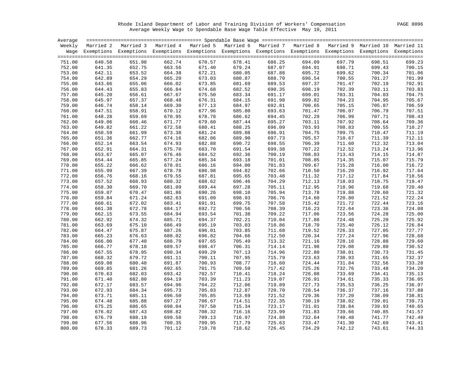Rhode Island Department of Labor and Training Division of Workers' Compensation PAGE 0096 Average Weekly Wage to Spendable Base Wage Table Effective May 10, 2011

| Average |        |                                                                                                                    |        |        |        |        |        |        |        |                  |
|---------|--------|--------------------------------------------------------------------------------------------------------------------|--------|--------|--------|--------|--------|--------|--------|------------------|
| Weekly  |        | Married 2 Married 3 Married 4 Married 5 Married 6 Married 7 Married 8 Married 9 Married 10 Married 11              |        |        |        |        |        |        |        |                  |
|         |        | Wage Exemptions Exemptions Exemptions Exemptions Exemptions Exemptions Exemptions Exemptions Exemptions Exemptions |        |        |        |        |        |        |        |                  |
|         |        |                                                                                                                    |        |        |        |        |        |        |        |                  |
| 751.00  | 640.58 | 651.98                                                                                                             | 662.74 | 670.57 | 678.41 | 686.25 | 694.09 | 697.79 | 698.51 | 699.23           |
| 752.00  | 641.35 | 652.75                                                                                                             | 663.56 | 671.40 | 679.24 | 687.07 | 694.91 | 698.71 | 699.43 | 700.15           |
| 753.00  | 642.11 | 653.52                                                                                                             | 664.38 | 672.21 | 680.05 | 687.88 | 695.72 | 699.62 | 700.34 | 701.06           |
| 754.00  | 642.89 | 654.29                                                                                                             | 665.20 | 673.03 | 680.87 | 688.70 | 696.54 | 700.55 | 701.27 | 701.99           |
| 755.00  | 643.66 | 655.06                                                                                                             | 666.02 | 673.85 | 681.69 | 689.53 | 697.37 | 701.47 | 702.19 | 702.91           |
| 756.00  | 644.43 | 655.83                                                                                                             | 666.84 | 674.68 | 682.52 | 690.35 | 698.19 | 702.39 | 703.11 | 703.83           |
| 757.00  | 645.20 | 656.61                                                                                                             | 667.67 | 675.50 | 683.34 | 691.17 | 699.01 | 703.31 | 704.03 | 704.75           |
| 758.00  | 645.97 | 657.37                                                                                                             | 668.48 | 676.31 | 684.15 | 691.98 | 699.82 | 704.23 | 704.95 | 705.67           |
| 759.00  | 646.74 | 658.14                                                                                                             | 669.30 | 677.13 | 684.97 | 692.81 | 700.65 | 705.15 | 705.87 | 706.59           |
| 760.00  | 647.51 | 658.91                                                                                                             | 670.12 | 677.96 | 685.80 | 693.63 | 701.47 | 706.07 | 706.79 | 707.51           |
| 761.00  | 648.28 | 659.69                                                                                                             | 670.95 | 678.78 | 686.62 | 694.45 | 702.29 | 706.99 | 707.71 | 708.43           |
| 762.00  | 649.06 | 660.46                                                                                                             | 671.77 | 679.60 | 687.44 | 695.27 | 703.11 | 707.92 | 708.64 | 709.36           |
| 763.00  | 649.82 | 661.22                                                                                                             | 672.58 | 680.41 | 688.25 | 696.09 | 703.93 | 708.83 | 709.55 | 710.27           |
| 764.00  | 650.59 | 661.99                                                                                                             | 673.38 | 681.24 | 689.08 | 696.91 | 704.75 | 709.75 | 710.47 | 711.19           |
| 765.00  | 651.36 |                                                                                                                    | 674.16 | 682.06 | 689.90 | 697.73 | 705.57 | 710.67 | 711.39 |                  |
|         |        | 662.77                                                                                                             |        |        |        |        |        |        |        | 712.11<br>713.04 |
| 766.00  | 652.14 | 663.54                                                                                                             | 674.93 | 682.88 | 690.72 | 698.55 | 706.39 | 711.60 | 712.32 |                  |
| 767.00  | 652.91 | 664.31                                                                                                             | 675.70 | 683.70 | 691.54 | 699.38 | 707.22 | 712.52 | 713.24 | 713.96           |
| 768.00  | 653.67 | 665.07                                                                                                             | 676.46 | 684.52 | 692.36 | 700.19 | 708.03 | 713.43 | 714.15 | 714.87           |
| 769.00  | 654.44 | 665.85                                                                                                             | 677.24 | 685.34 | 693.18 | 701.01 | 708.85 | 714.35 | 715.07 | 715.79           |
| 770.00  | 655.22 | 666.62                                                                                                             | 678.01 | 686.16 | 694.00 | 701.83 | 709.67 | 715.28 | 716.00 | 716.72           |
| 771.00  | 655.99 | 667.39                                                                                                             | 678.78 | 686.98 | 694.82 | 702.66 | 710.50 | 716.20 | 716.92 | 717.64           |
| 772.00  | 656.76 | 668.16                                                                                                             | 679.55 | 687.81 | 695.65 | 703.48 | 711.32 | 717.12 | 717.84 | 718.56           |
| 773.00  | 657.52 | 668.93                                                                                                             | 680.32 | 688.62 | 696.46 | 704.29 | 712.13 | 718.03 | 718.75 | 719.47           |
| 774.00  | 658.30 | 669.70                                                                                                             | 681.09 | 689.44 | 697.28 | 705.11 | 712.95 | 718.96 | 719.68 | 720.40           |
| 775.00  | 659.07 | 670.47                                                                                                             | 681.86 | 690.26 | 698.10 | 705.94 | 713.78 | 719.88 | 720.60 | 721.32           |
| 776.00  | 659.84 | 671.24                                                                                                             | 682.63 | 691.09 | 698.93 | 706.76 | 714.60 | 720.80 | 721.52 | 722.24           |
| 777.00  | 660.61 | 672.02                                                                                                             | 683.41 | 691.91 | 699.75 | 707.58 | 715.42 | 721.72 | 722.44 | 723.16           |
| 778.00  | 661.38 | 672.78                                                                                                             | 684.17 | 692.72 | 700.56 | 708.39 | 716.23 | 722.64 | 723.36 | 724.08           |
| 779.00  | 662.15 | 673.55                                                                                                             | 684.94 | 693.54 | 701.38 | 709.22 | 717.06 | 723.56 | 724.28 | 725.00           |
| 780.00  | 662.92 | 674.32                                                                                                             | 685.71 | 694.37 | 702.21 | 710.04 | 717.88 | 724.48 | 725.20 | 725.92           |
| 781.00  | 663.69 | 675.10                                                                                                             | 686.49 | 695.19 | 703.03 | 710.86 | 718.70 | 725.40 | 726.12 | 726.84           |
| 782.00  | 664.47 | 675.87                                                                                                             | 687.26 | 696.01 | 703.85 | 711.68 | 719.52 | 726.33 | 727.05 | 727.77           |
| 783.00  | 665.23 | 676.63                                                                                                             | 688.02 | 696.82 | 704.66 | 712.50 | 720.34 | 727.24 | 727.96 | 728.68           |
| 784.00  | 666.00 | 677.40                                                                                                             | 688.79 | 697.65 | 705.49 | 713.32 | 721.16 | 728.16 | 728.88 | 729.60           |
| 785.00  | 666.77 | 678.18                                                                                                             | 689.57 | 698.47 | 706.31 | 714.14 | 721.98 | 729.08 | 729.80 | 730.52           |
| 786.00  | 667.55 | 678.95                                                                                                             | 690.34 | 699.29 | 707.13 | 714.96 | 722.80 | 730.01 | 730.73 | 731.45           |
| 787.00  | 668.32 | 679.72                                                                                                             | 691.11 | 700.11 | 707.95 | 715.79 | 723.63 | 730.93 | 731.65 | 732.37           |
| 788.00  | 669.08 | 680.48                                                                                                             | 691.87 | 700.93 | 708.77 | 716.60 | 724.44 | 731.84 | 732.56 | 733.28           |
| 789.00  | 669.85 | 681.26                                                                                                             | 692.65 | 701.75 | 709.59 | 717.42 | 725.26 | 732.76 | 733.48 | 734.20           |
| 790.00  | 670.63 | 682.03                                                                                                             | 693.42 | 702.57 | 710.41 | 718.24 | 726.08 | 733.69 | 734.41 | 735.13           |
| 791.00  | 671.40 | 682.80                                                                                                             | 694.19 | 703.39 | 711.23 | 719.07 | 726.91 | 734.61 | 735.33 | 736.05           |
| 792.00  | 672.17 | 683.57                                                                                                             | 694.96 | 704.22 | 712.06 | 719.89 | 727.73 | 735.53 | 736.25 | 736.97           |
| 793.00  | 672.93 | 684.34                                                                                                             | 695.73 | 705.03 | 712.87 | 720.70 | 728.54 | 736.37 | 737.16 | 737.88           |
| 794.00  | 673.71 | 685.11                                                                                                             | 696.50 | 705.85 | 713.69 | 721.52 | 729.36 | 737.20 | 738.09 | 738.81           |
| 795.00  | 674.48 | 685.88                                                                                                             | 697.27 | 706.67 | 714.51 | 722.35 | 730.19 | 738.02 | 739.01 | 739.73           |
| 796.00  | 675.25 | 686.65                                                                                                             | 698.04 | 707.50 | 715.34 | 723.17 | 731.01 | 738.84 | 739.93 | 740.65           |
| 797.00  | 676.02 | 687.43                                                                                                             | 698.82 | 708.32 | 716.16 | 723.99 | 731.83 | 739.66 | 740.85 | 741.57           |
| 798.00  | 676.79 | 688.19                                                                                                             | 699.58 | 709.13 | 716.97 | 724.80 | 732.64 | 740.48 | 741.77 | 742.49           |
| 799.00  | 677.56 | 688.96                                                                                                             | 700.35 | 709.95 | 717.79 | 725.63 | 733.47 | 741.30 | 742.69 | 743.41           |
| 800.00  | 678.33 | 689.73                                                                                                             | 701.12 | 710.78 | 718.62 | 726.45 | 734.29 | 742.12 | 743.61 | 744.33           |
|         |        |                                                                                                                    |        |        |        |        |        |        |        |                  |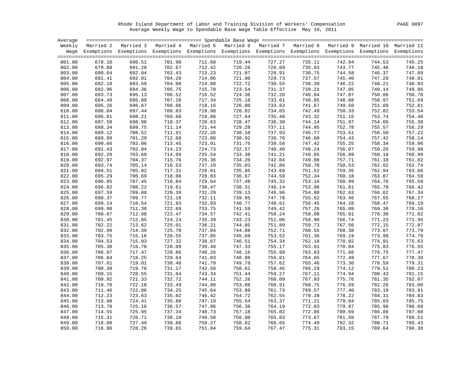Rhode Island Department of Labor and Training Division of Workers' Compensation PAGE 0097 Average Weekly Wage to Spendable Base Wage Table Effective May 10, 2011

| Average |        |        |        |        |        |        |        |        |                                                                                                                    |        |
|---------|--------|--------|--------|--------|--------|--------|--------|--------|--------------------------------------------------------------------------------------------------------------------|--------|
| Weekly  |        |        |        |        |        |        |        |        | Married 2 Married 3 Married 4 Married 5 Married 6 Married 7 Married 8 Married 9 Married 10 Married 11              |        |
|         |        |        |        |        |        |        |        |        | Wage Exemptions Exemptions Exemptions Exemptions Exemptions Exemptions Exemptions Exemptions Exemptions Exemptions |        |
|         |        |        |        |        |        |        |        |        |                                                                                                                    |        |
| 801.00  | 679.10 | 690.51 | 701.90 | 711.60 | 719.44 | 727.27 | 735.11 | 742.94 | 744.53                                                                                                             | 745.25 |
| 802.00  | 679.88 | 691.28 | 702.67 | 712.42 | 720.26 | 728.09 | 735.93 | 743.77 | 745.46                                                                                                             | 746.18 |
| 803.00  | 680.64 | 692.04 | 703.43 | 713.23 | 721.07 | 728.91 | 736.75 | 744.58 | 746.37                                                                                                             | 747.09 |
| 804.00  | 681.41 | 692.81 | 704.20 | 714.06 | 721.90 | 729.73 | 737.57 | 745.40 | 747.29                                                                                                             | 748.01 |
| 805.00  | 682.18 | 693.59 | 704.98 | 714.88 | 722.72 | 730.55 | 738.39 | 746.22 | 748.21                                                                                                             | 748.93 |
| 806.00  | 682.96 | 694.36 | 705.75 | 715.70 | 723.54 | 731.37 | 739.21 | 747.05 | 749.14                                                                                                             | 749.86 |
| 807.00  | 683.73 | 695.13 | 706.52 | 716.52 | 724.36 | 732.20 | 740.04 | 747.87 | 750.06                                                                                                             | 750.78 |
| 808.00  | 684.49 | 695.89 | 707.28 | 717.34 | 725.18 | 733.01 | 740.85 | 748.68 | 750.97                                                                                                             | 751.69 |
| 809.00  | 685.26 | 696.67 | 708.06 | 718.16 | 726.00 | 733.83 | 741.67 | 749.50 | 751.89                                                                                                             | 752.61 |
| 810.00  | 686.04 | 697.44 | 708.83 | 718.98 | 726.82 | 734.65 | 742.49 | 750.33 | 752.82                                                                                                             | 753.54 |
| 811.00  | 686.81 | 698.21 | 709.60 | 719.80 | 727.64 | 735.48 | 743.32 | 751.15 | 753.74                                                                                                             | 754.46 |
| 812.00  | 687.58 | 698.98 | 710.37 | 720.63 | 728.47 | 736.30 | 744.14 | 751.97 | 754.66                                                                                                             | 755.38 |
|         |        |        |        |        |        |        |        |        |                                                                                                                    |        |
| 813.00  | 688.34 | 699.75 | 711.14 | 721.44 | 729.28 | 737.11 | 744.95 | 752.78 | 755.57                                                                                                             | 756.29 |
| 814.00  | 689.12 | 700.52 | 711.91 | 722.26 | 730.10 | 737.93 | 745.77 | 753.61 | 756.50                                                                                                             | 757.22 |
| 815.00  | 689.89 | 701.29 | 712.68 | 723.08 | 730.92 | 738.76 | 746.60 | 754.43 | 757.42                                                                                                             | 758.14 |
| 816.00  | 690.66 | 702.06 | 713.45 | 723.91 | 731.75 | 739.58 | 747.42 | 755.25 | 758.34                                                                                                             | 759.06 |
| 817.00  | 691.43 | 702.84 | 714.23 | 724.73 | 732.57 | 740.40 | 748.24 | 756.07 | 759.26                                                                                                             | 759.98 |
| 818.00  | 692.20 | 703.60 | 714.99 | 725.54 | 733.38 | 741.21 | 749.05 | 756.89 | 760.18                                                                                                             | 760.90 |
| 819.00  | 692.97 | 704.37 | 715.76 | 726.36 | 734.20 | 742.04 | 749.88 | 757.71 | 761.10                                                                                                             | 761.82 |
| 820.00  | 693.74 | 705.14 | 716.53 | 727.19 | 735.03 | 742.86 | 750.70 | 758.53 | 762.02                                                                                                             | 762.74 |
| 821.00  | 694.51 | 705.92 | 717.31 | 728.01 | 735.85 | 743.68 | 751.52 | 759.35 | 762.94                                                                                                             | 763.66 |
| 822.00  | 695.29 | 706.69 | 718.08 | 728.83 | 736.67 | 744.50 | 752.34 | 760.18 | 763.87                                                                                                             | 764.59 |
| 823.00  | 696.05 | 707.45 | 718.84 | 729.64 | 737.48 | 745.32 | 753.16 | 760.99 | 764.78                                                                                                             | 765.50 |
| 824.00  | 696.82 | 708.22 | 719.61 | 730.47 | 738.31 | 746.14 | 753.98 | 761.81 | 765.70                                                                                                             | 766.42 |
| 825.00  | 697.59 | 709.00 | 720.39 | 731.29 | 739.13 | 746.96 | 754.80 | 762.63 | 766.62                                                                                                             | 767.34 |
| 826.00  | 698.37 | 709.77 | 721.16 | 732.11 | 739.95 | 747.78 | 755.62 | 763.46 | 767.55                                                                                                             | 768.27 |
| 827.00  | 699.14 | 710.54 | 721.93 | 732.93 | 740.77 | 748.61 | 756.45 | 764.28 | 768.47                                                                                                             | 769.19 |
| 828.00  | 699.90 | 711.30 | 722.69 | 733.75 | 741.59 | 749.42 | 757.26 | 765.09 | 769.38                                                                                                             | 770.10 |
| 829.00  | 700.67 | 712.08 | 723.47 | 734.57 | 742.41 | 750.24 | 758.08 | 765.91 | 770.30                                                                                                             | 771.02 |
| 830.00  | 701.45 | 712.85 | 724.24 | 735.39 | 743.23 | 751.06 | 758.90 | 766.74 | 771.23                                                                                                             | 771.95 |
| 831.00  | 702.22 | 713.62 | 725.01 | 736.21 | 744.05 | 751.89 | 759.73 | 767.56 | 772.15                                                                                                             | 772.87 |
| 832.00  | 702.99 | 714.39 | 725.78 | 737.04 | 744.88 | 752.71 | 760.55 | 768.38 | 773.07                                                                                                             | 773.79 |
| 833.00  | 703.75 | 715.16 | 726.55 | 737.85 | 745.69 | 753.52 | 761.36 | 769.19 | 773.98                                                                                                             | 774.70 |
| 834.00  | 704.53 | 715.93 | 727.32 | 738.67 | 746.51 | 754.34 | 762.18 | 770.02 | 774.91                                                                                                             | 775.63 |
| 835.00  | 705.30 | 716.70 | 728.09 | 739.48 | 747.33 | 755.17 | 763.01 | 770.84 | 775.83                                                                                                             | 776.55 |
| 836.00  | 706.07 | 717.47 | 728.86 | 740.26 | 748.16 | 755.99 | 763.83 | 771.66 | 776.75                                                                                                             | 777.47 |
| 837.00  | 706.84 | 718.25 | 729.64 | 741.03 | 748.98 | 756.81 | 764.65 | 772.48 | 777.67                                                                                                             | 778.39 |
| 838.00  | 707.61 | 719.01 | 730.40 | 741.79 | 749.79 | 757.62 | 765.46 | 773.30 | 778.59                                                                                                             | 779.31 |
| 839.00  | 708.38 | 719.78 | 731.17 | 742.56 | 750.61 | 758.45 | 766.29 | 774.12 | 779.51                                                                                                             | 780.23 |
| 840.00  | 709.15 | 720.55 | 731.94 | 743.34 | 751.44 | 759.27 | 767.11 | 774.94 | 780.43                                                                                                             | 781.15 |
| 841.00  | 709.92 | 721.33 | 732.72 | 744.11 | 752.26 | 760.09 | 767.93 | 775.76 | 781.35                                                                                                             | 782.07 |
| 842.00  | 710.70 | 722.10 | 733.49 | 744.88 | 753.08 | 760.91 | 768.75 | 776.59 | 782.28                                                                                                             | 783.00 |
| 843.00  | 711.46 | 722.86 | 734.25 | 745.64 | 753.89 | 761.73 | 769.57 | 777.40 | 783.19                                                                                                             | 783.91 |
| 844.00  | 712.23 | 723.63 | 735.02 | 746.42 | 754.72 | 762.55 | 770.39 | 778.22 | 784.11                                                                                                             | 784.83 |
| 845.00  | 713.00 | 724.41 | 735.80 | 747.19 | 755.54 | 763.37 | 771.21 | 779.04 | 785.03                                                                                                             | 785.75 |
| 846.00  | 713.78 | 725.18 | 736.57 | 747.96 | 756.36 | 764.19 | 772.03 | 779.87 | 785.96                                                                                                             | 786.68 |
| 847.00  | 714.55 | 725.95 | 737.34 | 748.73 | 757.18 | 765.02 | 772.86 | 780.69 | 786.88                                                                                                             | 787.60 |
| 848.00  | 715.31 | 726.71 | 738.10 | 749.50 | 758.00 | 765.83 | 773.67 | 781.50 | 787.79                                                                                                             | 788.51 |
|         |        |        |        |        |        |        | 774.49 | 782.32 |                                                                                                                    | 789.43 |
| 849.00  | 716.08 | 727.49 | 738.88 | 750.27 | 758.82 | 766.65 |        |        | 788.71                                                                                                             |        |
| 850.00  | 716.86 | 728.26 | 739.65 | 751.04 | 759.64 | 767.47 | 775.31 | 783.15 | 789.64                                                                                                             | 790.36 |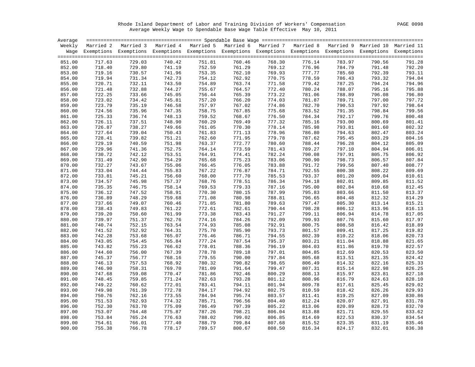Rhode Island Department of Labor and Training Division of Workers' Compensation PAGE 0098 Average Weekly Wage to Spendable Base Wage Table Effective May 10, 2011

| Average          |                  |                                                                                                                    |                  |                  |                  |                  |                  |                  |                  |                  |
|------------------|------------------|--------------------------------------------------------------------------------------------------------------------|------------------|------------------|------------------|------------------|------------------|------------------|------------------|------------------|
|                  |                  | Weekly Married 2 Married 3 Married 4 Married 5 Married 6 Married 7 Married 8 Married 9 Married 10 Married 11       |                  |                  |                  |                  |                  |                  |                  |                  |
|                  |                  | Wage Exemptions Exemptions Exemptions Exemptions Exemptions Exemptions Exemptions Exemptions Exemptions Exemptions |                  |                  |                  |                  |                  |                  |                  |                  |
|                  |                  |                                                                                                                    |                  |                  |                  |                  |                  |                  |                  |                  |
| 851.00           | 717.63           | 729.03                                                                                                             | 740.42           | 751.81           | 760.46           | 768.30           | 776.14           | 783.97           | 790.56           | 791.28           |
| 852.00           | 718.40           | 729.80                                                                                                             | 741.19           | 752.59           | 761.29           | 769.12           | 776.96           | 784.79           | 791.48           | 792.20           |
| 853.00           | 719.16           | 730.57                                                                                                             | 741.96           | 753.35           | 762.10           | 769.93           | 777.77           | 785.60           | 792.39           | 793.11           |
| 854.00           | 719.94           | 731.34                                                                                                             | 742.73           | 754.12           | 762.92           | 770.75           | 778.59           | 786.43           | 793.32           | 794.04           |
| 855.00           | 720.71           | 732.11                                                                                                             | 743.50           | 754.89           | 763.74           | 771.58           | 779.42           | 787.25           | 794.24           | 794.96           |
| 856.00           | 721.48           | 732.88                                                                                                             | 744.27           | 755.67           | 764.57           | 772.40           | 780.24           | 788.07           | 795.16           | 795.88           |
| 857.00           | 722.25           | 733.66                                                                                                             | 745.05           | 756.44           | 765.39           | 773.22           | 781.06           | 788.89           | 796.08           | 796.80           |
| 858.00           | 723.02           | 734.42                                                                                                             | 745.81           | 757.20           | 766.20           | 774.03           | 781.87           | 789.71           | 797.00           | 797.72           |
| 859.00           | 723.79           | 735.19                                                                                                             | 746.58           | 757.97           | 767.02           | 774.86           | 782.70           | 790.53           | 797.92           | 798.64           |
| 860.00           | 724.56           | 735.96                                                                                                             | 747.35           | 758.75           | 767.85           | 775.68           | 783.52           | 791.35           | 798.84           | 799.56           |
| 861.00           | 725.33           | 736.74                                                                                                             | 748.13           | 759.52           | 768.67           | 776.50           | 784.34           | 792.17           | 799.76           | 800.48           |
| 862.00           | 726.11           | 737.51                                                                                                             | 748.90           | 760.29           | 769.49           | 777.32           | 785.16           | 793.00           | 800.69           | 801.41           |
| 863.00           | 726.87           | 738.27                                                                                                             | 749.66           | 761.05           | 770.30           | 778.14           | 785.98           | 793.81           | 801.60           | 802.32           |
| 864.00           | 727.64           | 739.04                                                                                                             | 750.43           | 761.83           | 771.13           | 778.96           | 786.80           | 794.63           | 802.47           | 803.24           |
| 865.00           | 728.41           | 739.82                                                                                                             | 751.21           | 762.60           | 771.95           | 779.78           | 787.62           | 795.45           | 803.29           | 804.16           |
| 866.00           | 729.19           | 740.59                                                                                                             | 751.98           | 763.37           | 772.77           | 780.60           | 788.44           | 796.28           | 804.12           | 805.09           |
| 867.00           | 729.96           | 741.36                                                                                                             | 752.75           | 764.14           | 773.59           | 781.43           | 789.27           | 797.10           | 804.94           | 806.01           |
| 868.00           | 730.72           | 742.12                                                                                                             | 753.51           | 764.91           | 774.41           | 782.24           | 790.08           | 797.91           | 805.75           | 806.92           |
| 869.00           | 731.49           | 742.90                                                                                                             | 754.29           | 765.68           | 775.23           | 783.06           | 790.90           | 798.73           | 806.57           | 807.84           |
| 870.00           | 732.27           | 743.67                                                                                                             | 755.06           | 766.45           | 776.05           | 783.88           | 791.72           | 799.56           | 807.40           | 808.77           |
| 871.00           | 733.04           | 744.44                                                                                                             | 755.83           | 767.22           | 776.87           | 784.71           | 792.55           | 800.38           | 808.22           | 809.69           |
| 872.00           | 733.81           | 745.21                                                                                                             | 756.60           | 768.00           | 777.70           | 785.53           | 793.37           | 801.20           | 809.04           | 810.61           |
| 873.00           | 734.57           | 745.98                                                                                                             | 757.37           | 768.76           | 778.51           | 786.34           | 794.18           | 802.01           | 809.85           | 811.52           |
| 874.00           | 735.35           | 746.75                                                                                                             | 758.14           | 769.53           | 779.33           | 787.16           | 795.00           | 802.84           | 810.68           | 812.45           |
| 875.00           | 736.12           | 747.52                                                                                                             | 758.91           | 770.30           | 780.15           | 787.99           | 795.83           | 803.66           | 811.50           | 813.37           |
| 876.00           | 736.89           | 748.29                                                                                                             | 759.68           | 771.08           | 780.98           | 788.81           | 796.65           | 804.48           | 812.32           | 814.29           |
| 877.00           | 737.66           | 749.07                                                                                                             | 760.46           | 771.85           | 781.80           | 789.63           | 797.47           | 805.30           | 813.14           | 815.21           |
| 878.00           | 738.43           | 749.83                                                                                                             | 761.22           | 772.61           | 782.61           | 790.44           | 798.28           | 806.12           | 813.96           | 816.13           |
| 879.00           | 739.20           | 750.60                                                                                                             | 761.99           | 773.38           | 783.43           | 791.27           | 799.11           | 806.94           | 814.78           | 817.05           |
| 880.00           | 739.97           | 751.37                                                                                                             | 762.76           | 774.16           | 784.26           | 792.09           | 799.93           | 807.76           | 815.60           | 817.97           |
| 881.00           | 740.74           | 752.15                                                                                                             | 763.54           | 774.93           | 785.08           | 792.91           | 800.75           | 808.58           | 816.42           | 818.89           |
| 882.00           | 741.52           | 752.92                                                                                                             | 764.31           | 775.70           | 785.90           | 793.73           | 801.57           | 809.41           | 817.25           | 819.82           |
| 883.00           | 742.28           | 753.68                                                                                                             | 765.07           | 776.46           | 786.71           | 794.55           | 802.39           | 810.22           | 818.06           | 820.73           |
| 884.00           | 743.05           | 754.45                                                                                                             | 765.84           | 777.24           | 787.54           | 795.37           | 803.21           | 811.04           | 818.88           | 821.65           |
| 885.00           | 743.82           | 755.23                                                                                                             | 766.62           | 778.01           | 788.36           | 796.19           | 804.03           | 811.86           | 819.70           | 822.57           |
| 886.00           | 744.60           | 756.00                                                                                                             | 767.39           | 778.78           | 789.18           | 797.01           | 804.85           | 812.69           | 820.53           | 823.50           |
| 887.00           | 745.37           | 756.77                                                                                                             | 768.16           | 779.55           | 790.00           | 797.84           | 805.68           | 813.51           | 821.35           | 824.42           |
| 888.00           | 746.13           | 757.53                                                                                                             | 768.92           | 780.32           | 790.82           | 798.65           | 806.49           | 814.32           | 822.16           | 825.33           |
| 889.00           | 746.90           | 758.31                                                                                                             | 769.70           | 781.09           | 791.64           | 799.47           | 807.31           | 815.14           | 822.98           | 826.25           |
| 890.00           | 747.68           | 759.08                                                                                                             | 770.47           | 781.86           | 792.46           | 800.29           | 808.13           | 815.97           | 823.81           | 827.18           |
| 891.00           | 748.45           | 759.85                                                                                                             | 771.24           | 782.63           | 793.28           | 801.12           | 808.96           | 816.79           | 824.63           | 828.10           |
| 892.00           | 749.22           | 760.62                                                                                                             | 772.01           | 783.41           | 794.11           | 801.94           | 809.78           | 817.61           | 825.45           | 829.02           |
|                  | 749.98           | 761.39                                                                                                             | 772.78           | 784.17           | 794.92           | 802.75           | 810.59           | 818.42           | 826.26           |                  |
| 893.00           |                  |                                                                                                                    |                  |                  |                  |                  |                  |                  |                  | 829.93           |
| 894.00<br>895.00 | 750.76<br>751.53 | 762.16<br>762.93                                                                                                   | 773.55<br>774.32 | 784.94<br>785.71 | 795.74<br>796.56 | 803.57           | 811.41<br>812.24 | 819.25           | 827.09           | 830.86           |
|                  | 752.30           | 763.70                                                                                                             | 775.09           | 786.49           | 797.39           | 804.40<br>805.22 |                  | 820.07<br>820.89 | 827.91<br>828.73 | 831.78<br>832.70 |
| 896.00<br>897.00 | 753.07           | 764.48                                                                                                             | 775.87           | 787.26           | 798.21           | 806.04           | 813.06<br>813.88 | 821.71           | 829.55           | 833.62           |
| 898.00           | 753.84           | 765.24                                                                                                             | 776.63           | 788.02           | 799.02           | 806.85           | 814.69           | 822.53           | 830.37           | 834.54           |
|                  | 754.61           |                                                                                                                    | 777.40           |                  | 799.84           |                  |                  | 823.35           |                  | 835.46           |
| 899.00           |                  | 766.01                                                                                                             |                  | 788.79           |                  | 807.68           | 815.52           |                  | 831.19           |                  |
| 900.00           | 755.38           | 766.78                                                                                                             | 778.17           | 789.57           | 800.67           | 808.50           | 816.34           | 824.17           | 832.01           | 836.38           |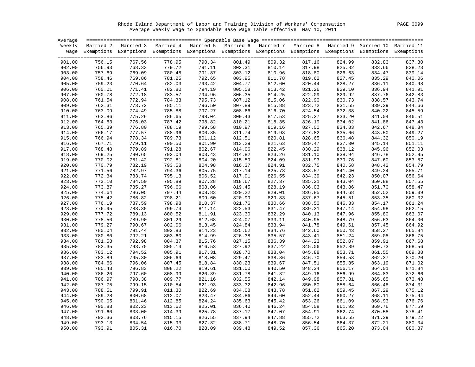Rhode Island Department of Labor and Training Division of Workers' Compensation PAGE 0099 Average Weekly Wage to Spendable Base Wage Table Effective May 10, 2011

| Average |        |                                                                                                                    |        |        |        |        |        |        |        |                  |
|---------|--------|--------------------------------------------------------------------------------------------------------------------|--------|--------|--------|--------|--------|--------|--------|------------------|
|         |        | Weekly Married 2 Married 3 Married 4 Married 5 Married 6 Married 7 Married 8 Married 9 Married 10 Married 11       |        |        |        |        |        |        |        |                  |
|         |        | Wage Exemptions Exemptions Exemptions Exemptions Exemptions Exemptions Exemptions Exemptions Exemptions Exemptions |        |        |        |        |        |        |        |                  |
|         |        |                                                                                                                    |        |        |        |        |        |        |        |                  |
| 901.00  | 756.15 | 767.56                                                                                                             | 778.95 | 790.34 | 801.49 | 809.32 | 817.16 | 824.99 | 832.83 | 837.30           |
| 902.00  | 756.93 | 768.33                                                                                                             | 779.72 | 791.11 | 802.31 | 810.14 | 817.98 | 825.82 | 833.66 | 838.23           |
| 903.00  | 757.69 | 769.09                                                                                                             | 780.48 | 791.87 | 803.12 | 810.96 | 818.80 | 826.63 | 834.47 | 839.14           |
| 904.00  | 758.46 | 769.86                                                                                                             | 781.25 | 792.65 | 803.95 | 811.78 | 819.62 | 827.45 | 835.29 | 840.06           |
| 905.00  | 759.23 | 770.64                                                                                                             | 782.03 | 793.42 | 804.77 | 812.60 | 820.44 | 828.27 | 836.11 | 840.98           |
| 906.00  | 760.01 | 771.41                                                                                                             | 782.80 | 794.19 | 805.58 | 813.42 | 821.26 | 829.10 | 836.94 | 841.91           |
| 907.00  | 760.78 | 772.18                                                                                                             | 783.57 | 794.96 | 806.35 | 814.25 | 822.09 | 829.92 | 837.76 | 842.83           |
| 908.00  | 761.54 | 772.94                                                                                                             | 784.33 | 795.73 | 807.12 | 815.06 | 822.90 | 830.73 | 838.57 | 843.74           |
| 909.00  | 762.31 | 773.72                                                                                                             | 785.11 | 796.50 | 807.89 | 815.88 | 823.72 | 831.55 | 839.39 | 844.66           |
| 910.00  | 763.09 | 774.49                                                                                                             | 785.88 | 797.27 | 808.66 | 816.70 | 824.54 | 832.38 | 840.22 | 845.59           |
| 911.00  | 763.86 | 775.26                                                                                                             | 786.65 | 798.04 | 809.43 | 817.53 | 825.37 | 833.20 | 841.04 | 846.51           |
| 912.00  | 764.63 | 776.03                                                                                                             | 787.42 | 798.82 | 810.21 | 818.35 | 826.19 | 834.02 | 841.86 | 847.43           |
| 913.00  | 765.39 | 776.80                                                                                                             | 788.19 | 799.58 | 810.97 | 819.16 | 827.00 | 834.83 | 842.67 | 848.34           |
| 914.00  | 766.17 | 777.57                                                                                                             | 788.96 | 800.35 | 811.74 | 819.98 | 827.82 | 835.66 | 843.50 | 849.27           |
| 915.00  | 766.94 | 778.34                                                                                                             | 789.73 | 801.12 | 812.51 | 820.81 | 828.65 | 836.48 | 844.32 | 850.19           |
| 916.00  | 767.71 | 779.11                                                                                                             | 790.50 | 801.90 | 813.29 | 821.63 | 829.47 | 837.30 | 845.14 | 851.11           |
| 917.00  | 768.48 | 779.89                                                                                                             | 791.28 | 802.67 | 814.06 | 822.45 | 830.29 | 838.12 | 845.96 | 852.03           |
| 918.00  | 769.25 | 780.65                                                                                                             | 792.04 | 803.43 | 814.82 | 823.26 | 831.10 | 838.94 | 846.78 | 852.95           |
| 919.00  | 770.02 | 781.42                                                                                                             | 792.81 | 804.20 | 815.59 | 824.09 | 831.93 | 839.76 | 847.60 | 853.87           |
| 920.00  | 770.79 | 782.19                                                                                                             | 793.58 | 804.98 | 816.37 | 824.91 | 832.75 | 840.58 | 848.42 | 854.79           |
| 921.00  | 771.56 | 782.97                                                                                                             | 794.36 | 805.75 | 817.14 | 825.73 | 833.57 | 841.40 | 849.24 | 855.71           |
| 922.00  | 772.34 | 783.74                                                                                                             | 795.13 | 806.52 | 817.91 | 826.55 | 834.39 | 842.23 | 850.07 | 856.64           |
| 923.00  | 773.10 | 784.50                                                                                                             | 795.89 | 807.28 | 818.67 | 827.37 | 835.21 | 843.04 | 850.88 | 857.55           |
| 924.00  | 773.87 | 785.27                                                                                                             | 796.66 | 808.06 | 819.45 | 828.19 | 836.03 | 843.86 | 851.70 | 858.47           |
| 925.00  | 774.64 | 786.05                                                                                                             | 797.44 | 808.83 | 820.22 | 829.01 | 836.85 | 844.68 | 852.52 | 859.39           |
| 926.00  | 775.42 | 786.82                                                                                                             | 798.21 | 809.60 | 820.99 | 829.83 | 837.67 | 845.51 | 853.35 | 860.32           |
| 927.00  | 776.19 | 787.59                                                                                                             | 798.98 | 810.37 | 821.76 | 830.66 | 838.50 | 846.33 | 854.17 | 861.24           |
| 928.00  | 776.95 | 788.35                                                                                                             | 799.74 | 811.14 | 822.53 | 831.47 | 839.31 | 847.14 | 854.98 | 862.15           |
| 929.00  | 777.72 | 789.13                                                                                                             | 800.52 | 811.91 | 823.30 | 832.29 | 840.13 | 847.96 | 855.80 | 863.07           |
| 930.00  | 778.50 | 789.90                                                                                                             | 801.29 | 812.68 | 824.07 | 833.11 | 840.95 | 848.79 | 856.63 | 864.00           |
|         |        |                                                                                                                    |        |        |        |        |        |        |        | 864.92           |
| 931.00  | 779.27 | 790.67                                                                                                             | 802.06 | 813.45 | 824.84 | 833.94 | 841.78 | 849.61 | 857.45 |                  |
| 932.00  | 780.04 | 791.44                                                                                                             | 802.83 | 814.23 | 825.62 | 834.76 | 842.60 | 850.43 | 858.27 | 865.84           |
| 933.00  | 780.80 | 792.21                                                                                                             | 803.60 | 814.99 | 826.38 | 835.57 | 843.41 | 851.24 | 859.08 | 866.75<br>867.68 |
| 934.00  | 781.58 | 792.98                                                                                                             | 804.37 | 815.76 | 827.15 | 836.39 | 844.23 | 852.07 | 859.91 |                  |
| 935.00  | 782.35 | 793.75                                                                                                             | 805.14 | 816.53 | 827.92 | 837.22 | 845.06 | 852.89 | 860.73 | 868.56           |
| 936.00  | 783.12 | 794.52                                                                                                             | 805.91 | 817.31 | 828.70 | 838.04 | 845.88 | 853.71 | 861.55 | 869.38           |
| 937.00  | 783.89 | 795.30                                                                                                             | 806.69 | 818.08 | 829.47 | 838.86 | 846.70 | 854.53 | 862.37 | 870.20           |
| 938.00  | 784.66 | 796.06                                                                                                             | 807.45 | 818.84 | 830.23 | 839.67 | 847.51 | 855.35 | 863.19 | 871.02           |
| 939.00  | 785.43 | 796.83                                                                                                             | 808.22 | 819.61 | 831.00 | 840.50 | 848.34 | 856.17 | 864.01 | 871.84           |
| 940.00  | 786.20 | 797.60                                                                                                             | 808.99 | 820.39 | 831.78 | 841.32 | 849.16 | 856.99 | 864.83 | 872.66           |
| 941.00  | 786.97 | 798.38                                                                                                             | 809.77 | 821.16 | 832.55 | 842.14 | 849.98 | 857.81 | 865.65 | 873.48           |
| 942.00  | 787.75 | 799.15                                                                                                             | 810.54 | 821.93 | 833.32 | 842.96 | 850.80 | 858.64 | 866.48 | 874.31           |
| 943.00  | 788.51 | 799.91                                                                                                             | 811.30 | 822.69 | 834.08 | 843.78 | 851.62 | 859.45 | 867.29 | 875.12           |
| 944.00  | 789.28 | 800.68                                                                                                             | 812.07 | 823.47 | 834.86 | 844.60 | 852.44 | 860.27 | 868.11 | 875.94           |
| 945.00  | 790.05 | 801.46                                                                                                             | 812.85 | 824.24 | 835.63 | 845.42 | 853.26 | 861.09 | 868.93 | 876.76           |
| 946.00  | 790.83 | 802.23                                                                                                             | 813.62 | 825.01 | 836.40 | 846.24 | 854.08 | 861.92 | 869.76 | 877.59           |
| 947.00  | 791.60 | 803.00                                                                                                             | 814.39 | 825.78 | 837.17 | 847.07 | 854.91 | 862.74 | 870.58 | 878.41           |
| 948.00  | 792.36 | 803.76                                                                                                             | 815.15 | 826.55 | 837.94 | 847.88 | 855.72 | 863.55 | 871.39 | 879.22           |
| 949.00  | 793.13 | 804.54                                                                                                             | 815.93 | 827.32 | 838.71 | 848.70 | 856.54 | 864.37 | 872.21 | 880.04           |
| 950.00  | 793.91 | 805.31                                                                                                             | 816.70 | 828.09 | 839.48 | 849.52 | 857.36 | 865.20 | 873.04 | 880.87           |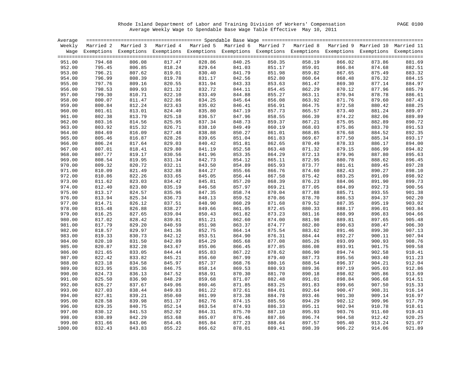Rhode Island Department of Labor and Training Division of Workers' Compensation PAGE 0100 Average Weekly Wage to Spendable Base Wage Table Effective May 10, 2011

| Average |        |                                                                                                                    |        |        |        |        |        |        |        |                  |
|---------|--------|--------------------------------------------------------------------------------------------------------------------|--------|--------|--------|--------|--------|--------|--------|------------------|
|         |        | Weekly Married 2 Married 3 Married 4 Married 5 Married 6 Married 7 Married 8 Married 9 Married 10 Married 11       |        |        |        |        |        |        |        |                  |
|         |        | Wage Exemptions Exemptions Exemptions Exemptions Exemptions Exemptions Exemptions Exemptions Exemptions Exemptions |        |        |        |        |        |        |        |                  |
|         |        |                                                                                                                    |        |        |        |        |        |        |        |                  |
| 951.00  | 794.68 | 806.08                                                                                                             | 817.47 | 828.86 | 840.25 | 850.35 | 858.19 | 866.02 | 873.86 | 881.69           |
| 952.00  | 795.45 | 806.85                                                                                                             | 818.24 | 829.64 | 841.03 | 851.17 | 859.01 | 866.84 | 874.68 | 882.51           |
| 953.00  | 796.21 | 807.62                                                                                                             | 819.01 | 830.40 | 841.79 | 851.98 | 859.82 | 867.65 | 875.49 | 883.32           |
| 954.00  | 796.99 | 808.39                                                                                                             | 819.78 | 831.17 | 842.56 | 852.80 | 860.64 | 868.48 | 876.32 | 884.15           |
| 955.00  | 797.76 | 809.16                                                                                                             | 820.55 | 831.94 | 843.33 | 853.63 | 861.47 | 869.30 | 877.14 | 884.97           |
| 956.00  | 798.53 | 809.93                                                                                                             | 821.32 | 832.72 | 844.11 | 854.45 | 862.29 | 870.12 | 877.96 | 885.79           |
| 957.00  | 799.30 | 810.71                                                                                                             | 822.10 | 833.49 | 844.88 | 855.27 | 863.11 | 870.94 | 878.78 | 886.61           |
| 958.00  | 800.07 | 811.47                                                                                                             | 822.86 | 834.25 | 845.64 | 856.08 | 863.92 | 871.76 | 879.60 | 887.43           |
| 959.00  | 800.84 | 812.24                                                                                                             | 823.63 | 835.02 | 846.41 | 856.91 | 864.75 | 872.58 | 880.42 | 888.25           |
| 960.00  | 801.61 | 813.01                                                                                                             | 824.40 | 835.80 | 847.19 | 857.73 | 865.57 | 873.40 | 881.24 | 889.07           |
| 961.00  | 802.38 | 813.79                                                                                                             | 825.18 | 836.57 | 847.96 | 858.55 | 866.39 | 874.22 | 882.06 | 889.89           |
| 962.00  | 803.16 | 814.56                                                                                                             | 825.95 | 837.34 | 848.73 | 859.37 | 867.21 | 875.05 | 882.89 | 890.72           |
| 963.00  | 803.92 | 815.32                                                                                                             | 826.71 | 838.10 | 849.49 | 860.19 | 868.03 | 875.86 | 883.70 | 891.53           |
| 964.00  | 804.69 | 816.09                                                                                                             | 827.48 | 838.88 | 850.27 | 861.01 | 868.85 | 876.68 | 884.52 | 892.35           |
| 965.00  | 805.46 | 816.87                                                                                                             | 828.26 | 839.65 | 851.04 | 861.83 | 869.67 | 877.50 | 885.34 | 893.17           |
| 966.00  | 806.24 | 817.64                                                                                                             | 829.03 | 840.42 | 851.81 | 862.65 | 870.49 | 878.33 | 886.17 | 894.00           |
| 967.00  | 807.01 | 818.41                                                                                                             | 829.80 | 841.19 | 852.58 | 863.48 | 871.32 | 879.15 | 886.99 | 894.82           |
| 968.00  | 807.77 | 819.17                                                                                                             | 830.56 | 841.96 | 853.35 | 864.29 | 872.13 | 879.96 | 887.80 | 895.63           |
| 969.00  | 808.54 | 819.95                                                                                                             | 831.34 | 842.73 | 854.12 | 865.11 | 872.95 | 880.78 | 888.62 | 896.45           |
| 970.00  | 809.32 | 820.72                                                                                                             | 832.11 | 843.50 | 854.89 | 865.93 | 873.77 | 881.61 | 889.45 | 897.28           |
| 971.00  | 810.09 | 821.49                                                                                                             | 832.88 | 844.27 | 855.66 | 866.76 | 874.60 | 882.43 | 890.27 | 898.10           |
| 972.00  | 810.86 | 822.26                                                                                                             | 833.65 | 845.05 | 856.44 | 867.58 | 875.42 | 883.25 | 891.09 | 898.92           |
| 973.00  | 811.62 | 823.03                                                                                                             | 834.42 | 845.81 | 857.20 | 868.39 | 876.23 | 884.06 | 891.90 | 899.73           |
| 974.00  | 812.40 | 823.80                                                                                                             | 835.19 | 846.58 | 857.97 | 869.21 | 877.05 | 884.89 | 892.73 | 900.56           |
| 975.00  | 813.17 | 824.57                                                                                                             | 835.96 | 847.35 | 858.74 | 870.04 | 877.88 | 885.71 | 893.55 | 901.38           |
|         | 813.94 |                                                                                                                    |        | 848.13 |        |        |        |        |        | 902.20           |
| 976.00  |        | 825.34                                                                                                             | 836.73 |        | 859.52 | 870.86 | 878.70 | 886.53 | 894.37 |                  |
| 977.00  | 814.71 | 826.12                                                                                                             | 837.51 | 848.90 | 860.29 | 871.68 | 879.52 | 887.35 | 895.19 | 903.02           |
| 978.00  | 815.48 | 826.88                                                                                                             | 838.27 | 849.66 | 861.05 | 872.45 | 880.33 | 888.17 | 896.01 | 903.84           |
| 979.00  | 816.25 | 827.65                                                                                                             | 839.04 | 850.43 | 861.82 | 873.23 | 881.16 | 888.99 | 896.83 | 904.66<br>905.48 |
| 980.00  | 817.02 | 828.42                                                                                                             | 839.81 | 851.21 | 862.60 | 874.00 | 881.98 | 889.81 | 897.65 |                  |
| 981.00  | 817.79 | 829.20                                                                                                             | 840.59 | 851.98 | 863.37 | 874.77 | 882.80 | 890.63 | 898.47 | 906.30           |
| 982.00  | 818.57 | 829.97                                                                                                             | 841.36 | 852.75 | 864.14 | 875.54 | 883.62 | 891.46 | 899.30 | 907.13           |
| 983.00  | 819.33 | 830.73                                                                                                             | 842.12 | 853.51 | 864.90 | 876.31 | 884.44 | 892.27 | 900.11 | 907.94           |
| 984.00  | 820.10 | 831.50                                                                                                             | 842.89 | 854.29 | 865.68 | 877.08 | 885.26 | 893.09 | 900.93 | 908.76           |
| 985.00  | 820.87 | 832.28                                                                                                             | 843.67 | 855.06 | 866.45 | 877.85 | 886.08 | 893.91 | 901.75 | 909.58           |
| 986.00  | 821.65 | 833.05                                                                                                             | 844.44 | 855.83 | 867.22 | 878.62 | 886.90 | 894.74 | 902.58 | 910.41           |
| 987.00  | 822.42 | 833.82                                                                                                             | 845.21 | 856.60 | 867.99 | 879.40 | 887.73 | 895.56 | 903.40 | 911.23           |
| 988.00  | 823.18 | 834.58                                                                                                             | 845.97 | 857.37 | 868.76 | 880.16 | 888.54 | 896.37 | 904.21 | 912.04           |
| 989.00  | 823.95 | 835.36                                                                                                             | 846.75 | 858.14 | 869.53 | 880.93 | 889.36 | 897.19 | 905.03 | 912.86           |
| 990.00  | 824.73 | 836.13                                                                                                             | 847.52 | 858.91 | 870.30 | 881.70 | 890.18 | 898.02 | 905.86 | 913.69           |
| 991.00  | 825.50 | 836.90                                                                                                             | 848.29 | 859.68 | 871.07 | 882.48 | 891.01 | 898.84 | 906.68 | 914.51           |
| 992.00  | 826.27 | 837.67                                                                                                             | 849.06 | 860.46 | 871.85 | 883.25 | 891.83 | 899.66 | 907.50 | 915.33           |
| 993.00  | 827.03 | 838.44                                                                                                             | 849.83 | 861.22 | 872.61 | 884.01 | 892.64 | 900.47 | 908.31 | 916.14           |
| 994.00  | 827.81 | 839.21                                                                                                             | 850.60 | 861.99 | 873.38 | 884.78 | 893.46 | 901.30 | 909.14 | 916.97           |
| 995.00  | 828.58 | 839.98                                                                                                             | 851.37 | 862.76 | 874.15 | 885.56 | 894.29 | 902.12 | 909.96 | 917.79           |
| 996.00  | 829.35 | 840.75                                                                                                             | 852.14 | 863.54 | 874.93 | 886.33 | 895.11 | 902.94 | 910.78 | 918.61           |
| 997.00  | 830.12 | 841.53                                                                                                             | 852.92 | 864.31 | 875.70 | 887.10 | 895.93 | 903.76 | 911.60 | 919.43           |
| 998.00  | 830.89 | 842.29                                                                                                             | 853.68 | 865.07 | 876.46 | 887.86 | 896.74 | 904.58 | 912.42 | 920.25           |
| 999.00  | 831.66 | 843.06                                                                                                             | 854.45 | 865.84 | 877.23 | 888.64 | 897.57 | 905.40 | 913.24 | 921.07           |
| 1000.00 | 832.43 | 843.83                                                                                                             | 855.22 | 866.62 | 878.01 | 889.41 | 898.39 | 906.22 | 914.06 | 921.89           |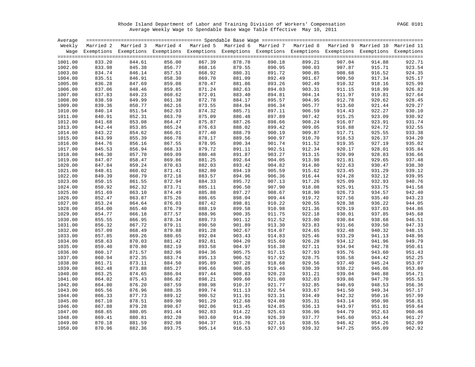Rhode Island Department of Labor and Training Division of Workers' Compensation PAGE 0101 Average Weekly Wage to Spendable Base Wage Table Effective May 10, 2011

| Average |        |                                                                                                                    |        |        |                                  |        |                  |                  |        |        |
|---------|--------|--------------------------------------------------------------------------------------------------------------------|--------|--------|----------------------------------|--------|------------------|------------------|--------|--------|
| Weekly  |        | Married 2 Married 3 Married 4 Married 5 Married 6 Married 7 Married 8 Married 9 Married 10 Married 11              |        |        |                                  |        |                  |                  |        |        |
|         |        | Wage Exemptions Exemptions Exemptions Exemptions Exemptions Exemptions Exemptions Exemptions Exemptions Exemptions |        |        |                                  |        |                  |                  |        |        |
|         |        |                                                                                                                    |        |        |                                  |        |                  |                  |        |        |
| 1001.00 | 833.20 | 844.61                                                                                                             | 856.00 | 867.39 | 878.78                           | 890.18 | 899.21           | 907.04           | 914.88 | 922.71 |
| 1002.00 | 833.98 | 845.38                                                                                                             | 856.77 | 868.16 | 879.55                           | 890.95 | 900.03           | 907.87           | 915.71 | 923.54 |
| 1003.00 | 834.74 | 846.14                                                                                                             | 857.53 | 868.92 | 880.31                           | 891.72 | 900.85           | 908.68           | 916.52 | 924.35 |
| 1004.00 | 835.51 | 846.91                                                                                                             | 858.30 | 869.70 | 881.09                           | 892.49 | 901.67           | 909.50           | 917.34 | 925.17 |
| 1005.00 | 836.28 | 847.69                                                                                                             | 859.08 | 870.47 | 881.86                           | 893.26 | 902.49           | 910.32           | 918.16 | 925.99 |
| 1006.00 | 837.06 | 848.46                                                                                                             | 859.85 | 871.24 | 882.63                           | 894.03 | 903.31           | 911.15           | 918.99 | 926.82 |
| 1007.00 | 837.83 | 849.23                                                                                                             | 860.62 | 872.01 | 883.40                           | 894.81 | 904.14           | 911.97           | 919.81 | 927.64 |
| 1008.00 | 838.59 | 849.99                                                                                                             | 861.38 | 872.78 | 884.17                           | 895.57 | 904.95           | 912.78           | 920.62 | 928.45 |
| 1009.00 | 839.36 | 850.77                                                                                                             | 862.16 | 873.55 | 884.94                           | 896.34 | 905.77           | 913.60           | 921.44 | 929.27 |
| 1010.00 | 840.14 | 851.54                                                                                                             | 862.93 | 874.32 | 885.71                           | 897.11 | 906.59           | 914.43           | 922.27 | 930.10 |
| 1011.00 | 840.91 | 852.31                                                                                                             | 863.70 | 875.09 | 886.48                           | 897.89 | 907.42           | 915.25           | 923.09 | 930.92 |
| 1012.00 | 841.68 | 853.08                                                                                                             | 864.47 | 875.87 | 887.26                           | 898.66 | 908.24           | 916.07           | 923.91 | 931.74 |
| 1013.00 | 842.44 | 853.85                                                                                                             | 865.24 | 876.63 | 888.02                           | 899.42 | 909.05           | 916.88           | 924.72 | 932.55 |
| 1014.00 | 843.22 | 854.62                                                                                                             | 866.01 | 877.40 | 888.79                           | 900.19 | 909.87           | 917.71           | 925.55 | 933.38 |
| 1015.00 | 843.99 | 855.39                                                                                                             | 866.78 | 878.17 | 889.56                           | 900.97 | 910.70           | 918.53           | 926.37 | 934.20 |
| 1016.00 | 844.76 | 856.16                                                                                                             | 867.55 | 878.95 | 890.34                           | 901.74 | 911.52           | 919.35           | 927.19 | 935.02 |
| 1017.00 | 845.53 | 856.94                                                                                                             | 868.33 | 879.72 | 891.11                           | 902.51 | 912.34           | 920.17           | 928.01 | 935.84 |
| 1018.00 | 846.30 | 857.70                                                                                                             | 869.09 | 880.48 | 891.87                           | 903.27 | 913.15           | 920.99           | 928.83 | 936.66 |
| 1019.00 | 847.07 | 858.47                                                                                                             | 869.86 | 881.25 | 892.64                           |        | 913.98           |                  | 929.65 |        |
|         | 847.84 |                                                                                                                    |        | 882.03 |                                  | 904.05 | 914.80           | 921.81<br>922.63 |        | 937.48 |
| 1020.00 |        | 859.24                                                                                                             | 870.63 |        | 893.42                           | 904.82 |                  |                  | 930.47 | 938.30 |
| 1021.00 | 848.61 | 860.02                                                                                                             | 871.41 | 882.80 | 894.19                           | 905.59 | 915.62           | 923.45           | 931.29 | 939.12 |
| 1022.00 | 849.39 | 860.79                                                                                                             | 872.18 | 883.57 | 894.96                           | 906.36 | 916.44           | 924.28           | 932.12 | 939.95 |
| 1023.00 | 850.15 | 861.55                                                                                                             | 872.94 | 884.33 | 895.72                           | 907.13 | 917.26           | 925.09           | 932.93 | 940.76 |
| 1024.00 | 850.92 | 862.32                                                                                                             | 873.71 | 885.11 | 896.50                           | 907.90 | 918.08           | 925.91           | 933.75 | 941.58 |
| 1025.00 | 851.69 | 863.10                                                                                                             | 874.49 | 885.88 | 897.27                           | 908.67 | 918.90           | 926.73           | 934.57 | 942.40 |
| 1026.00 | 852.47 | 863.87                                                                                                             | 875.26 | 886.65 | 898.04                           | 909.44 | 919.72           | 927.56           | 935.40 | 943.23 |
| 1027.00 | 853.24 | 864.64                                                                                                             | 876.03 | 887.42 | 898.81                           | 910.22 | 920.55           | 928.38           | 936.22 | 944.05 |
| 1028.00 | 854.00 | 865.40                                                                                                             | 876.79 | 888.19 | 899.58                           | 910.98 | 921.36           | 929.19           | 937.03 | 944.86 |
| 1029.00 | 854.77 | 866.18                                                                                                             | 877.57 | 888.96 | 900.35                           | 911.75 | 922.18           | 930.01           | 937.85 | 945.68 |
| 1030.00 | 855.55 | 866.95                                                                                                             | 878.34 | 889.73 | 901.12                           | 912.52 | 923.00           | 930.84           | 938.68 | 946.51 |
| 1031.00 | 856.32 | 867.72                                                                                                             | 879.11 | 890.50 | 901.89                           | 913.30 | 923.83           | 931.66           | 939.50 | 947.33 |
| 1032.00 | 857.09 | 868.49                                                                                                             | 879.88 | 891.28 | 902.67                           | 914.07 | 924.65           | 932.48           | 940.32 | 948.15 |
| 1033.00 | 857.85 | 869.26                                                                                                             | 880.65 | 892.04 | 903.43                           | 914.83 | 925.46           | 933.29           | 941.13 | 948.96 |
| 1034.00 | 858.63 | 870.03                                                                                                             | 881.42 | 892.81 | 904.20                           | 915.60 | 926.28           | 934.12           | 941.96 | 949.79 |
| 1035.00 | 859.40 | 870.80                                                                                                             | 882.19 | 893.58 | 904.97                           | 916.38 | 927.11           | 934.94           | 942.78 | 950.61 |
| 1036.00 | 860.17 | 871.57                                                                                                             | 882.96 | 894.36 | 905.75                           | 917.15 | 927.93           | 935.76           | 943.60 | 951.43 |
| 1037.00 | 860.94 | 872.35                                                                                                             | 883.74 | 895.13 | 906.52                           | 917.92 | 928.75           | 936.58           | 944.42 | 952.25 |
| 1038.00 | 861.71 | 873.11                                                                                                             | 884.50 | 895.89 | 907.28                           | 918.68 | 929.56           | 937.40           | 945.24 | 953.07 |
| 1039.00 | 862.48 | 873.88                                                                                                             | 885.27 | 896.66 | 908.05                           | 919.46 | 930.39           | 938.22           | 946.06 | 953.89 |
| 1040.00 | 863.25 | 874.65                                                                                                             | 886.04 | 897.44 | 908.83                           | 920.23 | 931.21           | 939.04           | 946.88 | 954.71 |
| 1041.00 | 864.02 | 875.43                                                                                                             | 886.82 | 898.21 | 909.60                           | 921.00 | 932.03           | 939.86           | 947.70 | 955.53 |
| 1042.00 | 864.80 | 876.20                                                                                                             | 887.59 | 898.98 | 910.37                           | 921.77 | 932.85           | 940.69           | 948.53 | 956.36 |
| 1043.00 | 865.56 | 876.96                                                                                                             | 888.35 | 899.74 | 911.13                           | 922.54 | 933.67           | 941.50           | 949.34 | 957.17 |
| 1044.00 | 866.33 | 877.73                                                                                                             | 889.12 | 900.52 | 911.91                           | 923.31 | 934.49           | 942.32           | 950.16 | 957.99 |
| 1045.00 | 867.10 | 878.51                                                                                                             | 889.90 | 901.29 | 912.68                           | 924.08 | 935.31           | 943.14           | 950.98 | 958.81 |
| 1046.00 | 867.88 | 879.28                                                                                                             | 890.67 | 902.06 | 913.45                           | 924.85 | 936.13           | 943.97           | 951.81 | 959.64 |
| 1047.00 | 868.65 | 880.05                                                                                                             | 891.44 | 902.83 | 914.22                           | 925.63 | 936.96           | 944.79           | 952.63 | 960.46 |
| 1048.00 | 869.41 | 880.81                                                                                                             | 892.20 | 903.60 |                                  | 926.39 |                  | 945.60           | 953.44 | 961.27 |
| 1049.00 | 870.18 | 881.59                                                                                                             | 892.98 | 904.37 | $914.99$<br>$915.76$<br>$916.53$ | 927.16 | 937.77<br>938.55 | 946.42           | 954.26 | 962.09 |
| 1050.00 | 870.96 | 882.36                                                                                                             | 893.75 | 905.14 |                                  | 927.93 | 939.32           | 947.25           | 955.09 | 962.92 |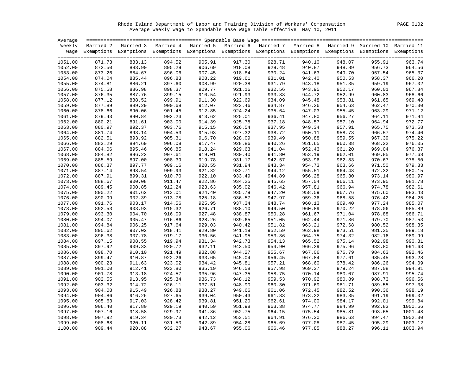Rhode Island Department of Labor and Training Division of Workers' Compensation PAGE 0102 Average Weekly Wage to Spendable Base Wage Table Effective May 10, 2011

|                    |                  | Weekly Married 2 Married 3 Married 4 Married 5 Married 6 Married 7 Married 8 Married 9 Married 10 Married 11       |                  |                  |                  |                  |                  |                  |                  |                   |
|--------------------|------------------|--------------------------------------------------------------------------------------------------------------------|------------------|------------------|------------------|------------------|------------------|------------------|------------------|-------------------|
|                    |                  | Wage Exemptions Exemptions Exemptions Exemptions Exemptions Exemptions Exemptions Exemptions Exemptions Exemptions |                  |                  |                  |                  |                  |                  |                  |                   |
|                    |                  |                                                                                                                    |                  |                  |                  |                  |                  |                  |                  |                   |
| 1051.00            | 871.73           | 883.13                                                                                                             | 894.52           | 905.91           | 917.30           | 928.71           | 940.10           | 948.07           | 955.91           | 963.74            |
| 1052.00            | 872.50           | 883.90                                                                                                             | 895.29           | 906.69           | 918.08           | 929.48           | 940.87           | 948.89           | 956.73           | 964.56            |
| 1053.00            | 873.26           | 884.67                                                                                                             | 896.06           | 907.45           | 918.84           | 930.24           | 941.63           | 949.70           | 957.54           | 965.37            |
| 1054.00            | 874.04           | 885.44                                                                                                             | 896.83           | 908.22           | 919.61           | 931.01           | 942.40           | 950.53           | 958.37           | 966.20            |
| 1055.00            | 874.81           | 886.21                                                                                                             | 897.60           | 908.99           | 920.38           | 931.79           | 943.18           | 951.35           | 959.19           | 967.02            |
| 1056.00            | 875.58           | 886.98                                                                                                             | 898.37           | 909.77           | 921.16           | 932.56           | 943.95           | 952.17           | 960.01           | 967.84            |
| 1057.00            | 876.35           | 887.76                                                                                                             | 899.15           | 910.54           | 921.93           | 933.33           | 944.72           | 952.99           | 960.83           | 968.66            |
| 1058.00            | 877.12           | 888.52                                                                                                             | 899.91           | 911.30           | 922.69           | 934.09           | 945.48           | 953.81           | 961.65           | 969.48            |
| 1059.00            | 877.89           | 889.29                                                                                                             | 900.68           | 912.07           | 923.46           | 934.87           | 946.26           | 954.63           | 962.47           | 970.30            |
| 1060.00            | 878.66           | 890.06                                                                                                             | 901.45           | 912.85           | 924.24           | 935.64           | 947.03           | 955.45           | 963.29           | 971.12            |
| 1061.00            | 879.43           | 890.84                                                                                                             | 902.23           | 913.62           | 925.01           | 936.41           | 947.80           | 956.27           | 964.11           | 971.94            |
| 1062.00            | 880.21           | 891.61                                                                                                             | 903.00           | 914.39           | 925.78           | 937.18           | 948.57           | 957.10           | 964.94           | 972.77            |
| 1063.00            | 880.97           | 892.37                                                                                                             | 903.76           | 915.15           | 926.54           | 937.95           | 949.34           | 957.91           | 965.75           | 973.58            |
| 1064.00            | 881.74           | 893.14                                                                                                             | 904.53           | 915.93           | 927.32           | 938.72           | 950.11           | 958.73           | 966.57           | 974.40            |
| 1065.00            | 882.51           | 893.92                                                                                                             | 905.31           | 916.70           | 928.09           | 939.49           | 950.88           | 959.55           | 967.39           | 975.22            |
| 1066.00            | 883.29           | 894.69                                                                                                             | 906.08           | 917.47           | 928.86           | 940.26           | 951.65           | 960.38           | 968.22           | 976.05            |
| 1067.00            | 884.06           | 895.46                                                                                                             | 906.85           | 918.24           | 929.63           | 941.04           | 952.43           | 961.20           | 969.04           | 976.87            |
| 1068.00            | 884.82           | 896.22                                                                                                             | 907.61           | 919.01           | 930.40           | 941.80           | 953.19           | 962.01           | 969.85           | 977.68            |
| 1069.00            | 885.59           | 897.00                                                                                                             | 908.39           | 919.78           | 931.17           | 942.57           | 953.96           | 962.83           | 970.67           | 978.50            |
| 1070.00            | 886.37           | 897.77                                                                                                             | 909.16           | 920.55           | 931.94           | 943.34           | 954.73           | 963.66           | 971.50           | 979.33            |
| 1071.00            | 887.14           | 898.54                                                                                                             | 909.93           | 921.32           | 932.71           | 944.12           | 955.51           | 964.48           | 972.32           | 980.15            |
| 1072.00            | 887.91           | 899.31                                                                                                             | 910.70           | 922.10           | 933.49           | 944.89           | 956.28           | 965.30           | 973.14           | 980.97            |
| 1073.00            | 888.67           | 900.08                                                                                                             | 911.47           | 922.86           | 934.25           | 945.65           | 957.04           | 966.11           | 973.95           | 981.78            |
| 1074.00            | 889.45           | 900.85                                                                                                             | 912.24           | 923.63           | 935.02           | 946.42           | 957.81           | 966.94           | 974.78           | 982.61            |
| 1075.00            | 890.22           | 901.62                                                                                                             | 913.01           | 924.40           | 935.79           | 947.20           | 958.59           | 967.76           | 975.60           | 983.43            |
| 1076.00            | 890.99           | 902.39                                                                                                             | 913.78           | 925.18           | 936.57           | 947.97           | 959.36           | 968.58           | 976.42           | 984.25            |
| 1077.00            | 891.76           | 903.17                                                                                                             | 914.56           | 925.95           | 937.34           | 948.74           | 960.13           | 969.40           | 977.24           | 985.07            |
| 1078.00            | 892.53           | 903.93                                                                                                             | 915.32           | 926.71           | 938.10           | 949.50           | 960.89           | 970.22           | 978.06           | 985.89            |
| 1079.00            | 893.30           | 904.70                                                                                                             | 916.09           | 927.48           | 938.87           | 950.28           | 961.67           | 971.04           | 978.88           | 986.71            |
| 1080.00            | 894.07           | 905.47                                                                                                             | 916.86           | 928.26           | 939.65           | 951.05           | 962.44           | 971.86           | 979.70           | 987.53            |
| 1081.00            | 894.84           | 906.25                                                                                                             | 917.64           | 929.03           | 940.42           | 951.82           | 963.21           | 972.68           | 980.52           | 988.35            |
| 1082.00            | 895.62           | 907.02                                                                                                             | 918.41           | 929.80           | 941.19           | 952.59           | 963.98           | 973.51           | 981.35           | 989.18            |
| 1083.00            | 896.38           | 907.78                                                                                                             | 919.17           | 930.56           | 941.95           | 953.36           | 964.75           | 974.32           | 982.16           | 989.99            |
| 1084.00            | 897.15           | 908.55                                                                                                             | 919.94           | 931.34           | 942.73           | 954.13           | 965.52           | 975.14           | 982.98           | 990.81            |
| 1085.00            | 897.92           | 909.33                                                                                                             | 920.72           | 932.11           | 943.50           | 954.90           | 966.29           | 975.96           | 983.80           | 991.63            |
| 1086.00            | 898.70           | 910.10                                                                                                             | 921.49           | 932.88           | 944.27           | 955.67           | 967.06           | 976.79           | 984.63           | 992.46            |
| 1087.00            | 899.47           | 910.87                                                                                                             | 922.26           | 933.65           | 945.04           | 956.45           | 967.84           | 977.61           | 985.45           | 993.28            |
| 1088.00            | 900.23           | 911.63                                                                                                             | 923.02           | 934.42           | 945.81           | 957.21           | 968.60           | 978.42           | 986.26           | 994.09            |
| 1089.00            | 901.00           | 912.41                                                                                                             | 923.80           | 935.19           | 946.58           | 957.98           | 969.37           | 979.24           | 987.08           | 994.91            |
| 1090.00            | 901.78           | 913.18                                                                                                             | 924.57           | 935.96           | 947.35           | 958.75           | 970.14           | 980.07           | 987.91           | 995.74            |
| 1091.00            | 902.55           | 913.95                                                                                                             | 925.34           | 936.73           | 948.12           | 959.53           | 970.92           | 980.89           | 988.73           | 996.56            |
| 1092.00            | 903.32           | 914.72                                                                                                             | 926.11           | 937.51           | 948.90           | 960.30           | 971.69           | 981.71           | 989.55           | 997.38            |
| 1093.00            | 904.08           | 915.49                                                                                                             | 926.88           | 938.27           | 949.66           | 961.06           | 972.45           | 982.52           | 990.36           | 998.19            |
| 1094.00            |                  | 916.26                                                                                                             | 927.65           | 939.04           | 950.43           | 961.83           | 973.22           | 983.35           |                  | 999.02            |
|                    | 904.86           |                                                                                                                    |                  |                  |                  |                  |                  |                  | 991.19           |                   |
| 1095.00            | 905.63           | 917.03<br>917.80                                                                                                   | 928.42<br>929.19 | 939.81<br>940.59 | 951.20<br>951.98 | 962.61           | 974.00<br>974.77 | 984.17<br>984.99 | 992.01           | 999.84<br>1000.66 |
| 1096.00<br>1097.00 | 906.40<br>907.16 | 918.58                                                                                                             | 929.97           | 941.36           | 952.75           | 963.38<br>964.15 | 975.54           | 985.81           | 992.83<br>993.65 | 1001.48           |
| 1098.00            | 907.92           | 919.34                                                                                                             | 930.73           | 942.12           | 953.51           | 964.91           | 976.30           | 986.63           | 994.47           | 1002.30           |
|                    | 908.68           |                                                                                                                    | 931.50           |                  |                  |                  |                  |                  |                  | 1003.12           |
| 1099.00            |                  | 920.11                                                                                                             |                  | 942.89           | 954.28           | 965.69           | 977.08           | 987.45           | 995.29           | 1003.94           |
| 1100.00            | 909.44           | 920.88                                                                                                             | 932.27           | 943.67           | 955.06           | 966.46           | 977.85           | 988.27           | 996.11           |                   |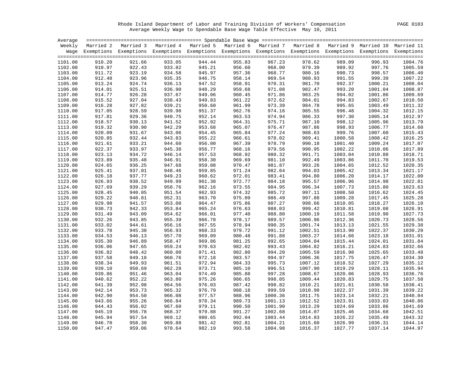Rhode Island Department of Labor and Training Division of Workers' Compensation PAGE 0103 Average Weekly Wage to Spendable Base Wage Table Effective May 10, 2011

| Average |        |                                                                                                                    |                                                          |        |        |                               |         |                                                          |         |                    |
|---------|--------|--------------------------------------------------------------------------------------------------------------------|----------------------------------------------------------|--------|--------|-------------------------------|---------|----------------------------------------------------------|---------|--------------------|
| Weekly  |        | Married 2 Married 3 Married 4 Married 5 Married 6 Married 7 Married 8 Married 9 Married 10 Married 11              |                                                          |        |        |                               |         |                                                          |         |                    |
|         |        | Wage Exemptions Exemptions Exemptions Exemptions Exemptions Exemptions Exemptions Exemptions Exemptions Exemptions |                                                          |        |        |                               |         |                                                          |         |                    |
|         |        |                                                                                                                    |                                                          |        |        |                               |         |                                                          |         |                    |
| 1101.00 | 910.20 | 921.66                                                                                                             | 933.05                                                   | 944.44 | 955.83 | 967.23                        | 978.62  | 989.09                                                   | 996.93  | 1004.76            |
| 1102.00 | 910.97 | 922.43                                                                                                             | 933.82                                                   | 945.21 | 956.60 | 968.00                        | 979.39  | 989.92                                                   | 997.76  | 1005.59            |
| 1103.00 | 911.72 | 923.19                                                                                                             | 934.58                                                   | 945.97 | 957.36 | 968.77                        | 980.16  | 990.73                                                   | 998.57  | 1006.40            |
| 1104.00 | 912.48 | 923.96                                                                                                             | 935.35                                                   | 946.75 | 958.14 | 969.54                        | 980.93  | 991.55                                                   | 999.39  | 1007.22            |
| 1105.00 | 913.24 | 924.74                                                                                                             | 936.13                                                   | 947.52 | 958.91 | 970.31                        | 981.70  | 992.37                                                   | 1000.21 | 1008.04            |
| 1106.00 | 914.01 | 925.51                                                                                                             | 936.90                                                   | 948.29 | 959.68 | 971.08                        | 982.47  | 993.20                                                   | 1001.04 | 1008.87            |
| 1107.00 | 914.77 | 926.28                                                                                                             | 937.67                                                   | 949.06 | 960.45 | 971.86                        | 983.25  | 994.02                                                   | 1001.86 | 1009.69            |
| 1108.00 | 915.52 | 927.04                                                                                                             | 938.43                                                   | 949.83 | 961.22 | 972.62                        | 984.01  | 994.83                                                   | 1002.67 | 1010.50            |
| 1109.00 | 916.28 | 927.82                                                                                                             | 939.21                                                   | 950.60 | 961.99 | 973.39                        | 984.78  | 995.65<br>996.48<br>997.30<br>998.12<br>998.93<br>999.76 | 1003.49 | 1011.32            |
| 1110.00 | 917.05 | 928.59                                                                                                             | 939.98                                                   | 951.37 | 962.76 | 974.16                        | 985.55  |                                                          | 1004.32 | 1012.15            |
| 1111.00 | 917.81 | 929.36                                                                                                             | 940.75                                                   | 952.14 | 963.53 | 974.94                        | 986.33  |                                                          | 1005.14 | 1012.97            |
| 1112.00 | 918.57 | 930.13                                                                                                             |                                                          | 952.92 | 964.31 | 975.71                        | 987.10  |                                                          | 1005.96 | 1013.79            |
| 1113.00 | 919.32 | 930.90                                                                                                             |                                                          | 953.68 | 965.07 | 976.47                        | 987.86  |                                                          | 1006.77 | 1014.60            |
| 1114.00 | 920.09 | 931.67                                                                                                             |                                                          | 954.45 | 965.84 | 977.24                        | 988.63  |                                                          | 1007.60 | 1015.43            |
| 1115.00 | 920.85 | 932.44                                                                                                             |                                                          | 955.22 | 966.61 | 978.02                        | 989.41  | 1000.58                                                  | 1008.42 | 1016.25            |
| 1116.00 | 921.61 | 933.21                                                                                                             | $941.52$<br>$942.29$<br>$943.06$<br>$943.83$<br>$944.60$ | 956.00 | 967.39 | 978.79                        | 990.18  | 1001.40                                                  | 1009.24 | 1017.07            |
| 1117.00 | 922.37 | 933.97                                                                                                             | 945.38                                                   | 956.77 | 968.16 | 979.56                        | 990.95  | 1002.22                                                  | 1010.06 | 1017.89            |
| 1118.00 | 923.13 | 934.72                                                                                                             | 946.14                                                   | 957.53 | 968.92 | 980.32                        | 991.71  | 1003.04                                                  | 1010.88 | 1018.71            |
| 1119.00 | 923.89 | 935.48                                                                                                             |                                                          | 958.30 | 969.69 |                               | 992.49  | 1003.86                                                  |         |                    |
|         |        |                                                                                                                    | 946.91                                                   | 959.08 | 970.47 | 981.10                        |         |                                                          | 1011.70 | 1019.53<br>1020.35 |
| 1120.00 | 924.65 | 936.25                                                                                                             | 947.68                                                   |        |        | 981.87                        | 993.26  | 1004.65                                                  | 1012.52 |                    |
| 1121.00 | 925.41 | 937.01                                                                                                             | 948.46                                                   | 959.85 | 971.24 | 982.64                        | 994.03  | 1005.42                                                  | 1013.34 | 1021.17            |
| 1122.00 | 926.18 | 937.77                                                                                                             | 949.23                                                   | 960.62 | 972.01 | 983.41                        | 994.80  | 1006.20                                                  | 1014.17 | 1022.00            |
| 1123.00 | 926.93 | 938.52                                                                                                             | 949.99                                                   | 961.38 | 972.77 | 984.18                        | 995.57  | 1006.96                                                  | 1014.98 | 1022.81            |
| 1124.00 | 927.69 | 939.29                                                                                                             | 950.76                                                   | 962.16 | 973.55 | 984.95                        | 996.34  | 1007.73                                                  | 1015.80 | 1023.63            |
| 1125.00 | 928.45 | 940.05                                                                                                             | 951.54                                                   | 962.93 | 974.32 | 985.72                        | 997.11  | 1008.50                                                  | 1016.62 | 1024.45            |
| 1126.00 | 929.22 | 940.81                                                                                                             | 952.31                                                   | 963.70 | 975.09 | 986.49                        | 997.88  | 1009.28                                                  | 1017.45 | 1025.28            |
| 1127.00 | 929.98 | 941.57                                                                                                             | 953.08                                                   | 964.47 | 975.86 | 987.27                        | 998.66  | 1010.05                                                  | 1018.27 | 1026.10            |
| 1128.00 | 930.73 | 942.33                                                                                                             | 953.84                                                   | 965.24 | 976.63 | 988.03                        | 999.42  | 1010.81                                                  | 1019.08 | 1026.91            |
| 1129.00 | 931.49 | 943.09                                                                                                             | 954.62                                                   | 966.01 | 977.40 | 988.80                        | 1000.19 | 1011.58                                                  | 1019.90 | 1027.73            |
| 1130.00 | 932.26 | 943.85                                                                                                             | 955.39                                                   | 966.78 | 978.17 | 989.57                        | 1000.96 | 1012.36                                                  | 1020.73 | 1028.56            |
| 1131.00 | 933.02 | 944.61                                                                                                             | 956.16                                                   | 967.55 | 978.94 | 990.35                        | 1001.74 | 1013.13                                                  | 1021.55 | 1029.38            |
| 1132.00 | 933.78 | 945.38                                                                                                             | 956.93                                                   | 968.33 | 979.72 | 991.12                        | 1002.51 | 1013.90                                                  | 1022.37 | 1030.20            |
| 1133.00 | 934.53 | 946.13                                                                                                             | 957.70                                                   | 969.09 | 980.48 | 991.88                        | 1003.27 | 1014.66                                                  | 1023.18 | 1031.01            |
| 1134.00 | 935.30 | 946.89                                                                                                             | 958.47                                                   | 969.86 | 981.25 | 992.65                        | 1004.04 | 1015.44                                                  | 1024.01 | 1031.84            |
| 1135.00 | 936.06 | 947.65                                                                                                             | 959.24                                                   | 970.63 | 982.02 | 993.43                        | 1004.82 | 1016.21                                                  | 1024.83 | 1032.66            |
| 1136.00 | 936.82 | 948.42                                                                                                             | 960.00                                                   | 971.41 | 982.80 | 994.20                        | 1005.59 | 1016.98                                                  | 1025.65 | 1033.48            |
| 1137.00 | 937.58 | 949.18                                                                                                             | 960.76                                                   | 972.18 | 983.57 | 994.97                        | 1006.36 | 1017.75                                                  | 1026.47 | 1034.30            |
| 1138.00 | 938.34 | 949.93                                                                                                             | 961.51                                                   | 972.94 | 984.33 | 995.73                        | 1007.12 | 1018.52                                                  | 1027.29 | 1035.12            |
| 1139.00 | 939.10 | 950.69                                                                                                             | 962.28                                                   | 973.71 | 985.10 | 996.51                        | 1007.90 | 1019.29                                                  | 1028.11 | 1035.94            |
| 1140.00 | 939.86 | 951.46                                                                                                             | 963.04                                                   | 974.49 | 985.88 | 997.28                        | 1008.67 | 1020.06                                                  | 1028.93 | 1036.76            |
| 1141.00 | 940.62 | 952.22                                                                                                             | 963.80                                                   | 975.26 | 986.65 | 998.05                        | 1009.44 | 1020.83                                                  | 1029.75 | 1037.58            |
| 1142.00 | 941.39 | 952.98                                                                                                             | 964.56                                                   | 976.03 | 987.42 | 998.82                        | 1010.21 | 1021.61                                                  | 1030.58 | 1038.41            |
| 1143.00 | 942.14 | 953.73                                                                                                             | 965.32                                                   | 976.79 | 988.18 | 999.59                        | 1010.98 | 1022.37                                                  | 1031.39 | 1039.22            |
| 1144.00 | 942.90 | 954.50                                                                                                             | 966.08                                                   | 977.57 | 988.96 | 1000.36                       | 1011.75 | 1023.14                                                  | 1032.21 | 1040.04            |
| 1145.00 | 943.66 | 955.26                                                                                                             | 966.84                                                   | 978.34 | 989.73 | 1001.13                       | 1012.52 | 1023.91                                                  | 1033.03 | 1040.86            |
| 1146.00 | 944.43 | 956.02                                                                                                             | 967.60                                                   | 979.11 | 990.50 | 1001.90                       | 1013.29 | 1024.69                                                  | 1033.86 | 1041.69            |
| 1147.00 | 945.19 | 956.78                                                                                                             | 968.37                                                   | 979.88 | 991.27 | 1002.68                       | 1014.07 | 1025.46                                                  | 1034.68 | 1042.51            |
| 1148.00 | 945.94 | 957.54                                                                                                             | 969.12                                                   | 980.65 | 992.04 |                               | 1014.83 | 1026.22                                                  | 1035.49 | 1043.32            |
| 1149.00 | 946.70 | 958.30                                                                                                             | 969.88                                                   | 981.42 | 992.81 | 1003.44<br>1004.21<br>1004.98 | 1015.60 | 1026.99                                                  | 1036.31 | 1044.14            |
| 1150.00 | 947.47 | 959.06                                                                                                             | 970.64                                                   | 982.19 | 993.58 | 1004.98                       | 1016.37 | 1027.77                                                  | 1037.14 | 1044.97            |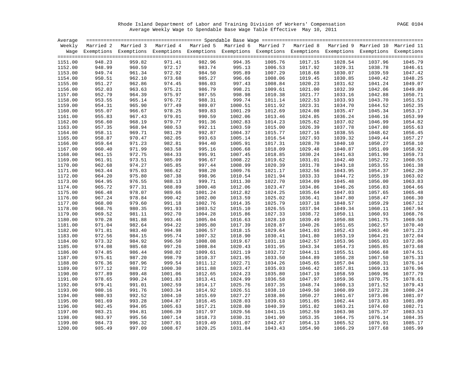Rhode Island Department of Labor and Training Division of Workers' Compensation PAGE 0104 Average Weekly Wage to Spendable Base Wage Table Effective May 10, 2011

|                    |                  | Weekly Married 2 Married 3 Married 4 Married 5 Married 6 Married 7 Married 8 Married 9 Married 10 Married 11       |         |                    |                    |                    |         |                    |                    |         |
|--------------------|------------------|--------------------------------------------------------------------------------------------------------------------|---------|--------------------|--------------------|--------------------|---------|--------------------|--------------------|---------|
|                    |                  | Wage Exemptions Exemptions Exemptions Exemptions Exemptions Exemptions Exemptions Exemptions Exemptions Exemptions |         |                    |                    |                    |         |                    |                    |         |
|                    |                  |                                                                                                                    |         |                    |                    |                    |         |                    |                    |         |
| 1151.00            | 948.23           | 959.82                                                                                                             | 971.41  | 982.96             | 994.35             | 1005.76            | 1017.15 | 1028.54            | 1037.96            | 1045.79 |
| 1152.00            | 948.99           | 960.59                                                                                                             | 972.17  | 983.74             | 995.13             | 1006.53            | 1017.92 | 1029.31            | 1038.78            | 1046.61 |
| 1153.00            | 949.74           | 961.34                                                                                                             | 972.92  | 984.50             | 995.89             | 1007.29            | 1018.68 | 1030.07            | 1039.59            | 1047.42 |
| 1154.00            | 950.51           | 962.10                                                                                                             | 973.68  | 985.27             | 996.66             | 1008.06            | 1019.45 | 1030.85            | 1040.42            | 1048.25 |
| 1155.00            | 951.27           | 962.86                                                                                                             | 974.45  | 986.03             | 997.43             | 1008.84            | 1020.23 | 1031.62            | 1041.24            | 1049.07 |
| 1156.00            | 952.03           | 963.63                                                                                                             | 975.21  | 986.79             | 998.21             | 1009.61            | 1021.00 | 1032.39            | 1042.06            | 1049.89 |
| 1157.00            | 952.79           | 964.39                                                                                                             | 975.97  | 987.55             | 998.98             | 1010.38            | 1021.77 | 1033.16            | 1042.88            | 1050.71 |
| 1158.00            | 953.55           | 965.14                                                                                                             | 976.72  | 988.31             | 999.74             | 1011.14            | 1022.53 | 1033.93            | 1043.70            | 1051.53 |
| 1159.00            | 954.31           | 965.90                                                                                                             | 977.49  | 989.07             | 1000.51            | 1011.92            | 1023.31 | 1034.70            | 1044.52            | 1052.35 |
| 1160.00            | 955.07           | 966.67                                                                                                             | 978.25  | 989.83             | 1001.29            | 1012.69            | 1024.08 | 1035.47            | 1045.34            | 1053.17 |
| 1161.00            | 955.83           | 967.43                                                                                                             | 979.01  | 990.59             | 1002.06            | 1013.46            | 1024.85 | 1036.24            | 1046.16            | 1053.99 |
| 1162.00            | 956.60           | 968.19                                                                                                             | 979.77  | 991.36             | 1002.83            | 1014.23            | 1025.62 | 1037.02            | 1046.99            | 1054.82 |
| 1163.00            | 957.35           | 968.94                                                                                                             | 980.53  | 992.11             | 1003.59            | 1015.00            | 1026.39 | 1037.78            | 1047.80            | 1055.63 |
| 1164.00            | 958.11           | 969.71                                                                                                             | 981.29  | 992.87             | 1004.37            | 1015.77            | 1027.16 | 1038.55            | 1048.62            | 1056.45 |
| 1165.00            | 958.87           | 970.47                                                                                                             | 982.05  | 993.63             | 1005.14            | 1016.54            | 1027.93 | 1039.32            | 1049.44            | 1057.27 |
| 1166.00            | 959.64           | 971.23                                                                                                             | 982.81  | 994.40             | 1005.91            | 1017.31            | 1028.70 | 1040.10            | 1050.27            | 1058.10 |
| 1167.00            | 960.40           | 971.99                                                                                                             | 983.58  | 995.16             | 1006.68            | 1018.09            | 1029.48 | 1040.87            | 1051.09            | 1058.92 |
| 1168.00            | 961.15           | 972.75                                                                                                             | 984.33  | 995.91             | 1007.45            | 1018.85            | 1030.24 | 1041.63            | 1051.90            | 1059.73 |
| 1169.00            | 961.91           | 973.51                                                                                                             | 985.09  | 996.67             | 1008.22            | 1019.62            | 1031.01 | 1042.40            | 1052.72            | 1060.55 |
| 1170.00            | 962.68           | 974.27                                                                                                             | 985.85  | 997.44             | 1008.99            | 1020.39            | 1031.78 | 1043.18            | 1053.55            | 1061.38 |
| 1171.00            | 963.44           | 975.03                                                                                                             | 986.62  | 998.20             | 1009.76            | 1021.17            | 1032.56 | 1043.95            | 1054.37            | 1062.20 |
| 1172.00            | 964.20           | 975.80                                                                                                             | 987.38  | 998.96             | 1010.54            | 1021.94            | 1033.33 | 1044.72            | 1055.19            | 1063.02 |
| 1173.00            | 964.95           | 976.55                                                                                                             | 988.13  | 999.71             | 1011.30            | 1022.70            | 1034.09 | 1045.48            | 1056.00            | 1063.83 |
| 1174.00            | 965.72           | 977.31                                                                                                             | 988.89  | 1000.48            | 1012.06            | 1023.47            | 1034.86 | 1046.26            | 1056.83            | 1064.66 |
| 1175.00            | 966.48           | 978.07                                                                                                             | 989.66  | 1001.24            | 1012.82            | 1024.25            | 1035.64 | 1047.03            | 1057.65            | 1065.48 |
| 1176.00            | 967.24           | 978.84                                                                                                             | 990.42  | 1002.00            | 1013.59            | 1025.02            | 1036.41 | 1047.80            | 1058.47            | 1066.30 |
| 1177.00            | 968.00           | 979.60                                                                                                             | 991.18  | 1002.76            | 1014.35            | 1025.79            | 1037.18 | 1048.57            | 1059.29            | 1067.12 |
|                    |                  |                                                                                                                    | 991.93  |                    |                    |                    | 1037.94 |                    |                    | 1067.94 |
| 1178.00<br>1179.00 | 968.76<br>969.52 | 980.35<br>981.11                                                                                                   | 992.70  | 1003.52<br>1004.28 | 1015.10<br>1015.86 | 1026.55<br>1027.33 | 1038.72 | 1049.34<br>1050.11 | 1060.11<br>1060.93 | 1068.76 |
| 1180.00            | 970.28           | 981.88                                                                                                             | 993.46  | 1005.04            | 1016.63            | 1028.10            | 1039.49 | 1050.88            | 1061.75            | 1069.58 |
| 1181.00            | 971.04           | 982.64                                                                                                             | 994.22  | 1005.80            | 1017.39            | 1028.87            | 1040.26 | 1051.65            | 1062.57            | 1070.40 |
|                    |                  |                                                                                                                    |         |                    |                    |                    |         |                    |                    |         |
| 1182.00            | 971.81           | 983.40                                                                                                             | 994.98  | 1006.57            | 1018.15            | 1029.64            | 1041.03 | 1052.43            | 1063.40            | 1071.23 |
| 1183.00            | 972.56           | 984.15                                                                                                             | 995.74  | 1007.32            | 1018.90            | 1030.41            | 1041.80 | 1053.19            | 1064.21            | 1072.04 |
| 1184.00            | 973.32           | 984.92                                                                                                             | 996.50  | 1008.08            | 1019.67            | 1031.18            | 1042.57 | 1053.96            | 1065.03            | 1072.86 |
| 1185.00            | 974.08           | 985.68                                                                                                             | 997.26  | 1008.84            | 1020.43            | 1031.95            | 1043.34 | 1054.73            | 1065.85            | 1073.68 |
| 1186.00            | 974.85           | 986.44                                                                                                             | 998.02  | 1009.61            | 1021.19            | 1032.72            | 1044.11 | 1055.51            | 1066.68            | 1074.51 |
| 1187.00            | 975.61           | 987.20                                                                                                             | 998.79  | 1010.37            | 1021.95            | 1033.50            | 1044.89 | 1056.28            | 1067.50            | 1075.33 |
| 1188.00            | 976.36           | 987.96                                                                                                             | 999.54  | 1011.12            | 1022.71            | 1034.26            | 1045.65 | 1057.04            | 1068.31            | 1076.14 |
| 1189.00            | 977.12           | 988.72                                                                                                             | 1000.30 | 1011.88            | 1023.47            | 1035.03            | 1046.42 | 1057.81            | 1069.13            | 1076.96 |
| 1190.00            | 977.89           | 989.48                                                                                                             | 1001.06 | 1012.65            | 1024.23            | 1035.80            | 1047.19 | 1058.59            | 1069.96            | 1077.79 |
| 1191.00            | 978.65           | 990.24                                                                                                             | 1001.83 | 1013.41            | 1024.99            | 1036.58            | 1047.97 | 1059.36            | 1070.75            | 1078.61 |
| 1192.00            | 979.41           | 991.01                                                                                                             | 1002.59 | 1014.17            | 1025.76            | 1037.35            | 1048.74 | 1060.13            | 1071.52            | 1079.43 |
| 1193.00            | 980.16           | 991.76                                                                                                             | 1003.34 | 1014.92            | 1026.51            | 1038.10            | 1049.50 | 1060.89            | 1072.28            | 1080.24 |
| 1194.00            | 980.93           | 992.52                                                                                                             | 1004.10 | 1015.69            | 1027.27            | 1038.86            | 1050.27 | 1061.67            | 1073.06            | 1081.07 |
| 1195.00            | 981.69           | 993.28                                                                                                             | 1004.87 | 1016.45            | 1028.03            | 1039.63            | 1051.05 | 1062.44            | 1073.83            | 1081.89 |
| 1196.00            | 982.45           | 994.05                                                                                                             | 1005.63 | 1017.21            | 1028.80            | 1040.39            | 1051.82 | 1063.21            | 1074.60            | 1082.71 |
| 1197.00            | 983.21           | 994.81                                                                                                             | 1006.39 | 1017.97            | 1029.56            | 1041.15            | 1052.59 | 1063.98            | 1075.37            | 1083.53 |
| 1198.00            | 983.97           | 995.56                                                                                                             | 1007.14 | 1018.73            | 1030.31            | 1041.90            | 1053.35 | 1064.75            | 1076.14            | 1084.35 |
| 1199.00            | 984.73           | 996.32                                                                                                             | 1007.91 | 1019.49            | 1031.07            | 1042.67            | 1054.13 | 1065.52            | 1076.91            | 1085.17 |
| 1200.00            | 985.49           | 997.09                                                                                                             | 1008.67 | 1020.25            | 1031.84            | 1043.43            | 1054.90 | 1066.29            | 1077.68            | 1085.99 |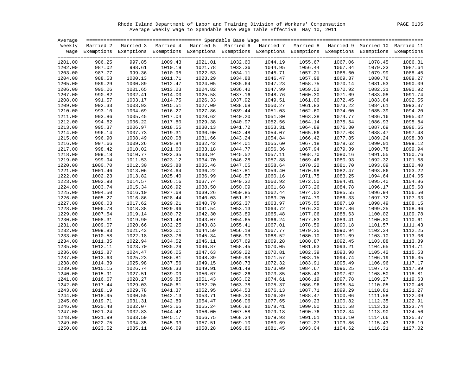Rhode Island Department of Labor and Training Division of Workers' Compensation PAGE 0105 Average Weekly Wage to Spendable Base Wage Table Effective May 10, 2011

| Average            |                    |                                                                                                                    |                    |         |                    |                    |                    |                    |                    |         |
|--------------------|--------------------|--------------------------------------------------------------------------------------------------------------------|--------------------|---------|--------------------|--------------------|--------------------|--------------------|--------------------|---------|
|                    |                    | Weekly Married 2 Married 3 Married 4 Married 5 Married 6 Married 7 Married 8 Married 9 Married 10 Married 11       |                    |         |                    |                    |                    |                    |                    |         |
|                    |                    | Wage Exemptions Exemptions Exemptions Exemptions Exemptions Exemptions Exemptions Exemptions Exemptions Exemptions |                    |         |                    |                    |                    |                    |                    |         |
|                    |                    |                                                                                                                    |                    |         |                    |                    |                    |                    |                    |         |
| 1201.00            | 986.25             | 997.85                                                                                                             | 1009.43            | 1021.01 | 1032.60            | 1044.19            | 1055.67            | 1067.06            | 1078.45            | 1086.81 |
| 1202.00            | 987.02             | 998.61                                                                                                             | 1010.19            | 1021.78 | 1033.36            | 1044.95            | 1056.44            | 1067.84            | 1079.23            | 1087.64 |
| 1203.00            | 987.77             | 999.36                                                                                                             | 1010.95            | 1022.53 | 1034.11            | 1045.71            | 1057.21            | 1068.60            | 1079.99            | 1088.45 |
| 1204.00            | 988.53             | 1000.13                                                                                                            | 1011.71            | 1023.29 | 1034.88            | 1046.47            | 1057.98            | 1069.37            | 1080.76            | 1089.27 |
| 1205.00            | 989.29             | 1000.89                                                                                                            | 1012.47            | 1024.05 | 1035.64            | 1047.23            | 1058.75            | 1070.14            | 1081.53            | 1090.09 |
| 1206.00            | 990.06             | 1001.65                                                                                                            | 1013.23            | 1024.82 | 1036.40            | 1047.99            | 1059.52            | 1070.92            | 1082.31            | 1090.92 |
| 1207.00            | 990.82             | 1002.41                                                                                                            | 1014.00            | 1025.58 | 1037.16            | 1048.76            | 1060.30            | 1071.69            | 1083.08            | 1091.74 |
| 1208.00            | 991.57             | 1003.17                                                                                                            | 1014.75            | 1026.33 | 1037.92            | 1049.51            | 1061.06            | 1072.45            | 1083.84            | 1092.55 |
| 1209.00            | 992.33             | 1003.93                                                                                                            | 1015.51            | 1027.09 | 1038.68            | 1050.27            | 1061.83            | 1073.22            | 1084.61            | 1093.37 |
| 1210.00            | 993.10             | 1004.69                                                                                                            | 1016.27            | 1027.86 | 1039.44            | 1051.03            | 1062.60            | 1074.00            | 1085.39            | 1094.20 |
| 1211.00            | 993.86             | 1005.45                                                                                                            | 1017.04            | 1028.62 | 1040.20            | 1051.80            | 1063.38            | 1074.77            | 1086.16            | 1095.02 |
| 1212.00            | 994.62             | 1006.22                                                                                                            | 1017.80            | 1029.38 | 1040.97            | 1052.56            | 1064.14            | 1075.54            | 1086.93            | 1095.84 |
| 1213.00            | 995.37             | 1006.97                                                                                                            | 1018.55            | 1030.13 | 1041.72            | 1053.31            | 1064.89            | 1076.30            | 1087.69            | 1096.65 |
| 1214.00            | 996.14             | 1007.73                                                                                                            | 1019.31            | 1030.90 | 1042.48            | 1054.07            | 1065.66            | 1077.08            | 1088.47            | 1097.48 |
| 1215.00            | 996.90             | 1008.49                                                                                                            | 1020.08            | 1031.66 | 1043.24            | 1054.84            | 1066.42            | 1077.85            | 1089.24            | 1098.30 |
| 1216.00            | 997.66             | 1009.26                                                                                                            | 1020.84            | 1032.42 | 1044.01            | 1055.60            | 1067.18            | 1078.62            | 1090.01            | 1099.12 |
| 1217.00            | 998.42             | 1010.02                                                                                                            | 1021.60            | 1033.18 | 1044.77            | 1056.36            | 1067.94            | 1079.39            | 1090.78            | 1099.94 |
| 1218.00            | 999.18             | 1010.77                                                                                                            | 1022.35            | 1033.94 | 1045.52            | 1057.11            | 1068.70            | 1080.16            | 1091.55            | 1100.76 |
| 1219.00            | 999.94             | 1011.53                                                                                                            | 1023.12            | 1034.70 | 1046.28            | 1057.88            | 1069.46            | 1080.93            | 1092.32            | 1101.58 |
| 1220.00            | 1000.70            | 1012.30                                                                                                            | 1023.88            | 1035.46 | 1047.05            | 1058.64            | 1070.22            | 1081.70            | 1093.09            | 1102.40 |
| 1221.00            | 1001.46            | 1013.06                                                                                                            | 1024.64            | 1036.22 | 1047.81            | 1059.40            | 1070.98            | 1082.47            | 1093.86            | 1103.22 |
| 1222.00            | 1002.23            | 1013.82                                                                                                            | 1025.40            | 1036.99 | 1048.57            | 1060.16            | 1071.75            | 1083.25            | 1094.64            | 1104.05 |
| 1223.00            | 1002.98            | 1014.57                                                                                                            | 1026.16            | 1037.74 | 1049.32            | 1060.92            | 1072.50            | 1084.01            | 1095.40            | 1104.86 |
| 1224.00            | 1003.74            | 1015.34                                                                                                            | 1026.92            | 1038.50 | 1050.09            | 1061.68            | 1073.26            | 1084.78            | 1096.17            | 1105.68 |
| 1225.00            | 1004.50            | 1016.10                                                                                                            | 1027.68            | 1039.26 | 1050.85            | 1062.44            | 1074.02            | 1085.55            | 1096.94            | 1106.50 |
| 1226.00            | 1005.27            | 1016.86                                                                                                            | 1028.44            | 1040.03 | 1051.61            | 1063.20            | 1074.79            | 1086.33            |                    | 1107.33 |
| 1227.00            | 1006.03            | 1017.62                                                                                                            | 1029.21            | 1040.79 | 1052.37            | 1063.97            | 1075.55            | 1087.10            | 1097.72<br>1098.49 | 1108.15 |
|                    |                    | 1018.38                                                                                                            |                    | 1041.54 |                    |                    |                    |                    |                    | 1108.96 |
| 1228.00<br>1229.00 | 1006.78<br>1007.54 | 1019.14                                                                                                            | 1029.96<br>1030.72 | 1042.30 | 1053.13<br>1053.89 | 1064.72<br>1065.48 | 1076.30<br>1077.06 | 1087.86<br>1088.63 | 1099.25<br>1100.02 | 1109.78 |
| 1230.00            | 1008.31            | 1019.90                                                                                                            |                    | 1043.07 |                    |                    |                    |                    |                    | 1110.61 |
|                    |                    |                                                                                                                    | 1031.48            |         | 1054.65            | 1066.24            | 1077.83            | 1089.41            | 1100.80            |         |
| 1231.00            | 1009.07            | 1020.66                                                                                                            | 1032.25            | 1043.83 | 1055.41            | 1067.01            | 1078.59            | 1090.18            | 1101.57            | 1111.43 |
| 1232.00            | 1009.83            | 1021.43                                                                                                            | 1033.01            | 1044.59 | 1056.18            | 1067.77            | 1079.35            | 1090.94            | 1102.34            | 1112.25 |
| 1233.00            | 1010.58            | 1022.18                                                                                                            | 1033.76            | 1045.34 | 1056.93            | 1068.52            | 1080.10            | 1091.69            | 1103.10            | 1113.06 |
| 1234.00            | 1011.35            | 1022.94                                                                                                            | 1034.52            | 1046.11 | 1057.69            | 1069.28            | 1080.87            | 1092.45            | 1103.88            | 1113.89 |
| 1235.00            | 1012.11            | 1023.70                                                                                                            | 1035.29            | 1046.87 | 1058.45            | 1070.05            | 1081.63            | 1093.21            | 1104.65            | 1114.71 |
| 1236.00            | 1012.87            | 1024.47                                                                                                            | 1036.05            | 1047.63 | 1059.22            | 1070.81            | 1082.39            | 1093.98            | 1105.42            | 1115.53 |
| 1237.00            | 1013.63            | 1025.23                                                                                                            | 1036.81            | 1048.39 | 1059.98            | 1071.57            | 1083.15            | 1094.74            | 1106.19            | 1116.35 |
| 1238.00            | 1014.39            | 1025.98                                                                                                            | 1037.56            | 1049.15 | 1060.73            | 1072.32            | 1083.91            | 1095.49            | 1106.96            | 1117.17 |
| 1239.00            | 1015.15            | 1026.74                                                                                                            | 1038.33            | 1049.91 | 1061.49            | 1073.09            | 1084.67            | 1096.25            | 1107.73            | 1117.99 |
| 1240.00            | 1015.91            | 1027.51                                                                                                            | 1039.09            | 1050.67 | 1062.26            | 1073.85            | 1085.43            | 1097.02            | 1108.50            | 1118.81 |
| 1241.00            | 1016.67            | 1028.27                                                                                                            | 1039.85            | 1051.43 | 1063.02            | 1074.61            | 1086.19            | 1097.78            | 1109.27            | 1119.63 |
| 1242.00            | 1017.44            | 1029.03                                                                                                            | 1040.61            | 1052.20 | 1063.78            | 1075.37            | 1086.96            | 1098.54            | 1110.05            | 1120.46 |
| 1243.00            | 1018.19            | 1029.78                                                                                                            | 1041.37            | 1052.95 | 1064.53            | 1076.13            | 1087.71            | 1099.29            | 1110.81            | 1121.27 |
| 1244.00            | 1018.95            | 1030.55                                                                                                            | 1042.13            | 1053.71 | 1065.30            | 1076.89            | 1088.47            | 1100.06            | 1111.58            | 1122.09 |
| 1245.00            | 1019.71            | 1031.31                                                                                                            | 1042.89            | 1054.47 | 1066.06            | 1077.65            | 1089.23            | 1100.82            | 1112.35            | 1122.91 |
| 1246.00            | 1020.48            | 1032.07                                                                                                            | 1043.65            | 1055.24 | 1066.82            | 1078.41            | 1090.00            | 1101.58            | 1113.13            | 1123.74 |
| 1247.00            | 1021.24            | 1032.83                                                                                                            | 1044.42            | 1056.00 | 1067.58            | 1079.18            | 1090.76            | 1102.34            | 1113.90            | 1124.56 |
| 1248.00            | 1021.99            | 1033.59                                                                                                            | 1045.17            | 1056.75 | 1068.34            | 1079.93            | 1091.51            | 1103.10            | 1114.66            | 1125.37 |
| 1249.00            | 1022.75            | 1034.35                                                                                                            | 1045.93            | 1057.51 | 1069.10            | 1080.69            | 1092.27            | 1103.86            | 1115.43            | 1126.19 |
| 1250.00            | 1023.52            | 1035.11                                                                                                            | 1046.69            | 1058.28 | 1069.86            | 1081.45            | 1093.04            | 1104.62            | 1116.21            | 1127.02 |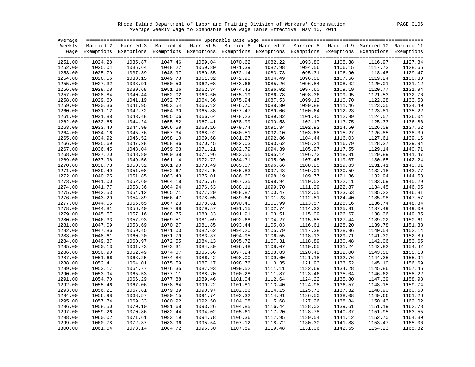Rhode Island Department of Labor and Training Division of Workers' Compensation PAGE 0106 Average Weekly Wage to Spendable Base Wage Table Effective May 10, 2011

| Weekly Married 2 Married 3 Married 4 Married 5 Married 6 Married 7 Married 8 Married 9 Married 10 Married 11<br>Wage Exemptions Exemptions Exemptions Exemptions Exemptions Exemptions Exemptions Exemptions Exemptions Exemptions<br>1035.87<br>1047.46<br>1059.04<br>1070.62<br>1082.22<br>1093.80<br>1251.00<br>1024.28<br>1105.38<br>1116.97<br>1127.84<br>1252.00<br>1025.04<br>1036.64<br>1048.22<br>1059.80<br>1071.39<br>1094.56<br>1106.15<br>1128.66<br>1082.98<br>1117.73<br>1253.00<br>1025.79<br>1037.39<br>1048.97<br>1060.55<br>1072.14<br>1095.31<br>1106.90<br>1118.48<br>1129.47<br>1083.73<br>1072.90<br>1254.00<br>1026.56<br>1038.15<br>1049.73<br>1061.32<br>1084.49<br>1096.08<br>1107.66<br>1119.24<br>1130.30<br>1038.91<br>1062.08<br>1073.66<br>1108.42<br>1131.12<br>1255.00<br>1027.32<br>1050.50<br>1085.26<br>1096.84<br>1120.01<br>1097.60<br>1131.94<br>1256.00<br>1028.08<br>1039.68<br>1051.26<br>1062.84<br>1074.43<br>1086.02<br>1109.19<br>1120.77<br>1132.76<br>1257.00<br>1028.84<br>1040.44<br>1052.02<br>1063.60<br>1075.19<br>1086.78<br>1098.36<br>1109.95<br>1121.53<br>1133.58<br>1258.00<br>1029.60<br>1041.19<br>1052.77<br>1064.36<br>1075.94<br>1087.53<br>1099.12<br>1110.70<br>1122.28<br>1259.00<br>1030.36<br>1041.95<br>1053.54<br>1065.12<br>1076.70<br>1088.30<br>1099.88<br>1111.46<br>1123.05<br>1134.40<br>1135.22<br>1260.00<br>1031.12<br>1042.72<br>1054.30<br>1065.88<br>1077.47<br>1089.06<br>1100.64<br>1112.23<br>1123.81<br>1136.04<br>1261.00<br>1031.88<br>1043.48<br>1055.06<br>1066.64<br>1078.23<br>1089.82<br>1101.40<br>1112.99<br>1124.57<br>1044.24<br>1102.17<br>1136.86<br>1262.00<br>1032.65<br>1055.82<br>1067.41<br>1078.99<br>1090.58<br>1113.75<br>1125.33<br>1137.62<br>1033.40<br>1044.99<br>1056.58<br>1068.16<br>1079.74<br>1091.34<br>1102.92<br>1114.50<br>1263.00<br>1126.09<br>1138.39<br>1103.68<br>1264.00<br>1034.16<br>1045.76<br>1057.34<br>1068.92<br>1080.51<br>1092.10<br>1115.27<br>1126.85<br>1046.52<br>1092.86<br>1104.44<br>1139.16<br>1265.00<br>1034.92<br>1058.10<br>1069.68<br>1081.27<br>1116.03<br>1127.61<br>1047.28<br>1105.21<br>1128.37<br>1139.94<br>1266.00<br>1035.69<br>1058.86<br>1070.45<br>1082.03<br>1093.62<br>1116.79<br>1048.04<br>1071.21<br>1082.79<br>1105.97<br>1140.71<br>1267.00<br>1036.45<br>1059.63<br>1094.39<br>1117.55<br>1129.14<br>1141.47<br>1268.00<br>1037.20<br>1048.80<br>1060.38<br>1071.96<br>1083.55<br>1095.14<br>1106.72<br>1118.31<br>1129.89<br>1037.96<br>1049.56<br>1072.72<br>1084.31<br>1095.90<br>1107.48<br>1142.24<br>1269.00<br>1061.14<br>1119.07<br>1130.65<br>1270.00<br>1038.73<br>1050.32<br>1061.90<br>1073.49<br>1085.07<br>1096.66<br>1108.25<br>1119.83<br>1131.41<br>1143.01<br>1271.00<br>1039.49<br>1051.08<br>1062.67<br>1074.25<br>1085.83<br>1097.43<br>1109.01<br>1120.59<br>1132.18<br>1143.77<br>1051.85<br>1075.01<br>1098.19<br>1109.77<br>1132.94<br>1144.53<br>1272.00<br>1040.25<br>1063.43<br>1086.60<br>1121.36<br>1145.29<br>1041.00<br>1052.60<br>1075.76<br>1087.35<br>1098.94<br>1110.52<br>1273.00<br>1064.18<br>1122.11<br>1133.69<br>1146.05<br>1274.00<br>1041.77<br>1053.36<br>1076.53<br>1088.11<br>1111.29<br>1122.87<br>1134.45<br>1064.94<br>1099.70<br>1146.81<br>1275.00<br>1042.53<br>1054.12<br>1065.71<br>1077.29<br>1088.87<br>1100.47<br>1112.05<br>1123.63<br>1135.22<br>1054.89<br>1147.57<br>1276.00<br>1043.29<br>1066.47<br>1078.05<br>1089.64<br>1101.23<br>1112.81<br>1124.40<br>1135.98<br>1148.34<br>1277.00<br>1044.05<br>1055.65<br>1067.23<br>1078.81<br>1090.40<br>1101.99<br>1113.57<br>1125.16<br>1136.74<br>1149.09<br>1278.00<br>1044.81<br>1056.40<br>1067.98<br>1079.57<br>1091.15<br>1102.74<br>1114.33<br>1125.91<br>1137.49<br>1115.09<br>1149.85<br>1279.00<br>1045.57<br>1057.16<br>1068.75<br>1080.33<br>1091.91<br>1103.51<br>1126.67<br>1138.26<br>1150.61<br>1280.00<br>1046.33<br>1057.93<br>1069.51<br>1081.09<br>1092.68<br>1104.27<br>1115.85<br>1127.44<br>1139.02<br>1058.69<br>1093.44<br>1151.38<br>1281.00<br>1047.09<br>1070.27<br>1081.85<br>1105.03<br>1116.61<br>1128.20<br>1139.78<br>1059.45<br>1094.20<br>1105.79<br>1152.14<br>1282.00<br>1047.86<br>1071.03<br>1082.62<br>1117.38<br>1128.96<br>1140.54<br>1152.89<br>1048.61<br>1060.20<br>1071.79<br>1083.37<br>1094.95<br>1106.55<br>1118.13<br>1141.30<br>1283.00<br>1129.71<br>1060.97<br>1072.55<br>1084.13<br>1095.72<br>1118.89<br>1142.06<br>1153.65<br>1284.00<br>1049.37<br>1107.31<br>1130.48<br>1084.89<br>1154.42<br>1285.00<br>1050.13<br>1061.73<br>1073.31<br>1096.48<br>1108.07<br>1119.65<br>1131.24<br>1142.82<br>1050.90<br>1062.49<br>1085.66<br>1097.24<br>1108.83<br>1120.42<br>1155.18<br>1286.00<br>1074.07<br>1132.00<br>1143.58<br>1155.94<br>1287.00<br>1063.25<br>1086.42<br>1098.00<br>1109.60<br>1121.18<br>1132.76<br>1144.35<br>1051.66<br>1074.84<br>1156.69<br>1288.00<br>1052.41<br>1064.01<br>1075.59<br>1087.17<br>1098.76<br>1110.35<br>1121.93<br>1133.52<br>1145.10<br>1157.46<br>1289.00<br>1053.17<br>1064.77<br>1087.93<br>1099.52<br>1111.11<br>1122.69<br>1134.28<br>1145.86<br>1076.35<br>1290.00<br>1065.53<br>1077.11<br>1088.70<br>1100.28<br>1123.46<br>1158.22<br>1053.94<br>1111.87<br>1135.04<br>1146.62<br>1158.98<br>1291.00<br>1054.70<br>1066.29<br>1077.88<br>1089.46<br>1101.04<br>1112.64<br>1124.22<br>1135.80<br>1147.39<br>1292.00<br>1055.46<br>1067.06<br>1078.64<br>1090.22<br>1101.81<br>1113.40<br>1124.98<br>1136.57<br>1148.15<br>1159.74<br>1160.50<br>1102.56<br>1293.00<br>1056.21<br>1067.81<br>1079.39<br>1090.97<br>1114.15<br>1125.73<br>1137.32<br>1148.90<br>1161.26<br>1294.00<br>1056.98<br>1068.57<br>1080.15<br>1091.74<br>1103.32<br>1114.91<br>1126.50<br>1138.08<br>1149.66<br>1092.50<br>1162.02<br>1295.00<br>1057.74<br>1069.33<br>1080.92<br>1104.08<br>1115.68<br>1127.26<br>1138.84<br>1150.43<br>1070.10<br>1093.26<br>1128.02<br>1162.78<br>1296.00<br>1058.50<br>1081.68<br>1104.85<br>1116.44<br>1139.61<br>1151.19<br>1163.55<br>1297.00<br>1059.26<br>1070.86<br>1082.44<br>1094.02<br>1105.61<br>1117.20<br>1128.78<br>1140.37<br>1151.95<br>1164.30<br>1298.00<br>1060.02<br>1071.61<br>1083.19<br>1094.78<br>1106.36<br>1117.95<br>1129.54<br>1141.12<br>1152.70<br>1299.00<br>1060.78<br>1072.37<br>1083.96<br>1095.54<br>1107.12<br>1118.72<br>1130.30<br>1141.88<br>1153.47<br>1165.06<br>1061.54<br>1073.14<br>1084.72<br>1096.30<br>1107.89<br>1131.06<br>1142.65<br>1154.23<br>1165.82<br>1300.00<br>1119.48 |  |  |  |  |  |  |
|--------------------------------------------------------------------------------------------------------------------------------------------------------------------------------------------------------------------------------------------------------------------------------------------------------------------------------------------------------------------------------------------------------------------------------------------------------------------------------------------------------------------------------------------------------------------------------------------------------------------------------------------------------------------------------------------------------------------------------------------------------------------------------------------------------------------------------------------------------------------------------------------------------------------------------------------------------------------------------------------------------------------------------------------------------------------------------------------------------------------------------------------------------------------------------------------------------------------------------------------------------------------------------------------------------------------------------------------------------------------------------------------------------------------------------------------------------------------------------------------------------------------------------------------------------------------------------------------------------------------------------------------------------------------------------------------------------------------------------------------------------------------------------------------------------------------------------------------------------------------------------------------------------------------------------------------------------------------------------------------------------------------------------------------------------------------------------------------------------------------------------------------------------------------------------------------------------------------------------------------------------------------------------------------------------------------------------------------------------------------------------------------------------------------------------------------------------------------------------------------------------------------------------------------------------------------------------------------------------------------------------------------------------------------------------------------------------------------------------------------------------------------------------------------------------------------------------------------------------------------------------------------------------------------------------------------------------------------------------------------------------------------------------------------------------------------------------------------------------------------------------------------------------------------------------------------------------------------------------------------------------------------------------------------------------------------------------------------------------------------------------------------------------------------------------------------------------------------------------------------------------------------------------------------------------------------------------------------------------------------------------------------------------------------------------------------------------------------------------------------------------------------------------------------------------------------------------------------------------------------------------------------------------------------------------------------------------------------------------------------------------------------------------------------------------------------------------------------------------------------------------------------------------------------------------------------------------------------------------------------------------------------------------------------------------------------------------------------------------------------------------------------------------------------------------------------------------------------------------------------------------------------------------------------------------------------------------------------------------------------------------------------------------------------------------------------------------------------------------------------------------------------------------------------------------------------------------------------------------------------------------------------------------------------------------------------------------------------------------------------------------------------------------------------------------------------------------------------------------------------------------------------------------------------------------------------------------------------------------------------------------------------------------------------------------------------------------------------------------------------------------------------------------------------------------------------------------------------------------------------------------------------------------------------------------------------------------------------------------------------------------------------------------------------------------------------------------------------------------------------------------------------------------------------------------------------------------------------------------------------------------------------------------------------------------------------------------------------------------------------------------------------------------------------------------------------------------------------------------------------------------------------------------------------------------------------------------------------------------------------------------------------------------------------------------------------------------------------------------------------------------------------------------------------------------------------------------------------------------------------------------------------------------------|--|--|--|--|--|--|
|                                                                                                                                                                                                                                                                                                                                                                                                                                                                                                                                                                                                                                                                                                                                                                                                                                                                                                                                                                                                                                                                                                                                                                                                                                                                                                                                                                                                                                                                                                                                                                                                                                                                                                                                                                                                                                                                                                                                                                                                                                                                                                                                                                                                                                                                                                                                                                                                                                                                                                                                                                                                                                                                                                                                                                                                                                                                                                                                                                                                                                                                                                                                                                                                                                                                                                                                                                                                                                                                                                                                                                                                                                                                                                                                                                                                                                                                                                                                                                                                                                                                                                                                                                                                                                                                                                                                                                                                                                                                                                                                                                                                                                                                                                                                                                                                                                                                                                                                                                                                                                                                                                                                                                                                                                                                                                                                                                                                                                                                                                                                                                                                                                                                                                                                                                                                                                                                                                                                                                                                                                                                                                                                                                                                                                                                                                                                                                                                                                                                                                                                      |  |  |  |  |  |  |
|                                                                                                                                                                                                                                                                                                                                                                                                                                                                                                                                                                                                                                                                                                                                                                                                                                                                                                                                                                                                                                                                                                                                                                                                                                                                                                                                                                                                                                                                                                                                                                                                                                                                                                                                                                                                                                                                                                                                                                                                                                                                                                                                                                                                                                                                                                                                                                                                                                                                                                                                                                                                                                                                                                                                                                                                                                                                                                                                                                                                                                                                                                                                                                                                                                                                                                                                                                                                                                                                                                                                                                                                                                                                                                                                                                                                                                                                                                                                                                                                                                                                                                                                                                                                                                                                                                                                                                                                                                                                                                                                                                                                                                                                                                                                                                                                                                                                                                                                                                                                                                                                                                                                                                                                                                                                                                                                                                                                                                                                                                                                                                                                                                                                                                                                                                                                                                                                                                                                                                                                                                                                                                                                                                                                                                                                                                                                                                                                                                                                                                                                      |  |  |  |  |  |  |
|                                                                                                                                                                                                                                                                                                                                                                                                                                                                                                                                                                                                                                                                                                                                                                                                                                                                                                                                                                                                                                                                                                                                                                                                                                                                                                                                                                                                                                                                                                                                                                                                                                                                                                                                                                                                                                                                                                                                                                                                                                                                                                                                                                                                                                                                                                                                                                                                                                                                                                                                                                                                                                                                                                                                                                                                                                                                                                                                                                                                                                                                                                                                                                                                                                                                                                                                                                                                                                                                                                                                                                                                                                                                                                                                                                                                                                                                                                                                                                                                                                                                                                                                                                                                                                                                                                                                                                                                                                                                                                                                                                                                                                                                                                                                                                                                                                                                                                                                                                                                                                                                                                                                                                                                                                                                                                                                                                                                                                                                                                                                                                                                                                                                                                                                                                                                                                                                                                                                                                                                                                                                                                                                                                                                                                                                                                                                                                                                                                                                                                                                      |  |  |  |  |  |  |
|                                                                                                                                                                                                                                                                                                                                                                                                                                                                                                                                                                                                                                                                                                                                                                                                                                                                                                                                                                                                                                                                                                                                                                                                                                                                                                                                                                                                                                                                                                                                                                                                                                                                                                                                                                                                                                                                                                                                                                                                                                                                                                                                                                                                                                                                                                                                                                                                                                                                                                                                                                                                                                                                                                                                                                                                                                                                                                                                                                                                                                                                                                                                                                                                                                                                                                                                                                                                                                                                                                                                                                                                                                                                                                                                                                                                                                                                                                                                                                                                                                                                                                                                                                                                                                                                                                                                                                                                                                                                                                                                                                                                                                                                                                                                                                                                                                                                                                                                                                                                                                                                                                                                                                                                                                                                                                                                                                                                                                                                                                                                                                                                                                                                                                                                                                                                                                                                                                                                                                                                                                                                                                                                                                                                                                                                                                                                                                                                                                                                                                                                      |  |  |  |  |  |  |
|                                                                                                                                                                                                                                                                                                                                                                                                                                                                                                                                                                                                                                                                                                                                                                                                                                                                                                                                                                                                                                                                                                                                                                                                                                                                                                                                                                                                                                                                                                                                                                                                                                                                                                                                                                                                                                                                                                                                                                                                                                                                                                                                                                                                                                                                                                                                                                                                                                                                                                                                                                                                                                                                                                                                                                                                                                                                                                                                                                                                                                                                                                                                                                                                                                                                                                                                                                                                                                                                                                                                                                                                                                                                                                                                                                                                                                                                                                                                                                                                                                                                                                                                                                                                                                                                                                                                                                                                                                                                                                                                                                                                                                                                                                                                                                                                                                                                                                                                                                                                                                                                                                                                                                                                                                                                                                                                                                                                                                                                                                                                                                                                                                                                                                                                                                                                                                                                                                                                                                                                                                                                                                                                                                                                                                                                                                                                                                                                                                                                                                                                      |  |  |  |  |  |  |
|                                                                                                                                                                                                                                                                                                                                                                                                                                                                                                                                                                                                                                                                                                                                                                                                                                                                                                                                                                                                                                                                                                                                                                                                                                                                                                                                                                                                                                                                                                                                                                                                                                                                                                                                                                                                                                                                                                                                                                                                                                                                                                                                                                                                                                                                                                                                                                                                                                                                                                                                                                                                                                                                                                                                                                                                                                                                                                                                                                                                                                                                                                                                                                                                                                                                                                                                                                                                                                                                                                                                                                                                                                                                                                                                                                                                                                                                                                                                                                                                                                                                                                                                                                                                                                                                                                                                                                                                                                                                                                                                                                                                                                                                                                                                                                                                                                                                                                                                                                                                                                                                                                                                                                                                                                                                                                                                                                                                                                                                                                                                                                                                                                                                                                                                                                                                                                                                                                                                                                                                                                                                                                                                                                                                                                                                                                                                                                                                                                                                                                                                      |  |  |  |  |  |  |
|                                                                                                                                                                                                                                                                                                                                                                                                                                                                                                                                                                                                                                                                                                                                                                                                                                                                                                                                                                                                                                                                                                                                                                                                                                                                                                                                                                                                                                                                                                                                                                                                                                                                                                                                                                                                                                                                                                                                                                                                                                                                                                                                                                                                                                                                                                                                                                                                                                                                                                                                                                                                                                                                                                                                                                                                                                                                                                                                                                                                                                                                                                                                                                                                                                                                                                                                                                                                                                                                                                                                                                                                                                                                                                                                                                                                                                                                                                                                                                                                                                                                                                                                                                                                                                                                                                                                                                                                                                                                                                                                                                                                                                                                                                                                                                                                                                                                                                                                                                                                                                                                                                                                                                                                                                                                                                                                                                                                                                                                                                                                                                                                                                                                                                                                                                                                                                                                                                                                                                                                                                                                                                                                                                                                                                                                                                                                                                                                                                                                                                                                      |  |  |  |  |  |  |
|                                                                                                                                                                                                                                                                                                                                                                                                                                                                                                                                                                                                                                                                                                                                                                                                                                                                                                                                                                                                                                                                                                                                                                                                                                                                                                                                                                                                                                                                                                                                                                                                                                                                                                                                                                                                                                                                                                                                                                                                                                                                                                                                                                                                                                                                                                                                                                                                                                                                                                                                                                                                                                                                                                                                                                                                                                                                                                                                                                                                                                                                                                                                                                                                                                                                                                                                                                                                                                                                                                                                                                                                                                                                                                                                                                                                                                                                                                                                                                                                                                                                                                                                                                                                                                                                                                                                                                                                                                                                                                                                                                                                                                                                                                                                                                                                                                                                                                                                                                                                                                                                                                                                                                                                                                                                                                                                                                                                                                                                                                                                                                                                                                                                                                                                                                                                                                                                                                                                                                                                                                                                                                                                                                                                                                                                                                                                                                                                                                                                                                                                      |  |  |  |  |  |  |
|                                                                                                                                                                                                                                                                                                                                                                                                                                                                                                                                                                                                                                                                                                                                                                                                                                                                                                                                                                                                                                                                                                                                                                                                                                                                                                                                                                                                                                                                                                                                                                                                                                                                                                                                                                                                                                                                                                                                                                                                                                                                                                                                                                                                                                                                                                                                                                                                                                                                                                                                                                                                                                                                                                                                                                                                                                                                                                                                                                                                                                                                                                                                                                                                                                                                                                                                                                                                                                                                                                                                                                                                                                                                                                                                                                                                                                                                                                                                                                                                                                                                                                                                                                                                                                                                                                                                                                                                                                                                                                                                                                                                                                                                                                                                                                                                                                                                                                                                                                                                                                                                                                                                                                                                                                                                                                                                                                                                                                                                                                                                                                                                                                                                                                                                                                                                                                                                                                                                                                                                                                                                                                                                                                                                                                                                                                                                                                                                                                                                                                                                      |  |  |  |  |  |  |
|                                                                                                                                                                                                                                                                                                                                                                                                                                                                                                                                                                                                                                                                                                                                                                                                                                                                                                                                                                                                                                                                                                                                                                                                                                                                                                                                                                                                                                                                                                                                                                                                                                                                                                                                                                                                                                                                                                                                                                                                                                                                                                                                                                                                                                                                                                                                                                                                                                                                                                                                                                                                                                                                                                                                                                                                                                                                                                                                                                                                                                                                                                                                                                                                                                                                                                                                                                                                                                                                                                                                                                                                                                                                                                                                                                                                                                                                                                                                                                                                                                                                                                                                                                                                                                                                                                                                                                                                                                                                                                                                                                                                                                                                                                                                                                                                                                                                                                                                                                                                                                                                                                                                                                                                                                                                                                                                                                                                                                                                                                                                                                                                                                                                                                                                                                                                                                                                                                                                                                                                                                                                                                                                                                                                                                                                                                                                                                                                                                                                                                                                      |  |  |  |  |  |  |
|                                                                                                                                                                                                                                                                                                                                                                                                                                                                                                                                                                                                                                                                                                                                                                                                                                                                                                                                                                                                                                                                                                                                                                                                                                                                                                                                                                                                                                                                                                                                                                                                                                                                                                                                                                                                                                                                                                                                                                                                                                                                                                                                                                                                                                                                                                                                                                                                                                                                                                                                                                                                                                                                                                                                                                                                                                                                                                                                                                                                                                                                                                                                                                                                                                                                                                                                                                                                                                                                                                                                                                                                                                                                                                                                                                                                                                                                                                                                                                                                                                                                                                                                                                                                                                                                                                                                                                                                                                                                                                                                                                                                                                                                                                                                                                                                                                                                                                                                                                                                                                                                                                                                                                                                                                                                                                                                                                                                                                                                                                                                                                                                                                                                                                                                                                                                                                                                                                                                                                                                                                                                                                                                                                                                                                                                                                                                                                                                                                                                                                                                      |  |  |  |  |  |  |
|                                                                                                                                                                                                                                                                                                                                                                                                                                                                                                                                                                                                                                                                                                                                                                                                                                                                                                                                                                                                                                                                                                                                                                                                                                                                                                                                                                                                                                                                                                                                                                                                                                                                                                                                                                                                                                                                                                                                                                                                                                                                                                                                                                                                                                                                                                                                                                                                                                                                                                                                                                                                                                                                                                                                                                                                                                                                                                                                                                                                                                                                                                                                                                                                                                                                                                                                                                                                                                                                                                                                                                                                                                                                                                                                                                                                                                                                                                                                                                                                                                                                                                                                                                                                                                                                                                                                                                                                                                                                                                                                                                                                                                                                                                                                                                                                                                                                                                                                                                                                                                                                                                                                                                                                                                                                                                                                                                                                                                                                                                                                                                                                                                                                                                                                                                                                                                                                                                                                                                                                                                                                                                                                                                                                                                                                                                                                                                                                                                                                                                                                      |  |  |  |  |  |  |
|                                                                                                                                                                                                                                                                                                                                                                                                                                                                                                                                                                                                                                                                                                                                                                                                                                                                                                                                                                                                                                                                                                                                                                                                                                                                                                                                                                                                                                                                                                                                                                                                                                                                                                                                                                                                                                                                                                                                                                                                                                                                                                                                                                                                                                                                                                                                                                                                                                                                                                                                                                                                                                                                                                                                                                                                                                                                                                                                                                                                                                                                                                                                                                                                                                                                                                                                                                                                                                                                                                                                                                                                                                                                                                                                                                                                                                                                                                                                                                                                                                                                                                                                                                                                                                                                                                                                                                                                                                                                                                                                                                                                                                                                                                                                                                                                                                                                                                                                                                                                                                                                                                                                                                                                                                                                                                                                                                                                                                                                                                                                                                                                                                                                                                                                                                                                                                                                                                                                                                                                                                                                                                                                                                                                                                                                                                                                                                                                                                                                                                                                      |  |  |  |  |  |  |
|                                                                                                                                                                                                                                                                                                                                                                                                                                                                                                                                                                                                                                                                                                                                                                                                                                                                                                                                                                                                                                                                                                                                                                                                                                                                                                                                                                                                                                                                                                                                                                                                                                                                                                                                                                                                                                                                                                                                                                                                                                                                                                                                                                                                                                                                                                                                                                                                                                                                                                                                                                                                                                                                                                                                                                                                                                                                                                                                                                                                                                                                                                                                                                                                                                                                                                                                                                                                                                                                                                                                                                                                                                                                                                                                                                                                                                                                                                                                                                                                                                                                                                                                                                                                                                                                                                                                                                                                                                                                                                                                                                                                                                                                                                                                                                                                                                                                                                                                                                                                                                                                                                                                                                                                                                                                                                                                                                                                                                                                                                                                                                                                                                                                                                                                                                                                                                                                                                                                                                                                                                                                                                                                                                                                                                                                                                                                                                                                                                                                                                                                      |  |  |  |  |  |  |
|                                                                                                                                                                                                                                                                                                                                                                                                                                                                                                                                                                                                                                                                                                                                                                                                                                                                                                                                                                                                                                                                                                                                                                                                                                                                                                                                                                                                                                                                                                                                                                                                                                                                                                                                                                                                                                                                                                                                                                                                                                                                                                                                                                                                                                                                                                                                                                                                                                                                                                                                                                                                                                                                                                                                                                                                                                                                                                                                                                                                                                                                                                                                                                                                                                                                                                                                                                                                                                                                                                                                                                                                                                                                                                                                                                                                                                                                                                                                                                                                                                                                                                                                                                                                                                                                                                                                                                                                                                                                                                                                                                                                                                                                                                                                                                                                                                                                                                                                                                                                                                                                                                                                                                                                                                                                                                                                                                                                                                                                                                                                                                                                                                                                                                                                                                                                                                                                                                                                                                                                                                                                                                                                                                                                                                                                                                                                                                                                                                                                                                                                      |  |  |  |  |  |  |
|                                                                                                                                                                                                                                                                                                                                                                                                                                                                                                                                                                                                                                                                                                                                                                                                                                                                                                                                                                                                                                                                                                                                                                                                                                                                                                                                                                                                                                                                                                                                                                                                                                                                                                                                                                                                                                                                                                                                                                                                                                                                                                                                                                                                                                                                                                                                                                                                                                                                                                                                                                                                                                                                                                                                                                                                                                                                                                                                                                                                                                                                                                                                                                                                                                                                                                                                                                                                                                                                                                                                                                                                                                                                                                                                                                                                                                                                                                                                                                                                                                                                                                                                                                                                                                                                                                                                                                                                                                                                                                                                                                                                                                                                                                                                                                                                                                                                                                                                                                                                                                                                                                                                                                                                                                                                                                                                                                                                                                                                                                                                                                                                                                                                                                                                                                                                                                                                                                                                                                                                                                                                                                                                                                                                                                                                                                                                                                                                                                                                                                                                      |  |  |  |  |  |  |
|                                                                                                                                                                                                                                                                                                                                                                                                                                                                                                                                                                                                                                                                                                                                                                                                                                                                                                                                                                                                                                                                                                                                                                                                                                                                                                                                                                                                                                                                                                                                                                                                                                                                                                                                                                                                                                                                                                                                                                                                                                                                                                                                                                                                                                                                                                                                                                                                                                                                                                                                                                                                                                                                                                                                                                                                                                                                                                                                                                                                                                                                                                                                                                                                                                                                                                                                                                                                                                                                                                                                                                                                                                                                                                                                                                                                                                                                                                                                                                                                                                                                                                                                                                                                                                                                                                                                                                                                                                                                                                                                                                                                                                                                                                                                                                                                                                                                                                                                                                                                                                                                                                                                                                                                                                                                                                                                                                                                                                                                                                                                                                                                                                                                                                                                                                                                                                                                                                                                                                                                                                                                                                                                                                                                                                                                                                                                                                                                                                                                                                                                      |  |  |  |  |  |  |
|                                                                                                                                                                                                                                                                                                                                                                                                                                                                                                                                                                                                                                                                                                                                                                                                                                                                                                                                                                                                                                                                                                                                                                                                                                                                                                                                                                                                                                                                                                                                                                                                                                                                                                                                                                                                                                                                                                                                                                                                                                                                                                                                                                                                                                                                                                                                                                                                                                                                                                                                                                                                                                                                                                                                                                                                                                                                                                                                                                                                                                                                                                                                                                                                                                                                                                                                                                                                                                                                                                                                                                                                                                                                                                                                                                                                                                                                                                                                                                                                                                                                                                                                                                                                                                                                                                                                                                                                                                                                                                                                                                                                                                                                                                                                                                                                                                                                                                                                                                                                                                                                                                                                                                                                                                                                                                                                                                                                                                                                                                                                                                                                                                                                                                                                                                                                                                                                                                                                                                                                                                                                                                                                                                                                                                                                                                                                                                                                                                                                                                                                      |  |  |  |  |  |  |
|                                                                                                                                                                                                                                                                                                                                                                                                                                                                                                                                                                                                                                                                                                                                                                                                                                                                                                                                                                                                                                                                                                                                                                                                                                                                                                                                                                                                                                                                                                                                                                                                                                                                                                                                                                                                                                                                                                                                                                                                                                                                                                                                                                                                                                                                                                                                                                                                                                                                                                                                                                                                                                                                                                                                                                                                                                                                                                                                                                                                                                                                                                                                                                                                                                                                                                                                                                                                                                                                                                                                                                                                                                                                                                                                                                                                                                                                                                                                                                                                                                                                                                                                                                                                                                                                                                                                                                                                                                                                                                                                                                                                                                                                                                                                                                                                                                                                                                                                                                                                                                                                                                                                                                                                                                                                                                                                                                                                                                                                                                                                                                                                                                                                                                                                                                                                                                                                                                                                                                                                                                                                                                                                                                                                                                                                                                                                                                                                                                                                                                                                      |  |  |  |  |  |  |
|                                                                                                                                                                                                                                                                                                                                                                                                                                                                                                                                                                                                                                                                                                                                                                                                                                                                                                                                                                                                                                                                                                                                                                                                                                                                                                                                                                                                                                                                                                                                                                                                                                                                                                                                                                                                                                                                                                                                                                                                                                                                                                                                                                                                                                                                                                                                                                                                                                                                                                                                                                                                                                                                                                                                                                                                                                                                                                                                                                                                                                                                                                                                                                                                                                                                                                                                                                                                                                                                                                                                                                                                                                                                                                                                                                                                                                                                                                                                                                                                                                                                                                                                                                                                                                                                                                                                                                                                                                                                                                                                                                                                                                                                                                                                                                                                                                                                                                                                                                                                                                                                                                                                                                                                                                                                                                                                                                                                                                                                                                                                                                                                                                                                                                                                                                                                                                                                                                                                                                                                                                                                                                                                                                                                                                                                                                                                                                                                                                                                                                                                      |  |  |  |  |  |  |
|                                                                                                                                                                                                                                                                                                                                                                                                                                                                                                                                                                                                                                                                                                                                                                                                                                                                                                                                                                                                                                                                                                                                                                                                                                                                                                                                                                                                                                                                                                                                                                                                                                                                                                                                                                                                                                                                                                                                                                                                                                                                                                                                                                                                                                                                                                                                                                                                                                                                                                                                                                                                                                                                                                                                                                                                                                                                                                                                                                                                                                                                                                                                                                                                                                                                                                                                                                                                                                                                                                                                                                                                                                                                                                                                                                                                                                                                                                                                                                                                                                                                                                                                                                                                                                                                                                                                                                                                                                                                                                                                                                                                                                                                                                                                                                                                                                                                                                                                                                                                                                                                                                                                                                                                                                                                                                                                                                                                                                                                                                                                                                                                                                                                                                                                                                                                                                                                                                                                                                                                                                                                                                                                                                                                                                                                                                                                                                                                                                                                                                                                      |  |  |  |  |  |  |
|                                                                                                                                                                                                                                                                                                                                                                                                                                                                                                                                                                                                                                                                                                                                                                                                                                                                                                                                                                                                                                                                                                                                                                                                                                                                                                                                                                                                                                                                                                                                                                                                                                                                                                                                                                                                                                                                                                                                                                                                                                                                                                                                                                                                                                                                                                                                                                                                                                                                                                                                                                                                                                                                                                                                                                                                                                                                                                                                                                                                                                                                                                                                                                                                                                                                                                                                                                                                                                                                                                                                                                                                                                                                                                                                                                                                                                                                                                                                                                                                                                                                                                                                                                                                                                                                                                                                                                                                                                                                                                                                                                                                                                                                                                                                                                                                                                                                                                                                                                                                                                                                                                                                                                                                                                                                                                                                                                                                                                                                                                                                                                                                                                                                                                                                                                                                                                                                                                                                                                                                                                                                                                                                                                                                                                                                                                                                                                                                                                                                                                                                      |  |  |  |  |  |  |
|                                                                                                                                                                                                                                                                                                                                                                                                                                                                                                                                                                                                                                                                                                                                                                                                                                                                                                                                                                                                                                                                                                                                                                                                                                                                                                                                                                                                                                                                                                                                                                                                                                                                                                                                                                                                                                                                                                                                                                                                                                                                                                                                                                                                                                                                                                                                                                                                                                                                                                                                                                                                                                                                                                                                                                                                                                                                                                                                                                                                                                                                                                                                                                                                                                                                                                                                                                                                                                                                                                                                                                                                                                                                                                                                                                                                                                                                                                                                                                                                                                                                                                                                                                                                                                                                                                                                                                                                                                                                                                                                                                                                                                                                                                                                                                                                                                                                                                                                                                                                                                                                                                                                                                                                                                                                                                                                                                                                                                                                                                                                                                                                                                                                                                                                                                                                                                                                                                                                                                                                                                                                                                                                                                                                                                                                                                                                                                                                                                                                                                                                      |  |  |  |  |  |  |
|                                                                                                                                                                                                                                                                                                                                                                                                                                                                                                                                                                                                                                                                                                                                                                                                                                                                                                                                                                                                                                                                                                                                                                                                                                                                                                                                                                                                                                                                                                                                                                                                                                                                                                                                                                                                                                                                                                                                                                                                                                                                                                                                                                                                                                                                                                                                                                                                                                                                                                                                                                                                                                                                                                                                                                                                                                                                                                                                                                                                                                                                                                                                                                                                                                                                                                                                                                                                                                                                                                                                                                                                                                                                                                                                                                                                                                                                                                                                                                                                                                                                                                                                                                                                                                                                                                                                                                                                                                                                                                                                                                                                                                                                                                                                                                                                                                                                                                                                                                                                                                                                                                                                                                                                                                                                                                                                                                                                                                                                                                                                                                                                                                                                                                                                                                                                                                                                                                                                                                                                                                                                                                                                                                                                                                                                                                                                                                                                                                                                                                                                      |  |  |  |  |  |  |
|                                                                                                                                                                                                                                                                                                                                                                                                                                                                                                                                                                                                                                                                                                                                                                                                                                                                                                                                                                                                                                                                                                                                                                                                                                                                                                                                                                                                                                                                                                                                                                                                                                                                                                                                                                                                                                                                                                                                                                                                                                                                                                                                                                                                                                                                                                                                                                                                                                                                                                                                                                                                                                                                                                                                                                                                                                                                                                                                                                                                                                                                                                                                                                                                                                                                                                                                                                                                                                                                                                                                                                                                                                                                                                                                                                                                                                                                                                                                                                                                                                                                                                                                                                                                                                                                                                                                                                                                                                                                                                                                                                                                                                                                                                                                                                                                                                                                                                                                                                                                                                                                                                                                                                                                                                                                                                                                                                                                                                                                                                                                                                                                                                                                                                                                                                                                                                                                                                                                                                                                                                                                                                                                                                                                                                                                                                                                                                                                                                                                                                                                      |  |  |  |  |  |  |
|                                                                                                                                                                                                                                                                                                                                                                                                                                                                                                                                                                                                                                                                                                                                                                                                                                                                                                                                                                                                                                                                                                                                                                                                                                                                                                                                                                                                                                                                                                                                                                                                                                                                                                                                                                                                                                                                                                                                                                                                                                                                                                                                                                                                                                                                                                                                                                                                                                                                                                                                                                                                                                                                                                                                                                                                                                                                                                                                                                                                                                                                                                                                                                                                                                                                                                                                                                                                                                                                                                                                                                                                                                                                                                                                                                                                                                                                                                                                                                                                                                                                                                                                                                                                                                                                                                                                                                                                                                                                                                                                                                                                                                                                                                                                                                                                                                                                                                                                                                                                                                                                                                                                                                                                                                                                                                                                                                                                                                                                                                                                                                                                                                                                                                                                                                                                                                                                                                                                                                                                                                                                                                                                                                                                                                                                                                                                                                                                                                                                                                                                      |  |  |  |  |  |  |
|                                                                                                                                                                                                                                                                                                                                                                                                                                                                                                                                                                                                                                                                                                                                                                                                                                                                                                                                                                                                                                                                                                                                                                                                                                                                                                                                                                                                                                                                                                                                                                                                                                                                                                                                                                                                                                                                                                                                                                                                                                                                                                                                                                                                                                                                                                                                                                                                                                                                                                                                                                                                                                                                                                                                                                                                                                                                                                                                                                                                                                                                                                                                                                                                                                                                                                                                                                                                                                                                                                                                                                                                                                                                                                                                                                                                                                                                                                                                                                                                                                                                                                                                                                                                                                                                                                                                                                                                                                                                                                                                                                                                                                                                                                                                                                                                                                                                                                                                                                                                                                                                                                                                                                                                                                                                                                                                                                                                                                                                                                                                                                                                                                                                                                                                                                                                                                                                                                                                                                                                                                                                                                                                                                                                                                                                                                                                                                                                                                                                                                                                      |  |  |  |  |  |  |
|                                                                                                                                                                                                                                                                                                                                                                                                                                                                                                                                                                                                                                                                                                                                                                                                                                                                                                                                                                                                                                                                                                                                                                                                                                                                                                                                                                                                                                                                                                                                                                                                                                                                                                                                                                                                                                                                                                                                                                                                                                                                                                                                                                                                                                                                                                                                                                                                                                                                                                                                                                                                                                                                                                                                                                                                                                                                                                                                                                                                                                                                                                                                                                                                                                                                                                                                                                                                                                                                                                                                                                                                                                                                                                                                                                                                                                                                                                                                                                                                                                                                                                                                                                                                                                                                                                                                                                                                                                                                                                                                                                                                                                                                                                                                                                                                                                                                                                                                                                                                                                                                                                                                                                                                                                                                                                                                                                                                                                                                                                                                                                                                                                                                                                                                                                                                                                                                                                                                                                                                                                                                                                                                                                                                                                                                                                                                                                                                                                                                                                                                      |  |  |  |  |  |  |
|                                                                                                                                                                                                                                                                                                                                                                                                                                                                                                                                                                                                                                                                                                                                                                                                                                                                                                                                                                                                                                                                                                                                                                                                                                                                                                                                                                                                                                                                                                                                                                                                                                                                                                                                                                                                                                                                                                                                                                                                                                                                                                                                                                                                                                                                                                                                                                                                                                                                                                                                                                                                                                                                                                                                                                                                                                                                                                                                                                                                                                                                                                                                                                                                                                                                                                                                                                                                                                                                                                                                                                                                                                                                                                                                                                                                                                                                                                                                                                                                                                                                                                                                                                                                                                                                                                                                                                                                                                                                                                                                                                                                                                                                                                                                                                                                                                                                                                                                                                                                                                                                                                                                                                                                                                                                                                                                                                                                                                                                                                                                                                                                                                                                                                                                                                                                                                                                                                                                                                                                                                                                                                                                                                                                                                                                                                                                                                                                                                                                                                                                      |  |  |  |  |  |  |
|                                                                                                                                                                                                                                                                                                                                                                                                                                                                                                                                                                                                                                                                                                                                                                                                                                                                                                                                                                                                                                                                                                                                                                                                                                                                                                                                                                                                                                                                                                                                                                                                                                                                                                                                                                                                                                                                                                                                                                                                                                                                                                                                                                                                                                                                                                                                                                                                                                                                                                                                                                                                                                                                                                                                                                                                                                                                                                                                                                                                                                                                                                                                                                                                                                                                                                                                                                                                                                                                                                                                                                                                                                                                                                                                                                                                                                                                                                                                                                                                                                                                                                                                                                                                                                                                                                                                                                                                                                                                                                                                                                                                                                                                                                                                                                                                                                                                                                                                                                                                                                                                                                                                                                                                                                                                                                                                                                                                                                                                                                                                                                                                                                                                                                                                                                                                                                                                                                                                                                                                                                                                                                                                                                                                                                                                                                                                                                                                                                                                                                                                      |  |  |  |  |  |  |
|                                                                                                                                                                                                                                                                                                                                                                                                                                                                                                                                                                                                                                                                                                                                                                                                                                                                                                                                                                                                                                                                                                                                                                                                                                                                                                                                                                                                                                                                                                                                                                                                                                                                                                                                                                                                                                                                                                                                                                                                                                                                                                                                                                                                                                                                                                                                                                                                                                                                                                                                                                                                                                                                                                                                                                                                                                                                                                                                                                                                                                                                                                                                                                                                                                                                                                                                                                                                                                                                                                                                                                                                                                                                                                                                                                                                                                                                                                                                                                                                                                                                                                                                                                                                                                                                                                                                                                                                                                                                                                                                                                                                                                                                                                                                                                                                                                                                                                                                                                                                                                                                                                                                                                                                                                                                                                                                                                                                                                                                                                                                                                                                                                                                                                                                                                                                                                                                                                                                                                                                                                                                                                                                                                                                                                                                                                                                                                                                                                                                                                                                      |  |  |  |  |  |  |
|                                                                                                                                                                                                                                                                                                                                                                                                                                                                                                                                                                                                                                                                                                                                                                                                                                                                                                                                                                                                                                                                                                                                                                                                                                                                                                                                                                                                                                                                                                                                                                                                                                                                                                                                                                                                                                                                                                                                                                                                                                                                                                                                                                                                                                                                                                                                                                                                                                                                                                                                                                                                                                                                                                                                                                                                                                                                                                                                                                                                                                                                                                                                                                                                                                                                                                                                                                                                                                                                                                                                                                                                                                                                                                                                                                                                                                                                                                                                                                                                                                                                                                                                                                                                                                                                                                                                                                                                                                                                                                                                                                                                                                                                                                                                                                                                                                                                                                                                                                                                                                                                                                                                                                                                                                                                                                                                                                                                                                                                                                                                                                                                                                                                                                                                                                                                                                                                                                                                                                                                                                                                                                                                                                                                                                                                                                                                                                                                                                                                                                                                      |  |  |  |  |  |  |
|                                                                                                                                                                                                                                                                                                                                                                                                                                                                                                                                                                                                                                                                                                                                                                                                                                                                                                                                                                                                                                                                                                                                                                                                                                                                                                                                                                                                                                                                                                                                                                                                                                                                                                                                                                                                                                                                                                                                                                                                                                                                                                                                                                                                                                                                                                                                                                                                                                                                                                                                                                                                                                                                                                                                                                                                                                                                                                                                                                                                                                                                                                                                                                                                                                                                                                                                                                                                                                                                                                                                                                                                                                                                                                                                                                                                                                                                                                                                                                                                                                                                                                                                                                                                                                                                                                                                                                                                                                                                                                                                                                                                                                                                                                                                                                                                                                                                                                                                                                                                                                                                                                                                                                                                                                                                                                                                                                                                                                                                                                                                                                                                                                                                                                                                                                                                                                                                                                                                                                                                                                                                                                                                                                                                                                                                                                                                                                                                                                                                                                                                      |  |  |  |  |  |  |
|                                                                                                                                                                                                                                                                                                                                                                                                                                                                                                                                                                                                                                                                                                                                                                                                                                                                                                                                                                                                                                                                                                                                                                                                                                                                                                                                                                                                                                                                                                                                                                                                                                                                                                                                                                                                                                                                                                                                                                                                                                                                                                                                                                                                                                                                                                                                                                                                                                                                                                                                                                                                                                                                                                                                                                                                                                                                                                                                                                                                                                                                                                                                                                                                                                                                                                                                                                                                                                                                                                                                                                                                                                                                                                                                                                                                                                                                                                                                                                                                                                                                                                                                                                                                                                                                                                                                                                                                                                                                                                                                                                                                                                                                                                                                                                                                                                                                                                                                                                                                                                                                                                                                                                                                                                                                                                                                                                                                                                                                                                                                                                                                                                                                                                                                                                                                                                                                                                                                                                                                                                                                                                                                                                                                                                                                                                                                                                                                                                                                                                                                      |  |  |  |  |  |  |
|                                                                                                                                                                                                                                                                                                                                                                                                                                                                                                                                                                                                                                                                                                                                                                                                                                                                                                                                                                                                                                                                                                                                                                                                                                                                                                                                                                                                                                                                                                                                                                                                                                                                                                                                                                                                                                                                                                                                                                                                                                                                                                                                                                                                                                                                                                                                                                                                                                                                                                                                                                                                                                                                                                                                                                                                                                                                                                                                                                                                                                                                                                                                                                                                                                                                                                                                                                                                                                                                                                                                                                                                                                                                                                                                                                                                                                                                                                                                                                                                                                                                                                                                                                                                                                                                                                                                                                                                                                                                                                                                                                                                                                                                                                                                                                                                                                                                                                                                                                                                                                                                                                                                                                                                                                                                                                                                                                                                                                                                                                                                                                                                                                                                                                                                                                                                                                                                                                                                                                                                                                                                                                                                                                                                                                                                                                                                                                                                                                                                                                                                      |  |  |  |  |  |  |
|                                                                                                                                                                                                                                                                                                                                                                                                                                                                                                                                                                                                                                                                                                                                                                                                                                                                                                                                                                                                                                                                                                                                                                                                                                                                                                                                                                                                                                                                                                                                                                                                                                                                                                                                                                                                                                                                                                                                                                                                                                                                                                                                                                                                                                                                                                                                                                                                                                                                                                                                                                                                                                                                                                                                                                                                                                                                                                                                                                                                                                                                                                                                                                                                                                                                                                                                                                                                                                                                                                                                                                                                                                                                                                                                                                                                                                                                                                                                                                                                                                                                                                                                                                                                                                                                                                                                                                                                                                                                                                                                                                                                                                                                                                                                                                                                                                                                                                                                                                                                                                                                                                                                                                                                                                                                                                                                                                                                                                                                                                                                                                                                                                                                                                                                                                                                                                                                                                                                                                                                                                                                                                                                                                                                                                                                                                                                                                                                                                                                                                                                      |  |  |  |  |  |  |
|                                                                                                                                                                                                                                                                                                                                                                                                                                                                                                                                                                                                                                                                                                                                                                                                                                                                                                                                                                                                                                                                                                                                                                                                                                                                                                                                                                                                                                                                                                                                                                                                                                                                                                                                                                                                                                                                                                                                                                                                                                                                                                                                                                                                                                                                                                                                                                                                                                                                                                                                                                                                                                                                                                                                                                                                                                                                                                                                                                                                                                                                                                                                                                                                                                                                                                                                                                                                                                                                                                                                                                                                                                                                                                                                                                                                                                                                                                                                                                                                                                                                                                                                                                                                                                                                                                                                                                                                                                                                                                                                                                                                                                                                                                                                                                                                                                                                                                                                                                                                                                                                                                                                                                                                                                                                                                                                                                                                                                                                                                                                                                                                                                                                                                                                                                                                                                                                                                                                                                                                                                                                                                                                                                                                                                                                                                                                                                                                                                                                                                                                      |  |  |  |  |  |  |
|                                                                                                                                                                                                                                                                                                                                                                                                                                                                                                                                                                                                                                                                                                                                                                                                                                                                                                                                                                                                                                                                                                                                                                                                                                                                                                                                                                                                                                                                                                                                                                                                                                                                                                                                                                                                                                                                                                                                                                                                                                                                                                                                                                                                                                                                                                                                                                                                                                                                                                                                                                                                                                                                                                                                                                                                                                                                                                                                                                                                                                                                                                                                                                                                                                                                                                                                                                                                                                                                                                                                                                                                                                                                                                                                                                                                                                                                                                                                                                                                                                                                                                                                                                                                                                                                                                                                                                                                                                                                                                                                                                                                                                                                                                                                                                                                                                                                                                                                                                                                                                                                                                                                                                                                                                                                                                                                                                                                                                                                                                                                                                                                                                                                                                                                                                                                                                                                                                                                                                                                                                                                                                                                                                                                                                                                                                                                                                                                                                                                                                                                      |  |  |  |  |  |  |
|                                                                                                                                                                                                                                                                                                                                                                                                                                                                                                                                                                                                                                                                                                                                                                                                                                                                                                                                                                                                                                                                                                                                                                                                                                                                                                                                                                                                                                                                                                                                                                                                                                                                                                                                                                                                                                                                                                                                                                                                                                                                                                                                                                                                                                                                                                                                                                                                                                                                                                                                                                                                                                                                                                                                                                                                                                                                                                                                                                                                                                                                                                                                                                                                                                                                                                                                                                                                                                                                                                                                                                                                                                                                                                                                                                                                                                                                                                                                                                                                                                                                                                                                                                                                                                                                                                                                                                                                                                                                                                                                                                                                                                                                                                                                                                                                                                                                                                                                                                                                                                                                                                                                                                                                                                                                                                                                                                                                                                                                                                                                                                                                                                                                                                                                                                                                                                                                                                                                                                                                                                                                                                                                                                                                                                                                                                                                                                                                                                                                                                                                      |  |  |  |  |  |  |
|                                                                                                                                                                                                                                                                                                                                                                                                                                                                                                                                                                                                                                                                                                                                                                                                                                                                                                                                                                                                                                                                                                                                                                                                                                                                                                                                                                                                                                                                                                                                                                                                                                                                                                                                                                                                                                                                                                                                                                                                                                                                                                                                                                                                                                                                                                                                                                                                                                                                                                                                                                                                                                                                                                                                                                                                                                                                                                                                                                                                                                                                                                                                                                                                                                                                                                                                                                                                                                                                                                                                                                                                                                                                                                                                                                                                                                                                                                                                                                                                                                                                                                                                                                                                                                                                                                                                                                                                                                                                                                                                                                                                                                                                                                                                                                                                                                                                                                                                                                                                                                                                                                                                                                                                                                                                                                                                                                                                                                                                                                                                                                                                                                                                                                                                                                                                                                                                                                                                                                                                                                                                                                                                                                                                                                                                                                                                                                                                                                                                                                                                      |  |  |  |  |  |  |
|                                                                                                                                                                                                                                                                                                                                                                                                                                                                                                                                                                                                                                                                                                                                                                                                                                                                                                                                                                                                                                                                                                                                                                                                                                                                                                                                                                                                                                                                                                                                                                                                                                                                                                                                                                                                                                                                                                                                                                                                                                                                                                                                                                                                                                                                                                                                                                                                                                                                                                                                                                                                                                                                                                                                                                                                                                                                                                                                                                                                                                                                                                                                                                                                                                                                                                                                                                                                                                                                                                                                                                                                                                                                                                                                                                                                                                                                                                                                                                                                                                                                                                                                                                                                                                                                                                                                                                                                                                                                                                                                                                                                                                                                                                                                                                                                                                                                                                                                                                                                                                                                                                                                                                                                                                                                                                                                                                                                                                                                                                                                                                                                                                                                                                                                                                                                                                                                                                                                                                                                                                                                                                                                                                                                                                                                                                                                                                                                                                                                                                                                      |  |  |  |  |  |  |
|                                                                                                                                                                                                                                                                                                                                                                                                                                                                                                                                                                                                                                                                                                                                                                                                                                                                                                                                                                                                                                                                                                                                                                                                                                                                                                                                                                                                                                                                                                                                                                                                                                                                                                                                                                                                                                                                                                                                                                                                                                                                                                                                                                                                                                                                                                                                                                                                                                                                                                                                                                                                                                                                                                                                                                                                                                                                                                                                                                                                                                                                                                                                                                                                                                                                                                                                                                                                                                                                                                                                                                                                                                                                                                                                                                                                                                                                                                                                                                                                                                                                                                                                                                                                                                                                                                                                                                                                                                                                                                                                                                                                                                                                                                                                                                                                                                                                                                                                                                                                                                                                                                                                                                                                                                                                                                                                                                                                                                                                                                                                                                                                                                                                                                                                                                                                                                                                                                                                                                                                                                                                                                                                                                                                                                                                                                                                                                                                                                                                                                                                      |  |  |  |  |  |  |
|                                                                                                                                                                                                                                                                                                                                                                                                                                                                                                                                                                                                                                                                                                                                                                                                                                                                                                                                                                                                                                                                                                                                                                                                                                                                                                                                                                                                                                                                                                                                                                                                                                                                                                                                                                                                                                                                                                                                                                                                                                                                                                                                                                                                                                                                                                                                                                                                                                                                                                                                                                                                                                                                                                                                                                                                                                                                                                                                                                                                                                                                                                                                                                                                                                                                                                                                                                                                                                                                                                                                                                                                                                                                                                                                                                                                                                                                                                                                                                                                                                                                                                                                                                                                                                                                                                                                                                                                                                                                                                                                                                                                                                                                                                                                                                                                                                                                                                                                                                                                                                                                                                                                                                                                                                                                                                                                                                                                                                                                                                                                                                                                                                                                                                                                                                                                                                                                                                                                                                                                                                                                                                                                                                                                                                                                                                                                                                                                                                                                                                                                      |  |  |  |  |  |  |
|                                                                                                                                                                                                                                                                                                                                                                                                                                                                                                                                                                                                                                                                                                                                                                                                                                                                                                                                                                                                                                                                                                                                                                                                                                                                                                                                                                                                                                                                                                                                                                                                                                                                                                                                                                                                                                                                                                                                                                                                                                                                                                                                                                                                                                                                                                                                                                                                                                                                                                                                                                                                                                                                                                                                                                                                                                                                                                                                                                                                                                                                                                                                                                                                                                                                                                                                                                                                                                                                                                                                                                                                                                                                                                                                                                                                                                                                                                                                                                                                                                                                                                                                                                                                                                                                                                                                                                                                                                                                                                                                                                                                                                                                                                                                                                                                                                                                                                                                                                                                                                                                                                                                                                                                                                                                                                                                                                                                                                                                                                                                                                                                                                                                                                                                                                                                                                                                                                                                                                                                                                                                                                                                                                                                                                                                                                                                                                                                                                                                                                                                      |  |  |  |  |  |  |
|                                                                                                                                                                                                                                                                                                                                                                                                                                                                                                                                                                                                                                                                                                                                                                                                                                                                                                                                                                                                                                                                                                                                                                                                                                                                                                                                                                                                                                                                                                                                                                                                                                                                                                                                                                                                                                                                                                                                                                                                                                                                                                                                                                                                                                                                                                                                                                                                                                                                                                                                                                                                                                                                                                                                                                                                                                                                                                                                                                                                                                                                                                                                                                                                                                                                                                                                                                                                                                                                                                                                                                                                                                                                                                                                                                                                                                                                                                                                                                                                                                                                                                                                                                                                                                                                                                                                                                                                                                                                                                                                                                                                                                                                                                                                                                                                                                                                                                                                                                                                                                                                                                                                                                                                                                                                                                                                                                                                                                                                                                                                                                                                                                                                                                                                                                                                                                                                                                                                                                                                                                                                                                                                                                                                                                                                                                                                                                                                                                                                                                                                      |  |  |  |  |  |  |
|                                                                                                                                                                                                                                                                                                                                                                                                                                                                                                                                                                                                                                                                                                                                                                                                                                                                                                                                                                                                                                                                                                                                                                                                                                                                                                                                                                                                                                                                                                                                                                                                                                                                                                                                                                                                                                                                                                                                                                                                                                                                                                                                                                                                                                                                                                                                                                                                                                                                                                                                                                                                                                                                                                                                                                                                                                                                                                                                                                                                                                                                                                                                                                                                                                                                                                                                                                                                                                                                                                                                                                                                                                                                                                                                                                                                                                                                                                                                                                                                                                                                                                                                                                                                                                                                                                                                                                                                                                                                                                                                                                                                                                                                                                                                                                                                                                                                                                                                                                                                                                                                                                                                                                                                                                                                                                                                                                                                                                                                                                                                                                                                                                                                                                                                                                                                                                                                                                                                                                                                                                                                                                                                                                                                                                                                                                                                                                                                                                                                                                                                      |  |  |  |  |  |  |
|                                                                                                                                                                                                                                                                                                                                                                                                                                                                                                                                                                                                                                                                                                                                                                                                                                                                                                                                                                                                                                                                                                                                                                                                                                                                                                                                                                                                                                                                                                                                                                                                                                                                                                                                                                                                                                                                                                                                                                                                                                                                                                                                                                                                                                                                                                                                                                                                                                                                                                                                                                                                                                                                                                                                                                                                                                                                                                                                                                                                                                                                                                                                                                                                                                                                                                                                                                                                                                                                                                                                                                                                                                                                                                                                                                                                                                                                                                                                                                                                                                                                                                                                                                                                                                                                                                                                                                                                                                                                                                                                                                                                                                                                                                                                                                                                                                                                                                                                                                                                                                                                                                                                                                                                                                                                                                                                                                                                                                                                                                                                                                                                                                                                                                                                                                                                                                                                                                                                                                                                                                                                                                                                                                                                                                                                                                                                                                                                                                                                                                                                      |  |  |  |  |  |  |
|                                                                                                                                                                                                                                                                                                                                                                                                                                                                                                                                                                                                                                                                                                                                                                                                                                                                                                                                                                                                                                                                                                                                                                                                                                                                                                                                                                                                                                                                                                                                                                                                                                                                                                                                                                                                                                                                                                                                                                                                                                                                                                                                                                                                                                                                                                                                                                                                                                                                                                                                                                                                                                                                                                                                                                                                                                                                                                                                                                                                                                                                                                                                                                                                                                                                                                                                                                                                                                                                                                                                                                                                                                                                                                                                                                                                                                                                                                                                                                                                                                                                                                                                                                                                                                                                                                                                                                                                                                                                                                                                                                                                                                                                                                                                                                                                                                                                                                                                                                                                                                                                                                                                                                                                                                                                                                                                                                                                                                                                                                                                                                                                                                                                                                                                                                                                                                                                                                                                                                                                                                                                                                                                                                                                                                                                                                                                                                                                                                                                                                                                      |  |  |  |  |  |  |
|                                                                                                                                                                                                                                                                                                                                                                                                                                                                                                                                                                                                                                                                                                                                                                                                                                                                                                                                                                                                                                                                                                                                                                                                                                                                                                                                                                                                                                                                                                                                                                                                                                                                                                                                                                                                                                                                                                                                                                                                                                                                                                                                                                                                                                                                                                                                                                                                                                                                                                                                                                                                                                                                                                                                                                                                                                                                                                                                                                                                                                                                                                                                                                                                                                                                                                                                                                                                                                                                                                                                                                                                                                                                                                                                                                                                                                                                                                                                                                                                                                                                                                                                                                                                                                                                                                                                                                                                                                                                                                                                                                                                                                                                                                                                                                                                                                                                                                                                                                                                                                                                                                                                                                                                                                                                                                                                                                                                                                                                                                                                                                                                                                                                                                                                                                                                                                                                                                                                                                                                                                                                                                                                                                                                                                                                                                                                                                                                                                                                                                                                      |  |  |  |  |  |  |
|                                                                                                                                                                                                                                                                                                                                                                                                                                                                                                                                                                                                                                                                                                                                                                                                                                                                                                                                                                                                                                                                                                                                                                                                                                                                                                                                                                                                                                                                                                                                                                                                                                                                                                                                                                                                                                                                                                                                                                                                                                                                                                                                                                                                                                                                                                                                                                                                                                                                                                                                                                                                                                                                                                                                                                                                                                                                                                                                                                                                                                                                                                                                                                                                                                                                                                                                                                                                                                                                                                                                                                                                                                                                                                                                                                                                                                                                                                                                                                                                                                                                                                                                                                                                                                                                                                                                                                                                                                                                                                                                                                                                                                                                                                                                                                                                                                                                                                                                                                                                                                                                                                                                                                                                                                                                                                                                                                                                                                                                                                                                                                                                                                                                                                                                                                                                                                                                                                                                                                                                                                                                                                                                                                                                                                                                                                                                                                                                                                                                                                                                      |  |  |  |  |  |  |
|                                                                                                                                                                                                                                                                                                                                                                                                                                                                                                                                                                                                                                                                                                                                                                                                                                                                                                                                                                                                                                                                                                                                                                                                                                                                                                                                                                                                                                                                                                                                                                                                                                                                                                                                                                                                                                                                                                                                                                                                                                                                                                                                                                                                                                                                                                                                                                                                                                                                                                                                                                                                                                                                                                                                                                                                                                                                                                                                                                                                                                                                                                                                                                                                                                                                                                                                                                                                                                                                                                                                                                                                                                                                                                                                                                                                                                                                                                                                                                                                                                                                                                                                                                                                                                                                                                                                                                                                                                                                                                                                                                                                                                                                                                                                                                                                                                                                                                                                                                                                                                                                                                                                                                                                                                                                                                                                                                                                                                                                                                                                                                                                                                                                                                                                                                                                                                                                                                                                                                                                                                                                                                                                                                                                                                                                                                                                                                                                                                                                                                                                      |  |  |  |  |  |  |
|                                                                                                                                                                                                                                                                                                                                                                                                                                                                                                                                                                                                                                                                                                                                                                                                                                                                                                                                                                                                                                                                                                                                                                                                                                                                                                                                                                                                                                                                                                                                                                                                                                                                                                                                                                                                                                                                                                                                                                                                                                                                                                                                                                                                                                                                                                                                                                                                                                                                                                                                                                                                                                                                                                                                                                                                                                                                                                                                                                                                                                                                                                                                                                                                                                                                                                                                                                                                                                                                                                                                                                                                                                                                                                                                                                                                                                                                                                                                                                                                                                                                                                                                                                                                                                                                                                                                                                                                                                                                                                                                                                                                                                                                                                                                                                                                                                                                                                                                                                                                                                                                                                                                                                                                                                                                                                                                                                                                                                                                                                                                                                                                                                                                                                                                                                                                                                                                                                                                                                                                                                                                                                                                                                                                                                                                                                                                                                                                                                                                                                                                      |  |  |  |  |  |  |
|                                                                                                                                                                                                                                                                                                                                                                                                                                                                                                                                                                                                                                                                                                                                                                                                                                                                                                                                                                                                                                                                                                                                                                                                                                                                                                                                                                                                                                                                                                                                                                                                                                                                                                                                                                                                                                                                                                                                                                                                                                                                                                                                                                                                                                                                                                                                                                                                                                                                                                                                                                                                                                                                                                                                                                                                                                                                                                                                                                                                                                                                                                                                                                                                                                                                                                                                                                                                                                                                                                                                                                                                                                                                                                                                                                                                                                                                                                                                                                                                                                                                                                                                                                                                                                                                                                                                                                                                                                                                                                                                                                                                                                                                                                                                                                                                                                                                                                                                                                                                                                                                                                                                                                                                                                                                                                                                                                                                                                                                                                                                                                                                                                                                                                                                                                                                                                                                                                                                                                                                                                                                                                                                                                                                                                                                                                                                                                                                                                                                                                                                      |  |  |  |  |  |  |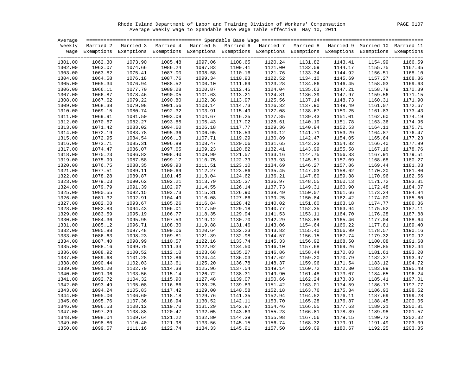Rhode Island Department of Labor and Training Division of Workers' Compensation PAGE 0107 Average Weekly Wage to Spendable Base Wage Table Effective May 10, 2011

| Average |         |         |         |                                                                                                                    |         |         |         |         |         |         |
|---------|---------|---------|---------|--------------------------------------------------------------------------------------------------------------------|---------|---------|---------|---------|---------|---------|
|         |         |         |         | Weekly Married 2 Married 3 Married 4 Married 5 Married 6 Married 7 Married 8 Married 9 Married 10 Married 11       |         |         |         |         |         |         |
|         |         |         |         | Wage Exemptions Exemptions Exemptions Exemptions Exemptions Exemptions Exemptions Exemptions Exemptions Exemptions |         |         |         |         |         |         |
|         |         |         |         |                                                                                                                    |         |         |         |         |         |         |
| 1301.00 | 1062.30 | 1073.90 | 1085.48 | 1097.06                                                                                                            | 1108.65 | 1120.24 | 1131.82 | 1143.41 | 1154.99 | 1166.59 |
| 1302.00 | 1063.07 | 1074.66 | 1086.24 | 1097.83                                                                                                            | 1109.41 | 1121.00 | 1132.59 | 1144.17 | 1155.75 | 1167.35 |
| 1303.00 | 1063.82 | 1075.41 | 1087.00 | 1098.58                                                                                                            | 1110.16 | 1121.76 | 1133.34 | 1144.92 | 1156.51 | 1168.10 |
| 1304.00 | 1064.58 | 1076.18 | 1087.76 | 1099.34                                                                                                            | 1110.93 | 1122.52 | 1134.10 | 1145.69 | 1157.27 | 1168.86 |
| 1305.00 | 1065.34 | 1076.94 | 1088.52 | 1100.10                                                                                                            | 1111.69 | 1123.28 | 1134.86 | 1146.45 | 1158.03 | 1169.63 |
| 1306.00 | 1066.11 | 1077.70 | 1089.28 | 1100.87                                                                                                            | 1112.45 | 1124.04 | 1135.63 | 1147.21 | 1158.79 | 1170.39 |
| 1307.00 | 1066.87 | 1078.46 | 1090.05 | 1101.63                                                                                                            | 1113.21 | 1124.81 | 1136.39 | 1147.97 | 1159.56 | 1171.15 |
| 1308.00 | 1067.62 | 1079.22 | 1090.80 | 1102.38                                                                                                            | 1113.97 | 1125.56 | 1137.14 | 1148.73 | 1160.31 | 1171.90 |
| 1309.00 | 1068.38 | 1079.98 | 1091.56 | 1103.14                                                                                                            | 1114.73 | 1126.32 | 1137.90 | 1149.49 | 1161.07 | 1172.67 |
| 1310.00 | 1069.15 | 1080.74 | 1092.32 | 1103.91                                                                                                            | 1115.49 | 1127.08 | 1138.67 | 1150.25 | 1161.83 | 1173.43 |
| 1311.00 | 1069.91 | 1081.50 | 1093.09 | 1104.67                                                                                                            | 1116.25 | 1127.85 | 1139.43 | 1151.01 | 1162.60 | 1174.19 |
| 1312.00 | 1070.67 | 1082.27 | 1093.85 | 1105.43                                                                                                            | 1117.02 | 1128.61 | 1140.19 | 1151.78 | 1163.36 | 1174.95 |
| 1313.00 | 1071.42 | 1083.02 | 1094.60 | 1106.18                                                                                                            | 1117.77 | 1129.36 | 1140.94 | 1152.53 | 1164.11 | 1175.71 |
| 1314.00 | 1072.19 | 1083.78 | 1095.36 | 1106.95                                                                                                            | 1118.53 | 1130.12 | 1141.71 | 1153.29 | 1164.87 | 1176.47 |
| 1315.00 | 1072.95 | 1084.54 | 1096.13 | 1107.71                                                                                                            | 1119.29 | 1130.89 | 1142.47 | 1154.05 | 1165.64 | 1177.23 |
| 1316.00 | 1073.71 | 1085.31 | 1096.89 | 1108.47                                                                                                            | 1120.06 | 1131.65 | 1143.23 | 1154.82 | 1166.40 | 1177.99 |
| 1317.00 | 1074.47 | 1086.07 | 1097.65 | 1109.23                                                                                                            | 1120.82 | 1132.41 | 1143.99 | 1155.58 | 1167.16 | 1178.76 |
| 1318.00 | 1075.23 | 1086.82 | 1098.40 | 1109.99                                                                                                            | 1121.57 | 1133.16 | 1144.75 | 1156.33 | 1167.91 | 1179.51 |
| 1319.00 | 1075.99 | 1087.58 | 1099.17 | 1110.75                                                                                                            | 1122.33 | 1133.93 | 1145.51 | 1157.09 | 1168.68 | 1180.27 |
| 1320.00 | 1076.75 | 1088.35 | 1099.93 | 1111.51                                                                                                            | 1123.10 | 1134.69 | 1146.27 | 1157.86 | 1169.44 | 1181.03 |
| 1321.00 | 1077.51 | 1089.11 | 1100.69 | 1112.27                                                                                                            | 1123.86 | 1135.45 | 1147.03 | 1158.62 | 1170.20 | 1181.80 |
| 1322.00 | 1078.28 | 1089.87 | 1101.45 | 1113.04                                                                                                            | 1124.62 | 1136.21 | 1147.80 | 1159.38 | 1170.96 | 1182.56 |
| 1323.00 | 1079.03 | 1090.62 | 1102.21 | 1113.79                                                                                                            | 1125.37 | 1136.97 | 1148.55 | 1160.13 | 1171.72 | 1183.31 |
| 1324.00 | 1079.79 | 1091.39 | 1102.97 | 1114.55                                                                                                            | 1126.14 | 1137.73 | 1149.31 | 1160.90 | 1172.48 | 1184.07 |
| 1325.00 | 1080.55 | 1092.15 | 1103.73 | 1115.31                                                                                                            | 1126.90 | 1138.49 | 1150.07 | 1161.66 | 1173.24 | 1184.84 |
| 1326.00 | 1081.32 | 1092.91 | 1104.49 | 1116.08                                                                                                            | 1127.66 | 1139.25 | 1150.84 | 1162.42 | 1174.00 | 1185.60 |
| 1327.00 | 1082.08 | 1093.67 | 1105.26 | 1116.84                                                                                                            | 1128.42 | 1140.02 | 1151.60 | 1163.18 | 1174.77 | 1186.36 |
| 1328.00 | 1082.83 | 1094.43 | 1106.01 | 1117.59                                                                                                            | 1129.18 | 1140.77 | 1152.35 | 1163.94 | 1175.52 | 1187.11 |
| 1329.00 | 1083.59 | 1095.19 | 1106.77 | 1118.35                                                                                                            | 1129.94 | 1141.53 | 1153.11 | 1164.70 | 1176.28 | 1187.88 |
| 1330.00 | 1084.36 | 1095.95 | 1107.53 | 1119.12                                                                                                            | 1130.70 | 1142.29 | 1153.88 | 1165.46 | 1177.04 | 1188.64 |
| 1331.00 | 1085.12 | 1096.71 | 1108.30 | 1119.88                                                                                                            | 1131.46 | 1143.06 | 1154.64 | 1166.22 | 1177.81 | 1189.40 |
| 1332.00 | 1085.88 | 1097.48 | 1109.06 | 1120.64                                                                                                            | 1132.23 | 1143.82 | 1155.40 | 1166.99 | 1178.57 | 1190.16 |
| 1333.00 | 1086.63 | 1098.23 | 1109.81 | 1121.39                                                                                                            | 1132.98 | 1144.57 | 1156.15 | 1167.74 | 1179.32 | 1190.92 |
| 1334.00 | 1087.40 | 1098.99 | 1110.57 | 1122.16                                                                                                            | 1133.74 | 1145.33 | 1156.92 | 1168.50 | 1180.08 | 1191.68 |
| 1335.00 | 1088.16 | 1099.75 | 1111.34 | 1122.92                                                                                                            | 1134.50 | 1146.10 | 1157.68 | 1169.26 | 1180.85 | 1192.44 |
| 1336.00 | 1088.92 | 1100.52 | 1112.10 | 1123.68                                                                                                            | 1135.27 | 1146.86 | 1158.44 | 1170.03 | 1181.61 | 1193.20 |
| 1337.00 | 1089.68 | 1101.28 | 1112.86 | 1124.44                                                                                                            | 1136.03 | 1147.62 | 1159.20 | 1170.79 | 1182.37 | 1193.97 |
| 1338.00 | 1090.44 | 1102.03 | 1113.61 | 1125.20                                                                                                            | 1136.78 | 1148.37 | 1159.96 | 1171.54 | 1183.12 | 1194.72 |
| 1339.00 | 1091.20 | 1102.79 | 1114.38 | 1125.96                                                                                                            | 1137.54 | 1149.14 | 1160.72 | 1172.30 | 1183.89 | 1195.48 |
| 1340.00 | 1091.96 | 1103.56 | 1115.14 | 1126.72                                                                                                            | 1138.31 | 1149.90 | 1161.48 | 1173.07 | 1184.65 | 1196.24 |
| 1341.00 | 1092.72 | 1104.32 | 1115.90 | 1127.48                                                                                                            | 1139.07 | 1150.66 | 1162.24 | 1173.83 | 1185.41 | 1197.01 |
| 1342.00 | 1093.49 | 1105.08 | 1116.66 | 1128.25                                                                                                            | 1139.83 | 1151.42 | 1163.01 | 1174.59 | 1186.17 | 1197.77 |
| 1343.00 | 1094.24 | 1105.83 | 1117.42 | 1129.00                                                                                                            | 1140.58 | 1152.18 | 1163.76 | 1175.34 | 1186.93 | 1198.52 |
| 1344.00 | 1095.00 | 1106.60 | 1118.18 | 1129.76                                                                                                            | 1141.35 | 1152.94 | 1164.52 | 1176.11 | 1187.69 | 1199.28 |
| 1345.00 | 1095.76 | 1107.36 | 1118.94 | 1130.52                                                                                                            | 1142.11 | 1153.70 | 1165.28 | 1176.87 | 1188.45 | 1200.05 |
| 1346.00 | 1096.53 | 1108.12 | 1119.70 | 1131.29                                                                                                            | 1142.87 | 1154.46 | 1166.05 | 1177.63 | 1189.21 | 1200.81 |
| 1347.00 | 1097.29 | 1108.88 | 1120.47 | 1132.05                                                                                                            | 1143.63 | 1155.23 | 1166.81 | 1178.39 | 1189.98 | 1201.57 |
| 1348.00 | 1098.04 | 1109.64 | 1121.22 | 1132.80                                                                                                            | 1144.39 | 1155.98 | 1167.56 | 1179.15 | 1190.73 | 1202.32 |
| 1349.00 | 1098.80 | 1110.40 | 1121.98 | 1133.56                                                                                                            | 1145.15 | 1156.74 | 1168.32 | 1179.91 | 1191.49 | 1203.09 |
| 1350.00 | 1099.57 | 1111.16 | 1122.74 | 1134.33                                                                                                            | 1145.91 | 1157.50 | 1169.09 | 1180.67 | 1192.25 | 1203.85 |
|         |         |         |         |                                                                                                                    |         |         |         |         |         |         |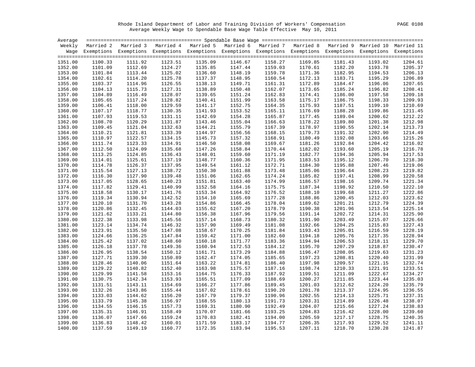Rhode Island Department of Labor and Training Division of Workers' Compensation PAGE 0108 Average Weekly Wage to Spendable Base Wage Table Effective May 10, 2011

|                    |                    | Weekly Married 2 Married 3 Married 4 Married 5 Married 6 Married 7 Married 8 Married 9 Married 10 Married 11       |                    |                    |                    |                    |         |                    |                    |                    |
|--------------------|--------------------|--------------------------------------------------------------------------------------------------------------------|--------------------|--------------------|--------------------|--------------------|---------|--------------------|--------------------|--------------------|
|                    |                    | Wage Exemptions Exemptions Exemptions Exemptions Exemptions Exemptions Exemptions Exemptions Exemptions Exemptions |                    |                    |                    |                    |         |                    |                    |                    |
|                    |                    |                                                                                                                    |                    |                    |                    |                    |         |                    |                    |                    |
| 1351.00            | 1100.33            | 1111.92                                                                                                            | 1123.51            | 1135.09            | 1146.67            | 1158.27            | 1169.85 | 1181.43            | 1193.02            | 1204.61            |
| 1352.00            | 1101.09            | 1112.69                                                                                                            | 1124.27            | 1135.85            | 1147.44            | 1159.03            | 1170.61 | 1182.20            | 1193.78            | 1205.37            |
| 1353.00            | 1101.84            | 1113.44                                                                                                            | 1125.02            | 1136.60            | 1148.19            | 1159.78            | 1171.36 | 1182.95            | 1194.53            | 1206.13            |
| 1354.00            | 1102.61            | 1114.20                                                                                                            | 1125.78            | 1137.37            | 1148.95            | 1160.54            | 1172.13 | 1183.71            | 1195.29            | 1206.89            |
| 1355.00            | 1103.37            | 1114.96                                                                                                            | 1126.55            | 1138.13            | 1149.71            | 1161.31            | 1172.89 | 1184.47            | 1196.06            | 1207.65            |
| 1356.00            | 1104.13            | 1115.73                                                                                                            | 1127.31            | 1138.89            | 1150.48            | 1162.07            | 1173.65 | 1185.24            | 1196.82            | 1208.41            |
| 1357.00            | 1104.89            | 1116.49                                                                                                            | 1128.07            | 1139.65            | 1151.24            | 1162.83            | 1174.41 | 1186.00            | 1197.58            | 1209.18            |
| 1358.00            | 1105.65            | 1117.24                                                                                                            | 1128.82            | 1140.41            | 1151.99            | 1163.58            | 1175.17 | 1186.75            | 1198.33            | 1209.93            |
| 1359.00            | 1106.41            | 1118.00                                                                                                            | 1129.59            | 1141.17            | 1152.75            | 1164.35            | 1175.93 | 1187.51            | 1199.10            | 1210.69            |
| 1360.00            | 1107.17            | 1118.77                                                                                                            | 1130.35            | 1141.93            | 1153.52            | 1165.11            | 1176.69 | 1188.28            | 1199.86            | 1211.45            |
| 1361.00            | 1107.93            | 1119.53                                                                                                            | 1131.11            | 1142.69            | 1154.28            | 1165.87            | 1177.45 | 1189.04            | 1200.62            | 1212.22            |
| 1362.00            | 1108.70            | 1120.29                                                                                                            | 1131.87            | 1143.46            | 1155.04            | 1166.63            | 1178.22 | 1189.80            | 1201.38            | 1212.98            |
| 1363.00            | 1109.45            | 1121.04                                                                                                            | 1132.63            | 1144.21            | 1155.79            | 1167.39            | 1178.97 | 1190.55            | 1202.14            | 1213.73            |
| 1364.00            | 1110.21            | 1121.81                                                                                                            | 1133.39            | 1144.97            | 1156.56            | 1168.15            | 1179.73 | 1191.32            | 1202.90            | 1214.49            |
| 1365.00            | 1110.97            | 1122.57                                                                                                            | 1134.15            | 1145.73            | 1157.32            | 1168.91            | 1180.49 | 1192.08            | 1203.66            | 1215.26            |
| 1366.00            | 1111.74            | 1123.33                                                                                                            | 1134.91            | 1146.50            | 1158.08            | 1169.67            | 1181.26 | 1192.84            | 1204.42            | 1216.02            |
| 1367.00            | 1112.50            | 1124.09                                                                                                            | 1135.68            | 1147.26            | 1158.84            | 1170.44            | 1182.02 | 1193.60            | 1205.19            | 1216.78            |
| 1368.00            | 1113.25            | 1124.85                                                                                                            | 1136.43            | 1148.01            | 1159.60            | 1171.19            | 1182.77 | 1194.36            | 1205.94            | 1217.53            |
| 1369.00            | 1114.01            | 1125.61                                                                                                            | 1137.19            | 1148.77            | 1160.36            | 1171.95            | 1183.53 | 1195.12            | 1206.70            | 1218.30            |
| 1370.00            | 1114.78            | 1126.37                                                                                                            | 1137.95            | 1149.54            | 1161.12            | 1172.71            | 1184.30 | 1195.88            | 1207.46            | 1219.06            |
| 1371.00            | 1115.54            | 1127.13                                                                                                            | 1138.72            | 1150.30            | 1161.88            | 1173.48            | 1185.06 | 1196.64            | 1208.23            | 1219.82            |
| 1372.00            | 1116.30            | 1127.90                                                                                                            | 1139.48            | 1151.06            | 1162.65            | 1174.24            | 1185.82 | 1197.41            | 1208.99            | 1220.58            |
| 1373.00            | 1117.05            | 1128.65                                                                                                            | 1140.23            | 1151.81            | 1163.40            | 1174.99            | 1186.57 | 1198.16            | 1209.74            | 1221.34            |
| 1374.00            | 1117.82            | 1129.41                                                                                                            | 1140.99            | 1152.58            | 1164.16            | 1175.75            | 1187.34 | 1198.92            | 1210.50            | 1222.10            |
| 1375.00            | 1118.58            | 1130.17                                                                                                            | 1141.76            | 1153.34            | 1164.92            | 1176.52            | 1188.10 | 1199.68            | 1211.27            | 1222.86            |
| 1376.00            | 1119.34            | 1130.94                                                                                                            | 1142.52            | 1154.10            | 1165.69            | 1177.28            | 1188.86 |                    | 1212.03            | 1223.62            |
| 1377.00            | 1120.10            | 1131.70                                                                                                            | 1143.28            | 1154.86            | 1166.45            | 1178.04            | 1189.62 | 1200.45<br>1201.21 | 1212.79            | 1224.39            |
|                    |                    | 1132.45                                                                                                            |                    |                    |                    |                    | 1190.38 |                    |                    | 1225.14            |
| 1378.00<br>1379.00 | 1120.86<br>1121.62 | 1133.21                                                                                                            | 1144.03<br>1144.80 | 1155.62<br>1156.38 | 1167.20<br>1167.96 | 1178.79<br>1179.56 | 1191.14 | 1201.96<br>1202.72 | 1213.54<br>1214.31 | 1225.90            |
| 1380.00            | 1122.38            | 1133.98                                                                                                            | 1145.56            | 1157.14            | 1168.73            | 1180.32            | 1191.90 | 1203.49            | 1215.07            | 1226.66            |
| 1381.00            | 1123.14            | 1134.74                                                                                                            | 1146.32            | 1157.90            | 1169.49            |                    | 1192.66 | 1204.25            |                    | 1227.43            |
|                    |                    |                                                                                                                    |                    |                    |                    | 1181.08            |         |                    | 1215.83            |                    |
| 1382.00            | 1123.91            | 1135.50                                                                                                            | 1147.08            | 1158.67            | 1170.25            | 1181.84            | 1193.43 | 1205.01            | 1216.59            | 1228.19            |
| 1383.00            | 1124.66            | 1136.25                                                                                                            | 1147.84            | 1159.42            | 1171.00            | 1182.60            | 1194.18 | 1205.76            | 1217.35            | 1228.94            |
| 1384.00            | 1125.42            | 1137.02                                                                                                            | 1148.60            | 1160.18            | 1171.77            | 1183.36            | 1194.94 | 1206.53            | 1218.11            | 1229.70            |
| 1385.00            | 1126.18            | 1137.78                                                                                                            | 1149.36            | 1160.94            | 1172.53            | 1184.12            | 1195.70 | 1207.29            | 1218.87            | 1230.47<br>1231.23 |
| 1386.00            | 1126.95            | 1138.54                                                                                                            | 1150.12            | 1161.71            | 1173.29            | 1184.88            | 1196.47 | 1208.05            | 1219.63            |                    |
| 1387.00            | 1127.71            | 1139.30                                                                                                            | 1150.89            | 1162.47            | 1174.05            | 1185.65            | 1197.23 | 1208.81            | 1220.40            | 1231.99            |
| 1388.00            | 1128.46            | 1140.06                                                                                                            | 1151.64            | 1163.22            | 1174.81            | 1186.40            | 1197.98 | 1209.57            | 1221.15            | 1232.74            |
| 1389.00            | 1129.22            | 1140.82                                                                                                            | 1152.40            | 1163.98            | 1175.57            | 1187.16            | 1198.74 | 1210.33            | 1221.91            | 1233.51            |
| 1390.00            | 1129.99            | 1141.58                                                                                                            | 1153.16            | 1164.75            | 1176.33            | 1187.92            | 1199.51 | 1211.09            | 1222.67            | 1234.27            |
| 1391.00            | 1130.75            | 1142.34                                                                                                            | 1153.93            | 1165.51            | 1177.09            | 1188.69            | 1200.27 | 1211.85            | 1223.44            | 1235.03            |
| 1392.00            | 1131.51            | 1143.11                                                                                                            | 1154.69            | 1166.27            | 1177.86            | 1189.45            | 1201.03 | 1212.62            | 1224.20            | 1235.79            |
| 1393.00            | 1132.26            | 1143.86                                                                                                            | 1155.44            | 1167.02            | 1178.61            | 1190.20            | 1201.78 | 1213.37            | 1224.95            | 1236.55            |
| 1394.00            | 1133.03            | 1144.62                                                                                                            | 1156.20            | 1167.79            | 1179.37            | 1190.96            | 1202.55 | 1214.13            | 1225.71            | 1237.31            |
| 1395.00            | 1133.79            | 1145.38                                                                                                            | 1156.97            | 1168.55            | 1180.13            | 1191.73            | 1203.31 | 1214.89            | 1226.48            | 1238.07            |
| 1396.00            | 1134.55            | 1146.15                                                                                                            | 1157.73            | 1169.31            | 1180.90            | 1192.49            | 1204.07 | 1215.66            | 1227.24            | 1238.83            |
| 1397.00            | 1135.31            | 1146.91                                                                                                            | 1158.49            | 1170.07            | 1181.66            | 1193.25            | 1204.83 | 1216.42            | 1228.00            | 1239.60            |
| 1398.00            | 1136.07            | 1147.66                                                                                                            | 1159.24            | 1170.83            | 1182.41            | 1194.00            | 1205.59 | 1217.17            | 1228.75            | 1240.35            |
| 1399.00            | 1136.83            | 1148.42                                                                                                            | 1160.01            | 1171.59            | 1183.17            | 1194.77            | 1206.35 | 1217.93            | 1229.52            | 1241.11            |
| 1400.00            | 1137.59            | 1149.19                                                                                                            | 1160.77            | 1172.35            | 1183.94            | 1195.53            | 1207.11 | 1218.70            | 1230.28            | 1241.87            |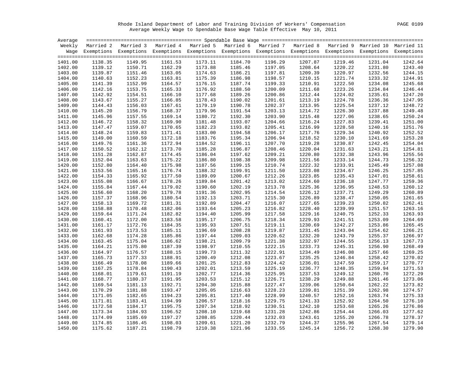Rhode Island Department of Labor and Training Division of Workers' Compensation PAGE 0109 Average Weekly Wage to Spendable Base Wage Table Effective May 10, 2011

| Average |         |                                                                                                                    |         |         |         |         |         |         |         |         |
|---------|---------|--------------------------------------------------------------------------------------------------------------------|---------|---------|---------|---------|---------|---------|---------|---------|
|         |         | Weekly Married 2 Married 3 Married 4 Married 5 Married 6 Married 7 Married 8 Married 9 Married 10 Married 11       |         |         |         |         |         |         |         |         |
|         |         | Wage Exemptions Exemptions Exemptions Exemptions Exemptions Exemptions Exemptions Exemptions Exemptions Exemptions |         |         |         |         |         |         |         |         |
|         |         |                                                                                                                    |         |         |         |         |         |         |         |         |
| 1401.00 | 1138.35 | 1149.95                                                                                                            | 1161.53 | 1173.11 | 1184.70 | 1196.29 | 1207.87 | 1219.46 | 1231.04 | 1242.64 |
| 1402.00 | 1139.12 | 1150.71                                                                                                            | 1162.29 | 1173.88 | 1185.46 | 1197.05 | 1208.64 | 1220.22 | 1231.80 | 1243.40 |
| 1403.00 | 1139.87 | 1151.46                                                                                                            | 1163.05 | 1174.63 | 1186.21 | 1197.81 | 1209.39 | 1220.97 | 1232.56 | 1244.15 |
| 1404.00 | 1140.63 | 1152.23                                                                                                            | 1163.81 | 1175.39 | 1186.98 | 1198.57 | 1210.15 | 1221.74 | 1233.32 | 1244.91 |
| 1405.00 | 1141.39 | 1152.99                                                                                                            | 1164.57 | 1176.15 | 1187.74 | 1199.33 | 1210.91 | 1222.50 | 1234.08 | 1245.68 |
| 1406.00 | 1142.16 | 1153.75                                                                                                            | 1165.33 | 1176.92 | 1188.50 | 1200.09 | 1211.68 | 1223.26 | 1234.84 | 1246.44 |
| 1407.00 | 1142.92 | 1154.51                                                                                                            | 1166.10 | 1177.68 | 1189.26 | 1200.86 | 1212.44 | 1224.02 | 1235.61 | 1247.20 |
| 1408.00 | 1143.67 | 1155.27                                                                                                            | 1166.85 | 1178.43 | 1190.02 | 1201.61 | 1213.19 | 1224.78 | 1236.36 | 1247.95 |
| 1409.00 | 1144.43 | 1156.03                                                                                                            | 1167.61 | 1179.19 | 1190.78 | 1202.37 | 1213.95 | 1225.54 | 1237.12 | 1248.72 |
| 1410.00 | 1145.20 | 1156.79                                                                                                            | 1168.37 | 1179.96 | 1191.54 | 1203.13 | 1214.72 | 1226.30 | 1237.88 | 1249.48 |
| 1411.00 | 1145.96 | 1157.55                                                                                                            | 1169.14 | 1180.72 | 1192.30 | 1203.90 | 1215.48 | 1227.06 | 1238.65 | 1250.24 |
| 1412.00 | 1146.72 | 1158.32                                                                                                            | 1169.90 | 1181.48 | 1193.07 | 1204.66 | 1216.24 | 1227.83 | 1239.41 | 1251.00 |
| 1413.00 | 1147.47 | 1159.07                                                                                                            | 1170.65 | 1182.23 | 1193.82 | 1205.41 | 1216.99 | 1228.58 | 1240.16 | 1251.76 |
| 1414.00 | 1148.24 | 1159.83                                                                                                            | 1171.41 | 1183.00 | 1194.58 | 1206.17 | 1217.76 | 1229.34 | 1240.92 | 1252.52 |
| 1415.00 | 1149.00 | 1160.59                                                                                                            | 1172.18 | 1183.76 | 1195.34 | 1206.94 | 1218.52 | 1230.10 | 1241.69 | 1253.28 |
| 1416.00 | 1149.76 | 1161.36                                                                                                            | 1172.94 | 1184.52 | 1196.11 | 1207.70 | 1219.28 | 1230.87 | 1242.45 | 1254.04 |
| 1417.00 | 1150.52 | 1162.12                                                                                                            | 1173.70 | 1185.28 | 1196.87 | 1208.46 | 1220.04 | 1231.63 | 1243.21 | 1254.81 |
| 1418.00 | 1151.28 | 1162.87                                                                                                            | 1174.45 | 1186.04 | 1197.62 | 1209.21 | 1220.80 | 1232.38 | 1243.96 | 1255.56 |
| 1419.00 | 1152.04 | 1163.63                                                                                                            | 1175.22 | 1186.80 | 1198.38 | 1209.98 | 1221.56 | 1233.14 | 1244.73 | 1256.32 |
| 1420.00 | 1152.80 | 1164.40                                                                                                            | 1175.98 | 1187.56 | 1199.15 | 1210.74 | 1222.32 | 1233.91 | 1245.49 | 1257.08 |
| 1421.00 | 1153.56 | 1165.16                                                                                                            | 1176.74 | 1188.32 | 1199.91 | 1211.50 | 1223.08 | 1234.67 | 1246.25 | 1257.85 |
| 1422.00 | 1154.33 | 1165.92                                                                                                            | 1177.50 | 1189.09 | 1200.67 | 1212.26 | 1223.85 | 1235.43 | 1247.01 | 1258.61 |
| 1423.00 | 1155.08 | 1166.67                                                                                                            | 1178.26 | 1189.84 | 1201.42 | 1213.02 | 1224.60 | 1236.18 | 1247.77 | 1259.36 |
|         |         |                                                                                                                    |         |         | 1202.19 |         |         |         |         | 1260.12 |
| 1424.00 | 1155.84 | 1167.44                                                                                                            | 1179.02 | 1190.60 |         | 1213.78 | 1225.36 | 1236.95 | 1248.53 |         |
| 1425.00 | 1156.60 | 1168.20                                                                                                            | 1179.78 | 1191.36 | 1202.95 | 1214.54 | 1226.12 | 1237.71 | 1249.29 | 1260.89 |
| 1426.00 | 1157.37 | 1168.96                                                                                                            | 1180.54 | 1192.13 | 1203.71 | 1215.30 | 1226.89 | 1238.47 | 1250.05 | 1261.65 |
| 1427.00 | 1158.13 | 1169.72                                                                                                            | 1181.31 | 1192.89 | 1204.47 | 1216.07 | 1227.65 | 1239.23 | 1250.82 | 1262.41 |
| 1428.00 | 1158.88 | 1170.48                                                                                                            | 1182.06 | 1193.64 | 1205.23 | 1216.82 | 1228.40 | 1239.99 | 1251.57 | 1263.16 |
| 1429.00 | 1159.64 | 1171.24                                                                                                            | 1182.82 | 1194.40 | 1205.99 | 1217.58 | 1229.16 | 1240.75 | 1252.33 | 1263.93 |
| 1430.00 | 1160.41 | 1172.00                                                                                                            | 1183.58 | 1195.17 | 1206.75 | 1218.34 | 1229.93 | 1241.51 | 1253.09 | 1264.69 |
| 1431.00 | 1161.17 | 1172.76                                                                                                            | 1184.35 | 1195.93 | 1207.51 | 1219.11 | 1230.69 | 1242.27 | 1253.86 | 1265.45 |
| 1432.00 | 1161.93 | 1173.53                                                                                                            | 1185.11 | 1196.69 | 1208.28 | 1219.87 | 1231.45 | 1243.04 | 1254.62 | 1266.21 |
| 1433.00 | 1162.68 | 1174.28                                                                                                            | 1185.86 | 1197.44 | 1209.03 | 1220.62 | 1232.20 | 1243.79 | 1255.37 | 1266.97 |
| 1434.00 | 1163.45 | 1175.04                                                                                                            | 1186.62 | 1198.21 | 1209.79 | 1221.38 | 1232.97 | 1244.55 | 1256.13 | 1267.73 |
| 1435.00 | 1164.21 | 1175.80                                                                                                            | 1187.39 | 1198.97 | 1210.55 | 1222.15 | 1233.73 | 1245.31 | 1256.90 | 1268.49 |
| 1436.00 | 1164.97 | 1176.57                                                                                                            | 1188.15 | 1199.73 | 1211.32 | 1222.91 | 1234.49 | 1246.08 | 1257.66 | 1269.25 |
| 1437.00 | 1165.73 | 1177.33                                                                                                            | 1188.91 | 1200.49 | 1212.08 | 1223.67 | 1235.25 | 1246.84 | 1258.42 | 1270.02 |
| 1438.00 | 1166.49 | 1178.08                                                                                                            | 1189.66 | 1201.25 | 1212.83 | 1224.42 | 1236.01 | 1247.59 | 1259.17 | 1270.77 |
| 1439.00 | 1167.25 | 1178.84                                                                                                            | 1190.43 | 1202.01 | 1213.59 | 1225.19 | 1236.77 | 1248.35 | 1259.94 | 1271.53 |
| 1440.00 | 1168.01 | 1179.61                                                                                                            | 1191.19 | 1202.77 | 1214.36 | 1225.95 | 1237.53 | 1249.12 | 1260.70 | 1272.29 |
| 1441.00 | 1168.77 | 1180.37                                                                                                            | 1191.95 | 1203.53 | 1215.12 | 1226.71 | 1238.29 | 1249.88 | 1261.46 | 1273.06 |
| 1442.00 | 1169.54 | 1181.13                                                                                                            | 1192.71 | 1204.30 | 1215.88 | 1227.47 | 1239.06 | 1250.64 | 1262.22 | 1273.82 |
| 1443.00 | 1170.29 | 1181.88                                                                                                            | 1193.47 | 1205.05 | 1216.63 | 1228.23 | 1239.81 | 1251.39 | 1262.98 | 1274.57 |
| 1444.00 | 1171.05 | 1182.65                                                                                                            | 1194.23 | 1205.81 | 1217.40 | 1228.99 | 1240.57 | 1252.16 | 1263.74 | 1275.33 |
| 1445.00 | 1171.81 | 1183.41                                                                                                            | 1194.99 | 1206.57 | 1218.16 | 1229.75 | 1241.33 | 1252.92 | 1264.50 | 1276.10 |
| 1446.00 | 1172.58 | 1184.17                                                                                                            | 1195.75 | 1207.34 | 1218.92 | 1230.51 | 1242.10 | 1253.68 | 1265.26 | 1276.86 |
| 1447.00 | 1173.34 | 1184.93                                                                                                            | 1196.52 | 1208.10 | 1219.68 | 1231.28 | 1242.86 | 1254.44 | 1266.03 | 1277.62 |
| 1448.00 | 1174.09 | 1185.69                                                                                                            | 1197.27 | 1208.85 | 1220.44 | 1232.03 | 1243.61 | 1255.20 | 1266.78 | 1278.37 |
| 1449.00 | 1174.85 | 1186.45                                                                                                            | 1198.03 | 1209.61 | 1221.20 | 1232.79 | 1244.37 | 1255.96 | 1267.54 | 1279.14 |
| 1450.00 | 1175.62 | 1187.21                                                                                                            | 1198.79 | 1210.38 | 1221.96 | 1233.55 | 1245.14 | 1256.72 | 1268.30 | 1279.90 |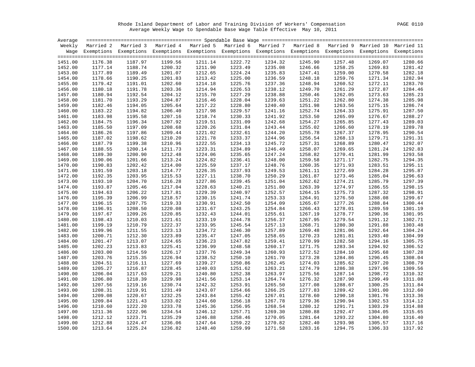Rhode Island Department of Labor and Training Division of Workers' Compensation PAGE 0110 Average Weekly Wage to Spendable Base Wage Table Effective May 10, 2011

| Average |         |                                                                                                                    |         |         |         |         |         |         |         |         |
|---------|---------|--------------------------------------------------------------------------------------------------------------------|---------|---------|---------|---------|---------|---------|---------|---------|
|         |         | Weekly Married 2 Married 3 Married 4 Married 5 Married 6 Married 7 Married 8 Married 9 Married 10 Married 11       |         |         |         |         |         |         |         |         |
|         |         | Wage Exemptions Exemptions Exemptions Exemptions Exemptions Exemptions Exemptions Exemptions Exemptions Exemptions |         |         |         |         |         |         |         |         |
|         |         |                                                                                                                    |         |         |         |         |         |         |         |         |
| 1451.00 | 1176.38 | 1187.97                                                                                                            | 1199.56 | 1211.14 | 1222.72 | 1234.32 | 1245.90 | 1257.48 | 1269.07 | 1280.66 |
| 1452.00 | 1177.14 | 1188.74                                                                                                            | 1200.32 | 1211.90 | 1223.49 | 1235.08 | 1246.66 | 1258.25 | 1269.83 | 1281.42 |
| 1453.00 | 1177.89 | 1189.49                                                                                                            | 1201.07 | 1212.65 | 1224.24 | 1235.83 | 1247.41 | 1259.00 | 1270.58 | 1282.18 |
| 1454.00 | 1178.66 | 1190.25                                                                                                            | 1201.83 | 1213.42 | 1225.00 | 1236.59 | 1248.18 | 1259.76 | 1271.34 | 1282.94 |
| 1455.00 | 1179.42 | 1191.01                                                                                                            | 1202.60 | 1214.18 | 1225.76 | 1237.36 | 1248.94 | 1260.52 | 1272.11 | 1283.70 |
| 1456.00 | 1180.18 | 1191.78                                                                                                            | 1203.36 | 1214.94 | 1226.53 | 1238.12 | 1249.70 | 1261.29 | 1272.87 | 1284.46 |
| 1457.00 | 1180.94 | 1192.54                                                                                                            | 1204.12 | 1215.70 | 1227.29 | 1238.88 | 1250.46 | 1262.05 | 1273.63 | 1285.23 |
| 1458.00 | 1181.70 | 1193.29                                                                                                            | 1204.87 | 1216.46 | 1228.04 | 1239.63 | 1251.22 | 1262.80 | 1274.38 | 1285.98 |
| 1459.00 | 1182.46 | 1194.05                                                                                                            | 1205.64 | 1217.22 | 1228.80 | 1240.40 | 1251.98 | 1263.56 | 1275.15 | 1286.74 |
| 1460.00 | 1183.22 | 1194.82                                                                                                            | 1206.40 | 1217.98 | 1229.57 | 1241.16 | 1252.74 | 1264.33 | 1275.91 | 1287.50 |
| 1461.00 | 1183.98 | 1195.58                                                                                                            | 1207.16 | 1218.74 | 1230.33 | 1241.92 | 1253.50 | 1265.09 | 1276.67 | 1288.27 |
| 1462.00 | 1184.75 | 1196.34                                                                                                            | 1207.92 | 1219.51 | 1231.09 | 1242.68 | 1254.27 | 1265.85 | 1277.43 | 1289.03 |
| 1463.00 | 1185.50 | 1197.09                                                                                                            | 1208.68 | 1220.26 | 1231.84 | 1243.44 | 1255.02 | 1266.60 | 1278.19 | 1289.78 |
| 1464.00 | 1186.26 | 1197.86                                                                                                            | 1209.44 | 1221.02 | 1232.61 | 1244.20 | 1255.78 | 1267.37 | 1278.95 | 1290.54 |
| 1465.00 | 1187.02 | 1198.62                                                                                                            | 1210.20 | 1221.78 | 1233.37 | 1244.96 | 1256.54 | 1268.13 | 1279.71 | 1291.31 |
| 1466.00 | 1187.79 | 1199.38                                                                                                            | 1210.96 | 1222.55 | 1234.13 | 1245.72 | 1257.31 | 1268.89 | 1280.47 | 1292.07 |
| 1467.00 | 1188.55 | 1200.14                                                                                                            | 1211.73 | 1223.31 | 1234.89 | 1246.49 | 1258.07 | 1269.65 | 1281.24 | 1292.83 |
| 1468.00 | 1189.30 | 1200.90                                                                                                            | 1212.48 | 1224.06 | 1235.65 | 1247.24 | 1258.82 | 1270.41 | 1281.99 | 1293.58 |
| 1469.00 | 1190.06 | 1201.66                                                                                                            | 1213.24 | 1224.82 | 1236.41 | 1248.00 | 1259.58 | 1271.17 | 1282.75 | 1294.35 |
| 1470.00 | 1190.83 | 1202.42                                                                                                            | 1214.00 | 1225.59 | 1237.17 | 1248.76 | 1260.35 | 1271.93 | 1283.51 | 1295.11 |
| 1471.00 | 1191.59 | 1203.18                                                                                                            | 1214.77 | 1226.35 | 1237.93 | 1249.53 | 1261.11 | 1272.69 | 1284.28 | 1295.87 |
| 1472.00 | 1192.35 | 1203.95                                                                                                            | 1215.53 | 1227.11 | 1238.70 | 1250.29 | 1261.87 | 1273.46 | 1285.04 | 1296.63 |
| 1473.00 | 1193.10 | 1204.70                                                                                                            | 1216.28 | 1227.86 | 1239.45 | 1251.04 | 1262.62 | 1274.21 | 1285.79 | 1297.39 |
| 1474.00 | 1193.87 | 1205.46                                                                                                            | 1217.04 | 1228.63 | 1240.21 | 1251.80 | 1263.39 | 1274.97 | 1286.55 | 1298.15 |
| 1475.00 | 1194.63 | 1206.22                                                                                                            | 1217.81 | 1229.39 | 1240.97 | 1252.57 | 1264.15 | 1275.73 | 1287.32 | 1298.91 |
| 1476.00 | 1195.39 | 1206.99                                                                                                            | 1218.57 | 1230.15 | 1241.74 | 1253.33 | 1264.91 | 1276.50 | 1288.08 | 1299.67 |
| 1477.00 | 1196.15 | 1207.75                                                                                                            | 1219.33 | 1230.91 | 1242.50 | 1254.09 | 1265.67 | 1277.26 | 1288.84 | 1300.44 |
| 1478.00 | 1196.91 | 1208.50                                                                                                            | 1220.08 | 1231.67 | 1243.25 | 1254.84 | 1266.43 | 1278.01 | 1289.59 | 1301.19 |
| 1479.00 | 1197.67 | 1209.26                                                                                                            | 1220.85 | 1232.43 | 1244.01 | 1255.61 | 1267.19 | 1278.77 | 1290.36 | 1301.95 |
| 1480.00 | 1198.43 | 1210.03                                                                                                            | 1221.61 | 1233.19 | 1244.78 | 1256.37 | 1267.95 | 1279.54 | 1291.12 | 1302.71 |
| 1481.00 | 1199.19 | 1210.79                                                                                                            | 1222.37 | 1233.95 | 1245.54 | 1257.13 | 1268.71 | 1280.30 | 1291.88 | 1303.48 |
| 1482.00 | 1199.96 | 1211.55                                                                                                            | 1223.13 | 1234.72 | 1246.30 | 1257.89 | 1269.48 | 1281.06 | 1292.64 | 1304.24 |
| 1483.00 | 1200.71 | 1212.30                                                                                                            | 1223.89 | 1235.47 | 1247.05 | 1258.65 | 1270.23 | 1281.81 | 1293.40 | 1304.99 |
| 1484.00 | 1201.47 | 1213.07                                                                                                            | 1224.65 | 1236.23 | 1247.82 | 1259.41 | 1270.99 | 1282.58 | 1294.16 | 1305.75 |
| 1485.00 | 1202.23 | 1213.83                                                                                                            | 1225.41 | 1236.99 | 1248.58 | 1260.17 | 1271.75 | 1283.34 | 1294.92 | 1306.52 |
| 1486.00 | 1203.00 | 1214.59                                                                                                            | 1226.17 | 1237.76 | 1249.34 | 1260.93 | 1272.52 | 1284.10 | 1295.68 | 1307.28 |
| 1487.00 | 1203.76 | 1215.35                                                                                                            | 1226.94 | 1238.52 | 1250.10 | 1261.70 | 1273.28 | 1284.86 | 1296.45 | 1308.04 |
| 1488.00 | 1204.51 | 1216.11                                                                                                            | 1227.69 | 1239.27 | 1250.86 | 1262.45 | 1274.03 | 1285.62 | 1297.20 | 1308.79 |
| 1489.00 | 1205.27 | 1216.87                                                                                                            | 1228.45 | 1240.03 | 1251.62 | 1263.21 | 1274.79 | 1286.38 | 1297.96 | 1309.56 |
| 1490.00 | 1206.04 | 1217.63                                                                                                            | 1229.21 | 1240.80 | 1252.38 | 1263.97 | 1275.56 | 1287.14 | 1298.72 | 1310.32 |
| 1491.00 | 1206.80 | 1218.39                                                                                                            | 1229.98 | 1241.56 | 1253.14 | 1264.74 | 1276.32 | 1287.90 | 1299.49 | 1311.08 |
| 1492.00 | 1207.56 | 1219.16                                                                                                            | 1230.74 | 1242.32 | 1253.91 | 1265.50 | 1277.08 | 1288.67 | 1300.25 | 1311.84 |
| 1493.00 | 1208.31 | 1219.91                                                                                                            | 1231.49 | 1243.07 | 1254.66 | 1266.25 | 1277.83 | 1289.42 | 1301.00 | 1312.60 |
| 1494.00 | 1209.08 | 1220.67                                                                                                            | 1232.25 | 1243.84 | 1255.42 | 1267.01 | 1278.60 | 1290.18 | 1301.76 | 1313.36 |
| 1495.00 | 1209.84 | 1221.43                                                                                                            | 1233.02 | 1244.60 | 1256.18 | 1267.78 | 1279.36 | 1290.94 | 1302.53 | 1314.12 |
| 1496.00 | 1210.60 | 1222.20                                                                                                            | 1233.78 | 1245.36 | 1256.95 | 1268.54 | 1280.12 | 1291.71 | 1303.29 | 1314.88 |
| 1497.00 | 1211.36 | 1222.96                                                                                                            | 1234.54 | 1246.12 | 1257.71 | 1269.30 | 1280.88 | 1292.47 | 1304.05 | 1315.65 |
| 1498.00 | 1212.12 | 1223.71                                                                                                            | 1235.29 | 1246.88 | 1258.46 | 1270.05 | 1281.64 | 1293.22 | 1304.80 | 1316.40 |
| 1499.00 | 1212.88 | 1224.47                                                                                                            | 1236.06 | 1247.64 | 1259.22 | 1270.82 | 1282.40 | 1293.98 | 1305.57 | 1317.16 |
| 1500.00 | 1213.64 | 1225.24                                                                                                            | 1236.82 | 1248.40 | 1259.99 | 1271.58 | 1283.16 | 1294.75 | 1306.33 | 1317.92 |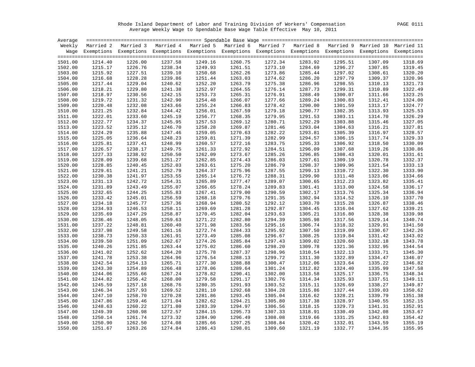Rhode Island Department of Labor and Training Division of Workers' Compensation PAGE 0111 Average Weekly Wage to Spendable Base Wage Table Effective May 10, 2011

|         |         | Weekly Married 2 Married 3 Married 4 Married 5 Married 6 Married 7 Married 8 Married 9 Married 10 Married 11       |         |         |         |         |         |         |         |         |
|---------|---------|--------------------------------------------------------------------------------------------------------------------|---------|---------|---------|---------|---------|---------|---------|---------|
|         |         | Wage Exemptions Exemptions Exemptions Exemptions Exemptions Exemptions Exemptions Exemptions Exemptions Exemptions |         |         |         |         |         |         |         |         |
|         |         |                                                                                                                    |         |         |         |         |         |         |         |         |
| 1501.00 | 1214.40 | 1226.00                                                                                                            | 1237.58 | 1249.16 | 1260.75 | 1272.34 | 1283.92 | 1295.51 | 1307.09 | 1318.69 |
| 1502.00 | 1215.17 | 1226.76                                                                                                            | 1238.34 | 1249.93 | 1261.51 | 1273.10 | 1284.69 | 1296.27 | 1307.85 | 1319.45 |
| 1503.00 | 1215.92 | 1227.51                                                                                                            | 1239.10 | 1250.68 | 1262.26 | 1273.86 | 1285.44 | 1297.02 | 1308.61 | 1320.20 |
| 1504.00 | 1216.68 | 1228.28                                                                                                            | 1239.86 | 1251.44 | 1263.03 | 1274.62 | 1286.20 | 1297.79 | 1309.37 | 1320.96 |
| 1505.00 | 1217.44 | 1229.04                                                                                                            | 1240.62 | 1252.20 | 1263.79 | 1275.38 | 1286.96 | 1298.55 | 1310.13 | 1321.73 |
| 1506.00 | 1218.21 | 1229.80                                                                                                            | 1241.38 | 1252.97 | 1264.55 | 1276.14 | 1287.73 | 1299.31 | 1310.89 | 1322.49 |
| 1507.00 | 1218.97 | 1230.56                                                                                                            | 1242.15 | 1253.73 | 1265.31 | 1276.91 | 1288.49 | 1300.07 | 1311.66 | 1323.25 |
| 1508.00 | 1219.72 | 1231.32                                                                                                            | 1242.90 | 1254.48 | 1266.07 | 1277.66 | 1289.24 | 1300.83 | 1312.41 | 1324.00 |
| 1509.00 | 1220.48 | 1232.08                                                                                                            | 1243.66 | 1255.24 | 1266.83 | 1278.42 | 1290.00 | 1301.59 | 1313.17 | 1324.77 |
| 1510.00 | 1221.25 | 1232.84                                                                                                            | 1244.42 | 1256.01 | 1267.59 | 1279.18 | 1290.77 | 1302.35 | 1313.93 | 1325.53 |
| 1511.00 | 1222.01 | 1233.60                                                                                                            | 1245.19 | 1256.77 | 1268.35 | 1279.95 | 1291.53 | 1303.11 | 1314.70 | 1326.29 |
| 1512.00 | 1222.77 | 1234.37                                                                                                            | 1245.95 | 1257.53 | 1269.12 | 1280.71 | 1292.29 | 1303.88 | 1315.46 | 1327.05 |
| 1513.00 | 1223.52 | 1235.12                                                                                                            | 1246.70 | 1258.28 | 1269.87 | 1281.46 | 1293.04 | 1304.63 | 1316.21 | 1327.81 |
| 1514.00 | 1224.29 | 1235.88                                                                                                            | 1247.46 | 1259.05 | 1270.63 | 1282.22 | 1293.81 | 1305.39 | 1316.97 | 1328.57 |
| 1515.00 | 1225.05 | 1236.64                                                                                                            | 1248.23 | 1259.81 | 1271.39 | 1282.99 | 1294.57 | 1306.15 | 1317.74 | 1329.33 |
| 1516.00 | 1225.81 | 1237.41                                                                                                            | 1248.99 | 1260.57 | 1272.16 | 1283.75 | 1295.33 | 1306.92 | 1318.50 | 1330.09 |
| 1517.00 | 1226.57 | 1238.17                                                                                                            | 1249.75 | 1261.33 | 1272.92 | 1284.51 | 1296.09 | 1307.68 | 1319.26 | 1330.86 |
| 1518.00 | 1227.33 | 1238.92                                                                                                            | 1250.50 | 1262.09 | 1273.67 | 1285.26 | 1296.85 | 1308.43 | 1320.01 | 1331.61 |
| 1519.00 | 1228.09 | 1239.68                                                                                                            | 1251.27 | 1262.85 | 1274.43 | 1286.03 | 1297.61 | 1309.19 | 1320.78 | 1332.37 |
| 1520.00 | 1228.85 | 1240.45                                                                                                            | 1252.03 | 1263.61 | 1275.20 | 1286.79 | 1298.37 | 1309.96 | 1321.54 | 1333.13 |
| 1521.00 | 1229.61 | 1241.21                                                                                                            | 1252.79 | 1264.37 | 1275.96 | 1287.55 | 1299.13 | 1310.72 | 1322.30 | 1333.90 |
| 1522.00 | 1230.38 | 1241.97                                                                                                            | 1253.55 | 1265.14 | 1276.72 | 1288.31 | 1299.90 | 1311.48 | 1323.06 | 1334.66 |
| 1523.00 | 1231.13 | 1242.72                                                                                                            | 1254.31 | 1265.89 | 1277.47 | 1289.07 | 1300.65 | 1312.23 | 1323.82 | 1335.41 |
| 1524.00 | 1231.89 | 1243.49                                                                                                            | 1255.07 | 1266.65 | 1278.24 | 1289.83 | 1301.41 | 1313.00 | 1324.58 | 1336.17 |
| 1525.00 | 1232.65 | 1244.25                                                                                                            | 1255.83 | 1267.41 | 1279.00 | 1290.59 | 1302.17 | 1313.76 | 1325.34 | 1336.94 |
| 1526.00 | 1233.42 | 1245.01                                                                                                            | 1256.59 | 1268.18 | 1279.76 | 1291.35 | 1302.94 | 1314.52 | 1326.10 | 1337.70 |
| 1527.00 | 1234.18 | 1245.77                                                                                                            | 1257.36 | 1268.94 | 1280.52 | 1292.12 | 1303.70 | 1315.28 | 1326.87 | 1338.46 |
| 1528.00 | 1234.93 | 1246.53                                                                                                            | 1258.11 | 1269.69 | 1281.28 | 1292.87 | 1304.45 | 1316.04 | 1327.62 | 1339.21 |
| 1529.00 | 1235.69 | 1247.29                                                                                                            | 1258.87 | 1270.45 | 1282.04 | 1293.63 | 1305.21 | 1316.80 | 1328.38 | 1339.98 |
| 1530.00 | 1236.46 | 1248.05                                                                                                            | 1259.63 | 1271.22 | 1282.80 | 1294.39 | 1305.98 | 1317.56 | 1329.14 | 1340.74 |
| 1531.00 | 1237.22 | 1248.81                                                                                                            | 1260.40 | 1271.98 | 1283.56 | 1295.16 | 1306.74 | 1318.32 | 1329.91 | 1341.50 |
| 1532.00 | 1237.98 | 1249.58                                                                                                            | 1261.16 | 1272.74 | 1284.33 | 1295.92 | 1307.50 | 1319.09 | 1330.67 | 1342.26 |
| 1533.00 | 1238.73 | 1250.33                                                                                                            | 1261.91 | 1273.49 | 1285.08 | 1296.67 | 1308.25 | 1319.84 | 1331.42 | 1343.02 |
| 1534.00 | 1239.50 | 1251.09                                                                                                            | 1262.67 | 1274.26 | 1285.84 | 1297.43 | 1309.02 | 1320.60 | 1332.18 | 1343.78 |
| 1535.00 | 1240.26 | 1251.85                                                                                                            | 1263.44 | 1275.02 | 1286.60 | 1298.20 | 1309.78 | 1321.36 | 1332.95 | 1344.54 |
| 1536.00 | 1241.02 | 1252.62                                                                                                            | 1264.20 | 1275.78 | 1287.37 | 1298.96 | 1310.54 | 1322.13 | 1333.71 | 1345.30 |
| 1537.00 | 1241.78 | 1253.38                                                                                                            | 1264.96 | 1276.54 | 1288.13 | 1299.72 | 1311.30 | 1322.89 | 1334.47 | 1346.07 |
| 1538.00 | 1242.54 | 1254.13                                                                                                            | 1265.71 | 1277.30 | 1288.88 | 1300.47 | 1312.06 | 1323.64 | 1335.22 | 1346.82 |
| 1539.00 | 1243.30 | 1254.89                                                                                                            | 1266.48 | 1278.06 | 1289.64 | 1301.24 | 1312.82 | 1324.40 | 1335.99 | 1347.58 |
| 1540.00 | 1244.06 | 1255.66                                                                                                            | 1267.24 | 1278.82 | 1290.41 | 1302.00 | 1313.58 | 1325.17 | 1336.75 | 1348.34 |
| 1541.00 | 1244.82 | 1256.42                                                                                                            | 1268.00 | 1279.58 | 1291.17 | 1302.76 | 1314.34 | 1325.93 | 1337.51 | 1349.11 |
| 1542.00 | 1245.59 | 1257.18                                                                                                            | 1268.76 | 1280.35 | 1291.93 | 1303.52 | 1315.11 | 1326.69 | 1338.27 | 1349.87 |
| 1543.00 | 1246.34 | 1257.93                                                                                                            | 1269.52 | 1281.10 | 1292.68 | 1304.28 | 1315.86 | 1327.44 | 1339.03 | 1350.62 |
| 1544.00 | 1247.10 | 1258.70                                                                                                            | 1270.28 | 1281.86 | 1293.45 | 1305.04 | 1316.62 | 1328.21 | 1339.79 | 1351.38 |
| 1545.00 | 1247.86 | 1259.46                                                                                                            | 1271.04 | 1282.62 | 1294.21 | 1305.80 | 1317.38 | 1328.97 | 1340.55 | 1352.15 |
| 1546.00 | 1248.63 | 1260.22                                                                                                            | 1271.80 | 1283.39 | 1294.97 | 1306.56 | 1318.15 | 1329.73 | 1341.31 | 1352.91 |
| 1547.00 | 1249.39 | 1260.98                                                                                                            | 1272.57 | 1284.15 | 1295.73 | 1307.33 | 1318.91 | 1330.49 | 1342.08 | 1353.67 |
| 1548.00 | 1250.14 | 1261.74                                                                                                            | 1273.32 | 1284.90 | 1296.49 | 1308.08 | 1319.66 | 1331.25 | 1342.83 | 1354.42 |
| 1549.00 | 1250.90 | 1262.50                                                                                                            | 1274.08 | 1285.66 | 1297.25 | 1308.84 | 1320.42 | 1332.01 | 1343.59 | 1355.19 |
| 1550.00 | 1251.67 | 1263.26                                                                                                            | 1274.84 | 1286.43 | 1298.01 | 1309.60 | 1321.19 | 1332.77 | 1344.35 | 1355.95 |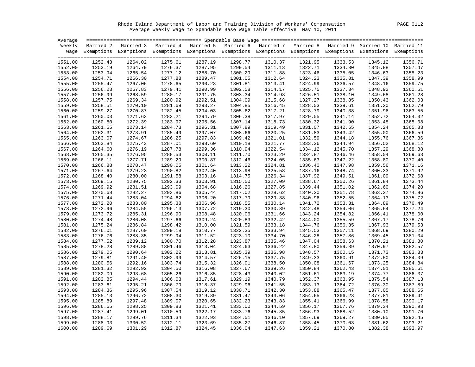Rhode Island Department of Labor and Training Division of Workers' Compensation PAGE 0112 Average Weekly Wage to Spendable Base Wage Table Effective May 10, 2011

|                    |         | Weekly Married 2 Married 3 Married 4 Married 5 Married 6 Married 7 Married 8 Married 9 Married 10 Married 11       |                    |                    |         |                    |         |                    |         |         |
|--------------------|---------|--------------------------------------------------------------------------------------------------------------------|--------------------|--------------------|---------|--------------------|---------|--------------------|---------|---------|
|                    |         | Wage Exemptions Exemptions Exemptions Exemptions Exemptions Exemptions Exemptions Exemptions Exemptions Exemptions |                    |                    |         |                    |         |                    |         |         |
|                    |         |                                                                                                                    |                    |                    |         |                    |         |                    |         |         |
| 1551.00            | 1252.43 | 1264.02                                                                                                            | 1275.61            | 1287.19            | 1298.77 | 1310.37            | 1321.95 | 1333.53            | 1345.12 | 1356.71 |
| 1552.00            | 1253.19 | 1264.79                                                                                                            | 1276.37            | 1287.95            | 1299.54 | 1311.13            | 1322.71 | 1334.30            | 1345.88 | 1357.47 |
| 1553.00            | 1253.94 | 1265.54                                                                                                            | 1277.12            | 1288.70            | 1300.29 | 1311.88            | 1323.46 | 1335.05            | 1346.63 | 1358.23 |
| 1554.00            | 1254.71 | 1266.30                                                                                                            | 1277.88            | 1289.47            | 1301.05 | 1312.64            | 1324.23 | 1335.81            | 1347.39 | 1358.99 |
| 1555.00            | 1255.47 | 1267.06                                                                                                            | 1278.65            | 1290.23            | 1301.81 | 1313.41            | 1324.99 | 1336.57            | 1348.16 | 1359.75 |
| 1556.00            | 1256.23 | 1267.83                                                                                                            | 1279.41            | 1290.99            | 1302.58 | 1314.17            | 1325.75 | 1337.34            | 1348.92 | 1360.51 |
| 1557.00            | 1256.99 | 1268.59                                                                                                            | 1280.17            | 1291.75            | 1303.34 | 1314.93            | 1326.51 | 1338.10            | 1349.68 | 1361.28 |
| 1558.00            | 1257.75 | 1269.34                                                                                                            | 1280.92            | 1292.51            | 1304.09 | 1315.68            | 1327.27 | 1338.85            | 1350.43 | 1362.03 |
| 1559.00            | 1258.51 | 1270.10                                                                                                            | 1281.69            | 1293.27            | 1304.85 | 1316.45            | 1328.03 | 1339.61            | 1351.20 | 1362.79 |
| 1560.00            | 1259.27 | 1270.87                                                                                                            | 1282.45            | 1294.03            | 1305.62 | 1317.21            | 1328.79 | 1340.38            | 1351.96 | 1363.55 |
| 1561.00            | 1260.03 | 1271.63                                                                                                            | 1283.21            | 1294.79            | 1306.38 | 1317.97            | 1329.55 | 1341.14            | 1352.72 | 1364.32 |
| 1562.00            | 1260.80 | 1272.39                                                                                                            | 1283.97            | 1295.56            | 1307.14 | 1318.73            | 1330.32 | 1341.90            | 1353.48 | 1365.08 |
| 1563.00            | 1261.55 | 1273.14                                                                                                            | 1284.73            | 1296.31            | 1307.89 | 1319.49            | 1331.07 | 1342.65            | 1354.24 | 1365.83 |
| 1564.00            | 1262.31 | 1273.91                                                                                                            | 1285.49            | 1297.07            | 1308.66 | 1320.25            | 1331.83 | 1343.42            | 1355.00 | 1366.59 |
| 1565.00            | 1263.07 | 1274.67                                                                                                            | 1286.25            | 1297.83            | 1309.42 | 1321.01            | 1332.59 | 1344.18            | 1355.76 | 1367.36 |
| 1566.00            | 1263.84 | 1275.43                                                                                                            | 1287.01            | 1298.60            | 1310.18 | 1321.77            | 1333.36 | 1344.94            | 1356.52 | 1368.12 |
| 1567.00            | 1264.60 | 1276.19                                                                                                            | 1287.78            | 1299.36            | 1310.94 | 1322.54            | 1334.12 | 1345.70            | 1357.29 | 1368.88 |
| 1568.00            | 1265.35 | 1276.95                                                                                                            | 1288.53            | 1300.11            | 1311.70 | 1323.29            | 1334.87 | 1346.46            | 1358.04 | 1369.63 |
| 1569.00            | 1266.11 | 1277.71                                                                                                            | 1289.29            | 1300.87            | 1312.46 | 1324.05            | 1335.63 | 1347.22            | 1358.80 | 1370.40 |
| 1570.00            | 1266.88 | 1278.47                                                                                                            | 1290.05            | 1301.64            | 1313.22 | 1324.81            | 1336.40 | 1347.98            | 1359.56 | 1371.16 |
| 1571.00            | 1267.64 | 1279.23                                                                                                            | 1290.82            | 1302.40            | 1313.98 | 1325.58            | 1337.16 | 1348.74            | 1360.33 | 1371.92 |
| 1572.00            | 1268.40 | 1280.00                                                                                                            | 1291.58            | 1303.16            | 1314.75 | 1326.34            | 1337.92 | 1349.51            | 1361.09 | 1372.68 |
| 1573.00            | 1269.15 | 1280.75                                                                                                            | 1292.33            | 1303.91            | 1315.50 | 1327.09            | 1338.67 | 1350.26            | 1361.84 | 1373.44 |
| 1574.00            | 1269.92 | 1281.51                                                                                                            | 1293.09            | 1304.68            | 1316.26 | 1327.85            | 1339.44 | 1351.02            | 1362.60 | 1374.20 |
| 1575.00            | 1270.68 | 1282.27                                                                                                            | 1293.86            | 1305.44            | 1317.02 | 1328.62            | 1340.20 | 1351.78            | 1363.37 | 1374.96 |
|                    |         |                                                                                                                    |                    |                    |         |                    |         |                    |         |         |
| 1576.00<br>1577.00 | 1271.44 | 1283.04<br>1283.80                                                                                                 | 1294.62<br>1295.38 | 1306.20<br>1306.96 | 1317.79 | 1329.38<br>1330.14 | 1340.96 | 1352.55<br>1353.31 | 1364.13 | 1375.72 |
|                    | 1272.20 |                                                                                                                    |                    |                    | 1318.55 |                    | 1341.72 |                    | 1364.89 | 1376.49 |
| 1578.00            | 1272.96 | 1284.55                                                                                                            | 1296.13            | 1307.72            | 1319.30 | 1330.89            | 1342.48 | 1354.06            | 1365.64 | 1377.24 |
| 1579.00            | 1273.72 | 1285.31                                                                                                            | 1296.90            | 1308.48            | 1320.06 | 1331.66            | 1343.24 | 1354.82            | 1366.41 | 1378.00 |
| 1580.00            | 1274.48 | 1286.08                                                                                                            | 1297.66            | 1309.24            | 1320.83 | 1332.42            | 1344.00 | 1355.59            | 1367.17 | 1378.76 |
| 1581.00            | 1275.24 | 1286.84                                                                                                            | 1298.42            | 1310.00            | 1321.59 | 1333.18            | 1344.76 | 1356.35            | 1367.93 | 1379.53 |
| 1582.00            | 1276.01 | 1287.60                                                                                                            | 1299.18            | 1310.77            | 1322.35 | 1333.94            | 1345.53 | 1357.11            | 1368.69 | 1380.29 |
| 1583.00            | 1276.76 | 1288.35                                                                                                            | 1299.94            | 1311.52            | 1323.10 | 1334.70            | 1346.28 | 1357.86            | 1369.45 | 1381.04 |
| 1584.00            | 1277.52 | 1289.12                                                                                                            | 1300.70            | 1312.28            | 1323.87 | 1335.46            | 1347.04 | 1358.63            | 1370.21 | 1381.80 |
| 1585.00            | 1278.28 | 1289.88                                                                                                            | 1301.46            | 1313.04            | 1324.63 | 1336.22            | 1347.80 | 1359.39            | 1370.97 | 1382.57 |
| 1586.00            | 1279.05 | 1290.64                                                                                                            | 1302.22            | 1313.81            | 1325.39 | 1336.98            | 1348.57 | 1360.15            | 1371.73 | 1383.33 |
| 1587.00            | 1279.81 | 1291.40                                                                                                            | 1302.99            | 1314.57            | 1326.15 | 1337.75            | 1349.33 | 1360.91            | 1372.50 | 1384.09 |
| 1588.00            | 1280.56 | 1292.16                                                                                                            | 1303.74            | 1315.32            | 1326.91 | 1338.50            | 1350.08 | 1361.67            | 1373.25 | 1384.84 |
| 1589.00            | 1281.32 | 1292.92                                                                                                            | 1304.50            | 1316.08            | 1327.67 | 1339.26            | 1350.84 | 1362.43            | 1374.01 | 1385.61 |
| 1590.00            | 1282.09 | 1293.68                                                                                                            | 1305.26            | 1316.85            | 1328.43 | 1340.02            | 1351.61 | 1363.19            | 1374.77 | 1386.37 |
| 1591.00            | 1282.85 | 1294.44                                                                                                            | 1306.03            | 1317.61            | 1329.19 | 1340.79            | 1352.37 | 1363.95            | 1375.54 | 1387.13 |
| 1592.00            | 1283.61 | 1295.21                                                                                                            | 1306.79            | 1318.37            | 1329.96 | 1341.55            | 1353.13 | 1364.72            | 1376.30 | 1387.89 |
| 1593.00            | 1284.36 | 1295.96                                                                                                            | 1307.54            | 1319.12            | 1330.71 | 1342.30            | 1353.88 | 1365.47            | 1377.05 | 1388.65 |
| 1594.00            | 1285.13 | 1296.72                                                                                                            | 1308.30            | 1319.89            | 1331.47 | 1343.06            | 1354.65 | 1366.23            | 1377.81 | 1389.41 |
| 1595.00            | 1285.89 | 1297.48                                                                                                            | 1309.07            | 1320.65            | 1332.23 | 1343.83            | 1355.41 | 1366.99            | 1378.58 | 1390.17 |
| 1596.00            | 1286.65 | 1298.25                                                                                                            | 1309.83            | 1321.41            | 1333.00 | 1344.59            | 1356.17 | 1367.76            | 1379.34 | 1390.93 |
| 1597.00            | 1287.41 | 1299.01                                                                                                            | 1310.59            | 1322.17            | 1333.76 | 1345.35            | 1356.93 | 1368.52            | 1380.10 | 1391.70 |
| 1598.00            | 1288.17 | 1299.76                                                                                                            | 1311.34            | 1322.93            | 1334.51 | 1346.10            | 1357.69 | 1369.27            | 1380.85 | 1392.45 |
| 1599.00            | 1288.93 | 1300.52                                                                                                            | 1312.11            | 1323.69            | 1335.27 | 1346.87            | 1358.45 | 1370.03            | 1381.62 | 1393.21 |
| 1600.00            | 1289.69 | 1301.29                                                                                                            | 1312.87            | 1324.45            | 1336.04 | 1347.63            | 1359.21 | 1370.80            | 1382.38 | 1393.97 |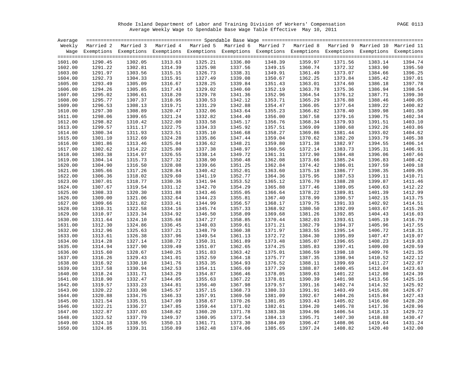Rhode Island Department of Labor and Training Division of Workers' Compensation PAGE 0113 Average Weekly Wage to Spendable Base Wage Table Effective May 10, 2011

|         |         | Weekly Married 2 Married 3 Married 4 Married 5 Married 6 Married 7 Married 8 Married 9 Married 10 Married 11       |         |         |         |         |         |         |         |         |
|---------|---------|--------------------------------------------------------------------------------------------------------------------|---------|---------|---------|---------|---------|---------|---------|---------|
|         |         | Wage Exemptions Exemptions Exemptions Exemptions Exemptions Exemptions Exemptions Exemptions Exemptions Exemptions |         |         |         |         |         |         |         |         |
|         |         |                                                                                                                    |         |         |         |         |         |         |         |         |
| 1601.00 | 1290.45 | 1302.05                                                                                                            | 1313.63 | 1325.21 | 1336.80 | 1348.39 | 1359.97 | 1371.56 | 1383.14 | 1394.74 |
| 1602.00 | 1291.22 | 1302.81                                                                                                            | 1314.39 | 1325.98 | 1337.56 | 1349.15 | 1360.74 | 1372.32 | 1383.90 | 1395.50 |
| 1603.00 | 1291.97 | 1303.56                                                                                                            | 1315.15 | 1326.73 | 1338.31 | 1349.91 | 1361.49 | 1373.07 | 1384.66 | 1396.25 |
| 1604.00 | 1292.73 | 1304.33                                                                                                            | 1315.91 | 1327.49 | 1339.08 | 1350.67 | 1362.25 | 1373.84 | 1385.42 | 1397.01 |
| 1605.00 | 1293.49 | 1305.09                                                                                                            | 1316.67 | 1328.25 | 1339.84 | 1351.43 | 1363.01 | 1374.60 | 1386.18 | 1397.78 |
| 1606.00 | 1294.26 | 1305.85                                                                                                            | 1317.43 | 1329.02 | 1340.60 | 1352.19 | 1363.78 | 1375.36 | 1386.94 | 1398.54 |
| 1607.00 | 1295.02 | 1306.61                                                                                                            | 1318.20 | 1329.78 | 1341.36 | 1352.96 | 1364.54 | 1376.12 | 1387.71 | 1399.30 |
| 1608.00 | 1295.77 | 1307.37                                                                                                            | 1318.95 | 1330.53 | 1342.12 | 1353.71 | 1365.29 | 1376.88 | 1388.46 | 1400.05 |
| 1609.00 | 1296.53 | 1308.13                                                                                                            | 1319.71 | 1331.29 | 1342.88 | 1354.47 | 1366.05 | 1377.64 | 1389.22 | 1400.82 |
| 1610.00 | 1297.30 | 1308.89                                                                                                            | 1320.47 | 1332.06 | 1343.64 | 1355.23 | 1366.82 | 1378.40 | 1389.98 | 1401.58 |
| 1611.00 | 1298.06 | 1309.65                                                                                                            | 1321.24 | 1332.82 | 1344.40 | 1356.00 | 1367.58 | 1379.16 | 1390.75 | 1402.34 |
| 1612.00 | 1298.82 | 1310.42                                                                                                            | 1322.00 | 1333.58 | 1345.17 | 1356.76 | 1368.34 | 1379.93 | 1391.51 | 1403.10 |
| 1613.00 | 1299.57 | 1311.17                                                                                                            | 1322.75 | 1334.33 | 1345.92 | 1357.51 | 1369.09 | 1380.68 | 1392.26 | 1403.86 |
| 1614.00 | 1300.34 | 1311.93                                                                                                            | 1323.51 | 1335.10 | 1346.68 | 1358.27 | 1369.86 | 1381.44 | 1393.02 | 1404.62 |
| 1615.00 | 1301.10 | 1312.69                                                                                                            | 1324.28 | 1335.86 | 1347.44 | 1359.04 | 1370.62 | 1382.20 | 1393.79 | 1405.38 |
| 1616.00 | 1301.86 | 1313.46                                                                                                            | 1325.04 | 1336.62 | 1348.21 | 1359.80 | 1371.38 | 1382.97 | 1394.55 | 1406.14 |
| 1617.00 | 1302.62 | 1314.22                                                                                                            | 1325.80 | 1337.38 | 1348.97 | 1360.56 | 1372.14 | 1383.73 | 1395.31 | 1406.91 |
| 1618.00 | 1303.38 | 1314.97                                                                                                            | 1326.55 | 1338.14 | 1349.72 | 1361.31 | 1372.90 | 1384.48 | 1396.06 | 1407.66 |
| 1619.00 | 1304.14 | 1315.73                                                                                                            | 1327.32 | 1338.90 | 1350.48 | 1362.08 | 1373.66 | 1385.24 | 1396.83 | 1408.42 |
| 1620.00 | 1304.90 | 1316.50                                                                                                            | 1328.08 | 1339.66 | 1351.25 | 1362.84 | 1374.42 | 1386.01 | 1397.59 | 1409.18 |
| 1621.00 | 1305.66 | 1317.26                                                                                                            | 1328.84 | 1340.42 | 1352.01 | 1363.60 | 1375.18 | 1386.77 | 1398.35 | 1409.95 |
| 1622.00 | 1306.36 | 1318.02                                                                                                            | 1329.60 | 1341.19 | 1352.77 | 1364.36 | 1375.95 | 1387.53 | 1399.11 | 1410.71 |
| 1623.00 | 1307.01 | 1318.77                                                                                                            | 1330.36 | 1341.94 | 1353.52 | 1365.12 | 1376.70 | 1388.28 | 1399.87 | 1411.46 |
| 1624.00 | 1307.67 | 1319.54                                                                                                            | 1331.12 | 1342.70 | 1354.29 | 1365.88 | 1377.46 | 1389.05 | 1400.63 | 1412.22 |
| 1625.00 | 1308.33 | 1320.30                                                                                                            | 1331.88 | 1343.46 | 1355.05 | 1366.64 | 1378.22 | 1389.81 | 1401.39 | 1412.99 |
| 1626.00 | 1309.00 | 1321.06                                                                                                            | 1332.64 | 1344.23 | 1355.81 | 1367.40 | 1378.99 | 1390.57 | 1402.15 | 1413.75 |
| 1627.00 | 1309.66 | 1321.82                                                                                                            | 1333.41 | 1344.99 | 1356.57 | 1368.17 | 1379.75 | 1391.33 | 1402.92 | 1414.51 |
| 1628.00 | 1310.31 | 1322.58                                                                                                            | 1334.16 | 1345.74 | 1357.33 | 1368.92 | 1380.50 | 1392.09 | 1403.67 | 1415.26 |
| 1629.00 | 1310.97 | 1323.34                                                                                                            | 1334.92 | 1346.50 | 1358.09 | 1369.68 | 1381.26 | 1392.85 | 1404.43 | 1416.03 |
| 1630.00 | 1311.64 | 1324.10                                                                                                            | 1335.68 | 1347.27 | 1358.85 | 1370.44 | 1382.03 | 1393.61 | 1405.19 | 1416.79 |
| 1631.00 | 1312.30 | 1324.86                                                                                                            | 1336.45 | 1348.03 | 1359.61 | 1371.21 | 1382.79 | 1394.37 | 1405.96 | 1417.55 |
| 1632.00 | 1312.96 | 1325.63                                                                                                            | 1337.21 | 1348.79 | 1360.38 | 1371.97 | 1383.55 | 1395.14 | 1406.72 | 1418.31 |
| 1633.00 | 1313.61 | 1326.38                                                                                                            | 1337.96 | 1349.54 | 1361.13 | 1372.72 | 1384.30 | 1395.89 | 1407.47 | 1419.07 |
| 1634.00 | 1314.28 | 1327.14                                                                                                            | 1338.72 | 1350.31 | 1361.89 | 1373.48 | 1385.07 | 1396.65 | 1408.23 | 1419.83 |
| 1635.00 | 1314.94 | 1327.90                                                                                                            | 1339.49 | 1351.07 | 1362.65 | 1374.25 | 1385.83 | 1397.41 | 1409.00 | 1420.59 |
| 1636.00 | 1315.60 | 1328.67                                                                                                            | 1340.25 | 1351.83 | 1363.42 | 1375.01 | 1386.59 | 1398.18 | 1409.76 | 1421.35 |
| 1637.00 | 1316.26 | 1329.43                                                                                                            | 1341.01 | 1352.59 | 1364.18 | 1375.77 | 1387.35 | 1398.94 | 1410.52 | 1422.12 |
| 1638.00 | 1316.92 | 1330.18                                                                                                            | 1341.76 | 1353.35 | 1364.93 | 1376.52 | 1388.11 | 1399.69 | 1411.27 | 1422.87 |
| 1639.00 | 1317.58 | 1330.94                                                                                                            | 1342.53 | 1354.11 | 1365.69 | 1377.29 | 1388.87 | 1400.45 | 1412.04 | 1423.63 |
| 1640.00 | 1318.24 | 1331.71                                                                                                            | 1343.29 | 1354.87 | 1366.46 | 1378.05 | 1389.63 | 1401.22 | 1412.80 | 1424.39 |
| 1641.00 | 1318.90 | 1332.47                                                                                                            | 1344.05 | 1355.63 | 1367.22 | 1378.81 | 1390.39 | 1401.98 | 1413.56 | 1425.16 |
| 1642.00 | 1319.57 | 1333.23                                                                                                            | 1344.81 | 1356.40 | 1367.98 | 1379.57 | 1391.16 | 1402.74 | 1414.32 | 1425.92 |
| 1643.00 | 1320.22 | 1333.98                                                                                                            | 1345.57 | 1357.15 | 1368.73 | 1380.33 | 1391.91 | 1403.49 | 1415.08 | 1426.67 |
| 1644.00 | 1320.88 | 1334.75                                                                                                            | 1346.33 | 1357.91 | 1369.50 | 1381.09 | 1392.67 | 1404.26 | 1415.84 | 1427.43 |
| 1645.00 | 1321.54 | 1335.51                                                                                                            | 1347.09 | 1358.67 | 1370.26 | 1381.85 | 1393.43 | 1405.02 | 1416.60 | 1428.20 |
| 1646.00 | 1322.21 | 1336.27                                                                                                            | 1347.85 | 1359.44 | 1371.02 | 1382.61 | 1394.20 | 1405.78 | 1417.36 | 1428.96 |
| 1647.00 | 1322.87 | 1337.03                                                                                                            | 1348.62 | 1360.20 | 1371.78 | 1383.38 | 1394.96 | 1406.54 | 1418.13 | 1429.72 |
| 1648.00 | 1323.52 | 1337.79                                                                                                            | 1349.37 | 1360.95 | 1372.54 | 1384.13 | 1395.71 | 1407.30 | 1418.88 | 1430.47 |
| 1649.00 | 1324.18 | 1338.55                                                                                                            | 1350.13 | 1361.71 | 1373.30 | 1384.89 | 1396.47 | 1408.06 | 1419.64 | 1431.24 |
| 1650.00 | 1324.85 | 1339.31                                                                                                            | 1350.89 | 1362.48 | 1374.06 | 1385.65 | 1397.24 | 1408.82 | 1420.40 | 1432.00 |
|         |         |                                                                                                                    |         |         |         |         |         |         |         |         |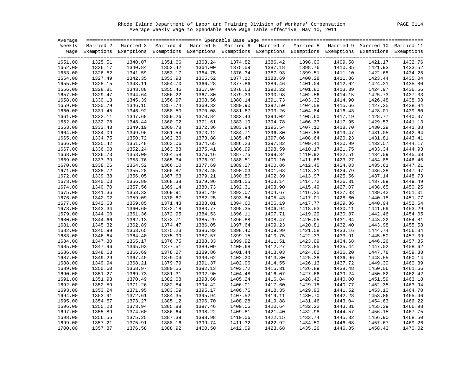Rhode Island Department of Labor and Training Division of Workers' Compensation PAGE 0114 Average Weekly Wage to Spendable Base Wage Table Effective May 10, 2011

|         |         | Weekly Married 2 Married 3 Married 4 Married 5 Married 6 Married 7 Married 8 Married 9 Married 10 Married 11       |         |         |         |         |         |         |         |         |
|---------|---------|--------------------------------------------------------------------------------------------------------------------|---------|---------|---------|---------|---------|---------|---------|---------|
|         |         | Wage Exemptions Exemptions Exemptions Exemptions Exemptions Exemptions Exemptions Exemptions Exemptions Exemptions |         |         |         |         |         |         |         |         |
|         |         |                                                                                                                    |         |         |         |         |         |         |         |         |
| 1651.00 | 1325.51 | 1340.07                                                                                                            | 1351.66 | 1363.24 | 1374.82 | 1386.42 | 1398.00 | 1409.58 | 1421.17 | 1432.76 |
| 1652.00 | 1326.17 | 1340.84                                                                                                            | 1352.42 | 1364.00 | 1375.59 | 1387.18 | 1398.76 | 1410.35 | 1421.93 | 1433.52 |
| 1653.00 | 1326.82 | 1341.59                                                                                                            | 1353.17 | 1364.75 | 1376.34 | 1387.93 | 1399.51 | 1411.10 | 1422.68 | 1434.28 |
| 1654.00 | 1327.49 | 1342.35                                                                                                            | 1353.93 | 1365.52 | 1377.10 | 1388.69 | 1400.28 | 1411.86 | 1423.44 | 1435.04 |
| 1655.00 | 1328.15 | 1343.11                                                                                                            | 1354.70 | 1366.28 | 1377.86 | 1389.46 | 1401.04 | 1412.62 | 1424.21 | 1435.80 |
| 1656.00 | 1328.81 | 1343.88                                                                                                            | 1355.46 | 1367.04 | 1378.63 | 1390.22 | 1401.80 | 1413.39 | 1424.97 | 1436.56 |
| 1657.00 | 1329.47 | 1344.64                                                                                                            | 1356.22 | 1367.80 | 1379.39 | 1390.98 | 1402.56 | 1414.15 | 1425.73 | 1437.33 |
| 1658.00 | 1330.13 | 1345.39                                                                                                            | 1356.97 | 1368.56 | 1380.14 | 1391.73 | 1403.32 | 1414.90 | 1426.48 | 1438.08 |
| 1659.00 | 1330.79 | 1346.15                                                                                                            | 1357.74 | 1369.32 | 1380.90 | 1392.50 | 1404.08 | 1415.66 | 1427.25 | 1438.84 |
| 1660.00 | 1331.45 | 1346.92                                                                                                            | 1358.50 | 1370.08 | 1381.67 | 1393.26 | 1404.84 | 1416.43 | 1428.01 | 1439.60 |
| 1661.00 | 1332.11 | 1347.68                                                                                                            | 1359.26 | 1370.84 | 1382.43 | 1394.02 | 1405.60 | 1417.19 | 1428.77 | 1440.37 |
| 1662.00 | 1332.78 | 1348.44                                                                                                            | 1360.02 | 1371.61 | 1383.19 | 1394.78 | 1406.37 | 1417.95 | 1429.53 | 1441.13 |
| 1663.00 | 1333.43 | 1349.19                                                                                                            | 1360.78 | 1372.36 | 1383.94 | 1395.54 | 1407.12 | 1418.70 | 1430.29 | 1441.88 |
| 1664.00 | 1334.09 | 1349.96                                                                                                            | 1361.54 | 1373.12 | 1384.71 | 1396.30 | 1407.88 | 1419.47 | 1431.05 | 1442.64 |
| 1665.00 | 1334.75 | 1350.72                                                                                                            | 1362.30 | 1373.88 | 1385.47 | 1397.06 | 1408.64 | 1420.23 | 1431.81 | 1443.41 |
| 1666.00 | 1335.42 | 1351.48                                                                                                            | 1363.06 | 1374.65 | 1386.23 | 1397.82 | 1409.41 | 1420.99 | 1432.57 | 1444.17 |
| 1667.00 | 1336.08 | 1352.24                                                                                                            | 1363.83 | 1375.41 | 1386.99 | 1398.59 | 1410.17 | 1421.75 | 1433.34 | 1444.93 |
| 1668.00 | 1336.73 | 1353.00                                                                                                            | 1364.58 | 1376.16 | 1387.75 | 1399.34 | 1410.92 | 1422.51 | 1434.09 | 1445.68 |
| 1669.00 | 1337.39 | 1353.76                                                                                                            | 1365.34 | 1376.92 | 1388.51 | 1400.10 | 1411.68 | 1423.27 | 1434.85 | 1446.45 |
| 1670.00 | 1338.06 | 1354.52                                                                                                            | 1366.10 | 1377.69 | 1389.27 | 1400.86 | 1412.45 | 1424.03 | 1435.61 | 1447.21 |
| 1671.00 | 1338.72 | 1355.28                                                                                                            | 1366.87 | 1378.45 | 1390.03 | 1401.63 | 1413.21 | 1424.79 | 1436.38 | 1447.97 |
| 1672.00 | 1339.38 | 1356.05                                                                                                            | 1367.63 | 1379.21 | 1390.80 | 1402.39 | 1413.97 | 1425.56 | 1437.14 | 1448.73 |
| 1673.00 | 1340.03 | 1356.80                                                                                                            | 1368.38 | 1379.96 | 1391.55 | 1403.14 | 1414.72 | 1426.31 | 1437.89 | 1449.49 |
| 1674.00 | 1340.70 | 1357.56                                                                                                            | 1369.14 | 1380.73 | 1392.31 | 1403.90 | 1415.49 | 1427.07 | 1438.65 | 1450.25 |
|         |         |                                                                                                                    |         |         |         |         |         |         |         |         |
| 1675.00 | 1341.36 | 1358.32                                                                                                            | 1369.91 | 1381.49 | 1393.07 | 1404.67 | 1416.25 | 1427.83 | 1439.42 | 1451.01 |
| 1676.00 | 1342.02 | 1359.09                                                                                                            | 1370.67 | 1382.25 | 1393.84 | 1405.43 | 1417.01 | 1428.60 | 1440.18 | 1451.77 |
| 1677.00 | 1342.68 | 1359.85                                                                                                            | 1371.43 | 1383.01 | 1394.60 | 1406.19 | 1417.77 | 1429.36 | 1440.94 | 1452.54 |
| 1678.00 | 1343.34 | 1360.60                                                                                                            | 1372.18 | 1383.77 | 1395.35 | 1406.94 | 1418.53 | 1430.11 | 1441.69 | 1453.29 |
| 1679.00 | 1344.00 | 1361.36                                                                                                            | 1372.95 | 1384.53 | 1396.11 | 1407.71 | 1419.29 | 1430.87 | 1442.46 | 1454.05 |
| 1680.00 | 1344.66 | 1362.13                                                                                                            | 1373.71 | 1385.29 | 1396.88 | 1408.47 | 1420.05 | 1431.64 | 1443.22 | 1454.81 |
| 1681.00 | 1345.32 | 1362.89                                                                                                            | 1374.47 | 1386.05 | 1397.64 | 1409.23 | 1420.81 | 1432.40 | 1443.98 | 1455.58 |
| 1682.00 | 1345.99 | 1363.65                                                                                                            | 1375.23 | 1386.82 | 1398.40 | 1409.99 | 1421.58 | 1433.16 | 1444.74 | 1456.34 |
| 1683.00 | 1346.64 | 1364.40                                                                                                            | 1375.99 | 1387.57 | 1399.15 | 1410.75 | 1422.33 | 1433.91 | 1445.50 | 1457.09 |
| 1684.00 | 1347.30 | 1365.17                                                                                                            | 1376.75 | 1388.33 | 1399.92 | 1411.51 | 1423.09 | 1434.68 | 1446.26 | 1457.85 |
| 1685.00 | 1347.96 | 1365.93                                                                                                            | 1377.51 | 1389.09 | 1400.68 | 1412.27 | 1423.85 | 1435.44 | 1447.02 | 1458.62 |
| 1686.00 | 1348.63 | 1366.69                                                                                                            | 1378.27 | 1389.86 | 1401.44 | 1413.03 | 1424.62 | 1436.20 | 1447.78 | 1459.38 |
| 1687.00 | 1349.29 | 1367.45                                                                                                            | 1379.04 | 1390.62 | 1402.20 | 1413.80 | 1425.38 | 1436.96 | 1448.55 | 1460.14 |
| 1688.00 | 1349.94 | 1368.21                                                                                                            | 1379.79 | 1391.37 | 1402.96 | 1414.55 | 1426.13 | 1437.72 | 1449.30 | 1460.89 |
| 1689.00 | 1350.60 | 1368.97                                                                                                            | 1380.55 | 1392.13 | 1403.72 | 1415.31 | 1426.89 | 1438.48 | 1450.06 | 1461.66 |
| 1690.00 | 1351.27 | 1369.73                                                                                                            | 1381.31 | 1392.90 | 1404.48 | 1416.07 | 1427.66 | 1439.24 | 1450.82 | 1462.42 |
| 1691.00 | 1351.93 | 1370.49                                                                                                            | 1382.08 | 1393.66 | 1405.24 | 1416.84 | 1428.42 | 1440.00 | 1451.59 | 1463.18 |
| 1692.00 | 1352.59 | 1371.26                                                                                                            | 1382.84 | 1394.42 | 1406.01 | 1417.60 | 1429.18 | 1440.77 | 1452.35 | 1463.94 |
| 1693.00 | 1353.24 | 1371.95                                                                                                            | 1383.59 | 1395.17 | 1406.76 | 1418.35 | 1429.93 | 1441.52 | 1453.10 | 1464.70 |
| 1694.00 | 1353.91 | 1372.61                                                                                                            | 1384.35 | 1395.94 | 1407.52 | 1419.11 | 1430.70 | 1442.28 | 1453.86 | 1465.46 |
| 1695.00 | 1354.57 | 1373.27                                                                                                            | 1385.12 | 1396.70 | 1408.28 | 1419.88 | 1431.46 | 1443.04 | 1454.63 | 1466.22 |
| 1696.00 | 1355.23 | 1373.94                                                                                                            | 1385.88 | 1397.46 | 1409.05 | 1420.64 | 1432.22 | 1443.81 | 1455.39 | 1466.98 |
| 1697.00 | 1355.89 | 1374.60                                                                                                            | 1386.64 | 1398.22 | 1409.81 | 1421.40 | 1432.98 | 1444.57 | 1456.15 | 1467.75 |
| 1698.00 | 1356.55 | 1375.25                                                                                                            | 1387.39 | 1398.98 | 1410.56 | 1422.15 | 1433.74 | 1445.32 | 1456.90 | 1468.50 |
| 1699.00 | 1357.21 | 1375.91                                                                                                            | 1388.16 | 1399.74 | 1411.32 | 1422.92 | 1434.50 | 1446.08 | 1457.67 | 1469.26 |
| 1700.00 | 1357.87 | 1376.58                                                                                                            | 1388.92 | 1400.50 | 1412.09 | 1423.68 | 1435.26 | 1446.85 | 1458.43 | 1470.02 |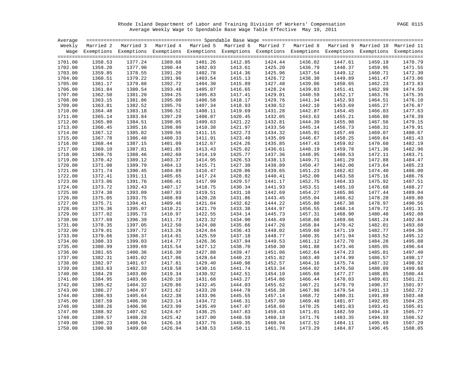Rhode Island Department of Labor and Training Division of Workers' Compensation PAGE 0115 Average Weekly Wage to Spendable Base Wage Table Effective May 10, 2011

|         |         | Weekly Married 2 Married 3 Married 4 Married 5 Married 6 Married 7 Married 8 Married 9 Married 10 Married 11       |         |         |         |                    |         |         |         |         |
|---------|---------|--------------------------------------------------------------------------------------------------------------------|---------|---------|---------|--------------------|---------|---------|---------|---------|
|         |         | Wage Exemptions Exemptions Exemptions Exemptions Exemptions Exemptions Exemptions Exemptions Exemptions Exemptions |         |         |         |                    |         |         |         |         |
|         |         |                                                                                                                    |         |         |         |                    |         |         |         |         |
| 1701.00 | 1358.53 | 1377.24                                                                                                            | 1389.68 | 1401.26 | 1412.85 | 1424.44            | 1436.02 | 1447.61 | 1459.19 | 1470.79 |
| 1702.00 | 1359.20 | 1377.90                                                                                                            | 1390.44 | 1402.03 | 1413.61 | 1424.44<br>1425.20 | 1436.79 | 1448.37 | 1459.95 | 1471.55 |
| 1703.00 | 1359.85 | 1378.55                                                                                                            | 1391.20 | 1402.78 | 1414.36 | 1425.96            | 1437.54 | 1449.12 | 1460.71 | 1472.30 |
| 1704.00 | 1360.51 | 1379.22                                                                                                            | 1391.96 | 1403.54 | 1415.13 | 1426.72            | 1438.30 | 1449.89 | 1461.47 | 1473.06 |
| 1705.00 | 1361.17 | 1379.88                                                                                                            | 1392.72 | 1404.30 | 1415.89 | 1427.48            | 1439.06 | 1450.65 | 1462.23 | 1473.83 |
| 1706.00 | 1361.84 | 1380.54                                                                                                            | 1393.48 | 1405.07 | 1416.65 | 1428.24            | 1439.83 | 1451.41 | 1462.99 | 1474.59 |
| 1707.00 | 1362.50 | 1381.20                                                                                                            | 1394.25 | 1405.83 | 1417.41 | 1429.01            | 1440.59 | 1452.17 | 1463.76 | 1475.35 |
| 1708.00 | 1363.15 | 1381.86                                                                                                            | 1395.00 | 1406.58 | 1418.17 | 1429.76            | 1441.34 | 1452.93 | 1464.51 | 1476.10 |
| 1709.00 | 1363.81 | 1382.52                                                                                                            | 1395.76 | 1407.34 | 1418.93 | 1430.52            | 1442.10 | 1453.69 | 1465.27 | 1476.87 |
| 1710.00 | 1364.48 | 1383.18                                                                                                            | 1396.52 | 1408.11 | 1419.69 | 1431.28            | 1442.87 | 1454.45 | 1466.03 | 1477.63 |
| 1711.00 | 1365.14 | 1383.84                                                                                                            | 1397.29 | 1408.87 | 1420.45 | 1432.05            | 1443.63 | 1455.21 | 1466.80 | 1478.39 |
| 1712.00 | 1365.80 | 1384.51                                                                                                            | 1398.05 | 1409.63 | 1421.22 | 1432.81            | 1444.39 | 1455.98 | 1467.56 | 1479.15 |
| 1713.00 | 1366.45 | 1385.16                                                                                                            | 1398.80 | 1410.38 | 1421.97 | 1433.56            | 1445.14 | 1456.73 | 1468.31 | 1479.91 |
| 1714.00 | 1367.12 | 1385.82                                                                                                            | 1399.56 | 1411.15 | 1422.73 | 1434.32            | 1445.91 | 1457.49 | 1469.07 | 1480.67 |
| 1715.00 | 1367.78 | 1386.48                                                                                                            | 1400.33 | 1411.91 | 1423.49 | 1435.09            | 1446.67 | 1458.25 | 1469.84 | 1481.43 |
| 1716.00 | 1368.44 | 1387.15                                                                                                            | 1401.09 | 1412.67 | 1424.26 | 1435.85            | 1447.43 | 1459.02 | 1470.60 | 1482.19 |
| 1717.00 | 1369.10 | 1387.81                                                                                                            | 1401.85 | 1413.43 | 1425.02 | 1436.61            | 1448.19 | 1459.78 | 1471.36 | 1482.96 |
| 1718.00 | 1369.76 | 1388.46                                                                                                            | 1402.60 | 1414.19 | 1425.77 | 1437.36            | 1448.95 | 1460.53 | 1472.11 | 1483.71 |
| 1719.00 | 1370.42 | 1389.12                                                                                                            | 1403.37 | 1414.95 | 1426.53 | 1438.13            | 1449.71 | 1461.29 | 1472.88 | 1484.47 |
| 1720.00 | 1371.08 | 1389.79                                                                                                            | 1404.13 | 1415.71 | 1427.30 | 1438.89            | 1450.47 | 1462.06 | 1473.64 | 1485.23 |
| 1721.00 | 1371.74 | 1390.45                                                                                                            | 1404.89 | 1416.47 | 1428.06 | 1439.65            | 1451.23 | 1462.82 | 1474.40 | 1486.00 |
| 1722.00 | 1372.41 | 1391.11                                                                                                            | 1405.65 | 1417.24 | 1428.82 | 1440.41            | 1452.00 | 1463.58 | 1475.16 | 1486.76 |
| 1723.00 | 1373.06 | 1391.76                                                                                                            | 1406.41 | 1417.99 | 1429.57 | 1441.17            | 1452.75 | 1464.33 | 1475.92 | 1487.51 |
| 1724.00 | 1373.72 | 1392.43                                                                                                            | 1407.17 | 1418.75 | 1430.34 | 1441.93            | 1453.51 | 1465.10 | 1476.68 | 1488.27 |
| 1725.00 | 1374.38 | 1393.09                                                                                                            | 1407.93 | 1419.51 | 1431.10 | 1442.69            | 1454.27 | 1465.86 | 1477.44 | 1489.04 |
| 1726.00 | 1375.05 | 1393.75                                                                                                            | 1408.69 | 1420.28 | 1431.86 | 1443.45            | 1455.04 | 1466.62 | 1478.20 | 1489.80 |
| 1727.00 | 1375.71 | 1394.41                                                                                                            | 1409.46 | 1421.04 | 1432.62 | 1444.22            | 1455.80 | 1467.38 | 1478.97 | 1490.56 |
| 1728.00 | 1376.36 | 1395.07                                                                                                            | 1410.21 | 1421.79 | 1433.38 | 1444.97            | 1456.55 | 1468.14 | 1479.72 | 1491.31 |
| 1729.00 | 1377.02 | 1395.73                                                                                                            | 1410.97 | 1422.55 | 1434.14 | 1445.73            | 1457.31 | 1468.90 | 1480.48 | 1492.08 |
| 1730.00 | 1377.69 | 1396.39                                                                                                            | 1411.73 | 1423.32 | 1434.90 | 1446.49            | 1458.08 | 1469.66 | 1481.24 | 1492.84 |
| 1731.00 | 1378.35 | 1397.05                                                                                                            | 1412.50 | 1424.08 | 1435.66 | 1447.26            | 1458.84 | 1470.42 | 1482.01 | 1493.60 |
| 1732.00 | 1379.01 | 1397.72                                                                                                            | 1413.26 | 1424.84 | 1436.43 | 1448.02            | 1459.60 | 1471.19 | 1482.77 | 1494.36 |
| 1733.00 | 1379.66 | 1398.37                                                                                                            | 1414.01 | 1425.59 | 1437.18 | 1448.77            | 1460.35 | 1471.94 | 1483.52 | 1495.12 |
| 1734.00 | 1380.33 | 1399.03                                                                                                            | 1414.77 | 1426.36 | 1437.94 | 1449.53            | 1461.12 | 1472.70 | 1484.28 | 1495.88 |
| 1735.00 | 1380.99 | 1399.69                                                                                                            | 1415.54 | 1427.12 | 1438.70 | 1450.30            | 1461.88 | 1473.46 | 1485.05 | 1496.64 |
| 1736.00 | 1381.65 | 1400.36                                                                                                            | 1416.30 | 1427.88 | 1439.47 | 1451.06            | 1462.64 | 1474.23 | 1485.81 | 1497.40 |
| 1737.00 | 1382.31 | 1401.02                                                                                                            | 1417.06 | 1428.64 | 1440.23 | 1451.82            | 1463.40 | 1474.99 | 1486.57 | 1498.17 |
| 1738.00 | 1382.97 | 1401.67                                                                                                            | 1417.81 | 1429.40 | 1440.98 | 1452.57            | 1464.16 | 1475.74 | 1487.32 | 1498.92 |
| 1739.00 | 1383.63 | 1402.33                                                                                                            | 1418.58 | 1430.16 | 1441.74 | 1453.34            | 1464.92 | 1476.50 | 1488.09 | 1499.68 |
| 1740.00 | 1384.29 | 1403.00                                                                                                            | 1419.34 | 1430.92 | 1442.51 | 1454.10            | 1465.68 | 1477.27 | 1488.85 | 1500.44 |
|         |         |                                                                                                                    |         |         |         |                    |         |         |         |         |
| 1741.00 | 1384.95 | 1403.66                                                                                                            | 1420.10 | 1431.68 | 1443.27 | 1454.86            | 1466.44 | 1478.03 | 1489.61 | 1501.21 |
| 1742.00 | 1385.62 | 1404.32                                                                                                            | 1420.86 | 1432.45 | 1444.03 | 1455.62            | 1467.21 | 1478.79 | 1490.37 | 1501.97 |
| 1743.00 | 1386.27 | 1404.97                                                                                                            | 1421.62 | 1433.20 | 1444.78 | 1456.38            | 1467.96 | 1479.54 | 1491.13 | 1502.72 |
| 1744.00 | 1386.93 | 1405.64                                                                                                            | 1422.38 | 1433.96 | 1445.55 | 1457.14            | 1468.72 | 1480.31 | 1491.89 | 1503.48 |
| 1745.00 | 1387.59 | 1406.30                                                                                                            | 1423.14 | 1434.72 | 1446.31 | 1457.90            | 1469.48 | 1481.07 | 1492.65 | 1504.25 |
| 1746.00 | 1388.26 | 1406.96                                                                                                            | 1423.90 | 1435.49 | 1447.07 | 1458.66            | 1470.25 | 1481.83 | 1493.41 | 1505.01 |
| 1747.00 | 1388.92 | 1407.62                                                                                                            | 1424.67 | 1436.25 | 1447.83 | 1459.43            | 1471.01 | 1482.59 | 1494.18 | 1505.77 |
| 1748.00 | 1389.57 | 1408.28                                                                                                            | 1425.42 | 1437.00 | 1448.59 | 1460.18            | 1471.76 | 1483.35 | 1494.93 | 1506.52 |
| 1749.00 | 1390.23 | 1408.94                                                                                                            | 1426.18 | 1437.76 | 1449.35 | 1460.94            | 1472.52 | 1484.11 | 1495.69 | 1507.29 |
| 1750.00 | 1390.90 | 1409.60                                                                                                            | 1426.94 | 1438.53 | 1450.11 | 1461.70            | 1473.29 | 1484.87 | 1496.45 | 1508.05 |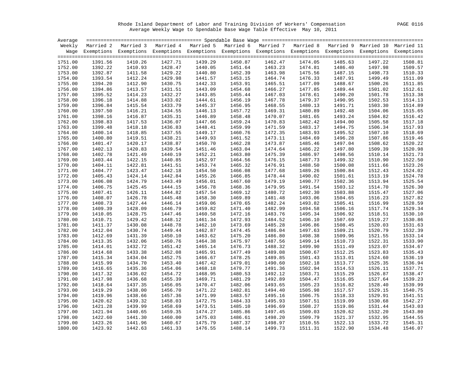Rhode Island Department of Labor and Training Division of Workers' Compensation PAGE 0116 Average Weekly Wage to Spendable Base Wage Table Effective May 10, 2011

| Average |         |                                                                                                                    |         |         |         |                    |         |         |         |         |
|---------|---------|--------------------------------------------------------------------------------------------------------------------|---------|---------|---------|--------------------|---------|---------|---------|---------|
|         |         | Weekly Married 2 Married 3 Married 4 Married 5 Married 6 Married 7 Married 8 Married 9 Married 10 Married 11       |         |         |         |                    |         |         |         |         |
|         |         | Wage Exemptions Exemptions Exemptions Exemptions Exemptions Exemptions Exemptions Exemptions Exemptions Exemptions |         |         |         |                    |         |         |         |         |
|         |         |                                                                                                                    |         |         |         |                    |         |         |         |         |
| 1751.00 | 1391.56 | 1410.26                                                                                                            | 1427.71 | 1439.29 | 1450.87 | 1462.47            | 1474.05 | 1485.63 | 1497.22 | 1508.81 |
| 1752.00 | 1392.22 | 1410.93                                                                                                            | 1428.47 | 1440.05 | 1451.64 | 1462.47<br>1463.23 | 1474.81 | 1486.40 | 1497.98 | 1509.57 |
| 1753.00 | 1392.87 | 1411.58                                                                                                            | 1429.22 | 1440.80 | 1452.39 | 1463.98            | 1475.56 | 1487.15 | 1498.73 | 1510.33 |
| 1754.00 | 1393.54 | 1412.24                                                                                                            | 1429.98 | 1441.57 | 1453.15 | 1464.74            | 1476.33 | 1487.91 | 1499.49 | 1511.09 |
| 1755.00 | 1394.20 | 1412.90                                                                                                            | 1430.75 | 1442.33 | 1453.91 | 1465.51            | 1477.09 | 1488.67 | 1500.26 | 1511.85 |
| 1756.00 | 1394.86 | 1413.57                                                                                                            | 1431.51 | 1443.09 | 1454.68 | 1466.27            | 1477.85 | 1489.44 | 1501.02 | 1512.61 |
| 1757.00 | 1395.52 | 1414.23                                                                                                            | 1432.27 | 1443.85 | 1455.44 | 1467.03            | 1478.61 | 1490.20 | 1501.78 | 1513.38 |
| 1758.00 | 1396.18 | 1414.88                                                                                                            | 1433.02 | 1444.61 | 1456.19 | 1467.78            | 1479.37 | 1490.95 | 1502.53 | 1514.13 |
| 1759.00 | 1396.84 | 1415.54                                                                                                            | 1433.79 | 1445.37 | 1456.95 | 1468.55            | 1480.13 | 1491.71 | 1503.30 | 1514.89 |
| 1760.00 | 1397.50 | 1416.21                                                                                                            | 1434.55 | 1446.13 | 1457.72 | 1469.31            | 1480.89 | 1492.48 | 1504.06 | 1515.65 |
| 1761.00 | 1398.16 | 1416.87                                                                                                            | 1435.31 | 1446.89 | 1458.48 | 1470.07            | 1481.65 | 1493.24 | 1504.82 | 1516.42 |
| 1762.00 | 1398.83 | 1417.53                                                                                                            | 1436.07 | 1447.66 | 1459.24 | 1470.83            | 1482.42 | 1494.00 | 1505.58 | 1517.18 |
| 1763.00 | 1399.48 | 1418.18                                                                                                            | 1436.83 | 1448.41 | 1459.99 | 1471.59            | 1483.17 | 1494.75 | 1506.34 | 1517.93 |
| 1764.00 | 1400.14 | 1418.85                                                                                                            | 1437.55 | 1449.17 | 1460.76 | 1472.35            | 1483.93 | 1495.52 | 1507.10 | 1518.69 |
| 1765.00 | 1400.80 | 1419.51                                                                                                            | 1438.21 | 1449.93 | 1461.52 | 1473.11            | 1484.69 | 1496.28 | 1507.86 | 1519.46 |
| 1766.00 | 1401.47 | 1420.17                                                                                                            | 1438.87 | 1450.70 | 1462.28 | 1473.87            | 1485.46 | 1497.04 | 1508.62 | 1520.22 |
| 1767.00 | 1402.13 | 1420.83                                                                                                            | 1439.54 | 1451.46 | 1463.04 | 1474.64            | 1486.22 | 1497.80 | 1509.39 | 1520.98 |
| 1768.00 | 1402.78 | 1421.49                                                                                                            | 1440.19 | 1452.21 | 1463.80 | 1475.39            | 1486.97 | 1498.56 | 1510.14 | 1521.73 |
| 1769.00 | 1403.44 | 1422.15                                                                                                            | 1440.85 | 1452.97 | 1464.56 | 1476.15            | 1487.73 | 1499.32 | 1510.90 | 1522.50 |
| 1770.00 | 1404.11 | 1422.81                                                                                                            | 1441.51 | 1453.74 | 1465.32 | 1476.91            | 1488.50 | 1500.08 | 1511.66 | 1523.26 |
| 1771.00 | 1404.77 | 1423.47                                                                                                            | 1442.18 | 1454.50 | 1466.08 | 1477.68            | 1489.26 | 1500.84 | 1512.43 | 1524.02 |
| 1772.00 | 1405.43 | 1424.14                                                                                                            | 1442.84 | 1455.26 | 1466.85 | 1478.44            | 1490.02 | 1501.61 | 1513.19 | 1524.78 |
| 1773.00 | 1406.08 | 1424.79                                                                                                            | 1443.49 | 1456.01 | 1467.60 | 1479.19            | 1490.77 | 1502.36 | 1513.94 | 1525.54 |
| 1774.00 | 1406.75 | 1425.45                                                                                                            | 1444.15 | 1456.78 | 1468.36 | 1479.95            | 1491.54 | 1503.12 | 1514.70 | 1526.30 |
| 1775.00 | 1407.41 | 1426.11                                                                                                            | 1444.82 | 1457.54 | 1469.12 | 1480.72            | 1492.30 | 1503.88 | 1515.47 | 1527.06 |
| 1776.00 | 1408.07 | 1426.78                                                                                                            | 1445.48 | 1458.30 | 1469.89 | 1481.48            | 1493.06 | 1504.65 | 1516.23 | 1527.82 |
| 1777.00 | 1408.73 | 1427.44                                                                                                            | 1446.14 | 1459.06 | 1470.65 | 1482.24            | 1493.82 | 1505.41 | 1516.99 | 1528.59 |
| 1778.00 | 1409.39 | 1428.09                                                                                                            | 1446.79 | 1459.82 | 1471.40 | 1482.99            | 1494.58 | 1506.16 | 1517.74 | 1529.34 |
| 1779.00 | 1410.05 | 1428.75                                                                                                            | 1447.46 | 1460.58 | 1472.16 | 1483.76            | 1495.34 | 1506.92 | 1518.51 | 1530.10 |
| 1780.00 | 1410.71 | 1429.42                                                                                                            | 1448.12 | 1461.34 | 1472.93 | 1484.52            | 1496.10 | 1507.69 | 1519.27 | 1530.86 |
| 1781.00 | 1411.37 | 1430.08                                                                                                            | 1448.78 | 1462.10 | 1473.69 | 1485.28            | 1496.86 | 1508.45 | 1520.03 | 1531.63 |
| 1782.00 | 1412.04 | 1430.74                                                                                                            | 1449.44 | 1462.87 | 1474.45 | 1486.04            | 1497.63 | 1509.21 | 1520.79 | 1532.39 |
| 1783.00 | 1412.69 | 1431.39                                                                                                            | 1450.10 | 1463.62 | 1475.20 | 1486.80            | 1498.38 | 1509.96 | 1521.55 | 1533.14 |
| 1784.00 | 1413.35 | 1432.06                                                                                                            | 1450.76 | 1464.38 | 1475.97 | 1487.56            | 1499.14 | 1510.73 | 1522.31 | 1533.90 |
| 1785.00 | 1414.01 | 1432.72                                                                                                            | 1451.42 | 1465.14 | 1476.73 | 1488.32            | 1499.90 | 1511.49 | 1523.07 | 1534.67 |
| 1786.00 | 1414.68 | 1433.38                                                                                                            | 1452.08 | 1465.91 | 1477.49 | 1489.08            | 1500.67 | 1512.25 | 1523.83 | 1535.43 |
| 1787.00 | 1415.34 | 1434.04                                                                                                            | 1452.75 | 1466.67 | 1478.25 | 1489.85            | 1501.43 | 1513.01 | 1524.60 | 1536.19 |
| 1788.00 | 1415.99 | 1434.70                                                                                                            | 1453.40 | 1467.42 | 1479.01 | 1490.60            | 1502.18 | 1513.77 | 1525.35 | 1536.94 |
| 1789.00 | 1416.65 | 1435.36                                                                                                            | 1454.06 | 1468.18 | 1479.77 | 1491.36            | 1502.94 | 1514.53 | 1526.11 | 1537.71 |
| 1790.00 | 1417.32 | 1436.02                                                                                                            | 1454.72 | 1468.95 | 1480.53 | 1492.12            | 1503.71 | 1515.29 | 1526.87 | 1538.47 |
| 1791.00 | 1417.98 | 1436.68                                                                                                            | 1455.39 | 1469.71 | 1481.29 | 1492.89            | 1504.47 | 1516.05 | 1527.64 | 1539.23 |
| 1792.00 | 1418.64 | 1437.35                                                                                                            | 1456.05 | 1470.47 | 1482.06 | 1493.65            | 1505.23 | 1516.82 | 1528.40 | 1539.99 |
| 1793.00 | 1419.29 | 1438.00                                                                                                            | 1456.70 | 1471.22 | 1482.81 | 1494.40            | 1505.98 | 1517.57 | 1529.15 | 1540.75 |
| 1794.00 | 1419.96 | 1438.66                                                                                                            | 1457.36 | 1471.99 | 1483.57 | 1495.16            | 1506.75 | 1518.33 | 1529.91 | 1541.51 |
| 1795.00 | 1420.62 | 1439.32                                                                                                            | 1458.03 | 1472.75 | 1484.33 | 1495.93            | 1507.51 | 1519.09 | 1530.68 | 1542.27 |
| 1796.00 | 1421.28 | 1439.99                                                                                                            | 1458.69 | 1473.51 | 1485.10 | 1496.69            | 1508.27 | 1519.86 | 1531.44 | 1543.03 |
| 1797.00 | 1421.94 | 1440.65                                                                                                            | 1459.35 | 1474.27 | 1485.86 | 1497.45            | 1509.03 | 1520.62 | 1532.20 | 1543.80 |
| 1798.00 | 1422.60 | 1441.30                                                                                                            | 1460.00 | 1475.03 | 1486.61 | 1498.20            | 1509.79 | 1521.37 | 1532.95 | 1544.55 |
| 1799.00 | 1423.26 | 1441.96                                                                                                            | 1460.67 | 1475.79 | 1487.37 | 1498.97            | 1510.55 | 1522.13 | 1533.72 | 1545.31 |
| 1800.00 | 1423.92 | 1442.63                                                                                                            | 1461.33 | 1476.55 | 1488.14 | 1499.73            | 1511.31 | 1522.90 | 1534.48 | 1546.07 |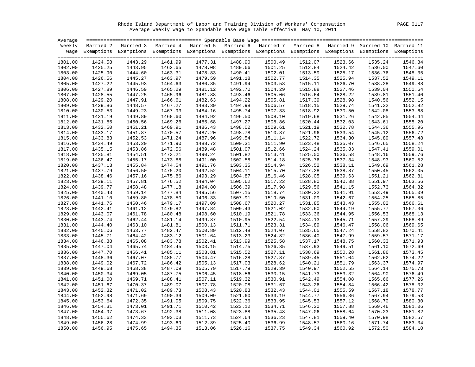Rhode Island Department of Labor and Training Division of Workers' Compensation PAGE 0117 Average Weekly Wage to Spendable Base Wage Table Effective May 10, 2011

| Average |         |                                                                                                                    |         |         |         |         |         |         |         |         |
|---------|---------|--------------------------------------------------------------------------------------------------------------------|---------|---------|---------|---------|---------|---------|---------|---------|
|         |         | Weekly Married 2 Married 3 Married 4 Married 5 Married 6 Married 7 Married 8 Married 9 Married 10 Married 11       |         |         |         |         |         |         |         |         |
|         |         | Wage Exemptions Exemptions Exemptions Exemptions Exemptions Exemptions Exemptions Exemptions Exemptions Exemptions |         |         |         |         |         |         |         |         |
|         |         |                                                                                                                    |         |         |         |         |         |         |         |         |
| 1801.00 | 1424.58 | 1443.29                                                                                                            | 1461.99 | 1477.31 | 1488.90 | 1500.49 | 1512.07 | 1523.66 | 1535.24 | 1546.84 |
| 1802.00 | 1425.25 | 1443.95                                                                                                            | 1462.65 | 1478.08 | 1489.66 | 1501.25 | 1512.84 | 1524.42 | 1536.00 | 1547.60 |
| 1803.00 | 1425.90 | 1444.60                                                                                                            | 1463.31 | 1478.83 | 1490.41 | 1502.01 | 1513.59 | 1525.17 | 1536.76 | 1548.35 |
| 1804.00 | 1426.56 | 1445.27                                                                                                            | 1463.97 | 1479.59 | 1491.18 | 1502.77 | 1514.35 | 1525.94 | 1537.52 | 1549.11 |
| 1805.00 | 1427.22 | 1445.93                                                                                                            | 1464.63 | 1480.35 | 1491.94 | 1503.53 | 1515.11 | 1526.70 | 1538.28 | 1549.88 |
| 1806.00 | 1427.89 | 1446.59                                                                                                            | 1465.29 | 1481.12 | 1492.70 | 1504.29 | 1515.88 | 1527.46 | 1539.04 | 1550.64 |
| 1807.00 | 1428.55 | 1447.25                                                                                                            | 1465.96 | 1481.88 | 1493.46 | 1505.06 | 1516.64 | 1528.22 | 1539.81 | 1551.40 |
| 1808.00 | 1429.20 | 1447.91                                                                                                            | 1466.61 | 1482.63 | 1494.22 | 1505.81 | 1517.39 | 1528.98 | 1540.56 | 1552.15 |
| 1809.00 | 1429.86 | 1448.57                                                                                                            | 1467.27 | 1483.39 | 1494.98 | 1506.57 | 1518.15 | 1529.74 | 1541.32 | 1552.92 |
| 1810.00 | 1430.53 | 1449.23                                                                                                            | 1467.93 | 1484.16 | 1495.74 | 1507.33 | 1518.92 | 1530.50 | 1542.08 | 1553.68 |
| 1811.00 | 1431.19 | 1449.89                                                                                                            | 1468.60 | 1484.92 | 1496.50 | 1508.10 | 1519.68 | 1531.26 | 1542.85 | 1554.44 |
| 1812.00 | 1431.85 | 1450.56                                                                                                            | 1469.26 | 1485.68 | 1497.27 | 1508.86 | 1520.44 | 1532.03 | 1543.61 | 1555.20 |
| 1813.00 | 1432.50 | 1451.21                                                                                                            | 1469.91 | 1486.43 | 1498.02 | 1509.61 | 1521.19 | 1532.78 | 1544.36 | 1555.96 |
| 1814.00 | 1433.17 | 1451.87                                                                                                            | 1470.57 | 1487.20 | 1498.78 | 1510.37 | 1521.96 | 1533.54 | 1545.12 | 1556.72 |
| 1815.00 | 1433.83 | 1452.53                                                                                                            | 1471.24 | 1487.96 | 1499.54 | 1511.14 | 1522.72 | 1534.30 | 1545.89 | 1557.48 |
| 1816.00 | 1434.49 | 1453.20                                                                                                            | 1471.90 | 1488.72 | 1500.31 | 1511.90 | 1523.48 | 1535.07 | 1546.65 | 1558.24 |
| 1817.00 | 1435.15 | 1453.86                                                                                                            | 1472.56 | 1489.48 | 1501.07 | 1512.66 | 1524.24 | 1535.83 | 1547.41 | 1559.01 |
| 1818.00 | 1435.81 | 1454.51                                                                                                            | 1473.21 | 1490.24 | 1501.82 | 1513.41 | 1525.00 | 1536.58 | 1548.16 | 1559.76 |
| 1819.00 | 1436.47 | 1455.17                                                                                                            | 1473.88 | 1491.00 | 1502.58 | 1514.18 | 1525.76 | 1537.34 | 1548.93 | 1560.52 |
| 1820.00 | 1437.13 | 1455.84                                                                                                            | 1474.54 | 1491.76 | 1503.35 | 1514.94 | 1526.52 | 1538.11 | 1549.69 | 1561.28 |
| 1821.00 | 1437.79 | 1456.50                                                                                                            | 1475.20 | 1492.52 | 1504.11 | 1515.70 | 1527.28 | 1538.87 | 1550.45 | 1562.05 |
| 1822.00 | 1438.46 | 1457.16                                                                                                            | 1475.86 | 1493.29 | 1504.87 | 1516.46 | 1528.05 | 1539.63 | 1551.21 | 1562.81 |
|         | 1439.11 | 1457.81                                                                                                            | 1476.52 | 1494.04 | 1505.62 |         | 1528.80 | 1540.38 |         | 1563.56 |
| 1823.00 |         |                                                                                                                    |         |         |         | 1517.22 |         |         | 1551.97 |         |
| 1824.00 | 1439.77 | 1458.48                                                                                                            | 1477.18 | 1494.80 | 1506.39 | 1517.98 | 1529.56 | 1541.15 | 1552.73 | 1564.32 |
| 1825.00 | 1440.43 | 1459.14                                                                                                            | 1477.84 | 1495.56 | 1507.15 | 1518.74 | 1530.32 | 1541.91 | 1553.49 | 1565.09 |
| 1826.00 | 1441.10 | 1459.80                                                                                                            | 1478.50 | 1496.33 | 1507.91 | 1519.50 | 1531.09 | 1542.67 | 1554.25 | 1565.85 |
| 1827.00 | 1441.76 | 1460.46                                                                                                            | 1479.17 | 1497.09 | 1508.67 | 1520.27 | 1531.85 | 1543.43 | 1555.02 | 1566.61 |
| 1828.00 | 1442.41 | 1461.12                                                                                                            | 1479.82 | 1497.84 | 1509.43 | 1521.02 | 1532.60 | 1544.19 | 1555.77 | 1567.36 |
| 1829.00 | 1443.07 | 1461.78                                                                                                            | 1480.48 | 1498.60 | 1510.19 | 1521.78 | 1533.36 | 1544.95 | 1556.53 | 1568.13 |
| 1830.00 | 1443.74 | 1462.44                                                                                                            | 1481.14 | 1499.37 | 1510.95 | 1522.54 | 1534.13 | 1545.71 | 1557.29 | 1568.89 |
| 1831.00 | 1444.40 | 1463.10                                                                                                            | 1481.81 | 1500.13 | 1511.71 | 1523.31 | 1534.89 | 1546.47 | 1558.06 | 1569.65 |
| 1832.00 | 1445.06 | 1463.77                                                                                                            | 1482.47 | 1500.89 | 1512.48 | 1524.07 | 1535.65 | 1547.24 | 1558.82 | 1570.41 |
| 1833.00 | 1445.71 | 1464.42                                                                                                            | 1483.12 | 1501.64 | 1513.23 | 1524.82 | 1536.40 | 1547.99 | 1559.57 | 1571.17 |
| 1834.00 | 1446.38 | 1465.08                                                                                                            | 1483.78 | 1502.41 | 1513.99 | 1525.58 | 1537.17 | 1548.75 | 1560.33 | 1571.93 |
| 1835.00 | 1447.04 | 1465.74                                                                                                            | 1484.45 | 1503.15 | 1514.75 | 1526.35 | 1537.93 | 1549.51 | 1561.10 | 1572.69 |
| 1836.00 | 1447.70 | 1466.41                                                                                                            | 1485.11 | 1503.81 | 1515.52 | 1527.11 | 1538.69 | 1550.28 | 1561.86 | 1573.45 |
| 1837.00 | 1448.36 | 1467.07                                                                                                            | 1485.77 | 1504.47 | 1516.28 | 1527.87 | 1539.45 | 1551.04 | 1562.62 | 1574.22 |
| 1838.00 | 1449.02 | 1467.72                                                                                                            | 1486.42 | 1505.13 | 1517.03 | 1528.62 | 1540.21 | 1551.79 | 1563.37 | 1574.97 |
| 1839.00 | 1449.68 | 1468.38                                                                                                            | 1487.09 | 1505.79 | 1517.79 | 1529.39 | 1540.97 | 1552.55 | 1564.14 | 1575.73 |
| 1840.00 | 1450.34 | 1469.05                                                                                                            | 1487.75 | 1506.45 | 1518.56 | 1530.15 | 1541.73 | 1553.32 | 1564.90 | 1576.49 |
| 1841.00 | 1451.00 | 1469.71                                                                                                            | 1488.41 | 1507.11 | 1519.32 | 1530.91 | 1542.49 | 1554.08 | 1565.66 | 1577.26 |
| 1842.00 | 1451.67 | 1470.37                                                                                                            | 1489.07 | 1507.78 | 1520.08 | 1531.67 | 1543.26 | 1554.84 | 1566.42 | 1578.02 |
| 1843.00 | 1452.32 | 1471.02                                                                                                            | 1489.73 | 1508.43 | 1520.83 | 1532.43 | 1544.01 | 1555.59 | 1567.18 | 1578.77 |
| 1844.00 | 1452.98 | 1471.69                                                                                                            | 1490.39 | 1509.09 | 1521.60 | 1533.19 | 1544.77 | 1556.36 | 1567.94 | 1579.53 |
| 1845.00 | 1453.64 | 1472.35                                                                                                            | 1491.05 | 1509.75 | 1522.36 | 1533.95 | 1545.53 | 1557.12 | 1568.70 | 1580.30 |
| 1846.00 | 1454.31 | 1473.01                                                                                                            | 1491.71 | 1510.42 | 1523.12 | 1534.71 | 1546.30 | 1557.88 | 1569.46 | 1581.06 |
| 1847.00 | 1454.97 | 1473.67                                                                                                            | 1492.38 | 1511.08 | 1523.88 | 1535.48 | 1547.06 | 1558.64 | 1570.23 | 1581.82 |
| 1848.00 | 1455.62 | 1474.33                                                                                                            | 1493.03 | 1511.73 | 1524.64 | 1536.23 | 1547.81 | 1559.40 | 1570.98 | 1582.57 |
| 1849.00 | 1456.28 | 1474.99                                                                                                            | 1493.69 | 1512.39 | 1525.40 | 1536.99 | 1548.57 | 1560.16 | 1571.74 | 1583.34 |
| 1850.00 | 1456.95 | 1475.65                                                                                                            | 1494.35 | 1513.06 | 1526.16 | 1537.75 | 1549.34 | 1560.92 | 1572.50 | 1584.10 |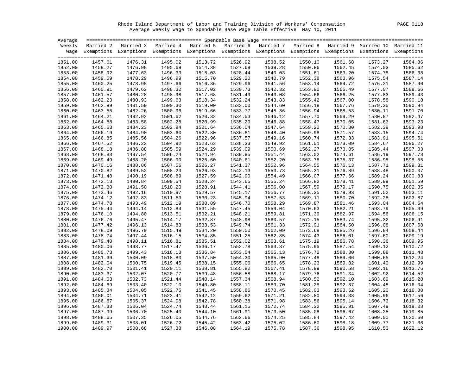Rhode Island Department of Labor and Training Division of Workers' Compensation PAGE 0118 Average Weekly Wage to Spendable Base Wage Table Effective May 10, 2011

|                    |                    | Weekly Married 2 Married 3 Married 4 Married 5 Married 6 Married 7 Married 8 Married 9 Married 10 Married 11       |                    |                    |                    |         |                    |                    |                    |         |
|--------------------|--------------------|--------------------------------------------------------------------------------------------------------------------|--------------------|--------------------|--------------------|---------|--------------------|--------------------|--------------------|---------|
|                    |                    | Wage Exemptions Exemptions Exemptions Exemptions Exemptions Exemptions Exemptions Exemptions Exemptions Exemptions |                    |                    |                    |         |                    |                    |                    |         |
|                    |                    |                                                                                                                    |                    |                    |                    |         |                    |                    |                    |         |
| 1851.00            | 1457.61            | 1476.31                                                                                                            | 1495.02            | 1513.72            | 1526.92            | 1538.52 | 1550.10            | 1561.68            | 1573.27            | 1584.86 |
| 1852.00            | 1458.27            | 1476.98                                                                                                            | 1495.68            | 1514.38            | 1527.69            | 1539.28 | 1550.86            | 1562.45            | 1574.03            | 1585.62 |
| 1853.00            | 1458.92            | 1477.63                                                                                                            | 1496.33            | 1515.03            | 1528.44            | 1540.03 | 1551.61            | 1563.20            | 1574.78            | 1586.38 |
| 1854.00            | 1459.59            | 1478.29                                                                                                            | 1496.99            | 1515.70            | 1529.20            | 1540.79 | 1552.38            | 1563.96            | 1575.54            | 1587.14 |
| 1855.00            | 1460.25            | 1478.95                                                                                                            | 1497.66            | 1516.36            | 1529.96            | 1541.56 | 1553.14            | 1564.72            | 1576.31            | 1587.90 |
| 1856.00            | 1460.91            | 1479.62                                                                                                            | 1498.32            | 1517.02            | 1530.73            | 1542.32 | 1553.90            | 1565.49            | 1577.07            | 1588.66 |
| 1857.00            | 1461.57            | 1480.28                                                                                                            | 1498.98            | 1517.68            | 1531.49            | 1543.08 | 1554.66            | 1566.25            | 1577.83            | 1589.43 |
| 1858.00            | 1462.23            | 1480.93                                                                                                            | 1499.63            | 1518.34            | 1532.24            | 1543.83 | 1555.42            | 1567.00            | 1578.58            | 1590.18 |
| 1859.00            | 1462.89            | 1481.59                                                                                                            | 1500.30            | 1519.00            | 1533.00            | 1544.60 | 1556.18            | 1567.76            | 1579.35            | 1590.94 |
| 1860.00            | 1463.55            | 1482.26                                                                                                            | 1500.96            | 1519.66            | 1533.77            | 1545.36 | 1556.94            | 1568.53            | 1580.11            | 1591.70 |
| 1861.00            | 1464.21            | 1482.92                                                                                                            | 1501.62            | 1520.32            | 1534.53            | 1546.12 | 1557.70            | 1569.29            | 1580.87            | 1592.47 |
| 1862.00            | 1464.88            | 1483.58                                                                                                            | 1502.28            | 1520.99            | 1535.29            | 1546.88 | 1558.47            | 1570.05            | 1581.63            | 1593.23 |
| 1863.00            | 1465.53            | 1484.23                                                                                                            | 1502.94            | 1521.64            | 1536.04            | 1547.64 | 1559.22            | 1570.80            | 1582.39            | 1593.98 |
| 1864.00            | 1466.19            | 1484.90                                                                                                            | 1503.60            | 1522.30            | 1536.81            | 1548.40 | 1559.98            | 1571.57            | 1583.15            | 1594.74 |
| 1865.00            | 1466.85            | 1485.56                                                                                                            | 1504.26            | 1522.96            | 1537.57            | 1549.16 | 1560.74            | 1572.33            | 1583.91            | 1595.51 |
| 1866.00            | 1467.52            | 1486.22                                                                                                            | 1504.92            | 1523.63            | 1538.33            | 1549.92 | 1561.51            | 1573.09            | 1584.67            | 1596.27 |
| 1867.00            | 1468.18            | 1486.88                                                                                                            | 1505.59            | 1524.29            | 1539.09            | 1550.69 | 1562.27            | 1573.85            | 1585.44            | 1597.03 |
| 1868.00            | 1468.83            | 1487.54                                                                                                            | 1506.24            | 1524.94            | 1539.85            | 1551.44 | 1563.02            | 1574.61            | 1586.19            | 1597.78 |
| 1869.00            | 1469.49            | 1488.20                                                                                                            | 1506.90            | 1525.60            | 1540.61            | 1552.20 | 1563.78            | 1575.37            | 1586.95            | 1598.55 |
| 1870.00            | 1470.16            | 1488.86                                                                                                            | 1507.56            | 1526.27            | 1541.37            | 1552.96 | 1564.55            | 1576.13            | 1587.71            | 1599.31 |
| 1871.00            | 1470.82            | 1489.52                                                                                                            | 1508.23            | 1526.93            | 1542.13            | 1553.73 | 1565.31            | 1576.89            | 1588.48            | 1600.07 |
| 1872.00            | 1471.48            | 1490.19                                                                                                            | 1508.89            | 1527.59            | 1542.90            | 1554.49 | 1566.07            | 1577.66            | 1589.24            | 1600.83 |
| 1873.00            | 1472.13            | 1490.84                                                                                                            | 1509.54            | 1528.24            | 1543.65            | 1555.24 | 1566.82            | 1578.41            | 1589.99            | 1601.59 |
| 1874.00            | 1472.80            | 1491.50                                                                                                            | 1510.20            | 1528.91            | 1544.41            | 1556.00 | 1567.59            | 1579.17            | 1590.75            | 1602.35 |
| 1875.00            | 1473.46            | 1492.16                                                                                                            | 1510.87            | 1529.57            | 1545.17            | 1556.77 | 1568.35            | 1579.93            | 1591.52            | 1603.11 |
| 1876.00            | 1474.12            | 1492.83                                                                                                            | 1511.53            | 1530.23            | 1545.94            | 1557.53 | 1569.11            | 1580.70            | 1592.28            | 1603.87 |
| 1877.00            | 1474.78            | 1493.49                                                                                                            | 1512.19            | 1530.89            | 1546.70            | 1558.29 | 1569.87            | 1581.46            | 1593.04            | 1604.64 |
|                    |                    | 1494.14                                                                                                            |                    |                    |                    | 1559.04 |                    |                    |                    | 1605.39 |
| 1878.00<br>1879.00 | 1475.44<br>1476.10 | 1494.80                                                                                                            | 1512.84<br>1513.51 | 1531.55<br>1532.21 | 1547.45<br>1548.21 | 1559.81 | 1570.63<br>1571.39 | 1582.21<br>1582.97 | 1593.79<br>1594.56 | 1606.15 |
| 1880.00            | 1476.76            | 1495.47                                                                                                            | 1514.17            | 1532.87            | 1548.98            | 1560.57 | 1572.15            | 1583.74            | 1595.32            | 1606.91 |
|                    |                    |                                                                                                                    |                    |                    |                    |         |                    |                    |                    |         |
| 1881.00            | 1477.42            | 1496.13                                                                                                            | 1514.83            | 1533.53            | 1549.74            | 1561.33 | 1572.91            | 1584.50            | 1596.08            | 1607.68 |
| 1882.00            | 1478.09            | 1496.79                                                                                                            | 1515.49            | 1534.20            | 1550.50            | 1562.09 | 1573.68            | 1585.26            | 1596.84            | 1608.44 |
| 1883.00            | 1478.74            | 1497.44                                                                                                            | 1516.15            | 1534.85            | 1551.25            | 1562.85 | 1574.43            | 1586.01            | 1597.60            | 1609.19 |
| 1884.00            | 1479.40            | 1498.11                                                                                                            | 1516.81            | 1535.51            | 1552.02            | 1563.61 | 1575.19            | 1586.78            | 1598.36            | 1609.95 |
| 1885.00            | 1480.06            | 1498.77                                                                                                            | 1517.47            | 1536.17            | 1552.78            | 1564.37 | 1575.95            | 1587.54            | 1599.12            | 1610.72 |
| 1886.00            | 1480.73            | 1499.43                                                                                                            | 1518.13            | 1536.84            | 1553.54            | 1565.13 | 1576.72            | 1588.30            | 1599.88            | 1611.48 |
| 1887.00            | 1481.39            | 1500.09                                                                                                            | 1518.80            | 1537.50            | 1554.30            | 1565.90 | 1577.48            | 1589.06            | 1600.65            | 1612.24 |
| 1888.00            | 1482.04            | 1500.75                                                                                                            | 1519.45            | 1538.15            | 1555.06            | 1566.65 | 1578.23            | 1589.82            | 1601.40            | 1612.99 |
| 1889.00            | 1482.70            | 1501.41                                                                                                            | 1520.11            | 1538.81            | 1555.82            | 1567.41 | 1578.99            | 1590.58            | 1602.16            | 1613.76 |
| 1890.00            | 1483.37            | 1502.07                                                                                                            | 1520.77            | 1539.48            | 1556.58            | 1568.17 | 1579.76            | 1591.34            | 1602.92            | 1614.52 |
| 1891.00            | 1484.03            | 1502.73                                                                                                            | 1521.44            | 1540.14            | 1557.34            | 1568.94 | 1580.52            | 1592.10            | 1603.69            | 1615.28 |
| 1892.00            | 1484.69            | 1503.40                                                                                                            | 1522.10            | 1540.80            | 1558.11            | 1569.70 | 1581.28            | 1592.87            | 1604.45            | 1616.04 |
| 1893.00            | 1485.34            | 1504.05                                                                                                            | 1522.75            | 1541.45            | 1558.86            | 1570.45 | 1582.03            | 1593.62            | 1605.20            | 1616.80 |
| 1894.00            | 1486.01            | 1504.71                                                                                                            | 1523.41            | 1542.12            | 1559.62            | 1571.21 | 1582.80            | 1594.38            | 1605.96            | 1617.56 |
| 1895.00            | 1486.67            | 1505.37                                                                                                            | 1524.08            | 1542.78            | 1560.38            | 1571.98 | 1583.56            | 1595.14            | 1606.73            | 1618.32 |
| 1896.00            | 1487.33            | 1506.04                                                                                                            | 1524.74            | 1543.44            | 1561.15            | 1572.74 | 1584.32            | 1595.91            | 1607.49            | 1619.08 |
| 1897.00            | 1487.99            | 1506.70                                                                                                            | 1525.40            | 1544.10            | 1561.91            | 1573.50 | 1585.08            | 1596.67            | 1608.25            | 1619.85 |
| 1898.00            | 1488.65            | 1507.35                                                                                                            | 1526.05            | 1544.76            | 1562.66            | 1574.25 | 1585.84            | 1597.42            | 1609.00            | 1620.60 |
| 1899.00            | 1489.31            | 1508.01                                                                                                            | 1526.72            | 1545.42            | 1563.42            | 1575.02 | 1586.60            | 1598.18            | 1609.77            | 1621.36 |
| 1900.00            | 1489.97            | 1508.68                                                                                                            | 1527.38            | 1546.08            | 1564.19            | 1575.78 | 1587.36            | 1598.95            | 1610.53            | 1622.12 |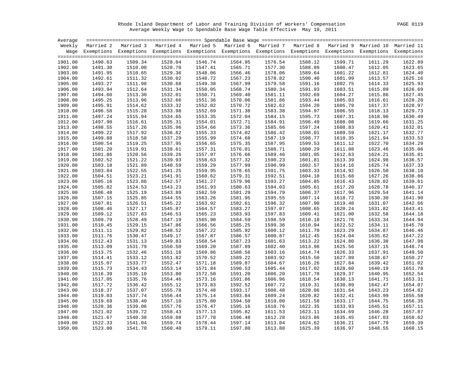Rhode Island Department of Labor and Training Division of Workers' Compensation PAGE 0119 Average Weekly Wage to Spendable Base Wage Table Effective May 10, 2011

| Average |         |                    |         |                                                                                                                    |         |         |         |         |         |         |
|---------|---------|--------------------|---------|--------------------------------------------------------------------------------------------------------------------|---------|---------|---------|---------|---------|---------|
|         |         |                    |         | Weekly Married 2 Married 3 Married 4 Married 5 Married 6 Married 7 Married 8 Married 9 Married 10 Married 11       |         |         |         |         |         |         |
|         |         |                    |         | Wage Exemptions Exemptions Exemptions Exemptions Exemptions Exemptions Exemptions Exemptions Exemptions Exemptions |         |         |         |         |         |         |
|         |         |                    |         |                                                                                                                    |         |         |         |         |         |         |
| 1901.00 | 1490.63 | 1509.34            | 1528.04 | 1546.74                                                                                                            | 1564.95 | 1576.54 | 1588.12 | 1599.71 | 1611.29 | 1622.89 |
| 1902.00 | 1491.30 | 1510.00            | 1528.70 | 1547.41                                                                                                            | 1565.71 | 1577.30 | 1588.89 | 1600.47 | 1612.05 | 1623.65 |
| 1903.00 | 1491.95 | 1510.65            | 1529.36 | 1548.06                                                                                                            | 1566.46 | 1578.06 | 1589.64 | 1601.22 | 1612.81 | 1624.40 |
| 1904.00 | 1492.61 | 1511.32            | 1530.02 | 1548.72                                                                                                            | 1567.23 | 1578.82 | 1590.40 | 1601.99 | 1613.57 | 1625.16 |
| 1905.00 | 1493.27 | 1511.98            | 1530.68 | 1549.38                                                                                                            | 1567.99 | 1579.58 | 1591.16 | 1602.75 | 1614.33 | 1625.93 |
| 1906.00 | 1493.94 | 1512.64            | 1531.34 | 1550.05                                                                                                            | 1568.74 | 1580.34 | 1591.93 | 1603.51 | 1615.09 | 1626.69 |
| 1907.00 | 1494.60 | 1513.30            | 1532.01 | 1550.71                                                                                                            | 1569.40 | 1581.11 | 1592.69 | 1604.27 | 1615.86 | 1627.45 |
| 1908.00 | 1495.25 | 1513.96            | 1532.66 | 1551.36                                                                                                            | 1570.06 | 1581.86 | 1593.44 | 1605.03 | 1616.61 | 1628.20 |
| 1909.00 | 1495.91 | 1514.62            | 1533.32 | 1552.02                                                                                                            | 1570.72 | 1582.62 | 1594.20 | 1605.79 | 1617.37 | 1628.97 |
| 1910.00 | 1496.58 | 1515.28            | 1533.98 | 1552.69                                                                                                            | 1571.38 | 1583.38 | 1594.97 | 1606.55 | 1618.13 | 1629.73 |
| 1911.00 | 1497.24 | 1515.94            | 1534.65 | 1553.35                                                                                                            | 1572.04 | 1584.15 | 1595.73 | 1607.31 | 1618.90 | 1630.49 |
| 1912.00 | 1497.90 | 1516.61            | 1535.31 | 1554.01                                                                                                            | 1572.71 | 1584.91 | 1596.49 | 1608.08 | 1619.66 | 1631.25 |
| 1913.00 | 1498.55 | 1517.26            | 1535.96 | 1554.66                                                                                                            | 1573.36 | 1585.66 | 1597.24 | 1608.83 | 1620.41 | 1632.01 |
| 1914.00 | 1499.22 | 1517.92            | 1536.62 | 1555.33                                                                                                            | 1574.02 | 1586.42 | 1598.01 | 1609.59 | 1621.17 | 1632.77 |
| 1915.00 | 1499.88 | 1518.58            | 1537.29 | 1555.99                                                                                                            | 1574.68 | 1587.19 | 1598.77 | 1610.35 | 1621.94 | 1633.53 |
| 1916.00 | 1500.54 | 1519.25            | 1537.95 | 1556.65                                                                                                            | 1575.35 | 1587.95 | 1599.53 | 1611.12 | 1622.70 | 1634.29 |
| 1917.00 | 1501.20 | 1519.91            | 1538.61 | 1557.31                                                                                                            | 1576.01 | 1588.71 | 1600.29 | 1611.88 | 1623.46 | 1635.06 |
| 1918.00 | 1501.86 | 1520.56            | 1539.26 | 1557.97                                                                                                            | 1576.66 | 1589.46 | 1601.05 | 1612.63 | 1624.21 | 1635.81 |
| 1919.00 | 1502.52 | 1521.22            | 1539.93 | 1558.63                                                                                                            | 1577.32 | 1590.23 | 1601.81 | 1613.39 | 1624.98 | 1636.57 |
| 1920.00 | 1503.18 | 1521.89            | 1540.59 | 1559.29                                                                                                            | 1577.99 | 1590.99 | 1602.57 | 1614.16 | 1625.74 | 1637.33 |
| 1921.00 | 1503.84 | 1522.55            | 1541.25 | 1559.95                                                                                                            | 1578.65 | 1591.75 | 1603.33 | 1614.92 | 1626.50 | 1638.10 |
| 1922.00 | 1504.51 | 1523.21            | 1541.91 | 1560.62                                                                                                            | 1579.31 | 1592.51 | 1604.10 | 1615.68 | 1627.26 | 1638.86 |
| 1923.00 | 1505.16 | 1523.86            | 1542.57 | 1561.27                                                                                                            | 1579.96 | 1593.27 | 1604.85 | 1616.43 | 1628.02 | 1639.61 |
| 1924.00 | 1505.82 | 1524.53            | 1543.23 | 1561.93                                                                                                            | 1580.63 | 1594.03 | 1605.61 | 1617.20 | 1628.78 | 1640.37 |
| 1925.00 | 1506.48 | 1525.19            | 1543.89 | 1562.59                                                                                                            | 1581.29 | 1594.79 | 1606.37 | 1617.96 | 1629.54 | 1641.14 |
| 1926.00 | 1507.15 | 1525.85            | 1544.55 | 1563.26                                                                                                            | 1581.95 | 1595.55 | 1607.14 | 1618.72 | 1630.30 | 1641.90 |
| 1927.00 | 1507.81 | 1526.51            | 1545.22 | 1563.92                                                                                                            | 1582.61 | 1596.32 | 1607.90 | 1619.48 | 1631.07 | 1642.66 |
| 1928.00 | 1508.46 | 1527.17            | 1545.87 | 1564.57                                                                                                            | 1583.27 | 1597.07 | 1608.65 | 1620.24 | 1631.82 | 1643.41 |
| 1929.00 | 1509.12 | 1527.83            | 1546.53 | 1565.23                                                                                                            | 1583.93 | 1597.83 | 1609.41 | 1621.00 | 1632.58 | 1644.18 |
| 1930.00 | 1509.79 | 1528.49            | 1547.19 | 1565.90                                                                                                            | 1584.59 | 1598.59 | 1610.18 | 1621.76 | 1633.34 | 1644.94 |
| 1931.00 | 1510.45 | 1529.15            | 1547.86 | 1566.56                                                                                                            | 1585.25 | 1599.36 | 1610.94 | 1622.52 | 1634.11 | 1645.70 |
| 1932.00 | 1511.11 | 1529.82            | 1548.52 | 1567.22                                                                                                            | 1585.92 | 1600.12 | 1611.70 | 1623.29 | 1634.87 | 1646.46 |
| 1933.00 | 1511.76 | 1530.47            | 1549.17 | 1567.87                                                                                                            | 1586.57 | 1600.87 | 1612.45 | 1624.04 | 1635.62 | 1647.22 |
| 1934.00 | 1512.43 | 1531.13            | 1549.83 | 1568.54                                                                                                            | 1587.23 | 1601.63 | 1613.22 | 1624.80 | 1636.38 | 1647.98 |
| 1935.00 | 1513.09 | 1531.79            | 1550.50 | 1569.20                                                                                                            | 1587.89 | 1602.40 | 1613.98 | 1625.56 | 1637.15 | 1648.74 |
| 1936.00 | 1513.75 | 1532.46            | 1551.16 | 1569.86                                                                                                            | 1588.56 | 1603.16 | 1614.74 | 1626.33 | 1637.91 | 1649.50 |
| 1937.00 | 1514.41 | 1533.12            | 1551.82 | 1570.52                                                                                                            | 1589.22 | 1603.92 | 1615.50 | 1627.09 | 1638.67 | 1650.27 |
| 1938.00 | 1515.07 | 1533.77            | 1552.47 | 1571.18                                                                                                            | 1589.87 | 1604.67 | 1616.26 | 1627.84 | 1639.42 | 1651.02 |
| 1939.00 | 1515.73 | 1534.43            | 1553.14 | 1571.84                                                                                                            | 1590.53 | 1605.44 | 1617.02 | 1628.60 | 1640.19 | 1651.78 |
|         |         |                    |         | 1572.50                                                                                                            |         |         |         | 1629.37 |         | 1652.54 |
| 1940.00 | 1516.39 | 1535.10<br>1535.76 | 1553.80 |                                                                                                                    | 1591.20 | 1606.20 | 1617.78 |         | 1640.95 |         |
| 1941.00 | 1517.05 |                    | 1554.46 | 1573.16                                                                                                            | 1591.86 | 1606.96 | 1618.54 | 1630.13 | 1641.71 | 1653.31 |
| 1942.00 | 1517.72 | 1536.42            | 1555.12 | 1573.83                                                                                                            | 1592.52 | 1607.72 | 1619.31 | 1630.89 | 1642.47 | 1654.07 |
| 1943.00 | 1518.37 | 1537.07            | 1555.78 | 1574.48                                                                                                            | 1593.17 | 1608.48 | 1620.06 | 1631.64 | 1643.23 | 1654.82 |
| 1944.00 | 1519.03 | 1537.74            | 1556.44 | 1575.14                                                                                                            | 1593.84 | 1609.24 | 1620.82 | 1632.41 | 1643.99 | 1655.58 |
| 1945.00 | 1519.69 | 1538.40            | 1557.10 | 1575.80                                                                                                            | 1594.50 | 1610.00 | 1621.58 | 1633.17 | 1644.75 | 1656.35 |
| 1946.00 | 1520.36 | 1539.06            | 1557.76 | 1576.47                                                                                                            | 1595.16 | 1610.76 | 1622.35 | 1633.93 | 1645.51 | 1657.11 |
| 1947.00 | 1521.02 | 1539.72            | 1558.43 | 1577.13                                                                                                            | 1595.82 | 1611.53 | 1623.11 | 1634.69 | 1646.28 | 1657.87 |
| 1948.00 | 1521.67 | 1540.38            | 1559.08 | 1577.78                                                                                                            | 1596.48 | 1612.28 | 1623.86 | 1635.45 | 1647.03 | 1658.62 |
| 1949.00 | 1522.33 | 1541.04            | 1559.74 | 1578.44                                                                                                            | 1597.14 | 1613.04 | 1624.62 | 1636.21 | 1647.79 | 1659.39 |
| 1950.00 | 1523.00 | 1541.70            | 1560.40 | 1579.11                                                                                                            | 1597.80 | 1613.80 | 1625.39 | 1636.97 | 1648.55 | 1660.15 |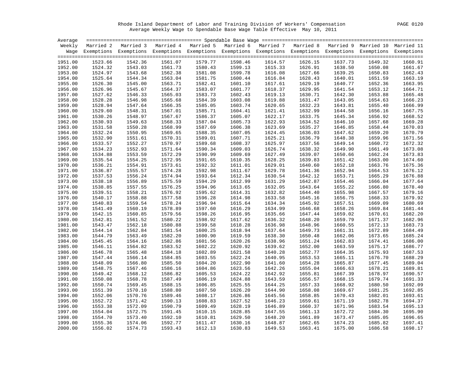Rhode Island Department of Labor and Training Division of Workers' Compensation PAGE 0120 Average Weekly Wage to Spendable Base Wage Table Effective May 10, 2011

| Average |         |                                                                                                                    |         |         |         |         |         |         |         |         |
|---------|---------|--------------------------------------------------------------------------------------------------------------------|---------|---------|---------|---------|---------|---------|---------|---------|
|         |         | Weekly Married 2 Married 3 Married 4 Married 5 Married 6 Married 7 Married 8 Married 9 Married 10 Married 11       |         |         |         |         |         |         |         |         |
|         |         | Wage Exemptions Exemptions Exemptions Exemptions Exemptions Exemptions Exemptions Exemptions Exemptions Exemptions |         |         |         |         |         |         |         |         |
|         |         |                                                                                                                    |         |         |         |         |         |         |         |         |
| 1951.00 | 1523.66 | 1542.36                                                                                                            | 1561.07 | 1579.77 | 1598.46 | 1614.57 | 1626.15 | 1637.73 | 1649.32 | 1660.91 |
| 1952.00 | 1524.32 | 1543.03                                                                                                            | 1561.73 | 1580.43 | 1599.13 | 1615.33 | 1626.91 | 1638.50 | 1650.08 | 1661.67 |
| 1953.00 | 1524.97 | 1543.68                                                                                                            | 1562.38 | 1581.08 | 1599.78 | 1616.08 | 1627.66 | 1639.25 | 1650.83 | 1662.43 |
| 1954.00 | 1525.64 | 1544.34                                                                                                            | 1563.04 | 1581.75 | 1600.44 | 1616.84 | 1628.43 | 1640.01 | 1651.59 | 1663.19 |
| 1955.00 | 1526.30 | 1545.00                                                                                                            | 1563.71 | 1582.41 | 1601.10 | 1617.61 | 1629.19 | 1640.77 | 1652.36 | 1663.95 |
| 1956.00 | 1526.96 | 1545.67                                                                                                            | 1564.37 | 1583.07 | 1601.77 | 1618.37 | 1629.95 | 1641.54 | 1653.12 | 1664.71 |
| 1957.00 | 1527.62 | 1546.33                                                                                                            | 1565.03 | 1583.73 | 1602.43 | 1619.13 | 1630.71 | 1642.30 | 1653.88 | 1665.48 |
| 1958.00 | 1528.28 | 1546.98                                                                                                            | 1565.68 | 1584.39 | 1603.08 | 1619.88 | 1631.47 | 1643.05 | 1654.63 | 1666.23 |
| 1959.00 | 1528.94 | 1547.64                                                                                                            | 1566.35 | 1585.05 | 1603.74 | 1620.65 | 1632.23 | 1643.81 | 1655.40 | 1666.99 |
| 1960.00 | 1529.60 | 1548.31                                                                                                            | 1567.01 | 1585.71 | 1604.41 | 1621.41 | 1632.99 | 1644.58 | 1656.16 | 1667.75 |
| 1961.00 | 1530.26 | 1548.97                                                                                                            | 1567.67 | 1586.37 | 1605.07 | 1622.17 | 1633.75 | 1645.34 | 1656.92 | 1668.52 |
| 1962.00 | 1530.93 | 1549.63                                                                                                            | 1568.33 | 1587.04 | 1605.73 | 1622.93 | 1634.52 | 1646.10 | 1657.68 | 1669.28 |
| 1963.00 | 1531.58 | 1550.28                                                                                                            | 1568.99 | 1587.69 | 1606.38 | 1623.69 | 1635.27 | 1646.85 | 1658.44 | 1670.03 |
| 1964.00 | 1532.24 | 1550.95                                                                                                            | 1569.65 | 1588.35 | 1607.05 | 1624.45 | 1636.03 | 1647.62 | 1659.20 | 1670.79 |
| 1965.00 | 1532.90 | 1551.61                                                                                                            | 1570.31 | 1589.01 | 1607.71 | 1625.21 | 1636.79 | 1648.38 | 1659.96 | 1671.56 |
| 1966.00 | 1533.57 | 1552.27                                                                                                            | 1570.97 | 1589.68 | 1608.37 | 1625.97 | 1637.56 | 1649.14 | 1660.72 | 1672.32 |
| 1967.00 | 1534.23 | 1552.93                                                                                                            | 1571.64 | 1590.34 | 1609.03 | 1626.74 | 1638.32 | 1649.90 | 1661.49 | 1673.08 |
| 1968.00 | 1534.88 | 1553.59                                                                                                            | 1572.29 | 1590.99 | 1609.69 | 1627.49 | 1639.07 | 1650.66 | 1662.24 | 1673.83 |
| 1969.00 | 1535.54 | 1554.25                                                                                                            | 1572.95 | 1591.65 | 1610.35 | 1628.25 | 1639.83 | 1651.42 | 1663.00 | 1674.60 |
| 1970.00 | 1536.21 | 1554.91                                                                                                            | 1573.61 | 1592.32 | 1611.01 | 1629.01 | 1640.60 | 1652.18 | 1663.76 | 1675.36 |
| 1971.00 | 1536.87 | 1555.57                                                                                                            | 1574.28 | 1592.98 | 1611.67 | 1629.78 | 1641.36 | 1652.94 | 1664.53 | 1676.12 |
| 1972.00 | 1537.53 | 1556.24                                                                                                            | 1574.94 | 1593.64 | 1612.34 | 1630.54 | 1642.12 | 1653.71 | 1665.29 | 1676.88 |
| 1973.00 | 1538.18 | 1556.89                                                                                                            | 1575.59 | 1594.29 | 1612.99 | 1631.29 | 1642.87 | 1654.46 | 1666.04 | 1677.64 |
| 1974.00 | 1538.85 | 1557.55                                                                                                            | 1576.25 | 1594.96 | 1613.65 | 1632.05 | 1643.64 | 1655.22 | 1666.80 | 1678.40 |
| 1975.00 | 1539.51 | 1558.21                                                                                                            | 1576.92 | 1595.62 | 1614.31 | 1632.82 | 1644.40 | 1655.98 | 1667.57 | 1679.16 |
| 1976.00 | 1540.17 | 1558.88                                                                                                            | 1577.58 | 1596.28 | 1614.98 | 1633.58 | 1645.16 | 1656.75 | 1668.33 | 1679.92 |
| 1977.00 | 1540.83 | 1559.54                                                                                                            | 1578.24 | 1596.94 | 1615.64 | 1634.34 | 1645.92 | 1657.51 | 1669.09 | 1680.69 |
| 1978.00 | 1541.49 | 1560.19                                                                                                            | 1578.89 | 1597.60 | 1616.29 | 1634.99 | 1646.68 | 1658.26 | 1669.84 | 1681.44 |
| 1979.00 | 1542.15 | 1560.85                                                                                                            | 1579.56 | 1598.26 | 1616.95 | 1635.66 | 1647.44 | 1659.02 | 1670.61 | 1682.20 |
| 1980.00 | 1542.81 | 1561.52                                                                                                            | 1580.22 | 1598.92 | 1617.62 | 1636.32 | 1648.20 | 1659.79 | 1671.37 | 1682.96 |
| 1981.00 | 1543.47 | 1562.18                                                                                                            | 1580.88 | 1599.58 | 1618.28 | 1636.98 | 1648.96 | 1660.55 | 1672.13 | 1683.73 |
| 1982.00 | 1544.14 | 1562.84                                                                                                            | 1581.54 | 1600.25 | 1618.94 | 1637.64 | 1649.73 | 1661.31 | 1672.89 | 1684.49 |
| 1983.00 | 1544.79 | 1563.49                                                                                                            | 1582.20 | 1600.90 | 1619.59 | 1638.30 | 1650.48 | 1662.06 | 1673.65 | 1685.24 |
| 1984.00 | 1545.45 | 1564.16                                                                                                            | 1582.86 | 1601.56 | 1620.26 | 1638.96 | 1651.24 | 1662.83 | 1674.41 | 1686.00 |
| 1985.00 | 1546.11 | 1564.82                                                                                                            | 1583.52 | 1602.22 | 1620.92 | 1639.62 | 1652.00 | 1663.59 | 1675.17 | 1686.77 |
| 1986.00 | 1546.78 | 1565.48                                                                                                            | 1584.18 | 1602.89 | 1621.58 | 1640.28 | 1652.77 | 1664.35 | 1675.93 | 1687.53 |
| 1987.00 | 1547.44 | 1566.14                                                                                                            | 1584.85 | 1603.55 | 1622.24 | 1640.95 | 1653.53 | 1665.11 | 1676.70 | 1688.29 |
| 1988.00 | 1548.09 | 1566.80                                                                                                            | 1585.50 | 1604.20 | 1622.90 | 1641.60 | 1654.28 | 1665.87 | 1677.45 | 1689.04 |
| 1989.00 | 1548.75 | 1567.46                                                                                                            | 1586.16 | 1604.86 | 1623.56 | 1642.26 | 1655.04 | 1666.63 | 1678.21 | 1689.81 |
| 1990.00 | 1549.42 | 1568.12                                                                                                            | 1586.82 | 1605.53 | 1624.22 | 1642.92 | 1655.81 | 1667.39 | 1678.97 | 1690.57 |
| 1991.00 | 1550.08 | 1568.78                                                                                                            | 1587.49 | 1606.19 | 1624.88 | 1643.59 | 1656.57 | 1668.15 | 1679.74 | 1691.33 |
| 1992.00 | 1550.74 | 1569.45                                                                                                            | 1588.15 | 1606.85 | 1625.55 | 1644.25 | 1657.33 | 1668.92 | 1680.50 | 1692.09 |
| 1993.00 | 1551.39 | 1570.10                                                                                                            | 1588.80 | 1607.50 | 1626.20 | 1644.90 | 1658.08 | 1669.67 | 1681.25 | 1692.85 |
| 1994.00 | 1552.06 | 1570.76                                                                                                            | 1589.46 | 1608.17 | 1626.86 | 1645.56 | 1658.85 | 1670.43 | 1682.01 | 1693.61 |
| 1995.00 | 1552.72 | 1571.42                                                                                                            | 1590.13 | 1608.83 | 1627.52 | 1646.23 | 1659.61 | 1671.19 | 1682.78 | 1694.37 |
| 1996.00 | 1553.38 | 1572.09                                                                                                            | 1590.79 | 1609.49 | 1628.19 | 1646.89 | 1660.37 | 1671.96 | 1683.54 | 1695.13 |
| 1997.00 | 1554.04 | 1572.75                                                                                                            | 1591.45 | 1610.15 | 1628.85 | 1647.55 | 1661.13 | 1672.72 | 1684.30 | 1695.90 |
| 1998.00 | 1554.70 | 1573.40                                                                                                            | 1592.10 | 1610.81 | 1629.50 | 1648.20 | 1661.89 | 1673.47 | 1685.05 | 1696.65 |
| 1999.00 | 1555.36 | 1574.06                                                                                                            | 1592.77 | 1611.47 | 1630.16 | 1648.87 | 1662.65 | 1674.23 | 1685.82 | 1697.41 |
| 2000.00 | 1556.02 | 1574.73                                                                                                            | 1593.43 | 1612.13 | 1630.83 | 1649.53 | 1663.41 | 1675.00 | 1686.58 | 1698.17 |
|         |         |                                                                                                                    |         |         |         |         |         |         |         |         |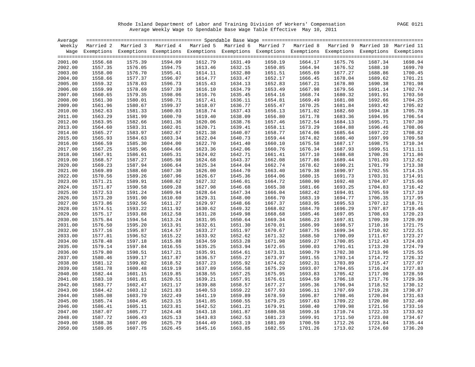Rhode Island Department of Labor and Training Division of Workers' Compensation PAGE 0121 Average Weekly Wage to Spendable Base Wage Table Effective May 10, 2011

| Average |         |                                                                                                                    |         |         |         |         |         |         |         |         |
|---------|---------|--------------------------------------------------------------------------------------------------------------------|---------|---------|---------|---------|---------|---------|---------|---------|
|         |         | Weekly Married 2 Married 3 Married 4 Married 5 Married 6 Married 7 Married 8 Married 9 Married 10 Married 11       |         |         |         |         |         |         |         |         |
|         |         | Wage Exemptions Exemptions Exemptions Exemptions Exemptions Exemptions Exemptions Exemptions Exemptions Exemptions |         |         |         |         |         |         |         |         |
|         |         |                                                                                                                    |         |         |         |         |         |         |         |         |
| 2001.00 | 1556.68 | 1575.39                                                                                                            | 1594.09 | 1612.79 | 1631.49 | 1650.19 | 1664.17 | 1675.76 | 1687.34 | 1698.94 |
| 2002.00 | 1557.35 | 1576.05                                                                                                            | 1594.75 | 1613.46 | 1632.15 | 1650.85 | 1664.94 | 1676.52 | 1688.10 | 1699.70 |
| 2003.00 | 1558.00 | 1576.70                                                                                                            | 1595.41 | 1614.11 | 1632.80 | 1651.51 | 1665.69 | 1677.27 | 1688.86 | 1700.45 |
| 2004.00 | 1558.66 | 1577.37                                                                                                            | 1596.07 | 1614.77 | 1633.47 | 1652.17 | 1666.45 | 1678.04 | 1689.62 | 1701.21 |
| 2005.00 | 1559.32 | 1578.03                                                                                                            | 1596.73 | 1615.43 | 1634.13 | 1652.83 | 1667.21 | 1678.80 | 1690.38 | 1701.98 |
| 2006.00 | 1559.99 | 1578.69                                                                                                            | 1597.39 | 1616.10 | 1634.79 | 1653.49 | 1667.98 | 1679.56 | 1691.14 | 1702.74 |
| 2007.00 | 1560.65 | 1579.35                                                                                                            | 1598.06 | 1616.76 | 1635.45 | 1654.16 | 1668.74 | 1680.32 | 1691.91 | 1703.50 |
| 2008.00 | 1561.30 | 1580.01                                                                                                            | 1598.71 | 1617.41 | 1636.11 | 1654.81 | 1669.49 | 1681.08 | 1692.66 | 1704.25 |
| 2009.00 | 1561.96 | 1580.67                                                                                                            | 1599.37 | 1618.07 | 1636.77 | 1655.47 | 1670.25 | 1681.84 | 1693.42 | 1705.02 |
| 2010.00 | 1562.63 | 1581.33                                                                                                            | 1600.03 | 1618.74 | 1637.43 | 1656.13 | 1671.02 | 1682.60 | 1694.18 | 1705.78 |
| 2011.00 | 1563.29 | 1581.99                                                                                                            | 1600.70 | 1619.40 | 1638.09 | 1656.80 | 1671.78 | 1683.36 | 1694.95 | 1706.54 |
| 2012.00 | 1563.95 | 1582.66                                                                                                            | 1601.36 | 1620.06 | 1638.76 | 1657.46 | 1672.54 | 1684.13 | 1695.71 | 1707.30 |
| 2013.00 | 1564.60 | 1583.31                                                                                                            | 1602.01 | 1620.71 | 1639.41 | 1658.11 | 1673.29 | 1684.88 | 1696.46 | 1708.06 |
| 2014.00 | 1565.27 | 1583.97                                                                                                            | 1602.67 | 1621.38 | 1640.07 | 1658.77 | 1674.06 | 1685.64 | 1697.22 | 1708.82 |
| 2015.00 | 1565.93 | 1584.63                                                                                                            | 1603.34 | 1622.04 | 1640.73 | 1659.44 | 1674.82 | 1686.40 | 1697.99 | 1709.58 |
| 2016.00 | 1566.59 | 1585.30                                                                                                            | 1604.00 | 1622.70 | 1641.40 | 1660.10 | 1675.58 | 1687.17 | 1698.75 | 1710.34 |
| 2017.00 | 1567.25 | 1585.96                                                                                                            | 1604.66 | 1623.36 | 1642.06 | 1660.76 | 1676.34 | 1687.93 | 1699.51 | 1711.11 |
| 2018.00 | 1567.91 | 1586.61                                                                                                            | 1605.31 | 1624.02 | 1642.71 | 1661.41 | 1677.10 | 1688.68 | 1700.26 | 1711.86 |
| 2019.00 | 1568.57 | 1587.27                                                                                                            | 1605.98 | 1624.68 | 1643.37 | 1662.08 | 1677.86 | 1689.44 | 1701.03 | 1712.62 |
| 2020.00 | 1569.23 | 1587.94                                                                                                            | 1606.64 | 1625.34 | 1644.04 | 1662.74 | 1678.62 | 1690.21 | 1701.79 | 1713.38 |
| 2021.00 | 1569.89 | 1588.60                                                                                                            | 1607.30 | 1626.00 | 1644.70 | 1663.40 | 1679.38 | 1690.97 | 1702.55 | 1714.15 |
| 2022.00 | 1570.56 | 1589.26                                                                                                            | 1607.96 | 1626.67 | 1645.36 | 1664.06 | 1680.15 | 1691.73 | 1703.31 | 1714.91 |
| 2023.00 | 1571.21 | 1589.91                                                                                                            | 1608.62 | 1627.32 | 1646.01 | 1664.72 | 1680.90 | 1692.48 | 1704.07 | 1715.66 |
| 2024.00 | 1571.87 | 1590.58                                                                                                            | 1609.28 | 1627.98 | 1646.68 | 1665.38 | 1681.66 | 1693.25 | 1704.83 | 1716.42 |
| 2025.00 | 1572.53 | 1591.24                                                                                                            | 1609.94 | 1628.64 | 1647.34 | 1666.04 | 1682.42 | 1694.01 | 1705.59 | 1717.19 |
| 2026.00 | 1573.20 | 1591.90                                                                                                            | 1610.60 | 1629.31 | 1648.00 | 1666.70 | 1683.19 | 1694.77 | 1706.35 | 1717.95 |
| 2027.00 | 1573.86 | 1592.56                                                                                                            | 1611.27 | 1629.97 | 1648.66 | 1667.37 | 1683.95 | 1695.53 | 1707.12 | 1718.71 |
| 2028.00 | 1574.51 | 1593.22                                                                                                            | 1611.92 | 1630.62 | 1649.32 | 1668.02 | 1684.70 | 1696.29 | 1707.87 | 1719.46 |
| 2029.00 | 1575.17 | 1593.88                                                                                                            | 1612.58 | 1631.28 | 1649.98 | 1668.68 | 1685.46 | 1697.05 | 1708.63 | 1720.23 |
| 2030.00 | 1575.84 | 1594.54                                                                                                            | 1613.24 | 1631.95 | 1650.64 | 1669.34 | 1686.23 | 1697.81 | 1709.39 | 1720.99 |
| 2031.00 | 1576.50 | 1595.20                                                                                                            | 1613.91 | 1632.61 | 1651.30 | 1670.01 | 1686.99 | 1698.57 | 1710.16 | 1721.75 |
| 2032.00 | 1577.16 | 1595.87                                                                                                            | 1614.57 | 1633.27 | 1651.97 | 1670.67 | 1687.75 | 1699.34 | 1710.92 | 1722.51 |
| 2033.00 | 1577.81 | 1596.52                                                                                                            | 1615.22 | 1633.92 | 1652.62 | 1671.32 | 1688.50 | 1700.09 | 1711.67 | 1723.27 |
| 2034.00 | 1578.48 | 1597.18                                                                                                            | 1615.88 | 1634.59 | 1653.28 | 1671.98 | 1689.27 | 1700.85 | 1712.43 | 1724.03 |
| 2035.00 | 1579.14 | 1597.84                                                                                                            | 1616.55 | 1635.25 | 1653.94 | 1672.65 | 1690.03 | 1701.61 | 1713.20 | 1724.79 |
| 2036.00 | 1579.80 | 1598.51                                                                                                            | 1617.21 | 1635.91 | 1654.61 | 1673.31 | 1690.79 | 1702.38 | 1713.96 | 1725.55 |
| 2037.00 | 1580.46 | 1599.17                                                                                                            | 1617.87 | 1636.57 | 1655.27 | 1673.97 | 1691.55 | 1703.14 | 1714.72 | 1726.32 |
| 2038.00 | 1581.12 | 1599.82                                                                                                            | 1618.52 | 1637.23 | 1655.92 | 1674.62 | 1692.31 | 1703.89 | 1715.47 | 1727.07 |
| 2039.00 | 1581.78 | 1600.48                                                                                                            | 1619.19 | 1637.89 | 1656.58 | 1675.29 | 1693.07 | 1704.65 | 1716.24 | 1727.83 |
| 2040.00 | 1582.44 | 1601.15                                                                                                            | 1619.85 | 1638.55 | 1657.25 | 1675.95 | 1693.83 | 1705.42 | 1717.00 | 1728.59 |
| 2041.00 | 1583.10 | 1601.81                                                                                                            | 1620.51 | 1639.21 | 1657.91 | 1676.61 | 1694.59 | 1706.18 | 1717.76 | 1729.36 |
| 2042.00 | 1583.77 | 1602.47                                                                                                            | 1621.17 | 1639.88 | 1658.57 | 1677.27 | 1695.36 | 1706.94 | 1718.52 | 1730.12 |
| 2043.00 | 1584.42 | 1603.12                                                                                                            | 1621.83 | 1640.53 | 1659.22 | 1677.93 | 1696.11 | 1707.69 | 1719.28 | 1730.87 |
| 2044.00 | 1585.08 | 1603.79                                                                                                            | 1622.49 | 1641.19 | 1659.89 | 1678.59 | 1696.87 | 1708.46 | 1720.04 | 1731.63 |
| 2045.00 | 1585.74 | 1604.45                                                                                                            | 1623.15 | 1641.85 | 1660.55 | 1679.25 | 1697.63 | 1709.22 | 1720.80 | 1732.40 |
| 2046.00 | 1586.41 | 1605.11                                                                                                            | 1623.81 | 1642.52 | 1661.21 | 1679.91 | 1698.40 | 1709.98 | 1721.56 | 1733.16 |
| 2047.00 | 1587.07 | 1605.77                                                                                                            | 1624.48 | 1643.18 | 1661.87 | 1680.58 | 1699.16 | 1710.74 | 1722.33 | 1733.92 |
| 2048.00 | 1587.72 | 1606.43                                                                                                            | 1625.13 | 1643.83 | 1662.53 | 1681.23 | 1699.91 | 1711.50 | 1723.08 | 1734.67 |
| 2049.00 | 1588.38 | 1607.09                                                                                                            | 1625.79 | 1644.49 | 1663.19 | 1681.89 | 1700.59 | 1712.26 | 1723.84 | 1735.44 |
| 2050.00 | 1589.05 | 1607.75                                                                                                            | 1626.45 | 1645.16 | 1663.85 | 1682.55 | 1701.26 | 1713.02 | 1724.60 | 1736.20 |
|         |         |                                                                                                                    |         |         |         |         |         |         |         |         |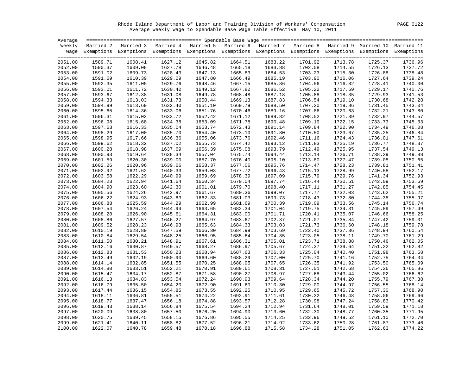Rhode Island Department of Labor and Training Division of Workers' Compensation PAGE 0122 Average Weekly Wage to Spendable Base Wage Table Effective May 10, 2011

| Average |         |                                                                                                                    |         |         |         |         |         |         |         |         |
|---------|---------|--------------------------------------------------------------------------------------------------------------------|---------|---------|---------|---------|---------|---------|---------|---------|
|         |         | Weekly Married 2 Married 3 Married 4 Married 5 Married 6 Married 7 Married 8 Married 9 Married 10 Married 11       |         |         |         |         |         |         |         |         |
|         |         | Wage Exemptions Exemptions Exemptions Exemptions Exemptions Exemptions Exemptions Exemptions Exemptions Exemptions |         |         |         |         |         |         |         |         |
|         |         |                                                                                                                    |         |         |         |         |         |         |         |         |
| 2051.00 | 1589.71 | 1608.41                                                                                                            | 1627.12 | 1645.82 | 1664.51 | 1683.22 | 1701.92 | 1713.78 | 1725.37 | 1736.96 |
| 2052.00 | 1590.37 | 1609.08                                                                                                            | 1627.78 | 1646.48 | 1665.18 | 1683.88 | 1702.58 | 1714.55 | 1726.13 | 1737.72 |
| 2053.00 | 1591.02 | 1609.73                                                                                                            | 1628.43 | 1647.13 | 1665.83 | 1684.53 | 1703.23 | 1715.30 | 1726.88 | 1738.48 |
| 2054.00 | 1591.69 | 1610.39                                                                                                            | 1629.09 | 1647.80 | 1666.49 | 1685.19 | 1703.90 | 1716.06 | 1727.64 | 1739.24 |
| 2055.00 | 1592.35 | 1611.05                                                                                                            | 1629.76 | 1648.46 | 1667.15 | 1685.86 | 1704.56 | 1716.82 | 1728.41 | 1740.00 |
| 2056.00 | 1593.01 | 1611.72                                                                                                            | 1630.42 | 1649.12 | 1667.82 | 1686.52 | 1705.22 | 1717.59 | 1729.17 | 1740.76 |
| 2057.00 | 1593.67 | 1612.38                                                                                                            | 1631.08 | 1649.78 | 1668.48 | 1687.18 | 1705.88 | 1718.35 | 1729.93 | 1741.53 |
| 2058.00 | 1594.33 | 1613.03                                                                                                            | 1631.73 | 1650.44 | 1669.13 | 1687.83 | 1706.54 | 1719.10 | 1730.68 | 1742.28 |
| 2059.00 | 1594.99 | 1613.69                                                                                                            | 1632.40 | 1651.10 | 1669.79 | 1688.50 | 1707.20 | 1719.86 | 1731.45 | 1743.04 |
| 2060.00 | 1595.65 | 1614.36                                                                                                            | 1633.06 | 1651.76 | 1670.46 | 1689.16 | 1707.86 | 1720.63 | 1732.21 | 1743.80 |
| 2061.00 | 1596.31 | 1615.02                                                                                                            | 1633.72 | 1652.42 | 1671.12 | 1689.82 | 1708.52 | 1721.39 | 1732.97 | 1744.57 |
| 2062.00 | 1596.98 | 1615.68                                                                                                            | 1634.38 | 1653.09 | 1671.78 | 1690.48 | 1709.19 | 1722.15 | 1733.73 | 1745.33 |
| 2063.00 | 1597.63 | 1616.33                                                                                                            | 1635.04 | 1653.74 | 1672.43 | 1691.14 | 1709.84 | 1722.90 | 1734.49 | 1746.08 |
| 2064.00 | 1598.29 | 1617.00                                                                                                            | 1635.70 | 1654.40 | 1673.10 | 1691.80 | 1710.50 | 1723.67 | 1735.25 | 1746.84 |
| 2065.00 | 1598.95 | 1617.66                                                                                                            | 1636.36 | 1655.06 | 1673.76 | 1692.46 | 1711.16 | 1724.43 | 1736.01 | 1747.61 |
| 2066.00 | 1599.62 | 1618.32                                                                                                            | 1637.02 | 1655.73 | 1674.42 | 1693.12 | 1711.83 | 1725.19 | 1736.77 | 1748.37 |
| 2067.00 | 1600.28 | 1618.98                                                                                                            | 1637.69 | 1656.39 | 1675.08 | 1693.79 | 1712.49 | 1725.95 | 1737.54 | 1749.13 |
| 2068.00 | 1600.93 | 1619.64                                                                                                            | 1638.34 | 1657.04 | 1675.74 | 1694.44 | 1713.14 | 1726.71 | 1738.29 | 1749.88 |
| 2069.00 | 1601.59 | 1620.30                                                                                                            | 1639.00 | 1657.70 | 1676.40 | 1695.10 | 1713.80 | 1727.47 | 1739.05 | 1750.65 |
| 2070.00 | 1602.26 | 1620.96                                                                                                            | 1639.66 | 1658.37 | 1677.06 | 1695.76 | 1714.47 | 1728.23 | 1739.81 | 1751.41 |
| 2071.00 | 1602.92 | 1621.62                                                                                                            | 1640.33 | 1659.03 | 1677.72 | 1696.43 | 1715.13 | 1728.99 | 1740.58 | 1752.17 |
| 2072.00 | 1603.58 | 1622.29                                                                                                            | 1640.99 | 1659.69 | 1678.39 | 1697.09 | 1715.79 | 1729.76 | 1741.34 | 1752.93 |
| 2073.00 | 1604.23 | 1622.94                                                                                                            | 1641.64 | 1660.34 | 1679.04 | 1697.74 | 1716.44 | 1730.51 | 1742.09 | 1753.69 |
| 2074.00 | 1604.90 | 1623.60                                                                                                            | 1642.30 | 1661.01 | 1679.70 | 1698.40 | 1717.11 | 1731.27 | 1742.85 | 1754.45 |
| 2075.00 | 1605.56 | 1624.26                                                                                                            | 1642.97 | 1661.67 | 1680.36 | 1699.07 | 1717.77 | 1732.03 | 1743.62 | 1755.21 |
| 2076.00 | 1606.22 | 1624.93                                                                                                            | 1643.63 | 1662.33 | 1681.03 | 1699.73 | 1718.43 | 1732.80 | 1744.38 | 1755.97 |
| 2077.00 | 1606.88 | 1625.59                                                                                                            | 1644.29 | 1662.99 | 1681.69 | 1700.39 | 1719.09 | 1733.56 | 1745.14 | 1756.74 |
| 2078.00 | 1607.54 | 1626.24                                                                                                            | 1644.94 | 1663.65 | 1682.34 | 1701.04 | 1719.75 | 1734.31 | 1745.89 | 1757.49 |
| 2079.00 | 1608.20 | 1626.90                                                                                                            | 1645.61 | 1664.31 | 1683.00 | 1701.71 | 1720.41 | 1735.07 | 1746.66 | 1758.25 |
| 2080.00 | 1608.86 | 1627.57                                                                                                            | 1646.27 | 1664.97 | 1683.67 | 1702.37 | 1721.07 | 1735.84 | 1747.42 | 1759.01 |
| 2081.00 | 1609.52 | 1628.23                                                                                                            | 1646.93 | 1665.63 | 1684.33 | 1703.03 | 1721.73 | 1736.60 | 1748.18 | 1759.78 |
| 2082.00 | 1610.19 | 1628.89                                                                                                            | 1647.59 | 1666.30 | 1684.99 | 1703.69 | 1722.40 | 1737.36 | 1748.94 | 1760.54 |
| 2083.00 | 1610.84 | 1629.54                                                                                                            | 1648.25 | 1666.95 | 1685.64 | 1704.35 | 1723.05 | 1738.11 | 1749.70 | 1761.29 |
| 2084.00 | 1611.50 | 1630.21                                                                                                            | 1648.91 | 1667.61 | 1686.31 | 1705.01 | 1723.71 | 1738.88 | 1750.46 | 1762.05 |
| 2085.00 | 1612.16 | 1630.87                                                                                                            | 1649.57 | 1668.27 | 1686.97 | 1705.67 | 1724.37 | 1739.64 | 1751.22 | 1762.82 |
| 2086.00 | 1612.83 | 1631.53                                                                                                            | 1650.23 | 1668.94 | 1687.63 | 1706.33 | 1725.04 | 1740.40 | 1751.98 | 1763.58 |
| 2087.00 | 1613.49 | 1632.19                                                                                                            | 1650.90 | 1669.60 | 1688.29 | 1707.00 | 1725.70 | 1741.16 | 1752.75 | 1764.34 |
| 2088.00 | 1614.14 | 1632.85                                                                                                            | 1651.55 | 1670.25 | 1688.95 | 1707.65 | 1726.35 | 1741.92 | 1753.50 | 1765.09 |
| 2089.00 | 1614.80 | 1633.51                                                                                                            | 1652.21 | 1670.91 | 1689.61 | 1708.31 | 1727.01 | 1742.68 | 1754.26 | 1765.86 |
| 2090.00 | 1615.47 | 1634.17                                                                                                            | 1652.87 | 1671.58 | 1690.27 | 1708.97 | 1727.68 | 1743.44 | 1755.02 | 1766.62 |
| 2091.00 | 1616.13 | 1634.83                                                                                                            | 1653.54 | 1672.24 | 1690.93 | 1709.64 | 1728.34 | 1744.20 | 1755.79 | 1767.38 |
| 2092.00 | 1616.79 | 1635.50                                                                                                            | 1654.20 | 1672.90 | 1691.60 | 1710.30 | 1729.00 | 1744.97 | 1756.55 | 1768.14 |
| 2093.00 | 1617.44 | 1636.15                                                                                                            | 1654.85 | 1673.55 | 1692.25 | 1710.95 | 1729.65 | 1745.72 | 1757.30 | 1768.90 |
| 2094.00 | 1618.11 | 1636.81                                                                                                            | 1655.51 | 1674.22 | 1692.91 | 1711.61 | 1730.32 | 1746.48 | 1758.06 | 1769.66 |
| 2095.00 | 1618.77 | 1637.47                                                                                                            | 1656.18 | 1674.88 | 1693.57 | 1712.28 | 1730.98 | 1747.24 | 1758.83 | 1770.42 |
| 2096.00 | 1619.43 | 1638.14                                                                                                            | 1656.84 | 1675.54 | 1694.24 | 1712.94 | 1731.64 | 1748.01 | 1759.59 | 1771.18 |
| 2097.00 | 1620.09 | 1638.80                                                                                                            | 1657.50 | 1676.20 | 1694.90 | 1713.60 | 1732.30 | 1748.77 | 1760.35 | 1771.95 |
| 2098.00 | 1620.75 | 1639.45                                                                                                            | 1658.15 | 1676.86 | 1695.55 | 1714.25 | 1732.96 | 1749.52 | 1761.10 | 1772.70 |
| 2099.00 | 1621.41 | 1640.11                                                                                                            | 1658.82 | 1677.52 | 1696.21 | 1714.92 | 1733.62 | 1750.28 | 1761.87 | 1773.46 |
| 2100.00 | 1622.07 | 1640.78                                                                                                            | 1659.48 | 1678.18 | 1696.88 | 1715.58 | 1734.28 | 1751.05 | 1762.63 | 1774.22 |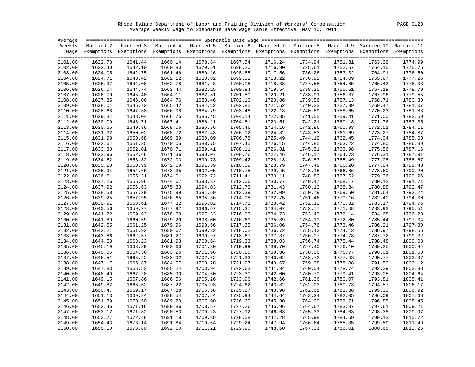Rhode Island Department of Labor and Training Division of Workers' Compensation PAGE 0123 Average Weekly Wage to Spendable Base Wage Table Effective May 10, 2011

| Average |         |                                                                                                                    |         |         |         |         |         |         |         |         |
|---------|---------|--------------------------------------------------------------------------------------------------------------------|---------|---------|---------|---------|---------|---------|---------|---------|
|         |         | Weekly Married 2 Married 3 Married 4 Married 5 Married 6 Married 7 Married 8 Married 9 Married 10 Married 11       |         |         |         |         |         |         |         |         |
|         |         | Wage Exemptions Exemptions Exemptions Exemptions Exemptions Exemptions Exemptions Exemptions Exemptions Exemptions |         |         |         |         |         |         |         |         |
|         |         |                                                                                                                    |         |         |         |         |         |         |         |         |
| 2101.00 | 1622.73 | 1641.44                                                                                                            | 1660.14 | 1678.84 | 1697.54 | 1716.24 | 1734.94 | 1751.81 | 1763.39 | 1774.99 |
| 2102.00 | 1623.40 | 1642.10                                                                                                            | 1660.80 | 1679.51 | 1698.20 | 1716.90 | 1735.61 | 1752.57 | 1764.15 | 1775.75 |
| 2103.00 | 1624.05 | 1642.75                                                                                                            | 1661.46 | 1680.16 | 1698.85 | 1717.56 | 1736.26 | 1753.32 | 1764.91 | 1776.50 |
| 2104.00 | 1624.71 | 1643.42                                                                                                            | 1662.12 | 1680.82 | 1699.52 | 1718.22 | 1736.92 | 1754.09 | 1765.67 | 1777.26 |
| 2105.00 | 1625.37 | 1644.08                                                                                                            | 1662.78 | 1681.48 | 1700.18 | 1718.88 | 1737.58 | 1754.85 | 1766.43 | 1778.03 |
| 2106.00 | 1626.04 | 1644.74                                                                                                            | 1663.44 | 1682.15 | 1700.84 | 1719.54 | 1738.25 | 1755.61 | 1767.19 | 1778.79 |
| 2107.00 | 1626.70 | 1645.40                                                                                                            | 1664.11 | 1682.81 | 1701.50 | 1720.21 | 1738.91 | 1756.37 | 1767.96 | 1779.55 |
| 2108.00 | 1627.35 | 1646.06                                                                                                            | 1664.76 | 1683.46 | 1702.16 | 1720.86 | 1739.56 | 1757.13 | 1768.71 | 1780.30 |
| 2109.00 | 1628.01 | 1646.72                                                                                                            | 1665.42 | 1684.12 | 1702.82 | 1721.52 | 1740.22 | 1757.89 | 1769.47 | 1781.07 |
| 2110.00 | 1628.68 | 1647.38                                                                                                            | 1666.08 | 1684.79 | 1703.48 | 1722.18 | 1740.89 | 1758.65 | 1770.23 | 1781.83 |
| 2111.00 | 1629.34 | 1648.04                                                                                                            | 1666.75 | 1685.45 | 1704.14 | 1722.85 | 1741.55 | 1759.41 | 1771.00 | 1782.59 |
| 2112.00 | 1630.00 | 1648.71                                                                                                            | 1667.41 | 1686.11 | 1704.81 | 1723.51 | 1742.21 | 1760.18 | 1771.76 | 1783.35 |
| 2113.00 | 1630.65 | 1649.36                                                                                                            | 1668.06 | 1686.76 | 1705.46 | 1724.16 | 1742.86 | 1760.93 | 1772.51 | 1784.11 |
| 2114.00 | 1631.32 | 1650.02                                                                                                            | 1668.72 | 1687.43 | 1706.12 | 1724.82 | 1743.53 | 1761.69 | 1773.27 | 1784.87 |
| 2115.00 | 1631.98 | 1650.68                                                                                                            | 1669.39 | 1688.09 | 1706.78 | 1725.49 | 1744.19 | 1762.45 | 1774.04 | 1785.63 |
| 2116.00 | 1632.64 | 1651.35                                                                                                            | 1670.05 | 1688.75 | 1707.45 | 1726.15 | 1744.85 | 1763.22 | 1774.80 | 1786.39 |
| 2117.00 | 1633.30 | 1652.01                                                                                                            | 1670.71 | 1689.41 | 1708.11 | 1726.81 | 1745.51 | 1763.98 | 1775.56 | 1787.16 |
| 2118.00 | 1633.96 | 1652.66                                                                                                            | 1671.36 | 1690.07 | 1708.76 | 1727.46 | 1746.17 | 1764.73 | 1776.31 | 1787.91 |
| 2119.00 | 1634.62 | 1653.32                                                                                                            | 1672.03 | 1690.73 | 1709.42 | 1728.13 | 1746.83 | 1765.49 | 1777.08 | 1788.67 |
| 2120.00 | 1635.28 | 1653.99                                                                                                            | 1672.69 | 1691.39 | 1710.09 | 1728.79 | 1747.49 | 1766.20 | 1777.84 | 1789.43 |
| 2121.00 | 1635.94 | 1654.65                                                                                                            | 1673.35 | 1692.05 | 1710.75 | 1729.45 | 1748.15 | 1766.86 | 1778.60 | 1790.20 |
| 2122.00 | 1636.61 | 1655.31                                                                                                            | 1674.01 | 1692.72 | 1711.41 | 1730.11 | 1748.82 | 1767.52 | 1779.36 | 1790.96 |
| 2123.00 | 1637.26 | 1655.96                                                                                                            | 1674.67 | 1693.37 | 1712.06 | 1730.77 | 1749.47 | 1768.17 | 1780.12 | 1791.71 |
| 2124.00 | 1637.92 | 1656.63                                                                                                            | 1675.33 | 1694.03 | 1712.73 | 1731.43 | 1750.13 | 1768.84 | 1780.88 | 1792.47 |
| 2125.00 | 1638.58 | 1657.29                                                                                                            | 1675.99 | 1694.69 | 1713.39 | 1732.09 | 1750.79 | 1769.50 | 1781.64 | 1793.24 |
| 2126.00 | 1639.25 | 1657.95                                                                                                            | 1676.65 | 1695.36 | 1714.05 | 1732.75 | 1751.46 | 1770.16 | 1782.40 | 1794.00 |
| 2127.00 | 1639.91 | 1658.61                                                                                                            | 1677.32 | 1696.02 | 1714.71 | 1733.42 | 1752.12 | 1770.82 | 1783.17 | 1794.76 |
| 2128.00 | 1640.56 | 1659.27                                                                                                            | 1677.97 | 1696.67 | 1715.37 | 1734.07 | 1752.77 | 1771.48 | 1783.92 | 1795.51 |
| 2129.00 | 1641.22 | 1659.93                                                                                                            | 1678.63 | 1697.33 | 1716.03 | 1734.73 | 1753.43 | 1772.14 | 1784.68 | 1796.28 |
| 2130.00 | 1641.89 | 1660.59                                                                                                            | 1679.29 | 1698.00 | 1716.69 | 1735.39 | 1754.10 | 1772.80 | 1785.44 | 1797.04 |
| 2131.00 | 1642.55 | 1661.25                                                                                                            | 1679.96 | 1698.66 | 1717.35 | 1736.06 | 1754.76 | 1773.46 | 1786.21 | 1797.80 |
| 2132.00 | 1643.21 | 1661.92                                                                                                            | 1680.62 | 1699.32 | 1718.02 | 1736.72 | 1755.42 | 1774.13 | 1786.97 | 1798.56 |
| 2133.00 | 1643.86 | 1662.57                                                                                                            | 1681.27 | 1699.97 | 1718.67 | 1737.37 | 1756.07 | 1774.78 | 1787.72 | 1799.32 |
| 2134.00 | 1644.53 | 1663.23                                                                                                            | 1681.93 | 1700.64 | 1719.33 | 1738.03 | 1756.74 | 1775.44 | 1788.48 | 1800.08 |
| 2135.00 | 1645.19 | 1663.89                                                                                                            | 1682.60 | 1701.30 | 1719.99 | 1738.70 | 1757.40 | 1776.10 | 1789.25 | 1800.84 |
| 2136.00 | 1645.85 | 1664.56                                                                                                            | 1683.26 | 1701.96 | 1720.66 | 1739.36 | 1758.06 | 1776.77 | 1790.01 | 1801.60 |
| 2137.00 | 1646.51 | 1665.22                                                                                                            | 1683.92 | 1702.62 | 1721.32 | 1740.02 | 1758.72 | 1777.43 | 1790.77 | 1802.37 |
| 2138.00 | 1647.17 | 1665.87                                                                                                            | 1684.57 | 1703.28 | 1721.97 | 1740.67 | 1759.38 | 1778.08 | 1791.52 | 1803.12 |
| 2139.00 | 1647.83 | 1666.53                                                                                                            | 1685.24 | 1703.94 | 1722.63 | 1741.34 | 1760.04 | 1778.74 | 1792.29 | 1803.88 |
| 2140.00 | 1648.49 | 1667.20                                                                                                            | 1685.90 | 1704.60 | 1723.30 | 1742.00 | 1760.70 | 1779.41 | 1793.05 | 1804.64 |
| 2141.00 | 1649.15 | 1667.86                                                                                                            | 1686.56 | 1705.26 | 1723.96 | 1742.66 | 1761.36 | 1780.07 | 1793.81 | 1805.41 |
| 2142.00 | 1649.82 | 1668.52                                                                                                            | 1687.22 | 1705.93 | 1724.62 | 1743.32 | 1762.03 | 1780.73 | 1794.57 | 1806.17 |
| 2143.00 | 1650.47 | 1669.17                                                                                                            | 1687.88 | 1706.58 | 1725.27 | 1743.98 | 1762.68 | 1781.38 | 1795.33 | 1806.92 |
| 2144.00 | 1651.13 | 1669.84                                                                                                            | 1688.54 | 1707.24 | 1725.94 | 1744.64 | 1763.34 | 1782.05 | 1796.09 | 1807.68 |
| 2145.00 | 1651.79 | 1670.50                                                                                                            | 1689.20 | 1707.90 | 1726.60 | 1745.30 | 1764.00 | 1782.71 | 1796.85 | 1808.45 |
| 2146.00 | 1652.46 | 1671.16                                                                                                            | 1689.86 | 1708.57 | 1727.26 | 1745.96 | 1764.67 | 1783.37 | 1797.61 | 1809.21 |
| 2147.00 | 1653.12 | 1671.82                                                                                                            | 1690.53 | 1709.23 | 1727.92 | 1746.63 | 1765.33 | 1784.03 | 1798.38 | 1809.97 |
| 2148.00 | 1653.77 | 1672.48                                                                                                            | 1691.18 | 1709.88 | 1728.58 | 1747.28 | 1765.98 | 1784.69 | 1799.13 | 1810.72 |
| 2149.00 | 1654.43 | 1673.14                                                                                                            | 1691.84 | 1710.54 | 1729.24 | 1747.94 | 1766.64 | 1785.35 | 1799.89 | 1811.49 |
| 2150.00 | 1655.10 | 1673.80                                                                                                            | 1692.50 | 1711.21 | 1729.90 | 1748.60 | 1767.31 | 1786.01 | 1800.65 | 1812.25 |
|         |         |                                                                                                                    |         |         |         |         |         |         |         |         |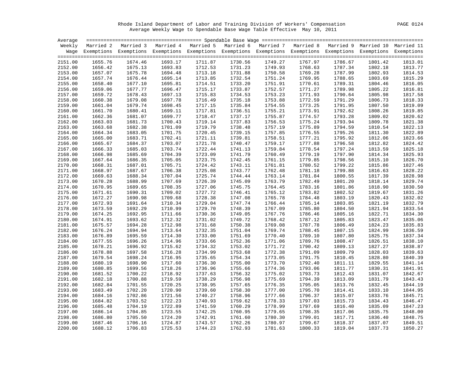Rhode Island Department of Labor and Training Division of Workers' Compensation PAGE 0124 Average Weekly Wage to Spendable Base Wage Table Effective May 10, 2011

| Average |         |                                                                                                                    |         |         |         |         |         |         |         |         |
|---------|---------|--------------------------------------------------------------------------------------------------------------------|---------|---------|---------|---------|---------|---------|---------|---------|
|         |         | Weekly Married 2 Married 3 Married 4 Married 5 Married 6 Married 7 Married 8 Married 9 Married 10 Married 11       |         |         |         |         |         |         |         |         |
|         |         | Wage Exemptions Exemptions Exemptions Exemptions Exemptions Exemptions Exemptions Exemptions Exemptions Exemptions |         |         |         |         |         |         |         |         |
|         |         |                                                                                                                    |         |         |         |         |         |         |         |         |
| 2151.00 | 1655.76 | 1674.46                                                                                                            | 1693.17 | 1711.87 | 1730.56 | 1749.27 | 1767.97 | 1786.67 | 1801.42 | 1813.01 |
| 2152.00 | 1656.42 | 1675.13                                                                                                            | 1693.83 | 1712.53 | 1731.23 | 1749.93 | 1768.63 | 1787.34 | 1802.18 | 1813.77 |
| 2153.00 | 1657.07 | 1675.78                                                                                                            | 1694.48 | 1713.18 | 1731.88 | 1750.58 | 1769.28 | 1787.99 | 1802.93 | 1814.53 |
| 2154.00 | 1657.74 | 1676.44                                                                                                            | 1695.14 | 1713.85 | 1732.54 | 1751.24 | 1769.95 | 1788.65 | 1803.69 | 1815.29 |
| 2155.00 | 1658.40 | 1677.10                                                                                                            | 1695.81 | 1714.51 | 1733.20 | 1751.91 | 1770.61 | 1789.31 | 1804.46 | 1816.05 |
| 2156.00 | 1659.06 | 1677.77                                                                                                            | 1696.47 | 1715.17 | 1733.87 | 1752.57 | 1771.27 | 1789.98 | 1805.22 | 1816.81 |
| 2157.00 | 1659.72 | 1678.43                                                                                                            | 1697.13 | 1715.83 | 1734.53 | 1753.23 | 1771.93 | 1790.64 | 1805.98 | 1817.58 |
| 2158.00 | 1660.38 | 1679.08                                                                                                            | 1697.78 | 1716.49 | 1735.18 | 1753.88 | 1772.59 | 1791.29 | 1806.73 | 1818.33 |
| 2159.00 | 1661.04 | 1679.74                                                                                                            | 1698.45 | 1717.15 | 1735.84 | 1754.55 | 1773.25 | 1791.95 | 1807.50 | 1819.09 |
| 2160.00 | 1661.70 | 1680.41                                                                                                            | 1699.11 | 1717.81 | 1736.51 | 1755.21 | 1773.91 | 1792.62 | 1808.26 | 1819.85 |
| 2161.00 | 1662.36 | 1681.07                                                                                                            | 1699.77 | 1718.47 | 1737.17 | 1755.87 | 1774.57 | 1793.28 | 1809.02 | 1820.62 |
| 2162.00 | 1663.03 | 1681.73                                                                                                            | 1700.43 | 1719.14 | 1737.83 | 1756.53 | 1775.24 | 1793.94 | 1809.78 | 1821.38 |
| 2163.00 | 1663.68 | 1682.38                                                                                                            | 1701.09 | 1719.79 | 1738.48 | 1757.19 | 1775.89 | 1794.59 | 1810.54 | 1822.13 |
| 2164.00 | 1664.34 | 1683.05                                                                                                            | 1701.75 | 1720.45 | 1739.15 | 1757.85 | 1776.55 | 1795.26 | 1811.30 | 1822.89 |
| 2165.00 | 1665.00 | 1683.71                                                                                                            | 1702.41 | 1721.11 | 1739.81 | 1758.51 | 1777.21 | 1795.92 | 1812.06 | 1823.66 |
| 2166.00 | 1665.67 | 1684.37                                                                                                            | 1703.07 | 1721.78 | 1740.47 | 1759.17 | 1777.88 | 1796.58 | 1812.82 | 1824.42 |
| 2167.00 | 1666.33 | 1685.03                                                                                                            | 1703.74 | 1722.44 | 1741.13 | 1759.84 | 1778.54 | 1797.24 | 1813.59 | 1825.18 |
| 2168.00 | 1666.98 | 1685.69                                                                                                            | 1704.39 | 1723.09 | 1741.79 | 1760.49 | 1779.19 | 1797.90 | 1814.34 | 1825.93 |
| 2169.00 | 1667.64 | 1686.35                                                                                                            | 1705.05 | 1723.75 | 1742.45 | 1761.15 | 1779.85 | 1798.56 | 1815.10 | 1826.70 |
| 2170.00 | 1668.31 | 1687.01                                                                                                            | 1705.71 | 1724.42 | 1743.11 | 1761.81 | 1780.52 | 1799.22 | 1815.86 | 1827.46 |
| 2171.00 | 1668.97 | 1687.67                                                                                                            | 1706.38 | 1725.08 | 1743.77 | 1762.48 | 1781.18 | 1799.88 | 1816.63 | 1828.22 |
| 2172.00 | 1669.63 | 1688.34                                                                                                            | 1707.04 | 1725.74 | 1744.44 | 1763.14 | 1781.84 | 1800.55 | 1817.39 | 1828.98 |
| 2173.00 | 1670.28 | 1688.99                                                                                                            | 1707.69 | 1726.39 | 1745.09 | 1763.79 | 1782.49 | 1801.20 | 1818.14 | 1829.74 |
| 2174.00 | 1670.95 | 1689.65                                                                                                            | 1708.35 | 1727.06 | 1745.75 | 1764.45 | 1783.16 | 1801.86 | 1818.90 | 1830.50 |
| 2175.00 | 1671.61 | 1690.31                                                                                                            | 1709.02 | 1727.72 | 1746.41 | 1765.12 | 1783.82 | 1802.52 | 1819.67 | 1831.26 |
| 2176.00 | 1672.27 | 1690.98                                                                                                            | 1709.68 | 1728.38 | 1747.08 | 1765.78 | 1784.48 | 1803.19 | 1820.43 | 1832.02 |
| 2177.00 | 1672.93 | 1691.64                                                                                                            | 1710.34 | 1729.04 | 1747.74 | 1766.44 | 1785.14 | 1803.85 | 1821.19 | 1832.79 |
| 2178.00 | 1673.59 | 1692.29                                                                                                            | 1710.99 | 1729.70 | 1748.39 | 1767.09 | 1785.80 | 1804.50 | 1821.94 | 1833.54 |
| 2179.00 | 1674.25 | 1692.95                                                                                                            | 1711.66 | 1730.36 | 1749.05 | 1767.76 | 1786.46 | 1805.16 | 1822.71 | 1834.30 |
| 2180.00 | 1674.91 | 1693.62                                                                                                            | 1712.32 | 1731.02 | 1749.72 | 1768.42 | 1787.12 | 1805.83 | 1823.47 | 1835.06 |
| 2181.00 | 1675.57 | 1694.28                                                                                                            | 1712.98 | 1731.68 | 1750.38 | 1769.08 | 1787.78 | 1806.49 | 1824.23 | 1835.83 |
| 2182.00 | 1676.24 | 1694.94                                                                                                            | 1713.64 | 1732.35 | 1751.04 | 1769.74 | 1788.45 | 1807.15 | 1824.99 | 1836.59 |
| 2183.00 | 1676.89 | 1695.59                                                                                                            | 1714.30 | 1733.00 | 1751.69 | 1770.40 | 1789.10 | 1807.80 | 1825.75 | 1837.34 |
| 2184.00 | 1677.55 | 1696.26                                                                                                            | 1714.96 | 1733.66 | 1752.36 | 1771.06 | 1789.76 | 1808.47 | 1826.51 | 1838.10 |
| 2185.00 | 1678.21 | 1696.92                                                                                                            | 1715.62 | 1734.32 | 1753.02 | 1771.72 | 1790.42 | 1809.13 | 1827.27 | 1838.87 |
| 2186.00 | 1678.88 | 1697.58                                                                                                            | 1716.28 | 1734.99 | 1753.68 | 1772.38 | 1791.09 | 1809.79 | 1828.03 | 1839.63 |
| 2187.00 | 1679.54 | 1698.24                                                                                                            | 1716.95 | 1735.65 | 1754.34 | 1773.05 | 1791.75 | 1810.45 | 1828.80 | 1840.39 |
| 2188.00 | 1680.19 | 1698.90                                                                                                            | 1717.60 | 1736.30 | 1755.00 | 1773.70 | 1792.40 | 1811.11 | 1829.55 | 1841.14 |
| 2189.00 | 1680.85 | 1699.56                                                                                                            | 1718.26 | 1736.96 | 1755.66 | 1774.36 | 1793.06 | 1811.77 | 1830.31 | 1841.91 |
| 2190.00 | 1681.52 | 1700.22                                                                                                            | 1718.92 | 1737.63 | 1756.32 | 1775.02 | 1793.73 | 1812.43 | 1831.07 | 1842.67 |
| 2191.00 | 1682.18 | 1700.88                                                                                                            | 1719.59 | 1738.29 | 1756.98 | 1775.69 | 1794.39 | 1813.09 | 1831.79 | 1843.43 |
| 2192.00 | 1682.84 | 1701.55                                                                                                            | 1720.25 | 1738.95 | 1757.65 | 1776.35 | 1795.05 | 1813.76 | 1832.45 | 1844.19 |
| 2193.00 | 1683.49 | 1702.20                                                                                                            | 1720.90 | 1739.60 | 1758.30 | 1777.00 | 1795.70 | 1814.41 | 1833.10 | 1844.95 |
| 2194.00 | 1684.16 | 1702.86                                                                                                            | 1721.56 | 1740.27 | 1758.96 | 1777.66 | 1796.37 | 1815.07 | 1833.76 | 1845.71 |
| 2195.00 | 1684.82 | 1703.52                                                                                                            | 1722.23 | 1740.93 | 1759.62 | 1778.33 | 1797.03 | 1815.73 | 1834.43 | 1846.47 |
| 2196.00 | 1685.48 | 1704.19                                                                                                            | 1722.89 | 1741.59 | 1760.29 | 1778.99 | 1797.69 | 1816.40 | 1835.09 | 1847.23 |
| 2197.00 | 1686.14 | 1704.85                                                                                                            | 1723.55 | 1742.25 | 1760.95 | 1779.65 | 1798.35 | 1817.06 | 1835.75 | 1848.00 |
| 2198.00 | 1686.80 | 1705.50                                                                                                            | 1724.20 | 1742.91 | 1761.60 | 1780.30 | 1799.01 | 1817.71 | 1836.40 | 1848.75 |
| 2199.00 | 1687.46 | 1706.16                                                                                                            | 1724.87 | 1743.57 | 1762.26 | 1780.97 | 1799.67 | 1818.37 | 1837.07 | 1849.51 |
| 2200.00 | 1688.12 | 1706.83                                                                                                            | 1725.53 | 1744.23 | 1762.93 | 1781.63 | 1800.33 | 1819.04 | 1837.73 | 1850.27 |
|         |         |                                                                                                                    |         |         |         |         |         |         |         |         |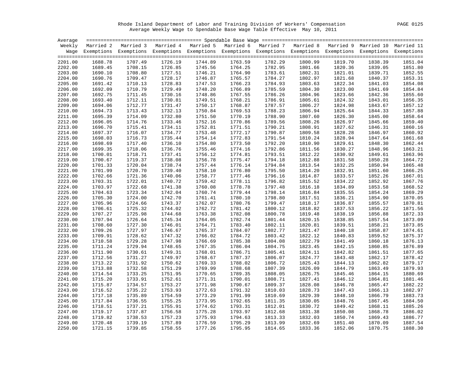Rhode Island Department of Labor and Training Division of Workers' Compensation PAGE 0125 Average Weekly Wage to Spendable Base Wage Table Effective May 10, 2011

| Average |         |                                                                                                                    |         |         |         |         |         |         |         |         |
|---------|---------|--------------------------------------------------------------------------------------------------------------------|---------|---------|---------|---------|---------|---------|---------|---------|
|         |         | Weekly Married 2 Married 3 Married 4 Married 5 Married 6 Married 7 Married 8 Married 9 Married 10 Married 11       |         |         |         |         |         |         |         |         |
|         |         | Wage Exemptions Exemptions Exemptions Exemptions Exemptions Exemptions Exemptions Exemptions Exemptions Exemptions |         |         |         |         |         |         |         |         |
|         |         |                                                                                                                    |         |         |         |         |         |         |         |         |
| 2201.00 | 1688.78 | 1707.49                                                                                                            | 1726.19 | 1744.89 | 1763.59 | 1782.29 | 1800.99 | 1819.70 | 1838.39 | 1851.04 |
| 2202.00 | 1689.45 | 1708.15                                                                                                            | 1726.85 | 1745.56 | 1764.25 | 1782.95 | 1801.66 | 1820.36 | 1839.05 | 1851.80 |
| 2203.00 | 1690.10 | 1708.80                                                                                                            | 1727.51 | 1746.21 | 1764.90 | 1783.61 | 1802.31 | 1821.01 | 1839.71 | 1852.55 |
| 2204.00 | 1690.76 | 1709.47                                                                                                            | 1728.17 | 1746.87 | 1765.57 | 1784.27 | 1802.97 | 1821.68 | 1840.37 | 1853.31 |
| 2205.00 | 1691.42 | 1710.13                                                                                                            | 1728.83 | 1747.53 | 1766.23 | 1784.93 | 1803.63 | 1822.34 | 1841.03 | 1854.08 |
| 2206.00 | 1692.09 | 1710.79                                                                                                            | 1729.49 | 1748.20 | 1766.89 | 1785.59 | 1804.30 | 1823.00 | 1841.69 | 1854.84 |
| 2207.00 | 1692.75 | 1711.45                                                                                                            | 1730.16 | 1748.86 | 1767.55 | 1786.26 | 1804.96 | 1823.66 | 1842.36 | 1855.60 |
| 2208.00 | 1693.40 | 1712.11                                                                                                            | 1730.81 | 1749.51 | 1768.21 | 1786.91 | 1805.61 | 1824.32 | 1843.01 | 1856.35 |
| 2209.00 | 1694.06 | 1712.77                                                                                                            | 1731.47 | 1750.17 | 1768.87 | 1787.57 | 1806.27 | 1824.98 | 1843.67 | 1857.12 |
| 2210.00 | 1694.73 | 1713.43                                                                                                            | 1732.13 | 1750.84 | 1769.53 | 1788.23 | 1806.94 | 1825.64 | 1844.33 | 1857.88 |
| 2211.00 | 1695.39 | 1714.09                                                                                                            | 1732.80 | 1751.50 | 1770.19 | 1788.90 | 1807.60 | 1826.30 | 1845.00 | 1858.64 |
| 2212.00 | 1696.05 | 1714.76                                                                                                            | 1733.46 | 1752.16 | 1770.86 | 1789.56 | 1808.26 | 1826.97 | 1845.66 | 1859.40 |
| 2213.00 | 1696.70 | 1715.41                                                                                                            | 1734.11 | 1752.81 | 1771.51 | 1790.21 | 1808.91 | 1827.62 | 1846.31 | 1860.16 |
| 2214.00 | 1697.37 | 1716.07                                                                                                            | 1734.77 | 1753.48 | 1772.17 | 1790.87 | 1809.58 | 1828.28 | 1846.97 | 1860.92 |
| 2215.00 | 1698.03 | 1716.73                                                                                                            | 1735.44 | 1754.14 | 1772.83 | 1791.54 | 1810.24 | 1828.94 | 1847.64 | 1861.68 |
| 2216.00 | 1698.69 | 1717.40                                                                                                            | 1736.10 | 1754.80 | 1773.50 | 1792.20 | 1810.90 | 1829.61 | 1848.30 | 1862.44 |
| 2217.00 | 1699.35 | 1718.06                                                                                                            | 1736.76 | 1755.46 | 1774.16 | 1792.86 | 1811.56 | 1830.27 | 1848.96 | 1863.21 |
| 2218.00 | 1700.01 | 1718.71                                                                                                            | 1737.41 | 1756.12 | 1774.81 | 1793.51 | 1812.22 | 1830.92 | 1849.61 | 1863.96 |
| 2219.00 | 1700.67 | 1719.37                                                                                                            | 1738.08 | 1756.78 | 1775.47 | 1794.18 | 1812.88 | 1831.58 | 1850.28 | 1864.72 |
| 2220.00 | 1701.33 | 1720.04                                                                                                            | 1738.74 | 1757.44 | 1776.14 | 1794.84 | 1813.54 | 1832.25 | 1850.94 | 1865.48 |
| 2221.00 | 1701.99 | 1720.70                                                                                                            | 1739.40 | 1758.10 | 1776.80 | 1795.50 | 1814.20 | 1832.91 | 1851.60 | 1866.25 |
| 2222.00 | 1702.66 | 1721.36                                                                                                            | 1740.06 | 1758.77 | 1777.46 | 1796.16 | 1814.87 | 1833.57 | 1852.26 | 1867.01 |
| 2223.00 | 1703.31 | 1722.01                                                                                                            | 1740.72 | 1759.42 | 1778.11 | 1796.82 | 1815.52 | 1834.22 | 1852.92 | 1867.76 |
| 2224.00 | 1703.97 | 1722.68                                                                                                            | 1741.38 | 1760.08 | 1778.78 | 1797.48 | 1816.18 | 1834.89 | 1853.58 | 1868.52 |
| 2225.00 | 1704.63 | 1723.34                                                                                                            | 1742.04 | 1760.74 | 1779.44 | 1798.14 | 1816.84 | 1835.55 | 1854.24 | 1869.29 |
| 2226.00 | 1705.30 | 1724.00                                                                                                            | 1742.70 | 1761.41 | 1780.10 | 1798.80 | 1817.51 | 1836.21 | 1854.90 | 1870.05 |
| 2227.00 | 1705.96 | 1724.66                                                                                                            | 1743.37 | 1762.07 | 1780.76 | 1799.47 | 1818.17 | 1836.87 | 1855.57 | 1870.81 |
| 2228.00 | 1706.61 | 1725.32                                                                                                            | 1744.02 | 1762.72 | 1781.42 | 1800.12 | 1818.82 | 1837.53 | 1856.22 | 1871.56 |
| 2229.00 | 1707.27 | 1725.98                                                                                                            | 1744.68 | 1763.38 | 1782.08 | 1800.78 | 1819.48 | 1838.19 | 1856.88 | 1872.33 |
| 2230.00 | 1707.94 | 1726.64                                                                                                            | 1745.34 | 1764.05 | 1782.74 | 1801.44 | 1820.15 | 1838.85 | 1857.54 | 1873.09 |
| 2231.00 | 1708.60 | 1727.30                                                                                                            | 1746.01 | 1764.71 | 1783.40 | 1802.11 | 1820.81 | 1839.51 | 1858.21 | 1873.85 |
| 2232.00 | 1709.26 | 1727.97                                                                                                            | 1746.67 | 1765.37 | 1784.07 | 1802.77 | 1821.47 | 1840.18 | 1858.87 | 1874.61 |
| 2233.00 | 1709.91 | 1728.62                                                                                                            | 1747.32 | 1766.02 | 1784.72 | 1803.42 | 1822.12 | 1840.83 | 1859.52 | 1875.37 |
| 2234.00 | 1710.58 | 1729.28                                                                                                            | 1747.98 | 1766.69 | 1785.38 | 1804.08 | 1822.79 | 1841.49 | 1860.18 | 1876.13 |
| 2235.00 | 1711.24 | 1729.94                                                                                                            | 1748.65 | 1767.35 | 1786.04 | 1804.75 | 1823.45 | 1842.15 | 1860.85 | 1876.89 |
| 2236.00 | 1711.90 | 1730.61                                                                                                            | 1749.31 | 1768.01 | 1786.71 | 1805.41 | 1824.11 | 1842.82 | 1861.51 | 1877.65 |
| 2237.00 | 1712.56 | 1731.27                                                                                                            | 1749.97 | 1768.67 | 1787.37 | 1806.07 | 1824.77 | 1843.48 | 1862.17 | 1878.42 |
| 2238.00 | 1713.22 | 1731.92                                                                                                            | 1750.62 | 1769.33 | 1788.02 | 1806.72 | 1825.43 | 1844.13 | 1862.82 | 1879.17 |
| 2239.00 | 1713.88 | 1732.58                                                                                                            | 1751.29 | 1769.99 | 1788.68 | 1807.39 | 1826.09 | 1844.79 | 1863.49 | 1879.93 |
| 2240.00 | 1714.54 | 1733.25                                                                                                            | 1751.95 | 1770.65 | 1789.35 | 1808.05 | 1826.75 | 1845.46 | 1864.15 | 1880.69 |
| 2241.00 | 1715.20 | 1733.91                                                                                                            | 1752.61 | 1771.31 | 1790.01 | 1808.71 | 1827.41 | 1846.12 | 1864.81 | 1881.46 |
| 2242.00 | 1715.87 | 1734.57                                                                                                            | 1753.27 | 1771.98 | 1790.67 | 1809.37 | 1828.08 | 1846.78 | 1865.47 | 1882.22 |
| 2243.00 | 1716.52 | 1735.22                                                                                                            | 1753.93 | 1772.63 | 1791.32 | 1810.03 | 1828.73 | 1847.43 | 1866.13 | 1882.97 |
| 2244.00 | 1717.18 | 1735.89                                                                                                            | 1754.59 | 1773.29 | 1791.99 | 1810.69 | 1829.39 | 1848.10 | 1866.79 | 1883.73 |
| 2245.00 | 1717.84 | 1736.55                                                                                                            | 1755.25 | 1773.95 | 1792.65 | 1811.35 | 1830.05 | 1848.76 | 1867.45 | 1884.50 |
| 2246.00 | 1718.51 | 1737.21                                                                                                            | 1755.91 | 1774.62 | 1793.31 | 1812.01 | 1830.72 | 1849.42 | 1868.11 | 1885.26 |
| 2247.00 | 1719.17 | 1737.87                                                                                                            | 1756.58 | 1775.28 | 1793.97 | 1812.68 | 1831.38 | 1850.08 | 1868.78 | 1886.02 |
| 2248.00 | 1719.82 | 1738.53                                                                                                            | 1757.23 | 1775.93 | 1794.63 | 1813.33 | 1832.03 | 1850.74 | 1869.43 | 1886.77 |
| 2249.00 | 1720.48 | 1739.19                                                                                                            | 1757.89 | 1776.59 | 1795.29 | 1813.99 | 1832.69 | 1851.40 | 1870.09 | 1887.54 |
| 2250.00 | 1721.15 | 1739.85                                                                                                            | 1758.55 | 1777.26 | 1795.95 | 1814.65 | 1833.36 | 1852.06 | 1870.75 | 1888.30 |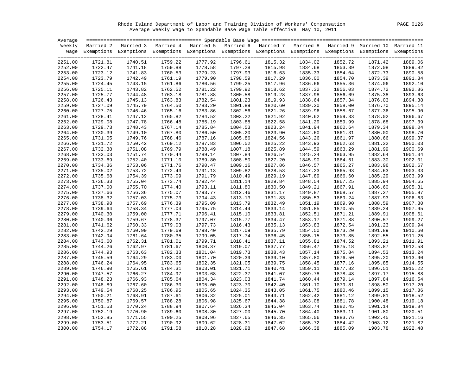Rhode Island Department of Labor and Training Division of Workers' Compensation PAGE 0126 Average Weekly Wage to Spendable Base Wage Table Effective May 10, 2011

| Average |                            |         |         |                                                                                                                    |         |         |         |         |         |         |
|---------|----------------------------|---------|---------|--------------------------------------------------------------------------------------------------------------------|---------|---------|---------|---------|---------|---------|
|         | Weekly Married 2 Married 3 |         |         | Married 4 Married 5 Married 6 Married 7 Married 8 Married 9 Married 10 Married 11                                  |         |         |         |         |         |         |
|         |                            |         |         | Wage Exemptions Exemptions Exemptions Exemptions Exemptions Exemptions Exemptions Exemptions Exemptions Exemptions |         |         |         |         |         |         |
|         |                            |         |         |                                                                                                                    |         |         |         |         |         |         |
| 2251.00 | 1721.81                    | 1740.51 | 1759.22 | 1777.92                                                                                                            | 1796.61 | 1815.32 | 1834.02 | 1852.72 | 1871.42 | 1889.06 |
| 2252.00 | 1722.47                    | 1741.18 | 1759.88 | 1778.58                                                                                                            | 1797.28 | 1815.98 | 1834.68 | 1853.39 | 1872.08 | 1889.82 |
| 2253.00 | 1723.12                    | 1741.83 | 1760.53 | 1779.23                                                                                                            | 1797.93 | 1816.63 | 1835.33 | 1854.04 | 1872.73 | 1890.58 |
| 2254.00 | 1723.79                    | 1742.49 | 1761.19 | 1779.90                                                                                                            | 1798.59 | 1817.29 | 1836.00 | 1854.70 | 1873.39 | 1891.34 |
| 2255.00 | 1724.45                    | 1743.15 | 1761.86 | 1780.56                                                                                                            | 1799.25 | 1817.96 | 1836.66 | 1855.36 | 1874.06 | 1892.10 |
| 2256.00 | 1725.11                    | 1743.82 | 1762.52 | 1781.22                                                                                                            | 1799.92 | 1818.62 | 1837.32 | 1856.03 | 1874.72 | 1892.86 |
| 2257.00 | 1725.77                    | 1744.48 | 1763.18 | 1781.88                                                                                                            | 1800.58 | 1819.28 | 1837.98 | 1856.69 | 1875.38 | 1893.63 |
| 2258.00 | 1726.43                    | 1745.13 | 1763.83 | 1782.54                                                                                                            | 1801.23 | 1819.93 | 1838.64 | 1857.34 | 1876.03 | 1894.38 |
| 2259.00 | 1727.09                    | 1745.79 | 1764.50 | 1783.20                                                                                                            | 1801.89 | 1820.60 | 1839.30 | 1858.00 | 1876.70 | 1895.14 |
| 2260.00 | 1727.75                    | 1746.46 | 1765.16 | 1783.86                                                                                                            | 1802.56 | 1821.26 | 1839.96 | 1858.67 | 1877.36 | 1895.90 |
| 2261.00 | 1728.41                    | 1747.12 | 1765.82 | 1784.52                                                                                                            | 1803.22 | 1821.92 | 1840.62 | 1859.33 | 1878.02 | 1896.67 |
| 2262.00 | 1729.08                    | 1747.78 | 1766.48 | 1785.19                                                                                                            | 1803.88 | 1822.58 | 1841.29 | 1859.99 | 1878.68 | 1897.39 |
| 2263.00 | 1729.73                    | 1748.43 | 1767.14 | 1785.84                                                                                                            | 1804.53 | 1823.24 | 1841.94 | 1860.64 | 1879.34 | 1898.04 |
| 2264.00 | 1730.39                    | 1749.10 | 1767.80 | 1786.50                                                                                                            | 1805.20 | 1823.90 | 1842.60 | 1861.31 | 1880.00 | 1898.70 |
| 2265.00 | 1731.05                    | 1749.76 | 1768.46 | 1787.16                                                                                                            | 1805.86 | 1824.56 | 1843.26 | 1861.97 | 1880.66 | 1899.37 |
| 2266.00 | 1731.72                    | 1750.42 | 1769.12 | 1787.83                                                                                                            | 1806.52 | 1825.22 | 1843.93 | 1862.63 | 1881.32 | 1900.03 |
| 2267.00 | 1732.38                    | 1751.08 | 1769.79 | 1788.49                                                                                                            | 1807.18 | 1825.89 | 1844.59 | 1863.29 | 1881.99 | 1900.69 |
| 2268.00 | 1733.03                    | 1751.74 | 1770.44 | 1789.14                                                                                                            | 1807.84 | 1826.54 | 1845.24 | 1863.95 | 1882.64 | 1901.34 |
| 2269.00 | 1733.69                    | 1752.40 | 1771.10 | 1789.80                                                                                                            | 1808.50 | 1827.20 | 1845.90 | 1864.61 | 1883.30 | 1902.01 |
| 2270.00 | 1734.36                    | 1753.06 | 1771.76 | 1790.47                                                                                                            | 1809.16 | 1827.86 | 1846.57 | 1865.27 | 1883.96 | 1902.67 |
| 2271.00 | 1735.02                    | 1753.72 | 1772.43 | 1791.13                                                                                                            | 1809.82 | 1828.53 | 1847.23 | 1865.93 | 1884.63 | 1903.33 |
| 2272.00 | 1735.68                    | 1754.39 | 1773.09 | 1791.79                                                                                                            | 1810.49 | 1829.19 | 1847.89 | 1866.60 | 1885.29 | 1903.99 |
| 2273.00 | 1736.33                    | 1755.04 | 1773.74 | 1792.44                                                                                                            | 1811.14 | 1829.84 | 1848.54 | 1867.25 | 1885.94 | 1904.65 |
| 2274.00 | 1737.00                    | 1755.70 | 1774.40 | 1793.11                                                                                                            | 1811.80 | 1830.50 | 1849.21 | 1867.91 | 1886.60 | 1905.31 |
| 2275.00 | 1737.66                    | 1756.36 | 1775.07 | 1793.77                                                                                                            | 1812.46 | 1831.17 | 1849.87 | 1868.57 | 1887.27 | 1905.97 |
| 2276.00 | 1738.32                    | 1757.03 | 1775.73 | 1794.43                                                                                                            | 1813.13 | 1831.83 | 1850.53 | 1869.24 | 1887.93 | 1906.63 |
| 2277.00 | 1738.98                    | 1757.69 | 1776.39 | 1795.09                                                                                                            | 1813.79 | 1832.49 | 1851.19 | 1869.90 | 1888.59 | 1907.30 |
| 2278.00 | 1739.64                    | 1758.34 | 1777.04 | 1795.75                                                                                                            | 1814.44 | 1833.14 | 1851.85 | 1870.55 | 1889.24 | 1907.95 |
| 2279.00 | 1740.30                    | 1759.00 | 1777.71 | 1796.41                                                                                                            | 1815.10 | 1833.81 | 1852.51 | 1871.21 | 1889.91 | 1908.61 |
| 2280.00 | 1740.96                    | 1759.67 | 1778.37 | 1797.07                                                                                                            | 1815.77 | 1834.47 | 1853.17 | 1871.88 | 1890.57 | 1909.27 |
| 2281.00 | 1741.62                    | 1760.33 | 1779.03 | 1797.73                                                                                                            | 1816.43 | 1835.13 | 1853.83 | 1872.54 | 1891.23 | 1909.94 |
| 2282.00 | 1742.29                    | 1760.99 | 1779.69 | 1798.40                                                                                                            | 1817.09 | 1835.79 | 1854.50 | 1873.20 | 1891.89 | 1910.60 |
| 2283.00 | 1742.94                    | 1761.64 | 1780.35 | 1799.05                                                                                                            | 1817.74 | 1836.45 | 1855.15 | 1873.85 | 1892.55 | 1911.25 |
| 2284.00 | 1743.60                    | 1762.31 | 1781.01 | 1799.71                                                                                                            | 1818.41 | 1837.11 | 1855.81 | 1874.52 | 1893.21 | 1911.91 |
| 2285.00 | 1744.26                    | 1762.97 | 1781.67 | 1800.37                                                                                                            | 1819.07 | 1837.77 | 1856.47 | 1875.18 | 1893.87 | 1912.58 |
| 2286.00 | 1744.93                    | 1763.63 | 1782.33 | 1801.04                                                                                                            | 1819.73 | 1838.43 | 1857.14 | 1875.84 | 1894.53 | 1913.24 |
| 2287.00 | 1745.59                    | 1764.29 | 1783.00 | 1801.70                                                                                                            | 1820.39 | 1839.10 | 1857.80 | 1876.50 | 1895.20 | 1913.90 |
| 2288.00 | 1746.24                    | 1764.95 | 1783.65 | 1802.35                                                                                                            | 1821.05 | 1839.75 | 1858.45 | 1877.16 | 1895.85 | 1914.55 |
| 2289.00 | 1746.90                    | 1765.61 | 1784.31 | 1803.01                                                                                                            | 1821.71 | 1840.41 | 1859.11 | 1877.82 | 1896.51 | 1915.22 |
| 2290.00 | 1747.57                    | 1766.27 | 1784.97 | 1803.68                                                                                                            | 1822.37 | 1841.07 | 1859.78 | 1878.48 | 1897.17 | 1915.88 |
| 2291.00 | 1748.23                    | 1766.93 | 1785.64 | 1804.34                                                                                                            | 1823.03 | 1841.74 | 1860.44 | 1879.14 | 1897.84 | 1916.54 |
| 2292.00 | 1748.89                    | 1767.60 | 1786.30 | 1805.00                                                                                                            | 1823.70 | 1842.40 | 1861.10 | 1879.81 | 1898.50 | 1917.20 |
| 2293.00 | 1749.54                    | 1768.25 | 1786.95 | 1805.65                                                                                                            | 1824.35 | 1843.05 | 1861.75 | 1880.46 | 1899.15 | 1917.86 |
| 2294.00 | 1750.21                    | 1768.91 | 1787.61 | 1806.32                                                                                                            | 1825.01 | 1843.71 | 1862.42 | 1881.12 | 1899.81 | 1918.52 |
| 2295.00 | 1750.87                    | 1769.57 | 1788.28 | 1806.98                                                                                                            | 1825.67 | 1844.38 | 1863.08 | 1881.78 | 1900.48 | 1919.18 |
| 2296.00 | 1751.53                    | 1770.24 | 1788.94 | 1807.64                                                                                                            | 1826.34 | 1845.04 | 1863.74 | 1882.45 | 1901.14 | 1919.84 |
| 2297.00 | 1752.19                    | 1770.90 | 1789.60 | 1808.30                                                                                                            | 1827.00 | 1845.70 | 1864.40 | 1883.11 | 1901.80 | 1920.51 |
| 2298.00 | 1752.85                    | 1771.55 | 1790.25 | 1808.96                                                                                                            | 1827.65 | 1846.35 | 1865.06 | 1883.76 | 1902.45 | 1921.16 |
| 2299.00 | 1753.51                    | 1772.21 | 1790.92 | 1809.62                                                                                                            | 1828.31 | 1847.02 | 1865.72 | 1884.42 | 1903.12 | 1921.82 |
| 2300.00 | 1754.17                    | 1772.88 | 1791.58 | 1810.28                                                                                                            | 1828.98 | 1847.68 | 1866.38 | 1885.09 | 1903.78 | 1922.48 |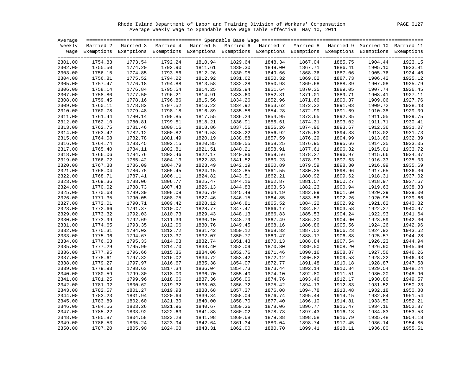Rhode Island Department of Labor and Training Division of Workers' Compensation PAGE 0127 Average Weekly Wage to Spendable Base Wage Table Effective May 10, 2011

| Average |         |                                                                                                                    |         |         |         |         |         |         |         |         |
|---------|---------|--------------------------------------------------------------------------------------------------------------------|---------|---------|---------|---------|---------|---------|---------|---------|
|         |         | Weekly Married 2 Married 3 Married 4 Married 5 Married 6 Married 7 Married 8 Married 9 Married 10 Married 11       |         |         |         |         |         |         |         |         |
|         |         | Wage Exemptions Exemptions Exemptions Exemptions Exemptions Exemptions Exemptions Exemptions Exemptions Exemptions |         |         |         |         |         |         |         |         |
|         |         |                                                                                                                    |         |         |         |         |         |         |         |         |
| 2301.00 | 1754.83 | 1773.54                                                                                                            | 1792.24 | 1810.94 | 1829.64 | 1848.34 | 1867.04 | 1885.75 | 1904.44 | 1923.15 |
| 2302.00 | 1755.50 | 1774.20                                                                                                            | 1792.90 | 1811.61 | 1830.30 | 1849.00 | 1867.71 | 1886.41 | 1905.10 | 1923.81 |
| 2303.00 | 1756.15 | 1774.85                                                                                                            | 1793.56 | 1812.26 | 1830.95 | 1849.66 | 1868.36 | 1887.06 | 1905.76 | 1924.46 |
| 2304.00 | 1756.81 | 1775.52                                                                                                            | 1794.22 | 1812.92 | 1831.62 | 1850.32 | 1869.02 | 1887.73 | 1906.42 | 1925.12 |
| 2305.00 | 1757.47 | 1776.18                                                                                                            | 1794.88 | 1813.58 | 1832.28 | 1850.98 | 1869.68 | 1888.39 | 1907.08 | 1925.79 |
| 2306.00 | 1758.14 | 1776.84                                                                                                            | 1795.54 | 1814.25 | 1832.94 | 1851.64 | 1870.35 | 1889.05 | 1907.74 | 1926.45 |
| 2307.00 | 1758.80 | 1777.50                                                                                                            | 1796.21 | 1814.91 | 1833.60 | 1852.31 | 1871.01 | 1889.71 | 1908.41 | 1927.11 |
| 2308.00 | 1759.45 | 1778.16                                                                                                            | 1796.86 | 1815.56 | 1834.26 | 1852.96 | 1871.66 | 1890.37 | 1909.06 | 1927.76 |
| 2309.00 | 1760.11 | 1778.82                                                                                                            | 1797.52 | 1816.22 | 1834.92 | 1853.62 | 1872.32 | 1891.03 | 1909.72 | 1928.43 |
| 2310.00 | 1760.78 | 1779.48                                                                                                            | 1798.18 | 1816.89 | 1835.58 | 1854.28 | 1872.99 | 1891.69 | 1910.38 | 1929.09 |
| 2311.00 | 1761.44 | 1780.14                                                                                                            | 1798.85 | 1817.55 | 1836.24 | 1854.95 | 1873.65 | 1892.35 | 1911.05 | 1929.75 |
| 2312.00 | 1762.10 | 1780.81                                                                                                            | 1799.51 | 1818.21 | 1836.91 | 1855.61 | 1874.31 | 1893.02 | 1911.71 | 1930.41 |
| 2313.00 | 1762.75 | 1781.46                                                                                                            | 1800.16 | 1818.86 | 1837.56 | 1856.26 | 1874.96 | 1893.67 | 1912.36 | 1931.07 |
| 2314.00 | 1763.42 | 1782.12                                                                                                            | 1800.82 | 1819.53 | 1838.22 | 1856.92 | 1875.63 | 1894.33 | 1913.02 | 1931.73 |
| 2315.00 | 1764.08 | 1782.78                                                                                                            | 1801.49 | 1820.19 | 1838.88 | 1857.59 | 1876.29 | 1894.99 | 1913.69 | 1932.39 |
| 2316.00 | 1764.74 | 1783.45                                                                                                            | 1802.15 | 1820.85 | 1839.55 | 1858.25 | 1876.95 | 1895.66 | 1914.35 | 1933.05 |
| 2317.00 | 1765.40 | 1784.11                                                                                                            | 1802.81 | 1821.51 | 1840.21 | 1858.91 | 1877.61 | 1896.32 | 1915.01 | 1933.72 |
| 2318.00 | 1766.06 | 1784.76                                                                                                            | 1803.46 | 1822.17 | 1840.86 | 1859.56 | 1878.27 | 1896.97 | 1915.66 | 1934.37 |
| 2319.00 | 1766.72 | 1785.42                                                                                                            | 1804.13 | 1822.83 | 1841.52 | 1860.23 | 1878.93 | 1897.63 | 1916.33 | 1935.03 |
| 2320.00 | 1767.38 | 1786.09                                                                                                            | 1804.79 | 1823.49 | 1842.19 | 1860.89 | 1879.59 | 1898.30 | 1916.99 | 1935.69 |
| 2321.00 | 1768.04 | 1786.75                                                                                                            | 1805.45 | 1824.15 | 1842.85 | 1861.55 | 1880.25 | 1898.96 | 1917.65 | 1936.36 |
| 2322.00 | 1768.71 | 1787.41                                                                                                            | 1806.11 | 1824.82 | 1843.51 | 1862.21 | 1880.92 | 1899.62 | 1918.31 | 1937.02 |
| 2323.00 | 1769.36 | 1788.06                                                                                                            | 1806.77 | 1825.47 | 1844.16 | 1862.87 | 1881.57 | 1900.27 | 1918.97 | 1937.67 |
| 2324.00 | 1770.02 | 1788.73                                                                                                            | 1807.43 | 1826.13 | 1844.83 | 1863.53 | 1882.23 | 1900.94 | 1919.63 | 1938.33 |
| 2325.00 | 1770.68 | 1789.39                                                                                                            | 1808.09 | 1826.79 | 1845.49 | 1864.19 | 1882.89 | 1901.60 | 1920.29 | 1939.00 |
| 2326.00 | 1771.35 | 1790.05                                                                                                            | 1808.75 | 1827.46 | 1846.15 | 1864.85 | 1883.56 | 1902.26 | 1920.95 | 1939.66 |
| 2327.00 | 1772.01 | 1790.71                                                                                                            | 1809.42 | 1828.12 | 1846.81 | 1865.52 | 1884.22 | 1902.92 | 1921.62 | 1940.32 |
| 2328.00 | 1772.66 | 1791.37                                                                                                            | 1810.07 | 1828.77 | 1847.47 | 1866.17 | 1884.87 | 1903.58 | 1922.27 | 1940.97 |
| 2329.00 | 1773.32 | 1792.03                                                                                                            | 1810.73 | 1829.43 | 1848.13 | 1866.83 | 1885.53 | 1904.24 | 1922.93 | 1941.64 |
| 2330.00 | 1773.99 | 1792.69                                                                                                            | 1811.39 | 1830.10 | 1848.79 | 1867.49 | 1886.20 | 1904.90 | 1923.59 | 1942.30 |
| 2331.00 | 1774.65 | 1793.35                                                                                                            | 1812.06 | 1830.76 | 1849.45 | 1868.16 | 1886.86 | 1905.56 | 1924.26 | 1942.96 |
| 2332.00 | 1775.31 | 1794.02                                                                                                            | 1812.72 | 1831.42 | 1850.12 | 1868.82 | 1887.52 | 1906.23 | 1924.92 | 1943.62 |
| 2333.00 | 1775.96 | 1794.67                                                                                                            | 1813.37 | 1832.07 | 1850.77 | 1869.47 | 1888.17 | 1906.88 | 1925.57 | 1944.28 |
| 2334.00 | 1776.63 | 1795.33                                                                                                            | 1814.03 | 1832.74 | 1851.43 | 1870.13 | 1888.84 | 1907.54 | 1926.23 | 1944.94 |
| 2335.00 | 1777.29 | 1795.99                                                                                                            | 1814.70 | 1833.40 | 1852.09 | 1870.80 | 1889.50 | 1908.20 | 1926.90 | 1945.60 |
| 2336.00 | 1777.95 | 1796.66                                                                                                            | 1815.36 | 1834.06 | 1852.76 | 1871.46 | 1890.16 | 1908.87 | 1927.56 | 1946.26 |
| 2337.00 | 1778.61 | 1797.32                                                                                                            | 1816.02 | 1834.72 | 1853.42 | 1872.12 | 1890.82 | 1909.53 | 1928.22 | 1946.93 |
| 2338.00 | 1779.27 | 1797.97                                                                                                            | 1816.67 | 1835.38 | 1854.07 | 1872.77 | 1891.48 | 1910.18 | 1928.87 | 1947.58 |
| 2339.00 | 1779.93 | 1798.63                                                                                                            | 1817.34 | 1836.04 | 1854.73 | 1873.44 | 1892.14 | 1910.84 | 1929.54 | 1948.24 |
| 2340.00 | 1780.59 | 1799.30                                                                                                            | 1818.00 | 1836.70 | 1855.40 | 1874.10 | 1892.80 | 1911.51 | 1930.20 | 1948.90 |
| 2341.00 | 1781.25 | 1799.96                                                                                                            | 1818.66 | 1837.36 | 1856.06 | 1874.76 | 1893.46 | 1912.17 | 1930.86 | 1949.57 |
| 2342.00 | 1781.92 | 1800.62                                                                                                            | 1819.32 | 1838.03 | 1856.72 | 1875.42 | 1894.13 | 1912.83 | 1931.52 | 1950.23 |
| 2343.00 | 1782.57 | 1801.27                                                                                                            | 1819.98 | 1838.68 | 1857.37 | 1876.08 | 1894.78 | 1913.48 | 1932.18 | 1950.88 |
| 2344.00 | 1783.23 | 1801.94                                                                                                            | 1820.64 | 1839.34 | 1858.04 | 1876.74 | 1895.44 | 1914.15 | 1932.84 | 1951.54 |
| 2345.00 | 1783.89 | 1802.60                                                                                                            | 1821.30 | 1840.00 | 1858.70 | 1877.40 | 1896.10 | 1914.81 | 1933.50 | 1952.21 |
| 2346.00 | 1784.56 | 1803.26                                                                                                            | 1821.96 | 1840.67 | 1859.36 | 1878.06 | 1896.77 | 1915.47 | 1934.16 | 1952.87 |
| 2347.00 | 1785.22 | 1803.92                                                                                                            | 1822.63 | 1841.33 | 1860.02 | 1878.73 | 1897.43 | 1916.13 | 1934.83 | 1953.53 |
| 2348.00 | 1785.87 | 1804.58                                                                                                            | 1823.28 | 1841.98 | 1860.68 | 1879.38 | 1898.08 | 1916.79 | 1935.48 | 1954.18 |
| 2349.00 | 1786.53 | 1805.24                                                                                                            | 1823.94 | 1842.64 | 1861.34 | 1880.04 | 1898.74 | 1917.45 | 1936.14 | 1954.85 |
| 2350.00 | 1787.20 | 1805.90                                                                                                            | 1824.60 | 1843.31 | 1862.00 | 1880.70 | 1899.41 | 1918.11 | 1936.80 | 1955.51 |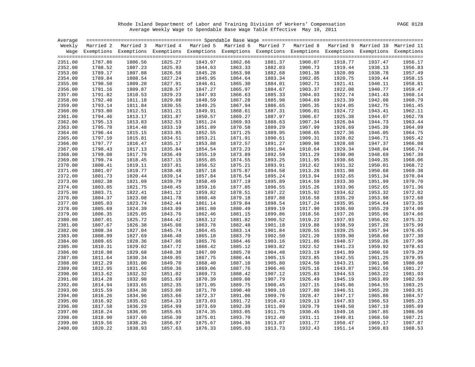Rhode Island Department of Labor and Training Division of Workers' Compensation PAGE 0128 Average Weekly Wage to Spendable Base Wage Table Effective May 10, 2011

| Average |         |                                                                                                                    |         |         |         |         |         |         |         |         |
|---------|---------|--------------------------------------------------------------------------------------------------------------------|---------|---------|---------|---------|---------|---------|---------|---------|
|         |         | Weekly Married 2 Married 3 Married 4 Married 5 Married 6 Married 7 Married 8 Married 9 Married 10 Married 11       |         |         |         |         |         |         |         |         |
|         |         | Wage Exemptions Exemptions Exemptions Exemptions Exemptions Exemptions Exemptions Exemptions Exemptions Exemptions |         |         |         |         |         |         |         |         |
|         |         |                                                                                                                    |         |         |         |         |         |         |         |         |
| 2351.00 | 1787.86 | 1806.56                                                                                                            | 1825.27 | 1843.97 | 1862.66 | 1881.37 | 1900.07 | 1918.77 | 1937.47 | 1956.17 |
| 2352.00 | 1788.52 | 1807.23                                                                                                            | 1825.93 | 1844.63 | 1863.33 | 1882.03 | 1900.73 | 1919.44 | 1938.13 | 1956.83 |
| 2353.00 | 1789.17 | 1807.88                                                                                                            | 1826.58 | 1845.28 | 1863.98 | 1882.68 | 1901.38 | 1920.09 | 1938.78 | 1957.49 |
| 2354.00 | 1789.84 | 1808.54                                                                                                            | 1827.24 | 1845.95 | 1864.64 | 1883.34 | 1902.05 | 1920.75 | 1939.44 | 1958.15 |
| 2355.00 | 1790.50 | 1809.20                                                                                                            | 1827.91 | 1846.61 | 1865.30 | 1884.01 | 1902.71 | 1921.41 | 1940.11 | 1958.81 |
| 2356.00 | 1791.16 | 1809.87                                                                                                            | 1828.57 | 1847.27 | 1865.97 | 1884.67 | 1903.37 | 1922.08 | 1940.77 | 1959.47 |
| 2357.00 | 1791.82 | 1810.53                                                                                                            | 1829.23 | 1847.93 | 1866.63 | 1885.33 | 1904.03 | 1922.74 | 1941.43 | 1960.14 |
| 2358.00 | 1792.48 | 1811.18                                                                                                            | 1829.88 | 1848.59 | 1867.28 | 1885.98 | 1904.69 | 1923.39 | 1942.08 | 1960.79 |
| 2359.00 | 1793.14 | 1811.84                                                                                                            | 1830.55 | 1849.25 | 1867.94 | 1886.65 | 1905.35 | 1924.05 | 1942.75 | 1961.45 |
| 2360.00 | 1793.80 | 1812.51                                                                                                            | 1831.21 | 1849.91 | 1868.61 | 1887.31 | 1906.01 | 1924.72 | 1943.41 | 1962.11 |
| 2361.00 | 1794.46 | 1813.17                                                                                                            | 1831.87 | 1850.57 | 1869.27 | 1887.97 | 1906.67 | 1925.38 | 1944.07 | 1962.78 |
| 2362.00 | 1795.13 | 1813.83                                                                                                            | 1832.53 | 1851.24 | 1869.93 | 1888.63 | 1907.34 | 1926.04 | 1944.73 | 1963.44 |
| 2363.00 | 1795.78 | 1814.48                                                                                                            | 1833.19 | 1851.89 | 1870.58 | 1889.29 | 1907.99 | 1926.69 | 1945.39 | 1964.09 |
| 2364.00 | 1796.44 | 1815.15                                                                                                            | 1833.85 | 1852.55 | 1871.25 | 1889.95 | 1908.65 | 1927.36 | 1946.05 | 1964.75 |
| 2365.00 | 1797.10 | 1815.81                                                                                                            | 1834.51 | 1853.21 | 1871.91 | 1890.61 | 1909.31 | 1928.02 | 1946.71 | 1965.42 |
| 2366.00 | 1797.77 | 1816.47                                                                                                            | 1835.17 | 1853.88 | 1872.57 | 1891.27 | 1909.98 | 1928.68 | 1947.37 | 1966.08 |
| 2367.00 | 1798.43 | 1817.13                                                                                                            | 1835.84 | 1854.54 | 1873.23 | 1891.94 | 1910.64 | 1929.34 | 1948.04 | 1966.74 |
| 2368.00 | 1799.08 | 1817.79                                                                                                            | 1836.49 | 1855.19 | 1873.89 | 1892.59 | 1911.29 | 1930.00 | 1948.69 | 1967.39 |
| 2369.00 | 1799.74 | 1818.45                                                                                                            | 1837.15 | 1855.85 | 1874.55 | 1893.25 | 1911.95 | 1930.66 | 1949.35 | 1968.06 |
| 2370.00 | 1800.41 | 1819.11                                                                                                            | 1837.81 | 1856.52 | 1875.21 | 1893.91 | 1912.62 | 1931.32 | 1950.01 | 1968.72 |
| 2371.00 | 1801.07 | 1819.77                                                                                                            | 1838.48 | 1857.18 | 1875.87 | 1894.58 | 1913.28 | 1931.98 | 1950.68 | 1969.38 |
| 2372.00 | 1801.73 | 1820.44                                                                                                            | 1839.14 | 1857.84 | 1876.54 | 1895.24 | 1913.94 | 1932.65 | 1951.34 | 1970.04 |
| 2373.00 | 1802.38 | 1821.09                                                                                                            | 1839.79 | 1858.49 | 1877.19 | 1895.89 | 1914.59 | 1933.30 | 1951.99 | 1970.70 |
| 2374.00 | 1803.05 | 1821.75                                                                                                            | 1840.45 | 1859.16 | 1877.85 | 1896.55 | 1915.26 | 1933.96 | 1952.65 | 1971.36 |
| 2375.00 | 1803.71 | 1822.41                                                                                                            | 1841.12 | 1859.82 | 1878.51 | 1897.22 | 1915.92 | 1934.62 | 1953.32 | 1972.02 |
| 2376.00 | 1804.37 | 1823.08                                                                                                            | 1841.78 | 1860.48 | 1879.18 | 1897.88 | 1916.58 | 1935.29 | 1953.98 | 1972.68 |
| 2377.00 | 1805.03 | 1823.74                                                                                                            | 1842.44 | 1861.14 | 1879.84 | 1898.54 | 1917.24 | 1935.95 | 1954.64 | 1973.35 |
| 2378.00 | 1805.69 | 1824.39                                                                                                            | 1843.09 | 1861.80 | 1880.49 | 1899.19 | 1917.90 | 1936.60 | 1955.29 | 1974.00 |
| 2379.00 | 1806.35 | 1825.05                                                                                                            | 1843.76 | 1862.46 | 1881.15 | 1899.86 | 1918.56 | 1937.26 | 1955.96 | 1974.66 |
| 2380.00 | 1807.01 | 1825.72                                                                                                            | 1844.42 | 1863.12 | 1881.82 | 1900.52 | 1919.22 | 1937.93 | 1956.62 | 1975.32 |
| 2381.00 | 1807.67 | 1826.38                                                                                                            | 1845.08 | 1863.78 | 1882.48 | 1901.18 | 1919.88 | 1938.59 | 1957.28 | 1975.99 |
| 2382.00 | 1808.34 | 1827.04                                                                                                            | 1845.74 | 1864.45 | 1883.14 | 1901.84 | 1920.55 | 1939.25 | 1957.94 | 1976.65 |
| 2383.00 | 1808.99 | 1827.69                                                                                                            | 1846.40 | 1865.10 | 1883.79 | 1902.50 | 1921.20 | 1939.90 | 1958.60 | 1977.30 |
| 2384.00 | 1809.65 | 1828.36                                                                                                            | 1847.06 | 1865.76 | 1884.46 | 1903.16 | 1921.86 | 1940.57 | 1959.26 | 1977.96 |
| 2385.00 | 1810.31 | 1829.02                                                                                                            | 1847.72 | 1866.42 | 1885.12 | 1903.82 | 1922.52 | 1941.23 | 1959.92 | 1978.63 |
| 2386.00 | 1810.98 | 1829.68                                                                                                            | 1848.38 | 1867.09 | 1885.78 | 1904.48 | 1923.19 | 1941.89 | 1960.58 | 1979.29 |
| 2387.00 | 1811.64 | 1830.34                                                                                                            | 1849.05 | 1867.75 | 1886.44 | 1905.15 | 1923.85 | 1942.55 | 1961.25 | 1979.95 |
| 2388.00 | 1812.29 | 1831.00                                                                                                            | 1849.70 | 1868.40 | 1887.10 | 1905.80 | 1924.50 | 1943.21 | 1961.90 | 1980.60 |
| 2389.00 | 1812.95 | 1831.66                                                                                                            | 1850.36 | 1869.06 | 1887.76 | 1906.46 | 1925.16 | 1943.87 | 1962.56 | 1981.27 |
| 2390.00 | 1813.62 | 1832.32                                                                                                            | 1851.02 | 1869.73 | 1888.42 | 1907.12 | 1925.83 | 1944.53 | 1963.22 | 1981.93 |
| 2391.00 | 1814.28 | 1832.98                                                                                                            | 1851.69 | 1870.39 | 1889.08 | 1907.79 | 1926.49 | 1945.19 | 1963.89 | 1982.59 |
| 2392.00 | 1814.94 | 1833.65                                                                                                            | 1852.35 | 1871.05 | 1889.75 | 1908.45 | 1927.15 | 1945.86 | 1964.55 | 1983.25 |
| 2393.00 | 1815.59 | 1834.30                                                                                                            | 1853.00 | 1871.70 | 1890.40 | 1909.10 | 1927.80 | 1946.51 | 1965.20 | 1983.91 |
| 2394.00 | 1816.26 | 1834.96                                                                                                            | 1853.66 | 1872.37 | 1891.06 | 1909.76 | 1928.47 | 1947.17 | 1965.86 | 1984.57 |
| 2395.00 | 1816.92 | 1835.62                                                                                                            | 1854.33 | 1873.03 | 1891.72 | 1910.43 | 1929.13 | 1947.83 | 1966.53 | 1985.23 |
| 2396.00 | 1817.58 | 1836.29                                                                                                            | 1854.99 | 1873.69 | 1892.39 | 1911.09 | 1929.79 | 1948.50 | 1967.19 | 1985.89 |
| 2397.00 | 1818.24 | 1836.95                                                                                                            | 1855.65 | 1874.35 | 1893.05 | 1911.75 | 1930.45 | 1949.16 | 1967.85 | 1986.56 |
| 2398.00 | 1818.90 | 1837.60                                                                                                            | 1856.30 | 1875.01 | 1893.70 | 1912.40 | 1931.11 | 1949.81 | 1968.50 | 1987.21 |
| 2399.00 | 1819.56 | 1838.26                                                                                                            | 1856.97 | 1875.67 | 1894.36 | 1913.07 | 1931.77 | 1950.47 | 1969.17 | 1987.87 |
| 2400.00 | 1820.22 | 1838.93                                                                                                            | 1857.63 | 1876.33 | 1895.03 | 1913.73 | 1932.43 | 1951.14 | 1969.83 | 1988.53 |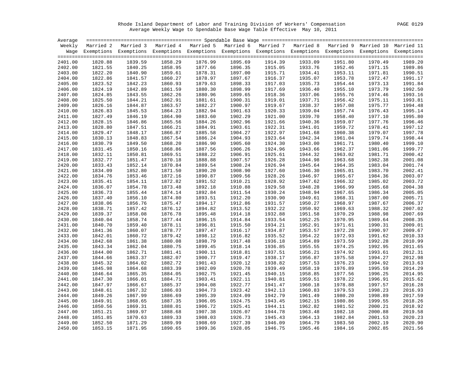Rhode Island Department of Labor and Training Division of Workers' Compensation PAGE 0129 Average Weekly Wage to Spendable Base Wage Table Effective May 10, 2011

| Average |         |         |         |                                                                                                                    |         |         |         |         |         |         |
|---------|---------|---------|---------|--------------------------------------------------------------------------------------------------------------------|---------|---------|---------|---------|---------|---------|
|         |         |         |         | Weekly Married 2 Married 3 Married 4 Married 5 Married 6 Married 7 Married 8 Married 9 Married 10 Married 11       |         |         |         |         |         |         |
|         |         |         |         | Wage Exemptions Exemptions Exemptions Exemptions Exemptions Exemptions Exemptions Exemptions Exemptions Exemptions |         |         |         |         |         |         |
|         |         |         |         |                                                                                                                    |         |         |         |         |         |         |
| 2401.00 | 1820.88 | 1839.59 | 1858.29 | 1876.99                                                                                                            | 1895.69 | 1914.39 | 1933.09 | 1951.80 | 1970.49 | 1989.20 |
| 2402.00 | 1821.55 | 1840.25 | 1858.95 | 1877.66                                                                                                            | 1896.35 | 1915.05 | 1933.76 | 1952.46 | 1971.15 | 1989.86 |
| 2403.00 | 1822.20 | 1840.90 | 1859.61 | 1878.31                                                                                                            | 1897.00 | 1915.71 | 1934.41 | 1953.11 | 1971.81 | 1990.51 |
| 2404.00 | 1822.86 | 1841.57 | 1860.27 | 1878.97                                                                                                            | 1897.67 | 1916.37 | 1935.07 | 1953.78 | 1972.47 | 1991.17 |
| 2405.00 | 1823.52 | 1842.23 | 1860.93 | 1879.63                                                                                                            | 1898.33 | 1917.03 | 1935.73 | 1954.44 | 1973.13 | 1991.84 |
| 2406.00 | 1824.19 | 1842.89 | 1861.59 | 1880.30                                                                                                            | 1898.99 | 1917.69 | 1936.40 | 1955.10 | 1973.79 | 1992.50 |
| 2407.00 | 1824.85 | 1843.55 | 1862.26 | 1880.96                                                                                                            | 1899.65 | 1918.36 | 1937.06 | 1955.76 | 1974.46 | 1993.16 |
| 2408.00 | 1825.50 | 1844.21 | 1862.91 | 1881.61                                                                                                            | 1900.31 | 1919.01 | 1937.71 | 1956.42 | 1975.11 | 1993.81 |
| 2409.00 | 1826.16 | 1844.87 | 1863.57 | 1882.27                                                                                                            | 1900.97 | 1919.67 | 1938.37 | 1957.08 | 1975.77 | 1994.48 |
| 2410.00 | 1826.83 | 1845.53 | 1864.23 | 1882.94                                                                                                            | 1901.63 | 1920.33 | 1939.04 | 1957.74 | 1976.43 | 1995.14 |
| 2411.00 | 1827.49 | 1846.19 | 1864.90 | 1883.60                                                                                                            | 1902.29 | 1921.00 | 1939.70 | 1958.40 | 1977.10 | 1995.80 |
| 2412.00 | 1828.15 | 1846.86 | 1865.56 | 1884.26                                                                                                            | 1902.96 | 1921.66 | 1940.36 | 1959.07 | 1977.76 | 1996.46 |
| 2413.00 | 1828.80 | 1847.51 | 1866.21 | 1884.91                                                                                                            | 1903.61 | 1922.31 | 1941.01 | 1959.72 | 1978.41 | 1997.12 |
| 2414.00 | 1829.47 | 1848.17 | 1866.87 | 1885.58                                                                                                            | 1904.27 | 1922.97 | 1941.68 | 1960.38 | 1979.07 | 1997.78 |
| 2415.00 | 1830.13 | 1848.83 | 1867.54 | 1886.24                                                                                                            | 1904.93 | 1923.64 | 1942.34 | 1961.04 | 1979.74 | 1998.44 |
| 2416.00 | 1830.79 | 1849.50 | 1868.20 | 1886.90                                                                                                            | 1905.60 | 1924.30 | 1943.00 | 1961.71 | 1980.40 | 1999.10 |
| 2417.00 | 1831.45 | 1850.16 | 1868.86 | 1887.56                                                                                                            | 1906.26 | 1924.96 | 1943.66 | 1962.37 | 1981.06 | 1999.77 |
| 2418.00 | 1832.11 | 1850.81 | 1869.51 | 1888.22                                                                                                            | 1906.91 | 1925.61 | 1944.32 | 1963.02 | 1981.71 | 2000.42 |
| 2419.00 | 1832.77 | 1851.47 | 1870.18 | 1888.88                                                                                                            | 1907.57 | 1926.28 | 1944.98 | 1963.68 | 1982.38 | 2001.08 |
| 2420.00 | 1833.43 | 1852.14 | 1870.84 | 1889.54                                                                                                            | 1908.24 | 1926.94 | 1945.64 | 1964.35 | 1983.04 | 2001.74 |
| 2421.00 | 1834.09 | 1852.80 | 1871.50 | 1890.20                                                                                                            | 1908.90 | 1927.60 | 1946.30 | 1965.01 | 1983.70 | 2002.41 |
| 2422.00 | 1834.76 | 1853.46 | 1872.16 | 1890.87                                                                                                            | 1909.56 | 1928.26 | 1946.97 | 1965.67 | 1984.36 | 2003.07 |
| 2423.00 | 1835.41 | 1854.11 | 1872.82 | 1891.52                                                                                                            | 1910.21 | 1928.92 | 1947.62 | 1966.32 | 1985.02 | 2003.72 |
| 2424.00 | 1836.07 | 1854.78 | 1873.48 | 1892.18                                                                                                            | 1910.88 | 1929.58 | 1948.28 | 1966.99 | 1985.68 | 2004.38 |
| 2425.00 | 1836.73 | 1855.44 | 1874.14 | 1892.84                                                                                                            | 1911.54 | 1930.24 | 1948.94 | 1967.65 | 1986.34 | 2005.05 |
| 2426.00 | 1837.40 | 1856.10 | 1874.80 | 1893.51                                                                                                            | 1912.20 | 1930.90 | 1949.61 | 1968.31 | 1987.00 | 2005.71 |
| 2427.00 | 1838.06 | 1856.76 | 1875.47 | 1894.17                                                                                                            | 1912.86 | 1931.57 | 1950.27 | 1968.97 | 1987.67 | 2006.37 |
| 2428.00 | 1838.71 | 1857.42 | 1876.12 | 1894.82                                                                                                            | 1913.52 | 1932.22 | 1950.92 | 1969.63 | 1988.32 | 2007.02 |
| 2429.00 | 1839.37 | 1858.08 | 1876.78 | 1895.48                                                                                                            | 1914.18 | 1932.88 | 1951.58 | 1970.29 | 1988.98 | 2007.69 |
| 2430.00 | 1840.04 | 1858.74 | 1877.44 | 1896.15                                                                                                            | 1914.84 | 1933.54 | 1952.25 | 1970.95 | 1989.64 | 2008.35 |
| 2431.00 | 1840.70 | 1859.40 | 1878.11 | 1896.81                                                                                                            | 1915.50 | 1934.21 | 1952.91 | 1971.61 | 1990.31 | 2009.01 |
| 2432.00 | 1841.36 | 1860.07 | 1878.77 | 1897.47                                                                                                            | 1916.17 | 1934.87 | 1953.57 | 1972.28 | 1990.97 | 2009.67 |
| 2433.00 | 1842.01 | 1860.72 | 1879.42 | 1898.12                                                                                                            | 1916.82 | 1935.52 | 1954.22 | 1972.93 | 1991.62 | 2010.33 |
| 2434.00 | 1842.68 | 1861.38 | 1880.08 | 1898.79                                                                                                            | 1917.48 | 1936.18 | 1954.89 | 1973.59 | 1992.28 | 2010.99 |
| 2435.00 | 1843.34 | 1862.04 | 1880.75 | 1899.45                                                                                                            | 1918.14 | 1936.85 | 1955.55 | 1974.25 | 1992.95 | 2011.65 |
| 2436.00 | 1844.00 | 1862.71 | 1881.41 | 1900.11                                                                                                            | 1918.81 | 1937.51 | 1956.21 | 1974.92 | 1993.61 | 2012.31 |
| 2437.00 | 1844.66 | 1863.37 | 1882.07 | 1900.77                                                                                                            | 1919.47 | 1938.17 | 1956.87 | 1975.58 | 1994.27 | 2012.98 |
|         | 1845.32 | 1864.02 |         | 1901.43                                                                                                            | 1920.12 |         |         |         |         | 2013.63 |
| 2438.00 |         |         | 1882.72 |                                                                                                                    |         | 1938.82 | 1957.53 | 1976.23 | 1994.92 | 2014.29 |
| 2439.00 | 1845.98 | 1864.68 | 1883.39 | 1902.09                                                                                                            | 1920.78 | 1939.49 | 1958.19 | 1976.89 | 1995.59 | 2014.95 |
| 2440.00 | 1846.64 | 1865.35 | 1884.05 | 1902.75                                                                                                            | 1921.45 | 1940.15 | 1958.85 | 1977.56 | 1996.25 |         |
| 2441.00 | 1847.30 | 1866.01 | 1884.71 | 1903.41                                                                                                            | 1922.11 | 1940.81 | 1959.51 | 1978.22 | 1996.91 | 2015.62 |
| 2442.00 | 1847.97 | 1866.67 | 1885.37 | 1904.08                                                                                                            | 1922.77 | 1941.47 | 1960.18 | 1978.88 | 1997.57 | 2016.28 |
| 2443.00 | 1848.61 | 1867.32 | 1886.03 | 1904.73                                                                                                            | 1923.42 | 1942.13 | 1960.83 | 1979.53 | 1998.23 | 2016.93 |
| 2444.00 | 1849.26 | 1867.99 | 1886.69 | 1905.39                                                                                                            | 1924.09 | 1942.79 | 1961.49 | 1980.20 | 1998.89 | 2017.59 |
| 2445.00 | 1849.91 | 1868.65 | 1887.35 | 1906.05                                                                                                            | 1924.75 | 1943.45 | 1962.15 | 1980.86 | 1999.55 | 2018.26 |
| 2446.00 | 1850.56 | 1869.31 | 1888.01 | 1906.72                                                                                                            | 1925.41 | 1944.11 | 1962.82 | 1981.52 | 2000.21 | 2018.92 |
| 2447.00 | 1851.21 | 1869.97 | 1888.68 | 1907.38                                                                                                            | 1926.07 | 1944.78 | 1963.48 | 1982.18 | 2000.88 | 2019.58 |
| 2448.00 | 1851.85 | 1870.63 | 1889.33 | 1908.03                                                                                                            | 1926.73 | 1945.43 | 1964.13 | 1982.84 | 2001.53 | 2020.23 |
| 2449.00 | 1852.50 | 1871.29 | 1889.99 | 1908.69                                                                                                            | 1927.39 | 1946.09 | 1964.79 | 1983.50 | 2002.19 | 2020.90 |
| 2450.00 | 1853.15 | 1871.95 | 1890.65 | 1909.36                                                                                                            | 1928.05 | 1946.75 | 1965.46 | 1984.16 | 2002.85 | 2021.56 |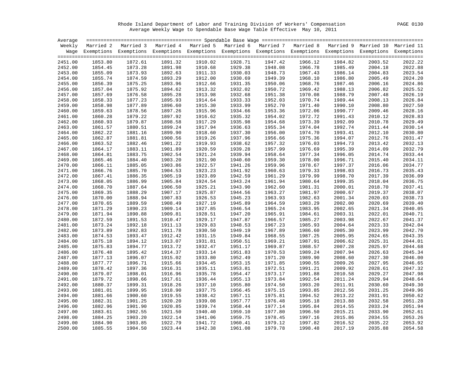Rhode Island Department of Labor and Training Division of Workers' Compensation PAGE 0130 Average Weekly Wage to Spendable Base Wage Table Effective May 10, 2011

| Average |         |                                                                                                                    |         |         |         |         |         |         |         |         |
|---------|---------|--------------------------------------------------------------------------------------------------------------------|---------|---------|---------|---------|---------|---------|---------|---------|
|         |         | Weekly Married 2 Married 3 Married 4 Married 5 Married 6 Married 7 Married 8 Married 9 Married 10 Married 11       |         |         |         |         |         |         |         |         |
|         |         | Wage Exemptions Exemptions Exemptions Exemptions Exemptions Exemptions Exemptions Exemptions Exemptions Exemptions |         |         |         |         |         |         |         |         |
|         |         |                                                                                                                    |         |         |         |         |         |         |         |         |
| 2451.00 | 1853.80 | 1872.61                                                                                                            | 1891.32 | 1910.02 | 1928.71 | 1947.42 | 1966.12 | 1984.82 | 2003.52 | 2022.22 |
| 2452.00 | 1854.45 | 1873.28                                                                                                            | 1891.98 | 1910.68 | 1929.38 | 1948.08 | 1966.78 | 1985.49 | 2004.18 | 2022.88 |
| 2453.00 | 1855.09 | 1873.93                                                                                                            | 1892.63 | 1911.33 | 1930.03 | 1948.73 | 1967.43 | 1986.14 | 2004.83 | 2023.54 |
| 2454.00 | 1855.74 | 1874.59                                                                                                            | 1893.29 | 1912.00 | 1930.69 | 1949.39 | 1968.10 | 1986.80 | 2005.49 | 2024.20 |
| 2455.00 | 1856.39 | 1875.25                                                                                                            | 1893.96 | 1912.66 | 1931.35 | 1950.06 | 1968.76 | 1987.46 | 2006.16 | 2024.86 |
| 2456.00 | 1857.04 | 1875.92                                                                                                            | 1894.62 | 1913.32 | 1932.02 | 1950.72 | 1969.42 | 1988.13 | 2006.82 | 2025.52 |
| 2457.00 | 1857.69 | 1876.58                                                                                                            | 1895.28 | 1913.98 | 1932.68 | 1951.38 | 1970.08 | 1988.79 | 2007.48 | 2026.19 |
| 2458.00 | 1858.33 | 1877.23                                                                                                            | 1895.93 | 1914.64 | 1933.33 | 1952.03 | 1970.74 | 1989.44 | 2008.13 | 2026.84 |
| 2459.00 | 1858.98 | 1877.89                                                                                                            | 1896.60 | 1915.30 | 1933.99 | 1952.70 | 1971.40 | 1990.10 | 2008.80 | 2027.50 |
| 2460.00 | 1859.63 | 1878.56                                                                                                            | 1897.26 | 1915.96 | 1934.66 | 1953.36 | 1972.06 | 1990.77 | 2009.46 | 2028.16 |
| 2461.00 | 1860.28 | 1879.22                                                                                                            | 1897.92 | 1916.62 | 1935.32 | 1954.02 | 1972.72 | 1991.43 | 2010.12 | 2028.83 |
| 2462.00 | 1860.93 | 1879.87                                                                                                            | 1898.58 | 1917.29 | 1935.98 | 1954.68 | 1973.39 | 1992.09 | 2010.78 | 2029.49 |
| 2463.00 | 1861.57 | 1880.51                                                                                                            | 1899.24 | 1917.94 | 1936.63 | 1955.34 | 1974.04 | 1992.74 | 2011.44 | 2030.14 |
| 2464.00 | 1862.22 | 1881.16                                                                                                            | 1899.90 | 1918.60 | 1937.30 | 1956.00 | 1974.70 | 1993.41 | 2012.10 | 2030.80 |
| 2465.00 | 1862.87 | 1881.81                                                                                                            | 1900.56 | 1919.26 | 1937.96 | 1956.66 | 1975.36 | 1994.07 | 2012.76 | 2031.47 |
| 2466.00 | 1863.52 | 1882.46                                                                                                            | 1901.22 | 1919.93 | 1938.62 | 1957.32 | 1976.03 | 1994.73 | 2013.42 | 2032.13 |
| 2467.00 | 1864.17 | 1883.11                                                                                                            | 1901.89 | 1920.59 | 1939.28 | 1957.99 | 1976.69 | 1995.39 | 2014.09 | 2032.79 |
| 2468.00 | 1864.81 | 1883.75                                                                                                            | 1902.54 | 1921.24 | 1939.94 | 1958.64 | 1977.34 | 1996.05 | 2014.74 | 2033.44 |
| 2469.00 | 1865.46 | 1884.40                                                                                                            | 1903.20 | 1921.90 | 1940.60 | 1959.30 | 1978.00 | 1996.71 | 2015.40 | 2034.11 |
| 2470.00 | 1866.11 | 1885.05                                                                                                            | 1903.86 | 1922.57 | 1941.26 | 1959.96 | 1978.67 | 1997.37 | 2016.06 | 2034.77 |
| 2471.00 | 1866.76 | 1885.70                                                                                                            | 1904.53 | 1923.23 | 1941.92 | 1960.63 | 1979.33 | 1998.03 | 2016.73 | 2035.43 |
| 2472.00 | 1867.41 | 1886.35                                                                                                            | 1905.19 | 1923.89 | 1942.59 | 1961.29 | 1979.99 | 1998.70 | 2017.39 | 2036.09 |
| 2473.00 | 1868.05 | 1886.99                                                                                                            | 1905.84 | 1924.54 | 1943.24 | 1961.94 | 1980.64 | 1999.35 | 2018.04 | 2036.75 |
| 2474.00 | 1868.70 | 1887.64                                                                                                            | 1906.50 | 1925.21 | 1943.90 | 1962.60 | 1981.31 | 2000.01 | 2018.70 | 2037.41 |
| 2475.00 | 1869.35 | 1888.29                                                                                                            | 1907.17 | 1925.87 | 1944.56 | 1963.27 | 1981.97 | 2000.67 | 2019.37 | 2038.07 |
| 2476.00 | 1870.00 | 1888.94                                                                                                            | 1907.83 | 1926.53 | 1945.23 | 1963.93 | 1982.63 | 2001.34 | 2020.03 | 2038.73 |
| 2477.00 | 1870.65 | 1889.59                                                                                                            | 1908.49 | 1927.19 | 1945.89 | 1964.59 | 1983.29 | 2002.00 | 2020.69 | 2039.40 |
| 2478.00 | 1871.29 | 1890.23                                                                                                            | 1909.14 | 1927.85 | 1946.54 | 1965.24 | 1983.95 | 2002.65 | 2021.34 | 2040.05 |
| 2479.00 | 1871.94 | 1890.88                                                                                                            | 1909.81 | 1928.51 | 1947.20 | 1965.91 | 1984.61 | 2003.31 | 2022.01 | 2040.71 |
| 2480.00 | 1872.59 | 1891.53                                                                                                            | 1910.47 | 1929.17 | 1947.87 | 1966.57 | 1985.27 | 2003.98 | 2022.67 | 2041.37 |
| 2481.00 | 1873.24 | 1892.18                                                                                                            | 1911.13 | 1929.83 | 1948.53 | 1967.23 | 1985.93 | 2004.64 | 2023.33 | 2042.04 |
| 2482.00 | 1873.89 | 1892.83                                                                                                            | 1911.78 | 1930.50 | 1949.19 | 1967.89 | 1986.60 | 2005.30 | 2023.99 | 2042.70 |
| 2483.00 | 1874.53 | 1893.47                                                                                                            | 1912.42 | 1931.15 | 1949.84 | 1968.55 | 1987.25 | 2005.95 | 2024.65 | 2043.35 |
| 2484.00 | 1875.18 | 1894.12                                                                                                            | 1913.07 | 1931.81 | 1950.51 | 1969.21 | 1987.91 | 2006.62 | 2025.31 | 2044.01 |
| 2485.00 | 1875.83 | 1894.77                                                                                                            | 1913.72 | 1932.47 | 1951.17 | 1969.87 | 1988.57 | 2007.28 | 2025.97 | 2044.68 |
| 2486.00 | 1876.48 | 1895.42                                                                                                            | 1914.37 | 1933.14 | 1951.83 | 1970.53 | 1989.24 | 2007.94 | 2026.63 | 2045.34 |
| 2487.00 | 1877.13 | 1896.07                                                                                                            | 1915.02 | 1933.80 | 1952.49 | 1971.20 | 1989.90 | 2008.60 | 2027.30 | 2046.00 |
| 2488.00 | 1877.77 | 1896.71                                                                                                            | 1915.66 | 1934.45 | 1953.15 | 1971.85 | 1990.55 | 2009.26 | 2027.95 | 2046.65 |
| 2489.00 | 1878.42 | 1897.36                                                                                                            | 1916.31 | 1935.11 | 1953.81 | 1972.51 | 1991.21 | 2009.92 | 2028.61 | 2047.32 |
| 2490.00 | 1879.07 | 1898.01                                                                                                            | 1916.96 | 1935.78 | 1954.47 | 1973.17 | 1991.88 | 2010.58 | 2029.27 | 2047.98 |
| 2491.00 | 1879.72 | 1898.66                                                                                                            | 1917.61 | 1936.44 | 1955.13 | 1973.84 | 1992.54 | 2011.24 | 2029.94 | 2048.64 |
| 2492.00 | 1880.37 | 1899.31                                                                                                            | 1918.26 | 1937.10 | 1955.80 | 1974.50 | 1993.20 | 2011.91 | 2030.60 | 2049.30 |
| 2493.00 | 1881.01 | 1899.95                                                                                                            | 1918.90 | 1937.75 | 1956.45 | 1975.15 | 1993.85 | 2012.56 | 2031.25 | 2049.96 |
| 2494.00 | 1881.66 | 1900.60                                                                                                            | 1919.55 | 1938.42 | 1957.11 | 1975.81 | 1994.52 | 2013.22 | 2031.91 | 2050.62 |
| 2495.00 | 1882.31 | 1901.25                                                                                                            | 1920.20 | 1939.08 | 1957.77 | 1976.48 | 1995.18 | 2013.88 | 2032.58 | 2051.28 |
| 2496.00 | 1882.96 | 1901.90                                                                                                            | 1920.85 | 1939.74 | 1958.44 | 1977.14 | 1995.84 | 2014.55 | 2033.24 | 2051.94 |
| 2497.00 | 1883.61 | 1902.55                                                                                                            | 1921.50 | 1940.40 | 1959.10 | 1977.80 | 1996.50 | 2015.21 | 2033.90 | 2052.61 |
| 2498.00 | 1884.25 | 1903.20                                                                                                            | 1922.14 | 1941.06 | 1959.75 | 1978.45 | 1997.16 | 2015.86 | 2034.55 | 2053.26 |
| 2499.00 | 1884.90 | 1903.85                                                                                                            | 1922.79 | 1941.72 | 1960.41 | 1979.12 | 1997.82 | 2016.52 | 2035.22 | 2053.92 |
| 2500.00 | 1885.55 | 1904.50                                                                                                            | 1923.44 | 1942.38 | 1961.08 | 1979.78 | 1998.48 | 2017.19 | 2035.88 | 2054.58 |
|         |         |                                                                                                                    |         |         |         |         |         |         |         |         |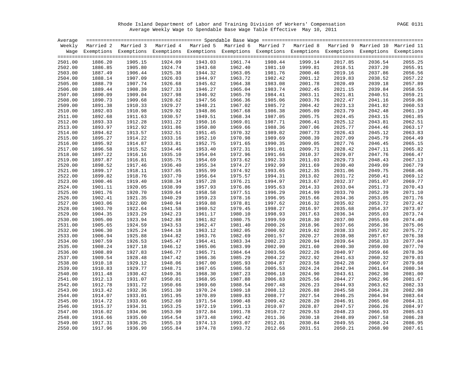Rhode Island Department of Labor and Training Division of Workers' Compensation PAGE 0131 Average Weekly Wage to Spendable Base Wage Table Effective May 10, 2011

| Average |         |                                                                                                                    |         |         |         |         |         |         |         |         |
|---------|---------|--------------------------------------------------------------------------------------------------------------------|---------|---------|---------|---------|---------|---------|---------|---------|
|         |         | Weekly Married 2 Married 3 Married 4 Married 5 Married 6 Married 7 Married 8 Married 9 Married 10 Married 11       |         |         |         |         |         |         |         |         |
|         |         | Wage Exemptions Exemptions Exemptions Exemptions Exemptions Exemptions Exemptions Exemptions Exemptions Exemptions |         |         |         |         |         |         |         |         |
|         |         |                                                                                                                    |         |         |         |         |         |         |         |         |
| 2501.00 | 1886.20 | 1905.15                                                                                                            | 1924.09 | 1943.03 | 1961.74 | 1980.44 | 1999.14 | 2017.85 | 2036.54 | 2055.25 |
| 2502.00 | 1886.85 | 1905.80                                                                                                            | 1924.74 | 1943.68 | 1962.40 | 1981.10 | 1999.81 | 2018.51 | 2037.20 | 2055.91 |
| 2503.00 | 1887.49 | 1906.44                                                                                                            | 1925.38 | 1944.32 | 1963.05 | 1981.76 | 2000.46 | 2019.16 | 2037.86 | 2056.56 |
| 2504.00 | 1888.14 | 1907.09                                                                                                            | 1926.03 | 1944.97 | 1963.72 | 1982.42 | 2001.12 | 2019.83 | 2038.52 | 2057.22 |
| 2505.00 | 1888.79 | 1907.74                                                                                                            | 1926.68 | 1945.62 | 1964.38 | 1983.08 | 2001.78 | 2020.49 | 2039.18 | 2057.89 |
| 2506.00 | 1889.44 | 1908.39                                                                                                            | 1927.33 | 1946.27 | 1965.04 | 1983.74 | 2002.45 | 2021.15 | 2039.84 | 2058.55 |
| 2507.00 | 1890.09 | 1909.04                                                                                                            | 1927.98 | 1946.92 | 1965.70 | 1984.41 | 2003.11 | 2021.81 | 2040.51 | 2059.21 |
| 2508.00 | 1890.73 | 1909.68                                                                                                            | 1928.62 | 1947.56 | 1966.36 | 1985.06 | 2003.76 | 2022.47 | 2041.16 | 2059.86 |
| 2509.00 | 1891.38 | 1910.33                                                                                                            | 1929.27 | 1948.21 | 1967.02 | 1985.72 | 2004.42 | 2023.13 | 2041.82 | 2060.53 |
| 2510.00 | 1892.03 | 1910.98                                                                                                            | 1929.92 | 1948.86 | 1967.68 | 1986.38 | 2005.09 | 2023.79 | 2042.48 | 2061.19 |
| 2511.00 | 1892.68 | 1911.63                                                                                                            | 1930.57 | 1949.51 | 1968.34 | 1987.05 | 2005.75 | 2024.45 | 2043.15 | 2061.85 |
| 2512.00 | 1893.33 | 1912.28                                                                                                            | 1931.22 | 1950.16 | 1969.01 | 1987.71 | 2006.41 | 2025.12 | 2043.81 | 2062.51 |
| 2513.00 | 1893.97 | 1912.92                                                                                                            | 1931.86 | 1950.80 | 1969.66 | 1988.36 | 2007.06 | 2025.77 | 2044.46 | 2063.17 |
| 2514.00 | 1894.62 | 1913.57                                                                                                            | 1932.51 | 1951.45 | 1970.32 | 1989.02 | 2007.73 | 2026.43 | 2045.12 | 2063.83 |
| 2515.00 | 1895.27 | 1914.22                                                                                                            | 1933.16 | 1952.10 | 1970.98 | 1989.69 | 2008.39 | 2027.09 | 2045.79 | 2064.49 |
| 2516.00 | 1895.92 | 1914.87                                                                                                            | 1933.81 | 1952.75 | 1971.65 | 1990.35 | 2009.05 | 2027.76 | 2046.45 | 2065.15 |
| 2517.00 | 1896.58 | 1915.52                                                                                                            | 1934.46 | 1953.40 | 1972.31 | 1991.01 | 2009.71 | 2028.42 | 2047.11 | 2065.82 |
| 2518.00 | 1897.22 | 1916.16                                                                                                            | 1935.10 | 1954.04 | 1972.96 | 1991.66 | 2010.37 | 2029.07 | 2047.76 | 2066.47 |
| 2519.00 | 1897.87 | 1916.81                                                                                                            | 1935.75 | 1954.69 | 1973.62 | 1992.33 | 2011.03 | 2029.73 | 2048.43 | 2067.13 |
| 2520.00 | 1898.52 | 1917.46                                                                                                            | 1936.40 | 1955.34 | 1974.27 | 1992.99 | 2011.69 | 2030.40 | 2049.09 | 2067.79 |
| 2521.00 | 1899.17 | 1918.11                                                                                                            | 1937.05 | 1955.99 | 1974.92 | 1993.65 | 2012.35 | 2031.06 | 2049.75 | 2068.46 |
| 2522.00 | 1899.82 | 1918.76                                                                                                            | 1937.70 | 1956.64 | 1975.57 | 1994.31 | 2013.02 | 2031.72 | 2050.41 | 2069.12 |
| 2523.00 | 1900.46 | 1919.40                                                                                                            | 1938.34 | 1957.28 | 1976.21 | 1994.97 | 2013.67 | 2032.37 | 2051.07 | 2069.77 |
| 2524.00 | 1901.11 | 1920.05                                                                                                            | 1938.99 | 1957.93 | 1976.86 | 1995.63 | 2014.33 | 2033.04 | 2051.73 | 2070.43 |
| 2525.00 | 1901.76 | 1920.70                                                                                                            | 1939.64 | 1958.58 | 1977.51 | 1996.29 | 2014.99 | 2033.70 | 2052.39 | 2071.10 |
| 2526.00 | 1902.41 | 1921.35                                                                                                            | 1940.29 | 1959.23 | 1978.16 | 1996.95 | 2015.66 | 2034.36 | 2053.05 | 2071.76 |
| 2527.00 | 1903.06 | 1922.00                                                                                                            | 1940.94 | 1959.88 | 1978.81 | 1997.62 | 2016.32 | 2035.02 | 2053.72 | 2072.42 |
| 2528.00 | 1903.70 | 1922.64                                                                                                            | 1941.58 | 1960.52 | 1979.45 | 1998.27 | 2016.97 | 2035.68 | 2054.37 | 2073.07 |
| 2529.00 | 1904.35 | 1923.29                                                                                                            | 1942.23 | 1961.17 | 1980.10 | 1998.93 | 2017.63 | 2036.34 | 2055.03 | 2073.74 |
| 2530.00 | 1905.00 | 1923.94                                                                                                            | 1942.88 | 1961.82 | 1980.75 | 1999.59 | 2018.30 | 2037.00 | 2055.69 | 2074.40 |
| 2531.00 | 1905.65 | 1924.59                                                                                                            | 1943.53 | 1962.47 | 1981.40 | 2000.26 | 2018.96 | 2037.66 | 2056.36 | 2075.06 |
| 2532.00 | 1906.30 | 1925.24                                                                                                            | 1944.18 | 1963.12 | 1982.05 | 2000.92 | 2019.62 | 2038.33 | 2057.02 | 2075.72 |
| 2533.00 | 1906.94 | 1925.88                                                                                                            | 1944.82 | 1963.76 | 1982.69 | 2001.57 | 2020.27 | 2038.98 | 2057.67 | 2076.38 |
| 2534.00 | 1907.59 | 1926.53                                                                                                            | 1945.47 | 1964.41 | 1983.34 | 2002.23 | 2020.94 | 2039.64 | 2058.33 | 2077.04 |
| 2535.00 | 1908.24 | 1927.18                                                                                                            | 1946.12 | 1965.06 | 1983.99 | 2002.90 | 2021.60 | 2040.30 | 2059.00 | 2077.70 |
| 2536.00 | 1908.89 | 1927.83                                                                                                            | 1946.77 | 1965.71 | 1984.64 | 2003.56 | 2022.26 | 2040.97 | 2059.66 | 2078.36 |
| 2537.00 | 1909.54 | 1928.48                                                                                                            | 1947.42 | 1966.36 | 1985.29 | 2004.22 | 2022.92 | 2041.63 | 2060.32 | 2079.03 |
| 2538.00 | 1910.18 | 1929.12                                                                                                            | 1948.06 | 1967.00 | 1985.93 | 2004.87 | 2023.58 | 2042.28 | 2060.97 | 2079.68 |
| 2539.00 | 1910.83 | 1929.77                                                                                                            | 1948.71 | 1967.65 | 1986.58 | 2005.53 | 2024.24 | 2042.94 | 2061.64 | 2080.34 |
| 2540.00 | 1911.48 | 1930.42                                                                                                            | 1949.36 | 1968.30 | 1987.23 | 2006.18 | 2024.90 | 2043.61 | 2062.30 | 2081.00 |
| 2541.00 | 1912.13 | 1931.07                                                                                                            | 1950.01 | 1968.95 | 1987.88 | 2006.83 | 2025.56 | 2044.27 | 2062.96 | 2081.67 |
| 2542.00 | 1912.78 | 1931.72                                                                                                            | 1950.66 | 1969.60 | 1988.54 | 2007.48 | 2026.23 | 2044.93 | 2063.62 | 2082.33 |
| 2543.00 | 1913.42 | 1932.36                                                                                                            | 1951.30 | 1970.24 | 1989.18 | 2008.12 | 2026.88 | 2045.58 | 2064.28 | 2082.98 |
| 2544.00 | 1914.07 | 1933.01                                                                                                            | 1951.95 | 1970.89 | 1989.83 | 2008.77 | 2027.54 | 2046.25 | 2064.94 | 2083.64 |
| 2545.00 | 1914.72 | 1933.66                                                                                                            | 1952.60 | 1971.54 | 1990.48 | 2009.42 | 2028.20 | 2046.91 | 2065.60 | 2084.31 |
| 2546.00 | 1915.37 | 1934.31                                                                                                            | 1953.25 | 1972.19 | 1991.13 | 2010.07 | 2028.87 | 2047.57 | 2066.26 | 2084.97 |
| 2547.00 | 1916.02 | 1934.96                                                                                                            | 1953.90 | 1972.84 | 1991.78 | 2010.72 | 2029.53 | 2048.23 | 2066.93 | 2085.63 |
| 2548.00 | 1916.66 | 1935.60                                                                                                            | 1954.54 | 1973.48 | 1992.42 | 2011.36 | 2030.18 | 2048.89 | 2067.58 | 2086.28 |
| 2549.00 | 1917.31 | 1936.25                                                                                                            | 1955.19 | 1974.13 | 1993.07 | 2012.01 | 2030.84 | 2049.55 | 2068.24 | 2086.95 |
| 2550.00 | 1917.96 | 1936.90                                                                                                            | 1955.84 | 1974.78 | 1993.72 | 2012.66 | 2031.51 | 2050.21 | 2068.90 | 2087.61 |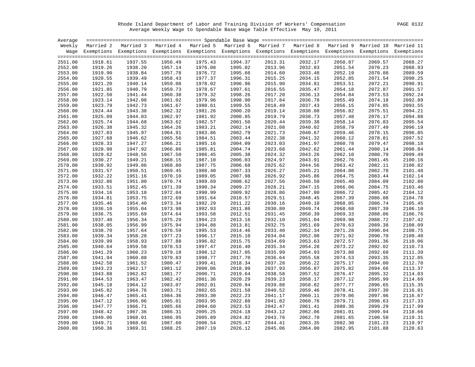Rhode Island Department of Labor and Training Division of Workers' Compensation PAGE 0132 Average Weekly Wage to Spendable Base Wage Table Effective May 10, 2011

| Average |         |                                                                                                                    |         |         |         |         |         |                    |                    |         |
|---------|---------|--------------------------------------------------------------------------------------------------------------------|---------|---------|---------|---------|---------|--------------------|--------------------|---------|
|         |         | Weekly Married 2 Married 3 Married 4 Married 5 Married 6 Married 7 Married 8 Married 9 Married 10 Married 11       |         |         |         |         |         |                    |                    |         |
|         |         | Wage Exemptions Exemptions Exemptions Exemptions Exemptions Exemptions Exemptions Exemptions Exemptions Exemptions |         |         |         |         |         |                    |                    |         |
|         |         |                                                                                                                    |         |         |         |         |         |                    |                    |         |
| 2551.00 | 1918.61 | 1937.55                                                                                                            | 1956.49 | 1975.43 | 1994.37 | 2013.31 | 2032.17 | 2050.87            | 2069.57            | 2088.27 |
| 2552.00 | 1919.26 | 1938.20                                                                                                            | 1957.14 | 1976.08 | 1995.02 | 2013.96 | 2032.83 | 2051.54            | 2070.23            | 2088.93 |
| 2553.00 | 1919.90 | 1938.84                                                                                                            | 1957.78 | 1976.72 | 1995.66 | 2014.60 | 2033.48 | 2052.19            | 2070.88            | 2089.59 |
| 2554.00 | 1920.55 | 1939.49                                                                                                            | 1958.43 | 1977.37 | 1996.31 | 2015.25 | 2034.15 | 2052.85            | 2071.54            | 2090.25 |
| 2555.00 | 1921.20 | 1940.14                                                                                                            | 1959.08 | 1978.02 | 1996.96 | 2015.90 | 2034.81 | 2053.51            | 2072.21            | 2090.91 |
| 2556.00 | 1921.85 | 1940.79                                                                                                            | 1959.73 | 1978.67 | 1997.61 | 2016.55 | 2035.47 | 2054.18            | 2072.87            | 2091.57 |
| 2557.00 | 1922.50 | 1941.44                                                                                                            | 1960.38 | 1979.32 | 1998.26 | 2017.20 | 2036.13 | 2054.84            | 2073.53            | 2092.24 |
| 2558.00 | 1923.14 | 1942.08                                                                                                            | 1961.02 | 1979.96 | 1998.90 | 2017.84 | 2036.78 | 2055.49            | 2074.18            | 2092.89 |
| 2559.00 | 1923.79 | 1942.73                                                                                                            | 1961.67 | 1980.61 | 1999.55 | 2018.49 | 2037.43 | 2056.15            | 2074.85            | 2093.55 |
| 2560.00 | 1924.44 | 1943.38                                                                                                            | 1962.32 | 1981.26 | 2000.20 | 2019.14 | 2038.08 | 2056.82            | 2075.51            | 2094.21 |
| 2561.00 | 1925.09 | 1944.03                                                                                                            | 1962.97 | 1981.92 | 2000.85 | 2019.79 | 2038.73 | 2057.48            | 2076.17            | 2094.88 |
| 2562.00 | 1925.74 | 1944.68                                                                                                            | 1963.62 | 1982.57 | 2001.50 | 2020.44 | 2039.38 | 2058.14            | 2076.83            | 2095.54 |
| 2563.00 | 1926.38 | 1945.32                                                                                                            | 1964.26 | 1983.21 | 2002.14 | 2021.08 | 2040.02 | 2058.79            | 2077.49            | 2096.19 |
| 2564.00 | 1927.03 | 1945.97                                                                                                            | 1964.91 | 1983.86 | 2002.79 | 2021.73 | 2040.67 | 2059.46            | 2078.15            | 2096.85 |
| 2565.00 | 1927.68 | 1946.62                                                                                                            | 1965.56 | 1984.51 | 2003.44 | 2022.38 | 2041.32 | 2060.12            | 2078.81            | 2097.52 |
| 2566.00 | 1928.33 | 1947.27                                                                                                            | 1966.21 | 1985.16 | 2004.09 | 2023.03 | 2041.97 | 2060.78            | 2079.47            | 2098.18 |
| 2567.00 | 1928.98 | 1947.92                                                                                                            | 1966.86 | 1985.81 | 2004.74 | 2023.68 | 2042.62 | 2061.44            | 2080.14            | 2098.84 |
| 2568.00 | 1929.62 | 1948.56                                                                                                            | 1967.50 | 1986.45 | 2005.38 | 2024.32 | 2043.26 | 2062.10            | 2080.79            | 2099.49 |
| 2569.00 | 1930.27 | 1949.21                                                                                                            | 1968.15 | 1987.10 | 2006.03 | 2024.97 | 2043.91 | 2062.76            | 2081.45            | 2100.16 |
| 2570.00 | 1930.92 | 1949.86                                                                                                            | 1968.80 | 1987.75 | 2006.68 | 2025.62 | 2044.56 | 2063.42            | 2082.11            | 2100.82 |
| 2571.00 | 1931.57 | 1950.51                                                                                                            | 1969.45 | 1988.40 | 2007.33 | 2026.27 | 2045.21 | 2064.08            | 2082.78            | 2101.48 |
| 2572.00 | 1932.22 | 1951.16                                                                                                            | 1970.10 | 1989.05 | 2007.98 | 2026.92 | 2045.86 | 2064.75            | 2083.44            | 2102.14 |
| 2573.00 | 1932.86 | 1951.80                                                                                                            | 1970.74 | 1989.69 | 2008.62 | 2027.56 | 2046.50 | 2065.40            | 2084.09            | 2102.80 |
| 2574.00 | 1933.51 | 1952.45                                                                                                            | 1971.39 | 1990.34 | 2009.27 | 2028.21 | 2047.15 | 2066.06            | 2084.75            | 2103.46 |
| 2575.00 | 1934.16 | 1953.10                                                                                                            | 1972.04 | 1990.99 | 2009.92 | 2028.86 | 2047.80 | 2066.72            | 2085.42            | 2104.12 |
| 2576.00 | 1934.81 | 1953.75                                                                                                            | 1972.69 | 1991.64 | 2010.57 | 2029.51 | 2048.45 | 2067.39            | 2086.08            | 2104.78 |
| 2577.00 | 1935.46 | 1954.40                                                                                                            | 1973.34 | 1992.29 | 2011.22 | 2030.16 | 2049.10 | 2068.05            | 2086.74            | 2105.45 |
| 2578.00 | 1936.10 | 1955.04                                                                                                            | 1973.98 | 1992.93 | 2011.86 | 2030.80 | 2049.74 | 2068.68            | 2087.39            | 2106.10 |
| 2579.00 | 1936.75 | 1955.69                                                                                                            | 1974.64 | 1993.58 | 2012.51 | 2031.45 | 2050.39 | 2069.33            | 2088.06            | 2106.76 |
| 2580.00 | 1937.40 | 1956.34                                                                                                            | 1975.29 | 1994.23 | 2013.16 | 2032.10 | 2051.04 | 2069.98            | 2088.72            | 2107.42 |
| 2581.00 | 1938.05 | 1956.99                                                                                                            | 1975.94 | 1994.88 | 2013.81 | 2032.75 | 2051.69 | 2070.63            | 2089.38            | 2108.09 |
| 2582.00 | 1938.70 | 1957.64                                                                                                            | 1976.59 | 1995.53 | 2014.46 | 2033.40 | 2052.34 | 2071.28            | 2090.04            | 2108.75 |
| 2583.00 | 1939.34 | 1958.28                                                                                                            | 1977.23 | 1996.17 | 2015.10 | 2034.04 | 2052.98 | 2071.92            | 2090.70            | 2109.40 |
| 2584.00 | 1939.99 | 1958.93                                                                                                            | 1977.88 | 1996.82 | 2015.75 | 2034.69 | 2053.63 | 2072.57            | 2091.36            | 2110.06 |
| 2585.00 | 1940.64 | 1959.58                                                                                                            | 1978.53 | 1997.47 | 2016.40 | 2035.34 | 2054.28 | 2073.22            | 2092.02            | 2110.73 |
| 2586.00 | 1941.29 | 1960.23                                                                                                            | 1979.18 | 1998.12 | 2017.05 | 2035.99 | 2054.93 | 2073.88            | 2092.68            | 2111.39 |
| 2587.00 | 1941.94 | 1960.88                                                                                                            | 1979.83 | 1998.77 | 2017.70 | 2036.64 | 2055.58 | 2074.53            | 2093.35            | 2112.05 |
| 2588.00 | 1942.58 | 1961.52                                                                                                            | 1980.47 | 1999.41 | 2018.34 | 2037.28 | 2056.22 | 2075.17            | 2094.00            | 2112.70 |
| 2589.00 | 1943.23 | 1962.17                                                                                                            | 1981.12 | 2000.06 | 2018.99 | 2037.93 | 2056.87 | 2075.82            | 2094.66            | 2113.37 |
|         | 1943.88 | 1962.82                                                                                                            | 1981.77 | 2000.71 | 2019.64 | 2038.58 | 2057.52 | 2076.47            |                    | 2114.03 |
| 2590.00 | 1944.53 | 1963.47                                                                                                            | 1982.42 | 2001.36 | 2020.29 | 2039.23 | 2058.17 |                    | 2095.32<br>2095.99 | 2114.69 |
| 2591.00 | 1945.18 | 1964.12                                                                                                            | 1983.07 | 2002.01 | 2020.94 | 2039.88 | 2058.82 | 2077.12<br>2077.77 |                    | 2115.35 |
| 2592.00 |         |                                                                                                                    |         |         |         |         |         |                    | 2096.65            |         |
| 2593.00 | 1945.82 | 1964.76                                                                                                            | 1983.71 | 2002.65 | 2021.58 | 2040.52 | 2059.46 | 2078.41            | 2097.30            | 2116.01 |
| 2594.00 | 1946.47 | 1965.41                                                                                                            | 1984.36 | 2003.30 | 2022.23 | 2041.17 | 2060.11 | 2079.06            | 2097.96            | 2116.67 |
| 2595.00 | 1947.12 | 1966.06                                                                                                            | 1985.01 | 2003.95 | 2022.88 | 2041.82 | 2060.76 | 2079.71            | 2098.63            | 2117.33 |
| 2596.00 | 1947.77 | 1966.71                                                                                                            | 1985.66 | 2004.60 | 2023.53 | 2042.47 | 2061.41 | 2080.36            | 2099.29            | 2117.99 |
| 2597.00 | 1948.42 | 1967.36                                                                                                            | 1986.31 | 2005.25 | 2024.18 | 2043.12 | 2062.06 | 2081.01            | 2099.94            | 2118.66 |
| 2598.00 | 1949.06 | 1968.01                                                                                                            | 1986.95 | 2005.89 | 2024.82 | 2043.76 | 2062.70 | 2081.65            | 2100.58            | 2119.31 |
| 2599.00 | 1949.71 | 1968.66                                                                                                            | 1987.60 | 2006.54 | 2025.47 | 2044.41 | 2063.35 | 2082.30            | 2101.23            | 2119.97 |
| 2600.00 | 1950.36 | 1969.31                                                                                                            | 1988.25 | 2007.19 | 2026.12 | 2045.06 | 2064.00 | 2082.95            | 2101.88            | 2120.63 |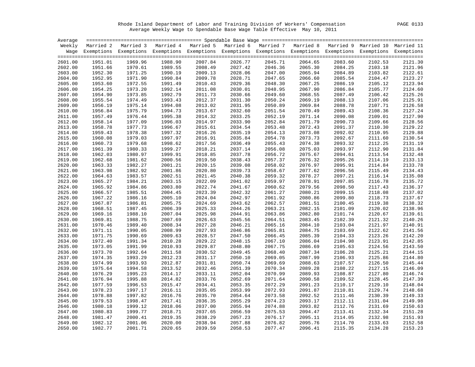Rhode Island Department of Labor and Training Division of Workers' Compensation PAGE 0133 Average Weekly Wage to Spendable Base Wage Table Effective May 10, 2011

| Average |         |                                                                                                                    |         |         |         |         |         |         |         |         |
|---------|---------|--------------------------------------------------------------------------------------------------------------------|---------|---------|---------|---------|---------|---------|---------|---------|
|         |         | Weekly Married 2 Married 3 Married 4 Married 5 Married 6 Married 7 Married 8 Married 9 Married 10 Married 11       |         |         |         |         |         |         |         |         |
|         |         | Wage Exemptions Exemptions Exemptions Exemptions Exemptions Exemptions Exemptions Exemptions Exemptions Exemptions |         |         |         |         |         |         |         |         |
|         |         |                                                                                                                    |         |         |         |         |         |         |         |         |
| 2601.00 | 1951.01 | 1969.96                                                                                                            | 1988.90 | 2007.84 | 2026.77 | 2045.71 | 2064.65 | 2083.60 | 2102.53 | 2121.30 |
| 2602.00 | 1951.66 | 1970.61                                                                                                            | 1989.55 | 2008.49 | 2027.42 | 2046.36 | 2065.30 | 2084.25 | 2103.18 | 2121.96 |
| 2603.00 | 1952.30 | 1971.25                                                                                                            | 1990.19 | 2009.13 | 2028.06 | 2047.00 | 2065.94 | 2084.89 | 2103.82 | 2122.61 |
| 2604.00 | 1952.95 | 1971.90                                                                                                            | 1990.84 | 2009.78 | 2028.71 | 2047.65 | 2066.60 | 2085.54 | 2104.47 | 2123.27 |
| 2605.00 | 1953.60 | 1972.55                                                                                                            | 1991.49 | 2010.43 | 2029.36 | 2048.30 | 2067.25 | 2086.19 | 2105.12 | 2123.94 |
| 2606.00 | 1954.25 | 1973.20                                                                                                            | 1992.14 | 2011.08 | 2030.01 | 2048.95 | 2067.90 | 2086.84 | 2105.77 | 2124.60 |
| 2607.00 | 1954.90 | 1973.85                                                                                                            | 1992.79 | 2011.73 | 2030.66 | 2049.60 | 2068.55 | 2087.49 | 2106.42 | 2125.26 |
| 2608.00 | 1955.54 | 1974.49                                                                                                            | 1993.43 | 2012.37 | 2031.30 | 2050.24 | 2069.19 | 2088.13 | 2107.06 | 2125.91 |
| 2609.00 | 1956.19 | 1975.14                                                                                                            | 1994.08 | 2013.02 | 2031.95 | 2050.89 | 2069.84 | 2088.78 | 2107.71 | 2126.58 |
| 2610.00 | 1956.84 | 1975.79                                                                                                            | 1994.73 | 2013.67 | 2032.60 | 2051.54 | 2070.49 | 2089.43 | 2108.36 | 2127.24 |
| 2611.00 | 1957.49 | 1976.44                                                                                                            | 1995.38 | 2014.32 | 2033.25 | 2052.19 | 2071.14 | 2090.08 | 2109.01 | 2127.90 |
| 2612.00 | 1958.14 | 1977.09                                                                                                            | 1996.03 | 2014.97 | 2033.90 | 2052.84 | 2071.79 | 2090.73 | 2109.66 | 2128.56 |
| 2613.00 | 1958.78 | 1977.73                                                                                                            | 1996.67 | 2015.61 | 2034.54 | 2053.48 | 2072.43 | 2091.37 | 2110.30 | 2129.22 |
| 2614.00 | 1959.43 | 1978.38                                                                                                            | 1997.32 | 2016.26 | 2035.19 | 2054.13 | 2073.08 | 2092.02 | 2110.95 | 2129.88 |
| 2615.00 | 1960.08 | 1979.03                                                                                                            | 1997.97 | 2016.91 | 2035.84 | 2054.78 | 2073.73 | 2092.67 | 2111.60 | 2130.54 |
| 2616.00 | 1960.73 | 1979.68                                                                                                            | 1998.62 | 2017.56 | 2036.49 | 2055.43 | 2074.38 | 2093.32 | 2112.25 | 2131.19 |
| 2617.00 | 1961.39 | 1980.33                                                                                                            | 1999.27 | 2018.21 | 2037.14 | 2056.08 | 2075.03 | 2093.97 | 2112.90 | 2131.84 |
| 2618.00 | 1962.03 | 1980.97                                                                                                            | 1999.91 | 2018.85 | 2037.78 | 2056.72 | 2075.67 | 2094.61 | 2113.54 | 2132.48 |
| 2619.00 | 1962.68 | 1981.62                                                                                                            | 2000.56 | 2019.50 | 2038.43 | 2057.37 | 2076.32 | 2095.26 | 2114.19 | 2133.13 |
| 2620.00 | 1963.33 | 1982.27                                                                                                            | 2001.21 | 2020.15 | 2039.08 | 2058.02 | 2076.97 | 2095.91 | 2114.84 | 2133.78 |
| 2621.00 | 1963.98 | 1982.92                                                                                                            | 2001.86 | 2020.80 | 2039.73 | 2058.67 | 2077.62 | 2096.56 | 2115.49 | 2134.43 |
| 2622.00 | 1964.63 | 1983.57                                                                                                            | 2002.51 | 2021.45 | 2040.38 | 2059.32 | 2078.27 | 2097.21 | 2116.14 | 2135.08 |
| 2623.00 | 1965.27 | 1984.21                                                                                                            | 2003.15 | 2022.09 | 2041.02 | 2059.97 | 2078.91 | 2097.85 | 2116.78 | 2135.72 |
| 2624.00 | 1965.92 | 1984.86                                                                                                            | 2003.80 | 2022.74 | 2041.67 | 2060.62 | 2079.56 | 2098.50 | 2117.43 | 2136.37 |
| 2625.00 | 1966.57 | 1985.51                                                                                                            | 2004.45 | 2023.39 | 2042.32 | 2061.27 | 2080.21 | 2099.15 | 2118.08 | 2137.02 |
| 2626.00 | 1967.22 | 1986.16                                                                                                            | 2005.10 | 2024.04 | 2042.97 | 2061.92 | 2080.86 | 2099.80 | 2118.73 | 2137.67 |
| 2627.00 | 1967.87 | 1986.81                                                                                                            | 2005.75 | 2024.69 | 2043.62 | 2062.57 | 2081.51 | 2100.45 | 2119.38 | 2138.32 |
| 2628.00 | 1968.51 | 1987.45                                                                                                            | 2006.39 | 2025.33 | 2044.26 | 2063.21 | 2082.15 | 2101.09 | 2120.02 | 2138.96 |
| 2629.00 | 1969.16 | 1988.10                                                                                                            | 2007.04 | 2025.98 | 2044.91 | 2063.86 | 2082.80 | 2101.74 | 2120.67 | 2139.61 |
| 2630.00 | 1969.81 | 1988.75                                                                                                            | 2007.69 | 2026.63 | 2045.56 | 2064.51 | 2083.45 | 2102.39 | 2121.32 | 2140.26 |
| 2631.00 | 1970.46 | 1989.40                                                                                                            | 2008.34 | 2027.28 | 2046.21 | 2065.16 | 2084.10 | 2103.04 | 2121.97 | 2140.91 |
| 2632.00 | 1971.11 | 1990.05                                                                                                            | 2008.99 | 2027.93 | 2046.86 | 2065.81 | 2084.75 | 2103.69 | 2122.62 | 2141.56 |
| 2633.00 | 1971.75 | 1990.69                                                                                                            | 2009.63 | 2028.57 | 2047.50 | 2066.45 | 2085.39 | 2104.33 | 2123.26 | 2142.20 |
| 2634.00 | 1972.40 | 1991.34                                                                                                            | 2010.28 | 2029.22 | 2048.15 | 2067.10 | 2086.04 | 2104.98 | 2123.91 | 2142.85 |
| 2635.00 | 1973.05 | 1991.99                                                                                                            | 2010.93 | 2029.87 | 2048.80 | 2067.75 | 2086.69 | 2105.63 | 2124.56 | 2143.50 |
| 2636.00 | 1973.70 | 1992.64                                                                                                            | 2011.58 | 2030.52 | 2049.45 | 2068.40 | 2087.34 | 2106.28 | 2125.21 | 2144.15 |
| 2637.00 | 1974.35 | 1993.29                                                                                                            | 2012.23 | 2031.17 | 2050.10 | 2069.05 | 2087.99 | 2106.93 | 2125.86 | 2144.80 |
| 2638.00 | 1974.99 | 1993.93                                                                                                            | 2012.87 | 2031.81 | 2050.74 | 2069.69 | 2088.63 | 2107.57 | 2126.50 | 2145.44 |
| 2639.00 | 1975.64 | 1994.58                                                                                                            | 2013.52 | 2032.46 | 2051.39 | 2070.34 | 2089.28 | 2108.22 | 2127.15 | 2146.09 |
| 2640.00 | 1976.29 | 1995.23                                                                                                            | 2014.17 | 2033.11 | 2052.04 | 2070.99 | 2089.93 | 2108.87 | 2127.80 | 2146.74 |
| 2641.00 | 1976.94 | 1995.88                                                                                                            | 2014.82 | 2033.76 | 2052.69 | 2071.64 | 2090.58 | 2109.52 | 2128.45 | 2147.39 |
| 2642.00 | 1977.59 | 1996.53                                                                                                            | 2015.47 | 2034.41 | 2053.35 | 2072.29 | 2091.23 | 2110.17 | 2129.10 | 2148.04 |
| 2643.00 | 1978.23 | 1997.17                                                                                                            | 2016.11 | 2035.05 | 2053.99 | 2072.93 | 2091.87 | 2110.81 | 2129.74 | 2148.68 |
| 2644.00 | 1978.88 | 1997.82                                                                                                            | 2016.76 | 2035.70 | 2054.64 | 2073.58 | 2092.52 | 2111.46 | 2130.39 | 2149.33 |
| 2645.00 | 1979.53 | 1998.47                                                                                                            | 2017.41 | 2036.35 | 2055.29 | 2074.23 | 2093.17 | 2112.11 | 2131.04 | 2149.98 |
| 2646.00 | 1980.18 | 1999.12                                                                                                            | 2018.06 | 2037.00 | 2055.94 | 2074.88 | 2093.82 | 2112.76 | 2131.69 | 2150.63 |
| 2647.00 | 1980.83 | 1999.77                                                                                                            | 2018.71 | 2037.65 | 2056.59 | 2075.53 | 2094.47 | 2113.41 | 2132.34 | 2151.28 |
| 2648.00 | 1981.47 | 2000.41                                                                                                            | 2019.35 | 2038.29 | 2057.23 | 2076.17 | 2095.11 | 2114.05 | 2132.98 | 2151.93 |
| 2649.00 | 1982.12 | 2001.06                                                                                                            | 2020.00 | 2038.94 | 2057.88 | 2076.82 | 2095.76 | 2114.70 | 2133.63 | 2152.58 |
| 2650.00 | 1982.77 | 2001.71                                                                                                            | 2020.65 | 2039.59 | 2058.53 | 2077.47 | 2096.41 | 2115.35 | 2134.28 | 2153.23 |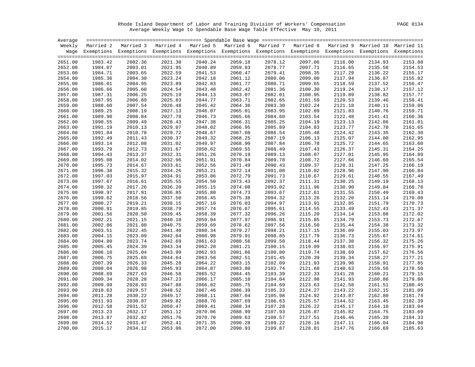Rhode Island Department of Labor and Training Division of Workers' Compensation PAGE 0134 Average Weekly Wage to Spendable Base Wage Table Effective May 10, 2011

| Average            |         |                                                                                                                    |                    |         |         |         |         |         |         |         |
|--------------------|---------|--------------------------------------------------------------------------------------------------------------------|--------------------|---------|---------|---------|---------|---------|---------|---------|
|                    |         | Weekly Married 2 Married 3 Married 4 Married 5 Married 6 Married 7 Married 8 Married 9 Married 10 Married 11       |                    |         |         |         |         |         |         |         |
|                    |         | Wage Exemptions Exemptions Exemptions Exemptions Exemptions Exemptions Exemptions Exemptions Exemptions Exemptions |                    |         |         |         |         |         |         |         |
|                    |         |                                                                                                                    |                    |         |         |         |         |         |         |         |
| 2651.00            | 1983.42 | 2002.36                                                                                                            | 2021.30            | 2040.24 | 2059.18 | 2078.12 | 2097.06 | 2116.00 | 2134.93 | 2153.88 |
| 2652.00            | 1984.07 | 2003.01                                                                                                            | 2021.95            | 2040.89 | 2059.83 | 2078.77 | 2097.71 | 2116.65 | 2135.58 | 2154.53 |
| 2653.00            | 1984.71 | 2003.65                                                                                                            | 2022.59            | 2041.53 | 2060.47 | 2079.41 | 2098.35 | 2117.29 | 2136.22 | 2155.17 |
| 2654.00            | 1985.36 | 2004.30                                                                                                            | 2023.24            | 2042.18 | 2061.12 | 2080.06 | 2099.00 | 2117.94 | 2136.87 | 2155.82 |
| 2655.00            | 1986.01 | 2004.95                                                                                                            | 2023.89            | 2042.83 | 2061.77 | 2080.71 | 2099.65 | 2118.59 | 2137.52 | 2156.47 |
| 2656.00            | 1986.66 | 2005.60                                                                                                            | 2024.54            | 2043.48 | 2062.42 | 2081.36 | 2100.30 | 2119.24 | 2138.17 | 2157.12 |
| 2657.00            | 1987.31 | 2006.25                                                                                                            | 2025.19            | 2044.13 | 2063.07 | 2082.01 | 2100.95 | 2119.89 | 2138.82 | 2157.77 |
| 2658.00            | 1987.95 | 2006.89                                                                                                            | 2025.83            | 2044.77 | 2063.71 | 2082.65 | 2101.59 | 2120.53 | 2139.46 | 2158.41 |
| 2659.00            | 1988.60 | 2007.54                                                                                                            | 2026.48            | 2045.42 | 2064.36 | 2083.30 | 2102.24 | 2121.18 | 2140.11 | 2159.06 |
| 2660.00            | 1989.25 | 2008.19                                                                                                            | 2027.13            | 2046.07 | 2065.01 | 2083.95 | 2102.89 | 2121.83 | 2140.76 | 2159.71 |
| 2661.00            | 1989.90 | 2008.84                                                                                                            | 2027.78            | 2046.73 | 2065.66 | 2084.60 | 2103.54 | 2122.48 | 2141.41 | 2160.36 |
| 2662.00            | 1990.55 | 2009.49                                                                                                            | 2028.43            | 2047.38 | 2066.31 | 2085.25 | 2104.19 | 2123.13 | 2142.06 | 2161.01 |
| 2663.00            | 1991.19 | 2010.13                                                                                                            | 2029.07            | 2048.02 | 2066.95 | 2085.89 | 2104.83 | 2123.77 | 2142.70 | 2161.65 |
| 2664.00            | 1991.84 | 2010.78                                                                                                            | 2029.72            | 2048.67 | 2067.60 | 2086.54 | 2105.48 | 2124.42 | 2143.35 | 2162.30 |
| 2665.00            | 1992.49 | 2011.43                                                                                                            | 2030.37            | 2049.32 | 2068.25 | 2087.19 | 2106.13 | 2125.07 | 2144.00 | 2162.95 |
| 2666.00            | 1993.14 | 2012.08                                                                                                            | 2031.02            | 2049.97 | 2068.90 | 2087.84 | 2106.78 | 2125.72 | 2144.65 | 2163.60 |
| 2667.00            | 1993.79 | 2012.73                                                                                                            | 2031.67            | 2050.62 | 2069.55 | 2088.49 | 2107.43 | 2126.37 | 2145.31 | 2164.25 |
| 2668.00            | 1994.43 | 2013.37                                                                                                            | 2032.31            | 2051.26 | 2070.19 | 2089.13 | 2108.07 | 2127.01 | 2145.95 | 2164.89 |
| 2669.00            | 1995.08 | 2014.02                                                                                                            | 2032.96            | 2051.91 | 2070.84 | 2089.78 | 2108.72 | 2127.66 | 2146.60 | 2165.54 |
| 2670.00            | 1995.73 | 2014.67                                                                                                            | 2033.61            | 2052.56 | 2071.49 | 2090.43 | 2109.37 | 2128.31 | 2147.25 | 2166.19 |
| 2671.00            | 1996.38 | 2015.32                                                                                                            | 2034.26            | 2053.21 | 2072.14 | 2091.08 | 2110.02 | 2128.96 | 2147.90 | 2166.84 |
| 2672.00            | 1997.03 | 2015.97                                                                                                            | 2034.91            | 2053.86 | 2072.79 | 2091.73 | 2110.67 | 2129.61 | 2148.55 | 2167.49 |
| 2673.00            | 1997.67 | 2016.61                                                                                                            | 2035.55            | 2054.50 | 2073.43 | 2092.37 | 2111.31 | 2130.25 | 2149.19 | 2168.13 |
| 2674.00            | 1998.32 | 2017.26                                                                                                            | 2036.20            | 2055.15 | 2074.08 | 2093.02 | 2111.96 | 2130.90 | 2149.84 | 2168.78 |
| 2675.00            | 1998.97 | 2017.91                                                                                                            | 2036.85            | 2055.80 | 2074.73 | 2093.67 | 2112.61 | 2131.55 | 2150.49 | 2169.43 |
| 2676.00            | 1999.62 | 2018.56                                                                                                            | 2037.50            | 2056.45 | 2075.38 | 2094.32 | 2113.26 | 2132.20 | 2151.14 | 2170.08 |
| 2677.00            | 2000.27 | 2019.21                                                                                                            | 2038.15            | 2057.10 | 2076.03 | 2094.97 | 2113.91 | 2132.85 | 2151.79 | 2170.73 |
| 2678.00            | 2000.91 | 2019.85                                                                                                            | 2038.79            | 2057.74 | 2076.67 | 2095.61 | 2114.55 | 2133.49 | 2152.43 | 2171.37 |
| 2679.00            | 2001.56 | 2020.50                                                                                                            | 2039.45            | 2058.39 | 2077.32 | 2096.26 | 2115.20 | 2134.14 | 2153.08 | 2172.02 |
| 2680.00            | 2002.21 | 2021.15                                                                                                            | 2040.10            | 2059.04 | 2077.97 | 2096.91 | 2115.85 | 2134.79 | 2153.73 | 2172.67 |
| 2681.00            | 2002.86 | 2021.80                                                                                                            | 2040.75            | 2059.69 | 2078.62 | 2097.56 | 2116.50 | 2135.44 | 2154.38 | 2173.32 |
| 2682.00            | 2003.51 | 2022.45                                                                                                            | 2041.40            | 2060.34 | 2079.27 | 2098.21 | 2117.15 | 2136.09 | 2155.03 | 2173.97 |
| 2683.00            | 2004.15 | 2023.09                                                                                                            | 2042.04            | 2060.98 | 2079.91 | 2098.85 | 2117.79 | 2136.73 | 2155.67 | 2174.61 |
| 2684.00            | 2004.80 | 2023.74                                                                                                            | 2042.69            | 2061.63 | 2080.56 | 2099.50 | 2118.44 | 2137.38 | 2156.32 | 2175.26 |
| 2685.00            | 2005.45 | 2024.39                                                                                                            | 2043.34            | 2062.28 | 2081.21 | 2100.15 | 2119.09 | 2138.03 | 2156.97 | 2175.91 |
| 2686.00            | 2006.10 | 2025.04                                                                                                            | 2043.99            | 2062.93 | 2081.86 | 2100.80 | 2119.74 | 2138.69 | 2157.62 | 2176.56 |
| 2687.00            | 2006.75 | 2025.69                                                                                                            | 2044.64            | 2063.58 | 2082.51 | 2101.45 | 2120.39 | 2139.34 | 2158.27 | 2177.21 |
| 2688.00            | 2007.39 | 2026.33                                                                                                            | 2045.28            | 2064.22 | 2083.15 | 2102.09 | 2121.03 | 2139.98 | 2158.91 | 2177.85 |
| 2689.00            | 2008.04 | 2026.98                                                                                                            | 2045.93            | 2064.87 | 2083.80 | 2102.74 | 2121.68 | 2140.63 | 2159.56 | 2178.50 |
| 2690.00            | 2008.69 | 2027.63                                                                                                            | 2046.58            | 2065.52 | 2084.45 | 2103.39 | 2122.33 | 2141.28 | 2160.21 | 2179.15 |
| 2691.00            | 2009.34 | 2028.28                                                                                                            | 2047.23            | 2066.17 | 2085.10 | 2104.04 | 2122.98 | 2141.93 | 2160.86 | 2179.80 |
| 2692.00            | 2009.99 | 2028.93                                                                                                            | 2047.88            | 2066.82 | 2085.75 | 2104.69 | 2123.63 | 2142.58 | 2161.51 | 2180.45 |
| 2693.00            | 2010.63 | 2029.57                                                                                                            | 2048.52            | 2067.46 | 2086.39 | 2105.33 | 2124.27 | 2143.22 | 2162.15 | 2181.09 |
|                    | 2011.28 | 2030.22                                                                                                            | 2049.17            | 2068.11 | 2087.04 | 2105.98 | 2124.92 | 2143.87 | 2162.80 | 2181.74 |
| 2694.00<br>2695.00 | 2011.93 | 2030.87                                                                                                            | 2049.82            | 2068.76 | 2087.69 | 2106.63 | 2125.57 | 2144.52 | 2163.45 | 2182.39 |
| 2696.00            | 2012.58 | 2031.52                                                                                                            |                    | 2069.41 | 2088.34 | 2107.28 | 2126.22 | 2145.17 | 2164.10 | 2183.04 |
| 2697.00            | 2013.23 | 2032.17                                                                                                            | 2050.47<br>2051.12 | 2070.06 | 2088.99 | 2107.93 | 2126.87 | 2145.82 | 2164.75 | 2183.69 |
|                    | 2013.87 | 2032.82                                                                                                            | 2051.76            | 2070.70 | 2089.63 | 2108.57 | 2127.51 | 2146.46 | 2165.39 | 2184.33 |
| 2698.00            |         |                                                                                                                    |                    |         |         |         |         |         |         | 2184.98 |
| 2699.00            | 2014.52 | 2033.47                                                                                                            | 2052.41            | 2071.35 | 2090.28 | 2109.22 | 2128.16 | 2147.11 | 2166.04 |         |
| 2700.00            | 2015.17 | 2034.12                                                                                                            | 2053.06            | 2072.00 | 2090.93 | 2109.87 | 2128.81 | 2147.76 | 2166.69 | 2185.63 |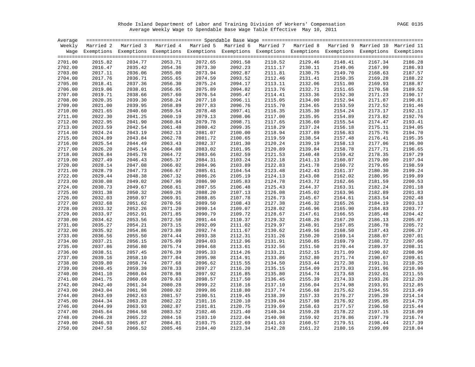Rhode Island Department of Labor and Training Division of Workers' Compensation PAGE 0135 Average Weekly Wage to Spendable Base Wage Table Effective May 10, 2011

| Average |         |                                                                                                                    |         |         |         |         |         |         |         |         |
|---------|---------|--------------------------------------------------------------------------------------------------------------------|---------|---------|---------|---------|---------|---------|---------|---------|
|         |         | Weekly Married 2 Married 3 Married 4 Married 5 Married 6 Married 7 Married 8 Married 9 Married 10 Married 11       |         |         |         |         |         |         |         |         |
|         |         | Wage Exemptions Exemptions Exemptions Exemptions Exemptions Exemptions Exemptions Exemptions Exemptions Exemptions |         |         |         |         |         |         |         |         |
|         |         |                                                                                                                    |         |         |         |         |         |         |         |         |
| 2701.00 | 2015.82 | 2034.77                                                                                                            | 2053.71 | 2072.65 | 2091.58 | 2110.52 | 2129.46 | 2148.41 | 2167.34 | 2186.28 |
| 2702.00 | 2016.47 | 2035.42                                                                                                            | 2054.36 | 2073.30 | 2092.23 | 2111.17 | 2130.11 | 2149.06 | 2167.99 | 2186.93 |
| 2703.00 | 2017.11 | 2036.06                                                                                                            | 2055.00 | 2073.94 | 2092.87 | 2111.81 | 2130.75 | 2149.70 | 2168.63 | 2187.57 |
| 2704.00 | 2017.76 | 2036.71                                                                                                            | 2055.65 | 2074.59 | 2093.52 | 2112.46 | 2131.41 | 2150.35 | 2169.28 | 2188.22 |
| 2705.00 | 2018.41 | 2037.36                                                                                                            | 2056.30 | 2075.24 | 2094.17 | 2113.11 | 2132.06 | 2151.00 | 2169.93 | 2188.87 |
| 2706.00 | 2019.06 | 2038.01                                                                                                            | 2056.95 | 2075.89 | 2094.82 | 2113.76 | 2132.71 | 2151.65 | 2170.58 | 2189.52 |
| 2707.00 | 2019.71 | 2038.66                                                                                                            | 2057.60 | 2076.54 | 2095.47 | 2114.41 | 2133.36 | 2152.30 | 2171.23 | 2190.17 |
| 2708.00 | 2020.35 | 2039.30                                                                                                            | 2058.24 | 2077.18 | 2096.11 | 2115.05 | 2134.00 | 2152.94 | 2171.87 | 2190.81 |
| 2709.00 | 2021.00 | 2039.95                                                                                                            | 2058.89 | 2077.83 | 2096.76 | 2115.70 | 2134.65 | 2153.59 | 2172.52 | 2191.46 |
| 2710.00 | 2021.65 | 2040.60                                                                                                            | 2059.54 | 2078.48 | 2097.41 | 2116.35 | 2135.30 | 2154.24 | 2173.17 | 2192.11 |
| 2711.00 | 2022.30 | 2041.25                                                                                                            | 2060.19 | 2079.13 | 2098.06 | 2117.00 | 2135.95 | 2154.89 | 2173.82 | 2192.76 |
| 2712.00 | 2022.95 | 2041.90                                                                                                            | 2060.84 | 2079.78 | 2098.71 | 2117.65 | 2136.60 | 2155.54 | 2174.47 | 2193.41 |
| 2713.00 | 2023.59 | 2042.54                                                                                                            | 2061.48 | 2080.42 | 2099.35 | 2118.29 | 2137.24 | 2156.18 | 2175.11 | 2194.05 |
| 2714.00 | 2024.24 | 2043.19                                                                                                            | 2062.13 | 2081.07 | 2100.00 | 2118.94 | 2137.89 | 2156.83 | 2175.76 | 2194.70 |
| 2715.00 | 2024.89 | 2043.84                                                                                                            | 2062.78 | 2081.72 | 2100.65 | 2119.59 | 2138.54 | 2157.48 | 2176.41 | 2195.35 |
| 2716.00 | 2025.54 | 2044.49                                                                                                            | 2063.43 | 2082.37 | 2101.30 | 2120.24 | 2139.19 | 2158.13 | 2177.06 | 2196.00 |
| 2717.00 | 2026.20 | 2045.14                                                                                                            | 2064.08 | 2083.02 | 2101.95 | 2120.89 | 2139.84 | 2158.78 | 2177.71 | 2196.65 |
| 2718.00 | 2026.84 | 2045.78                                                                                                            | 2064.72 | 2083.66 | 2102.59 | 2121.53 | 2140.48 | 2159.42 | 2178.35 | 2197.29 |
| 2719.00 | 2027.49 | 2046.43                                                                                                            | 2065.37 | 2084.31 | 2103.24 | 2122.18 | 2141.13 | 2160.07 | 2179.00 | 2197.94 |
| 2720.00 | 2028.14 | 2047.08                                                                                                            | 2066.02 | 2084.96 | 2103.89 | 2122.83 | 2141.78 | 2160.72 | 2179.65 | 2198.59 |
| 2721.00 | 2028.79 | 2047.73                                                                                                            | 2066.67 | 2085.61 | 2104.54 | 2123.48 | 2142.43 | 2161.37 | 2180.30 | 2199.24 |
| 2722.00 | 2029.44 | 2048.38                                                                                                            | 2067.32 | 2086.26 | 2105.19 | 2124.13 | 2143.08 | 2162.02 | 2180.95 | 2199.89 |
| 2723.00 | 2030.08 | 2049.02                                                                                                            | 2067.96 | 2086.90 | 2105.83 | 2124.78 | 2143.72 | 2162.66 | 2181.59 | 2200.53 |
| 2724.00 | 2030.73 | 2049.67                                                                                                            | 2068.61 | 2087.55 | 2106.48 | 2125.43 | 2144.37 | 2163.31 | 2182.24 | 2201.18 |
| 2725.00 | 2031.38 | 2050.32                                                                                                            | 2069.26 | 2088.20 | 2107.13 | 2126.08 | 2145.02 | 2163.96 | 2182.89 | 2201.83 |
| 2726.00 | 2032.03 | 2050.97                                                                                                            | 2069.91 | 2088.85 | 2107.78 | 2126.73 | 2145.67 | 2164.61 | 2183.54 | 2202.48 |
| 2727.00 | 2032.68 | 2051.62                                                                                                            | 2070.56 | 2089.50 | 2108.43 | 2127.38 | 2146.32 | 2165.26 | 2184.19 | 2203.13 |
| 2728.00 | 2033.32 | 2052.26                                                                                                            | 2071.20 | 2090.14 | 2109.07 | 2128.02 | 2146.96 | 2165.90 | 2184.83 | 2203.77 |
| 2729.00 | 2033.97 | 2052.91                                                                                                            | 2071.85 | 2090.79 | 2109.72 | 2128.67 | 2147.61 | 2166.55 | 2185.48 | 2204.42 |
| 2730.00 | 2034.62 | 2053.56                                                                                                            | 2072.50 | 2091.44 | 2110.37 | 2129.32 | 2148.26 | 2167.20 | 2186.13 | 2205.07 |
| 2731.00 | 2035.27 | 2054.21                                                                                                            | 2073.15 | 2092.09 | 2111.02 | 2129.97 | 2148.91 | 2167.85 | 2186.78 | 2205.72 |
| 2732.00 | 2035.92 | 2054.86                                                                                                            | 2073.80 | 2092.74 | 2111.67 | 2130.62 | 2149.56 | 2168.50 | 2187.43 | 2206.37 |
| 2733.00 | 2036.56 | 2055.50                                                                                                            | 2074.44 | 2093.38 | 2112.31 | 2131.26 | 2150.20 | 2169.14 | 2188.07 | 2207.01 |
| 2734.00 | 2037.21 | 2056.15                                                                                                            | 2075.09 | 2094.03 | 2112.96 | 2131.91 | 2150.85 | 2169.79 | 2188.72 | 2207.66 |
| 2735.00 | 2037.86 | 2056.80                                                                                                            | 2075.74 | 2094.68 | 2113.61 | 2132.56 | 2151.50 | 2170.44 | 2189.37 | 2208.31 |
| 2736.00 | 2038.51 | 2057.45                                                                                                            | 2076.39 | 2095.33 | 2114.26 | 2133.21 | 2152.15 | 2171.09 | 2190.02 | 2208.96 |
| 2737.00 | 2039.16 | 2058.10                                                                                                            | 2077.04 | 2095.98 | 2114.91 | 2133.86 | 2152.80 | 2171.74 | 2190.67 | 2209.61 |
| 2738.00 | 2039.80 | 2058.74                                                                                                            | 2077.68 | 2096.62 | 2115.55 | 2134.50 | 2153.44 | 2172.38 | 2191.31 | 2210.25 |
| 2739.00 | 2040.45 | 2059.39                                                                                                            | 2078.33 | 2097.27 | 2116.20 | 2135.15 | 2154.09 | 2173.03 | 2191.96 | 2210.90 |
| 2740.00 | 2041.10 | 2060.04                                                                                                            | 2078.98 | 2097.92 | 2116.85 | 2135.80 | 2154.74 | 2173.68 | 2192.61 | 2211.55 |
| 2741.00 | 2041.75 | 2060.69                                                                                                            | 2079.63 | 2098.57 | 2117.50 | 2136.45 | 2155.39 | 2174.33 | 2193.26 | 2212.20 |
| 2742.00 | 2042.40 | 2061.34                                                                                                            | 2080.28 | 2099.22 | 2118.16 | 2137.10 | 2156.04 | 2174.98 | 2193.91 | 2212.85 |
| 2743.00 | 2043.04 | 2061.98                                                                                                            | 2080.92 | 2099.86 | 2118.80 | 2137.74 | 2156.68 | 2175.62 | 2194.55 | 2213.49 |
| 2744.00 | 2043.69 | 2062.63                                                                                                            | 2081.57 | 2100.51 | 2119.45 | 2138.39 | 2157.33 | 2176.27 | 2195.20 | 2214.14 |
| 2745.00 | 2044.34 | 2063.28                                                                                                            | 2082.22 | 2101.16 | 2120.10 | 2139.04 | 2157.98 | 2176.92 | 2195.85 | 2214.79 |
| 2746.00 | 2044.99 | 2063.93                                                                                                            | 2082.87 | 2101.81 | 2120.75 | 2139.69 | 2158.63 | 2177.57 | 2196.50 | 2215.44 |
| 2747.00 | 2045.64 | 2064.58                                                                                                            | 2083.52 | 2102.46 | 2121.40 | 2140.34 | 2159.28 | 2178.22 | 2197.15 | 2216.09 |
| 2748.00 | 2046.28 | 2065.22                                                                                                            | 2084.16 | 2103.10 | 2122.04 | 2140.98 | 2159.92 | 2178.86 | 2197.79 | 2216.74 |
| 2749.00 | 2046.93 | 2065.87                                                                                                            | 2084.81 | 2103.75 | 2122.69 | 2141.63 | 2160.57 | 2179.51 | 2198.44 | 2217.39 |
| 2750.00 | 2047.58 | 2066.52                                                                                                            | 2085.46 | 2104.40 | 2123.34 | 2142.28 | 2161.22 | 2180.16 | 2199.09 | 2218.04 |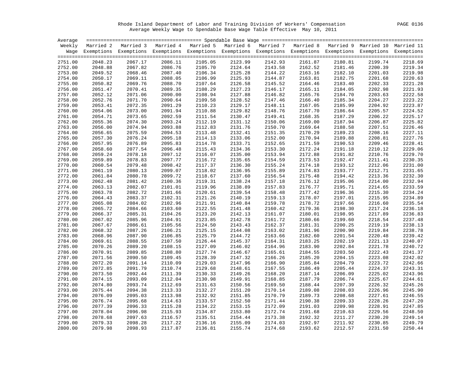Rhode Island Department of Labor and Training Division of Workers' Compensation PAGE 0136 Average Weekly Wage to Spendable Base Wage Table Effective May 10, 2011

| Average |         |                                                                                                                    |         |         |         |         |         |         |         |         |
|---------|---------|--------------------------------------------------------------------------------------------------------------------|---------|---------|---------|---------|---------|---------|---------|---------|
|         |         | Weekly Married 2 Married 3 Married 4 Married 5 Married 6 Married 7 Married 8 Married 9 Married 10 Married 11       |         |         |         |         |         |         |         |         |
|         |         | Wage Exemptions Exemptions Exemptions Exemptions Exemptions Exemptions Exemptions Exemptions Exemptions Exemptions |         |         |         |         |         |         |         |         |
|         |         |                                                                                                                    |         |         |         |         |         |         |         |         |
| 2751.00 | 2048.23 | 2067.17                                                                                                            | 2086.11 | 2105.05 | 2123.99 | 2142.93 | 2161.87 | 2180.81 | 2199.74 | 2218.69 |
| 2752.00 | 2048.88 | 2067.82                                                                                                            | 2086.76 | 2105.70 | 2124.64 | 2143.58 | 2162.52 | 2181.46 | 2200.39 | 2219.34 |
| 2753.00 | 2049.52 | 2068.46                                                                                                            | 2087.40 | 2106.34 | 2125.28 | 2144.22 | 2163.16 | 2182.10 | 2201.03 | 2219.98 |
| 2754.00 | 2050.17 | 2069.11                                                                                                            | 2088.05 | 2106.99 | 2125.93 | 2144.87 | 2163.81 | 2182.75 | 2201.68 | 2220.63 |
| 2755.00 | 2050.82 | 2069.76                                                                                                            | 2088.70 | 2107.64 | 2126.58 | 2145.52 | 2164.46 | 2183.40 | 2202.33 | 2221.28 |
| 2756.00 | 2051.47 | 2070.41                                                                                                            | 2089.35 | 2108.29 | 2127.23 | 2146.17 | 2165.11 | 2184.05 | 2202.98 | 2221.93 |
| 2757.00 | 2052.12 | 2071.06                                                                                                            | 2090.00 | 2108.94 | 2127.88 | 2146.82 | 2165.76 | 2184.70 | 2203.63 | 2222.58 |
| 2758.00 | 2052.76 | 2071.70                                                                                                            | 2090.64 | 2109.58 | 2128.52 | 2147.46 | 2166.40 | 2185.34 | 2204.27 | 2223.22 |
| 2759.00 | 2053.41 | 2072.35                                                                                                            | 2091.29 | 2110.23 | 2129.17 | 2148.11 | 2167.05 | 2185.99 | 2204.92 | 2223.87 |
| 2760.00 | 2054.06 | 2073.00                                                                                                            | 2091.94 | 2110.88 | 2129.82 | 2148.76 | 2167.70 | 2186.64 | 2205.57 | 2224.52 |
| 2761.00 | 2054.71 | 2073.65                                                                                                            | 2092.59 | 2111.54 | 2130.47 | 2149.41 | 2168.35 | 2187.29 | 2206.22 | 2225.17 |
| 2762.00 | 2055.36 | 2074.30                                                                                                            | 2093.24 | 2112.19 | 2131.12 | 2150.06 | 2169.00 | 2187.94 | 2206.87 | 2225.82 |
| 2763.00 | 2056.00 | 2074.94                                                                                                            | 2093.88 | 2112.83 | 2131.76 | 2150.70 | 2169.64 | 2188.58 | 2207.51 | 2226.46 |
| 2764.00 | 2056.65 | 2075.59                                                                                                            | 2094.53 | 2113.48 | 2132.41 | 2151.35 | 2170.29 | 2189.23 | 2208.16 | 2227.11 |
| 2765.00 | 2057.30 | 2076.24                                                                                                            | 2095.18 | 2114.13 | 2133.06 | 2152.00 | 2170.94 | 2189.88 | 2208.81 | 2227.76 |
| 2766.00 | 2057.95 | 2076.89                                                                                                            | 2095.83 | 2114.78 | 2133.71 | 2152.65 | 2171.59 | 2190.53 | 2209.46 | 2228.41 |
| 2767.00 | 2058.60 | 2077.54                                                                                                            | 2096.48 | 2115.43 | 2134.36 | 2153.30 | 2172.24 | 2191.18 | 2210.12 | 2229.06 |
| 2768.00 | 2059.24 | 2078.18                                                                                                            | 2097.12 | 2116.07 | 2135.00 | 2153.94 | 2172.88 | 2191.82 | 2210.76 | 2229.70 |
| 2769.00 | 2059.89 | 2078.83                                                                                                            | 2097.77 | 2116.72 | 2135.65 | 2154.59 | 2173.53 | 2192.47 | 2211.41 | 2230.35 |
| 2770.00 | 2060.54 | 2079.48                                                                                                            | 2098.42 | 2117.37 | 2136.30 | 2155.24 | 2174.18 | 2193.12 | 2212.06 | 2231.00 |
| 2771.00 | 2061.19 | 2080.13                                                                                                            | 2099.07 | 2118.02 | 2136.95 | 2155.89 | 2174.83 | 2193.77 | 2212.71 | 2231.65 |
| 2772.00 | 2061.84 | 2080.78                                                                                                            | 2099.72 | 2118.67 | 2137.60 | 2156.54 | 2175.48 | 2194.42 | 2213.36 | 2232.30 |
| 2773.00 | 2062.48 | 2081.42                                                                                                            | 2100.36 | 2119.31 | 2138.24 | 2157.18 | 2176.12 | 2195.06 | 2214.00 | 2232.94 |
| 2774.00 | 2063.13 | 2082.07                                                                                                            | 2101.01 | 2119.96 | 2138.89 | 2157.83 | 2176.77 | 2195.71 | 2214.65 | 2233.59 |
| 2775.00 | 2063.78 | 2082.72                                                                                                            | 2101.66 | 2120.61 | 2139.54 | 2158.48 | 2177.42 | 2196.36 | 2215.30 | 2234.24 |
| 2776.00 | 2064.43 | 2083.37                                                                                                            | 2102.31 | 2121.26 | 2140.19 | 2159.13 | 2178.07 | 2197.01 | 2215.95 | 2234.89 |
| 2777.00 | 2065.08 | 2084.02                                                                                                            | 2102.96 | 2121.91 | 2140.84 | 2159.78 | 2178.72 | 2197.66 | 2216.60 | 2235.54 |
| 2778.00 | 2065.72 | 2084.66                                                                                                            | 2103.60 | 2122.55 | 2141.48 | 2160.42 | 2179.36 | 2198.30 | 2217.24 | 2236.18 |
| 2779.00 | 2066.37 | 2085.31                                                                                                            | 2104.26 | 2123.20 | 2142.13 | 2161.07 | 2180.01 | 2198.95 | 2217.89 | 2236.83 |
| 2780.00 | 2067.02 | 2085.96                                                                                                            | 2104.91 | 2123.85 | 2142.78 | 2161.72 | 2180.66 | 2199.60 | 2218.54 | 2237.48 |
| 2781.00 | 2067.67 | 2086.61                                                                                                            | 2105.56 | 2124.50 | 2143.43 | 2162.37 | 2181.31 | 2200.25 | 2219.19 | 2238.13 |
| 2782.00 | 2068.32 | 2087.26                                                                                                            | 2106.21 | 2125.15 | 2144.08 | 2163.02 | 2181.96 | 2200.90 | 2219.84 | 2238.78 |
| 2783.00 | 2068.96 | 2087.90                                                                                                            | 2106.85 | 2125.79 | 2144.72 | 2163.66 | 2182.60 | 2201.54 | 2220.48 | 2239.42 |
| 2784.00 | 2069.61 | 2088.55                                                                                                            | 2107.50 | 2126.44 | 2145.37 | 2164.31 | 2183.25 | 2202.19 | 2221.13 | 2240.07 |
| 2785.00 | 2070.26 | 2089.20                                                                                                            | 2108.15 | 2127.09 | 2146.02 | 2164.96 | 2183.90 | 2202.84 | 2221.78 | 2240.72 |
| 2786.00 | 2070.91 | 2089.85                                                                                                            | 2108.80 | 2127.74 | 2146.67 | 2165.61 | 2184.55 | 2203.50 | 2222.43 | 2241.37 |
| 2787.00 | 2071.56 | 2090.50                                                                                                            | 2109.45 | 2128.39 | 2147.32 | 2166.26 | 2185.20 | 2204.15 | 2223.08 | 2242.02 |
| 2788.00 | 2072.20 | 2091.14                                                                                                            | 2110.09 | 2129.03 | 2147.96 | 2166.90 | 2185.84 | 2204.79 | 2223.72 | 2242.66 |
| 2789.00 | 2072.85 | 2091.79                                                                                                            | 2110.74 | 2129.68 | 2148.61 | 2167.55 | 2186.49 | 2205.44 | 2224.37 | 2243.31 |
| 2790.00 | 2073.50 | 2092.44                                                                                                            | 2111.39 | 2130.33 | 2149.26 | 2168.20 | 2187.14 | 2206.09 | 2225.02 | 2243.96 |
| 2791.00 | 2074.15 | 2093.09                                                                                                            | 2112.04 | 2130.98 | 2149.91 | 2168.85 | 2187.79 | 2206.74 | 2225.67 | 2244.61 |
| 2792.00 | 2074.80 | 2093.74                                                                                                            | 2112.69 | 2131.63 | 2150.56 | 2169.50 | 2188.44 | 2207.39 | 2226.32 | 2245.26 |
| 2793.00 | 2075.44 | 2094.38                                                                                                            | 2113.33 | 2132.27 | 2151.20 | 2170.14 | 2189.08 | 2208.03 | 2226.96 | 2245.90 |
| 2794.00 | 2076.09 | 2095.03                                                                                                            | 2113.98 | 2132.92 | 2151.85 | 2170.79 | 2189.73 | 2208.68 | 2227.61 | 2246.55 |
| 2795.00 | 2076.74 | 2095.68                                                                                                            | 2114.63 | 2133.57 | 2152.50 | 2171.44 | 2190.38 | 2209.33 | 2228.26 | 2247.20 |
| 2796.00 | 2077.39 | 2096.33                                                                                                            | 2115.28 | 2134.22 | 2153.15 | 2172.09 | 2191.03 | 2209.98 | 2228.91 | 2247.85 |
| 2797.00 | 2078.04 | 2096.98                                                                                                            | 2115.93 | 2134.87 | 2153.80 | 2172.74 | 2191.68 | 2210.63 | 2229.56 | 2248.50 |
| 2798.00 | 2078.68 | 2097.63                                                                                                            | 2116.57 | 2135.51 | 2154.44 | 2173.38 | 2192.32 | 2211.27 | 2230.20 | 2249.14 |
| 2799.00 | 2079.33 | 2098.28                                                                                                            | 2117.22 | 2136.16 | 2155.09 | 2174.03 | 2192.97 | 2211.92 | 2230.85 | 2249.79 |
| 2800.00 | 2079.98 | 2098.93                                                                                                            | 2117.87 | 2136.81 | 2155.74 | 2174.68 | 2193.62 | 2212.57 | 2231.50 | 2250.44 |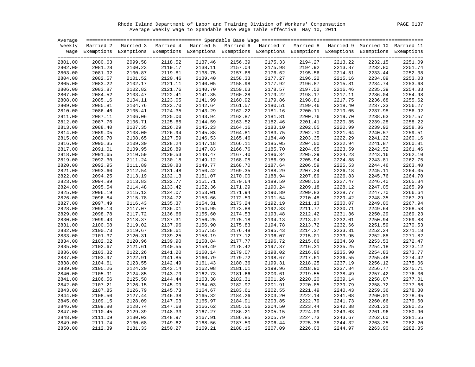Rhode Island Department of Labor and Training Division of Workers' Compensation PAGE 0137 Average Weekly Wage to Spendable Base Wage Table Effective May 10, 2011

| Average |                    |                                                                                                                    |         |                    |         |         |                    |         |         |         |
|---------|--------------------|--------------------------------------------------------------------------------------------------------------------|---------|--------------------|---------|---------|--------------------|---------|---------|---------|
|         |                    | Weekly Married 2 Married 3 Married 4 Married 5 Married 6 Married 7 Married 8 Married 9 Married 10 Married 11       |         |                    |         |         |                    |         |         |         |
|         |                    | Wage Exemptions Exemptions Exemptions Exemptions Exemptions Exemptions Exemptions Exemptions Exemptions Exemptions |         |                    |         |         |                    |         |         |         |
|         |                    |                                                                                                                    |         |                    |         |         |                    |         |         |         |
| 2801.00 | 2080.63            | 2099.58                                                                                                            | 2118.52 | 2137.46            | 2156.39 | 2175.33 | 2194.27            | 2213.22 | 2232.15 | 2251.09 |
| 2802.00 | 2081.28            | 2100.23                                                                                                            | 2119.17 | 2138.11            | 2157.04 | 2175.98 | 2194.92            | 2213.87 | 2232.80 | 2251.74 |
| 2803.00 | 2081.92            | 2100.87                                                                                                            | 2119.81 | 2138.75            | 2157.68 | 2176.62 | 2195.56            | 2214.51 | 2233.44 | 2252.38 |
| 2804.00 | 2082.57            | 2101.52                                                                                                            | 2120.46 | 2139.40            | 2158.33 | 2177.27 | 2196.22            | 2215.16 | 2234.09 | 2253.03 |
| 2805.00 | 2083.22            | 2102.17                                                                                                            | 2121.11 | 2140.05            | 2158.98 | 2177.92 | 2196.87            | 2215.81 | 2234.74 | 2253.68 |
| 2806.00 | 2083.87            | 2102.82                                                                                                            | 2121.76 | 2140.70            | 2159.63 | 2178.57 | 2197.52            | 2216.46 | 2235.39 | 2254.33 |
| 2807.00 | 2084.52            | 2103.47                                                                                                            | 2122.41 | 2141.35            | 2160.28 | 2179.22 | 2198.17            | 2217.11 | 2236.04 | 2254.98 |
| 2808.00 | 2085.16            | 2104.11                                                                                                            | 2123.05 | 2141.99            | 2160.92 | 2179.86 | 2198.81            | 2217.75 | 2236.68 | 2255.62 |
| 2809.00 | 2085.81            | 2104.76                                                                                                            | 2123.70 | 2142.64            | 2161.57 | 2180.51 | 2199.46            | 2218.40 | 2237.33 | 2256.27 |
| 2810.00 | 2086.46            | 2105.41                                                                                                            | 2124.35 | 2143.29            | 2162.22 | 2181.16 | 2200.11            | 2219.05 | 2237.98 | 2256.92 |
| 2811.00 | 2087.11            | 2106.06                                                                                                            | 2125.00 | 2143.94            | 2162.87 | 2181.81 | 2200.76            | 2219.70 | 2238.63 | 2257.57 |
| 2812.00 | 2087.76            | 2106.71                                                                                                            | 2125.65 | 2144.59            | 2163.52 | 2182.46 | 2201.41            | 2220.35 | 2239.28 | 2258.22 |
| 2813.00 | 2088.40            | 2107.35                                                                                                            | 2126.29 | 2145.23            | 2164.16 | 2183.10 | 2202.05            | 2220.99 | 2239.92 | 2258.86 |
| 2814.00 | 2089.05            | 2108.00                                                                                                            | 2126.94 | 2145.88            | 2164.81 | 2183.75 | 2202.70            | 2221.64 | 2240.57 | 2259.51 |
| 2815.00 | 2089.70            | 2108.65                                                                                                            | 2127.59 | 2146.53            | 2165.46 | 2184.40 | 2203.35            | 2222.29 | 2241.22 | 2260.16 |
| 2816.00 | 2090.35            | 2109.30                                                                                                            | 2128.24 | 2147.18            | 2166.11 | 2185.05 | 2204.00            | 2222.94 | 2241.87 | 2260.81 |
| 2817.00 | 2091.01            | 2109.95                                                                                                            | 2128.89 | 2147.83            | 2166.76 | 2185.70 | 2204.65            | 2223.59 | 2242.52 | 2261.46 |
| 2818.00 | 2091.65            | 2110.59                                                                                                            | 2129.53 | 2148.47            | 2167.40 | 2186.34 | 2205.29            | 2224.23 | 2243.16 | 2262.10 |
| 2819.00 | 2092.30            | 2111.24                                                                                                            | 2130.18 | 2149.12            | 2168.05 | 2186.99 | 2205.94            | 2224.88 | 2243.81 | 2262.75 |
| 2820.00 | 2092.95            | 2111.89                                                                                                            | 2130.83 | 2149.77            | 2168.70 | 2187.64 | 2206.59            | 2225.53 | 2244.46 | 2263.40 |
| 2821.00 | 2093.60            | 2112.54                                                                                                            | 2131.48 | 2150.42            | 2169.35 | 2188.29 | 2207.24            | 2226.18 | 2245.11 | 2264.05 |
| 2822.00 | 2094.25            | 2113.19                                                                                                            | 2132.13 | 2151.07            | 2170.00 | 2188.94 | 2207.89            | 2226.83 | 2245.76 | 2264.70 |
| 2823.00 | 2094.89            | 2113.83                                                                                                            | 2132.77 | 2151.71            | 2170.64 | 2189.59 | 2208.53            | 2227.47 | 2246.40 | 2265.34 |
| 2824.00 | 2095.54            | 2114.48                                                                                                            | 2133.42 | 2152.36            | 2171.29 | 2190.24 | 2209.18            | 2228.12 | 2247.05 | 2265.99 |
| 2825.00 | 2096.19            | 2115.13                                                                                                            | 2134.07 | 2153.01            | 2171.94 | 2190.89 | 2209.83            | 2228.77 | 2247.70 | 2266.64 |
| 2826.00 | 2096.84            | 2115.78                                                                                                            | 2134.72 | 2153.66            | 2172.59 | 2191.54 | 2210.48            | 2229.42 | 2248.35 | 2267.29 |
|         |                    | 2116.43                                                                                                            | 2135.37 | 2154.31            |         | 2192.19 |                    |         |         | 2267.94 |
| 2827.00 | 2097.49            |                                                                                                                    |         |                    | 2173.24 | 2192.83 | 2211.13<br>2211.77 | 2230.07 | 2249.00 |         |
| 2828.00 | 2098.13            | 2117.07                                                                                                            | 2136.01 | 2154.95            | 2173.88 |         |                    | 2230.71 | 2249.64 | 2268.58 |
| 2829.00 | 2098.78<br>2099.43 | 2117.72<br>2118.37                                                                                                 | 2136.66 | 2155.60<br>2156.25 | 2174.53 | 2193.48 | 2212.42            | 2231.36 | 2250.29 | 2269.23 |
| 2830.00 |                    |                                                                                                                    | 2137.31 |                    | 2175.18 | 2194.13 | 2213.07            | 2232.01 | 2250.94 | 2269.88 |
| 2831.00 | 2100.08            | 2119.02                                                                                                            | 2137.96 | 2156.90            | 2175.83 | 2194.78 | 2213.72            | 2232.66 | 2251.59 | 2270.53 |
| 2832.00 | 2100.73            | 2119.67                                                                                                            | 2138.61 | 2157.55            | 2176.48 | 2195.43 | 2214.37            | 2233.31 | 2252.24 | 2271.18 |
| 2833.00 | 2101.37            | 2120.31                                                                                                            | 2139.25 | 2158.19            | 2177.12 | 2196.07 | 2215.01            | 2233.95 | 2252.88 | 2271.82 |
| 2834.00 | 2102.02            | 2120.96                                                                                                            | 2139.90 | 2158.84            | 2177.77 | 2196.72 | 2215.66            | 2234.60 | 2253.53 | 2272.47 |
| 2835.00 | 2102.67            | 2121.61                                                                                                            | 2140.55 | 2159.49            | 2178.42 | 2197.37 | 2216.31            | 2235.25 | 2254.18 | 2273.12 |
| 2836.00 | 2103.32            | 2122.26                                                                                                            | 2141.20 | 2160.14            | 2179.07 | 2198.02 | 2216.96            | 2235.90 | 2254.83 | 2273.77 |
| 2837.00 | 2103.97            | 2122.91                                                                                                            | 2141.85 | 2160.79            | 2179.72 | 2198.67 | 2217.61            | 2236.55 | 2255.48 | 2274.42 |
| 2838.00 | 2104.61            | 2123.55                                                                                                            | 2142.49 | 2161.43            | 2180.36 | 2199.31 | 2218.25            | 2237.19 | 2256.12 | 2275.06 |
| 2839.00 | 2105.26            | 2124.20                                                                                                            | 2143.14 | 2162.08            | 2181.01 | 2199.96 | 2218.90            | 2237.84 | 2256.77 | 2275.71 |
| 2840.00 | 2105.91            | 2124.85                                                                                                            | 2143.79 | 2162.73            | 2181.66 | 2200.61 | 2219.55            | 2238.49 | 2257.42 | 2276.36 |
| 2841.00 | 2106.56            | 2125.50                                                                                                            | 2144.44 | 2163.38            | 2182.31 | 2201.26 | 2220.20            | 2239.14 | 2258.07 | 2277.01 |
| 2842.00 | 2107.21            | 2126.15                                                                                                            | 2145.09 | 2164.03            | 2182.97 | 2201.91 | 2220.85            | 2239.79 | 2258.72 | 2277.66 |
| 2843.00 | 2107.85            | 2126.79                                                                                                            | 2145.73 | 2164.67            | 2183.61 | 2202.55 | 2221.49            | 2240.43 | 2259.36 | 2278.30 |
| 2844.00 | 2108.50            | 2127.44                                                                                                            | 2146.38 | 2165.32            | 2184.26 | 2203.20 | 2222.14            | 2241.08 | 2260.01 | 2278.95 |
| 2845.00 | 2109.15            | 2128.09                                                                                                            | 2147.03 | 2165.97            | 2184.91 | 2203.85 | 2222.79            | 2241.73 | 2260.66 | 2279.60 |
| 2846.00 | 2109.80            | 2128.74                                                                                                            | 2147.68 | 2166.62            | 2185.56 | 2204.50 | 2223.44            | 2242.38 | 2261.31 | 2280.25 |
| 2847.00 | 2110.45            | 2129.39                                                                                                            | 2148.33 | 2167.27            | 2186.21 | 2205.15 | 2224.09            | 2243.03 | 2261.96 | 2280.90 |
| 2848.00 | 2111.09            | 2130.03                                                                                                            | 2148.97 | 2167.91            | 2186.85 | 2205.79 | 2224.73            | 2243.67 | 2262.60 | 2281.55 |
| 2849.00 | 2111.74            | 2130.68                                                                                                            | 2149.62 | 2168.56            | 2187.50 | 2206.44 | 2225.38            | 2244.32 | 2263.25 | 2282.20 |
| 2850.00 | 2112.39            | 2131.33                                                                                                            | 2150.27 | 2169.21            | 2188.15 | 2207.09 | 2226.03            | 2244.97 | 2263.90 | 2282.85 |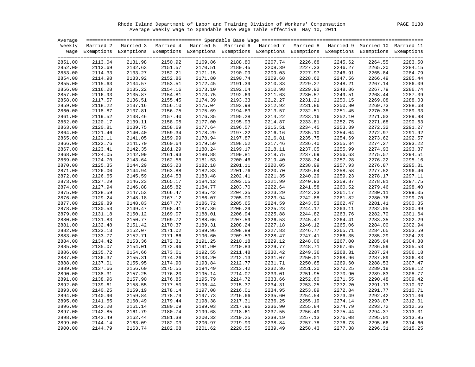Rhode Island Department of Labor and Training Division of Workers' Compensation PAGE 0138 Average Weekly Wage to Spendable Base Wage Table Effective May 10, 2011

| Average            |                    |                                                                                                                    |         |                                                                                   |                    |                    |                    |                    |         |                    |
|--------------------|--------------------|--------------------------------------------------------------------------------------------------------------------|---------|-----------------------------------------------------------------------------------|--------------------|--------------------|--------------------|--------------------|---------|--------------------|
| Weekly             |                    | Married 2 Married 3                                                                                                |         | Married 4 Married 5 Married 6 Married 7 Married 8 Married 9 Married 10 Married 11 |                    |                    |                    |                    |         |                    |
|                    |                    | Wage Exemptions Exemptions Exemptions Exemptions Exemptions Exemptions Exemptions Exemptions Exemptions Exemptions |         |                                                                                   |                    |                    |                    |                    |         |                    |
| 2851.00            | 2113.04            | 2131.98                                                                                                            | 2150.92 | 2169.86                                                                           | 2188.80            | 2207.74            | 2226.68            |                    |         |                    |
|                    |                    |                                                                                                                    |         |                                                                                   |                    |                    |                    | 2245.62            | 2264.55 | 2283.50            |
| 2852.00            | 2113.69            | 2132.63                                                                                                            | 2151.57 | 2170.51                                                                           | 2189.45            | 2208.39            | 2227.33            | 2246.27            | 2265.20 | 2284.15            |
| 2853.00            | 2114.33            | 2133.27                                                                                                            | 2152.21 | 2171.15                                                                           | 2190.09            | 2209.03            | 2227.97            | 2246.91<br>2247.56 | 2265.84 | 2284.79<br>2285.44 |
| 2854.00<br>2855.00 | 2114.98<br>2115.63 | 2133.92<br>2134.57                                                                                                 | 2152.86 | 2171.80                                                                           | 2190.74<br>2191.39 | 2209.68<br>2210.33 | 2228.62<br>2229.27 | 2248.21            | 2266.49 | 2286.09            |
|                    |                    |                                                                                                                    | 2153.51 | 2172.45                                                                           |                    |                    |                    |                    | 2267.14 |                    |
| 2856.00            | 2116.28            | 2135.22                                                                                                            | 2154.16 | 2173.10                                                                           | 2192.04            | 2210.98            | 2229.92            | 2248.86            | 2267.79 | 2286.74            |
| 2857.00            | 2116.93            | 2135.87                                                                                                            | 2154.81 | 2173.75                                                                           | 2192.69            | 2211.63            | 2230.57            | 2249.51            | 2268.44 | 2287.39            |
| 2858.00            | 2117.57            | 2136.51                                                                                                            | 2155.45 | 2174.39                                                                           | 2193.33            | 2212.27            | 2231.21            | 2250.15            | 2269.08 | 2288.03            |
| 2859.00            | 2118.22            | 2137.16                                                                                                            | 2156.10 | 2175.04                                                                           | 2193.98            | 2212.92            | 2231.86            | 2250.80            | 2269.73 | 2288.68            |
| 2860.00            | 2118.87            | 2137.81                                                                                                            | 2156.75 | 2175.69                                                                           | 2194.63            | 2213.57            | 2232.51            | 2251.45            | 2270.38 | 2289.33            |
| 2861.00            | 2119.52            | 2138.46                                                                                                            | 2157.40 | 2176.35                                                                           | 2195.28            | 2214.22            | 2233.16            | 2252.10            | 2271.03 | 2289.98            |
| 2862.00            | 2120.17            | 2139.11                                                                                                            | 2158.05 | 2177.00                                                                           | 2195.93            | 2214.87            | 2233.81            | 2252.75            | 2271.68 | 2290.63            |
| 2863.00            | 2120.81            | 2139.75                                                                                                            | 2158.69 | 2177.64                                                                           | 2196.57            | 2215.51            | 2234.45            | 2253.39            | 2272.32 | 2291.27            |
| 2864.00            | 2121.46            | 2140.40                                                                                                            | 2159.34 | 2178.29                                                                           | 2197.22            | 2216.16            | 2235.10            | 2254.04            | 2272.97 | 2291.92            |
| 2865.00            | 2122.11            | 2141.05                                                                                                            | 2159.99 | 2178.94                                                                           | 2197.87            | 2216.81            | 2235.75            | 2254.69            | 2273.62 | 2292.57            |
| 2866.00            | 2122.76            | 2141.70                                                                                                            | 2160.64 | 2179.59                                                                           | 2198.52            | 2217.46            | 2236.40            | 2255.34            | 2274.27 | 2293.22            |
| 2867.00            | 2123.41            | 2142.35                                                                                                            | 2161.29 | 2180.24                                                                           | 2199.17            | 2218.11            | 2237.05            | 2255.99            | 2274.93 | 2293.87            |
| 2868.00            | 2124.05            | 2142.99                                                                                                            | 2161.93 | 2180.88                                                                           | 2199.81            | 2218.75            | 2237.69            | 2256.63            | 2275.57 | 2294.51            |
| 2869.00            | 2124.70            | 2143.64                                                                                                            | 2162.58 | 2181.53                                                                           | 2200.46            | 2219.40            | 2238.34            | 2257.28            | 2276.22 | 2295.16            |
| 2870.00            | 2125.35            | 2144.29                                                                                                            | 2163.23 | 2182.18                                                                           | 2201.11            | 2220.05            | 2238.99            | 2257.93            | 2276.87 | 2295.81            |
| 2871.00            | 2126.00            | 2144.94                                                                                                            | 2163.88 | 2182.83                                                                           | 2201.76            | 2220.70            | 2239.64            | 2258.58            | 2277.52 | 2296.46            |
| 2872.00            | 2126.65            | 2145.59                                                                                                            | 2164.53 | 2183.48                                                                           | 2202.41            | 2221.35            | 2240.29            | 2259.23            | 2278.17 | 2297.11            |
| 2873.00            | 2127.29            | 2146.23                                                                                                            | 2165.17 | 2184.12                                                                           | 2203.05            | 2221.99            | 2240.93            | 2259.87            | 2278.81 | 2297.75            |
| 2874.00            | 2127.94            | 2146.88                                                                                                            | 2165.82 | 2184.77                                                                           | 2203.70            | 2222.64            | 2241.58            | 2260.52            | 2279.46 | 2298.40            |
| 2875.00            | 2128.59            | 2147.53                                                                                                            | 2166.47 | 2185.42                                                                           | 2204.35            | 2223.29            | 2242.23            | 2261.17            | 2280.11 | 2299.05            |
| 2876.00            | 2129.24            | 2148.18                                                                                                            | 2167.12 | 2186.07                                                                           | 2205.00            | 2223.94            | 2242.88            | 2261.82            | 2280.76 | 2299.70            |
| 2877.00            | 2129.89            | 2148.83                                                                                                            | 2167.77 | 2186.72                                                                           | 2205.65            | 2224.59            | 2243.53            | 2262.47            | 2281.41 | 2300.35            |
| 2878.00            | 2130.53            | 2149.47                                                                                                            | 2168.41 | 2187.36                                                                           | 2206.29            | 2225.23            | 2244.17            | 2263.11            | 2282.05 | 2300.99            |
| 2879.00            | 2131.18            | 2150.12                                                                                                            | 2169.07 | 2188.01                                                                           | 2206.94            | 2225.88            | 2244.82            | 2263.76            | 2282.70 | 2301.64            |
| 2880.00            | 2131.83            | 2150.77                                                                                                            | 2169.72 | 2188.66                                                                           | 2207.59            | 2226.53            | 2245.47            | 2264.41            | 2283.35 | 2302.29            |
| 2881.00            | 2132.48            | 2151.42                                                                                                            | 2170.37 | 2189.31                                                                           | 2208.24            | 2227.18            | 2246.12            | 2265.06            | 2284.00 | 2302.94            |
| 2882.00            | 2133.13            | 2152.07                                                                                                            | 2171.02 | 2189.96                                                                           | 2208.89            | 2227.83            | 2246.77            | 2265.71            | 2284.65 | 2303.59            |
| 2883.00            | 2133.77            | 2152.71                                                                                                            | 2171.66 | 2190.60                                                                           | 2209.53            | 2228.47            | 2247.41            | 2266.35            | 2285.29 | 2304.23            |
| 2884.00            | 2134.42            | 2153.36                                                                                                            | 2172.31 | 2191.25                                                                           | 2210.18            | 2229.12            | 2248.06            | 2267.00            | 2285.94 | 2304.88            |
| 2885.00            | 2135.07            | 2154.01                                                                                                            | 2172.96 | 2191.90                                                                           | 2210.83            | 2229.77            | 2248.71            | 2267.65            | 2286.59 | 2305.53            |
| 2886.00            | 2135.72            | 2154.66                                                                                                            | 2173.61 | 2192.55                                                                           | 2211.48            | 2230.42            | 2249.36            | 2268.31            | 2287.24 | 2306.18            |
| 2887.00            | 2136.37            | 2155.31                                                                                                            | 2174.26 | 2193.20                                                                           | 2212.13            | 2231.07            | 2250.01            | 2268.96            | 2287.89 | 2306.83            |
| 2888.00            | 2137.01            | 2155.95                                                                                                            | 2174.90 | 2193.84                                                                           | 2212.77            | 2231.71            | 2250.65            | 2269.60            | 2288.53 | 2307.47            |
| 2889.00            | 2137.66            | 2156.60                                                                                                            | 2175.55 | 2194.49                                                                           | 2213.42            | 2232.36            | 2251.30            | 2270.25            | 2289.18 | 2308.12            |
| 2890.00            | 2138.31            | 2157.25                                                                                                            | 2176.20 | 2195.14                                                                           | 2214.07            | 2233.01            | 2251.95            | 2270.90            | 2289.83 | 2308.77            |
| 2891.00            | 2138.96            | 2157.90                                                                                                            | 2176.85 | 2195.79                                                                           | 2214.72            | 2233.66            | 2252.60            | 2271.55            | 2290.48 | 2309.42            |
| 2892.00            | 2139.61            | 2158.55                                                                                                            | 2177.50 | 2196.44                                                                           | 2215.37            | 2234.31            | 2253.25            | 2272.20            | 2291.13 | 2310.07            |
| 2893.00            | 2140.25            | 2159.19                                                                                                            | 2178.14 | 2197.08                                                                           | 2216.01            | 2234.95            | 2253.89            | 2272.84            | 2291.77 | 2310.71            |
| 2894.00            | 2140.90            | 2159.84                                                                                                            | 2178.79 | 2197.73                                                                           | 2216.66            | 2235.60            | 2254.54            | 2273.49            | 2292.42 | 2311.36            |
| 2895.00            | 2141.55            | 2160.49                                                                                                            | 2179.44 | 2198.38                                                                           | 2217.31            | 2236.25            | 2255.19            | 2274.14            | 2293.07 | 2312.01            |
| 2896.00            | 2142.20            | 2161.14                                                                                                            | 2180.09 | 2199.03                                                                           | 2217.96            | 2236.90            | 2255.84            | 2274.79            | 2293.72 | 2312.66            |
| 2897.00            | 2142.85            | 2161.79                                                                                                            | 2180.74 | 2199.68                                                                           | 2218.61            | 2237.55            | 2256.49            | 2275.44            | 2294.37 | 2313.31            |
| 2898.00            | 2143.49            | 2162.44                                                                                                            | 2181.38 | 2200.32                                                                           | 2219.25            | 2238.19            | 2257.13            | 2276.08            | 2295.01 | 2313.95            |
| 2899.00            | 2144.14            | 2163.09                                                                                                            | 2182.03 | 2200.97                                                                           | 2219.90            | 2238.84            | 2257.78            | 2276.73            | 2295.66 | 2314.60            |
| 2900.00            | 2144.79            | 2163.74                                                                                                            | 2182.68 | 2201.62                                                                           | 2220.55            | 2239.49            | 2258.43            | 2277.38            | 2296.31 | 2315.25            |
|                    |                    |                                                                                                                    |         |                                                                                   |                    |                    |                    |                    |         |                    |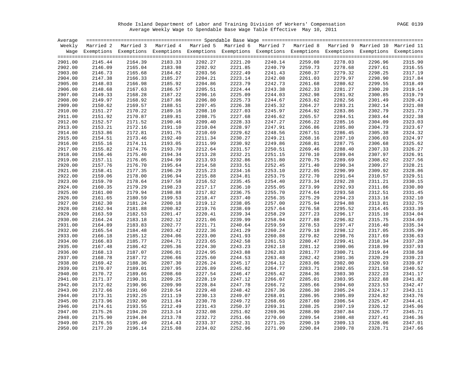Rhode Island Department of Labor and Training Division of Workers' Compensation PAGE 0139 Average Weekly Wage to Spendable Base Wage Table Effective May 10, 2011

| Average |         |                                                                                                                    |         |         |         |         |         |         |         |         |
|---------|---------|--------------------------------------------------------------------------------------------------------------------|---------|---------|---------|---------|---------|---------|---------|---------|
|         |         | Weekly Married 2 Married 3 Married 4 Married 5 Married 6 Married 7 Married 8 Married 9 Married 10 Married 11       |         |         |         |         |         |         |         |         |
|         |         | Wage Exemptions Exemptions Exemptions Exemptions Exemptions Exemptions Exemptions Exemptions Exemptions Exemptions |         |         |         |         |         |         |         |         |
|         |         |                                                                                                                    |         |         |         |         |         |         |         |         |
| 2901.00 | 2145.44 | 2164.39                                                                                                            | 2183.33 | 2202.27 | 2221.20 | 2240.14 | 2259.08 | 2278.03 | 2296.96 | 2315.90 |
| 2902.00 | 2146.09 | 2165.04                                                                                                            | 2183.98 | 2202.92 | 2221.85 | 2240.79 | 2259.73 | 2278.68 | 2297.61 | 2316.55 |
| 2903.00 | 2146.73 | 2165.68                                                                                                            | 2184.62 | 2203.56 | 2222.49 | 2241.43 | 2260.37 | 2279.32 | 2298.25 | 2317.19 |
| 2904.00 | 2147.38 | 2166.33                                                                                                            | 2185.27 | 2204.21 | 2223.14 | 2242.08 | 2261.03 | 2279.97 | 2298.90 | 2317.84 |
| 2905.00 | 2148.03 | 2166.98                                                                                                            | 2185.92 | 2204.86 | 2223.79 | 2242.73 | 2261.68 | 2280.62 | 2299.55 | 2318.49 |
| 2906.00 | 2148.68 | 2167.63                                                                                                            | 2186.57 | 2205.51 | 2224.44 | 2243.38 | 2262.33 | 2281.27 | 2300.20 | 2319.14 |
| 2907.00 | 2149.33 | 2168.28                                                                                                            | 2187.22 | 2206.16 | 2225.09 | 2244.03 | 2262.98 | 2281.92 | 2300.85 | 2319.79 |
| 2908.00 | 2149.97 | 2168.92                                                                                                            | 2187.86 | 2206.80 | 2225.73 | 2244.67 | 2263.62 | 2282.56 | 2301.49 | 2320.43 |
| 2909.00 | 2150.62 | 2169.57                                                                                                            | 2188.51 | 2207.45 | 2226.38 | 2245.32 | 2264.27 | 2283.21 | 2302.14 | 2321.08 |
| 2910.00 | 2151.27 | 2170.22                                                                                                            | 2189.16 | 2208.10 | 2227.03 | 2245.97 | 2264.92 | 2283.86 | 2302.79 | 2321.73 |
| 2911.00 | 2151.92 | 2170.87                                                                                                            | 2189.81 | 2208.75 | 2227.68 | 2246.62 | 2265.57 | 2284.51 | 2303.44 | 2322.38 |
| 2912.00 | 2152.57 | 2171.52                                                                                                            | 2190.46 | 2209.40 | 2228.33 | 2247.27 | 2266.22 | 2285.16 | 2304.09 | 2323.03 |
| 2913.00 | 2153.21 | 2172.16                                                                                                            | 2191.10 | 2210.04 | 2228.97 | 2247.91 | 2266.86 | 2285.80 | 2304.73 | 2323.67 |
| 2914.00 | 2153.86 | 2172.81                                                                                                            | 2191.75 | 2210.69 | 2229.62 | 2248.56 | 2267.51 | 2286.45 | 2305.38 | 2324.32 |
| 2915.00 | 2154.51 | 2173.46                                                                                                            | 2192.40 | 2211.34 | 2230.27 | 2249.21 | 2268.16 | 2287.10 | 2306.03 | 2324.97 |
| 2916.00 | 2155.16 | 2174.11                                                                                                            | 2193.05 | 2211.99 | 2230.92 | 2249.86 | 2268.81 | 2287.75 | 2306.68 | 2325.62 |
| 2917.00 | 2155.82 | 2174.76                                                                                                            | 2193.70 | 2212.64 | 2231.57 | 2250.51 | 2269.46 | 2288.40 | 2307.33 | 2326.27 |
| 2918.00 | 2156.46 | 2175.40                                                                                                            | 2194.34 | 2213.28 | 2232.21 | 2251.15 | 2270.10 | 2289.04 | 2307.97 | 2326.91 |
| 2919.00 | 2157.11 | 2176.05                                                                                                            | 2194.99 | 2213.93 | 2232.86 | 2251.80 | 2270.75 | 2289.69 | 2308.62 | 2327.56 |
| 2920.00 | 2157.76 | 2176.70                                                                                                            | 2195.64 | 2214.58 | 2233.51 | 2252.45 | 2271.40 | 2290.34 | 2309.27 | 2328.21 |
| 2921.00 | 2158.41 | 2177.35                                                                                                            | 2196.29 | 2215.23 | 2234.16 | 2253.10 | 2272.05 | 2290.99 | 2309.92 | 2328.86 |
| 2922.00 | 2159.06 | 2178.00                                                                                                            | 2196.94 | 2215.88 | 2234.81 | 2253.75 | 2272.70 | 2291.64 | 2310.57 | 2329.51 |
| 2923.00 | 2159.70 | 2178.64                                                                                                            | 2197.58 | 2216.52 | 2235.45 | 2254.40 | 2273.34 | 2292.28 | 2311.21 | 2330.15 |
| 2924.00 | 2160.35 | 2179.29                                                                                                            | 2198.23 | 2217.17 | 2236.10 | 2255.05 | 2273.99 | 2292.93 | 2311.86 | 2330.80 |
| 2925.00 | 2161.00 | 2179.94                                                                                                            | 2198.88 | 2217.82 | 2236.75 | 2255.70 | 2274.64 | 2293.58 | 2312.51 | 2331.45 |
| 2926.00 | 2161.65 | 2180.59                                                                                                            | 2199.53 | 2218.47 | 2237.40 | 2256.35 | 2275.29 | 2294.23 | 2313.16 | 2332.10 |
| 2927.00 | 2162.30 | 2181.24                                                                                                            | 2200.18 | 2219.12 | 2238.05 | 2257.00 | 2275.94 | 2294.88 | 2313.81 | 2332.75 |
| 2928.00 | 2162.94 | 2181.88                                                                                                            | 2200.82 | 2219.76 | 2238.69 | 2257.64 | 2276.58 | 2295.52 | 2314.45 | 2333.39 |
| 2929.00 | 2163.59 | 2182.53                                                                                                            | 2201.47 | 2220.41 | 2239.34 | 2258.29 | 2277.23 | 2296.17 | 2315.10 | 2334.04 |
| 2930.00 | 2164.24 | 2183.18                                                                                                            | 2202.12 | 2221.06 | 2239.99 | 2258.94 | 2277.88 | 2296.82 | 2315.75 | 2334.69 |
| 2931.00 | 2164.89 | 2183.83                                                                                                            | 2202.77 | 2221.71 | 2240.64 | 2259.59 | 2278.53 | 2297.47 | 2316.40 | 2335.34 |
| 2932.00 | 2165.54 | 2184.48                                                                                                            | 2203.42 | 2222.36 | 2241.29 | 2260.24 | 2279.18 | 2298.12 | 2317.05 | 2335.99 |
| 2933.00 | 2166.18 | 2185.12                                                                                                            | 2204.06 | 2223.00 | 2241.93 | 2260.88 | 2279.82 | 2298.76 | 2317.69 | 2336.63 |
| 2934.00 | 2166.83 | 2185.77                                                                                                            | 2204.71 | 2223.65 | 2242.58 | 2261.53 | 2280.47 | 2299.41 | 2318.34 | 2337.28 |
| 2935.00 | 2167.48 | 2186.42                                                                                                            | 2205.36 | 2224.30 | 2243.23 | 2262.18 | 2281.12 | 2300.06 | 2318.99 | 2337.93 |
| 2936.00 | 2168.13 | 2187.07                                                                                                            | 2206.01 | 2224.95 | 2243.88 | 2262.83 | 2281.77 | 2300.71 | 2319.64 | 2338.58 |
| 2937.00 | 2168.78 | 2187.72                                                                                                            | 2206.66 | 2225.60 | 2244.53 | 2263.48 | 2282.42 | 2301.36 | 2320.29 | 2339.23 |
| 2938.00 | 2169.42 | 2188.36                                                                                                            | 2207.30 | 2226.24 | 2245.17 | 2264.12 | 2283.06 | 2302.00 | 2320.93 | 2339.87 |
| 2939.00 | 2170.07 | 2189.01                                                                                                            | 2207.95 | 2226.89 | 2245.82 | 2264.77 | 2283.71 | 2302.65 | 2321.58 | 2340.52 |
| 2940.00 | 2170.72 | 2189.66                                                                                                            | 2208.60 | 2227.54 | 2246.47 | 2265.42 | 2284.36 | 2303.30 | 2322.23 | 2341.17 |
| 2941.00 | 2171.37 | 2190.31                                                                                                            | 2209.25 | 2228.19 | 2247.12 | 2266.07 | 2285.01 | 2303.95 | 2322.88 | 2341.82 |
| 2942.00 | 2172.02 | 2190.96                                                                                                            | 2209.90 | 2228.84 | 2247.78 | 2266.72 | 2285.66 | 2304.60 | 2323.53 | 2342.47 |
| 2943.00 | 2172.66 | 2191.60                                                                                                            | 2210.54 | 2229.48 | 2248.42 | 2267.36 | 2286.30 | 2305.24 | 2324.17 | 2343.11 |
| 2944.00 | 2173.31 | 2192.25                                                                                                            | 2211.19 | 2230.13 | 2249.07 | 2268.01 | 2286.95 | 2305.89 | 2324.82 | 2343.76 |
| 2945.00 | 2173.96 | 2192.90                                                                                                            | 2211.84 | 2230.78 | 2249.72 | 2268.66 | 2287.60 | 2306.54 | 2325.47 | 2344.41 |
| 2946.00 | 2174.61 | 2193.55                                                                                                            | 2212.49 | 2231.43 | 2250.37 | 2269.31 | 2288.25 | 2307.19 | 2326.12 | 2345.06 |
| 2947.00 | 2175.26 | 2194.20                                                                                                            | 2213.14 | 2232.08 | 2251.02 | 2269.96 | 2288.90 | 2307.84 | 2326.77 | 2345.71 |
| 2948.00 | 2175.90 | 2194.84                                                                                                            | 2213.78 | 2232.72 | 2251.66 | 2270.60 | 2289.54 | 2308.48 | 2327.41 | 2346.36 |
| 2949.00 | 2176.55 | 2195.49                                                                                                            | 2214.43 | 2233.37 | 2252.31 | 2271.25 | 2290.19 | 2309.13 | 2328.06 | 2347.01 |
| 2950.00 | 2177.20 | 2196.14                                                                                                            | 2215.08 | 2234.02 | 2252.96 | 2271.90 | 2290.84 | 2309.78 | 2328.71 | 2347.66 |
|         |         |                                                                                                                    |         |         |         |         |         |         |         |         |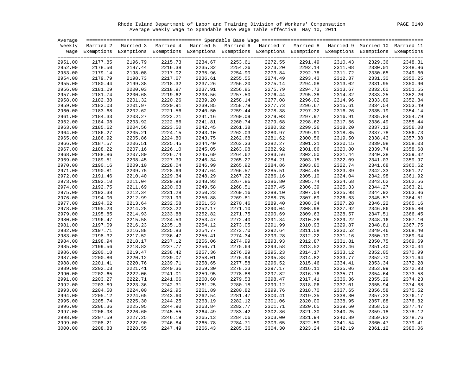Rhode Island Department of Labor and Training Division of Workers' Compensation PAGE 0140 Average Weekly Wage to Spendable Base Wage Table Effective May 10, 2011

| Average |         |                                                                                                                    |         |         |         |         |         |         |         |         |
|---------|---------|--------------------------------------------------------------------------------------------------------------------|---------|---------|---------|---------|---------|---------|---------|---------|
|         |         | Weekly Married 2 Married 3 Married 4 Married 5 Married 6 Married 7 Married 8 Married 9 Married 10 Married 11       |         |         |         |         |         |         |         |         |
|         |         | Wage Exemptions Exemptions Exemptions Exemptions Exemptions Exemptions Exemptions Exemptions Exemptions Exemptions |         |         |         |         |         |         |         |         |
|         |         |                                                                                                                    |         |         |         |         |         |         |         |         |
| 2951.00 | 2177.85 | 2196.79                                                                                                            | 2215.73 | 2234.67 | 2253.61 | 2272.55 | 2291.49 | 2310.43 | 2329.36 | 2348.31 |
| 2952.00 | 2178.50 | 2197.44                                                                                                            | 2216.38 | 2235.32 | 2254.26 | 2273.20 | 2292.14 | 2311.08 | 2330.01 | 2348.96 |
| 2953.00 | 2179.14 | 2198.08                                                                                                            | 2217.02 | 2235.96 | 2254.90 | 2273.84 | 2292.78 | 2311.72 | 2330.65 | 2349.60 |
| 2954.00 | 2179.79 | 2198.73                                                                                                            | 2217.67 | 2236.61 | 2255.55 | 2274.49 | 2293.43 | 2312.37 | 2331.30 | 2350.25 |
| 2955.00 | 2180.44 | 2199.38                                                                                                            | 2218.32 | 2237.26 | 2256.20 | 2275.14 | 2294.08 | 2313.02 | 2331.95 | 2350.90 |
| 2956.00 | 2181.09 | 2200.03                                                                                                            | 2218.97 | 2237.91 | 2256.85 | 2275.79 | 2294.73 | 2313.67 | 2332.60 | 2351.55 |
| 2957.00 | 2181.74 | 2200.68                                                                                                            | 2219.62 | 2238.56 | 2257.50 | 2276.44 | 2295.38 | 2314.32 | 2333.25 | 2352.20 |
| 2958.00 | 2182.38 | 2201.32                                                                                                            | 2220.26 | 2239.20 | 2258.14 | 2277.08 | 2296.02 | 2314.96 | 2333.89 | 2352.84 |
| 2959.00 | 2183.03 | 2201.97                                                                                                            | 2220.91 | 2239.85 | 2258.79 | 2277.73 | 2296.67 | 2315.61 | 2334.54 | 2353.49 |
| 2960.00 | 2183.68 | 2202.62                                                                                                            | 2221.56 | 2240.50 | 2259.44 | 2278.38 | 2297.32 | 2316.26 | 2335.19 | 2354.14 |
| 2961.00 | 2184.33 | 2203.27                                                                                                            | 2222.21 | 2241.16 | 2260.09 | 2279.03 | 2297.97 | 2316.91 | 2335.84 | 2354.79 |
| 2962.00 | 2184.98 | 2203.92                                                                                                            | 2222.86 | 2241.81 | 2260.74 | 2279.68 | 2298.62 | 2317.56 | 2336.49 | 2355.44 |
| 2963.00 | 2185.62 | 2204.56                                                                                                            | 2223.50 | 2242.45 | 2261.38 | 2280.32 | 2299.26 | 2318.20 | 2337.13 | 2356.08 |
| 2964.00 | 2186.27 | 2205.21                                                                                                            | 2224.15 | 2243.10 | 2262.03 | 2280.97 | 2299.91 | 2318.85 | 2337.78 | 2356.73 |
| 2965.00 | 2186.92 | 2205.86                                                                                                            | 2224.80 | 2243.75 | 2262.68 | 2281.62 | 2300.56 | 2319.50 | 2338.43 | 2357.38 |
| 2966.00 | 2187.57 | 2206.51                                                                                                            | 2225.45 | 2244.40 | 2263.33 | 2282.27 | 2301.21 | 2320.15 | 2339.08 | 2358.03 |
| 2967.00 | 2188.22 | 2207.16                                                                                                            | 2226.10 | 2245.05 | 2263.98 | 2282.92 | 2301.86 | 2320.80 | 2339.74 | 2358.68 |
| 2968.00 | 2188.86 | 2207.80                                                                                                            | 2226.74 | 2245.69 | 2264.62 | 2283.56 | 2302.50 | 2321.44 | 2340.38 | 2359.32 |
| 2969.00 | 2189.51 | 2208.45                                                                                                            | 2227.39 | 2246.34 | 2265.27 | 2284.21 | 2303.15 | 2322.09 | 2341.03 | 2359.97 |
| 2970.00 | 2190.16 | 2209.10                                                                                                            | 2228.04 | 2246.99 | 2265.92 | 2284.86 | 2303.80 | 2322.74 | 2341.68 | 2360.62 |
| 2971.00 | 2190.81 | 2209.75                                                                                                            | 2228.69 | 2247.64 | 2266.57 | 2285.51 | 2304.45 | 2323.39 | 2342.33 | 2361.27 |
| 2972.00 | 2191.46 | 2210.40                                                                                                            | 2229.34 | 2248.29 | 2267.22 | 2286.16 | 2305.10 | 2324.04 | 2342.98 | 2361.92 |
| 2973.00 | 2192.10 | 2211.04                                                                                                            | 2229.98 | 2248.93 | 2267.86 | 2286.80 | 2305.74 | 2324.68 | 2343.62 | 2362.56 |
| 2974.00 | 2192.75 | 2211.69                                                                                                            | 2230.63 | 2249.58 | 2268.51 | 2287.45 | 2306.39 | 2325.33 | 2344.27 | 2363.21 |
| 2975.00 | 2193.38 | 2212.34                                                                                                            | 2231.28 | 2250.23 | 2269.16 | 2288.10 | 2307.04 | 2325.98 | 2344.92 | 2363.86 |
| 2976.00 | 2194.00 | 2212.99                                                                                                            | 2231.93 | 2250.88 | 2269.81 | 2288.75 | 2307.69 | 2326.63 | 2345.57 | 2364.51 |
| 2977.00 | 2194.62 | 2213.64                                                                                                            | 2232.58 | 2251.53 | 2270.46 | 2289.40 | 2308.34 | 2327.28 | 2346.22 | 2365.16 |
| 2978.00 | 2195.23 | 2214.28                                                                                                            | 2233.22 | 2252.17 | 2271.10 | 2290.04 | 2308.98 | 2327.92 | 2346.86 | 2365.80 |
| 2979.00 | 2195.85 | 2214.93                                                                                                            | 2233.88 | 2252.82 | 2271.75 | 2290.69 | 2309.63 | 2328.57 | 2347.51 | 2366.45 |
| 2980.00 | 2196.47 | 2215.58                                                                                                            | 2234.53 | 2253.47 | 2272.40 | 2291.34 | 2310.28 | 2329.22 | 2348.16 | 2367.10 |
| 2981.00 | 2197.09 | 2216.23                                                                                                            | 2235.18 | 2254.12 | 2273.05 | 2291.99 | 2310.93 | 2329.87 | 2348.81 | 2367.75 |
| 2982.00 | 2197.71 | 2216.88                                                                                                            | 2235.83 | 2254.77 | 2273.70 | 2292.64 | 2311.58 | 2330.52 | 2349.46 | 2368.40 |
| 2983.00 | 2198.32 | 2217.52                                                                                                            | 2236.47 | 2255.41 | 2274.34 | 2293.28 | 2312.22 | 2331.16 | 2350.10 | 2369.04 |
| 2984.00 | 2198.94 | 2218.17                                                                                                            | 2237.12 | 2256.06 | 2274.99 | 2293.93 | 2312.87 | 2331.81 | 2350.75 | 2369.69 |
| 2985.00 | 2199.56 | 2218.82                                                                                                            | 2237.77 | 2256.71 | 2275.64 | 2294.58 | 2313.52 | 2332.46 | 2351.40 | 2370.34 |
| 2986.00 | 2200.18 | 2219.47                                                                                                            | 2238.42 | 2257.36 | 2276.29 | 2295.23 | 2314.17 | 2333.12 | 2352.05 | 2370.99 |
| 2987.00 | 2200.80 | 2220.12                                                                                                            | 2239.07 | 2258.01 | 2276.94 | 2295.88 | 2314.82 | 2333.77 | 2352.70 | 2371.64 |
| 2988.00 | 2201.41 | 2220.76                                                                                                            | 2239.71 | 2258.65 | 2277.58 | 2296.52 | 2315.46 | 2334.41 | 2353.34 | 2372.28 |
| 2989.00 | 2202.03 | 2221.41                                                                                                            | 2240.36 | 2259.30 | 2278.23 | 2297.17 | 2316.11 | 2335.06 | 2353.99 | 2372.93 |
| 2990.00 | 2202.65 | 2222.06                                                                                                            | 2241.01 | 2259.95 | 2278.88 | 2297.82 | 2316.76 | 2335.71 | 2354.64 | 2373.58 |
| 2991.00 | 2203.27 | 2222.71                                                                                                            | 2241.66 | 2260.60 | 2279.53 | 2298.47 | 2317.41 | 2336.36 | 2355.29 | 2374.23 |
| 2992.00 | 2203.89 | 2223.36                                                                                                            | 2242.31 | 2261.25 | 2280.18 | 2299.12 | 2318.06 | 2337.01 | 2355.94 | 2374.88 |
| 2993.00 | 2204.50 | 2224.00                                                                                                            | 2242.95 | 2261.89 | 2280.82 | 2299.76 | 2318.70 | 2337.65 | 2356.58 | 2375.52 |
| 2994.00 | 2205.12 | 2224.65                                                                                                            | 2243.60 | 2262.54 | 2281.47 | 2300.41 | 2319.35 | 2338.30 | 2357.23 | 2376.17 |
| 2995.00 | 2205.74 | 2225.30                                                                                                            | 2244.25 | 2263.19 | 2282.12 | 2301.06 | 2320.00 | 2338.95 | 2357.88 | 2376.82 |
| 2996.00 | 2206.36 | 2225.95                                                                                                            | 2244.90 | 2263.84 | 2282.77 | 2301.71 | 2320.65 | 2339.60 | 2358.53 | 2377.47 |
| 2997.00 | 2206.98 | 2226.60                                                                                                            | 2245.55 | 2264.49 | 2283.42 | 2302.36 | 2321.30 | 2340.25 | 2359.18 | 2378.12 |
| 2998.00 | 2207.59 | 2227.25                                                                                                            | 2246.19 | 2265.13 | 2284.06 | 2303.00 | 2321.94 | 2340.89 | 2359.82 | 2378.76 |
| 2999.00 | 2208.21 | 2227.90                                                                                                            | 2246.84 | 2265.78 | 2284.71 | 2303.65 | 2322.59 | 2341.54 | 2360.47 | 2379.41 |
| 3000.00 | 2208.83 | 2228.55                                                                                                            | 2247.49 | 2266.43 | 2285.36 | 2304.30 | 2323.24 | 2342.19 | 2361.12 | 2380.06 |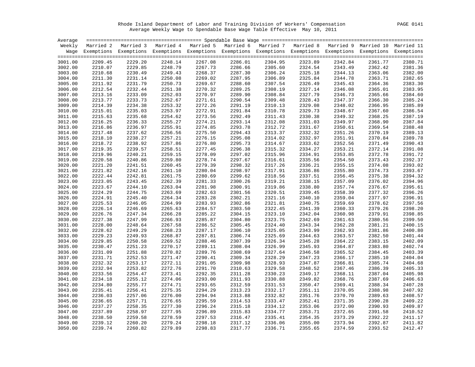Rhode Island Department of Labor and Training Division of Workers' Compensation PAGE 0141 Average Weekly Wage to Spendable Base Wage Table Effective May 10, 2011

| Average |         |                                                                                                                    |         |                                                                                   |         |         |         |         |         |         |
|---------|---------|--------------------------------------------------------------------------------------------------------------------|---------|-----------------------------------------------------------------------------------|---------|---------|---------|---------|---------|---------|
|         |         | Weekly Married 2 Married 3                                                                                         |         | Married 4 Married 5 Married 6 Married 7 Married 8 Married 9 Married 10 Married 11 |         |         |         |         |         |         |
|         |         | Wage Exemptions Exemptions Exemptions Exemptions Exemptions Exemptions Exemptions Exemptions Exemptions Exemptions |         |                                                                                   |         |         |         |         |         |         |
|         |         |                                                                                                                    |         |                                                                                   |         |         |         |         |         |         |
| 3001.00 | 2209.45 | 2229.20                                                                                                            | 2248.14 | 2267.08                                                                           | 2286.01 | 2304.95 | 2323.89 | 2342.84 | 2361.77 | 2380.71 |
| 3002.00 | 2210.07 | 2229.85                                                                                                            | 2248.79 | 2267.73                                                                           | 2286.66 | 2305.60 | 2324.54 | 2343.49 | 2362.42 | 2381.36 |
| 3003.00 | 2210.68 | 2230.49                                                                                                            | 2249.43 | 2268.37                                                                           | 2287.30 | 2306.24 | 2325.18 | 2344.13 | 2363.06 | 2382.00 |
| 3004.00 | 2211.30 | 2231.14                                                                                                            | 2250.08 | 2269.02                                                                           | 2287.95 | 2306.89 | 2325.84 | 2344.78 | 2363.71 | 2382.65 |
| 3005.00 | 2211.92 | 2231.79                                                                                                            | 2250.73 | 2269.67                                                                           | 2288.60 | 2307.54 | 2326.49 | 2345.43 | 2364.36 | 2383.30 |
| 3006.00 | 2212.54 | 2232.44                                                                                                            | 2251.38 | 2270.32                                                                           | 2289.25 | 2308.19 | 2327.14 | 2346.08 | 2365.01 | 2383.95 |
| 3007.00 | 2213.16 | 2233.09                                                                                                            | 2252.03 | 2270.97                                                                           | 2289.90 | 2308.84 | 2327.79 | 2346.73 | 2365.66 | 2384.60 |
| 3008.00 | 2213.77 | 2233.73                                                                                                            | 2252.67 | 2271.61                                                                           | 2290.54 | 2309.48 | 2328.43 | 2347.37 | 2366.30 | 2385.24 |
| 3009.00 | 2214.39 | 2234.38                                                                                                            | 2253.32 | 2272.26                                                                           | 2291.19 | 2310.13 | 2329.08 | 2348.02 | 2366.95 | 2385.89 |
| 3010.00 | 2215.01 | 2235.03                                                                                                            | 2253.97 | 2272.91                                                                           | 2291.84 | 2310.78 | 2329.73 | 2348.67 | 2367.60 | 2386.54 |
| 3011.00 | 2215.63 | 2235.68                                                                                                            | 2254.62 | 2273.56                                                                           | 2292.49 | 2311.43 | 2330.38 | 2349.32 | 2368.25 | 2387.19 |
| 3012.00 | 2216.25 | 2236.33                                                                                                            | 2255.27 | 2274.21                                                                           | 2293.14 | 2312.08 | 2331.03 | 2349.97 | 2368.90 | 2387.84 |
| 3013.00 | 2216.86 | 2236.97                                                                                                            | 2255.91 | 2274.85                                                                           | 2293.78 | 2312.72 | 2331.67 | 2350.61 | 2369.54 | 2388.48 |
| 3014.00 | 2217.48 | 2237.62                                                                                                            | 2256.56 | 2275.50                                                                           | 2294.43 | 2313.37 | 2332.32 | 2351.26 | 2370.19 | 2389.13 |
| 3015.00 | 2218.10 | 2238.27                                                                                                            | 2257.21 | 2276.15                                                                           | 2295.08 | 2314.02 | 2332.97 | 2351.91 | 2370.84 | 2389.78 |
| 3016.00 | 2218.72 | 2238.92                                                                                                            | 2257.86 | 2276.80                                                                           | 2295.73 | 2314.67 | 2333.62 | 2352.56 | 2371.49 | 2390.43 |
| 3017.00 | 2219.35 | 2239.57                                                                                                            | 2258.51 | 2277.45                                                                           | 2296.38 | 2315.32 | 2334.27 | 2353.21 | 2372.14 | 2391.08 |
| 3018.00 | 2219.96 | 2240.21                                                                                                            | 2259.15 | 2278.09                                                                           | 2297.02 | 2315.96 | 2334.91 | 2353.85 | 2372.78 | 2391.72 |
| 3019.00 | 2220.58 | 2240.86                                                                                                            | 2259.80 | 2278.74                                                                           | 2297.67 | 2316.61 | 2335.56 | 2354.50 | 2373.43 | 2392.37 |
| 3020.00 | 2221.20 | 2241.51                                                                                                            | 2260.45 | 2279.39                                                                           | 2298.32 | 2317.26 | 2336.21 | 2355.15 | 2374.08 | 2393.02 |
| 3021.00 | 2221.82 | 2242.16                                                                                                            | 2261.10 | 2280.04                                                                           | 2298.97 | 2317.91 | 2336.86 | 2355.80 | 2374.73 | 2393.67 |
| 3022.00 | 2222.44 | 2242.81                                                                                                            | 2261.75 | 2280.69                                                                           | 2299.62 | 2318.56 | 2337.51 | 2356.45 | 2375.38 | 2394.32 |
| 3023.00 | 2223.05 | 2243.45                                                                                                            | 2262.39 | 2281.33                                                                           | 2300.26 | 2319.21 | 2338.15 | 2357.09 | 2376.02 | 2394.96 |
| 3024.00 | 2223.67 | 2244.10                                                                                                            | 2263.04 | 2281.98                                                                           | 2300.91 | 2319.86 | 2338.80 | 2357.74 | 2376.67 | 2395.61 |
| 3025.00 | 2224.29 | 2244.75                                                                                                            | 2263.69 | 2282.63                                                                           | 2301.56 | 2320.51 | 2339.45 | 2358.39 | 2377.32 | 2396.26 |
| 3026.00 | 2224.91 | 2245.40                                                                                                            | 2264.34 | 2283.28                                                                           | 2302.21 | 2321.16 | 2340.10 | 2359.04 | 2377.97 | 2396.91 |
| 3027.00 | 2225.53 | 2246.05                                                                                                            | 2264.99 | 2283.93                                                                           | 2302.86 | 2321.81 | 2340.75 | 2359.69 | 2378.62 | 2397.56 |
| 3028.00 | 2226.14 | 2246.69                                                                                                            | 2265.63 | 2284.57                                                                           | 2303.50 | 2322.45 | 2341.39 | 2360.33 | 2379.26 | 2398.20 |
| 3029.00 | 2226.76 | 2247.34                                                                                                            | 2266.28 | 2285.22                                                                           | 2304.15 | 2323.10 | 2342.04 | 2360.98 | 2379.91 | 2398.85 |
| 3030.00 | 2227.38 | 2247.99                                                                                                            | 2266.93 | 2285.87                                                                           | 2304.80 | 2323.75 | 2342.69 | 2361.63 | 2380.56 | 2399.50 |
| 3031.00 | 2228.00 | 2248.64                                                                                                            | 2267.58 | 2286.52                                                                           | 2305.45 | 2324.40 | 2343.34 | 2362.28 | 2381.21 | 2400.15 |
| 3032.00 | 2228.62 | 2249.29                                                                                                            | 2268.23 | 2287.17                                                                           | 2306.10 | 2325.05 | 2343.99 | 2362.93 | 2381.86 | 2400.80 |
| 3033.00 | 2229.23 | 2249.93                                                                                                            | 2268.87 | 2287.81                                                                           | 2306.74 | 2325.69 | 2344.63 | 2363.57 | 2382.50 | 2401.44 |
| 3034.00 | 2229.85 | 2250.58                                                                                                            | 2269.52 | 2288.46                                                                           | 2307.39 | 2326.34 | 2345.28 | 2364.22 | 2383.15 | 2402.09 |
| 3035.00 | 2230.47 | 2251.23                                                                                                            | 2270.17 | 2289.11                                                                           | 2308.04 | 2326.99 | 2345.93 | 2364.87 | 2383.80 | 2402.74 |
| 3036.00 | 2231.09 | 2251.88                                                                                                            | 2270.82 | 2289.76                                                                           | 2308.69 | 2327.64 | 2346.58 | 2365.52 | 2384.45 | 2403.39 |
| 3037.00 | 2231.71 | 2252.53                                                                                                            | 2271.47 | 2290.41                                                                           | 2309.34 | 2328.29 | 2347.23 | 2366.17 | 2385.10 | 2404.04 |
| 3038.00 | 2232.32 | 2253.17                                                                                                            | 2272.11 | 2291.05                                                                           | 2309.98 | 2328.93 | 2347.87 | 2366.81 | 2385.74 | 2404.68 |
| 3039.00 | 2232.94 | 2253.82                                                                                                            | 2272.76 | 2291.70                                                                           | 2310.63 | 2329.58 | 2348.52 | 2367.46 | 2386.39 | 2405.33 |
| 3040.00 | 2233.56 | 2254.47                                                                                                            | 2273.41 | 2292.35                                                                           | 2311.28 | 2330.23 | 2349.17 | 2368.11 | 2387.04 | 2405.98 |
| 3041.00 | 2234.18 | 2255.12                                                                                                            | 2274.06 | 2293.00                                                                           | 2311.93 | 2330.88 | 2349.82 | 2368.76 | 2387.69 | 2406.63 |
| 3042.00 | 2234.80 | 2255.77                                                                                                            | 2274.71 | 2293.65                                                                           | 2312.59 | 2331.53 | 2350.47 | 2369.41 | 2388.34 | 2407.28 |
| 3043.00 | 2235.41 | 2256.41                                                                                                            | 2275.35 | 2294.29                                                                           | 2313.23 | 2332.17 | 2351.11 | 2370.05 | 2388.98 | 2407.92 |
| 3044.00 | 2236.03 | 2257.06                                                                                                            | 2276.00 | 2294.94                                                                           | 2313.88 | 2332.82 | 2351.76 | 2370.70 | 2389.63 | 2408.57 |
| 3045.00 | 2236.65 | 2257.71                                                                                                            | 2276.65 | 2295.59                                                                           | 2314.53 | 2333.47 | 2352.41 | 2371.35 | 2390.28 | 2409.22 |
| 3046.00 | 2237.27 | 2258.35                                                                                                            | 2277.30 | 2296.24                                                                           | 2315.18 | 2334.12 | 2353.06 | 2372.00 | 2390.93 | 2409.87 |
| 3047.00 | 2237.89 | 2258.97                                                                                                            | 2277.95 | 2296.89                                                                           | 2315.83 | 2334.77 | 2353.71 | 2372.65 | 2391.58 | 2410.52 |
| 3048.00 | 2238.50 | 2259.58                                                                                                            | 2278.59 | 2297.53                                                                           | 2316.47 | 2335.41 | 2354.35 | 2373.29 | 2392.22 | 2411.17 |
| 3049.00 | 2239.12 | 2260.20                                                                                                            | 2279.24 | 2298.18                                                                           | 2317.12 | 2336.06 | 2355.00 | 2373.94 | 2392.87 | 2411.82 |
| 3050.00 | 2239.74 | 2260.82                                                                                                            | 2279.89 | 2298.83                                                                           | 2317.77 | 2336.71 | 2355.65 | 2374.59 | 2393.52 | 2412.47 |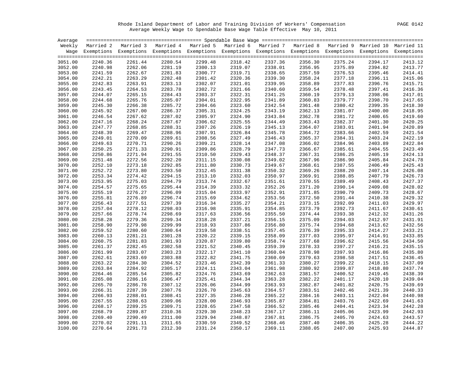Rhode Island Department of Labor and Training Division of Workers' Compensation PAGE 0142 Average Weekly Wage to Spendable Base Wage Table Effective May 10, 2011

| Average |         |                                                                                                                    |         |         |         |         |         |         |         |         |
|---------|---------|--------------------------------------------------------------------------------------------------------------------|---------|---------|---------|---------|---------|---------|---------|---------|
|         |         | Weekly Married 2 Married 3 Married 4 Married 5 Married 6 Married 7 Married 8 Married 9 Married 10 Married 11       |         |         |         |         |         |         |         |         |
|         |         | Wage Exemptions Exemptions Exemptions Exemptions Exemptions Exemptions Exemptions Exemptions Exemptions Exemptions |         |         |         |         |         |         |         |         |
|         |         |                                                                                                                    |         |         |         |         |         |         |         |         |
| 3051.00 | 2240.36 | 2261.44                                                                                                            | 2280.54 | 2299.48 | 2318.42 | 2337.36 | 2356.30 | 2375.24 | 2394.17 | 2413.12 |
| 3052.00 | 2240.98 | 2262.06                                                                                                            | 2281.19 | 2300.13 | 2319.07 | 2338.01 | 2356.95 | 2375.89 | 2394.82 | 2413.77 |
| 3053.00 | 2241.59 | 2262.67                                                                                                            | 2281.83 | 2300.77 | 2319.71 | 2338.65 | 2357.59 | 2376.53 | 2395.46 | 2414.41 |
| 3054.00 | 2242.21 | 2263.29                                                                                                            | 2282.48 | 2301.42 | 2320.36 | 2339.30 | 2358.24 | 2377.18 | 2396.11 | 2415.06 |
| 3055.00 | 2242.83 | 2263.91                                                                                                            | 2283.13 | 2302.07 | 2321.01 | 2339.95 | 2358.89 | 2377.83 | 2396.76 | 2415.71 |
| 3056.00 | 2243.45 | 2264.53                                                                                                            | 2283.78 | 2302.72 | 2321.66 | 2340.60 | 2359.54 | 2378.48 | 2397.41 | 2416.36 |
| 3057.00 | 2244.07 | 2265.15                                                                                                            | 2284.43 | 2303.37 | 2322.31 | 2341.25 | 2360.19 | 2379.13 | 2398.06 | 2417.01 |
| 3058.00 | 2244.68 | 2265.76                                                                                                            | 2285.07 | 2304.01 | 2322.95 | 2341.89 | 2360.83 | 2379.77 | 2398.70 | 2417.65 |
| 3059.00 | 2245.30 | 2266.38                                                                                                            | 2285.72 | 2304.66 | 2323.60 | 2342.54 | 2361.48 | 2380.42 | 2399.35 | 2418.30 |
| 3060.00 | 2245.92 | 2267.00                                                                                                            | 2286.37 | 2305.31 | 2324.25 | 2343.19 | 2362.13 | 2381.07 | 2400.00 | 2418.95 |
| 3061.00 | 2246.54 | 2267.62                                                                                                            | 2287.02 | 2305.97 | 2324.90 | 2343.84 | 2362.78 | 2381.72 | 2400.65 | 2419.60 |
| 3062.00 | 2247.16 | 2268.24                                                                                                            | 2287.67 | 2306.62 | 2325.55 | 2344.49 | 2363.43 | 2382.37 | 2401.30 | 2420.25 |
| 3063.00 | 2247.77 | 2268.85                                                                                                            | 2288.31 | 2307.26 | 2326.19 | 2345.13 | 2364.07 | 2383.01 | 2401.94 | 2420.89 |
| 3064.00 | 2248.39 | 2269.47                                                                                                            | 2288.96 | 2307.91 | 2326.84 | 2345.78 | 2364.72 | 2383.66 | 2402.59 | 2421.54 |
| 3065.00 | 2249.01 | 2270.09                                                                                                            | 2289.61 | 2308.56 | 2327.49 | 2346.43 | 2365.37 | 2384.31 | 2403.24 | 2422.19 |
| 3066.00 | 2249.63 | 2270.71                                                                                                            | 2290.26 | 2309.21 | 2328.14 | 2347.08 | 2366.02 | 2384.96 | 2403.89 | 2422.84 |
| 3067.00 | 2250.25 | 2271.33                                                                                                            | 2290.91 | 2309.86 | 2328.79 | 2347.73 | 2366.67 | 2385.61 | 2404.55 | 2423.49 |
| 3068.00 | 2250.86 | 2271.94                                                                                                            | 2291.55 | 2310.50 | 2329.43 | 2348.37 | 2367.31 | 2386.25 | 2405.19 | 2424.13 |
| 3069.00 | 2251.48 | 2272.56                                                                                                            | 2292.20 | 2311.15 | 2330.08 | 2349.02 | 2367.96 | 2386.90 | 2405.84 | 2424.78 |
| 3070.00 | 2252.10 | 2273.18                                                                                                            | 2292.85 | 2311.80 | 2330.73 | 2349.67 | 2368.61 | 2387.55 | 2406.49 | 2425.43 |
| 3071.00 | 2252.72 | 2273.80                                                                                                            | 2293.50 | 2312.45 | 2331.38 | 2350.32 | 2369.26 | 2388.20 | 2407.14 | 2426.08 |
| 3072.00 | 2253.34 | 2274.42                                                                                                            | 2294.15 | 2313.10 | 2332.03 | 2350.97 | 2369.91 | 2388.85 | 2407.79 | 2426.73 |
| 3073.00 | 2253.95 | 2275.03                                                                                                            | 2294.79 | 2313.74 | 2332.67 | 2351.61 | 2370.55 | 2389.49 | 2408.43 | 2427.37 |
| 3074.00 | 2254.57 | 2275.65                                                                                                            | 2295.44 | 2314.39 | 2333.32 | 2352.26 | 2371.20 | 2390.14 | 2409.08 | 2428.02 |
| 3075.00 | 2255.19 | 2276.27                                                                                                            | 2296.09 | 2315.04 | 2333.97 | 2352.91 | 2371.85 | 2390.79 | 2409.73 | 2428.67 |
| 3076.00 | 2255.81 | 2276.89                                                                                                            | 2296.74 | 2315.69 | 2334.62 | 2353.56 | 2372.50 | 2391.44 | 2410.38 | 2429.32 |
| 3077.00 | 2256.43 | 2277.51                                                                                                            | 2297.39 | 2316.34 | 2335.27 | 2354.21 | 2373.15 | 2392.09 | 2411.03 | 2429.97 |
| 3078.00 | 2257.04 | 2278.12                                                                                                            | 2298.03 | 2316.98 | 2335.91 | 2354.85 | 2373.79 | 2392.73 | 2411.67 | 2430.61 |
| 3079.00 | 2257.66 | 2278.74                                                                                                            | 2298.69 | 2317.63 | 2336.56 | 2355.50 | 2374.44 | 2393.38 | 2412.32 | 2431.26 |
| 3080.00 | 2258.28 | 2279.36                                                                                                            | 2299.34 | 2318.28 | 2337.21 | 2356.15 | 2375.09 | 2394.03 | 2412.97 | 2431.91 |
|         |         |                                                                                                                    |         |         |         |         |         |         |         | 2432.56 |
| 3081.00 | 2258.90 | 2279.98                                                                                                            | 2299.99 | 2318.93 | 2337.86 | 2356.80 | 2375.74 | 2394.68 | 2413.62 |         |
| 3082.00 | 2259.52 | 2280.60                                                                                                            | 2300.64 | 2319.58 | 2338.51 | 2357.45 | 2376.39 | 2395.33 | 2414.27 | 2433.21 |
| 3083.00 | 2260.13 | 2281.21                                                                                                            | 2301.28 | 2320.22 | 2339.15 | 2358.09 | 2377.03 | 2395.97 | 2414.91 | 2433.85 |
| 3084.00 | 2260.75 | 2281.83                                                                                                            | 2301.93 | 2320.87 | 2339.80 | 2358.74 | 2377.68 | 2396.62 | 2415.56 | 2434.50 |
| 3085.00 | 2261.37 | 2282.45                                                                                                            | 2302.58 | 2321.52 | 2340.45 | 2359.39 | 2378.33 | 2397.27 | 2416.21 | 2435.15 |
| 3086.00 | 2261.99 | 2283.07                                                                                                            | 2303.23 | 2322.17 | 2341.10 | 2360.04 | 2378.98 | 2397.93 | 2416.86 | 2435.80 |
| 3087.00 | 2262.61 | 2283.69                                                                                                            | 2303.88 | 2322.82 | 2341.75 | 2360.69 | 2379.63 | 2398.58 | 2417.51 | 2436.45 |
| 3088.00 | 2263.22 | 2284.30                                                                                                            | 2304.52 | 2323.46 | 2342.39 | 2361.33 | 2380.27 | 2399.22 | 2418.15 | 2437.09 |
| 3089.00 | 2263.84 | 2284.92                                                                                                            | 2305.17 | 2324.11 | 2343.04 | 2361.98 | 2380.92 | 2399.87 | 2418.80 | 2437.74 |
| 3090.00 | 2264.46 | 2285.54                                                                                                            | 2305.82 | 2324.76 | 2343.69 | 2362.63 | 2381.57 | 2400.52 | 2419.45 | 2438.39 |
| 3091.00 | 2265.08 | 2286.16                                                                                                            | 2306.47 | 2325.41 | 2344.34 | 2363.28 | 2382.22 | 2401.17 | 2420.10 | 2439.04 |
| 3092.00 | 2265.70 | 2286.78                                                                                                            | 2307.12 | 2326.06 | 2344.99 | 2363.93 | 2382.87 | 2401.82 | 2420.75 | 2439.69 |
| 3093.00 | 2266.31 | 2287.39                                                                                                            | 2307.76 | 2326.70 | 2345.63 | 2364.57 | 2383.51 | 2402.46 | 2421.39 | 2440.33 |
| 3094.00 | 2266.93 | 2288.01                                                                                                            | 2308.41 | 2327.35 | 2346.28 | 2365.22 | 2384.16 | 2403.11 | 2422.04 | 2440.98 |
| 3095.00 | 2267.55 | 2288.63                                                                                                            | 2309.06 | 2328.00 | 2346.93 | 2365.87 | 2384.81 | 2403.76 | 2422.69 | 2441.63 |
| 3096.00 | 2268.17 | 2289.25                                                                                                            | 2309.71 | 2328.65 | 2347.58 | 2366.52 | 2385.46 | 2404.41 | 2423.34 | 2442.28 |
| 3097.00 | 2268.79 | 2289.87                                                                                                            | 2310.36 | 2329.30 | 2348.23 | 2367.17 | 2386.11 | 2405.06 | 2423.99 | 2442.93 |
| 3098.00 | 2269.40 | 2290.49                                                                                                            | 2311.00 | 2329.94 | 2348.87 | 2367.81 | 2386.75 | 2405.70 | 2424.63 | 2443.57 |
| 3099.00 | 2270.02 | 2291.11                                                                                                            | 2311.65 | 2330.59 | 2349.52 | 2368.46 | 2387.40 | 2406.35 | 2425.28 | 2444.22 |
| 3100.00 | 2270.64 | 2291.73                                                                                                            | 2312.30 | 2331.24 | 2350.17 | 2369.11 | 2388.05 | 2407.00 | 2425.93 | 2444.87 |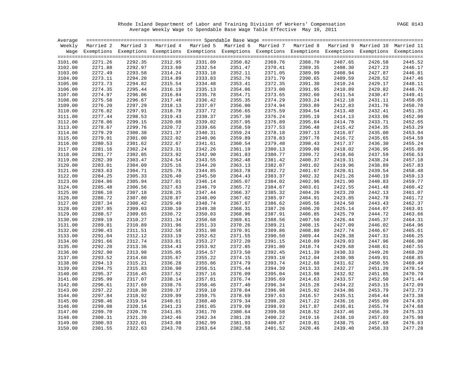Rhode Island Department of Labor and Training Division of Workers' Compensation PAGE 0143 Average Weekly Wage to Spendable Base Wage Table Effective May 10, 2011

|                    |                    | Weekly Married 2 Married 3 Married 4 Married 5 Married 6 Married 7 Married 8 Married 9 Married 10 Married 11       |                    |         |                    |                    |                    |                    |                    |         |
|--------------------|--------------------|--------------------------------------------------------------------------------------------------------------------|--------------------|---------|--------------------|--------------------|--------------------|--------------------|--------------------|---------|
|                    |                    | Wage Exemptions Exemptions Exemptions Exemptions Exemptions Exemptions Exemptions Exemptions Exemptions Exemptions |                    |         |                    |                    |                    |                    |                    |         |
|                    |                    |                                                                                                                    |                    |         |                    |                    |                    |                    |                    |         |
| 3101.00            | 2271.26            | 2292.35                                                                                                            | 2312.95            | 2331.89 | 2350.82            | 2369.76            | 2388.70            | 2407.65            | 2426.58            | 2445.52 |
| 3102.00            | 2271.88            | 2292.97                                                                                                            | 2313.60            | 2332.54 | 2351.47            | 2309.70<br>2370.41 | 2389.35            | 2408.30            | 2427.23            | 2446.17 |
| 3103.00            | 2272.49            | 2293.58                                                                                                            | 2314.24            | 2333.18 | 2352.11            | 2371.05            | 2389.99            | 2408.94            | 2427.87            | 2446.81 |
| 3104.00            | 2273.11            | 2294.20                                                                                                            | 2314.89            | 2333.83 | 2352.76            | 2371.70            | 2390.65            | 2409.59            | 2428.52            | 2447.46 |
| 3105.00            | 2273.73            | 2294.82                                                                                                            | 2315.54            | 2334.48 | 2353.41            | 2372.35            | 2391.30            | 2410.24            | 2429.17            | 2448.11 |
| 3106.00            | 2274.35            | 2295.44                                                                                                            | 2316.19            | 2335.13 | 2354.06            | 2373.00            | 2391.95            | 2410.89            | 2429.82            | 2448.76 |
| 3107.00            | 2274.97            | 2296.06                                                                                                            | 2316.84            | 2335.78 | 2354.71            | 2373.65            | 2392.60            | 2411.54            | 2430.47            | 2449.41 |
| 3108.00            | 2275.58            | 2296.67                                                                                                            | 2317.48            | 2336.42 | 2355.35            | 2374.29            | 2393.24            | 2412.18            | 2431.11            | 2450.05 |
| 3109.00            | 2276.20            | 2297.29                                                                                                            | 2318.13            | 2337.07 | 2356.00            | 2374.94            | 2393.89            | 2412.83            | 2431.76            | 2450.70 |
| 3110.00            | 2276.82            | 2297.91                                                                                                            | 2318.78            | 2337.72 | 2356.65            | 2375.59            | 2394.54            | 2413.48            | 2432.41            | 2451.35 |
| 3111.00            | 2277.44            | 2298.53                                                                                                            | 2319.43            | 2338.37 | 2357.30            | 2376.24            | 2395.19            | 2414.13            | 2433.06            | 2452.00 |
| 3112.00            | 2278.06            | 2299.15                                                                                                            | 2320.08            | 2339.02 | 2357.95            | 2376.89            | 2395.84            | 2414.78            | 2433.71            | 2452.65 |
| 3113.00            | 2278.67            | 2299.76                                                                                                            | 2320.72            | 2339.66 | 2358.59            | 2377.53            | 2396.48            | 2415.42            | 2434.35            | 2453.29 |
| 3114.00            | 2279.29            | 2300.38                                                                                                            | 2321.37            | 2340.31 | 2359.24            | 2378.18            | 2397.13            | 2416.07            | 2435.00            | 2453.94 |
| 3115.00            | 2279.91            | 2301.00                                                                                                            | 2322.02            | 2340.96 | 2359.89            | 2378.83            | 2397.78            | 2416.72            | 2435.65            | 2454.59 |
| 3116.00            | 2280.53            | 2301.62                                                                                                            | 2322.67            | 2341.61 | 2360.54            | 2379.48            | 2398.43            | 2417.37            | 2436.30            | 2455.24 |
| 3117.00            | 2281.16            | 2302.24                                                                                                            | 2323.31            | 2342.26 | 2361.19            | 2380.13            | 2399.08            | 2418.02            | 2436.95            | 2455.89 |
| 3118.00            | 2281.77            | 2302.85                                                                                                            | 2323.92            | 2342.90 | 2361.83            | 2380.77            | 2399.72            | 2418.66            | 2437.59            | 2456.53 |
| 3119.00            | 2282.39            | 2303.47                                                                                                            | 2324.54            | 2343.55 | 2362.48            |                    | 2400.37            | 2419.31            | 2438.24            | 2457.18 |
| 3120.00            | 2283.01            | 2304.09                                                                                                            | 2325.16            | 2344.20 | 2363.13            | 2381.42<br>2382.07 | 2401.02            | 2419.96            | 2438.89            | 2457.83 |
| 3121.00            | 2283.63            | 2304.71                                                                                                            | 2325.78            | 2344.85 | 2363.78            | 2382.72            | 2401.67            | 2420.61            | 2439.54            | 2458.48 |
| 3122.00            | 2284.25            | 2305.33                                                                                                            | 2326.40            | 2345.50 | 2364.43            | 2383.37            | 2402.32            | 2421.26            | 2440.19            | 2459.13 |
| 3123.00            | 2284.86            | 2305.94                                                                                                            | 2327.01            | 2346.14 | 2365.07            | 2384.02            | 2402.96            | 2421.90            | 2440.83            | 2459.77 |
| 3124.00            | 2285.48            | 2306.56                                                                                                            | 2327.63            | 2346.79 | 2365.72            | 2384.67            | 2403.61            | 2422.55            | 2441.48            | 2460.42 |
| 3125.00            | 2286.10            | 2307.18                                                                                                            | 2328.25            | 2347.44 | 2366.37            | 2385.32            | 2404.26            | 2423.20            | 2442.13            | 2461.07 |
|                    | 2286.72            | 2307.80                                                                                                            | 2328.87            | 2348.09 | 2367.02            | 2385.97            | 2404.91            | 2423.85            | 2442.78            | 2461.72 |
| 3126.00<br>3127.00 | 2287.34            | 2308.42                                                                                                            | 2329.49            | 2348.74 | 2367.67            | 2386.62            | 2405.56            | 2424.50            | 2443.43            | 2462.37 |
|                    |                    | 2309.03                                                                                                            |                    | 2349.38 |                    |                    |                    |                    |                    | 2463.01 |
| 3128.00<br>3129.00 | 2287.95<br>2288.57 | 2309.65                                                                                                            | 2330.10<br>2330.72 | 2350.03 | 2368.31<br>2368.96 | 2387.26<br>2387.91 | 2406.20<br>2406.85 | 2425.14<br>2425.79 | 2444.07<br>2444.72 | 2463.66 |
|                    | 2289.19            | 2310.27                                                                                                            | 2331.34            | 2350.68 |                    | 2388.56            |                    |                    |                    |         |
| 3130.00            |                    |                                                                                                                    |                    |         | 2369.61            |                    | 2407.50            | 2426.44            | 2445.37            | 2464.31 |
| 3131.00            | 2289.81            | 2310.89                                                                                                            | 2331.96            | 2351.33 | 2370.26            | 2389.21            | 2408.15            | 2427.09            | 2446.02            | 2464.96 |
| 3132.00            | 2290.43            | 2311.51                                                                                                            | 2332.58            | 2351.98 | 2370.91            | 2389.86<br>2390.50 | 2408.80            | 2427.74            | 2446.67            | 2465.61 |
| 3133.00            | 2291.04            | 2312.12                                                                                                            | 2333.19            | 2352.62 | 2371.55            |                    | 2409.44            | 2428.38            | 2447.31            | 2466.25 |
| 3134.00            | 2291.66            | 2312.74                                                                                                            | 2333.81            | 2353.27 | 2372.20            | 2391.15            | 2410.09            | 2429.03            | 2447.96            | 2466.90 |
| 3135.00            | 2292.28            | 2313.36                                                                                                            | 2334.43            | 2353.92 | 2372.85            | 2391.80            | 2410.74            | 2429.68            | 2448.61            | 2467.55 |
| 3136.00            | 2292.90            | 2313.98                                                                                                            | 2335.05            | 2354.57 | 2373.50            | 2392.45            | 2411.39            | 2430.33            | 2449.26            | 2468.20 |
| 3137.00            | 2293.52            | 2314.60                                                                                                            | 2335.67            | 2355.22 | 2374.15            | 2393.10            | 2412.04            | 2430.98            | 2449.91            | 2468.85 |
| 3138.00            | 2294.13            | 2315.21                                                                                                            | 2336.28            | 2355.86 | 2374.79            | 2393.74            | 2412.68            | 2431.62            | 2450.55            | 2469.49 |
| 3139.00            | 2294.75            | 2315.83                                                                                                            | 2336.90            | 2356.51 | 2375.44            | 2394.39            | 2413.33            | 2432.27            | 2451.20            | 2470.14 |
| 3140.00            | 2295.37            | 2316.45                                                                                                            | 2337.52            | 2357.16 | 2376.09            | 2395.04            | 2413.98            | 2432.92            | 2451.85            | 2470.79 |
| 3141.00            | 2295.99            | 2317.07                                                                                                            | 2338.14            | 2357.81 | 2376.74            | 2395.69            | 2414.63            | 2433.57            | 2452.50            | 2471.44 |
| 3142.00            | 2296.61            | 2317.69                                                                                                            | 2338.76            | 2358.46 | 2377.40            | 2396.34            | 2415.28            | 2434.22            | 2453.15            | 2472.09 |
| 3143.00            | 2297.22            | 2318.30                                                                                                            | 2339.37            | 2359.10 | 2378.04            | 2396.98            | 2415.92            | 2434.86            | 2453.79            | 2472.73 |
| 3144.00            | 2297.84            | 2318.92                                                                                                            | 2339.99            | 2359.75 | 2378.69            | 2397.63            | 2416.57            | 2435.51            | 2454.44            | 2473.38 |
| 3145.00            | 2298.46            | 2319.54                                                                                                            | 2340.61            | 2360.40 | 2379.34            | 2398.28            | 2417.22            | 2436.16            | 2455.09            | 2474.03 |
| 3146.00            | 2299.08            | 2320.16                                                                                                            | 2341.23            | 2361.05 | 2379.99            | 2398.93            | 2417.87            | 2436.81            | 2455.74            | 2474.68 |
| 3147.00            | 2299.70            | 2320.78                                                                                                            | 2341.85            | 2361.70 | 2380.64            | 2399.58            | 2418.52            | 2437.46            | 2456.39            | 2475.33 |
| 3148.00            | 2300.31            | 2321.39                                                                                                            | 2342.46            | 2362.34 | 2381.28            | 2400.22            | 2419.16            | 2438.10            | 2457.03            | 2475.98 |
| 3149.00            | 2300.93            | 2322.01                                                                                                            | 2343.08            | 2362.99 | 2381.93            | 2400.87            | 2419.81            | 2438.75            | 2457.68            | 2476.63 |
| 3150.00            | 2301.55            | 2322.63                                                                                                            | 2343.70            | 2363.64 | 2382.58            | 2401.52            | 2420.46            | 2439.40            | 2458.33            | 2477.28 |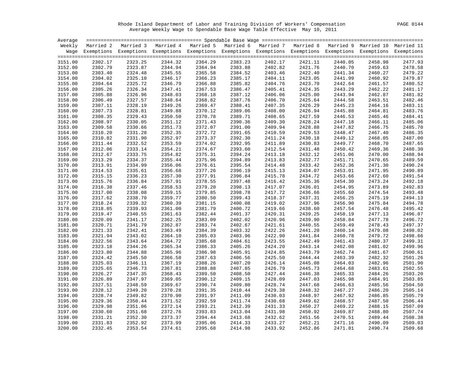Rhode Island Department of Labor and Training Division of Workers' Compensation PAGE 0144 Average Weekly Wage to Spendable Base Wage Table Effective May 10, 2011

| Average            |                    |                                                                                                                    |                    |         |                    |                    |                    |         |         |         |
|--------------------|--------------------|--------------------------------------------------------------------------------------------------------------------|--------------------|---------|--------------------|--------------------|--------------------|---------|---------|---------|
|                    |                    | Weekly Married 2 Married 3 Married 4 Married 5 Married 6 Married 7 Married 8 Married 9 Married 10 Married 11       |                    |         |                    |                    |                    |         |         |         |
|                    |                    | Wage Exemptions Exemptions Exemptions Exemptions Exemptions Exemptions Exemptions Exemptions Exemptions Exemptions |                    |         |                    |                    |                    |         |         |         |
|                    |                    |                                                                                                                    |                    |         |                    |                    |                    |         |         |         |
| 3151.00            | 2302.17            | 2323.25                                                                                                            | 2344.32            | 2364.29 | 2383.23            | 2402.17            | 2421.11            | 2440.05 | 2458.98 | 2477.93 |
| 3152.00            | 2302.79            | 2323.87                                                                                                            | 2344.94            | 2364.94 | 2383.88            | 2102.82            | 2421.76            | 2440.70 | 2459.63 | 2478.58 |
| 3153.00            | 2303.40            | 2324.48                                                                                                            | 2345.55            | 2365.58 | 2384.52            | 2403.46            | 2422.40            | 2441.34 | 2460.27 | 2479.22 |
| 3154.00            | 2304.02            | 2325.10                                                                                                            | 2346.17            | 2366.23 | 2385.17            | 2404.11            | 2423.05            | 2441.99 | 2460.92 | 2479.87 |
| 3155.00            | 2304.64            | 2325.72                                                                                                            | 2346.79            | 2366.88 | 2385.82            | 2404.76            | 2423.70            | 2442.64 | 2461.57 | 2480.52 |
| 3156.00            | 2305.26            | 2326.34                                                                                                            | 2347.41            | 2367.53 | 2386.47            | 2405.41            | 2424.35            | 2443.29 | 2462.22 | 2481.17 |
| 3157.00            | 2305.88            | 2326.96                                                                                                            | 2348.03            | 2368.18 | 2387.12            | 2406.06            | 2425.00            | 2443.94 | 2462.87 | 2481.82 |
| 3158.00            | 2306.49            | 2327.57                                                                                                            | 2348.64            | 2368.82 | 2387.76            | 2406.70            | 2425.64            | 2444.58 | 2463.51 | 2482.46 |
| 3159.00            | 2307.11            | 2328.19                                                                                                            | 2349.26            | 2369.47 | 2388.41            | 2407.35            | 2426.29            | 2445.23 | 2464.16 | 2483.11 |
| 3160.00            | 2307.73            | 2328.81                                                                                                            | 2349.88            | 2370.12 | 2389.06            | 2408.00            | 2426.94            | 2445.88 | 2464.81 | 2483.76 |
| 3161.00            | 2308.35            | 2329.43                                                                                                            | 2350.50            | 2370.78 | 2389.71            | 2408.65            | 2427.59            | 2446.53 | 2465.46 | 2484.41 |
| 3162.00            | 2308.97            | 2330.05                                                                                                            | 2351.12            | 2371.43 | 2390.36            | 2409.30            | 2428.24            | 2447.18 | 2466.11 | 2485.06 |
| 3163.00            | 2309.58            | 2330.66                                                                                                            | 2351.73            | 2372.07 | 2391.00            | 2409.94            | 2428.88            | 2447.82 | 2466.75 | 2485.70 |
| 3164.00            | 2310.20            | 2331.28                                                                                                            | 2352.35            | 2372.72 | 2391.65            | 2410.59            | 2429.53            | 2448.47 | 2467.40 | 2486.35 |
| 3165.00            | 2310.82            | 2331.90                                                                                                            | 2352.97            | 2373.37 | 2392.30            | 2411.24            | 2430.18            | 2449.12 | 2468.05 | 2487.00 |
| 3166.00            | 2311.44            | 2332.52                                                                                                            | 2353.59            | 2374.02 | 2392.95            | 2411.89            | 2430.83            | 2449.77 | 2468.70 | 2487.65 |
| 3167.00            | 2312.06            | 2333.14                                                                                                            | 2354.21            | 2374.67 | 2393.60            | 2412.54            | 2431.48            | 2450.42 | 2469.36 | 2488.30 |
| 3168.00            | 2312.67            | 2333.75                                                                                                            | 2354.82            | 2375.31 | 2394.24            | 2413.18            | 2432.12            | 2451.06 | 2470.00 | 2488.94 |
| 3169.00            | 2313.29            | 2334.37                                                                                                            | 2355.44            | 2375.96 | 2394.89            |                    | 2432.77            | 2451.71 | 2470.65 | 2489.59 |
| 3170.00            | 2313.91            | 2334.99                                                                                                            | 2356.06            | 2376.61 | 2395.54            | 2413.83<br>2414.48 | 2433.42            | 2452.36 | 2471.30 | 2490.24 |
| 3171.00            | 2314.53            | 2335.61                                                                                                            | 2356.68            | 2377.26 | 2396.19            | 2415.13            | 2434.07            | 2453.01 | 2471.95 | 2490.89 |
| 3172.00            | 2315.15            | 2336.23                                                                                                            | 2357.30            | 2377.91 | 2396.84            | 2415.78            | 2434.72            | 2453.66 | 2472.60 | 2491.54 |
| 3173.00            | 2315.76            | 2336.84                                                                                                            | 2357.91            | 2378.55 | 2397.48            | 2416.42            | 2435.36            | 2454.30 | 2473.24 | 2492.18 |
| 3174.00            | 2316.38            | 2337.46                                                                                                            | 2358.53            | 2379.20 | 2398.13            |                    | 2436.01            | 2454.95 | 2473.89 | 2492.83 |
| 3175.00            | 2317.00            | 2338.08                                                                                                            | 2359.15            | 2379.85 | 2398.78            | 2417.07<br>2417.72 | 2436.66            | 2455.60 | 2474.54 | 2493.48 |
|                    | 2317.62            | 2338.70                                                                                                            | 2359.77            | 2380.50 | 2399.43            | 2418.37            | 2437.31            | 2456.25 | 2475.19 | 2494.13 |
| 3176.00<br>3177.00 | 2318.24            | 2339.32                                                                                                            | 2360.39            | 2381.15 | 2400.08            | 2419.02            | 2437.96            | 2456.90 | 2475.84 | 2494.78 |
|                    |                    | 2339.93                                                                                                            |                    | 2381.79 |                    | 2419.66            | 2438.60            |         |         | 2495.42 |
| 3178.00            | 2318.85            |                                                                                                                    | 2361.00            |         | 2400.72            |                    |                    | 2457.54 | 2476.48 | 2496.07 |
| 3179.00            | 2319.47<br>2320.09 | 2340.55<br>2341.17                                                                                                 | 2361.63<br>2362.25 | 2382.44 | 2401.37<br>2402.02 | 2420.31<br>2420.96 | 2439.25<br>2439.90 | 2458.19 | 2477.13 |         |
| 3180.00            |                    |                                                                                                                    |                    | 2383.09 |                    |                    |                    | 2458.84 | 2477.78 | 2496.72 |
| 3181.00            | 2320.71            | 2341.79                                                                                                            | 2362.87            | 2383.74 | 2402.67            | 2421.61            | 2440.55            | 2459.49 | 2478.43 | 2497.37 |
| 3182.00            | 2321.33            | 2342.41                                                                                                            | 2363.49            | 2384.39 | 2403.32            | 2422.26            | 2441.20            | 2460.14 | 2479.08 | 2498.02 |
| 3183.00            | 2321.94            | 2343.02                                                                                                            | 2364.10            | 2385.03 | 2403.96            | 2422.90            | 2441.84            | 2460.78 | 2479.72 | 2498.66 |
| 3184.00            | 2322.56            | 2343.64                                                                                                            | 2364.72            | 2385.68 | 2404.61            | 2423.55            | 2442.49            | 2461.43 | 2480.37 | 2499.31 |
| 3185.00            | 2323.18            | 2344.26                                                                                                            | 2365.34            | 2386.33 | 2405.26            | 2424.20            | 2443.14            | 2462.08 | 2481.02 | 2499.96 |
| 3186.00            | 2323.80            | 2344.88                                                                                                            | 2365.96            | 2386.98 | 2405.91            | 2424.85            | 2443.79            | 2462.74 | 2481.67 | 2500.61 |
| 3187.00            | 2324.42            | 2345.50                                                                                                            | 2366.58            | 2387.63 | 2406.56            | 2425.50<br>2426.14 | 2444.44            | 2463.39 | 2482.32 | 2501.26 |
| 3188.00            | 2325.03            | 2346.11                                                                                                            | 2367.19            | 2388.26 | 2407.20            |                    | 2445.08            | 2464.03 | 2482.96 | 2501.90 |
| 3189.00            | 2325.65            | 2346.73                                                                                                            | 2367.81            | 2388.88 | 2407.85            | 2426.79            | 2445.73            | 2464.68 | 2483.61 | 2502.55 |
| 3190.00            | 2326.27            | 2347.35                                                                                                            | 2368.43            | 2389.50 | 2408.50            | 2427.44            | 2446.38            | 2465.33 | 2484.26 | 2503.20 |
| 3191.00            | 2326.89            | 2347.97                                                                                                            | 2369.05            | 2390.12 | 2409.15            | 2428.09            | 2447.03            | 2465.98 | 2484.91 | 2503.85 |
| 3192.00            | 2327.51            | 2348.59                                                                                                            | 2369.67            | 2390.74 | 2409.80            | 2428.74            | 2447.68            | 2466.63 | 2485.56 | 2504.50 |
| 3193.00            | 2328.12            | 2349.20                                                                                                            | 2370.28            | 2391.35 | 2410.44            | 2429.38            | 2448.32            | 2467.27 | 2486.20 | 2505.14 |
| 3194.00            | 2328.74            | 2349.82                                                                                                            | 2370.90            | 2391.97 | 2411.09            | 2430.03            | 2448.97            | 2467.92 | 2486.85 | 2505.79 |
| 3195.00            | 2329.36            | 2350.44                                                                                                            | 2371.52            | 2392.59 | 2411.74            | 2430.68            | 2449.62            | 2468.57 | 2487.50 | 2506.44 |
| 3196.00            | 2329.98            | 2351.06                                                                                                            | 2372.14            | 2393.21 | 2412.39            | 2431.33            | 2450.27            | 2469.22 | 2488.15 | 2507.09 |
| 3197.00            | 2330.60            | 2351.68                                                                                                            | 2372.76            | 2393.83 | 2413.04            | 2431.98            | 2450.92            | 2469.87 | 2488.80 | 2507.74 |
| 3198.00            | 2331.21            | 2352.30                                                                                                            | 2373.37            | 2394.44 | 2413.68            | 2432.62            | 2451.56            | 2470.51 | 2489.44 | 2508.38 |
| 3199.00            | 2331.83            | 2352.92                                                                                                            | 2373.99            | 2395.06 | 2414.33            | 2433.27            | 2452.21            | 2471.16 | 2490.09 | 2509.03 |
| 3200.00            | 2332.45            | 2353.54                                                                                                            | 2374.61            | 2395.68 | 2414.98            | 2433.92            | 2452.86            | 2471.81 | 2490.74 | 2509.68 |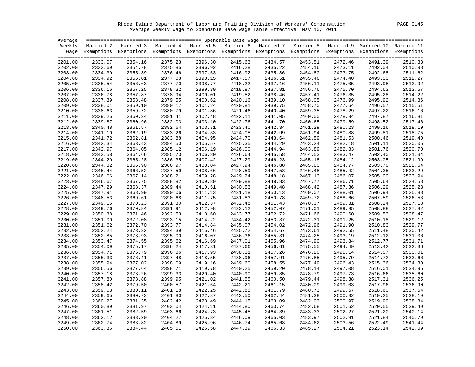Rhode Island Department of Labor and Training Division of Workers' Compensation PAGE 0145 Average Weekly Wage to Spendable Base Wage Table Effective May 10, 2011

| Average |         |                                                                                                                    |         |         |         |                    |         |         |         |         |
|---------|---------|--------------------------------------------------------------------------------------------------------------------|---------|---------|---------|--------------------|---------|---------|---------|---------|
|         |         | Weekly Married 2 Married 3 Married 4 Married 5 Married 6 Married 7 Married 8 Married 9 Married 10 Married 11       |         |         |         |                    |         |         |         |         |
|         |         | Wage Exemptions Exemptions Exemptions Exemptions Exemptions Exemptions Exemptions Exemptions Exemptions Exemptions |         |         |         |                    |         |         |         |         |
|         |         |                                                                                                                    |         |         |         |                    |         |         |         |         |
| 3201.00 | 2333.07 | 2354.16                                                                                                            | 2375.23 | 2396.30 | 2415.63 | 2434.57            | 2453.51 | 2472.46 | 2491.39 | 2510.33 |
| 3202.00 | 2333.69 | 2354.78                                                                                                            | 2375.85 | 2396.92 | 2416.28 | 2435.22            | 2454.16 | 2473.11 | 2492.04 | 2510.98 |
| 3203.00 | 2334.30 | 2355.39                                                                                                            | 2376.46 | 2397.53 | 2416.92 | 2435.86            | 2454.80 | 2473.75 | 2492.68 | 2511.62 |
| 3204.00 | 2334.92 | 2356.01                                                                                                            | 2377.08 | 2398.15 | 2417.57 | 2436.51            | 2455.46 | 2474.40 | 2493.33 | 2512.27 |
| 3205.00 | 2335.54 | 2356.63                                                                                                            | 2377.70 | 2398.77 | 2418.22 | 2437.16            | 2456.11 | 2475.05 | 2493.98 | 2512.92 |
| 3206.00 | 2336.16 | 2357.25                                                                                                            | 2378.32 | 2399.39 | 2418.87 | 2437.81            | 2456.76 | 2475.70 | 2494.63 | 2513.57 |
| 3207.00 | 2336.78 | 2357.87                                                                                                            | 2378.94 | 2400.01 | 2419.52 | 2438.46            | 2457.41 | 2476.35 | 2495.28 | 2514.22 |
| 3208.00 | 2337.39 | 2358.48                                                                                                            | 2379.55 | 2400.62 | 2420.16 | 2439.10            | 2458.05 | 2476.99 | 2495.92 | 2514.86 |
| 3209.00 | 2338.01 | 2359.10                                                                                                            | 2380.17 | 2401.24 | 2420.81 | 2439.75            | 2458.70 | 2477.64 | 2496.57 | 2515.51 |
| 3210.00 | 2338.63 | 2359.72                                                                                                            | 2380.79 | 2401.86 | 2421.46 | 2440.40            | 2459.35 | 2478.29 | 2497.22 | 2516.16 |
| 3211.00 | 2339.25 | 2360.34                                                                                                            | 2381.41 | 2402.48 | 2422.11 | 2441.05            | 2460.00 | 2478.94 | 2497.87 | 2516.81 |
| 3212.00 | 2339.87 | 2360.96                                                                                                            | 2382.03 | 2403.10 | 2422.76 | 2441.70            | 2460.65 | 2479.59 | 2498.52 | 2517.46 |
| 3213.00 | 2340.48 | 2361.57                                                                                                            | 2382.64 | 2403.71 | 2423.40 | 2442.34            | 2461.29 | 2480.23 | 2499.16 | 2518.10 |
| 3214.00 | 2341.10 | 2362.19                                                                                                            | 2383.26 | 2404.33 | 2424.05 |                    | 2461.94 | 2480.88 | 2499.81 | 2518.75 |
| 3215.00 | 2341.72 | 2362.81                                                                                                            | 2383.88 | 2404.95 | 2424.70 | 2442.99<br>2443.64 | 2462.59 | 2481.53 | 2500.46 | 2519.40 |
| 3216.00 | 2342.34 | 2363.43                                                                                                            | 2384.50 | 2405.57 | 2425.35 | 2444.29            | 2463.24 | 2482.18 | 2501.11 | 2520.05 |
| 3217.00 | 2342.97 | 2364.05                                                                                                            | 2385.12 | 2406.19 | 2426.00 | 2444.94            | 2463.89 | 2482.83 | 2501.76 | 2520.70 |
| 3218.00 | 2343.58 | 2364.66                                                                                                            | 2385.73 | 2406.80 | 2426.64 | 2445.58            | 2464.53 | 2483.47 | 2502.40 | 2521.34 |
| 3219.00 | 2344.20 | 2365.28                                                                                                            | 2386.35 | 2407.42 | 2427.29 | 2446.23<br>2446.88 | 2465.18 | 2484.12 | 2503.05 | 2521.99 |
| 3220.00 | 2344.82 | 2365.90                                                                                                            | 2386.97 | 2408.04 | 2427.94 |                    | 2465.83 | 2484.77 | 2503.70 | 2522.64 |
| 3221.00 | 2345.44 | 2366.52                                                                                                            | 2387.59 | 2408.66 | 2428.59 | 2447.53            | 2466.48 | 2485.42 | 2504.35 | 2523.29 |
| 3222.00 | 2346.06 | 2367.14                                                                                                            | 2388.21 | 2409.28 | 2429.24 | 2448.18            | 2467.13 | 2486.07 | 2505.00 | 2523.94 |
| 3223.00 | 2346.67 | 2367.75                                                                                                            | 2388.82 | 2409.89 | 2429.88 | 2448.83            | 2467.77 | 2486.71 | 2505.64 | 2524.58 |
| 3224.00 | 2347.29 | 2368.37                                                                                                            | 2389.44 | 2410.51 | 2430.53 | 2449.48            | 2468.42 | 2487.36 | 2506.29 | 2525.23 |
| 3225.00 | 2347.91 | 2368.99                                                                                                            | 2390.06 | 2411.13 | 2431.18 | 2450.13            | 2469.07 | 2488.01 | 2506.94 | 2525.88 |
| 3226.00 | 2348.53 | 2369.61                                                                                                            | 2390.68 | 2411.75 | 2431.83 | 2450.78            | 2469.72 | 2488.66 | 2507.59 | 2526.53 |
| 3227.00 | 2349.15 | 2370.23                                                                                                            | 2391.30 | 2412.37 | 2432.48 | 2451.43            | 2470.37 | 2489.31 | 2508.24 | 2527.18 |
| 3228.00 | 2349.76 | 2370.84                                                                                                            | 2391.91 | 2412.98 | 2433.12 | 2452.07            | 2471.01 | 2489.95 | 2508.88 | 2527.82 |
| 3229.00 | 2350.38 | 2371.46                                                                                                            | 2392.53 | 2413.60 | 2433.77 | 2452.72            | 2471.66 | 2490.60 | 2509.53 | 2528.47 |
| 3230.00 | 2351.00 | 2372.08                                                                                                            | 2393.15 | 2414.22 | 2434.42 | 2453.37<br>2454.02 | 2472.31 | 2491.25 | 2510.18 | 2529.12 |
| 3231.00 | 2351.62 | 2372.70                                                                                                            | 2393.77 | 2414.84 | 2435.07 |                    | 2472.96 | 2491.90 | 2510.83 | 2529.77 |
| 3232.00 | 2352.24 | 2373.32                                                                                                            | 2394.39 | 2415.46 | 2435.72 | 2454.67            | 2473.61 | 2492.55 | 2511.48 | 2530.42 |
| 3233.00 | 2352.85 | 2373.93                                                                                                            | 2395.00 | 2416.07 | 2436.36 | 2455.31            | 2474.25 | 2493.19 | 2512.12 | 2531.06 |
| 3234.00 | 2353.47 | 2374.55                                                                                                            | 2395.62 | 2416.69 | 2437.01 | 2455.96            | 2474.90 | 2493.84 | 2512.77 | 2531.71 |
| 3235.00 | 2354.09 | 2375.17                                                                                                            | 2396.24 | 2417.31 | 2437.66 | 2456.61<br>2457.26 | 2475.55 | 2494.49 | 2513.42 | 2532.36 |
| 3236.00 | 2354.71 | 2375.79                                                                                                            | 2396.86 | 2417.93 | 2438.31 |                    | 2476.20 | 2495.14 | 2514.07 | 2533.01 |
| 3237.00 | 2355.33 | 2376.41                                                                                                            | 2397.48 | 2418.55 | 2438.96 | 2457.91            | 2476.85 | 2495.79 | 2514.72 | 2533.66 |
| 3238.00 | 2355.94 | 2377.02                                                                                                            | 2398.09 | 2419.16 | 2439.60 | 2458.55            | 2477.49 | 2496.43 | 2515.36 | 2534.30 |
| 3239.00 | 2356.56 | 2377.64                                                                                                            | 2398.71 | 2419.78 | 2440.25 | 2459.20            | 2478.14 | 2497.08 | 2516.01 | 2534.95 |
| 3240.00 | 2357.18 | 2378.26                                                                                                            | 2399.33 | 2420.40 | 2440.90 | 2459.85            | 2478.79 | 2497.73 | 2516.66 | 2535.60 |
| 3241.00 | 2357.80 | 2378.88                                                                                                            | 2399.95 | 2421.02 | 2441.55 | 2460.50            | 2479.44 | 2498.38 | 2517.31 | 2536.25 |
| 3242.00 | 2358.42 | 2379.50                                                                                                            | 2400.57 | 2421.64 | 2442.21 | 2461.15            | 2480.09 | 2499.03 | 2517.96 | 2536.90 |
| 3243.00 | 2359.03 | 2380.11                                                                                                            | 2401.18 | 2422.25 | 2442.85 | 2461.79            | 2480.73 | 2499.67 | 2518.60 | 2537.54 |
| 3244.00 | 2359.65 | 2380.73                                                                                                            | 2401.80 | 2422.87 | 2443.50 | 2462.44            | 2481.38 | 2500.32 | 2519.25 | 2538.19 |
| 3245.00 | 2360.27 | 2381.35                                                                                                            | 2402.42 | 2423.49 | 2444.15 | 2463.09            | 2482.03 | 2500.97 | 2519.90 | 2538.84 |
| 3246.00 | 2360.89 | 2381.97                                                                                                            | 2403.04 | 2424.11 | 2444.80 | 2463.74            | 2482.68 | 2501.62 | 2520.55 | 2539.49 |
| 3247.00 | 2361.51 | 2382.59                                                                                                            | 2403.66 | 2424.73 | 2445.45 | 2464.39            | 2483.33 | 2502.27 | 2521.20 | 2540.14 |
| 3248.00 | 2362.12 | 2383.20                                                                                                            | 2404.27 | 2425.34 | 2446.09 | 2465.03            | 2483.97 | 2502.91 | 2521.84 | 2540.79 |
| 3249.00 | 2362.74 | 2383.82                                                                                                            | 2404.89 | 2425.96 | 2446.74 | 2465.68            | 2484.62 | 2503.56 | 2522.49 | 2541.44 |
| 3250.00 | 2363.36 | 2384.44                                                                                                            | 2405.51 | 2426.58 | 2447.39 | 2466.33            | 2485.27 | 2504.21 | 2523.14 | 2542.09 |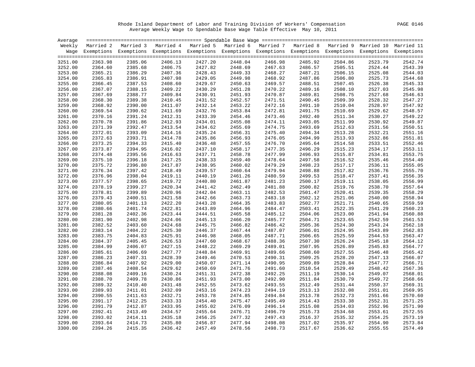Rhode Island Department of Labor and Training Division of Workers' Compensation PAGE 0146 Average Weekly Wage to Spendable Base Wage Table Effective May 10, 2011

| Average |         |                                                                                                                    |         |         |         |                    |         |         |         |         |
|---------|---------|--------------------------------------------------------------------------------------------------------------------|---------|---------|---------|--------------------|---------|---------|---------|---------|
|         |         | Weekly Married 2 Married 3 Married 4 Married 5 Married 6 Married 7 Married 8 Married 9 Married 10 Married 11       |         |         |         |                    |         |         |         |         |
|         |         | Wage Exemptions Exemptions Exemptions Exemptions Exemptions Exemptions Exemptions Exemptions Exemptions Exemptions |         |         |         |                    |         |         |         |         |
|         |         |                                                                                                                    |         |         |         |                    |         |         |         |         |
| 3251.00 | 2363.98 | 2385.06                                                                                                            | 2406.13 | 2427.20 | 2448.04 | 2466.98            | 2485.92 | 2504.86 | 2523.79 | 2542.74 |
| 3252.00 | 2364.60 | 2385.68                                                                                                            | 2406.75 | 2427.82 | 2448.69 | z466.96<br>2467.63 | 2486.57 | 2505.51 | 2524.44 | 2543.39 |
| 3253.00 | 2365.21 | 2386.29                                                                                                            | 2407.36 | 2428.43 | 2449.33 | 2468.27            | 2487.21 | 2506.15 | 2525.08 | 2544.03 |
| 3254.00 | 2365.83 | 2386.91                                                                                                            | 2407.98 | 2429.05 | 2449.98 |                    | 2487.86 | 2506.80 | 2525.73 | 2544.68 |
| 3255.00 | 2366.45 | 2387.53                                                                                                            | 2408.60 | 2429.67 | 2450.63 | 2468.92<br>2469.57 | 2488.51 | 2507.45 | 2526.38 | 2545.33 |
| 3256.00 | 2367.07 | 2388.15                                                                                                            | 2409.22 | 2430.29 | 2451.28 | 2470.22            | 2489.16 | 2508.10 | 2527.03 | 2545.98 |
| 3257.00 | 2367.69 | 2388.77                                                                                                            | 2409.84 | 2430.91 | 2451.93 | 2470.87            | 2489.81 | 2508.75 | 2527.68 | 2546.63 |
| 3258.00 | 2368.30 | 2389.38                                                                                                            | 2410.45 | 2431.52 | 2452.57 | 2471.51            | 2490.45 | 2509.39 | 2528.32 | 2547.27 |
| 3259.00 | 2368.92 | 2390.00                                                                                                            | 2411.07 | 2432.14 | 2453.22 | 2472.16            | 2491.10 | 2510.04 | 2528.97 | 2547.92 |
| 3260.00 | 2369.54 | 2390.62                                                                                                            | 2411.69 | 2432.76 | 2453.84 | 2472.81            | 2491.75 | 2510.69 | 2529.62 | 2548.57 |
| 3261.00 | 2370.16 | 2391.24                                                                                                            | 2412.31 | 2433.39 | 2454.46 | 2473.46            | 2492.40 | 2511.34 | 2530.27 | 2549.22 |
| 3262.00 | 2370.78 | 2391.86                                                                                                            | 2412.93 | 2434.01 | 2455.08 | 2474.11            | 2493.05 | 2511.99 | 2530.92 | 2549.87 |
| 3263.00 | 2371.39 | 2392.47                                                                                                            | 2413.54 | 2434.62 | 2455.69 | 2474.75            | 2493.69 | 2512.63 | 2531.56 | 2550.51 |
| 3264.00 | 2372.01 | 2393.09                                                                                                            | 2414.16 | 2435.24 | 2456.31 | 2475.40            | 2494.34 | 2513.28 | 2532.21 | 2551.16 |
| 3265.00 | 2372.63 | 2393.71                                                                                                            | 2414.78 | 2435.86 | 2456.93 | 2476.05            | 2494.99 | 2513.93 | 2532.86 | 2551.81 |
| 3266.00 | 2373.25 | 2394.33                                                                                                            | 2415.40 | 2436.48 | 2457.55 | 2476.70            | 2495.64 | 2514.58 | 2533.51 | 2552.46 |
| 3267.00 | 2373.87 | 2394.95                                                                                                            | 2416.02 | 2437.10 | 2458.17 | 2477.35<br>2477.99 | 2496.29 | 2515.23 | 2534.17 | 2553.11 |
| 3268.00 | 2374.48 | 2395.56                                                                                                            | 2416.63 | 2437.71 | 2458.78 |                    | 2496.93 | 2515.87 | 2534.81 | 2553.75 |
| 3269.00 | 2375.10 | 2396.18                                                                                                            | 2417.25 | 2438.33 | 2459.40 | 2478.64            | 2497.58 | 2516.52 | 2535.46 | 2554.40 |
| 3270.00 | 2375.72 | 2396.80                                                                                                            | 2417.87 | 2438.95 | 2460.02 | 2479.29            | 2498.23 | 2517.17 | 2536.11 | 2555.05 |
| 3271.00 | 2376.34 | 2397.42                                                                                                            | 2418.49 | 2439.57 | 2460.64 | 2479.94            | 2498.88 | 2517.82 | 2536.76 | 2555.70 |
| 3272.00 | 2376.96 | 2398.04                                                                                                            | 2419.11 | 2440.19 | 2461.26 | 2480.59            | 2499.53 | 2518.47 | 2537.41 | 2556.35 |
| 3273.00 | 2377.57 | 2398.65                                                                                                            | 2419.72 | 2440.80 | 2461.87 | 2481.23            | 2500.17 | 2519.11 | 2538.05 | 2556.99 |
| 3274.00 | 2378.19 | 2399.27                                                                                                            | 2420.34 | 2441.42 | 2462.49 | 2481.88            | 2500.82 | 2519.76 | 2538.70 | 2557.64 |
| 3275.00 | 2378.81 | 2399.89                                                                                                            | 2420.96 | 2442.04 | 2463.11 | 2482.53            | 2501.47 | 2520.41 | 2539.35 | 2558.29 |
| 3276.00 | 2379.43 | 2400.51                                                                                                            | 2421.58 | 2442.66 | 2463.73 | 2483.18            | 2502.12 | 2521.06 | 2540.00 | 2558.94 |
| 3277.00 | 2380.05 | 2401.13                                                                                                            | 2422.20 | 2443.28 | 2464.35 | 2483.83<br>2484.47 | 2502.77 | 2521.71 | 2540.65 | 2559.59 |
| 3278.00 | 2380.66 | 2401.74                                                                                                            | 2422.81 | 2443.89 | 2464.96 |                    | 2503.41 | 2522.35 | 2541.29 | 2560.23 |
| 3279.00 | 2381.28 | 2402.36                                                                                                            | 2423.44 | 2444.51 | 2465.58 | 2485.12            | 2504.06 | 2523.00 | 2541.94 | 2560.88 |
| 3280.00 | 2381.90 | 2402.98                                                                                                            | 2424.06 | 2445.13 | 2466.20 | 2485.77            | 2504.71 | 2523.65 | 2542.59 | 2561.53 |
| 3281.00 | 2382.52 | 2403.60                                                                                                            | 2424.68 | 2445.75 | 2466.82 | 2486.42            | 2505.36 | 2524.30 | 2543.24 | 2562.18 |
| 3282.00 | 2383.14 | 2404.22                                                                                                            | 2425.30 | 2446.37 | 2467.44 | 2487.07            | 2506.01 | 2524.95 | 2543.89 | 2562.83 |
| 3283.00 | 2383.75 | 2404.83                                                                                                            | 2425.91 | 2446.98 | 2468.05 | 2487.71            | 2506.65 | 2525.59 | 2544.53 | 2563.47 |
| 3284.00 | 2384.37 | 2405.45                                                                                                            | 2426.53 | 2447.60 | 2468.67 | 2488.36            | 2507.30 | 2526.24 | 2545.18 | 2564.12 |
| 3285.00 | 2384.99 | 2406.07                                                                                                            | 2427.15 | 2448.22 | 2469.29 | 2489.01<br>2489.66 | 2507.95 | 2526.89 | 2545.83 | 2564.77 |
| 3286.00 | 2385.61 | 2406.69                                                                                                            | 2427.77 | 2448.84 | 2469.91 |                    | 2508.60 | 2527.55 | 2546.48 | 2565.42 |
| 3287.00 | 2386.23 | 2407.31                                                                                                            | 2428.39 | 2449.46 | 2470.53 | 2490.31            | 2509.25 | 2528.20 | 2547.13 | 2566.07 |
| 3288.00 | 2386.84 | 2407.92                                                                                                            | 2429.00 | 2450.07 | 2471.14 | 2490.95            | 2509.89 | 2528.84 | 2547.77 | 2566.71 |
| 3289.00 | 2387.46 | 2408.54                                                                                                            | 2429.62 | 2450.69 | 2471.76 | 2491.60            | 2510.54 | 2529.49 | 2548.42 | 2567.36 |
| 3290.00 | 2388.08 | 2409.16                                                                                                            | 2430.24 | 2451.31 | 2472.38 | 2492.25            | 2511.19 | 2530.14 | 2549.07 | 2568.01 |
| 3291.00 | 2388.70 | 2409.78                                                                                                            | 2430.86 | 2451.93 | 2473.00 | 2492.90            | 2511.84 | 2530.79 | 2549.72 | 2568.66 |
| 3292.00 | 2389.32 | 2410.40                                                                                                            | 2431.48 | 2452.55 | 2473.62 | 2493.55            | 2512.49 | 2531.44 | 2550.37 | 2569.31 |
| 3293.00 | 2389.93 | 2411.01                                                                                                            | 2432.09 | 2453.16 | 2474.23 | 2494.19            | 2513.13 | 2532.08 | 2551.01 | 2569.95 |
| 3294.00 | 2390.55 | 2411.63                                                                                                            | 2432.71 | 2453.78 | 2474.85 | 2494.84            | 2513.78 | 2532.73 | 2551.66 | 2570.60 |
| 3295.00 | 2391.17 | 2412.25                                                                                                            | 2433.33 | 2454.40 | 2475.47 | 2495.49            | 2514.43 | 2533.38 | 2552.31 | 2571.25 |
| 3296.00 | 2391.79 | 2412.87                                                                                                            | 2433.95 | 2455.02 | 2476.09 | 2496.14            | 2515.08 | 2534.03 | 2552.96 | 2571.90 |
| 3297.00 | 2392.41 | 2413.49                                                                                                            | 2434.57 | 2455.64 | 2476.71 | 2496.79            | 2515.73 | 2534.68 | 2553.61 | 2572.55 |
| 3298.00 | 2393.02 | 2414.11                                                                                                            | 2435.18 | 2456.25 | 2477.32 | 2497.43            | 2516.37 | 2535.32 | 2554.25 | 2573.19 |
| 3299.00 | 2393.64 | 2414.73                                                                                                            | 2435.80 | 2456.87 | 2477.94 | 2498.08            | 2517.02 | 2535.97 | 2554.90 | 2573.84 |
| 3300.00 | 2394.26 | 2415.35                                                                                                            | 2436.42 | 2457.49 | 2478.56 | 2498.73            | 2517.67 | 2536.62 | 2555.55 | 2574.49 |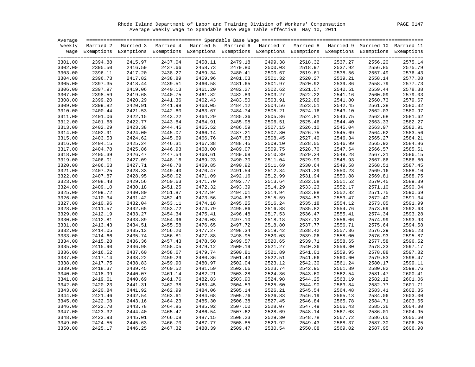Rhode Island Department of Labor and Training Division of Workers' Compensation PAGE 0147 Average Weekly Wage to Spendable Base Wage Table Effective May 10, 2011

| Average |         |                                                                                                                    |         |         |         |         |         |         |         |         |
|---------|---------|--------------------------------------------------------------------------------------------------------------------|---------|---------|---------|---------|---------|---------|---------|---------|
|         |         | Weekly Married 2 Married 3 Married 4 Married 5 Married 6 Married 7 Married 8 Married 9 Married 10 Married 11       |         |         |         |         |         |         |         |         |
|         |         | Wage Exemptions Exemptions Exemptions Exemptions Exemptions Exemptions Exemptions Exemptions Exemptions Exemptions |         |         |         |         |         |         |         |         |
|         |         |                                                                                                                    |         |         |         |         |         |         |         |         |
| 3301.00 | 2394.88 | 2415.97                                                                                                            | 2437.04 | 2458.11 | 2479.18 | 2499.38 | 2518.32 | 2537.27 | 2556.20 | 2575.14 |
| 3302.00 | 2395.50 | 2416.59                                                                                                            | 2437.66 | 2458.73 | 2479.80 | 2500.03 | 2518.97 | 2537.92 | 2556.85 | 2575.79 |
| 3303.00 | 2396.11 | 2417.20                                                                                                            | 2438.27 | 2459.34 | 2480.41 | 2500.67 | 2519.61 | 2538.56 | 2557.49 | 2576.43 |
| 3304.00 | 2396.73 | 2417.82                                                                                                            | 2438.89 | 2459.96 | 2481.03 | 2501.32 | 2520.27 | 2539.21 | 2558.14 | 2577.08 |
| 3305.00 | 2397.35 | 2418.44                                                                                                            | 2439.51 | 2460.58 | 2481.65 | 2501.97 | 2520.92 | 2539.86 | 2558.79 | 2577.73 |
| 3306.00 | 2397.97 | 2419.06                                                                                                            | 2440.13 | 2461.20 | 2482.27 | 2502.62 | 2521.57 | 2540.51 | 2559.44 | 2578.38 |
| 3307.00 | 2398.59 | 2419.68                                                                                                            | 2440.75 | 2461.82 | 2482.89 | 2503.27 | 2522.22 | 2541.16 | 2560.09 | 2579.03 |
| 3308.00 | 2399.20 | 2420.29                                                                                                            | 2441.36 | 2462.43 | 2483.50 | 2503.91 | 2522.86 | 2541.80 | 2560.73 | 2579.67 |
| 3309.00 | 2399.82 | 2420.91                                                                                                            | 2441.98 | 2463.05 | 2484.12 | 2504.56 | 2523.51 | 2542.45 | 2561.38 | 2580.32 |
| 3310.00 | 2400.44 | 2421.53                                                                                                            | 2442.60 | 2463.67 | 2484.74 | 2505.21 | 2524.16 | 2543.10 | 2562.03 | 2580.97 |
| 3311.00 | 2401.06 | 2422.15                                                                                                            | 2443.22 | 2464.29 | 2485.36 | 2505.86 | 2524.81 | 2543.75 | 2562.68 | 2581.62 |
| 3312.00 | 2401.68 | 2422.77                                                                                                            | 2443.84 | 2464.91 | 2485.98 | 2506.51 | 2525.46 | 2544.40 | 2563.33 | 2582.27 |
| 3313.00 | 2402.29 | 2423.38                                                                                                            | 2444.45 | 2465.52 | 2486.59 | 2507.15 | 2526.10 | 2545.04 | 2563.97 | 2582.91 |
| 3314.00 | 2402.91 | 2424.00                                                                                                            | 2445.07 | 2466.14 | 2487.21 | 2507.80 | 2526.75 | 2545.69 | 2564.62 | 2583.56 |
| 3315.00 | 2403.53 | 2424.62                                                                                                            | 2445.69 | 2466.76 | 2487.83 | 2508.45 | 2527.40 | 2546.34 | 2565.27 | 2584.21 |
| 3316.00 | 2404.15 | 2425.24                                                                                                            | 2446.31 | 2467.38 | 2488.45 | 2509.10 | 2528.05 | 2546.99 | 2565.92 | 2584.86 |
| 3317.00 | 2404.78 | 2425.86                                                                                                            | 2446.93 | 2468.00 | 2489.07 | 2509.75 | 2528.70 | 2547.64 | 2566.57 | 2585.51 |
| 3318.00 | 2405.39 | 2426.47                                                                                                            | 2447.54 | 2468.61 | 2489.68 | 2510.39 | 2529.34 | 2548.28 | 2567.21 | 2586.15 |
| 3319.00 | 2406.01 | 2427.09                                                                                                            | 2448.16 | 2469.23 | 2490.30 | 2511.04 | 2529.99 | 2548.93 | 2567.86 | 2586.80 |
| 3320.00 | 2406.63 | 2427.71                                                                                                            | 2448.78 | 2469.85 | 2490.92 | 2511.69 | 2530.64 | 2549.58 | 2568.51 | 2587.45 |
| 3321.00 | 2407.25 | 2428.33                                                                                                            | 2449.40 | 2470.47 | 2491.54 | 2512.34 | 2531.29 | 2550.23 | 2569.16 | 2588.10 |
| 3322.00 | 2407.87 | 2428.95                                                                                                            | 2450.02 | 2471.09 | 2492.16 | 2512.99 | 2531.94 | 2550.88 | 2569.81 | 2588.75 |
|         |         | 2429.56                                                                                                            |         | 2471.70 |         |         |         |         |         | 2589.39 |
| 3323.00 | 2408.48 |                                                                                                                    | 2450.63 |         | 2492.77 | 2513.64 | 2532.58 | 2551.52 | 2570.45 |         |
| 3324.00 | 2409.10 | 2430.18                                                                                                            | 2451.25 | 2472.32 | 2493.39 | 2514.29 | 2533.23 | 2552.17 | 2571.10 | 2590.04 |
| 3325.00 | 2409.72 | 2430.80                                                                                                            | 2451.87 | 2472.94 | 2494.01 | 2514.94 | 2533.88 | 2552.82 | 2571.75 | 2590.69 |
| 3326.00 | 2410.34 | 2431.42                                                                                                            | 2452.49 | 2473.56 | 2494.63 | 2515.59 | 2534.53 | 2553.47 | 2572.40 | 2591.34 |
| 3327.00 | 2410.96 | 2432.04                                                                                                            | 2453.11 | 2474.18 | 2495.25 | 2516.24 | 2535.18 | 2554.12 | 2573.05 | 2591.99 |
| 3328.00 | 2411.57 | 2432.65                                                                                                            | 2453.72 | 2474.79 | 2495.86 | 2516.88 | 2535.82 | 2554.76 | 2573.69 | 2592.63 |
| 3329.00 | 2412.19 | 2433.27                                                                                                            | 2454.34 | 2475.41 | 2496.48 | 2517.53 | 2536.47 | 2555.41 | 2574.34 | 2593.28 |
| 3330.00 | 2412.81 | 2433.89                                                                                                            | 2454.96 | 2476.03 | 2497.10 | 2518.18 | 2537.12 | 2556.06 | 2574.99 | 2593.93 |
| 3331.00 | 2413.43 | 2434.51                                                                                                            | 2455.58 | 2476.65 | 2497.72 | 2518.80 | 2537.77 | 2556.71 | 2575.64 | 2594.58 |
| 3332.00 | 2414.05 | 2435.13                                                                                                            | 2456.20 | 2477.27 | 2498.34 | 2519.42 | 2538.42 | 2557.36 | 2576.29 | 2595.23 |
| 3333.00 | 2414.66 | 2435.74                                                                                                            | 2456.81 | 2477.88 | 2498.95 | 2520.03 | 2539.06 | 2558.00 | 2576.93 | 2595.87 |
| 3334.00 | 2415.28 | 2436.36                                                                                                            | 2457.43 | 2478.50 | 2499.57 | 2520.65 | 2539.71 | 2558.65 | 2577.58 | 2596.52 |
| 3335.00 | 2415.90 | 2436.98                                                                                                            | 2458.05 | 2479.12 | 2500.19 | 2521.27 | 2540.36 | 2559.30 | 2578.23 | 2597.17 |
| 3336.00 | 2416.52 | 2437.60                                                                                                            | 2458.67 | 2479.74 | 2500.81 | 2521.89 | 2541.01 | 2559.95 | 2578.88 | 2597.82 |
| 3337.00 | 2417.14 | 2438.22                                                                                                            | 2459.29 | 2480.36 | 2501.43 | 2522.51 | 2541.66 | 2560.60 | 2579.53 | 2598.47 |
| 3338.00 | 2417.75 | 2438.83                                                                                                            | 2459.90 | 2480.97 | 2502.04 | 2523.12 | 2542.30 | 2561.24 | 2580.17 | 2599.11 |
| 3339.00 | 2418.37 | 2439.45                                                                                                            | 2460.52 | 2481.59 | 2502.66 | 2523.74 | 2542.95 | 2561.89 | 2580.82 | 2599.76 |
| 3340.00 | 2418.99 | 2440.07                                                                                                            | 2461.14 | 2482.21 | 2503.28 | 2524.36 | 2543.60 | 2562.54 | 2581.47 | 2600.41 |
| 3341.00 | 2419.61 | 2440.69                                                                                                            | 2461.76 | 2482.83 | 2503.90 | 2524.98 | 2544.25 | 2563.19 | 2582.12 | 2601.06 |
| 3342.00 | 2420.23 | 2441.31                                                                                                            | 2462.38 | 2483.45 | 2504.53 | 2525.60 | 2544.90 | 2563.84 | 2582.77 | 2601.71 |
| 3343.00 | 2420.84 | 2441.92                                                                                                            | 2462.99 | 2484.06 | 2505.14 | 2526.21 | 2545.54 | 2564.48 | 2583.41 | 2602.35 |
| 3344.00 | 2421.46 | 2442.54                                                                                                            | 2463.61 | 2484.68 | 2505.76 | 2526.83 | 2546.19 | 2565.13 | 2584.06 | 2603.00 |
| 3345.00 | 2422.08 | 2443.16                                                                                                            | 2464.23 | 2485.30 | 2506.38 | 2527.45 | 2546.84 | 2565.78 | 2584.71 | 2603.65 |
| 3346.00 | 2422.70 | 2443.78                                                                                                            | 2464.85 | 2485.92 | 2507.00 | 2528.07 | 2547.49 | 2566.43 | 2585.36 | 2604.30 |
| 3347.00 | 2423.32 | 2444.40                                                                                                            | 2465.47 | 2486.54 | 2507.62 | 2528.69 | 2548.14 | 2567.08 | 2586.01 | 2604.95 |
| 3348.00 | 2423.93 | 2445.01                                                                                                            | 2466.08 | 2487.15 | 2508.23 | 2529.30 | 2548.78 | 2567.72 | 2586.65 | 2605.60 |
| 3349.00 | 2424.55 | 2445.63                                                                                                            | 2466.70 | 2487.77 | 2508.85 | 2529.92 | 2549.43 | 2568.37 | 2587.30 | 2606.25 |
| 3350.00 | 2425.17 | 2446.25                                                                                                            | 2467.32 | 2488.39 | 2509.47 | 2530.54 | 2550.08 | 2569.02 | 2587.95 | 2606.90 |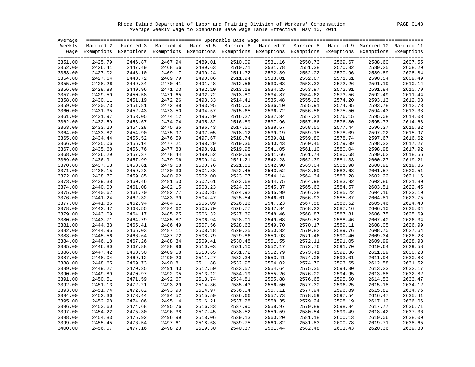Rhode Island Department of Labor and Training Division of Workers' Compensation PAGE 0148 Average Weekly Wage to Spendable Base Wage Table Effective May 10, 2011

| Average |         |                                                                                                                    |         |         |         |         |         |         |         |                    |
|---------|---------|--------------------------------------------------------------------------------------------------------------------|---------|---------|---------|---------|---------|---------|---------|--------------------|
|         |         | Weekly Married 2 Married 3 Married 4 Married 5 Married 6 Married 7 Married 8 Married 9 Married 10 Married 11       |         |         |         |         |         |         |         |                    |
|         |         | Wage Exemptions Exemptions Exemptions Exemptions Exemptions Exemptions Exemptions Exemptions Exemptions Exemptions |         |         |         |         |         |         |         |                    |
|         |         |                                                                                                                    |         |         |         |         |         |         |         |                    |
| 3351.00 | 2425.79 | 2446.87                                                                                                            | 2467.94 | 2489.01 | 2510.09 | 2531.16 | 2550.73 | 2569.67 | 2588.60 | 2607.55            |
| 3352.00 | 2426.41 | 2447.49                                                                                                            | 2468.56 | 2489.63 | 2510.71 | 2531.78 | 2551.38 | 2570.32 | 2589.25 | 2608.20            |
| 3353.00 | 2427.02 | 2448.10                                                                                                            | 2469.17 | 2490.24 | 2511.32 | 2532.39 | 2552.02 | 2570.96 | 2589.89 | 2608.84            |
| 3354.00 | 2427.64 | 2448.72                                                                                                            | 2469.79 | 2490.86 | 2511.94 | 2533.01 | 2552.67 | 2571.61 | 2590.54 | 2609.49            |
| 3355.00 | 2428.26 | 2449.34                                                                                                            | 2470.41 | 2491.48 | 2512.56 | 2533.63 | 2553.32 | 2572.26 | 2591.19 | 2610.14            |
| 3356.00 | 2428.88 | 2449.96                                                                                                            | 2471.03 | 2492.10 | 2513.18 | 2534.25 | 2553.97 | 2572.91 | 2591.84 | 2610.79            |
| 3357.00 | 2429.50 | 2450.58                                                                                                            | 2471.65 | 2492.72 | 2513.80 | 2534.87 | 2554.62 | 2573.56 | 2592.49 | 2611.44            |
| 3358.00 | 2430.11 | 2451.19                                                                                                            | 2472.26 | 2493.33 | 2514.41 | 2535.48 | 2555.26 | 2574.20 | 2593.13 | 2612.08            |
| 3359.00 | 2430.73 | 2451.81                                                                                                            | 2472.88 | 2493.95 | 2515.03 | 2536.10 | 2555.91 | 2574.85 | 2593.78 | 2612.73            |
| 3360.00 | 2431.35 | 2452.43                                                                                                            | 2473.50 | 2494.57 | 2515.65 | 2536.72 | 2556.56 | 2575.50 | 2594.43 | 2613.38            |
| 3361.00 | 2431.97 | 2453.05                                                                                                            | 2474.12 | 2495.20 | 2516.27 | 2537.34 | 2557.21 | 2576.15 | 2595.08 | 2614.03            |
| 3362.00 | 2432.59 | 2453.67                                                                                                            | 2474.74 | 2495.82 | 2516.89 | 2537.96 | 2557.86 | 2576.80 | 2595.73 | 2614.68            |
| 3363.00 | 2433.20 | 2454.28                                                                                                            | 2475.35 | 2496.43 | 2517.50 | 2538.57 | 2558.50 | 2577.44 | 2596.37 | 2615.32            |
| 3364.00 | 2433.82 | 2454.90                                                                                                            | 2475.97 | 2497.05 | 2518.12 | 2539.19 | 2559.15 | 2578.09 | 2597.02 | 2615.97            |
| 3365.00 | 2434.44 | 2455.52                                                                                                            | 2476.59 | 2497.67 | 2518.74 | 2539.81 | 2559.80 | 2578.74 | 2597.67 | 2616.62            |
| 3366.00 | 2435.06 | 2456.14                                                                                                            | 2477.21 | 2498.29 | 2519.36 | 2540.43 | 2560.45 | 2579.39 | 2598.32 | 2617.27            |
| 3367.00 | 2435.68 | 2456.76                                                                                                            | 2477.83 | 2498.91 | 2519.98 | 2541.05 | 2561.10 | 2580.04 | 2598.98 | 2617.92            |
| 3368.00 | 2436.29 | 2457.37                                                                                                            | 2478.44 | 2499.52 | 2520.59 | 2541.66 | 2561.74 | 2580.68 | 2599.62 | 2618.56            |
| 3369.00 | 2436.91 | 2457.99                                                                                                            | 2479.06 | 2500.14 | 2521.21 | 2542.28 | 2562.39 | 2581.33 | 2600.27 | 2619.21            |
| 3370.00 | 2437.53 | 2458.61                                                                                                            | 2479.68 | 2500.76 | 2521.83 | 2542.90 | 2563.04 | 2581.98 | 2600.92 | 2619.86            |
| 3371.00 | 2438.15 | 2459.23                                                                                                            | 2480.30 | 2501.38 | 2522.45 | 2543.52 | 2563.69 | 2582.63 | 2601.57 | 2620.51            |
| 3372.00 | 2438.77 | 2459.85                                                                                                            | 2480.92 | 2502.00 | 2523.07 | 2544.14 | 2564.34 | 2583.28 | 2602.22 | 2621.16            |
| 3373.00 | 2439.38 | 2460.46                                                                                                            | 2481.53 | 2502.61 | 2523.68 | 2544.75 | 2564.98 | 2583.92 | 2602.86 | 2621.80            |
| 3374.00 | 2440.00 | 2461.08                                                                                                            | 2482.15 | 2503.23 | 2524.30 | 2545.37 | 2565.63 | 2584.57 | 2603.51 | 2622.45            |
| 3375.00 | 2440.62 | 2461.70                                                                                                            | 2482.77 | 2503.85 | 2524.92 | 2545.99 | 2566.28 | 2585.22 | 2604.16 | 2623.10            |
| 3376.00 | 2441.24 | 2462.32                                                                                                            | 2483.39 | 2504.47 | 2525.54 | 2546.61 | 2566.93 | 2585.87 | 2604.81 | 2623.75            |
| 3377.00 | 2441.86 | 2462.94                                                                                                            | 2484.01 | 2505.09 | 2526.16 | 2547.23 | 2567.58 | 2586.52 | 2605.46 | 2624.40            |
| 3378.00 | 2442.47 | 2463.55                                                                                                            | 2484.62 | 2505.70 | 2526.77 | 2547.84 | 2568.22 | 2587.16 | 2606.10 | 2625.04            |
| 3379.00 | 2443.09 | 2464.17                                                                                                            | 2485.25 | 2506.32 | 2527.39 | 2548.46 | 2568.87 | 2587.81 | 2606.75 | 2625.69            |
| 3380.00 | 2443.71 | 2464.79                                                                                                            | 2485.87 | 2506.94 | 2528.01 | 2549.08 | 2569.52 | 2588.46 | 2607.40 | 2626.34            |
| 3381.00 | 2444.33 | 2465.41                                                                                                            | 2486.49 | 2507.56 | 2528.63 | 2549.70 | 2570.17 | 2589.11 | 2608.05 | 2626.99            |
| 3382.00 | 2444.95 | 2466.03                                                                                                            | 2487.11 | 2508.18 | 2529.25 | 2550.32 | 2570.82 | 2589.76 | 2608.70 | 2627.64            |
| 3383.00 | 2445.56 | 2466.64                                                                                                            | 2487.72 | 2508.79 | 2529.86 | 2550.93 | 2571.46 | 2590.40 | 2609.34 | 2628.28            |
| 3384.00 | 2446.18 | 2467.26                                                                                                            | 2488.34 | 2509.41 | 2530.48 | 2551.55 | 2572.11 | 2591.05 | 2609.99 | 2628.93            |
| 3385.00 | 2446.80 | 2467.88                                                                                                            | 2488.96 | 2510.03 | 2531.10 | 2552.17 | 2572.76 | 2591.70 | 2610.64 | 2629.58            |
| 3386.00 | 2447.42 | 2468.50                                                                                                            | 2489.58 | 2510.65 | 2531.72 | 2552.79 | 2573.41 | 2592.36 | 2611.29 | 2630.23            |
| 3387.00 | 2448.04 | 2469.12                                                                                                            | 2490.20 | 2511.27 | 2532.34 | 2553.41 | 2574.06 | 2593.01 | 2611.94 | 2630.88            |
| 3388.00 | 2448.65 | 2469.73                                                                                                            | 2490.81 | 2511.88 | 2532.95 | 2554.02 | 2574.70 | 2593.65 | 2612.58 | 2631.52            |
| 3389.00 | 2449.27 | 2470.35                                                                                                            | 2491.43 | 2512.50 | 2533.57 | 2554.64 | 2575.35 | 2594.30 | 2613.23 | 2632.17            |
|         | 2449.89 | 2470.97                                                                                                            | 2492.05 | 2513.12 |         |         | 2576.00 | 2594.95 |         | 2632.82            |
| 3390.00 |         |                                                                                                                    | 2492.67 |         | 2534.19 | 2555.26 |         | 2595.60 | 2613.88 |                    |
| 3391.00 | 2450.51 | 2471.59                                                                                                            |         | 2513.74 | 2534.81 | 2555.88 | 2576.65 |         | 2614.53 | 2633.47            |
| 3392.00 | 2451.13 | 2472.21                                                                                                            | 2493.29 | 2514.36 | 2535.43 | 2556.50 | 2577.30 | 2596.25 | 2615.18 | 2634.12<br>2634.76 |
| 3393.00 | 2451.74 | 2472.82                                                                                                            | 2493.90 | 2514.97 | 2536.04 | 2557.11 | 2577.94 | 2596.89 | 2615.82 |                    |
| 3394.00 | 2452.36 | 2473.44                                                                                                            | 2494.52 | 2515.59 | 2536.66 | 2557.73 | 2578.59 | 2597.54 | 2616.47 | 2635.41            |
| 3395.00 | 2452.98 | 2474.06                                                                                                            | 2495.14 | 2516.21 | 2537.28 | 2558.35 | 2579.24 | 2598.19 | 2617.12 | 2636.06            |
| 3396.00 | 2453.60 | 2474.68                                                                                                            | 2495.76 | 2516.83 | 2537.90 | 2558.97 | 2579.89 | 2598.84 | 2617.77 | 2636.71            |
| 3397.00 | 2454.22 | 2475.30                                                                                                            | 2496.38 | 2517.45 | 2538.52 | 2559.59 | 2580.54 | 2599.49 | 2618.42 | 2637.36            |
| 3398.00 | 2454.83 | 2475.92                                                                                                            | 2496.99 | 2518.06 | 2539.13 | 2560.20 | 2581.18 | 2600.13 | 2619.06 | 2638.00            |
| 3399.00 | 2455.45 | 2476.54                                                                                                            | 2497.61 | 2518.68 | 2539.75 | 2560.82 | 2581.83 | 2600.78 | 2619.71 | 2638.65            |
| 3400.00 | 2456.07 | 2477.16                                                                                                            | 2498.23 | 2519.30 | 2540.37 | 2561.44 | 2582.48 | 2601.43 | 2620.36 | 2639.30            |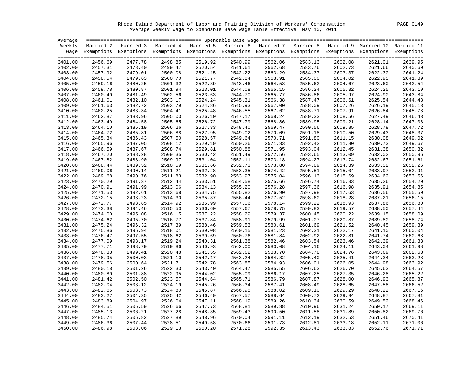Rhode Island Department of Labor and Training Division of Workers' Compensation PAGE 0149 Average Weekly Wage to Spendable Base Wage Table Effective May 10, 2011

| Average |         |                                                                                                                    |         |         |         |         |         |         |         |         |
|---------|---------|--------------------------------------------------------------------------------------------------------------------|---------|---------|---------|---------|---------|---------|---------|---------|
|         |         | Weekly Married 2 Married 3 Married 4 Married 5 Married 6 Married 7 Married 8 Married 9 Married 10 Married 11       |         |         |         |         |         |         |         |         |
|         |         | Wage Exemptions Exemptions Exemptions Exemptions Exemptions Exemptions Exemptions Exemptions Exemptions Exemptions |         |         |         |         |         |         |         |         |
|         |         |                                                                                                                    |         |         |         |         |         |         |         |         |
| 3401.00 | 2456.69 | 2477.78                                                                                                            | 2498.85 | 2519.92 | 2540.99 | 2562.06 | 2583.13 | 2602.08 | 2621.01 | 2639.95 |
| 3402.00 | 2457.31 | 2478.40                                                                                                            | 2499.47 | 2520.54 | 2541.61 | 2562.68 | 2583.76 | 2602.73 | 2621.66 | 2640.60 |
| 3403.00 | 2457.92 | 2479.01                                                                                                            | 2500.08 | 2521.15 | 2542.22 | 2563.29 | 2584.37 | 2603.37 | 2622.30 | 2641.24 |
| 3404.00 | 2458.54 | 2479.63                                                                                                            | 2500.70 | 2521.77 | 2542.84 | 2563.91 | 2585.00 | 2604.02 | 2622.95 | 2641.89 |
| 3405.00 | 2459.16 | 2480.25                                                                                                            | 2501.32 | 2522.39 | 2543.46 | 2564.53 | 2585.62 | 2604.67 | 2623.60 | 2642.54 |
| 3406.00 | 2459.78 | 2480.87                                                                                                            | 2501.94 | 2523.01 | 2544.08 | 2565.15 | 2586.24 | 2605.32 | 2624.25 | 2643.19 |
| 3407.00 | 2460.40 | 2481.49                                                                                                            | 2502.56 | 2523.63 | 2544.70 | 2565.77 | 2586.86 | 2605.97 | 2624.90 | 2643.84 |
| 3408.00 | 2461.01 | 2482.10                                                                                                            | 2503.17 | 2524.24 | 2545.31 | 2566.38 | 2587.47 | 2606.61 | 2625.54 | 2644.48 |
| 3409.00 | 2461.63 | 2482.72                                                                                                            | 2503.79 | 2524.86 | 2545.93 | 2567.00 | 2588.09 | 2607.26 | 2626.19 | 2645.13 |
| 3410.00 | 2462.25 | 2483.34                                                                                                            | 2504.41 | 2525.48 | 2546.55 | 2567.62 | 2588.71 | 2607.91 | 2626.84 | 2645.78 |
| 3411.00 | 2462.87 | 2483.96                                                                                                            | 2505.03 | 2526.10 | 2547.17 | 2568.24 | 2589.33 | 2608.56 | 2627.49 | 2646.43 |
| 3412.00 | 2463.49 | 2484.58                                                                                                            | 2505.65 | 2526.72 | 2547.79 | 2568.86 | 2589.95 | 2609.21 | 2628.14 | 2647.08 |
| 3413.00 | 2464.10 | 2485.19                                                                                                            | 2506.26 | 2527.33 | 2548.40 | 2569.47 | 2590.56 | 2609.85 | 2628.78 | 2647.72 |
| 3414.00 | 2464.72 | 2485.81                                                                                                            | 2506.88 | 2527.95 | 2549.02 | 2570.09 | 2591.18 | 2610.50 | 2629.43 | 2648.37 |
| 3415.00 | 2465.34 | 2486.43                                                                                                            | 2507.50 | 2528.57 | 2549.64 | 2570.71 | 2591.80 | 2611.15 | 2630.08 | 2649.02 |
| 3416.00 | 2465.96 | 2487.05                                                                                                            | 2508.12 | 2529.19 | 2550.26 | 2571.33 | 2592.42 | 2611.80 | 2630.73 | 2649.67 |
| 3417.00 | 2466.59 | 2487.67                                                                                                            | 2508.74 | 2529.81 | 2550.88 | 2571.95 | 2593.04 | 2612.45 | 2631.38 | 2650.32 |
| 3418.00 | 2467.20 | 2488.28                                                                                                            | 2509.35 | 2530.42 | 2551.49 | 2572.56 | 2593.65 | 2613.09 | 2632.02 | 2650.96 |
| 3419.00 | 2467.82 | 2488.90                                                                                                            | 2509.97 | 2531.04 | 2552.11 | 2573.18 | 2594.27 | 2613.74 | 2632.67 | 2651.61 |
| 3420.00 | 2468.44 | 2489.52                                                                                                            | 2510.59 | 2531.66 | 2552.73 | 2573.80 | 2594.89 | 2614.39 | 2633.32 | 2652.26 |
| 3421.00 | 2469.06 | 2490.14                                                                                                            | 2511.21 | 2532.28 | 2553.35 | 2574.42 | 2595.51 | 2615.04 | 2633.97 | 2652.91 |
| 3422.00 | 2469.68 | 2490.76                                                                                                            | 2511.83 | 2532.90 | 2553.97 | 2575.04 | 2596.13 | 2615.69 | 2634.62 | 2653.56 |
| 3423.00 | 2470.29 | 2491.37                                                                                                            | 2512.44 | 2533.51 | 2554.58 | 2575.66 | 2596.74 | 2616.33 | 2635.26 | 2654.20 |
| 3424.00 | 2470.91 | 2491.99                                                                                                            | 2513.06 | 2534.13 | 2555.20 | 2576.28 | 2597.36 | 2616.98 | 2635.91 | 2654.85 |
| 3425.00 | 2471.53 | 2492.61                                                                                                            | 2513.68 | 2534.75 | 2555.82 | 2576.90 | 2597.98 | 2617.63 | 2636.56 | 2655.50 |
| 3426.00 | 2472.15 | 2493.23                                                                                                            | 2514.30 | 2535.37 | 2556.44 | 2577.52 | 2598.60 | 2618.28 | 2637.21 | 2656.15 |
| 3427.00 | 2472.77 | 2493.85                                                                                                            | 2514.92 | 2535.99 | 2557.06 | 2578.14 | 2599.22 | 2618.93 | 2637.86 | 2656.80 |
| 3428.00 | 2473.38 | 2494.46                                                                                                            | 2515.53 | 2536.60 | 2557.67 | 2578.75 | 2599.83 | 2619.57 | 2638.50 | 2657.44 |
| 3429.00 | 2474.00 | 2495.08                                                                                                            | 2516.15 | 2537.22 | 2558.29 | 2579.37 | 2600.45 | 2620.22 | 2639.15 | 2658.09 |
| 3430.00 | 2474.62 | 2495.70                                                                                                            | 2516.77 | 2537.84 | 2558.91 | 2579.99 | 2601.07 | 2620.87 | 2639.80 | 2658.74 |
| 3431.00 | 2475.24 | 2496.32                                                                                                            | 2517.39 | 2538.46 | 2559.53 | 2580.61 | 2601.69 | 2621.52 | 2640.45 | 2659.39 |
| 3432.00 | 2475.86 | 2496.94                                                                                                            | 2518.01 | 2539.08 | 2560.15 | 2581.23 | 2602.31 | 2622.17 | 2641.10 | 2660.04 |
| 3433.00 | 2476.47 | 2497.55                                                                                                            | 2518.62 | 2539.69 | 2560.76 | 2581.84 | 2602.92 | 2622.81 | 2641.74 | 2660.68 |
| 3434.00 | 2477.09 | 2498.17                                                                                                            | 2519.24 | 2540.31 | 2561.38 | 2582.46 | 2603.54 | 2623.46 | 2642.39 | 2661.33 |
| 3435.00 | 2477.71 | 2498.79                                                                                                            | 2519.86 | 2540.93 | 2562.00 | 2583.08 | 2604.16 | 2624.11 | 2643.04 | 2661.98 |
| 3436.00 | 2478.33 | 2499.41                                                                                                            | 2520.48 | 2541.55 | 2562.62 | 2583.70 | 2604.78 | 2624.76 | 2643.69 | 2662.63 |
| 3437.00 | 2478.95 | 2500.03                                                                                                            | 2521.10 | 2542.17 | 2563.24 | 2584.32 | 2605.40 | 2625.41 | 2644.34 | 2663.28 |
| 3438.00 | 2479.56 | 2500.64                                                                                                            | 2521.71 | 2542.78 | 2563.85 | 2584.93 | 2606.01 | 2626.05 | 2644.98 | 2663.92 |
| 3439.00 | 2480.18 | 2501.26                                                                                                            | 2522.33 | 2543.40 | 2564.47 | 2585.55 | 2606.63 | 2626.70 | 2645.63 | 2664.57 |
| 3440.00 | 2480.80 | 2501.88                                                                                                            | 2522.95 | 2544.02 | 2565.09 | 2586.17 | 2607.25 | 2627.35 | 2646.28 | 2665.22 |
| 3441.00 | 2481.42 | 2502.50                                                                                                            | 2523.57 | 2544.64 | 2565.71 | 2586.79 | 2607.87 | 2628.00 | 2646.93 | 2665.87 |
| 3442.00 | 2482.04 | 2503.12                                                                                                            | 2524.19 | 2545.26 | 2566.34 | 2587.41 | 2608.49 | 2628.65 | 2647.58 | 2666.52 |
| 3443.00 | 2482.65 | 2503.73                                                                                                            | 2524.80 | 2545.87 | 2566.95 | 2588.02 | 2609.10 | 2629.29 | 2648.22 | 2667.16 |
| 3444.00 | 2483.27 | 2504.35                                                                                                            | 2525.42 | 2546.49 | 2567.57 | 2588.64 | 2609.72 | 2629.94 | 2648.87 | 2667.81 |
| 3445.00 | 2483.89 | 2504.97                                                                                                            | 2526.04 | 2547.11 | 2568.19 | 2589.26 | 2610.34 | 2630.59 | 2649.52 | 2668.46 |
| 3446.00 | 2484.51 | 2505.59                                                                                                            | 2526.66 | 2547.73 | 2568.81 | 2589.88 | 2610.96 | 2631.24 | 2650.17 | 2669.11 |
| 3447.00 | 2485.13 | 2506.21                                                                                                            | 2527.28 | 2548.35 | 2569.43 | 2590.50 | 2611.58 | 2631.89 | 2650.82 | 2669.76 |
| 3448.00 | 2485.74 | 2506.82                                                                                                            | 2527.89 | 2548.96 | 2570.04 | 2591.11 | 2612.19 | 2632.53 | 2651.46 | 2670.41 |
| 3449.00 | 2486.36 | 2507.44                                                                                                            | 2528.51 | 2549.58 | 2570.66 | 2591.73 | 2612.81 | 2633.18 | 2652.11 | 2671.06 |
| 3450.00 | 2486.98 | 2508.06                                                                                                            | 2529.13 | 2550.20 | 2571.28 | 2592.35 | 2613.43 | 2633.83 | 2652.76 | 2671.71 |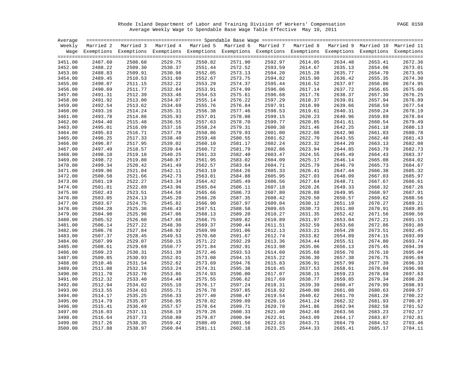Rhode Island Department of Labor and Training Division of Workers' Compensation PAGE 0150 Average Weekly Wage to Spendable Base Wage Table Effective May 10, 2011

| Average |         |                                                                                                                    |         |         |         |         |         |         |         |         |
|---------|---------|--------------------------------------------------------------------------------------------------------------------|---------|---------|---------|---------|---------|---------|---------|---------|
|         |         | Weekly Married 2 Married 3 Married 4 Married 5 Married 6 Married 7 Married 8 Married 9 Married 10 Married 11       |         |         |         |         |         |         |         |         |
|         |         | Wage Exemptions Exemptions Exemptions Exemptions Exemptions Exemptions Exemptions Exemptions Exemptions Exemptions |         |         |         |         |         |         |         |         |
|         |         |                                                                                                                    |         |         |         |         |         |         |         |         |
| 3451.00 | 2487.60 | 2508.68                                                                                                            | 2529.75 | 2550.82 | 2571.90 | 2592.97 | 2614.05 | 2634.48 | 2653.41 | 2672.36 |
| 3452.00 | 2488.22 | 2509.30                                                                                                            | 2530.37 | 2551.44 | 2572.52 | 2593.59 | 2614.67 | 2635.13 | 2654.06 | 2673.01 |
| 3453.00 | 2488.83 | 2509.91                                                                                                            | 2530.98 | 2552.05 | 2573.13 | 2594.20 | 2615.28 | 2635.77 | 2654.70 | 2673.65 |
| 3454.00 | 2489.45 | 2510.53                                                                                                            | 2531.60 | 2552.67 | 2573.75 | 2594.82 | 2615.90 | 2636.42 | 2655.35 | 2674.30 |
| 3455.00 | 2490.07 | 2511.15                                                                                                            | 2532.22 | 2553.29 | 2574.37 | 2595.44 | 2616.52 | 2637.07 | 2656.00 | 2674.95 |
| 3456.00 | 2490.69 | 2511.77                                                                                                            | 2532.84 | 2553.91 | 2574.99 | 2596.06 | 2617.14 | 2637.72 | 2656.65 | 2675.60 |
| 3457.00 | 2491.31 | 2512.39                                                                                                            | 2533.46 | 2554.53 | 2575.61 | 2596.68 | 2617.76 | 2638.37 | 2657.30 | 2676.25 |
| 3458.00 | 2491.92 | 2513.00                                                                                                            | 2534.07 | 2555.14 | 2576.22 | 2597.29 | 2618.37 | 2639.01 | 2657.94 | 2676.89 |
| 3459.00 | 2492.54 | 2513.62                                                                                                            | 2534.69 | 2555.76 | 2576.84 | 2597.91 | 2618.99 | 2639.66 | 2658.59 | 2677.54 |
| 3460.00 | 2493.16 | 2514.24                                                                                                            | 2535.31 | 2556.38 | 2577.46 | 2598.53 | 2619.61 | 2640.31 | 2659.24 | 2678.19 |
| 3461.00 | 2493.78 | 2514.86                                                                                                            | 2535.93 | 2557.01 | 2578.08 | 2599.15 | 2620.23 | 2640.96 | 2659.89 | 2678.84 |
| 3462.00 | 2494.40 | 2515.48                                                                                                            | 2536.55 | 2557.63 | 2578.70 | 2599.77 | 2620.85 | 2641.61 | 2660.54 | 2679.49 |
| 3463.00 | 2495.01 | 2516.09                                                                                                            | 2537.16 | 2558.24 | 2579.31 | 2600.38 | 2621.46 | 2642.25 | 2661.18 | 2680.13 |
| 3464.00 | 2495.63 | 2516.71                                                                                                            | 2537.78 | 2558.86 | 2579.93 | 2601.00 | 2622.08 | 2642.90 | 2661.83 | 2680.78 |
| 3465.00 | 2496.25 | 2517.33                                                                                                            | 2538.40 | 2559.48 | 2580.55 | 2601.62 | 2622.70 | 2643.55 | 2662.48 | 2681.43 |
| 3466.00 | 2496.87 | 2517.95                                                                                                            | 2539.02 | 2560.10 | 2581.17 | 2602.24 | 2623.32 | 2644.20 | 2663.13 | 2682.08 |
| 3467.00 | 2497.49 | 2518.57                                                                                                            | 2539.64 | 2560.72 | 2581.79 | 2602.86 | 2623.94 | 2644.85 | 2663.79 | 2682.73 |
| 3468.00 | 2498.10 | 2519.18                                                                                                            | 2540.25 | 2561.33 | 2582.40 | 2603.47 | 2624.55 | 2645.49 | 2664.43 | 2683.37 |
| 3469.00 | 2498.72 | 2519.80                                                                                                            | 2540.87 | 2561.95 | 2583.02 | 2604.09 | 2625.17 | 2646.14 | 2665.08 | 2684.02 |
| 3470.00 | 2499.34 | 2520.42                                                                                                            | 2541.49 | 2562.57 | 2583.64 | 2604.71 | 2625.79 | 2646.79 | 2665.73 | 2684.67 |
| 3471.00 | 2499.96 | 2521.04                                                                                                            | 2542.11 | 2563.19 | 2584.26 | 2605.33 | 2626.41 | 2647.44 | 2666.38 | 2685.32 |
| 3472.00 | 2500.58 | 2521.66                                                                                                            | 2542.73 | 2563.81 | 2584.88 | 2605.95 | 2627.03 | 2648.09 | 2667.03 | 2685.97 |
| 3473.00 | 2501.19 | 2522.27                                                                                                            | 2543.34 | 2564.42 | 2585.49 | 2606.56 | 2627.64 | 2648.71 | 2667.67 | 2686.61 |
| 3474.00 | 2501.81 | 2522.89                                                                                                            | 2543.96 | 2565.04 | 2586.11 | 2607.18 | 2628.26 | 2649.33 | 2668.32 | 2687.26 |
| 3475.00 | 2502.43 | 2523.51                                                                                                            | 2544.58 | 2565.66 | 2586.73 | 2607.80 | 2628.88 | 2649.95 | 2668.97 | 2687.91 |
| 3476.00 | 2503.05 | 2524.13                                                                                                            | 2545.20 | 2566.28 | 2587.35 | 2608.42 | 2629.50 | 2650.57 | 2669.62 | 2688.56 |
| 3477.00 | 2503.67 | 2524.75                                                                                                            | 2545.82 | 2566.90 | 2587.97 | 2609.04 | 2630.12 | 2651.19 | 2670.27 | 2689.21 |
| 3478.00 | 2504.28 | 2525.36                                                                                                            | 2546.43 | 2567.51 | 2588.58 | 2609.65 | 2630.73 | 2651.80 | 2670.91 | 2689.85 |
| 3479.00 | 2504.90 | 2525.98                                                                                                            | 2547.06 | 2568.13 | 2589.20 | 2610.27 | 2631.35 | 2652.42 | 2671.56 | 2690.50 |
| 3480.00 | 2505.52 | 2526.60                                                                                                            | 2547.68 | 2568.75 | 2589.82 | 2610.89 | 2631.97 | 2653.04 | 2672.21 | 2691.15 |
| 3481.00 | 2506.14 | 2527.22                                                                                                            | 2548.30 | 2569.37 | 2590.44 | 2611.51 | 2632.59 | 2653.66 | 2672.86 | 2691.80 |
| 3482.00 | 2506.76 | 2527.84                                                                                                            | 2548.92 | 2569.99 | 2591.06 | 2612.13 | 2633.21 | 2654.28 | 2673.51 | 2692.45 |
| 3483.00 | 2507.37 | 2528.45                                                                                                            | 2549.53 | 2570.60 | 2591.67 | 2612.74 | 2633.82 | 2654.89 | 2674.15 | 2693.09 |
| 3484.00 | 2507.99 | 2529.07                                                                                                            | 2550.15 | 2571.22 | 2592.29 | 2613.36 | 2634.44 | 2655.51 | 2674.80 | 2693.74 |
| 3485.00 | 2508.61 | 2529.69                                                                                                            | 2550.77 | 2571.84 | 2592.91 | 2613.98 | 2635.06 | 2656.13 | 2675.45 | 2694.39 |
| 3486.00 | 2509.23 | 2530.31                                                                                                            | 2551.39 | 2572.46 | 2593.53 | 2614.60 | 2635.68 | 2656.76 | 2676.10 | 2695.04 |
| 3487.00 | 2509.85 | 2530.93                                                                                                            | 2552.01 | 2573.08 | 2594.15 | 2615.22 | 2636.30 | 2657.38 | 2676.75 | 2695.69 |
| 3488.00 | 2510.46 | 2531.54                                                                                                            | 2552.62 | 2573.69 | 2594.76 | 2615.83 | 2636.91 | 2657.99 | 2677.39 | 2696.33 |
| 3489.00 | 2511.08 | 2532.16                                                                                                            | 2553.24 | 2574.31 | 2595.38 | 2616.45 | 2637.53 | 2658.61 | 2678.04 | 2696.98 |
| 3490.00 | 2511.70 | 2532.78                                                                                                            | 2553.86 | 2574.93 | 2596.00 | 2617.07 | 2638.15 | 2659.23 | 2678.69 | 2697.63 |
| 3491.00 | 2512.32 | 2533.40                                                                                                            | 2554.48 | 2575.55 | 2596.62 | 2617.69 | 2638.77 | 2659.85 | 2679.34 | 2698.28 |
| 3492.00 | 2512.94 | 2534.02                                                                                                            | 2555.10 | 2576.17 | 2597.24 | 2618.31 | 2639.39 | 2660.47 | 2679.99 | 2698.93 |
| 3493.00 | 2513.55 | 2534.63                                                                                                            | 2555.71 | 2576.78 | 2597.85 | 2618.92 | 2640.00 | 2661.08 | 2680.63 | 2699.57 |
| 3494.00 | 2514.17 | 2535.25                                                                                                            | 2556.33 | 2577.40 | 2598.47 | 2619.54 | 2640.62 | 2661.70 | 2681.28 | 2700.22 |
| 3495.00 | 2514.79 | 2535.87                                                                                                            | 2556.95 | 2578.02 | 2599.09 | 2620.16 | 2641.24 | 2662.32 | 2681.93 | 2700.87 |
| 3496.00 | 2515.41 | 2536.49                                                                                                            | 2557.57 | 2578.64 | 2599.71 | 2620.78 | 2641.86 | 2662.94 | 2682.58 | 2701.52 |
| 3497.00 | 2516.03 | 2537.11                                                                                                            | 2558.19 | 2579.26 | 2600.33 | 2621.40 | 2642.48 | 2663.56 | 2683.23 | 2702.17 |
| 3498.00 | 2516.64 | 2537.73                                                                                                            | 2558.80 | 2579.87 | 2600.94 | 2622.01 | 2643.09 | 2664.17 | 2683.87 | 2702.81 |
| 3499.00 | 2517.26 | 2538.35                                                                                                            | 2559.42 | 2580.49 | 2601.56 | 2622.63 | 2643.71 | 2664.79 | 2684.52 | 2703.46 |
| 3500.00 | 2517.88 | 2538.97                                                                                                            | 2560.04 | 2581.11 | 2602.18 | 2623.25 | 2644.33 | 2665.41 | 2685.17 | 2704.11 |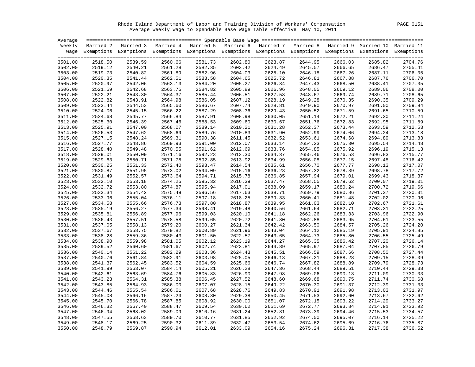Rhode Island Department of Labor and Training Division of Workers' Compensation PAGE 0151 Average Weekly Wage to Spendable Base Wage Table Effective May 10, 2011

| Average |         |                                                                                                                    |         |         |         |         |         |         |         |         |
|---------|---------|--------------------------------------------------------------------------------------------------------------------|---------|---------|---------|---------|---------|---------|---------|---------|
|         |         | Weekly Married 2 Married 3 Married 4 Married 5 Married 6 Married 7 Married 8 Married 9 Married 10 Married 11       |         |         |         |         |         |         |         |         |
|         |         | Wage Exemptions Exemptions Exemptions Exemptions Exemptions Exemptions Exemptions Exemptions Exemptions Exemptions |         |         |         |         |         |         |         |         |
|         |         |                                                                                                                    |         |         |         |         |         |         |         |         |
| 3501.00 | 2518.50 | 2539.59                                                                                                            | 2560.66 | 2581.73 | 2602.80 | 2623.87 | 2644.95 | 2666.03 | 2685.82 | 2704.76 |
| 3502.00 | 2519.12 | 2540.21                                                                                                            | 2561.28 | 2582.35 | 2603.42 | 2624.49 | 2645.57 | 2666.65 | 2686.47 | 2705.41 |
| 3503.00 | 2519.73 | 2540.82                                                                                                            | 2561.89 | 2582.96 | 2604.03 | 2625.10 | 2646.18 | 2667.26 | 2687.11 | 2706.05 |
| 3504.00 | 2520.35 | 2541.44                                                                                                            | 2562.51 | 2583.58 | 2604.65 | 2625.72 | 2646.81 | 2667.88 | 2687.76 | 2706.70 |
| 3505.00 | 2520.97 | 2542.06                                                                                                            | 2563.13 | 2584.20 | 2605.27 | 2626.34 | 2647.43 | 2668.50 | 2688.41 | 2707.35 |
| 3506.00 | 2521.59 | 2542.68                                                                                                            | 2563.75 | 2584.82 | 2605.89 | 2626.96 | 2648.05 | 2669.12 | 2689.06 | 2708.00 |
| 3507.00 | 2522.21 | 2543.30                                                                                                            | 2564.37 | 2585.44 | 2606.51 | 2627.58 | 2648.67 | 2669.74 | 2689.71 | 2708.65 |
| 3508.00 | 2522.82 | 2543.91                                                                                                            | 2564.98 | 2586.05 | 2607.12 | 2628.19 | 2649.28 | 2670.35 | 2690.35 | 2709.29 |
| 3509.00 | 2523.44 | 2544.53                                                                                                            | 2565.60 | 2586.67 | 2607.74 | 2628.81 | 2649.90 | 2670.97 | 2691.00 | 2709.94 |
| 3510.00 | 2524.06 | 2545.15                                                                                                            | 2566.22 | 2587.29 | 2608.36 | 2629.43 | 2650.52 | 2671.59 | 2691.65 | 2710.59 |
| 3511.00 | 2524.68 | 2545.77                                                                                                            | 2566.84 | 2587.91 | 2608.98 | 2630.05 | 2651.14 | 2672.21 | 2692.30 | 2711.24 |
| 3512.00 | 2525.30 | 2546.39                                                                                                            | 2567.46 | 2588.53 | 2609.60 | 2630.67 | 2651.76 | 2672.83 | 2692.95 | 2711.89 |
| 3513.00 | 2525.91 | 2547.00                                                                                                            | 2568.07 | 2589.14 | 2610.21 | 2631.28 | 2652.37 | 2673.44 | 2693.59 | 2712.53 |
| 3514.00 | 2526.53 | 2547.62                                                                                                            | 2568.69 | 2589.76 | 2610.83 | 2631.90 | 2652.99 | 2674.06 | 2694.24 | 2713.18 |
| 3515.00 | 2527.15 | 2548.24                                                                                                            | 2569.31 | 2590.38 | 2611.45 | 2632.52 | 2653.61 | 2674.68 | 2694.89 | 2713.83 |
| 3516.00 | 2527.77 | 2548.86                                                                                                            | 2569.93 | 2591.00 | 2612.07 | 2633.14 | 2654.23 | 2675.30 | 2695.54 | 2714.48 |
| 3517.00 | 2528.40 | 2549.48                                                                                                            | 2570.55 | 2591.62 | 2612.69 | 2633.76 | 2654.85 | 2675.92 | 2696.19 | 2715.13 |
| 3518.00 | 2529.01 | 2550.09                                                                                                            | 2571.16 | 2592.23 | 2613.30 | 2634.37 | 2655.46 | 2676.53 | 2696.83 | 2715.77 |
| 3519.00 | 2529.63 | 2550.71                                                                                                            | 2571.78 | 2592.85 | 2613.92 | 2634.99 | 2656.08 | 2677.15 | 2697.48 | 2716.42 |
| 3520.00 | 2530.25 | 2551.33                                                                                                            | 2572.40 | 2593.47 | 2614.54 | 2635.61 | 2656.70 | 2677.77 | 2698.13 | 2717.07 |
| 3521.00 | 2530.87 | 2551.95                                                                                                            | 2573.02 | 2594.09 | 2615.16 | 2636.23 | 2657.32 | 2678.39 | 2698.78 | 2717.72 |
| 3522.00 | 2531.49 | 2552.57                                                                                                            | 2573.64 | 2594.71 | 2615.78 | 2636.85 | 2657.94 | 2679.01 | 2699.43 | 2718.37 |
| 3523.00 | 2532.10 | 2553.18                                                                                                            | 2574.25 | 2595.32 | 2616.39 | 2637.47 | 2658.55 | 2679.62 | 2700.07 | 2719.01 |
| 3524.00 | 2532.72 | 2553.80                                                                                                            | 2574.87 | 2595.94 | 2617.01 | 2638.09 | 2659.17 | 2680.24 | 2700.72 | 2719.66 |
| 3525.00 | 2533.34 | 2554.42                                                                                                            | 2575.49 | 2596.56 | 2617.63 | 2638.71 | 2659.79 | 2680.86 | 2701.37 | 2720.31 |
| 3526.00 | 2533.96 | 2555.04                                                                                                            | 2576.11 | 2597.18 | 2618.25 | 2639.33 | 2660.41 | 2681.48 | 2702.02 | 2720.96 |
| 3527.00 | 2534.58 | 2555.66                                                                                                            | 2576.73 | 2597.80 | 2618.87 | 2639.95 | 2661.03 | 2682.10 | 2702.67 | 2721.61 |
| 3528.00 | 2535.19 | 2556.27                                                                                                            | 2577.34 | 2598.41 | 2619.48 | 2640.56 | 2661.64 | 2682.71 | 2703.31 | 2722.25 |
| 3529.00 | 2535.81 | 2556.89                                                                                                            | 2577.96 | 2599.03 | 2620.10 | 2641.18 | 2662.26 | 2683.33 | 2703.96 | 2722.90 |
| 3530.00 | 2536.43 | 2557.51                                                                                                            | 2578.58 | 2599.65 | 2620.72 | 2641.80 | 2662.88 | 2683.95 | 2704.61 | 2723.55 |
| 3531.00 | 2537.05 | 2558.13                                                                                                            | 2579.20 | 2600.27 | 2621.34 | 2642.42 | 2663.50 | 2684.57 | 2705.26 | 2724.20 |
| 3532.00 | 2537.67 | 2558.75                                                                                                            | 2579.82 | 2600.89 | 2621.96 | 2643.04 | 2664.12 | 2685.19 | 2705.91 | 2724.85 |
| 3533.00 | 2538.28 | 2559.36                                                                                                            | 2580.43 | 2601.50 | 2622.57 | 2643.65 | 2664.73 | 2685.80 | 2706.55 | 2725.49 |
| 3534.00 | 2538.90 | 2559.98                                                                                                            | 2581.05 | 2602.12 | 2623.19 | 2644.27 | 2665.35 | 2686.42 | 2707.20 | 2726.14 |
| 3535.00 | 2539.52 | 2560.60                                                                                                            | 2581.67 | 2602.74 | 2623.81 | 2644.89 | 2665.97 | 2687.04 | 2707.85 | 2726.79 |
| 3536.00 | 2540.14 | 2561.22                                                                                                            | 2582.29 | 2603.36 | 2624.43 | 2645.51 | 2666.59 | 2687.66 | 2708.50 | 2727.44 |
| 3537.00 | 2540.76 | 2561.84                                                                                                            | 2582.91 | 2603.98 | 2625.05 | 2646.13 | 2667.21 | 2688.28 | 2709.15 | 2728.09 |
| 3538.00 | 2541.37 | 2562.45                                                                                                            | 2583.52 | 2604.59 | 2625.66 | 2646.74 | 2667.82 | 2688.89 | 2709.79 | 2728.73 |
| 3539.00 | 2541.99 | 2563.07                                                                                                            | 2584.14 | 2605.21 | 2626.28 | 2647.36 | 2668.44 | 2689.51 | 2710.44 | 2729.38 |
| 3540.00 | 2542.61 | 2563.69                                                                                                            | 2584.76 | 2605.83 | 2626.90 | 2647.98 | 2669.06 | 2690.13 | 2711.09 | 2730.03 |
| 3541.00 | 2543.23 | 2564.31                                                                                                            | 2585.38 | 2606.45 | 2627.52 | 2648.60 | 2669.68 | 2690.75 | 2711.74 | 2730.68 |
| 3542.00 | 2543.85 | 2564.93                                                                                                            | 2586.00 | 2607.07 | 2628.15 | 2649.22 | 2670.30 | 2691.37 | 2712.39 | 2731.33 |
| 3543.00 | 2544.46 | 2565.54                                                                                                            | 2586.61 | 2607.68 | 2628.76 | 2649.83 | 2670.91 | 2691.98 | 2713.03 | 2731.97 |
| 3544.00 | 2545.08 | 2566.16                                                                                                            | 2587.23 | 2608.30 | 2629.38 | 2650.45 | 2671.53 | 2692.60 | 2713.67 | 2732.62 |
| 3545.00 | 2545.70 | 2566.78                                                                                                            | 2587.85 | 2608.92 | 2630.00 | 2651.07 | 2672.15 | 2693.22 | 2714.29 | 2733.27 |
| 3546.00 | 2546.32 | 2567.40                                                                                                            | 2588.47 | 2609.54 | 2630.62 | 2651.69 | 2672.77 | 2693.84 | 2714.91 | 2733.92 |
| 3547.00 | 2546.94 | 2568.02                                                                                                            | 2589.09 | 2610.16 | 2631.24 | 2652.31 | 2673.39 | 2694.46 | 2715.53 | 2734.57 |
| 3548.00 | 2547.55 | 2568.63                                                                                                            | 2589.70 | 2610.77 | 2631.85 | 2652.92 | 2674.00 | 2695.07 | 2716.14 | 2735.22 |
| 3549.00 | 2548.17 | 2569.25                                                                                                            | 2590.32 | 2611.39 | 2632.47 | 2653.54 | 2674.62 | 2695.69 | 2716.76 | 2735.87 |
| 3550.00 | 2548.79 | 2569.87                                                                                                            | 2590.94 | 2612.01 | 2633.09 | 2654.16 | 2675.24 | 2696.31 | 2717.38 | 2736.52 |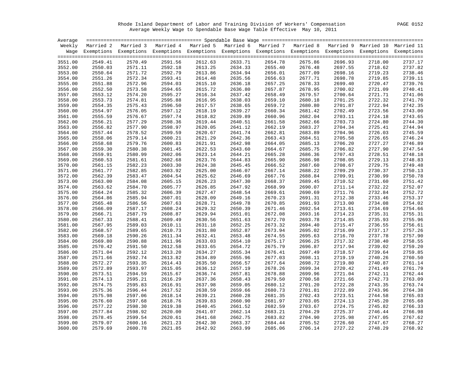Rhode Island Department of Labor and Training Division of Workers' Compensation PAGE 0152 Average Weekly Wage to Spendable Base Wage Table Effective May 10, 2011

| Average |         |                                                                                                                    |         |         |         |         |         |         |         |         |
|---------|---------|--------------------------------------------------------------------------------------------------------------------|---------|---------|---------|---------|---------|---------|---------|---------|
|         |         | Weekly Married 2 Married 3 Married 4 Married 5 Married 6 Married 7 Married 8 Married 9 Married 10 Married 11       |         |         |         |         |         |         |         |         |
|         |         | Wage Exemptions Exemptions Exemptions Exemptions Exemptions Exemptions Exemptions Exemptions Exemptions Exemptions |         |         |         |         |         |         |         |         |
|         |         |                                                                                                                    |         |         |         |         |         |         |         |         |
| 3551.00 | 2549.41 | 2570.49                                                                                                            | 2591.56 | 2612.63 | 2633.71 | 2654.78 | 2675.86 | 2696.93 | 2718.00 | 2737.17 |
| 3552.00 | 2550.03 | 2571.11                                                                                                            | 2592.18 | 2613.25 | 2634.33 | 2655.40 | 2676.48 | 2697.55 | 2718.62 | 2737.82 |
| 3553.00 | 2550.64 | 2571.72                                                                                                            | 2592.79 | 2613.86 | 2634.94 | 2656.01 | 2677.09 | 2698.16 | 2719.23 | 2738.46 |
| 3554.00 | 2551.26 | 2572.34                                                                                                            | 2593.41 | 2614.48 | 2635.56 | 2656.63 | 2677.71 | 2698.78 | 2719.85 | 2739.11 |
| 3555.00 | 2551.88 | 2572.96                                                                                                            | 2594.03 | 2615.10 | 2636.18 | 2657.25 | 2678.33 | 2699.40 | 2720.47 | 2739.76 |
| 3556.00 | 2552.50 | 2573.58                                                                                                            | 2594.65 | 2615.72 | 2636.80 | 2657.87 | 2678.95 | 2700.02 | 2721.09 | 2740.41 |
| 3557.00 | 2553.12 | 2574.20                                                                                                            | 2595.27 | 2616.34 | 2637.42 | 2658.49 | 2679.57 | 2700.64 | 2721.71 | 2741.06 |
| 3558.00 | 2553.73 | 2574.81                                                                                                            | 2595.88 | 2616.95 | 2638.03 | 2659.10 | 2680.18 | 2701.25 | 2722.32 | 2741.70 |
| 3559.00 | 2554.35 | 2575.43                                                                                                            | 2596.50 | 2617.57 | 2638.65 | 2659.72 | 2680.80 | 2701.87 | 2722.94 | 2742.35 |
| 3560.00 | 2554.97 | 2576.05                                                                                                            | 2597.12 | 2618.19 | 2639.27 | 2660.34 | 2681.42 | 2702.49 | 2723.56 | 2743.00 |
| 3561.00 | 2555.59 | 2576.67                                                                                                            | 2597.74 | 2618.82 | 2639.89 | 2660.96 | 2682.04 | 2703.11 | 2724.18 | 2743.65 |
| 3562.00 | 2556.21 | 2577.29                                                                                                            | 2598.36 | 2619.44 | 2640.51 | 2661.58 | 2682.66 | 2703.73 | 2724.80 | 2744.30 |
| 3563.00 | 2556.82 | 2577.90                                                                                                            | 2598.97 | 2620.05 | 2641.12 | 2662.19 | 2683.27 | 2704.34 | 2725.41 | 2744.94 |
| 3564.00 | 2557.44 | 2578.52                                                                                                            | 2599.59 | 2620.67 | 2641.74 | 2662.81 | 2683.89 | 2704.96 | 2726.03 | 2745.59 |
| 3565.00 | 2558.06 | 2579.14                                                                                                            | 2600.21 | 2621.29 | 2642.36 | 2663.43 | 2684.51 | 2705.58 | 2726.65 | 2746.24 |
| 3566.00 | 2558.68 | 2579.76                                                                                                            | 2600.83 | 2621.91 | 2642.98 | 2664.05 | 2685.13 | 2706.20 | 2727.27 | 2746.89 |
| 3567.00 | 2559.30 | 2580.38                                                                                                            | 2601.45 | 2622.53 | 2643.60 | 2664.67 | 2685.75 | 2706.82 | 2727.90 | 2747.54 |
| 3568.00 | 2559.91 | 2580.99                                                                                                            | 2602.06 | 2623.14 | 2644.21 | 2665.28 | 2686.36 | 2707.43 | 2728.51 | 2748.18 |
| 3569.00 | 2560.53 | 2581.61                                                                                                            | 2602.68 | 2623.76 | 2644.83 | 2665.90 | 2686.98 | 2708.05 | 2729.13 | 2748.83 |
| 3570.00 | 2561.15 | 2582.23                                                                                                            | 2603.30 | 2624.38 | 2645.45 | 2666.52 | 2687.60 | 2708.67 | 2729.75 | 2749.48 |
| 3571.00 | 2561.77 | 2582.85                                                                                                            | 2603.92 | 2625.00 | 2646.07 | 2667.14 | 2688.22 | 2709.29 | 2730.37 | 2750.13 |
| 3572.00 | 2562.39 | 2583.47                                                                                                            | 2604.54 | 2625.62 | 2646.69 | 2667.76 | 2688.84 | 2709.91 | 2730.99 | 2750.78 |
| 3573.00 | 2563.00 | 2584.08                                                                                                            | 2605.15 | 2626.23 | 2647.30 | 2668.37 | 2689.45 | 2710.52 | 2731.60 | 2751.42 |
| 3574.00 | 2563.62 | 2584.70                                                                                                            | 2605.77 | 2626.85 | 2647.92 | 2668.99 | 2690.07 | 2711.14 | 2732.22 | 2752.07 |
| 3575.00 | 2564.24 | 2585.32                                                                                                            | 2606.39 | 2627.47 | 2648.54 | 2669.61 | 2690.69 | 2711.76 | 2732.84 | 2752.72 |
| 3576.00 | 2564.86 | 2585.94                                                                                                            | 2607.01 | 2628.09 | 2649.16 | 2670.23 | 2691.31 | 2712.38 | 2733.46 | 2753.37 |
| 3577.00 | 2565.48 | 2586.56                                                                                                            | 2607.63 | 2628.71 | 2649.78 | 2670.85 | 2691.93 | 2713.00 | 2734.08 | 2754.02 |
| 3578.00 | 2566.09 | 2587.17                                                                                                            | 2608.24 | 2629.32 | 2650.39 | 2671.46 | 2692.54 | 2713.61 | 2734.69 | 2754.66 |
| 3579.00 | 2566.71 | 2587.79                                                                                                            | 2608.87 | 2629.94 | 2651.01 | 2672.08 | 2693.16 | 2714.23 | 2735.31 | 2755.31 |
| 3580.00 | 2567.33 | 2588.41                                                                                                            | 2609.49 | 2630.56 | 2651.63 | 2672.70 | 2693.78 | 2714.85 | 2735.93 | 2755.96 |
| 3581.00 | 2567.95 | 2589.03                                                                                                            | 2610.11 | 2631.18 | 2652.25 | 2673.32 | 2694.40 | 2715.47 | 2736.55 | 2756.61 |
| 3582.00 | 2568.57 | 2589.65                                                                                                            | 2610.73 | 2631.80 | 2652.87 | 2673.94 | 2695.02 | 2716.09 | 2737.17 | 2757.26 |
| 3583.00 | 2569.18 | 2590.26                                                                                                            | 2611.34 | 2632.41 | 2653.48 | 2674.55 | 2695.63 | 2716.70 | 2737.78 | 2757.90 |
| 3584.00 | 2569.80 | 2590.88                                                                                                            | 2611.96 | 2633.03 | 2654.10 | 2675.17 | 2696.25 | 2717.32 | 2738.40 | 2758.55 |
| 3585.00 | 2570.42 | 2591.50                                                                                                            | 2612.58 | 2633.65 | 2654.72 | 2675.79 | 2696.87 | 2717.94 | 2739.02 | 2759.20 |
| 3586.00 | 2571.04 | 2592.12                                                                                                            | 2613.20 | 2634.27 | 2655.34 | 2676.41 | 2697.49 | 2718.57 | 2739.64 | 2759.85 |
| 3587.00 | 2571.66 | 2592.74                                                                                                            | 2613.82 | 2634.89 | 2655.96 | 2677.03 | 2698.11 | 2719.19 | 2740.26 | 2760.50 |
| 3588.00 | 2572.27 | 2593.35                                                                                                            | 2614.43 | 2635.50 | 2656.57 | 2677.64 | 2698.72 | 2719.80 | 2740.87 | 2761.14 |
| 3589.00 | 2572.89 | 2593.97                                                                                                            | 2615.05 | 2636.12 | 2657.19 | 2678.26 | 2699.34 | 2720.42 | 2741.49 | 2761.79 |
| 3590.00 | 2573.51 | 2594.59                                                                                                            | 2615.67 | 2636.74 | 2657.81 | 2678.88 | 2699.96 | 2721.04 | 2742.11 | 2762.44 |
| 3591.00 | 2574.13 | 2595.21                                                                                                            | 2616.29 | 2637.36 | 2658.43 | 2679.50 | 2700.58 | 2721.66 | 2742.73 | 2763.09 |
| 3592.00 | 2574.75 | 2595.83                                                                                                            | 2616.91 | 2637.98 | 2659.05 | 2680.12 | 2701.20 | 2722.28 | 2743.35 | 2763.74 |
| 3593.00 | 2575.36 | 2596.44                                                                                                            | 2617.52 | 2638.59 | 2659.66 | 2680.73 | 2701.81 | 2722.89 | 2743.96 | 2764.38 |
| 3594.00 | 2575.98 | 2597.06                                                                                                            | 2618.14 | 2639.21 | 2660.28 | 2681.35 | 2702.43 | 2723.51 | 2744.58 | 2765.03 |
| 3595.00 | 2576.60 | 2597.68                                                                                                            | 2618.76 | 2639.83 | 2660.90 | 2681.97 | 2703.05 | 2724.13 | 2745.20 | 2765.68 |
| 3596.00 | 2577.22 | 2598.30                                                                                                            | 2619.38 | 2640.45 | 2661.52 | 2682.59 | 2703.67 | 2724.75 | 2745.82 | 2766.33 |
| 3597.00 | 2577.84 | 2598.92                                                                                                            | 2620.00 | 2641.07 | 2662.14 | 2683.21 | 2704.29 | 2725.37 | 2746.44 | 2766.98 |
| 3598.00 | 2578.45 | 2599.54                                                                                                            | 2620.61 | 2641.68 | 2662.75 | 2683.82 | 2704.90 | 2725.98 | 2747.05 | 2767.62 |
| 3599.00 | 2579.07 | 2600.16                                                                                                            | 2621.23 | 2642.30 | 2663.37 | 2684.44 | 2705.52 | 2726.60 | 2747.67 | 2768.27 |
| 3600.00 | 2579.69 | 2600.78                                                                                                            | 2621.85 | 2642.92 | 2663.99 | 2685.06 | 2706.14 | 2727.22 | 2748.29 | 2768.92 |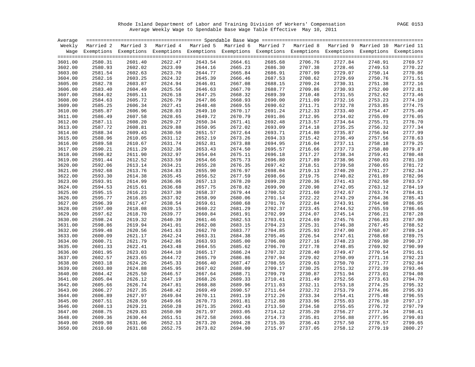Rhode Island Department of Labor and Training Division of Workers' Compensation PAGE 0153 Average Weekly Wage to Spendable Base Wage Table Effective May 10, 2011

| Average            |                    |                                                                                                                    |         |                    |                                                                                   |                    |                    |                    |                    |         |
|--------------------|--------------------|--------------------------------------------------------------------------------------------------------------------|---------|--------------------|-----------------------------------------------------------------------------------|--------------------|--------------------|--------------------|--------------------|---------|
|                    |                    | Weekly Married 2 Married 3                                                                                         |         |                    | Married 4 Married 5 Married 6 Married 7 Married 8 Married 9 Married 10 Married 11 |                    |                    |                    |                    |         |
|                    |                    | Wage Exemptions Exemptions Exemptions Exemptions Exemptions Exemptions Exemptions Exemptions Exemptions Exemptions |         |                    |                                                                                   |                    |                    |                    |                    |         |
|                    |                    |                                                                                                                    |         |                    |                                                                                   |                    |                    |                    |                    |         |
| 3601.00            | 2580.31            | 2601.40                                                                                                            | 2622.47 | 2643.54            | 2664.61                                                                           | 2685.68            | 2706.76            | 2727.84            | 2748.91            | 2769.57 |
| 3602.00            | 2580.93            | 2602.02                                                                                                            | 2623.09 | 2644.16            | 2665.23                                                                           | 2686.30            | 2707.38            | 2728.46            | 2749.53            | 2770.22 |
| 3603.00            | 2581.54            | 2602.63                                                                                                            | 2623.70 | 2644.77            | 2665.84                                                                           | 2686.91            | 2707.99            | 2729.07            | 2750.14            | 2770.86 |
| 3604.00            | 2582.16            | 2603.25                                                                                                            | 2624.32 | 2645.39            | 2666.46                                                                           | 2687.53            | 2708.62            | 2729.69            | 2750.76            | 2771.51 |
| 3605.00            | 2582.78            | 2603.87                                                                                                            | 2624.94 | 2646.01            | 2667.08                                                                           | 2688.15            | 2709.24            | 2730.31            | 2751.38            | 2772.16 |
| 3606.00            | 2583.40            | 2604.49                                                                                                            | 2625.56 | 2646.63            | 2667.70                                                                           | 2688.77            | 2709.86            | 2730.93            | 2752.00            | 2772.81 |
| 3607.00            | 2584.02            | 2605.11                                                                                                            | 2626.18 | 2647.25            | 2668.32                                                                           | 2689.39            | 2710.48            | 2731.55            | 2752.62            | 2773.46 |
| 3608.00            | 2584.63            | 2605.72                                                                                                            | 2626.79 | 2647.86            | 2668.93                                                                           | 2690.00            | 2711.09            | 2732.16            | 2753.23            | 2774.10 |
| 3609.00            | 2585.25            | 2606.34                                                                                                            | 2627.41 | 2648.48            | 2669.55                                                                           | 2690.62            | 2711.71            | 2732.78            | 2753.85            | 2774.75 |
| 3610.00            | 2585.87            | 2606.96                                                                                                            | 2628.03 | 2649.10            | 2670.17                                                                           | 2691.24            | 2712.33            | 2733.40            | 2754.47            | 2775.40 |
| 3611.00            | 2586.49            | 2607.58                                                                                                            | 2628.65 | 2649.72            | 2670.79                                                                           | 2691.86            | 2712.95            | 2734.02            | 2755.09            | 2776.05 |
| 3612.00            | 2587.11            | 2608.20                                                                                                            | 2629.27 | 2650.34            | 2671.41                                                                           | 2692.48            | 2713.57            | 2734.64            | 2755.71            | 2776.70 |
| 3613.00            | 2587.72            | 2608.81                                                                                                            | 2629.88 | 2650.95            | 2672.02                                                                           | 2693.09            | 2714.18            | 2735.25            | 2756.32            | 2777.34 |
| 3614.00            | 2588.34            | 2609.43                                                                                                            | 2630.50 | 2651.57            | 2672.64                                                                           | 2693.71            | 2714.80            | 2735.87            | 2756.94            | 2777.99 |
| 3615.00            | 2588.96            | 2610.05                                                                                                            | 2631.12 | 2652.19            | 2673.26                                                                           | 2694.33            | 2715.42            | 2736.49            | 2757.56            | 2778.63 |
| 3616.00            | 2589.58            | 2610.67                                                                                                            | 2631.74 | 2652.81            | 2673.88                                                                           | 2694.95            | 2716.04            | 2737.11            | 2758.18            | 2779.25 |
| 3617.00            | 2590.21            | 2611.29                                                                                                            | 2632.36 | 2653.43            | 2674.50                                                                           | 2695.57            | 2716.66            | 2737.73            | 2758.80            | 2779.87 |
| 3618.00            | 2590.82            | 2611.90                                                                                                            | 2632.97 | 2654.04            | 2675.11                                                                           | 2696.18            | 2717.27            | 2738.34            | 2759.41            | 2780.48 |
| 3619.00            | 2591.44            | 2612.52                                                                                                            | 2633.59 | 2654.66            | 2675.73                                                                           | 2696.80            | 2717.89            | 2738.96            | 2760.03            | 2781.10 |
| 3620.00            | 2592.06            | 2613.14                                                                                                            | 2634.21 | 2655.28            | 2676.35                                                                           | 2697.42            | 2718.51            | 2739.58            | 2760.65            | 2781.72 |
| 3621.00            | 2592.68            | 2613.76                                                                                                            | 2634.83 | 2655.90            | 2676.97                                                                           | 2698.04            | 2719.13            | 2740.20            | 2761.27            | 2782.34 |
| 3622.00            | 2593.30            | 2614.38                                                                                                            | 2635.45 | 2656.52            | 2677.59                                                                           | 2698.66            | 2719.75            | 2740.82            | 2761.89            | 2782.96 |
| 3623.00            | 2593.91            | 2614.99                                                                                                            | 2636.06 | 2657.13            | 2678.20                                                                           | 2699.28            | 2720.36            | 2741.43            | 2762.50            | 2783.57 |
| 3624.00            | 2594.53            | 2615.61                                                                                                            | 2636.68 | 2657.75            | 2678.82                                                                           | 2699.90            | 2720.98            | 2742.05            | 2763.12            | 2784.19 |
| 3625.00            | 2595.15            | 2616.23                                                                                                            | 2637.30 | 2658.37            | 2679.44                                                                           | 2700.52            | 2721.60            | 2742.67            | 2763.74            | 2784.81 |
| 3626.00            | 2595.77            | 2616.85                                                                                                            | 2637.92 | 2658.99            | 2680.06                                                                           | 2701.14            | 2722.22            | 2743.29            | 2764.36            | 2785.43 |
| 3627.00            | 2596.39            | 2617.47                                                                                                            | 2638.54 | 2659.61            | 2680.68                                                                           | 2701.76            | 2722.84            | 2743.91            | 2764.98            | 2786.05 |
| 3628.00            | 2597.00            | 2618.08                                                                                                            | 2639.15 | 2660.22            | 2681.29                                                                           | 2702.37            | 2723.45            | 2744.52            | 2765.59            | 2786.66 |
| 3629.00            | 2597.62            | 2618.70                                                                                                            | 2639.77 | 2660.84            | 2681.91                                                                           | 2702.99            | 2724.07            | 2745.14            | 2766.21            | 2787.28 |
| 3630.00            | 2598.24            | 2619.32                                                                                                            | 2640.39 | 2661.46            | 2682.53                                                                           | 2703.61            | 2724.69            | 2745.76            | 2766.83            | 2787.90 |
| 3631.00            | 2598.86            | 2619.94                                                                                                            | 2641.01 | 2662.08            | 2683.15                                                                           | 2704.23            | 2725.31            | 2746.38            | 2767.45            | 2788.52 |
| 3632.00            | 2599.48            | 2620.56                                                                                                            | 2641.63 | 2662.70            | 2683.77                                                                           | 2704.85            | 2725.93            | 2747.00            | 2768.07            | 2789.14 |
| 3633.00            | 2600.09            | 2621.17                                                                                                            | 2642.24 | 2663.31            | 2684.38                                                                           | 2705.46            | 2726.54            | 2747.61            | 2768.68            | 2789.75 |
| 3634.00            | 2600.71            | 2621.79                                                                                                            | 2642.86 | 2663.93            | 2685.00                                                                           | 2706.08            | 2727.16            | 2748.23            | 2769.30            | 2790.37 |
| 3635.00            | 2601.33            | 2622.41                                                                                                            | 2643.48 | 2664.55            | 2685.62                                                                           | 2706.70            | 2727.78            | 2748.85            | 2769.92            | 2790.99 |
| 3636.00            | 2601.95            | 2623.03                                                                                                            | 2644.10 | 2665.17            | 2686.24                                                                           | 2707.32            | 2728.40            | 2749.47            | 2770.54            | 2791.61 |
| 3637.00            | 2602.57            | 2623.65                                                                                                            | 2644.72 | 2665.79            | 2686.86                                                                           | 2707.94            | 2729.02            | 2750.09            | 2771.16            | 2792.23 |
| 3638.00            | 2603.18            | 2624.26                                                                                                            | 2645.33 | 2666.40            | 2687.47                                                                           | 2708.55            | 2729.63            | 2750.70            | 2771.77            | 2792.84 |
| 3639.00            | 2603.80            | 2624.88                                                                                                            | 2645.95 | 2667.02            | 2688.09                                                                           | 2709.17            | 2730.25            | 2751.32            | 2772.39            | 2793.46 |
| 3640.00            | 2604.42            | 2625.50                                                                                                            | 2646.57 | 2667.64            | 2688.71                                                                           | 2709.79            | 2730.87            | 2751.94            | 2773.01            | 2794.08 |
| 3641.00            | 2605.04            | 2626.12                                                                                                            | 2647.19 | 2668.26            | 2689.33                                                                           | 2710.41            | 2731.49            | 2752.56            | 2773.63            | 2794.70 |
| 3642.00            | 2605.66            | 2626.74                                                                                                            | 2647.81 | 2668.88            | 2689.96                                                                           | 2711.03            | 2732.11            | 2753.18            | 2774.25            | 2795.32 |
|                    |                    |                                                                                                                    |         |                    |                                                                                   |                    |                    |                    |                    | 2795.93 |
| 3643.00            | 2606.27            | 2627.35<br>2627.97                                                                                                 | 2648.42 | 2669.49            | 2690.57                                                                           | 2711.64            | 2732.72<br>2733.34 | 2753.79            | 2774.86            | 2796.55 |
| 3644.00            | 2606.89            | 2628.59                                                                                                            | 2649.04 | 2670.11            | 2691.19                                                                           | 2712.26            |                    | 2754.41            | 2775.48            | 2797.17 |
| 3645.00<br>3646.00 | 2607.51<br>2608.13 | 2629.21                                                                                                            | 2649.66 | 2670.73<br>2671.35 | 2691.81                                                                           | 2712.88<br>2713.50 | 2733.96<br>2734.58 | 2755.03<br>2755.65 | 2776.10<br>2776.72 | 2797.79 |
|                    |                    |                                                                                                                    | 2650.28 |                    | 2692.43                                                                           |                    |                    |                    |                    | 2798.41 |
| 3647.00            | 2608.75            | 2629.83                                                                                                            | 2650.90 | 2671.97            | 2693.05                                                                           | 2714.12            | 2735.20            | 2756.27            | 2777.34            | 2799.03 |
| 3648.00            | 2609.36            | 2630.44                                                                                                            | 2651.51 | 2672.58            | 2693.66                                                                           | 2714.73            | 2735.81            | 2756.88            | 2777.95            |         |
| 3649.00            | 2609.98            | 2631.06                                                                                                            | 2652.13 | 2673.20            | 2694.28                                                                           | 2715.35            | 2736.43            | 2757.50            | 2778.57            | 2799.65 |
| 3650.00            | 2610.60            | 2631.68                                                                                                            | 2652.75 | 2673.82            | 2694.90                                                                           | 2715.97            | 2737.05            | 2758.12            | 2779.19            | 2800.27 |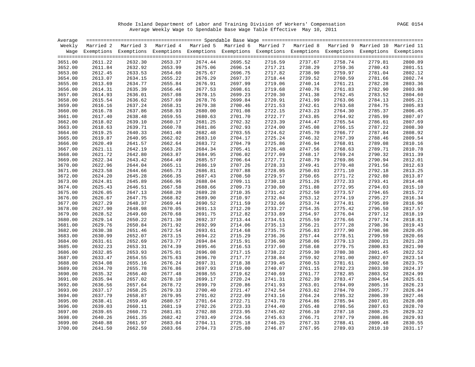Rhode Island Department of Labor and Training Division of Workers' Compensation PAGE 0154 Average Weekly Wage to Spendable Base Wage Table Effective May 10, 2011

| Average |         |                                                                                                                    |         |         |         |         |         |         |         |         |
|---------|---------|--------------------------------------------------------------------------------------------------------------------|---------|---------|---------|---------|---------|---------|---------|---------|
|         |         | Weekly Married 2 Married 3 Married 4 Married 5 Married 6 Married 7 Married 8 Married 9 Married 10 Married 11       |         |         |         |         |         |         |         |         |
|         |         | Wage Exemptions Exemptions Exemptions Exemptions Exemptions Exemptions Exemptions Exemptions Exemptions Exemptions |         |         |         |         |         |         |         |         |
|         |         |                                                                                                                    |         |         |         |         |         |         |         |         |
| 3651.00 | 2611.22 | 2632.30                                                                                                            | 2653.37 | 2674.44 | 2695.52 | 2716.59 | 2737.67 | 2758.74 | 2779.81 | 2800.89 |
| 3652.00 | 2611.84 | 2632.92                                                                                                            | 2653.99 | 2675.06 | 2696.14 | 2717.21 | 2738.29 | 2759.36 | 2780.43 | 2801.51 |
| 3653.00 | 2612.45 | 2633.53                                                                                                            | 2654.60 | 2675.67 | 2696.75 | 2717.82 | 2738.90 | 2759.97 | 2781.04 | 2802.12 |
| 3654.00 | 2613.07 | 2634.15                                                                                                            | 2655.22 | 2676.29 | 2697.37 | 2718.44 | 2739.52 | 2760.59 | 2781.66 | 2802.74 |
| 3655.00 | 2613.69 | 2634.77                                                                                                            | 2655.84 | 2676.91 | 2697.99 | 2719.06 | 2740.14 | 2761.21 | 2782.28 | 2803.36 |
| 3656.00 | 2614.31 | 2635.39                                                                                                            | 2656.46 | 2677.53 | 2698.61 | 2719.68 | 2740.76 | 2761.83 | 2782.90 | 2803.98 |
| 3657.00 | 2614.93 | 2636.01                                                                                                            | 2657.08 | 2678.15 | 2699.23 | 2720.30 | 2741.38 | 2762.45 | 2783.52 | 2804.60 |
| 3658.00 | 2615.54 | 2636.62                                                                                                            | 2657.69 | 2678.76 | 2699.84 | 2720.91 | 2741.99 | 2763.06 | 2784.13 | 2805.21 |
| 3659.00 | 2616.16 | 2637.24                                                                                                            | 2658.31 | 2679.38 | 2700.46 | 2721.53 | 2742.61 | 2763.68 | 2784.75 | 2805.83 |
| 3660.00 | 2616.78 | 2637.86                                                                                                            | 2658.93 | 2680.00 | 2701.08 | 2722.15 | 2743.23 | 2764.30 | 2785.37 | 2806.45 |
| 3661.00 | 2617.40 | 2638.48                                                                                                            | 2659.55 | 2680.63 | 2701.70 | 2722.77 | 2743.85 | 2764.92 | 2785.99 | 2807.07 |
| 3662.00 | 2618.02 | 2639.10                                                                                                            | 2660.17 | 2681.25 | 2702.32 | 2723.39 | 2744.47 | 2765.54 | 2786.61 | 2807.69 |
| 3663.00 | 2618.63 | 2639.71                                                                                                            | 2660.78 | 2681.86 | 2702.93 | 2724.00 | 2745.08 | 2766.15 | 2787.22 | 2808.30 |
| 3664.00 | 2619.25 | 2640.33                                                                                                            | 2661.40 | 2682.48 | 2703.55 | 2724.62 | 2745.70 | 2766.77 | 2787.84 | 2808.92 |
| 3665.00 | 2619.87 | 2640.95                                                                                                            | 2662.02 | 2683.10 | 2704.17 | 2725.24 | 2746.32 | 2767.39 | 2788.46 | 2809.54 |
| 3666.00 | 2620.49 | 2641.57                                                                                                            | 2662.64 | 2683.72 | 2704.79 | 2725.86 | 2746.94 | 2768.01 | 2789.08 | 2810.16 |
| 3667.00 | 2621.11 | 2642.19                                                                                                            | 2663.26 | 2684.34 | 2705.41 | 2726.48 | 2747.56 | 2768.63 | 2789.71 | 2810.78 |
| 3668.00 | 2621.72 | 2642.80                                                                                                            | 2663.87 | 2684.95 | 2706.02 | 2727.09 | 2748.17 | 2769.24 | 2790.32 | 2811.39 |
| 3669.00 | 2622.34 | 2643.42                                                                                                            | 2664.49 | 2685.57 | 2706.64 | 2727.71 | 2748.79 | 2769.86 | 2790.94 | 2812.01 |
| 3670.00 | 2622.96 | 2644.04                                                                                                            | 2665.11 | 2686.19 | 2707.26 | 2728.33 | 2749.41 | 2770.48 | 2791.56 | 2812.63 |
| 3671.00 | 2623.58 | 2644.66                                                                                                            | 2665.73 | 2686.81 | 2707.88 | 2728.95 | 2750.03 | 2771.10 | 2792.18 | 2813.25 |
| 3672.00 | 2624.20 | 2645.28                                                                                                            | 2666.35 | 2687.43 | 2708.50 | 2729.57 | 2750.65 | 2771.72 | 2792.80 | 2813.87 |
| 3673.00 | 2624.81 | 2645.89                                                                                                            | 2666.96 | 2688.04 | 2709.11 | 2730.18 | 2751.26 | 2772.33 | 2793.41 | 2814.48 |
|         |         |                                                                                                                    |         |         |         | 2730.80 | 2751.88 | 2772.95 |         | 2815.10 |
| 3674.00 | 2625.43 | 2646.51                                                                                                            | 2667.58 | 2688.66 | 2709.73 |         |         |         | 2794.03 |         |
| 3675.00 | 2626.05 | 2647.13                                                                                                            | 2668.20 | 2689.28 | 2710.35 | 2731.42 | 2752.50 | 2773.57 | 2794.65 | 2815.72 |
| 3676.00 | 2626.67 | 2647.75                                                                                                            | 2668.82 | 2689.90 | 2710.97 | 2732.04 | 2753.12 | 2774.19 | 2795.27 | 2816.34 |
| 3677.00 | 2627.29 | 2648.37                                                                                                            | 2669.44 | 2690.52 | 2711.59 | 2732.66 | 2753.74 | 2774.81 | 2795.89 | 2816.96 |
| 3678.00 | 2627.90 | 2648.98                                                                                                            | 2670.05 | 2691.13 | 2712.20 | 2733.27 | 2754.35 | 2775.42 | 2796.50 | 2817.57 |
| 3679.00 | 2628.52 | 2649.60                                                                                                            | 2670.68 | 2691.75 | 2712.82 | 2733.89 | 2754.97 | 2776.04 | 2797.12 | 2818.19 |
| 3680.00 | 2629.14 | 2650.22                                                                                                            | 2671.30 | 2692.37 | 2713.44 | 2734.51 | 2755.59 | 2776.66 | 2797.74 | 2818.81 |
| 3681.00 | 2629.76 | 2650.84                                                                                                            | 2671.92 | 2692.99 | 2714.06 | 2735.13 | 2756.21 | 2777.28 | 2798.36 | 2819.43 |
| 3682.00 | 2630.38 | 2651.46                                                                                                            | 2672.54 | 2693.61 | 2714.68 | 2735.75 | 2756.83 | 2777.90 | 2798.98 | 2820.05 |
| 3683.00 | 2630.99 | 2652.07                                                                                                            | 2673.15 | 2694.22 | 2715.29 | 2736.36 | 2757.44 | 2778.51 | 2799.59 | 2820.66 |
| 3684.00 | 2631.61 | 2652.69                                                                                                            | 2673.77 | 2694.84 | 2715.91 | 2736.98 | 2758.06 | 2779.13 | 2800.21 | 2821.28 |
| 3685.00 | 2632.23 | 2653.31                                                                                                            | 2674.39 | 2695.46 | 2716.53 | 2737.60 | 2758.68 | 2779.75 | 2800.83 | 2821.90 |
| 3686.00 | 2632.85 | 2653.93                                                                                                            | 2675.01 | 2696.08 | 2717.15 | 2738.22 | 2759.30 | 2780.38 | 2801.45 | 2822.52 |
| 3687.00 | 2633.47 | 2654.55                                                                                                            | 2675.63 | 2696.70 | 2717.77 | 2738.84 | 2759.92 | 2781.00 | 2802.07 | 2823.14 |
| 3688.00 | 2634.08 | 2655.16                                                                                                            | 2676.24 | 2697.31 | 2718.38 | 2739.45 | 2760.53 | 2781.61 | 2802.68 | 2823.75 |
| 3689.00 | 2634.70 | 2655.78                                                                                                            | 2676.86 | 2697.93 | 2719.00 | 2740.07 | 2761.15 | 2782.23 | 2803.30 | 2824.37 |
| 3690.00 | 2635.32 | 2656.40                                                                                                            | 2677.48 | 2698.55 | 2719.62 | 2740.69 | 2761.77 | 2782.85 | 2803.92 | 2824.99 |
| 3691.00 | 2635.94 | 2657.02                                                                                                            | 2678.10 | 2699.17 | 2720.24 | 2741.31 | 2762.39 | 2783.47 | 2804.54 | 2825.61 |
| 3692.00 | 2636.56 | 2657.64                                                                                                            | 2678.72 | 2699.79 | 2720.86 | 2741.93 | 2763.01 | 2784.09 | 2805.16 | 2826.23 |
| 3693.00 | 2637.17 | 2658.25                                                                                                            | 2679.33 | 2700.40 | 2721.47 | 2742.54 | 2763.62 | 2784.70 | 2805.77 | 2826.84 |
| 3694.00 | 2637.79 | 2658.87                                                                                                            | 2679.95 | 2701.02 | 2722.09 | 2743.16 | 2764.24 | 2785.32 | 2806.39 | 2827.46 |
| 3695.00 | 2638.41 | 2659.49                                                                                                            | 2680.57 | 2701.64 | 2722.71 | 2743.78 | 2764.86 | 2785.94 | 2807.01 | 2828.08 |
| 3696.00 | 2639.03 | 2660.11                                                                                                            | 2681.19 | 2702.26 | 2723.33 | 2744.40 | 2765.48 | 2786.56 | 2807.63 | 2828.70 |
| 3697.00 | 2639.65 | 2660.73                                                                                                            | 2681.81 | 2702.88 | 2723.95 | 2745.02 | 2766.10 | 2787.18 | 2808.25 | 2829.32 |
| 3698.00 | 2640.26 | 2661.35                                                                                                            | 2682.42 | 2703.49 | 2724.56 | 2745.63 | 2766.71 | 2787.79 | 2808.86 | 2829.93 |
| 3699.00 | 2640.88 | 2661.97                                                                                                            | 2683.04 | 2704.11 | 2725.18 | 2746.25 | 2767.33 | 2788.41 | 2809.48 | 2830.55 |
| 3700.00 | 2641.50 | 2662.59                                                                                                            | 2683.66 | 2704.73 | 2725.80 | 2746.87 | 2767.95 | 2789.03 | 2810.10 | 2831.17 |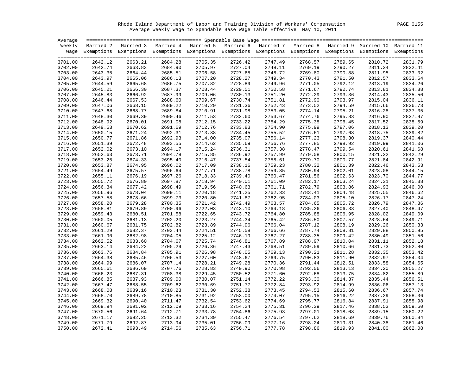Rhode Island Department of Labor and Training Division of Workers' Compensation PAGE 0155 Average Weekly Wage to Spendable Base Wage Table Effective May 10, 2011

| Average |         |                     |         |                                                                                                                    |         |         |         |         |         |         |
|---------|---------|---------------------|---------|--------------------------------------------------------------------------------------------------------------------|---------|---------|---------|---------|---------|---------|
| Weekly  |         | Married 2 Married 3 |         | Married 4 Married 5 Married 6 Married 7 Married 8 Married 9 Married 10 Married 11                                  |         |         |         |         |         |         |
|         |         |                     |         | Wage Exemptions Exemptions Exemptions Exemptions Exemptions Exemptions Exemptions Exemptions Exemptions Exemptions |         |         |         |         |         |         |
| 3701.00 | 2642.12 | 2663.21             | 2684.28 | 2705.35                                                                                                            | 2726.42 | 2747.49 | 2768.57 | 2789.65 | 2810.72 | 2831.79 |
| 3702.00 | 2642.74 | 2663.83             | 2684.90 | 2705.97                                                                                                            | 2727.04 | 2748.11 | 2769.19 | 2790.27 | 2811.34 | 2832.41 |
| 3703.00 | 2643.35 | 2664.44             | 2685.51 | 2706.58                                                                                                            | 2727.65 | 2748.72 | 2769.80 | 2790.88 | 2811.95 | 2833.02 |
| 3704.00 | 2643.97 | 2665.06             | 2686.13 | 2707.20                                                                                                            | 2728.27 | 2749.34 | 2770.43 | 2791.50 | 2812.57 | 2833.64 |
| 3705.00 | 2644.59 | 2665.68             | 2686.75 | 2707.82                                                                                                            | 2728.89 | 2749.96 | 2771.05 | 2792.12 | 2813.19 | 2834.26 |
| 3706.00 | 2645.21 | 2666.30             | 2687.37 | 2708.44                                                                                                            | 2729.51 | 2750.58 | 2771.67 | 2792.74 | 2813.81 | 2834.88 |
| 3707.00 | 2645.83 | 2666.92             | 2687.99 | 2709.06                                                                                                            | 2730.13 | 2751.20 | 2772.29 | 2793.36 | 2814.43 | 2835.50 |
| 3708.00 | 2646.44 | 2667.53             | 2688.60 | 2709.67                                                                                                            | 2730.74 | 2751.81 | 2772.90 | 2793.97 | 2815.04 | 2836.11 |
| 3709.00 | 2647.06 | 2668.15             | 2689.22 | 2710.29                                                                                                            | 2731.36 | 2752.43 | 2773.52 | 2794.59 | 2815.66 | 2836.73 |
| 3710.00 | 2647.68 | 2668.77             | 2689.84 | 2710.91                                                                                                            | 2731.98 | 2753.05 | 2774.14 | 2795.21 | 2816.28 | 2837.35 |
| 3711.00 | 2648.30 | 2669.39             | 2690.46 | 2711.53                                                                                                            | 2732.60 | 2753.67 | 2774.76 | 2795.83 | 2816.90 | 2837.97 |
| 3712.00 | 2648.92 | 2670.01             | 2691.08 | 2712.15                                                                                                            | 2733.22 | 2754.29 | 2775.38 | 2796.45 | 2817.52 | 2838.59 |
| 3713.00 | 2649.53 | 2670.62             | 2691.69 | 2712.76                                                                                                            | 2733.83 | 2754.90 | 2775.99 | 2797.06 | 2818.13 | 2839.20 |
| 3714.00 | 2650.15 | 2671.24             | 2692.31 | 2713.38                                                                                                            | 2734.45 | 2755.52 | 2776.61 | 2797.68 | 2818.75 | 2839.82 |
| 3715.00 | 2650.77 | 2671.86             | 2692.93 | 2714.00                                                                                                            | 2735.07 | 2756.14 | 2777.23 | 2798.30 | 2819.37 | 2840.44 |
| 3716.00 | 2651.39 | 2672.48             | 2693.55 | 2714.62                                                                                                            | 2735.69 | 2756.76 | 2777.85 | 2798.92 | 2819.99 | 2841.06 |
| 3717.00 | 2652.02 | 2673.10             | 2694.17 | 2715.24                                                                                                            | 2736.31 | 2757.38 | 2778.47 | 2799.54 | 2820.61 | 2841.68 |
| 3718.00 | 2652.63 | 2673.71             | 2694.78 | 2715.85                                                                                                            | 2736.92 | 2757.99 | 2779.08 | 2800.15 | 2821.22 | 2842.29 |
| 3719.00 | 2653.25 | 2674.33             | 2695.40 | 2716.47                                                                                                            | 2737.54 | 2758.61 | 2779.70 | 2800.77 | 2821.84 | 2842.91 |
| 3720.00 | 2653.87 | 2674.95             | 2696.02 | 2717.09                                                                                                            | 2738.16 | 2759.23 | 2780.32 | 2801.39 | 2822.46 | 2843.53 |
| 3721.00 | 2654.49 | 2675.57             | 2696.64 | 2717.71                                                                                                            | 2738.78 | 2759.85 | 2780.94 | 2802.01 | 2823.08 | 2844.15 |
| 3722.00 | 2655.11 | 2676.19             | 2697.26 | 2718.33                                                                                                            | 2739.40 | 2760.47 | 2781.56 | 2802.63 | 2823.70 | 2844.77 |
| 3723.00 | 2655.72 | 2676.80             | 2697.87 | 2718.94                                                                                                            | 2740.01 | 2761.09 | 2782.17 | 2803.24 | 2824.31 | 2845.38 |
| 3724.00 | 2656.34 | 2677.42             | 2698.49 | 2719.56                                                                                                            | 2740.63 | 2761.71 | 2782.79 | 2803.86 | 2824.93 | 2846.00 |
| 3725.00 | 2656.96 | 2678.04             | 2699.11 | 2720.18                                                                                                            | 2741.25 | 2762.33 | 2783.41 | 2804.48 | 2825.55 | 2846.62 |
| 3726.00 | 2657.58 | 2678.66             | 2699.73 | 2720.80                                                                                                            | 2741.87 | 2762.95 | 2784.03 | 2805.10 | 2826.17 | 2847.24 |
| 3727.00 | 2658.20 | 2679.28             | 2700.35 | 2721.42                                                                                                            | 2742.49 | 2763.57 | 2784.65 | 2805.72 | 2826.79 | 2847.86 |
| 3728.00 | 2658.81 | 2679.89             | 2700.96 | 2722.03                                                                                                            | 2743.10 | 2764.18 | 2785.26 | 2806.33 | 2827.40 | 2848.47 |
| 3729.00 | 2659.43 | 2680.51             | 2701.58 | 2722.65                                                                                                            | 2743.72 | 2764.80 | 2785.88 | 2806.95 | 2828.02 | 2849.09 |
| 3730.00 | 2660.05 | 2681.13             | 2702.20 | 2723.27                                                                                                            | 2744.34 | 2765.42 | 2786.50 | 2807.57 | 2828.64 | 2849.71 |
| 3731.00 | 2660.67 | 2681.75             | 2702.82 | 2723.89                                                                                                            | 2744.96 | 2766.04 | 2787.12 | 2808.19 | 2829.26 | 2850.33 |
| 3732.00 | 2661.29 | 2682.37             | 2703.44 | 2724.51                                                                                                            | 2745.58 | 2766.66 | 2787.74 | 2808.81 | 2829.88 | 2850.95 |
| 3733.00 | 2661.90 | 2682.98             | 2704.05 | 2725.12                                                                                                            | 2746.19 | 2767.27 | 2788.35 | 2809.42 | 2830.49 | 2851.56 |
| 3734.00 | 2662.52 | 2683.60             | 2704.67 | 2725.74                                                                                                            | 2746.81 | 2767.89 | 2788.97 | 2810.04 | 2831.11 | 2852.18 |
| 3735.00 | 2663.14 | 2684.22             | 2705.29 | 2726.36                                                                                                            | 2747.43 | 2768.51 | 2789.59 | 2810.66 | 2831.73 | 2852.80 |
| 3736.00 | 2663.76 | 2684.84             | 2705.91 | 2726.98                                                                                                            | 2748.05 | 2769.13 | 2790.21 | 2811.28 | 2832.35 | 2853.42 |
| 3737.00 | 2664.38 | 2685.46             | 2706.53 | 2727.60                                                                                                            | 2748.67 | 2769.75 | 2790.83 | 2811.90 | 2832.97 | 2854.04 |
| 3738.00 | 2664.99 | 2686.07             | 2707.14 | 2728.21                                                                                                            | 2749.28 | 2770.36 | 2791.44 | 2812.51 | 2833.58 | 2854.65 |
| 3739.00 | 2665.61 | 2686.69             | 2707.76 | 2728.83                                                                                                            | 2749.90 | 2770.98 | 2792.06 | 2813.13 | 2834.20 | 2855.27 |
| 3740.00 | 2666.23 | 2687.31             | 2708.38 | 2729.45                                                                                                            | 2750.52 | 2771.60 | 2792.68 | 2813.75 | 2834.82 | 2855.89 |
| 3741.00 | 2666.85 | 2687.93             | 2709.00 | 2730.07                                                                                                            | 2751.14 | 2772.22 | 2793.30 | 2814.37 | 2835.44 | 2856.51 |
| 3742.00 | 2667.47 | 2688.55             | 2709.62 | 2730.69                                                                                                            | 2751.77 | 2772.84 | 2793.92 | 2814.99 | 2836.06 | 2857.13 |
| 3743.00 | 2668.08 | 2689.16             | 2710.23 | 2731.30                                                                                                            | 2752.38 | 2773.45 | 2794.53 | 2815.60 | 2836.67 | 2857.74 |
| 3744.00 | 2668.70 | 2689.78             | 2710.85 | 2731.92                                                                                                            | 2753.00 | 2774.07 | 2795.15 | 2816.22 | 2837.29 | 2858.36 |
| 3745.00 | 2669.32 | 2690.40             | 2711.47 | 2732.54                                                                                                            | 2753.62 | 2774.69 | 2795.77 | 2816.84 | 2837.91 | 2858.98 |
| 3746.00 | 2669.94 | 2691.02             | 2712.09 | 2733.16                                                                                                            | 2754.24 | 2775.31 | 2796.39 | 2817.46 | 2838.53 | 2859.60 |
| 3747.00 | 2670.56 | 2691.64             | 2712.71 | 2733.78                                                                                                            | 2754.86 | 2775.93 | 2797.01 | 2818.08 | 2839.15 | 2860.22 |
| 3748.00 | 2671.17 | 2692.25             | 2713.32 | 2734.39                                                                                                            | 2755.47 | 2776.54 | 2797.62 | 2818.69 | 2839.76 | 2860.84 |
| 3749.00 | 2671.79 | 2692.87             | 2713.94 | 2735.01                                                                                                            | 2756.09 | 2777.16 | 2798.24 | 2819.31 | 2840.38 | 2861.46 |
| 3750.00 | 2672.41 | 2693.49             | 2714.56 | 2735.63                                                                                                            | 2756.71 | 2777.78 | 2798.86 | 2819.93 | 2841.00 | 2862.08 |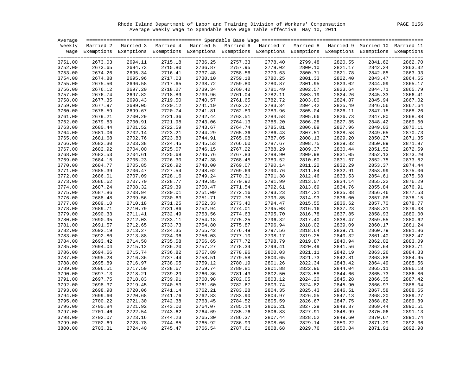Rhode Island Department of Labor and Training Division of Workers' Compensation PAGE 0156 Average Weekly Wage to Spendable Base Wage Table Effective May 10, 2011

| Average |         |                                                                                                                    |         |         |         |         |         |         |         |         |
|---------|---------|--------------------------------------------------------------------------------------------------------------------|---------|---------|---------|---------|---------|---------|---------|---------|
|         |         | Weekly Married 2 Married 3 Married 4 Married 5 Married 6 Married 7 Married 8 Married 9 Married 10 Married 11       |         |         |         |         |         |         |         |         |
|         |         | Wage Exemptions Exemptions Exemptions Exemptions Exemptions Exemptions Exemptions Exemptions Exemptions Exemptions |         |         |         |         |         |         |         |         |
|         |         |                                                                                                                    |         |         |         |         |         |         |         |         |
| 3751.00 | 2673.03 | 2694.11                                                                                                            | 2715.18 | 2736.25 | 2757.33 | 2778.40 | 2799.48 | 2820.55 | 2841.62 | 2862.70 |
| 3752.00 | 2673.65 | 2694.73                                                                                                            | 2715.80 | 2736.87 | 2757.95 | 2779.02 | 2800.10 | 2821.17 | 2842.24 | 2863.32 |
| 3753.00 | 2674.26 | 2695.34                                                                                                            | 2716.41 | 2737.48 | 2758.56 | 2779.63 | 2800.71 | 2821.78 | 2842.85 | 2863.93 |
| 3754.00 | 2674.88 | 2695.96                                                                                                            | 2717.03 | 2738.10 | 2759.18 | 2780.25 | 2801.33 | 2822.40 | 2843.47 | 2864.55 |
| 3755.00 | 2675.50 | 2696.58                                                                                                            | 2717.65 | 2738.72 | 2759.80 | 2780.87 | 2801.95 | 2823.02 | 2844.09 | 2865.17 |
| 3756.00 | 2676.12 | 2697.20                                                                                                            | 2718.27 | 2739.34 | 2760.42 | 2781.49 | 2802.57 | 2823.64 | 2844.71 | 2865.79 |
| 3757.00 | 2676.74 | 2697.82                                                                                                            | 2718.89 | 2739.96 | 2761.04 | 2782.11 | 2803.19 | 2824.26 | 2845.33 | 2866.41 |
| 3758.00 | 2677.35 | 2698.43                                                                                                            | 2719.50 | 2740.57 | 2761.65 | 2782.72 | 2803.80 | 2824.87 | 2845.94 | 2867.02 |
| 3759.00 | 2677.97 | 2699.05                                                                                                            | 2720.12 | 2741.19 | 2762.27 | 2783.34 | 2804.42 | 2825.49 | 2846.56 | 2867.64 |
| 3760.00 | 2678.59 | 2699.67                                                                                                            | 2720.74 | 2741.81 | 2762.89 | 2783.96 | 2805.04 | 2826.11 | 2847.18 | 2868.26 |
| 3761.00 | 2679.21 | 2700.29                                                                                                            | 2721.36 | 2742.44 | 2763.51 | 2784.58 | 2805.66 | 2826.73 | 2847.80 | 2868.88 |
| 3762.00 | 2679.83 | 2700.91                                                                                                            | 2721.98 | 2743.06 | 2764.13 | 2785.20 | 2806.28 | 2827.35 | 2848.42 | 2869.50 |
| 3763.00 | 2680.44 | 2701.52                                                                                                            | 2722.59 | 2743.67 | 2764.74 | 2785.81 | 2806.89 | 2827.96 | 2849.03 | 2870.11 |
| 3764.00 | 2681.06 | 2702.14                                                                                                            | 2723.21 | 2744.29 | 2765.36 | 2786.43 | 2807.51 | 2828.58 | 2849.65 | 2870.73 |
| 3765.00 | 2681.68 | 2702.76                                                                                                            | 2723.83 | 2744.91 | 2765.98 | 2787.05 | 2808.13 | 2829.20 | 2850.27 | 2871.35 |
| 3766.00 | 2682.30 | 2703.38                                                                                                            | 2724.45 | 2745.53 | 2766.60 | 2787.67 | 2808.75 | 2829.82 | 2850.89 | 2871.97 |
| 3767.00 | 2682.92 | 2704.00                                                                                                            | 2725.07 | 2746.15 | 2767.22 | 2788.29 | 2809.37 | 2830.44 | 2851.52 | 2872.59 |
| 3768.00 | 2683.53 | 2704.61                                                                                                            | 2725.68 | 2746.76 | 2767.83 | 2788.90 | 2809.98 | 2831.05 | 2852.13 | 2873.20 |
| 3769.00 | 2684.15 | 2705.23                                                                                                            | 2726.30 | 2747.38 | 2768.45 | 2789.52 | 2810.60 | 2831.67 | 2852.75 | 2873.82 |
| 3770.00 | 2684.77 | 2705.85                                                                                                            | 2726.92 | 2748.00 | 2769.07 | 2790.14 | 2811.22 | 2832.29 | 2853.37 | 2874.44 |
| 3771.00 | 2685.39 | 2706.47                                                                                                            | 2727.54 | 2748.62 | 2769.69 | 2790.76 | 2811.84 | 2832.91 | 2853.99 | 2875.06 |
| 3772.00 | 2686.01 | 2707.09                                                                                                            | 2728.16 | 2749.24 | 2770.31 | 2791.38 | 2812.46 | 2833.53 | 2854.61 | 2875.68 |
| 3773.00 | 2686.62 | 2707.70                                                                                                            | 2728.77 | 2749.85 | 2770.92 | 2791.99 | 2813.07 | 2834.14 | 2855.22 | 2876.29 |
| 3774.00 | 2687.24 | 2708.32                                                                                                            | 2729.39 | 2750.47 | 2771.54 | 2792.61 | 2813.69 | 2834.76 | 2855.84 | 2876.91 |
| 3775.00 | 2687.86 | 2708.94                                                                                                            | 2730.01 | 2751.09 | 2772.16 | 2793.23 | 2814.31 | 2835.38 | 2856.46 | 2877.53 |
| 3776.00 | 2688.48 | 2709.56                                                                                                            | 2730.63 | 2751.71 | 2772.78 | 2793.85 | 2814.93 | 2836.00 | 2857.08 | 2878.15 |
| 3777.00 | 2689.10 | 2710.18                                                                                                            | 2731.25 | 2752.33 | 2773.40 | 2794.47 | 2815.55 | 2836.62 | 2857.70 | 2878.77 |
| 3778.00 | 2689.71 | 2710.79                                                                                                            | 2731.86 | 2752.94 | 2774.01 | 2795.08 | 2816.16 | 2837.23 | 2858.31 | 2879.38 |
| 3779.00 | 2690.33 | 2711.41                                                                                                            | 2732.49 | 2753.56 | 2774.63 | 2795.70 | 2816.78 | 2837.85 | 2858.93 | 2880.00 |
| 3780.00 | 2690.95 | 2712.03                                                                                                            | 2733.11 | 2754.18 | 2775.25 | 2796.32 | 2817.40 | 2838.47 | 2859.55 | 2880.62 |
| 3781.00 | 2691.57 | 2712.65                                                                                                            | 2733.73 | 2754.80 | 2775.87 | 2796.94 | 2818.02 | 2839.09 | 2860.17 | 2881.24 |
| 3782.00 | 2692.19 | 2713.27                                                                                                            | 2734.35 | 2755.42 | 2776.49 | 2797.56 | 2818.64 | 2839.71 | 2860.79 | 2881.86 |
| 3783.00 | 2692.80 | 2713.88                                                                                                            | 2734.96 | 2756.03 | 2777.10 | 2798.17 | 2819.25 | 2840.32 | 2861.40 | 2882.47 |
| 3784.00 | 2693.42 | 2714.50                                                                                                            | 2735.58 | 2756.65 | 2777.72 | 2798.79 | 2819.87 | 2840.94 | 2862.02 | 2883.09 |
| 3785.00 | 2694.04 | 2715.12                                                                                                            | 2736.20 | 2757.27 | 2778.34 | 2799.41 | 2820.49 | 2841.56 | 2862.64 | 2883.71 |
| 3786.00 | 2694.66 | 2715.74                                                                                                            | 2736.82 | 2757.89 | 2778.96 | 2800.03 | 2821.11 | 2842.19 | 2863.26 | 2884.33 |
| 3787.00 | 2695.28 | 2716.36                                                                                                            | 2737.44 | 2758.51 | 2779.58 | 2800.65 | 2821.73 | 2842.81 | 2863.88 | 2884.95 |
| 3788.00 | 2695.89 | 2716.97                                                                                                            | 2738.05 | 2759.12 | 2780.19 | 2801.26 | 2822.34 | 2843.42 | 2864.49 | 2885.56 |
| 3789.00 | 2696.51 | 2717.59                                                                                                            | 2738.67 | 2759.74 | 2780.81 | 2801.88 | 2822.96 | 2844.04 | 2865.11 | 2886.18 |
| 3790.00 | 2697.13 | 2718.21                                                                                                            | 2739.29 | 2760.36 | 2781.43 | 2802.50 | 2823.58 | 2844.66 | 2865.73 | 2886.80 |
| 3791.00 | 2697.75 | 2718.83                                                                                                            | 2739.91 | 2760.98 | 2782.05 | 2803.12 | 2824.20 | 2845.28 | 2866.35 | 2887.42 |
| 3792.00 | 2698.37 | 2719.45                                                                                                            | 2740.53 | 2761.60 | 2782.67 | 2803.74 | 2824.82 | 2845.90 | 2866.97 | 2888.04 |
| 3793.00 | 2698.98 | 2720.06                                                                                                            | 2741.14 | 2762.21 | 2783.28 | 2804.35 | 2825.43 | 2846.51 | 2867.58 | 2888.65 |
| 3794.00 | 2699.60 | 2720.68                                                                                                            | 2741.76 | 2762.83 | 2783.90 | 2804.97 | 2826.05 | 2847.13 | 2868.20 | 2889.27 |
| 3795.00 | 2700.22 | 2721.30                                                                                                            | 2742.38 | 2763.45 | 2784.52 | 2805.59 | 2826.67 | 2847.75 | 2868.82 | 2889.89 |
| 3796.00 | 2700.84 | 2721.92                                                                                                            | 2743.00 | 2764.07 | 2785.14 | 2806.21 | 2827.29 | 2848.37 | 2869.44 | 2890.51 |
| 3797.00 | 2701.46 | 2722.54                                                                                                            | 2743.62 | 2764.69 | 2785.76 | 2806.83 | 2827.91 | 2848.99 | 2870.06 | 2891.13 |
| 3798.00 | 2702.07 | 2723.16                                                                                                            | 2744.23 | 2765.30 | 2786.37 | 2807.44 | 2828.52 | 2849.60 | 2870.67 | 2891.74 |
| 3799.00 | 2702.69 | 2723.78                                                                                                            | 2744.85 | 2765.92 | 2786.99 | 2808.06 | 2829.14 | 2850.22 | 2871.29 | 2892.36 |
| 3800.00 | 2703.31 | 2724.40                                                                                                            | 2745.47 | 2766.54 | 2787.61 | 2808.68 | 2829.76 | 2850.84 | 2871.91 | 2892.98 |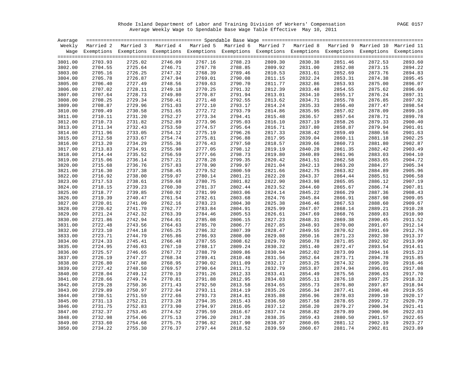Rhode Island Department of Labor and Training Division of Workers' Compensation PAGE 0157 Average Weekly Wage to Spendable Base Wage Table Effective May 10, 2011

| Average |         |                                                                                                                    |         |         |         |         |         |         |         |         |
|---------|---------|--------------------------------------------------------------------------------------------------------------------|---------|---------|---------|---------|---------|---------|---------|---------|
|         |         | Weekly Married 2 Married 3 Married 4 Married 5 Married 6 Married 7 Married 8 Married 9 Married 10 Married 11       |         |         |         |         |         |         |         |         |
|         |         | Wage Exemptions Exemptions Exemptions Exemptions Exemptions Exemptions Exemptions Exemptions Exemptions Exemptions |         |         |         |         |         |         |         |         |
|         |         |                                                                                                                    |         |         |         |         |         |         |         |         |
| 3801.00 | 2703.93 | 2725.02                                                                                                            | 2746.09 | 2767.16 | 2788.23 | 2809.30 | 2830.38 | 2851.46 | 2872.53 | 2893.60 |
| 3802.00 | 2704.55 | 2725.64                                                                                                            | 2746.71 | 2767.78 | 2788.85 | 2809.92 | 2831.00 | 2852.08 | 2873.15 | 2894.22 |
| 3803.00 | 2705.16 | 2726.25                                                                                                            | 2747.32 | 2768.39 | 2789.46 | 2810.53 | 2831.61 | 2852.69 | 2873.76 | 2894.83 |
| 3804.00 | 2705.78 | 2726.87                                                                                                            | 2747.94 | 2769.01 | 2790.08 | 2811.15 | 2832.24 | 2853.31 | 2874.38 | 2895.45 |
| 3805.00 | 2706.40 | 2727.49                                                                                                            | 2748.56 | 2769.63 | 2790.70 | 2811.77 | 2832.86 | 2853.93 | 2875.00 | 2896.07 |
| 3806.00 | 2707.02 | 2728.11                                                                                                            | 2749.18 | 2770.25 | 2791.32 | 2812.39 | 2833.48 | 2854.55 | 2875.62 | 2896.69 |
| 3807.00 | 2707.64 | 2728.73                                                                                                            | 2749.80 | 2770.87 | 2791.94 | 2813.01 | 2834.10 | 2855.17 | 2876.24 | 2897.31 |
| 3808.00 | 2708.25 | 2729.34                                                                                                            | 2750.41 | 2771.48 | 2792.55 | 2813.62 | 2834.71 | 2855.78 | 2876.85 | 2897.92 |
| 3809.00 | 2708.87 | 2729.96                                                                                                            | 2751.03 | 2772.10 | 2793.17 | 2814.24 | 2835.33 | 2856.40 | 2877.47 | 2898.54 |
| 3810.00 | 2709.49 | 2730.58                                                                                                            | 2751.65 | 2772.72 | 2793.79 | 2814.86 | 2835.95 | 2857.02 | 2878.09 | 2899.16 |
| 3811.00 | 2710.11 | 2731.20                                                                                                            | 2752.27 | 2773.34 | 2794.41 | 2815.48 | 2836.57 | 2857.64 | 2878.71 | 2899.78 |
| 3812.00 | 2710.73 | 2731.82                                                                                                            | 2752.89 | 2773.96 | 2795.03 | 2816.10 | 2837.19 | 2858.26 | 2879.33 | 2900.40 |
| 3813.00 | 2711.34 | 2732.43                                                                                                            | 2753.50 | 2774.57 | 2795.64 | 2816.71 | 2837.80 | 2858.87 | 2879.94 | 2901.01 |
| 3814.00 | 2711.96 | 2733.05                                                                                                            | 2754.12 | 2775.19 | 2796.26 | 2817.33 | 2838.42 | 2859.49 | 2880.56 | 2901.63 |
| 3815.00 | 2712.58 | 2733.67                                                                                                            | 2754.74 | 2775.81 | 2796.88 | 2817.95 | 2839.04 | 2860.11 | 2881.18 | 2902.25 |
| 3816.00 | 2713.20 | 2734.29                                                                                                            | 2755.36 | 2776.43 | 2797.50 | 2818.57 | 2839.66 | 2860.73 | 2881.80 | 2902.87 |
| 3817.00 | 2713.83 | 2734.91                                                                                                            | 2755.98 | 2777.05 | 2798.12 | 2819.19 | 2840.28 | 2861.35 | 2882.42 | 2903.49 |
| 3818.00 | 2714.44 | 2735.52                                                                                                            | 2756.59 | 2777.66 | 2798.73 | 2819.80 | 2840.89 | 2861.96 | 2883.03 | 2904.10 |
| 3819.00 | 2715.06 | 2736.14                                                                                                            | 2757.21 | 2778.28 | 2799.35 | 2820.42 | 2841.51 | 2862.58 | 2883.65 | 2904.72 |
| 3820.00 | 2715.68 | 2736.76                                                                                                            | 2757.83 | 2778.90 | 2799.97 | 2821.04 | 2842.13 | 2863.20 | 2884.27 | 2905.34 |
| 3821.00 | 2716.30 | 2737.38                                                                                                            | 2758.45 | 2779.52 | 2800.59 | 2821.66 | 2842.75 | 2863.82 | 2884.89 | 2905.96 |
| 3822.00 | 2716.92 | 2738.00                                                                                                            | 2759.07 | 2780.14 | 2801.21 | 2822.28 | 2843.37 | 2864.44 | 2885.51 | 2906.58 |
| 3823.00 | 2717.53 | 2738.61                                                                                                            | 2759.68 | 2780.75 | 2801.82 | 2822.90 | 2843.98 | 2865.05 | 2886.12 | 2907.19 |
| 3824.00 | 2718.15 | 2739.23                                                                                                            | 2760.30 | 2781.37 | 2802.44 | 2823.52 | 2844.60 | 2865.67 | 2886.74 | 2907.81 |
| 3825.00 | 2718.77 | 2739.85                                                                                                            | 2760.92 | 2781.99 | 2803.06 | 2824.14 | 2845.22 | 2866.29 | 2887.36 | 2908.43 |
| 3826.00 | 2719.39 | 2740.47                                                                                                            | 2761.54 | 2782.61 | 2803.68 | 2824.76 | 2845.84 | 2866.91 | 2887.98 | 2909.05 |
| 3827.00 | 2720.01 | 2741.09                                                                                                            | 2762.16 | 2783.23 | 2804.30 | 2825.38 | 2846.46 | 2867.53 | 2888.60 | 2909.67 |
| 3828.00 | 2720.62 | 2741.70                                                                                                            | 2762.77 | 2783.84 | 2804.91 | 2825.99 | 2847.07 | 2868.14 | 2889.21 | 2910.28 |
| 3829.00 | 2721.24 | 2742.32                                                                                                            | 2763.39 | 2784.46 | 2805.53 | 2826.61 | 2847.69 | 2868.76 | 2889.83 | 2910.90 |
| 3830.00 | 2721.86 | 2742.94                                                                                                            | 2764.01 | 2785.08 | 2806.15 | 2827.23 | 2848.31 | 2869.38 | 2890.45 | 2911.52 |
| 3831.00 | 2722.48 | 2743.56                                                                                                            | 2764.63 | 2785.70 | 2806.77 | 2827.85 | 2848.93 | 2870.00 | 2891.07 | 2912.14 |
| 3832.00 | 2723.10 | 2744.18                                                                                                            | 2765.25 | 2786.32 | 2807.39 | 2828.47 | 2849.55 | 2870.62 | 2891.69 | 2912.76 |
| 3833.00 | 2723.71 | 2744.79                                                                                                            | 2765.86 | 2786.93 | 2808.00 | 2829.08 | 2850.16 | 2871.23 | 2892.30 | 2913.37 |
| 3834.00 | 2724.33 | 2745.41                                                                                                            | 2766.48 | 2787.55 | 2808.62 | 2829.70 | 2850.78 | 2871.85 | 2892.92 | 2913.99 |
| 3835.00 | 2724.95 | 2746.03                                                                                                            | 2767.10 | 2788.17 | 2809.24 | 2830.32 | 2851.40 | 2872.47 | 2893.54 | 2914.61 |
| 3836.00 | 2725.57 | 2746.65                                                                                                            | 2767.72 | 2788.79 | 2809.86 | 2830.94 | 2852.02 | 2873.09 | 2894.16 | 2915.23 |
| 3837.00 | 2726.19 | 2747.27                                                                                                            | 2768.34 | 2789.41 | 2810.48 | 2831.56 | 2852.64 | 2873.71 | 2894.78 | 2915.85 |
| 3838.00 | 2726.80 | 2747.88                                                                                                            | 2768.95 | 2790.02 | 2811.09 | 2832.17 | 2853.25 | 2874.32 | 2895.39 | 2916.46 |
| 3839.00 | 2727.42 | 2748.50                                                                                                            | 2769.57 | 2790.64 | 2811.71 | 2832.79 | 2853.87 | 2874.94 | 2896.01 | 2917.08 |
| 3840.00 | 2728.04 | 2749.12                                                                                                            | 2770.19 | 2791.26 | 2812.33 | 2833.41 | 2854.49 | 2875.56 | 2896.63 | 2917.70 |
| 3841.00 | 2728.66 | 2749.74                                                                                                            | 2770.81 | 2791.88 | 2812.95 | 2834.03 | 2855.11 | 2876.18 | 2897.25 | 2918.32 |
| 3842.00 | 2729.28 | 2750.36                                                                                                            | 2771.43 | 2792.50 | 2813.58 | 2834.65 | 2855.73 | 2876.80 | 2897.87 | 2918.94 |
| 3843.00 | 2729.89 | 2750.97                                                                                                            | 2772.04 | 2793.11 | 2814.19 | 2835.26 | 2856.34 | 2877.41 | 2898.48 | 2919.55 |
| 3844.00 | 2730.51 | 2751.59                                                                                                            | 2772.66 | 2793.73 | 2814.81 | 2835.88 | 2856.96 | 2878.03 | 2899.10 | 2920.17 |
| 3845.00 | 2731.13 | 2752.21                                                                                                            | 2773.28 | 2794.35 | 2815.43 | 2836.50 | 2857.58 | 2878.65 | 2899.72 | 2920.79 |
| 3846.00 | 2731.75 | 2752.83                                                                                                            | 2773.90 | 2794.97 | 2816.05 | 2837.12 | 2858.20 | 2879.27 | 2900.34 | 2921.41 |
| 3847.00 | 2732.37 | 2753.45                                                                                                            | 2774.52 | 2795.59 | 2816.67 | 2837.74 | 2858.82 | 2879.89 | 2900.96 | 2922.03 |
| 3848.00 | 2732.98 | 2754.06                                                                                                            | 2775.13 | 2796.20 | 2817.28 | 2838.35 | 2859.43 | 2880.50 | 2901.57 | 2922.65 |
| 3849.00 | 2733.60 | 2754.68                                                                                                            | 2775.75 | 2796.82 | 2817.90 | 2838.97 | 2860.05 | 2881.12 | 2902.19 | 2923.27 |
| 3850.00 | 2734.22 | 2755.30                                                                                                            | 2776.37 | 2797.44 | 2818.52 | 2839.59 | 2860.67 | 2881.74 | 2902.81 | 2923.89 |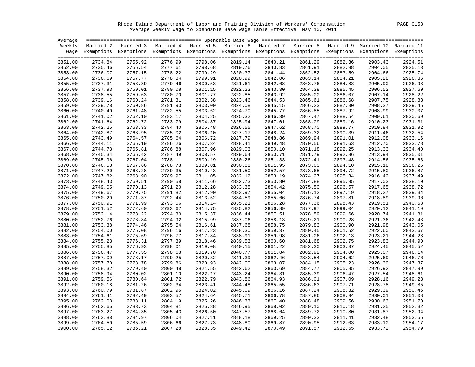Rhode Island Department of Labor and Training Division of Workers' Compensation PAGE 0158 Average Weekly Wage to Spendable Base Wage Table Effective May 10, 2011

| Average |         |                                                                                                                    |         |         |         |         |         |         |         |         |
|---------|---------|--------------------------------------------------------------------------------------------------------------------|---------|---------|---------|---------|---------|---------|---------|---------|
|         |         | Weekly Married 2 Married 3 Married 4 Married 5 Married 6 Married 7 Married 8 Married 9 Married 10 Married 11       |         |         |         |         |         |         |         |         |
|         |         | Wage Exemptions Exemptions Exemptions Exemptions Exemptions Exemptions Exemptions Exemptions Exemptions Exemptions |         |         |         |         |         |         |         |         |
|         |         |                                                                                                                    |         |         |         |         |         |         |         |         |
| 3851.00 | 2734.84 | 2755.92                                                                                                            | 2776.99 | 2798.06 | 2819.14 | 2840.21 | 2861.29 | 2882.36 | 2903.43 | 2924.51 |
| 3852.00 | 2735.46 | 2756.54                                                                                                            | 2777.61 | 2798.68 | 2819.76 | 2840.83 | 2861.91 | 2882.98 | 2904.05 | 2925.13 |
| 3853.00 | 2736.07 | 2757.15                                                                                                            | 2778.22 | 2799.29 | 2820.37 | 2841.44 | 2862.52 | 2883.59 | 2904.66 | 2925.74 |
| 3854.00 | 2736.69 | 2757.77                                                                                                            | 2778.84 | 2799.91 | 2820.99 | 2842.06 | 2863.14 | 2884.21 | 2905.28 | 2926.36 |
| 3855.00 | 2737.31 | 2758.39                                                                                                            | 2779.46 | 2800.53 | 2821.61 | 2842.68 | 2863.76 | 2884.83 | 2905.90 | 2926.98 |
| 3856.00 | 2737.93 | 2759.01                                                                                                            | 2780.08 | 2801.15 | 2822.23 | 2843.30 | 2864.38 | 2885.45 | 2906.52 | 2927.60 |
| 3857.00 | 2738.55 | 2759.63                                                                                                            | 2780.70 | 2801.77 | 2822.85 | 2843.92 | 2865.00 | 2886.07 | 2907.14 | 2928.22 |
| 3858.00 | 2739.16 | 2760.24                                                                                                            | 2781.31 | 2802.38 | 2823.46 | 2844.53 | 2865.61 | 2886.68 | 2907.75 | 2928.83 |
| 3859.00 | 2739.78 | 2760.86                                                                                                            | 2781.93 | 2803.00 | 2824.08 | 2845.15 | 2866.23 | 2887.30 | 2908.37 | 2929.45 |
| 3860.00 | 2740.40 | 2761.48                                                                                                            | 2782.55 | 2803.62 | 2824.70 | 2845.77 | 2866.85 | 2887.92 | 2908.99 | 2930.07 |
| 3861.00 | 2741.02 | 2762.10                                                                                                            | 2783.17 | 2804.25 | 2825.32 | 2846.39 | 2867.47 | 2888.54 | 2909.61 | 2930.69 |
| 3862.00 | 2741.64 | 2762.72                                                                                                            | 2783.79 | 2804.87 | 2825.94 | 2847.01 | 2868.09 | 2889.16 | 2910.23 | 2931.31 |
| 3863.00 | 2742.25 | 2763.33                                                                                                            | 2784.40 | 2805.48 | 2826.55 | 2847.62 | 2868.70 | 2889.77 | 2910.84 | 2931.92 |
| 3864.00 | 2742.87 | 2763.95                                                                                                            | 2785.02 | 2806.10 | 2827.17 | 2848.24 | 2869.32 | 2890.39 | 2911.46 | 2932.54 |
| 3865.00 | 2743.49 | 2764.57                                                                                                            | 2785.64 | 2806.72 | 2827.79 | 2848.86 | 2869.94 | 2891.01 | 2912.08 | 2933.16 |
| 3866.00 | 2744.11 | 2765.19                                                                                                            | 2786.26 | 2807.34 | 2828.41 | 2849.48 | 2870.56 | 2891.63 | 2912.70 | 2933.78 |
| 3867.00 | 2744.73 | 2765.81                                                                                                            | 2786.88 | 2807.96 | 2829.03 | 2850.10 | 2871.18 | 2892.25 | 2913.33 | 2934.40 |
| 3868.00 | 2745.34 | 2766.42                                                                                                            | 2787.49 | 2808.57 | 2829.64 | 2850.71 | 2871.79 | 2892.86 | 2913.94 | 2935.01 |
| 3869.00 | 2745.96 | 2767.04                                                                                                            | 2788.11 | 2809.19 | 2830.26 | 2851.33 | 2872.41 | 2893.48 | 2914.56 | 2935.63 |
| 3870.00 | 2746.58 | 2767.66                                                                                                            | 2788.73 | 2809.81 | 2830.88 | 2851.95 | 2873.03 | 2894.10 | 2915.18 | 2936.25 |
| 3871.00 | 2747.20 | 2768.28                                                                                                            | 2789.35 | 2810.43 | 2831.50 | 2852.57 | 2873.65 | 2894.72 | 2915.80 | 2936.87 |
| 3872.00 | 2747.82 | 2768.90                                                                                                            | 2789.97 | 2811.05 | 2832.12 | 2853.19 | 2874.27 | 2895.34 | 2916.42 | 2937.49 |
| 3873.00 | 2748.43 | 2769.51                                                                                                            | 2790.58 | 2811.66 | 2832.73 | 2853.80 | 2874.88 | 2895.95 | 2917.03 | 2938.10 |
| 3874.00 | 2749.05 | 2770.13                                                                                                            | 2791.20 | 2812.28 | 2833.35 | 2854.42 | 2875.50 | 2896.57 | 2917.65 | 2938.72 |
| 3875.00 | 2749.67 | 2770.75                                                                                                            | 2791.82 | 2812.90 | 2833.97 | 2855.04 | 2876.12 | 2897.19 | 2918.27 | 2939.34 |
| 3876.00 | 2750.29 | 2771.37                                                                                                            | 2792.44 | 2813.52 | 2834.59 | 2855.66 | 2876.74 | 2897.81 | 2918.89 | 2939.96 |
| 3877.00 | 2750.91 | 2771.99                                                                                                            | 2793.06 | 2814.14 | 2835.21 | 2856.28 | 2877.36 | 2898.43 | 2919.51 | 2940.58 |
| 3878.00 | 2751.52 | 2772.60                                                                                                            | 2793.67 | 2814.75 | 2835.82 | 2856.89 | 2877.97 | 2899.04 | 2920.12 | 2941.19 |
| 3879.00 | 2752.14 | 2773.22                                                                                                            | 2794.30 | 2815.37 | 2836.44 | 2857.51 | 2878.59 | 2899.66 | 2920.74 | 2941.81 |
| 3880.00 | 2752.76 | 2773.84                                                                                                            | 2794.92 | 2815.99 | 2837.06 | 2858.13 | 2879.21 | 2900.28 | 2921.36 | 2942.43 |
| 3881.00 | 2753.38 | 2774.46                                                                                                            | 2795.54 | 2816.61 | 2837.68 | 2858.75 | 2879.83 | 2900.90 | 2921.98 | 2943.05 |
| 3882.00 | 2754.00 | 2775.08                                                                                                            | 2796.16 | 2817.23 | 2838.30 | 2859.37 | 2880.45 | 2901.52 | 2922.60 | 2943.67 |
| 3883.00 | 2754.61 | 2775.69                                                                                                            | 2796.77 | 2817.84 | 2838.91 | 2859.98 | 2881.06 | 2902.13 | 2923.21 | 2944.28 |
| 3884.00 | 2755.23 | 2776.31                                                                                                            | 2797.39 | 2818.46 | 2839.53 | 2860.60 | 2881.68 | 2902.75 | 2923.83 | 2944.90 |
| 3885.00 | 2755.85 | 2776.93                                                                                                            | 2798.01 | 2819.08 | 2840.15 | 2861.22 | 2882.30 | 2903.37 | 2924.45 | 2945.52 |
| 3886.00 | 2756.47 | 2777.55                                                                                                            | 2798.63 | 2819.70 | 2840.77 | 2861.84 | 2882.92 | 2904.00 | 2925.07 | 2946.14 |
| 3887.00 | 2757.09 | 2778.17                                                                                                            | 2799.25 | 2820.32 | 2841.39 | 2862.46 | 2883.54 | 2904.62 | 2925.69 | 2946.76 |
| 3888.00 | 2757.70 | 2778.78                                                                                                            | 2799.86 | 2820.93 | 2842.00 | 2863.07 | 2884.15 | 2905.23 | 2926.30 | 2947.37 |
| 3889.00 | 2758.32 | 2779.40                                                                                                            | 2800.48 | 2821.55 | 2842.62 | 2863.69 | 2884.77 | 2905.85 | 2926.92 | 2947.99 |
| 3890.00 | 2758.94 | 2780.02                                                                                                            | 2801.10 | 2822.17 | 2843.24 | 2864.31 | 2885.39 | 2906.47 | 2927.54 | 2948.61 |
| 3891.00 | 2759.56 | 2780.64                                                                                                            | 2801.72 | 2822.79 | 2843.86 | 2864.93 | 2886.01 | 2907.09 | 2928.16 | 2949.23 |
| 3892.00 | 2760.18 | 2781.26                                                                                                            | 2802.34 | 2823.41 | 2844.48 | 2865.55 | 2886.63 | 2907.71 | 2928.78 | 2949.85 |
| 3893.00 | 2760.79 | 2781.87                                                                                                            | 2802.95 | 2824.02 | 2845.09 | 2866.16 | 2887.24 | 2908.32 | 2929.39 | 2950.46 |
| 3894.00 | 2761.41 | 2782.49                                                                                                            | 2803.57 | 2824.64 | 2845.71 | 2866.78 | 2887.86 | 2908.94 | 2930.01 | 2951.08 |
| 3895.00 | 2762.03 | 2783.11                                                                                                            | 2804.19 | 2825.26 | 2846.33 | 2867.40 | 2888.48 | 2909.56 | 2930.63 | 2951.70 |
| 3896.00 | 2762.65 | 2783.73                                                                                                            | 2804.81 | 2825.88 | 2846.95 | 2868.02 | 2889.10 | 2910.18 | 2931.25 | 2952.32 |
| 3897.00 | 2763.27 | 2784.35                                                                                                            | 2805.43 | 2826.50 | 2847.57 | 2868.64 | 2889.72 | 2910.80 | 2931.87 | 2952.94 |
| 3898.00 | 2763.88 | 2784.97                                                                                                            | 2806.04 | 2827.11 | 2848.18 | 2869.25 | 2890.33 | 2911.41 | 2932.48 | 2953.55 |
| 3899.00 | 2764.50 | 2785.59                                                                                                            | 2806.66 | 2827.73 | 2848.80 | 2869.87 | 2890.95 | 2912.03 | 2933.10 | 2954.17 |
| 3900.00 | 2765.12 | 2786.21                                                                                                            | 2807.28 | 2828.35 | 2849.42 | 2870.49 | 2891.57 | 2912.65 | 2933.72 | 2954.79 |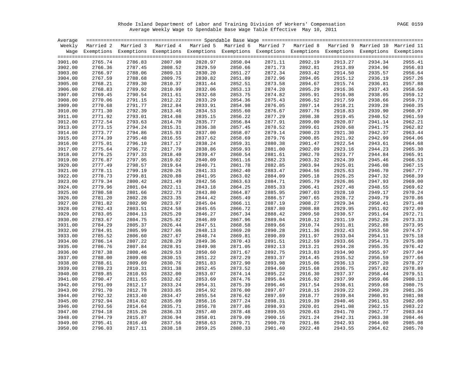Rhode Island Department of Labor and Training Division of Workers' Compensation PAGE 0159 Average Weekly Wage to Spendable Base Wage Table Effective May 10, 2011

| Average |         |                                                                                                                    |         |         |         |         |         |         |         |         |
|---------|---------|--------------------------------------------------------------------------------------------------------------------|---------|---------|---------|---------|---------|---------|---------|---------|
|         |         | Weekly Married 2 Married 3 Married 4 Married 5 Married 6 Married 7 Married 8 Married 9 Married 10 Married 11       |         |         |         |         |         |         |         |         |
|         |         | Wage Exemptions Exemptions Exemptions Exemptions Exemptions Exemptions Exemptions Exemptions Exemptions Exemptions |         |         |         |         |         |         |         |         |
|         |         |                                                                                                                    |         |         |         |         |         |         |         |         |
| 3901.00 | 2765.74 | 2786.83                                                                                                            | 2807.90 | 2828.97 | 2850.04 | 2871.11 | 2892.19 | 2913.27 | 2934.34 | 2955.41 |
| 3902.00 | 2766.36 | 2787.45                                                                                                            | 2808.52 | 2829.59 | 2850.66 | 2871.73 | 2892.81 | 2913.89 | 2934.96 | 2956.03 |
| 3903.00 | 2766.97 | 2788.06                                                                                                            | 2809.13 | 2830.20 | 2851.27 | 2872.34 | 2893.42 | 2914.50 | 2935.57 | 2956.64 |
| 3904.00 | 2767.59 | 2788.68                                                                                                            | 2809.75 | 2830.82 | 2851.89 | 2872.96 | 2894.05 | 2915.12 | 2936.19 | 2957.26 |
| 3905.00 | 2768.21 | 2789.30                                                                                                            | 2810.37 | 2831.44 | 2852.51 | 2873.58 | 2894.67 | 2915.74 | 2936.81 | 2957.88 |
| 3906.00 | 2768.83 | 2789.92                                                                                                            | 2810.99 | 2832.06 | 2853.13 | 2874.20 | 2895.29 | 2916.36 | 2937.43 | 2958.50 |
| 3907.00 | 2769.45 | 2790.54                                                                                                            | 2811.61 | 2832.68 | 2853.75 | 2874.82 | 2895.91 | 2916.98 | 2938.05 | 2959.12 |
| 3908.00 | 2770.06 | 2791.15                                                                                                            | 2812.22 | 2833.29 | 2854.36 | 2875.43 | 2896.52 | 2917.59 | 2938.66 | 2959.73 |
| 3909.00 | 2770.68 | 2791.77                                                                                                            | 2812.84 | 2833.91 | 2854.98 | 2876.05 | 2897.14 | 2918.21 | 2939.28 | 2960.35 |
| 3910.00 | 2771.30 | 2792.39                                                                                                            | 2813.46 | 2834.53 | 2855.60 | 2876.67 | 2897.76 | 2918.83 | 2939.90 | 2960.97 |
| 3911.00 | 2771.92 | 2793.01                                                                                                            | 2814.08 | 2835.15 | 2856.22 | 2877.29 | 2898.38 | 2919.45 | 2940.52 | 2961.59 |
| 3912.00 | 2772.54 | 2793.63                                                                                                            | 2814.70 | 2835.77 | 2856.84 | 2877.91 | 2899.00 | 2920.07 | 2941.14 | 2962.21 |
| 3913.00 | 2773.15 | 2794.24                                                                                                            | 2815.31 | 2836.38 | 2857.45 | 2878.52 | 2899.61 | 2920.68 | 2941.75 | 2962.82 |
| 3914.00 | 2773.77 | 2794.86                                                                                                            | 2815.93 | 2837.00 | 2858.07 | 2879.14 | 2900.23 | 2921.30 | 2942.37 | 2963.44 |
| 3915.00 | 2774.39 | 2795.48                                                                                                            | 2816.55 | 2837.62 | 2858.69 | 2879.76 | 2900.85 | 2921.92 | 2942.99 | 2964.06 |
| 3916.00 | 2775.01 | 2796.10                                                                                                            | 2817.17 | 2838.24 | 2859.31 | 2880.38 | 2901.47 | 2922.54 | 2943.61 | 2964.68 |
| 3917.00 | 2775.64 | 2796.72                                                                                                            | 2817.79 | 2838.86 | 2859.93 | 2881.00 | 2902.09 | 2923.16 | 2944.23 | 2965.30 |
| 3918.00 | 2776.25 | 2797.33                                                                                                            | 2818.40 | 2839.47 | 2860.54 | 2881.61 | 2902.70 | 2923.77 | 2944.84 | 2965.91 |
| 3919.00 | 2776.87 | 2797.95                                                                                                            | 2819.02 | 2840.09 | 2861.16 | 2882.23 | 2903.32 | 2924.39 | 2945.46 | 2966.53 |
| 3920.00 | 2777.49 | 2798.57                                                                                                            | 2819.64 | 2840.71 | 2861.78 | 2882.85 | 2903.94 | 2925.01 | 2946.08 | 2967.15 |
| 3921.00 | 2778.11 | 2799.19                                                                                                            | 2820.26 | 2841.33 | 2862.40 | 2883.47 | 2904.56 | 2925.63 | 2946.70 | 2967.77 |
| 3922.00 | 2778.73 | 2799.81                                                                                                            | 2820.88 | 2841.95 | 2863.02 | 2884.09 | 2905.18 | 2926.25 | 2947.32 | 2968.39 |
| 3923.00 | 2779.34 | 2800.42                                                                                                            | 2821.49 | 2842.56 | 2863.63 | 2884.71 | 2905.79 | 2926.86 | 2947.93 | 2969.00 |
| 3924.00 | 2779.96 | 2801.04                                                                                                            | 2822.11 | 2843.18 | 2864.25 | 2885.33 | 2906.41 | 2927.48 | 2948.55 | 2969.62 |
| 3925.00 | 2780.58 | 2801.66                                                                                                            | 2822.73 | 2843.80 | 2864.87 | 2885.95 | 2907.03 | 2928.10 | 2949.17 | 2970.24 |
| 3926.00 | 2781.20 | 2802.28                                                                                                            | 2823.35 | 2844.42 | 2865.49 | 2886.57 | 2907.65 | 2928.72 | 2949.79 | 2970.86 |
| 3927.00 | 2781.82 | 2802.90                                                                                                            | 2823.97 | 2845.04 | 2866.11 | 2887.19 | 2908.27 | 2929.34 | 2950.41 | 2971.48 |
| 3928.00 | 2782.43 | 2803.51                                                                                                            | 2824.58 | 2845.65 | 2866.72 | 2887.80 | 2908.88 | 2929.95 | 2951.02 | 2972.09 |
| 3929.00 | 2783.05 | 2804.13                                                                                                            | 2825.20 | 2846.27 | 2867.34 | 2888.42 | 2909.50 | 2930.57 | 2951.64 | 2972.71 |
| 3930.00 | 2783.67 | 2804.75                                                                                                            | 2825.82 | 2846.89 | 2867.96 | 2889.04 | 2910.12 | 2931.19 | 2952.26 | 2973.33 |
| 3931.00 | 2784.29 | 2805.37                                                                                                            | 2826.44 | 2847.51 | 2868.58 | 2889.66 | 2910.74 | 2931.81 | 2952.88 | 2973.95 |
| 3932.00 | 2784.91 | 2805.99                                                                                                            | 2827.06 | 2848.13 | 2869.20 | 2890.28 | 2911.36 | 2932.43 | 2953.50 | 2974.57 |
| 3933.00 | 2785.52 | 2806.60                                                                                                            | 2827.67 | 2848.74 | 2869.81 | 2890.89 | 2911.97 | 2933.04 | 2954.11 | 2975.18 |
| 3934.00 | 2786.14 | 2807.22                                                                                                            | 2828.29 | 2849.36 | 2870.43 | 2891.51 | 2912.59 | 2933.66 | 2954.73 | 2975.80 |
| 3935.00 | 2786.76 | 2807.84                                                                                                            | 2828.91 | 2849.98 | 2871.05 | 2892.13 | 2913.21 | 2934.28 | 2955.35 | 2976.42 |
| 3936.00 | 2787.38 | 2808.46                                                                                                            | 2829.53 | 2850.60 | 2871.67 | 2892.75 | 2913.83 | 2934.90 | 2955.97 | 2977.04 |
| 3937.00 | 2788.00 | 2809.08                                                                                                            | 2830.15 | 2851.22 | 2872.29 | 2893.37 | 2914.45 | 2935.52 | 2956.59 | 2977.66 |
| 3938.00 | 2788.61 | 2809.69                                                                                                            | 2830.76 | 2851.83 | 2872.90 | 2893.98 | 2915.06 | 2936.13 | 2957.20 | 2978.27 |
| 3939.00 | 2789.23 | 2810.31                                                                                                            | 2831.38 | 2852.45 | 2873.52 | 2894.60 | 2915.68 | 2936.75 | 2957.82 | 2978.89 |
| 3940.00 | 2789.85 | 2810.93                                                                                                            | 2832.00 | 2853.07 | 2874.14 | 2895.22 | 2916.30 | 2937.37 | 2958.44 | 2979.51 |
| 3941.00 | 2790.47 | 2811.55                                                                                                            | 2832.62 | 2853.69 | 2874.76 | 2895.84 | 2916.92 | 2937.99 | 2959.06 | 2980.13 |
| 3942.00 | 2791.09 | 2812.17                                                                                                            | 2833.24 | 2854.31 | 2875.39 | 2896.46 | 2917.54 | 2938.61 | 2959.68 | 2980.75 |
| 3943.00 | 2791.70 | 2812.78                                                                                                            | 2833.85 | 2854.92 | 2876.00 | 2897.07 | 2918.15 | 2939.22 | 2960.29 | 2981.36 |
| 3944.00 | 2792.32 | 2813.40                                                                                                            | 2834.47 | 2855.54 | 2876.62 | 2897.69 | 2918.77 | 2939.84 | 2960.91 | 2981.98 |
| 3945.00 | 2792.94 | 2814.02                                                                                                            | 2835.09 | 2856.16 | 2877.24 | 2898.31 | 2919.39 | 2940.46 | 2961.53 | 2982.60 |
| 3946.00 | 2793.56 | 2814.64                                                                                                            | 2835.71 | 2856.78 | 2877.86 | 2898.93 | 2920.01 | 2941.08 | 2962.15 | 2983.22 |
| 3947.00 | 2794.18 | 2815.26                                                                                                            | 2836.33 | 2857.40 | 2878.48 | 2899.55 | 2920.63 | 2941.70 | 2962.77 | 2983.84 |
| 3948.00 | 2794.79 | 2815.87                                                                                                            | 2836.94 | 2858.01 | 2879.09 | 2900.16 | 2921.24 | 2942.31 | 2963.38 | 2984.46 |
| 3949.00 | 2795.41 | 2816.49                                                                                                            | 2837.56 | 2858.63 | 2879.71 | 2900.78 | 2921.86 | 2942.93 | 2964.00 | 2985.08 |
| 3950.00 | 2796.03 | 2817.11                                                                                                            | 2838.18 | 2859.25 | 2880.33 | 2901.40 | 2922.48 | 2943.55 | 2964.62 | 2985.70 |